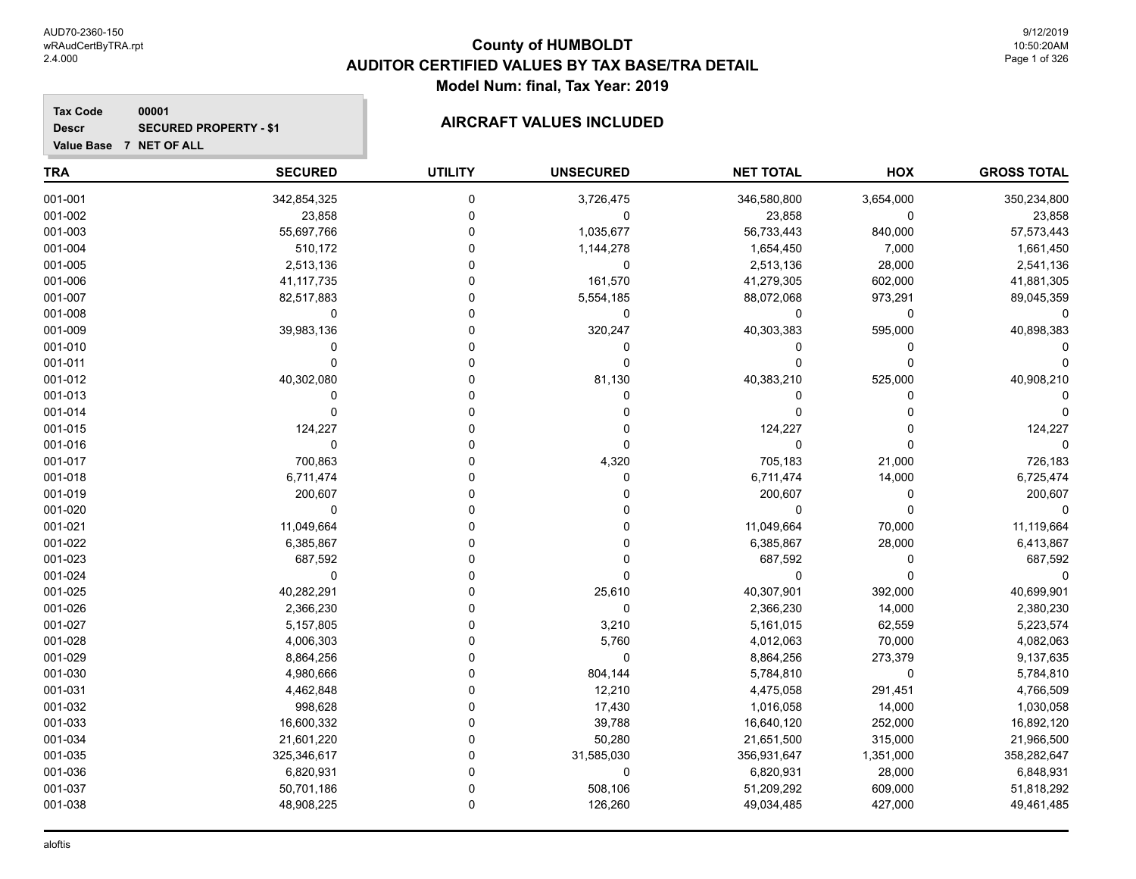**Tax Code**

**Descr**

### **County of HUMBOLDT AUDITOR CERTIFIED VALUES BY TAX BASE/TRA DETAIL Model Num: final, Tax Year: 2019**

# **SECURED PROPERTY - \$1 AIRCRAFT VALUES INCLUDED**

**Value Base 7 NET OF ALL**

**00001**

| <b>TRA</b> | <b>SECURED</b> | <b>UTILITY</b> | <b>UNSECURED</b> | <b>NET TOTAL</b> | HOX         | <b>GROSS TOTAL</b> |
|------------|----------------|----------------|------------------|------------------|-------------|--------------------|
| 001-001    | 342,854,325    | 0              | 3,726,475        | 346,580,800      | 3,654,000   | 350,234,800        |
| 001-002    | 23,858         | 0              | 0                | 23,858           | 0           | 23,858             |
| 001-003    | 55,697,766     | 0              | 1,035,677        | 56,733,443       | 840,000     | 57,573,443         |
| 001-004    | 510,172        | 0              | 1,144,278        | 1,654,450        | 7,000       | 1,661,450          |
| 001-005    | 2,513,136      | 0              | 0                | 2,513,136        | 28,000      | 2,541,136          |
| 001-006    | 41, 117, 735   | $\Omega$       | 161,570          | 41,279,305       | 602,000     | 41,881,305         |
| 001-007    | 82,517,883     | 0              | 5,554,185        | 88,072,068       | 973,291     | 89,045,359         |
| 001-008    | 0              | 0              | 0                | 0                | 0           | 0                  |
| 001-009    | 39,983,136     | $\Omega$       | 320,247          | 40,303,383       | 595,000     | 40,898,383         |
| 001-010    | 0              | 0              | 0                | 0                | $\mathbf 0$ |                    |
| 001-011    | $\Omega$       | O              | 0                | 0                | $\mathbf 0$ |                    |
| 001-012    | 40,302,080     | $\Omega$       | 81,130           | 40,383,210       | 525,000     | 40,908,210         |
| 001-013    | 0              | $\Omega$       | 0                | 0                | $\Omega$    |                    |
| 001-014    | 0              | 0              | 0                | 0                | $\Omega$    |                    |
| 001-015    | 124,227        | $\Omega$       | 0                | 124,227          | $\Omega$    | 124,227            |
| 001-016    | 0              | 0              | 0                | $\mathbf 0$      | $\Omega$    | $\Omega$           |
| 001-017    | 700,863        | 0              | 4,320            | 705,183          | 21,000      | 726,183            |
| 001-018    | 6,711,474      | 0              | 0                | 6,711,474        | 14,000      | 6,725,474          |
| 001-019    | 200,607        | $\Omega$       | 0                | 200,607          | $\mathbf 0$ | 200,607            |
| 001-020    | 0              | 0              | 0                | 0                | $\mathbf 0$ | $\Omega$           |
| 001-021    | 11,049,664     | 0              | 0                | 11,049,664       | 70,000      | 11,119,664         |
| 001-022    | 6,385,867      | 0              | 0                | 6,385,867        | 28,000      | 6,413,867          |
| 001-023    | 687,592        | 0              | 0                | 687,592          | 0           | 687,592            |
| 001-024    | 0              | 0              | 0                | 0                | $\mathbf 0$ | $\Omega$           |
| 001-025    | 40,282,291     | O              | 25,610           | 40,307,901       | 392,000     | 40,699,901         |
| 001-026    | 2,366,230      | $\Omega$       | 0                | 2,366,230        | 14,000      | 2,380,230          |
| 001-027    | 5,157,805      | $\Omega$       | 3,210            | 5,161,015        | 62,559      | 5,223,574          |
| 001-028    | 4,006,303      | 0              | 5,760            | 4,012,063        | 70,000      | 4,082,063          |
| 001-029    | 8,864,256      | 0              | 0                | 8,864,256        | 273,379     | 9,137,635          |
| 001-030    | 4,980,666      | 0              | 804,144          | 5,784,810        | 0           | 5,784,810          |
| 001-031    | 4,462,848      | $\Omega$       | 12,210           | 4,475,058        | 291,451     | 4,766,509          |
| 001-032    | 998,628        | 0              | 17,430           | 1,016,058        | 14,000      | 1,030,058          |
| 001-033    | 16,600,332     | $\Omega$       | 39,788           | 16,640,120       | 252,000     | 16,892,120         |
| 001-034    | 21,601,220     | O              | 50,280           | 21,651,500       | 315,000     | 21,966,500         |
| 001-035    | 325,346,617    | 0              | 31,585,030       | 356,931,647      | 1,351,000   | 358,282,647        |
| 001-036    | 6,820,931      | $\Omega$       | $\pmb{0}$        | 6,820,931        | 28,000      | 6,848,931          |
| 001-037    | 50,701,186     | 0              | 508,106          | 51,209,292       | 609,000     | 51,818,292         |
| 001-038    | 48,908,225     | 0              | 126,260          | 49,034,485       | 427,000     | 49,461,485         |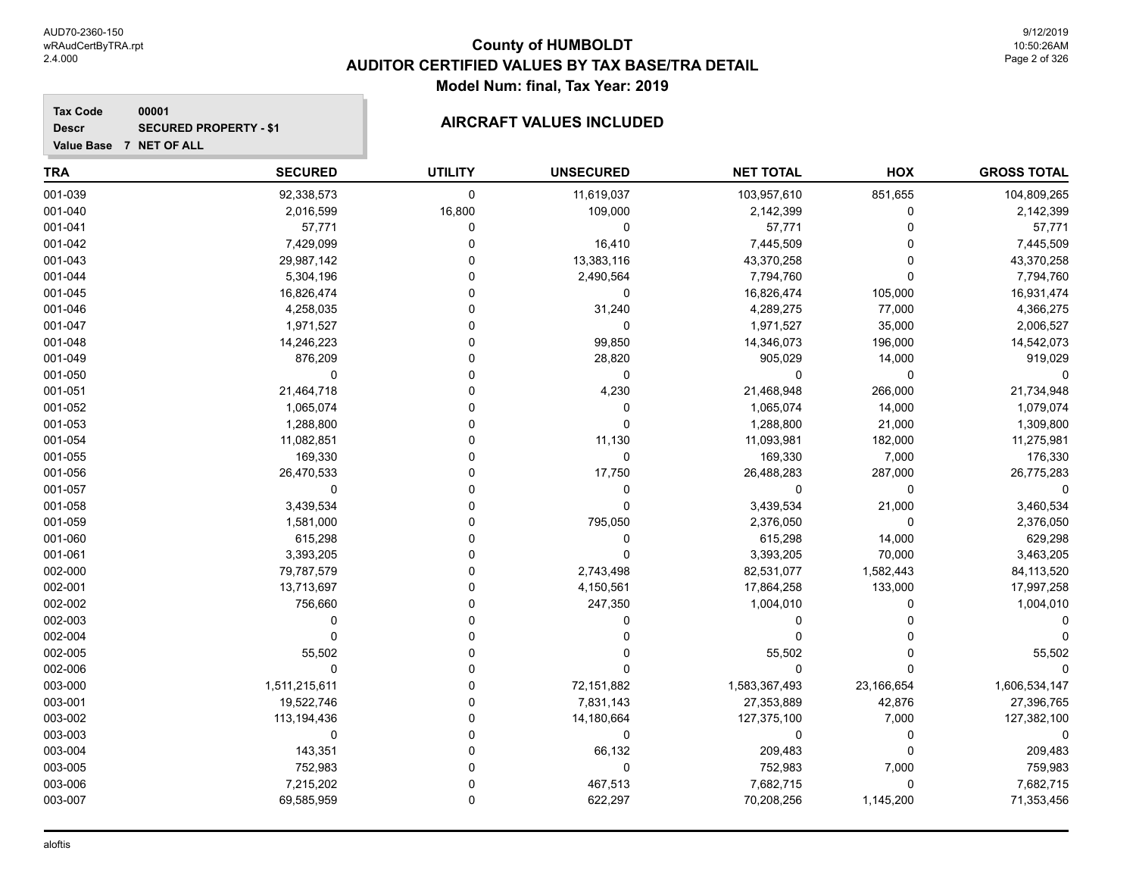#### **Tax Code 00001 Descr**

## **SECURED PROPERTY - \$1 AIRCRAFT VALUES INCLUDED**

| <b>TRA</b> | <b>SECURED</b> | <b>UTILITY</b> | <b>UNSECURED</b> | <b>NET TOTAL</b> | <b>HOX</b>  | <b>GROSS TOTAL</b> |
|------------|----------------|----------------|------------------|------------------|-------------|--------------------|
| 001-039    | 92,338,573     | $\mathbf 0$    | 11,619,037       | 103,957,610      | 851,655     | 104,809,265        |
| 001-040    | 2,016,599      | 16,800         | 109,000          | 2,142,399        | 0           | 2,142,399          |
| 001-041    | 57,771         | 0              | 0                | 57,771           | 0           | 57,771             |
| 001-042    | 7,429,099      | $\mathbf{0}$   | 16,410           | 7,445,509        | 0           | 7,445,509          |
| 001-043    | 29,987,142     | $\Omega$       | 13,383,116       | 43,370,258       | $\Omega$    | 43,370,258         |
| 001-044    | 5,304,196      | $\Omega$       | 2,490,564        | 7,794,760        | $\Omega$    | 7,794,760          |
| 001-045    | 16,826,474     | $\Omega$       | $\mathbf 0$      | 16,826,474       | 105,000     | 16,931,474         |
| 001-046    | 4,258,035      | $\Omega$       | 31,240           | 4,289,275        | 77,000      | 4,366,275          |
| 001-047    | 1,971,527      | $\Omega$       | $\mathbf 0$      | 1,971,527        | 35,000      | 2,006,527          |
| 001-048    | 14,246,223     | $\Omega$       | 99,850           | 14,346,073       | 196,000     | 14,542,073         |
| 001-049    | 876,209        | $\Omega$       | 28,820           | 905,029          | 14,000      | 919,029            |
| 001-050    | $\Omega$       | $\Omega$       | 0                | 0                | $\mathbf 0$ |                    |
| 001-051    | 21,464,718     | $\Omega$       | 4,230            | 21,468,948       | 266,000     | 21,734,948         |
| 001-052    | 1,065,074      | 0              | 0                | 1,065,074        | 14,000      | 1,079,074          |
| 001-053    | 1,288,800      | 0              | $\mathbf 0$      | 1,288,800        | 21,000      | 1,309,800          |
| 001-054    | 11,082,851     | $\Omega$       | 11,130           | 11,093,981       | 182,000     | 11,275,981         |
| 001-055    | 169,330        | $\Omega$       | $\pmb{0}$        | 169,330          | 7,000       | 176,330            |
| 001-056    | 26,470,533     | $\Omega$       | 17,750           | 26,488,283       | 287,000     | 26,775,283         |
| 001-057    | $\mathbf 0$    | $\Omega$       | 0                | $\Omega$         | $\Omega$    | $\Omega$           |
| 001-058    | 3,439,534      | $\Omega$       | $\mathbf 0$      | 3,439,534        | 21,000      | 3,460,534          |
| 001-059    | 1,581,000      | $\Omega$       | 795,050          | 2,376,050        | 0           | 2,376,050          |
| 001-060    | 615,298        | $\Omega$       | 0                | 615,298          | 14,000      | 629,298            |
| 001-061    | 3,393,205      | $\Omega$       | $\Omega$         | 3,393,205        | 70,000      | 3,463,205          |
| 002-000    | 79,787,579     | $\Omega$       | 2,743,498        | 82,531,077       | 1,582,443   | 84,113,520         |
| 002-001    | 13,713,697     | $\Omega$       | 4,150,561        | 17,864,258       | 133,000     | 17,997,258         |
| 002-002    | 756,660        | $\Omega$       | 247,350          | 1,004,010        | 0           | 1,004,010          |
| 002-003    | $\mathbf 0$    | $\Omega$       | $\mathbf 0$      | $\Omega$         | $\Omega$    |                    |
| 002-004    | $\mathbf 0$    | $\Omega$       | $\Omega$         | $\Omega$         | $\Omega$    |                    |
| 002-005    | 55,502         | $\Omega$       | 0                | 55,502           | 0           | 55,502             |
| 002-006    | $\Omega$       | $\Omega$       | $\Omega$         | $\mathbf 0$      | 0           |                    |
| 003-000    | 1,511,215,611  | $\Omega$       | 72,151,882       | 1,583,367,493    | 23,166,654  | 1,606,534,147      |
| 003-001    | 19,522,746     | $\mathbf 0$    | 7,831,143        | 27,353,889       | 42,876      | 27,396,765         |
| 003-002    | 113,194,436    | $\Omega$       | 14,180,664       | 127,375,100      | 7,000       | 127,382,100        |
| 003-003    | 0              | $\Omega$       | 0                | 0                | 0           | 0                  |
| 003-004    | 143,351        | $\Omega$       | 66,132           | 209,483          | $\mathbf 0$ | 209,483            |
| 003-005    | 752,983        | $\Omega$       | 0                | 752,983          | 7,000       | 759,983            |
| 003-006    | 7,215,202      | $\Omega$       | 467,513          | 7,682,715        | 0           | 7,682,715          |
| 003-007    | 69,585,959     | $\mathbf 0$    | 622,297          | 70,208,256       | 1,145,200   | 71,353,456         |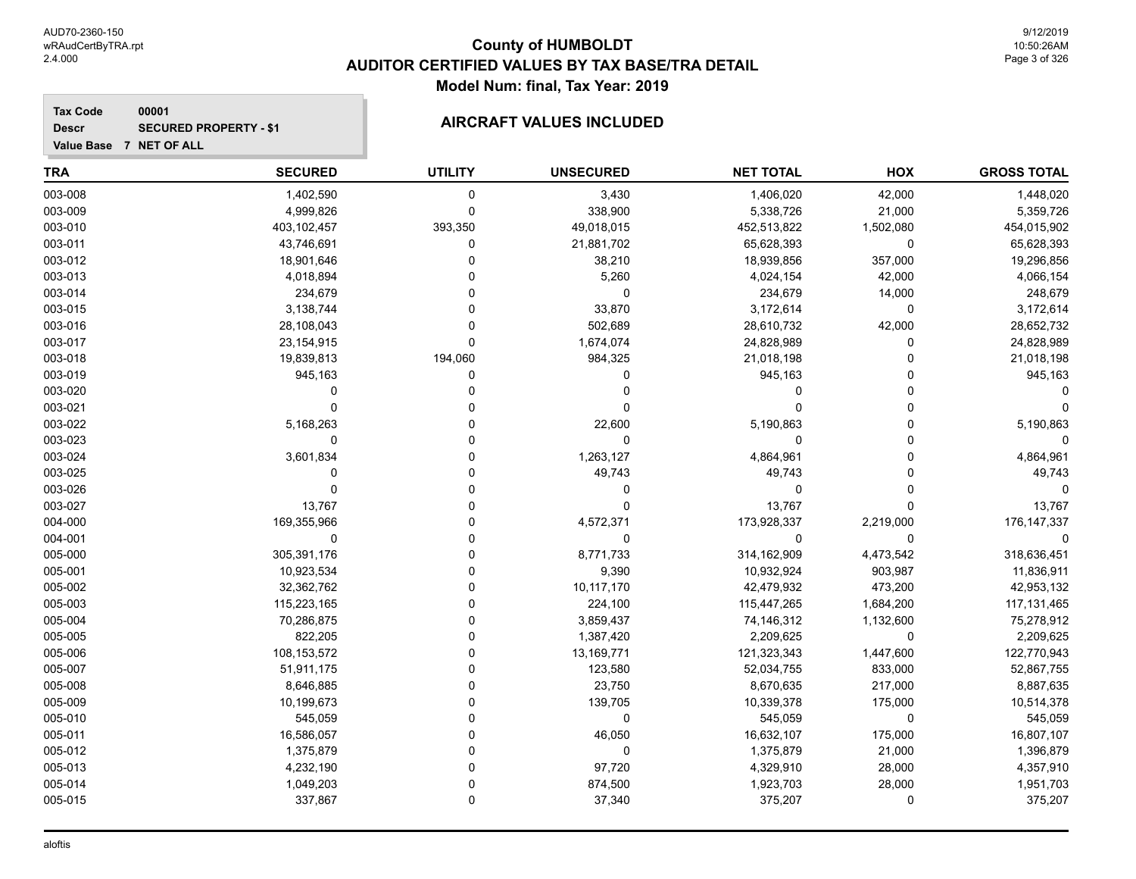#### **Tax Code 00001 Descr**

## **SECURED PROPERTY - \$1 AIRCRAFT VALUES INCLUDED**

| <b>TRA</b> | <b>SECURED</b> | <b>UTILITY</b> | <b>UNSECURED</b> | <b>NET TOTAL</b> | HOX         | <b>GROSS TOTAL</b> |
|------------|----------------|----------------|------------------|------------------|-------------|--------------------|
| 003-008    | 1,402,590      | $\mathbf 0$    | 3,430            | 1,406,020        | 42,000      | 1,448,020          |
| 003-009    | 4,999,826      | $\Omega$       | 338,900          | 5,338,726        | 21,000      | 5,359,726          |
| 003-010    | 403,102,457    | 393,350        | 49,018,015       | 452,513,822      | 1,502,080   | 454,015,902        |
| 003-011    | 43,746,691     | 0              | 21,881,702       | 65,628,393       | $\mathbf 0$ | 65,628,393         |
| 003-012    | 18,901,646     | 0              | 38,210           | 18,939,856       | 357,000     | 19,296,856         |
| 003-013    | 4,018,894      |                | 5,260            | 4,024,154        | 42,000      | 4,066,154          |
| 003-014    | 234,679        |                | $\mathbf 0$      | 234,679          | 14,000      | 248,679            |
| 003-015    | 3,138,744      | $\Omega$       | 33,870           | 3,172,614        | $\mathbf 0$ | 3,172,614          |
| 003-016    | 28,108,043     | $\Omega$       | 502,689          | 28,610,732       | 42,000      | 28,652,732         |
| 003-017    | 23,154,915     | $\Omega$       | 1,674,074        | 24,828,989       | $\Omega$    | 24,828,989         |
| 003-018    | 19,839,813     | 194,060        | 984,325          | 21,018,198       | $\Omega$    | 21,018,198         |
| 003-019    | 945,163        | 0              | 0                | 945,163          | 0           | 945,163            |
| 003-020    | 0              | 0              | 0                | 0                | 0           |                    |
| 003-021    | $\Omega$       |                | 0                | $\Omega$         | 0           |                    |
| 003-022    | 5,168,263      | 0              | 22,600           | 5,190,863        | 0           | 5,190,863          |
| 003-023    | 0              |                | 0                | 0                | $\Omega$    | 0                  |
| 003-024    | 3,601,834      | 0              | 1,263,127        | 4,864,961        | $\Omega$    | 4,864,961          |
| 003-025    | $\Omega$       | O              | 49,743           | 49,743           | $\Omega$    | 49,743             |
| 003-026    | $\mathbf 0$    | 0              | 0                | 0                | $\Omega$    | $\Omega$           |
| 003-027    | 13,767         | 0              | 0                | 13,767           | $\Omega$    | 13,767             |
| 004-000    | 169,355,966    | 0              | 4,572,371        | 173,928,337      | 2,219,000   | 176, 147, 337      |
| 004-001    | $\mathbf 0$    | 0              | 0                | $\mathbf 0$      | $\mathbf 0$ |                    |
| 005-000    | 305,391,176    | $\Omega$       | 8,771,733        | 314,162,909      | 4,473,542   | 318,636,451        |
| 005-001    | 10,923,534     | 0              | 9,390            | 10,932,924       | 903,987     | 11,836,911         |
| 005-002    | 32,362,762     | 0              | 10,117,170       | 42,479,932       | 473,200     | 42,953,132         |
| 005-003    | 115,223,165    | 0              | 224,100          | 115,447,265      | 1,684,200   | 117, 131, 465      |
| 005-004    | 70,286,875     | $\Omega$       | 3,859,437        | 74,146,312       | 1,132,600   | 75,278,912         |
| 005-005    | 822,205        | 0              | 1,387,420        | 2,209,625        | $\mathbf 0$ | 2,209,625          |
| 005-006    | 108,153,572    | 0              | 13,169,771       | 121,323,343      | 1,447,600   | 122,770,943        |
| 005-007    | 51,911,175     | 0              | 123,580          | 52,034,755       | 833,000     | 52,867,755         |
| 005-008    | 8,646,885      | 0              | 23,750           | 8,670,635        | 217,000     | 8,887,635          |
| 005-009    | 10,199,673     | $\Omega$       | 139,705          | 10,339,378       | 175,000     | 10,514,378         |
| 005-010    | 545,059        | 0              | 0                | 545,059          | $\mathbf 0$ | 545,059            |
| 005-011    | 16,586,057     | $\Omega$       | 46,050           | 16,632,107       | 175,000     | 16,807,107         |
| 005-012    | 1,375,879      | 0              | 0                | 1,375,879        | 21,000      | 1,396,879          |
| 005-013    | 4,232,190      | $\Omega$       | 97,720           | 4,329,910        | 28,000      | 4,357,910          |
| 005-014    | 1,049,203      | 0              | 874,500          | 1,923,703        | 28,000      | 1,951,703          |
| 005-015    | 337,867        | $\Omega$       | 37,340           | 375,207          | $\mathbf 0$ | 375,207            |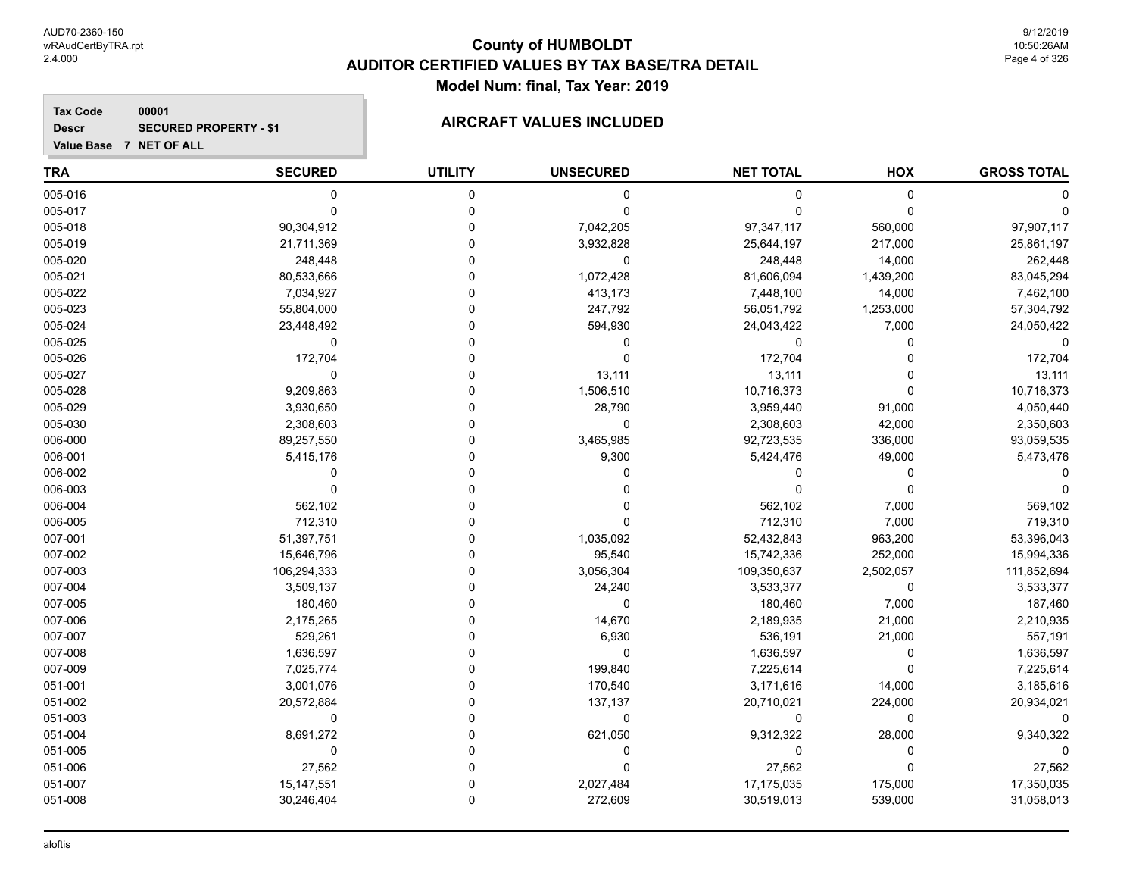**Tax Code 00001 Descr**

## **SECURED PROPERTY - \$1 AIRCRAFT VALUES INCLUDED**

| <b>TRA</b> | <b>SECURED</b> | <b>UTILITY</b> | <b>UNSECURED</b> | <b>NET TOTAL</b> | HOX       | <b>GROSS TOTAL</b> |
|------------|----------------|----------------|------------------|------------------|-----------|--------------------|
| 005-016    | $\mathbf 0$    | $\mathbf 0$    | $\mathbf 0$      | 0                | 0         |                    |
| 005-017    | $\mathbf 0$    | $\mathbf 0$    | $\mathbf 0$      | $\Omega$         | 0         | ∩                  |
| 005-018    | 90,304,912     | $\mathbf 0$    | 7,042,205        | 97,347,117       | 560,000   | 97,907,117         |
| 005-019    | 21,711,369     | $\Omega$       | 3,932,828        | 25,644,197       | 217,000   | 25,861,197         |
| 005-020    | 248,448        | $\Omega$       | $\mathbf 0$      | 248,448          | 14,000    | 262,448            |
| 005-021    | 80,533,666     | $\Omega$       | 1,072,428        | 81,606,094       | 1,439,200 | 83,045,294         |
| 005-022    | 7,034,927      | $\Omega$       | 413,173          | 7,448,100        | 14,000    | 7,462,100          |
| 005-023    | 55,804,000     | $\Omega$       | 247,792          | 56,051,792       | 1,253,000 | 57,304,792         |
| 005-024    | 23,448,492     | $\Omega$       | 594,930          | 24,043,422       | 7,000     | 24,050,422         |
| 005-025    | $\pmb{0}$      | $\Omega$       | $\pmb{0}$        | $\mathbf 0$      | 0         | 0                  |
| 005-026    | 172,704        | $\Omega$       | $\mathbf 0$      | 172,704          | 0         | 172,704            |
| 005-027    | $\mathbf 0$    | $\Omega$       | 13,111           | 13,111           | 0         | 13,111             |
| 005-028    | 9,209,863      | $\Omega$       | 1,506,510        | 10,716,373       | $\Omega$  | 10,716,373         |
| 005-029    | 3,930,650      | $\Omega$       | 28,790           | 3,959,440        | 91,000    | 4,050,440          |
| 005-030    | 2,308,603      | $\Omega$       | 0                | 2,308,603        | 42,000    | 2,350,603          |
| 006-000    | 89,257,550     | $\Omega$       | 3,465,985        | 92,723,535       | 336,000   | 93,059,535         |
| 006-001    | 5,415,176      | $\mathbf 0$    | 9,300            | 5,424,476        | 49,000    | 5,473,476          |
| 006-002    | $\mathbf{0}$   | $\Omega$       | O                | 0                | 0         |                    |
| 006-003    | $\Omega$       | $\Omega$       |                  | $\Omega$         | 0         | ∩                  |
| 006-004    | 562,102        | $\Omega$       | $\Omega$         | 562,102          | 7,000     | 569,102            |
| 006-005    | 712,310        | $\Omega$       | $\Omega$         | 712,310          | 7,000     | 719,310            |
| 007-001    | 51,397,751     | $\Omega$       | 1,035,092        | 52,432,843       | 963,200   | 53,396,043         |
| 007-002    | 15,646,796     | $\Omega$       | 95,540           | 15,742,336       | 252,000   | 15,994,336         |
| 007-003    | 106,294,333    | $\Omega$       | 3,056,304        | 109,350,637      | 2,502,057 | 111,852,694        |
| 007-004    | 3,509,137      | $\Omega$       | 24,240           | 3,533,377        | 0         | 3,533,377          |
| 007-005    | 180,460        | $\Omega$       | $\pmb{0}$        | 180,460          | 7,000     | 187,460            |
| 007-006    | 2,175,265      | $\Omega$       | 14,670           | 2,189,935        | 21,000    | 2,210,935          |
| 007-007    | 529,261        | $\Omega$       | 6,930            | 536,191          | 21,000    | 557,191            |
| 007-008    | 1,636,597      | $\Omega$       | $\mathbf 0$      | 1,636,597        | 0         | 1,636,597          |
| 007-009    | 7,025,774      | $\Omega$       | 199,840          | 7,225,614        | 0         | 7,225,614          |
| 051-001    | 3,001,076      | $\Omega$       | 170,540          | 3,171,616        | 14,000    | 3,185,616          |
| 051-002    | 20,572,884     | $\Omega$       | 137,137          | 20,710,021       | 224,000   | 20,934,021         |
| 051-003    | 0              | $\Omega$       | 0                | 0                | 0         | 0                  |
| 051-004    | 8,691,272      | $\Omega$       | 621,050          | 9,312,322        | 28,000    | 9,340,322          |
| 051-005    | $\mathbf 0$    | $\mathbf 0$    | $\mathbf 0$      | $\mathbf 0$      | 0         | $\Omega$           |
| 051-006    | 27,562         | $\Omega$       | $\Omega$         | 27,562           | 0         | 27,562             |
| 051-007    | 15,147,551     | $\Omega$       | 2,027,484        | 17,175,035       | 175,000   | 17,350,035         |
| 051-008    | 30,246,404     | $\Omega$       | 272,609          | 30,519,013       | 539,000   | 31,058,013         |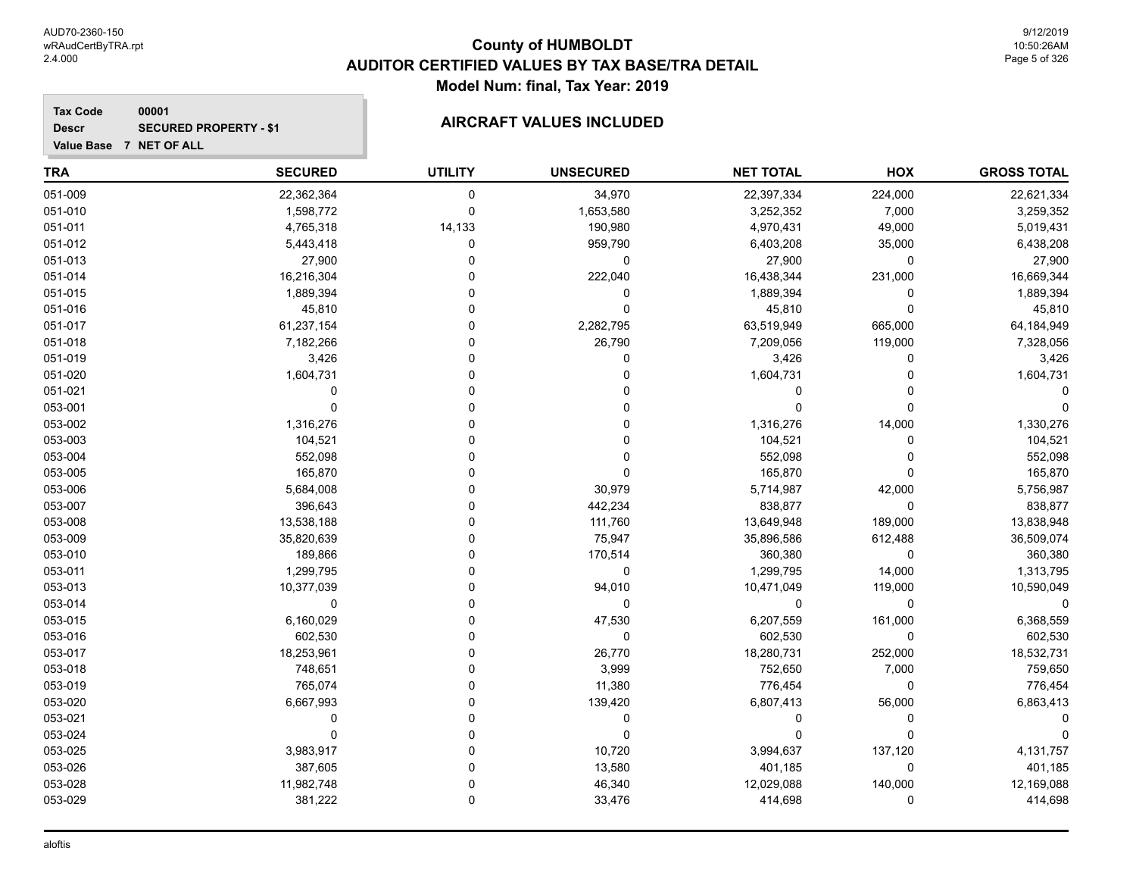**Value Base 7 NET OF ALL**

### **County of HUMBOLDT AUDITOR CERTIFIED VALUES BY TAX BASE/TRA DETAIL Model Num: final, Tax Year: 2019**

9/12/2019 10:50:26AM Page 5 of 326

**Tax Code 00001 Descr**

## **SECURED PROPERTY - \$1 AIRCRAFT VALUES INCLUDED**

| <b>TRA</b> | <b>SECURED</b> | <b>UTILITY</b> | <b>UNSECURED</b> | <b>NET TOTAL</b> | HOX      | <b>GROSS TOTAL</b> |
|------------|----------------|----------------|------------------|------------------|----------|--------------------|
| 051-009    | 22,362,364     | 0              | 34,970           | 22,397,334       | 224,000  | 22,621,334         |
| 051-010    | 1,598,772      | 0              | 1,653,580        | 3,252,352        | 7,000    | 3,259,352          |
| 051-011    | 4,765,318      | 14,133         | 190,980          | 4,970,431        | 49,000   | 5,019,431          |
| 051-012    | 5,443,418      | 0              | 959,790          | 6,403,208        | 35,000   | 6,438,208          |
| 051-013    | 27,900         | $\Omega$       | 0                | 27,900           | 0        | 27,900             |
| 051-014    | 16,216,304     | $\Omega$       | 222,040          | 16,438,344       | 231,000  | 16,669,344         |
| 051-015    | 1,889,394      | 0              | 0                | 1,889,394        | 0        | 1,889,394          |
| 051-016    | 45,810         | 0              | 0                | 45,810           | 0        | 45,810             |
| 051-017    | 61,237,154     | 0              | 2,282,795        | 63,519,949       | 665,000  | 64,184,949         |
| 051-018    | 7,182,266      | 0              | 26,790           | 7,209,056        | 119,000  | 7,328,056          |
| 051-019    | 3,426          | U              | 0                | 3,426            | 0        | 3,426              |
| 051-020    | 1,604,731      | O              | 0                | 1,604,731        | 0        | 1,604,731          |
| 051-021    | $\Omega$       | $\Omega$       |                  | $\Omega$         | 0        |                    |
| 053-001    | $\mathbf 0$    | ŋ              | 0                | $\Omega$         | $\Omega$ |                    |
| 053-002    | 1,316,276      | $\Omega$       | 0                | 1,316,276        | 14,000   | 1,330,276          |
| 053-003    | 104,521        | 0              | 0                | 104,521          | 0        | 104,521            |
| 053-004    | 552,098        | U              | 0                | 552,098          | 0        | 552,098            |
| 053-005    | 165,870        | 0              | 0                | 165,870          | 0        | 165,870            |
| 053-006    | 5,684,008      | 0              | 30,979           | 5,714,987        | 42,000   | 5,756,987          |
| 053-007    | 396,643        | 0              | 442,234          | 838,877          | 0        | 838,877            |
| 053-008    | 13,538,188     | 0              | 111,760          | 13,649,948       | 189,000  | 13,838,948         |
| 053-009    | 35,820,639     | U              | 75,947           | 35,896,586       | 612,488  | 36,509,074         |
| 053-010    | 189,866        | 0              | 170,514          | 360,380          | 0        | 360,380            |
| 053-011    | 1,299,795      | 0              | 0                | 1,299,795        | 14,000   | 1,313,795          |
| 053-013    | 10,377,039     | 0              | 94,010           | 10,471,049       | 119,000  | 10,590,049         |
| 053-014    | 0              | 0              | 0                | $\Omega$         | 0        |                    |
| 053-015    | 6,160,029      | 0              | 47,530           | 6,207,559        | 161,000  | 6,368,559          |
| 053-016    | 602,530        | 0              | 0                | 602,530          | 0        | 602,530            |
| 053-017    | 18,253,961     | 0              | 26,770           | 18,280,731       | 252,000  | 18,532,731         |
| 053-018    | 748,651        | 0              | 3,999            | 752,650          | 7,000    | 759,650            |
| 053-019    | 765,074        | 0              | 11,380           | 776,454          | 0        | 776,454            |
| 053-020    | 6,667,993      | U              | 139,420          | 6,807,413        | 56,000   | 6,863,413          |
| 053-021    | 0              | $\Omega$       | 0                | 0                | 0        |                    |
| 053-024    | $\mathbf 0$    | $\Omega$       | 0                | $\Omega$         | 0        |                    |
| 053-025    | 3,983,917      | 0              | 10,720           | 3,994,637        | 137,120  | 4,131,757          |
| 053-026    | 387,605        | 0              | 13,580           | 401,185          | 0        | 401,185            |
| 053-028    | 11,982,748     | 0              | 46,340           | 12,029,088       | 140,000  | 12,169,088         |
| 053-029    | 381,222        | $\Omega$       | 33,476           | 414,698          | 0        | 414,698            |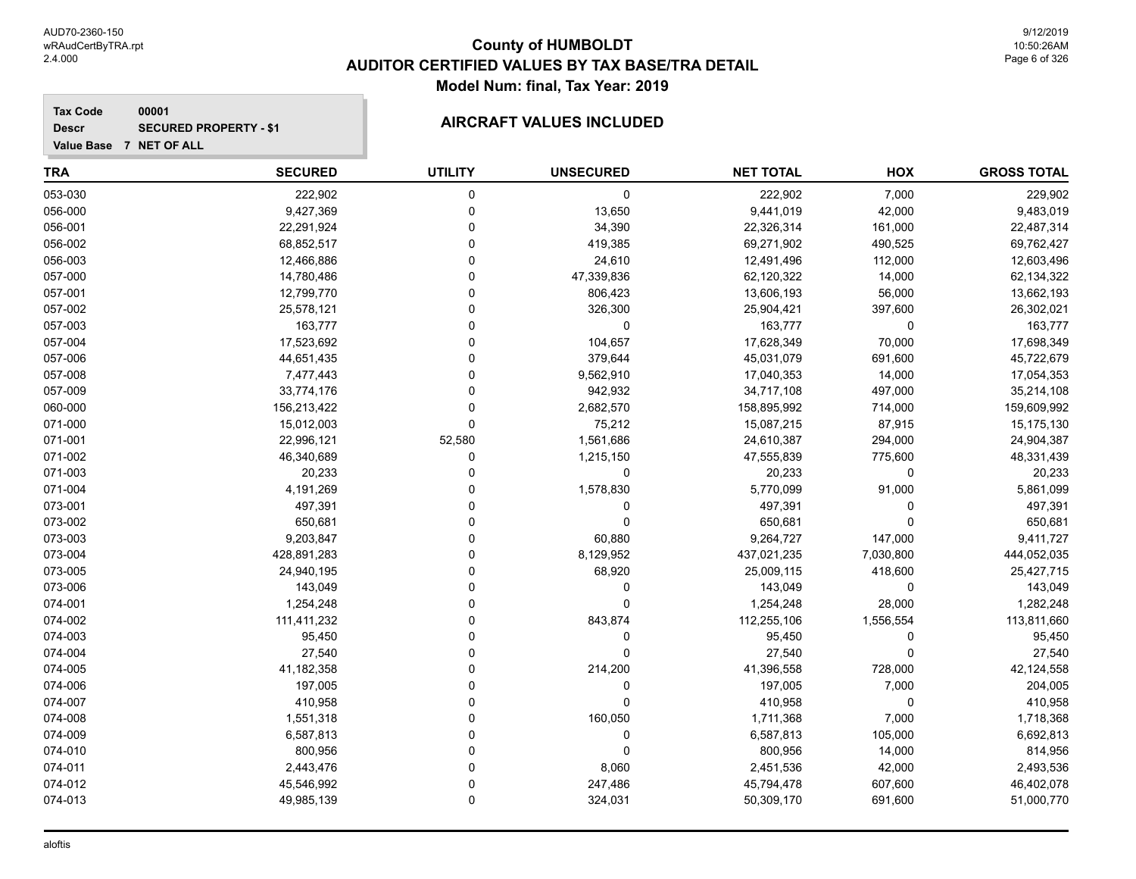**Tax Code 00001 Descr**

## **SECURED PROPERTY - \$1 AIRCRAFT VALUES INCLUDED**

| <b>TRA</b> | <b>SECURED</b> | <b>UTILITY</b> | <b>UNSECURED</b> | <b>NET TOTAL</b> | HOX         | <b>GROSS TOTAL</b> |
|------------|----------------|----------------|------------------|------------------|-------------|--------------------|
| 053-030    | 222,902        | $\mathbf 0$    | 0                | 222,902          | 7,000       | 229,902            |
| 056-000    | 9,427,369      | $\mathbf 0$    | 13,650           | 9,441,019        | 42,000      | 9,483,019          |
| 056-001    | 22,291,924     | $\mathbf 0$    | 34,390           | 22,326,314       | 161,000     | 22,487,314         |
| 056-002    | 68,852,517     | $\mathbf 0$    | 419,385          | 69,271,902       | 490,525     | 69,762,427         |
| 056-003    | 12,466,886     | $\Omega$       | 24,610           | 12,491,496       | 112,000     | 12,603,496         |
| 057-000    | 14,780,486     | $\Omega$       | 47,339,836       | 62,120,322       | 14,000      | 62,134,322         |
| 057-001    | 12,799,770     | $\Omega$       | 806,423          | 13,606,193       | 56,000      | 13,662,193         |
| 057-002    | 25,578,121     | $\overline{0}$ | 326,300          | 25,904,421       | 397,600     | 26,302,021         |
| 057-003    | 163,777        | $\Omega$       | 0                | 163,777          | $\mathbf 0$ | 163,777            |
| 057-004    | 17,523,692     | $\Omega$       | 104,657          | 17,628,349       | 70,000      | 17,698,349         |
| 057-006    | 44,651,435     | $\Omega$       | 379,644          | 45,031,079       | 691,600     | 45,722,679         |
| 057-008    | 7,477,443      | $\Omega$       | 9,562,910        | 17,040,353       | 14,000      | 17,054,353         |
| 057-009    | 33,774,176     | $\mathbf 0$    | 942,932          | 34,717,108       | 497,000     | 35,214,108         |
| 060-000    | 156,213,422    | 0              | 2,682,570        | 158,895,992      | 714,000     | 159,609,992        |
| 071-000    | 15,012,003     | $\mathbf 0$    | 75,212           | 15,087,215       | 87,915      | 15,175,130         |
| 071-001    | 22,996,121     | 52,580         | 1,561,686        | 24,610,387       | 294,000     | 24,904,387         |
| 071-002    | 46,340,689     | 0              | 1,215,150        | 47,555,839       | 775,600     | 48,331,439         |
| 071-003    | 20,233         | $\Omega$       | $\mathbf 0$      | 20,233           | $\mathbf 0$ | 20,233             |
| 071-004    | 4,191,269      | $\Omega$       | 1,578,830        | 5,770,099        | 91,000      | 5,861,099          |
| 073-001    | 497,391        | $\Omega$       | 0                | 497,391          | $\Omega$    | 497,391            |
| 073-002    | 650,681        | $\Omega$       | $\mathbf 0$      | 650,681          | $\Omega$    | 650,681            |
| 073-003    | 9,203,847      | $\Omega$       | 60,880           | 9,264,727        | 147,000     | 9,411,727          |
| 073-004    | 428,891,283    | $\Omega$       | 8,129,952        | 437,021,235      | 7,030,800   | 444,052,035        |
| 073-005    | 24,940,195     | $\Omega$       | 68,920           | 25,009,115       | 418,600     | 25,427,715         |
| 073-006    | 143,049        | $\Omega$       | $\mathbf 0$      | 143,049          | 0           | 143,049            |
| 074-001    | 1,254,248      | $\Omega$       | $\mathbf 0$      | 1,254,248        | 28,000      | 1,282,248          |
| 074-002    | 111,411,232    | $\Omega$       | 843,874          | 112,255,106      | 1,556,554   | 113,811,660        |
| 074-003    | 95,450         | $\Omega$       | $\mathbf 0$      | 95,450           | $\mathbf 0$ | 95,450             |
| 074-004    | 27,540         | $\Omega$       | $\mathbf 0$      | 27,540           | $\Omega$    | 27,540             |
| 074-005    | 41,182,358     | $\Omega$       | 214,200          | 41,396,558       | 728,000     | 42,124,558         |
| 074-006    | 197,005        | $\Omega$       | 0                | 197,005          | 7,000       | 204,005            |
| 074-007    | 410,958        | $\mathbf 0$    | 0                | 410,958          | $\mathbf 0$ | 410,958            |
| 074-008    | 1,551,318      | $\Omega$       | 160,050          | 1,711,368        | 7,000       | 1,718,368          |
| 074-009    | 6,587,813      | $\Omega$       | $\pmb{0}$        | 6,587,813        | 105,000     | 6,692,813          |
| 074-010    | 800,956        | 0              | $\mathbf 0$      | 800,956          | 14,000      | 814,956            |
| 074-011    | 2,443,476      | $\Omega$       | 8,060            | 2,451,536        | 42,000      | 2,493,536          |
| 074-012    | 45,546,992     | $\Omega$       | 247,486          | 45,794,478       | 607,600     | 46,402,078         |
| 074-013    | 49,985,139     | $\Omega$       | 324,031          | 50,309,170       | 691,600     | 51,000,770         |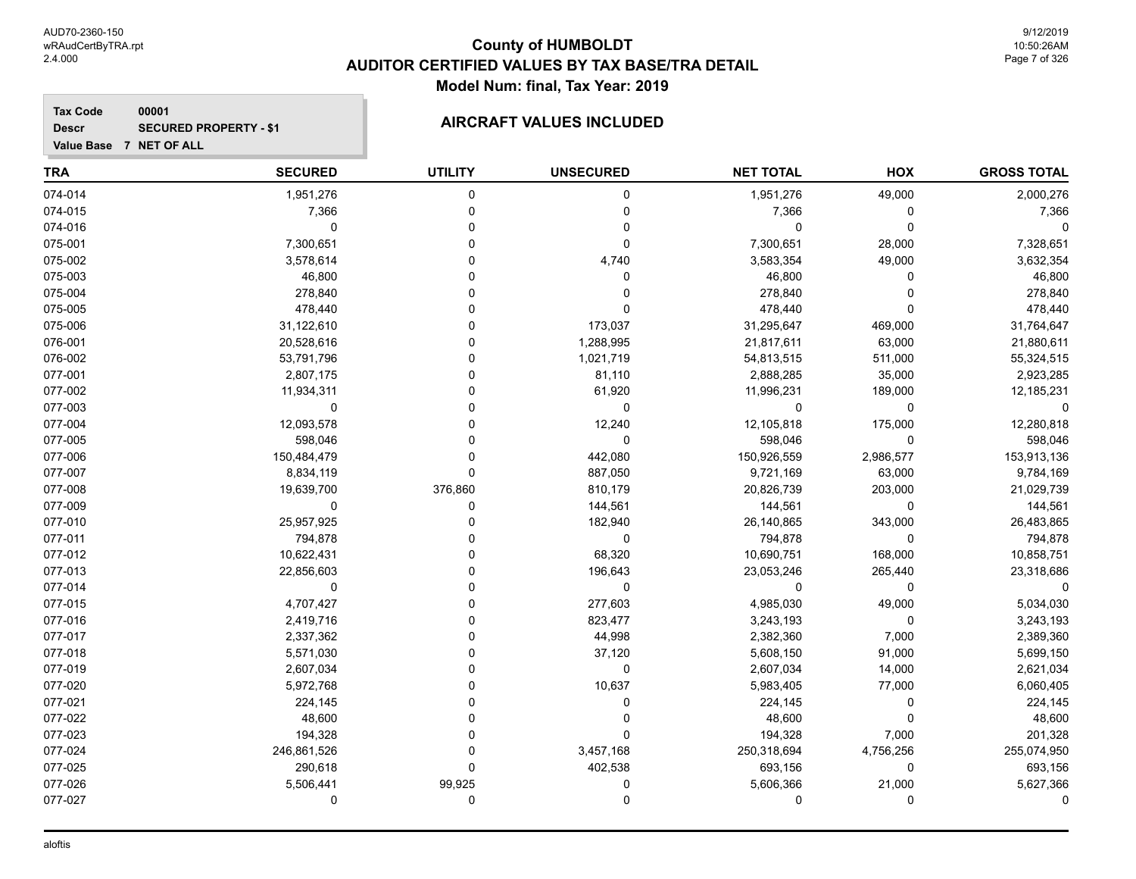**Tax Code 00001 Descr**

## **SECURED PROPERTY - \$1 AIRCRAFT VALUES INCLUDED**

| <b>TRA</b> | <b>SECURED</b> | <b>UTILITY</b> | <b>UNSECURED</b> | <b>NET TOTAL</b> | HOX         | <b>GROSS TOTAL</b> |
|------------|----------------|----------------|------------------|------------------|-------------|--------------------|
| 074-014    | 1,951,276      | $\mathbf 0$    | 0                | 1,951,276        | 49,000      | 2,000,276          |
| 074-015    | 7,366          | $\mathbf 0$    | 0                | 7,366            | $\mathbf 0$ | 7,366              |
| 074-016    | $\pmb{0}$      | $\mathbf 0$    | $\mathbf 0$      | 0                | $\Omega$    | $\Omega$           |
| 075-001    | 7,300,651      | $\Omega$       | 0                | 7,300,651        | 28,000      | 7,328,651          |
| 075-002    | 3,578,614      | $\Omega$       | 4,740            | 3,583,354        | 49,000      | 3,632,354          |
| 075-003    | 46,800         | $\Omega$       | 0                | 46,800           | $\Omega$    | 46,800             |
| 075-004    | 278,840        | $\Omega$       | 0                | 278,840          | $\Omega$    | 278,840            |
| 075-005    | 478,440        | $\Omega$       | 0                | 478,440          | $\Omega$    | 478,440            |
| 075-006    | 31,122,610     | $\Omega$       | 173,037          | 31,295,647       | 469,000     | 31,764,647         |
| 076-001    | 20,528,616     | $\Omega$       | 1,288,995        | 21,817,611       | 63,000      | 21,880,611         |
| 076-002    | 53,791,796     | $\Omega$       | 1,021,719        | 54,813,515       | 511,000     | 55,324,515         |
| 077-001    | 2,807,175      | $\Omega$       | 81,110           | 2,888,285        | 35,000      | 2,923,285          |
| 077-002    | 11,934,311     | $\Omega$       | 61,920           | 11,996,231       | 189,000     | 12,185,231         |
| 077-003    | $\mathbf 0$    | $\Omega$       | $\mathbf 0$      | 0                | $\Omega$    |                    |
| 077-004    | 12,093,578     | $\Omega$       | 12,240           | 12,105,818       | 175,000     | 12,280,818         |
| 077-005    | 598,046        | $\Omega$       | $\mathbf 0$      | 598,046          | $\Omega$    | 598,046            |
| 077-006    | 150,484,479    | $\Omega$       | 442,080          | 150,926,559      | 2,986,577   | 153,913,136        |
| 077-007    | 8,834,119      | $\Omega$       | 887,050          | 9,721,169        | 63,000      | 9,784,169          |
| 077-008    | 19,639,700     | 376,860        | 810,179          | 20,826,739       | 203,000     | 21,029,739         |
| 077-009    | 0              | $\mathbf 0$    | 144,561          | 144,561          | 0           | 144,561            |
| 077-010    | 25,957,925     | $\Omega$       | 182,940          | 26,140,865       | 343,000     | 26,483,865         |
| 077-011    | 794,878        | $\Omega$       | $\mathbf 0$      | 794,878          | 0           | 794,878            |
| 077-012    | 10,622,431     | $\Omega$       | 68,320           | 10,690,751       | 168,000     | 10,858,751         |
| 077-013    | 22,856,603     | $\Omega$       | 196,643          | 23,053,246       | 265,440     | 23,318,686         |
| 077-014    | 0              | $\Omega$       | $\mathbf 0$      | 0                | 0           |                    |
| 077-015    | 4,707,427      | $\Omega$       | 277,603          | 4,985,030        | 49,000      | 5,034,030          |
| 077-016    | 2,419,716      | $\mathbf 0$    | 823,477          | 3,243,193        | 0           | 3,243,193          |
| 077-017    | 2,337,362      | $\Omega$       | 44,998           | 2,382,360        | 7,000       | 2,389,360          |
| 077-018    | 5,571,030      | $\Omega$       | 37,120           | 5,608,150        | 91,000      | 5,699,150          |
| 077-019    | 2,607,034      | $\Omega$       | 0                | 2,607,034        | 14,000      | 2,621,034          |
| 077-020    | 5,972,768      | $\Omega$       | 10,637           | 5,983,405        | 77,000      | 6,060,405          |
| 077-021    | 224,145        | $\Omega$       | 0                | 224,145          | $\mathbf 0$ | 224,145            |
| 077-022    | 48,600         | $\Omega$       | 0                | 48,600           | $\Omega$    | 48,600             |
| 077-023    | 194,328        | $\Omega$       | $\mathbf 0$      | 194,328          | 7,000       | 201,328            |
| 077-024    | 246,861,526    | $\mathbf 0$    | 3,457,168        | 250,318,694      | 4,756,256   | 255,074,950        |
| 077-025    | 290,618        | $\Omega$       | 402,538          | 693,156          | $\mathbf 0$ | 693,156            |
| 077-026    | 5,506,441      | 99,925         | 0                | 5,606,366        | 21,000      | 5,627,366          |
| 077-027    | $\mathbf 0$    | $\mathbf 0$    | 0                | 0                | 0           | ∩                  |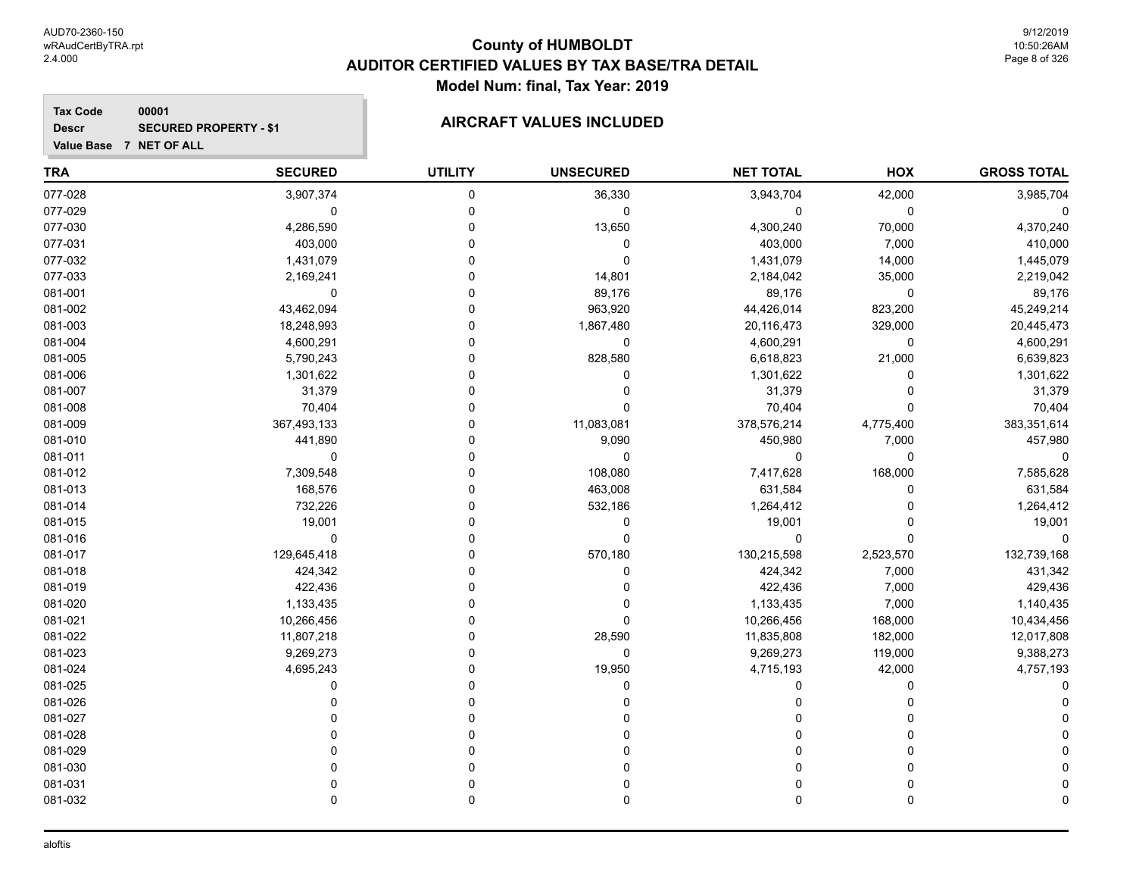**Tax Code 00001 Descr**

## **SECURED PROPERTY - \$1 AIRCRAFT VALUES INCLUDED**

| Value Base 7 NET OF ALL |                |                |                  |                  |             |                    |
|-------------------------|----------------|----------------|------------------|------------------|-------------|--------------------|
| <b>TRA</b>              | <b>SECURED</b> | <b>UTILITY</b> | <b>UNSECURED</b> | <b>NET TOTAL</b> | HOX         | <b>GROSS TOTAL</b> |
| 077-028                 | 3,907,374      | 0              | 36,330           | 3,943,704        | 42,000      | 3,985,704          |
| 077-029                 | $\mathbf 0$    | 0              | 0                | 0                | $\mathbf 0$ | $\Omega$           |
| 077-030                 | 4,286,590      | 0              | 13,650           | 4,300,240        | 70,000      | 4,370,240          |
| 077-031                 | 403,000        | 0              | $\mathbf 0$      | 403,000          | 7,000       | 410,000            |
| 077-032                 | 1,431,079      | 0              | $\mathbf 0$      | 1,431,079        | 14,000      | 1,445,079          |
| 077-033                 | 2,169,241      | 0              | 14,801           | 2,184,042        | 35,000      | 2,219,042          |
| 081-001                 | $\mathbf 0$    | $\Omega$       | 89,176           | 89,176           | 0           | 89,176             |
| 081-002                 | 43,462,094     | $\Omega$       | 963,920          | 44,426,014       | 823,200     | 45,249,214         |
| 081-003                 | 18,248,993     | 0              | 1,867,480        | 20,116,473       | 329,000     | 20,445,473         |
| 081-004                 | 4,600,291      | 0              | $\mathbf 0$      | 4,600,291        | 0           | 4,600,291          |
| 081-005                 | 5,790,243      | 0              | 828,580          | 6,618,823        | 21,000      | 6,639,823          |
| 081-006                 | 1,301,622      | O              | $\mathbf 0$      | 1,301,622        | $\Omega$    | 1,301,622          |
| 081-007                 | 31,379         | O              | $\Omega$         | 31,379           | $\Omega$    | 31,379             |
| 081-008                 | 70,404         | O              | $\Omega$         | 70,404           | $\Omega$    | 70,404             |
| 081-009                 | 367,493,133    | 0              | 11,083,081       | 378,576,214      | 4,775,400   | 383,351,614        |
| 081-010                 | 441,890        | 0              | 9,090            | 450,980          | 7,000       | 457,980            |
| 081-011                 | 0              | 0              | $\mathbf 0$      | $\mathbf 0$      | 0           | $\Omega$           |
| 081-012                 | 7,309,548      | 0              | 108,080          | 7,417,628        | 168,000     | 7,585,628          |
| 081-013                 | 168,576        | 0              | 463,008          | 631,584          | 0           | 631,584            |
| 081-014                 | 732,226        | 0              | 532,186          | 1,264,412        | 0           | 1,264,412          |
| 081-015                 | 19,001         | 0              | $\mathbf 0$      | 19,001           | 0           | 19,001             |
| 081-016                 | $\mathbf 0$    | 0              | $\mathbf 0$      | 0                | 0           | $\mathbf 0$        |
| 081-017                 | 129,645,418    | 0              | 570,180          | 130,215,598      | 2,523,570   | 132,739,168        |
| 081-018                 | 424,342        | U              | $\Omega$         | 424,342          | 7,000       | 431,342            |
| 081-019                 | 422,436        | U              | $\mathbf 0$      | 422,436          | 7,000       | 429,436            |
| 081-020                 | 1,133,435      | U              | $\mathbf 0$      | 1,133,435        | 7,000       | 1,140,435          |
| 081-021                 | 10,266,456     | U              | $\Omega$         | 10,266,456       | 168,000     | 10,434,456         |
| 081-022                 | 11,807,218     | U              | 28,590           | 11,835,808       | 182,000     | 12,017,808         |
| 081-023                 | 9,269,273      | 0              | $\mathbf 0$      | 9,269,273        | 119,000     | 9,388,273          |
| 081-024                 | 4,695,243      | ი              | 19,950           | 4,715,193        | 42,000      | 4,757,193          |
| 081-025                 | $\Omega$       | O              | $\Omega$         | $\mathbf 0$      | 0           |                    |
| 081-026                 | 0              | 0              | $\Omega$         | 0                | 0           |                    |
| 081-027                 |                | 0              | <sup>0</sup>     | $\Omega$         | U           |                    |
| 081-028                 | U              | 0              | $\Omega$         | $\Omega$         | 0           |                    |
| 081-029                 | U              | U              |                  | $\Omega$         | 0           |                    |
| 081-030                 | U              | 0              |                  | $\Omega$         | 0           |                    |
| 081-031                 | $\Omega$       | $\Omega$       | $\Omega$         | $\Omega$         | $\Omega$    |                    |

081-032 0 0 0 0 0 0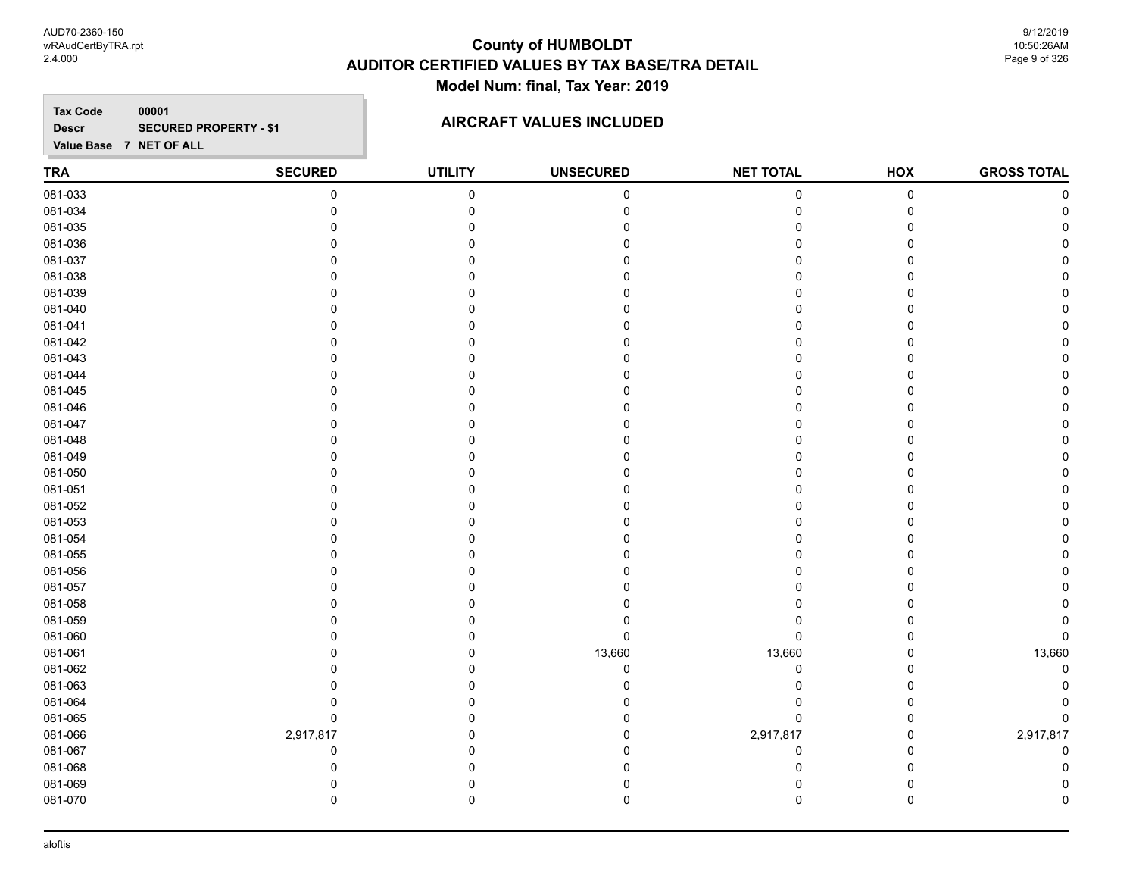AUD70-2360-150 wRAudCertByTRA.rpt 2.4.000

### **County of HUMBOLDT AUDITOR CERTIFIED VALUES BY TAX BASE/TRA DETAIL Model Num: final, Tax Year: 2019**

9/12/2019 10:50:26AM Page 9 of 326

**Tax Code Value Base 7 NET OF ALL 00001 Descr SECURED PROPERTY - \$1 AIRCRAFT VALUES INCLUDED** 

| TRA     | <b>SECURED</b> | <b>UTILITY</b> | <b>UNSECURED</b> | <b>NET TOTAL</b> | HOX         | <b>GROSS TOTAL</b> |
|---------|----------------|----------------|------------------|------------------|-------------|--------------------|
| 081-033 | 0              | $\pmb{0}$      | $\pmb{0}$        | 0                | $\pmb{0}$   | $\Omega$           |
| 081-034 | $\Omega$       | $\Omega$       | $\Omega$         | 0                | $\mathbf 0$ |                    |
| 081-035 | 0              | 0              |                  | 0                | $\Omega$    |                    |
| 081-036 | 0              | 0              |                  | 0                | 0           |                    |
| 081-037 | 0              | 0              |                  | 0                | ∩           |                    |
| 081-038 | 0              | $\Omega$       |                  | 0                | ∩           |                    |
| 081-039 | $\Omega$       | ∩              |                  | U                | n           |                    |
| 081-040 | 0              | $\Omega$       |                  | 0                | $\Omega$    |                    |
| 081-041 | 0              | ∩              |                  | U                | ∩           |                    |
| 081-042 | 0              | ∩              |                  | U                | n           |                    |
| 081-043 | 0              | 0              |                  | 0                | n           |                    |
| 081-044 | $\Omega$       | n              |                  | <sup>0</sup>     | n           |                    |
| 081-045 | 0              |                |                  | ი                |             |                    |
| 081-046 | $\Omega$       |                |                  | n                | n           |                    |
| 081-047 | 0              |                |                  | n                |             |                    |
| 081-048 | U              |                |                  | <sup>0</sup>     |             |                    |
| 081-049 | 0              | $\Omega$       |                  | <sup>0</sup>     |             |                    |
| 081-050 | 0              | n              |                  | 0                | n           |                    |
| 081-051 | 0              | n              |                  | <sup>0</sup>     | n           |                    |
| 081-052 | 0              |                |                  | U                |             |                    |
| 081-053 | 0              | n              |                  | <sup>0</sup>     | n           |                    |
| 081-054 | $\Omega$       | 0              |                  | 0                | ∩           |                    |
| 081-055 | U              | n              |                  | n                |             |                    |
| 081-056 | 0              | n              |                  | O                | n           |                    |
| 081-057 | 0              | 0              |                  | 0                | n           |                    |
| 081-058 | 0              | n              |                  | O                | n           |                    |
| 081-059 | 0              | 0              |                  | 0                | n           |                    |
| 081-060 | 0              | 0              | $\mathbf 0$      | 0                | 0           | 0                  |
| 081-061 | 0              | 0              | 13,660           | 13,660           | 0           | 13,660             |
| 081-062 | 0              | 0              | $\mathbf 0$      | 0                | ∩           | 0                  |
| 081-063 | 0              | 0              |                  | 0                | n           |                    |
| 081-064 | 0              | 0              |                  | 0                |             |                    |
| 081-065 | 0              | $\Omega$       |                  | 0                | 0           |                    |
| 081-066 | 2,917,817      | 0              |                  | 2,917,817        | 0           | 2,917,817          |
| 081-067 | 0              | 0              |                  | 0                | O           |                    |
| 081-068 | $\Omega$       | 0              | n                | 0                | $\Omega$    |                    |

081-069 0 0 0 0 0 0 081-070 0 0 0 0 0 0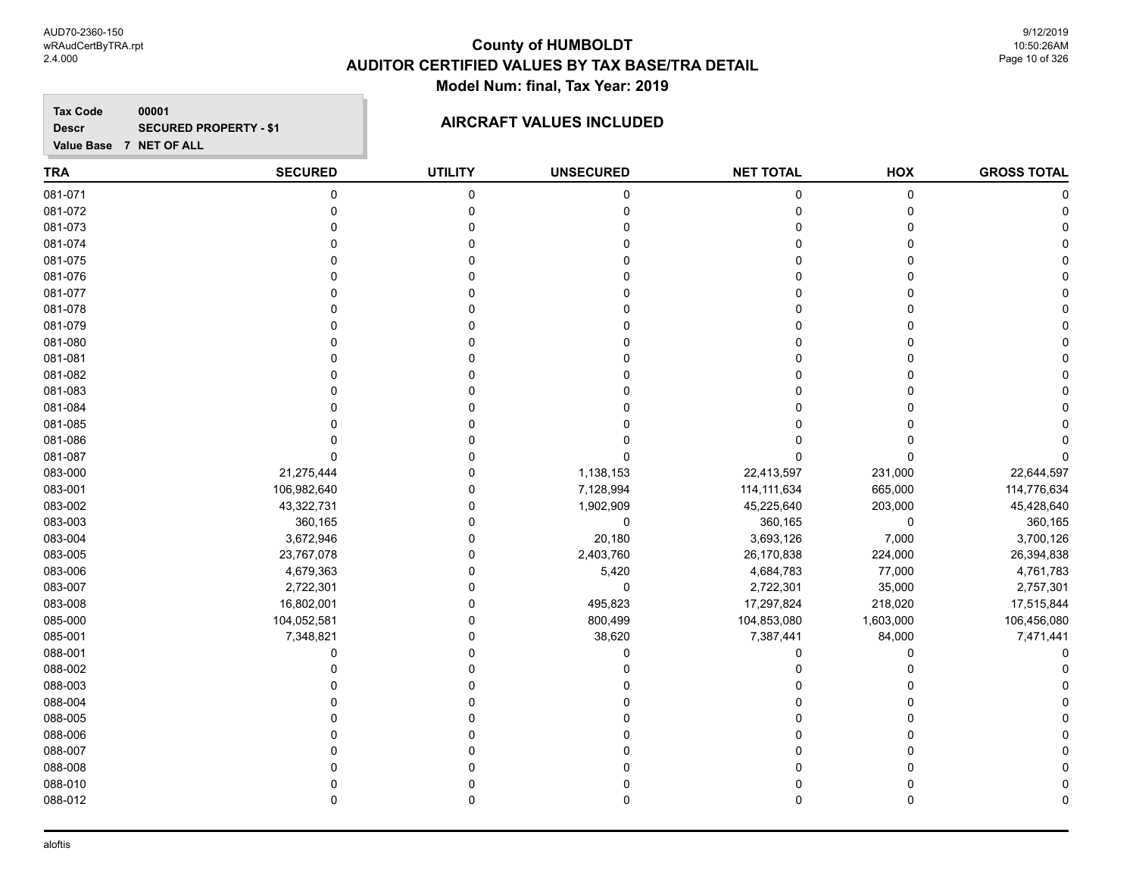AUD70-2360-150 wRAudCertByTRA.rpt 2.4.000

#### **County of HUMBOLDT AUDITOR CERTIFIED VALUES BY TAX BASE/TRA DETAIL Model Num: final, Tax Year: 2019**

9/12/2019 10:50:26AM Page 10 of 326

**Tax Code 00001 Descr**

### **SECURED PROPERTY - \$1 AIRCRAFT VALUES INCLUDED**

**Value Base 7 NET OF ALL**

#### **TRA SECURED UTILITY UNSECURED HOX GROSS TOTAL NET TOTAL** 081-071 0 0 0 0 0 0 081-072 0 0 0 0 0 0 081-073 0 0 0 0 0 0 081-074 0 0 0 0 0 0 081-075 0 0 0 0 0 0 081-076 0 0 0 0 0 0 081-077 0 0 0 0 0 0 081-078 0 0 0 0 0 0 081-079 0 0 0 0 0 0 081-080 0 0 0 0 0 0 081-081 0 0 0 0 0 0 081-082 0 0 0 0 0 0 081-083 0 0 0 0 0 0 081-084 0 0 0 0 0 0 081-085 0 0 0 0 0 0 081-086 0 0 0 0 0 0 081-087 0 0 0 0 0 0 083-000 21,275,444 0 1,138,153 22,413,597 231,000 22,644,597 083-001 106,982,640 0 7,128,994 114,111,634 665,000 114,776,634 083-002 43,322,731 0 1,902,909 45,225,640 203,000 45,428,640 083-003 360,165 0 0 360,165 0 360,165 083-004 3,672,946 0 20,180 3,693,126 7,000 3,700,126 083-005 23,767,078 0 2,403,760 26,170,838 224,000 26,394,838 083-006 4,679,363 0 5,420 4,684,783 77,000 4,761,783 083-007 2,722,301 0 0 2,722,301 35,000 2,757,301 083-008 16,802,001 0 495,823 17,297,824 218,020 17,515,844 085-000 104,052,581 0 800,499 104,853,080 1,603,000 106,456,080 085-001 7,348,821 0 38,620 7,387,441 84,000 7,471,441 088-001 0 0 0 0 0 0 088-002 0 0 0 0 0 0 088-003 0 0 0 0 0 0 088-004 0 0 0 0 0 0 088-005 0 0 0 0 0 0 088-006 0 0 0 0 0 0 088-007 0 0 0 0 0 0 088-008 0 0 0 0 0 0 088-010 0 0 0 0 0 0 088-012 0 0 0 0 0 0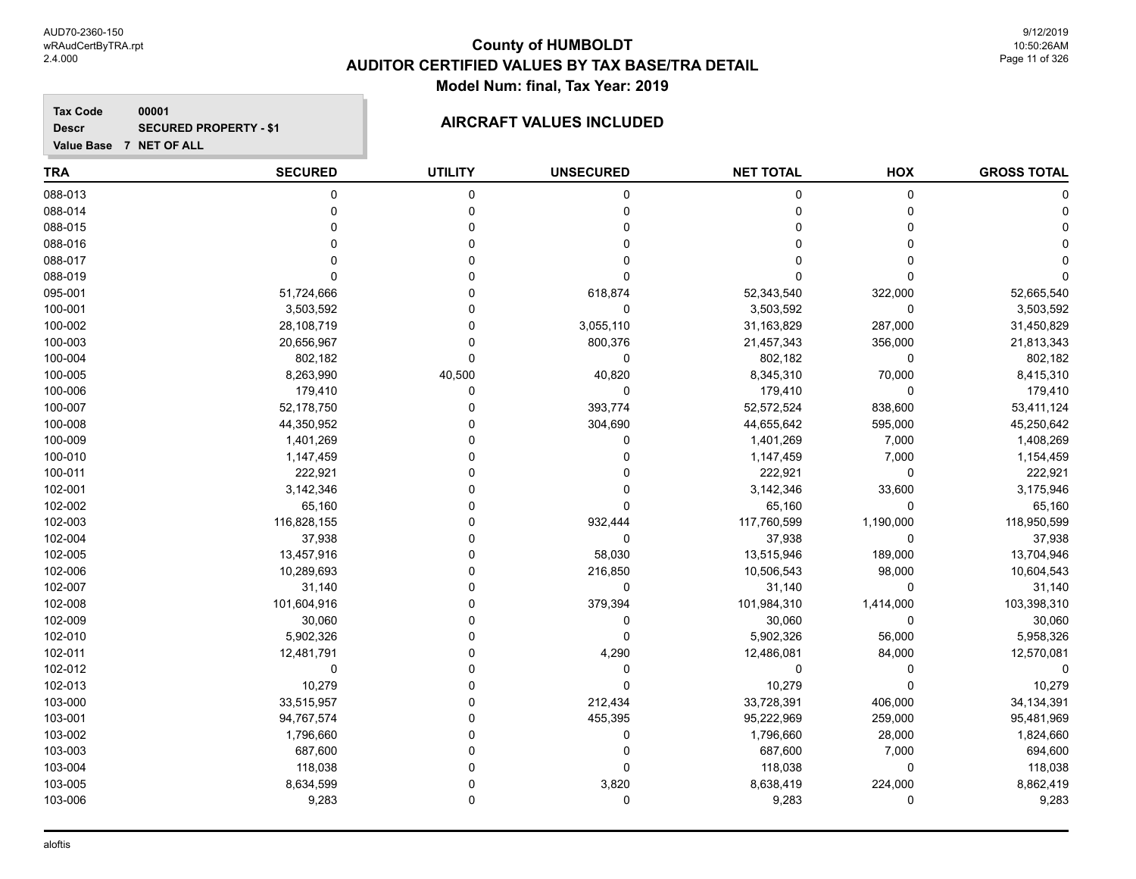**Tax Code 00001 Descr**

#### **SECURED PROPERTY - \$1 AIRCRAFT VALUES INCLUDED**

**Value Base 7 NET OF ALL**

#### **TRA SECURED UTILITY UNSECURED HOX GROSS TOTAL NET TOTAL** 088-013 0 0 0 0 0 0 088-014 0 0 0 0 0 0 088-015 0 0 0 0 0 0 088-016 0 0 0 0 0 0 088-017 0 0 0 0 0 0 088-019 0 0 0 0 0 0 095-001 51,724,666 0 618,874 52,343,540 322,000 52,665,540 100-001 3,503,592 0 0 3,503,592 0 3,503,592 100-002 28,108,719 0 3,055,110 31,163,829 287,000 31,450,829 100-003 20,656,967 0 800,376 21,457,343 356,000 21,813,343 100-004 802,182 0 0 802,182 0 802,182 100-005 8,263,990 40,500 40,820 8,345,310 70,000 8,415,310 100-006 179,410 0 0 179,410 0 179,410 100-007 52,178,750 0 393,774 52,572,524 838,600 53,411,124 100-008 44,350,952 0 304,690 44,655,642 595,000 45,250,642 100-009 1,401,269 0 0 1,401,269 7,000 1,408,269 100-010 1,147,459 0 0 1,147,459 7,000 1,154,459 100-011 222,921 0 0 222,921 0 222,921 102-001 3,142,346 0 0 3,142,346 3,600 3,175,946 102-002 65,160 0 0 65,160 0 65,160 102-003 116,828,155 0 932,444 117,760,599 1,190,000 118,950,599 102-004 37,938 0 0 37,938 0 37,938 102-005 13,457,916 0 58,030 13,515,946 189,000 13,704,946 102-006 10,289,693 0 216,850 10,506,543 98,000 10,604,543 102-007 31,140 0 0 31,140 0 31,140 102-008 101,604,916 0 379,394 101,984,310 1,414,000 103,398,310 102-009 30,060 0 0 30,060 0 30,060 102-010 5,902,326 0 0 5,902,326 56,000 5,958,326 102-011 12,481,791 0 4,290 12,486,081 84,000 12,570,081 102-012 0 0 0 0 0 0 102-013 10,279 0 0 10,279 0 10,279 103-000 33,515,957 0 212,434 33,728,391 406,000 34,134,391 103-001 94,767,574 0 455,395 95,222,969 259,000 95,481,969 103-002 1,796,660 0 0 1,796,660 28,000 1,824,660 103-003 687,600 0 0 687,600 7,000 694,600 103-004 118,038 0 0 118,038 0 118,038 103-005 8,634,599 0 3,820 8,638,419 224,000 8,862,419 103-006 9,283 0 0 9,283 0 9,283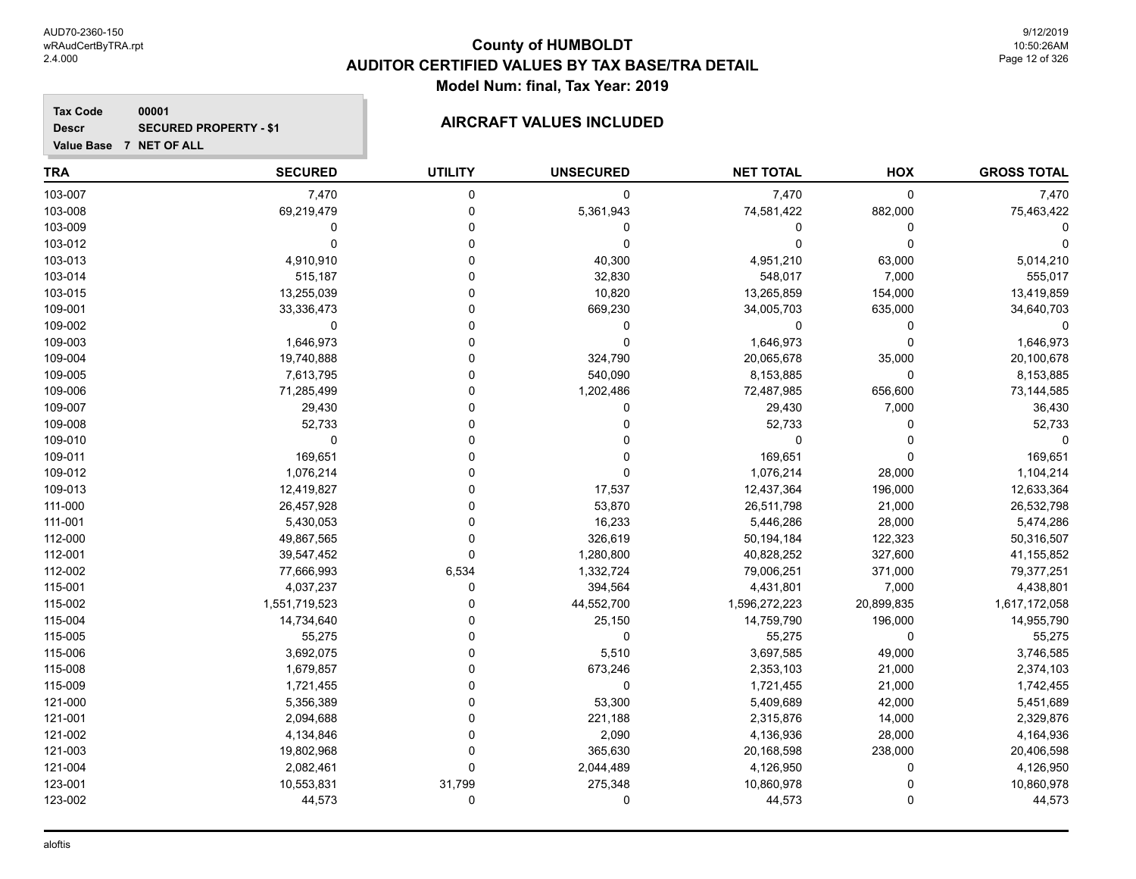**Tax Code 00001 Descr SECURED PROPERTY - \$1 AIRCRAFT VALUES INCLUDED** 

| <b>TRA</b> | <b>SECURED</b> | <b>UTILITY</b> | <b>UNSECURED</b> | <b>NET TOTAL</b> | HOX          | <b>GROSS TOTAL</b> |
|------------|----------------|----------------|------------------|------------------|--------------|--------------------|
| 103-007    | 7,470          | $\mathbf 0$    | 0                | 7,470            | $\pmb{0}$    | 7,470              |
| 103-008    | 69,219,479     | $\mathbf 0$    | 5,361,943        | 74,581,422       | 882,000      | 75,463,422         |
| 103-009    | $\mathbf 0$    | $\mathbf 0$    | $\pmb{0}$        | 0                | $\mathbf 0$  |                    |
| 103-012    | $\mathbf 0$    | $\Omega$       | $\mathbf 0$      | 0                | $\Omega$     |                    |
| 103-013    | 4,910,910      | $\Omega$       | 40,300           | 4,951,210        | 63,000       | 5,014,210          |
| 103-014    | 515,187        | $\Omega$       | 32,830           | 548,017          | 7,000        | 555,017            |
| 103-015    | 13,255,039     | $\Omega$       | 10,820           | 13,265,859       | 154,000      | 13,419,859         |
| 109-001    | 33,336,473     | 0              | 669,230          | 34,005,703       | 635,000      | 34,640,703         |
| 109-002    | $\mathbf 0$    | $\Omega$       | 0                | 0                | 0            | $\Omega$           |
| 109-003    | 1,646,973      | $\Omega$       | $\mathbf 0$      | 1,646,973        | $\Omega$     | 1,646,973          |
| 109-004    | 19,740,888     | $\Omega$       | 324,790          | 20,065,678       | 35,000       | 20,100,678         |
| 109-005    | 7,613,795      | $\Omega$       | 540,090          | 8,153,885        | $\mathbf 0$  | 8,153,885          |
| 109-006    | 71,285,499     | $\Omega$       | 1,202,486        | 72,487,985       | 656,600      | 73,144,585         |
| 109-007    | 29,430         | $\Omega$       | 0                | 29,430           | 7,000        | 36,430             |
| 109-008    | 52,733         | $\Omega$       | 0                | 52,733           | $\mathbf 0$  | 52,733             |
| 109-010    | 0              | $\Omega$       | 0                | 0                | $\mathbf{0}$ |                    |
| 109-011    | 169,651        | $\Omega$       | 0                | 169,651          | $\Omega$     | 169,651            |
| 109-012    | 1,076,214      | $\Omega$       | 0                | 1,076,214        | 28,000       | 1,104,214          |
| 109-013    | 12,419,827     | $\Omega$       | 17,537           | 12,437,364       | 196,000      | 12,633,364         |
| 111-000    | 26,457,928     | $\Omega$       | 53,870           | 26,511,798       | 21,000       | 26,532,798         |
| 111-001    | 5,430,053      | $\Omega$       | 16,233           | 5,446,286        | 28,000       | 5,474,286          |
| 112-000    | 49,867,565     | $\Omega$       | 326,619          | 50,194,184       | 122,323      | 50,316,507         |
| 112-001    | 39,547,452     | $\mathbf 0$    | 1,280,800        | 40,828,252       | 327,600      | 41,155,852         |
| 112-002    | 77,666,993     | 6,534          | 1,332,724        | 79,006,251       | 371,000      | 79,377,251         |
| 115-001    | 4,037,237      | $\mathbf 0$    | 394,564          | 4,431,801        | 7,000        | 4,438,801          |
| 115-002    | 1,551,719,523  | $\Omega$       | 44,552,700       | 1,596,272,223    | 20,899,835   | 1,617,172,058      |
| 115-004    | 14,734,640     | $\Omega$       | 25,150           | 14,759,790       | 196,000      | 14,955,790         |
| 115-005    | 55,275         | $\Omega$       | 0                | 55,275           | 0            | 55,275             |
| 115-006    | 3,692,075      | $\Omega$       | 5,510            | 3,697,585        | 49,000       | 3,746,585          |
| 115-008    | 1,679,857      | $\mathbf{0}$   | 673,246          | 2,353,103        | 21,000       | 2,374,103          |
| 115-009    | 1,721,455      | $\Omega$       | $\mathbf 0$      | 1,721,455        | 21,000       | 1,742,455          |
| 121-000    | 5,356,389      | $\Omega$       | 53,300           | 5,409,689        | 42,000       | 5,451,689          |
| 121-001    | 2,094,688      | $\Omega$       | 221,188          | 2,315,876        | 14,000       | 2,329,876          |
| 121-002    | 4,134,846      | $\Omega$       | 2,090            | 4,136,936        | 28,000       | 4,164,936          |
| 121-003    | 19,802,968     | $\mathbf 0$    | 365,630          | 20,168,598       | 238,000      | 20,406,598         |
| 121-004    | 2,082,461      | $\Omega$       | 2,044,489        | 4,126,950        | 0            | 4,126,950          |
| 123-001    | 10,553,831     | 31,799         | 275,348          | 10,860,978       | $\Omega$     | 10,860,978         |
| 123-002    | 44,573         | 0              | 0                | 44,573           | $\Omega$     | 44,573             |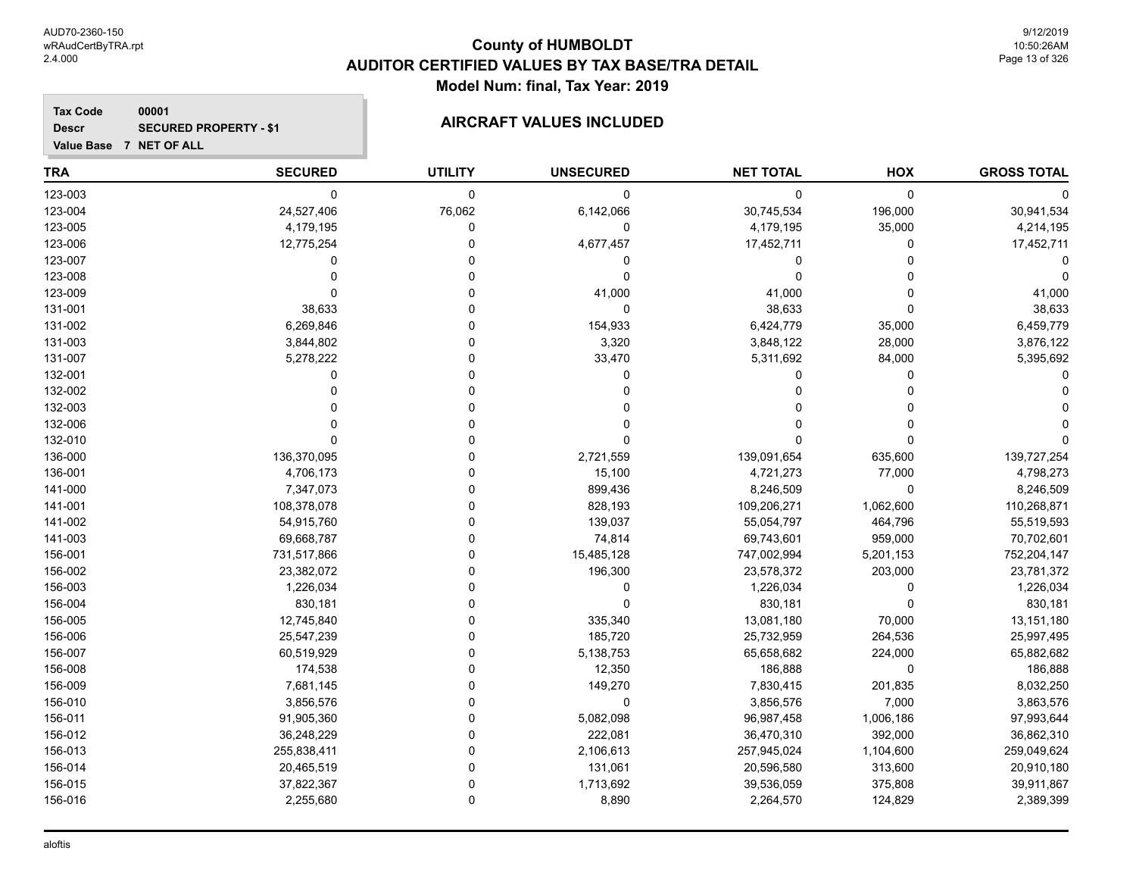**Value Base 7 NET OF ALL**

**Tax Code**

**Descr**

### **County of HUMBOLDT AUDITOR CERTIFIED VALUES BY TAX BASE/TRA DETAIL Model Num: final, Tax Year: 2019**

#### **00001 SECURED PROPERTY - \$1 AIRCRAFT VALUES INCLUDED**

| <b>TRA</b> | <b>SECURED</b> | <b>UTILITY</b> | <b>UNSECURED</b> | <b>NET TOTAL</b> | HOX       | <b>GROSS TOTAL</b> |
|------------|----------------|----------------|------------------|------------------|-----------|--------------------|
| 123-003    | 0              | 0              | 0                | $\mathbf 0$      | 0         |                    |
| 123-004    | 24,527,406     | 76,062         | 6,142,066        | 30,745,534       | 196,000   | 30,941,534         |
| 123-005    | 4,179,195      | 0              | 0                | 4,179,195        | 35,000    | 4,214,195          |
| 123-006    | 12,775,254     | 0              | 4,677,457        | 17,452,711       | 0         | 17,452,711         |
| 123-007    | 0              | 0              | 0                | 0                | $\Omega$  |                    |
| 123-008    |                | U              | 0                | $\Omega$         | U         |                    |
| 123-009    |                | 0              | 41,000           | 41,000           | $\Omega$  | 41,000             |
| 131-001    | 38,633         | $\Omega$       | $\mathbf{0}$     | 38,633           | $\Omega$  | 38,633             |
| 131-002    | 6,269,846      | 0              | 154,933          | 6,424,779        | 35,000    | 6,459,779          |
| 131-003    | 3,844,802      | 0              | 3,320            | 3,848,122        | 28,000    | 3,876,122          |
| 131-007    | 5,278,222      | 0              | 33,470           | 5,311,692        | 84,000    | 5,395,692          |
| 132-001    | 0              | 0              | 0                | 0                | 0         |                    |
| 132-002    | O              | 0              | 0                | 0                | $\Omega$  |                    |
| 132-003    |                | O              |                  |                  | U         |                    |
| 132-006    |                | 0              |                  |                  | U         |                    |
| 132-010    | O              | $\Omega$       | 0                | $\Omega$         | $\Omega$  |                    |
| 136-000    | 136,370,095    | 0              | 2,721,559        | 139,091,654      | 635,600   | 139,727,254        |
| 136-001    | 4,706,173      | 0              | 15,100           | 4,721,273        | 77,000    | 4,798,273          |
| 141-000    | 7,347,073      | 0              | 899,436          | 8,246,509        | 0         | 8,246,509          |
| 141-001    | 108,378,078    | 0              | 828,193          | 109,206,271      | 1,062,600 | 110,268,871        |
| 141-002    | 54,915,760     | 0              | 139,037          | 55,054,797       | 464,796   | 55,519,593         |
| 141-003    | 69,668,787     | 0              | 74,814           | 69,743,601       | 959,000   | 70,702,601         |
| 156-001    | 731,517,866    | 0              | 15,485,128       | 747,002,994      | 5,201,153 | 752,204,147        |
| 156-002    | 23,382,072     | U              | 196,300          | 23,578,372       | 203,000   | 23,781,372         |
| 156-003    | 1,226,034      |                | 0                | 1,226,034        | 0         | 1,226,034          |
| 156-004    | 830,181        | 0              | O                | 830,181          | $\Omega$  | 830,181            |
| 156-005    | 12,745,840     | 0              | 335,340          | 13,081,180       | 70,000    | 13,151,180         |
| 156-006    | 25,547,239     | $\Omega$       | 185,720          | 25,732,959       | 264,536   | 25,997,495         |
| 156-007    | 60,519,929     | 0              | 5,138,753        | 65,658,682       | 224,000   | 65,882,682         |
| 156-008    | 174,538        | 0              | 12,350           | 186,888          | 0         | 186,888            |
| 156-009    | 7,681,145      | 0              | 149,270          | 7,830,415        | 201,835   | 8,032,250          |
| 156-010    | 3,856,576      | 0              | 0                | 3,856,576        | 7,000     | 3,863,576          |
| 156-011    | 91,905,360     | 0              | 5,082,098        | 96,987,458       | 1,006,186 | 97,993,644         |
| 156-012    | 36,248,229     | 0              | 222,081          | 36,470,310       | 392,000   | 36,862,310         |
| 156-013    | 255,838,411    | 0              | 2,106,613        | 257,945,024      | 1,104,600 | 259,049,624        |
| 156-014    | 20,465,519     | 0              | 131,061          | 20,596,580       | 313,600   | 20,910,180         |
| 156-015    | 37,822,367     | 0              | 1,713,692        | 39,536,059       | 375,808   | 39,911,867         |
| 156-016    | 2,255,680      | $\Omega$       | 8,890            | 2,264,570        | 124,829   | 2,389,399          |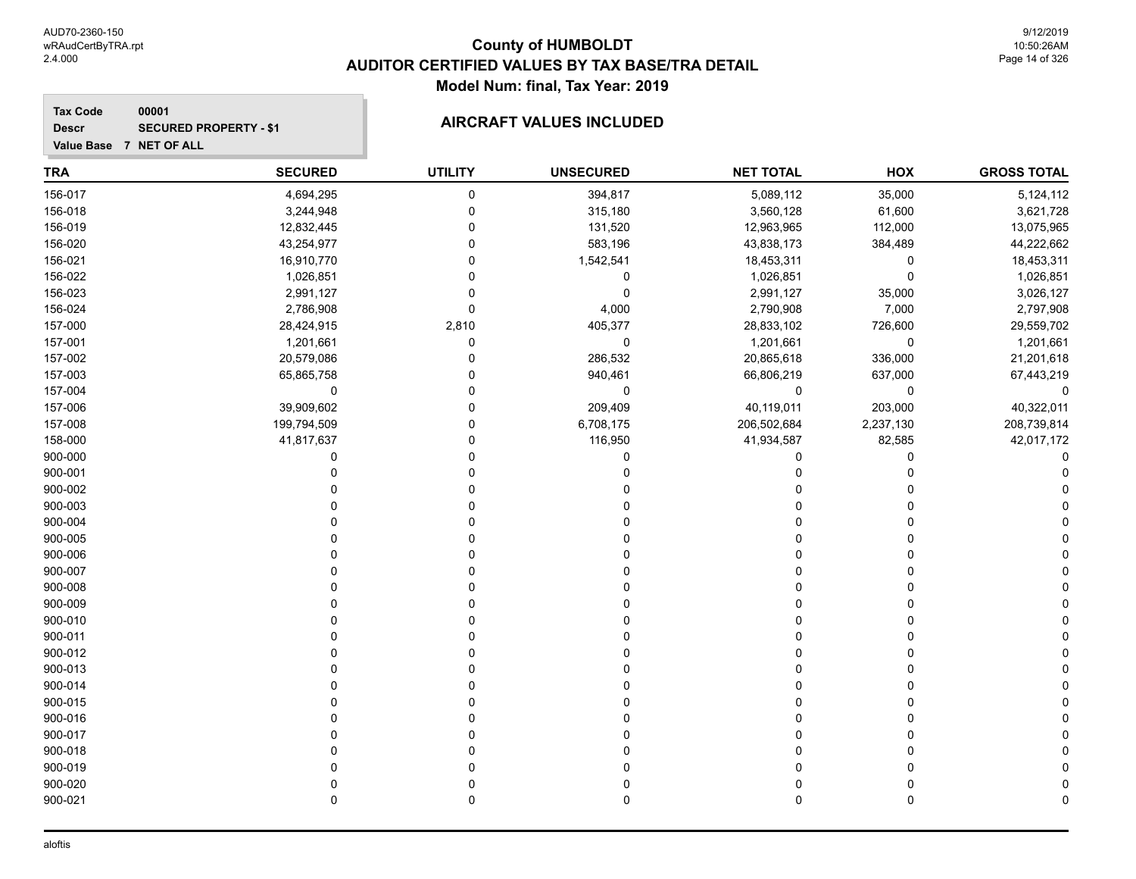**Tax Code 00001 Descr**

## **SECURED PROPERTY - \$1 AIRCRAFT VALUES INCLUDED**

| <b>TRA</b> | <b>SECURED</b> | <b>UTILITY</b> | <b>UNSECURED</b> | <b>NET TOTAL</b> | HOX       | <b>GROSS TOTAL</b> |
|------------|----------------|----------------|------------------|------------------|-----------|--------------------|
| 156-017    | 4,694,295      | $\pmb{0}$      | 394,817          | 5,089,112        | 35,000    | 5,124,112          |
| 156-018    | 3,244,948      | 0              | 315,180          | 3,560,128        | 61,600    | 3,621,728          |
| 156-019    | 12,832,445     | $\mathbf 0$    | 131,520          | 12,963,965       | 112,000   | 13,075,965         |
| 156-020    | 43,254,977     | $\mathbf 0$    | 583,196          | 43,838,173       | 384,489   | 44,222,662         |
| 156-021    | 16,910,770     | 0              | 1,542,541        | 18,453,311       | 0         | 18,453,311         |
| 156-022    | 1,026,851      | $\Omega$       | 0                | 1,026,851        | 0         | 1,026,851          |
| 156-023    | 2,991,127      | $\mathbf 0$    | 0                | 2,991,127        | 35,000    | 3,026,127          |
| 156-024    | 2,786,908      | $\mathbf 0$    | 4,000            | 2,790,908        | 7,000     | 2,797,908          |
| 157-000    | 28,424,915     | 2,810          | 405,377          | 28,833,102       | 726,600   | 29,559,702         |
| 157-001    | 1,201,661      | $\mathbf 0$    | $\mathbf 0$      | 1,201,661        | 0         | 1,201,661          |
| 157-002    | 20,579,086     | $\mathbf 0$    | 286,532          | 20,865,618       | 336,000   | 21,201,618         |
| 157-003    | 65,865,758     | 0              | 940,461          | 66,806,219       | 637,000   | 67,443,219         |
| 157-004    | 0              | $\mathbf 0$    | 0                | 0                | 0         | $\mathbf{0}$       |
| 157-006    | 39,909,602     | $\mathbf 0$    | 209,409          | 40,119,011       | 203,000   | 40,322,011         |
| 157-008    | 199,794,509    | 0              | 6,708,175        | 206,502,684      | 2,237,130 | 208,739,814        |
| 158-000    | 41,817,637     | $\mathbf 0$    | 116,950          | 41,934,587       | 82,585    | 42,017,172         |
| 900-000    | 0              | $\mathbf 0$    | 0                | 0                | 0         | C                  |
| 900-001    | $\Omega$       | $\Omega$       | 0                | $\mathbf{0}$     | 0         |                    |
| 900-002    | $\Omega$       | $\mathbf 0$    |                  |                  | 0         |                    |
| 900-003    | $\Omega$       | $\Omega$       |                  | O                | 0         |                    |
| 900-004    | $\Omega$       | 0              |                  |                  | 0         |                    |
| 900-005    | 0              | 0              |                  |                  | 0         |                    |
| 900-006    | $\Omega$       | 0              |                  |                  | 0         |                    |
| 900-007    | $\Omega$       | $\Omega$       |                  |                  | 0         |                    |
| 900-008    | $\Omega$       | $\Omega$       |                  |                  | 0         |                    |
| 900-009    | $\Omega$       | $\Omega$       |                  | $\Omega$         | 0         |                    |
| 900-010    | $\Omega$       | $\mathbf 0$    |                  | O                | 0         |                    |
| 900-011    | $\Omega$       | $\Omega$       |                  | O                | 0         |                    |
| 900-012    | $\Omega$       | 0              |                  | 0                | 0         |                    |
| 900-013    |                | 0              |                  | 0                | 0         |                    |
| 900-014    | $\Omega$       | 0              |                  |                  | 0         |                    |
| 900-015    | $\Omega$       | 0              |                  |                  | 0         |                    |
| 900-016    | $\Omega$       | $\Omega$       |                  |                  | 0         |                    |
| 900-017    | $\Omega$       | $\Omega$       |                  | $\Omega$         | 0         |                    |
| 900-018    | $\Omega$       | O              |                  | O                | 0         |                    |
| 900-019    | $\Omega$       | $\Omega$       |                  | O                | 0         |                    |
| 900-020    | 0              | 0              |                  | 0                | 0         |                    |
| 900-021    | $\Omega$       | $\mathbf 0$    | $\mathbf 0$      | $\mathbf 0$      | 0         | C                  |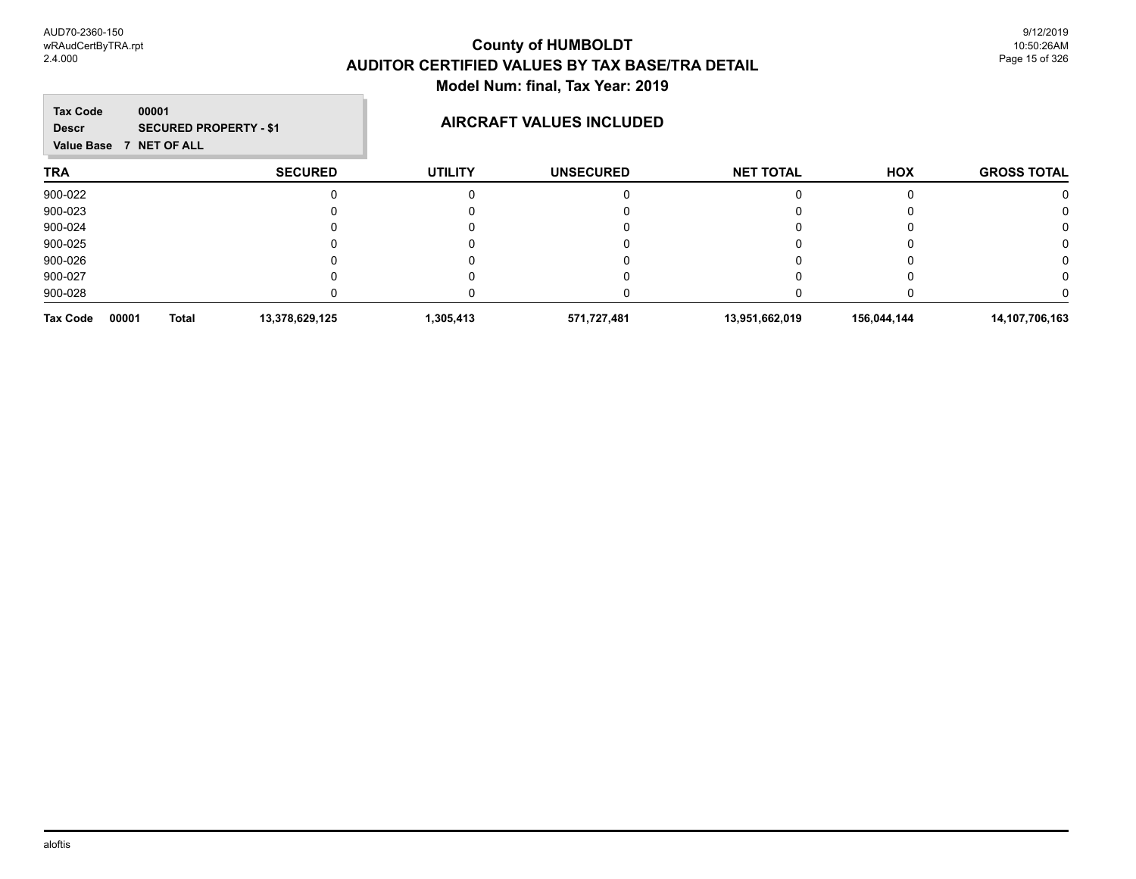| 00001<br><b>Tax Code</b><br><b>Descr</b><br><b>Value Base</b> | <b>SECURED PROPERTY - \$1</b><br><b>NET OF ALL</b> |                | <b>AIRCRAFT VALUES INCLUDED</b> |                  |             |                    |
|---------------------------------------------------------------|----------------------------------------------------|----------------|---------------------------------|------------------|-------------|--------------------|
| <b>TRA</b>                                                    | <b>SECURED</b>                                     | <b>UTILITY</b> | <b>UNSECURED</b>                | <b>NET TOTAL</b> | <b>HOX</b>  | <b>GROSS TOTAL</b> |
| 900-022                                                       |                                                    |                |                                 |                  |             |                    |
| 900-023                                                       |                                                    |                |                                 |                  |             |                    |
| 900-024                                                       |                                                    |                |                                 |                  |             |                    |
| 900-025                                                       |                                                    |                |                                 |                  |             | 0                  |
| 900-026                                                       |                                                    |                |                                 |                  |             |                    |
| 900-027                                                       |                                                    |                |                                 |                  |             |                    |
| 900-028                                                       |                                                    |                |                                 |                  |             |                    |
| 00001<br>Tax Code                                             | 13,378,629,125<br><b>Total</b>                     | 1,305,413      | 571,727,481                     | 13,951,662,019   | 156,044,144 | 14,107,706,163     |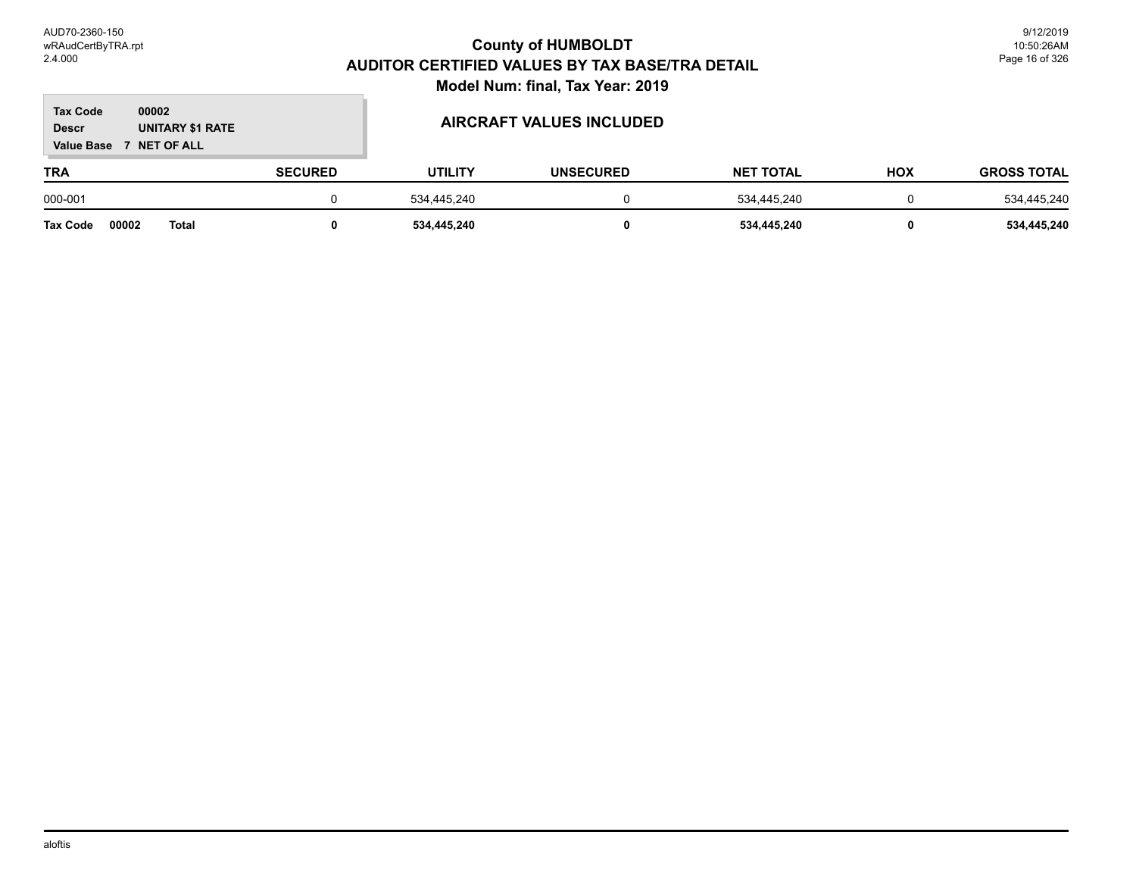#### **TRA SECURED UTILITY UNSECURED HOX Tax Code Value Base 7 NET OF ALL 00002 GROSS TOTAL NET TOTAL Descr UNITARY \$1 RATE AIRCRAFT VALUES INCLUDED** 000-001 0 534,445,240 0 534,445,240 534,445,240 **Tax Code 00002 Total 0 534,445,240 0 534,445,240 0 534,445,240**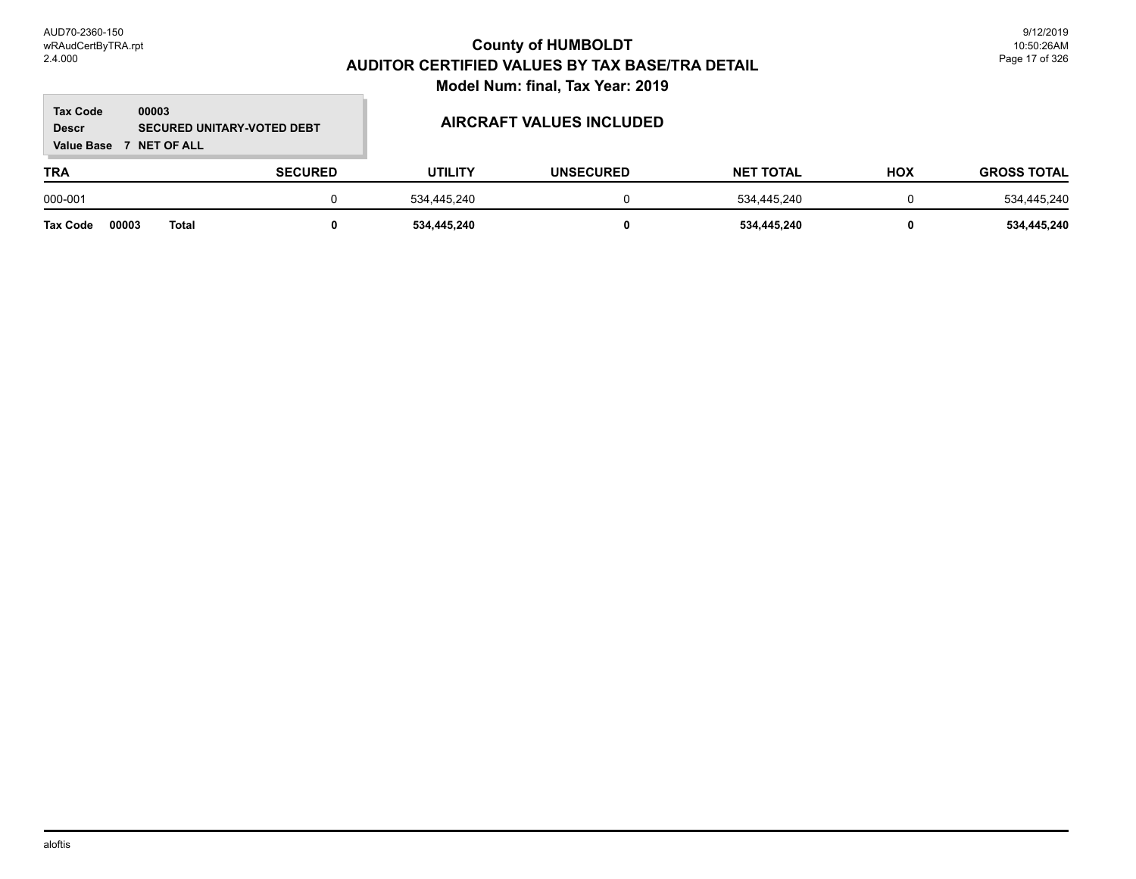#### **TRA SECURED UTILITY UNSECURED HOX Tax Code Value Base 7 NET OF ALL 00003 GROSS TOTAL NET TOTAL Descr SECURED UNITARY-VOTED DEBT AIRCRAFT VALUES INCLUDED** 000-001 0 534,445,240 0 534,445,240 534,445,240 **Tax Code 00003 Total 0 534,445,240 0 534,445,240 0 534,445,240**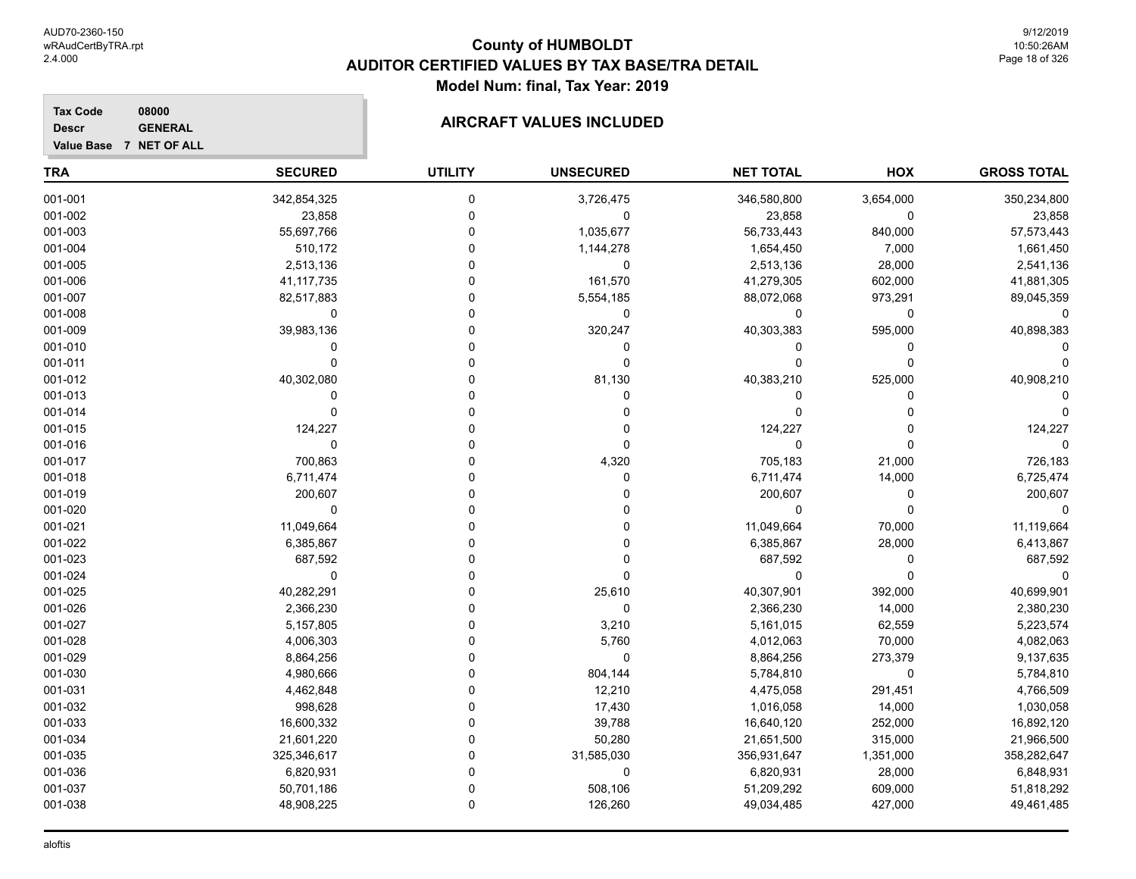**Tax Code 08000 Descr**

**Value Base 7 NET OF ALL**

### **AIRCRAFT VALUES INCLUDED**

| <b>TRA</b> | <b>SECURED</b> | <b>UTILITY</b> | <b>UNSECURED</b> | <b>NET TOTAL</b> | HOX          | <b>GROSS TOTAL</b> |
|------------|----------------|----------------|------------------|------------------|--------------|--------------------|
| 001-001    | 342,854,325    | 0              | 3,726,475        | 346,580,800      | 3,654,000    | 350,234,800        |
| 001-002    | 23,858         | 0              | 0                | 23,858           | 0            | 23,858             |
| 001-003    | 55,697,766     | 0              | 1,035,677        | 56,733,443       | 840,000      | 57,573,443         |
| 001-004    | 510,172        | $\Omega$       | 1,144,278        | 1,654,450        | 7,000        | 1,661,450          |
| 001-005    | 2,513,136      | $\Omega$       | $\mathbf 0$      | 2,513,136        | 28,000       | 2,541,136          |
| 001-006    | 41, 117, 735   | 0              | 161,570          | 41,279,305       | 602,000      | 41,881,305         |
| 001-007    | 82,517,883     | 0              | 5,554,185        | 88,072,068       | 973,291      | 89,045,359         |
| 001-008    | 0              | 0              | 0                | 0                | 0            |                    |
| 001-009    | 39,983,136     | 0              | 320,247          | 40,303,383       | 595,000      | 40,898,383         |
| 001-010    | 0              |                | 0                | $\Omega$         | 0            |                    |
| 001-011    | $\Omega$       | 0              | $\Omega$         | $\Omega$         | $\mathbf{0}$ |                    |
| 001-012    | 40,302,080     | 0              | 81,130           | 40,383,210       | 525,000      | 40,908,210         |
| 001-013    | 0              | U              | 0                | $\Omega$         | 0            |                    |
| 001-014    | 0              | 0              | 0                | $\mathbf{0}$     | 0            |                    |
| 001-015    | 124,227        | 0              | 0                | 124,227          | 0            | 124,227            |
| 001-016    | 0              | U              | $\mathbf 0$      | $\Omega$         | 0            |                    |
| 001-017    | 700,863        | 0              | 4,320            | 705,183          | 21,000       | 726,183            |
| 001-018    | 6,711,474      | 0              | $\mathbf 0$      | 6,711,474        | 14,000       | 6,725,474          |
| 001-019    | 200,607        | 0              |                  | 200,607          | 0            | 200,607            |
| 001-020    | 0              | 0              |                  | $\mathbf 0$      | 0            |                    |
| 001-021    | 11,049,664     | U              |                  | 11,049,664       | 70,000       | 11,119,664         |
| 001-022    | 6,385,867      |                | 0                | 6,385,867        | 28,000       | 6,413,867          |
| 001-023    | 687,592        | U              | $\Omega$         | 687,592          | 0            | 687,592            |
| 001-024    | $\Omega$       | 0              | $\Omega$         | $\Omega$         | 0            |                    |
| 001-025    | 40,282,291     | U              | 25,610           | 40,307,901       | 392,000      | 40,699,901         |
| 001-026    | 2,366,230      | 0              | $\mathbf 0$      | 2,366,230        | 14,000       | 2,380,230          |
| 001-027    | 5,157,805      | 0              | 3,210            | 5,161,015        | 62,559       | 5,223,574          |
| 001-028    | 4,006,303      | 0              | 5,760            | 4,012,063        | 70,000       | 4,082,063          |
| 001-029    | 8,864,256      | 0              | $\mathbf 0$      | 8,864,256        | 273,379      | 9,137,635          |
| 001-030    | 4,980,666      | $\Omega$       | 804,144          | 5,784,810        | 0            | 5,784,810          |
| 001-031    | 4,462,848      | $\Omega$       | 12,210           | 4,475,058        | 291,451      | 4,766,509          |
| 001-032    | 998,628        | 0              | 17,430           | 1,016,058        | 14,000       | 1,030,058          |
| 001-033    | 16,600,332     | 0              | 39,788           | 16,640,120       | 252,000      | 16,892,120         |
| 001-034    | 21,601,220     | 0              | 50,280           | 21,651,500       | 315,000      | 21,966,500         |
| 001-035    | 325,346,617    | 0              | 31,585,030       | 356,931,647      | 1,351,000    | 358,282,647        |
| 001-036    | 6,820,931      | 0              | $\mathbf 0$      | 6,820,931        | 28,000       | 6,848,931          |
| 001-037    | 50,701,186     | 0              | 508,106          | 51,209,292       | 609,000      | 51,818,292         |
| 001-038    | 48,908,225     | 0              | 126,260          | 49,034,485       | 427,000      | 49,461,485         |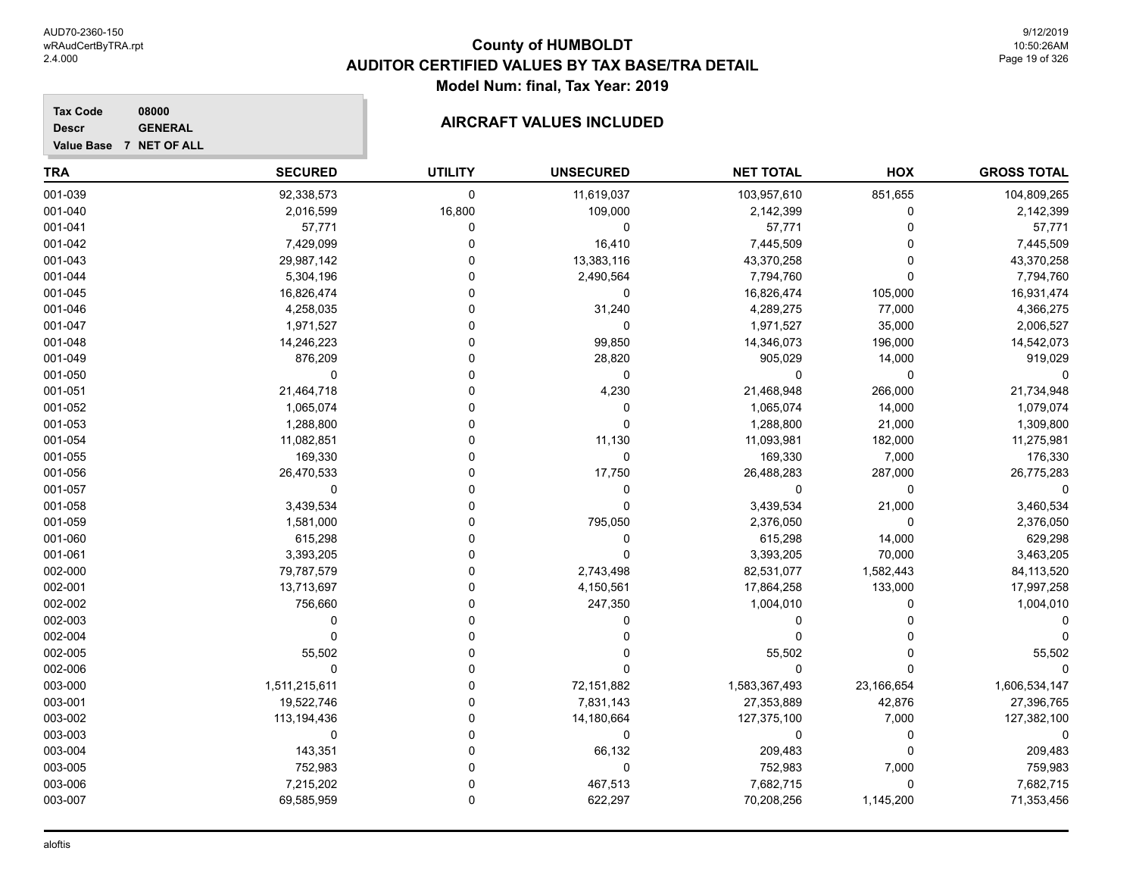**Tax Code 08000 Descr**

### **AIRCRAFT VALUES INCLUDED**

| Value Base 7 NET OF ALL |  |  |  |  |  |  |
|-------------------------|--|--|--|--|--|--|
|-------------------------|--|--|--|--|--|--|

| <b>TRA</b> | <b>SECURED</b> | <b>UTILITY</b> | <b>UNSECURED</b> | <b>NET TOTAL</b> | HOX         | <b>GROSS TOTAL</b> |
|------------|----------------|----------------|------------------|------------------|-------------|--------------------|
| 001-039    | 92,338,573     | 0              | 11,619,037       | 103,957,610      | 851,655     | 104,809,265        |
| 001-040    | 2,016,599      | 16,800         | 109,000          | 2,142,399        | $\Omega$    | 2,142,399          |
| 001-041    | 57,771         | 0              | $\mathbf 0$      | 57,771           | $\Omega$    | 57,771             |
| 001-042    | 7,429,099      | 0              | 16,410           | 7,445,509        | 0           | 7,445,509          |
| 001-043    | 29,987,142     | ۵              | 13,383,116       | 43,370,258       | 0           | 43,370,258         |
| 001-044    | 5,304,196      | 0              | 2,490,564        | 7,794,760        | $\Omega$    | 7,794,760          |
| 001-045    | 16,826,474     | U              | 0                | 16,826,474       | 105,000     | 16,931,474         |
| 001-046    | 4,258,035      | $\Omega$       | 31,240           | 4,289,275        | 77,000      | 4,366,275          |
| 001-047    | 1,971,527      | $\Omega$       | 0                | 1,971,527        | 35,000      | 2,006,527          |
| 001-048    | 14,246,223     | $\Omega$       | 99,850           | 14,346,073       | 196,000     | 14,542,073         |
| 001-049    | 876,209        | $\Omega$       | 28,820           | 905,029          | 14,000      | 919,029            |
| 001-050    | $\Omega$       | O              | $\mathbf 0$      | $\Omega$         | $\mathbf 0$ |                    |
| 001-051    | 21,464,718     | ۵              | 4,230            | 21,468,948       | 266,000     | 21,734,948         |
| 001-052    | 1,065,074      | 0              | 0                | 1,065,074        | 14,000      | 1,079,074          |
| 001-053    | 1,288,800      | U              | $\Omega$         | 1,288,800        | 21,000      | 1,309,800          |
| 001-054    | 11,082,851     | U              | 11,130           | 11,093,981       | 182,000     | 11,275,981         |
| 001-055    | 169,330        | 0              | 0                | 169,330          | 7,000       | 176,330            |
| 001-056    | 26,470,533     | 0              | 17,750           | 26,488,283       | 287,000     | 26,775,283         |
| 001-057    | $\Omega$       | U              | 0                | $\Omega$         | $\Omega$    |                    |
| 001-058    | 3,439,534      | U              | $\mathbf 0$      | 3,439,534        | 21,000      | 3,460,534          |
| 001-059    | 1,581,000      | O              | 795,050          | 2,376,050        | 0           | 2,376,050          |
| 001-060    | 615,298        | ۵              | 0                | 615,298          | 14,000      | 629,298            |
| 001-061    | 3,393,205      | 0              | $\Omega$         | 3,393,205        | 70,000      | 3,463,205          |
| 002-000    | 79,787,579     | 0              | 2,743,498        | 82,531,077       | 1,582,443   | 84,113,520         |
| 002-001    | 13,713,697     | O              | 4,150,561        | 17,864,258       | 133,000     | 17,997,258         |
| 002-002    | 756,660        | 0              | 247,350          | 1,004,010        | 0           | 1,004,010          |
| 002-003    | 0              | $\Omega$       | 0                | 0                | O           |                    |
| 002-004    | $\mathbf 0$    | U              | 0                | $\Omega$         |             |                    |
| 002-005    | 55,502         | U              | 0                | 55,502           | 0           | 55,502             |
| 002-006    | $\mathbf 0$    | $\Omega$       | $\Omega$         | $\Omega$         | $\Omega$    |                    |
| 003-000    | 1,511,215,611  | 0              | 72,151,882       | 1,583,367,493    | 23,166,654  | 1,606,534,147      |
| 003-001    | 19,522,746     | $\Omega$       | 7,831,143        | 27,353,889       | 42,876      | 27,396,765         |
| 003-002    | 113, 194, 436  | 0              | 14,180,664       | 127,375,100      | 7,000       | 127,382,100        |
| 003-003    | $\Omega$       | $\Omega$       | 0                | 0                | $\Omega$    | $\Omega$           |
| 003-004    | 143,351        | ۵              | 66,132           | 209,483          | $\Omega$    | 209,483            |
| 003-005    | 752,983        | $\Omega$       | $\mathbf 0$      | 752,983          | 7,000       | 759,983            |
| 003-006    | 7,215,202      | 0              | 467,513          | 7,682,715        | $\Omega$    | 7,682,715          |
| 003-007    | 69,585,959     | $\Omega$       | 622,297          | 70,208,256       | 1,145,200   | 71,353,456         |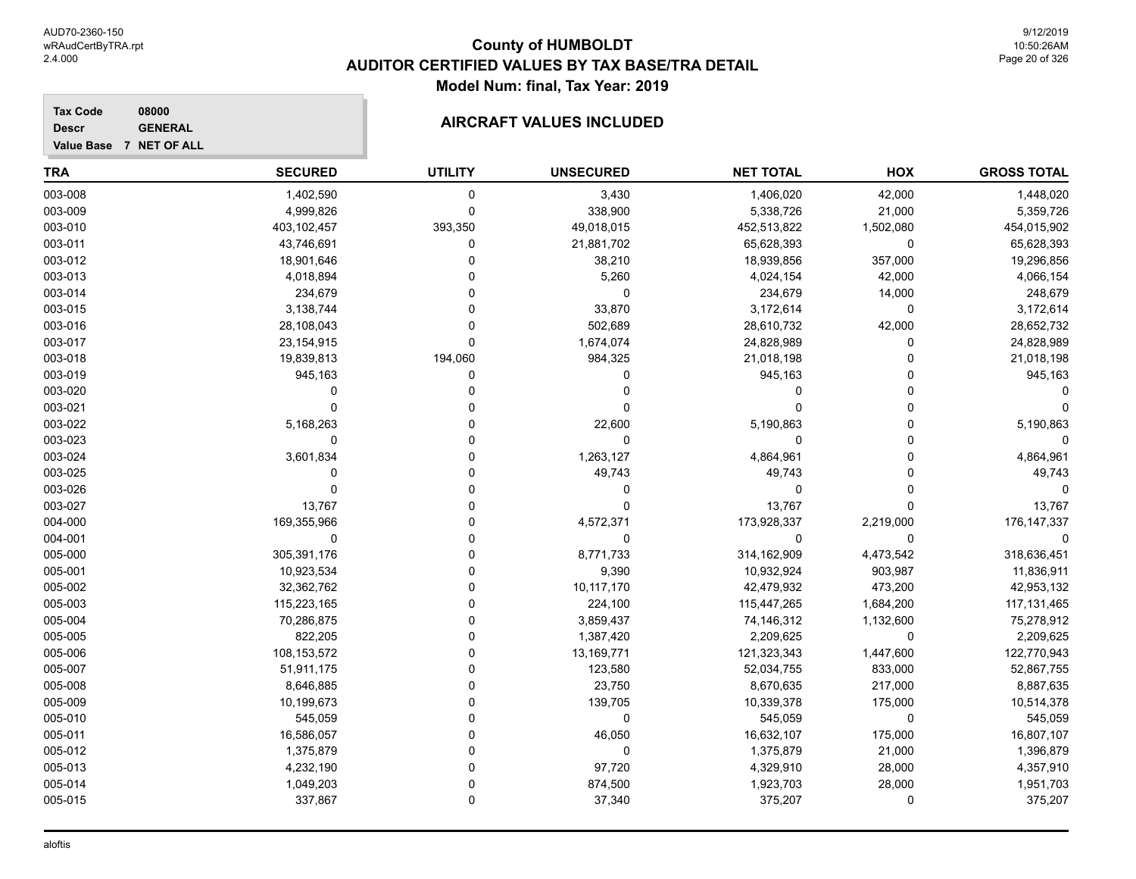**Tax Code 08000 Descr**

#### **GENERAL GENERAL AIRCRAFT VALUES INCLUDED**

| Value Base 7 NET OF ALL |                |                |                  |                  |           |                    |
|-------------------------|----------------|----------------|------------------|------------------|-----------|--------------------|
| <b>TRA</b>              | <b>SECURED</b> | <b>UTILITY</b> | <b>UNSECURED</b> | <b>NET TOTAL</b> | HOX       | <b>GROSS TOTAL</b> |
| 003-008                 | 1,402,590      | 0              | 3,430            | 1,406,020        | 42,000    | 1,448,020          |
| 003-009                 | 4,999,826      | $\Omega$       | 338,900          | 5,338,726        | 21,000    | 5,359,726          |
| 003-010                 | 403,102,457    | 393,350        | 49,018,015       | 452,513,822      | 1,502,080 | 454,015,902        |
| 003-011                 | 43,746,691     | 0              | 21,881,702       | 65,628,393       | 0         | 65,628,393         |
| 003-012                 | 18,901,646     | 0              | 38,210           | 18,939,856       | 357,000   | 19,296,856         |
| 003-013                 | 4,018,894      | 0              | 5,260            | 4,024,154        | 42,000    | 4,066,154          |
| 003-014                 | 234,679        | 0              | 0                | 234,679          | 14,000    | 248,679            |
| 003-015                 | 3,138,744      |                | 33,870           | 3,172,614        | 0         | 3,172,614          |
| 003-016                 | 28,108,043     | 0              | 502,689          | 28,610,732       | 42,000    | 28,652,732         |
| 003-017                 | 23,154,915     | 0              | 1,674,074        | 24,828,989       | O         | 24,828,989         |
| 003-018                 | 19,839,813     | 194,060        | 984,325          | 21,018,198       | O         | 21,018,198         |
| 003-019                 | 945,163        | 0              | 0                | 945,163          | O         | 945,163            |
| 003-020                 | 0              | $\Omega$       | 0                | 0                | 0         |                    |
| 003-021                 | $\Omega$       | $\Omega$       | 0                | $\Omega$         | O         |                    |
| 003-022                 | 5,168,263      | U              | 22,600           | 5,190,863        | 0         | 5,190,863          |
| 003-023                 | $\Omega$       | U              | 0                | 0                | 0         |                    |
| 003-024                 | 3,601,834      | 0              | 1,263,127        | 4,864,961        | 0         | 4,864,961          |
| 003-025                 | 0              | 0              | 49,743           | 49,743           | 0         | 49,743             |
| 003-026                 | $\Omega$       | 0              | 0                | 0                | 0         |                    |
| 003-027                 | 13,767         | 0              | U                | 13,767           | O         | 13,767             |
| 004-000                 | 169,355,966    | 0              | 4,572,371        | 173,928,337      | 2,219,000 | 176, 147, 337      |
| 004-001                 | $\Omega$       | 0              | 0                | $\Omega$         | 0         |                    |
| 005-000                 | 305,391,176    | 0              | 8,771,733        | 314,162,909      | 4,473,542 | 318,636,451        |
| 005-001                 | 10,923,534     | U              | 9,390            | 10,932,924       | 903,987   | 11,836,911         |
| 005-002                 | 32,362,762     | O              | 10,117,170       | 42,479,932       | 473,200   | 42,953,132         |
| 005-003                 | 115,223,165    | 0              | 224,100          | 115,447,265      | 1,684,200 | 117, 131, 465      |
| 005-004                 | 70,286,875     | $\Omega$       | 3,859,437        | 74,146,312       | 1,132,600 | 75,278,912         |
| 005-005                 | 822,205        | 0              | 1,387,420        | 2,209,625        | 0         | 2,209,625          |
| 005-006                 | 108,153,572    | U              | 13,169,771       | 121,323,343      | 1,447,600 | 122,770,943        |
| 005-007                 | 51,911,175     | 0              | 123,580          | 52,034,755       | 833,000   | 52,867,755         |
| 005-008                 | 8,646,885      | U              | 23,750           | 8,670,635        | 217,000   | 8,887,635          |
| 005-009                 | 10,199,673     | 0              | 139,705          | 10,339,378       | 175,000   | 10,514,378         |
| 005-010                 | 545,059        | 0              | 0                | 545,059          | 0         | 545,059            |
| 005-011                 | 16,586,057     | 0              | 46,050           | 16,632,107       | 175,000   | 16,807,107         |
| 005-012                 | 1,375,879      | 0              | 0                | 1,375,879        | 21,000    | 1,396,879          |
| 005-013                 | 4,232,190      | 0              | 97,720           | 4,329,910        | 28,000    | 4,357,910          |

005-014 1,049,203 0 874,500 1,923,703 28,000 1,951,703 005-015 337,867 0 37,340 375,207 0 375,207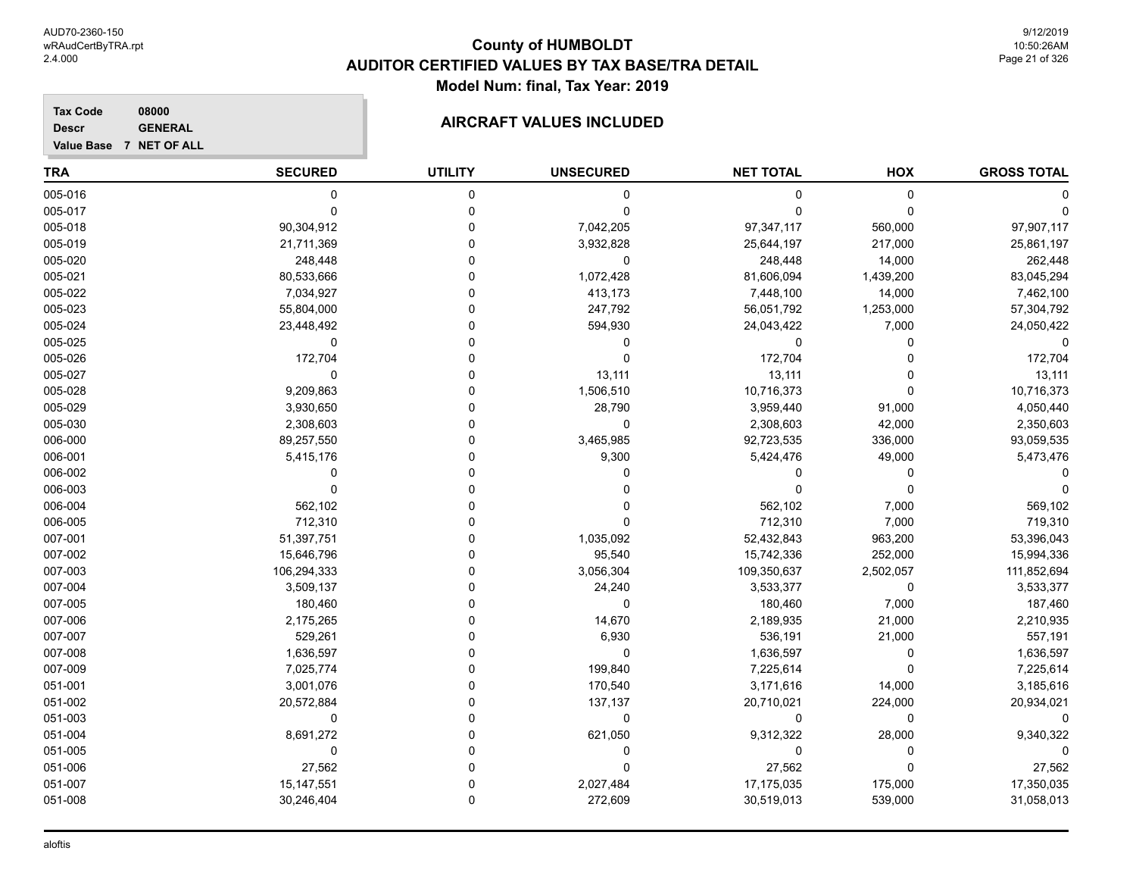9/12/2019 10:50:26AM Page 21 of 326

#### **Tax Code 08000 Descr**

**AIRCRAFT VALUES INCLUDED** 

| ------                  | ------------ |
|-------------------------|--------------|
| Value Base 7 NET OF ALL |              |

| <b>TRA</b> | <b>SECURED</b> | <b>UTILITY</b> | <b>UNSECURED</b> | <b>NET TOTAL</b> | HOX         | <b>GROSS TOTAL</b> |
|------------|----------------|----------------|------------------|------------------|-------------|--------------------|
| 005-016    | 0              | 0              | 0                | 0                | $\mathbf 0$ |                    |
| 005-017    | $\Omega$       | 0              | 0                | 0                | $\mathbf 0$ |                    |
| 005-018    | 90,304,912     | 0              | 7,042,205        | 97,347,117       | 560,000     | 97,907,117         |
| 005-019    | 21,711,369     | 0              | 3,932,828        | 25,644,197       | 217,000     | 25,861,197         |
| 005-020    | 248,448        | $\Omega$       | 0                | 248,448          | 14,000      | 262,448            |
| 005-021    | 80,533,666     | O              | 1,072,428        | 81,606,094       | 1,439,200   | 83,045,294         |
| 005-022    | 7,034,927      | $\Omega$       | 413,173          | 7,448,100        | 14,000      | 7,462,100          |
| 005-023    | 55,804,000     | $\Omega$       | 247,792          | 56,051,792       | 1,253,000   | 57,304,792         |
| 005-024    | 23,448,492     | $\Omega$       | 594,930          | 24,043,422       | 7,000       | 24,050,422         |
| 005-025    | 0              | 0              | 0                | 0                | 0           |                    |
| 005-026    | 172,704        | 0              | 0                | 172,704          | $\Omega$    | 172,704            |
| 005-027    | 0              | 0              | 13,111           | 13,111           | O           | 13,111             |
| 005-028    | 9,209,863      | 0              | 1,506,510        | 10,716,373       | $\Omega$    | 10,716,373         |
| 005-029    | 3,930,650      | $\Omega$       | 28,790           | 3,959,440        | 91,000      | 4,050,440          |
| 005-030    | 2,308,603      | $\Omega$       | 0                | 2,308,603        | 42,000      | 2,350,603          |
| 006-000    | 89,257,550     | O              | 3,465,985        | 92,723,535       | 336,000     | 93,059,535         |
| 006-001    | 5,415,176      | $\Omega$       | 9,300            | 5,424,476        | 49,000      | 5,473,476          |
| 006-002    | $\Omega$       | $\Omega$       | 0                | 0                | $\Omega$    |                    |
| 006-003    | $\mathbf 0$    | $\Omega$       | 0                | 0                | $\mathbf 0$ |                    |
| 006-004    | 562,102        | U              |                  | 562,102          | 7,000       | 569,102            |
| 006-005    | 712,310        | U              | 0                | 712,310          | 7,000       | 719,310            |
| 007-001    | 51,397,751     | 0              | 1,035,092        | 52,432,843       | 963,200     | 53,396,043         |
| 007-002    | 15,646,796     | 0              | 95,540           | 15,742,336       | 252,000     | 15,994,336         |
| 007-003    | 106,294,333    | $\Omega$       | 3,056,304        | 109,350,637      | 2,502,057   | 111,852,694        |
| 007-004    | 3,509,137      | 0              | 24,240           | 3,533,377        | $\mathbf 0$ | 3,533,377          |
| 007-005    | 180,460        | $\Omega$       | $\mathbf 0$      | 180,460          | 7,000       | 187,460            |
| 007-006    | 2,175,265      | $\Omega$       | 14,670           | 2,189,935        | 21,000      | 2,210,935          |
| 007-007    | 529,261        | $\Omega$       | 6,930            | 536,191          | 21,000      | 557,191            |
| 007-008    | 1,636,597      | 0              | $\mathbf 0$      | 1,636,597        | 0           | 1,636,597          |
| 007-009    | 7,025,774      | 0              | 199,840          | 7,225,614        | $\mathbf 0$ | 7,225,614          |
| 051-001    | 3,001,076      | 0              | 170,540          | 3,171,616        | 14,000      | 3,185,616          |
| 051-002    | 20,572,884     | 0              | 137,137          | 20,710,021       | 224,000     | 20,934,021         |
| 051-003    | 0              | $\Omega$       | 0                | 0                | 0           | $\Omega$           |
| 051-004    | 8,691,272      | 0              | 621,050          | 9,312,322        | 28,000      | 9,340,322          |
| 051-005    | $\mathbf 0$    | n              | 0                | 0                | $\mathbf 0$ | $\Omega$           |
| 051-006    | 27,562         | $\Omega$       | $\Omega$         | 27,562           | $\Omega$    | 27,562             |
| 051-007    | 15, 147, 551   | $\Omega$       | 2,027,484        | 17,175,035       | 175,000     | 17,350,035         |
| 051-008    | 30,246,404     | $\mathbf{0}$   | 272,609          | 30,519,013       | 539,000     | 31,058,013         |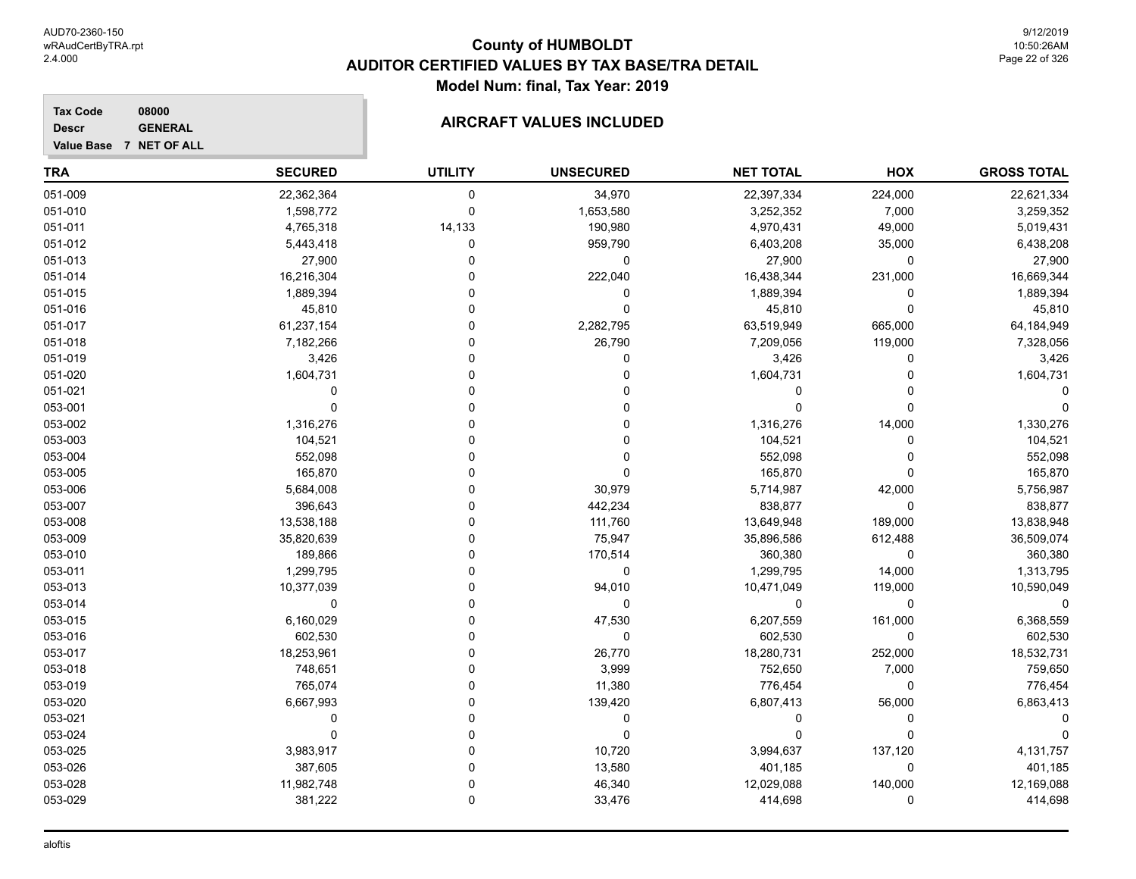**Tax Code 08000 Descr**

**Value Base 7 NET OF ALL**

### **AIRCRAFT VALUES INCLUDED**

| <b>TRA</b> | <b>SECURED</b> | <b>UTILITY</b> | <b>UNSECURED</b> | <b>NET TOTAL</b> | HOX         | <b>GROSS TOTAL</b> |
|------------|----------------|----------------|------------------|------------------|-------------|--------------------|
| 051-009    | 22,362,364     | $\mathbf 0$    | 34,970           | 22,397,334       | 224,000     | 22,621,334         |
| 051-010    | 1,598,772      | $\mathbf 0$    | 1,653,580        | 3,252,352        | 7,000       | 3,259,352          |
| 051-011    | 4,765,318      | 14,133         | 190,980          | 4,970,431        | 49,000      | 5,019,431          |
| 051-012    | 5,443,418      | 0              | 959,790          | 6,403,208        | 35,000      | 6,438,208          |
| 051-013    | 27,900         | 0              | 0                | 27,900           | 0           | 27,900             |
| 051-014    | 16,216,304     | C              | 222,040          | 16,438,344       | 231,000     | 16,669,344         |
| 051-015    | 1,889,394      |                | 0                | 1,889,394        | $\Omega$    | 1,889,394          |
| 051-016    | 45,810         | $\Omega$       | $\Omega$         | 45,810           | $\mathbf 0$ | 45,810             |
| 051-017    | 61,237,154     | C              | 2,282,795        | 63,519,949       | 665,000     | 64,184,949         |
| 051-018    | 7,182,266      |                | 26,790           | 7,209,056        | 119,000     | 7,328,056          |
| 051-019    | 3,426          | C              | 0                | 3,426            | 0           | 3,426              |
| 051-020    | 1,604,731      | $\Omega$       | 0                | 1,604,731        | O           | 1,604,731          |
| 051-021    | $\Omega$       | $\Omega$       |                  | $\Omega$         |             |                    |
| 053-001    | $\Omega$       | C              |                  | $\Omega$         | $\Omega$    |                    |
| 053-002    | 1,316,276      | C              |                  | 1,316,276        | 14,000      | 1,330,276          |
| 053-003    | 104,521        |                |                  | 104,521          | 0           | 104,521            |
| 053-004    | 552,098        | O              | 0                | 552,098          | 0           | 552,098            |
| 053-005    | 165,870        | 0              | 0                | 165,870          | $\Omega$    | 165,870            |
| 053-006    | 5,684,008      | O              | 30,979           | 5,714,987        | 42,000      | 5,756,987          |
| 053-007    | 396,643        |                | 442,234          | 838,877          | $\mathbf 0$ | 838,877            |
| 053-008    | 13,538,188     |                | 111,760          | 13,649,948       | 189,000     | 13,838,948         |
| 053-009    | 35,820,639     | C              | 75,947           | 35,896,586       | 612,488     | 36,509,074         |
| 053-010    | 189,866        | $\Omega$       | 170,514          | 360,380          | 0           | 360,380            |
| 053-011    | 1,299,795      | O              | 0                | 1,299,795        | 14,000      | 1,313,795          |
| 053-013    | 10,377,039     | O              | 94,010           | 10,471,049       | 119,000     | 10,590,049         |
| 053-014    | $\Omega$       | $\Omega$       | $\mathbf 0$      | $\mathbf 0$      | 0           | 0                  |
| 053-015    | 6,160,029      | O              | 47,530           | 6,207,559        | 161,000     | 6,368,559          |
| 053-016    | 602,530        | 0              | 0                | 602,530          | 0           | 602,530            |
| 053-017    | 18,253,961     | 0              | 26,770           | 18,280,731       | 252,000     | 18,532,731         |
| 053-018    | 748,651        | $\Omega$       | 3,999            | 752,650          | 7,000       | 759,650            |
| 053-019    | 765,074        | C              | 11,380           | 776,454          | 0           | 776,454            |
| 053-020    | 6,667,993      | $\Omega$       | 139,420          | 6,807,413        | 56,000      | 6,863,413          |
| 053-021    | $\Omega$       | $\Omega$       | 0                | $\Omega$         | $\Omega$    |                    |
| 053-024    | $\Omega$       | $\Omega$       | 0                | $\Omega$         | $\Omega$    |                    |
| 053-025    | 3,983,917      | $\Omega$       | 10,720           | 3,994,637        | 137,120     | 4,131,757          |
| 053-026    | 387,605        | 0              | 13,580           | 401,185          | 0           | 401,185            |
| 053-028    | 11,982,748     | 0              | 46,340           | 12,029,088       | 140,000     | 12,169,088         |
| 053-029    | 381,222        | $\Omega$       | 33,476           | 414,698          | 0           | 414,698            |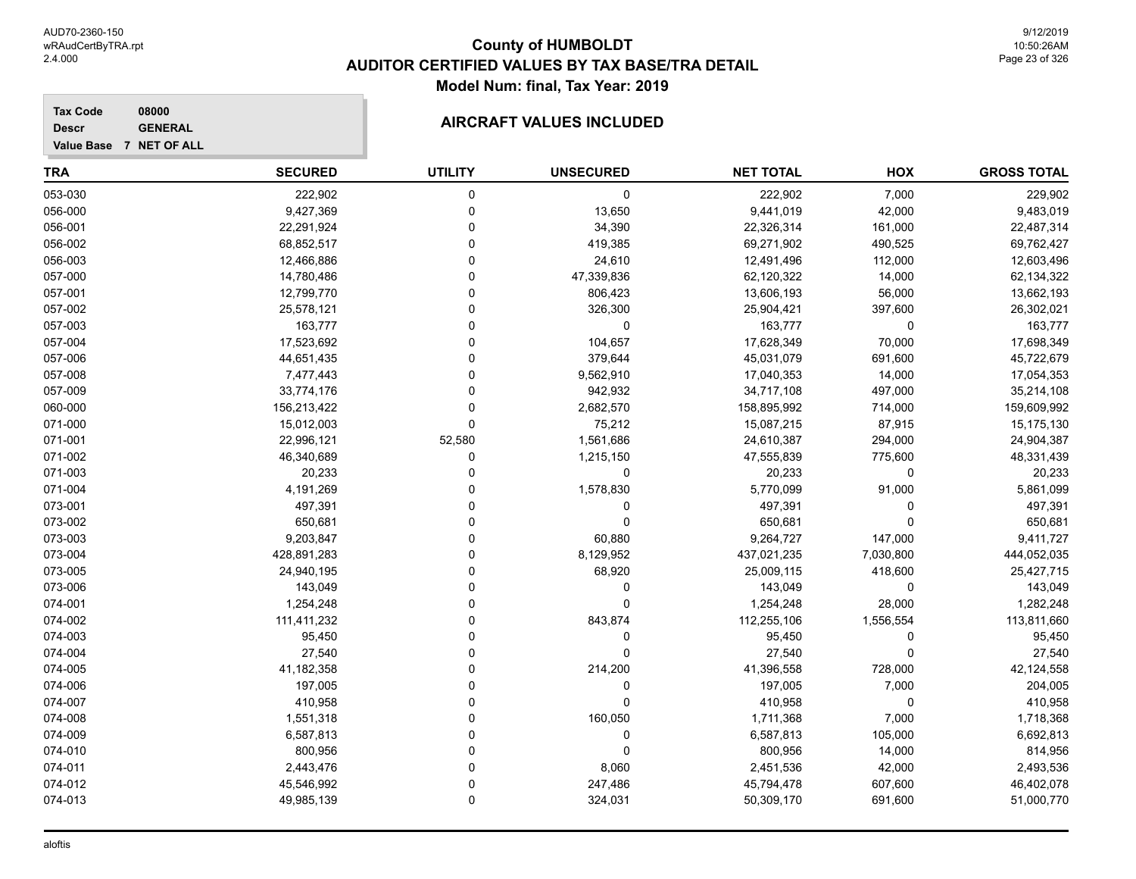#### **Tax Code 08000 Descr**

### **AIRCRAFT VALUES INCLUDED**

| <b>TRA</b> | <b>SECURED</b> | <b>UTILITY</b> | <b>UNSECURED</b> | <b>NET TOTAL</b> | HOX         | <b>GROSS TOTAL</b> |
|------------|----------------|----------------|------------------|------------------|-------------|--------------------|
| 053-030    | 222,902        | 0              | 0                | 222,902          | 7,000       | 229,902            |
| 056-000    | 9,427,369      | 0              | 13,650           | 9,441,019        | 42,000      | 9,483,019          |
| 056-001    | 22,291,924     | $\Omega$       | 34,390           | 22,326,314       | 161,000     | 22,487,314         |
| 056-002    | 68,852,517     | $\mathbf 0$    | 419,385          | 69,271,902       | 490,525     | 69,762,427         |
| 056-003    | 12,466,886     | $\Omega$       | 24,610           | 12,491,496       | 112,000     | 12,603,496         |
| 057-000    | 14,780,486     | $\Omega$       | 47,339,836       | 62,120,322       | 14,000      | 62,134,322         |
| 057-001    | 12,799,770     | $\Omega$       | 806,423          | 13,606,193       | 56,000      | 13,662,193         |
| 057-002    | 25,578,121     | $\Omega$       | 326,300          | 25,904,421       | 397,600     | 26,302,021         |
| 057-003    | 163,777        | $\Omega$       | 0                | 163,777          | 0           | 163,777            |
| 057-004    | 17,523,692     | $\Omega$       | 104,657          | 17,628,349       | 70,000      | 17,698,349         |
| 057-006    | 44,651,435     | $\Omega$       | 379,644          | 45,031,079       | 691,600     | 45,722,679         |
| 057-008    | 7,477,443      | $\Omega$       | 9,562,910        | 17,040,353       | 14,000      | 17,054,353         |
| 057-009    | 33,774,176     | $\mathbf 0$    | 942,932          | 34,717,108       | 497,000     | 35,214,108         |
| 060-000    | 156,213,422    | 0              | 2,682,570        | 158,895,992      | 714,000     | 159,609,992        |
| 071-000    | 15,012,003     | $\mathbf 0$    | 75,212           | 15,087,215       | 87,915      | 15,175,130         |
| 071-001    | 22,996,121     | 52,580         | 1,561,686        | 24,610,387       | 294,000     | 24,904,387         |
| 071-002    | 46,340,689     | $\mathbf 0$    | 1,215,150        | 47,555,839       | 775,600     | 48,331,439         |
| 071-003    | 20,233         | $\Omega$       | 0                | 20,233           | 0           | 20,233             |
| 071-004    | 4,191,269      | $\Omega$       | 1,578,830        | 5,770,099        | 91,000      | 5,861,099          |
| 073-001    | 497,391        | $\Omega$       | 0                | 497,391          | 0           | 497,391            |
| 073-002    | 650,681        | $\Omega$       | $\Omega$         | 650,681          | $\Omega$    | 650,681            |
| 073-003    | 9,203,847      | $\Omega$       | 60,880           | 9,264,727        | 147,000     | 9,411,727          |
| 073-004    | 428,891,283    | $\Omega$       | 8,129,952        | 437,021,235      | 7,030,800   | 444,052,035        |
| 073-005    | 24,940,195     | $\Omega$       | 68,920           | 25,009,115       | 418,600     | 25,427,715         |
| 073-006    | 143,049        | $\Omega$       | $\mathbf 0$      | 143,049          | $\Omega$    | 143,049            |
| 074-001    | 1,254,248      | $\Omega$       | 0                | 1,254,248        | 28,000      | 1,282,248          |
| 074-002    | 111,411,232    | 0              | 843,874          | 112,255,106      | 1,556,554   | 113,811,660        |
| 074-003    | 95,450         | $\Omega$       | 0                | 95,450           | 0           | 95,450             |
| 074-004    | 27,540         | $\Omega$       | $\mathbf 0$      | 27,540           | $\Omega$    | 27,540             |
| 074-005    | 41,182,358     | $\mathbf 0$    | 214,200          | 41,396,558       | 728,000     | 42,124,558         |
| 074-006    | 197,005        | $\Omega$       | 0                | 197,005          | 7,000       | 204,005            |
| 074-007    | 410,958        | $\Omega$       | $\mathbf 0$      | 410,958          | $\mathbf 0$ | 410,958            |
| 074-008    | 1,551,318      | $\Omega$       | 160,050          | 1,711,368        | 7,000       | 1,718,368          |
| 074-009    | 6,587,813      | $\Omega$       | 0                | 6,587,813        | 105,000     | 6,692,813          |
| 074-010    | 800,956        | $\Omega$       | 0                | 800,956          | 14,000      | 814,956            |
| 074-011    | 2,443,476      | $\Omega$       | 8,060            | 2,451,536        | 42,000      | 2,493,536          |
| 074-012    | 45,546,992     | $\mathbf 0$    | 247,486          | 45,794,478       | 607,600     | 46,402,078         |
| 074-013    | 49,985,139     | $\mathbf 0$    | 324,031          | 50,309,170       | 691,600     | 51,000,770         |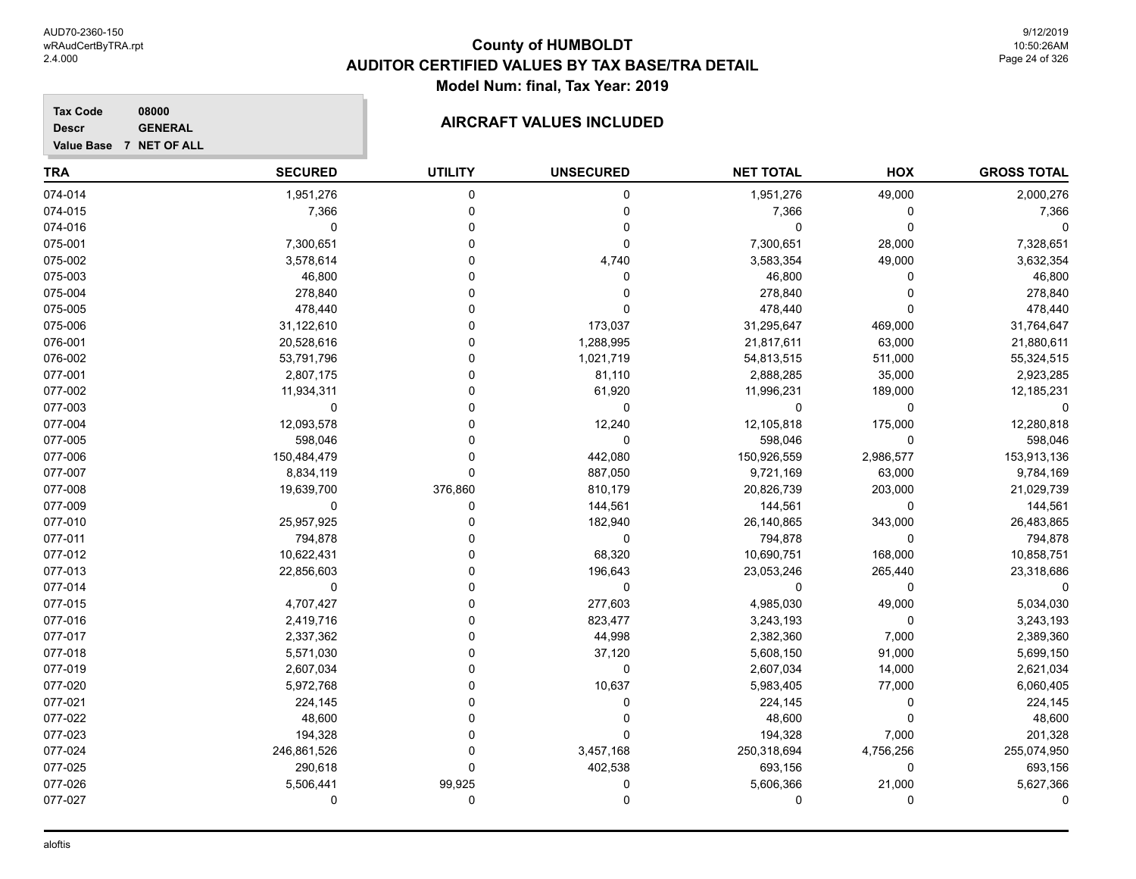#### **Tax Code 08000**

**Value Base 7 NET OF ALL Descr**

### **AIRCRAFT VALUES INCLUDED**

| <b>TRA</b> | <b>SECURED</b> | <b>UTILITY</b> | <b>UNSECURED</b> | <b>NET TOTAL</b> | <b>HOX</b> | <b>GROSS TOTAL</b> |
|------------|----------------|----------------|------------------|------------------|------------|--------------------|
| 074-014    | 1,951,276      | $\Omega$       | $\mathbf 0$      | 1,951,276        | 49,000     | 2,000,276          |
| 074-015    | 7,366          | 0              | 0                | 7,366            | 0          | 7,366              |
| 074-016    | 0              |                | 0                | 0                | 0          |                    |
| 075-001    | 7,300,651      |                | 0                | 7,300,651        | 28,000     | 7,328,651          |
| 075-002    | 3,578,614      |                | 4,740            | 3,583,354        | 49,000     | 3,632,354          |
| 075-003    | 46,800         |                | 0                | 46,800           | O          | 46,800             |
| 075-004    | 278,840        |                | 0                | 278,840          | ∩          | 278,840            |
| 075-005    | 478,440        |                | $\Omega$         | 478,440          | O          | 478,440            |
| 075-006    | 31,122,610     |                | 173,037          | 31,295,647       | 469,000    | 31,764,647         |
| 076-001    | 20,528,616     |                | 1,288,995        | 21,817,611       | 63,000     | 21,880,611         |
| 076-002    | 53,791,796     |                | 1,021,719        | 54,813,515       | 511,000    | 55,324,515         |
| 077-001    | 2,807,175      |                | 81,110           | 2,888,285        | 35,000     | 2,923,285          |
| 077-002    | 11,934,311     | U              | 61,920           | 11,996,231       | 189,000    | 12,185,231         |
| 077-003    | 0              |                | $\mathbf 0$      | 0                | $\Omega$   |                    |
| 077-004    | 12,093,578     |                | 12,240           | 12,105,818       | 175,000    | 12,280,818         |
| 077-005    | 598,046        |                | $\mathbf 0$      | 598,046          | 0          | 598,046            |
| 077-006    | 150,484,479    | $\Omega$       | 442,080          | 150,926,559      | 2,986,577  | 153,913,136        |
| 077-007    | 8,834,119      | $\Omega$       | 887,050          | 9,721,169        | 63,000     | 9,784,169          |
| 077-008    | 19,639,700     | 376,860        | 810,179          | 20,826,739       | 203,000    | 21,029,739         |
| 077-009    | 0              | $\Omega$       | 144,561          | 144,561          | $\Omega$   | 144,561            |
| 077-010    | 25,957,925     | O              | 182,940          | 26,140,865       | 343,000    | 26,483,865         |
| 077-011    | 794,878        |                | $\Omega$         | 794,878          | 0          | 794,878            |
| 077-012    | 10,622,431     |                | 68,320           | 10,690,751       | 168,000    | 10,858,751         |
| 077-013    | 22,856,603     |                | 196,643          | 23,053,246       | 265,440    | 23,318,686         |
| 077-014    | 0              |                | 0                | 0                | 0          |                    |
| 077-015    | 4,707,427      |                | 277,603          | 4,985,030        | 49,000     | 5,034,030          |
| 077-016    | 2,419,716      |                | 823,477          | 3,243,193        | 0          | 3,243,193          |
| 077-017    | 2,337,362      |                | 44,998           | 2,382,360        | 7,000      | 2,389,360          |
| 077-018    | 5,571,030      |                | 37,120           | 5,608,150        | 91,000     | 5,699,150          |
| 077-019    | 2,607,034      |                | 0                | 2,607,034        | 14,000     | 2,621,034          |
| 077-020    | 5,972,768      |                | 10,637           | 5,983,405        | 77,000     | 6,060,405          |
| 077-021    | 224,145        |                | 0                | 224,145          | 0          | 224,145            |
| 077-022    | 48,600         |                | 0                | 48,600           | $\Omega$   | 48,600             |
| 077-023    | 194,328        | U              | 0                | 194,328          | 7,000      | 201,328            |
| 077-024    | 246,861,526    | O              | 3,457,168        | 250,318,694      | 4,756,256  | 255,074,950        |
| 077-025    | 290,618        | O              | 402,538          | 693,156          | 0          | 693,156            |
| 077-026    | 5,506,441      | 99,925         | 0                | 5,606,366        | 21,000     | 5,627,366          |
| 077-027    | 0              | 0              | 0                | 0                | 0          |                    |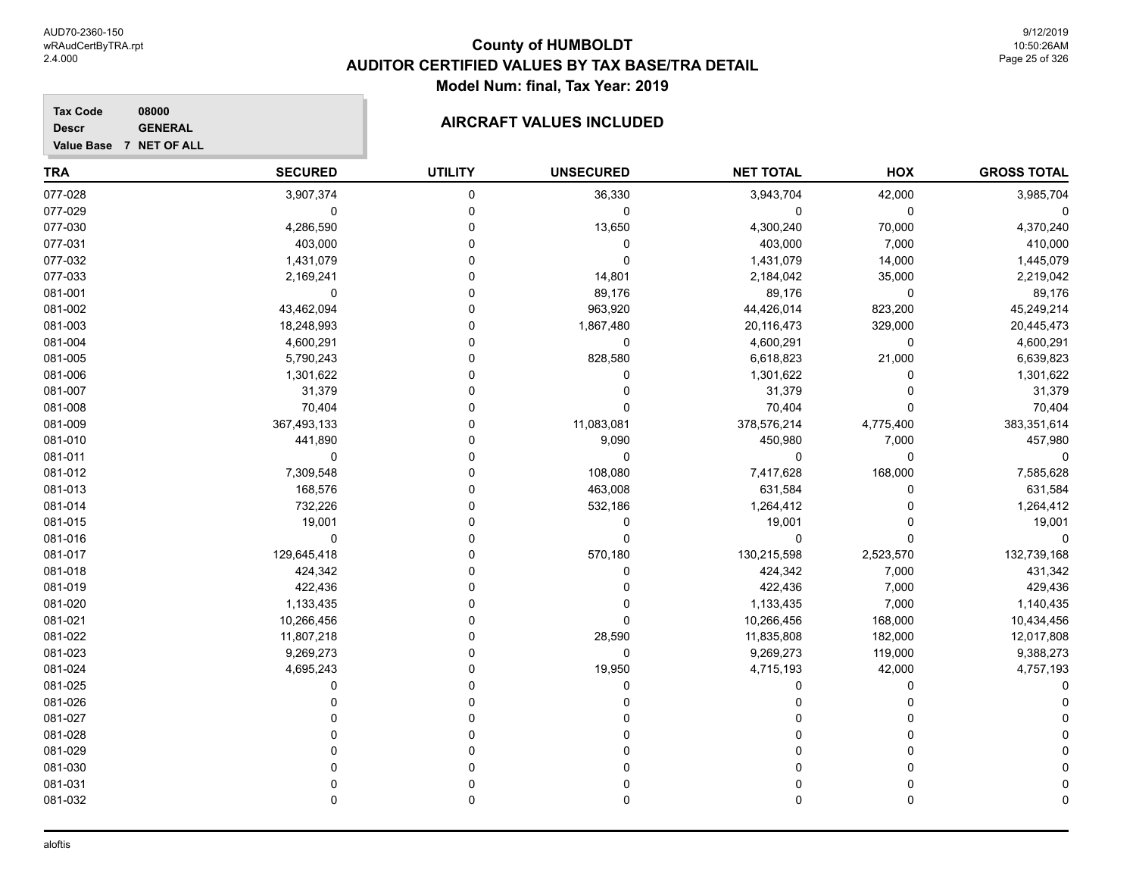#### **Tax Code 08000 Descr**

**Value Base 7 NET OF ALL**

### **AIRCRAFT VALUES INCLUDED**

| <b>GROSS TOTAL</b> | HOX         | <b>NET TOTAL</b> | <b>UNSECURED</b> | <b>UTILITY</b> | <b>SECURED</b> | TRA     |
|--------------------|-------------|------------------|------------------|----------------|----------------|---------|
| 3,985,704          | 42,000      | 3,943,704        | 36,330           | 0              | 3,907,374      | 077-028 |
| 0                  | 0           | 0                | 0                | $\Omega$       | 0              | 077-029 |
| 4,370,240          | 70,000      | 4,300,240        | 13,650           | 0              | 4,286,590      | 077-030 |
| 410,000            | 7,000       | 403,000          | 0                | 0              | 403,000        | 077-031 |
| 1,445,079          | 14,000      | 1,431,079        | $\mathbf 0$      | 0              | 1,431,079      | 077-032 |
| 2,219,042          | 35,000      | 2,184,042        | 14,801           |                | 2,169,241      | 077-033 |
| 89,176             | $\mathbf 0$ | 89,176           | 89,176           | ∩              | 0              | 081-001 |
| 45,249,214         | 823,200     | 44,426,014       | 963,920          | ∩              | 43,462,094     | 081-002 |
| 20,445,473         | 329,000     | 20,116,473       | 1,867,480        | ∩              | 18,248,993     | 081-003 |
| 4,600,291          | 0           | 4,600,291        | $\mathbf 0$      |                | 4,600,291      | 081-004 |
| 6,639,823          | 21,000      | 6,618,823        | 828,580          | ∩              | 5,790,243      | 081-005 |
| 1,301,622          | 0           | 1,301,622        | 0                | 0              | 1,301,622      | 081-006 |
| 31,379             | 0           | 31,379           | 0                | 0              | 31,379         | 081-007 |
| 70,404             | $\Omega$    | 70,404           | $\Omega$         |                | 70,404         | 081-008 |
| 383,351,614        | 4,775,400   | 378,576,214      | 11,083,081       |                | 367,493,133    | 081-009 |
| 457,980            | 7,000       | 450,980          | 9,090            | ∩              | 441,890        | 081-010 |
| $\mathbf 0$        | $\mathbf 0$ | 0                | $\Omega$         | ∩              | 0              | 081-011 |
| 7,585,628          | 168,000     | 7,417,628        | 108,080          |                | 7,309,548      | 081-012 |
| 631,584            | $\Omega$    | 631,584          | 463,008          |                | 168,576        | 081-013 |
| 1,264,412          | 0           | 1,264,412        | 532,186          | U              | 732,226        | 081-014 |
| 19,001             | 0           | 19,001           | 0                |                | 19,001         | 081-015 |
| 0                  | $\Omega$    | 0                | $\mathbf 0$      |                | 0              | 081-016 |
| 132,739,168        | 2,523,570   | 130,215,598      | 570,180          |                | 129,645,418    | 081-017 |
| 431,342            | 7,000       | 424,342          | 0                |                | 424,342        | 081-018 |
| 429,436            | 7,000       | 422,436          | 0                |                | 422,436        | 081-019 |
| 1,140,435          | 7,000       | 1,133,435        | $\Omega$         |                | 1,133,435      | 081-020 |
| 10,434,456         | 168,000     | 10,266,456       | $\Omega$         |                | 10,266,456     | 081-021 |
| 12,017,808         | 182,000     | 11,835,808       | 28,590           | U              | 11,807,218     | 081-022 |
| 9,388,273          | 119,000     | 9,269,273        | $\mathbf 0$      | U              | 9,269,273      | 081-023 |
| 4,757,193          | 42,000      | 4,715,193        | 19,950           | 0              | 4,695,243      | 081-024 |
|                    | 0           | 0                | 0                |                | 0              | 081-025 |
|                    | ∩           | 0                |                  | ∩              | 0              | 081-026 |
|                    |             | 0                |                  | $\Omega$       | U              | 081-027 |
|                    | ∩           | 0                |                  | 0              | U              | 081-028 |
|                    |             |                  |                  | ∩              |                | 081-029 |
|                    | 0           | 0                |                  | $\Omega$       | U              | 081-030 |
|                    | 0           | 0                |                  | 0              | 0              | 081-031 |
|                    | $\Omega$    | $\Omega$         | $\Omega$         | 0              | 0              | 081-032 |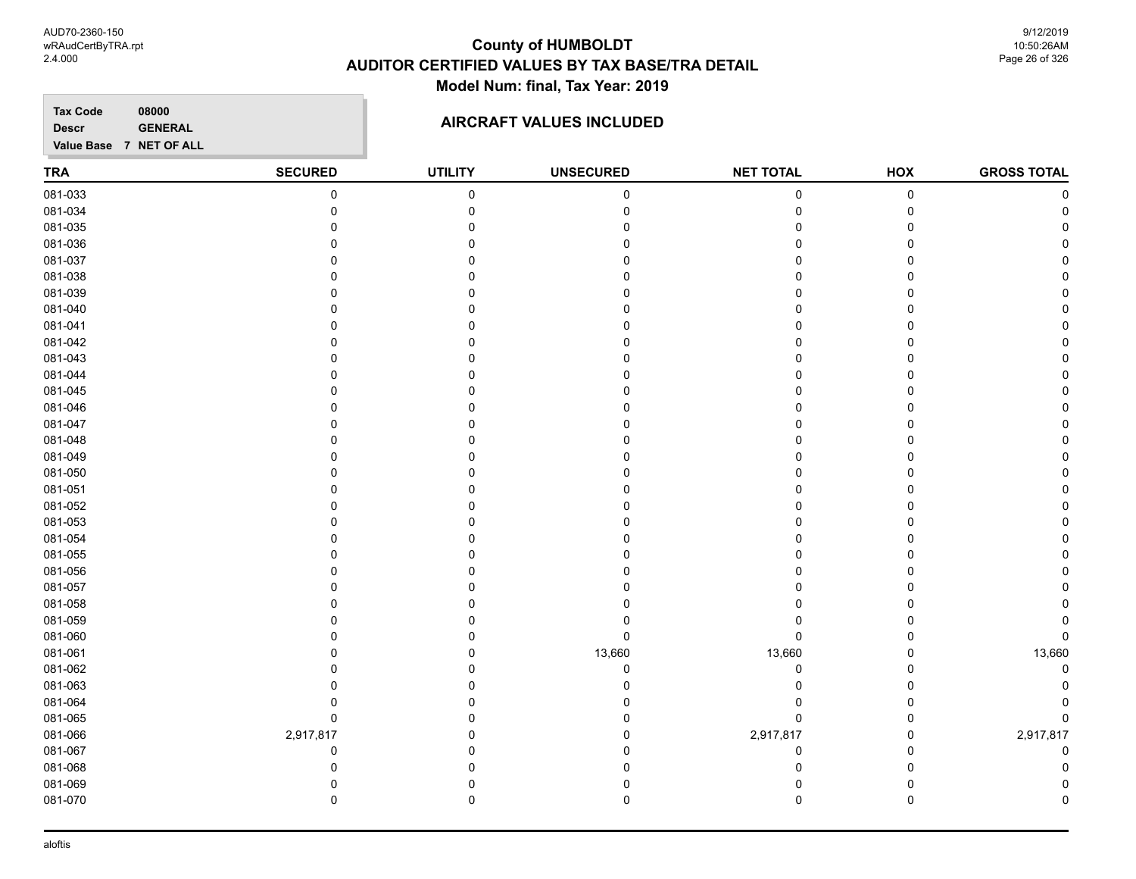9/12/2019 10:50:26AM Page 26 of 326

**Tax Code 08000 Descr**

### **AIRCRAFT VALUES INCLUDED**

| <b>TRA</b> | <b>SECURED</b> | <b>UTILITY</b> | <b>UNSECURED</b> | <b>NET TOTAL</b> | HOX | <b>GROSS TOTAL</b> |
|------------|----------------|----------------|------------------|------------------|-----|--------------------|
| 081-033    | $\pmb{0}$      | $\pmb{0}$      | $\pmb{0}$        | 0                | 0   | C                  |
| 081-034    | $\Omega$       | $\Omega$       |                  | $\Omega$         | 0   |                    |
| 081-035    | $\Omega$       | $\Omega$       |                  |                  | 0   |                    |
| 081-036    | $\Omega$       | $\Omega$       |                  |                  | 0   |                    |
| 081-037    | $\Omega$       | $\Omega$       |                  |                  | 0   |                    |
| 081-038    | $\Omega$       | U              |                  |                  | 0   |                    |
| 081-039    | $\Omega$       | ∩              |                  |                  | 0   |                    |
| 081-040    | 0              | 0              |                  |                  | 0   |                    |
| 081-041    | $\Omega$       | 0              |                  |                  | 0   |                    |
| 081-042    | $\Omega$       | $\Omega$       |                  |                  | 0   |                    |
| 081-043    | $\Omega$       | $\Omega$       |                  | U                | 0   |                    |
| 081-044    | 0              | 0              |                  | ∩                | 0   |                    |
| 081-045    | 0              | 0              |                  | $\Omega$         | 0   |                    |
| 081-046    | 0              | 0              |                  | U                | 0   |                    |
| 081-047    | $\Omega$       | $\Omega$       |                  |                  | 0   |                    |
| 081-048    | 0              | 0              |                  | 0                | 0   |                    |
| 081-049    | 0              | 0              |                  |                  | 0   |                    |
| 081-050    | $\Omega$       | $\Omega$       |                  |                  | 0   |                    |
| 081-051    | $\Omega$       | $\Omega$       |                  | O                | 0   |                    |
| 081-052    | 0              | $\Omega$       |                  | O                | 0   |                    |
| 081-053    | $\Omega$       | $\Omega$       |                  |                  | 0   |                    |
| 081-054    | $\Omega$       | $\Omega$       |                  |                  | 0   |                    |
| 081-055    | 0              | 0              |                  |                  | 0   |                    |
| 081-056    | $\Omega$       | $\Omega$       |                  |                  | 0   |                    |
| 081-057    | 0              | 0              |                  |                  | 0   |                    |
| 081-058    | $\Omega$       | $\Omega$       |                  |                  | 0   |                    |
| 081-059    | $\Omega$       | $\Omega$       |                  | O                | 0   |                    |
| 081-060    | $\Omega$       | $\Omega$       | 0                | $\Omega$         | 0   | $\Omega$           |
| 081-061    | $\Omega$       | $\Omega$       | 13,660           | 13,660           | 0   | 13,660             |
| 081-062    | $\Omega$       | $\Omega$       | $\Omega$         | 0                | 0   |                    |
| 081-063    | 0              | 0              |                  | 0                | 0   |                    |
| 081-064    | 0              | 0              |                  | 0                | 0   |                    |
| 081-065    | $\pmb{0}$      | 0              |                  | $\Omega$         | 0   |                    |
| 081-066    | 2,917,817      | $\Omega$       |                  | 2,917,817        | 0   | 2,917,817          |
| 081-067    | 0              | $\Omega$       |                  | $\Omega$         | 0   | $\Omega$           |
| 081-068    | $\Omega$       | $\Omega$       |                  | $\Omega$         | 0   |                    |
| 081-069    | $\Omega$       | 0              |                  | $\Omega$         | 0   |                    |
| 081-070    | $\mathbf 0$    | $\mathbf 0$    | 0                | $\mathbf 0$      | 0   | O                  |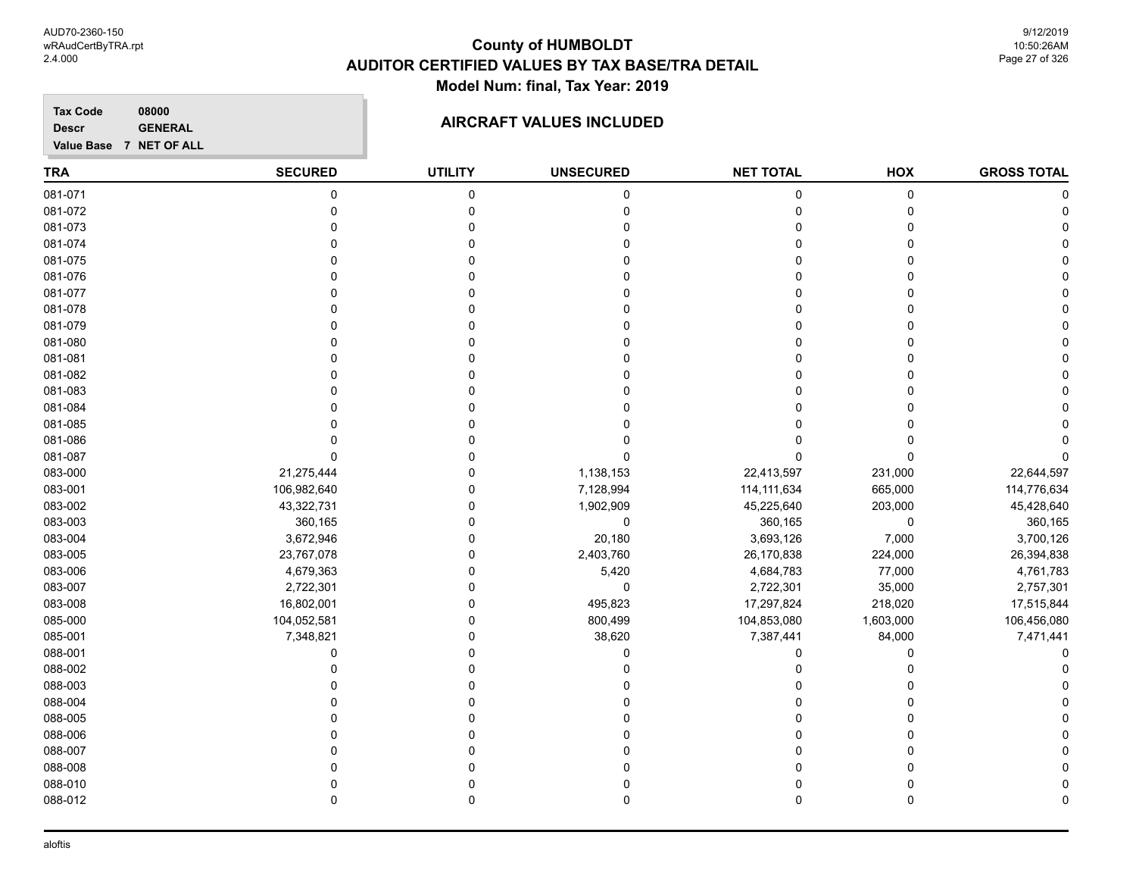**Tax Code 08000 Descr**

### **AIRCRAFT VALUES INCLUDED**

| <b>TRA</b> | <b>SECURED</b> | <b>UTILITY</b> | <b>UNSECURED</b> | <b>NET TOTAL</b> | HOX       | <b>GROSS TOTAL</b> |
|------------|----------------|----------------|------------------|------------------|-----------|--------------------|
| 081-071    | 0              | $\mathbf 0$    | $\pmb{0}$        | 0                | 0         |                    |
| 081-072    | 0              | $\mathbf 0$    | $\mathbf 0$      | 0                | 0         |                    |
| 081-073    | 0              | 0              | 0                | 0                | 0         |                    |
| 081-074    | $\Omega$       | $\Omega$       | $\Omega$         | $\Omega$         | 0         |                    |
| 081-075    | $\Omega$       | $\Omega$       | 0                | $\Omega$         | 0         |                    |
| 081-076    | $\Omega$       | $\Omega$       | O                | $\Omega$         | 0         |                    |
| 081-077    | U              | U              | 0                | 0                | 0         |                    |
| 081-078    | $\Omega$       | 0              |                  | $\Omega$         | 0         |                    |
| 081-079    | $\Omega$       | $\Omega$       |                  | 0                | 0         |                    |
| 081-080    | $\Omega$       | $\Omega$       | O                | $\Omega$         | 0         |                    |
| 081-081    | $\Omega$       | $\Omega$       | $\Omega$         | 0                | 0         |                    |
| 081-082    | $\Omega$       | $\Omega$       | $\Omega$         | $\Omega$         | 0         |                    |
| 081-083    | $\Omega$       | $\Omega$       | 0                | 0                | 0         |                    |
| 081-084    | $\Omega$       | $\Omega$       | 0                | 0                | 0         |                    |
| 081-085    | $\Omega$       | 0              | U                | 0                | 0         |                    |
| 081-086    | 0              | 0              |                  | $\Omega$         | 0         |                    |
| 081-087    | $\mathbf{0}$   | $\Omega$       | $\Omega$         | $\Omega$         | $\Omega$  |                    |
| 083-000    | 21,275,444     | $\Omega$       | 1,138,153        | 22,413,597       | 231,000   | 22,644,597         |
| 083-001    | 106,982,640    | $\Omega$       | 7,128,994        | 114, 111, 634    | 665,000   | 114,776,634        |
| 083-002    | 43,322,731     | $\Omega$       | 1,902,909        | 45,225,640       | 203,000   | 45,428,640         |
| 083-003    | 360,165        | $\Omega$       | $\mathbf 0$      | 360,165          | 0         | 360,165            |
| 083-004    | 3,672,946      | $\Omega$       | 20,180           | 3,693,126        | 7,000     | 3,700,126          |
| 083-005    | 23,767,078     | $\Omega$       | 2,403,760        | 26,170,838       | 224,000   | 26,394,838         |
| 083-006    | 4,679,363      | $\mathbf 0$    | 5,420            | 4,684,783        | 77,000    | 4,761,783          |
| 083-007    | 2,722,301      | $\Omega$       | $\mathbf 0$      | 2,722,301        | 35,000    | 2,757,301          |
| 083-008    | 16,802,001     | $\Omega$       | 495,823          | 17,297,824       | 218,020   | 17,515,844         |
| 085-000    | 104,052,581    | $\mathbf 0$    | 800,499          | 104,853,080      | 1,603,000 | 106,456,080        |
| 085-001    | 7,348,821      | $\mathbf 0$    | 38,620           | 7,387,441        | 84,000    | 7,471,441          |
| 088-001    | $\mathbf 0$    | $\Omega$       | $\mathbf 0$      | 0                | 0         |                    |
| 088-002    | 0              | 0              | 0                | 0                | 0         |                    |
| 088-003    | $\Omega$       | $\Omega$       | 0                | $\Omega$         | 0         |                    |
| 088-004    | $\Omega$       | $\Omega$       | 0                | $\Omega$         | 0         |                    |
| 088-005    | $\Omega$       | $\Omega$       | ŋ                | 0                | 0         |                    |
| 088-006    | $\Omega$       | $\Omega$       | $\Omega$         | $\Omega$         | 0         |                    |
| 088-007    | $\Omega$       | $\Omega$       | $\mathbf 0$      | $\mathbf 0$      | 0         |                    |
| 088-008    | $\Omega$       | $\Omega$       | O                | $\Omega$         | 0         |                    |
| 088-010    | $\Omega$       | $\mathbf 0$    | 0                | 0                | 0         |                    |
| 088-012    | $\mathbf 0$    | $\mathbf 0$    | $\mathbf 0$      | $\mathbf 0$      | 0         | n                  |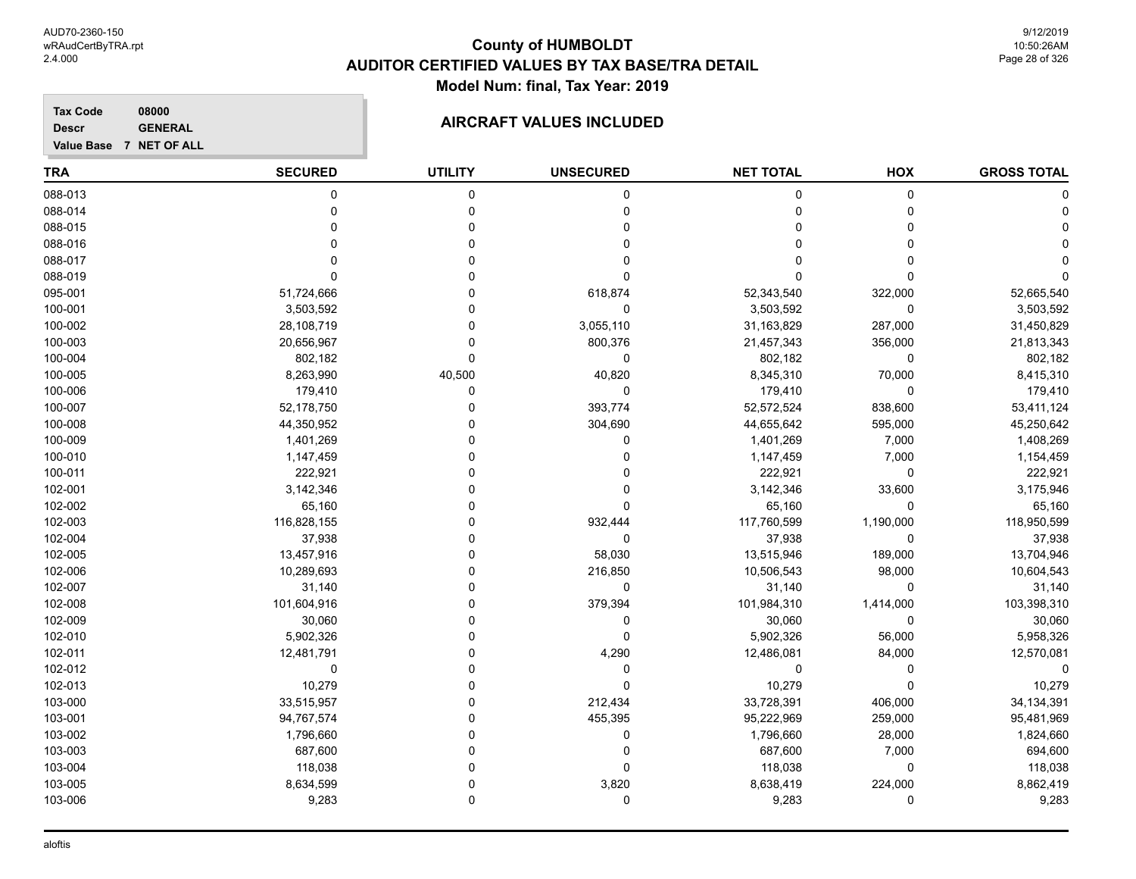**Tax Code 08000 Descr**

### **AIRCRAFT VALUES INCLUDED**

| <b>TRA</b> | <b>SECURED</b> | <b>UTILITY</b> | <b>UNSECURED</b> | <b>NET TOTAL</b> | HOX         | <b>GROSS TOTAL</b> |
|------------|----------------|----------------|------------------|------------------|-------------|--------------------|
| 088-013    | 0              | 0              | 0                | 0                | 0           |                    |
| 088-014    | $\Omega$       | $\mathbf 0$    | 0                | 0                | $\Omega$    |                    |
| 088-015    | $\Omega$       | $\mathbf 0$    | 0                | 0                | $\Omega$    |                    |
| 088-016    | n              | $\Omega$       | 0                | 0                | $\Omega$    |                    |
| 088-017    | ∩              | $\Omega$       | 0                | 0                | $\Omega$    |                    |
| 088-019    | $\Omega$       | $\Omega$       | 0                | 0                | $\Omega$    |                    |
| 095-001    | 51,724,666     | $\Omega$       | 618,874          | 52,343,540       | 322,000     | 52,665,540         |
| 100-001    | 3,503,592      | $\Omega$       | 0                | 3,503,592        | 0           | 3,503,592          |
| 100-002    | 28,108,719     | $\Omega$       | 3,055,110        | 31,163,829       | 287,000     | 31,450,829         |
| 100-003    | 20,656,967     | $\Omega$       | 800,376          | 21,457,343       | 356,000     | 21,813,343         |
| 100-004    | 802,182        | $\mathbf 0$    | 0                | 802,182          | 0           | 802,182            |
| 100-005    | 8,263,990      | 40,500         | 40,820           | 8,345,310        | 70,000      | 8,415,310          |
| 100-006    | 179,410        | 0              | 0                | 179,410          | $\mathbf 0$ | 179,410            |
| 100-007    | 52,178,750     | $\Omega$       | 393,774          | 52,572,524       | 838,600     | 53,411,124         |
| 100-008    | 44,350,952     | 0              | 304,690          | 44,655,642       | 595,000     | 45,250,642         |
| 100-009    | 1,401,269      | $\Omega$       | 0                | 1,401,269        | 7,000       | 1,408,269          |
| 100-010    | 1,147,459      | $\Omega$       | 0                | 1,147,459        | 7,000       | 1,154,459          |
| 100-011    | 222,921        | $\Omega$       | 0                | 222,921          | $\Omega$    | 222,921            |
| 102-001    | 3,142,346      | $\Omega$       | 0                | 3,142,346        | 33,600      | 3,175,946          |
| 102-002    | 65,160         | $\Omega$       | 0                | 65,160           | $\mathbf 0$ | 65,160             |
| 102-003    | 116,828,155    | $\Omega$       | 932,444          | 117,760,599      | 1,190,000   | 118,950,599        |
| 102-004    | 37,938         | $\Omega$       | $\mathbf 0$      | 37,938           | $\Omega$    | 37,938             |
| 102-005    | 13,457,916     | $\Omega$       | 58,030           | 13,515,946       | 189,000     | 13,704,946         |
| 102-006    | 10,289,693     | $\Omega$       | 216,850          | 10,506,543       | 98,000      | 10,604,543         |
| 102-007    | 31,140         | $\Omega$       | 0                | 31,140           | 0           | 31,140             |
| 102-008    | 101,604,916    | $\Omega$       | 379,394          | 101,984,310      | 1,414,000   | 103,398,310        |
| 102-009    | 30,060         | $\Omega$       | 0                | 30,060           | $\Omega$    | 30,060             |
| 102-010    | 5,902,326      | $\mathbf 0$    | $\mathbf 0$      | 5,902,326        | 56,000      | 5,958,326          |
| 102-011    | 12,481,791     | $\Omega$       | 4,290            | 12,486,081       | 84,000      | 12,570,081         |
| 102-012    | 0              | $\Omega$       | 0                | 0                | $\Omega$    |                    |
| 102-013    | 10,279         | $\Omega$       | 0                | 10,279           | $\Omega$    | 10,279             |
| 103-000    | 33,515,957     | $\mathbf 0$    | 212,434          | 33,728,391       | 406,000     | 34, 134, 391       |
| 103-001    | 94,767,574     | $\Omega$       | 455,395          | 95,222,969       | 259,000     | 95,481,969         |
| 103-002    | 1,796,660      | $\Omega$       | 0                | 1,796,660        | 28,000      | 1,824,660          |
| 103-003    | 687,600        | $\Omega$       | 0                | 687,600          | 7,000       | 694,600            |
| 103-004    | 118,038        | $\mathbf 0$    | 0                | 118,038          | 0           | 118,038            |
| 103-005    | 8,634,599      | $\mathbf 0$    | 3,820            | 8,638,419        | 224,000     | 8,862,419          |
| 103-006    | 9,283          | 0              | 0                | 9,283            | $\Omega$    | 9,283              |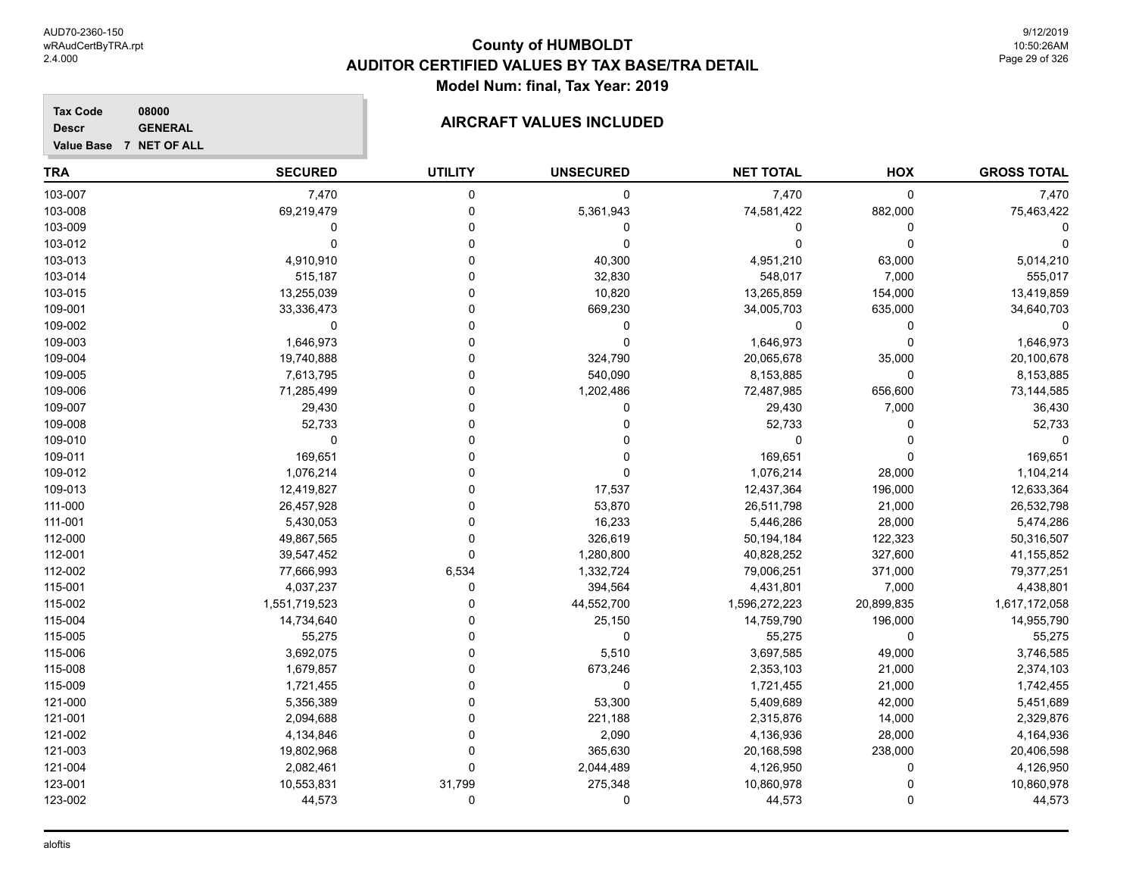**Tax Code 08000 Descr**

### **AIRCRAFT VALUES INCLUDED**

| ------- | ------------            |
|---------|-------------------------|
|         | Value Base 7 NET OF ALL |

| <b>TRA</b> | <b>SECURED</b> | <b>UTILITY</b> | <b>UNSECURED</b> | <b>NET TOTAL</b> | HOX         | <b>GROSS TOTAL</b> |
|------------|----------------|----------------|------------------|------------------|-------------|--------------------|
| 103-007    | 7,470          | 0              | 0                | 7,470            | $\mathbf 0$ | 7,470              |
| 103-008    | 69,219,479     | $\Omega$       | 5,361,943        | 74,581,422       | 882,000     | 75,463,422         |
| 103-009    | $\Omega$       | $\Omega$       | 0                | 0                | 0           |                    |
| 103-012    | 0              | $\Omega$       | 0                | 0                | $\mathbf 0$ |                    |
| 103-013    | 4,910,910      | 0              | 40,300           | 4,951,210        | 63,000      | 5,014,210          |
| 103-014    | 515,187        | 0              | 32,830           | 548,017          | 7,000       | 555,017            |
| 103-015    | 13,255,039     | O              | 10,820           | 13,265,859       | 154,000     | 13,419,859         |
| 109-001    | 33,336,473     | $\Omega$       | 669,230          | 34,005,703       | 635,000     | 34,640,703         |
| 109-002    | 0              | $\Omega$       | 0                | 0                | 0           | $\Omega$           |
| 109-003    | 1,646,973      | $\Omega$       | 0                | 1,646,973        | $\mathbf 0$ | 1,646,973          |
| 109-004    | 19,740,888     | 0              | 324,790          | 20,065,678       | 35,000      | 20,100,678         |
| 109-005    | 7,613,795      | $\Omega$       | 540,090          | 8,153,885        | $\mathbf 0$ | 8,153,885          |
| 109-006    | 71,285,499     | $\Omega$       | 1,202,486        | 72,487,985       | 656,600     | 73,144,585         |
| 109-007    | 29,430         | $\Omega$       | 0                | 29,430           | 7,000       | 36,430             |
| 109-008    | 52,733         | 0              | 0                | 52,733           | $\mathbf 0$ | 52,733             |
| 109-010    | 0              | O              | 0                | 0                | $\Omega$    | $\Omega$           |
| 109-011    | 169,651        | $\Omega$       | 0                | 169,651          | $\Omega$    | 169,651            |
| 109-012    | 1,076,214      | $\Omega$       | $\mathbf 0$      | 1,076,214        | 28,000      | 1,104,214          |
| 109-013    | 12,419,827     | $\Omega$       | 17,537           | 12,437,364       | 196,000     | 12,633,364         |
| 111-000    | 26,457,928     | 0              | 53,870           | 26,511,798       | 21,000      | 26,532,798         |
| 111-001    | 5,430,053      | 0              | 16,233           | 5,446,286        | 28,000      | 5,474,286          |
| 112-000    | 49,867,565     | 0              | 326,619          | 50,194,184       | 122,323     | 50,316,507         |
| 112-001    | 39,547,452     | $\Omega$       | 1,280,800        | 40,828,252       | 327,600     | 41,155,852         |
| 112-002    | 77,666,993     | 6,534          | 1,332,724        | 79,006,251       | 371,000     | 79,377,251         |
| 115-001    | 4,037,237      | $\Omega$       | 394,564          | 4,431,801        | 7,000       | 4,438,801          |
| 115-002    | 1,551,719,523  | 0              | 44,552,700       | 1,596,272,223    | 20,899,835  | 1,617,172,058      |
| 115-004    | 14,734,640     | 0              | 25,150           | 14,759,790       | 196,000     | 14,955,790         |
| 115-005    | 55,275         | $\Omega$       | 0                | 55,275           | $\mathbf 0$ | 55,275             |
| 115-006    | 3,692,075      | 0              | 5,510            | 3,697,585        | 49,000      | 3,746,585          |
| 115-008    | 1,679,857      | 0              | 673,246          | 2,353,103        | 21,000      | 2,374,103          |
| 115-009    | 1,721,455      | 0              | 0                | 1,721,455        | 21,000      | 1,742,455          |
| 121-000    | 5,356,389      | $\Omega$       | 53,300           | 5,409,689        | 42,000      | 5,451,689          |
| 121-001    | 2,094,688      | 0              | 221,188          | 2,315,876        | 14,000      | 2,329,876          |
| 121-002    | 4,134,846      | 0              | 2,090            | 4,136,936        | 28,000      | 4,164,936          |
| 121-003    | 19,802,968     | $\Omega$       | 365,630          | 20,168,598       | 238,000     | 20,406,598         |
| 121-004    | 2,082,461      | 0              | 2,044,489        | 4,126,950        | 0           | 4,126,950          |
| 123-001    | 10,553,831     | 31,799         | 275,348          | 10,860,978       | $\Omega$    | 10,860,978         |
| 123-002    | 44,573         | 0              | 0                | 44,573           | $\mathbf 0$ | 44,573             |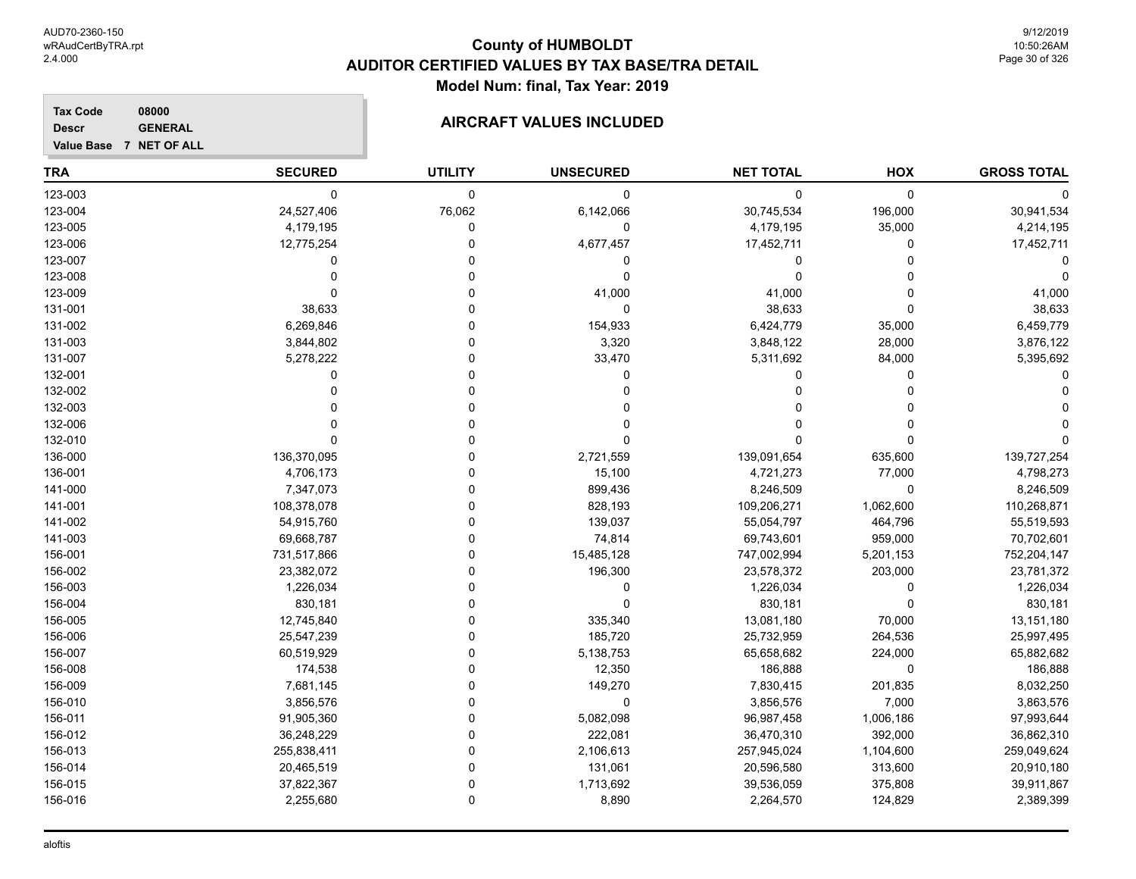9/12/2019 10:50:26AM Page 30 of 326

#### **Tax Code 08000 Descr**

## **GENERAL GENERAL AIRCRAFT VALUES INCLUDED**

|  |  | Value Base 7 NET OF ALL |
|--|--|-------------------------|

| <b>TRA</b> | <b>SECURED</b> | <b>UTILITY</b> | <b>UNSECURED</b> | <b>NET TOTAL</b> | HOX         | <b>GROSS TOTAL</b> |
|------------|----------------|----------------|------------------|------------------|-------------|--------------------|
| 123-003    | 0              | $\mathbf 0$    | 0                | 0                | 0           | 0                  |
| 123-004    | 24,527,406     | 76,062         | 6,142,066        | 30,745,534       | 196,000     | 30,941,534         |
| 123-005    | 4,179,195      | $\mathbf 0$    | 0                | 4,179,195        | 35,000      | 4,214,195          |
| 123-006    | 12,775,254     | $\Omega$       | 4,677,457        | 17,452,711       | 0           | 17,452,711         |
| 123-007    | 0              | $\Omega$       | 0                | 0                | $\Omega$    |                    |
| 123-008    | $\Omega$       | O              | $\mathbf 0$      | 0                | $\Omega$    |                    |
| 123-009    | $\Omega$       | $\Omega$       | 41,000           | 41,000           | $\Omega$    | 41,000             |
| 131-001    | 38,633         | 0              | 0                | 38,633           | $\Omega$    | 38,633             |
| 131-002    | 6,269,846      | $\Omega$       | 154,933          | 6,424,779        | 35,000      | 6,459,779          |
| 131-003    | 3,844,802      | $\Omega$       | 3,320            | 3,848,122        | 28,000      | 3,876,122          |
| 131-007    | 5,278,222      | 0              | 33,470           | 5,311,692        | 84,000      | 5,395,692          |
| 132-001    | 0              | 0              | 0                | 0                | 0           |                    |
| 132-002    | $\Omega$       | 0              | 0                | 0                | 0           |                    |
| 132-003    |                | $\Omega$       | 0                | $\Omega$         | $\Omega$    |                    |
| 132-006    |                | $\Omega$       | 0                | 0                | $\Omega$    |                    |
| 132-010    | $\Omega$       | O              | 0                | 0                | $\Omega$    |                    |
| 136-000    | 136,370,095    | 0              | 2,721,559        | 139,091,654      | 635,600     | 139,727,254        |
| 136-001    | 4,706,173      | 0              | 15,100           | 4,721,273        | 77,000      | 4,798,273          |
| 141-000    | 7,347,073      | 0              | 899,436          | 8,246,509        | $\mathbf 0$ | 8,246,509          |
| 141-001    | 108,378,078    | 0              | 828,193          | 109,206,271      | 1,062,600   | 110,268,871        |
| 141-002    | 54,915,760     | $\Omega$       | 139,037          | 55,054,797       | 464,796     | 55,519,593         |
| 141-003    | 69,668,787     | $\Omega$       | 74,814           | 69,743,601       | 959,000     | 70,702,601         |
| 156-001    | 731,517,866    | $\Omega$       | 15,485,128       | 747,002,994      | 5,201,153   | 752,204,147        |
| 156-002    | 23,382,072     | 0              | 196,300          | 23,578,372       | 203,000     | 23,781,372         |
| 156-003    | 1,226,034      | 0              | 0                | 1,226,034        | 0           | 1,226,034          |
| 156-004    | 830,181        | $\Omega$       | $\mathbf 0$      | 830,181          | $\Omega$    | 830,181            |
| 156-005    | 12,745,840     | $\Omega$       | 335,340          | 13,081,180       | 70,000      | 13,151,180         |
| 156-006    | 25,547,239     | $\Omega$       | 185,720          | 25,732,959       | 264,536     | 25,997,495         |
| 156-007    | 60,519,929     | 0              | 5,138,753        | 65,658,682       | 224,000     | 65,882,682         |
| 156-008    | 174,538        | 0              | 12,350           | 186,888          | $\mathbf 0$ | 186,888            |
| 156-009    | 7,681,145      | 0              | 149,270          | 7,830,415        | 201,835     | 8,032,250          |
| 156-010    | 3,856,576      | 0              | 0                | 3,856,576        | 7,000       | 3,863,576          |
| 156-011    | 91,905,360     | 0              | 5,082,098        | 96,987,458       | 1,006,186   | 97,993,644         |
| 156-012    | 36,248,229     | 0              | 222,081          | 36,470,310       | 392,000     | 36,862,310         |
| 156-013    | 255,838,411    | $\Omega$       | 2,106,613        | 257,945,024      | 1,104,600   | 259,049,624        |
| 156-014    | 20,465,519     | $\Omega$       | 131,061          | 20,596,580       | 313,600     | 20,910,180         |
| 156-015    | 37,822,367     | $\Omega$       | 1,713,692        | 39,536,059       | 375,808     | 39,911,867         |
| 156-016    | 2,255,680      | $\Omega$       | 8,890            | 2,264,570        | 124,829     | 2,389,399          |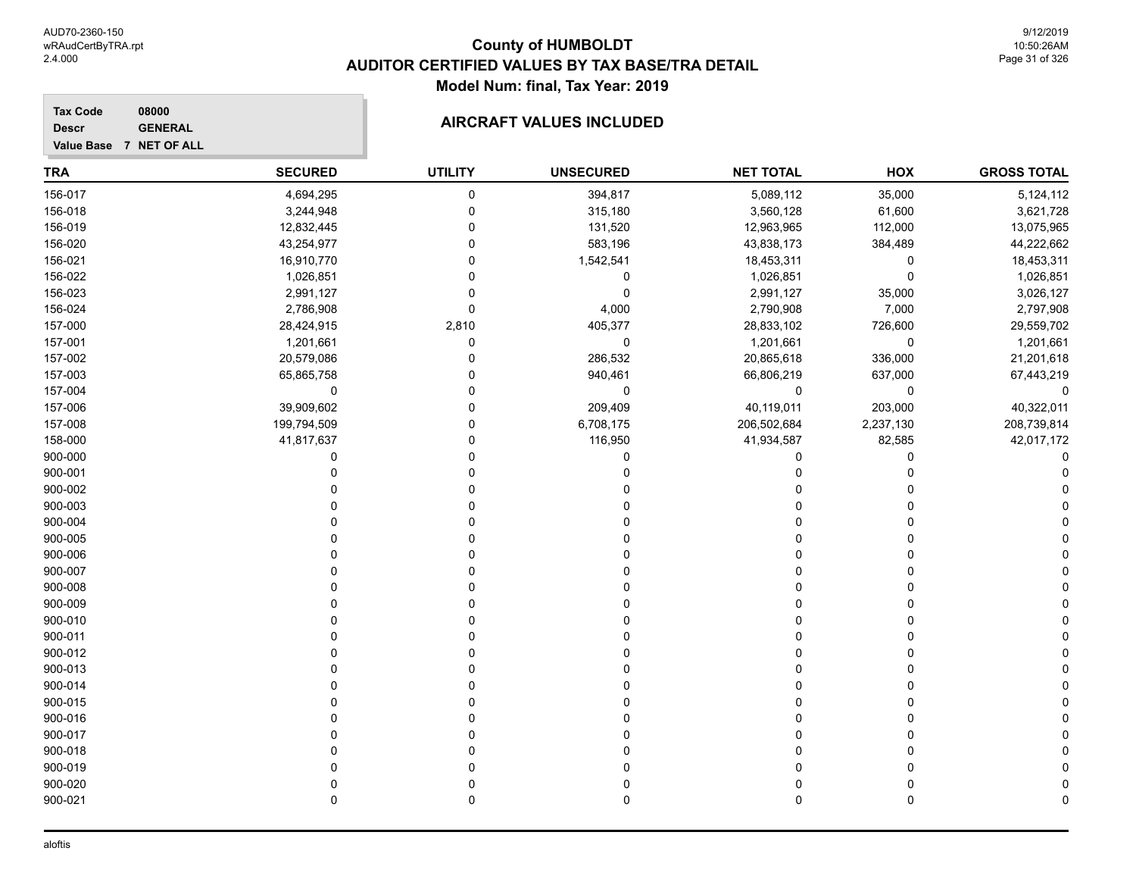**Tax Code 08000 Descr**

## **GENERAL GENERAL AIRCRAFT VALUES INCLUDED**

| Value Base 7 NET OF ALL |  |  |
|-------------------------|--|--|
|                         |  |  |

| <b>TRA</b> | <b>SECURED</b> | <b>UTILITY</b> | <b>UNSECURED</b> | <b>NET TOTAL</b> | HOX       | <b>GROSS TOTAL</b> |
|------------|----------------|----------------|------------------|------------------|-----------|--------------------|
| 156-017    | 4,694,295      | $\pmb{0}$      | 394,817          | 5,089,112        | 35,000    | 5,124,112          |
| 156-018    | 3,244,948      | $\mathbf 0$    | 315,180          | 3,560,128        | 61,600    | 3,621,728          |
| 156-019    | 12,832,445     | $\Omega$       | 131,520          | 12,963,965       | 112,000   | 13,075,965         |
| 156-020    | 43,254,977     | $\mathbf 0$    | 583,196          | 43,838,173       | 384,489   | 44,222,662         |
| 156-021    | 16,910,770     | $\Omega$       | 1,542,541        | 18,453,311       | 0         | 18,453,311         |
| 156-022    | 1,026,851      | $\Omega$       | $\mathbf 0$      | 1,026,851        | 0         | 1,026,851          |
| 156-023    | 2,991,127      | $\Omega$       | $\mathbf 0$      | 2,991,127        | 35,000    | 3,026,127          |
| 156-024    | 2,786,908      | $\mathbf 0$    | 4,000            | 2,790,908        | 7,000     | 2,797,908          |
| 157-000    | 28,424,915     | 2,810          | 405,377          | 28,833,102       | 726,600   | 29,559,702         |
| 157-001    | 1,201,661      | $\mathbf 0$    | 0                | 1,201,661        | 0         | 1,201,661          |
| 157-002    | 20,579,086     | $\Omega$       | 286,532          | 20,865,618       | 336,000   | 21,201,618         |
| 157-003    | 65,865,758     | 0              | 940,461          | 66,806,219       | 637,000   | 67,443,219         |
| 157-004    | 0              | $\Omega$       | $\mathbf 0$      | 0                | 0         | $\mathbf 0$        |
| 157-006    | 39,909,602     | $\mathbf 0$    | 209,409          | 40,119,011       | 203,000   | 40,322,011         |
| 157-008    | 199,794,509    | $\Omega$       | 6,708,175        | 206,502,684      | 2,237,130 | 208,739,814        |
| 158-000    | 41,817,637     | $\mathbf 0$    | 116,950          | 41,934,587       | 82,585    | 42,017,172         |
| 900-000    | 0              | $\Omega$       | 0                | 0                | $\Omega$  |                    |
| 900-001    | $\mathbf{0}$   | $\Omega$       | 0                | 0                | $\Omega$  |                    |
| 900-002    | U              | 0              | 0                | 0                | 0         |                    |
| 900-003    | 0              | $\Omega$       | 0                | 0                | 0         |                    |
| 900-004    | $\Omega$       | $\Omega$       |                  | $\Omega$         | 0         |                    |
| 900-005    | $\Omega$       | $\Omega$       | O                | $\Omega$         | $\Omega$  |                    |
| 900-006    | $\Omega$       | $\Omega$       | $\Omega$         | $\Omega$         | 0         |                    |
| 900-007    | $\Omega$       | $\Omega$       | $\Omega$         | $\Omega$         | $\Omega$  |                    |
| 900-008    | $\Omega$       | $\Omega$       | 0                | $\Omega$         | $\Omega$  |                    |
| 900-009    | $\Omega$       | $\Omega$       | 0                | $\Omega$         | $\Omega$  |                    |
| 900-010    | 0              | $\mathbf{0}$   | 0                | 0                | 0         |                    |
| 900-011    | 0              | $\Omega$       | 0                | $\Omega$         | 0         |                    |
| 900-012    | $\Omega$       | $\Omega$       |                  | $\Omega$         | 0         |                    |
| 900-013    | C              | $\Omega$       |                  | $\Omega$         | $\Omega$  |                    |
| 900-014    | $\Omega$       | $\Omega$       | 0                | 0                | 0         |                    |
| 900-015    | $\Omega$       | $\Omega$       | 0                | $\Omega$         | $\Omega$  |                    |
| 900-016    | $\Omega$       | $\Omega$       | O                | $\Omega$         | $\Omega$  |                    |
| 900-017    | O              | 0              | ŋ                | 0                | $\Omega$  |                    |
| 900-018    | 0              | $\Omega$       | 0                | 0                | 0         |                    |
| 900-019    | 0              | $\Omega$       | 0                | 0                | 0         |                    |
| 900-020    | $\mathbf 0$    | $\mathbf 0$    | 0                | 0                | 0         |                    |
| 900-021    | $\Omega$       | $\Omega$       | 0                | 0                | 0         |                    |
|            |                |                |                  |                  |           |                    |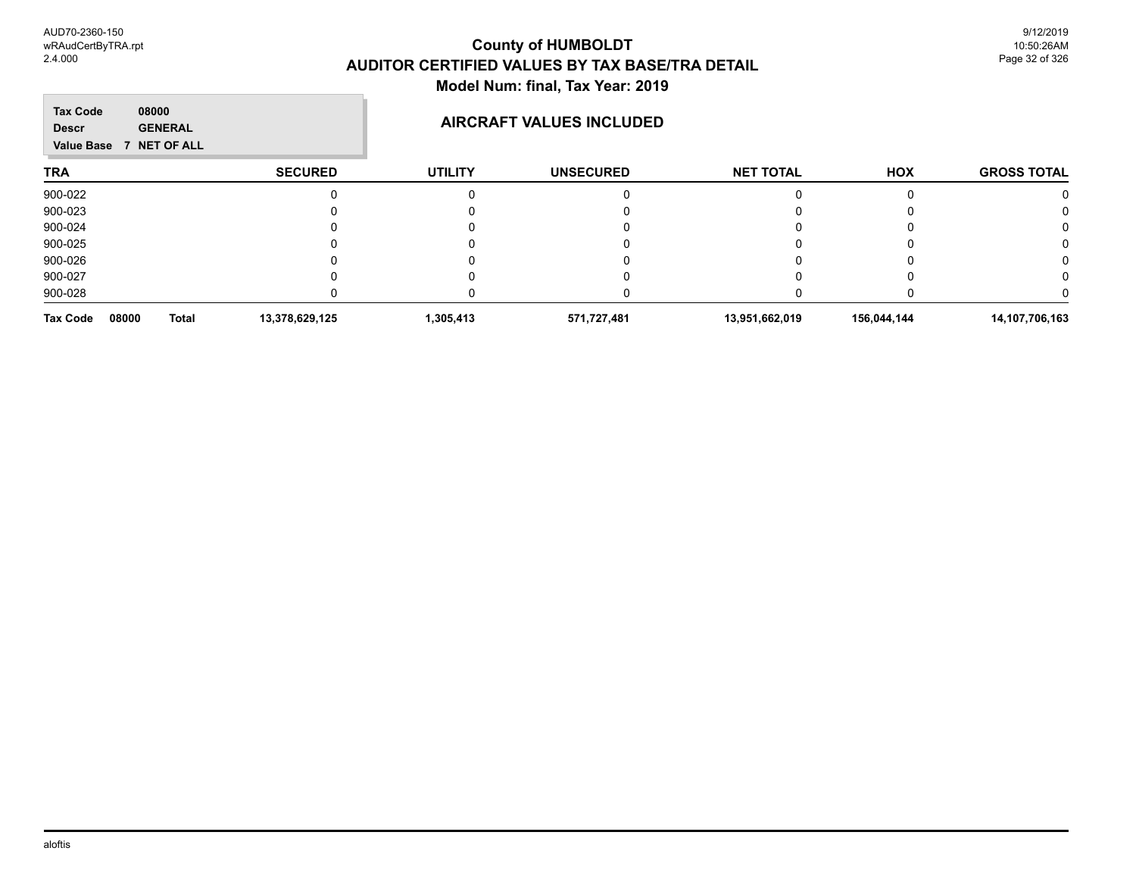**TRA SECURED UTILITY UNSECURED HOX Tax Code Value Base 7 NET OF ALL 08000 GROSS TOTAL NET TOTAL Descr AIRCRAFT VALUES INCLUDED** 900-022 0 0 0 0 0 0 900-023 0 0 0 0 0 0 900-024 0 0 0 0 0 0 900-025 0 0 0 0 0 0 900-026 0 0 0 0 0 0 900-027 0 0 0 0 0 0 900-028 0 0 0 0 0 0 **Tax Code 08000 Total 13,378,629,125 1,305,413 571,727,481 13,951,662,019 156,044,144 14,107,706,163**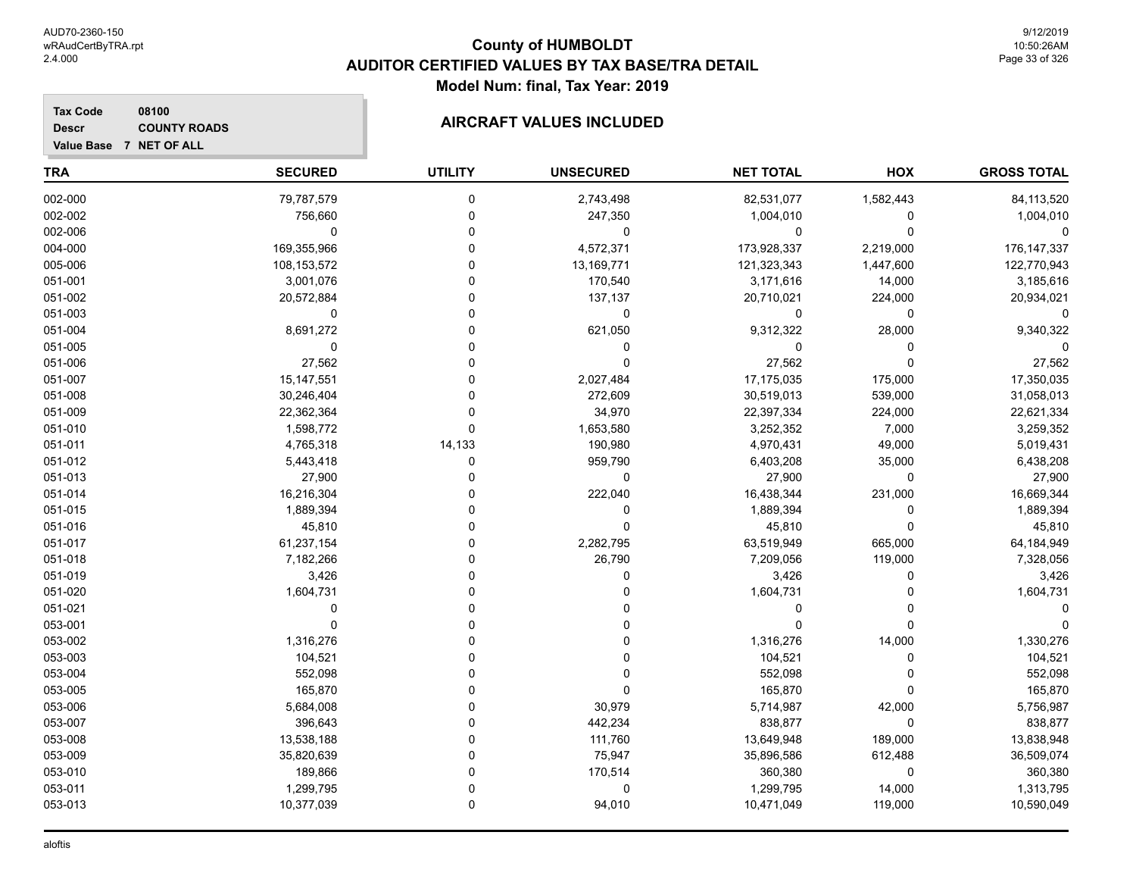#### **TRA SECURED UTILITY UNSECURED HOX Tax Code Value Base 7 NET OF ALL 08100 GROSS TOTAL NET TOTAL Descr COUNTY ROADS COUNTY ROADS** 002-000 79,787,579 0 2,743,498 82,531,077 1,582,443 84,113,520 002-002 756,660 0 247,350 1,004,010 0 1,004,010 002-006 0 0 0 0 0 0 004-000 169,355,966 0 4,572,371 173,928,337 2,219,000 176,147,337 005-006 108,153,572 0 13,169,771 121,323,343 1,447,600 122,770,943 051-001 3,001,076 0 170,540 3,171,616 14,000 3,185,616 051-002 20,572,884 0 137,137 20,710,021 224,000 20,934,021 051-003 0 0 0 0 0 0 051-004 8,691,272 0 621,050 9,312,322 28,000 9,340,322 051-005 0 0 0 0 0 0 051-006 27,562 0 0 27,562 0 27,562 051-007 15,147,551 0 2,027,484 17,175,035 175,000 17,350,035 051-008 30,246,404 0 272,609 30,519,013 539,000 31,058,013 051-009 22,362,364 0 34,970 22,397,334 224,000 22,621,334 051-010 1,598,772 0 1,653,580 3,252,352 7,000 3,259,352 051-011 4,765,318 14,133 190,980 4,970,431 49,000 5,019,431 051-012 5,443,418 0 959,790 6,403,208 35,000 6,438,208 051-013 27,900 0 0 27,900 0 27,900 051-014 16,216,304 0 222,040 16,438,344 231,000 16,669,344 051-015 1,889,394 0 0 1,889,394 0 1,889,394 051-016 45,810 0 0 45,810 0 45,810 051-017 61,237,154 0 2,282,795 63,519,949 665,000 64,184,949 051-018 7,182,266 0 26,790 7,209,056 119,000 7,328,056 051-019 3,426 0 0 3,426 0 3,426 051-020 1,604,731 0 0 1,604,731 0 1,604,731 051-021 0 0 0 0 0 0 053-001 0 0 0 0 0 0 053-002 1,316,276 0 0 1,316,276 14,000 1,330,276

053-003 104,521 0 0 104,521 0 104,521 053-004 552,098 0 0 552,098 0 552,098 053-005 165,870 0 165,870 0 165,870 053-006 5,684,008 0 30,979 5,714,987 42,000 5,756,987 053-007 396,643 0 442,234 838,877 0 838,877 053-008 13,538,188 0 111,760 13,649,948 189,000 13,838,948 053-009 35,820,639 0 75,947 35,896,586 612,488 36,509,074 053-010 189,866 0 170,514 360,380 0 360,380 053-011 1,299,795 0 0 1,299,795 14,000 1,313,795 053-013 10,377,039 0 10,471,049 119,000 10,590,049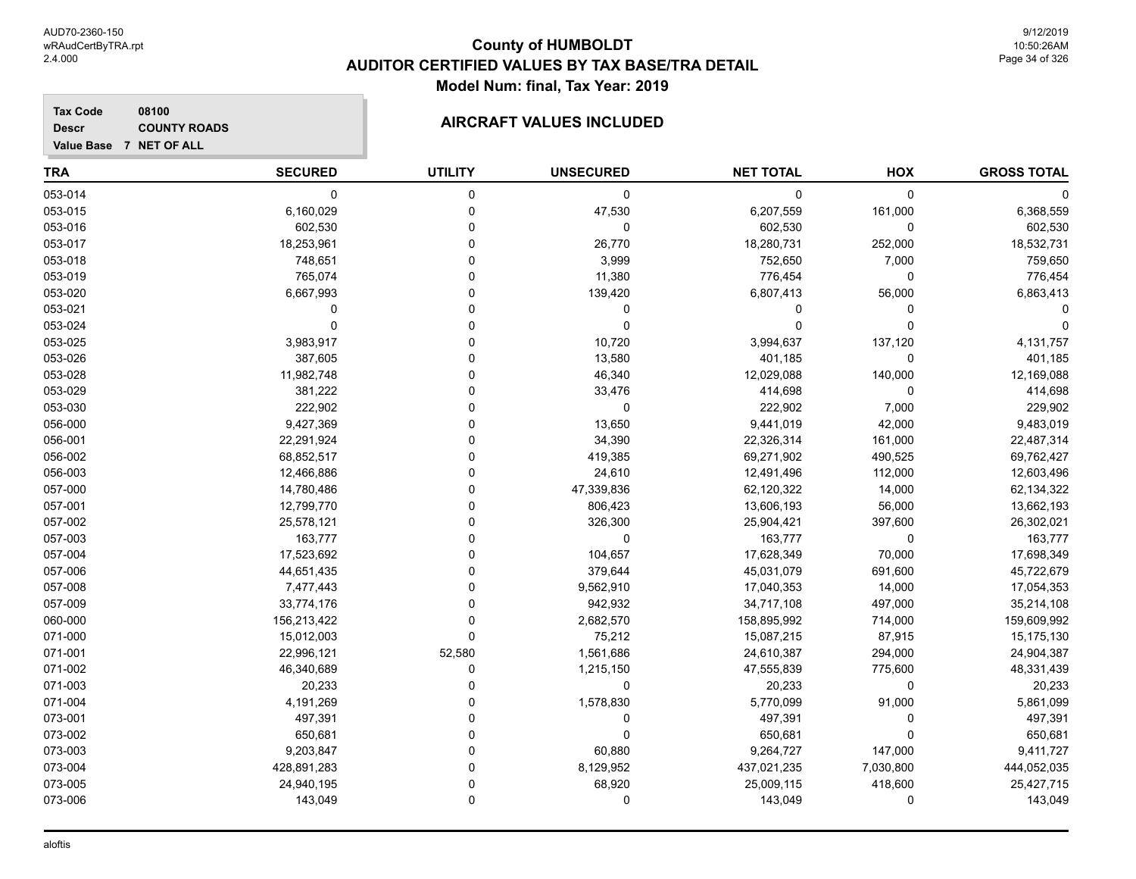#### **Tax Code 08100 Descr**

### **COUNTY ROADS**

| Value Base 7 NET OF ALL |                |                |                  |                  | HOX         | <b>GROSS TOTAL</b> |  |
|-------------------------|----------------|----------------|------------------|------------------|-------------|--------------------|--|
| <b>TRA</b>              | <b>SECURED</b> | <b>UTILITY</b> | <b>UNSECURED</b> | <b>NET TOTAL</b> |             |                    |  |
| 053-014                 | 0              | 0              | 0                | 0                | $\mathbf 0$ |                    |  |
| 053-015                 | 6,160,029      | 0              | 47,530           | 6,207,559        | 161,000     | 6,368,559          |  |
| 053-016                 | 602,530        | $\Omega$       | $\mathbf 0$      | 602,530          | 0           | 602,530            |  |
| 053-017                 | 18,253,961     | O              | 26,770           | 18,280,731       | 252,000     | 18,532,731         |  |
| 053-018                 | 748,651        | C              | 3,999            | 752,650          | 7,000       | 759,650            |  |
| 053-019                 | 765,074        |                | 11,380           | 776,454          | 0           | 776,454            |  |
| 053-020                 | 6,667,993      | O              | 139,420          | 6,807,413        | 56,000      | 6,863,413          |  |
| 053-021                 | $\Omega$       | O              | 0                | 0                | $\Omega$    |                    |  |
| 053-024                 | $\mathbf 0$    | 0              | 0                | 0                | $\mathbf 0$ |                    |  |
| 053-025                 | 3,983,917      | 0              | 10,720           | 3,994,637        | 137,120     | 4,131,757          |  |
| 053-026                 | 387,605        | 0              | 13,580           | 401,185          | 0           | 401,185            |  |
| 053-028                 | 11,982,748     | 0              | 46,340           | 12,029,088       | 140,000     | 12,169,088         |  |
| 053-029                 | 381,222        | C              | 33,476           | 414,698          | $\mathbf 0$ | 414,698            |  |
| 053-030                 | 222,902        | O              | $\mathbf 0$      | 222,902          | 7,000       | 229,902            |  |
| 056-000                 | 9,427,369      | 0              | 13,650           | 9,441,019        | 42,000      | 9,483,019          |  |
| 056-001                 | 22,291,924     | 0              | 34,390           | 22,326,314       | 161,000     | 22,487,314         |  |
| 056-002                 | 68,852,517     | $\Omega$       | 419,385          | 69,271,902       | 490,525     | 69,762,427         |  |
| 056-003                 | 12,466,886     | 0              | 24,610           | 12,491,496       | 112,000     | 12,603,496         |  |
| 057-000                 | 14,780,486     | 0              | 47,339,836       | 62,120,322       | 14,000      | 62,134,322         |  |
| 057-001                 | 12,799,770     | 0              | 806,423          | 13,606,193       | 56,000      | 13,662,193         |  |
| 057-002                 | 25,578,121     | 0              | 326,300          | 25,904,421       | 397,600     | 26,302,021         |  |
| 057-003                 | 163,777        | O              | 0                | 163,777          | 0           | 163,777            |  |
| 057-004                 | 17,523,692     |                | 104,657          | 17,628,349       | 70,000      | 17,698,349         |  |
| 057-006                 | 44,651,435     | C              | 379,644          | 45,031,079       | 691,600     | 45,722,679         |  |
| 057-008                 | 7,477,443      | O              | 9,562,910        | 17,040,353       | 14,000      | 17,054,353         |  |
| 057-009                 | 33,774,176     | $\Omega$       | 942,932          | 34,717,108       | 497,000     | 35,214,108         |  |
| 060-000                 | 156,213,422    | 0              | 2,682,570        | 158,895,992      | 714,000     | 159,609,992        |  |
| 071-000                 | 15,012,003     | 0              | 75,212           | 15,087,215       | 87,915      | 15, 175, 130       |  |
| 071-001                 | 22,996,121     | 52,580         | 1,561,686        | 24,610,387       | 294,000     | 24,904,387         |  |
| 071-002                 | 46,340,689     | 0              | 1,215,150        | 47,555,839       | 775,600     | 48,331,439         |  |
| 071-003                 | 20,233         | 0              | 0                | 20,233           | $\mathbf 0$ | 20,233             |  |
| 071-004                 | 4,191,269      |                | 1,578,830        | 5,770,099        | 91,000      | 5,861,099          |  |
| 073-001                 | 497,391        | 0              | 0                | 497,391          | $\mathbf 0$ | 497,391            |  |
| 073-002                 | 650,681        | 0              | 0                | 650,681          | $\Omega$    | 650,681            |  |
| 073-003                 | 9,203,847      | $\Omega$       | 60,880           | 9,264,727        | 147,000     | 9,411,727          |  |
| 073-004                 | 428,891,283    | $\Omega$       | 8,129,952        | 437,021,235      | 7,030,800   | 444,052,035        |  |
| 073-005                 | 24,940,195     | $\Omega$       | 68,920           | 25,009,115       | 418,600     | 25,427,715         |  |

073-006 143,049 0 0 143,049 0 143,049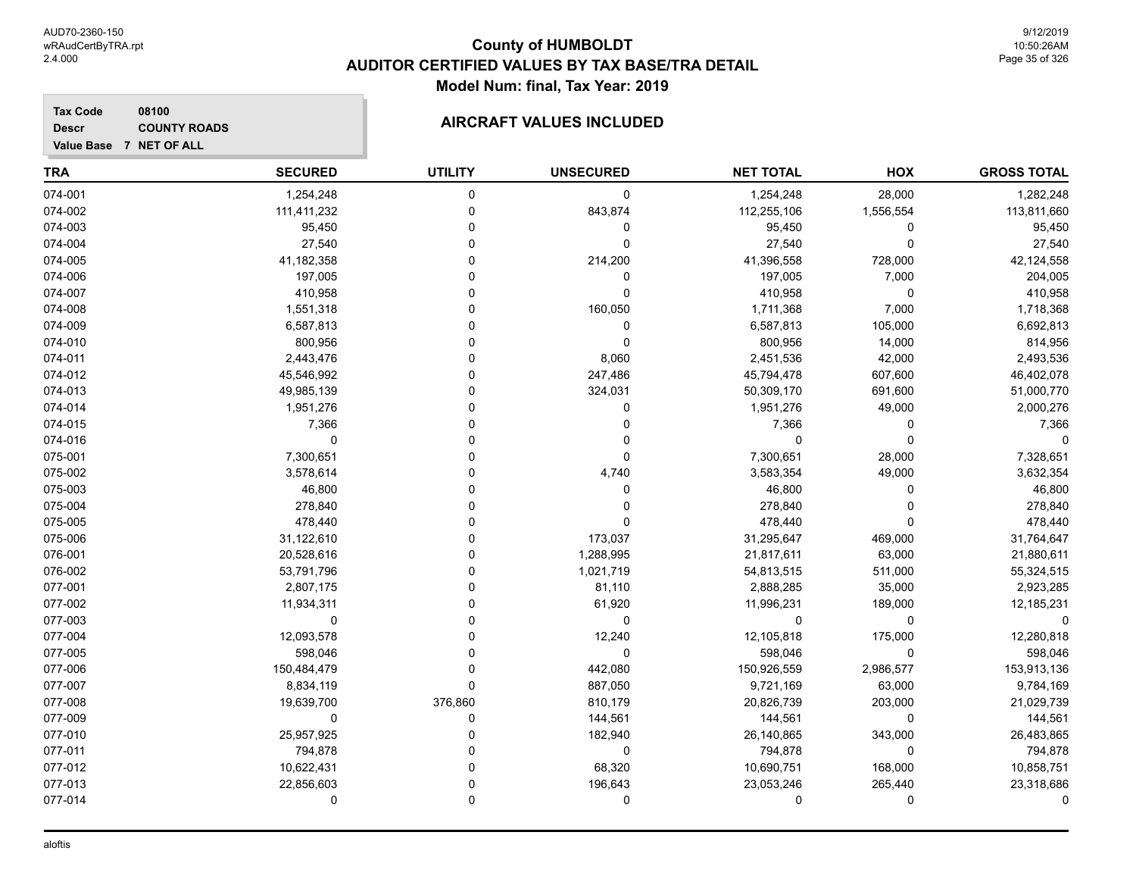**Value Base 7 NET OF ALL**

### **County of HUMBOLDT AUDITOR CERTIFIED VALUES BY TAX BASE/TRA DETAIL Model Num: final, Tax Year: 2019**

9/12/2019 10:50:26AM Page 35 of 326

#### **Tax Code 08100 Descr**

### **COUNTY ROADS COUNTY ROADS**

| TRA     | <b>SECURED</b> | <b>UTILITY</b> | <b>UNSECURED</b> | <b>NET TOTAL</b> | HOX       | <b>GROSS TOTAL</b> |
|---------|----------------|----------------|------------------|------------------|-----------|--------------------|
| 074-001 | 1,254,248      | 0              | 0                | 1,254,248        | 28,000    | 1,282,248          |
| 074-002 | 111,411,232    | 0              | 843,874          | 112,255,106      | 1,556,554 | 113,811,660        |
| 074-003 | 95,450         |                | 0                | 95,450           | 0         | 95,450             |
| 074-004 | 27,540         |                | $\Omega$         | 27,540           | $\Omega$  | 27,540             |
| 074-005 | 41,182,358     |                | 214,200          | 41,396,558       | 728,000   | 42,124,558         |
| 074-006 | 197,005        |                | 0                | 197,005          | 7,000     | 204,005            |
| 074-007 | 410,958        |                | O                | 410,958          | $\Omega$  | 410,958            |
| 074-008 | 1,551,318      |                | 160,050          | 1,711,368        | 7,000     | 1,718,368          |
| 074-009 | 6,587,813      |                | 0                | 6,587,813        | 105,000   | 6,692,813          |
| 074-010 | 800,956        |                | 0                | 800,956          | 14,000    | 814,956            |
| 074-011 | 2,443,476      |                | 8,060            | 2,451,536        | 42,000    | 2,493,536          |
| 074-012 | 45,546,992     |                | 247,486          | 45,794,478       | 607,600   | 46,402,078         |
| 074-013 | 49,985,139     |                | 324,031          | 50,309,170       | 691,600   | 51,000,770         |
| 074-014 | 1,951,276      |                | 0                | 1,951,276        | 49,000    | 2,000,276          |
| 074-015 | 7,366          |                | 0                | 7,366            | 0         | 7,366              |
| 074-016 | $\mathbf 0$    |                |                  | $\mathbf 0$      | $\Omega$  |                    |
| 075-001 | 7,300,651      |                | $\Omega$         | 7,300,651        | 28,000    | 7,328,651          |
| 075-002 | 3,578,614      |                | 4,740            | 3,583,354        | 49,000    | 3,632,354          |
| 075-003 | 46,800         |                | 0                | 46,800           | O         | 46,800             |
| 075-004 | 278,840        |                | 0                | 278,840          | ∩         | 278,840            |
| 075-005 | 478,440        |                | 0                | 478,440          | O         | 478,440            |
| 075-006 | 31,122,610     |                | 173,037          | 31,295,647       | 469,000   | 31,764,647         |
| 076-001 | 20,528,616     |                | 1,288,995        | 21,817,611       | 63,000    | 21,880,611         |
| 076-002 | 53,791,796     |                | 1,021,719        | 54,813,515       | 511,000   | 55,324,515         |
| 077-001 | 2,807,175      |                | 81,110           | 2,888,285        | 35,000    | 2,923,285          |
| 077-002 | 11,934,311     |                | 61,920           | 11,996,231       | 189,000   | 12,185,231         |
| 077-003 | $\Omega$       |                | $\mathbf 0$      | $\Omega$         | $\Omega$  |                    |
| 077-004 | 12,093,578     |                | 12,240           | 12,105,818       | 175,000   | 12,280,818         |
| 077-005 | 598,046        |                | $\mathbf 0$      | 598,046          | 0         | 598,046            |
| 077-006 | 150,484,479    | 0              | 442,080          | 150,926,559      | 2,986,577 | 153,913,136        |
| 077-007 | 8,834,119      | $\Omega$       | 887,050          | 9,721,169        | 63,000    | 9,784,169          |
| 077-008 | 19,639,700     | 376,860        | 810,179          | 20,826,739       | 203,000   | 21,029,739         |
| 077-009 | 0              | 0              | 144,561          | 144,561          | 0         | 144,561            |
| 077-010 | 25,957,925     |                | 182,940          | 26,140,865       | 343,000   | 26,483,865         |
| 077-011 | 794,878        |                | $\Omega$         | 794,878          | $\Omega$  | 794,878            |
| 077-012 | 10,622,431     |                | 68,320           | 10,690,751       | 168,000   | 10,858,751         |
| 077-013 | 22,856,603     |                | 196,643          | 23,053,246       | 265,440   | 23,318,686         |
| 077-014 | 0              | O              | 0                | O                | 0         |                    |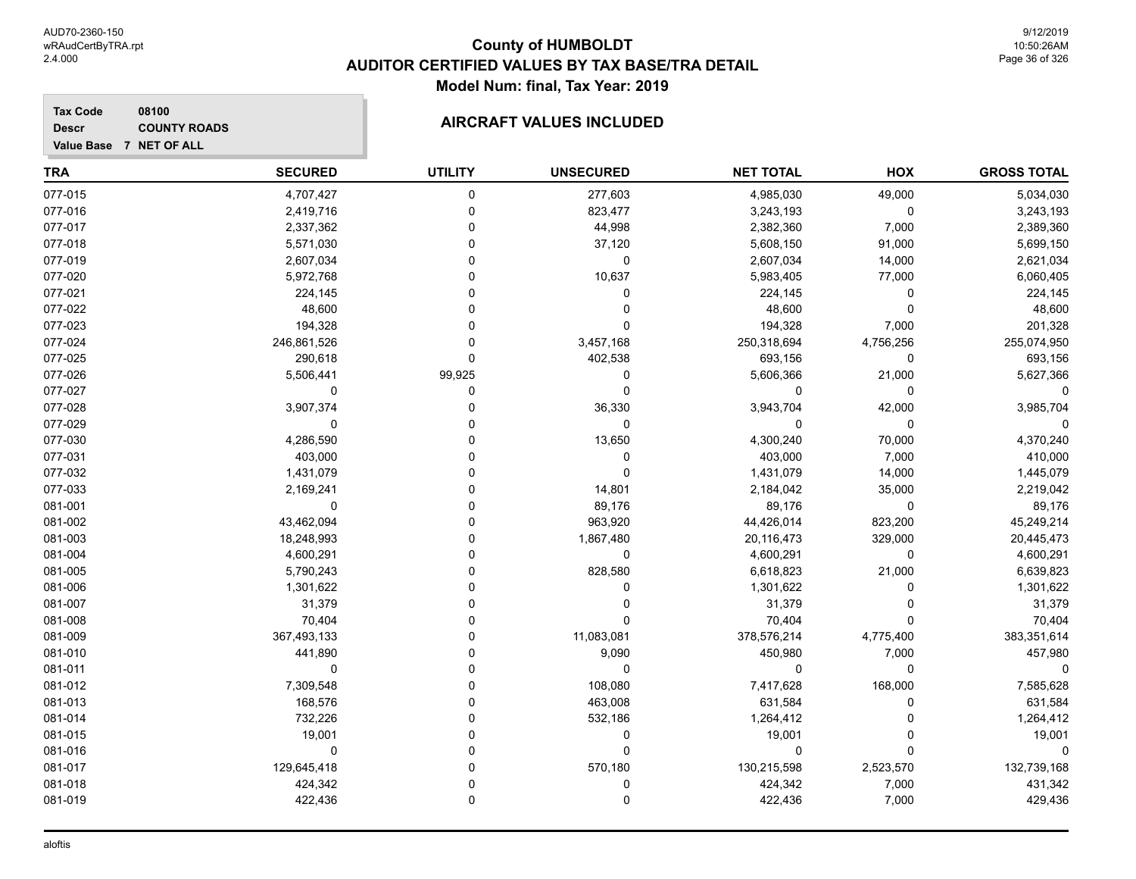**GROSS TOTAL**

## **TRA SECURED UTILITY UNSECURED HOX Tax Code Value Base 7 NET OF ALL 08100 NET TOTAL Descr COUNTY ROADS COUNTY ROADS** 077-015 4,707,427 0 277,603 4,985,030 49,000 5,034,030 077-016 2,419,716 0 823,477 3,243,193 0 3,243,193 077-017 2,337,362 0 44,998 2,382,360 7,000 2,389,360

| 5,608,150<br>91,000<br>5,699,150<br>2,607,034<br>14,000<br>2,621,034<br>6,060,405<br>5,983,405<br>77,000<br>224,145<br>224,145<br>0<br>48,600<br>48,600<br>0<br>201,328<br>194,328<br>7,000<br>250,318,694<br>255,074,950<br>4,756,256<br>693,156<br>693,156<br>0<br>5,606,366<br>21,000<br>5,627,366<br>0<br>0<br>0<br>3,943,704<br>42,000<br>3,985,704<br>$\Omega$<br>$\Omega$<br>4,370,240<br>4,300,240<br>70,000<br>410,000<br>403,000<br>7,000<br>1,445,079<br>1,431,079<br>14,000<br>2,184,042<br>35,000<br>2,219,042<br>89,176<br>89,176<br>$\Omega$<br>44,426,014<br>823,200<br>45,249,214<br>20,116,473<br>329,000<br>20,445,473<br>4,600,291<br>4,600,291<br>$\Omega$<br>6,618,823<br>21,000<br>6,639,823<br>1,301,622<br>1,301,622<br>31,379<br>31,379<br>70,404<br>70,404<br>378,576,214<br>4,775,400<br>383,351,614<br>7,000<br>457,980<br>450,980<br>$\Omega$<br>0<br>0<br>7,417,628<br>168,000<br>7,585,628<br>631,584<br>631,584<br>1,264,412<br>1,264,412<br>19,001<br>19,001 |          |              |        |             |         |
|------------------------------------------------------------------------------------------------------------------------------------------------------------------------------------------------------------------------------------------------------------------------------------------------------------------------------------------------------------------------------------------------------------------------------------------------------------------------------------------------------------------------------------------------------------------------------------------------------------------------------------------------------------------------------------------------------------------------------------------------------------------------------------------------------------------------------------------------------------------------------------------------------------------------------------------------------------------------------------------------|----------|--------------|--------|-------------|---------|
|                                                                                                                                                                                                                                                                                                                                                                                                                                                                                                                                                                                                                                                                                                                                                                                                                                                                                                                                                                                                |          | 37,120       |        | 5,571,030   | 077-018 |
|                                                                                                                                                                                                                                                                                                                                                                                                                                                                                                                                                                                                                                                                                                                                                                                                                                                                                                                                                                                                |          | $\Omega$     |        | 2,607,034   | 077-019 |
|                                                                                                                                                                                                                                                                                                                                                                                                                                                                                                                                                                                                                                                                                                                                                                                                                                                                                                                                                                                                |          | 10,637       |        | 5,972,768   | 077-020 |
|                                                                                                                                                                                                                                                                                                                                                                                                                                                                                                                                                                                                                                                                                                                                                                                                                                                                                                                                                                                                |          | O            |        | 224,145     | 077-021 |
|                                                                                                                                                                                                                                                                                                                                                                                                                                                                                                                                                                                                                                                                                                                                                                                                                                                                                                                                                                                                |          |              |        | 48,600      | 077-022 |
|                                                                                                                                                                                                                                                                                                                                                                                                                                                                                                                                                                                                                                                                                                                                                                                                                                                                                                                                                                                                |          |              |        | 194,328     | 077-023 |
|                                                                                                                                                                                                                                                                                                                                                                                                                                                                                                                                                                                                                                                                                                                                                                                                                                                                                                                                                                                                |          | 3,457,168    |        | 246,861,526 | 077-024 |
|                                                                                                                                                                                                                                                                                                                                                                                                                                                                                                                                                                                                                                                                                                                                                                                                                                                                                                                                                                                                |          | 402,538      |        | 290,618     | 077-025 |
|                                                                                                                                                                                                                                                                                                                                                                                                                                                                                                                                                                                                                                                                                                                                                                                                                                                                                                                                                                                                |          |              | 99,925 | 5,506,441   | 077-026 |
|                                                                                                                                                                                                                                                                                                                                                                                                                                                                                                                                                                                                                                                                                                                                                                                                                                                                                                                                                                                                |          |              |        | U           | 077-027 |
|                                                                                                                                                                                                                                                                                                                                                                                                                                                                                                                                                                                                                                                                                                                                                                                                                                                                                                                                                                                                |          | 36,330       |        | 3,907,374   | 077-028 |
|                                                                                                                                                                                                                                                                                                                                                                                                                                                                                                                                                                                                                                                                                                                                                                                                                                                                                                                                                                                                |          | $\Omega$     |        | $\Omega$    | 077-029 |
|                                                                                                                                                                                                                                                                                                                                                                                                                                                                                                                                                                                                                                                                                                                                                                                                                                                                                                                                                                                                |          | 13,650       |        | 4,286,590   | 077-030 |
|                                                                                                                                                                                                                                                                                                                                                                                                                                                                                                                                                                                                                                                                                                                                                                                                                                                                                                                                                                                                |          | $\Omega$     |        | 403,000     | 077-031 |
|                                                                                                                                                                                                                                                                                                                                                                                                                                                                                                                                                                                                                                                                                                                                                                                                                                                                                                                                                                                                |          |              |        | 1,431,079   | 077-032 |
|                                                                                                                                                                                                                                                                                                                                                                                                                                                                                                                                                                                                                                                                                                                                                                                                                                                                                                                                                                                                |          | 14,801       |        | 2,169,241   | 077-033 |
|                                                                                                                                                                                                                                                                                                                                                                                                                                                                                                                                                                                                                                                                                                                                                                                                                                                                                                                                                                                                |          | 89,176       |        | O           | 081-001 |
|                                                                                                                                                                                                                                                                                                                                                                                                                                                                                                                                                                                                                                                                                                                                                                                                                                                                                                                                                                                                |          | 963,920      |        | 43,462,094  | 081-002 |
|                                                                                                                                                                                                                                                                                                                                                                                                                                                                                                                                                                                                                                                                                                                                                                                                                                                                                                                                                                                                |          | 1,867,480    |        | 18,248,993  | 081-003 |
|                                                                                                                                                                                                                                                                                                                                                                                                                                                                                                                                                                                                                                                                                                                                                                                                                                                                                                                                                                                                |          | $\Omega$     |        | 4,600,291   | 081-004 |
|                                                                                                                                                                                                                                                                                                                                                                                                                                                                                                                                                                                                                                                                                                                                                                                                                                                                                                                                                                                                |          | 828,580      |        | 5,790,243   | 081-005 |
|                                                                                                                                                                                                                                                                                                                                                                                                                                                                                                                                                                                                                                                                                                                                                                                                                                                                                                                                                                                                |          |              |        | 1,301,622   | 081-006 |
|                                                                                                                                                                                                                                                                                                                                                                                                                                                                                                                                                                                                                                                                                                                                                                                                                                                                                                                                                                                                |          |              |        | 31,379      | 081-007 |
|                                                                                                                                                                                                                                                                                                                                                                                                                                                                                                                                                                                                                                                                                                                                                                                                                                                                                                                                                                                                |          |              |        | 70,404      | 081-008 |
|                                                                                                                                                                                                                                                                                                                                                                                                                                                                                                                                                                                                                                                                                                                                                                                                                                                                                                                                                                                                |          | 11,083,081   |        | 367,493,133 | 081-009 |
|                                                                                                                                                                                                                                                                                                                                                                                                                                                                                                                                                                                                                                                                                                                                                                                                                                                                                                                                                                                                |          | 9,090        |        | 441,890     | 081-010 |
|                                                                                                                                                                                                                                                                                                                                                                                                                                                                                                                                                                                                                                                                                                                                                                                                                                                                                                                                                                                                |          | $\mathbf{0}$ |        | $\Omega$    | 081-011 |
|                                                                                                                                                                                                                                                                                                                                                                                                                                                                                                                                                                                                                                                                                                                                                                                                                                                                                                                                                                                                |          | 108,080      |        | 7,309,548   | 081-012 |
|                                                                                                                                                                                                                                                                                                                                                                                                                                                                                                                                                                                                                                                                                                                                                                                                                                                                                                                                                                                                |          | 463,008      |        | 168,576     | 081-013 |
|                                                                                                                                                                                                                                                                                                                                                                                                                                                                                                                                                                                                                                                                                                                                                                                                                                                                                                                                                                                                |          | 532,186      |        | 732,226     | 081-014 |
|                                                                                                                                                                                                                                                                                                                                                                                                                                                                                                                                                                                                                                                                                                                                                                                                                                                                                                                                                                                                |          |              |        | 19,001      | 081-015 |
|                                                                                                                                                                                                                                                                                                                                                                                                                                                                                                                                                                                                                                                                                                                                                                                                                                                                                                                                                                                                | $\Omega$ |              |        | $\Omega$    | 081-016 |
| 132,739,168<br>130,215,598<br>2,523,570                                                                                                                                                                                                                                                                                                                                                                                                                                                                                                                                                                                                                                                                                                                                                                                                                                                                                                                                                        |          | 570,180      |        | 129,645,418 | 081-017 |
| 424,342<br>7,000<br>431,342                                                                                                                                                                                                                                                                                                                                                                                                                                                                                                                                                                                                                                                                                                                                                                                                                                                                                                                                                                    |          |              |        | 424,342     | 081-018 |
| 7,000<br>429,436<br>422,436                                                                                                                                                                                                                                                                                                                                                                                                                                                                                                                                                                                                                                                                                                                                                                                                                                                                                                                                                                    |          |              |        | 422,436     | 081-019 |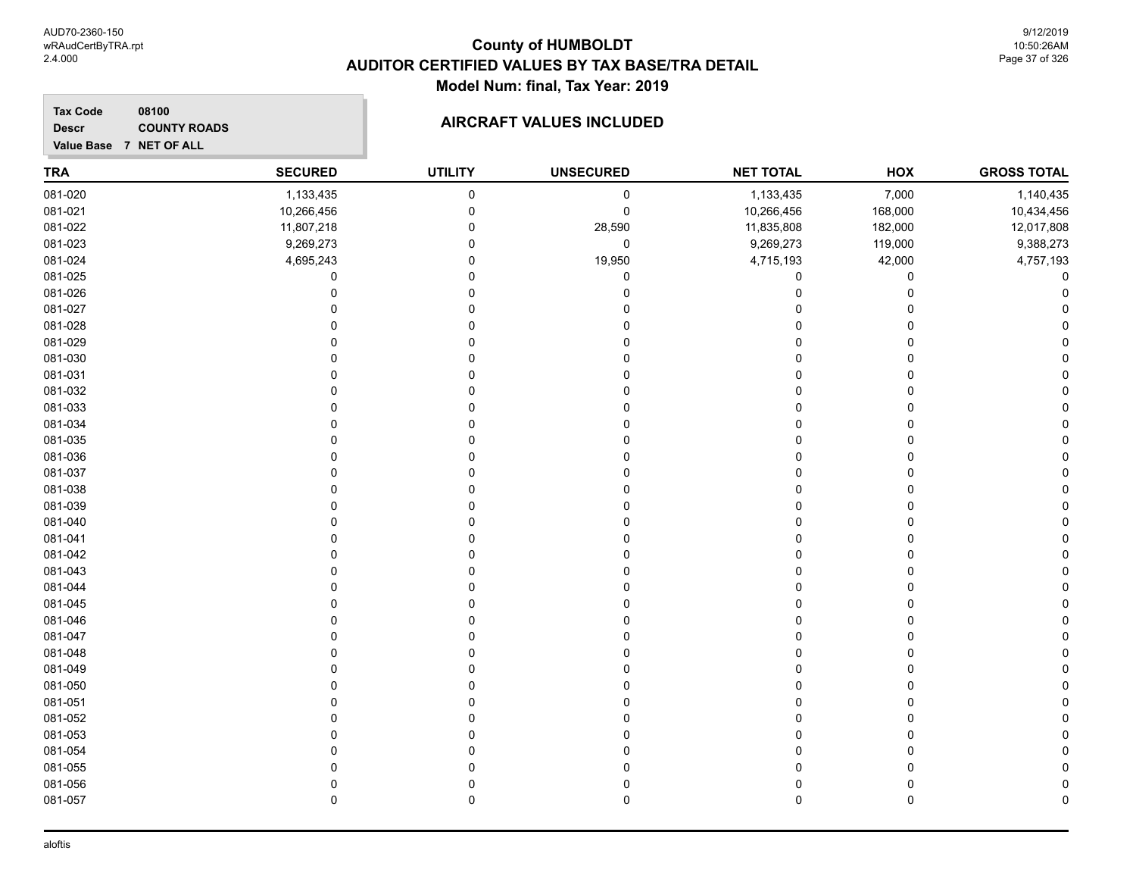9/12/2019 10:50:26AM Page 37 of 326

#### **TRA SECURED UTILITY UNSECURED HOX Tax Code Value Base 7 NET OF ALL 08100 GROSS TOTAL NET TOTAL Descr COUNTY ROADS COUNTY ROADS** 081-020 1,133,435 0 0 1,133,435 7,000 1,140,435 081-021 10,266,456 0 10,266,456 168,000 10,434,456 081-022 11,807,218 0 28,590 11,835,808 182,000 12,017,808 081-023 9,269,273 0 0 9,269,273 119,000 9,388,273 081-024 4,695,243 0 19,950 4,715,193 42,000 4,757,193 081-025 0 0 0 0 0 0 081-026 0 0 0 0 0 0 081-027 0 0 0 0 0 0 081-028 0 0 0 0 0 0 081-029 0 0 0 0 0 0 081-030 0 0 0 0 0 0 081-031 0 0 0 0 0 0 081-032 0 0 0 0 0 0 081-033 0 0 0 0 0 0 081-034 0 0 0 0 0 0 081-035 0 0 0 0 0 0 081-036 0 0 0 0 0 0 081-037 0 0 0 0 0 0 081-038 0 0 0 0 0 0 081-039 0 0 0 0 0 0 081-040 0 0 0 0 0 0 081-041 0 0 0 0 0 0 081-042 0 0 0 0 0 0 081-043 0 0 0 0 0 0 081-044 0 0 0 0 0 0 081-045 0 0 0 0 0 0 081-046 0 0 0 0 0 0 081-047 0 0 0 0 0 0 081-048 0 0 0 0 0 0 081-049 0 0 0 0 0 0 081-050 0 0 0 0 0 0 081-051 0 0 0 0 0 0 081-052 0 0 0 0 0 0 081-053 0 0 0 0 0 0 081-054 0 0 0 0 0 0 081-055 0 0 0 0 0 0

081-056 0 0 0 0 0 0 081-057 0 0 0 0 0 0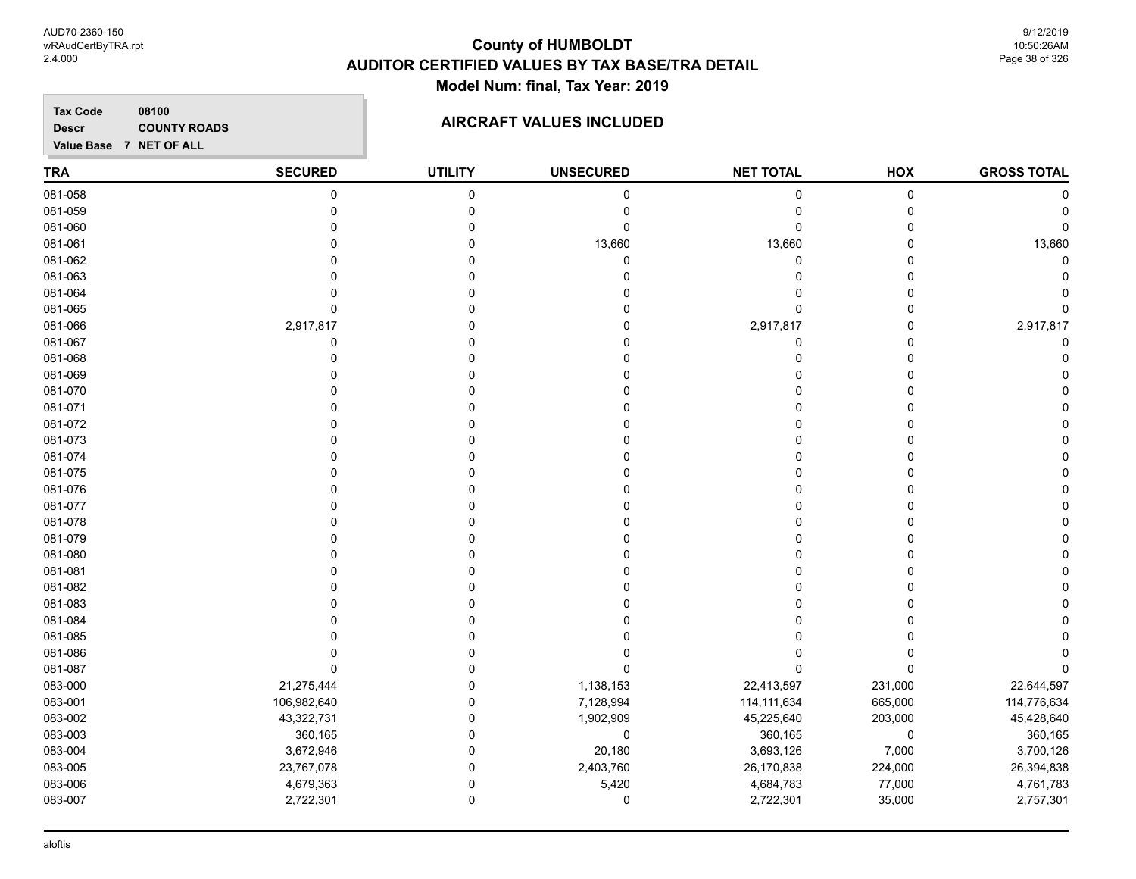**TRA SECURED UTILITY UNSECURED HOX Tax Code Value Base 7 NET OF ALL 08100 GROSS TOTAL NET TOTAL Descr COUNTY ROADS COUNTY ROADS** 081-058 0 0 0 0 0 0 081-059 0 0 0 0 0 0 081-060 0 0 0 0 0 0 081-061 0 0 13,660 13,660 0 13,660 081-062 0 0 0 0 0 0 081-063 0 0 0 0 0 0 081-064 0 0 0 0 0 0 081-065 0 0 0 0 0 0 081-066 2,917,817 0 0 2,917,817 0 2,917,817 081-067 0 0 0 0 0 0 081-068 0 0 0 0 0 0 081-069 0 0 0 0 0 0 081-070 0 0 0 0 0 0 081-071 0 0 0 0 0 0 081-072 0 0 0 0 0 0 081-073 0 0 0 0 0 0 081-074 0 0 0 0 0 0 081-075 0 0 0 0 0 0 081-076 0 0 0 0 0 0 081-077 0 0 0 0 0 0 081-078 0 0 0 0 0 0 081-079 0 0 0 0 0 0 081-080 0 0 0 0 0 0 081-081 0 0 0 0 0 0 081-082 0 0 0 0 0 0 081-083 0 0 0 0 0 0 081-084 0 0 0 0 0 0 081-085 0 0 0 0 0 0 081-086 0 0 0 0 0 0 081-087 0 0 0 0 0 0 083-000 21,275,444 0 1,138,153 22,413,597 231,000 22,644,597 083-001 106,982,640 0 7,128,994 114,111,634 665,000 114,776,634 083-002 43,322,731 0 1,902,909 45,225,640 203,000 45,428,640 083-003 360,165 0 0 360,165 0 360,165 083-004 3,672,946 0 20,180 3,693,126 7,000 3,700,126 083-005 23,767,078 0 2,403,760 26,170,838 224,000 26,394,838 083-006 4,679,363 0 5,420 4,684,783 77,000 4,761,783 083-007 2,722,301 0 0 2,722,301 35,000 2,757,301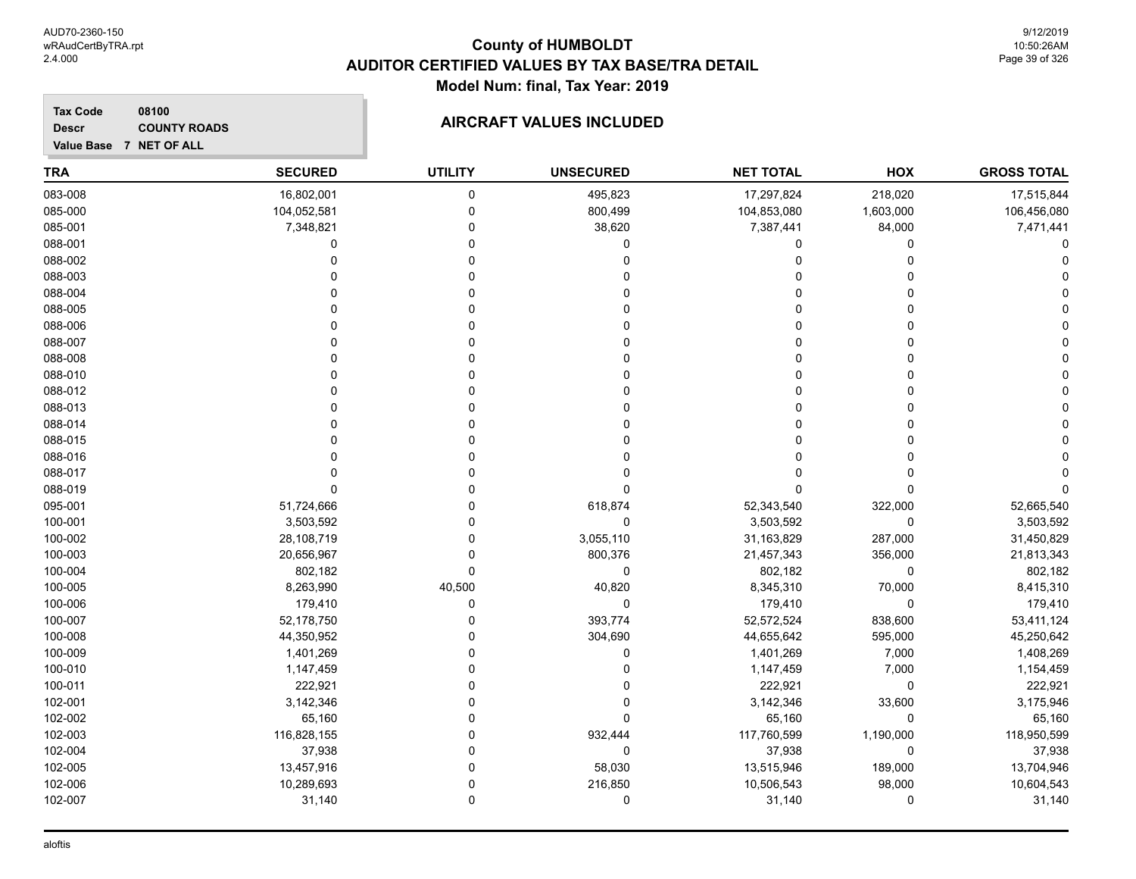9/12/2019 10:50:26AM Page 39 of 326

**GROSS TOTAL**

# **TRA SECURED UTILITY UNSECURED HOX Tax Code Value Base 7 NET OF ALL 08100 NET TOTAL Descr COUNTY ROADS** 083-008 16,802,001 0 495,823 17,297,824 218,020 17,515,844 085-000 104,052,581 0 800,499 104,853,080 1,603,000 106,456,080

| 085-001 | 7,348,821   |        | 38,620      | 7,387,441   | 84,000    | 7,471,441   |
|---------|-------------|--------|-------------|-------------|-----------|-------------|
| 088-001 |             |        | $\Omega$    | O           | $\Omega$  |             |
| 088-002 |             |        |             |             |           |             |
| 088-003 |             |        |             |             |           |             |
| 088-004 |             |        |             |             |           |             |
| 088-005 |             |        |             |             |           |             |
| 088-006 |             |        |             |             |           |             |
| 088-007 |             |        |             |             |           |             |
| 088-008 |             |        |             |             |           |             |
| 088-010 |             |        |             |             |           |             |
| 088-012 |             |        |             |             |           |             |
| 088-013 |             |        |             |             |           |             |
| 088-014 |             |        |             |             |           |             |
| 088-015 |             |        |             |             |           |             |
| 088-016 |             |        |             |             |           |             |
| 088-017 |             |        |             |             |           |             |
| 088-019 |             |        |             | O           |           |             |
| 095-001 | 51,724,666  |        | 618,874     | 52,343,540  | 322,000   | 52,665,540  |
| 100-001 | 3,503,592   |        | $\Omega$    | 3,503,592   | 0         | 3,503,592   |
| 100-002 | 28,108,719  |        | 3,055,110   | 31,163,829  | 287,000   | 31,450,829  |
| 100-003 | 20,656,967  |        | 800,376     | 21,457,343  | 356,000   | 21,813,343  |
| 100-004 | 802,182     |        | 0           | 802,182     | 0         | 802,182     |
| 100-005 | 8,263,990   | 40,500 | 40,820      | 8,345,310   | 70,000    | 8,415,310   |
| 100-006 | 179,410     |        | $\mathbf 0$ | 179,410     | 0         | 179,410     |
| 100-007 | 52,178,750  |        | 393,774     | 52,572,524  | 838,600   | 53,411,124  |
| 100-008 | 44,350,952  |        | 304,690     | 44,655,642  | 595,000   | 45,250,642  |
| 100-009 | 1,401,269   |        | $\Omega$    | 1,401,269   | 7,000     | 1,408,269   |
| 100-010 | 1,147,459   |        |             | 1,147,459   | 7,000     | 1,154,459   |
| 100-011 | 222,921     |        |             | 222,921     | 0         | 222,921     |
| 102-001 | 3,142,346   |        |             | 3,142,346   | 33,600    | 3,175,946   |
| 102-002 | 65,160      |        |             | 65,160      | 0         | 65,160      |
| 102-003 | 116,828,155 |        | 932,444     | 117,760,599 | 1,190,000 | 118,950,599 |
| 102-004 | 37,938      |        | $\Omega$    | 37,938      | $\Omega$  | 37,938      |
| 102-005 | 13,457,916  |        | 58,030      | 13,515,946  | 189,000   | 13,704,946  |
| 102-006 | 10,289,693  |        | 216,850     | 10,506,543  | 98,000    | 10,604,543  |
| 102-007 | 31,140      |        | 0           | 31,140      | 0         | 31,140      |
|         |             |        |             |             |           |             |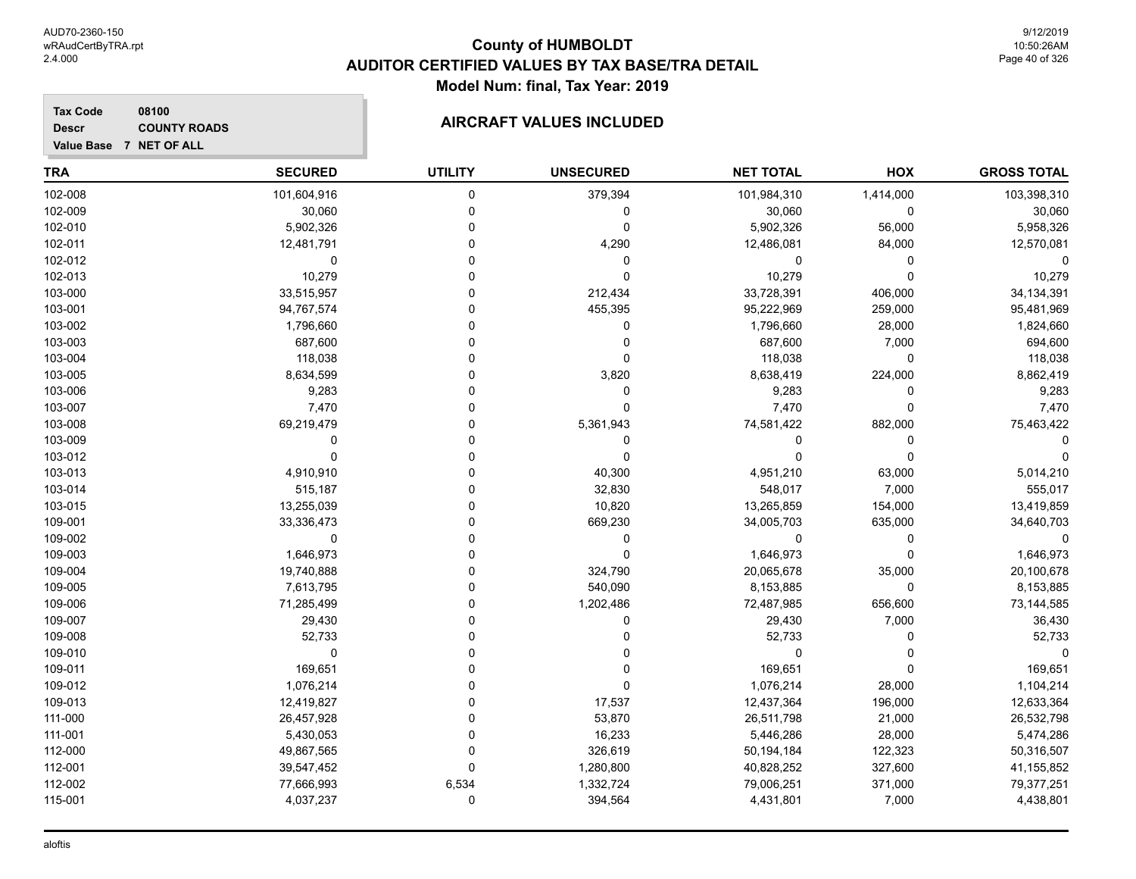9/12/2019 10:50:26AM Page 40 of 326

#### **Tax Code 08100 Descr**

# **COUNTY ROADS COUNTY ROADS**

**Value Base 7 NET OF ALL**

| <b>TRA</b> | <b>SECURED</b> | <b>UTILITY</b> | <b>UNSECURED</b> | <b>NET TOTAL</b> | HOX          | <b>GROSS TOTAL</b> |
|------------|----------------|----------------|------------------|------------------|--------------|--------------------|
| 102-008    | 101,604,916    | 0              | 379,394          | 101,984,310      | 1,414,000    | 103,398,310        |
| 102-009    | 30,060         | $\mathbf 0$    | $\mathbf 0$      | 30,060           | 0            | 30,060             |
| 102-010    | 5,902,326      | $\Omega$       | 0                | 5,902,326        | 56,000       | 5,958,326          |
| 102-011    | 12,481,791     | 0              | 4,290            | 12,486,081       | 84,000       | 12,570,081         |
| 102-012    | 0              | 0              | $\mathbf 0$      | 0                | 0            | $\Omega$           |
| 102-013    | 10,279         | $\Omega$       | $\mathbf 0$      | 10,279           | 0            | 10,279             |
| 103-000    | 33,515,957     | $\Omega$       | 212,434          | 33,728,391       | 406,000      | 34, 134, 391       |
| 103-001    | 94,767,574     | $\Omega$       | 455,395          | 95,222,969       | 259,000      | 95,481,969         |
| 103-002    | 1,796,660      | $\Omega$       | 0                | 1,796,660        | 28,000       | 1,824,660          |
| 103-003    | 687,600        | 0              | 0                | 687,600          | 7,000        | 694,600            |
| 103-004    | 118,038        | $\Omega$       | 0                | 118,038          | 0            | 118,038            |
| 103-005    | 8,634,599      | $\Omega$       | 3,820            | 8,638,419        | 224,000      | 8,862,419          |
| 103-006    | 9,283          | $\Omega$       | $\mathbf 0$      | 9,283            | 0            | 9,283              |
| 103-007    | 7,470          | $\Omega$       | $\Omega$         | 7,470            | 0            | 7,470              |
| 103-008    | 69,219,479     | 0              | 5,361,943        | 74,581,422       | 882,000      | 75,463,422         |
| 103-009    | $\Omega$       | $\Omega$       | 0                | 0                | 0            | ∩                  |
| 103-012    | $\Omega$       | $\Omega$       | $\mathbf 0$      | O                | $\mathbf{0}$ | $\Omega$           |
| 103-013    | 4,910,910      | $\Omega$       | 40,300           | 4,951,210        | 63,000       | 5,014,210          |
| 103-014    | 515,187        | $\Omega$       | 32,830           | 548,017          | 7,000        | 555,017            |
| 103-015    | 13,255,039     | 0              | 10,820           | 13,265,859       | 154,000      | 13,419,859         |
| 109-001    | 33,336,473     | 0              | 669,230          | 34,005,703       | 635,000      | 34,640,703         |
| 109-002    | 0              | 0              | $\mathbf 0$      | 0                | 0            | $\Omega$           |
| 109-003    | 1,646,973      | $\Omega$       | $\Omega$         | 1,646,973        | $\Omega$     | 1,646,973          |
| 109-004    | 19,740,888     | $\Omega$       | 324,790          | 20,065,678       | 35,000       | 20,100,678         |
| 109-005    | 7,613,795      | $\Omega$       | 540,090          | 8,153,885        | 0            | 8,153,885          |
| 109-006    | 71,285,499     | $\Omega$       | 1,202,486        | 72,487,985       | 656,600      | 73,144,585         |
| 109-007    | 29,430         | $\Omega$       | 0                | 29,430           | 7,000        | 36,430             |
| 109-008    | 52,733         | O              | <sup>0</sup>     | 52,733           | 0            | 52,733             |
| 109-010    | 0              | $\Omega$       | 0                | 0                | 0            | $\Omega$           |
| 109-011    | 169,651        | 0              |                  | 169,651          | 0            | 169,651            |
| 109-012    | 1,076,214      | 0              | $\Omega$         | 1,076,214        | 28,000       | 1,104,214          |
| 109-013    | 12,419,827     | $\Omega$       | 17,537           | 12,437,364       | 196,000      | 12,633,364         |
| 111-000    | 26,457,928     | $\Omega$       | 53,870           | 26,511,798       | 21,000       | 26,532,798         |
| 111-001    | 5,430,053      | $\Omega$       | 16,233           | 5,446,286        | 28,000       | 5,474,286          |
| 112-000    | 49,867,565     | $\Omega$       | 326,619          | 50,194,184       | 122,323      | 50,316,507         |
| 112-001    | 39,547,452     | $\Omega$       | 1,280,800        | 40,828,252       | 327,600      | 41,155,852         |
| 112-002    | 77,666,993     | 6,534          | 1,332,724        | 79,006,251       | 371,000      | 79,377,251         |
| 115-001    | 4,037,237      | $\mathbf 0$    | 394,564          | 4,431,801        | 7,000        | 4,438,801          |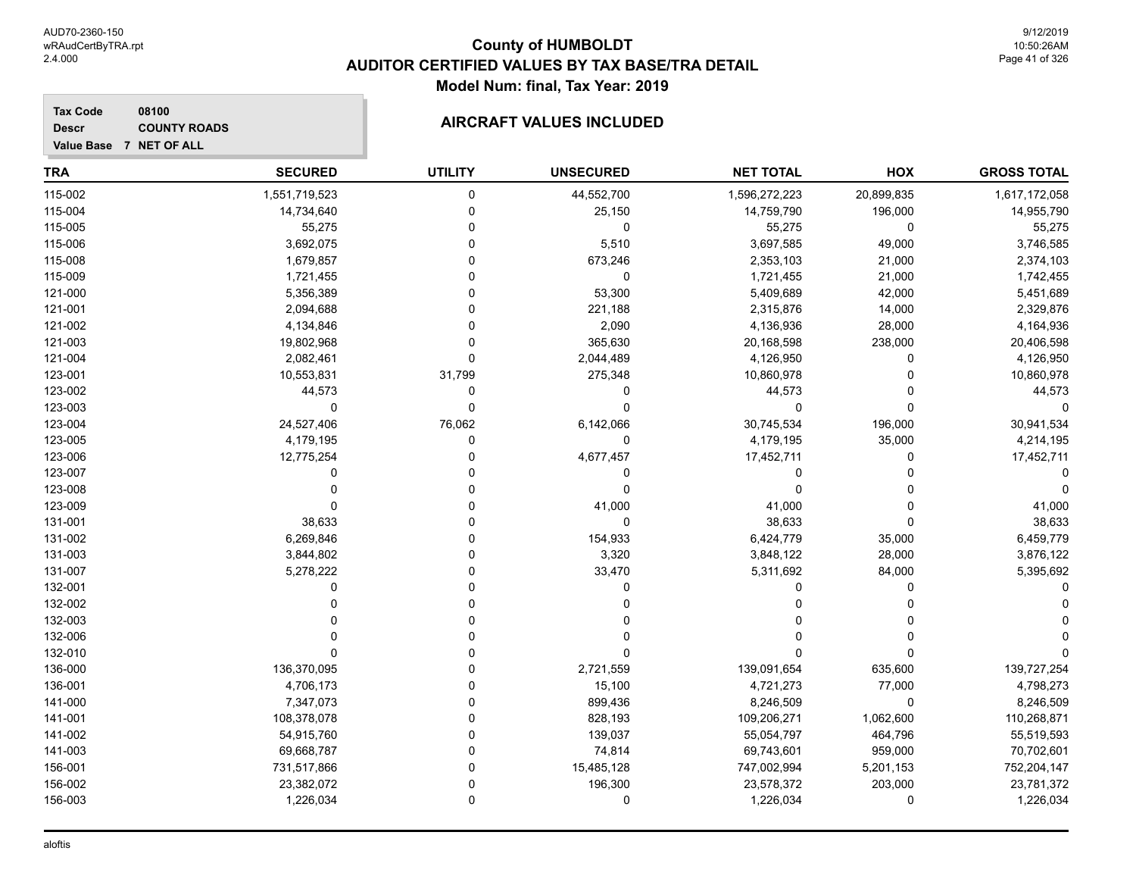**Descr**

# **County of HUMBOLDT AUDITOR CERTIFIED VALUES BY TAX BASE/TRA DETAIL Model Num: final, Tax Year: 2019**

#### **Value Base 7 NET OF ALL 08100 COUNTY ROADS COUNTY ROADS**

| TRA     | <b>SECURED</b> | <b>UTILITY</b> | <b>UNSECURED</b> | <b>NET TOTAL</b> | HOX         | <b>GROSS TOTAL</b> |
|---------|----------------|----------------|------------------|------------------|-------------|--------------------|
| 115-002 | 1,551,719,523  | $\Omega$       | 44,552,700       | 1,596,272,223    | 20,899,835  | 1,617,172,058      |
| 115-004 | 14,734,640     | $\Omega$       | 25,150           | 14,759,790       | 196,000     | 14,955,790         |
| 115-005 | 55,275         | 0              | $\mathbf 0$      | 55,275           | $\mathbf 0$ | 55,275             |
| 115-006 | 3,692,075      |                | 5,510            | 3,697,585        | 49,000      | 3,746,585          |
| 115-008 | 1,679,857      |                | 673,246          | 2,353,103        | 21,000      | 2,374,103          |
| 115-009 | 1,721,455      |                | 0                | 1,721,455        | 21,000      | 1,742,455          |
| 121-000 | 5,356,389      | U              | 53,300           | 5,409,689        | 42,000      | 5,451,689          |
| 121-001 | 2,094,688      | ŋ              | 221,188          | 2,315,876        | 14,000      | 2,329,876          |
| 121-002 | 4,134,846      | $\Omega$       | 2,090            | 4,136,936        | 28,000      | 4,164,936          |
| 121-003 | 19,802,968     | $\Omega$       | 365,630          | 20,168,598       | 238,000     | 20,406,598         |
| 121-004 | 2,082,461      | $\Omega$       | 2,044,489        | 4,126,950        | 0           | 4,126,950          |
| 123-001 | 10,553,831     | 31,799         | 275,348          | 10,860,978       | 0           | 10,860,978         |
| 123-002 | 44,573         | 0              | 0                | 44,573           | 0           | 44,573             |
| 123-003 | 0              | $\Omega$       | $\Omega$         | $\Omega$         | $\Omega$    | U                  |
| 123-004 | 24,527,406     | 76,062         | 6,142,066        | 30,745,534       | 196,000     | 30,941,534         |
| 123-005 | 4,179,195      | 0              | 0                | 4,179,195        | 35,000      | 4,214,195          |
| 123-006 | 12,775,254     | 0              | 4,677,457        | 17,452,711       | 0           | 17,452,711         |
| 123-007 | 0              |                | 0                | 0                | n           |                    |
| 123-008 | O              |                | 0                | $\Omega$         |             | 0                  |
| 123-009 | O              |                | 41,000           | 41,000           | n           | 41,000             |
| 131-001 | 38,633         |                | $\Omega$         | 38,633           | $\Omega$    | 38,633             |
| 131-002 | 6,269,846      |                | 154,933          | 6,424,779        | 35,000      | 6,459,779          |
| 131-003 | 3,844,802      | 0              | 3,320            | 3,848,122        | 28,000      | 3,876,122          |
| 131-007 | 5,278,222      |                | 33,470           | 5,311,692        | 84,000      | 5,395,692          |
| 132-001 | 0              | U              | $\Omega$         | 0                | $\Omega$    |                    |
| 132-002 | O              | $\Omega$       |                  | O                |             |                    |
| 132-003 |                | $\Omega$       |                  |                  |             |                    |
| 132-006 |                |                |                  |                  | n           |                    |
| 132-010 | O              |                | ∩                | U                | $\Omega$    |                    |
| 136-000 | 136,370,095    | 0              | 2,721,559        | 139,091,654      | 635,600     | 139,727,254        |
| 136-001 | 4,706,173      |                | 15,100           | 4,721,273        | 77,000      | 4,798,273          |
| 141-000 | 7,347,073      | 0              | 899,436          | 8,246,509        | 0           | 8,246,509          |
| 141-001 | 108,378,078    |                | 828,193          | 109,206,271      | 1,062,600   | 110,268,871        |
| 141-002 | 54,915,760     | 0              | 139,037          | 55,054,797       | 464,796     | 55,519,593         |
| 141-003 | 69,668,787     | U              | 74,814           | 69,743,601       | 959,000     | 70,702,601         |
| 156-001 | 731,517,866    | ∩              | 15,485,128       | 747,002,994      | 5,201,153   | 752,204,147        |
| 156-002 | 23,382,072     | $\Omega$       | 196,300          | 23,578,372       | 203,000     | 23,781,372         |
| 156-003 | 1,226,034      | $\Omega$       | $\mathbf 0$      | 1,226,034        | $\Omega$    | 1,226,034          |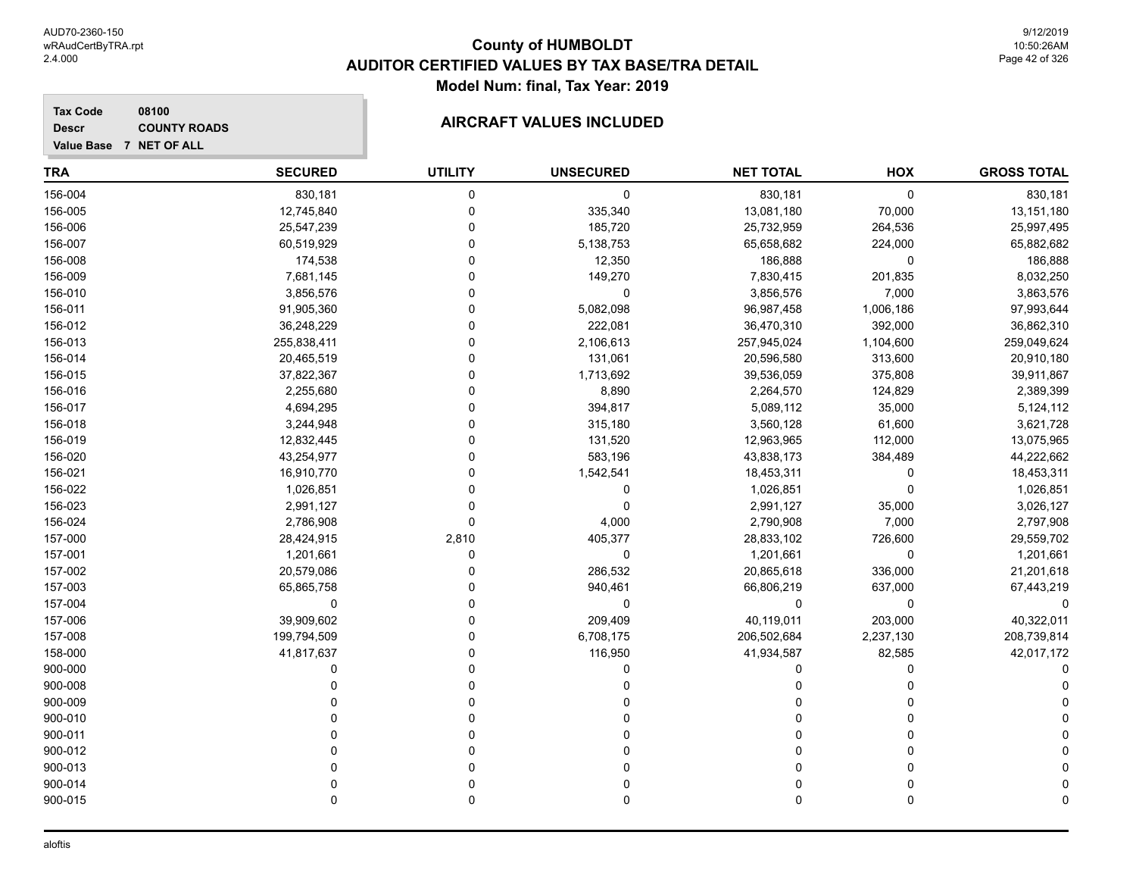#### **Tax Code 08100 Descr**

**COUNTY ROADS** 

| Value Base 7 NET OF ALL |                |                |                  |                  |           |                    |
|-------------------------|----------------|----------------|------------------|------------------|-----------|--------------------|
| <b>TRA</b>              | <b>SECURED</b> | <b>UTILITY</b> | <b>UNSECURED</b> | <b>NET TOTAL</b> | HOX       | <b>GROSS TOTAL</b> |
| 156-004                 | 830,181        | 0              | $\mathbf 0$      | 830,181          | 0         | 830,181            |
| 156-005                 | 12,745,840     | $\mathbf 0$    | 335,340          | 13,081,180       | 70,000    | 13,151,180         |
| 156-006                 | 25,547,239     | $\Omega$       | 185,720          | 25,732,959       | 264,536   | 25,997,495         |
| 156-007                 | 60,519,929     | $\Omega$       | 5,138,753        | 65,658,682       | 224,000   | 65,882,682         |
| 156-008                 | 174,538        | $\Omega$       | 12,350           | 186,888          | 0         | 186,888            |
| 156-009                 | 7,681,145      | $\Omega$       | 149,270          | 7,830,415        | 201,835   | 8,032,250          |
| 156-010                 | 3,856,576      | 0              | $\mathbf 0$      | 3,856,576        | 7,000     | 3,863,576          |
| 156-011                 | 91,905,360     | 0              | 5,082,098        | 96,987,458       | 1,006,186 | 97,993,644         |
| 156-012                 | 36,248,229     | $\Omega$       | 222,081          | 36,470,310       | 392,000   | 36,862,310         |
| 156-013                 | 255,838,411    | $\Omega$       | 2,106,613        | 257,945,024      | 1,104,600 | 259,049,624        |
| 156-014                 | 20,465,519     | $\Omega$       | 131,061          | 20,596,580       | 313,600   | 20,910,180         |
| 156-015                 | 37,822,367     | ŋ              | 1,713,692        | 39,536,059       | 375,808   | 39,911,867         |
| 156-016                 | 2,255,680      | 0              | 8,890            | 2,264,570        | 124,829   | 2,389,399          |
| 156-017                 | 4,694,295      | $\Omega$       | 394,817          | 5,089,112        | 35,000    | 5,124,112          |
| 156-018                 | 3,244,948      | 0              | 315,180          | 3,560,128        | 61,600    | 3,621,728          |
| 156-019                 | 12,832,445     | ŋ              | 131,520          | 12,963,965       | 112,000   | 13,075,965         |
| 156-020                 | 43,254,977     | $\Omega$       | 583,196          | 43,838,173       | 384,489   | 44,222,662         |
| 156-021                 | 16,910,770     | $\Omega$       | 1,542,541        | 18,453,311       | 0         | 18,453,311         |
| 156-022                 | 1,026,851      | $\Omega$       | 0                | 1,026,851        | 0         | 1,026,851          |
| 156-023                 | 2,991,127      | ŋ              | $\Omega$         | 2,991,127        | 35,000    | 3,026,127          |
| 156-024                 | 2,786,908      | 0              | 4,000            | 2,790,908        | 7,000     | 2,797,908          |
| 157-000                 | 28,424,915     | 2,810          | 405,377          | 28,833,102       | 726,600   | 29,559,702         |
| 157-001                 | 1,201,661      | 0              | 0                | 1,201,661        | 0         | 1,201,661          |
| 157-002                 | 20,579,086     | $\Omega$       | 286,532          | 20,865,618       | 336,000   | 21,201,618         |
| 157-003                 | 65,865,758     | 0              | 940,461          | 66,806,219       | 637,000   | 67,443,219         |
| 157-004                 | $\mathbf 0$    | $\Omega$       | 0                | 0                | 0         | 0                  |
| 157-006                 | 39,909,602     | $\Omega$       | 209,409          | 40,119,011       | 203,000   | 40,322,011         |
| 157-008                 | 199,794,509    | U              | 6,708,175        | 206,502,684      | 2,237,130 | 208,739,814        |
| 158-000                 | 41,817,637     | 0              | 116,950          | 41,934,587       | 82,585    | 42,017,172         |
| 900-000                 | 0              | $\Omega$       | $\mathbf 0$      | 0                | 0         |                    |
| 900-008                 |                |                | 0                | $\Omega$         | 0         |                    |
| 900-009                 |                |                |                  | $\Omega$         | $\Omega$  |                    |
| 900-010                 |                | 0              |                  | $\Omega$         | $\Omega$  |                    |
| 900-011                 |                | $\Omega$       | $\Omega$         | $\Omega$         | 0         |                    |
| 900-012                 |                | $\Omega$       | $\Omega$         | $\Omega$         | $\Omega$  |                    |
| 900-013                 |                | U              |                  | $\Omega$         | 0         |                    |
| 900-014                 | $\Omega$       | $\Omega$       | $\Omega$         | $\Omega$         | $\Omega$  |                    |

900-015 0 0 0 0 0 0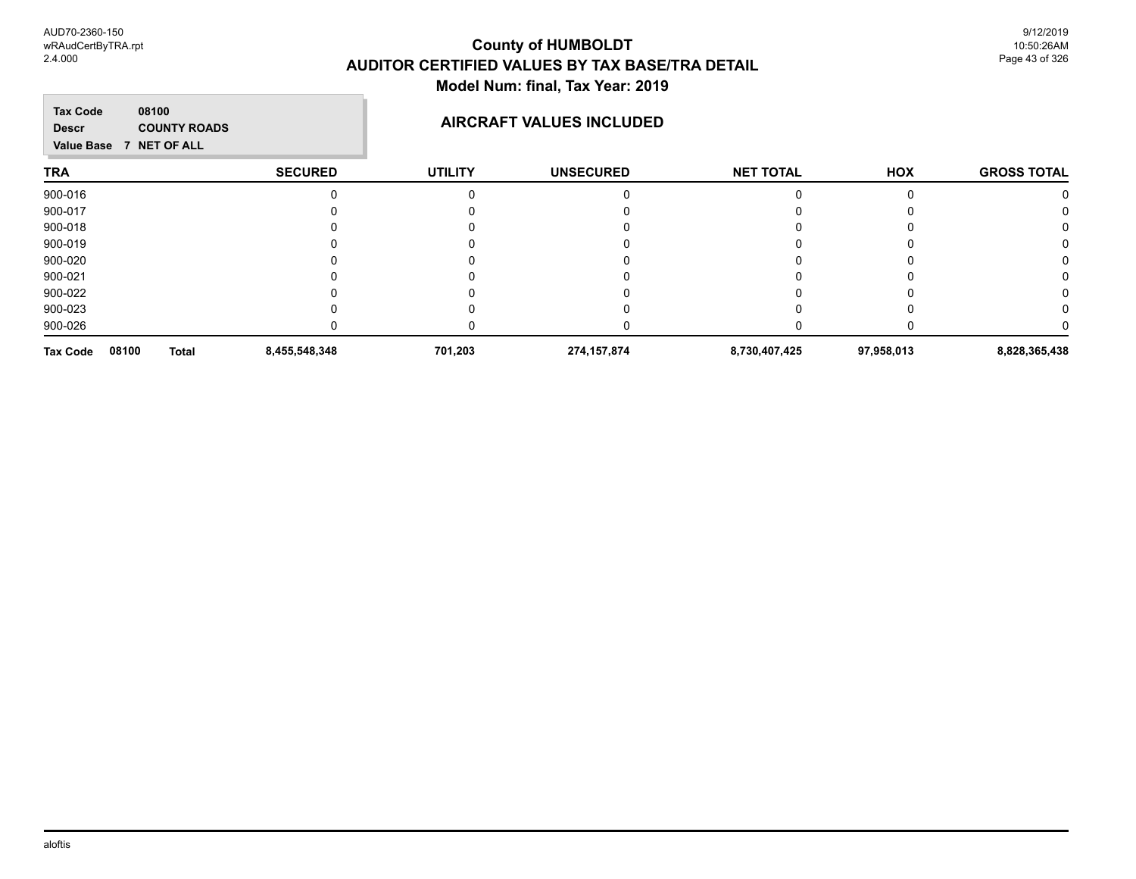#### **County of HUMBOLDT AUDITOR CERTIFIED VALUES BY TAX BASE/TRA DETAIL Model Num: final, Tax Year: 2019**  $\overline{\phantom{a}}$

| <b>Tax Code</b><br>08100<br><b>COUNTY ROADS</b><br><b>Descr</b><br>Value Base 7 NET OF ALL |                |                | <b>AIRCRAFT VALUES INCLUDED</b> |                  |            |                    |
|--------------------------------------------------------------------------------------------|----------------|----------------|---------------------------------|------------------|------------|--------------------|
| <b>TRA</b>                                                                                 | <b>SECURED</b> | <b>UTILITY</b> | <b>UNSECURED</b>                | <b>NET TOTAL</b> | HOX        | <b>GROSS TOTAL</b> |
| 900-016                                                                                    |                |                |                                 |                  |            |                    |
| 900-017                                                                                    |                |                |                                 |                  |            |                    |
| 900-018                                                                                    |                |                |                                 |                  |            |                    |
| 900-019                                                                                    |                |                |                                 |                  |            |                    |
| 900-020                                                                                    |                |                |                                 |                  |            |                    |
| 900-021                                                                                    |                |                |                                 |                  |            |                    |
| 900-022                                                                                    |                |                |                                 |                  |            |                    |
| 900-023                                                                                    |                |                |                                 |                  |            |                    |
| 900-026                                                                                    |                |                |                                 |                  |            |                    |
| 08100<br><b>Tax Code</b><br><b>Total</b>                                                   | 8,455,548,348  | 701,203        | 274, 157, 874                   | 8,730,407,425    | 97,958,013 | 8,828,365,438      |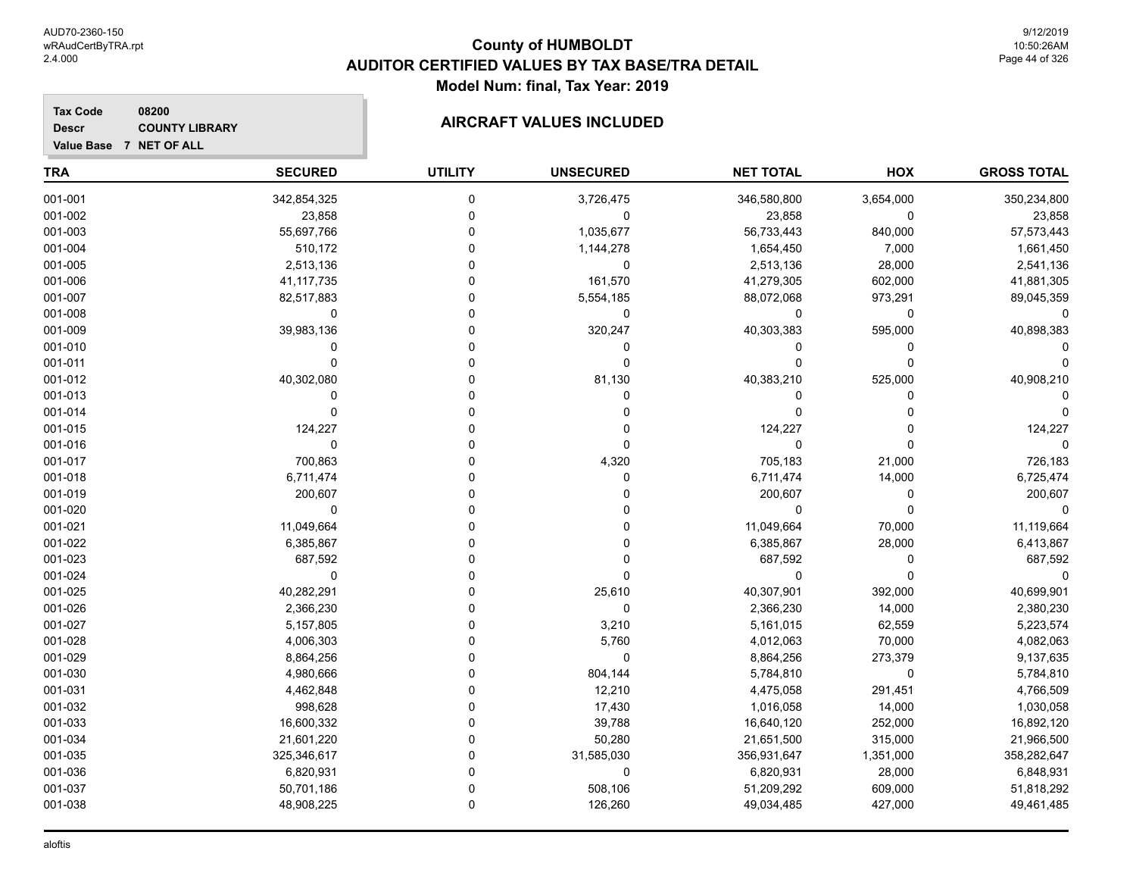**GROSS TOTAL**

#### **TRA SECURED UTILITY UNSECURED HOX Tax Code Value Base 7 NET OF ALL 08200 NET TOTAL Descr COUNTY LIBRARY COUNTY LIBRARY AIRCRAFT VALUES INCLUDED** 001-001 342,854,325 0 3,726,475 346,580,800 3,654,000 350,234,800  $001\hbox{-}002$  , the contract the contract of the contract of  $0$  , the contract of  $23,858$  ,  $0$  ,  $23,858$  ,  $23,858$ 001-003 55,697,766 0 1,035,677 56,733,443 840,000 57,573,443 001-004 510,172 0 1,144,278 1,654,450 7,000 1,661,450 001-005 2,513,136 0 0 2,513,136 28,000 2,541,136 001-006 41,117,735 0 161,570 41,279,305 602,000 41,881,305 001-007 82,517,883 0 5,554,185 88,072,068 973,291 89,045,359 001-008 0 0 0 0 0 0 001-009 39,983,136 0 320,247 40,303,383 595,000 40,898,383 001-010 0 0 0 0 0 0 001-011 0 0 0 0 0 0 001-012 40,302,080 0 81,130 40,383,210 525,000 40,908,210 001-013 0 0 0 0 0 0 001-014 0 0 0 0 0 0 001-015 124,227 0 0 124,227 0 124,227 001-016 0 0 0 0 0 0 001-017 700,863 0 4,320 705,183 21,000 726,183 001-018 6,711,474 0 0 6,711,474 14,000 6,725,474

| 001-019 | 200,607     |   |            | 200,607     |           | 200,607     |
|---------|-------------|---|------------|-------------|-----------|-------------|
| 001-020 |             |   |            |             |           |             |
| 001-021 | 11,049,664  |   |            | 11,049,664  | 70,000    | 11,119,664  |
| 001-022 | 6,385,867   |   |            | 6,385,867   | 28,000    | 6,413,867   |
| 001-023 | 687,592     |   |            | 687,592     |           | 687,592     |
| 001-024 |             |   |            |             |           |             |
| 001-025 | 40,282,291  |   | 25,610     | 40,307,901  | 392,000   | 40,699,901  |
| 001-026 | 2,366,230   |   |            | 2,366,230   | 14,000    | 2,380,230   |
| 001-027 | 5,157,805   |   | 3,210      | 5,161,015   | 62,559    | 5,223,574   |
| 001-028 | 4,006,303   |   | 5,760      | 4,012,063   | 70,000    | 4,082,063   |
| 001-029 | 8,864,256   |   |            | 8,864,256   | 273,379   | 9,137,635   |
| 001-030 | 4,980,666   |   | 804,144    | 5,784,810   |           | 5,784,810   |
| 001-031 | 4,462,848   |   | 12,210     | 4,475,058   | 291,451   | 4,766,509   |
| 001-032 | 998,628     |   | 17,430     | 1,016,058   | 14,000    | 1,030,058   |
| 001-033 | 16,600,332  |   | 39,788     | 16,640,120  | 252,000   | 16,892,120  |
| 001-034 | 21,601,220  |   | 50,280     | 21,651,500  | 315,000   | 21,966,500  |
| 001-035 | 325,346,617 |   | 31,585,030 | 356,931,647 | 1,351,000 | 358,282,647 |
| 001-036 | 6,820,931   |   |            | 6,820,931   | 28,000    | 6,848,931   |
| 001-037 | 50,701,186  |   | 508,106    | 51,209,292  | 609,000   | 51,818,292  |
| 001-038 | 48,908,225  | 0 | 126,260    | 49,034,485  | 427,000   | 49,461,485  |
|         |             |   |            |             |           |             |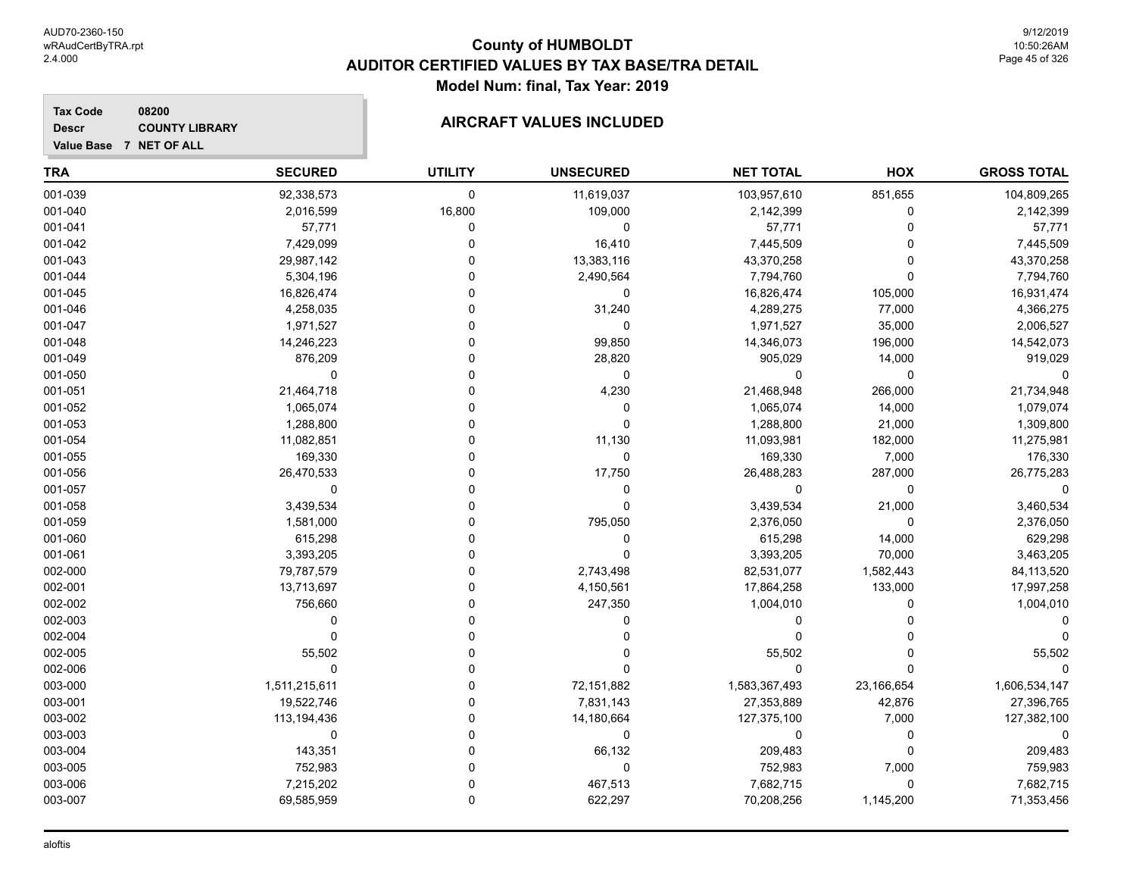**Descr**

# **County of HUMBOLDT AUDITOR CERTIFIED VALUES BY TAX BASE/TRA DETAIL Model Num: final, Tax Year: 2019**

| <b>TRA</b> | <b>SECURED</b> | <b>UTILITY</b> | <b>UNSECURED</b> | <b>NET TOTAL</b> | <b>HOX</b> | <b>GROSS TOTAL</b> |
|------------|----------------|----------------|------------------|------------------|------------|--------------------|
| 001-039    | 92,338,573     | $\mathbf 0$    | 11,619,037       | 103,957,610      | 851,655    | 104,809,265        |
| 001-040    | 2,016,599      | 16,800         | 109,000          | 2,142,399        | 0          | 2,142,399          |
| 001-041    | 57,771         | 0              | 0                | 57,771           | 0          | 57,771             |
| 001-042    | 7,429,099      | 0              | 16,410           | 7,445,509        | 0          | 7,445,509          |
| 001-043    | 29,987,142     | 0              | 13,383,116       | 43,370,258       | $\Omega$   | 43,370,258         |
| 001-044    | 5,304,196      | $\Omega$       | 2,490,564        | 7,794,760        | 0          | 7,794,760          |
| 001-045    | 16,826,474     | 0              | 0                | 16,826,474       | 105,000    | 16,931,474         |
| 001-046    | 4,258,035      | $\Omega$       | 31,240           | 4,289,275        | 77,000     | 4,366,275          |
| 001-047    | 1,971,527      | $\Omega$       | $\mathbf 0$      | 1,971,527        | 35,000     | 2,006,527          |
| 001-048    | 14,246,223     | $\Omega$       | 99,850           | 14,346,073       | 196,000    | 14,542,073         |
| 001-049    | 876,209        | 0              | 28,820           | 905,029          | 14,000     | 919,029            |
| 001-050    | $\Omega$       | O              | 0                | <sup>0</sup>     | 0          |                    |
| 001-051    | 21,464,718     | 0              | 4,230            | 21,468,948       | 266,000    | 21,734,948         |
| 001-052    | 1,065,074      | 0              | 0                | 1,065,074        | 14,000     | 1,079,074          |
| 001-053    | 1,288,800      | 0              | $\Omega$         | 1,288,800        | 21,000     | 1,309,800          |
| 001-054    | 11,082,851     | $\Omega$       | 11,130           | 11,093,981       | 182,000    | 11,275,981         |
| 001-055    | 169,330        | $\Omega$       | $\pmb{0}$        | 169,330          | 7,000      | 176,330            |
| 001-056    | 26,470,533     | O              | 17,750           | 26,488,283       | 287,000    | 26,775,283         |
| 001-057    | $\mathbf 0$    | $\Omega$       | 0                | $\Omega$         | 0          | $\Omega$           |
| 001-058    | 3,439,534      | $\Omega$       | $\mathbf 0$      | 3,439,534        | 21,000     | 3,460,534          |
| 001-059    | 1,581,000      | 0              | 795,050          | 2,376,050        | 0          | 2,376,050          |
| 001-060    | 615,298        | 0              | 0                | 615,298          | 14,000     | 629,298            |
| 001-061    | 3,393,205      | 0              |                  | 3,393,205        | 70,000     | 3,463,205          |
| 002-000    | 79,787,579     | $\Omega$       | 2,743,498        | 82,531,077       | 1,582,443  | 84,113,520         |
| 002-001    | 13,713,697     | O              | 4,150,561        | 17,864,258       | 133,000    | 17,997,258         |
| 002-002    | 756,660        | $\Omega$       | 247,350          | 1,004,010        | 0          | 1,004,010          |
| 002-003    | $\Omega$       | $\Omega$       | 0                | 0                | O          |                    |
| 002-004    | $\mathbf 0$    | $\Omega$       |                  |                  |            |                    |
| 002-005    | 55,502         | 0              |                  | 55,502           | ი          | 55,502             |
| 002-006    | $\mathbf 0$    | 0              |                  | $\Omega$         | 0          |                    |
| 003-000    | 1,511,215,611  | $\Omega$       | 72,151,882       | 1,583,367,493    | 23,166,654 | 1,606,534,147      |
| 003-001    | 19,522,746     | 0              | 7,831,143        | 27,353,889       | 42,876     | 27,396,765         |
| 003-002    | 113,194,436    | $\Omega$       | 14,180,664       | 127,375,100      | 7,000      | 127,382,100        |
| 003-003    | $\mathbf 0$    | $\Omega$       | 0                | $\Omega$         | 0          | $\Omega$           |
| 003-004    | 143,351        | $\Omega$       | 66,132           | 209,483          | $\Omega$   | 209,483            |
| 003-005    | 752,983        | $\Omega$       | $\mathbf 0$      | 752,983          | 7,000      | 759,983            |
| 003-006    | 7,215,202      | $\mathbf 0$    | 467,513          | 7,682,715        | 0          | 7,682,715          |
| 003-007    | 69,585,959     | $\mathbf 0$    | 622,297          | 70,208,256       | 1,145,200  | 71,353,456         |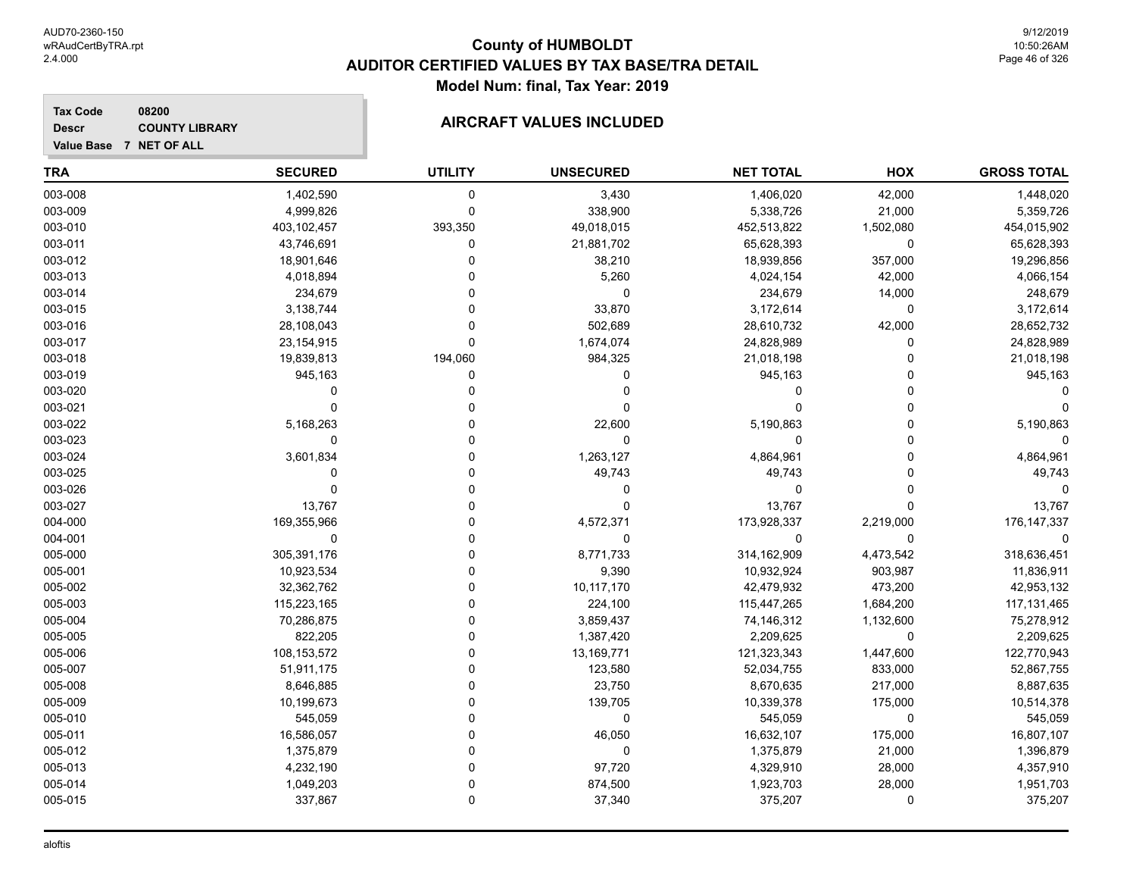**Descr**

**Value Base 7 NET OF ALL**

# **County of HUMBOLDT AUDITOR CERTIFIED VALUES BY TAX BASE/TRA DETAIL Model Num: final, Tax Year: 2019**

#### **Tax Code 08200 COUNTY LIBRARY COUNTY LIBRARY COUNTY LIBRARY**

| <b>TRA</b> | <b>SECURED</b> | <b>UTILITY</b> | <b>UNSECURED</b> | <b>NET TOTAL</b> | HOX         | <b>GROSS TOTAL</b> |
|------------|----------------|----------------|------------------|------------------|-------------|--------------------|
| 003-008    | 1,402,590      | 0              | 3,430            | 1,406,020        | 42,000      | 1,448,020          |
| 003-009    | 4,999,826      | 0              | 338,900          | 5,338,726        | 21,000      | 5,359,726          |
| 003-010    | 403,102,457    | 393,350        | 49,018,015       | 452,513,822      | 1,502,080   | 454,015,902        |
| 003-011    | 43,746,691     | 0              | 21,881,702       | 65,628,393       | 0           | 65,628,393         |
| 003-012    | 18,901,646     | O              | 38,210           | 18,939,856       | 357,000     | 19,296,856         |
| 003-013    | 4,018,894      |                | 5,260            | 4,024,154        | 42,000      | 4,066,154          |
| 003-014    | 234,679        |                | 0                | 234,679          | 14,000      | 248,679            |
| 003-015    | 3,138,744      |                | 33,870           | 3,172,614        | 0           | 3,172,614          |
| 003-016    | 28,108,043     | 0              | 502,689          | 28,610,732       | 42,000      | 28,652,732         |
| 003-017    | 23, 154, 915   | O              | 1,674,074        | 24,828,989       | O           | 24,828,989         |
| 003-018    | 19,839,813     | 194,060        | 984,325          | 21,018,198       | U           | 21,018,198         |
| 003-019    | 945,163        | 0              | 0                | 945,163          | O           | 945,163            |
| 003-020    | $\Omega$       | O              | 0                | $\Omega$         | $\Omega$    |                    |
| 003-021    | $\Omega$       | O              | 0                | $\Omega$         | O           |                    |
| 003-022    | 5,168,263      | O              | 22,600           | 5,190,863        | 0           | 5,190,863          |
| 003-023    | $\mathbf 0$    | 0              | 0                | $\Omega$         | $\Omega$    | $\Omega$           |
| 003-024    | 3,601,834      | 0              | 1,263,127        | 4,864,961        | $\Omega$    | 4,864,961          |
| 003-025    | $\Omega$       | $\Omega$       | 49,743           | 49,743           | $\Omega$    | 49,743             |
| 003-026    | $\Omega$       | 0              | 0                | 0                | $\Omega$    | $\Omega$           |
| 003-027    | 13,767         |                | 0                | 13,767           | 0           | 13,767             |
| 004-000    | 169,355,966    | O              | 4,572,371        | 173,928,337      | 2,219,000   | 176, 147, 337      |
| 004-001    | $\mathbf 0$    | O              | 0                | $\Omega$         | 0           |                    |
| 005-000    | 305,391,176    | 0              | 8,771,733        | 314,162,909      | 4,473,542   | 318,636,451        |
| 005-001    | 10,923,534     | U              | 9,390            | 10,932,924       | 903,987     | 11,836,911         |
| 005-002    | 32,362,762     | 0              | 10,117,170       | 42,479,932       | 473,200     | 42,953,132         |
| 005-003    | 115,223,165    | 0              | 224,100          | 115,447,265      | 1,684,200   | 117,131,465        |
| 005-004    | 70,286,875     | 0              | 3,859,437        | 74,146,312       | 1,132,600   | 75,278,912         |
| 005-005    | 822,205        |                | 1,387,420        | 2,209,625        | 0           | 2,209,625          |
| 005-006    | 108, 153, 572  |                | 13,169,771       | 121,323,343      | 1,447,600   | 122,770,943        |
| 005-007    | 51,911,175     |                | 123,580          | 52,034,755       | 833,000     | 52,867,755         |
| 005-008    | 8,646,885      | O              | 23,750           | 8,670,635        | 217,000     | 8,887,635          |
| 005-009    | 10,199,673     | O              | 139,705          | 10,339,378       | 175,000     | 10,514,378         |
| 005-010    | 545,059        | O              | 0                | 545,059          | $\mathbf 0$ | 545,059            |
| 005-011    | 16,586,057     | O              | 46,050           | 16,632,107       | 175,000     | 16,807,107         |
| 005-012    | 1,375,879      | 0              | 0                | 1,375,879        | 21,000      | 1,396,879          |
| 005-013    | 4,232,190      | 0              | 97,720           | 4,329,910        | 28,000      | 4,357,910          |
| 005-014    | 1,049,203      | $\Omega$       | 874,500          | 1,923,703        | 28,000      | 1,951,703          |
| 005-015    | 337,867        | $\Omega$       | 37,340           | 375,207          | $\mathbf 0$ | 375,207            |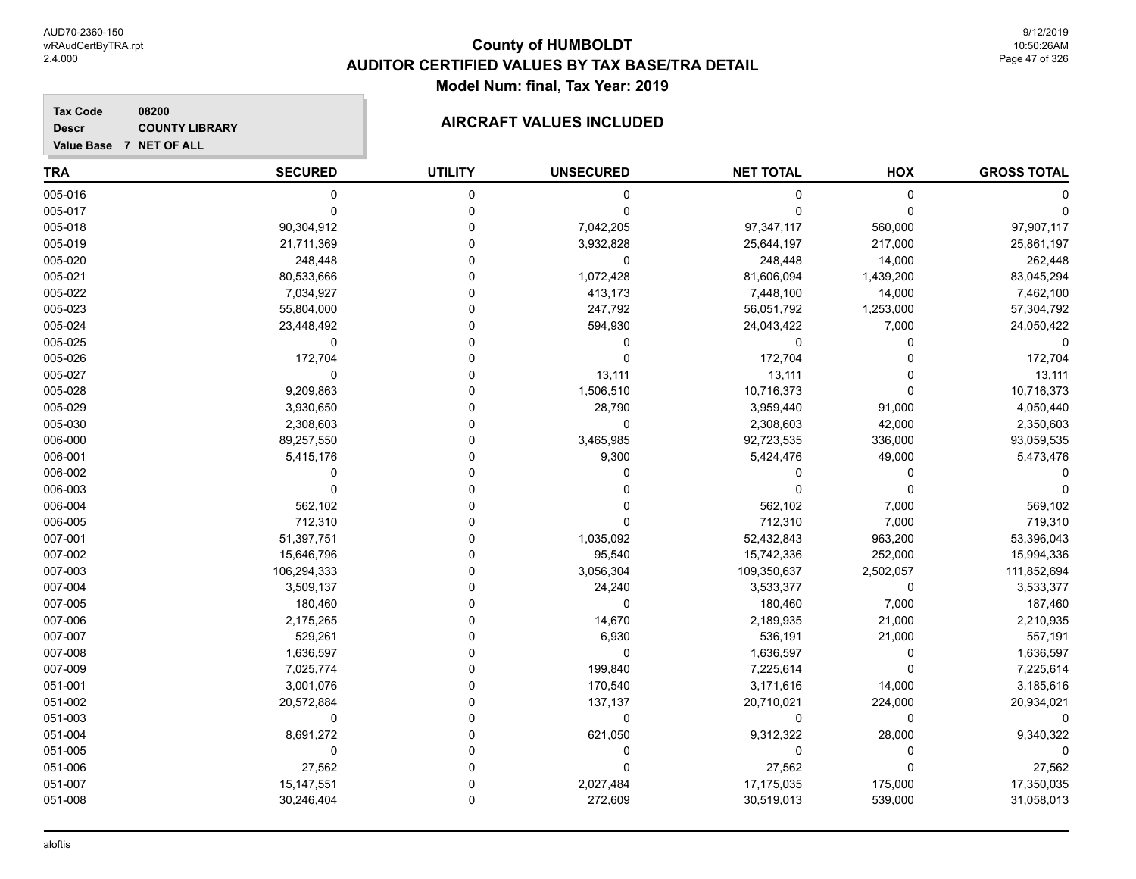#### **Tax Code 08200 Descr**

# **COUNTY LIBRARY COUNTY LIBRARY COUNTY LIBRARY**

**Value Base 7 NET OF ALL**

| <b>TRA</b> | <b>SECURED</b> | <b>UTILITY</b> | <b>UNSECURED</b> | <b>NET TOTAL</b> | HOX       | <b>GROSS TOTAL</b> |
|------------|----------------|----------------|------------------|------------------|-----------|--------------------|
| 005-016    | 0              | 0              | 0                | 0                | 0         |                    |
| 005-017    | $\Omega$       | $\mathbf 0$    | $\Omega$         | $\Omega$         | $\Omega$  |                    |
| 005-018    | 90,304,912     | $\Omega$       | 7,042,205        | 97,347,117       | 560,000   | 97,907,117         |
| 005-019    | 21,711,369     | 0              | 3,932,828        | 25,644,197       | 217,000   | 25,861,197         |
| 005-020    | 248,448        | 0              | $\mathbf 0$      | 248,448          | 14,000    | 262,448            |
| 005-021    | 80,533,666     | 0              | 1,072,428        | 81,606,094       | 1,439,200 | 83,045,294         |
| 005-022    | 7,034,927      | 0              | 413,173          | 7,448,100        | 14,000    | 7,462,100          |
| 005-023    | 55,804,000     | 0              | 247,792          | 56,051,792       | 1,253,000 | 57,304,792         |
| 005-024    | 23,448,492     | O              | 594,930          | 24,043,422       | 7,000     | 24,050,422         |
| 005-025    | $\mathbf 0$    | $\Omega$       | 0                | 0                | $\Omega$  | $\Omega$           |
| 005-026    | 172,704        | $\Omega$       | 0                | 172,704          | $\Omega$  | 172,704            |
| 005-027    | $\Omega$       | $\Omega$       | 13,111           | 13,111           | $\Omega$  | 13,111             |
| 005-028    | 9,209,863      | $\Omega$       | 1,506,510        | 10,716,373       | $\Omega$  | 10,716,373         |
| 005-029    | 3,930,650      | $\Omega$       | 28,790           | 3,959,440        | 91,000    | 4,050,440          |
| 005-030    | 2,308,603      | $\Omega$       | 0                | 2,308,603        | 42,000    | 2,350,603          |
| 006-000    | 89,257,550     | $\Omega$       | 3,465,985        | 92,723,535       | 336,000   | 93,059,535         |
| 006-001    | 5,415,176      | 0              | 9,300            | 5,424,476        | 49,000    | 5,473,476          |
| 006-002    | 0              | 0              | 0                | 0                | 0         | ∩                  |
| 006-003    | 0              | 0              | 0                | $\Omega$         | $\Omega$  | ∩                  |
| 006-004    | 562,102        | O              | $\Omega$         | 562,102          | 7,000     | 569,102            |
| 006-005    | 712,310        | 0              | 0                | 712,310          | 7,000     | 719,310            |
| 007-001    | 51,397,751     | 0              | 1,035,092        | 52,432,843       | 963,200   | 53,396,043         |
| 007-002    | 15,646,796     | 0              | 95,540           | 15,742,336       | 252,000   | 15,994,336         |
| 007-003    | 106,294,333    | 0              | 3,056,304        | 109,350,637      | 2,502,057 | 111,852,694        |
| 007-004    | 3,509,137      | $\Omega$       | 24,240           | 3,533,377        | 0         | 3,533,377          |
| 007-005    | 180,460        | 0              | 0                | 180,460          | 7,000     | 187,460            |
| 007-006    | 2,175,265      | 0              | 14,670           | 2,189,935        | 21,000    | 2,210,935          |
| 007-007    | 529,261        | $\Omega$       | 6,930            | 536,191          | 21,000    | 557,191            |
| 007-008    | 1,636,597      | $\Omega$       | $\mathbf 0$      | 1,636,597        | 0         | 1,636,597          |
| 007-009    | 7,025,774      | $\Omega$       | 199,840          | 7,225,614        | $\Omega$  | 7,225,614          |
| 051-001    | 3,001,076      | $\Omega$       | 170,540          | 3,171,616        | 14,000    | 3,185,616          |
| 051-002    | 20,572,884     | ۵              | 137,137          | 20,710,021       | 224,000   | 20,934,021         |
| 051-003    | 0              | 0              | 0                | 0                | 0         | $\Omega$           |
| 051-004    | 8,691,272      | 0              | 621,050          | 9,312,322        | 28,000    | 9,340,322          |
| 051-005    | 0              | O              | 0                | 0                | 0         | $\Omega$           |
| 051-006    | 27,562         | 0              | $\Omega$         | 27,562           | $\Omega$  | 27,562             |
| 051-007    | 15,147,551     | $\Omega$       | 2,027,484        | 17,175,035       | 175,000   | 17,350,035         |
| 051-008    | 30,246,404     | $\Omega$       | 272,609          | 30,519,013       | 539,000   | 31,058,013         |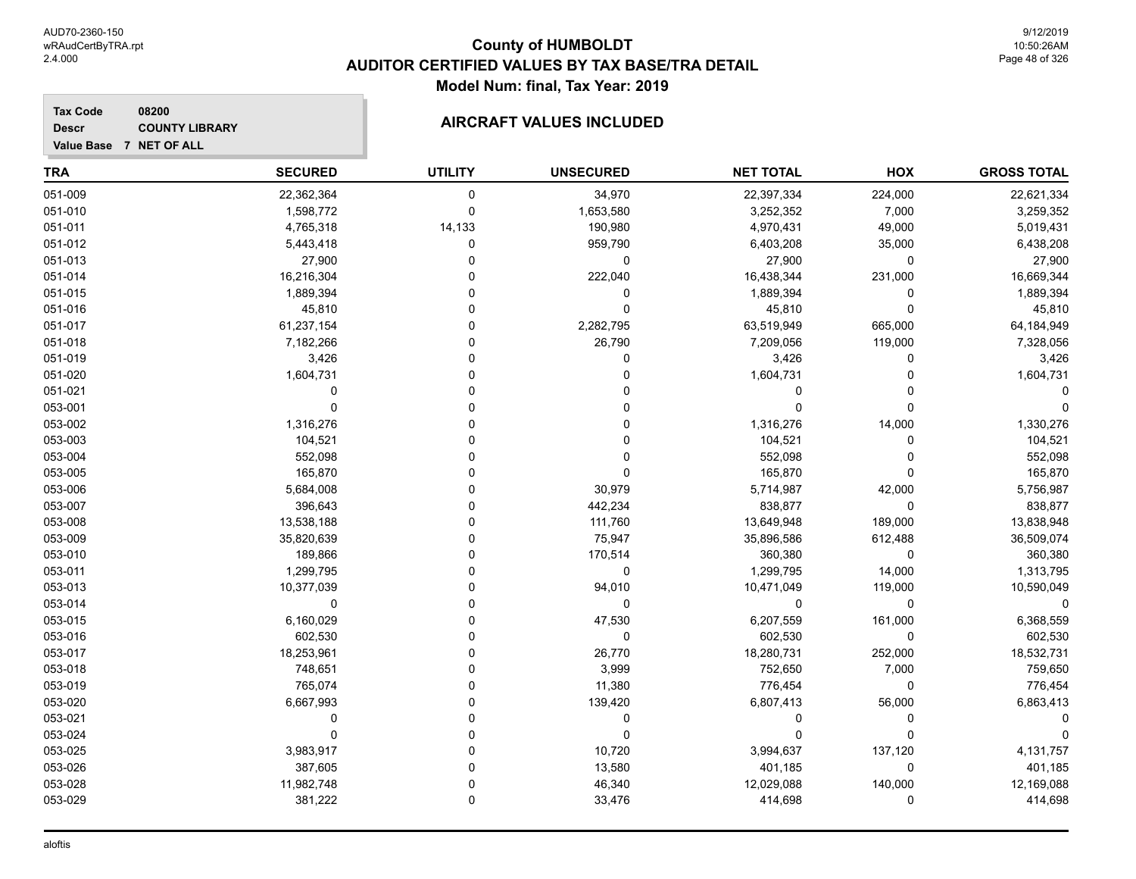**Descr**

# **County of HUMBOLDT AUDITOR CERTIFIED VALUES BY TAX BASE/TRA DETAIL Model Num: final, Tax Year: 2019**

9/12/2019 10:50:26AM Page 48 of 326

| <b>TRA</b> | <b>SECURED</b> | <b>UTILITY</b> | <b>UNSECURED</b> | <b>NET TOTAL</b> | HOX     | <b>GROSS TOTAL</b> |
|------------|----------------|----------------|------------------|------------------|---------|--------------------|
| 051-009    | 22,362,364     | 0              | 34,970           | 22,397,334       | 224,000 | 22,621,334         |
| 051-010    | 1,598,772      | 0              | 1,653,580        | 3,252,352        | 7,000   | 3,259,352          |
| 051-011    | 4,765,318      | 14,133         | 190,980          | 4,970,431        | 49,000  | 5,019,431          |
| 051-012    | 5,443,418      | $\Omega$       | 959,790          | 6,403,208        | 35,000  | 6,438,208          |
| 051-013    | 27,900         | 0              | 0                | 27,900           | 0       | 27,900             |
| 051-014    | 16,216,304     | 0              | 222,040          | 16,438,344       | 231,000 | 16,669,344         |
| 051-015    | 1,889,394      | $\Omega$       | $\mathbf 0$      | 1,889,394        | 0       | 1,889,394          |
| 051-016    | 45,810         | $\Omega$       | $\Omega$         | 45,810           | 0       | 45,810             |
| 051-017    | 61,237,154     | $\Omega$       | 2,282,795        | 63,519,949       | 665,000 | 64,184,949         |
| 051-018    | 7,182,266      | $\mathbf 0$    | 26,790           | 7,209,056        | 119,000 | 7,328,056          |
| 051-019    | 3,426          | $\Omega$       | $\Omega$         | 3,426            | 0       | 3,426              |
| 051-020    | 1,604,731      | $\Omega$       | 0                | 1,604,731        | 0       | 1,604,731          |
| 051-021    | 0              | $\mathbf 0$    | 0                | 0                | 0       |                    |
| 053-001    | 0              | $\mathbf 0$    | $\Omega$         | $\Omega$         | 0       |                    |
| 053-002    | 1,316,276      | $\mathbf 0$    | $\Omega$         | 1,316,276        | 14,000  | 1,330,276          |
| 053-003    | 104,521        | $\mathbf 0$    | $\Omega$         | 104,521          | 0       | 104,521            |
| 053-004    | 552,098        | $\Omega$       | 0                | 552,098          | 0       | 552,098            |
| 053-005    | 165,870        | $\Omega$       | 0                | 165,870          | 0       | 165,870            |
| 053-006    | 5,684,008      | $\Omega$       | 30,979           | 5,714,987        | 42,000  | 5,756,987          |
| 053-007    | 396,643        | $\Omega$       | 442,234          | 838,877          | 0       | 838,877            |
| 053-008    | 13,538,188     | $\mathbf 0$    | 111,760          | 13,649,948       | 189,000 | 13,838,948         |
| 053-009    | 35,820,639     | $\mathbf 0$    | 75,947           | 35,896,586       | 612,488 | 36,509,074         |
| 053-010    | 189,866        | $\overline{0}$ | 170,514          | 360,380          | 0       | 360,380            |
| 053-011    | 1,299,795      | $\Omega$       | 0                | 1,299,795        | 14,000  | 1,313,795          |
| 053-013    | 10,377,039     | $\Omega$       | 94,010           | 10,471,049       | 119,000 | 10,590,049         |
| 053-014    | 0              | $\mathbf 0$    | 0                | 0                | 0       | 0                  |
| 053-015    | 6,160,029      | $\Omega$       | 47,530           | 6,207,559        | 161,000 | 6,368,559          |
| 053-016    | 602,530        | $\Omega$       | $\mathbf 0$      | 602,530          | 0       | 602,530            |
| 053-017    | 18,253,961     | $\mathbf 0$    | 26,770           | 18,280,731       | 252,000 | 18,532,731         |
| 053-018    | 748,651        | $\mathbf 0$    | 3,999            | 752,650          | 7,000   | 759,650            |
| 053-019    | 765,074        | $\overline{0}$ | 11,380           | 776,454          | 0       | 776,454            |
| 053-020    | 6,667,993      | $\mathbf 0$    | 139,420          | 6,807,413        | 56,000  | 6,863,413          |
| 053-021    | $\Omega$       | $\Omega$       | 0                | $\Omega$         | 0       | 0                  |
| 053-024    | 0              | $\Omega$       | 0                | 0                | 0       | 0                  |
| 053-025    | 3,983,917      | $\Omega$       | 10,720           | 3,994,637        | 137,120 | 4,131,757          |
| 053-026    | 387,605        | $\Omega$       | 13,580           | 401,185          | 0       | 401,185            |
| 053-028    | 11,982,748     | $\mathbf 0$    | 46,340           | 12,029,088       | 140,000 | 12,169,088         |
| 053-029    | 381,222        | 0              | 33,476           | 414,698          | 0       | 414,698            |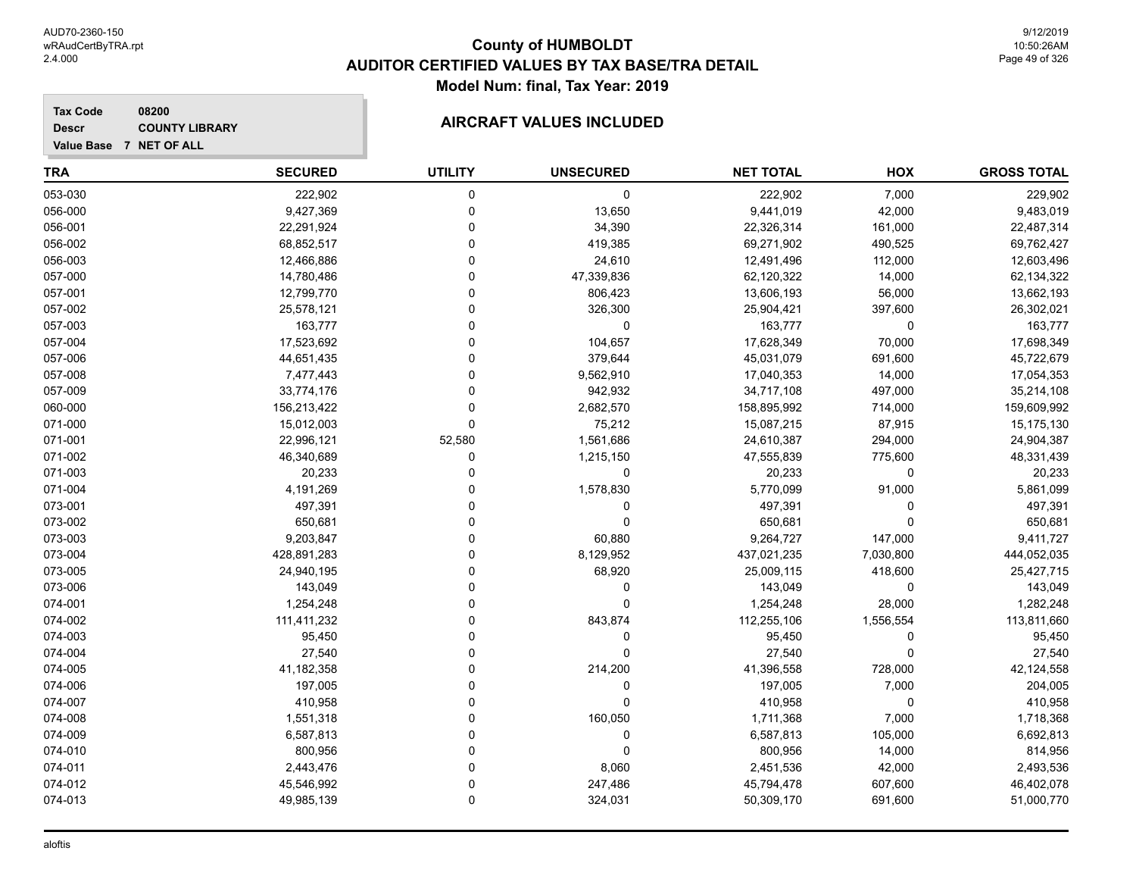**Descr**

# **County of HUMBOLDT AUDITOR CERTIFIED VALUES BY TAX BASE/TRA DETAIL Model Num: final, Tax Year: 2019**

| TRA     | <b>SECURED</b> | <b>UTILITY</b> | <b>UNSECURED</b> | <b>NET TOTAL</b> | HOX       | <b>GROSS TOTAL</b> |
|---------|----------------|----------------|------------------|------------------|-----------|--------------------|
| 053-030 | 222,902        | 0              | 0                | 222,902          | 7,000     | 229,902            |
| 056-000 | 9,427,369      | 0              | 13,650           | 9,441,019        | 42,000    | 9,483,019          |
| 056-001 | 22,291,924     | 0              | 34,390           | 22,326,314       | 161,000   | 22,487,314         |
| 056-002 | 68,852,517     | 0              | 419,385          | 69,271,902       | 490,525   | 69,762,427         |
| 056-003 | 12,466,886     | 0              | 24,610           | 12,491,496       | 112,000   | 12,603,496         |
| 057-000 | 14,780,486     | 0              | 47,339,836       | 62,120,322       | 14,000    | 62,134,322         |
| 057-001 | 12,799,770     | 0              | 806,423          | 13,606,193       | 56,000    | 13,662,193         |
| 057-002 | 25,578,121     | 0              | 326,300          | 25,904,421       | 397,600   | 26,302,021         |
| 057-003 | 163,777        | 0              | 0                | 163,777          | 0         | 163,777            |
| 057-004 | 17,523,692     | 0              | 104,657          | 17,628,349       | 70,000    | 17,698,349         |
| 057-006 | 44,651,435     | 0              | 379,644          | 45,031,079       | 691,600   | 45,722,679         |
| 057-008 | 7,477,443      | 0              | 9,562,910        | 17,040,353       | 14,000    | 17,054,353         |
| 057-009 | 33,774,176     | 0              | 942,932          | 34,717,108       | 497,000   | 35,214,108         |
| 060-000 | 156,213,422    | 0              | 2,682,570        | 158,895,992      | 714,000   | 159,609,992        |
| 071-000 | 15,012,003     | 0              | 75,212           | 15,087,215       | 87,915    | 15,175,130         |
| 071-001 | 22,996,121     | 52,580         | 1,561,686        | 24,610,387       | 294,000   | 24,904,387         |
| 071-002 | 46,340,689     | 0              | 1,215,150        | 47,555,839       | 775,600   | 48,331,439         |
| 071-003 | 20,233         | 0              | 0                | 20,233           | 0         | 20,233             |
| 071-004 | 4,191,269      | 0              | 1,578,830        | 5,770,099        | 91,000    | 5,861,099          |
| 073-001 | 497,391        | 0              | 0                | 497,391          | 0         | 497,391            |
| 073-002 | 650,681        | 0              | 0                | 650,681          | 0         | 650,681            |
| 073-003 | 9,203,847      | 0              | 60,880           | 9,264,727        | 147,000   | 9,411,727          |
| 073-004 | 428,891,283    | 0              | 8,129,952        | 437,021,235      | 7,030,800 | 444,052,035        |
| 073-005 | 24,940,195     | 0              | 68,920           | 25,009,115       | 418,600   | 25,427,715         |
| 073-006 | 143,049        | 0              | 0                | 143,049          | 0         | 143,049            |
| 074-001 | 1,254,248      | 0              | 0                | 1,254,248        | 28,000    | 1,282,248          |
| 074-002 | 111,411,232    | 0              | 843,874          | 112,255,106      | 1,556,554 | 113,811,660        |
| 074-003 | 95,450         | 0              | 0                | 95,450           | 0         | 95,450             |
| 074-004 | 27,540         | 0              | 0                | 27,540           | 0         | 27,540             |
| 074-005 | 41,182,358     | 0              | 214,200          | 41,396,558       | 728,000   | 42,124,558         |
| 074-006 | 197,005        | 0              | 0                | 197,005          | 7,000     | 204,005            |
| 074-007 | 410,958        | 0              | 0                | 410,958          | 0         | 410,958            |
| 074-008 | 1,551,318      | 0              | 160,050          | 1,711,368        | 7,000     | 1,718,368          |
| 074-009 | 6,587,813      | 0              | 0                | 6,587,813        | 105,000   | 6,692,813          |
| 074-010 | 800,956        | 0              | 0                | 800,956          | 14,000    | 814,956            |
| 074-011 | 2,443,476      | 0              | 8,060            | 2,451,536        | 42,000    | 2,493,536          |
| 074-012 | 45,546,992     | 0              | 247,486          | 45,794,478       | 607,600   | 46,402,078         |
| 074-013 | 49,985,139     | $\Omega$       | 324,031          | 50,309,170       | 691,600   | 51,000,770         |
|         |                |                |                  |                  |           |                    |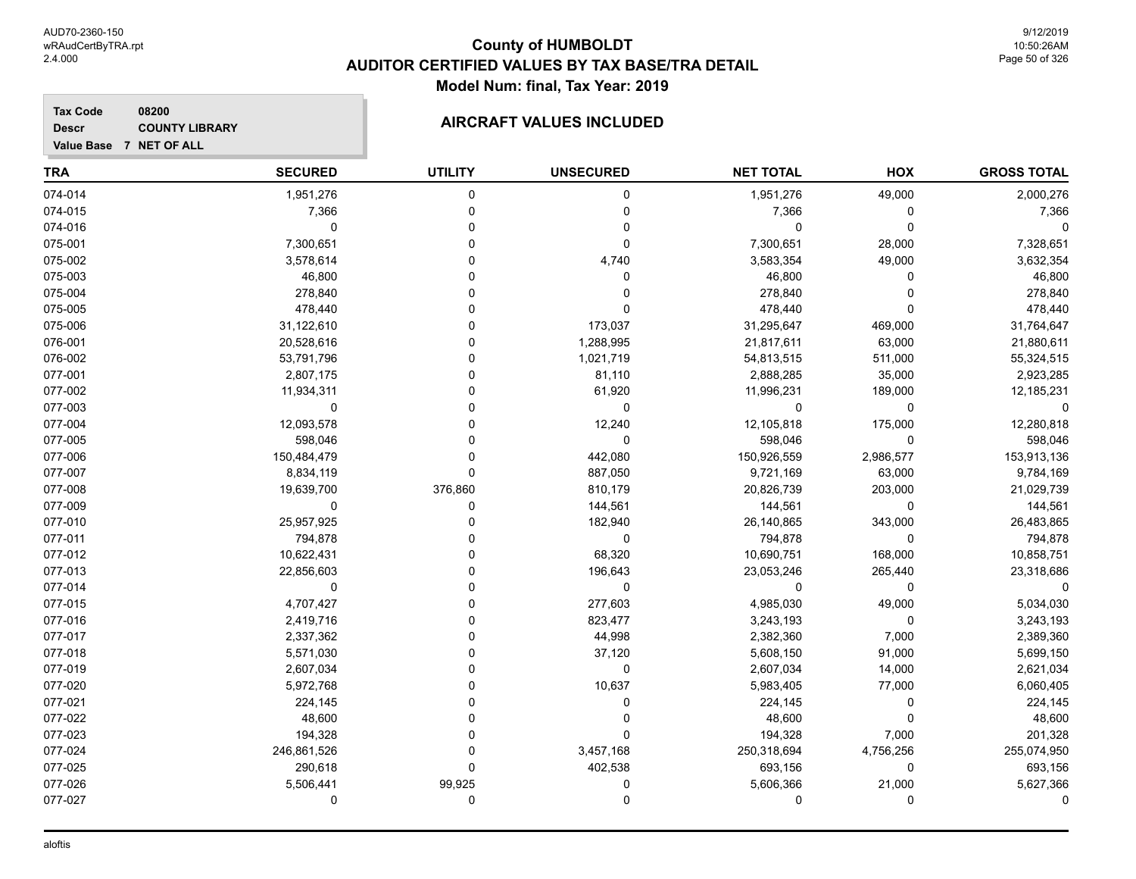**Descr**

# **County of HUMBOLDT AUDITOR CERTIFIED VALUES BY TAX BASE/TRA DETAIL Model Num: final, Tax Year: 2019**

| <b>TRA</b> | <b>SECURED</b> | <b>UTILITY</b> | <b>UNSECURED</b> | <b>NET TOTAL</b> | HOX         | <b>GROSS TOTAL</b> |
|------------|----------------|----------------|------------------|------------------|-------------|--------------------|
| 074-014    | 1,951,276      | 0              | 0                | 1,951,276        | 49,000      | 2,000,276          |
| 074-015    | 7,366          | $\Omega$       | 0                | 7,366            | 0           | 7,366              |
| 074-016    | 0              | 0              | 0                | 0                | $\mathbf 0$ |                    |
| 075-001    | 7,300,651      | 0              | $\Omega$         | 7,300,651        | 28,000      | 7,328,651          |
| 075-002    | 3,578,614      |                | 4,740            | 3,583,354        | 49,000      | 3,632,354          |
| 075-003    | 46,800         |                | 0                | 46,800           | 0           | 46,800             |
| 075-004    | 278,840        |                | 0                | 278,840          |             | 278,840            |
| 075-005    | 478,440        |                | $\Omega$         | 478,440          | $\Omega$    | 478,440            |
| 075-006    | 31,122,610     | ŋ              | 173,037          | 31,295,647       | 469,000     | 31,764,647         |
| 076-001    | 20,528,616     | ŋ              | 1,288,995        | 21,817,611       | 63,000      | 21,880,611         |
| 076-002    | 53,791,796     | U              | 1,021,719        | 54,813,515       | 511,000     | 55,324,515         |
| 077-001    | 2,807,175      | U              | 81,110           | 2,888,285        | 35,000      | 2,923,285          |
| 077-002    | 11,934,311     |                | 61,920           | 11,996,231       | 189,000     | 12,185,231         |
| 077-003    | 0              | 0              | 0                | 0                | 0           | 0                  |
| 077-004    | 12,093,578     | U              | 12,240           | 12,105,818       | 175,000     | 12,280,818         |
| 077-005    | 598,046        |                | 0                | 598,046          | $\mathbf 0$ | 598,046            |
| 077-006    | 150,484,479    | 0              | 442,080          | 150,926,559      | 2,986,577   | 153,913,136        |
| 077-007    | 8,834,119      | 0              | 887,050          | 9,721,169        | 63,000      | 9,784,169          |
| 077-008    | 19,639,700     | 376,860        | 810,179          | 20,826,739       | 203,000     | 21,029,739         |
| 077-009    | $\mathbf 0$    | 0              | 144,561          | 144,561          | $\mathbf 0$ | 144,561            |
| 077-010    | 25,957,925     | 0              | 182,940          | 26,140,865       | 343,000     | 26,483,865         |
| 077-011    | 794,878        |                | 0                | 794,878          | 0           | 794,878            |
| 077-012    | 10,622,431     | U              | 68,320           | 10,690,751       | 168,000     | 10,858,751         |
| 077-013    | 22,856,603     | U              | 196,643          | 23,053,246       | 265,440     | 23,318,686         |
| 077-014    | 0              | 0              | $\mathbf 0$      | $\Omega$         | $\mathbf 0$ |                    |
| 077-015    | 4,707,427      | 0              | 277,603          | 4,985,030        | 49,000      | 5,034,030          |
| 077-016    | 2,419,716      | 0              | 823,477          | 3,243,193        | 0           | 3,243,193          |
| 077-017    | 2,337,362      |                | 44,998           | 2,382,360        | 7,000       | 2,389,360          |
| 077-018    | 5,571,030      |                | 37,120           | 5,608,150        | 91,000      | 5,699,150          |
| 077-019    | 2,607,034      |                | 0                | 2,607,034        | 14,000      | 2,621,034          |
| 077-020    | 5,972,768      | U              | 10,637           | 5,983,405        | 77,000      | 6,060,405          |
| 077-021    | 224,145        |                | 0                | 224,145          | $\Omega$    | 224,145            |
| 077-022    | 48,600         |                | 0                | 48,600           | $\mathbf 0$ | 48,600             |
| 077-023    | 194,328        | U              | $\Omega$         | 194,328          | 7,000       | 201,328            |
| 077-024    | 246,861,526    | 0              | 3,457,168        | 250,318,694      | 4,756,256   | 255,074,950        |
| 077-025    | 290,618        | $\Omega$       | 402,538          | 693,156          | 0           | 693,156            |
| 077-026    | 5,506,441      | 99,925         | 0                | 5,606,366        | 21,000      | 5,627,366          |
| 077-027    | 0              | 0              | 0                | 0                | 0           | 0                  |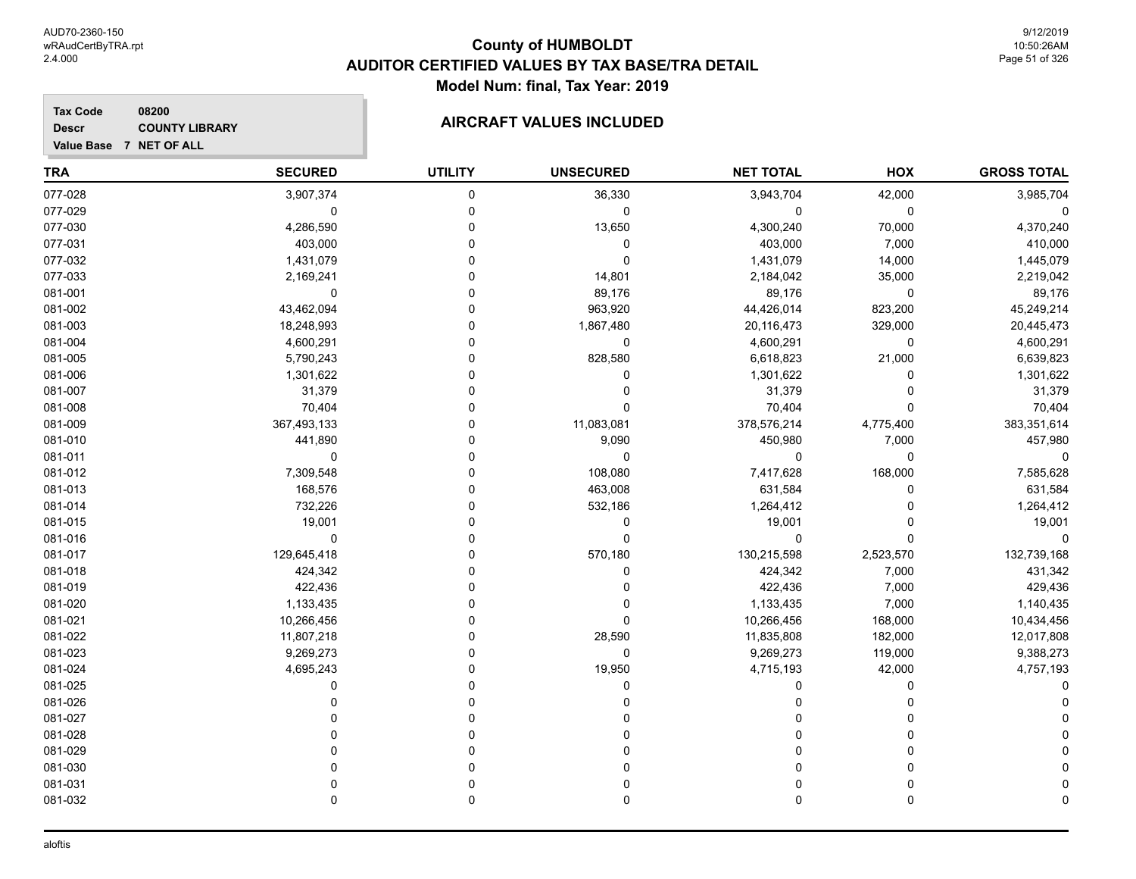9/12/2019 10:50:26AM Page 51 of 326

#### **TRA SECURED UTILITY UNSECURED HOX Tax Code Value Base 7 NET OF ALL 08200 GROSS TOTAL NET TOTAL Descr COUNTY LIBRARY COUNTY LIBRARY AIRCRAFT VALUES INCLUDED** 077-028 3,907,374 0 36,330 3,943,704 42,000 3,985,704 077-029 0 0 0 0 0 0 077-030 4,286,590 0 13,650 4,300,240 70,000 4,370,240 077-031 403,000 0 0 403,000 7,000 410,000 077-032 1,431,079 0 0 1,431,079 14,000 1,445,079 077-033 2,169,241 0 14,801 2,184,042 35,000 2,219,042 081-001 0 0 89,176 89,176 0 89,176 081-002 43,462,094 0 963,920 44,426,014 823,200 45,249,214 081-003 18,248,993 0 1,867,480 20,116,473 329,000 20,445,473 081-004 4,600,291 0 0 4,600,291 0 4,600,291 081-005 5,790,243 0 828,580 6,618,823 21,000 6,639,823 081-006 1,301,622 0 0 1,301,622 0 1,301,622 081-007 31,379 0 0 31,379 0 31,379 081-008 70,404 0 0 70,404 0 70,404 081-009 367,493,133 0 11,083,081 378,576,214 4,775,400 383,351,614 081-010 441,890 0 9,090 450,980 7,000 457,980 081-011 0 0 0 0 0 0 081-012 7,309,548 0 108,080 7,417,628 168,000 7,585,628 081-013 168,576 0 463,008 631,584 0 631,584 081-014 732,226 0 532,186 1,264,412 0 1,264,412 081-015 19,001 0 0 19,001 0 19,001 081-016 0 0 0 0 0 0 081-017 129,645,418 0 570,180 130,215,598 2,523,570 132,739,168 081-018 424,342 0 0 424,342 7,000 431,342 081-019 422,436 0 0 422,436 7,000 429,436 081-020 1,133,435 0 0 1,133,435 7,000 1,140,435 081-021 10,266,456 0 10,266,456 168,000 10,434,456 081-022 11,807,218 0 28,590 11,835,808 182,000 12,017,808 081-023 9,269,273 0 0 9,269,273 119,000 9,388,273 081-024 4,695,243 0 19,950 4,715,193 42,000 4,757,193 081-025 0 0 0 0 0 0 081-026 0 0 0 0 0 0 081-027 0 0 0 0 0 0 081-028 0 0 0 0 0 0

081-029 0 0 0 0 0 0 081-030 0 0 0 0 0 0 081-031 0 0 0 0 0 0 081-032 0 0 0 0 0 0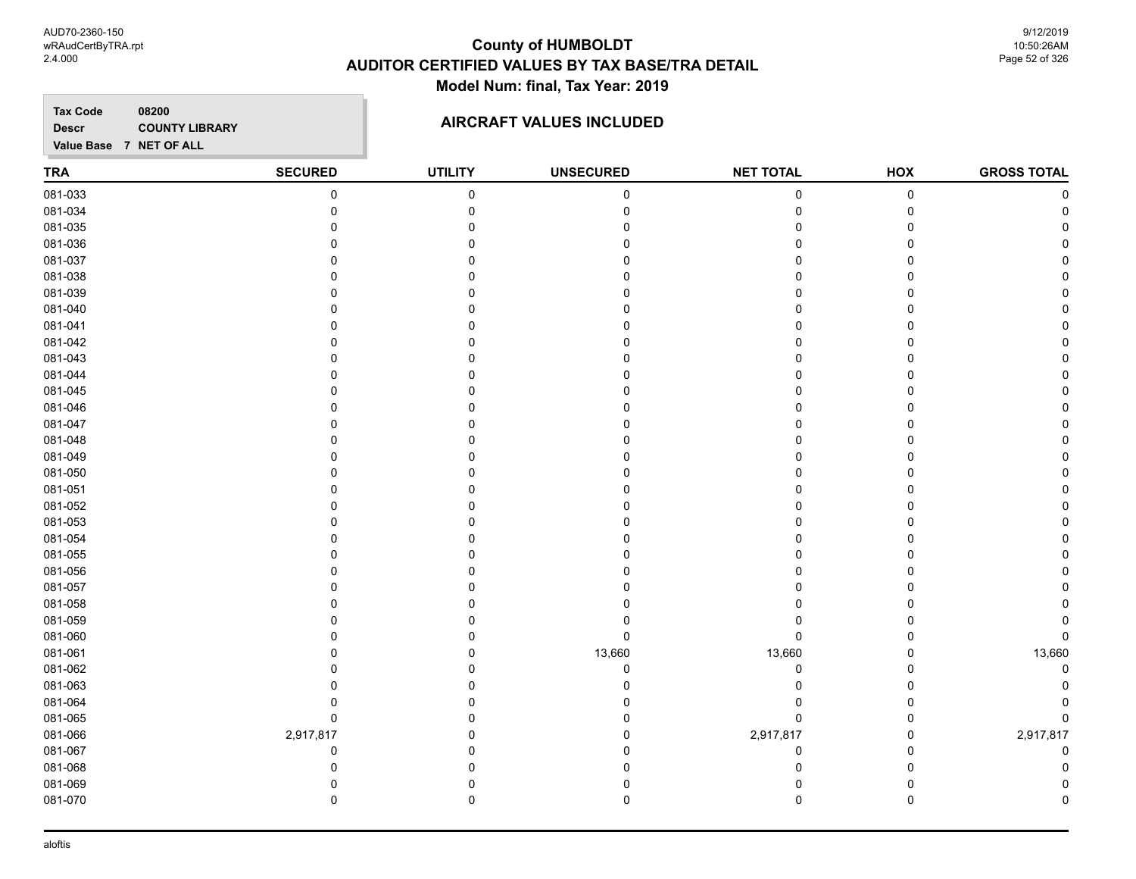9/12/2019 10:50:26AM Page 52 of 326

**TRA SECURED UTILITY UNSECURED HOX Tax Code Value Base 7 NET OF ALL 08200 GROSS TOTAL NET TOTAL Descr COUNTY LIBRARY COUNTY LIBRARY AIRCRAFT VALUES INCLUDED** 081-033 0 0 0 0 0 0 081-034 0 0 0 0 0 0 081-035 0 0 0 0 0 0 081-036 0 0 0 0 0 0 081-037 0 0 0 0 0 0 081-038 0 0 0 0 0 0 081-039 0 0 0 0 0 0 081-040 0 0 0 0 0 0 081-041 0 0 0 0 0 0 081-042 0 0 0 0 0 0 081-043 0 0 0 0 0 0 081-044 0 0 0 0 0 0 081-045 0 0 0 0 0 0 081-046 0 0 0 0 0 0 081-047 0 0 0 0 0 0 081-048 0 0 0 0 0 0 081-049 0 0 0 0 0 0 081-050 0 0 0 0 0 0 081-051 0 0 0 0 0 0 081-052 0 0 0 0 0 0 081-053 0 0 0 0 0 0 081-054 0 0 0 0 0 0 081-055 0 0 0 0 0 0 081-056 0 0 0 0 0 0 081-057 0 0 0 0 0 0 081-058 0 0 0 0 0 0 081-059 0 0 0 0 0 0 081-060 0 0 0 0 0 0 081-061 0 0 13,660 13,660 0 13,660 081-062 0 0 0 0 0 0 081-063 0 0 0 0 0 0 081-064 0 0 0 0 0 0 081-065 0 0 0 0 0 0 081-066 2,917,817 0 0 2,917,817 0 2,917,817 081-067 0 0 0 0 0 0 081-068 0 0 0 0 0 0 081-069 0 0 0 0 0 0 081-070 0 0 0 0 0 0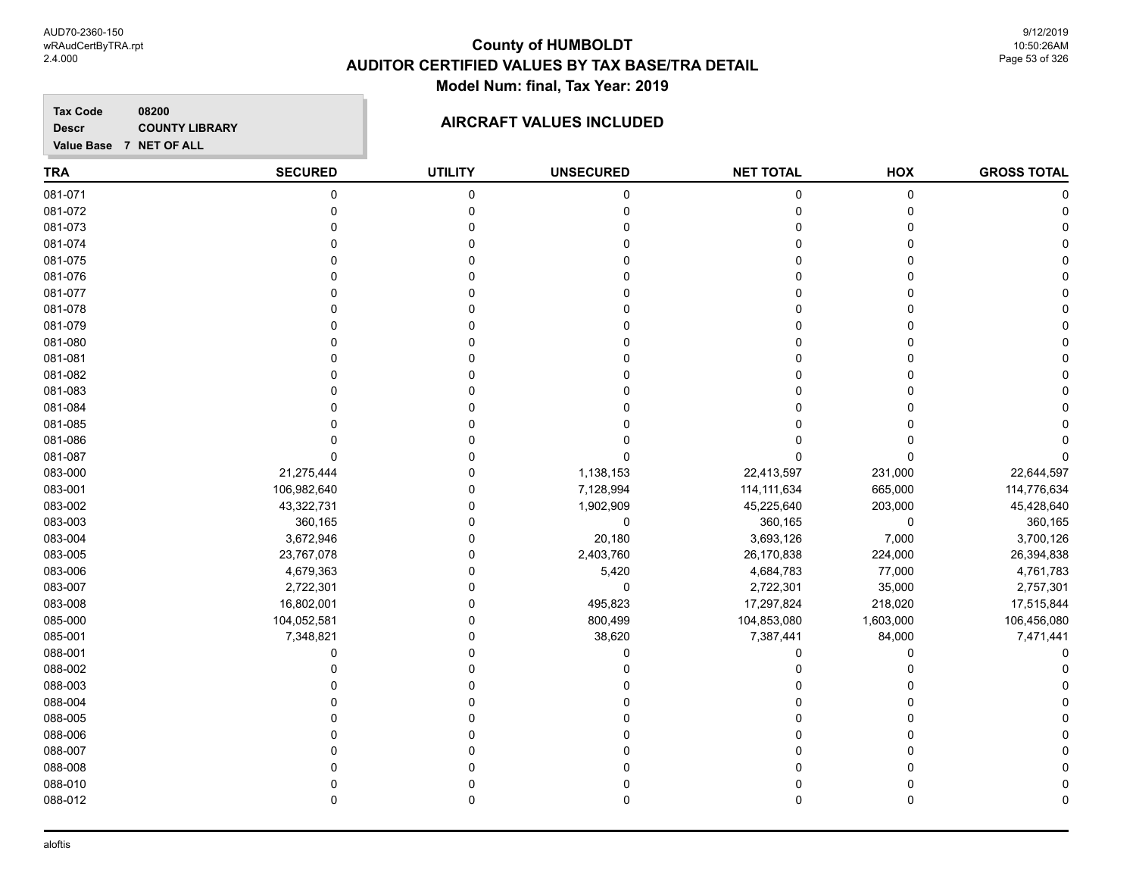#### **TRA SECURED UTILITY UNSECURED HOX Tax Code Value Base 7 NET OF ALL 08200 GROSS TOTAL NET TOTAL Descr COUNTY LIBRARY COUNTY LIBRARY AIRCRAFT VALUES INCLUDED** 081-071 0 0 0 0 0 0 081-072 0 0 0 0 0 0 081-073 0 0 0 0 0 0 081-074 0 0 0 0 0 0 081-075 0 0 0 0 0 0 081-076 0 0 0 0 0 0 081-077 0 0 0 0 0 0 081-078 0 0 0 0 0 0 081-079 0 0 0 0 0 0 081-080 0 0 0 0 0 0 081-081 0 0 0 0 0 0 081-082 0 0 0 0 0 0 081-083 0 0 0 0 0 0 081-084 0 0 0 0 0 0 081-085 0 0 0 0 0 0 081-086 0 0 0 0 0 0 081-087 0 0 0 0 0 0 083-000 21,275,444 0 1,138,153 22,413,597 231,000 22,644,597 083-001 106,982,640 0 7,128,994 114,111,634 665,000 114,776,634 083-002 43,322,731 0 1,902,909 45,225,640 203,000 45,428,640 083-003 360,165 0 0 360,165 0 360,165 083-004 3,672,946 0 20,180 3,693,126 7,000 3,700,126 083-005 23,767,078 0 2,403,760 26,170,838 224,000 26,394,838 083-006 4,679,363 0 5,420 4,684,783 77,000 4,761,783 083-007 2,722,301 0 0 2,722,301 35,000 2,757,301 083-008 16,802,001 0 495,823 17,297,824 218,020 17,515,844 085-000 104,052,581 0 800,499 104,853,080 1,603,000 106,456,080 085-001 7,348,821 0 38,620 7,387,441 84,000 7,471,441 088-001 0 0 0 0 0 0 088-002 0 0 0 0 0 0 088-003 0 0 0 0 0 0 088-004 0 0 0 0 0 0 088-005 0 0 0 0 0 0 088-006 0 0 0 0 0 0 088-007 0 0 0 0 0 0 088-008 0 0 0 0 0 0 088-010 0 0 0 0 0 0 088-012 0 0 0 0 0 0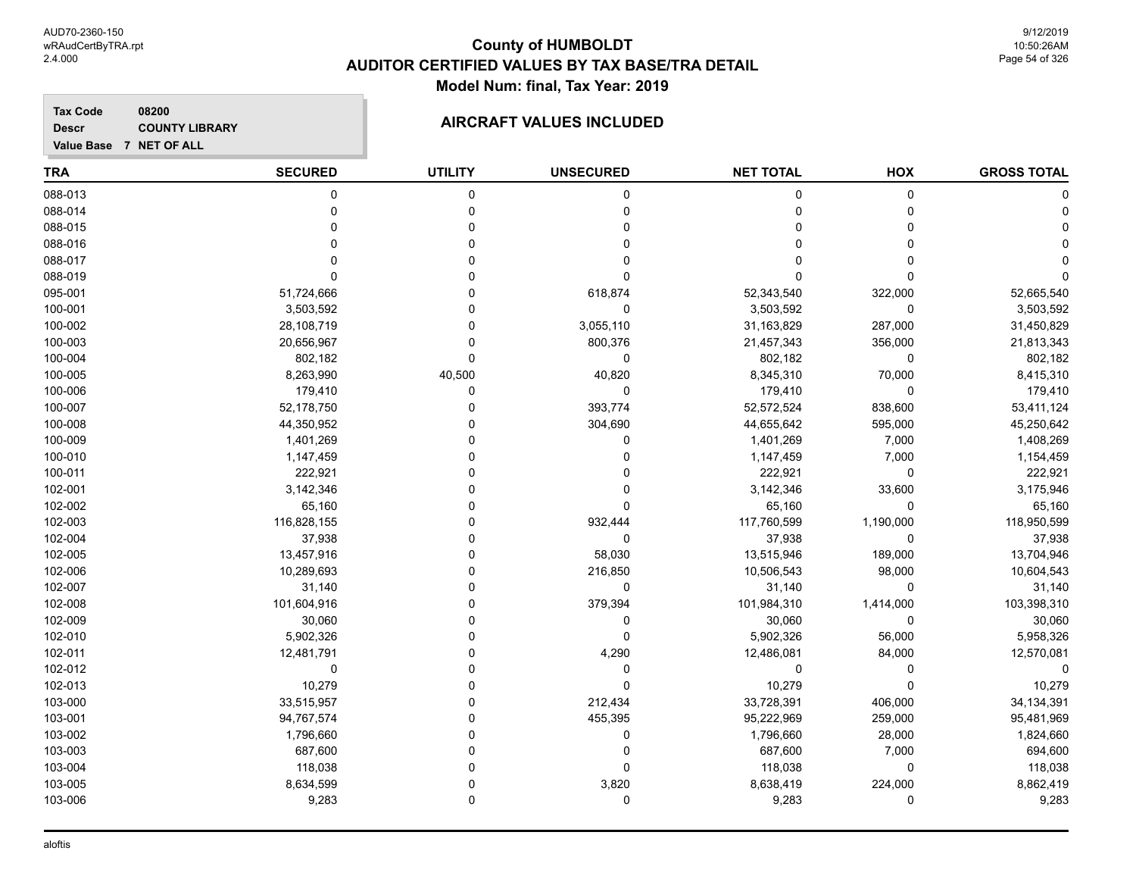#### **Tax Code 08200 Descr**

# **COUNTY LIBRARY COUNTY LIBRARY COUNTY LIBRARY**

**Value Base 7 NET OF ALL**

| <b>TRA</b> | <b>SECURED</b> | <b>UTILITY</b> | <b>UNSECURED</b> | <b>NET TOTAL</b> | HOX         | <b>GROSS TOTAL</b> |
|------------|----------------|----------------|------------------|------------------|-------------|--------------------|
| 088-013    | $\mathbf 0$    | 0              | 0                | 0                | $\mathsf 0$ |                    |
| 088-014    | $\mathbf 0$    | $\mathbf 0$    | 0                | 0                | $\mathbf 0$ |                    |
| 088-015    | $\Omega$       | $\mathbf 0$    | 0                | 0                | $\Omega$    |                    |
| 088-016    | $\Omega$       | $\mathbf{0}$   | 0                | $\Omega$         | $\Omega$    |                    |
| 088-017    | $\Omega$       | $\mathbf 0$    | 0                | 0                | $\Omega$    |                    |
| 088-019    | $\Omega$       | $\Omega$       | 0                | 0                | $\Omega$    |                    |
| 095-001    | 51,724,666     | $\Omega$       | 618,874          | 52,343,540       | 322,000     | 52,665,540         |
| 100-001    | 3,503,592      | 0              | 0                | 3,503,592        | 0           | 3,503,592          |
| 100-002    | 28,108,719     | $\Omega$       | 3,055,110        | 31,163,829       | 287,000     | 31,450,829         |
| 100-003    | 20,656,967     | $\Omega$       | 800,376          | 21,457,343       | 356,000     | 21,813,343         |
| 100-004    | 802,182        | $\mathbf 0$    | 0                | 802,182          | 0           | 802,182            |
| 100-005    | 8,263,990      | 40,500         | 40,820           | 8,345,310        | 70,000      | 8,415,310          |
| 100-006    | 179,410        | $\Omega$       | 0                | 179,410          | $\Omega$    | 179,410            |
| 100-007    | 52,178,750     | $\mathbf 0$    | 393,774          | 52,572,524       | 838,600     | 53,411,124         |
| 100-008    | 44,350,952     | 0              | 304,690          | 44,655,642       | 595,000     | 45,250,642         |
| 100-009    | 1,401,269      | $\Omega$       | 0                | 1,401,269        | 7,000       | 1,408,269          |
| 100-010    | 1,147,459      | $\Omega$       | $\Omega$         | 1,147,459        | 7,000       | 1,154,459          |
| 100-011    | 222,921        | 0              | 0                | 222,921          | $\mathbf 0$ | 222,921            |
| 102-001    | 3,142,346      | $\Omega$       | 0                | 3,142,346        | 33,600      | 3,175,946          |
| 102-002    | 65,160         | $\Omega$       | 0                | 65,160           | $\Omega$    | 65,160             |
| 102-003    | 116,828,155    | $\Omega$       | 932,444          | 117,760,599      | 1,190,000   | 118,950,599        |
| 102-004    | 37,938         | $\Omega$       | 0                | 37,938           | $\mathbf 0$ | 37,938             |
| 102-005    | 13,457,916     | $\Omega$       | 58,030           | 13,515,946       | 189,000     | 13,704,946         |
| 102-006    | 10,289,693     | 0              | 216,850          | 10,506,543       | 98,000      | 10,604,543         |
| 102-007    | 31,140         | $\Omega$       | 0                | 31,140           | 0           | 31,140             |
| 102-008    | 101,604,916    | $\Omega$       | 379,394          | 101,984,310      | 1,414,000   | 103,398,310        |
| 102-009    | 30,060         | $\Omega$       | 0                | 30,060           | $\Omega$    | 30,060             |
| 102-010    | 5,902,326      | $\mathbf 0$    | $\mathbf 0$      | 5,902,326        | 56,000      | 5,958,326          |
| 102-011    | 12,481,791     | $\mathbf{0}$   | 4,290            | 12,486,081       | 84,000      | 12,570,081         |
| 102-012    | 0              | $\mathbf 0$    | 0                | 0                | $\mathbf 0$ |                    |
| 102-013    | 10,279         | $\mathbf 0$    | 0                | 10,279           | $\Omega$    | 10,279             |
| 103-000    | 33,515,957     | $\mathbf 0$    | 212,434          | 33,728,391       | 406,000     | 34, 134, 391       |
| 103-001    | 94,767,574     | 0              | 455,395          | 95,222,969       | 259,000     | 95,481,969         |
| 103-002    | 1,796,660      | $\mathbf 0$    | 0                | 1,796,660        | 28,000      | 1,824,660          |
| 103-003    | 687,600        | $\Omega$       | 0                | 687,600          | 7,000       | 694,600            |
| 103-004    | 118,038        | $\mathbf 0$    | 0                | 118,038          | 0           | 118,038            |
| 103-005    | 8,634,599      | $\mathbf 0$    | 3,820            | 8,638,419        | 224,000     | 8,862,419          |
| 103-006    | 9,283          | 0              | 0                | 9,283            | $\Omega$    | 9,283              |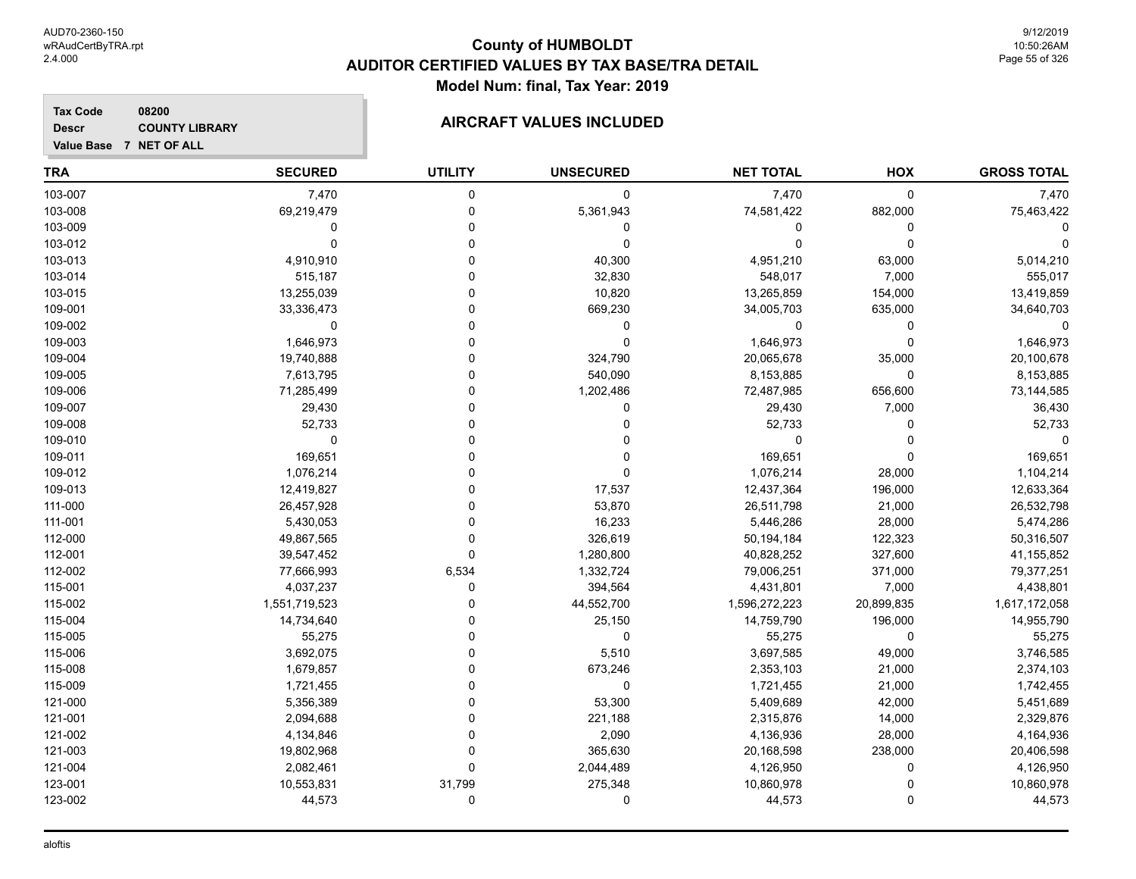9/12/2019 10:50:26AM Page 55 of 326

**GROSS TOTAL**

# **TRA SECURED UTILITY UNSECURED HOX Tax Code Value Base 7 NET OF ALL 08200 NET TOTAL Descr COUNTY LIBRARY COUNTY LIBRARY AIRCRAFT VALUES INCLUDED** 103-007 7,470 0 0 7,470 0 7,470 103-008 69,219,479 0 5,361,943 74,581,422 882,000 75,463,422 103-009 0 0 0 0 0 0 103-012 0 0 0 0 0 0 103-013 4,910,910 0 40,300 4,951,210 63,000 5,014,210 103-014 515,187 0 32,830 548,017 7,000 555,017 103-015 13,255,039 0 10,820 13,265,859 154,000 13,419,859 109-001 33,336,473 0 669,230 34,005,703 635,000 34,640,703 109-002 0 0 0 0 0 0 109-003 1,646,973 0 0 1,646,973 0 1,646,973 109-004 19,740,888 0 324,790 20,065,678 35,000 20,100,678 109-005 7,613,795 0 540,090 8,153,885 0 8,153,885 109-006 71,285,499 0 1,202,486 72,487,985 656,600 73,144,585 109-007 29,430 0 0 29,430 7,000 36,430 109-008 52,733 0 0 52,733 0 52,733 109-010 0 0 0 0 0 0 109-011 169,651 0 0 169,651 0 169,651

| 109-012 | 1,076,214     |          | 0          | 1,076,214     | 28,000     | 1,104,214     |
|---------|---------------|----------|------------|---------------|------------|---------------|
| 109-013 | 12,419,827    |          | 17,537     | 12,437,364    | 196,000    | 12,633,364    |
| 111-000 | 26,457,928    |          | 53,870     | 26,511,798    | 21,000     | 26,532,798    |
| 111-001 | 5,430,053     |          | 16,233     | 5,446,286     | 28,000     | 5,474,286     |
| 112-000 | 49,867,565    |          | 326,619    | 50,194,184    | 122,323    | 50,316,507    |
| 112-001 | 39,547,452    | $\Omega$ | 1,280,800  | 40,828,252    | 327,600    | 41,155,852    |
| 112-002 | 77,666,993    | 6,534    | 1,332,724  | 79,006,251    | 371,000    | 79,377,251    |
| 115-001 | 4,037,237     |          | 394,564    | 4,431,801     | 7,000      | 4,438,801     |
| 115-002 | 1,551,719,523 |          | 44,552,700 | 1,596,272,223 | 20,899,835 | 1,617,172,058 |
| 115-004 | 14,734,640    |          | 25,150     | 14,759,790    | 196,000    | 14,955,790    |
| 115-005 | 55,275        |          | 0          | 55,275        |            | 55,275        |
| 115-006 | 3,692,075     |          | 5,510      | 3,697,585     | 49,000     | 3,746,585     |
| 115-008 | 1,679,857     |          | 673,246    | 2,353,103     | 21,000     | 2,374,103     |
| 115-009 | 1,721,455     |          |            | 1,721,455     | 21,000     | 1,742,455     |
| 121-000 | 5,356,389     |          | 53,300     | 5,409,689     | 42,000     | 5,451,689     |
| 121-001 | 2,094,688     |          | 221,188    | 2,315,876     | 14,000     | 2,329,876     |
| 121-002 | 4,134,846     |          | 2,090      | 4,136,936     | 28,000     | 4,164,936     |
| 121-003 | 19,802,968    |          | 365,630    | 20,168,598    | 238,000    | 20,406,598    |
| 121-004 | 2,082,461     |          | 2,044,489  | 4,126,950     |            | 4,126,950     |
| 123-001 | 10,553,831    | 31,799   | 275,348    | 10,860,978    |            | 10,860,978    |
| 123-002 | 44,573        | 0        | 0          | 44,573        | 0          | 44,573        |
|         |               |          |            |               |            |               |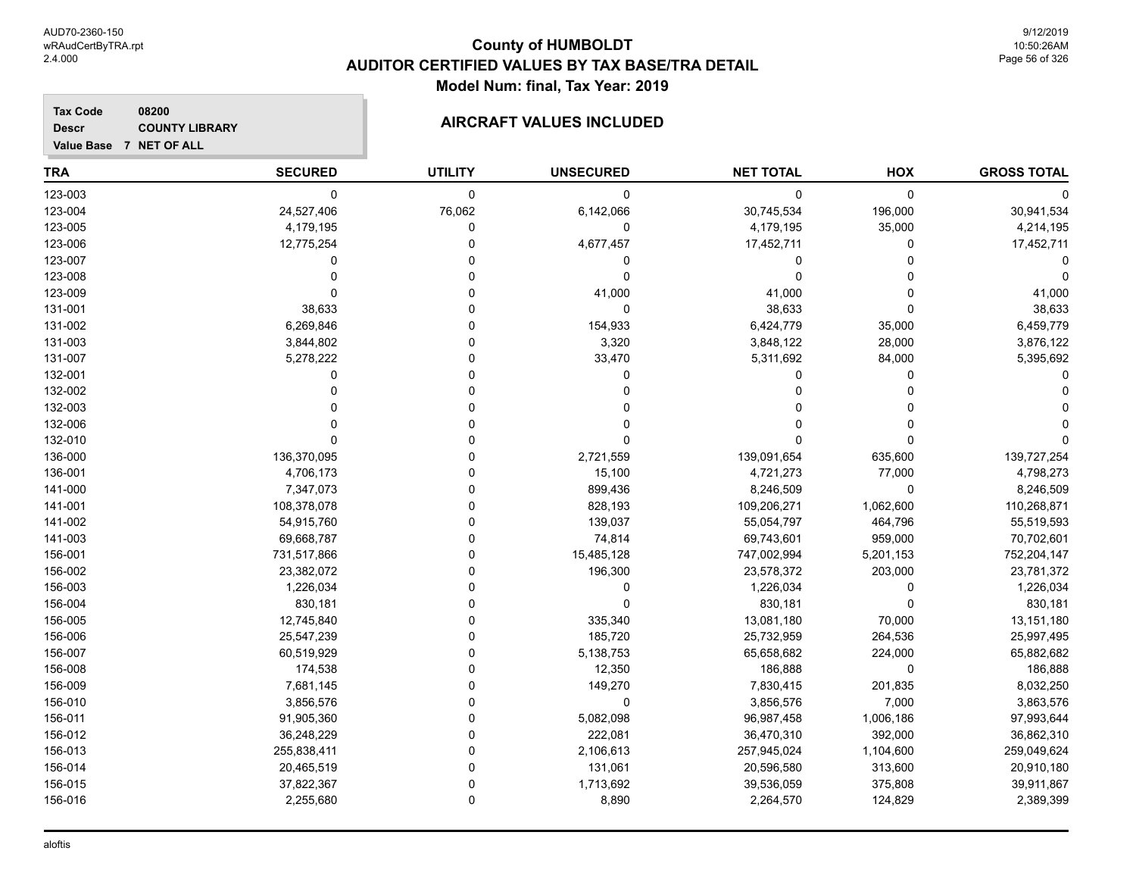#### **TRA SECURED UTILITY UNSECURED HOX Tax Code Value Base 7 NET OF ALL 08200 GROSS TOTAL NET TOTAL Descr COUNTY LIBRARY COUNTY LIBRARY AIRCRAFT VALUES INCLUDED** 123-003 0 0 0 0 0 0 123-004 24,527,406 76,062 6,142,066 30,745,534 196,000 30,941,534 123-005 4,179,195 0 0 4,179,195 35,000 4,214,195 123-006 12,775,254 0 4,677,457 17,452,711 0 17,452,711 123-007 0 0 0 0 0 0 123-008 0 0 0 0 0 0 123-009 0 0 41,000 41,000 0 41,000 131-001 38,633 0 0 38,633 0 38,633 131-002 6,269,846 0 154,933 6,424,779 35,000 6,459,779 131-003 3,844,802 0 3,320 3,848,122 28,000 3,876,122 131-007 5,278,222 0 33,470 5,311,692 84,000 5,395,692 132-001 0 0 0 0 0 0 132-002 0 0 0 0 0 0 132-003 0 0 0 0 0 0 132-006 0 0 0 0 0 0 132-010 0 0 0 0 0 0 136-000 136,370,095 0 2,721,559 139,091,654 635,600 139,727,254 136-001 4,706,173 0 15,100 4,721,273 77,000 4,798,273 141-000 7,347,073 0 899,436 8,246,509 0 8,246,509 141-001 108,378,078 0 828,193 109,206,271 1,062,600 110,268,871 141-002 54,915,760 0 139,037 55,054,797 464,796 55,519,593 141-003 69,668,787 0 74,814 69,743,601 959,000 70,702,601 156-001 731,517,866 0 15,485,128 747,002,994 5,201,153 752,204,147 156-002 23,382,072 0 196,300 23,578,372 203,000 23,781,372 156-003 1,226,034 0 0 1,226,034 0 1,226,034 156-004 830,181 0 0 830,181 0 830,181 156-005 12,745,840 0 335,340 13,081,180 70,000 13,151,180 156-006 25,547,239 0 185,720 25,732,959 264,536 25,997,495 156-007 60,519,929 0 5,138,753 65,658,682 224,000 65,882,682 156-008 174,538 0 12,350 186,888 0 186,888 156-009 7,681,145 0 149,270 7,830,415 201,835 8,032,250 156-010 3,856,576 0 0 3,856,576 7,000 3,863,576 156-011 91,905,360 0 5,082,098 96,987,458 1,006,186 97,993,644 156-012 36,248,229 0 222,081 36,470,310 392,000 36,862,310 156-013 255,838,411 0 2,106,613 257,945,024 1,104,600 259,049,624

156-014 20,465,519 0 131,061 20,596,580 313,600 20,910,180 156-015 37,822,367 0 1,713,692 39,536,059 375,808 39,911,867 156-016 2,255,680 0 8,890 2,264,570 124,829 2,389,399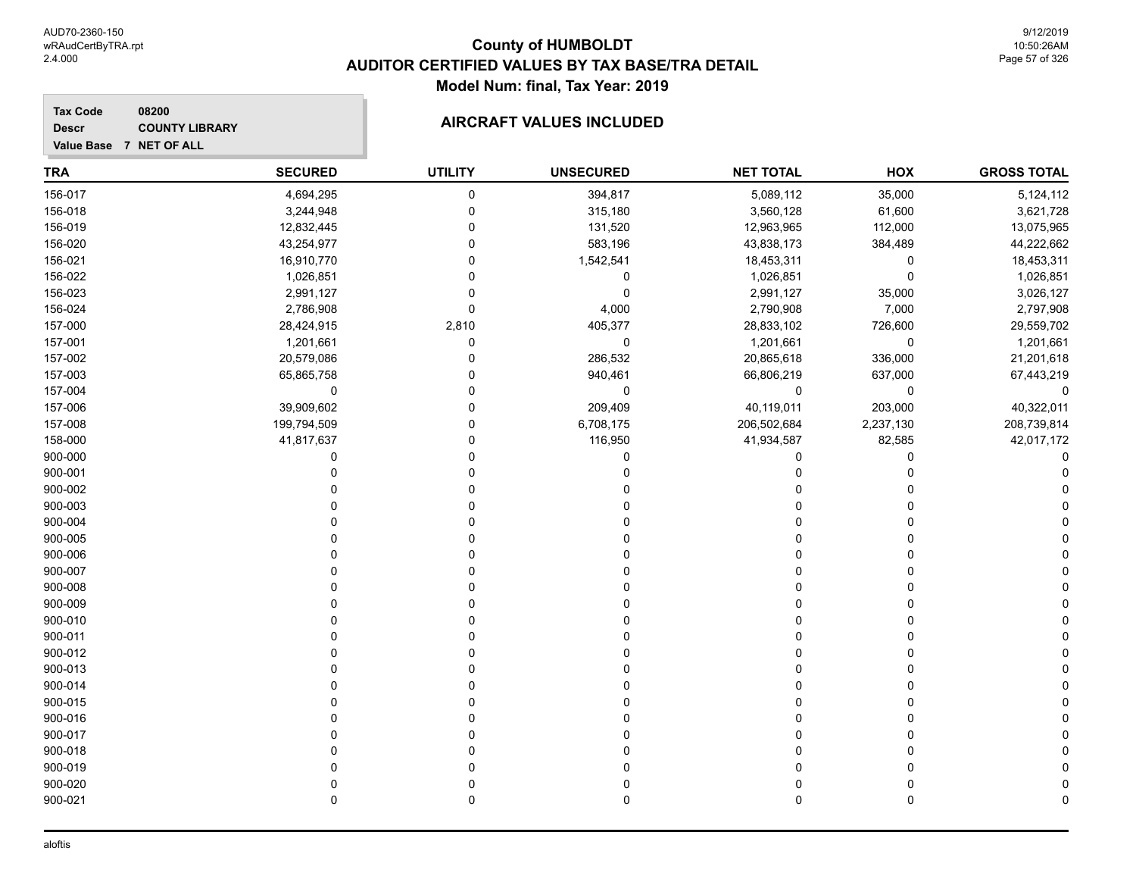**Value Base 7 NET OF ALL**

**Tax Code**

**Descr**

# **County of HUMBOLDT AUDITOR CERTIFIED VALUES BY TAX BASE/TRA DETAIL Model Num: final, Tax Year: 2019**

#### **08200 COUNTY LIBRARY COUNTY LIBRARY COUNTY LIBRARY**

| <b>TRA</b> | <b>SECURED</b> | <b>UTILITY</b> | <b>UNSECURED</b> | <b>NET TOTAL</b> | HOX         | <b>GROSS TOTAL</b> |
|------------|----------------|----------------|------------------|------------------|-------------|--------------------|
| 156-017    | 4,694,295      | 0              | 394,817          | 5,089,112        | 35,000      | 5,124,112          |
| 156-018    | 3,244,948      | $\mathbf 0$    | 315,180          | 3,560,128        | 61,600      | 3,621,728          |
| 156-019    | 12,832,445     | $\Omega$       | 131,520          | 12,963,965       | 112,000     | 13,075,965         |
| 156-020    | 43,254,977     | $\Omega$       | 583,196          | 43,838,173       | 384,489     | 44,222,662         |
| 156-021    | 16,910,770     | $\Omega$       | 1,542,541        | 18,453,311       | $\mathbf 0$ | 18,453,311         |
| 156-022    | 1,026,851      | 0              | 0                | 1,026,851        | 0           | 1,026,851          |
| 156-023    | 2,991,127      | 0              | 0                | 2,991,127        | 35,000      | 3,026,127          |
| 156-024    | 2,786,908      | 0              | 4,000            | 2,790,908        | 7,000       | 2,797,908          |
| 157-000    | 28,424,915     | 2,810          | 405,377          | 28,833,102       | 726,600     | 29,559,702         |
| 157-001    | 1,201,661      | $\mathbf 0$    | $\mathbf 0$      | 1,201,661        | $\pmb{0}$   | 1,201,661          |
| 157-002    | 20,579,086     | $\Omega$       | 286,532          | 20,865,618       | 336,000     | 21,201,618         |
| 157-003    | 65,865,758     | $\Omega$       | 940,461          | 66,806,219       | 637,000     | 67,443,219         |
| 157-004    | 0              | $\Omega$       | 0                | 0                | $\mathbf 0$ | 0                  |
| 157-006    | 39,909,602     | $\Omega$       | 209,409          | 40,119,011       | 203,000     | 40,322,011         |
| 157-008    | 199,794,509    | $\Omega$       | 6,708,175        | 206,502,684      | 2,237,130   | 208,739,814        |
| 158-000    | 41,817,637     | 0              | 116,950          | 41,934,587       | 82,585      | 42,017,172         |
| 900-000    | 0              | $\Omega$       | 0                | 0                | $\mathbf 0$ |                    |
| 900-001    | $\Omega$       | $\Omega$       | 0                | 0                | $\Omega$    |                    |
| 900-002    |                | $\Omega$       |                  | 0                | $\Omega$    |                    |
| 900-003    | 0              |                |                  | 0                | O           |                    |
| 900-004    | $\Omega$       |                | U                | 0                | $\Omega$    |                    |
| 900-005    | $\Omega$       | $\Omega$       | U                | 0                | $\Omega$    |                    |
| 900-006    |                | $\Omega$       |                  | 0                | $\Omega$    |                    |
| 900-007    | n              | $\Omega$       |                  | 0                | $\Omega$    |                    |
| 900-008    | ŋ              | n              |                  | 0                | $\Omega$    |                    |
| 900-009    |                | 0              |                  | 0                | 0           |                    |
| 900-010    |                | $\Omega$       |                  | 0                | $\mathbf 0$ |                    |
| 900-011    | $\Omega$       | $\Omega$       |                  | 0                | $\Omega$    |                    |
| 900-012    | $\Omega$       | $\Omega$       |                  | 0                | $\Omega$    |                    |
| 900-013    | $\Omega$       | $\Omega$       | U                | 0                | $\Omega$    |                    |
| 900-014    | $\Omega$       | $\Omega$       | O                | 0                | $\Omega$    |                    |
| 900-015    | $\Omega$       | $\Omega$       | U                | 0                | $\Omega$    |                    |
| 900-016    |                |                |                  | 0                | 0           |                    |
| 900-017    | U              |                |                  | 0                | $\Omega$    |                    |
| 900-018    |                |                |                  | 0                | 0           |                    |
| 900-019    | 0              |                |                  | 0                | $\Omega$    |                    |
| 900-020    |                |                |                  | 0                | $\mathbf 0$ |                    |
| 900-021    | $\Omega$       | $\mathbf{0}$   | $\Omega$         | 0                | $\mathbf 0$ | 0                  |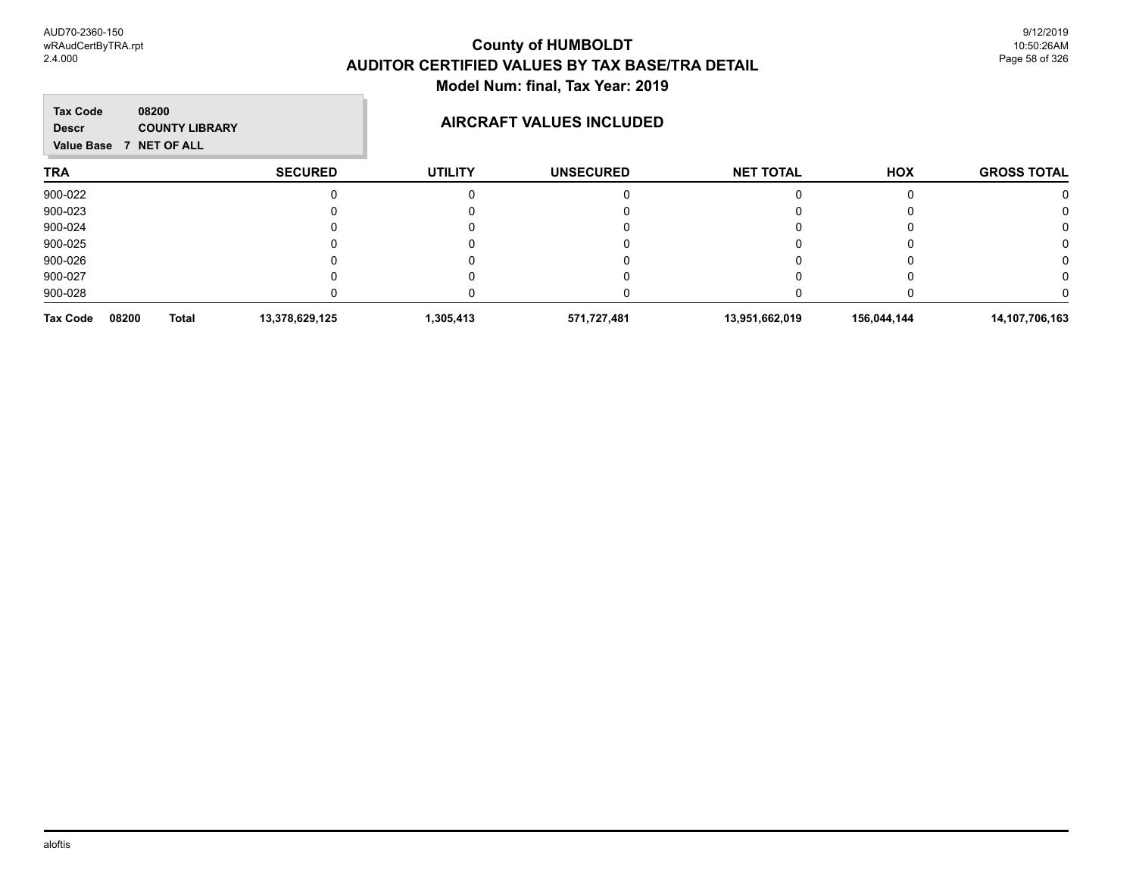| <b>Tax Code</b><br><b>Descr</b> | 08200<br><b>COUNTY LIBRARY</b><br>Value Base 7 NET OF ALL |              |                |                | <b>AIRCRAFT VALUES INCLUDED</b> |                  |             |                    |
|---------------------------------|-----------------------------------------------------------|--------------|----------------|----------------|---------------------------------|------------------|-------------|--------------------|
| <b>TRA</b>                      |                                                           |              | <b>SECURED</b> | <b>UTILITY</b> | <b>UNSECURED</b>                | <b>NET TOTAL</b> | HOX         | <b>GROSS TOTAL</b> |
| 900-022                         |                                                           |              |                |                |                                 |                  |             |                    |
| 900-023                         |                                                           |              |                |                |                                 |                  |             |                    |
| 900-024                         |                                                           |              |                |                |                                 |                  |             |                    |
| 900-025                         |                                                           |              |                |                |                                 |                  |             |                    |
| 900-026                         |                                                           |              |                |                |                                 |                  |             |                    |
| 900-027                         |                                                           |              |                |                |                                 |                  |             |                    |
| 900-028                         |                                                           |              |                |                |                                 |                  |             |                    |
| <b>Tax Code</b>                 | 08200                                                     | <b>Total</b> | 13,378,629,125 | 1,305,413      | 571,727,481                     | 13,951,662,019   | 156,044,144 | 14,107,706,163     |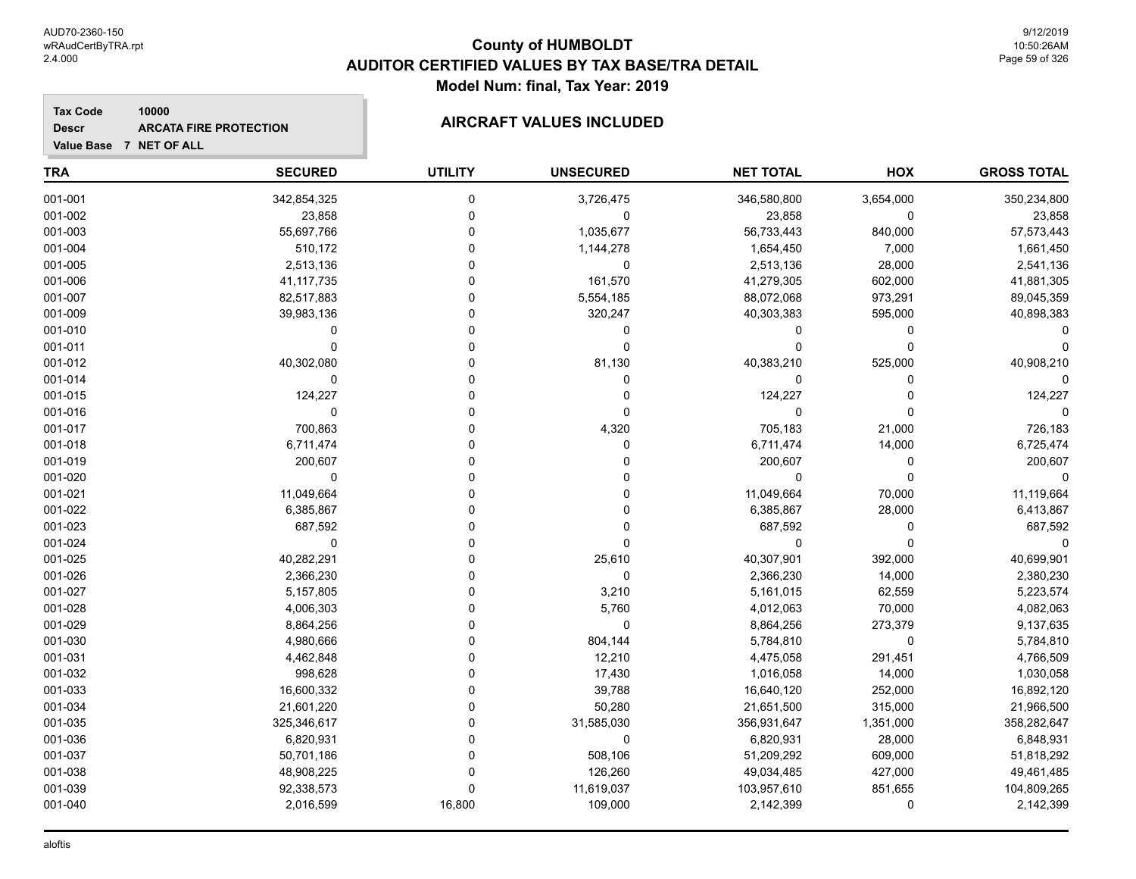**Descr**

# **County of HUMBOLDT AUDITOR CERTIFIED VALUES BY TAX BASE/TRA DETAIL Model Num: final, Tax Year: 2019**

# **Value Base 7 NET OF ALL 10000 ARCATA FIRE PROTECTION AIRCRAFT VALUES INCLUDED**

| <b>TRA</b> | <b>SECURED</b> | <b>UTILITY</b> | <b>UNSECURED</b> | <b>NET TOTAL</b> | <b>HOX</b>  | <b>GROSS TOTAL</b> |
|------------|----------------|----------------|------------------|------------------|-------------|--------------------|
| 001-001    | 342,854,325    | 0              | 3,726,475        | 346,580,800      | 3,654,000   | 350,234,800        |
| 001-002    | 23,858         | 0              | 0                | 23,858           | 0           | 23,858             |
| 001-003    | 55,697,766     | $\mathbf 0$    | 1,035,677        | 56,733,443       | 840,000     | 57,573,443         |
| 001-004    | 510,172        | $\mathbf 0$    | 1,144,278        | 1,654,450        | 7,000       | 1,661,450          |
| 001-005    | 2,513,136      | $\Omega$       | $\mathbf 0$      | 2,513,136        | 28,000      | 2,541,136          |
| 001-006    | 41, 117, 735   | $\Omega$       | 161,570          | 41,279,305       | 602,000     | 41,881,305         |
| 001-007    | 82,517,883     | $\Omega$       | 5,554,185        | 88,072,068       | 973,291     | 89,045,359         |
| 001-009    | 39,983,136     | $\Omega$       | 320,247          | 40,303,383       | 595,000     | 40,898,383         |
| 001-010    | $\mathbf 0$    | $\Omega$       | $\mathbf 0$      | 0                | 0           |                    |
| 001-011    | $\mathbf 0$    | $\Omega$       | $\mathbf 0$      | $\mathbf 0$      | $\mathbf 0$ |                    |
| 001-012    | 40,302,080     | $\Omega$       | 81,130           | 40,383,210       | 525,000     | 40,908,210         |
| 001-014    | $\mathbf 0$    | $\Omega$       | 0                | $\Omega$         | $\Omega$    |                    |
| 001-015    | 124,227        | $\Omega$       | 0                | 124,227          | $\Omega$    | 124,227            |
| 001-016    | $\mathbf 0$    | $\Omega$       | $\mathbf 0$      | $\mathbf 0$      | $\Omega$    |                    |
| 001-017    | 700,863        | $\Omega$       | 4,320            | 705,183          | 21,000      | 726,183            |
| 001-018    | 6,711,474      | $\Omega$       | 0                | 6,711,474        | 14,000      | 6,725,474          |
| 001-019    | 200,607        | $\mathbf 0$    | $\Omega$         | 200,607          | $\pmb{0}$   | 200,607            |
| 001-020    | $\mathbf 0$    | $\Omega$       | $\Omega$         | 0                | $\pmb{0}$   | $\mathbf 0$        |
| 001-021    | 11,049,664     | $\Omega$       | $\mathbf 0$      | 11,049,664       | 70,000      | 11,119,664         |
| 001-022    | 6,385,867      | $\Omega$       | 0                | 6,385,867        | 28,000      | 6,413,867          |
| 001-023    | 687,592        | $\Omega$       | $\mathbf 0$      | 687,592          | $\mathbf 0$ | 687,592            |
| 001-024    | $\mathbf 0$    | $\Omega$       | $\mathbf 0$      | $\mathbf 0$      | $\mathbf 0$ |                    |
| 001-025    | 40,282,291     | $\Omega$       | 25,610           | 40,307,901       | 392,000     | 40,699,901         |
| 001-026    | 2,366,230      | $\Omega$       | $\pmb{0}$        | 2,366,230        | 14,000      | 2,380,230          |
| 001-027    | 5,157,805      | $\Omega$       | 3,210            | 5,161,015        | 62,559      | 5,223,574          |
| 001-028    | 4,006,303      | $\Omega$       | 5,760            | 4,012,063        | 70,000      | 4,082,063          |
| 001-029    | 8,864,256      | $\Omega$       | 0                | 8,864,256        | 273,379     | 9,137,635          |
| 001-030    | 4,980,666      | $\Omega$       | 804,144          | 5,784,810        | $\mathbf 0$ | 5,784,810          |
| 001-031    | 4,462,848      | $\Omega$       | 12,210           | 4,475,058        | 291,451     | 4,766,509          |
| 001-032    | 998,628        | $\Omega$       | 17,430           | 1,016,058        | 14,000      | 1,030,058          |
| 001-033    | 16,600,332     | $\Omega$       | 39,788           | 16,640,120       | 252,000     | 16,892,120         |
| 001-034    | 21,601,220     | $\Omega$       | 50,280           | 21,651,500       | 315,000     | 21,966,500         |
| 001-035    | 325,346,617    | $\Omega$       | 31,585,030       | 356,931,647      | 1,351,000   | 358,282,647        |
| 001-036    | 6,820,931      | $\Omega$       | $\mathbf 0$      | 6,820,931        | 28,000      | 6,848,931          |
| 001-037    | 50,701,186     | $\Omega$       | 508,106          | 51,209,292       | 609,000     | 51,818,292         |
| 001-038    | 48,908,225     | $\Omega$       | 126,260          | 49,034,485       | 427,000     | 49,461,485         |
| 001-039    | 92,338,573     | $\Omega$       | 11,619,037       | 103,957,610      | 851,655     | 104,809,265        |
| 001-040    | 2,016,599      | 16,800         | 109,000          | 2,142,399        | $\mathbf 0$ | 2,142,399          |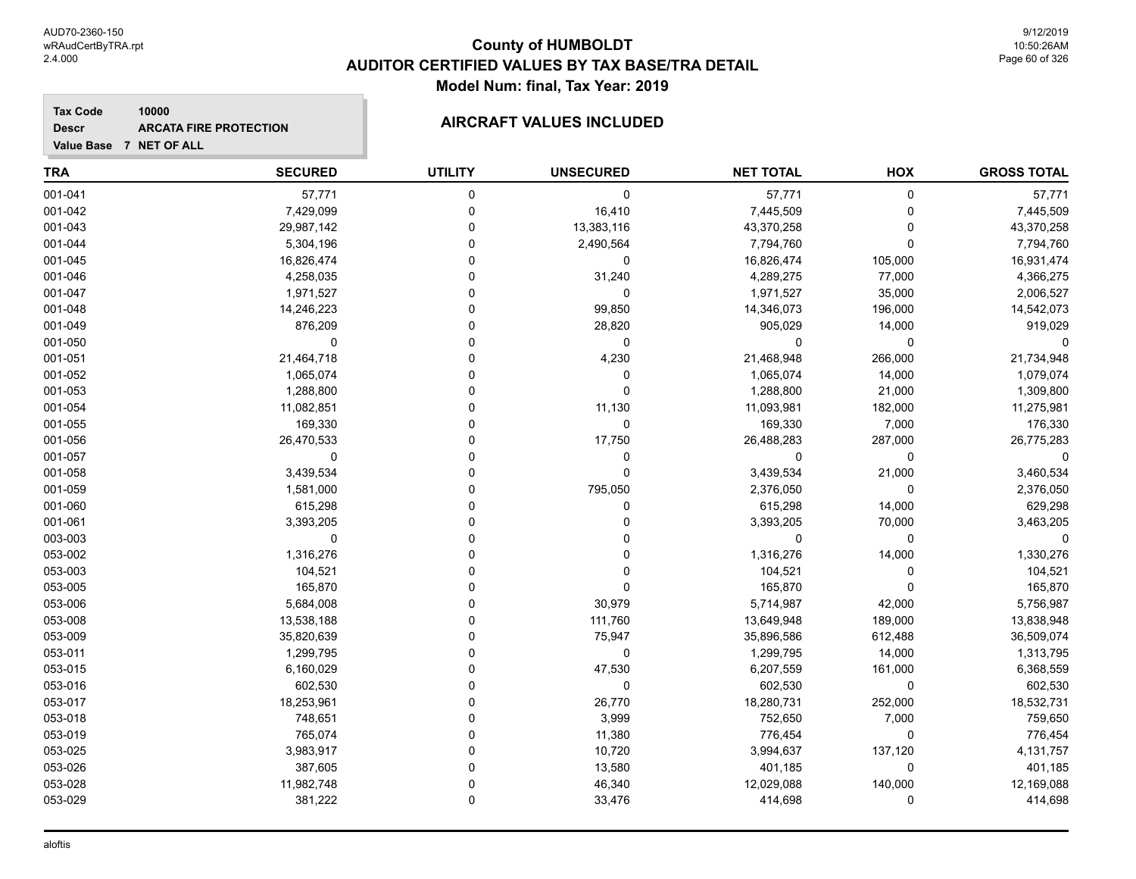#### **Tax Code 10000 Descr ARCATA FIRE PROTECTION AIRCRAFT VALUES INCLUDED**

| Value Base 7 NET OF ALL |                |                |                  |                  |          |                    |
|-------------------------|----------------|----------------|------------------|------------------|----------|--------------------|
| <b>TRA</b>              | <b>SECURED</b> | <b>UTILITY</b> | <b>UNSECURED</b> | <b>NET TOTAL</b> | HOX      | <b>GROSS TOTAL</b> |
| 001-041                 | 57,771         | $\pmb{0}$      | $\mathbf 0$      | 57,771           | 0        | 57,771             |
| 001-042                 | 7,429,099      | 0              | 16,410           | 7,445,509        | 0        | 7,445,509          |
| 001-043                 | 29,987,142     | $\Omega$       | 13,383,116       | 43,370,258       | 0        | 43,370,258         |
| 001-044                 | 5,304,196      | $\Omega$       | 2,490,564        | 7,794,760        | 0        | 7,794,760          |
| 001-045                 | 16,826,474     | U              | 0                | 16,826,474       | 105,000  | 16,931,474         |
| 001-046                 | 4,258,035      |                | 31,240           | 4,289,275        | 77,000   | 4,366,275          |
| 001-047                 | 1,971,527      |                | $\mathbf 0$      | 1,971,527        | 35,000   | 2,006,527          |
| 001-048                 | 14,246,223     |                | 99,850           | 14,346,073       | 196,000  | 14,542,073         |
| 001-049                 | 876,209        |                | 28,820           | 905,029          | 14,000   | 919,029            |
| 001-050                 | $\mathbf 0$    | ŋ              | $\mathbf 0$      | $\mathbf 0$      | 0        |                    |
| 001-051                 | 21,464,718     | ŋ              | 4,230            | 21,468,948       | 266,000  | 21,734,948         |
| 001-052                 | 1,065,074      | ŋ              | 0                | 1,065,074        | 14,000   | 1,079,074          |
| 001-053                 | 1,288,800      |                | 0                | 1,288,800        | 21,000   | 1,309,800          |
| 001-054                 | 11,082,851     |                | 11,130           | 11,093,981       | 182,000  | 11,275,981         |
| 001-055                 | 169,330        |                | $\mathbf 0$      | 169,330          | 7,000    | 176,330            |
| 001-056                 | 26,470,533     |                | 17,750           | 26,488,283       | 287,000  | 26,775,283         |
| 001-057                 | $\mathbf 0$    | O              | 0                | 0                | 0        | 0                  |
| 001-058                 | 3,439,534      |                | $\mathbf 0$      | 3,439,534        | 21,000   | 3,460,534          |
| 001-059                 | 1,581,000      |                | 795,050          | 2,376,050        | 0        | 2,376,050          |
| 001-060                 | 615,298        |                | 0                | 615,298          | 14,000   | 629,298            |
| 001-061                 | 3,393,205      |                |                  | 3,393,205        | 70,000   | 3,463,205          |
| 003-003                 | $\mathbf 0$    | O              |                  | $\mathbf 0$      | 0        |                    |
| 053-002                 | 1,316,276      | U              | $\Omega$         | 1,316,276        | 14,000   | 1,330,276          |
| 053-003                 | 104,521        |                | $\Omega$         | 104,521          | 0        | 104,521            |
| 053-005                 | 165,870        | ŋ              | 0                | 165,870          | 0        | 165,870            |
| 053-006                 | 5,684,008      |                | 30,979           | 5,714,987        | 42,000   | 5,756,987          |
| 053-008                 | 13,538,188     |                | 111,760          | 13,649,948       | 189,000  | 13,838,948         |
| 053-009                 | 35,820,639     |                | 75,947           | 35,896,586       | 612,488  | 36,509,074         |
| 053-011                 | 1,299,795      | O              | 0                | 1,299,795        | 14,000   | 1,313,795          |
| 053-015                 | 6,160,029      |                | 47,530           | 6,207,559        | 161,000  | 6,368,559          |
| 053-016                 | 602,530        |                | $\mathbf 0$      | 602,530          | 0        | 602,530            |
| 053-017                 | 18,253,961     |                | 26,770           | 18,280,731       | 252,000  | 18,532,731         |
| 053-018                 | 748,651        |                | 3,999            | 752,650          | 7,000    | 759,650            |
| 053-019                 | 765,074        |                | 11,380           | 776,454          | 0        | 776,454            |
| 053-025                 | 3,983,917      | 0              | 10,720           | 3,994,637        | 137,120  | 4,131,757          |
| 053-026                 | 387,605        | ŋ              | 13,580           | 401,185          | 0        | 401,185            |
| 053-028                 | 11,982,748     | ŋ              | 46,340           | 12,029,088       | 140,000  | 12,169,088         |
| 053-029                 | 381,222        | $\Omega$       | 33,476           | 414,698          | $\Omega$ | 414,698            |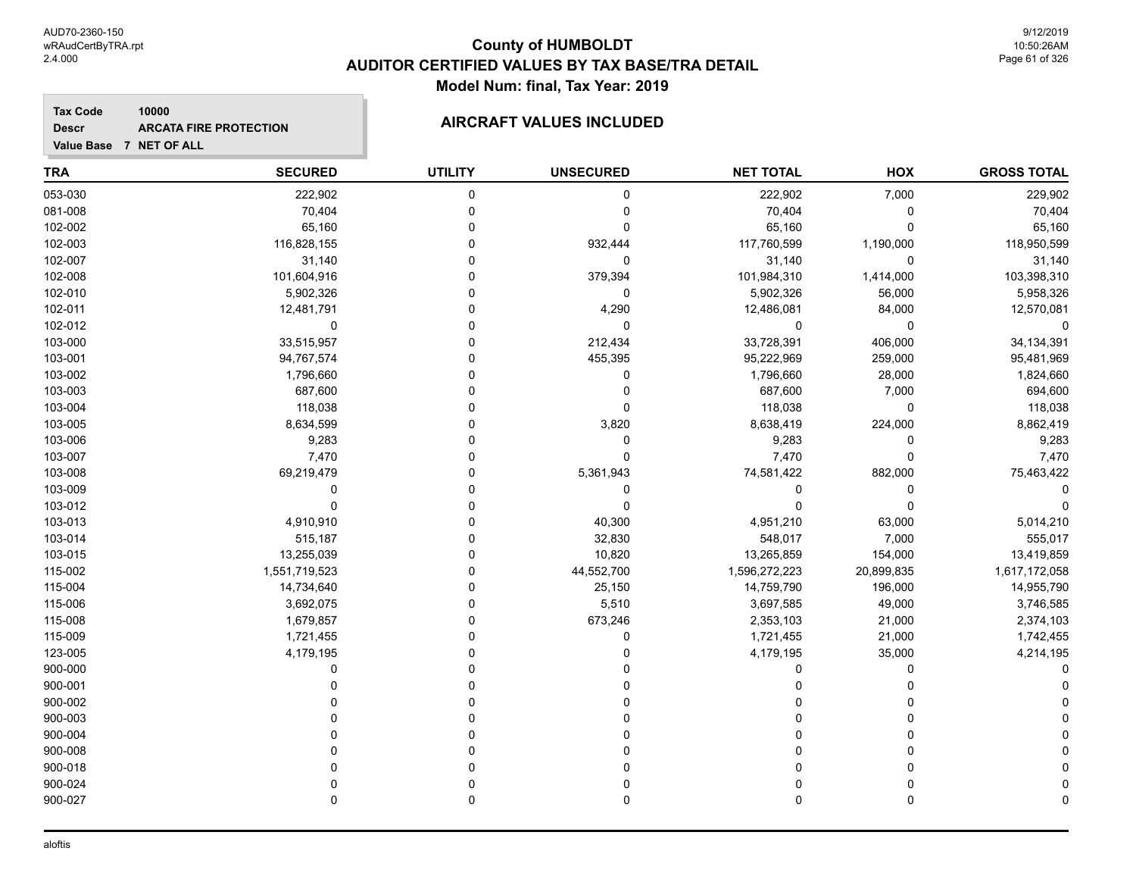#### **Tax Code 10000 Descr**

# **ARCATA FIRE PROTECTION AIRCRAFT VALUES INCLUDED**

**Value Base 7 NET OF ALL**

| <b>TRA</b> | <b>SECURED</b> | <b>UTILITY</b> | <b>UNSECURED</b> | <b>NET TOTAL</b> | <b>HOX</b>  | <b>GROSS TOTAL</b> |
|------------|----------------|----------------|------------------|------------------|-------------|--------------------|
| 053-030    | 222,902        | $\pmb{0}$      | $\mathbf 0$      | 222,902          | 7,000       | 229,902            |
| 081-008    | 70,404         | 0              | 0                | 70,404           | 0           | 70,404             |
| 102-002    | 65,160         | $\mathbf 0$    | $\mathbf 0$      | 65,160           | $\Omega$    | 65,160             |
| 102-003    | 116,828,155    | $\Omega$       | 932,444          | 117,760,599      | 1,190,000   | 118,950,599        |
| 102-007    | 31,140         | $\Omega$       | $\mathbf 0$      | 31,140           | $\Omega$    | 31,140             |
| 102-008    | 101,604,916    | $\Omega$       | 379,394          | 101,984,310      | 1,414,000   | 103,398,310        |
| 102-010    | 5,902,326      | $\mathbf 0$    | $\mathbf 0$      | 5,902,326        | 56,000      | 5,958,326          |
| 102-011    | 12,481,791     | $\Omega$       | 4,290            | 12,486,081       | 84,000      | 12,570,081         |
| 102-012    | $\mathbf 0$    | $\Omega$       | $\mathbf 0$      | 0                | $\mathbf 0$ | $\mathbf 0$        |
| 103-000    | 33,515,957     | $\Omega$       | 212,434          | 33,728,391       | 406,000     | 34,134,391         |
| 103-001    | 94,767,574     | $\Omega$       | 455,395          | 95,222,969       | 259,000     | 95,481,969         |
| 103-002    | 1,796,660      | $\Omega$       | $\mathbf 0$      | 1,796,660        | 28,000      | 1,824,660          |
| 103-003    | 687,600        | $\Omega$       | 0                | 687,600          | 7,000       | 694,600            |
| 103-004    | 118,038        | $\Omega$       | 0                | 118,038          | 0           | 118,038            |
| 103-005    | 8,634,599      | $\mathbf 0$    | 3,820            | 8,638,419        | 224,000     | 8,862,419          |
| 103-006    | 9,283          | $\Omega$       | 0                | 9,283            | $\mathbf 0$ | 9,283              |
| 103-007    | 7,470          | $\Omega$       | $\mathbf 0$      | 7,470            | $\Omega$    | 7,470              |
| 103-008    | 69,219,479     | $\Omega$       | 5,361,943        | 74,581,422       | 882,000     | 75,463,422         |
| 103-009    | 0              | $\Omega$       | 0                | 0                | 0           | 0                  |
| 103-012    | $\mathbf 0$    | $\Omega$       | $\mathbf 0$      | $\Omega$         | 0           | $\Omega$           |
| 103-013    | 4,910,910      | $\Omega$       | 40,300           | 4,951,210        | 63,000      | 5,014,210          |
| 103-014    | 515,187        | $\Omega$       | 32,830           | 548,017          | 7,000       | 555,017            |
| 103-015    | 13,255,039     | $\mathbf 0$    | 10,820           | 13,265,859       | 154,000     | 13,419,859         |
| 115-002    | 1,551,719,523  | $\Omega$       | 44,552,700       | 1,596,272,223    | 20,899,835  | 1,617,172,058      |
| 115-004    | 14,734,640     | $\Omega$       | 25,150           | 14,759,790       | 196,000     | 14,955,790         |
| 115-006    | 3,692,075      | $\Omega$       | 5,510            | 3,697,585        | 49,000      | 3,746,585          |
| 115-008    | 1,679,857      | $\mathbf 0$    | 673,246          | 2,353,103        | 21,000      | 2,374,103          |
| 115-009    | 1,721,455      | $\Omega$       | 0                | 1,721,455        | 21,000      | 1,742,455          |
| 123-005    | 4,179,195      | $\Omega$       | 0                | 4,179,195        | 35,000      | 4,214,195          |
| 900-000    | 0              | $\Omega$       | 0                | 0                | 0           |                    |
| 900-001    | 0              | $\Omega$       | 0                | 0                | 0           |                    |
| 900-002    |                | $\Omega$       |                  | 0                | $\Omega$    |                    |
| 900-003    |                | $\Omega$       |                  | 0                | $\Omega$    |                    |
| 900-004    |                | $\Omega$       | $\Omega$         | 0                | $\Omega$    |                    |
| 900-008    |                | $\Omega$       | 0                | 0                | $\Omega$    |                    |
| 900-018    | $\Omega$       | $\Omega$       | $\mathbf 0$      | 0                | $\Omega$    |                    |
| 900-024    | $\Omega$       | 0              | 0                | 0                | 0           |                    |
| 900-027    | $\mathbf 0$    | $\mathbf 0$    | $\mathbf 0$      | 0                | 0           |                    |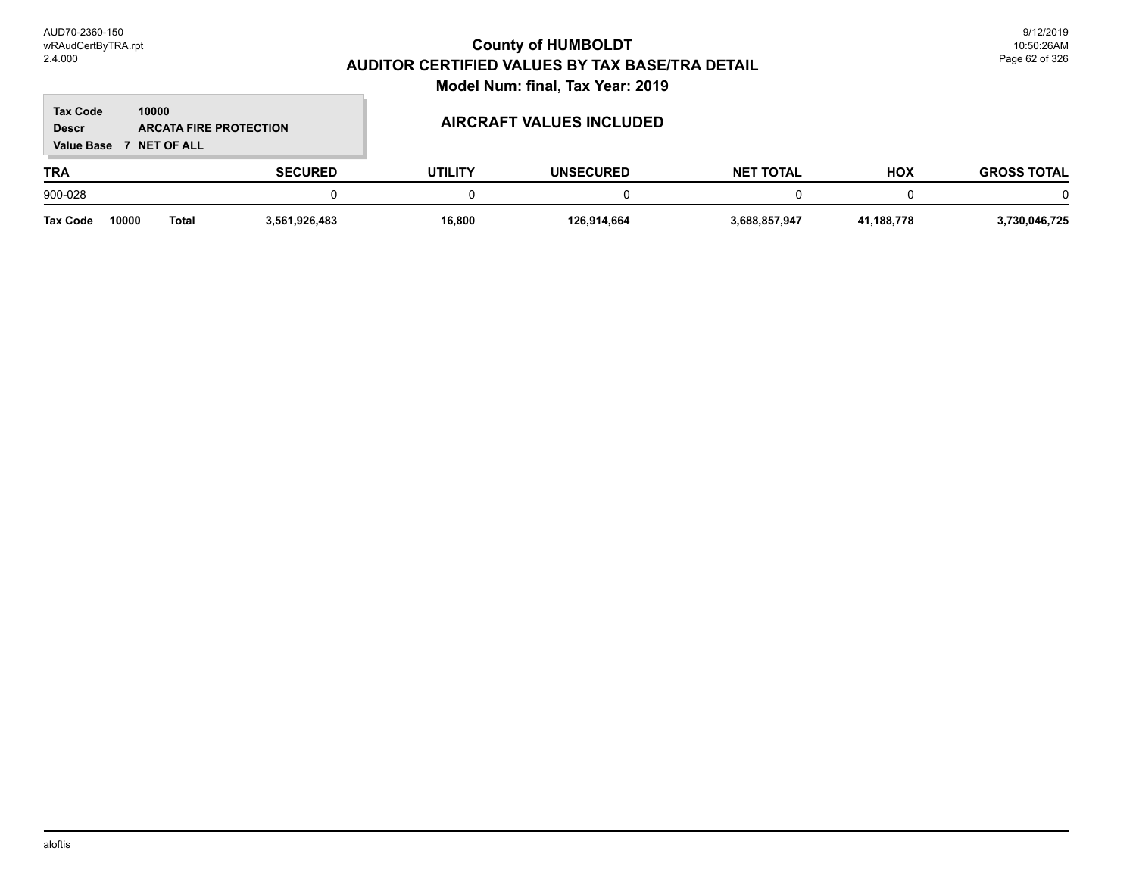#### **TRA SECURED UTILITY UNSECURED HOX Tax Code Value Base 7 NET OF ALL 10000 GROSS TOTAL NET TOTAL Descr ARCATA FIRE PROTECTION AIRCRAFT VALUES INCLUDED** 900-028 0 0 0 0 0 0 **Tax Code 10000 Total 3,561,926,483 16,800 126,914,664 3,688,857,947 41,188,778 3,730,046,725**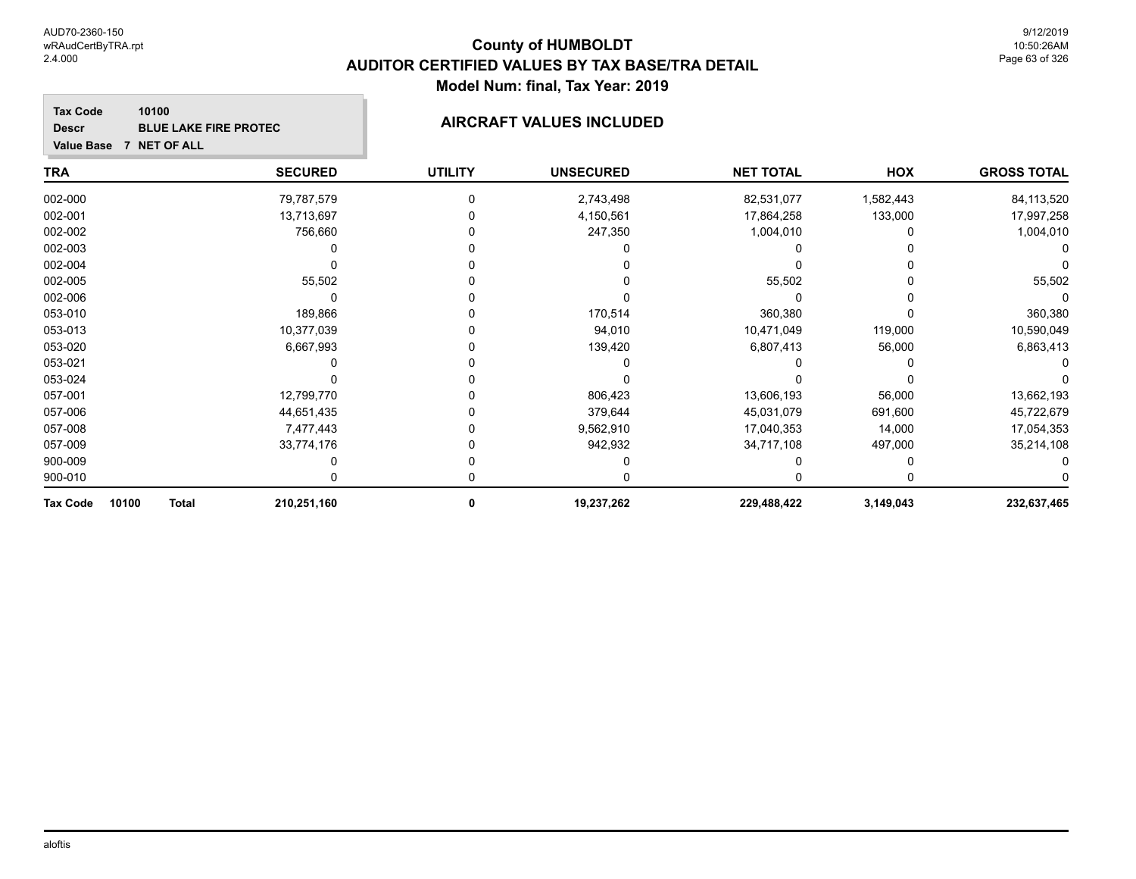| <b>Tax Code</b><br><b>Descr</b><br><b>Value Base</b> | 10100<br><b>BLUE LAKE FIRE PROTEC</b><br>7 NET OF ALL |                | <b>AIRCRAFT VALUES INCLUDED</b> |                  |           |                    |
|------------------------------------------------------|-------------------------------------------------------|----------------|---------------------------------|------------------|-----------|--------------------|
| TRA                                                  | <b>SECURED</b>                                        | <b>UTILITY</b> | <b>UNSECURED</b>                | <b>NET TOTAL</b> | HOX       | <b>GROSS TOTAL</b> |
| 002-000                                              | 79,787,579                                            |                | 2,743,498                       | 82,531,077       | 1,582,443 | 84,113,520         |
| 002-001                                              | 13,713,697                                            |                | 4,150,561                       | 17,864,258       | 133,000   | 17,997,258         |
| 002-002                                              | 756,660                                               |                | 247,350                         | 1,004,010        |           | 1,004,010          |
| 002-003                                              |                                                       |                |                                 |                  |           |                    |
| 002-004                                              |                                                       |                |                                 |                  |           |                    |
| 002-005                                              | 55,502                                                |                |                                 | 55,502           |           | 55,502             |
| 002-006                                              |                                                       |                |                                 |                  |           |                    |
| 053-010                                              | 189,866                                               |                | 170,514                         | 360,380          |           | 360,380            |
| 053-013                                              | 10,377,039                                            |                | 94,010                          | 10,471,049       | 119,000   | 10,590,049         |
| 053-020                                              | 6,667,993                                             |                | 139,420                         | 6,807,413        | 56,000    | 6,863,413          |
| 053-021                                              |                                                       |                |                                 |                  |           |                    |
| 053-024                                              |                                                       |                |                                 |                  |           |                    |
| 057-001                                              | 12,799,770                                            |                | 806,423                         | 13,606,193       | 56,000    | 13,662,193         |
| 057-006                                              | 44,651,435                                            |                | 379,644                         | 45,031,079       | 691,600   | 45,722,679         |
| 057-008                                              | 7,477,443                                             |                | 9,562,910                       | 17,040,353       | 14,000    | 17,054,353         |
| 057-009                                              | 33,774,176                                            |                | 942,932                         | 34,717,108       | 497,000   | 35,214,108         |
| 900-009                                              |                                                       |                |                                 |                  |           |                    |
| 900-010                                              |                                                       |                |                                 |                  |           |                    |

**Tax Code 10100 Total 210,251,160 0 19,237,262 229,488,422 3,149,043 232,637,465**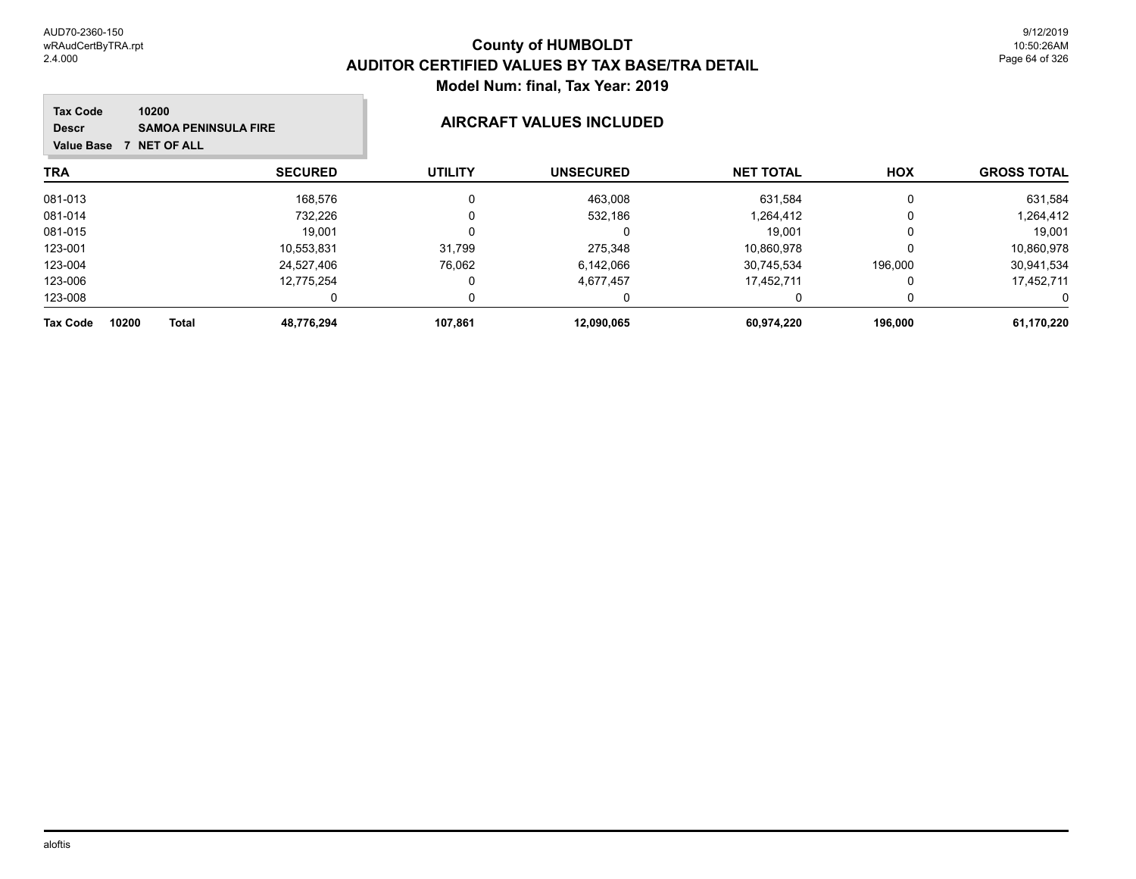#### **TRA SECURED UTILITY UNSECURED HOX Tax Code Value Base 7 NET OF ALL 10200 GROSS TOTAL NET TOTAL Descr SAMOA PENINSULA FIRE AIRCRAFT VALUES INCLUDED** 081-013 168,576 0 463,008 631,584 0 631,584 081-014 732,226 0 532,186 1,264,412 0 1,264,412 081-015 19,001 0 0 19,001 0 19,001 123-001 10,553,831 31,799 275,348 10,860,978 0 10,860,978 123-004 24,527,406 76,062 6,142,066 30,745,534 196,000 30,941,534 123-006 12,775,254 0 4,677,457 17,452,711 0 17,452,711 123-008 0 0 0 0 0 0 **Tax Code 10200 Total 48,776,294 107,861 12,090,065 60,974,220 196,000 61,170,220**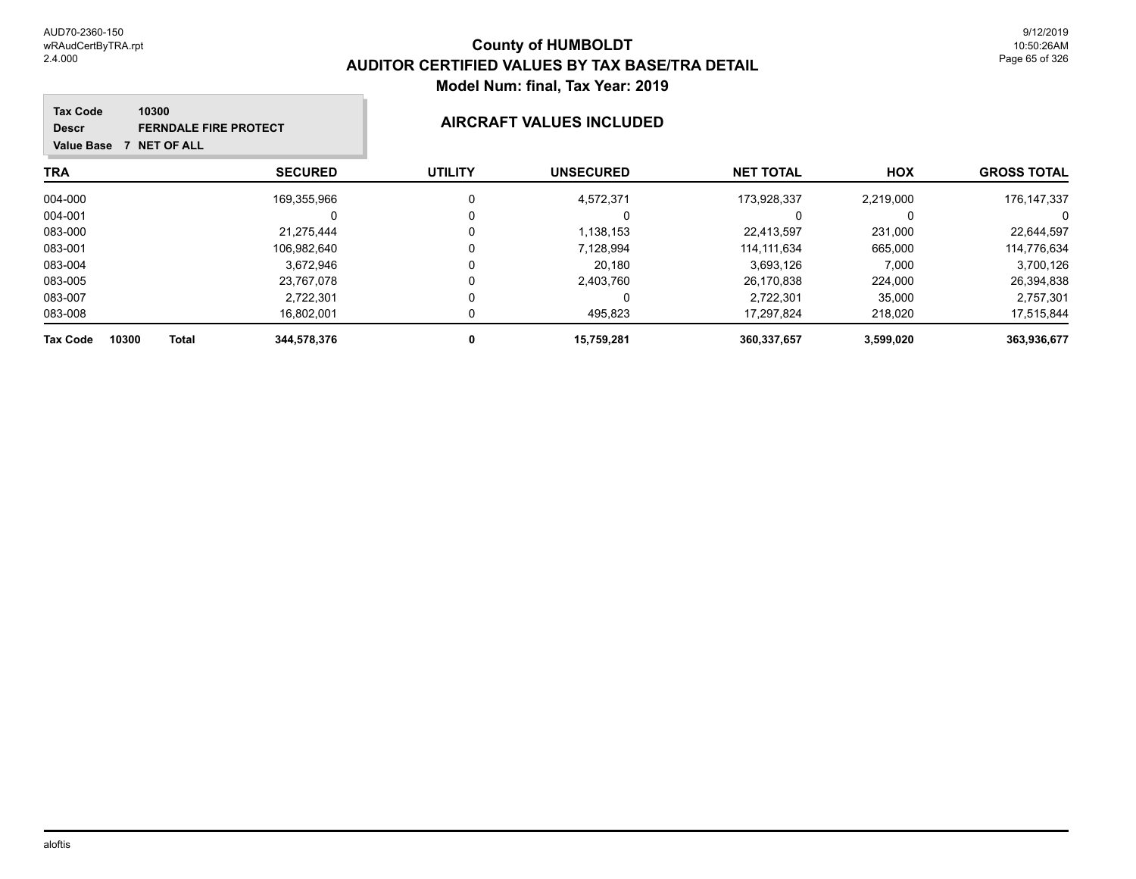| 10300<br><b>Tax Code</b><br><b>FERNDALE FIRE PROTECT</b><br><b>Descr</b><br>7 NET OF ALL<br><b>Value Base</b> |                | <b>AIRCRAFT VALUES INCLUDED</b> |                  |                  |            |                    |  |
|---------------------------------------------------------------------------------------------------------------|----------------|---------------------------------|------------------|------------------|------------|--------------------|--|
| TRA                                                                                                           | <b>SECURED</b> | <b>UTILITY</b>                  | <b>UNSECURED</b> | <b>NET TOTAL</b> | <b>HOX</b> | <b>GROSS TOTAL</b> |  |
| 004-000                                                                                                       | 169,355,966    | 0                               | 4,572,371        | 173.928.337      | 2,219,000  | 176,147,337        |  |
| 004-001                                                                                                       |                | 0                               |                  |                  | $\Omega$   | 0                  |  |
| 083-000                                                                                                       | 21,275,444     | 0                               | 1,138,153        | 22,413,597       | 231,000    | 22,644,597         |  |
| 083-001                                                                                                       | 106,982,640    | 0                               | 7,128,994        | 114.111.634      | 665,000    | 114,776,634        |  |
| 083-004                                                                                                       | 3,672,946      | 0                               | 20,180           | 3,693,126        | 7,000      | 3,700,126          |  |
| 083-005                                                                                                       | 23,767,078     | 0                               | 2,403,760        | 26.170.838       | 224,000    | 26,394,838         |  |
| 083-007                                                                                                       | 2,722,301      | 0                               |                  | 2,722,301        | 35,000     | 2,757,301          |  |
| 083-008                                                                                                       | 16,802,001     |                                 | 495,823          | 17.297.824       | 218,020    | 17,515,844         |  |
| 10300<br><b>Tax Code</b><br><b>Total</b>                                                                      | 344,578,376    | 0                               | 15,759,281       | 360,337,657      | 3,599,020  | 363,936,677        |  |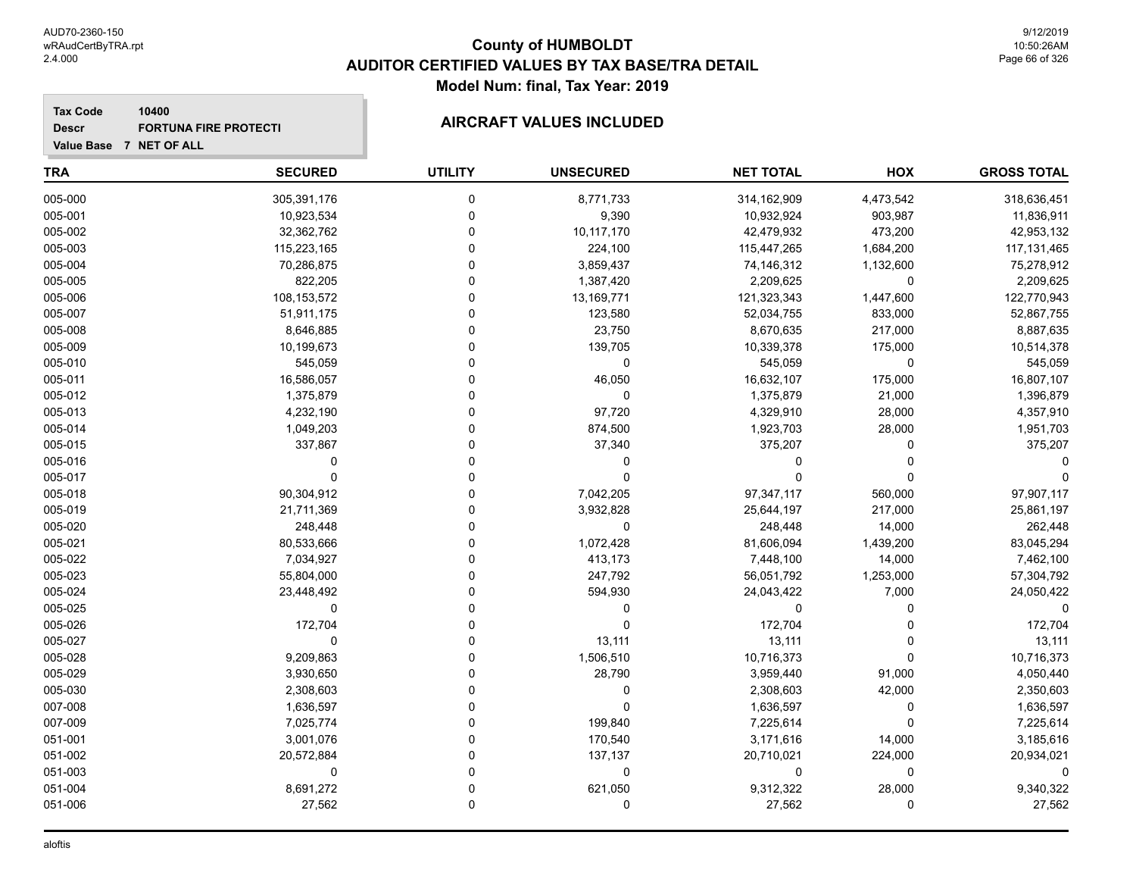**Descr**

# **County of HUMBOLDT AUDITOR CERTIFIED VALUES BY TAX BASE/TRA DETAIL Model Num: final, Tax Year: 2019**

#### **Value Base 7 NET OF ALL 10400** FORTUNA FIRE PROTECTI**NG AIRCRAFT VALUES INCLUDED**

| <b>TRA</b> | <b>SECURED</b> | <b>UTILITY</b> | <b>UNSECURED</b> | <b>NET TOTAL</b> | HOX         | <b>GROSS TOTAL</b> |
|------------|----------------|----------------|------------------|------------------|-------------|--------------------|
| 005-000    | 305,391,176    | 0              | 8,771,733        | 314,162,909      | 4,473,542   | 318,636,451        |
| 005-001    | 10,923,534     | 0              | 9,390            | 10,932,924       | 903,987     | 11,836,911         |
| 005-002    | 32,362,762     | $\mathbf 0$    | 10,117,170       | 42,479,932       | 473,200     | 42,953,132         |
| 005-003    | 115,223,165    | $\mathbf 0$    | 224,100          | 115,447,265      | 1,684,200   | 117, 131, 465      |
| 005-004    | 70,286,875     | $\Omega$       | 3,859,437        | 74,146,312       | 1,132,600   | 75,278,912         |
| 005-005    | 822,205        | $\Omega$       | 1,387,420        | 2,209,625        | 0           | 2,209,625          |
| 005-006    | 108,153,572    | $\Omega$       | 13,169,771       | 121,323,343      | 1,447,600   | 122,770,943        |
| 005-007    | 51,911,175     | $\Omega$       | 123,580          | 52,034,755       | 833,000     | 52,867,755         |
| 005-008    | 8,646,885      | $\Omega$       | 23,750           | 8,670,635        | 217,000     | 8,887,635          |
| 005-009    | 10,199,673     | $\mathbf 0$    | 139,705          | 10,339,378       | 175,000     | 10,514,378         |
| 005-010    | 545,059        | $\Omega$       | $\pmb{0}$        | 545,059          | $\mathbf 0$ | 545,059            |
| 005-011    | 16,586,057     | $\Omega$       | 46,050           | 16,632,107       | 175,000     | 16,807,107         |
| 005-012    | 1,375,879      | $\Omega$       | 0                | 1,375,879        | 21,000      | 1,396,879          |
| 005-013    | 4,232,190      | $\Omega$       | 97,720           | 4,329,910        | 28,000      | 4,357,910          |
| 005-014    | 1,049,203      | $\Omega$       | 874,500          | 1,923,703        | 28,000      | 1,951,703          |
| 005-015    | 337,867        | $\mathbf 0$    | 37,340           | 375,207          | 0           | 375,207            |
| 005-016    | $\Omega$       | $\mathbf 0$    | $\mathbf 0$      | $\Omega$         | 0           |                    |
| 005-017    | $\Omega$       | $\Omega$       | $\Omega$         | $\Omega$         | 0           |                    |
| 005-018    | 90,304,912     | $\Omega$       | 7,042,205        | 97, 347, 117     | 560,000     | 97,907,117         |
| 005-019    | 21,711,369     | $\Omega$       | 3,932,828        | 25,644,197       | 217,000     | 25,861,197         |
| 005-020    | 248,448        | $\Omega$       | 0                | 248,448          | 14,000      | 262,448            |
| 005-021    | 80,533,666     | $\Omega$       | 1,072,428        | 81,606,094       | 1,439,200   | 83,045,294         |
| 005-022    | 7,034,927      | $\Omega$       | 413,173          | 7,448,100        | 14,000      | 7,462,100          |
| 005-023    | 55,804,000     | $\mathbf 0$    | 247,792          | 56,051,792       | 1,253,000   | 57,304,792         |
| 005-024    | 23,448,492     | $\Omega$       | 594,930          | 24,043,422       | 7,000       | 24,050,422         |
| 005-025    | 0              | $\Omega$       | 0                | $\Omega$         | 0           | $\Omega$           |
| 005-026    | 172,704        | $\Omega$       | $\Omega$         | 172,704          | 0           | 172,704            |
| 005-027    | $\Omega$       | $\Omega$       | 13,111           | 13,111           | $\Omega$    | 13,111             |
| 005-028    | 9,209,863      | $\Omega$       | 1,506,510        | 10,716,373       | 0           | 10,716,373         |
| 005-029    | 3,930,650      | $\Omega$       | 28,790           | 3,959,440        | 91,000      | 4,050,440          |
| 005-030    | 2,308,603      | $\mathbf 0$    | 0                | 2,308,603        | 42,000      | 2,350,603          |
| 007-008    | 1,636,597      | $\Omega$       | $\Omega$         | 1,636,597        | 0           | 1,636,597          |
| 007-009    | 7,025,774      | $\Omega$       | 199,840          | 7,225,614        | 0           | 7,225,614          |
| 051-001    | 3,001,076      | $\Omega$       | 170,540          | 3,171,616        | 14,000      | 3,185,616          |
| 051-002    | 20,572,884     | $\Omega$       | 137,137          | 20,710,021       | 224,000     | 20,934,021         |
| 051-003    | 0              | $\Omega$       | 0                | $\Omega$         | 0           |                    |
| 051-004    | 8,691,272      | $\mathbf 0$    | 621,050          | 9,312,322        | 28,000      | 9,340,322          |
| 051-006    | 27,562         | $\mathsf 0$    | 0                | 27,562           | 0           | 27,562             |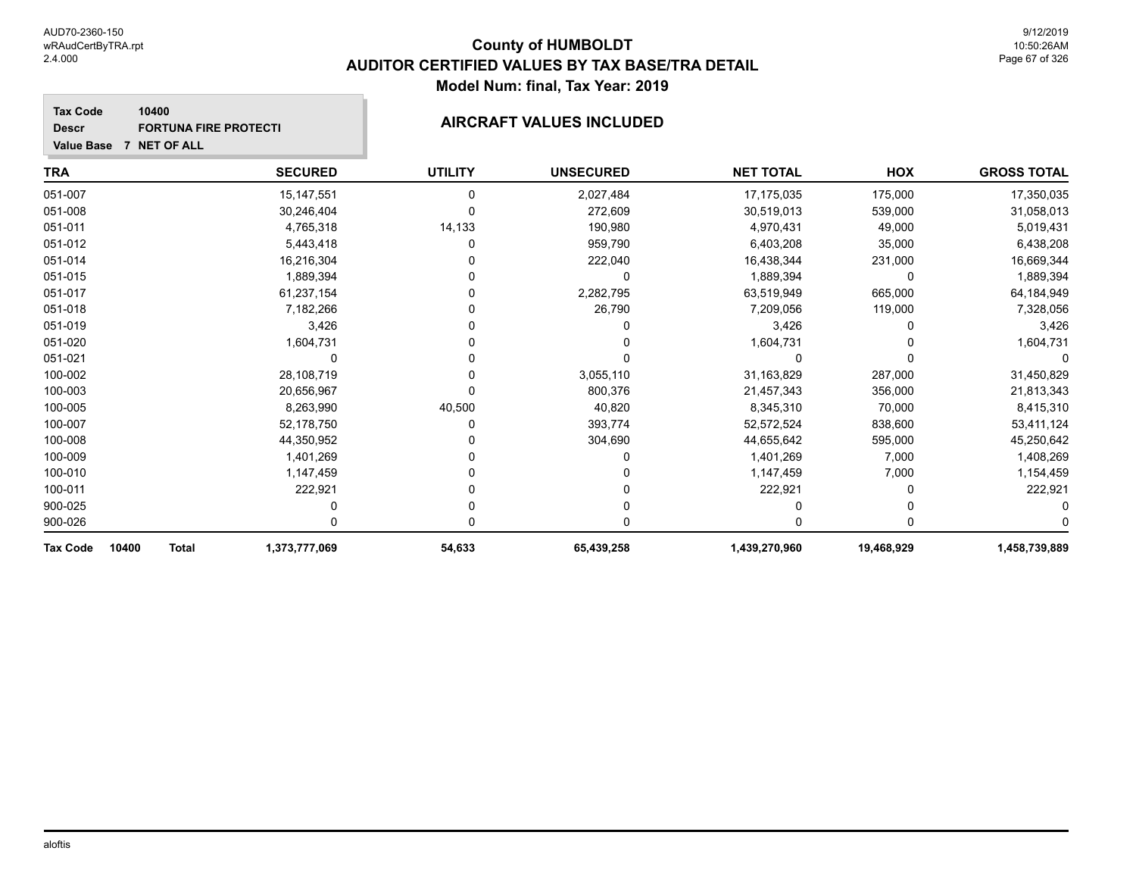#### **Tax Code 10400 Descr** FORTUNA FIRE PROTECTI**NG THE PROTECTIC CONSUMING AIRCRAFT VALUES INCLUDED**

| <b>Value Base</b><br><b>7 NET OF ALL</b> |                |                |                  |                  |            |                    |
|------------------------------------------|----------------|----------------|------------------|------------------|------------|--------------------|
| TRA                                      | <b>SECURED</b> | <b>UTILITY</b> | <b>UNSECURED</b> | <b>NET TOTAL</b> | <b>HOX</b> | <b>GROSS TOTAL</b> |
| 051-007                                  | 15,147,551     | 0              | 2,027,484        | 17,175,035       | 175,000    | 17,350,035         |
| 051-008                                  | 30,246,404     |                | 272,609          | 30,519,013       | 539,000    | 31,058,013         |
| 051-011                                  | 4,765,318      | 14,133         | 190,980          | 4,970,431        | 49,000     | 5,019,431          |
| 051-012                                  | 5,443,418      |                | 959,790          | 6,403,208        | 35,000     | 6,438,208          |
| 051-014                                  | 16,216,304     |                | 222,040          | 16,438,344       | 231,000    | 16,669,344         |
| 051-015                                  | 1,889,394      |                |                  | 1,889,394        | 0          | 1,889,394          |
| 051-017                                  | 61,237,154     |                | 2,282,795        | 63,519,949       | 665,000    | 64,184,949         |
| 051-018                                  | 7,182,266      |                | 26,790           | 7,209,056        | 119,000    | 7,328,056          |
| 051-019                                  | 3,426          |                |                  | 3,426            |            | 3,426              |
| 051-020                                  | 1,604,731      |                |                  | 1,604,731        |            | 1,604,731          |
| 051-021                                  |                |                |                  |                  |            |                    |
| 100-002                                  | 28,108,719     |                | 3,055,110        | 31,163,829       | 287,000    | 31,450,829         |
| 100-003                                  | 20,656,967     |                | 800,376          | 21,457,343       | 356,000    | 21,813,343         |
| 100-005                                  | 8,263,990      | 40,500         | 40,820           | 8,345,310        | 70,000     | 8,415,310          |
| 100-007                                  | 52,178,750     |                | 393,774          | 52,572,524       | 838,600    | 53,411,124         |
| 100-008                                  | 44,350,952     |                | 304,690          | 44,655,642       | 595,000    | 45,250,642         |
| 100-009                                  | 1,401,269      |                |                  | 1,401,269        | 7,000      | 1,408,269          |
| 100-010                                  | 1,147,459      |                |                  | 1,147,459        | 7,000      | 1,154,459          |
| 100-011                                  | 222,921        |                |                  | 222,921          |            | 222,921            |
| 900-025                                  |                |                |                  |                  |            |                    |
| 900-026                                  |                |                |                  | O                |            |                    |
| 10400<br><b>Total</b><br>Tax Code        | 1,373,777,069  | 54,633         | 65,439,258       | 1,439,270,960    | 19,468,929 | 1,458,739,889      |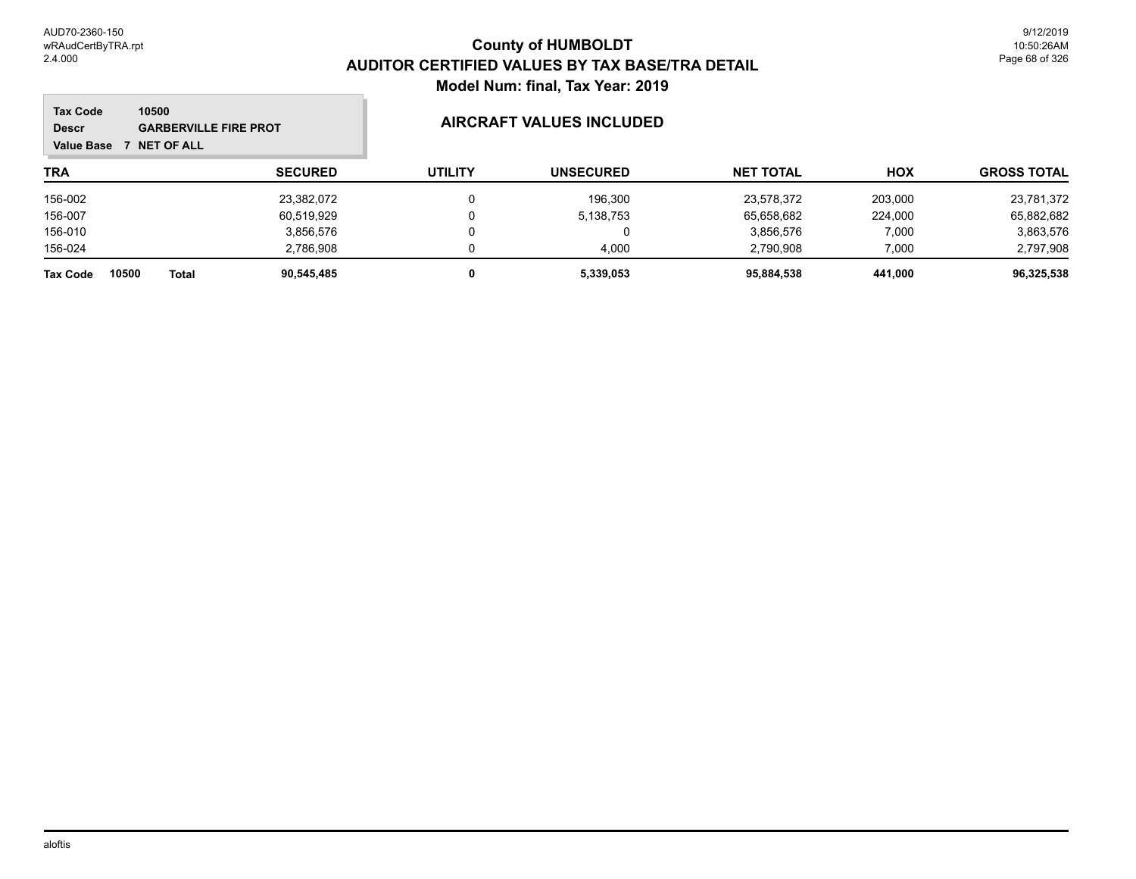#### **TRA SECURED UTILITY UNSECURED HOX Tax Code Value Base 7 NET OF ALL 10500 GROSS TOTAL NET TOTAL Descr GARBERVILLE FIRE PROT AIRCRAFT VALUES INCLUDED** 156-002 23,382,072 0 196,300 23,578,372 203,000 23,781,372 156-007 60,519,929 0 5,138,753 65,658,682 224,000 65,882,682 156-010 3,856,576 0 0 3,856,576 7,000 3,863,576 156-024 2,786,908 0 4,000 2,790,908 7,000 2,797,908 **Tax Code 10500 Total 90,545,485 0 5,339,053 95,884,538 441,000 96,325,538**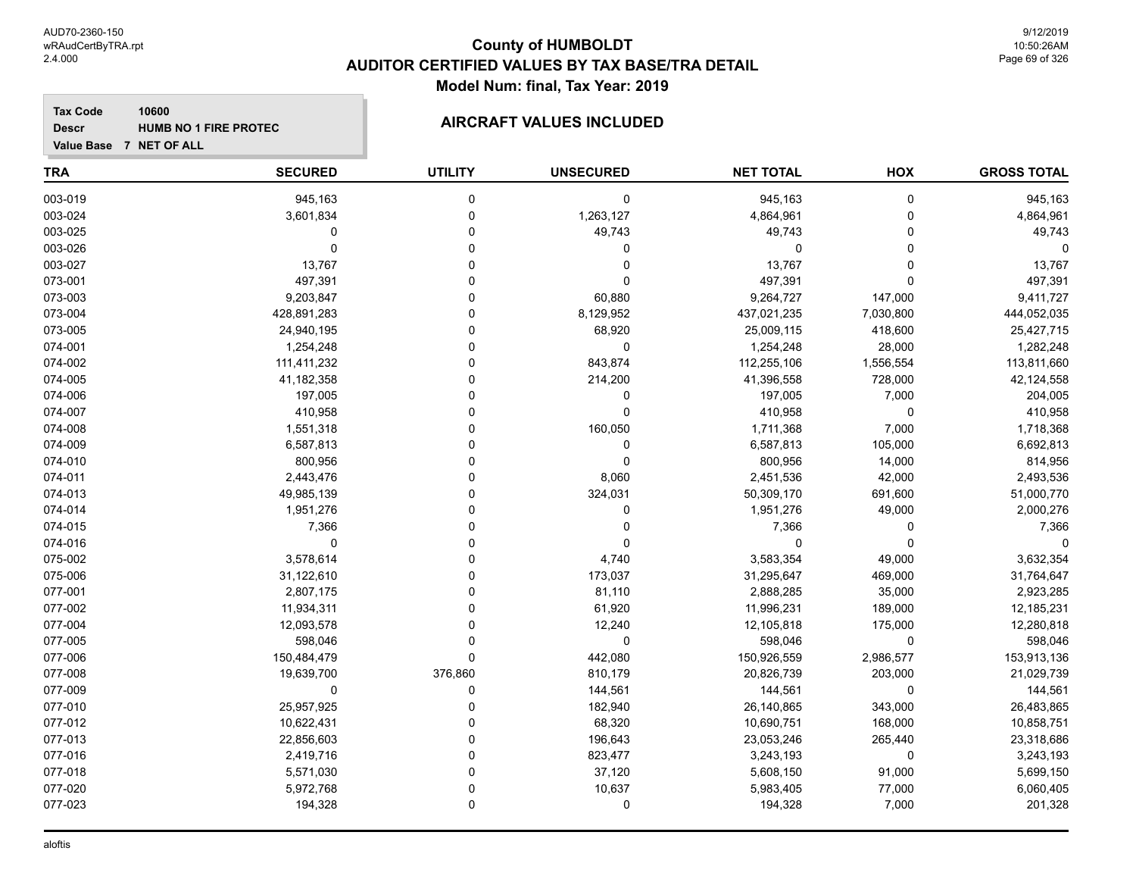**Descr**

# **County of HUMBOLDT AUDITOR CERTIFIED VALUES BY TAX BASE/TRA DETAIL Model Num: final, Tax Year: 2019**

#### **Value Base 7 NET OF ALL 10600 HUMB NO 1 FIRE PROTEC**

| <b>TRA</b> | <b>SECURED</b> | <b>UTILITY</b> | <b>UNSECURED</b> | <b>NET TOTAL</b> | HOX       | <b>GROSS TOTAL</b> |
|------------|----------------|----------------|------------------|------------------|-----------|--------------------|
| 003-019    | 945,163        | 0              | $\mathbf 0$      | 945,163          | 0         | 945,163            |
| 003-024    | 3,601,834      | $\mathbf 0$    | 1,263,127        | 4,864,961        | 0         | 4,864,961          |
| 003-025    | $\mathbf 0$    | $\pmb{0}$      | 49,743           | 49,743           | 0         | 49,743             |
| 003-026    | $\mathbf 0$    | $\Omega$       | $\Omega$         | 0                | 0         | $\Omega$           |
| 003-027    | 13,767         | $\Omega$       | $\mathbf 0$      | 13,767           | 0         | 13,767             |
| 073-001    | 497,391        | $\Omega$       | $\mathbf 0$      | 497,391          | 0         | 497,391            |
| 073-003    | 9,203,847      | $\Omega$       | 60,880           | 9,264,727        | 147,000   | 9,411,727          |
| 073-004    | 428,891,283    | $\Omega$       | 8,129,952        | 437,021,235      | 7,030,800 | 444,052,035        |
| 073-005    | 24,940,195     | $\mathbf 0$    | 68,920           | 25,009,115       | 418,600   | 25,427,715         |
| 074-001    | 1,254,248      | $\Omega$       | $\mathbf 0$      | 1,254,248        | 28,000    | 1,282,248          |
| 074-002    | 111,411,232    | $\Omega$       | 843,874          | 112,255,106      | 1,556,554 | 113,811,660        |
| 074-005    | 41,182,358     | $\Omega$       | 214,200          | 41,396,558       | 728,000   | 42,124,558         |
| 074-006    | 197,005        | $\Omega$       | 0                | 197,005          | 7,000     | 204,005            |
| 074-007    | 410,958        | $\mathbf 0$    | $\mathbf 0$      | 410,958          | 0         | 410,958            |
| 074-008    | 1,551,318      | $\mathbf 0$    | 160,050          | 1,711,368        | 7,000     | 1,718,368          |
| 074-009    | 6,587,813      | $\Omega$       | 0                | 6,587,813        | 105,000   | 6,692,813          |
| 074-010    | 800,956        | $\mathbf 0$    | $\mathbf 0$      | 800,956          | 14,000    | 814,956            |
| 074-011    | 2,443,476      | $\Omega$       | 8,060            | 2,451,536        | 42,000    | 2,493,536          |
| 074-013    | 49,985,139     | $\Omega$       | 324,031          | 50,309,170       | 691,600   | 51,000,770         |
| 074-014    | 1,951,276      | $\Omega$       | 0                | 1,951,276        | 49,000    | 2,000,276          |
| 074-015    | 7,366          | $\Omega$       | 0                | 7,366            | 0         | 7,366              |
| 074-016    | $\mathbf 0$    | $\Omega$       | $\Omega$         | $\Omega$         | 0         | $\Omega$           |
| 075-002    | 3,578,614      | $\Omega$       | 4,740            | 3,583,354        | 49,000    | 3,632,354          |
| 075-006    | 31,122,610     | $\mathbf 0$    | 173,037          | 31,295,647       | 469,000   | 31,764,647         |
| 077-001    | 2,807,175      | $\Omega$       | 81,110           | 2,888,285        | 35,000    | 2,923,285          |
| 077-002    | 11,934,311     | $\Omega$       | 61,920           | 11,996,231       | 189,000   | 12,185,231         |
| 077-004    | 12,093,578     | $\Omega$       | 12,240           | 12,105,818       | 175,000   | 12,280,818         |
| 077-005    | 598,046        | $\mathbf 0$    | $\mathbf 0$      | 598,046          | 0         | 598,046            |
| 077-006    | 150,484,479    | $\mathbf 0$    | 442,080          | 150,926,559      | 2,986,577 | 153,913,136        |
| 077-008    | 19,639,700     | 376,860        | 810,179          | 20,826,739       | 203,000   | 21,029,739         |
| 077-009    | 0              | $\mathbf 0$    | 144,561          | 144,561          | 0         | 144,561            |
| 077-010    | 25,957,925     | $\Omega$       | 182,940          | 26,140,865       | 343,000   | 26,483,865         |
| 077-012    | 10,622,431     | $\Omega$       | 68,320           | 10,690,751       | 168,000   | 10,858,751         |
| 077-013    | 22,856,603     | $\Omega$       | 196,643          | 23,053,246       | 265,440   | 23,318,686         |
| 077-016    | 2,419,716      | $\Omega$       | 823,477          | 3,243,193        | 0         | 3,243,193          |
| 077-018    | 5,571,030      | $\mathbf 0$    | 37,120           | 5,608,150        | 91,000    | 5,699,150          |
| 077-020    | 5,972,768      | 0              | 10,637           | 5,983,405        | 77,000    | 6,060,405          |
| 077-023    | 194,328        | $\mathbf 0$    | $\mathbf 0$      | 194,328          | 7,000     | 201,328            |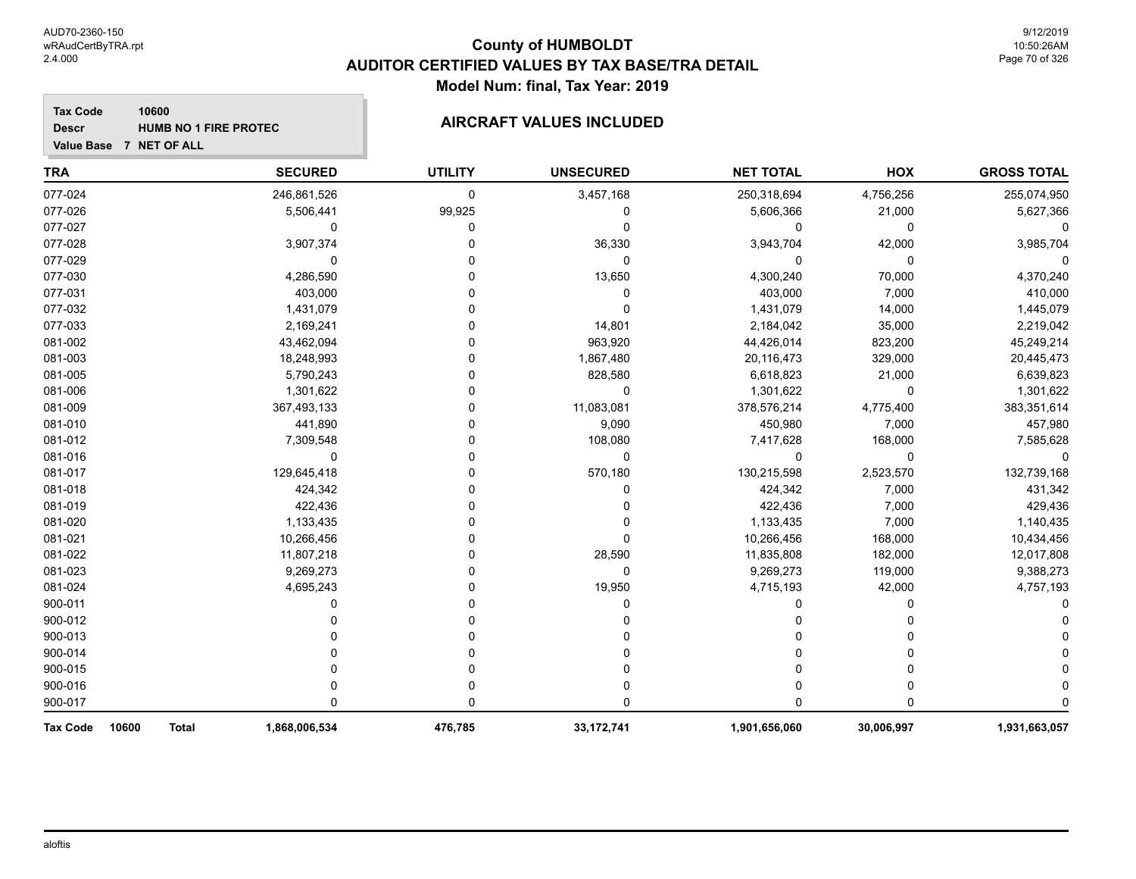#### **Tax Code 10600 Descr**

# **HUMB NO 1 FIRE PROTEC**

**Value Base 7 NET OF ALL**

| <b>TRA</b>               | <b>SECURED</b>                | <b>UTILITY</b> | <b>UNSECURED</b> | <b>NET TOTAL</b> | HOX         | <b>GROSS TOTAL</b> |
|--------------------------|-------------------------------|----------------|------------------|------------------|-------------|--------------------|
| 077-024                  | 246,861,526                   | $\mathbf 0$    | 3,457,168        | 250,318,694      | 4,756,256   | 255,074,950        |
| 077-026                  | 5,506,441                     | 99,925         | 0                | 5,606,366        | 21,000      | 5,627,366          |
| 077-027                  | 0                             | 0              | 0                | 0                | 0           |                    |
| 077-028                  | 3,907,374                     |                | 36,330           | 3,943,704        | 42,000      | 3,985,704          |
| 077-029                  | 0                             |                | 0                | 0                | 0           | $\Omega$           |
| 077-030                  | 4,286,590                     |                | 13,650           | 4,300,240        | 70,000      | 4,370,240          |
| 077-031                  | 403,000                       |                | 0                | 403,000          | 7,000       | 410,000            |
| 077-032                  | 1,431,079                     |                | 0                | 1,431,079        | 14,000      | 1,445,079          |
| 077-033                  | 2,169,241                     |                | 14,801           | 2,184,042        | 35,000      | 2,219,042          |
| 081-002                  | 43,462,094                    |                | 963,920          | 44,426,014       | 823,200     | 45,249,214         |
| 081-003                  | 18,248,993                    |                | 1,867,480        | 20,116,473       | 329,000     | 20,445,473         |
| 081-005                  | 5,790,243                     |                | 828,580          | 6,618,823        | 21,000      | 6,639,823          |
| 081-006                  | 1,301,622                     |                | 0                | 1,301,622        | 0           | 1,301,622          |
| 081-009                  | 367,493,133                   |                | 11,083,081       | 378,576,214      | 4,775,400   | 383,351,614        |
| 081-010                  | 441,890                       |                | 9,090            | 450,980          | 7,000       | 457,980            |
| 081-012                  | 7,309,548                     |                | 108,080          | 7,417,628        | 168,000     | 7,585,628          |
| 081-016                  | 0                             |                | 0                | 0                | $\mathbf 0$ |                    |
| 081-017                  | 129,645,418                   |                | 570,180          | 130,215,598      | 2,523,570   | 132,739,168        |
| 081-018                  | 424,342                       |                | 0                | 424,342          | 7,000       | 431,342            |
| 081-019                  | 422,436                       |                |                  | 422,436          | 7,000       | 429,436            |
| 081-020                  | 1,133,435                     |                |                  | 1,133,435        | 7,000       | 1,140,435          |
| 081-021                  | 10,266,456                    |                | 0                | 10,266,456       | 168,000     | 10,434,456         |
| 081-022                  | 11,807,218                    |                | 28,590           | 11,835,808       | 182,000     | 12,017,808         |
| 081-023                  | 9,269,273                     |                | 0                | 9,269,273        | 119,000     | 9,388,273          |
| 081-024                  | 4,695,243                     |                | 19,950           | 4,715,193        | 42,000      | 4,757,193          |
| 900-011                  | U                             |                | 0                | 0                | $\Omega$    |                    |
| 900-012                  |                               |                |                  | 0                | 0           |                    |
| 900-013                  |                               |                |                  |                  |             |                    |
| 900-014                  |                               |                |                  |                  |             |                    |
| 900-015                  |                               |                | ი                | 0                | 0           |                    |
| 900-016                  |                               | O              | 0                | 0                | 0           |                    |
| 900-017                  | 0                             | 0              | 0                | 0                | 0           |                    |
| 10600<br><b>Tax Code</b> | 1,868,006,534<br><b>Total</b> | 476,785        | 33, 172, 741     | 1,901,656,060    | 30,006,997  | 1,931,663,057      |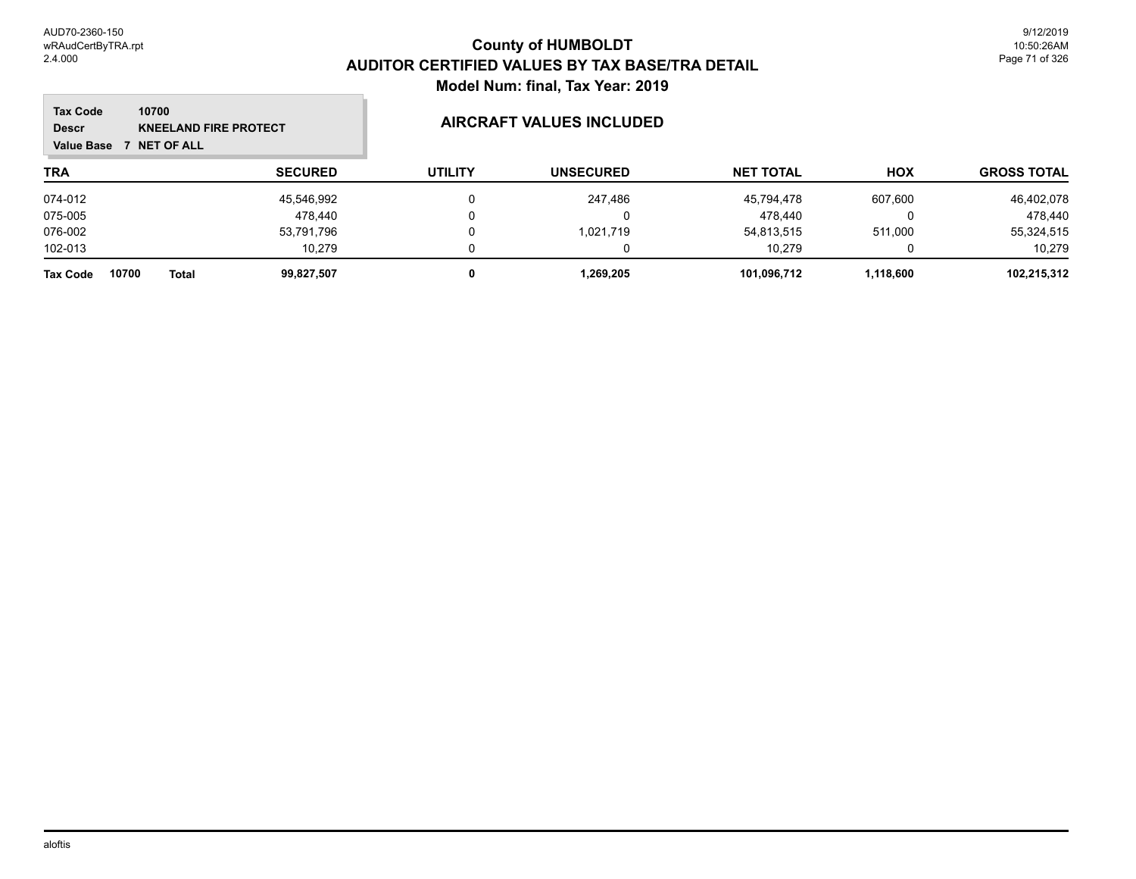#### **TRA SECURED UTILITY UNSECURED HOX Tax Code Value Base 7 NET OF ALL 10700 GROSS TOTAL NET TOTAL Descr KNEELAND FIRE PROTECT AIRCRAFT VALUES INCLUDED** 074-012 45,546,992 0 247,486 45,794,478 607,600 46,402,078 075-005 478,440 0 0 478,440 0 478,440 076-002 53,791,796 0 1,021,719 54,813,515 511,000 55,324,515 102-013 10,279 0 0 10,279 0 10,279 **Tax Code 10700 Total 99,827,507 0 1,269,205 101,096,712 1,118,600 102,215,312**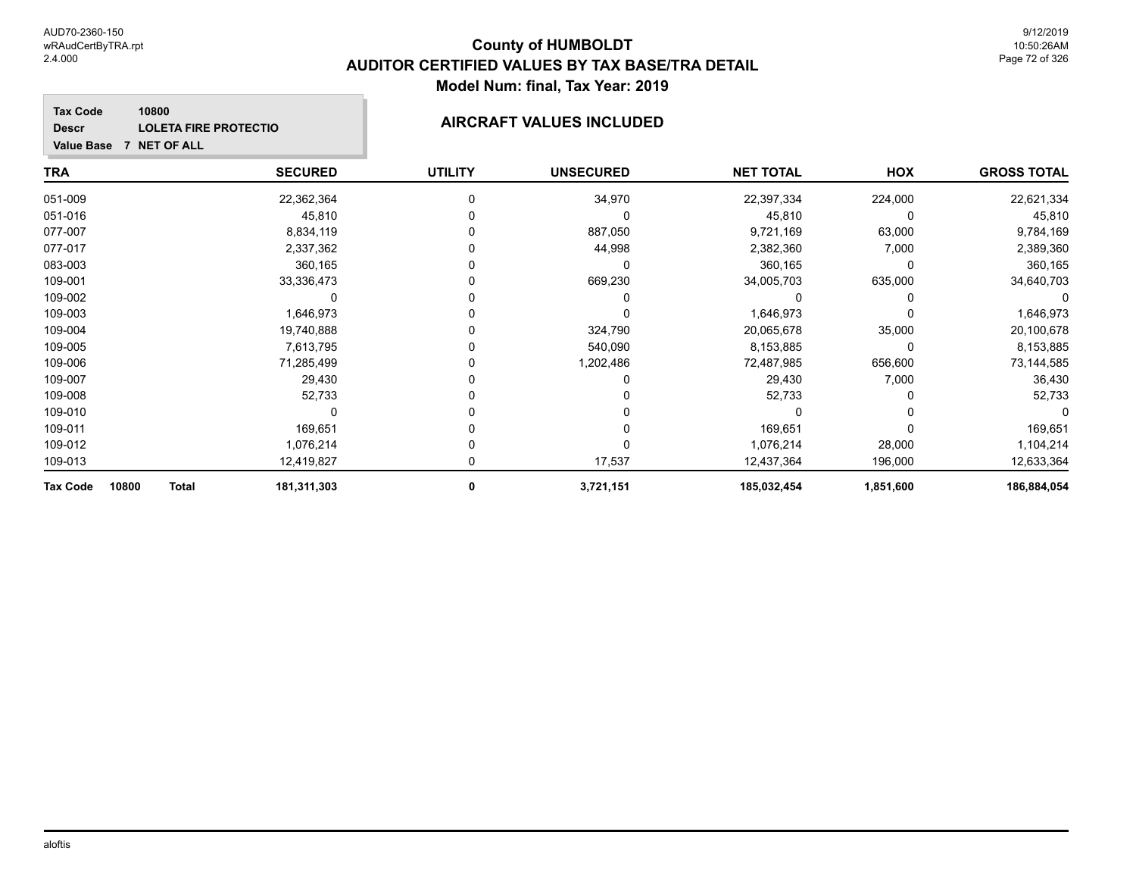**GROSS TOTAL**

#### **TRA SECURED UTILITY UNSECURED HOX Tax Code Value Base 7 NET OF ALL 10800 NET TOTAL Descr LOLETA FIRE PROTECTIO AIRCRAFT VALUES INCLUDED** 051-009 22,362,364 0 34,970 22,397,334 224,000 22,621,334 051-016 45,810 0 0 45,810 0 45,810 077-007 8,834,119 0 887,050 9,721,169 63,000 9,784,169 077-017 2,337,362 0 44,998 2,382,360 7,000 2,389,360 083-003 360,165 0 0 360,165 0 360,165 109-001 33,336,473 0 669,230 34,005,703 635,000 34,640,703 109-002 0 0 0 0 0 0 109-003 1,646,973 0 0 1,646,973 0 1,646,973 109-004 19,740,888 0 324,790 20,065,678 35,000 20,100,678 109-005 7,613,795 0 540,090 8,153,885 0 8,153,885 109-006 71,285,499 0 1,202,486 72,487,985 656,600 73,144,585 109-007 29,430 0 0 29,430 7,000 36,430 109-008 52,733 0 0 52,733 0 52,733 109-010 0 0 0 0 0 0 109-011 169,651 0 0 169,651 0 169,651

| <b>Tax Code</b><br>10800 | <b>Total</b> | 181,311,303 | 3,721,151 | 185,032,454 | ,851,600 | 186,884,054 |
|--------------------------|--------------|-------------|-----------|-------------|----------|-------------|
| 109-013                  |              | 12.419.827  | 17.537    | 12.437.364  | 196.000  | 12.633.364  |
| 109-012                  |              | 076,214.ا   |           | .076,214    | 28,000   | ,104,214    |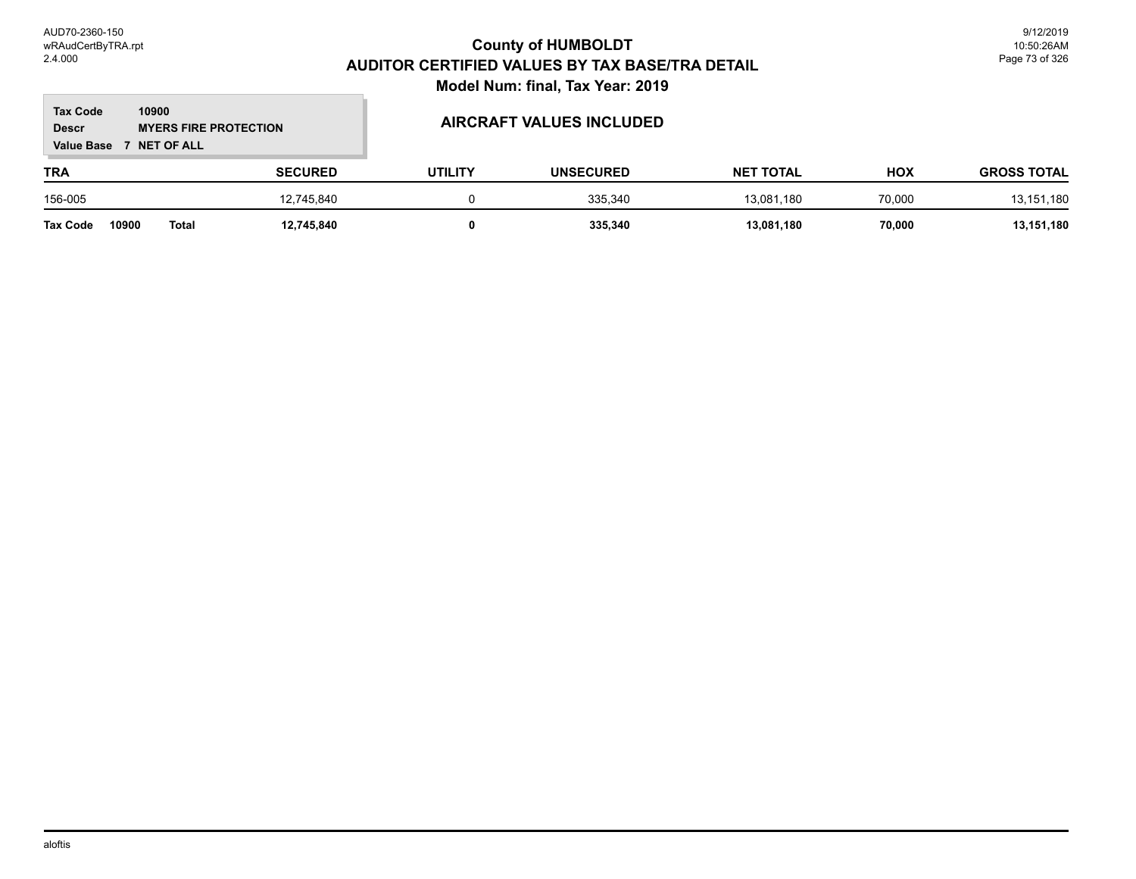#### **TRA SECURED UTILITY UNSECURED HOX Tax Code Value Base 7 NET OF ALL 10900 GROSS TOTAL NET TOTAL Descr MYERS FIRE PROTECTION** 156-005 12,745,840 0 335,340 13,081,180 70,000 13,151,180

**Tax Code 10900 Total 12,745,840 0 335,340 13,081,180 70,000 13,151,180**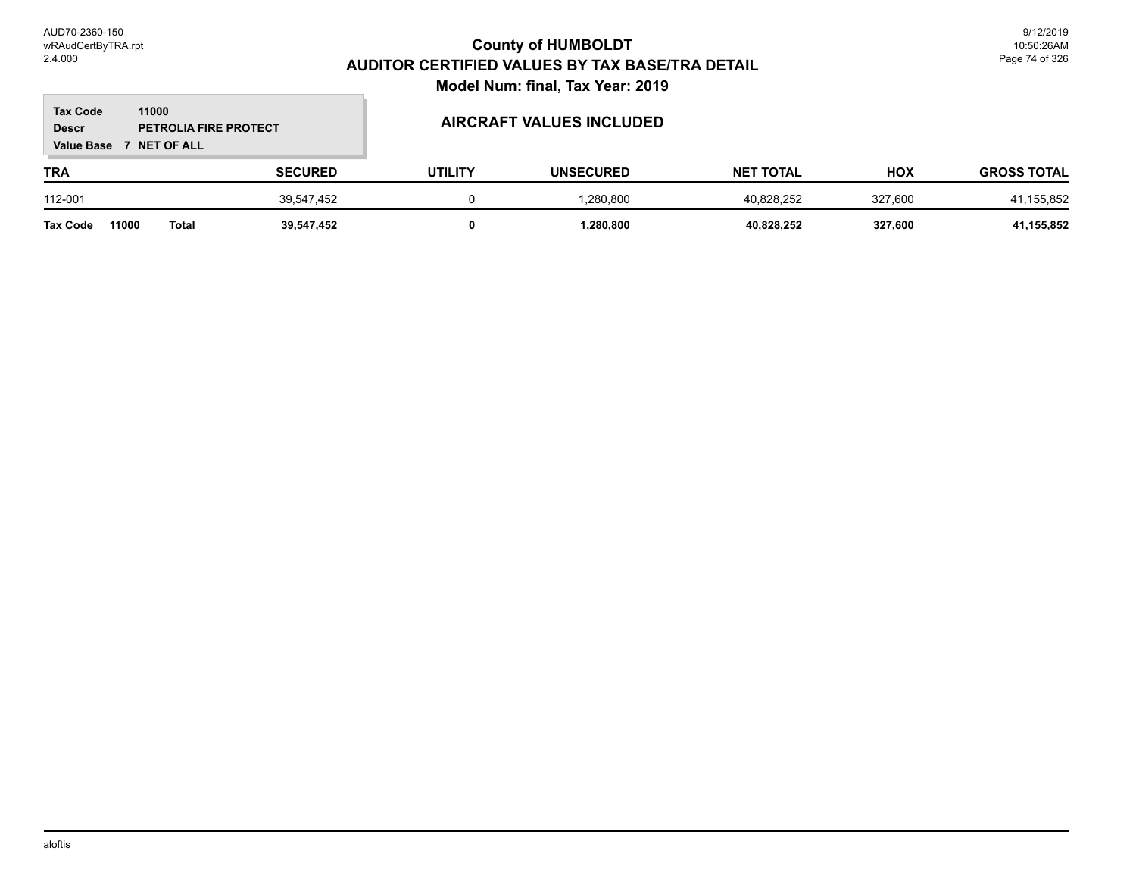#### **TRA SECURED UTILITY UNSECURED HOX Tax Code Value Base 7 NET OF ALL 11000 GROSS TOTAL NET TOTAL Descr PETROLIA FIRE PROTECT AIRCRAFT VALUES INCLUDED** 112-001 39,547,452 0 1,280,800 40,828,252 327,600 41,155,852

**Tax Code 11000 Total 39,547,452 0 1,280,800 40,828,252 327,600 41,155,852**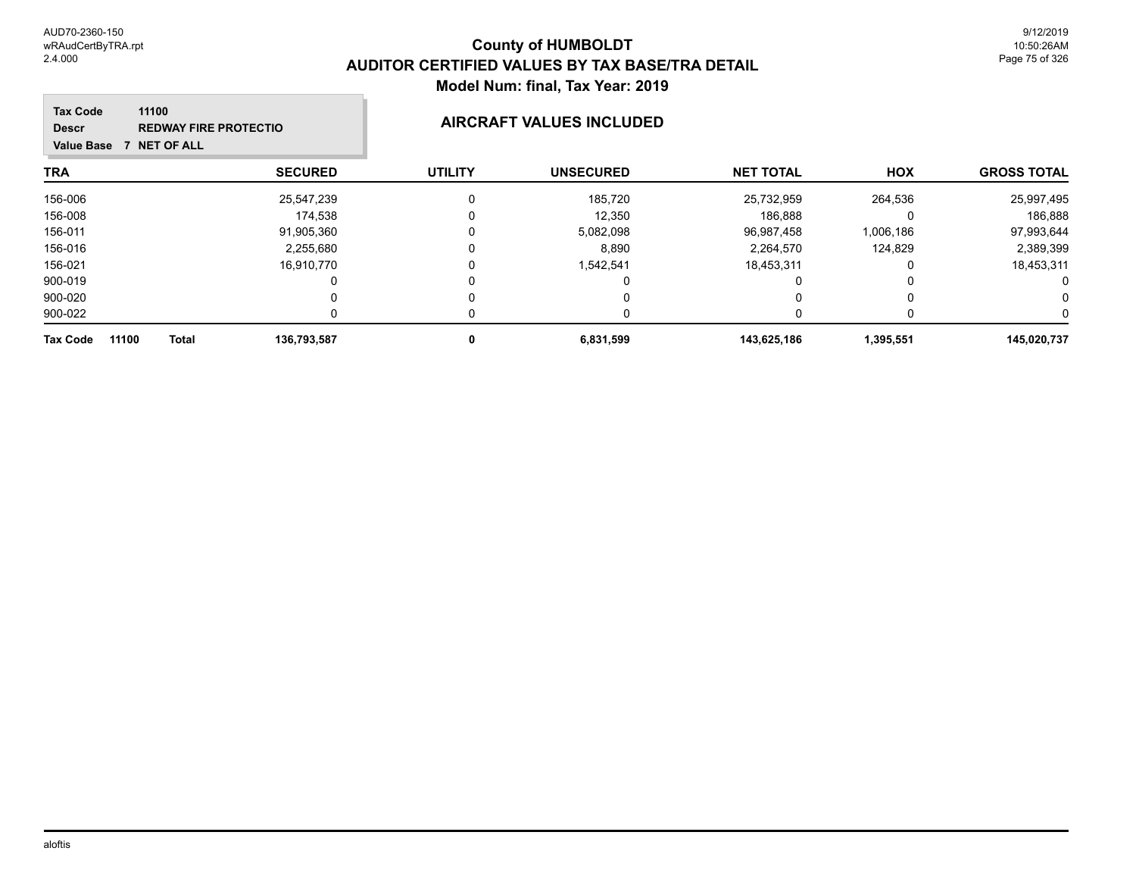#### **TRA SECURED UTILITY UNSECURED HOX Tax Code Value Base 7 NET OF ALL 11100 GROSS TOTAL NET TOTAL Descr REDWAY FIRE PROTECTIO AIRCRAFT VALUES INCLUDED** 156-006 25,547,239 0 185,720 25,732,959 264,536 25,997,495 156-008 174,538 0 12,350 186,888 0 186,888 156-011 91,905,360 0 5,082,098 96,987,458 1,006,186 97,993,644 156-016 2,255,680 0 8,890 2,264,570 124,829 2,389,399 156-021 16,910,770 0 1,542,541 18,453,311 0 18,453,311 900-019 0 0 0 0 0 0 900-020 0 0 0 0 0 0 900-022 0 0 0 0 0 0 **Tax Code 11100 Total 136,793,587 0 6,831,599 143,625,186 1,395,551 145,020,737**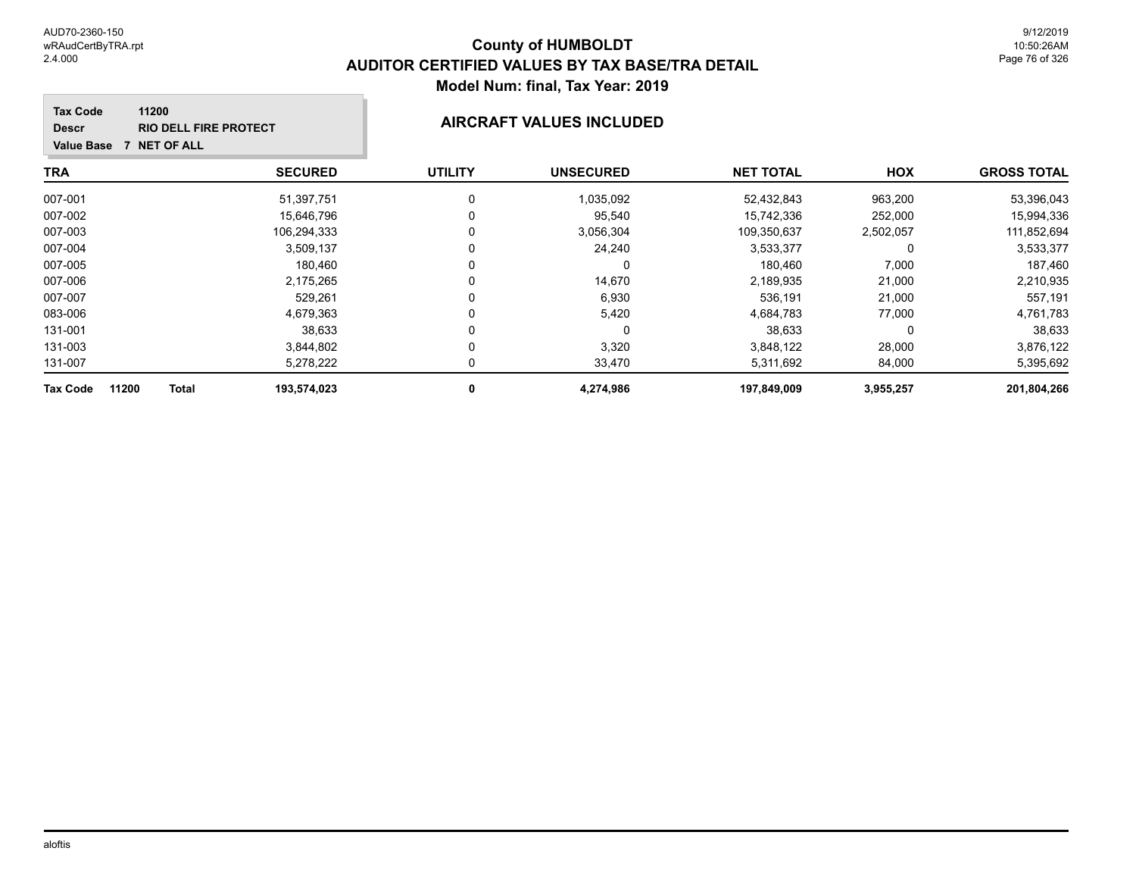#### **TRA SECURED UTILITY UNSECURED HOX Tax Code Value Base 7 NET OF ALL 11200 GROSS TOTAL NET TOTAL Descr RIO DELL FIRE PROTECT AIRCRAFT VALUES INCLUDED** 007-001 51,397,751 0 1,035,092 52,432,843 963,200 53,396,043 007-002 15,646,796 0 15,742,336 252,000 15,994,336 007-003 106,294,333 0 3,056,304 109,350,637 2,502,057 111,852,694 007-004 3,509,137 0 24,240 3,533,377 0 3,533,377 007-005 180,460 0 0 180,460 7,000 187,460 007-006 2,175,265 0 14,670 2,189,935 21,000 2,210,935 007-007 529,261 0 6,930 536,191 21,000 557,191 083-006 4,679,363 0 5,420 4,684,783 77,000 4,761,783 131-001 38,633 0 0 38,633 0 38,633 131-003 3,844,802 0 3,320 3,848,122 28,000 3,876,122 131-007 5,278,222 0 33,470 5,311,692 84,000 5,395,692 **Tax Code 11200 Total 193,574,023 0 4,274,986 197,849,009 3,955,257 201,804,266**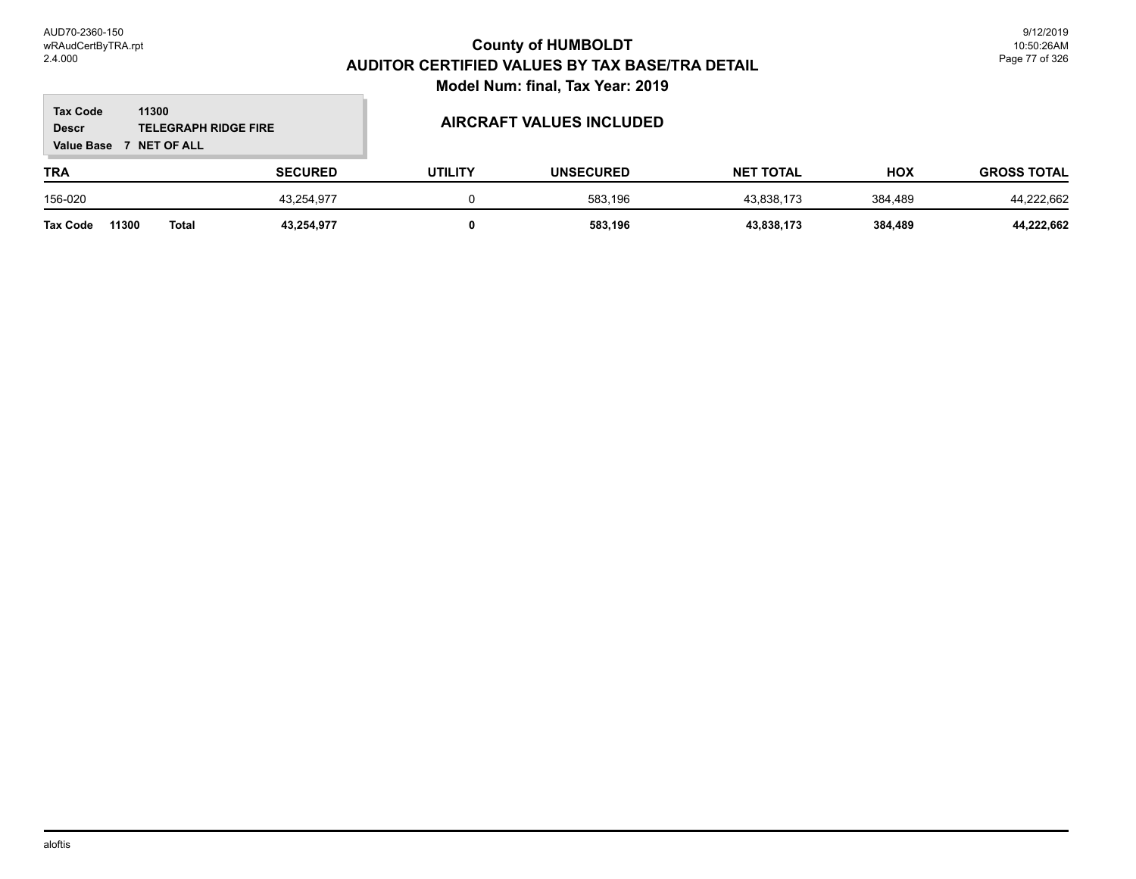#### **TRA SECURED UTILITY UNSECURED HOX Tax Code Value Base 7 NET OF ALL 11300 GROSS TOTAL NET TOTAL Descr TELEGRAPH RIDGE FIRE AIRCRAFT VALUES INCLUDED** 156-020 43,254,977 0 583,196 43,838,173 384,489 44,222,662 **Tax Code 11300 Total 43,254,977 0 583,196 43,838,173 384,489 44,222,662**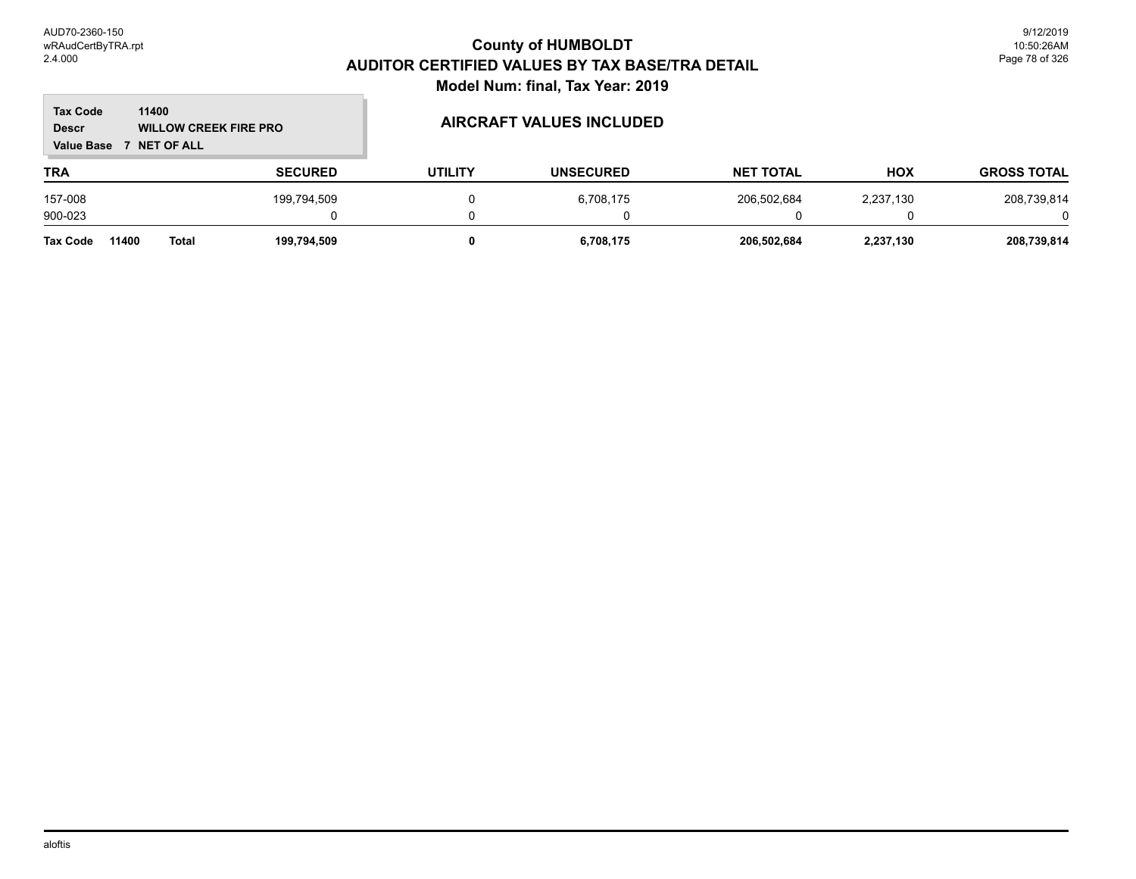#### **TRA SECURED UTILITY UNSECURED HOX Tax Code Value Base 7 NET OF ALL 11400 GROSS TOTAL NET TOTAL Descr WILLOW CREEK FIRE PRO AIRCRAFT VALUES INCLUDED** 157-008 199,794,509 0 6,708,175 206,502,684 2,237,130 208,739,814 900-023 0 0 0 0 0 0 **Tax Code 11400 Total 199,794,509 0 6,708,175 206,502,684 2,237,130 208,739,814**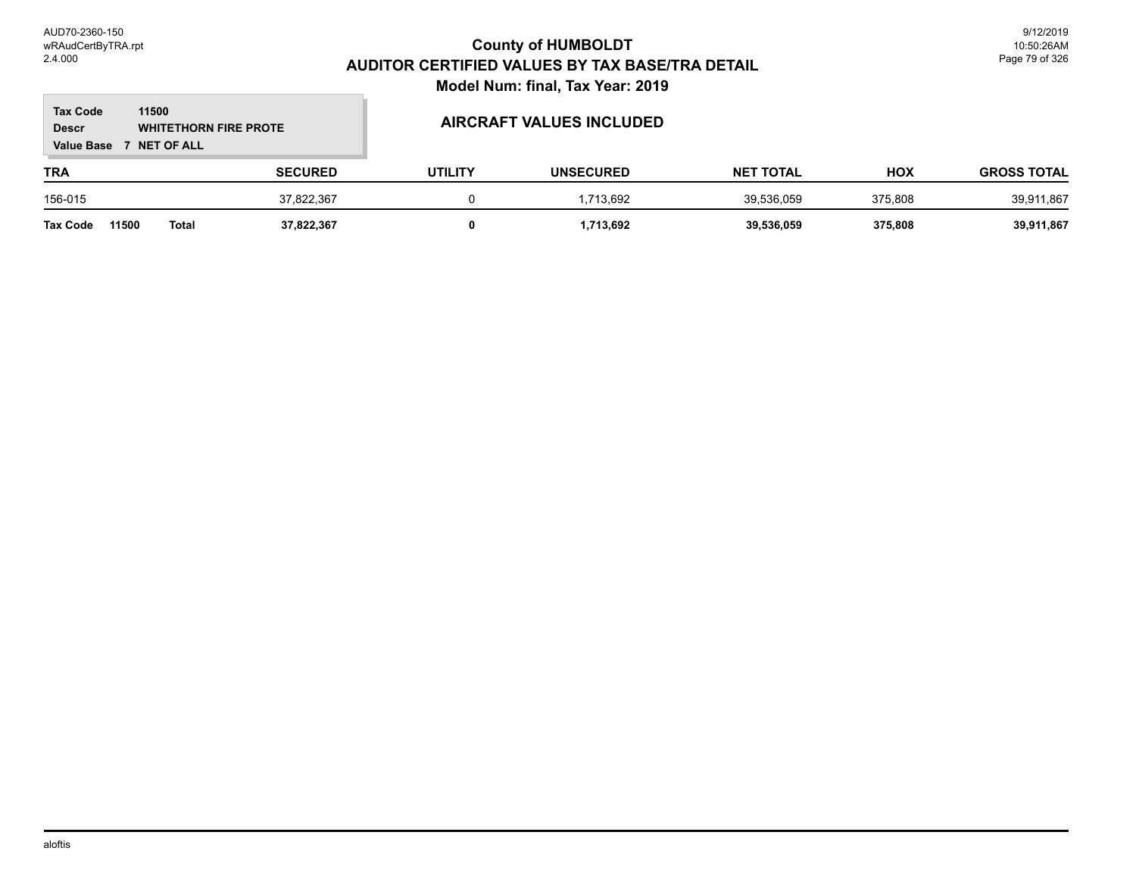#### **TRA SECURED UTILITY UNSECURED HOX Tax Code Value Base 7 NET OF ALL 11500 GROSS TOTAL NET TOTAL Descr WHITETHORN FIRE PROTE** 156-015 37,822,367 0 1,713,692 39,536,059 375,808 39,911,867

**Tax Code 11500 Total 37,822,367 0 1,713,692 39,536,059 375,808 39,911,867**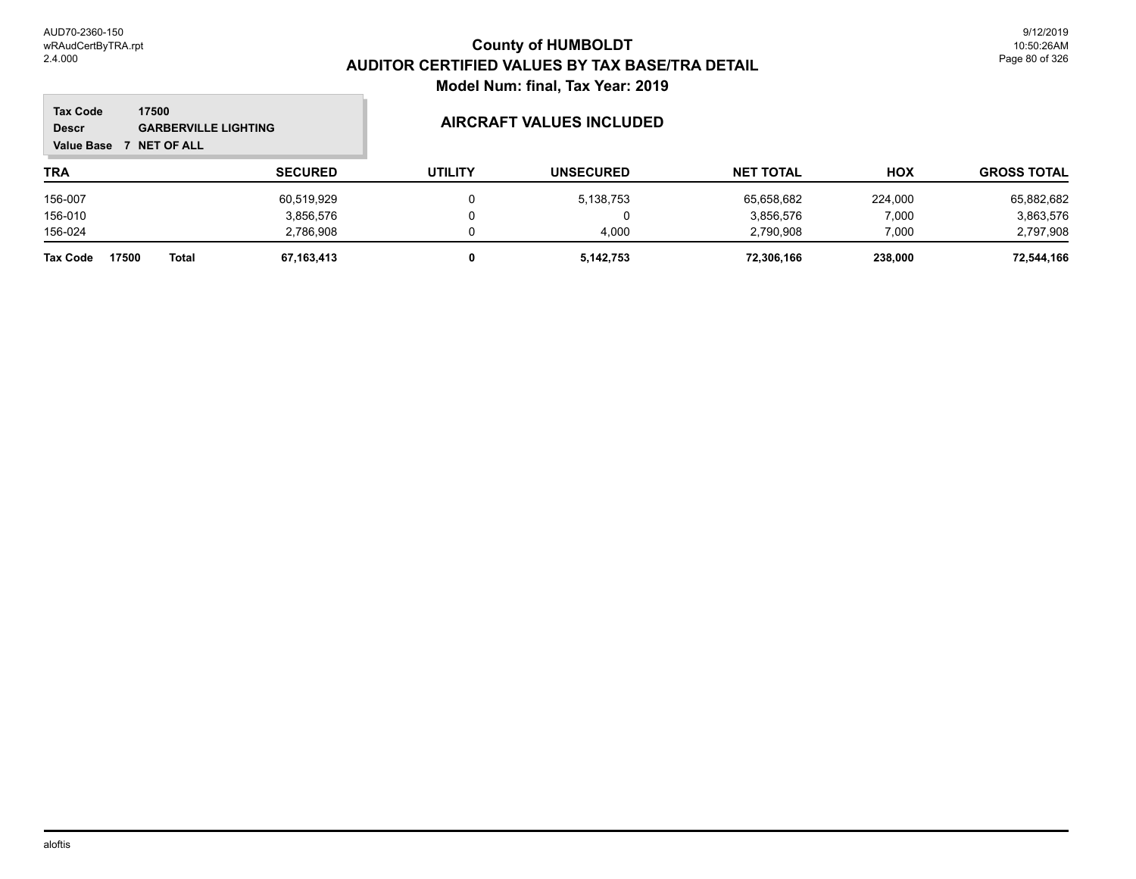#### **TRA SECURED UTILITY UNSECURED HOX Tax Code Value Base 7 NET OF ALL 17500 GROSS TOTAL NET TOTAL Descr GARBERVILLE LIGHTING AIRCRAFT VALUES INCLUDED** 156-007 60,519,929 0 5,138,753 65,658,682 224,000 65,882,682 156-010 3,856,576 0 0 3,856,576 7,000 3,863,576 156-024 2,786,908 0 4,000 2,790,908 7,000 2,797,908 **Tax Code 17500 Total 67,163,413 0 5,142,753 72,306,166 238,000 72,544,166**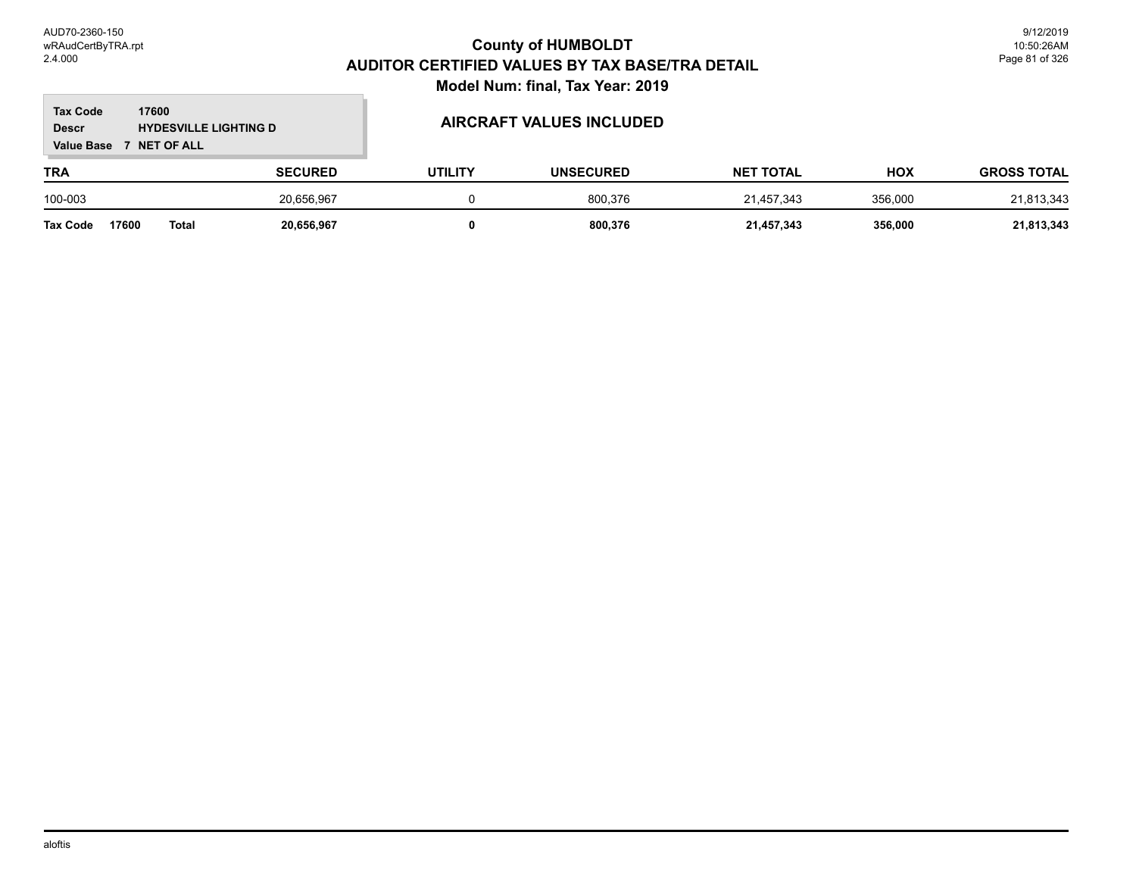#### **TRA SECURED UTILITY UNSECURED HOX Tax Code Value Base 7 NET OF ALL 17600 GROSS TOTAL NET TOTAL Descr HYDESVILLE LIGHTING D AIRCRAFT VALUES INCLUDED** 100-003 20,656,967 0 800,376 21,457,343 356,000 21,813,343

**Tax Code 17600 Total 20,656,967 0 800,376 21,457,343 356,000 21,813,343**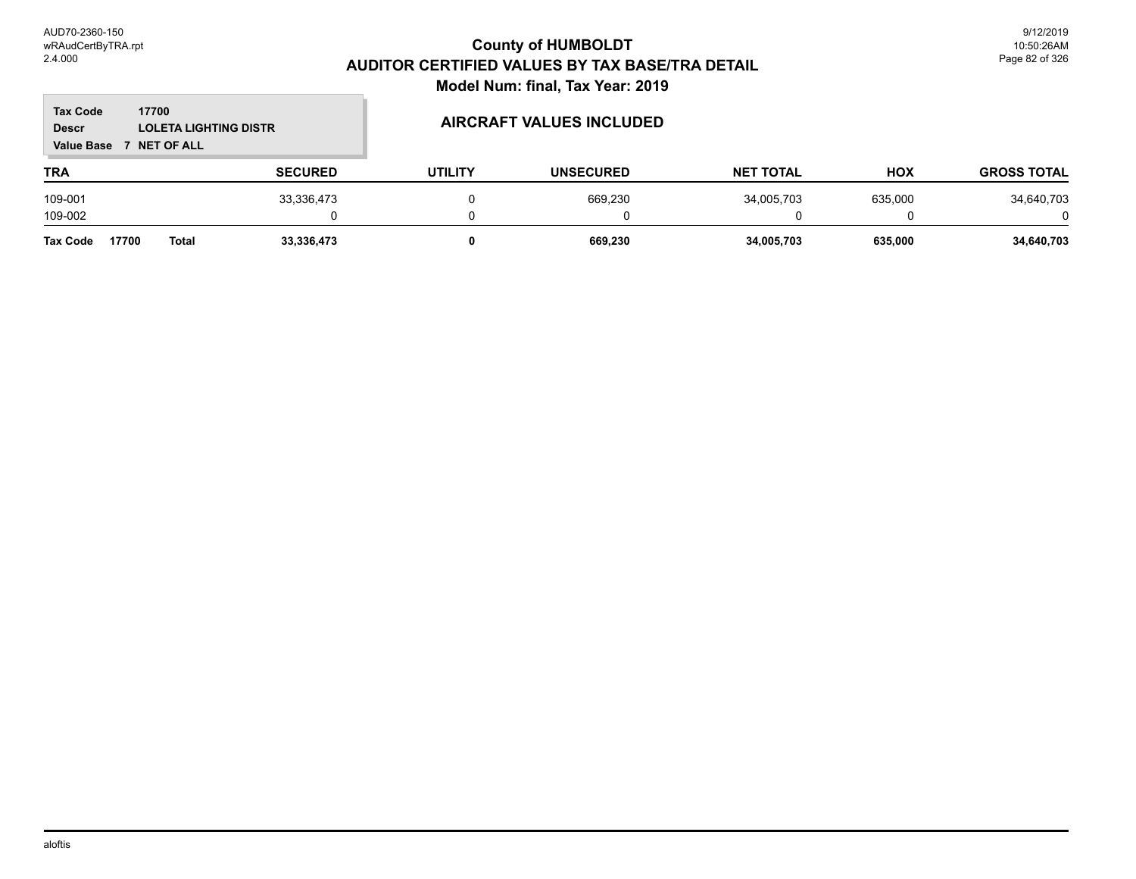| <b>Tax Code</b><br>17700<br><b>LOLETA LIGHTING DISTR</b><br><b>Descr</b><br><b>NET OF ALL</b><br><b>Value Base</b> |                |                |                | <b>AIRCRAFT VALUES INCLUDED</b> |                  |            |                    |
|--------------------------------------------------------------------------------------------------------------------|----------------|----------------|----------------|---------------------------------|------------------|------------|--------------------|
| TRA                                                                                                                |                | <b>SECURED</b> | <b>UTILITY</b> | <b>UNSECURED</b>                | <b>NET TOTAL</b> | <b>HOX</b> | <b>GROSS TOTAL</b> |
| 109-001                                                                                                            |                | 33,336,473     |                | 669,230                         | 34,005,703       | 635,000    | 34,640,703         |
| 109-002                                                                                                            |                |                |                |                                 |                  |            |                    |
| <b>Tax Code</b>                                                                                                    | 17700<br>Total | 33,336,473     |                | 669.230                         | 34,005,703       | 635.000    | 34,640,703         |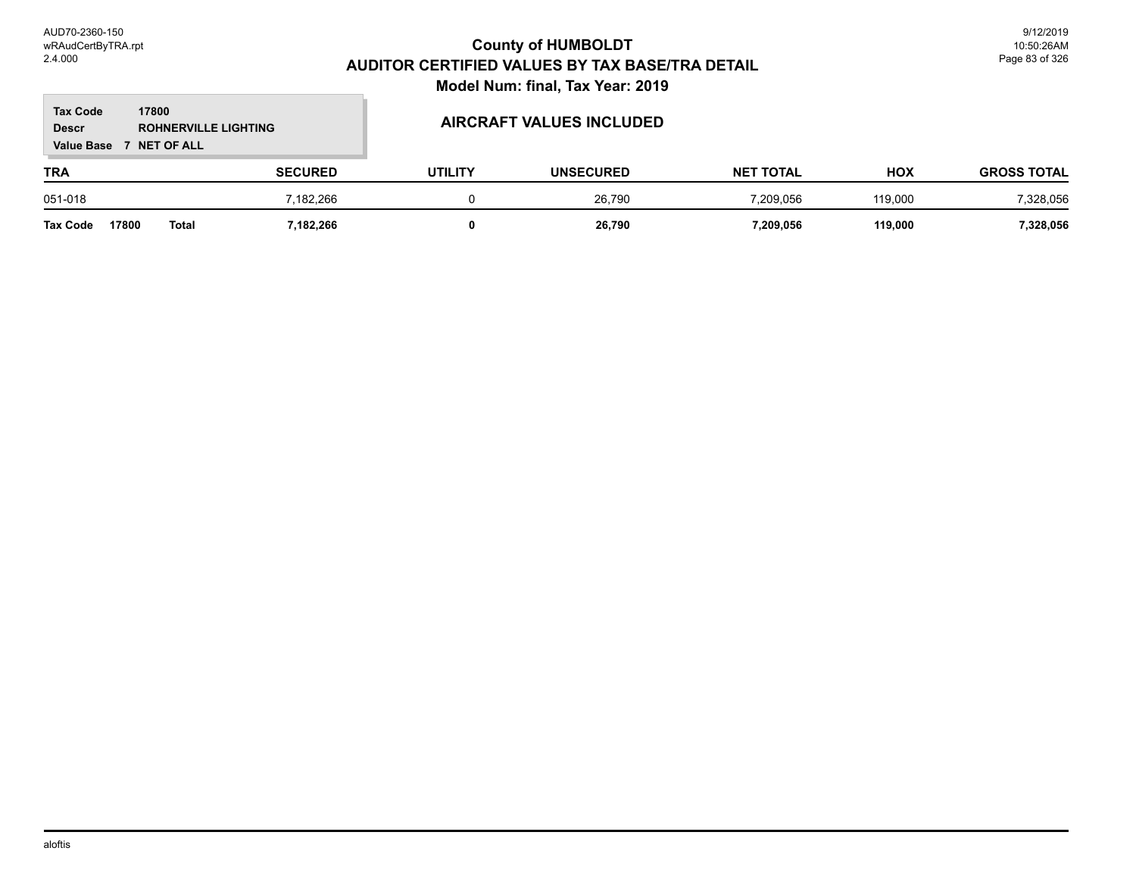#### **TRA SECURED UTILITY UNSECURED HOX Tax Code Value Base 7 NET OF ALL 17800 GROSS TOTAL NET TOTAL Descr ROHNERVILLE LIGHTING AIRCRAFT VALUES INCLUDED** 051-018 7,182,266 0 26,790 7,209,056 119,000 7,328,056

**Tax Code 17800 Total 7,182,266 0 26,790 7,209,056 119,000 7,328,056**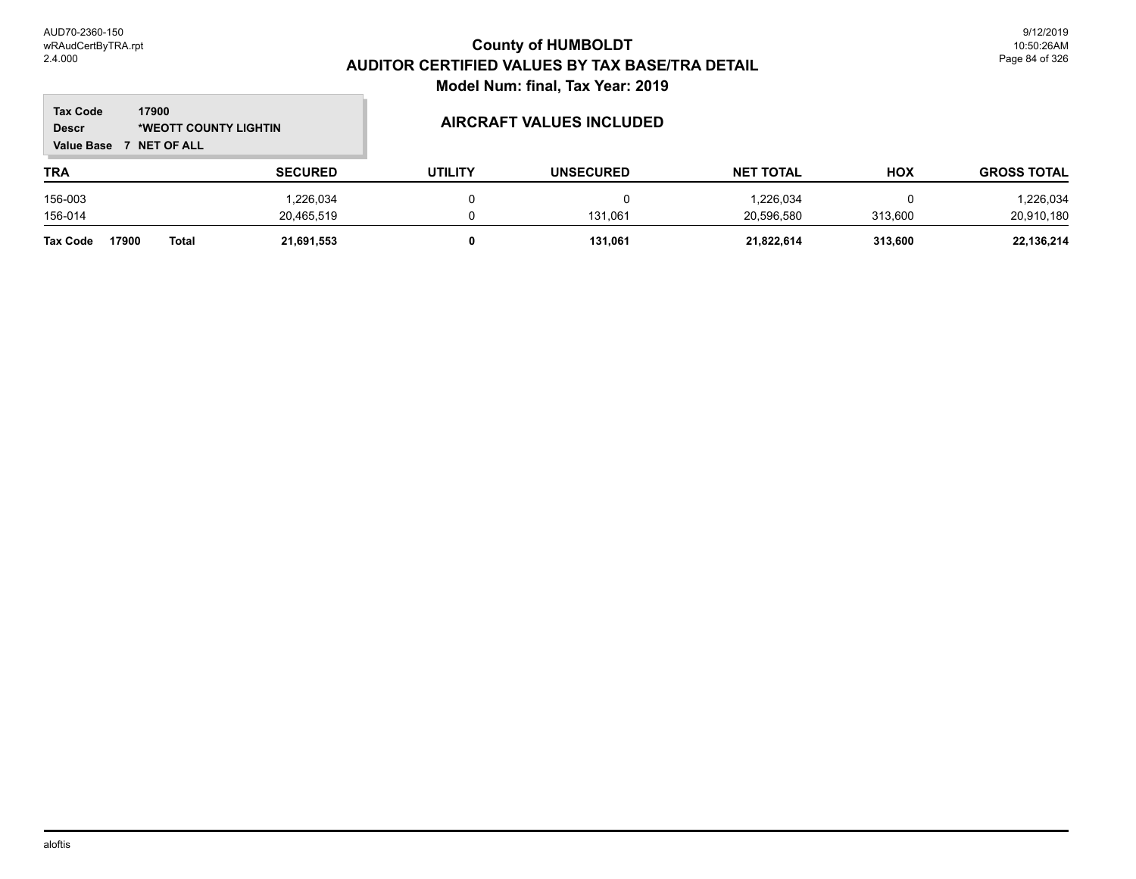m.

| 17900<br><b>Tax Code</b><br><b>Descr</b><br>*WEOTT COUNTY LIGHTIN<br><b>NET OF ALL</b><br><b>Value Base</b> |                |                | <b>AIRCRAFT VALUES INCLUDED</b> |                  |            |                    |  |
|-------------------------------------------------------------------------------------------------------------|----------------|----------------|---------------------------------|------------------|------------|--------------------|--|
| TRA                                                                                                         | <b>SECURED</b> | <b>UTILITY</b> | <b>UNSECURED</b>                | <b>NET TOTAL</b> | <b>HOX</b> | <b>GROSS TOTAL</b> |  |
| 156-003                                                                                                     | 1,226,034      |                | 0                               | 1,226,034        | 0          | 1,226,034          |  |
| 156-014                                                                                                     | 20.465.519     |                | 131.061                         | 20.596.580       | 313.600    | 20,910,180         |  |
| 17900<br><b>Total</b><br><b>Tax Code</b>                                                                    | 21,691,553     |                | 131,061                         | 21,822,614       | 313,600    | 22,136,214         |  |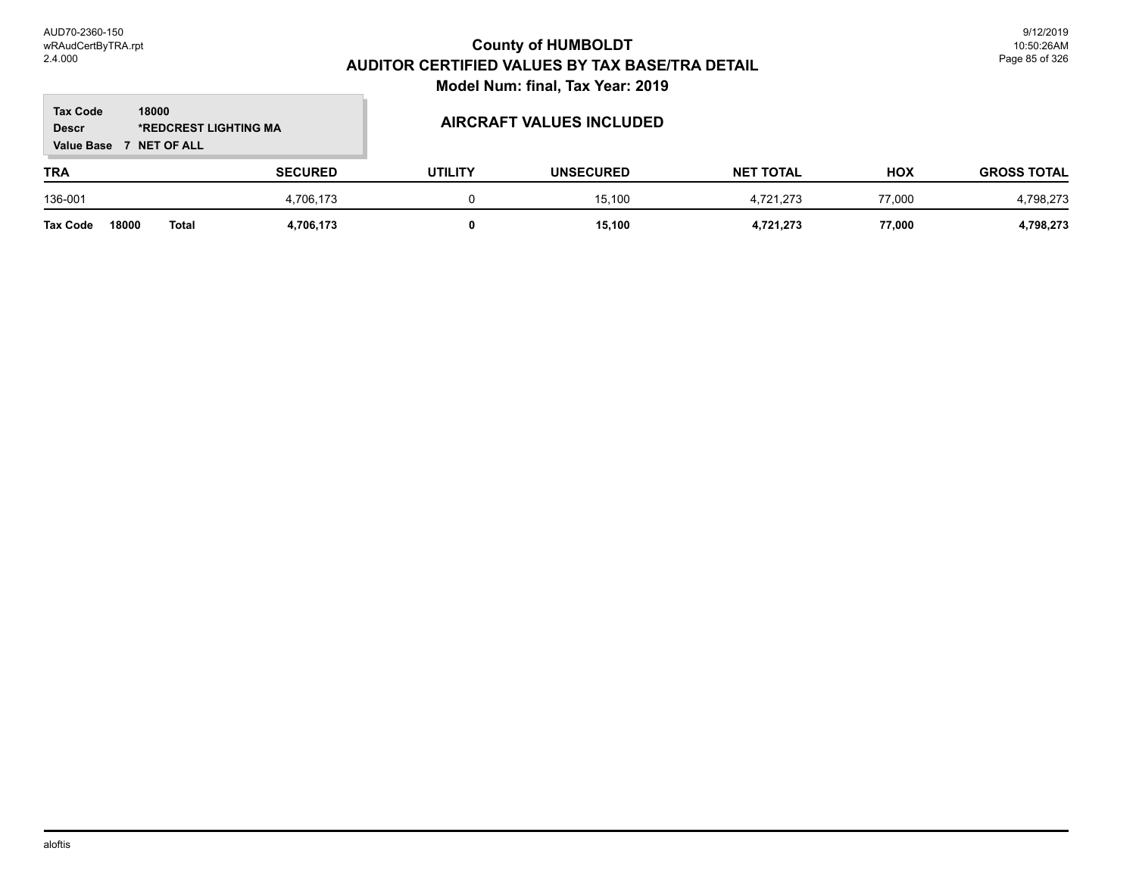#### **TRA SECURED UTILITY UNSECURED HOX Tax Code Value Base 7 NET OF ALL 18000 GROSS TOTAL NET TOTAL Descr \*REDCREST LIGHTING MA AIRCRAFT VALUES INCLUDED** 136-001 4,706,173 0 15,100 4,721,273 77,000 4,798,273 **Tax Code 18000 Total 4,706,173 0 15,100 4,721,273 77,000 4,798,273**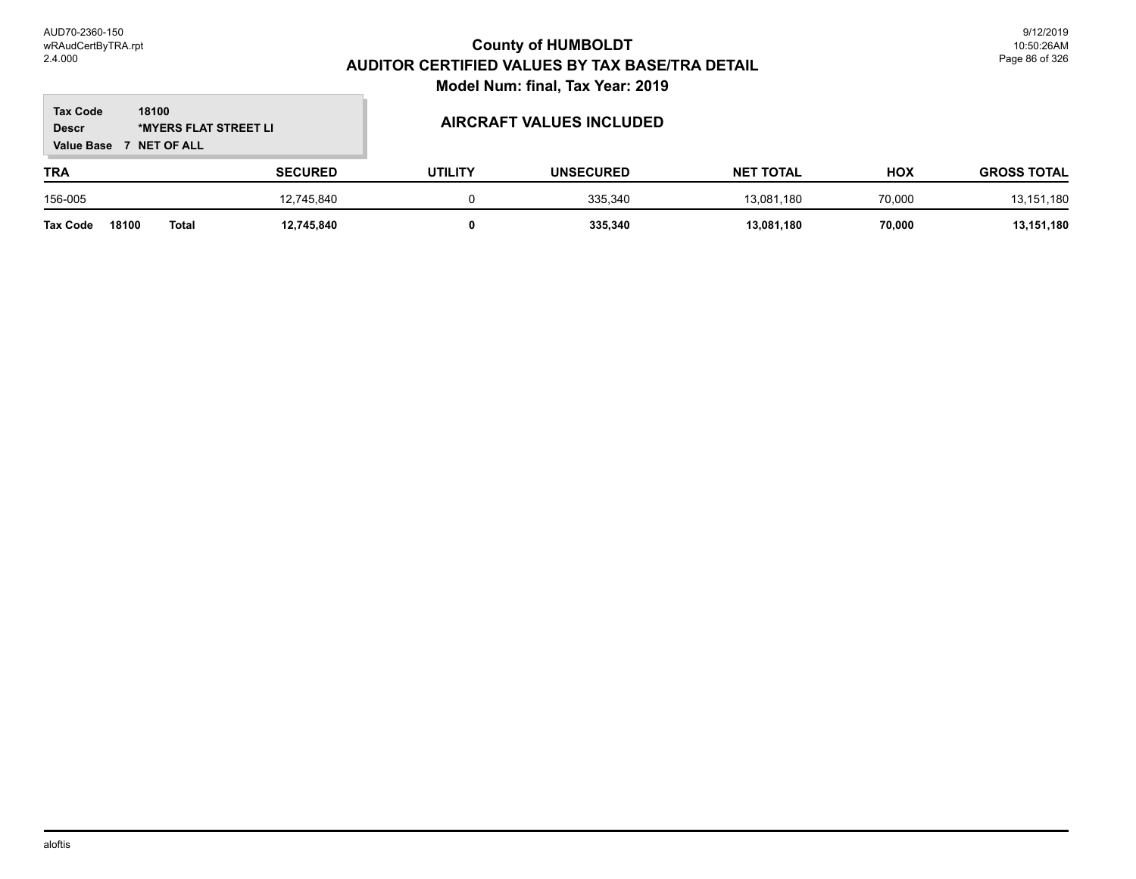#### **TRA SECURED UTILITY UNSECURED HOX Tax Code Value Base 7 NET OF ALL 18100 GROSS TOTAL NET TOTAL Descr \*MYERS FLAT STREET LI AIRCRAFT VALUES INCLUDED** 156-005 12,745,840 0 335,340 13,081,180 70,000 13,151,180 **Tax Code 18100 Total 12,745,840 0 335,340 13,081,180 70,000 13,151,180**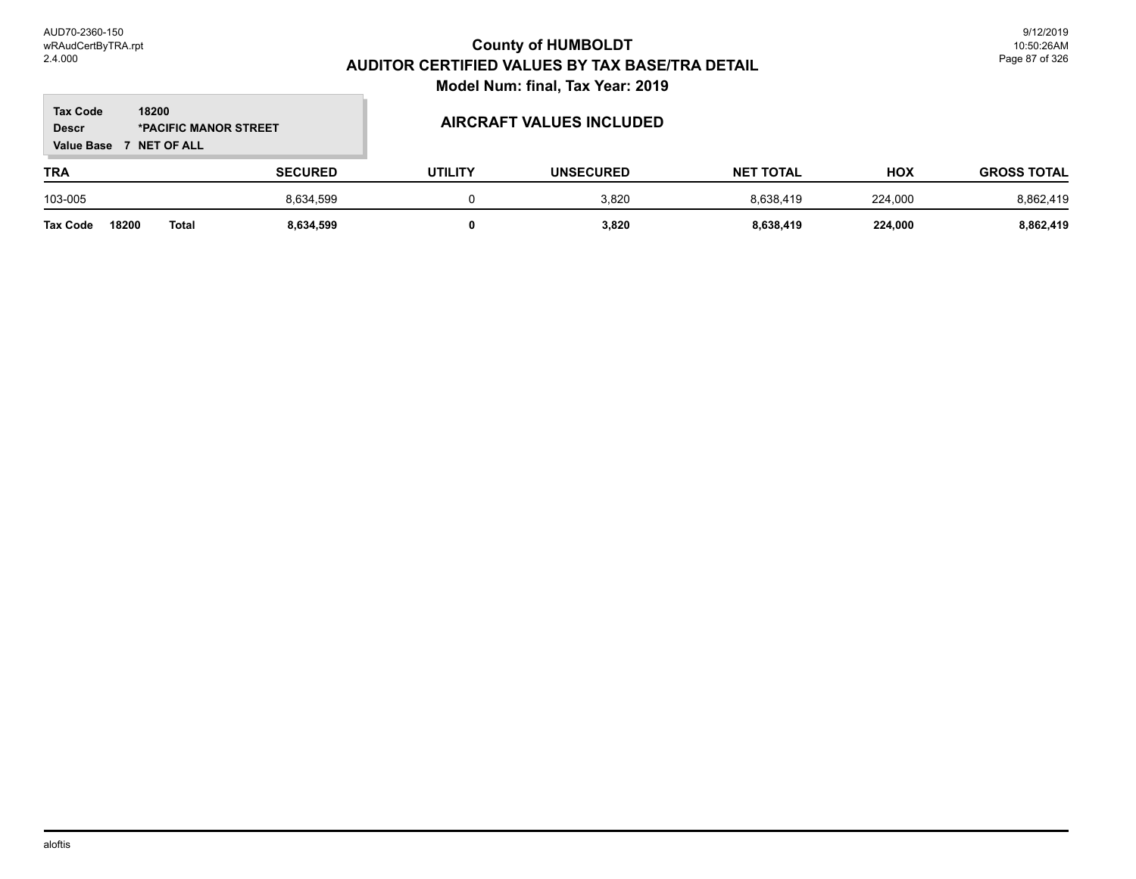#### **TRA SECURED UTILITY UNSECURED HOX Tax Code Value Base 7 NET OF ALL 18200 GROSS TOTAL NET TOTAL Descr \*PACIFIC MANOR STREET AIRCRAFT VALUES INCLUDED** 103-005 8,634,599 0 3,820 8,638,419 224,000 8,862,419

**Tax Code 18200 Total 8,634,599 0 3,820 8,638,419 224,000 8,862,419**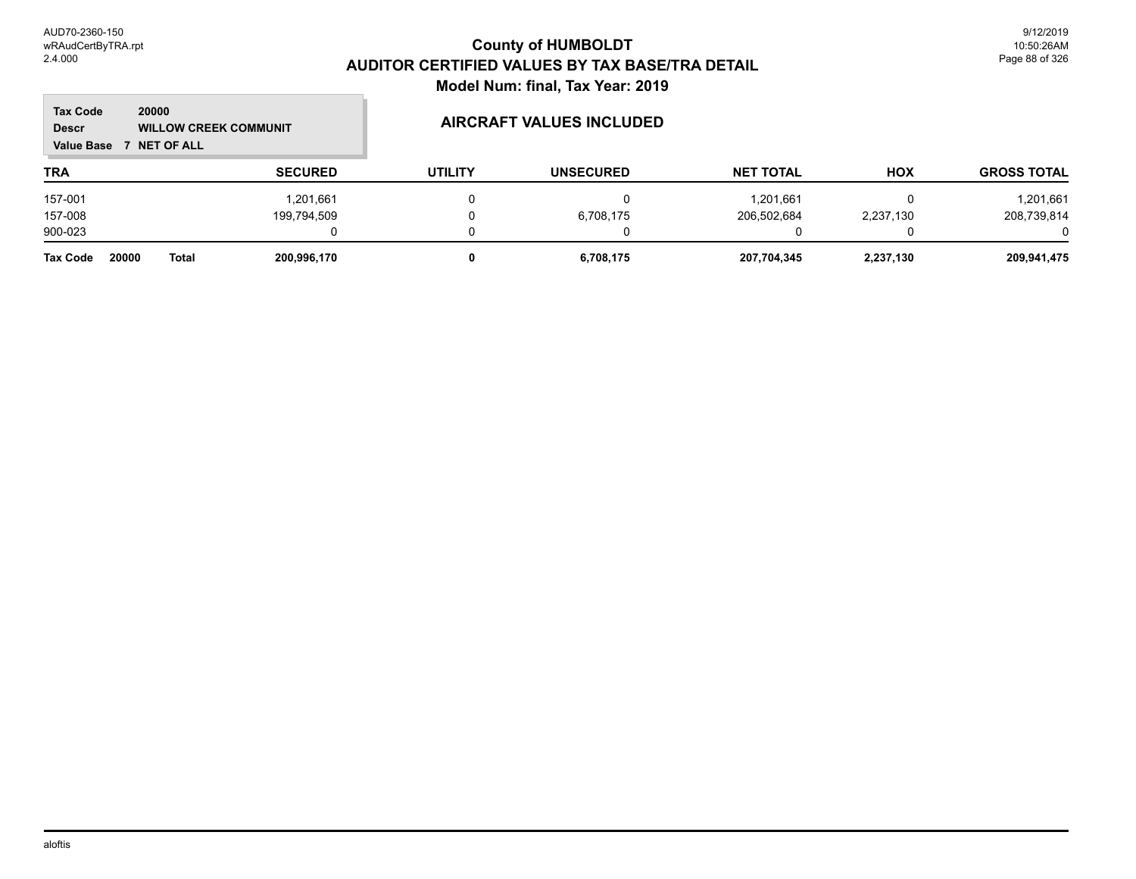| <b>Tax Code</b><br>20000<br><b>Descr</b><br><b>WILLOW CREEK COMMUNIT</b><br><b>Value Base</b><br><b>7 NET OF ALL</b> |                |                | <b>AIRCRAFT VALUES INCLUDED</b> |                  |            |                    |
|----------------------------------------------------------------------------------------------------------------------|----------------|----------------|---------------------------------|------------------|------------|--------------------|
| <b>TRA</b>                                                                                                           | <b>SECURED</b> | <b>UTILITY</b> | <b>UNSECURED</b>                | <b>NET TOTAL</b> | <b>HOX</b> | <b>GROSS TOTAL</b> |
| 157-001                                                                                                              | 1,201,661      |                |                                 | 1,201,661        |            | 1,201,661          |
| 157-008                                                                                                              | 199,794,509    |                | 6,708,175                       | 206,502,684      | 2,237,130  | 208,739,814        |
| 900-023                                                                                                              |                |                |                                 |                  |            |                    |
| 20000<br><b>Tax Code</b><br><b>Total</b>                                                                             | 200,996,170    |                | 6,708,175                       | 207,704,345      | 2,237,130  | 209,941,475        |

aloftis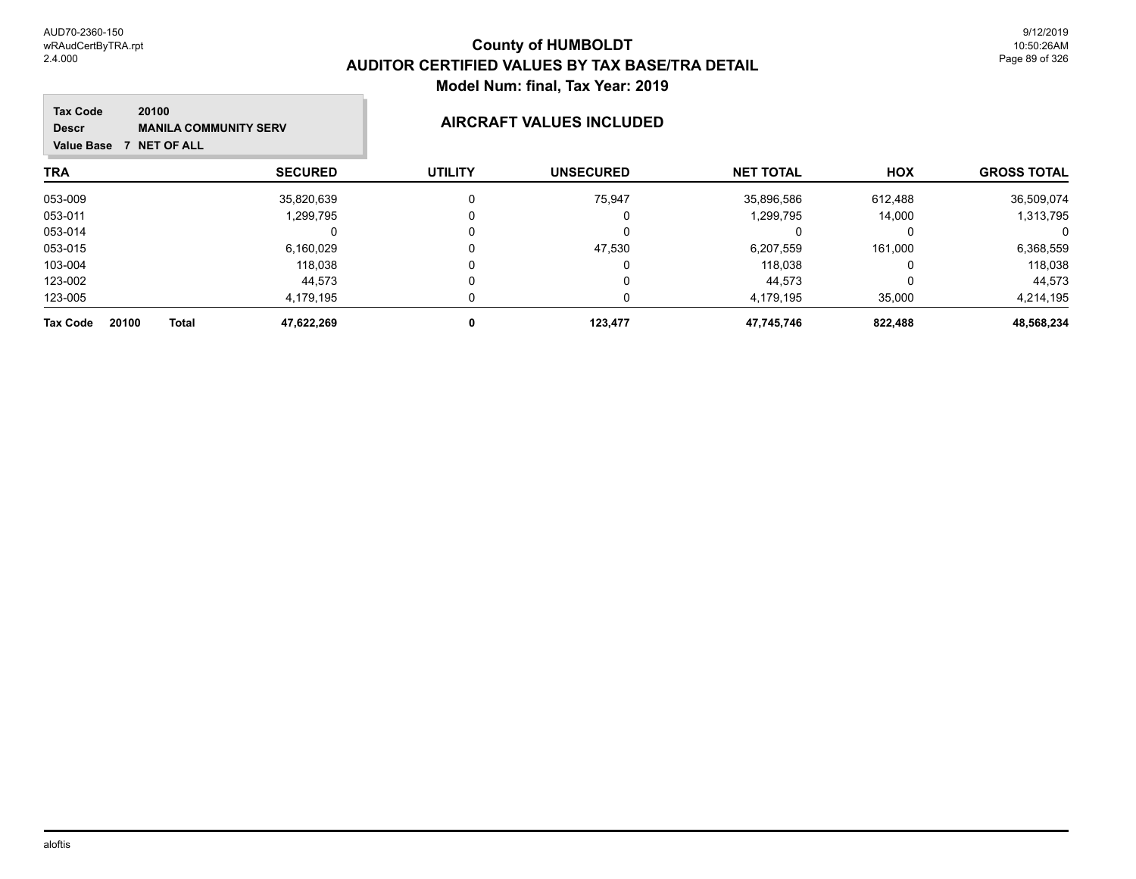m.

| <b>Tax Code</b><br>20100<br><b>MANILA COMMUNITY SERV</b><br><b>Descr</b><br><b>NET OF ALL</b><br>Value Base 7 |                     |                | AIRCRAFT VALUES INCLUDED |                  |            |                    |  |
|---------------------------------------------------------------------------------------------------------------|---------------------|----------------|--------------------------|------------------|------------|--------------------|--|
| <b>TRA</b>                                                                                                    | <b>SECURED</b>      | <b>UTILITY</b> | <b>UNSECURED</b>         | <b>NET TOTAL</b> | <b>HOX</b> | <b>GROSS TOTAL</b> |  |
| 053-009                                                                                                       | 35,820,639          | $\Omega$       | 75,947                   | 35,896,586       | 612,488    | 36,509,074         |  |
| 053-011                                                                                                       | 1,299,795           | 0              | 0                        | 1,299,795        | 14.000     | 1,313,795          |  |
| 053-014                                                                                                       |                     | 0              | 0                        |                  |            | 0                  |  |
| 053-015                                                                                                       | 6,160,029           | 0              | 47,530                   | 6,207,559        | 161,000    | 6,368,559          |  |
| 103-004                                                                                                       | 118,038             |                | 0                        | 118.038          |            | 118,038            |  |
| 123-002                                                                                                       | 44,573              | 0              | 0                        | 44,573           |            | 44,573             |  |
| 123-005                                                                                                       | 4,179,195           |                | 0                        | 4.179.195        | 35,000     | 4,214,195          |  |
| 20100<br><b>Tax Code</b>                                                                                      | 47,622,269<br>Total | 0              | 123,477                  | 47,745,746       | 822,488    | 48,568,234         |  |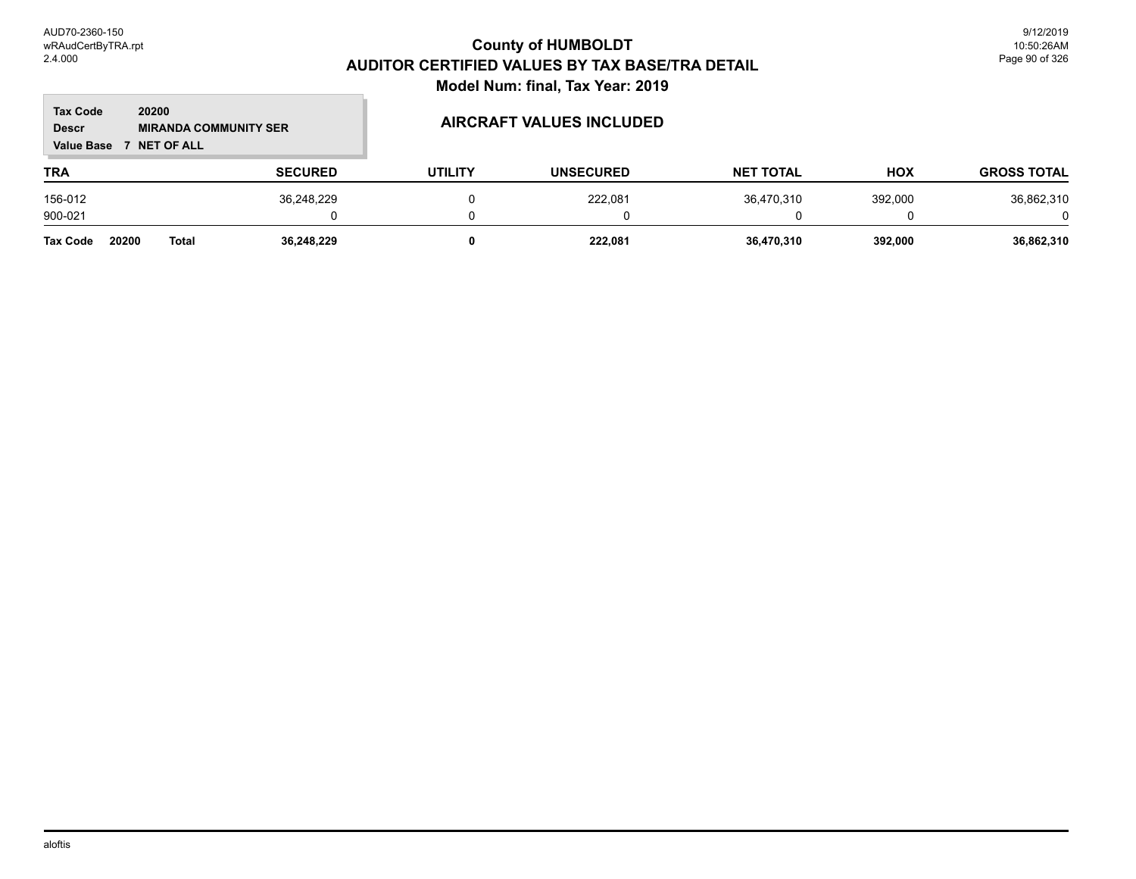#### **TRA SECURED UTILITY UNSECURED HOX Tax Code Value Base 7 NET OF ALL 20200 GROSS TOTAL NET TOTAL Descr MIRANDA COMMUNITY SER AIRCRAFT VALUES INCLUDED** 156-012 36,248,229 0 222,081 36,470,310 392,000 36,862,310 900-021 0 0 0 0 0 0 **Tax Code 20200 Total 36,248,229 0 222,081 36,470,310 392,000 36,862,310**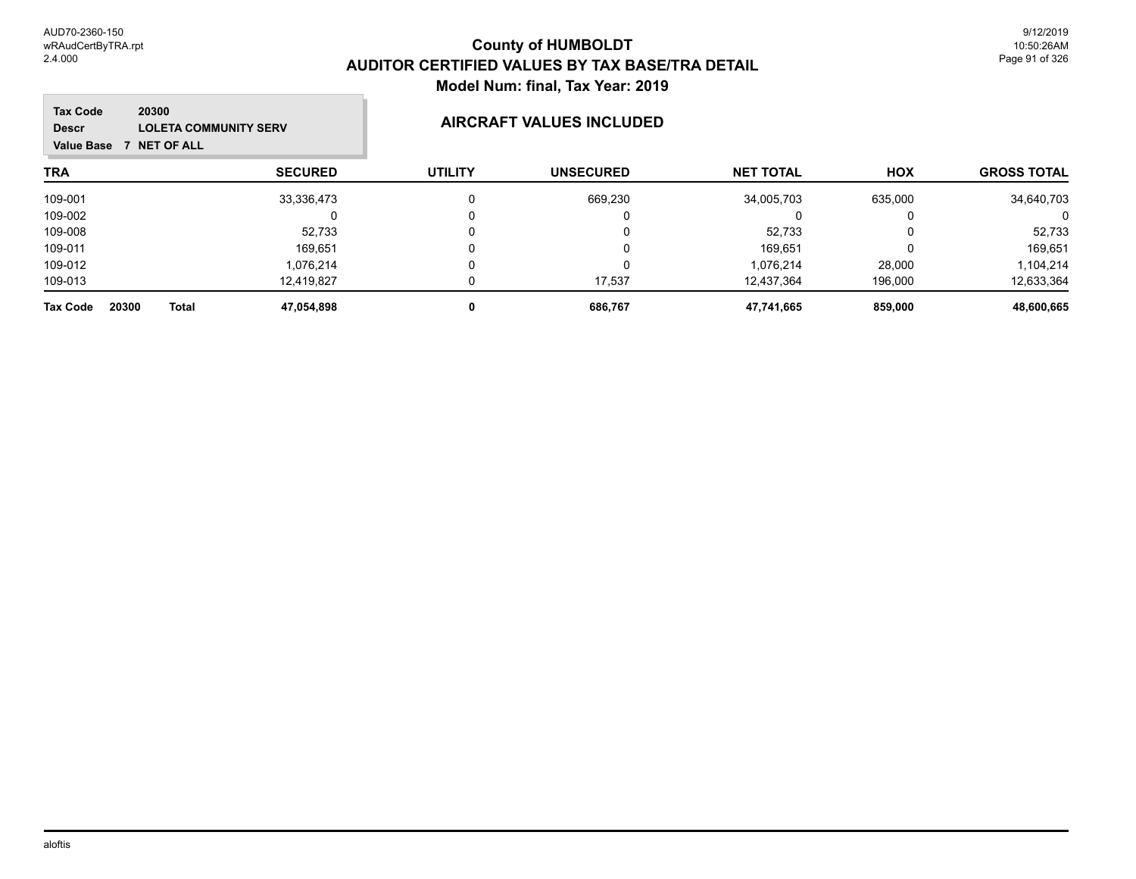| <b>Tax Code</b><br>20300<br><b>LOLETA COMMUNITY SERV</b><br><b>Descr</b><br><b>NET OF ALL</b><br><b>Value Base</b><br>7 |                |                | <b>AIRCRAFT VALUES INCLUDED</b> |                  |            |                    |
|-------------------------------------------------------------------------------------------------------------------------|----------------|----------------|---------------------------------|------------------|------------|--------------------|
| <b>TRA</b>                                                                                                              | <b>SECURED</b> | <b>UTILITY</b> | <b>UNSECURED</b>                | <b>NET TOTAL</b> | <b>HOX</b> | <b>GROSS TOTAL</b> |
| 109-001                                                                                                                 | 33,336,473     | 0              | 669,230                         | 34,005,703       | 635,000    | 34,640,703         |
| 109-002                                                                                                                 |                | 0              | O                               |                  |            | 0                  |
| 109-008                                                                                                                 | 52,733         |                | 0                               | 52,733           |            | 52,733             |
| 109-011                                                                                                                 | 169.651        | 0              | 0                               | 169.651          |            | 169,651            |
| 109-012                                                                                                                 | 1.076.214      |                | 0                               | 1.076.214        | 28,000     | 1,104,214          |
| 109-013                                                                                                                 | 12.419.827     | 0              | 17,537                          | 12.437.364       | 196,000    | 12,633,364         |
| 20300<br><b>Total</b><br><b>Tax Code</b>                                                                                | 47,054,898     | 0              | 686,767                         | 47,741,665       | 859,000    | 48,600,665         |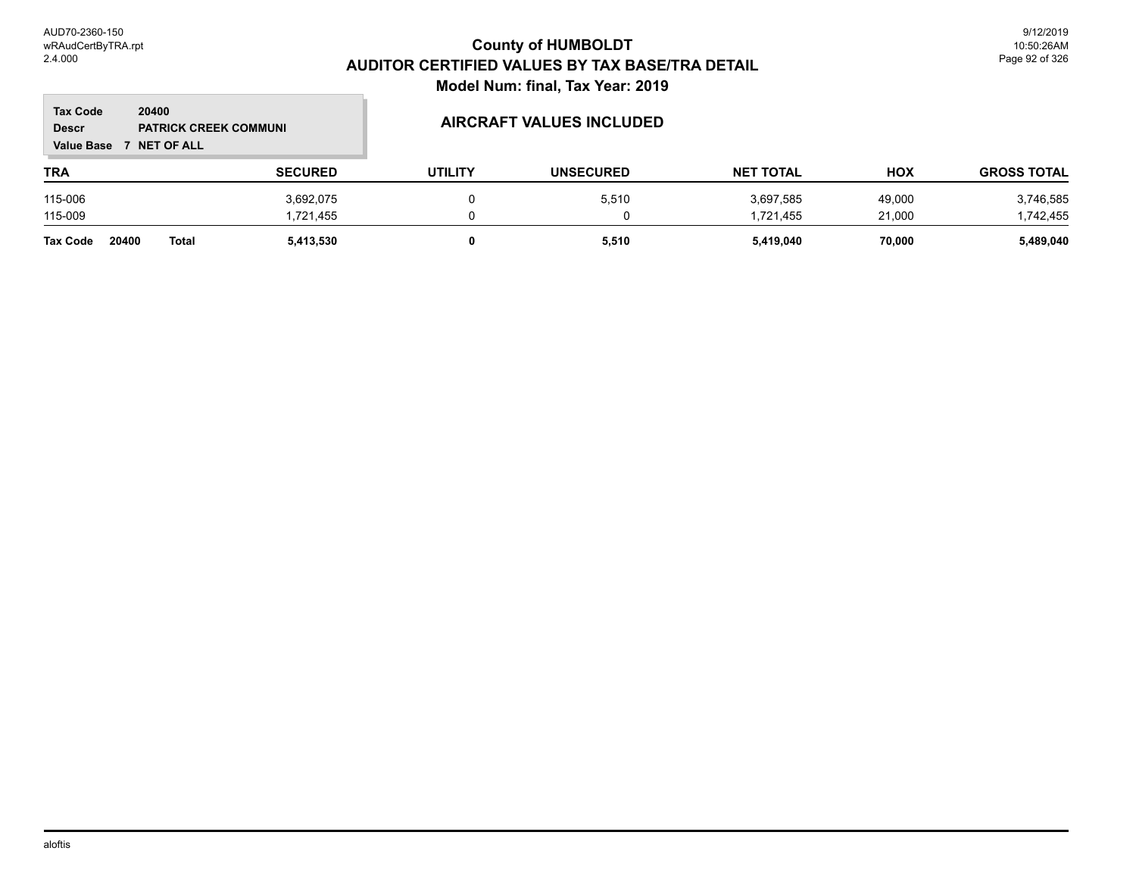**The State** 

| <b>Tax Code</b><br>20400<br><b>PATRICK CREEK COMMUNI</b><br><b>Descr</b><br><b>NET OF ALL</b><br><b>Value Base</b> |                       |                | <b>AIRCRAFT VALUES INCLUDED</b> |                  |                  |            |                    |
|--------------------------------------------------------------------------------------------------------------------|-----------------------|----------------|---------------------------------|------------------|------------------|------------|--------------------|
| <b>TRA</b>                                                                                                         |                       | <b>SECURED</b> | <b>UTILITY</b>                  | <b>UNSECURED</b> | <b>NET TOTAL</b> | <b>HOX</b> | <b>GROSS TOTAL</b> |
| 115-006                                                                                                            |                       | 3,692,075      |                                 | 5,510            | 3,697,585        | 49.000     | 3,746,585          |
| 115-009                                                                                                            |                       | 1.721.455      |                                 | 0                | 1.721.455        | 21.000     | 1,742,455          |
| <b>Tax Code</b>                                                                                                    | 20400<br><b>Total</b> | 5,413,530      |                                 | 5,510            | 5,419,040        | 70.000     | 5,489,040          |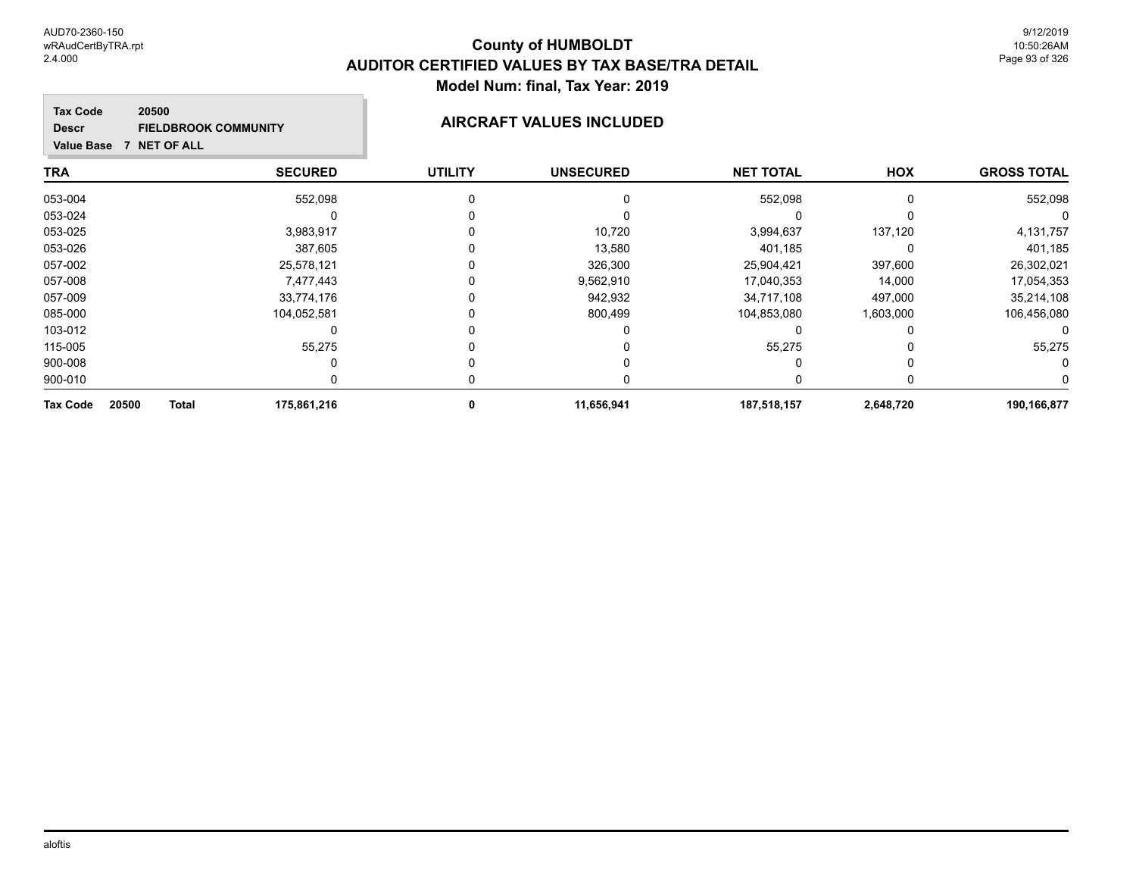#### **TRA SECURED UTILITY UNSECURED HOX Tax Code Value Base 7 NET OF ALL 20500 GROSS TOTAL NET TOTAL Descr FIELDBROOK COMMUNITY AIRCRAFT VALUES INCLUDED** 053-004 552,098 0 0 552,098 0 552,098 053-024 0 0 0 0 0 0 053-025 3,983,917 0 10,720 3,994,637 137,120 4,131,757 053-026 387,605 0 13,580 401,185 0 401,185 057-002 25,578,121 0 326,300 25,904,421 397,600 26,302,021 057-008 7,477,443 0 9,562,910 17,040,353 14,000 17,054,353 057-009 33,774,176 0 942,932 34,717,108 497,000 35,214,108 085-000 104,052,581 0 800,499 104,853,080 1,603,000 106,456,080 103-012 0 0 0 0 0 0 115-005 55,275 0 0 55,275 0 55,275 900-008 0 0 0 0 0 0 900-010 0 0 0 0 0 0

**Tax Code 20500 Total 175,861,216 0 11,656,941 187,518,157 2,648,720 190,166,877**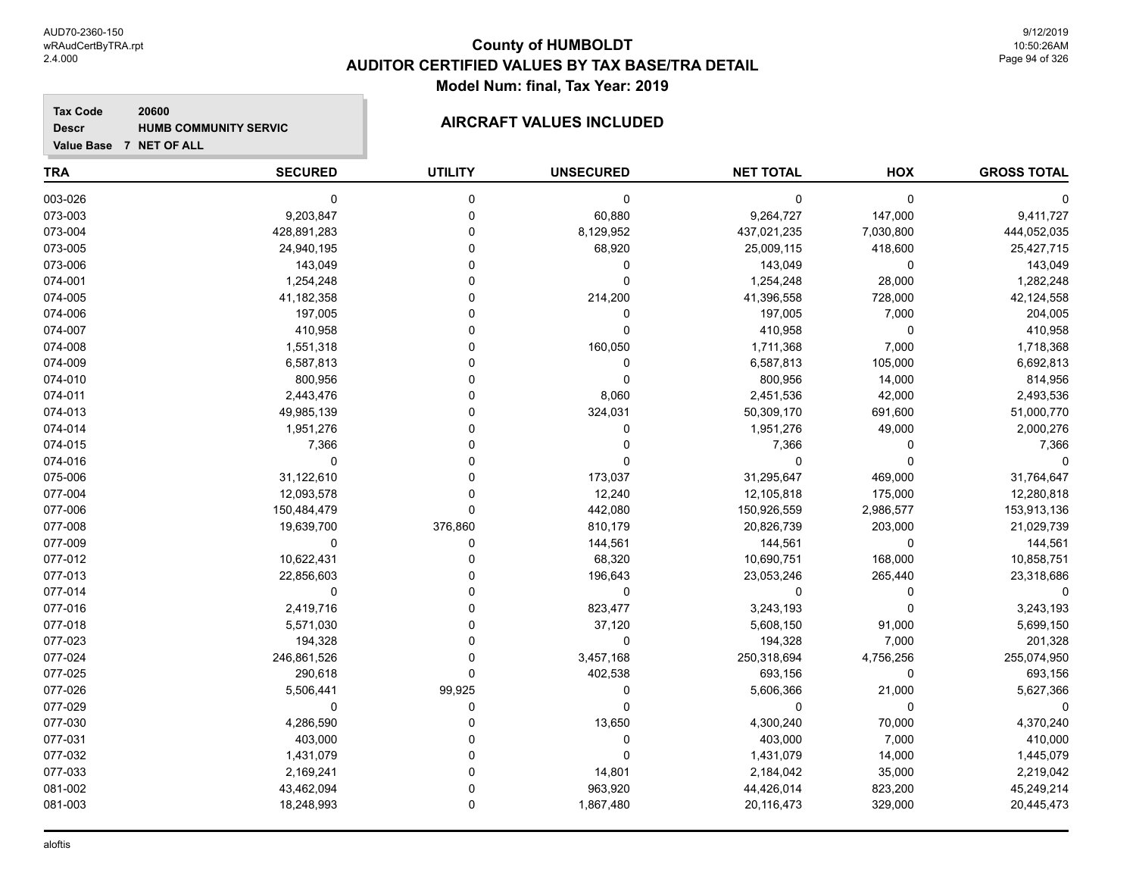#### **Tax Code 20600 Descr HUMB COMMUNITY SERVIC AIRCRAFT VALUES INCLUDED**

| Value Base 7 NET OF ALL |  |
|-------------------------|--|
|                         |  |

| <b>TRA</b> | <b>SECURED</b> | <b>UTILITY</b> | <b>UNSECURED</b> | <b>NET TOTAL</b> | HOX         | <b>GROSS TOTAL</b> |
|------------|----------------|----------------|------------------|------------------|-------------|--------------------|
| 003-026    | $\mathbf 0$    | 0              | 0                | 0                | $\mathbf 0$ |                    |
| 073-003    | 9,203,847      | $\mathbf 0$    | 60,880           | 9,264,727        | 147,000     | 9,411,727          |
| 073-004    | 428,891,283    | $\Omega$       | 8,129,952        | 437,021,235      | 7,030,800   | 444,052,035        |
| 073-005    | 24,940,195     | $\Omega$       | 68,920           | 25,009,115       | 418,600     | 25,427,715         |
| 073-006    | 143,049        | $\Omega$       | 0                | 143,049          | $\Omega$    | 143,049            |
| 074-001    | 1,254,248      | O              | 0                | 1,254,248        | 28,000      | 1,282,248          |
| 074-005    | 41,182,358     | U              | 214,200          | 41,396,558       | 728,000     | 42,124,558         |
| 074-006    | 197,005        | $\Omega$       | 0                | 197,005          | 7,000       | 204,005            |
| 074-007    | 410,958        | $\Omega$       | 0                | 410,958          | 0           | 410,958            |
| 074-008    | 1,551,318      |                | 160,050          | 1,711,368        | 7,000       | 1,718,368          |
| 074-009    | 6,587,813      | $\Omega$       | 0                | 6,587,813        | 105,000     | 6,692,813          |
| 074-010    | 800,956        | O              | 0                | 800,956          | 14,000      | 814,956            |
| 074-011    | 2,443,476      | O              | 8,060            | 2,451,536        | 42,000      | 2,493,536          |
| 074-013    | 49,985,139     | U              | 324,031          | 50,309,170       | 691,600     | 51,000,770         |
| 074-014    | 1,951,276      | 0              | 0                | 1,951,276        | 49,000      | 2,000,276          |
| 074-015    | 7,366          | 0              | 0                | 7,366            | $\mathbf 0$ | 7,366              |
| 074-016    | $\mathbf 0$    | U              | 0                | 0                | $\Omega$    | $\Omega$           |
| 075-006    | 31,122,610     | 0              | 173,037          | 31,295,647       | 469,000     | 31,764,647         |
| 077-004    | 12,093,578     | $\Omega$       | 12,240           | 12,105,818       | 175,000     | 12,280,818         |
| 077-006    | 150,484,479    | $\Omega$       | 442,080          | 150,926,559      | 2,986,577   | 153,913,136        |
| 077-008    | 19,639,700     | 376,860        | 810,179          | 20,826,739       | 203,000     | 21,029,739         |
| 077-009    | 0              | 0              | 144,561          | 144,561          | 0           | 144,561            |
| 077-012    | 10,622,431     | 0              | 68,320           | 10,690,751       | 168,000     | 10,858,751         |
| 077-013    | 22,856,603     |                | 196,643          | 23,053,246       | 265,440     | 23,318,686         |
| 077-014    | $\mathbf 0$    | $\Omega$       | 0                | 0                | $\Omega$    |                    |
| 077-016    | 2,419,716      | 0              | 823,477          | 3,243,193        | $\Omega$    | 3,243,193          |
| 077-018    | 5,571,030      | 0              | 37,120           | 5,608,150        | 91,000      | 5,699,150          |
| 077-023    | 194,328        | 0              | $\mathbf 0$      | 194,328          | 7,000       | 201,328            |
| 077-024    | 246,861,526    | 0              | 3,457,168        | 250,318,694      | 4,756,256   | 255,074,950        |
| 077-025    | 290,618        | 0              | 402,538          | 693,156          | $\mathbf 0$ | 693,156            |
| 077-026    | 5,506,441      | 99,925         | 0                | 5,606,366        | 21,000      | 5,627,366          |
| 077-029    | 0              | 0              | 0                | 0                | 0           | 0                  |
| 077-030    | 4,286,590      | $\Omega$       | 13,650           | 4,300,240        | 70,000      | 4,370,240          |
| 077-031    | 403,000        | U              | 0                | 403,000          | 7,000       | 410,000            |
| 077-032    | 1,431,079      | 0              | 0                | 1,431,079        | 14,000      | 1,445,079          |
| 077-033    | 2,169,241      | $\mathbf 0$    | 14,801           | 2,184,042        | 35,000      | 2,219,042          |
| 081-002    | 43,462,094     | $\Omega$       | 963,920          | 44,426,014       | 823,200     | 45,249,214         |
| 081-003    | 18,248,993     | 0              | 1,867,480        | 20,116,473       | 329,000     | 20,445,473         |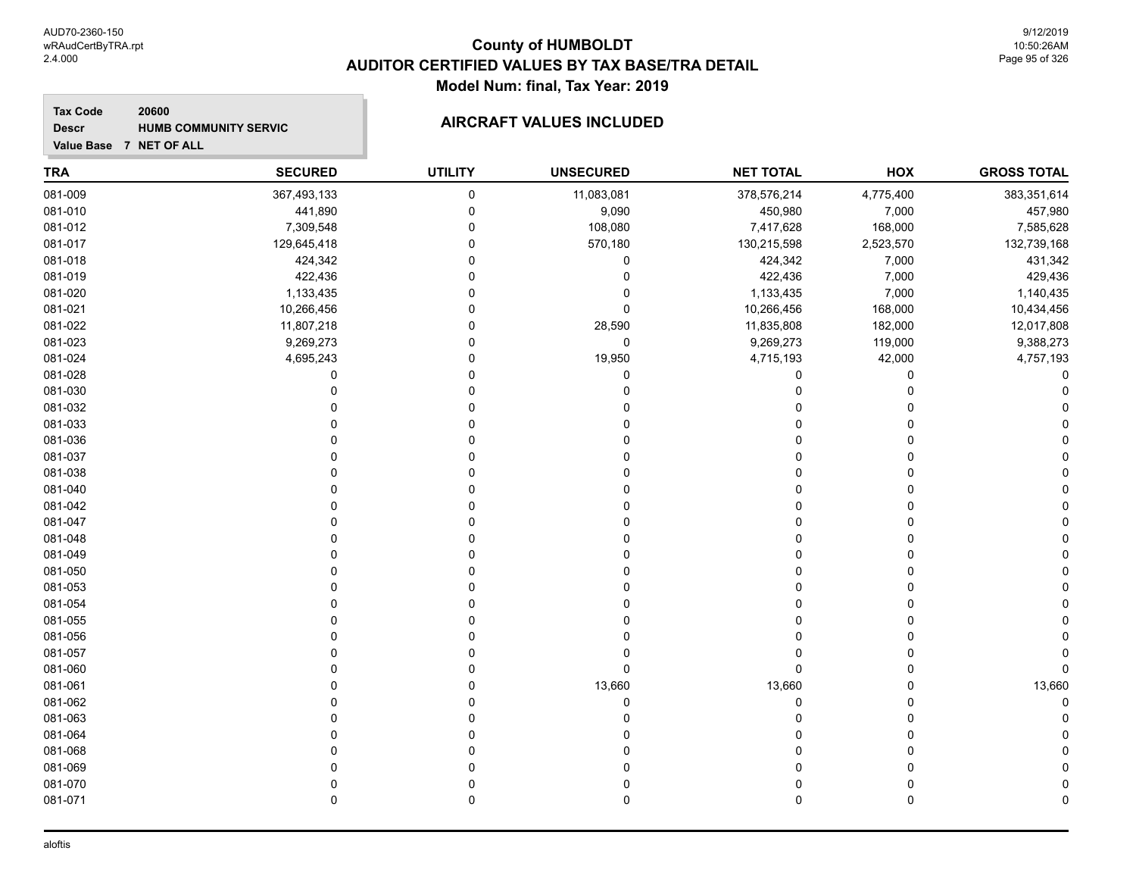9/12/2019 10:50:26AM Page 95 of 326

#### **Tax Code 20600 Descr**

# **HUMB COMMUNITY SERVIC AIRCRAFT VALUES INCLUDED**

**Value Base 7 NET OF ALL**

| <b>GROSS TOTAL</b> | HOX       | <b>NET TOTAL</b> | <b>UNSECURED</b> | <b>UTILITY</b> | <b>SECURED</b> | <b>TRA</b> |
|--------------------|-----------|------------------|------------------|----------------|----------------|------------|
| 383,351,614        | 4,775,400 | 378,576,214      | 11,083,081       | $\pmb{0}$      | 367,493,133    | 081-009    |
| 457,980            | 7,000     | 450,980          | 9,090            | $\mathbf 0$    | 441,890        | 081-010    |
| 7,585,628          | 168,000   | 7,417,628        | 108,080          | 0              | 7,309,548      | 081-012    |
| 132,739,168        | 2,523,570 | 130,215,598      | 570,180          | $\mathbf 0$    | 129,645,418    | 081-017    |
| 431,342            | 7,000     | 424,342          | 0                | $\mathbf 0$    | 424,342        | 081-018    |
| 429,436            | 7,000     | 422,436          | $\Omega$         | $\Omega$       | 422,436        | 081-019    |
| 1,140,435          | 7,000     | 1,133,435        | $\Omega$         | $\Omega$       | 1,133,435      | 081-020    |
| 10,434,456         | 168,000   | 10,266,456       | $\mathbf 0$      | $\Omega$       | 10,266,456     | 081-021    |
| 12,017,808         | 182,000   | 11,835,808       | 28,590           | $\mathbf 0$    | 11,807,218     | 081-022    |
| 9,388,273          | 119,000   | 9,269,273        | $\mathbf 0$      | $\Omega$       | 9,269,273      | 081-023    |
| 4,757,193          | 42,000    | 4,715,193        | 19,950           | 0              | 4,695,243      | 081-024    |
| C                  | 0         | 0                | $\Omega$         | $\Omega$       | 0              | 081-028    |
|                    | 0         | 0                |                  | $\Omega$       | $\Omega$       | 081-030    |
|                    | 0         |                  |                  | $\Omega$       |                | 081-032    |
|                    | 0         |                  |                  | $\Omega$       | C              | 081-033    |
|                    | $\Omega$  |                  |                  | $\Omega$       | $\Omega$       | 081-036    |
|                    | 0         |                  |                  | $\Omega$       | $\Omega$       | 081-037    |
|                    | 0         |                  |                  | $\Omega$       | C              | 081-038    |
|                    | 0         |                  |                  | $\Omega$       | 0              | 081-040    |
|                    | 0         |                  |                  | 0              |                | 081-042    |
|                    | 0         |                  |                  | $\Omega$       | 0              | 081-047    |
|                    | 0         |                  |                  | $\Omega$       | $\Omega$       | 081-048    |
|                    | 0         |                  |                  | $\Omega$       | C              | 081-049    |
|                    | 0         | O                |                  | $\Omega$       | $\Omega$       | 081-050    |
|                    | 0         |                  |                  | $\Omega$       | $\Omega$       | 081-053    |
|                    | 0         |                  |                  | $\Omega$       | $\bigcap$      | 081-054    |
|                    | 0         |                  |                  | $\Omega$       | $\Omega$       | 081-055    |
|                    | 0         |                  |                  | 0              | O              | 081-056    |
|                    | 0         |                  |                  | $\Omega$       | $\Omega$       | 081-057    |
|                    | 0         | $\Omega$         | $\mathbf 0$      | $\Omega$       | $\Omega$       | 081-060    |
| 13,660             | 0         | 13,660           | 13,660           | $\Omega$       | $\Omega$       | 081-061    |
| $\Omega$           | 0         | $\Omega$         | $\mathbf 0$      | $\Omega$       | $\Omega$       | 081-062    |
|                    | 0         | O                |                  | $\Omega$       | $\Omega$       | 081-063    |
|                    | 0         |                  |                  | $\Omega$       | $\Omega$       | 081-064    |
|                    | 0         |                  |                  | n              | O              | 081-068    |
|                    | 0         | U                |                  | $\Omega$       | $\Omega$       | 081-069    |
|                    | 0         | 0                |                  | $\mathbf 0$    | $\mathbf 0$    | 081-070    |
| C                  | 0         | $\mathbf 0$      | $\mathbf 0$      | $\mathbf 0$    | $\mathbf 0$    | 081-071    |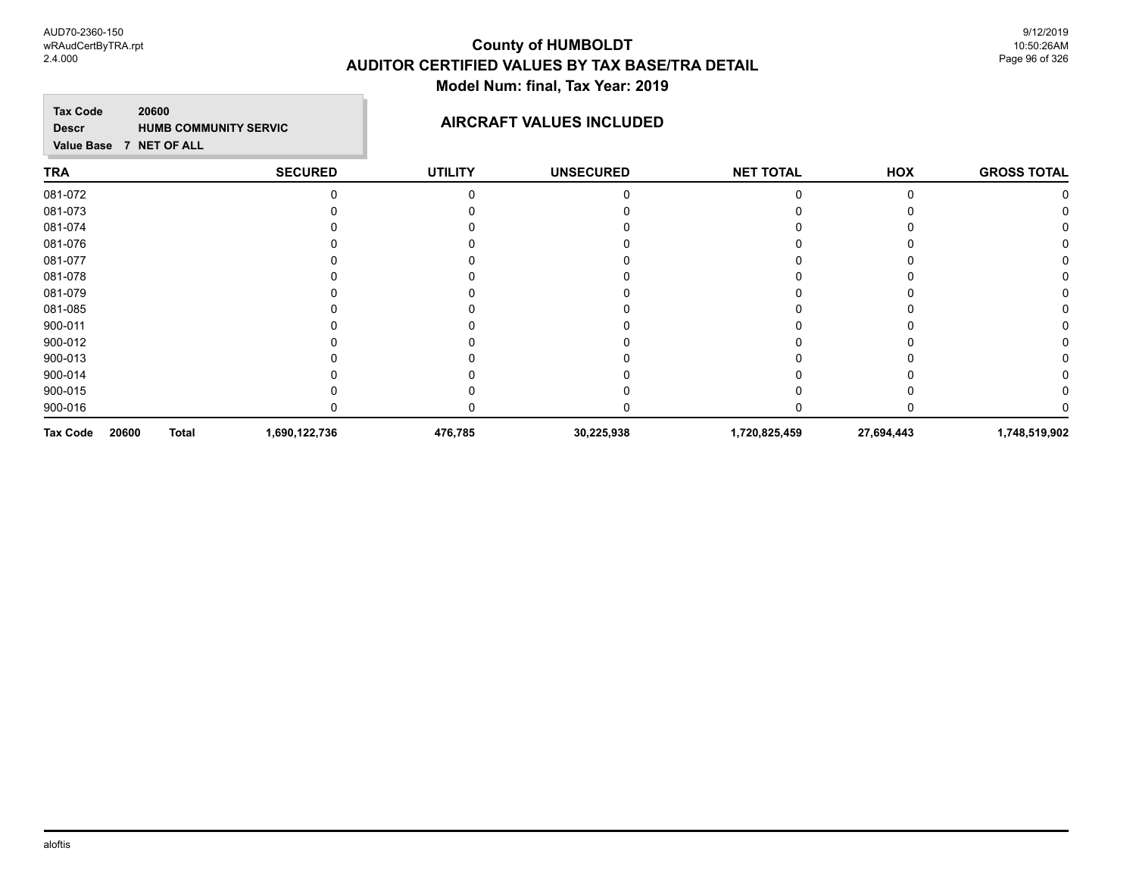**Tax Code 20600 Descr**

## **HUMB COMMUNITY SERVIC AIRCRAFT VALUES INCLUDED**

**Value Base 7 NET OF ALL**

#### **TRA SECURED UTILITY UNSECURED HOX GROSS TOTAL NET TOTAL** 081-072 0 0 0 0 0 0 081-073 0 0 0 0 0 0 081-074 0 0 0 0 0 0 081-076 0 0 0 0 0 0 081-077 0 0 0 0 0 0 081-078 0 0 0 0 0 0 081-079 0 0 0 0 0 0 081-085 0 0 0 0 0 0 900-011 0 0 0 0 0 0 900-012 0 0 0 0 0 0 900-013 0 0 0 0 0 0 900-014 0 0 0 0 0 0 900-015 0 0 0 0 0 0 900-016 0 0 0 0 0 0 **Tax Code 20600 Total 1,690,122,736 476,785 30,225,938 1,720,825,459 27,694,443 1,748,519,902**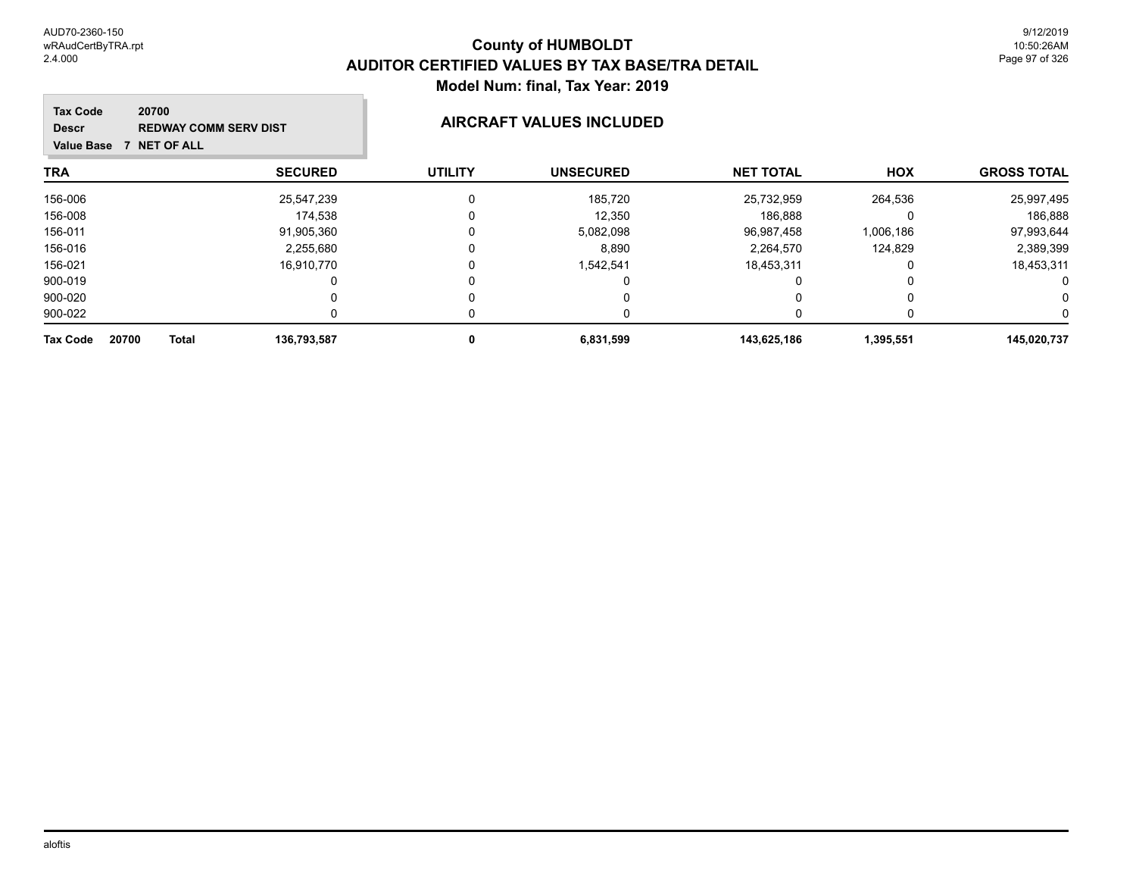9/12/2019 10:50:26AM Page 97 of 326

| <b>Tax Code</b><br>20700<br><b>Descr</b><br><b>Value Base</b> | <b>REDWAY COMM SERV DIST</b><br><b>NET OF ALL</b> |                | <b>AIRCRAFT VALUES INCLUDED</b> |                  |            |                    |  |
|---------------------------------------------------------------|---------------------------------------------------|----------------|---------------------------------|------------------|------------|--------------------|--|
| <b>TRA</b>                                                    | <b>SECURED</b>                                    | <b>UTILITY</b> | <b>UNSECURED</b>                | <b>NET TOTAL</b> | <b>HOX</b> | <b>GROSS TOTAL</b> |  |
| 156-006                                                       | 25,547,239                                        |                | 185,720                         | 25,732,959       | 264,536    | 25,997,495         |  |
| 156-008                                                       | 174.538                                           |                | 12,350                          | 186,888          |            | 186,888            |  |
| 156-011                                                       | 91,905,360                                        |                | 5,082,098                       | 96,987,458       | 1,006,186  | 97,993,644         |  |
| 156-016                                                       | 2,255,680                                         |                | 8,890                           | 2.264.570        | 124.829    | 2,389,399          |  |
| 156-021                                                       | 16,910,770                                        |                | 1,542,541                       | 18,453,311       |            | 18,453,311         |  |
| 900-019                                                       |                                                   |                |                                 |                  |            | 0                  |  |
| 900-020                                                       |                                                   |                |                                 |                  |            | 0                  |  |
| 900-022                                                       |                                                   |                |                                 |                  |            |                    |  |
| <b>Tax Code</b><br>20700                                      | <b>Total</b><br>136,793,587                       |                | 6,831,599                       | 143,625,186      | 1,395,551  | 145,020,737        |  |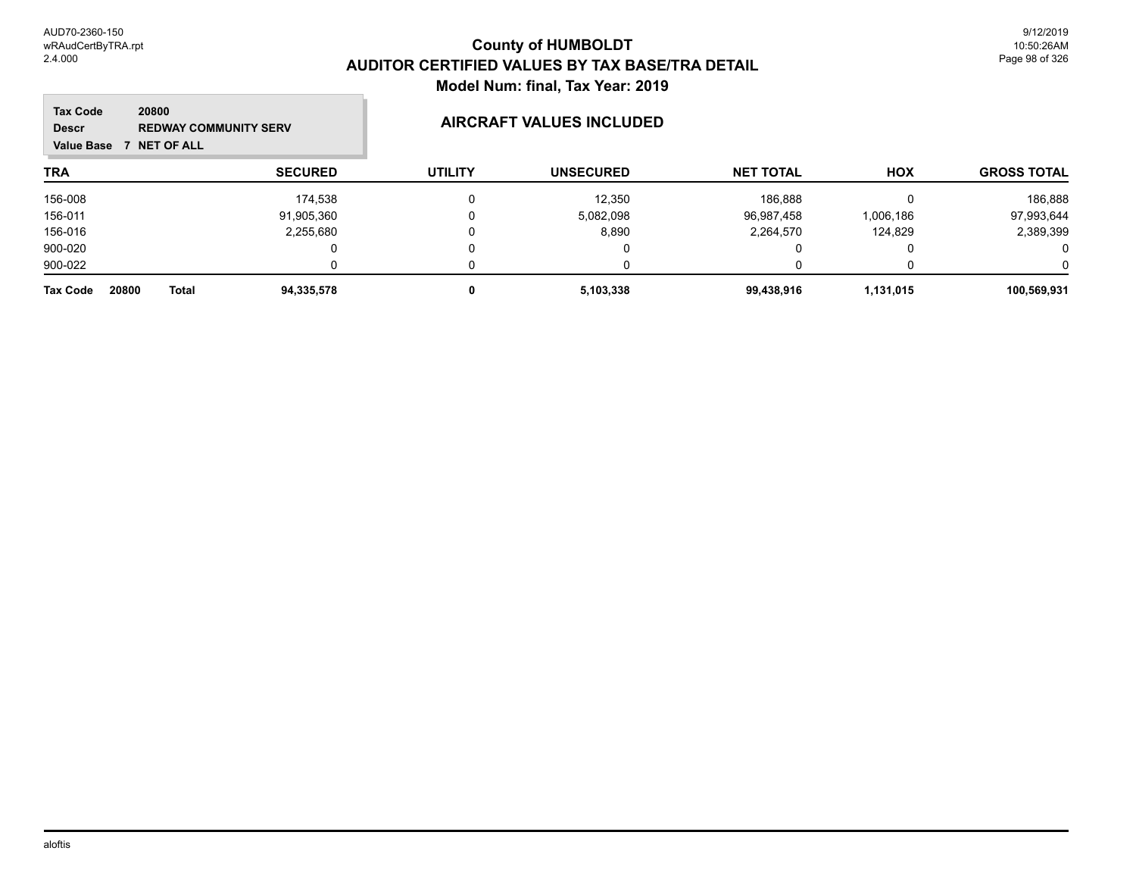| <b>Tax Code</b><br>20800<br><b>Descr</b><br><b>7 NET OF ALL</b><br>Value Base | <b>REDWAY COMMUNITY SERV</b> |                | <b>AIRCRAFT VALUES INCLUDED</b> |                  |            |                    |
|-------------------------------------------------------------------------------|------------------------------|----------------|---------------------------------|------------------|------------|--------------------|
| <b>TRA</b>                                                                    | <b>SECURED</b>               | <b>UTILITY</b> | <b>UNSECURED</b>                | <b>NET TOTAL</b> | <b>HOX</b> | <b>GROSS TOTAL</b> |
| 156-008                                                                       | 174,538                      |                | 12,350                          | 186,888          |            | 186,888            |
| 156-011                                                                       | 91,905,360                   |                | 5,082,098                       | 96,987,458       | 1,006,186  | 97,993,644         |
| 156-016                                                                       | 2,255,680                    |                | 8,890                           | 2,264,570        | 124,829    | 2,389,399          |
| 900-020                                                                       |                              |                | U                               |                  |            | 0                  |
| 900-022                                                                       | <sup>n</sup>                 |                | n                               |                  |            | 0                  |
| 20800<br><b>Total</b><br><b>Tax Code</b>                                      | 94,335,578                   | 0              | 5,103,338                       | 99,438,916       | 1,131,015  | 100,569,931        |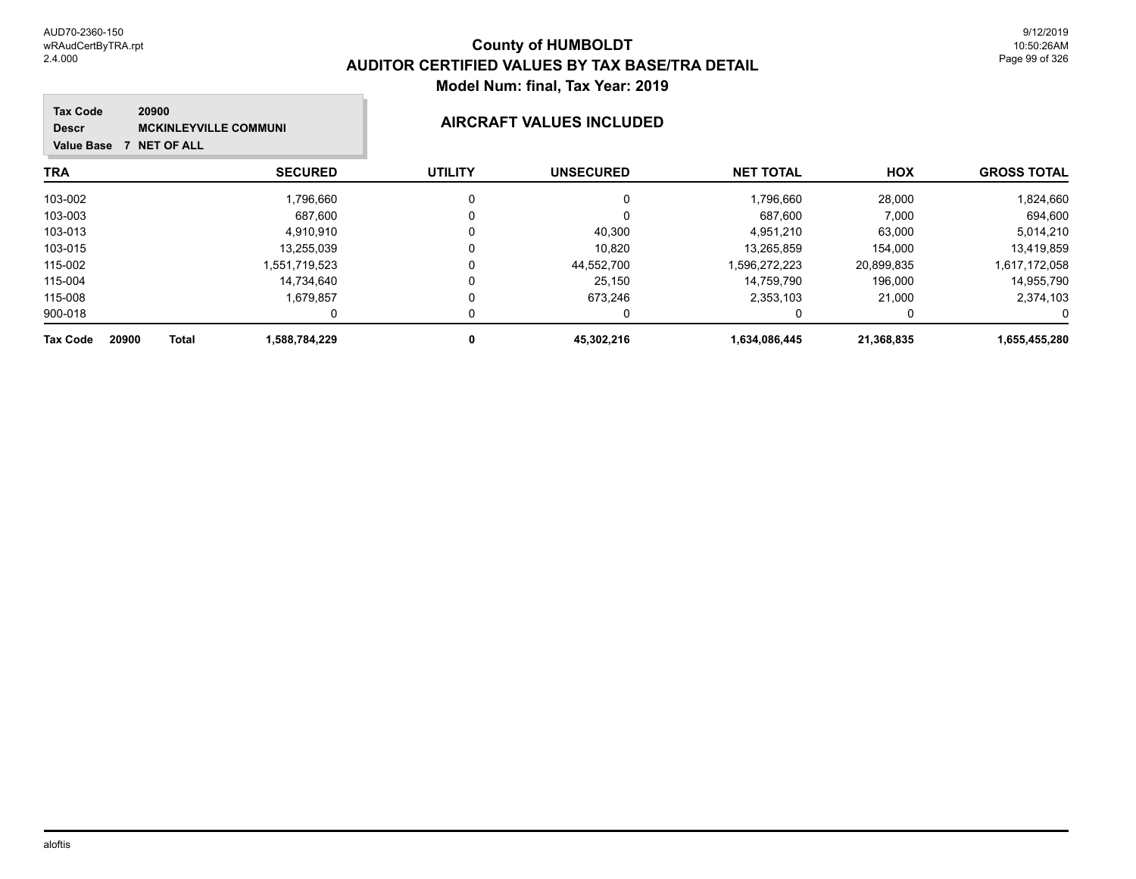| <b>Tax Code</b><br>20900<br><b>MCKINLEYVILLE COMMUNI</b><br><b>Descr</b><br><b>NET OF ALL</b><br><b>Value Base</b> |                |                | <b>AIRCRAFT VALUES INCLUDED</b> |                  |            |                    |
|--------------------------------------------------------------------------------------------------------------------|----------------|----------------|---------------------------------|------------------|------------|--------------------|
| TRA                                                                                                                | <b>SECURED</b> | <b>UTILITY</b> | <b>UNSECURED</b>                | <b>NET TOTAL</b> | <b>HOX</b> | <b>GROSS TOTAL</b> |
| 103-002                                                                                                            | 1,796,660      | 0              | 0                               | 1,796,660        | 28,000     | 1,824,660          |
| 103-003                                                                                                            | 687,600        |                |                                 | 687,600          | 7,000      | 694,600            |
| 103-013                                                                                                            | 4,910,910      |                | 40,300                          | 4,951,210        | 63,000     | 5,014,210          |
| 103-015                                                                                                            | 13.255.039     |                | 10,820                          | 13.265.859       | 154,000    | 13,419,859         |
| 115-002                                                                                                            | 1.551.719.523  |                | 44,552,700                      | 1,596,272,223    | 20,899,835 | 1,617,172,058      |
| 115-004                                                                                                            | 14,734,640     |                | 25,150                          | 14.759.790       | 196,000    | 14,955,790         |
| 115-008                                                                                                            | 1.679.857      | O              | 673,246                         | 2,353,103        | 21.000     | 2,374,103          |
| 900-018                                                                                                            |                |                |                                 |                  |            | 0                  |
| 20900<br><b>Total</b><br><b>Tax Code</b>                                                                           | 1,588,784,229  |                | 45,302,216                      | 1,634,086,445    | 21,368,835 | 1,655,455,280      |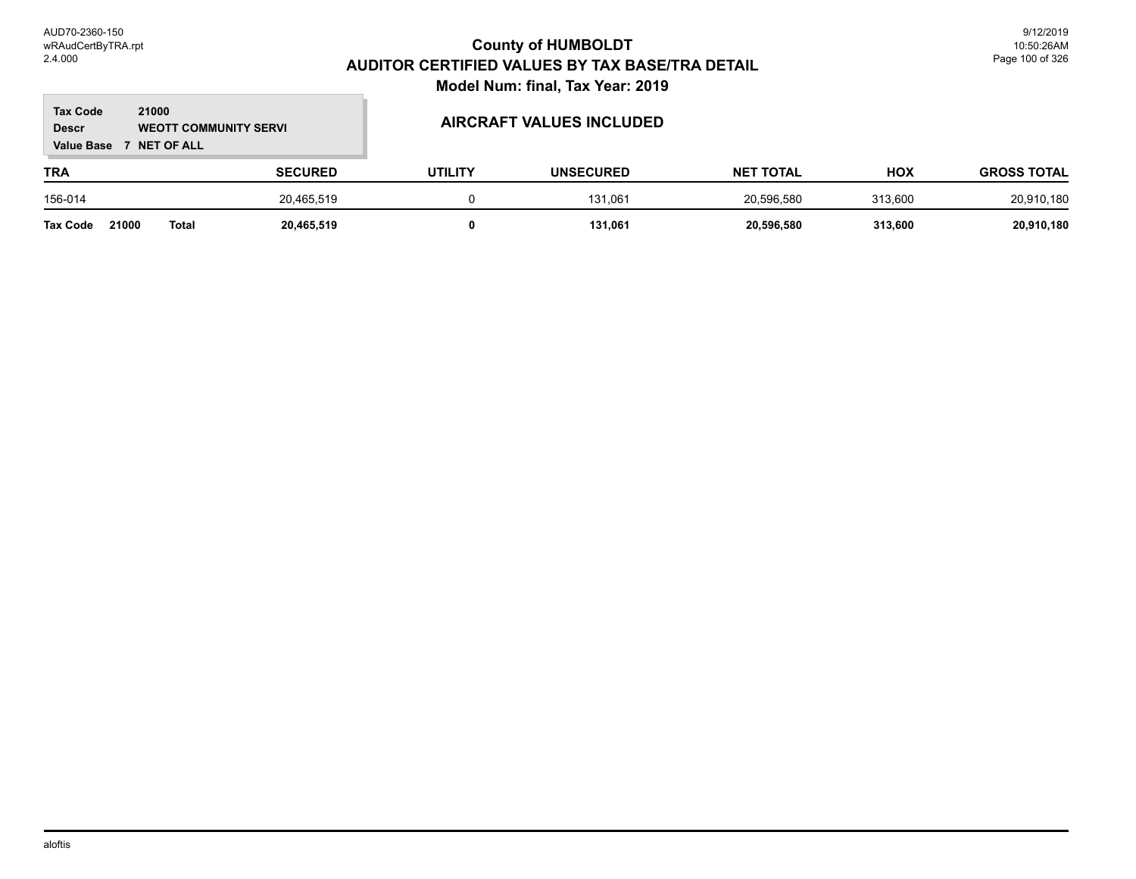#### **TRA SECURED UTILITY UNSECURED HOX Tax Code Value Base 7 NET OF ALL 21000 GROSS TOTAL NET TOTAL Descr WEOTT COMMUNITY SERVI AIRCRAFT VALUES INCLUDED** 156-014 20,465,519 0 131,061 20,596,580 313,600 20,910,180

**Tax Code 21000 Total 20,465,519 0 131,061 20,596,580 313,600 20,910,180**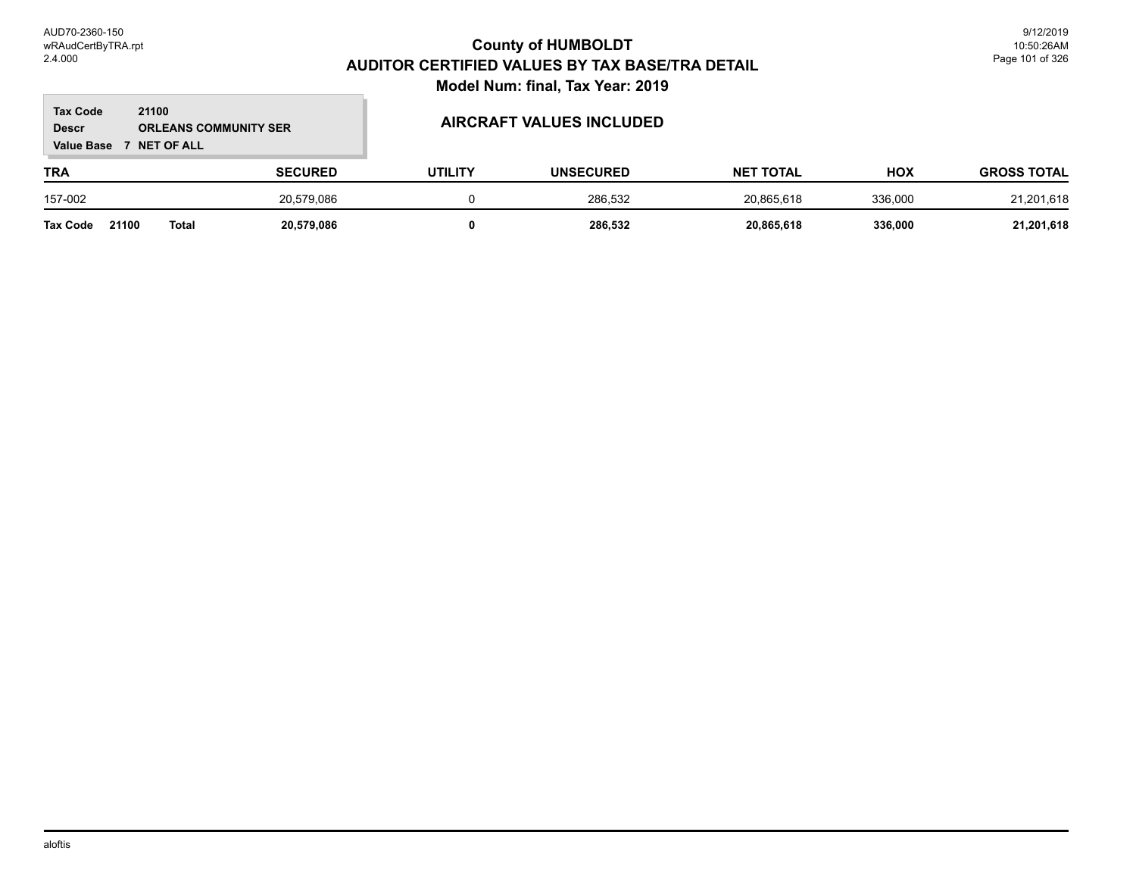#### **TRA SECURED UTILITY UNSECURED HOX Tax Code Value Base 7 NET OF ALL 21100 GROSS TOTAL NET TOTAL Descr ORLEANS COMMUNITY SER AIRCRAFT VALUES INCLUDED** 157-002 20,579,086 0 286,532 20,865,618 336,000 21,201,618 **Tax Code 21100 Total 20,579,086 0 286,532 20,865,618 336,000 21,201,618**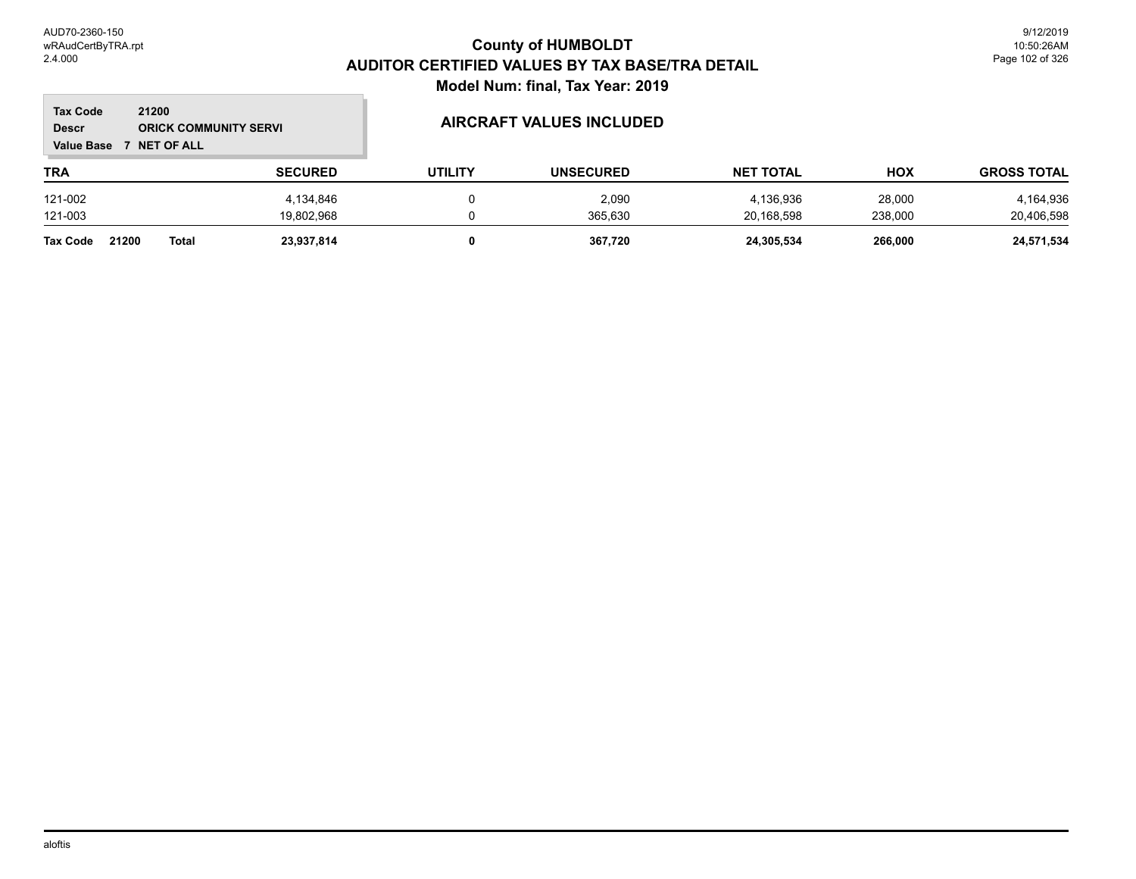$\mathbb{R}^2$ 

| 21200<br><b>Tax Code</b><br><b>ORICK COMMUNITY SERVI</b><br><b>Descr</b><br><b>NET OF ALL</b><br><b>Value Base</b> |              |                | <b>AIRCRAFT VALUES INCLUDED</b> |                  |                  |            |                    |
|--------------------------------------------------------------------------------------------------------------------|--------------|----------------|---------------------------------|------------------|------------------|------------|--------------------|
| <b>TRA</b>                                                                                                         |              | <b>SECURED</b> | <b>UTILITY</b>                  | <b>UNSECURED</b> | <b>NET TOTAL</b> | <b>HOX</b> | <b>GROSS TOTAL</b> |
| 121-002                                                                                                            |              | 4,134,846      | 0                               | 2,090            | 4,136,936        | 28,000     | 4,164,936          |
| 121-003                                                                                                            |              | 19,802,968     |                                 | 365.630          | 20.168.598       | 238.000    | 20,406,598         |
| 21200<br><b>Tax Code</b>                                                                                           | <b>Total</b> | 23,937,814     | 0                               | 367.720          | 24,305,534       | 266,000    | 24,571,534         |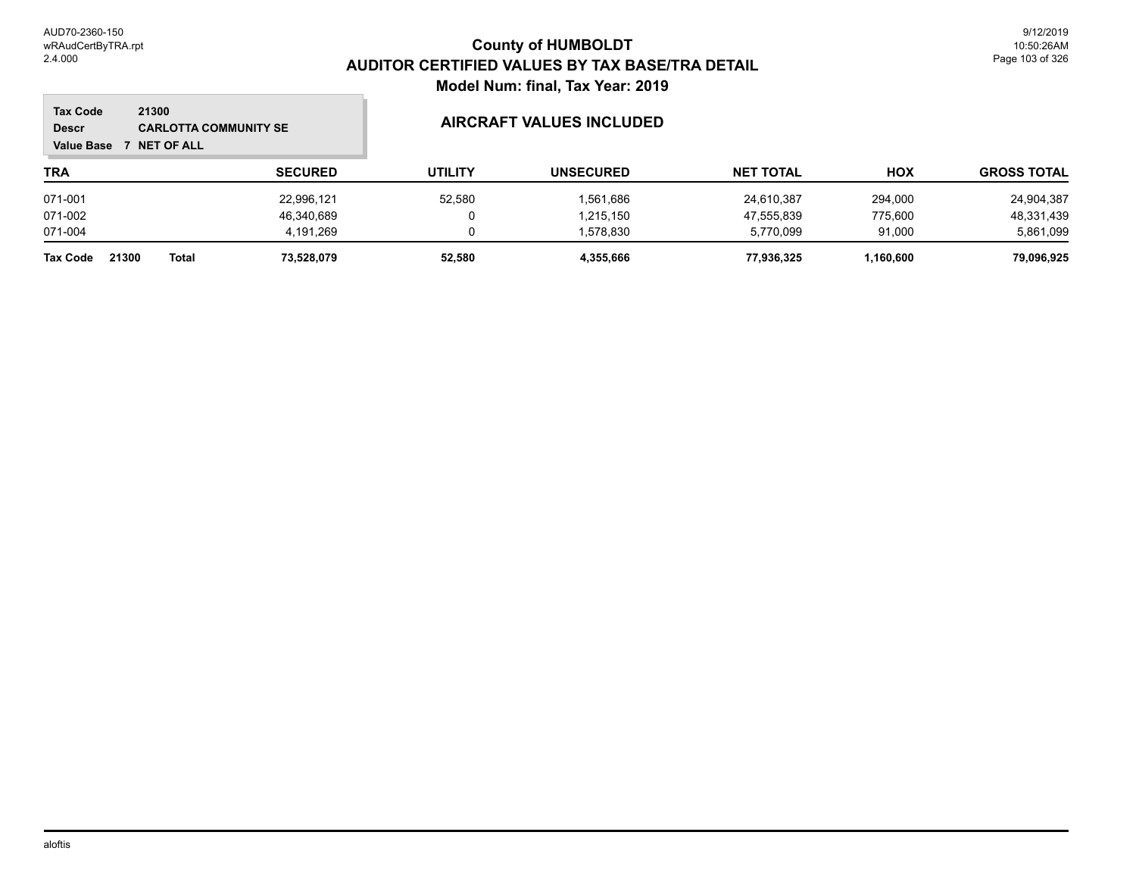#### **TRA SECURED UTILITY UNSECURED HOX Tax Code Value Base 7 NET OF ALL 21300 GROSS TOTAL NET TOTAL Descr CARLOTTA COMMUNITY SE AIRCRAFT VALUES INCLUDED** 071-001 22,996,121 52,580 1,561,686 24,610,387 294,000 24,904,387 071-002 46,340,689 0 1,215,150 47,555,839 775,600 48,331,439 071-004 4,191,269 0 1,578,830 5,770,099 91,000 5,861,099 **Tax Code 21300 Total 73,528,079 52,580 4,355,666 77,936,325 1,160,600 79,096,925**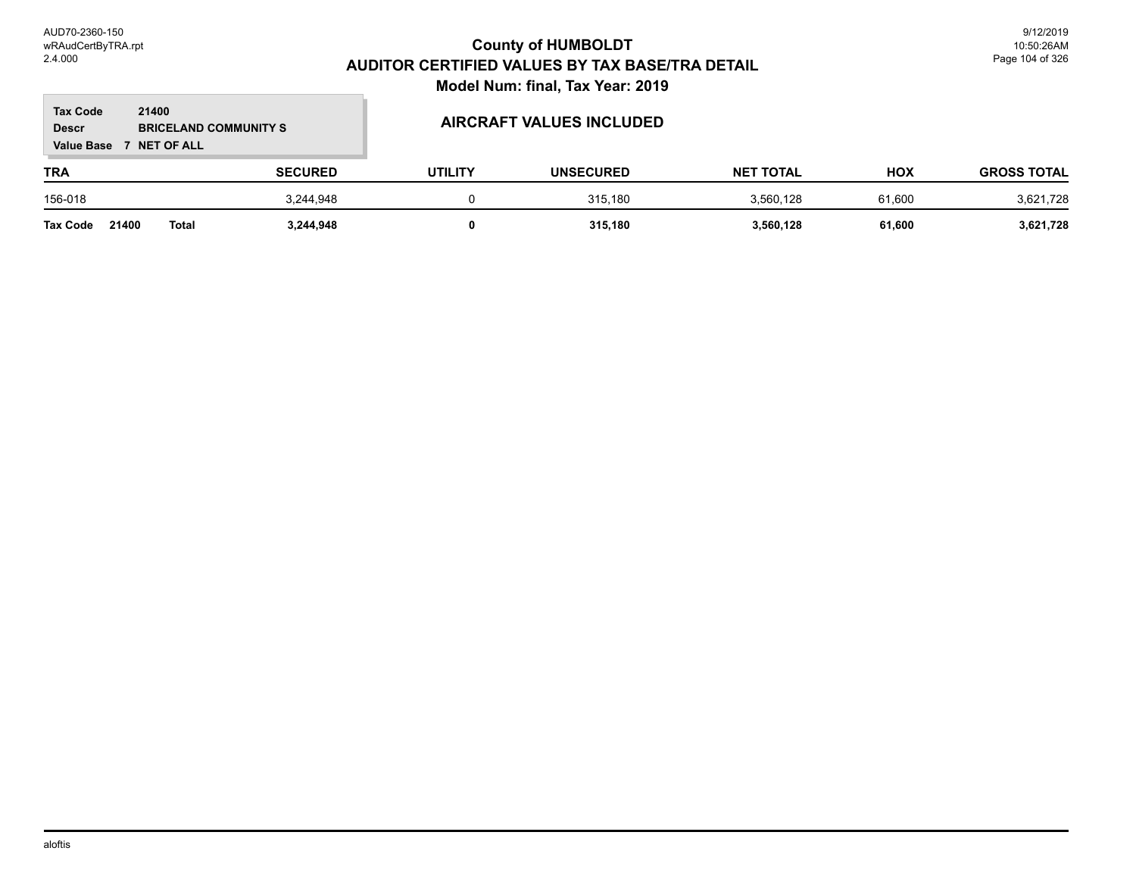#### **TRA SECURED UTILITY UNSECURED HOX Tax Code Value Base 7 NET OF ALL 21400 GROSS TOTAL NET TOTAL Descr BRICELAND COMMUNITY S AIRCRAFT VALUES INCLUDED** 156-018 3,244,948 0 315,180 3,560,128 61,600 3,621,728

**Tax Code 21400 Total 3,244,948 0 315,180 3,560,128 61,600 3,621,728**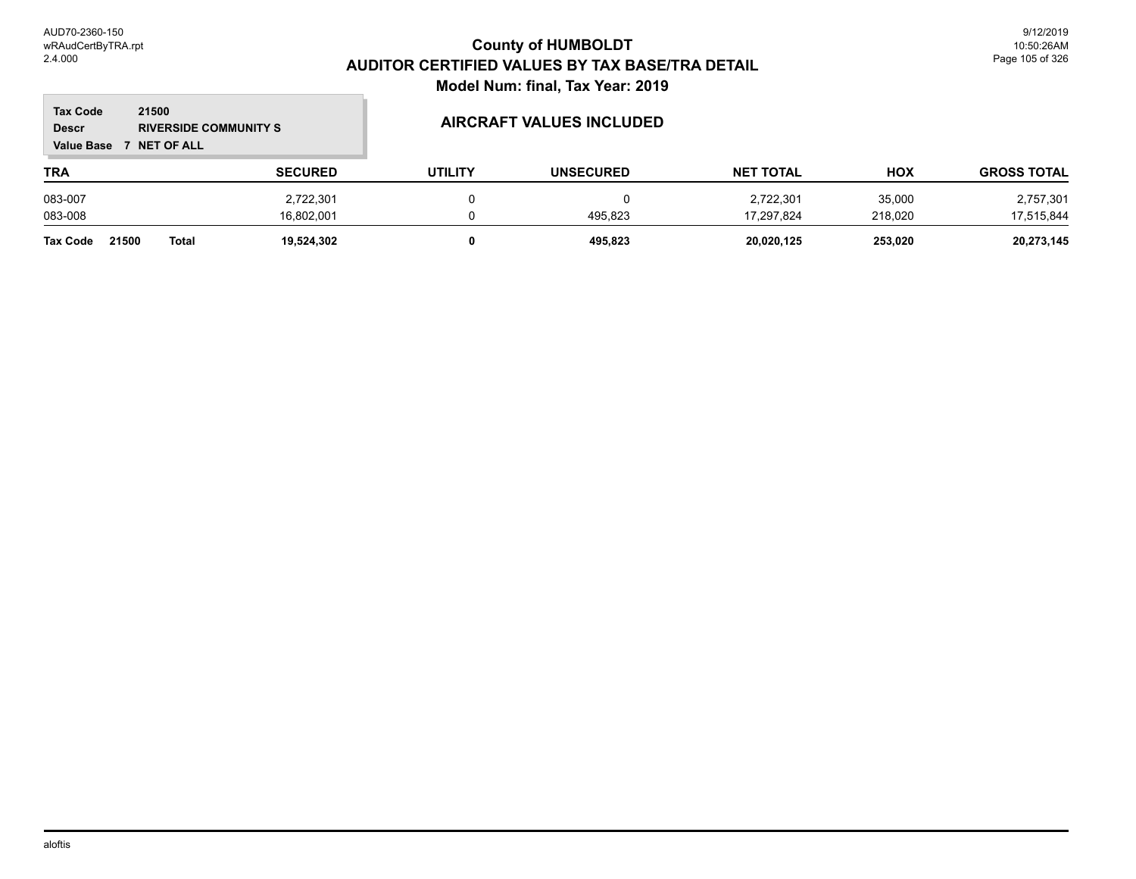$\mathbb{R}^2$ 

| <b>Tax Code</b><br>21500<br><b>Descr</b><br><b>RIVERSIDE COMMUNITY S</b><br><b>Value Base</b><br><b>7 NET OF ALL</b> |                       |                |                | AIRCRAFT VALUES INCLUDED |                  |         |                    |
|----------------------------------------------------------------------------------------------------------------------|-----------------------|----------------|----------------|--------------------------|------------------|---------|--------------------|
| <b>TRA</b>                                                                                                           |                       | <b>SECURED</b> | <b>UTILITY</b> | <b>UNSECURED</b>         | <b>NET TOTAL</b> | HOX     | <b>GROSS TOTAL</b> |
| 083-007                                                                                                              |                       | 2,722,301      |                |                          | 2,722,301        | 35,000  | 2,757,301          |
| 083-008                                                                                                              |                       | 16.802.001     |                | 495.823                  | 17.297.824       | 218.020 | 17,515,844         |
| <b>Tax Code</b>                                                                                                      | 21500<br><b>Total</b> | 19,524,302     |                | 495.823                  | 20.020.125       | 253.020 | 20,273,145         |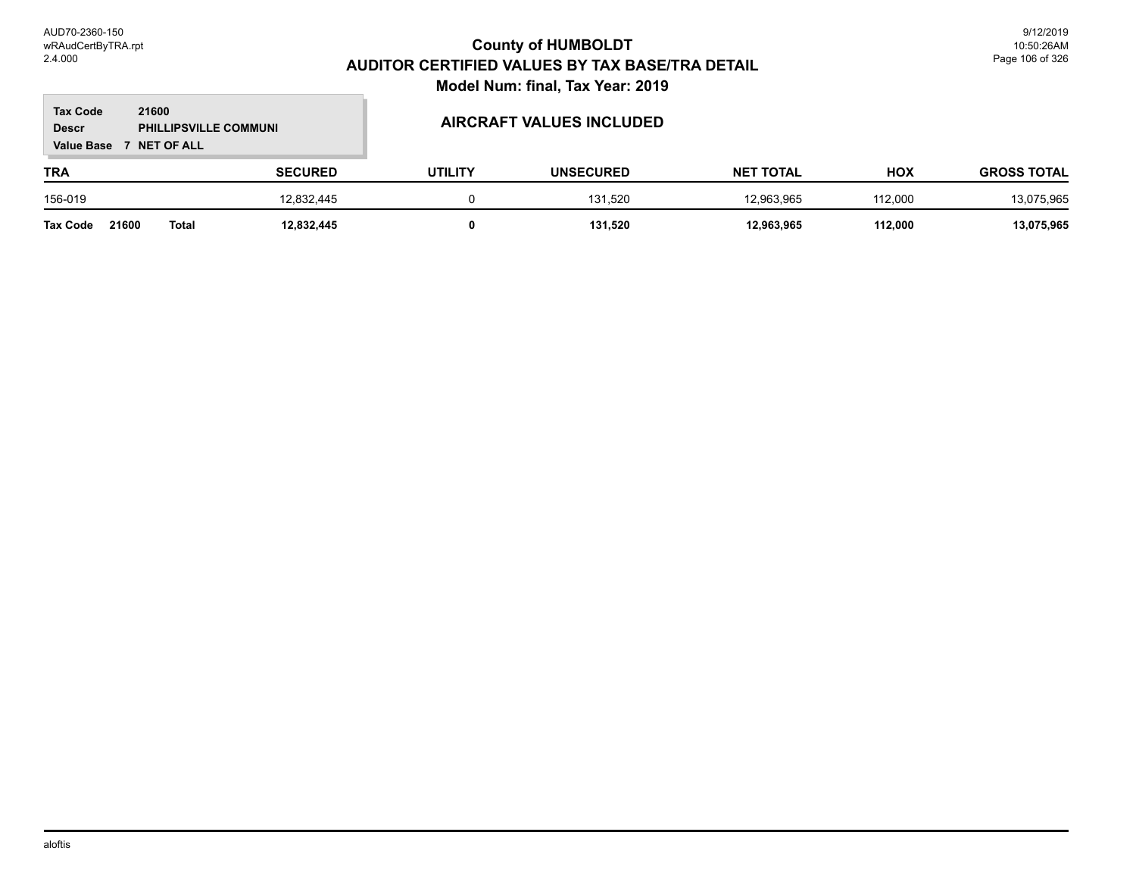#### **TRA SECURED UTILITY UNSECURED HOX Tax Code Value Base 7 NET OF ALL 21600 GROSS TOTAL NET TOTAL Descr PHILLIPSVILLE COMMUNI AIRCRAFT VALUES INCLUDED** 156-019 12,832,445 0 131,520 12,963,965 112,000 13,075,965 **Tax Code 21600 Total 12,832,445 0 131,520 12,963,965 112,000 13,075,965**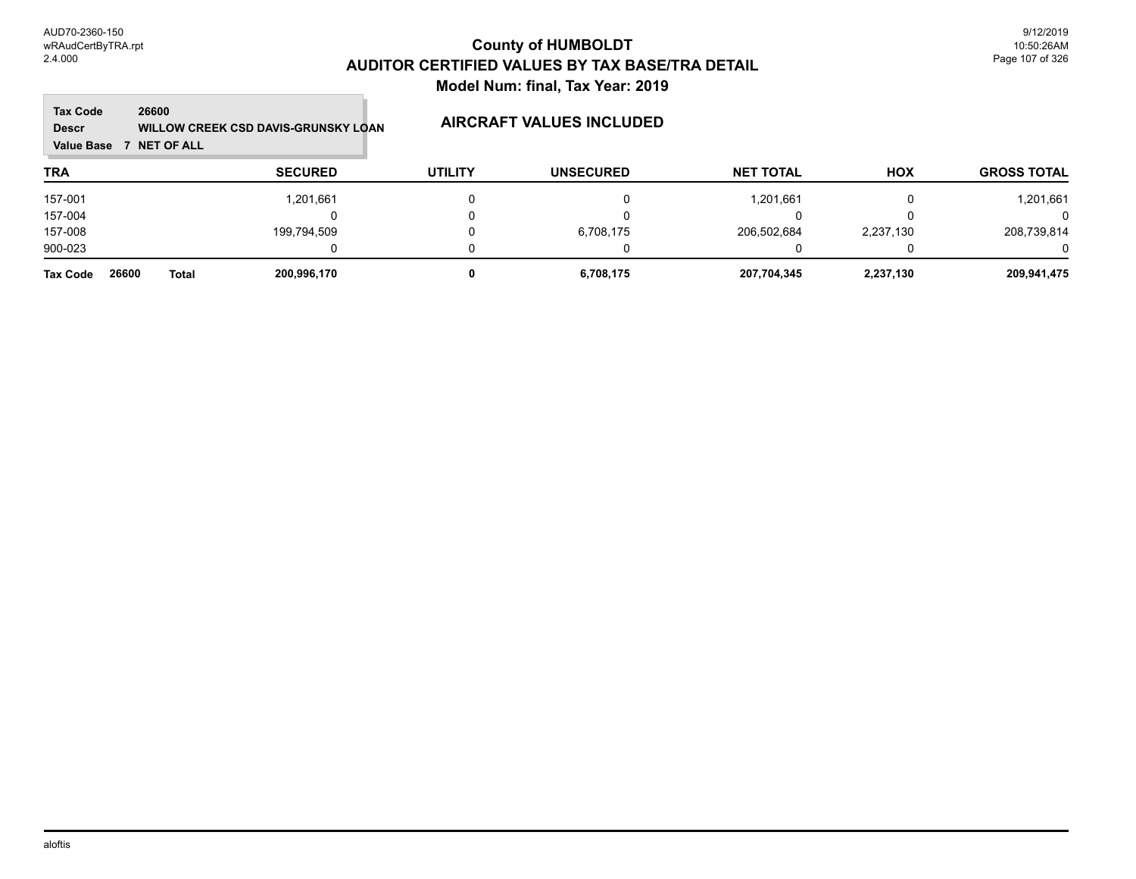#### **TRA SECURED UTILITY UNSECURED HOX Tax Code Value Base 7 NET OF ALL 26600 GROSS TOTAL NET TOTAL Descr WILLOW CREEK CSD DAVIS-GRUNSKY LOAN AIRCRAFT VALUES INCLUDED** 157-001 1,201,661 0 0 1,201,661 0 1,201,661 157-004 0 0 0 0 0 0 157-008 199,794,509 0 6,708,175 206,502,684 2,237,130 208,739,814 900-023 0 0 0 0 0 0 **Tax Code 26600 Total 200,996,170 0 6,708,175 207,704,345 2,237,130 209,941,475**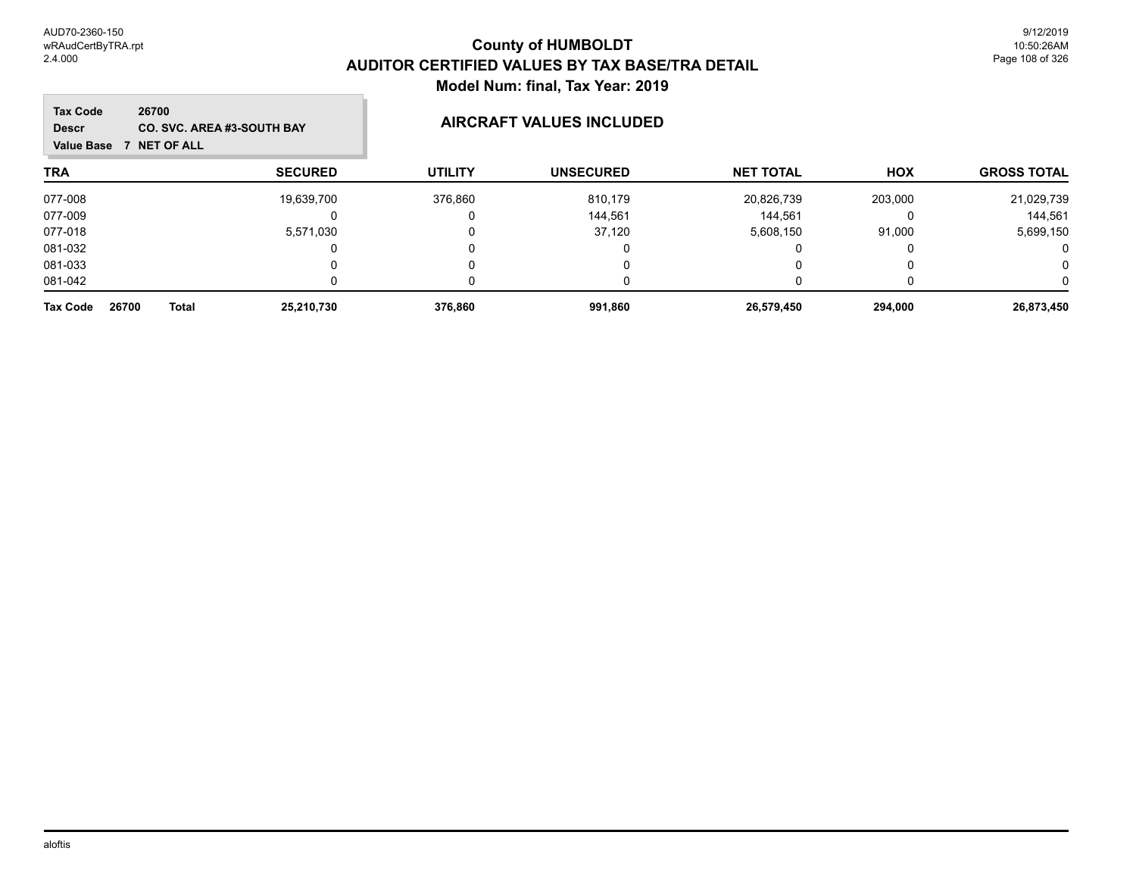| <b>Tax Code</b><br>26700<br><b>CO. SVC. AREA #3-SOUTH BAY</b><br><b>Descr</b><br>7 NET OF ALL<br><b>Value Base</b> |                | <b>AIRCRAFT VALUES INCLUDED</b> |                  |                  |          |                    |  |
|--------------------------------------------------------------------------------------------------------------------|----------------|---------------------------------|------------------|------------------|----------|--------------------|--|
| <b>TRA</b>                                                                                                         | <b>SECURED</b> | <b>UTILITY</b>                  | <b>UNSECURED</b> | <b>NET TOTAL</b> | HOX      | <b>GROSS TOTAL</b> |  |
| 077-008                                                                                                            | 19,639,700     | 376,860                         | 810,179          | 20,826,739       | 203,000  | 21,029,739         |  |
| 077-009                                                                                                            |                |                                 | 144,561          | 144.561          | $\Omega$ | 144.561            |  |
| 077-018                                                                                                            | 5,571,030      |                                 | 37,120           | 5,608,150        | 91,000   | 5,699,150          |  |
| 081-032                                                                                                            |                |                                 |                  |                  | 0        | 0                  |  |
| 081-033                                                                                                            |                |                                 |                  |                  |          | 0                  |  |
| 081-042                                                                                                            |                |                                 |                  |                  |          | 0                  |  |
| 26700<br><b>Tax Code</b><br><b>Total</b>                                                                           | 25,210,730     | 376,860                         | 991,860          | 26,579,450       | 294.000  | 26,873,450         |  |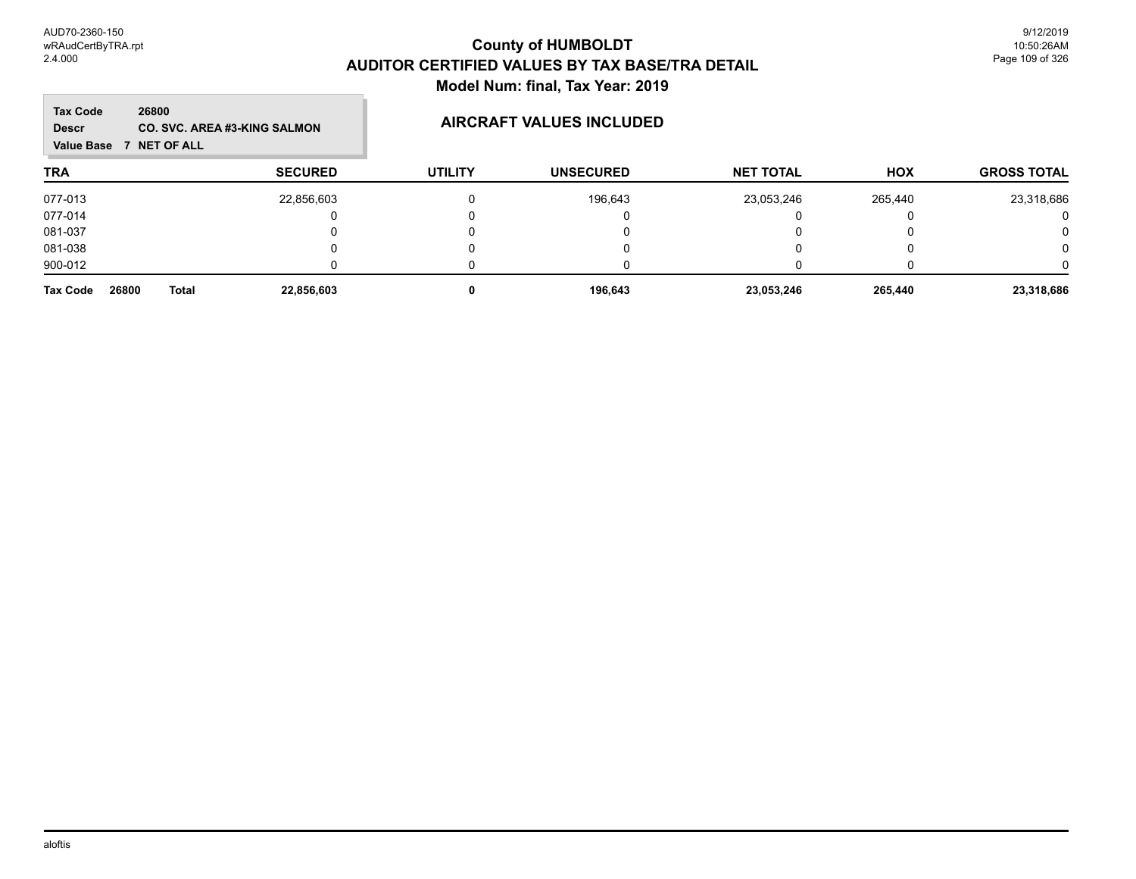m.

| <b>Tax Code</b><br>26800<br><b>Descr</b><br><b>NET OF ALL</b><br><b>Value Base</b> | <b>CO. SVC. AREA #3-KING SALMON</b> | AIRCRAFT VALUES INCLUDED |                  |                  |            |                    |
|------------------------------------------------------------------------------------|-------------------------------------|--------------------------|------------------|------------------|------------|--------------------|
| <b>TRA</b>                                                                         | <b>SECURED</b>                      | <b>UTILITY</b>           | <b>UNSECURED</b> | <b>NET TOTAL</b> | <b>HOX</b> | <b>GROSS TOTAL</b> |
| 077-013                                                                            | 22,856,603                          |                          | 196,643          | 23,053,246       | 265,440    | 23,318,686         |
| 077-014                                                                            |                                     |                          |                  |                  |            | O                  |
| 081-037                                                                            |                                     |                          |                  |                  |            | 0                  |
| 081-038                                                                            |                                     |                          |                  |                  |            | 0                  |
| 900-012                                                                            |                                     |                          |                  |                  |            |                    |
| 26800<br><b>Tax Code</b><br>Total                                                  | 22,856,603                          |                          | 196,643          | 23,053,246       | 265,440    | 23,318,686         |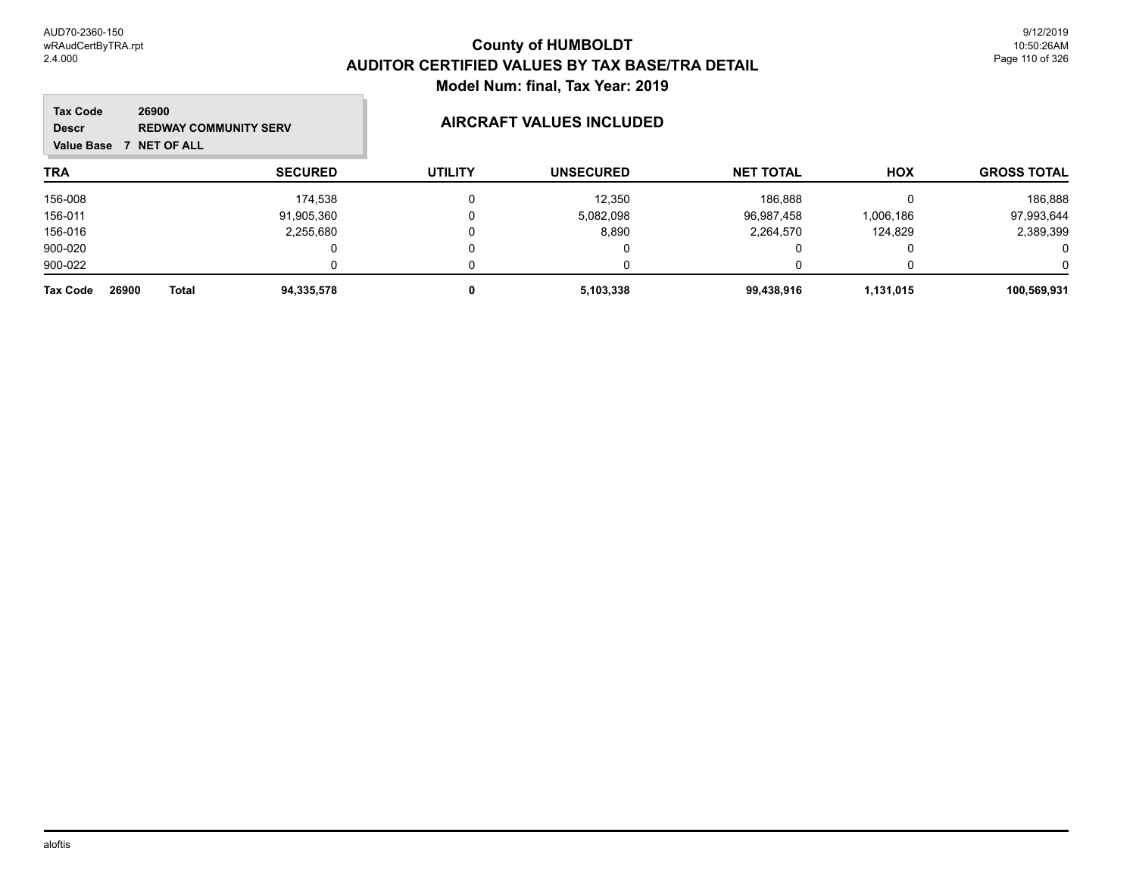m.

| <b>Tax Code</b><br><b>Descr</b><br><b>Value Base</b> | 26900<br><b>REDWAY COMMUNITY SERV</b><br><b>NET OF ALL</b> |                | <b>AIRCRAFT VALUES INCLUDED</b> |                  |                  |            |                    |
|------------------------------------------------------|------------------------------------------------------------|----------------|---------------------------------|------------------|------------------|------------|--------------------|
| <b>TRA</b>                                           |                                                            | <b>SECURED</b> | <b>UTILITY</b>                  | <b>UNSECURED</b> | <b>NET TOTAL</b> | <b>HOX</b> | <b>GROSS TOTAL</b> |
| 156-008                                              |                                                            | 174,538        | 0                               | 12,350           | 186,888          |            | 186,888            |
| 156-011                                              |                                                            | 91,905,360     |                                 | 5,082,098        | 96,987,458       | 1,006,186  | 97,993,644         |
| 156-016                                              |                                                            | 2,255,680      | 0                               | 8,890            | 2,264,570        | 124,829    | 2,389,399          |
| 900-020                                              |                                                            |                |                                 |                  | 0                |            | 0                  |
| 900-022                                              |                                                            |                |                                 |                  |                  |            | 0                  |
| 26900<br><b>Tax Code</b>                             | <b>Total</b>                                               | 94,335,578     | 0                               | 5,103,338        | 99,438,916       | 1,131,015  | 100,569,931        |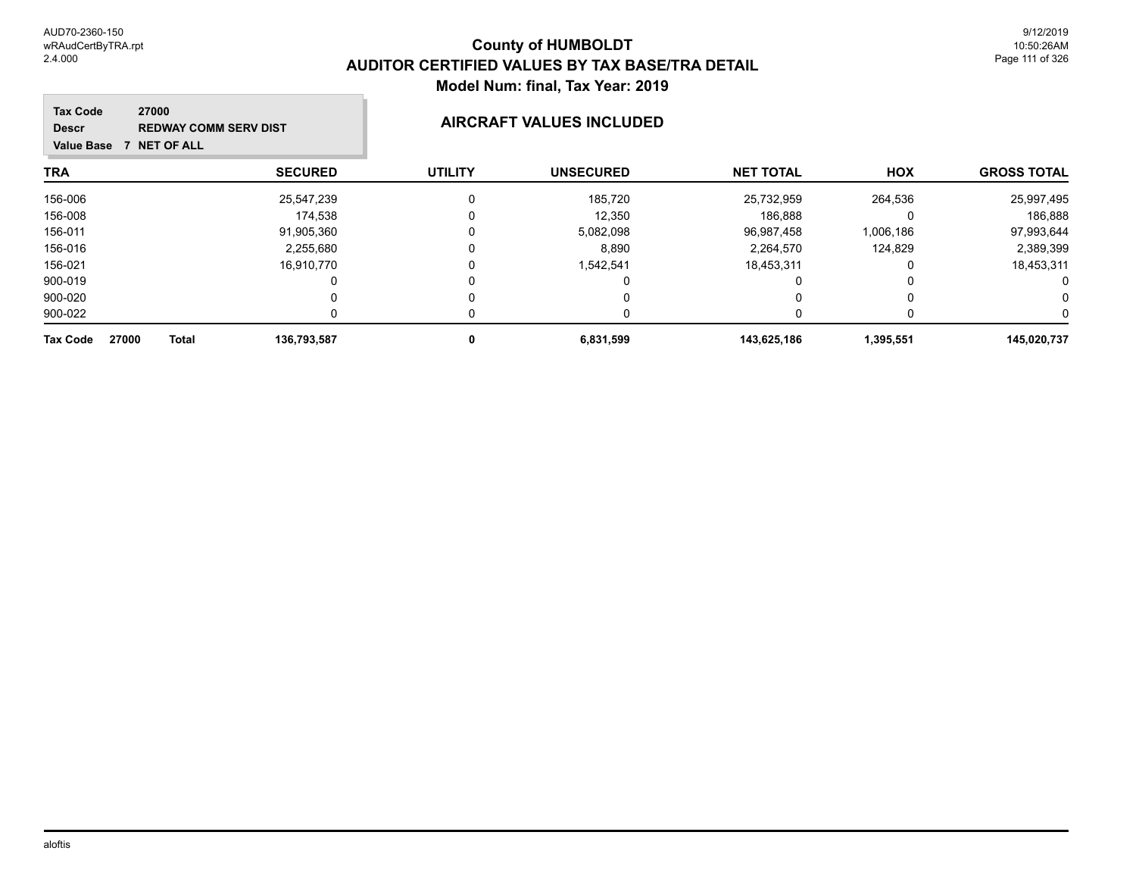| <b>Tax Code</b><br>27000<br><b>Descr</b><br><b>NET OF ALL</b><br><b>Value Base</b> | <b>REDWAY COMM SERV DIST</b> | <b>AIRCRAFT VALUES INCLUDED</b> |                  |                  |            |                    |
|------------------------------------------------------------------------------------|------------------------------|---------------------------------|------------------|------------------|------------|--------------------|
| <b>TRA</b>                                                                         | <b>SECURED</b>               | <b>UTILITY</b>                  | <b>UNSECURED</b> | <b>NET TOTAL</b> | <b>HOX</b> | <b>GROSS TOTAL</b> |
| 156-006                                                                            | 25,547,239                   | 0                               | 185,720          | 25,732,959       | 264,536    | 25,997,495         |
| 156-008                                                                            | 174.538                      |                                 | 12,350           | 186.888          | 0          | 186,888            |
| 156-011                                                                            | 91,905,360                   | 0                               | 5,082,098        | 96,987,458       | 1,006,186  | 97,993,644         |
| 156-016                                                                            | 2,255,680                    |                                 | 8,890            | 2.264.570        | 124,829    | 2,389,399          |
| 156-021                                                                            | 16,910,770                   |                                 | 1,542,541        | 18,453,311       | 0          | 18,453,311         |
| 900-019                                                                            |                              |                                 | O                |                  |            | 0                  |
| 900-020                                                                            |                              |                                 | O                |                  | 0          | 0                  |
| 900-022                                                                            |                              |                                 | $\mathbf{0}$     |                  |            |                    |
| 27000<br><b>Total</b><br><b>Tax Code</b>                                           | 136,793,587                  | 0                               | 6,831,599        | 143,625,186      | 1,395,551  | 145,020,737        |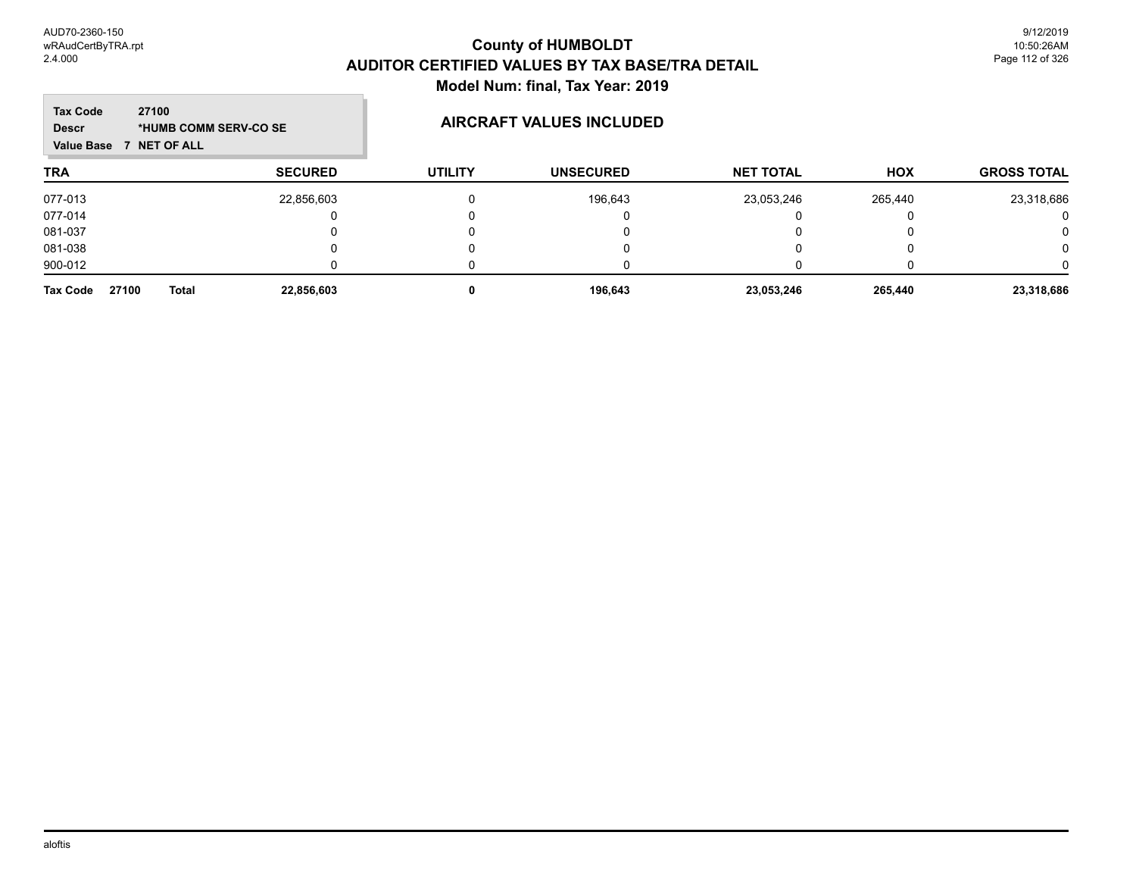| <b>Tax Code</b><br>27100<br><b>Descr</b><br><b>NET OF ALL</b><br>Value Base | *HUMB COMM SERV-CO SE |                | <b>AIRCRAFT VALUES INCLUDED</b> |                  |            |                    |
|-----------------------------------------------------------------------------|-----------------------|----------------|---------------------------------|------------------|------------|--------------------|
| <b>TRA</b>                                                                  | <b>SECURED</b>        | <b>UTILITY</b> | <b>UNSECURED</b>                | <b>NET TOTAL</b> | <b>HOX</b> | <b>GROSS TOTAL</b> |
| 077-013                                                                     | 22,856,603            | 0              | 196,643                         | 23,053,246       | 265,440    | 23,318,686         |
| 077-014                                                                     |                       |                |                                 |                  |            | 0                  |
| 081-037                                                                     |                       |                |                                 |                  |            | 0                  |
| 081-038                                                                     |                       |                |                                 |                  |            | 0                  |
| 900-012                                                                     |                       |                |                                 |                  |            | n                  |
| 27100<br><b>Total</b><br>Tax Code                                           | 22,856,603            | 0              | 196,643                         | 23,053,246       | 265,440    | 23,318,686         |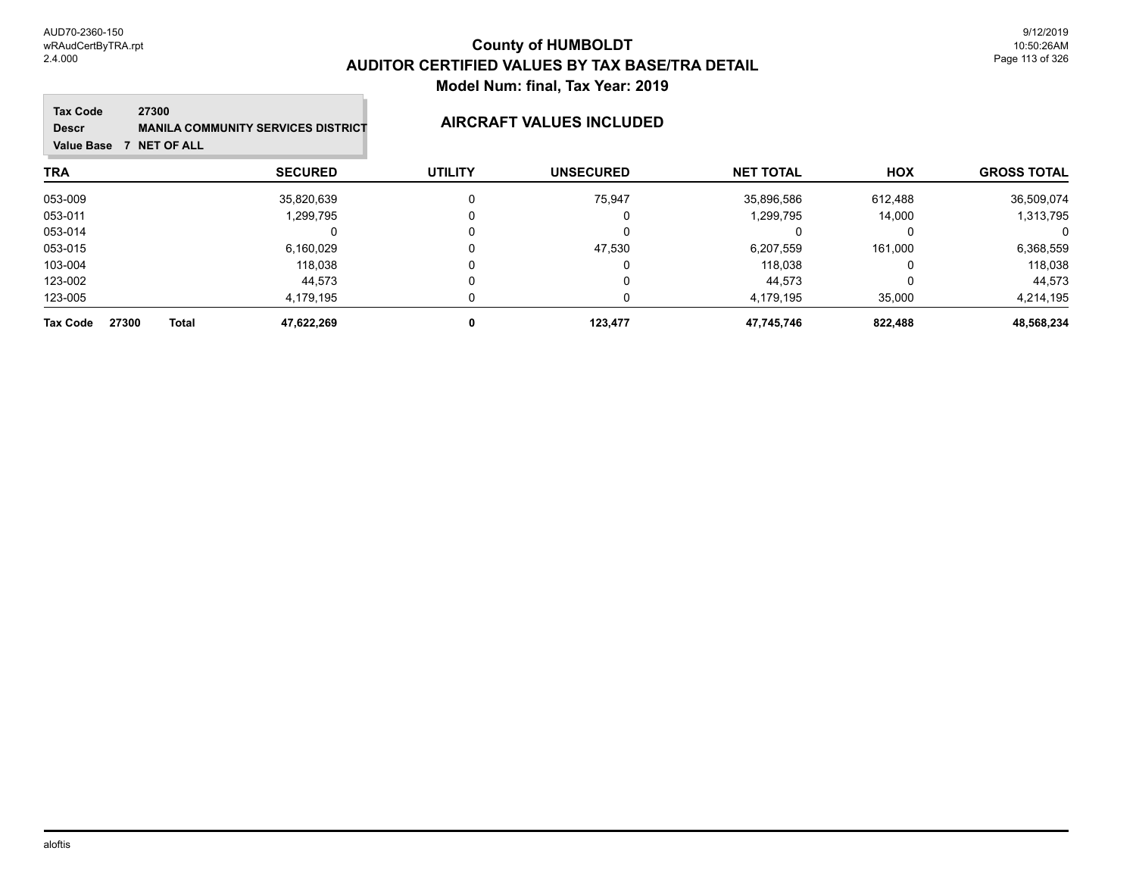### **TRA SECURED UTILITY UNSECURED HOX Tax Code Value Base 7 NET OF ALL 27300 GROSS TOTAL NET TOTAL Descr MANILA COMMUNITY SERVICES DISTRICT AIRCRAFT VALUES INCLUDED** 053-009 35,820,639 0 75,947 35,896,586 612,488 36,509,074 053-011 1,299,795 0 0 1,299,795 14,000 1,313,795 053-014 0 0 0 0 0 0 053-015 6,160,029 0 47,530 6,207,559 161,000 6,368,559 103-004 118,038 0 0 118,038 0 118,038 123-002 44,573 0 0 44,573 0 44,573 123-005 4,179,195 0 0 4,179,195 35,000 4,214,195 **Tax Code 27300 Total 47,622,269 0 123,477 47,745,746 822,488 48,568,234**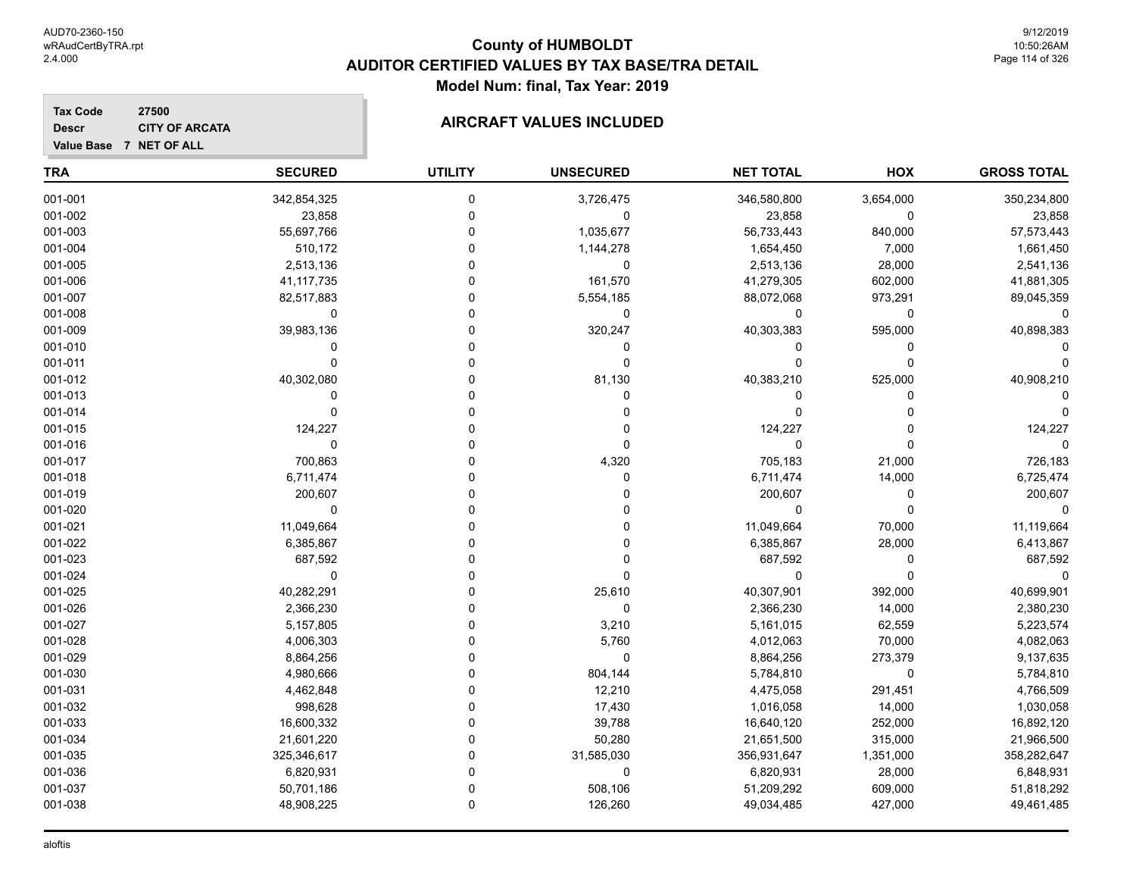### **TRA SECURED UTILITY UNSECURED HOX Tax Code Value Base 7 NET OF ALL 27500 GROSS TOTAL NET TOTAL Descr CITY OF ARCATA AIRCRAFT VALUES INCLUDED** 001-001 342,854,325 0 3,726,475 346,580,800 3,654,000 350,234,800  $001\hbox{-}002$  , the contract the contract of the contract of  $0$  , the contract of  $23,858$  ,  $0$  ,  $23,858$  ,  $23,858$ 001-003 55,697,766 0 1,035,677 56,733,443 840,000 57,573,443 001-004 510,172 0 1,144,278 1,654,450 7,000 1,661,450 001-005 2,513,136 0 0 2,513,136 28,000 2,541,136 001-006 41,117,735 0 161,570 41,279,305 602,000 41,881,305 001-007 82,517,883 0 5,554,185 88,072,068 973,291 89,045,359 001-008 0 0 0 0 0 0 001-009 39,983,136 0 320,247 40,303,383 595,000 40,898,383 001-010 0 0 0 0 0 0 001-011 0 0 0 0 0 0 001-012 40,302,080 0 81,130 40,383,210 525,000 40,908,210 001-013 0 0 0 0 0 0 001-014 0 0 0 0 0 0 001-015 124,227 0 0 124,227 0 124,227 001-016 0 0 0 0 0 0 001-017 700,863 0 4,320 705,183 21,000 726,183 001-018 6,711,474 0 0 6,711,474 14,000 6,725,474 001-019 200,607 0 0 200,607 0 200,607 001-020 0 0 0 0 0 0 001-021 11,049,664 0 11,049,664 70,000 11,119,664 001-022 6,385,867 0 0 6,385,867 28,000 6,413,867 001-023 687,592 0 0 687,592 0 687,592 001-024 0 0 0 0 0 0 001-025 40,282,291 0 25,610 40,307,901 392,000 40,699,901 001-026 2,366,230 0 0 2,366,230 14,000 2,380,230 001-027 5,157,805 0 3,210 5,161,015 62,559 5,223,574 001-028 4,006,303 0 5,760 4,012,063 70,000 4,082,063 001-029 8,864,256 0 0 8,864,256 273,379 9,137,635 001-030 4,980,666 0 804,144 5,784,810 0 5,784,810

001-031 4,462,848 0 12,210 4,475,058 291,451 4,766,509 001-032 998,628 0 17,430 1,016,058 1,000 1,030,058 001-033 16,600,332 0 39,788 16,640,120 252,000 16,892,120 001-034 21,601,220 0 50,280 21,651,500 315,000 21,966,500 001-035 325,346,617 0 31,585,030 356,931,647 1,351,000 358,282,647 001-036 6,820,931 0 0 6,820,931 28,000 6,848,931 001-037 50,701,186 0 508,106 51,209,292 609,000 51,818,292 001-038 48,908,225 0 126,260 49,034,485 427,000 49,461,485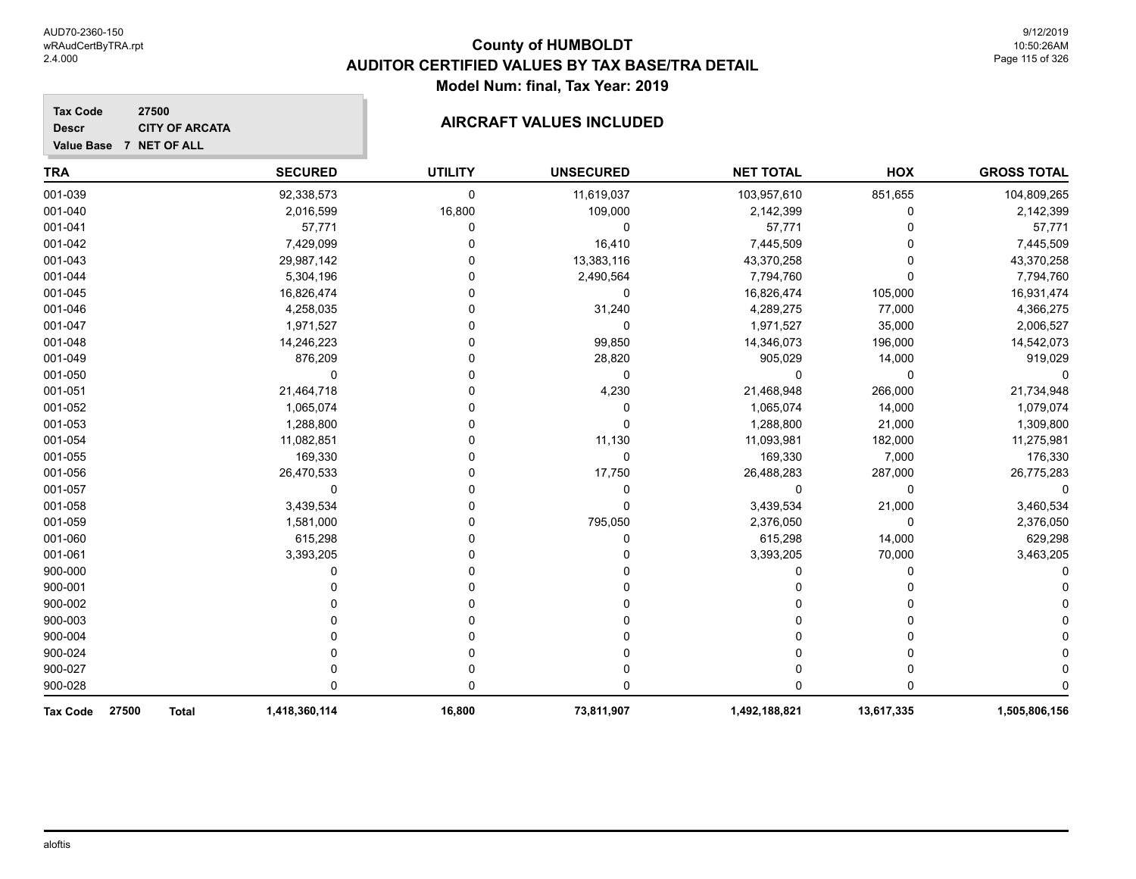001-052 1,065,074 0 0 1,065,074 14,000 1,079,074 001-053 1,288,800 0 0 1,288,800 1,309,800 001-054 11,082,851 0 11,130 11,093,981 182,000 11,275,981 001-055 169,330 0 0 169,330 7,000 176,330 001-056 26,470,533 0 17,750 26,488,283 287,000 26,775,283 001-057 0 0 0 0 0 0 001-058 3,439,534 0 0 3,439,534 21,000 3,460,534 001-059 1,581,000 0 795,050 2,376,050 0 2,376,050 001-060 615,298 0 0 615,298 14,000 629,298 001-061 3,393,205 0 0 3,393,205 70,000 3,463,205 900-000 0 0 0 0 0 0 900-001 0 0 0 0 0 0 900-002 0 0 0 0 0 0 900-003 0 0 0 0 0 0 900-004 0 0 0 0 0 0 900-024 0 0 0 0 0 0 900-027 0 0 0 0 0 0 900-028 0 0 0 0 0 0 **Tax Code 27500 Total 1,418,360,114 16,800 73,811,907 1,492,188,821 13,617,335 1,505,806,156**

| 27500<br><b>Tax Code</b><br><b>CITY OF ARCATA</b><br><b>Descr</b><br><b>NET OF ALL</b><br><b>Value Base</b> |                | <b>AIRCRAFT VALUES INCLUDED</b> |                  |                  |         |                    |
|-------------------------------------------------------------------------------------------------------------|----------------|---------------------------------|------------------|------------------|---------|--------------------|
| TRA                                                                                                         | <b>SECURED</b> | <b>UTILITY</b>                  | <b>UNSECURED</b> | <b>NET TOTAL</b> | HOX     | <b>GROSS TOTAL</b> |
| 001-039                                                                                                     | 92,338,573     | $\Omega$                        | 11,619,037       | 103,957,610      | 851,655 | 104,809,265        |
| 001-040                                                                                                     | 2,016,599      | 16,800                          | 109,000          | 2,142,399        |         | 2,142,399          |
| 001-041                                                                                                     | 57,771         |                                 |                  | 57,771           |         | 57,771             |
| 001-042                                                                                                     | 7,429,099      |                                 | 16,410           | 7,445,509        |         | 7,445,509          |
| 001-043                                                                                                     | 29,987,142     | 0                               | 13,383,116       | 43,370,258       |         | 43,370,258         |
| 001-044                                                                                                     | 5,304,196      | 0                               | 2,490,564        | 7,794,760        |         | 7,794,760          |
| 001-045                                                                                                     | 16,826,474     | 0                               |                  | 16,826,474       | 105,000 | 16,931,474         |
| 001-046                                                                                                     | 4,258,035      |                                 | 31,240           | 4,289,275        | 77,000  | 4,366,275          |
| 001-047                                                                                                     | 1,971,527      |                                 |                  | 1,971,527        | 35,000  | 2,006,527          |
| 001-048                                                                                                     | 14,246,223     |                                 | 99,850           | 14,346,073       | 196,000 | 14,542,073         |
| 001-049                                                                                                     | 876,209        |                                 | 28,820           | 905,029          | 14,000  | 919,029            |
| 001-050                                                                                                     |                |                                 |                  |                  |         |                    |
| 001-051                                                                                                     | 21,464,718     | 0                               | 4,230            | 21,468,948       | 266,000 | 21,734,948         |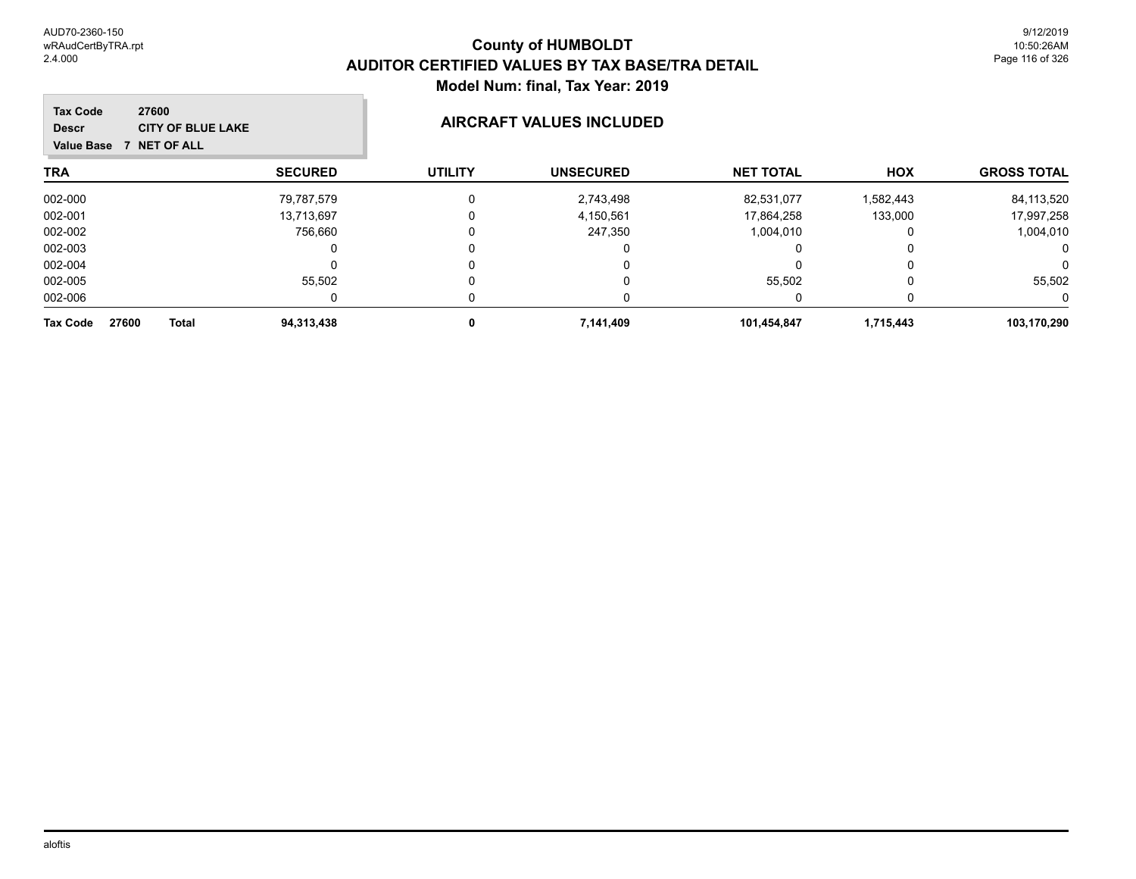| <b>Tax Code</b><br><b>Descr</b><br><b>Value Base</b> | 27600<br><b>CITY OF BLUE LAKE</b><br>NET OF ALL |                | <b>AIRCRAFT VALUES INCLUDED</b> |                  |           |                    |
|------------------------------------------------------|-------------------------------------------------|----------------|---------------------------------|------------------|-----------|--------------------|
| <b>TRA</b>                                           | <b>SECURED</b>                                  | <b>UTILITY</b> | <b>UNSECURED</b>                | <b>NET TOTAL</b> | HOX       | <b>GROSS TOTAL</b> |
| 002-000                                              | 79,787,579                                      |                | 2,743,498                       | 82,531,077       | 1,582,443 | 84,113,520         |
| 002-001                                              | 13,713,697                                      |                | 4,150,561                       | 17,864,258       | 133,000   | 17,997,258         |
| 002-002                                              | 756,660                                         |                | 247,350                         | 1,004,010        | 0         | 1,004,010          |
| 002-003                                              | $\Omega$                                        |                | 0                               | U                | 0         | 0                  |
| 002-004                                              |                                                 |                | 0                               |                  | 0         | 0                  |
| 002-005                                              | 55,502                                          |                | 0                               | 55,502           | 0         | 55,502             |
| 002-006                                              | 0                                               |                | 0                               | 0                | 0         | 0                  |
| 27600<br>Tax Code                                    | <b>Total</b><br>94,313,438                      | 0              | 7,141,409                       | 101,454,847      | 1,715,443 | 103,170,290        |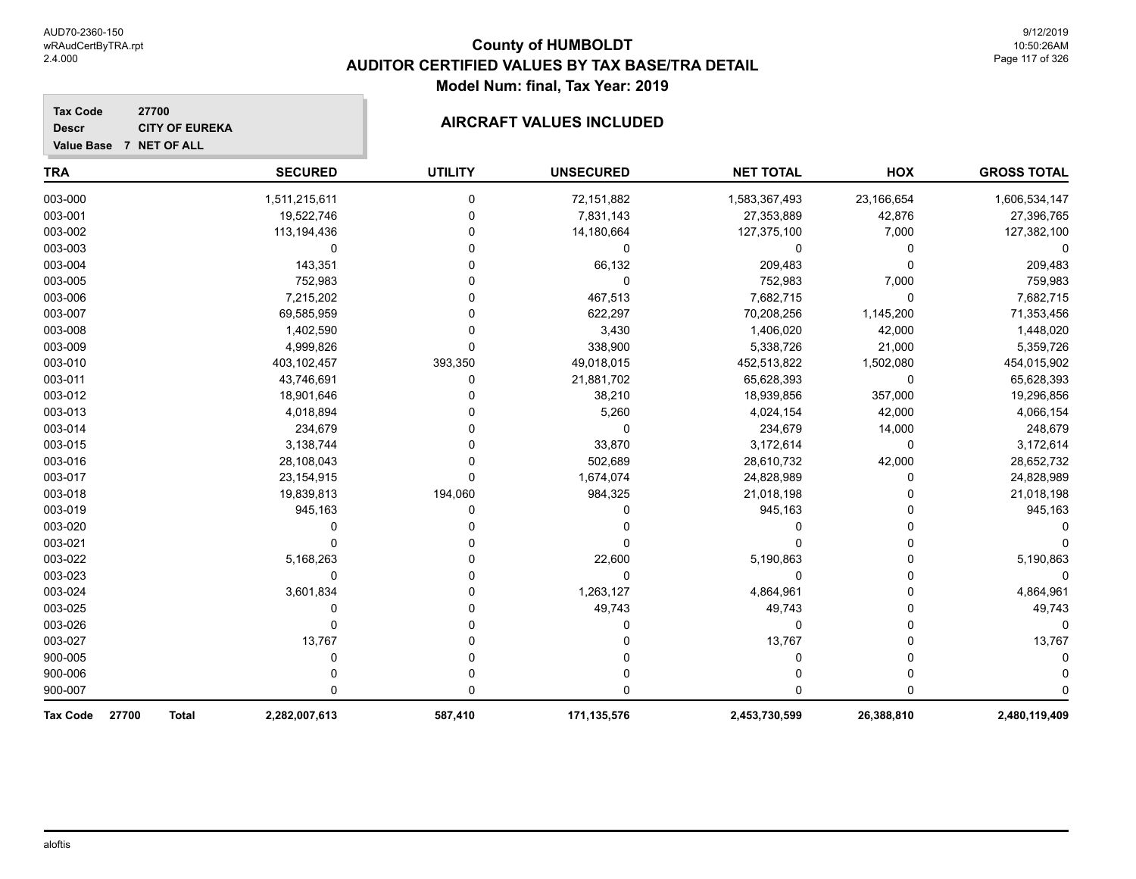| <b>Tax Code</b><br>27700<br><b>CITY OF EUREKA</b><br><b>Descr</b><br>Value Base 7 NET OF ALL |                |                | <b>AIRCRAFT VALUES INCLUDED</b> |                  |            |                    |
|----------------------------------------------------------------------------------------------|----------------|----------------|---------------------------------|------------------|------------|--------------------|
| <b>TRA</b>                                                                                   | <b>SECURED</b> | <b>UTILITY</b> | <b>UNSECURED</b>                | <b>NET TOTAL</b> | <b>HOX</b> | <b>GROSS TOTAL</b> |
| 003-000                                                                                      | 1,511,215,611  | $\Omega$       | 72,151,882                      | 1,583,367,493    | 23,166,654 | 1,606,534,147      |
| 003-001                                                                                      | 19,522,746     |                | 7,831,143                       | 27,353,889       | 42,876     | 27,396,765         |
| 003-002                                                                                      | 113,194,436    |                | 14,180,664                      | 127,375,100      | 7,000      | 127,382,100        |
| 003-003                                                                                      | $\mathbf 0$    |                | 0                               | 0                | 0          | 0                  |
| 003-004                                                                                      | 143,351        |                | 66,132                          | 209,483          | $\Omega$   | 209,483            |
| 003-005                                                                                      | 752,983        |                | $\Omega$                        | 752,983          | 7,000      | 759,983            |
| 003-006                                                                                      | 7,215,202      |                | 467,513                         | 7,682,715        | 0          | 7,682,715          |
| 003-007                                                                                      | 69,585,959     |                | 622,297                         | 70,208,256       | 1,145,200  | 71,353,456         |
| 003-008                                                                                      | 1,402,590      |                | 3,430                           | 1,406,020        | 42,000     | 1,448,020          |
| 003-009                                                                                      | 4,999,826      | <sup>0</sup>   | 338,900                         | 5,338,726        | 21,000     | 5,359,726          |
| 003-010                                                                                      | 403,102,457    | 393,350        | 49,018,015                      | 452,513,822      | 1,502,080  | 454,015,902        |
| 003-011                                                                                      | 43,746,691     | 0              | 21,881,702                      | 65,628,393       | 0          | 65,628,393         |
| 003-012                                                                                      | 18,901,646     |                | 38,210                          | 18,939,856       | 357,000    | 19,296,856         |
| 003-013                                                                                      | 4,018,894      |                | 5,260                           | 4,024,154        | 42,000     | 4,066,154          |
| 003-014                                                                                      | 234,679        |                | $\Omega$                        | 234,679          | 14,000     | 248,679            |
| 003-015                                                                                      | 3,138,744      |                | 33,870                          | 3,172,614        | 0          | 3,172,614          |
| 003-016                                                                                      | 28,108,043     |                | 502,689                         | 28,610,732       | 42,000     | 28,652,732         |
| 003-017                                                                                      | 23,154,915     | $\Omega$       | 1,674,074                       | 24,828,989       | $\Omega$   | 24,828,989         |
| 003-018                                                                                      | 19,839,813     | 194,060        | 984,325                         | 21,018,198       | 0          | 21,018,198         |
| 003-019                                                                                      | 945,163        | 0              | 0                               | 945,163          | 0          | 945,163            |
| 003-020                                                                                      | 0              |                | 0                               | 0                | 0          | 0                  |
| 003-021                                                                                      | 0              |                | $\Omega$                        | 0                | 0          |                    |
| 003-022                                                                                      | 5,168,263      |                | 22,600                          | 5,190,863        | 0          | 5,190,863          |
| 003-023                                                                                      | 0              |                | $\Omega$                        | 0                | 0          | 0                  |
| 003-024                                                                                      | 3,601,834      |                | 1,263,127                       | 4,864,961        | $\Omega$   | 4,864,961          |
| 003-025                                                                                      | 0              |                | 49,743                          | 49,743           | $\Omega$   | 49,743             |
| 003-026                                                                                      | 0              |                | 0                               | 0                | 0          | $\Omega$           |
| 003-027                                                                                      | 13,767         |                | 0                               | 13,767           | 0          | 13,767             |
| 900-005                                                                                      | 0              |                | 0                               | 0                | 0          | 0                  |
| 900-006                                                                                      |                |                | 0                               |                  | $\Omega$   | 0                  |
| 900-007                                                                                      | ŋ              |                | $\Omega$                        | U                | $\Omega$   | $\Omega$           |
| 27700<br><b>Tax Code</b><br><b>Total</b>                                                     | 2,282,007,613  | 587,410        | 171,135,576                     | 2,453,730,599    | 26,388,810 | 2,480,119,409      |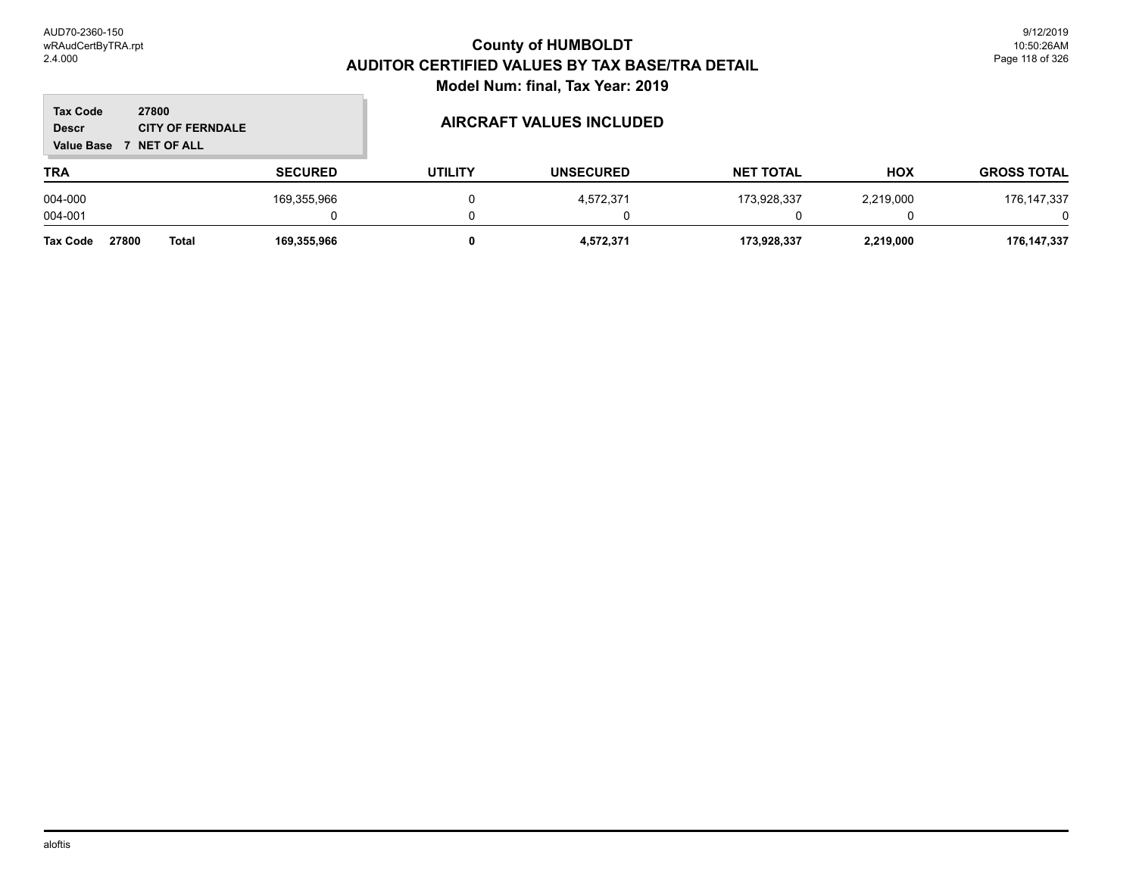| <b>Tax Code</b><br><b>Descr</b><br><b>Value Base</b> | 27800<br><b>CITY OF FERNDALE</b><br><b>NET OF ALL</b> |                |                | <b>AIRCRAFT VALUES INCLUDED</b> |                  |            |                    |
|------------------------------------------------------|-------------------------------------------------------|----------------|----------------|---------------------------------|------------------|------------|--------------------|
| <b>TRA</b>                                           |                                                       | <b>SECURED</b> | <b>UTILITY</b> | <b>UNSECURED</b>                | <b>NET TOTAL</b> | <b>HOX</b> | <b>GROSS TOTAL</b> |
| 004-000                                              |                                                       | 169,355,966    |                | 4,572,371                       | 173,928,337      | 2,219,000  | 176, 147, 337      |
| 004-001                                              |                                                       |                |                |                                 |                  |            |                    |
| <b>Tax Code</b>                                      | 27800<br><b>Total</b>                                 | 169,355,966    |                | 4,572,371                       | 173,928,337      | 2,219,000  | 176,147,337        |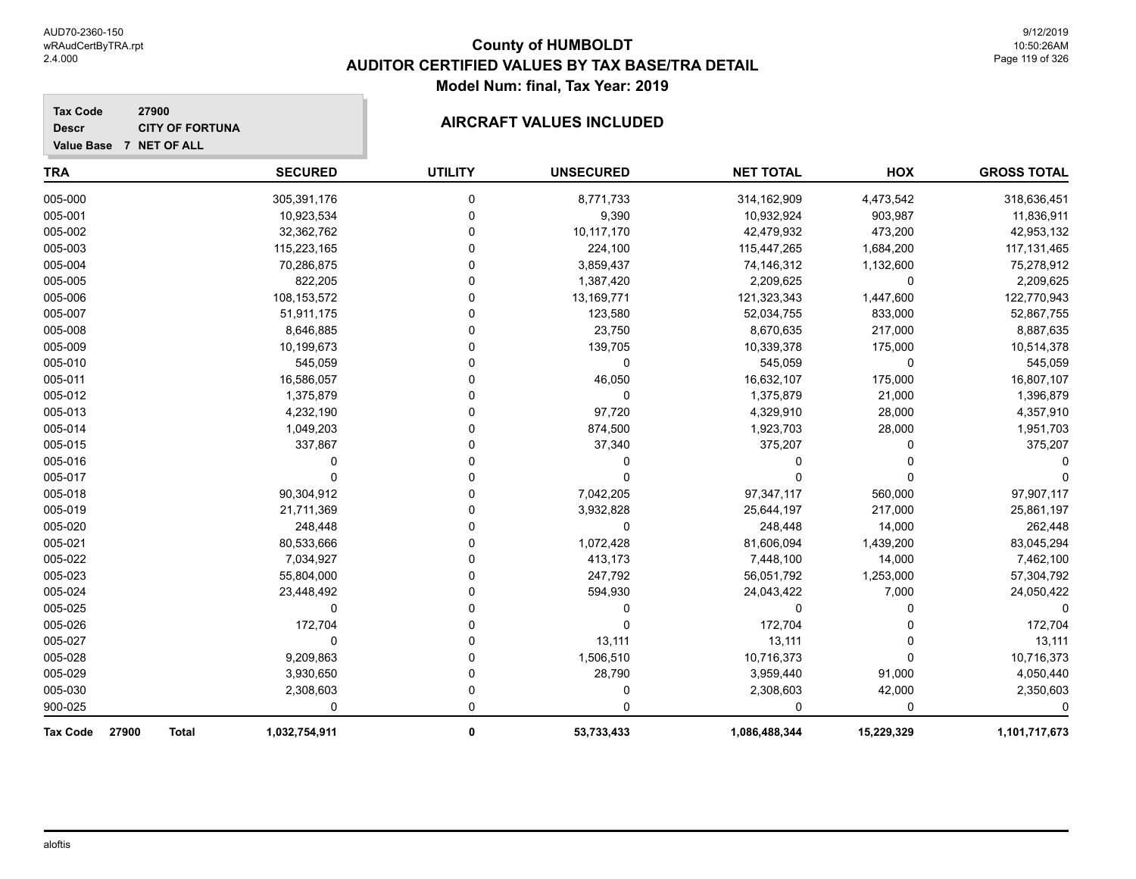| <b>Tax Code</b><br>27900<br><b>CITY OF FORTUNA</b><br><b>Descr</b><br>Value Base 7 NET OF ALL |                |                | <b>AIRCRAFT VALUES INCLUDED</b> |                  |            |                    |
|-----------------------------------------------------------------------------------------------|----------------|----------------|---------------------------------|------------------|------------|--------------------|
| TRA                                                                                           | <b>SECURED</b> | <b>UTILITY</b> | <b>UNSECURED</b>                | <b>NET TOTAL</b> | <b>HOX</b> | <b>GROSS TOTAL</b> |
| 005-000                                                                                       | 305,391,176    | $\Omega$       | 8,771,733                       | 314,162,909      | 4,473,542  | 318,636,451        |
| 005-001                                                                                       | 10,923,534     | 0              | 9,390                           | 10,932,924       | 903,987    | 11,836,911         |
| 005-002                                                                                       | 32,362,762     |                | 10,117,170                      | 42,479,932       | 473,200    | 42,953,132         |
| 005-003                                                                                       | 115,223,165    |                | 224,100                         | 115,447,265      | 1,684,200  | 117, 131, 465      |
| 005-004                                                                                       | 70,286,875     |                | 3,859,437                       | 74,146,312       | 1,132,600  | 75,278,912         |
| 005-005                                                                                       | 822,205        |                | 1,387,420                       | 2,209,625        | $\Omega$   | 2,209,625          |
| 005-006                                                                                       | 108,153,572    |                | 13,169,771                      | 121,323,343      | 1,447,600  | 122,770,943        |
| 005-007                                                                                       | 51,911,175     |                | 123,580                         | 52,034,755       | 833,000    | 52,867,755         |
| 005-008                                                                                       | 8,646,885      |                | 23,750                          | 8,670,635        | 217,000    | 8,887,635          |
| 005-009                                                                                       | 10,199,673     |                | 139,705                         | 10,339,378       | 175,000    | 10,514,378         |
| 005-010                                                                                       | 545,059        |                | $\Omega$                        | 545,059          | 0          | 545,059            |
| 005-011                                                                                       | 16,586,057     |                | 46,050                          | 16,632,107       | 175,000    | 16,807,107         |
| 005-012                                                                                       | 1,375,879      |                | $\Omega$                        | 1,375,879        | 21,000     | 1,396,879          |
| 005-013                                                                                       | 4,232,190      |                | 97,720                          | 4,329,910        | 28,000     | 4,357,910          |
| 005-014                                                                                       | 1,049,203      |                | 874,500                         | 1,923,703        | 28,000     | 1,951,703          |
| 005-015                                                                                       | 337,867        |                | 37,340                          | 375,207          | U          | 375,207            |
| 005-016                                                                                       |                |                | $\Omega$                        | 0                | n          |                    |
| 005-017                                                                                       | n              |                | $\Omega$                        | $\Omega$         | 0          |                    |
| 005-018                                                                                       | 90,304,912     |                | 7,042,205                       | 97,347,117       | 560,000    | 97,907,117         |
| 005-019                                                                                       | 21,711,369     |                | 3,932,828                       | 25,644,197       | 217,000    | 25,861,197         |
| 005-020                                                                                       | 248,448        |                | $\Omega$                        | 248,448          | 14,000     | 262,448            |
| 005-021                                                                                       | 80,533,666     |                | 1,072,428                       | 81,606,094       | 1,439,200  | 83,045,294         |
| 005-022                                                                                       | 7,034,927      |                | 413,173                         | 7,448,100        | 14,000     | 7,462,100          |
| 005-023                                                                                       | 55,804,000     |                | 247,792                         | 56,051,792       | 1,253,000  | 57,304,792         |
| 005-024                                                                                       | 23,448,492     |                | 594,930                         | 24,043,422       | 7,000      | 24,050,422         |
| 005-025                                                                                       | $\Omega$       |                | $\Omega$                        | $\Omega$         | 0          | 0                  |
| 005-026                                                                                       | 172,704        |                | $\Omega$                        | 172,704          | 0          | 172,704            |
| 005-027                                                                                       | $\Omega$       |                | 13,111                          | 13,111           | n          | 13,111             |
| 005-028                                                                                       | 9,209,863      |                | 1,506,510                       | 10,716,373       | 0          | 10,716,373         |
| 005-029                                                                                       | 3,930,650      |                | 28,790                          | 3,959,440        | 91,000     | 4,050,440          |
| 005-030                                                                                       | 2,308,603      | U              | 0                               | 2,308,603        | 42,000     | 2,350,603          |
| 900-025                                                                                       | $\Omega$       | 0              | ∩                               | 0                | ∩          | 0                  |
| 27900<br>Tax Code<br>Total                                                                    | 1,032,754,911  | 0              | 53,733,433                      | 1,086,488,344    | 15,229,329 | 1,101,717,673      |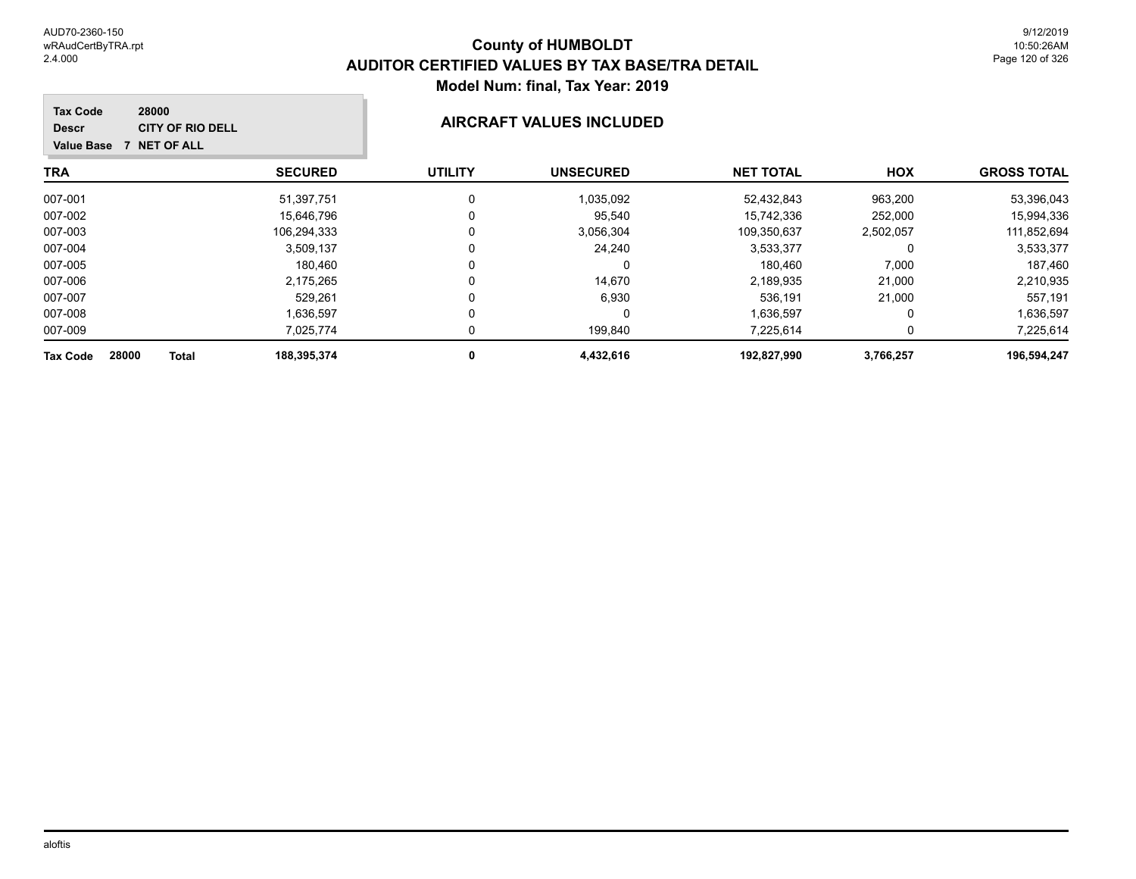| 28000<br><b>Tax Code</b><br><b>CITY OF RIO DELL</b><br><b>Descr</b><br><b>NET OF ALL</b><br><b>Value Base</b> |                |                | AIRCRAFT VALUES INCLUDED |                  |           |                    |
|---------------------------------------------------------------------------------------------------------------|----------------|----------------|--------------------------|------------------|-----------|--------------------|
| <b>TRA</b>                                                                                                    | <b>SECURED</b> | <b>UTILITY</b> | <b>UNSECURED</b>         | <b>NET TOTAL</b> | HOX       | <b>GROSS TOTAL</b> |
| 007-001                                                                                                       | 51,397,751     | 0              | 1,035,092                | 52,432,843       | 963,200   | 53,396,043         |
| 007-002                                                                                                       | 15,646,796     | 0              | 95,540                   | 15,742,336       | 252,000   | 15,994,336         |
| 007-003                                                                                                       | 106,294,333    | 0              | 3,056,304                | 109,350,637      | 2,502,057 | 111,852,694        |
| 007-004                                                                                                       | 3,509,137      | 0              | 24,240                   | 3,533,377        | 0         | 3,533,377          |
| 007-005                                                                                                       | 180,460        | $\Omega$       | 0                        | 180,460          | 7,000     | 187,460            |
| 007-006                                                                                                       | 2,175,265      | 0              | 14,670                   | 2,189,935        | 21,000    | 2,210,935          |
| 007-007                                                                                                       | 529.261        | 0              | 6,930                    | 536,191          | 21,000    | 557,191            |
| 007-008                                                                                                       | 1,636,597      | 0              | 0                        | 1,636,597        | 0         | 1,636,597          |
| 007-009                                                                                                       | 7,025,774      | 0              | 199,840                  | 7,225,614        | 0         | 7,225,614          |
| 28000<br><b>Tax Code</b><br>Total                                                                             | 188,395,374    | 0              | 4,432,616                | 192,827,990      | 3,766,257 | 196,594,247        |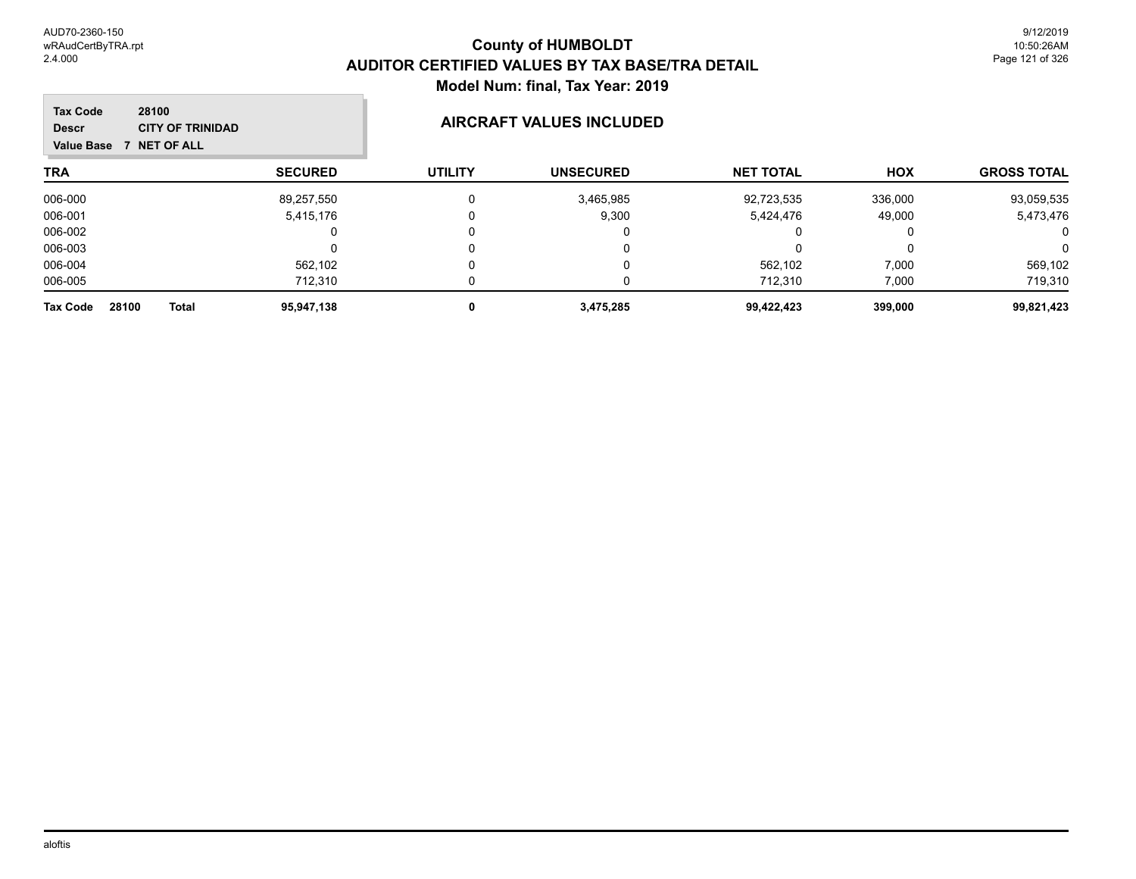| 28100<br><b>Tax Code</b><br><b>Descr</b><br>NET OF ALL<br><b>Value Base</b> | <b>CITY OF TRINIDAD</b>    | AIRCRAFT VALUES INCLUDED |                  |                  |            |                    |
|-----------------------------------------------------------------------------|----------------------------|--------------------------|------------------|------------------|------------|--------------------|
| <b>TRA</b>                                                                  | <b>SECURED</b>             | <b>UTILITY</b>           | <b>UNSECURED</b> | <b>NET TOTAL</b> | <b>HOX</b> | <b>GROSS TOTAL</b> |
| 006-000                                                                     | 89,257,550                 | $\mathbf{0}$             | 3,465,985        | 92,723,535       | 336,000    | 93,059,535         |
| 006-001                                                                     | 5,415,176                  | 0                        | 9,300            | 5,424,476        | 49,000     | 5,473,476          |
| 006-002                                                                     | 0                          | 0                        |                  | 0                | 0          | 0                  |
| 006-003                                                                     |                            | 0                        | 0                |                  | 0          | $\mathbf 0$        |
| 006-004                                                                     | 562,102                    | 0                        |                  | 562,102          | 7,000      | 569,102            |
| 006-005                                                                     | 712.310                    |                          |                  | 712.310          | 7,000      | 719,310            |
| 28100<br><b>Tax Code</b>                                                    | 95,947,138<br><b>Total</b> | 0                        | 3,475,285        | 99,422,423       | 399,000    | 99,821,423         |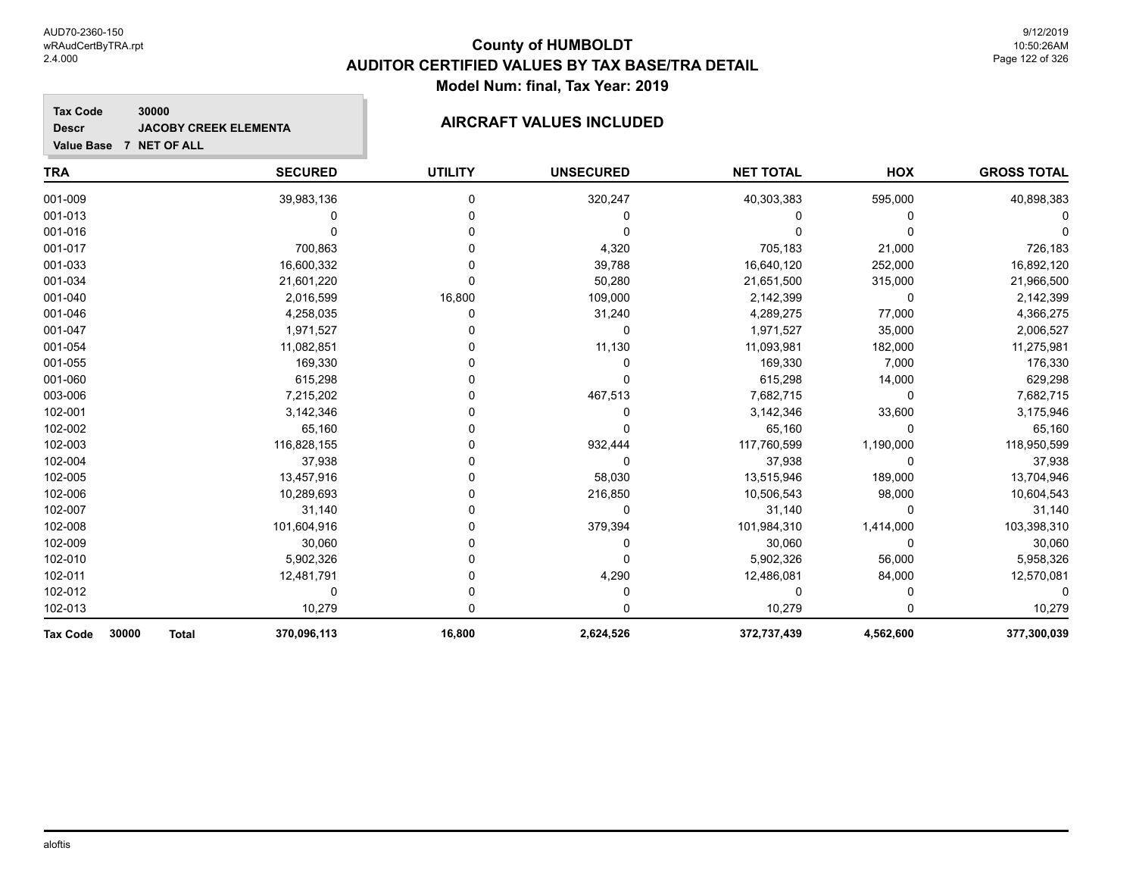### **Tax Code 30000 Descr**

# **JACOBY CREEK ELEMENTA AIRCRAFT VALUES INCLUDED**

**Value Base 7 NET OF ALL**

| <b>TRA</b>                               | <b>SECURED</b> | <b>UTILITY</b> | <b>UNSECURED</b> | <b>NET TOTAL</b> | HOX       | <b>GROSS TOTAL</b> |
|------------------------------------------|----------------|----------------|------------------|------------------|-----------|--------------------|
| 001-009                                  | 39,983,136     | 0              | 320,247          | 40,303,383       | 595,000   | 40,898,383         |
| 001-013                                  | 0              |                | 0                | ი                | 0         |                    |
| 001-016                                  |                |                | 0                |                  | ∩         |                    |
| 001-017                                  | 700,863        |                | 4,320            | 705,183          | 21,000    | 726,183            |
| 001-033                                  | 16,600,332     |                | 39,788           | 16,640,120       | 252,000   | 16,892,120         |
| 001-034                                  | 21,601,220     |                | 50,280           | 21,651,500       | 315,000   | 21,966,500         |
| 001-040                                  | 2,016,599      | 16,800         | 109,000          | 2,142,399        | $\Omega$  | 2,142,399          |
| 001-046                                  | 4,258,035      | 0              | 31,240           | 4,289,275        | 77,000    | 4,366,275          |
| 001-047                                  | 1,971,527      |                | 0                | 1,971,527        | 35,000    | 2,006,527          |
| 001-054                                  | 11,082,851     |                | 11,130           | 11,093,981       | 182,000   | 11,275,981         |
| 001-055                                  | 169,330        |                | 0                | 169,330          | 7,000     | 176,330            |
| 001-060                                  | 615,298        |                | 0                | 615,298          | 14,000    | 629,298            |
| 003-006                                  | 7,215,202      |                | 467,513          | 7,682,715        | $\Omega$  | 7,682,715          |
| 102-001                                  | 3,142,346      |                | 0                | 3,142,346        | 33,600    | 3,175,946          |
| 102-002                                  | 65,160         |                | 0                | 65,160           | $\Omega$  | 65,160             |
| 102-003                                  | 116,828,155    |                | 932,444          | 117,760,599      | 1,190,000 | 118,950,599        |
| 102-004                                  | 37,938         |                | 0                | 37,938           | $\Omega$  | 37,938             |
| 102-005                                  | 13,457,916     |                | 58,030           | 13,515,946       | 189,000   | 13,704,946         |
| 102-006                                  | 10,289,693     |                | 216,850          | 10,506,543       | 98,000    | 10,604,543         |
| 102-007                                  | 31,140         |                | 0                | 31,140           | 0         | 31,140             |
| 102-008                                  | 101,604,916    |                | 379,394          | 101,984,310      | 1,414,000 | 103,398,310        |
| 102-009                                  | 30,060         |                | 0                | 30,060           | $\Omega$  | 30,060             |
| 102-010                                  | 5,902,326      |                | 0                | 5,902,326        | 56,000    | 5,958,326          |
| 102-011                                  | 12,481,791     |                | 4,290            | 12,486,081       | 84,000    | 12,570,081         |
| 102-012                                  | 0              |                | 0                | 0                | 0         |                    |
| 102-013                                  | 10,279         | 0              | 0                | 10,279           | O         | 10,279             |
| 30000<br><b>Total</b><br><b>Tax Code</b> | 370,096,113    | 16,800         | 2,624,526        | 372,737,439      | 4,562,600 | 377,300,039        |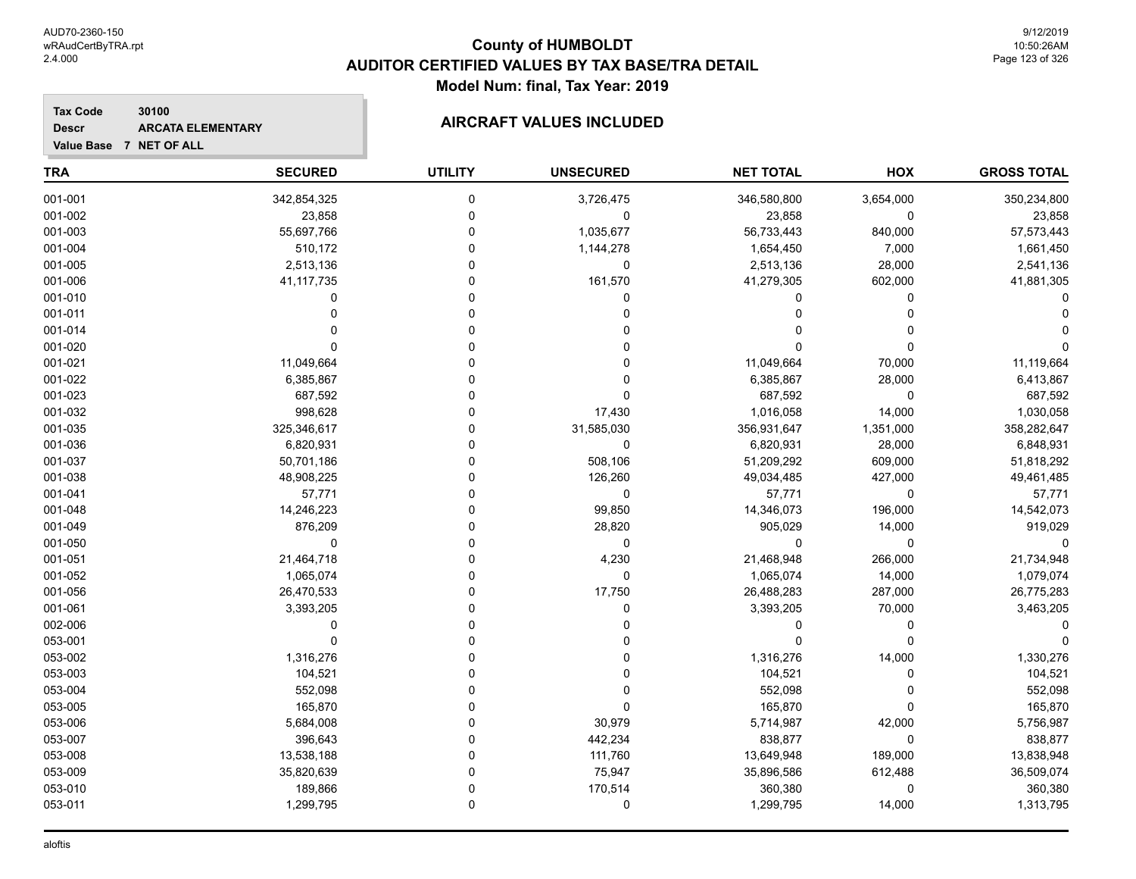**GROSS TOTAL**

# **TRA SECURED UTILITY UNSECURED HOX Tax Code Value Base 7 NET OF ALL 30100 NET TOTAL Descr ARCATA ELEMENTARY AIRCRAFT VALUES INCLUDED** 001-001 342,854,325 0 3,726,475 346,580,800 3,654,000 350,234,800  $001\hbox{-}002$  , the contract the contract of the contract of  $0$  , the contract of  $23,858$  ,  $0$  ,  $23,858$  ,  $23,858$ 001-003 55,697,766 0 1,035,677 56,733,443 840,000 57,573,443 001-004 510,172 0 1,144,278 1,654,450 7,000 1,661,450 001-005 2,513,136 0 0 2,513,136 28,000 2,541,136

| 001-006 | 41, 117, 735 |   | 161,570    | 41,279,305  | 602,000      | 41,881,305  |
|---------|--------------|---|------------|-------------|--------------|-------------|
| 001-010 |              |   |            |             |              |             |
| 001-011 |              |   |            |             |              |             |
| 001-014 |              |   |            |             |              |             |
| 001-020 |              |   |            |             |              |             |
| 001-021 | 11,049,664   |   |            | 11,049,664  | 70,000       | 11,119,664  |
| 001-022 | 6,385,867    |   |            | 6,385,867   | 28,000       | 6,413,867   |
| 001-023 | 687,592      |   |            | 687,592     | $\Omega$     | 687,592     |
| 001-032 | 998,628      |   | 17,430     | 1,016,058   | 14,000       | 1,030,058   |
| 001-035 | 325,346,617  |   | 31,585,030 | 356,931,647 | 1,351,000    | 358,282,647 |
| 001-036 | 6,820,931    |   | 0          | 6,820,931   | 28,000       | 6,848,931   |
| 001-037 | 50,701,186   |   | 508,106    | 51,209,292  | 609,000      | 51,818,292  |
| 001-038 | 48,908,225   |   | 126,260    | 49,034,485  | 427,000      | 49,461,485  |
| 001-041 | 57,771       |   | 0          | 57,771      | $\Omega$     | 57,771      |
| 001-048 | 14,246,223   |   | 99,850     | 14,346,073  | 196,000      | 14,542,073  |
| 001-049 | 876,209      |   | 28,820     | 905,029     | 14,000       | 919,029     |
| 001-050 | 0            |   | 0          | O           | $\Omega$     |             |
| 001-051 | 21,464,718   |   | 4,230      | 21,468,948  | 266,000      | 21,734,948  |
| 001-052 | 1,065,074    |   | 0          | 1,065,074   | 14,000       | 1,079,074   |
| 001-056 | 26,470,533   |   | 17,750     | 26,488,283  | 287,000      | 26,775,283  |
| 001-061 | 3,393,205    |   |            | 3,393,205   | 70,000       | 3,463,205   |
| 002-006 |              |   |            |             |              |             |
| 053-001 |              |   |            |             |              |             |
| 053-002 | 1,316,276    |   |            | 1,316,276   | 14,000       | 1,330,276   |
| 053-003 | 104,521      |   |            | 104,521     |              | 104,521     |
| 053-004 | 552,098      |   |            | 552,098     |              | 552,098     |
| 053-005 | 165,870      |   |            | 165,870     |              | 165,870     |
| 053-006 | 5,684,008    |   | 30,979     | 5,714,987   | 42,000       | 5,756,987   |
| 053-007 | 396,643      |   | 442,234    | 838,877     | <sup>0</sup> | 838,877     |
| 053-008 | 13,538,188   |   | 111,760    | 13,649,948  | 189,000      | 13,838,948  |
| 053-009 | 35,820,639   |   | 75,947     | 35,896,586  | 612,488      | 36,509,074  |
| 053-010 | 189,866      |   | 170,514    | 360,380     | 0            | 360,380     |
| 053-011 | 1,299,795    | 0 | 0          | 1,299,795   | 14,000       | 1,313,795   |
|         |              |   |            |             |              |             |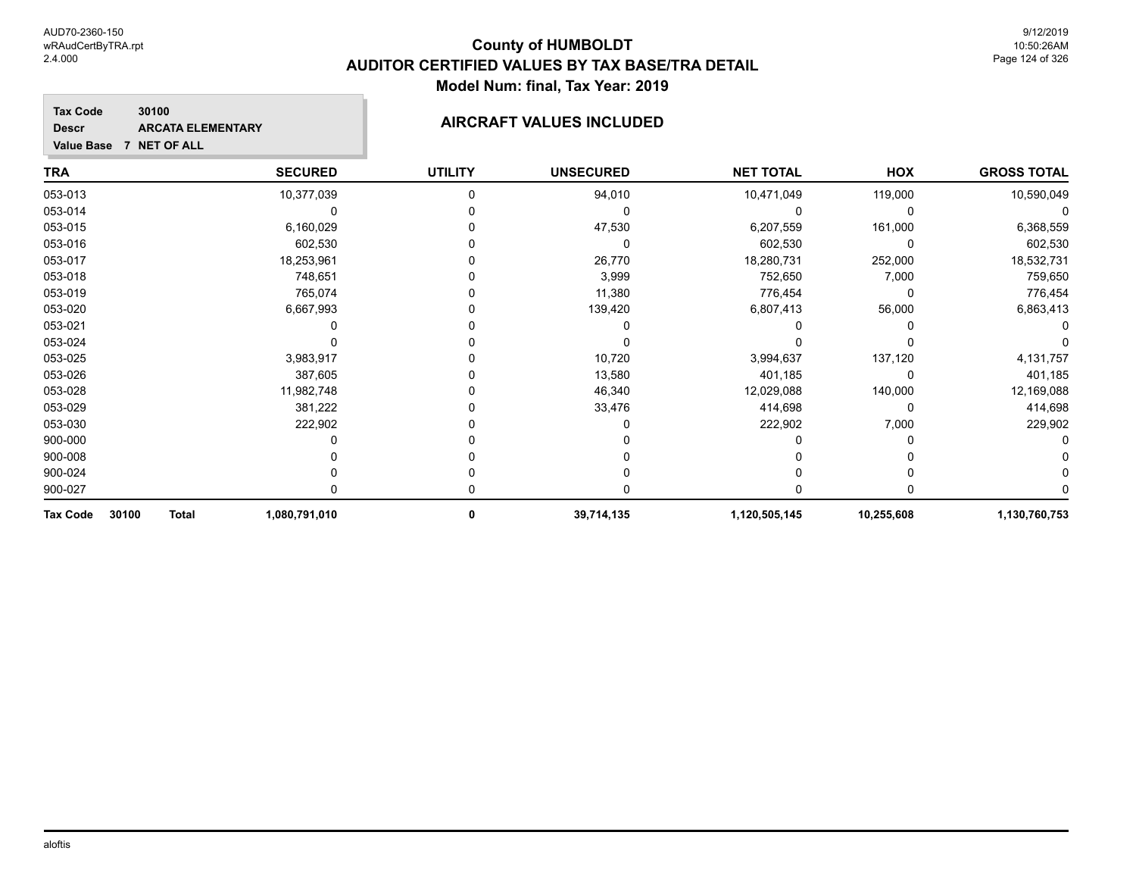**Descr**

# **County of HUMBOLDT AUDITOR CERTIFIED VALUES BY TAX BASE/TRA DETAIL Model Num: final, Tax Year: 2019**

### **Tax Code 30100 ARCATA ELEMENTARY AIRCRAFT VALUES INCLUDED**

**Value Base 7 NET OF ALL**

| TRA               |              | <b>SECURED</b> | <b>UTILITY</b> | <b>UNSECURED</b> | <b>NET TOTAL</b> | HOX        | <b>GROSS TOTAL</b> |
|-------------------|--------------|----------------|----------------|------------------|------------------|------------|--------------------|
| 053-013           |              | 10,377,039     |                | 94,010           | 10,471,049       | 119,000    | 10,590,049         |
| 053-014           |              |                |                | 0                |                  | 0          |                    |
| 053-015           |              | 6,160,029      |                | 47,530           | 6,207,559        | 161,000    | 6,368,559          |
| 053-016           |              | 602,530        |                | 0                | 602,530          | 0          | 602,530            |
| 053-017           |              | 18,253,961     |                | 26,770           | 18,280,731       | 252,000    | 18,532,731         |
| 053-018           |              | 748,651        |                | 3,999            | 752,650          | 7,000      | 759,650            |
| 053-019           |              | 765,074        |                | 11,380           | 776,454          | $\Omega$   | 776,454            |
| 053-020           |              | 6,667,993      |                | 139,420          | 6,807,413        | 56,000     | 6,863,413          |
| 053-021           |              |                |                |                  |                  |            |                    |
| 053-024           |              |                |                |                  |                  |            |                    |
| 053-025           |              | 3,983,917      |                | 10,720           | 3,994,637        | 137,120    | 4,131,757          |
| 053-026           |              | 387,605        |                | 13,580           | 401,185          | 0          | 401,185            |
| 053-028           |              | 11,982,748     |                | 46,340           | 12,029,088       | 140,000    | 12,169,088         |
| 053-029           |              | 381,222        |                | 33,476           | 414,698          | 0          | 414,698            |
| 053-030           |              | 222,902        |                |                  | 222,902          | 7,000      | 229,902            |
| 900-000           |              |                |                |                  |                  |            |                    |
| 900-008           |              |                |                |                  |                  |            |                    |
| 900-024           |              |                |                |                  |                  |            |                    |
| 900-027           |              |                |                |                  |                  |            |                    |
| 30100<br>Tax Code | <b>Total</b> | 1,080,791,010  | 0              | 39,714,135       | 1,120,505,145    | 10,255,608 | 1,130,760,753      |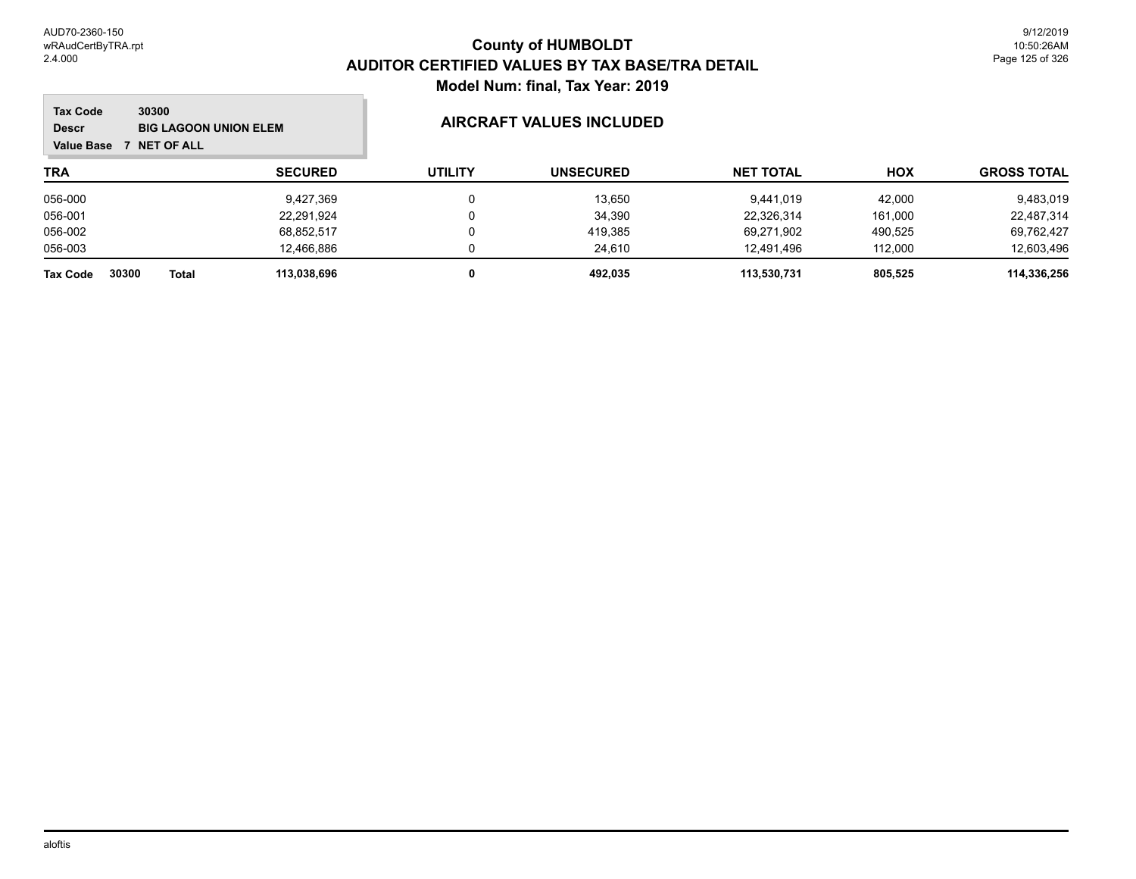**Tale** 

| <b>Tax Code</b><br>30300<br><b>Descr</b><br><b>NET OF ALL</b><br><b>Value Base</b> | <b>BIG LAGOON UNION ELEM</b> | <b>AIRCRAFT VALUES INCLUDED</b> |                  |                  |            |                    |
|------------------------------------------------------------------------------------|------------------------------|---------------------------------|------------------|------------------|------------|--------------------|
| TRA                                                                                | <b>SECURED</b>               | <b>UTILITY</b>                  | <b>UNSECURED</b> | <b>NET TOTAL</b> | <b>HOX</b> | <b>GROSS TOTAL</b> |
| 056-000                                                                            | 9,427,369                    | 0                               | 13.650           | 9.441.019        | 42.000     | 9,483,019          |
| 056-001                                                                            | 22,291,924                   | 0                               | 34,390           | 22,326,314       | 161.000    | 22,487,314         |
| 056-002                                                                            | 68,852,517                   | 0                               | 419,385          | 69,271,902       | 490,525    | 69,762,427         |
| 056-003                                                                            | 12.466.886                   | 0                               | 24.610           | 12.491.496       | 112.000    | 12,603,496         |
| 30300<br><b>Total</b><br><b>Tax Code</b>                                           | 113.038.696                  |                                 | 492.035          | 113.530.731      | 805.525    | 114,336,256        |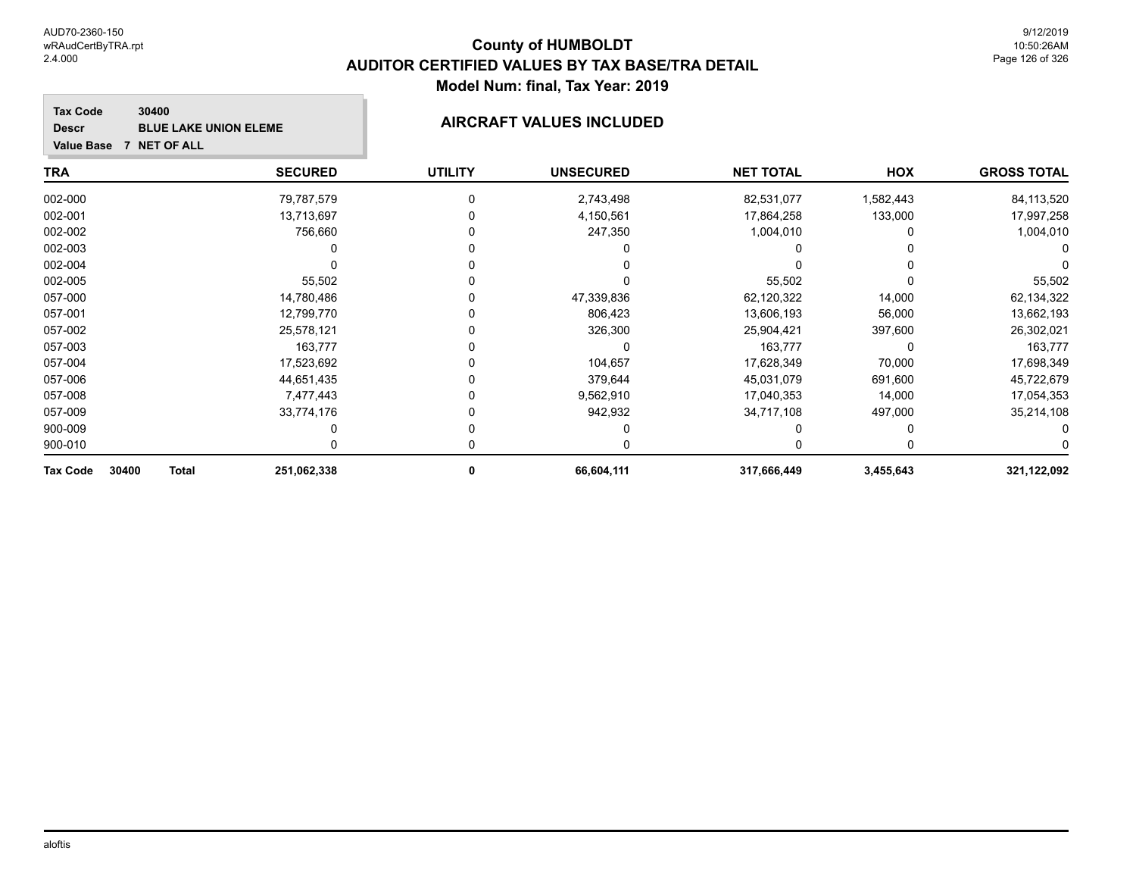**GROSS TOTAL**

### **TRA SECURED UTILITY UNSECURED HOX Tax Code Value Base 7 NET OF ALL 30400 NET TOTAL Descr BLUE LAKE UNION ELEME AIRCRAFT VALUES INCLUDED** 002-000 79,787,579 0 2,743,498 82,531,077 1,582,443 84,113,520 002-001 13,713,697 0 4,150,561 17,864,258 133,000 17,997,258 002-002 756,660 0 247,350 1,004,010 0 1,004,010  $\begin{matrix} 0 & 0 & 0 \ 0 & 0 & 0 \end{matrix}$

| 30400<br><b>Total</b><br>Tax Code | 251,062,338 | 66,604,111 | 317,666,449 | 3,455,643 | 321,122,092 |
|-----------------------------------|-------------|------------|-------------|-----------|-------------|
| 900-010                           |             |            |             |           |             |
| 900-009                           |             |            |             |           |             |
| 057-009                           | 33,774,176  | 942,932    | 34,717,108  | 497,000   | 35,214,108  |
| 057-008                           | 7.477.443   | 9,562,910  | 17.040.353  | 14,000    | 17,054,353  |
| 057-006                           | 44.651.435  | 379.644    | 45.031.079  | 691.600   | 45,722,679  |
| 057-004                           | 17,523,692  | 104,657    | 17,628,349  | 70,000    | 17,698,349  |
| 057-003                           | 163.777     |            | 163,777     |           | 163,777     |
| 057-002                           | 25.578.121  | 326,300    | 25,904,421  | 397,600   | 26,302,021  |
| 057-001                           | 12,799,770  | 806,423    | 13,606,193  | 56,000    | 13,662,193  |
| 057-000                           | 14.780.486  | 47,339,836 | 62,120,322  | 14.000    | 62,134,322  |
| 002-005                           | 55,502      |            | 55,502      |           | 55,502      |
| 002-004                           |             |            |             |           |             |
| uuz-uus                           |             |            |             |           |             |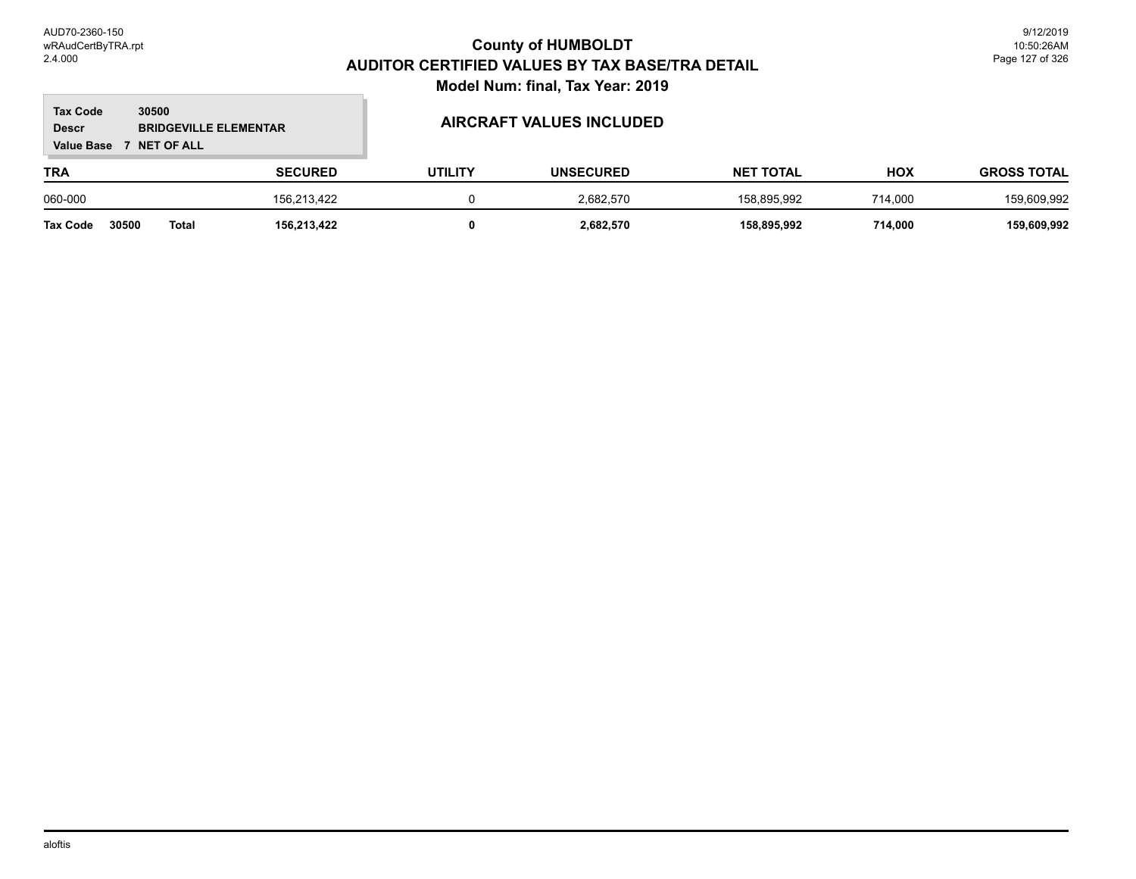### **TRA SECURED UTILITY UNSECURED HOX Tax Code Value Base 7 NET OF ALL 30500 GROSS TOTAL NET TOTAL Descr BRIDGEVILLE ELEMENTAR AIRCRAFT VALUES INCLUDED** 060-000 156,213,422 0 2,682,570 158,895,992 714,000 159,609,992

**Tax Code 30500 Total 156,213,422 0 2,682,570 158,895,992 714,000 159,609,992**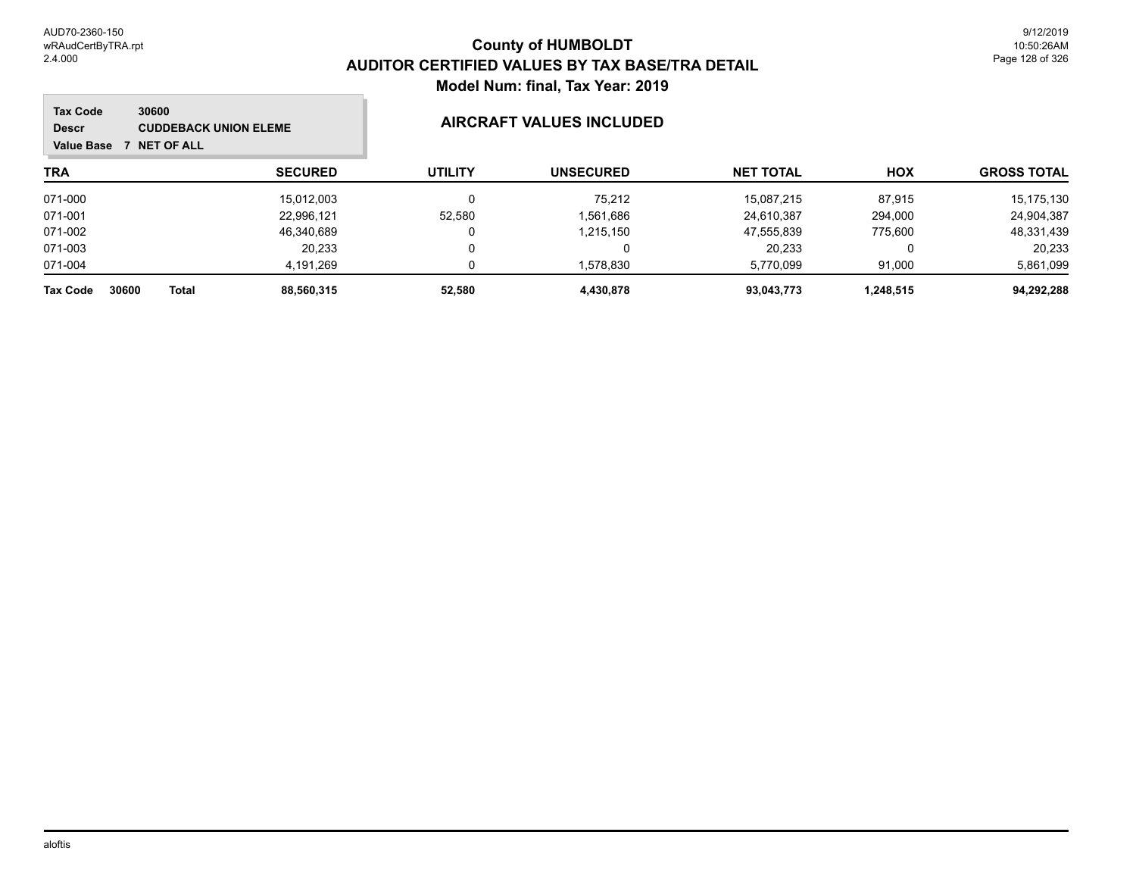m.

| Tax Code<br>30600<br><b>CUDDEBACK UNION ELEME</b><br><b>Descr</b><br><b>NET OF ALL</b><br><b>Value Base</b> |                |                | <b>AIRCRAFT VALUES INCLUDED</b> |                  |           |                    |  |
|-------------------------------------------------------------------------------------------------------------|----------------|----------------|---------------------------------|------------------|-----------|--------------------|--|
| <b>TRA</b>                                                                                                  | <b>SECURED</b> | <b>UTILITY</b> | <b>UNSECURED</b>                | <b>NET TOTAL</b> | HOX       | <b>GROSS TOTAL</b> |  |
| 071-000                                                                                                     | 15,012,003     | $\Omega$       | 75.212                          | 15.087.215       | 87.915    | 15,175,130         |  |
| 071-001                                                                                                     | 22,996,121     | 52.580         | 1,561,686                       | 24.610.387       | 294.000   | 24,904,387         |  |
| 071-002                                                                                                     | 46,340,689     | 0              | 1,215,150                       | 47,555,839       | 775.600   | 48,331,439         |  |
| 071-003                                                                                                     | 20.233         | 0              |                                 | 20.233           | 0         | 20,233             |  |
| 071-004                                                                                                     | 4.191.269      | 0              | 1,578,830                       | 5,770,099        | 91.000    | 5,861,099          |  |
| <b>Total</b><br><b>Tax Code</b><br>30600                                                                    | 88.560.315     | 52.580         | 4,430,878                       | 93.043.773       | 1,248,515 | 94,292,288         |  |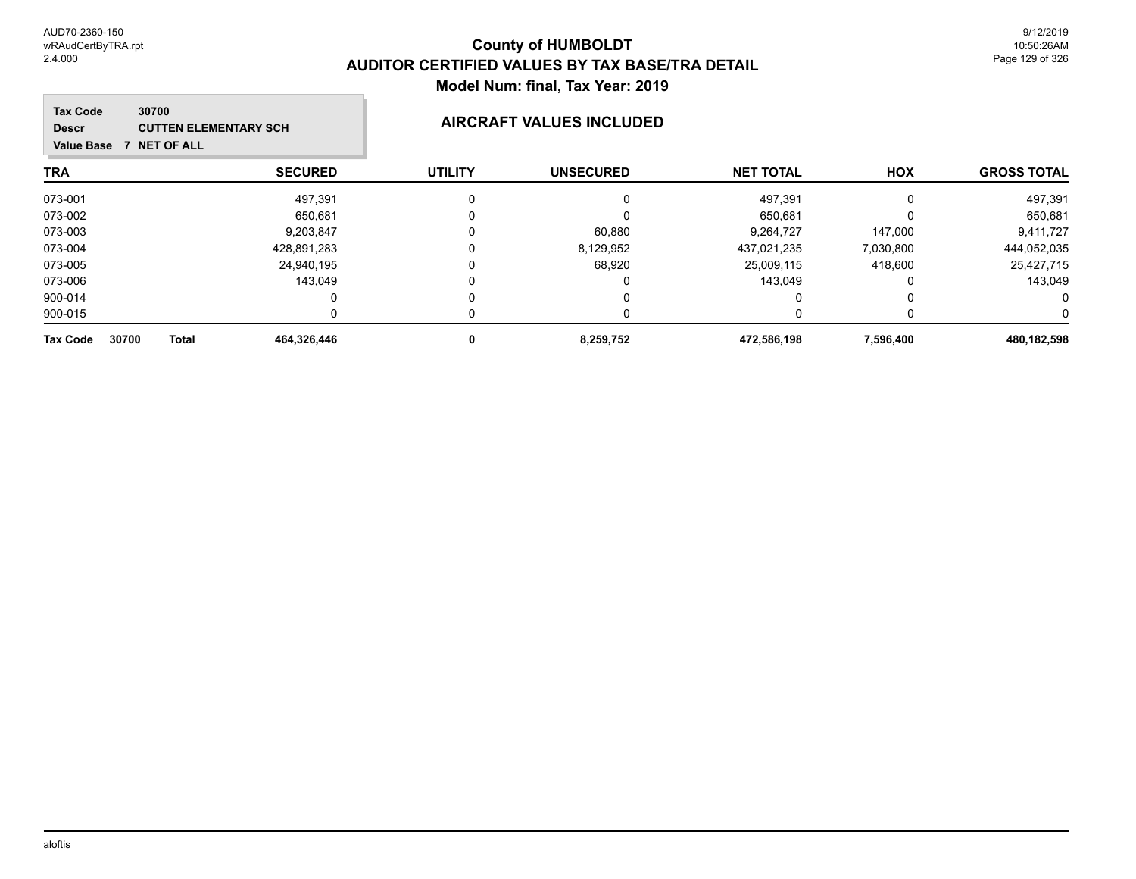| 30700<br><b>Tax Code</b><br><b>CUTTEN ELEMENTARY SCH</b><br><b>Descr</b><br>Value Base 7 NET OF ALL |                |                | <b>AIRCRAFT VALUES INCLUDED</b> |                  |           |                    |
|-----------------------------------------------------------------------------------------------------|----------------|----------------|---------------------------------|------------------|-----------|--------------------|
| TRA                                                                                                 | <b>SECURED</b> | <b>UTILITY</b> | <b>UNSECURED</b>                | <b>NET TOTAL</b> | HOX       | <b>GROSS TOTAL</b> |
| 073-001                                                                                             | 497,391        |                |                                 | 497,391          | 0         | 497,391            |
| 073-002                                                                                             | 650,681        |                |                                 | 650,681          |           | 650,681            |
| 073-003                                                                                             | 9,203,847      |                | 60,880                          | 9,264,727        | 147,000   | 9,411,727          |
| 073-004                                                                                             | 428,891,283    |                | 8,129,952                       | 437.021.235      | 7,030,800 | 444,052,035        |
| 073-005                                                                                             | 24,940,195     |                | 68,920                          | 25,009,115       | 418,600   | 25,427,715         |
| 073-006                                                                                             | 143,049        |                |                                 | 143,049          |           | 143,049            |
| 900-014                                                                                             | 0              |                |                                 | 0                | n         |                    |
| 900-015                                                                                             |                |                |                                 |                  |           |                    |
| 30700<br><b>Total</b><br><b>Tax Code</b>                                                            | 464,326,446    |                | 8,259,752                       | 472,586,198      | 7,596,400 | 480,182,598        |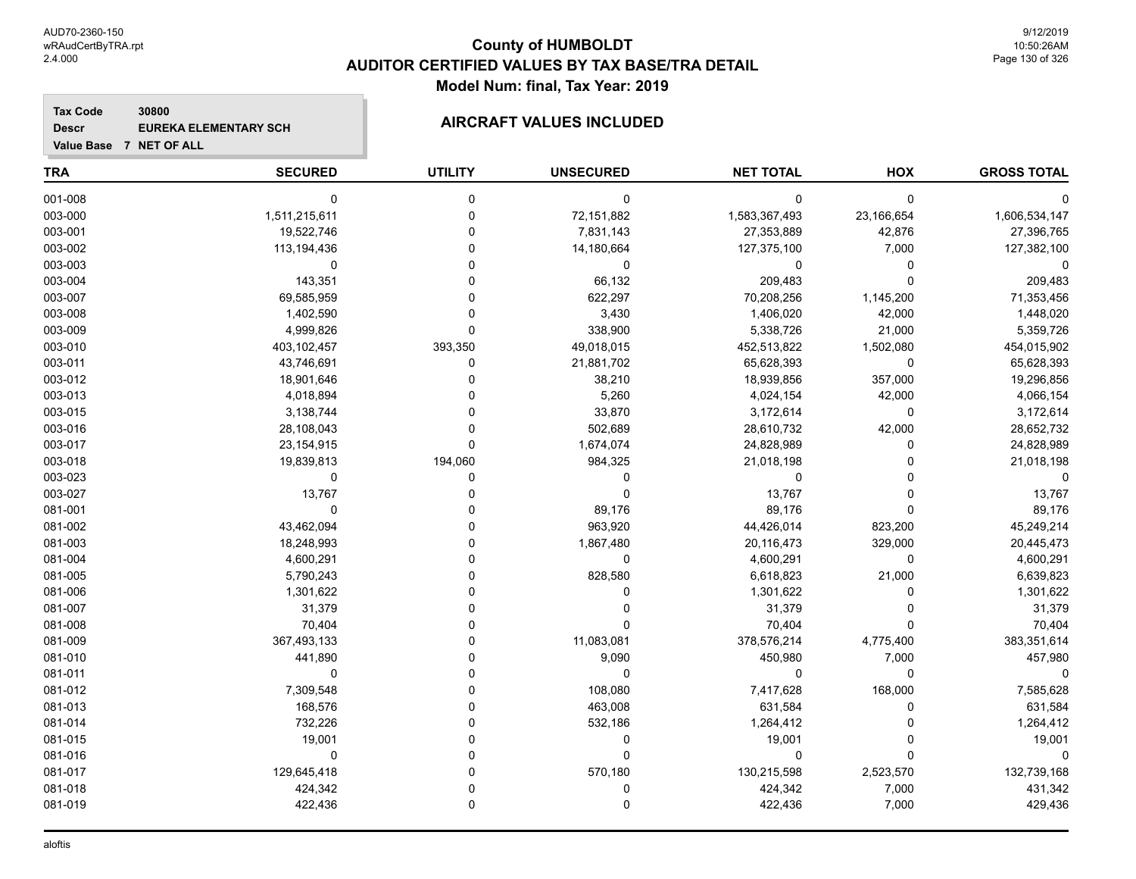**Value Base 7 NET OF ALL**

# **County of HUMBOLDT AUDITOR CERTIFIED VALUES BY TAX BASE/TRA DETAIL Model Num: final, Tax Year: 2019**

### **Tax Code 30800 Descr EUREKA ELEMENTARY SCH AIRCRAFT VALUES INCLUDED**

| <b>TRA</b> | <b>SECURED</b> | <b>UTILITY</b> | <b>UNSECURED</b> | <b>NET TOTAL</b> | HOX         | <b>GROSS TOTAL</b> |
|------------|----------------|----------------|------------------|------------------|-------------|--------------------|
| 001-008    | $\mathbf 0$    | $\mathbf 0$    | $\mathbf 0$      | $\mathbf 0$      | $\mathbf 0$ |                    |
| 003-000    | 1,511,215,611  | $\mathbf 0$    | 72,151,882       | 1,583,367,493    | 23,166,654  | 1,606,534,147      |
| 003-001    | 19,522,746     | $\mathbf 0$    | 7,831,143        | 27,353,889       | 42,876      | 27,396,765         |
| 003-002    | 113,194,436    | $\Omega$       | 14,180,664       | 127,375,100      | 7,000       | 127,382,100        |
| 003-003    | 0              | $\Omega$       | 0                | 0                | 0           |                    |
| 003-004    | 143,351        | $\Omega$       | 66,132           | 209,483          | $\Omega$    | 209,483            |
| 003-007    | 69,585,959     | $\Omega$       | 622,297          | 70,208,256       | 1,145,200   | 71,353,456         |
| 003-008    | 1,402,590      | $\Omega$       | 3,430            | 1,406,020        | 42,000      | 1,448,020          |
| 003-009    | 4,999,826      | $\Omega$       | 338,900          | 5,338,726        | 21,000      | 5,359,726          |
| 003-010    | 403,102,457    | 393,350        | 49,018,015       | 452,513,822      | 1,502,080   | 454,015,902        |
| 003-011    | 43,746,691     | $\mathbf 0$    | 21,881,702       | 65,628,393       | 0           | 65,628,393         |
| 003-012    | 18,901,646     | $\Omega$       | 38,210           | 18,939,856       | 357,000     | 19,296,856         |
| 003-013    | 4,018,894      | $\Omega$       | 5,260            | 4,024,154        | 42,000      | 4,066,154          |
| 003-015    | 3,138,744      | $\Omega$       | 33,870           | 3,172,614        | 0           | 3,172,614          |
| 003-016    | 28,108,043     | $\Omega$       | 502,689          | 28,610,732       | 42,000      | 28,652,732         |
| 003-017    | 23,154,915     | $\Omega$       | 1,674,074        | 24,828,989       | 0           | 24,828,989         |
| 003-018    | 19,839,813     | 194,060        | 984,325          | 21,018,198       |             | 21,018,198         |
| 003-023    | $\mathbf 0$    | $\Omega$       | $\Omega$         | 0                |             | 0                  |
| 003-027    | 13,767         | $\Omega$       | 0                | 13,767           |             | 13,767             |
| 081-001    | $\mathbf 0$    | $\Omega$       | 89,176           | 89,176           | $\Omega$    | 89,176             |
| 081-002    | 43,462,094     | $\Omega$       | 963,920          | 44,426,014       | 823,200     | 45,249,214         |
| 081-003    | 18,248,993     | $\Omega$       | 1,867,480        | 20,116,473       | 329,000     | 20,445,473         |
| 081-004    | 4,600,291      | $\Omega$       | 0                | 4,600,291        | $\mathbf 0$ | 4,600,291          |
| 081-005    | 5,790,243      | $\Omega$       | 828,580          | 6,618,823        | 21,000      | 6,639,823          |
| 081-006    | 1,301,622      | $\Omega$       | 0                | 1,301,622        | $\Omega$    | 1,301,622          |
| 081-007    | 31,379         | $\Omega$       | $\Omega$         | 31,379           | $\Omega$    | 31,379             |
| 081-008    | 70,404         | $\Omega$       | $\Omega$         | 70,404           | $\Omega$    | 70,404             |
| 081-009    | 367,493,133    | $\Omega$       | 11,083,081       | 378,576,214      | 4,775,400   | 383,351,614        |
| 081-010    | 441,890        | $\Omega$       | 9,090            | 450,980          | 7,000       | 457,980            |
| 081-011    | $\mathbf 0$    | $\Omega$       | $\mathbf 0$      | 0                | $\mathbf 0$ | O                  |
| 081-012    | 7,309,548      | $\Omega$       | 108,080          | 7,417,628        | 168,000     | 7,585,628          |
| 081-013    | 168,576        | $\Omega$       | 463,008          | 631,584          | 0           | 631,584            |
| 081-014    | 732,226        | $\Omega$       | 532,186          | 1,264,412        | $\Omega$    | 1,264,412          |
| 081-015    | 19,001         | $\Omega$       | 0                | 19,001           | $\Omega$    | 19,001             |
| 081-016    | $\Omega$       | $\Omega$       | $\Omega$         | 0                | $\Omega$    |                    |
| 081-017    | 129,645,418    | $\Omega$       | 570,180          | 130,215,598      | 2,523,570   | 132,739,168        |
| 081-018    | 424,342        |                | 0                | 424,342          | 7,000       | 431,342            |
| 081-019    | 422,436        | $\Omega$       | $\Omega$         | 422,436          | 7,000       | 429,436            |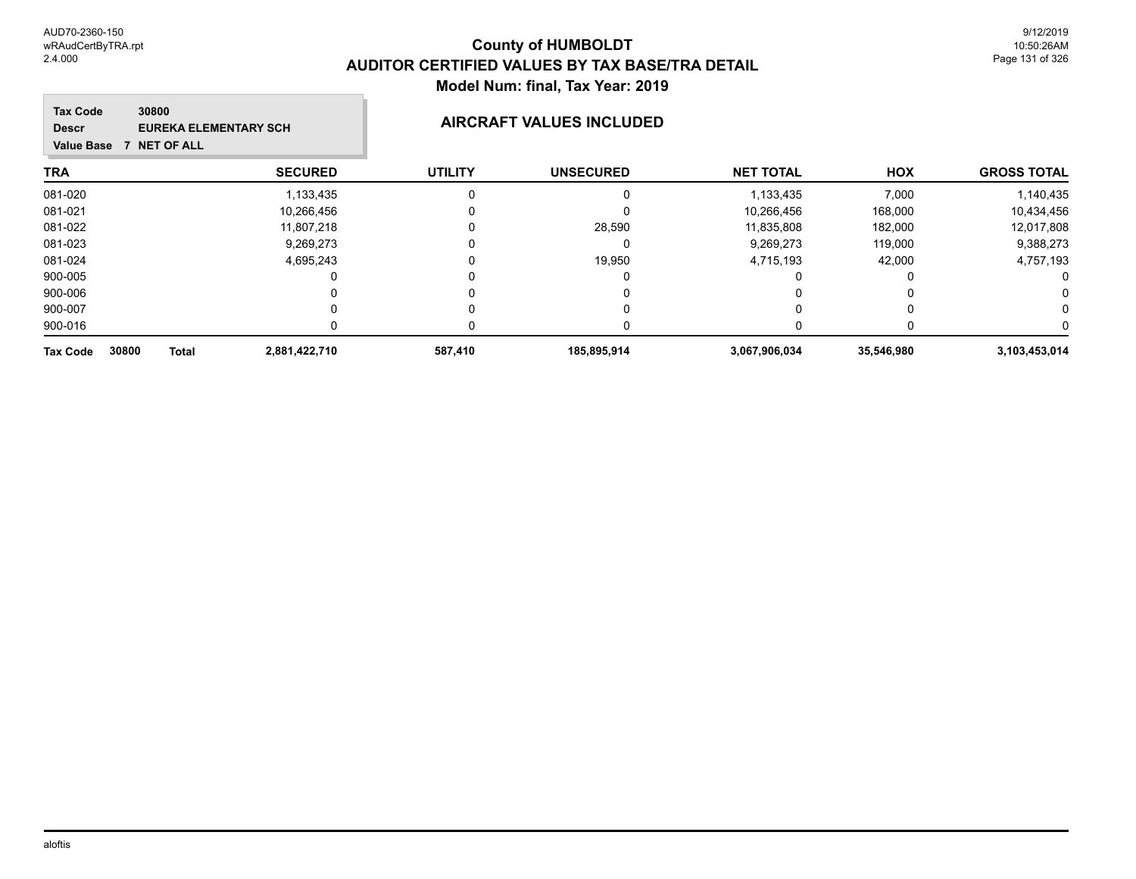### **TRA SECURED UTILITY UNSECURED HOX Tax Code Value Base 7 NET OF ALL 30800 GROSS TOTAL NET TOTAL Descr EUREKA ELEMENTARY SCH AIRCRAFT VALUES INCLUDED** 081-020 1,133,435 0 0 1,133,435 7,000 1,140,435 081-021 10,266,456 0 10,266,456 168,000 10,434,456 081-022 11,807,218 0 28,590 11,835,808 182,000 12,017,808 081-023 9,269,273 0 0 9,269,273 119,000 9,388,273 081-024 4,695,243 0 19,950 4,715,193 42,000 4,757,193 900-005 0 0 0 0 0 0 900-006 0 0 0 0 0 0 900-007 0 0 0 0 0 0 900-016 0 0 0 0 0 0 **Tax Code 30800 Total 2,881,422,710 587,410 185,895,914 3,067,906,034 35,546,980 3,103,453,014**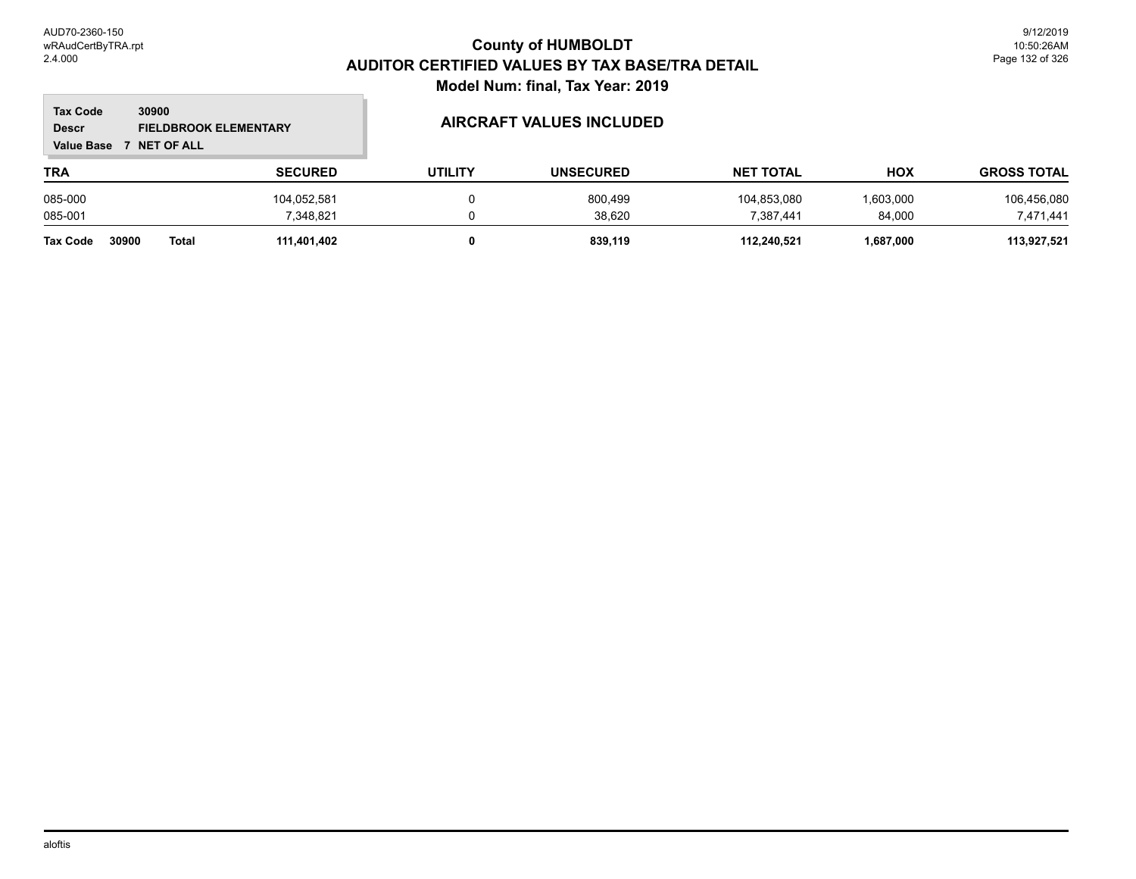### **TRA SECURED UTILITY UNSECURED HOX Tax Code Value Base 7 NET OF ALL 30900 GROSS TOTAL NET TOTAL Descr FIELDBROOK ELEMENTARY AIRCRAFT VALUES INCLUDED** 085-000 104,052,581 0 800,499 104,853,080 1,603,000 106,456,080 085-001 7,348,821 0 38,620 7,387,441 84,000 7,471,441 **Tax Code 30900 Total 111,401,402 0 839,119 112,240,521 1,687,000 113,927,521**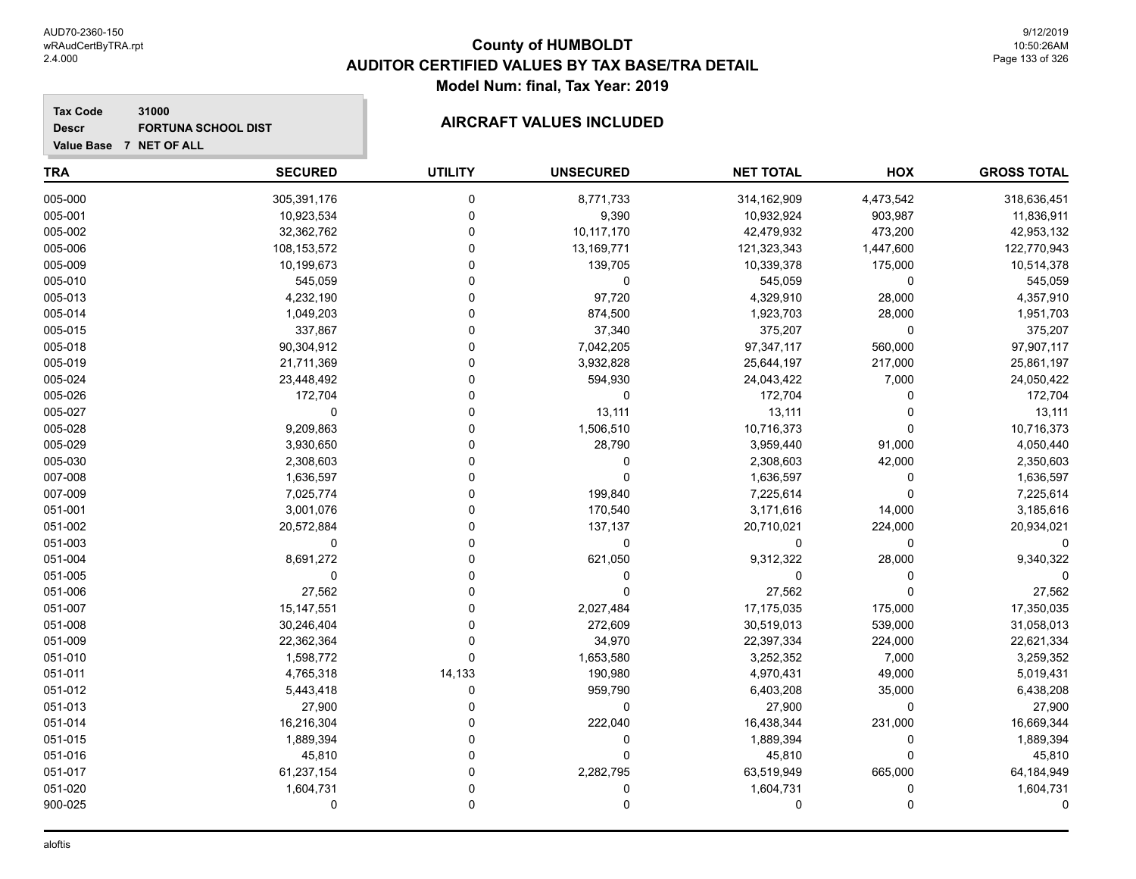**Value Base 7 NET OF ALL**

**Tax Code**

**Descr**

# **County of HUMBOLDT AUDITOR CERTIFIED VALUES BY TAX BASE/TRA DETAIL Model Num: final, Tax Year: 2019**

# **31000** FORTUNA SCHOOL DIST **AIRCRAFT VALUES INCLUDED**

| <b>TRA</b> | <b>SECURED</b> | <b>UTILITY</b> | <b>UNSECURED</b> | <b>NET TOTAL</b> | HOX         | <b>GROSS TOTAL</b> |
|------------|----------------|----------------|------------------|------------------|-------------|--------------------|
| 005-000    | 305,391,176    | 0              | 8,771,733        | 314,162,909      | 4,473,542   | 318,636,451        |
| 005-001    | 10,923,534     | 0              | 9,390            | 10,932,924       | 903,987     | 11,836,911         |
| 005-002    | 32,362,762     | 0              | 10,117,170       | 42,479,932       | 473,200     | 42,953,132         |
| 005-006    | 108,153,572    | 0              | 13,169,771       | 121,323,343      | 1,447,600   | 122,770,943        |
| 005-009    | 10,199,673     | 0              | 139,705          | 10,339,378       | 175,000     | 10,514,378         |
| 005-010    | 545,059        | $\Omega$       | 0                | 545,059          | 0           | 545,059            |
| 005-013    | 4,232,190      | $\Omega$       | 97,720           | 4,329,910        | 28,000      | 4,357,910          |
| 005-014    | 1,049,203      | 0              | 874,500          | 1,923,703        | 28,000      | 1,951,703          |
| 005-015    | 337,867        | 0              | 37,340           | 375,207          | 0           | 375,207            |
| 005-018    | 90,304,912     | 0              | 7,042,205        | 97,347,117       | 560,000     | 97,907,117         |
| 005-019    | 21,711,369     | 0              | 3,932,828        | 25,644,197       | 217,000     | 25,861,197         |
| 005-024    | 23,448,492     | 0              | 594,930          | 24,043,422       | 7,000       | 24,050,422         |
| 005-026    | 172,704        | $\Omega$       | 0                | 172,704          | $\Omega$    | 172,704            |
| 005-027    | 0              | $\Omega$       | 13,111           | 13,111           | $\Omega$    | 13,111             |
| 005-028    | 9,209,863      | 0              | 1,506,510        | 10,716,373       | $\Omega$    | 10,716,373         |
| 005-029    | 3,930,650      | $\Omega$       | 28,790           | 3,959,440        | 91,000      | 4,050,440          |
| 005-030    | 2,308,603      | 0              | 0                | 2,308,603        | 42,000      | 2,350,603          |
| 007-008    | 1,636,597      | 0              | 0                | 1,636,597        | $\mathbf 0$ | 1,636,597          |
| 007-009    | 7,025,774      | 0              | 199,840          | 7,225,614        | $\mathbf 0$ | 7,225,614          |
| 051-001    | 3,001,076      | $\Omega$       | 170,540          | 3,171,616        | 14,000      | 3,185,616          |
| 051-002    | 20,572,884     | O              | 137,137          | 20,710,021       | 224,000     | 20,934,021         |
| 051-003    | $\mathbf 0$    | $\Omega$       | $\mathbf 0$      | $\mathbf 0$      | $\mathbf 0$ | $\Omega$           |
| 051-004    | 8,691,272      | $\Omega$       | 621,050          | 9,312,322        | 28,000      | 9,340,322          |
| 051-005    | $\Omega$       | 0              | 0                | $\mathbf 0$      | $\mathbf 0$ | 0                  |
| 051-006    | 27,562         | $\Omega$       | $\Omega$         | 27,562           | $\mathbf 0$ | 27,562             |
| 051-007    | 15, 147, 551   | 0              | 2,027,484        | 17,175,035       | 175,000     | 17,350,035         |
| 051-008    | 30,246,404     | 0              | 272,609          | 30,519,013       | 539,000     | 31,058,013         |
| 051-009    | 22,362,364     | 0              | 34,970           | 22,397,334       | 224,000     | 22,621,334         |
| 051-010    | 1,598,772      | $\Omega$       | 1,653,580        | 3,252,352        | 7,000       | 3,259,352          |
| 051-011    | 4,765,318      | 14,133         | 190,980          | 4,970,431        | 49,000      | 5,019,431          |
| 051-012    | 5,443,418      | 0              | 959,790          | 6,403,208        | 35,000      | 6,438,208          |
| 051-013    | 27,900         | $\Omega$       | 0                | 27,900           | 0           | 27,900             |
| 051-014    | 16,216,304     | 0              | 222,040          | 16,438,344       | 231,000     | 16,669,344         |
| 051-015    | 1,889,394      | 0              | 0                | 1,889,394        | $\mathbf 0$ | 1,889,394          |
| 051-016    | 45,810         | 0              | $\Omega$         | 45,810           | $\mathbf 0$ | 45,810             |
| 051-017    | 61,237,154     | 0              | 2,282,795        | 63,519,949       | 665,000     | 64,184,949         |
| 051-020    | 1,604,731      | $\Omega$       | 0                | 1,604,731        | $\mathbf 0$ | 1,604,731          |
| 900-025    | $\Omega$       | 0              | 0                | $\mathbf 0$      | $\Omega$    | 0                  |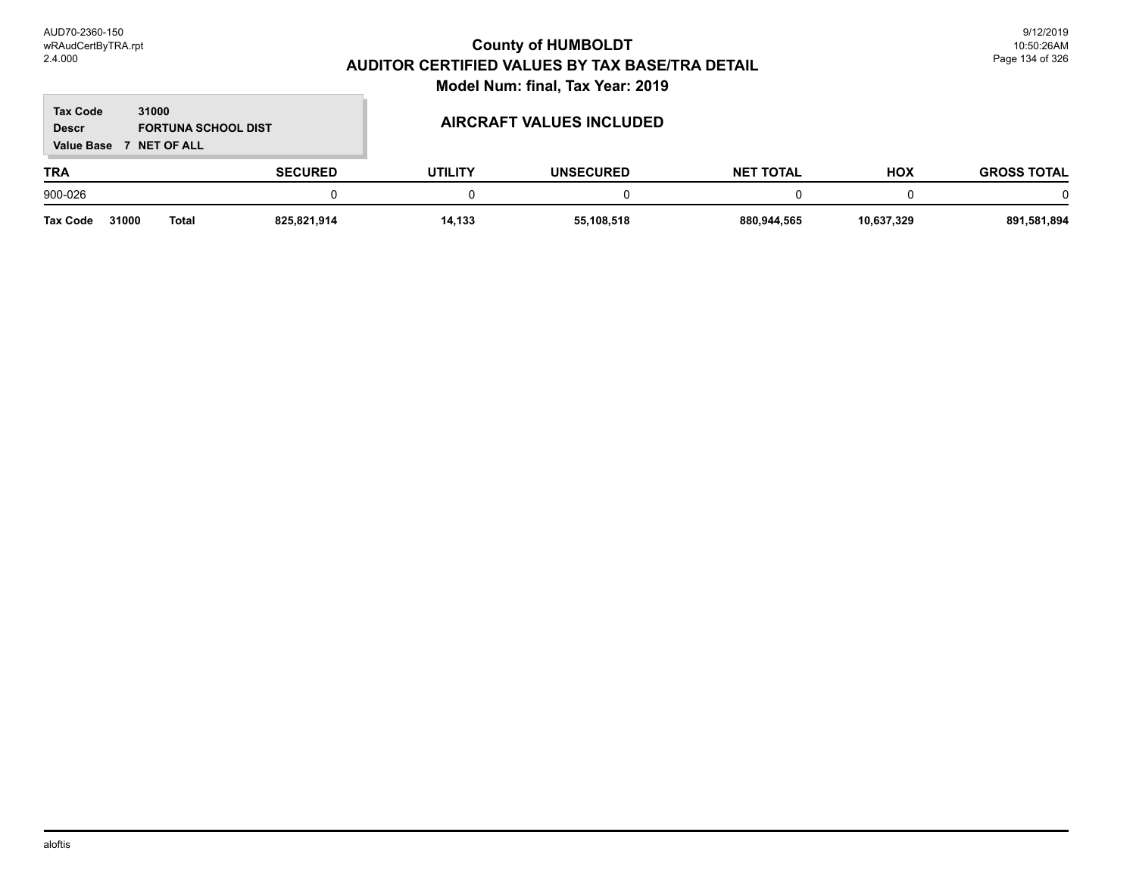### **TRA SECURED UTILITY UNSECURED HOX Tax Code Value Base 7 NET OF ALL 31000 GROSS TOTAL NET TOTAL Descr** FORTUNA SCHOOL DIST **AIRCRAFT VALUES INCLUDED** 900-026 0 0 0 0 0 0 **Tax Code 31000 Total 825,821,914 14,133 55,108,518 880,944,565 10,637,329 891,581,894**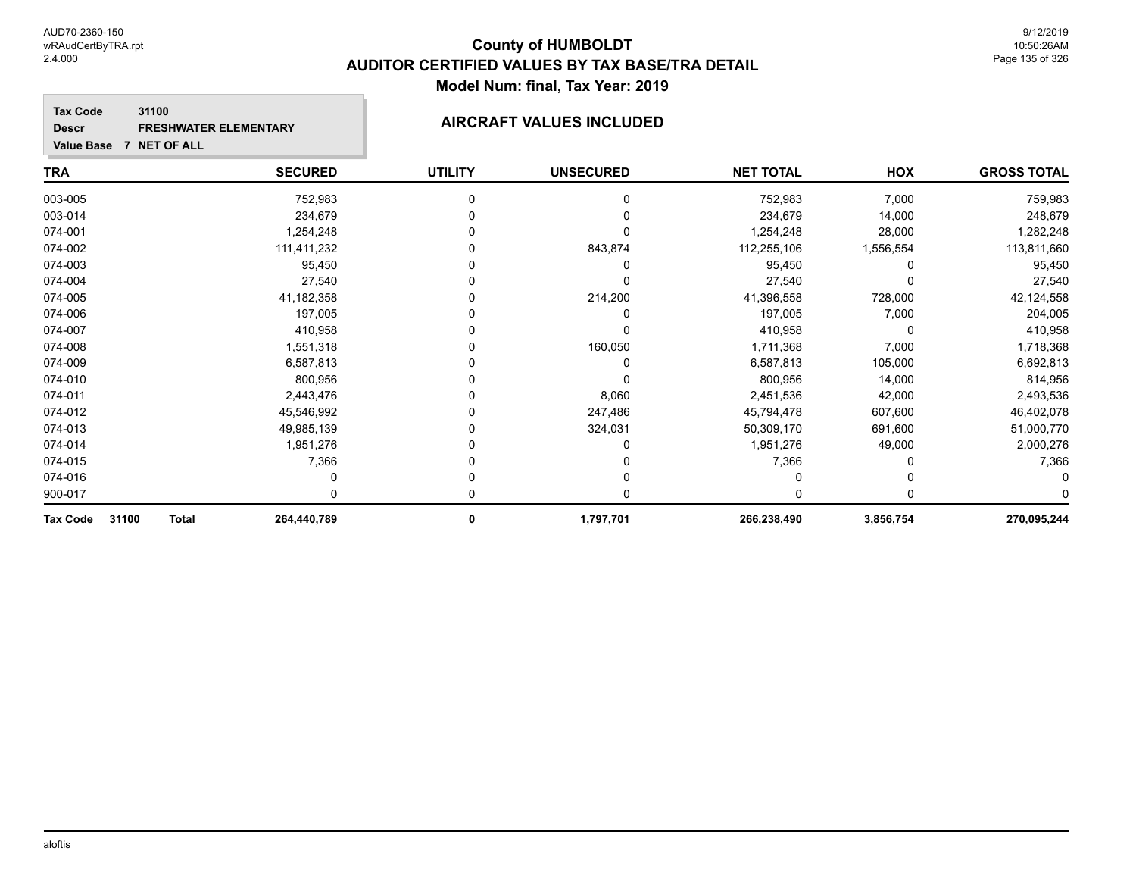### **Tax Code 31100 Descr FRESHWATER ELEMENTARY AIRCRAFT VALUES INCLUDED**

**Value Base 7 NET OF ALL**

| <b>TRA</b>                 | <b>SECURED</b> | <b>UTILITY</b> | <b>UNSECURED</b> | <b>NET TOTAL</b> | HOX       | <b>GROSS TOTAL</b> |
|----------------------------|----------------|----------------|------------------|------------------|-----------|--------------------|
| 003-005                    | 752,983        |                | 0                | 752,983          | 7,000     | 759,983            |
| 003-014                    | 234,679        |                |                  | 234,679          | 14,000    | 248,679            |
| 074-001                    | 1,254,248      |                |                  | 1,254,248        | 28,000    | 1,282,248          |
| 074-002                    | 111,411,232    |                | 843,874          | 112,255,106      | 1,556,554 | 113,811,660        |
| 074-003                    | 95,450         |                | 0                | 95,450           |           | 95,450             |
| 074-004                    | 27,540         |                | 0                | 27,540           |           | 27,540             |
| 074-005                    | 41,182,358     |                | 214,200          | 41,396,558       | 728,000   | 42,124,558         |
| 074-006                    | 197,005        |                |                  | 197,005          | 7,000     | 204,005            |
| 074-007                    | 410,958        |                | 0                | 410,958          | 0         | 410,958            |
| 074-008                    | 1,551,318      |                | 160,050          | 1,711,368        | 7,000     | 1,718,368          |
| 074-009                    | 6,587,813      |                | 0                | 6,587,813        | 105,000   | 6,692,813          |
| 074-010                    | 800,956        |                |                  | 800,956          | 14,000    | 814,956            |
| 074-011                    | 2,443,476      |                | 8,060            | 2,451,536        | 42,000    | 2,493,536          |
| 074-012                    | 45,546,992     |                | 247,486          | 45,794,478       | 607,600   | 46,402,078         |
| 074-013                    | 49,985,139     |                | 324,031          | 50,309,170       | 691,600   | 51,000,770         |
| 074-014                    | 1,951,276      |                |                  | 1,951,276        | 49,000    | 2,000,276          |
| 074-015                    | 7,366          |                |                  | 7,366            |           | 7,366              |
| 074-016                    |                |                |                  |                  |           |                    |
| 900-017                    |                | 0              | 0                | 0                | 0         |                    |
| 31100<br>Tax Code<br>Total | 264,440,789    | $\bf{0}$       | 1,797,701        | 266,238,490      | 3,856,754 | 270,095,244        |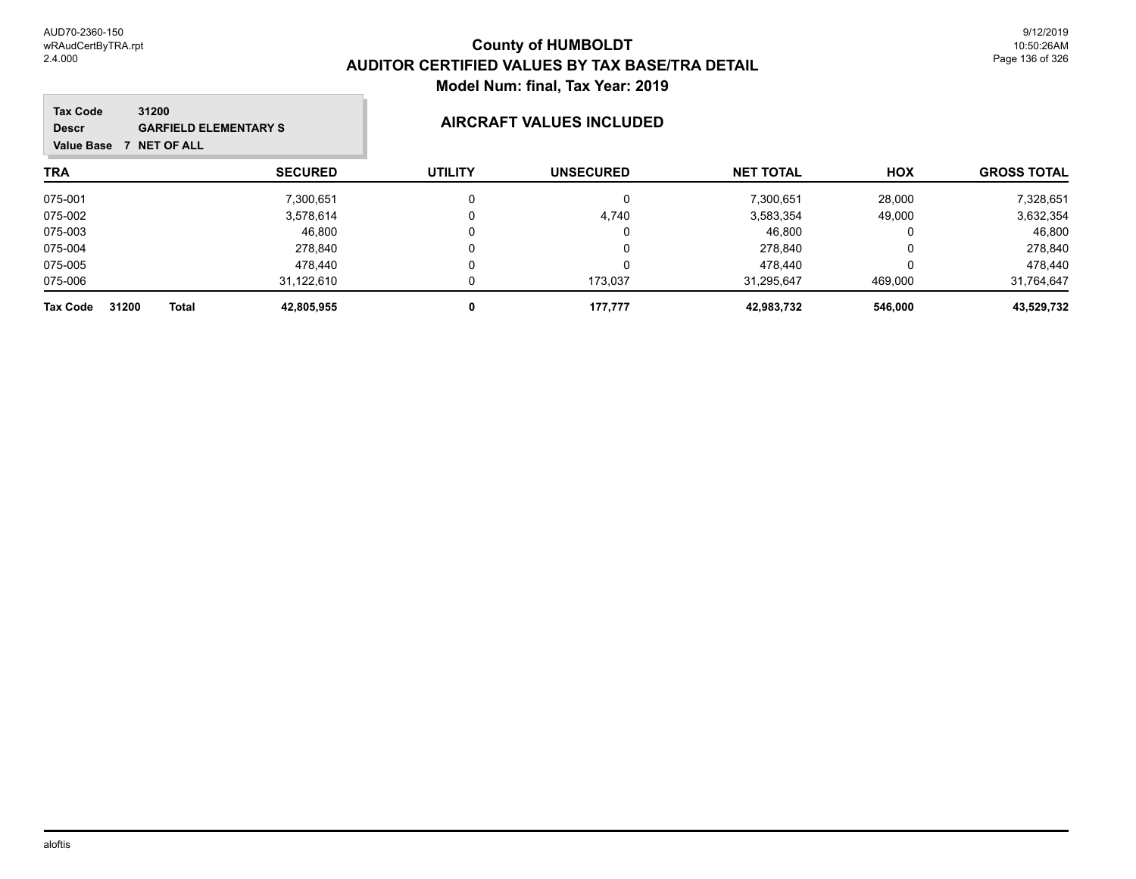| 31200<br><b>Tax Code</b><br><b>GARFIELD ELEMENTARY S</b><br><b>Descr</b><br><b>NET OF ALL</b><br><b>Value Base</b> |                | AIRCRAFT VALUES INCLUDED |                  |                  |            |                    |  |
|--------------------------------------------------------------------------------------------------------------------|----------------|--------------------------|------------------|------------------|------------|--------------------|--|
| <b>TRA</b>                                                                                                         | <b>SECURED</b> | <b>UTILITY</b>           | <b>UNSECURED</b> | <b>NET TOTAL</b> | <b>HOX</b> | <b>GROSS TOTAL</b> |  |
| 075-001                                                                                                            | 7,300,651      | 0                        | 0                | 7,300,651        | 28,000     | 7,328,651          |  |
| 075-002                                                                                                            | 3,578,614      | 0                        | 4,740            | 3,583,354        | 49,000     | 3,632,354          |  |
| 075-003                                                                                                            | 46,800         | 0                        | 0                | 46,800           | 0          | 46,800             |  |
| 075-004                                                                                                            | 278.840        | $\Omega$                 | 0                | 278.840          |            | 278,840            |  |
| 075-005                                                                                                            | 478.440        | 0                        | 0                | 478.440          |            | 478,440            |  |
| 075-006                                                                                                            | 31,122,610     |                          | 173.037          | 31.295.647       | 469,000    | 31,764,647         |  |
| 31200<br>Total<br><b>Tax Code</b>                                                                                  | 42,805,955     | 0                        | 177,777          | 42,983,732       | 546,000    | 43,529,732         |  |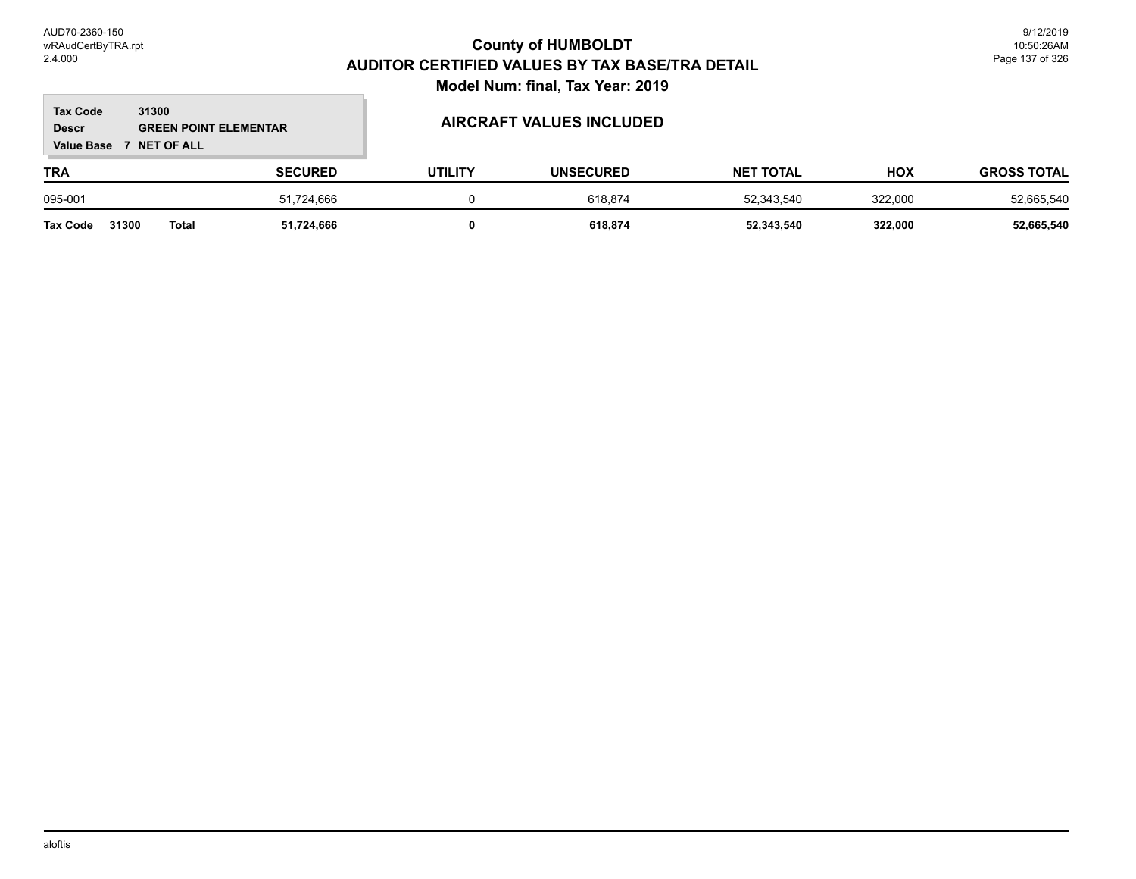### **TRA SECURED UTILITY UNSECURED HOX Tax Code Value Base 7 NET OF ALL 31300 GROSS TOTAL NET TOTAL Descr GREEN POINT ELEMENTAR AIRCRAFT VALUES INCLUDED** 095-001 51,724,666 0 618,874 52,343,540 322,000 52,665,540 **Tax Code 31300 Total 51,724,666 0 618,874 52,343,540 322,000 52,665,540**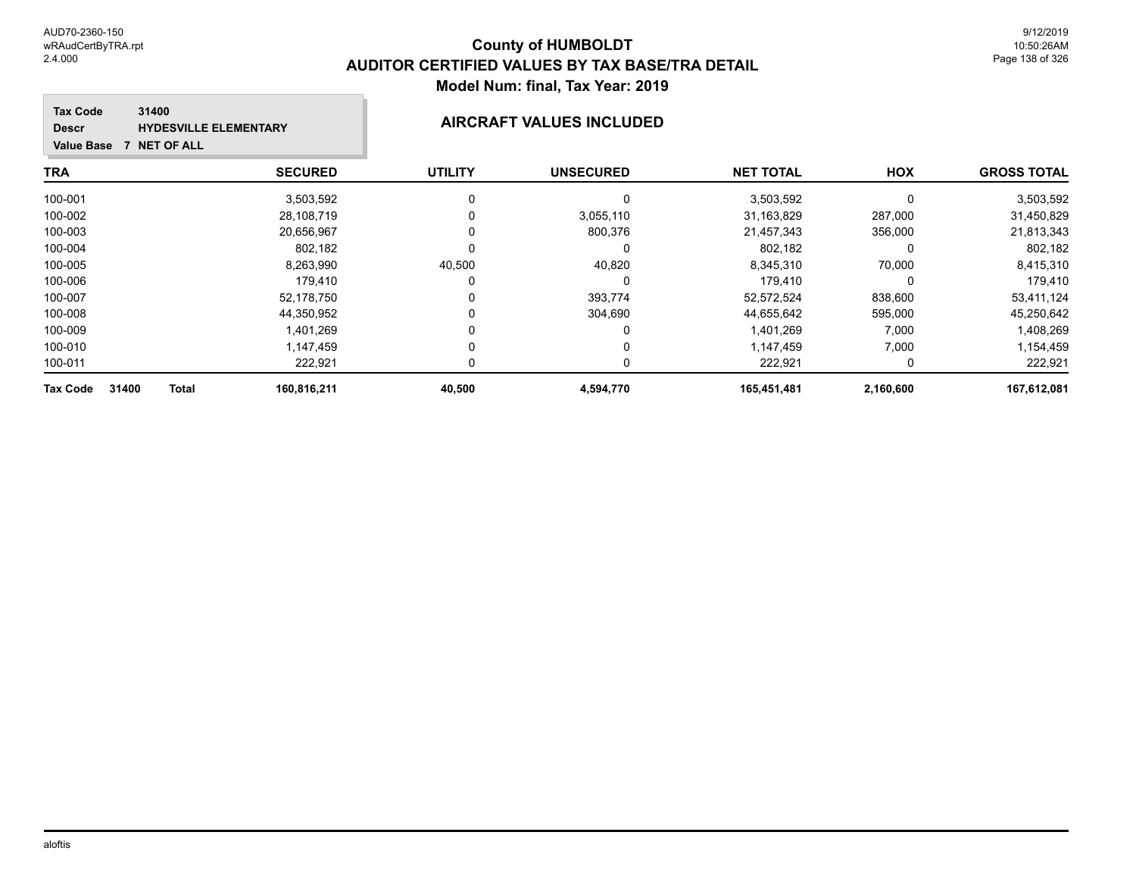100-005 8,263,990 40,500 40,820 8,345,310 70,000 8,415,310 100-006 179,410 0 0 179,410 0 179,410 100-007 52,178,750 0 393,774 52,572,524 838,600 53,411,124 100-008 44,350,952 0 304,690 44,655,642 595,000 45,250,642 100-009 1,401,269 0 0 1,401,269 7,000 1,408,269 100-010 1,147,459 0 0 1,147,459 7,000 1,154,459 100-011 222,921 0 0 222,921 0 222,921 **Tax Code 31400 Total 160,816,211 40,500 4,594,770 165,451,481 2,160,600 167,612,081**

### **TRA SECURED UTILITY UNSECURED HOX Tax Code Value Base 7 NET OF ALL 31400 GROSS TOTAL NET TOTAL Descr HYDESVILLE ELEMENTARY AIRCRAFT VALUES INCLUDED** 100-001 3,503,592 0 0 3,503,592 0 3,503,592 100-002 28,108,719 0 3,055,110 31,163,829 287,000 31,450,829 100-003 20,656,967 0 800,376 21,457,343 356,000 21,813,343 100-004 802,182 0 0 802,182 0 802,182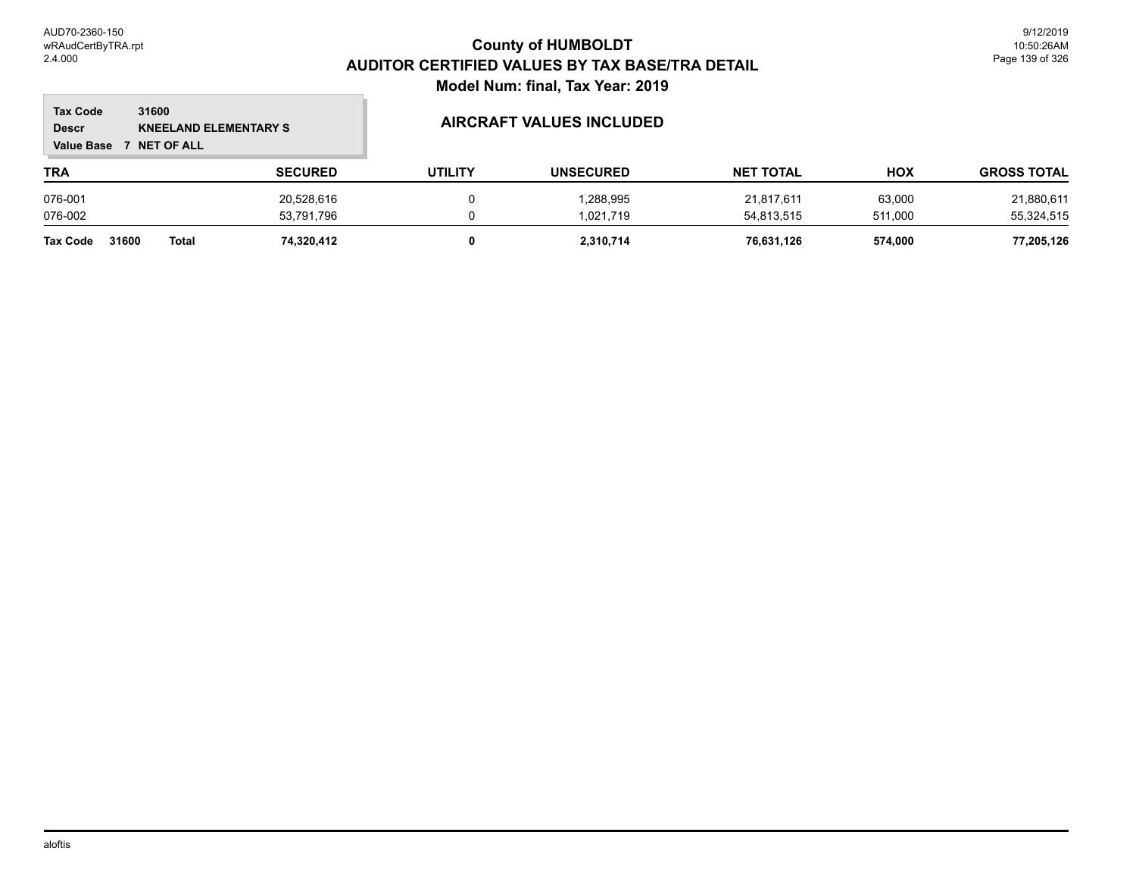### **TRA SECURED UTILITY UNSECURED HOX Tax Code Value Base 7 NET OF ALL 31600 GROSS TOTAL NET TOTAL Descr KNEELAND ELEMENTARY S AIRCRAFT VALUES INCLUDED** 076-001 20,528,616 0 1,288,995 21,817,611 63,000 21,880,611 076-002 53,791,796 0 1,021,719 54,813,515 511,000 55,324,515 **Tax Code 31600 Total 74,320,412 0 2,310,714 76,631,126 574,000 77,205,126**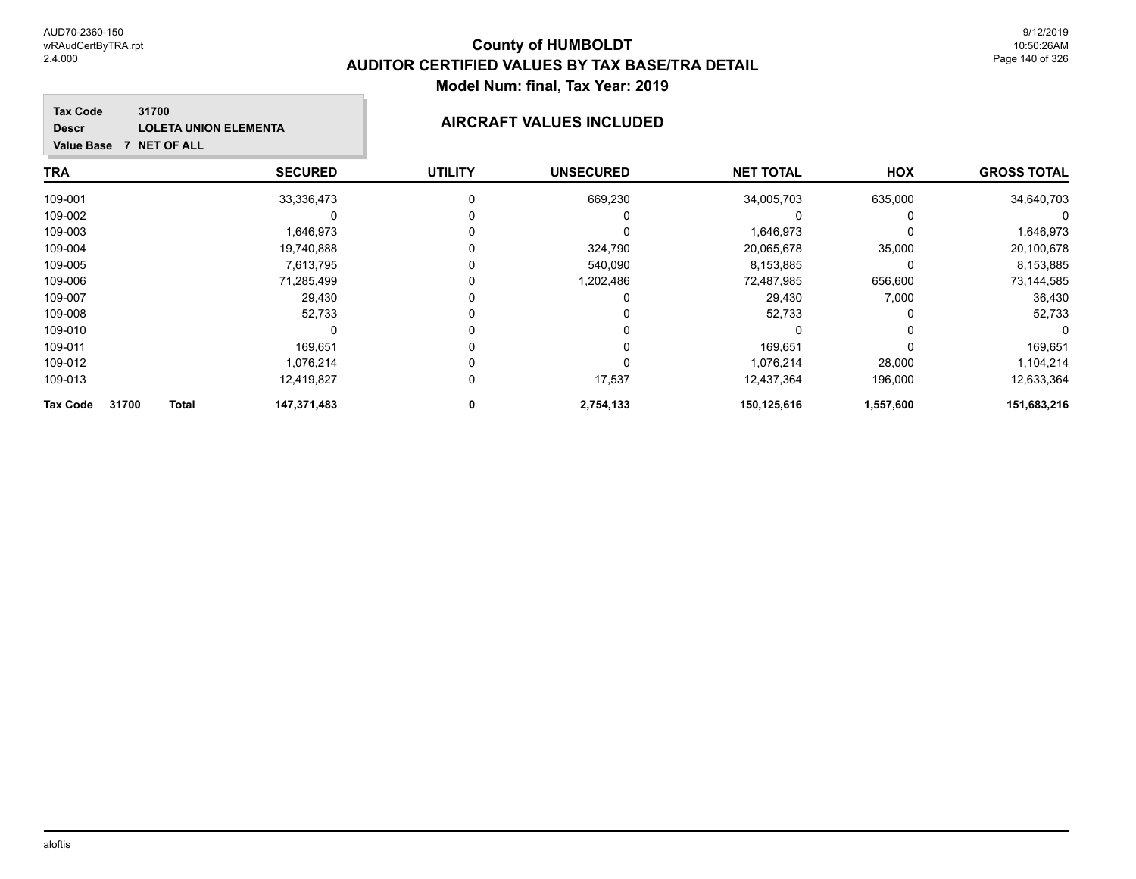### **TRA SECURED UTILITY UNSECURED HOX Tax Code Value Base 7 NET OF ALL 31700 GROSS TOTAL NET TOTAL Descr LOLETA UNION ELEMENTA AIRCRAFT VALUES INCLUDED** 109-001 33,336,473 0 669,230 34,005,703 635,000 34,640,703 109-002 0 0 0 0 0 0 109-003 1,646,973 0 0 1,646,973 0 1,646,973 109-004 19,740,888 0 324,790 20,065,678 35,000 20,100,678 109-005 7,613,795 0 540,090 8,153,885 0 8,153,885 109-006 71,285,499 0 1,202,486 72,487,985 656,600 73,144,585

| 31700<br><b>Tax Code</b><br><b>Total</b> | 147,371,483 | 2,754,133 | 150,125,616 | 1,557,600 | 151,683,216 |
|------------------------------------------|-------------|-----------|-------------|-----------|-------------|
| 109-013                                  | 12.419.827  | 17.537    | 12.437.364  | 196.000   | 12,633,364  |
| 109-012                                  | 1,076,214   |           | 1.076.214   | 28,000    | 1,104,214   |
| 109-011                                  | 169.651     |           | 169.651     |           | 169,651     |
| 109-010                                  |             |           |             |           | $\Omega$    |
| 109-008                                  | 52.733      |           | 52,733      |           | 52,733      |
| 109-007                                  | 29,430      |           | 29,430      | 7,000     | 36,430      |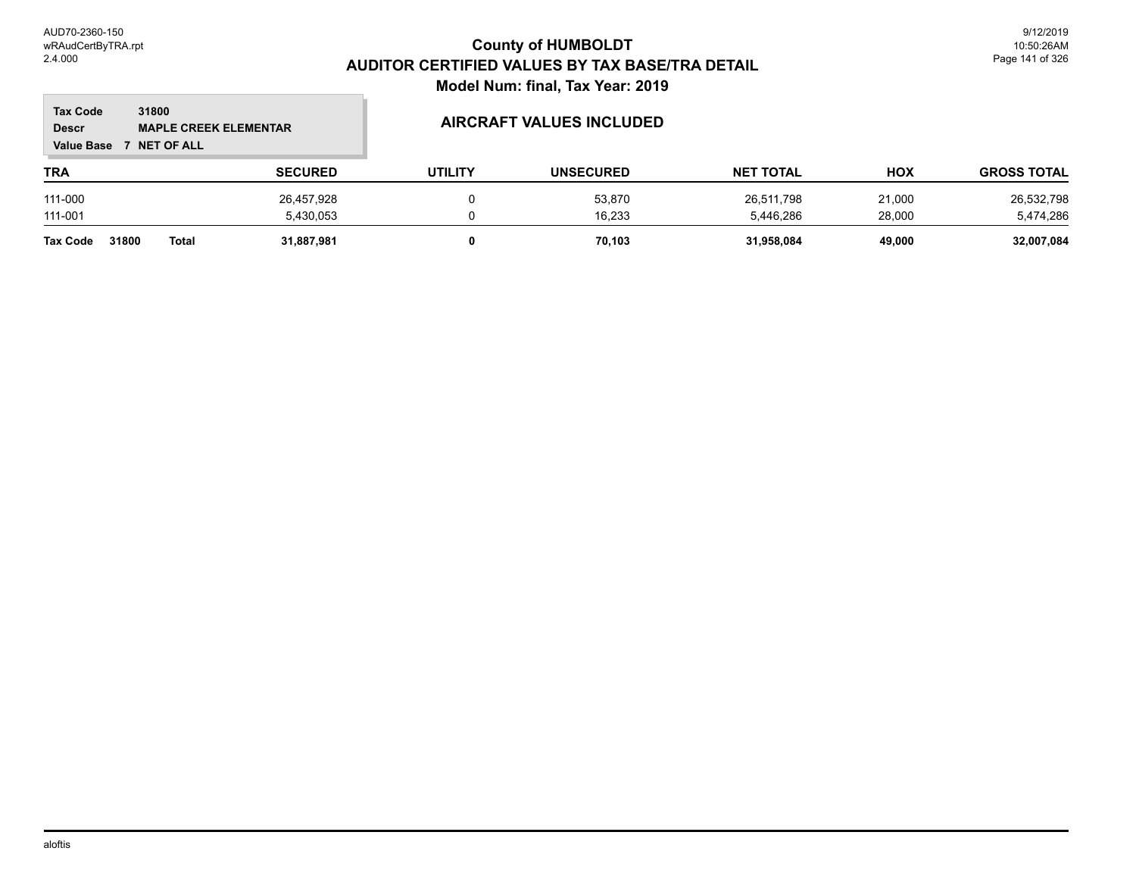$\overline{\phantom{a}}$ 

| 31800<br><b>Tax Code</b><br><b>MAPLE CREEK ELEMENTAR</b><br><b>Descr</b><br><b>Value Base</b><br>7 NET OF ALL |       |                | <b>AIRCRAFT VALUES INCLUDED</b> |                  |                  |            |                    |
|---------------------------------------------------------------------------------------------------------------|-------|----------------|---------------------------------|------------------|------------------|------------|--------------------|
| TRA                                                                                                           |       | <b>SECURED</b> | <b>UTILITY</b>                  | <b>UNSECURED</b> | <b>NET TOTAL</b> | <b>HOX</b> | <b>GROSS TOTAL</b> |
| 111-000                                                                                                       |       | 26,457,928     |                                 | 53,870           | 26,511,798       | 21,000     | 26,532,798         |
| 111-001                                                                                                       |       | 5,430,053      |                                 | 16,233           | 5,446,286        | 28,000     | 5,474,286          |
| 31800<br><b>Tax Code</b>                                                                                      | Total | 31.887.981     |                                 | 70.103           | 31,958,084       | 49.000     | 32,007,084         |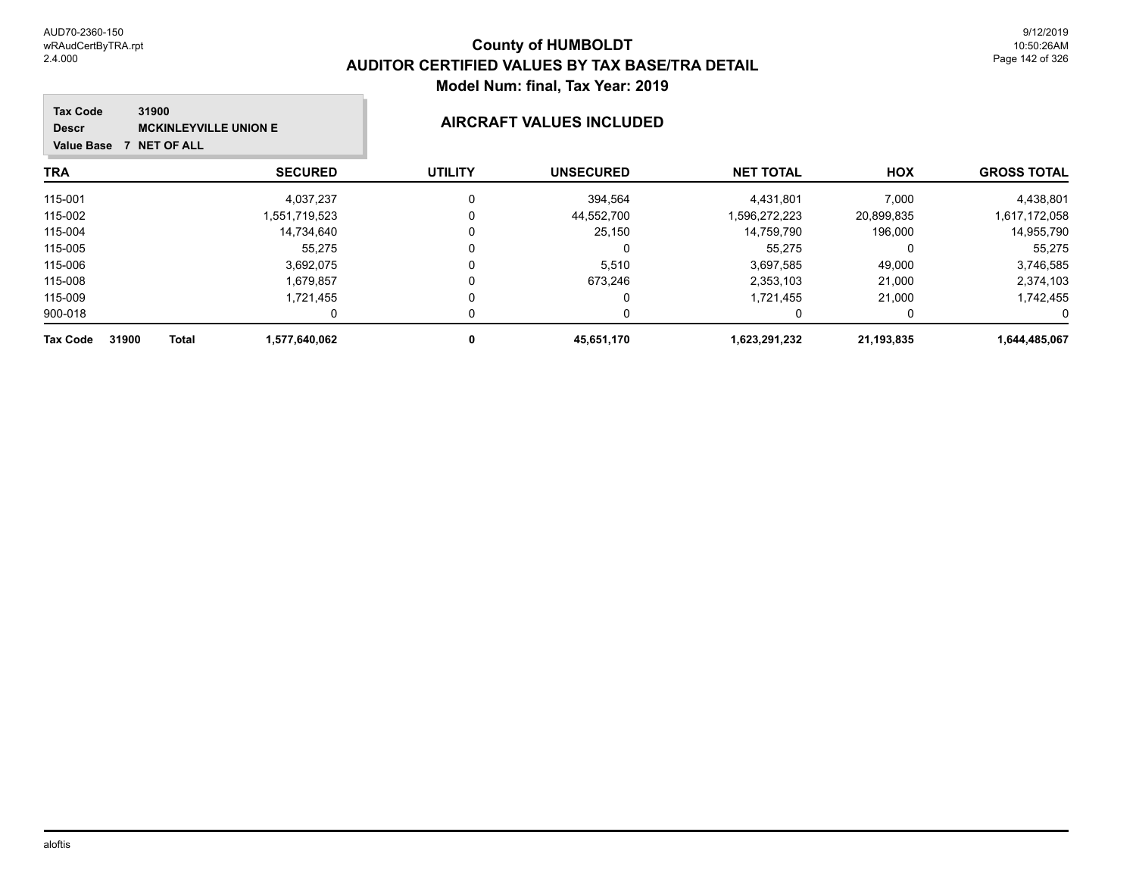| 31900<br><b>Tax Code</b><br><b>MCKINLEYVILLE UNION E</b><br><b>Descr</b><br>7 NET OF ALL<br><b>Value Base</b> |                | <b>AIRCRAFT VALUES INCLUDED</b> |                  |                  |            |                    |
|---------------------------------------------------------------------------------------------------------------|----------------|---------------------------------|------------------|------------------|------------|--------------------|
| TRA                                                                                                           | <b>SECURED</b> | <b>UTILITY</b>                  | <b>UNSECURED</b> | <b>NET TOTAL</b> | <b>HOX</b> | <b>GROSS TOTAL</b> |
| 115-001                                                                                                       | 4,037,237      | $\Omega$                        | 394,564          | 4,431,801        | 7,000      | 4,438,801          |
| 115-002                                                                                                       | 1,551,719,523  | 0                               | 44,552,700       | 1,596,272,223    | 20,899,835 | 1,617,172,058      |
| 115-004                                                                                                       | 14.734.640     | 0                               | 25,150           | 14.759.790       | 196,000    | 14,955,790         |
| 115-005                                                                                                       | 55.275         | 0                               |                  | 55.275           |            | 55,275             |
| 115-006                                                                                                       | 3,692,075      | 0                               | 5,510            | 3,697,585        | 49,000     | 3,746,585          |
| 115-008                                                                                                       | 1,679,857      | 0                               | 673,246          | 2,353,103        | 21,000     | 2,374,103          |
| 115-009                                                                                                       | 1,721,455      | 0                               |                  | 1,721,455        | 21,000     | 1,742,455          |
| 900-018                                                                                                       | 0              | O                               |                  |                  |            |                    |
| 31900<br><b>Total</b><br><b>Tax Code</b>                                                                      | 1,577,640,062  | 0                               | 45,651,170       | 1,623,291,232    | 21,193,835 | 1,644,485,067      |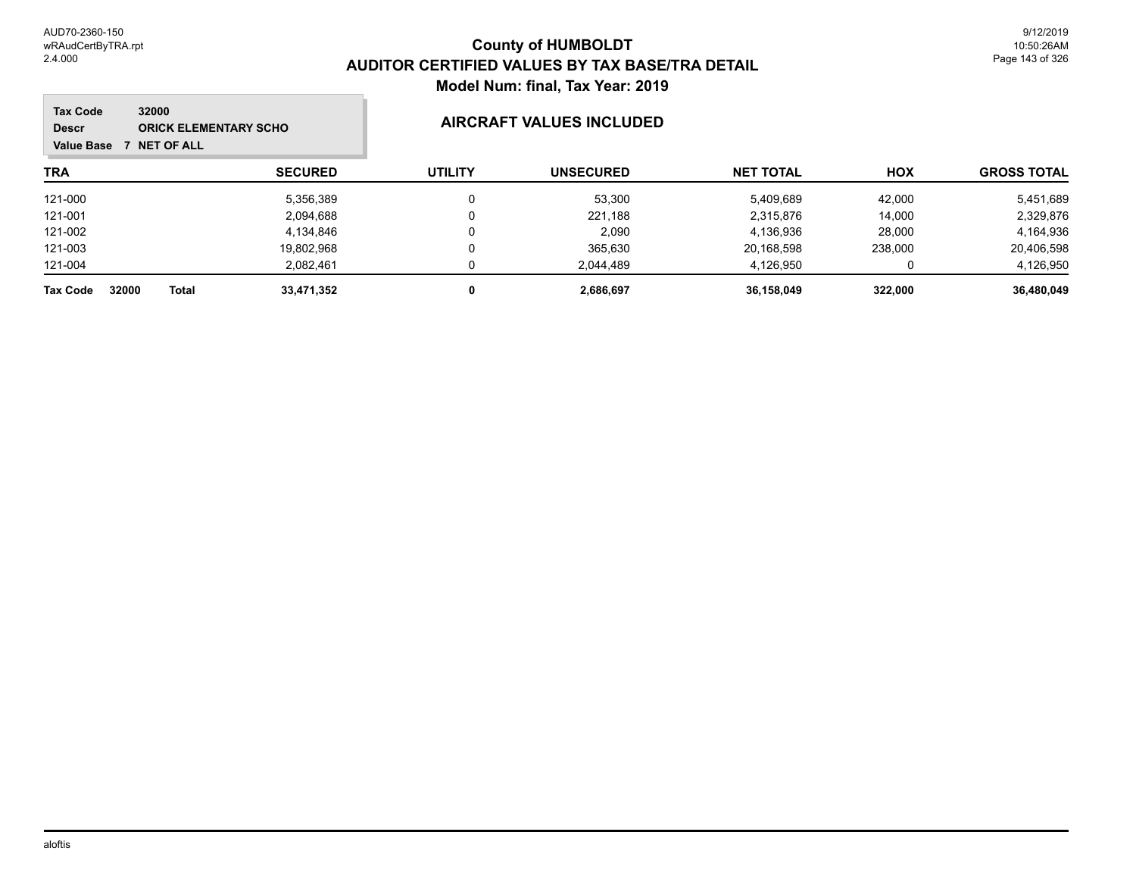### **TRA SECURED UTILITY UNSECURED HOX Tax Code Value Base 7 NET OF ALL 32000 GROSS TOTAL NET TOTAL Descr ORICK ELEMENTARY SCHO AIRCRAFT VALUES INCLUDED** 121-000 5,356,389 0 53,300 5,409,689 42,000 5,451,689 121-001 2,094,688 0 221,188 2,315,876 14,000 2,329,876 121-002 4,134,846 0 2,090 4,136,936 28,000 4,164,936 121-003 19,802,968 0 365,630 20,168,598 238,000 20,406,598 121-004 2,082,461 0 2,044,489 4,126,950 0 4,126,950 **Tax Code 32000 Total 33,471,352 0 2,686,697 36,158,049 322,000 36,480,049**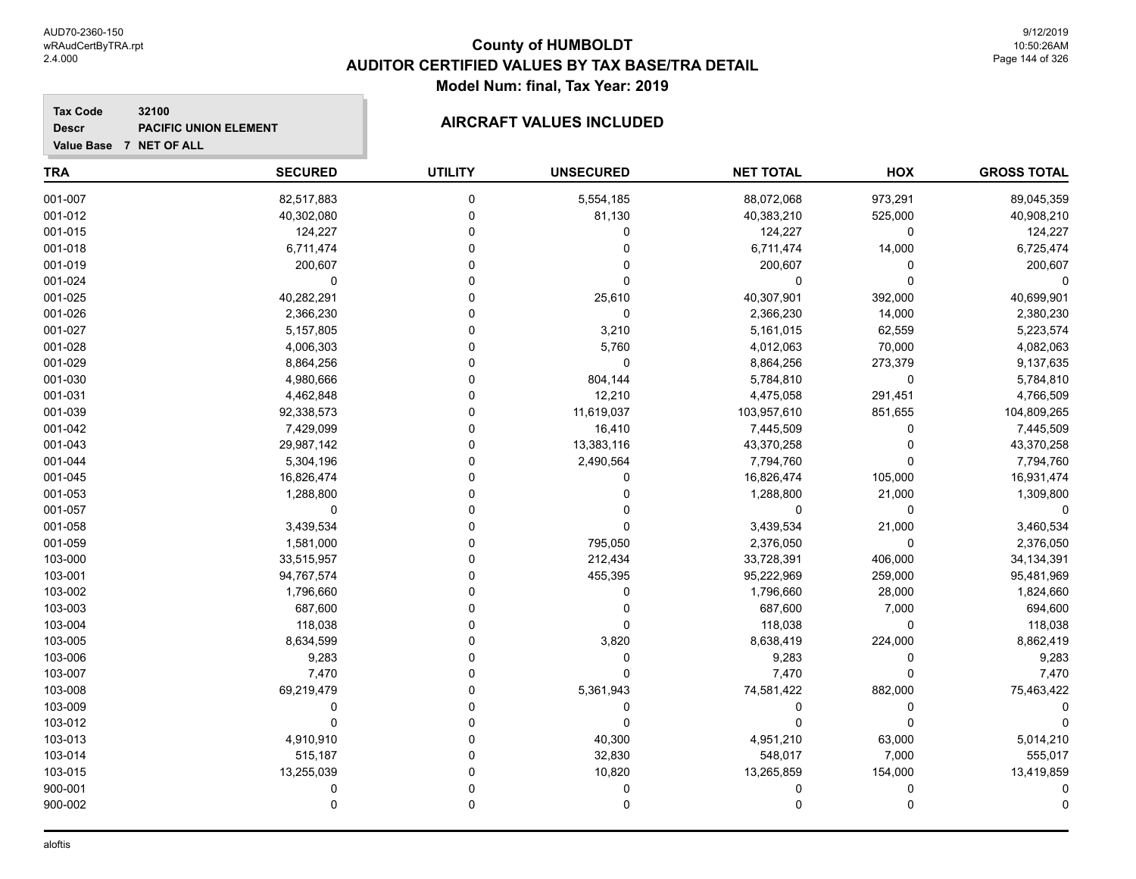**Tax Code**

**Descr**

# **County of HUMBOLDT AUDITOR CERTIFIED VALUES BY TAX BASE/TRA DETAIL Model Num: final, Tax Year: 2019**

# **Value Base 7 NET OF ALL 32100 PACIFIC UNION ELEMENT MAIRCRAFT VALUES INCLUDED**

| <b>TRA</b> | <b>SECURED</b> | <b>UTILITY</b> | <b>UNSECURED</b> | <b>NET TOTAL</b> | <b>HOX</b> | <b>GROSS TOTAL</b> |
|------------|----------------|----------------|------------------|------------------|------------|--------------------|
| 001-007    | 82,517,883     | 0              | 5,554,185        | 88,072,068       | 973,291    | 89,045,359         |
| 001-012    | 40,302,080     | 0              | 81,130           | 40,383,210       | 525,000    | 40,908,210         |
| 001-015    | 124,227        | 0              | 0                | 124,227          | 0          | 124,227            |
| 001-018    | 6,711,474      | 0              | 0                | 6,711,474        | 14,000     | 6,725,474          |
| 001-019    | 200,607        | 0              | 0                | 200,607          | $\Omega$   | 200,607            |
| 001-024    | $\Omega$       | $\Omega$       | 0                | 0                | $\Omega$   | $\Omega$           |
| 001-025    | 40,282,291     | 0              | 25,610           | 40,307,901       | 392,000    | 40,699,901         |
| 001-026    | 2,366,230      | 0              | 0                | 2,366,230        | 14,000     | 2,380,230          |
| 001-027    | 5,157,805      | 0              | 3,210            | 5,161,015        | 62,559     | 5,223,574          |
| 001-028    | 4,006,303      | 0              | 5,760            | 4,012,063        | 70,000     | 4,082,063          |
| 001-029    | 8,864,256      | $\Omega$       | 0                | 8,864,256        | 273,379    | 9,137,635          |
| 001-030    | 4,980,666      | $\Omega$       | 804,144          | 5,784,810        | 0          | 5,784,810          |
| 001-031    | 4,462,848      | 0              | 12,210           | 4,475,058        | 291,451    | 4,766,509          |
| 001-039    | 92,338,573     | 0              | 11,619,037       | 103,957,610      | 851,655    | 104,809,265        |
| 001-042    | 7,429,099      | 0              | 16,410           | 7,445,509        | 0          | 7,445,509          |
| 001-043    | 29,987,142     | 0              | 13,383,116       | 43,370,258       | $\Omega$   | 43,370,258         |
| 001-044    | 5,304,196      | 0              | 2,490,564        | 7,794,760        | $\Omega$   | 7,794,760          |
| 001-045    | 16,826,474     | 0              | 0                | 16,826,474       | 105,000    | 16,931,474         |
| 001-053    | 1,288,800      | 0              | 0                | 1,288,800        | 21,000     | 1,309,800          |
| 001-057    | 0              | 0              | 0                | $\mathbf 0$      | 0          | $\mathbf 0$        |
| 001-058    | 3,439,534      | $\Omega$       | 0                | 3,439,534        | 21,000     | 3,460,534          |
| 001-059    | 1,581,000      | 0              | 795,050          | 2,376,050        | 0          | 2,376,050          |
| 103-000    | 33,515,957     | 0              | 212,434          | 33,728,391       | 406,000    | 34,134,391         |
| 103-001    | 94,767,574     | 0              | 455,395          | 95,222,969       | 259,000    | 95,481,969         |
| 103-002    | 1,796,660      | $\Omega$       | 0                | 1,796,660        | 28,000     | 1,824,660          |
| 103-003    | 687,600        | $\Omega$       | 0                | 687,600          | 7,000      | 694,600            |
| 103-004    | 118,038        | 0              | 0                | 118,038          | $\Omega$   | 118,038            |
| 103-005    | 8,634,599      | 0              | 3,820            | 8,638,419        | 224,000    | 8,862,419          |
| 103-006    | 9,283          | 0              | 0                | 9,283            | 0          | 9,283              |
| 103-007    | 7,470          | $\Omega$       | $\Omega$         | 7,470            | $\Omega$   | 7,470              |
| 103-008    | 69,219,479     | 0              | 5,361,943        | 74,581,422       | 882,000    | 75,463,422         |
| 103-009    | 0              | 0              | 0                | 0                | $\Omega$   | 0                  |
| 103-012    | $\Omega$       | $\Omega$       | 0                | $\mathbf 0$      | $\Omega$   | $\Omega$           |
| 103-013    | 4,910,910      | 0              | 40,300           | 4,951,210        | 63,000     | 5,014,210          |
| 103-014    | 515,187        | $\Omega$       | 32,830           | 548,017          | 7,000      | 555,017            |
| 103-015    | 13,255,039     | 0              | 10,820           | 13,265,859       | 154,000    | 13,419,859         |
| 900-001    | 0              | 0              | 0                | 0                | $\Omega$   | 0                  |
| 900-002    | $\mathbf 0$    | 0              | 0                | $\mathbf 0$      | $\Omega$   | $\Omega$           |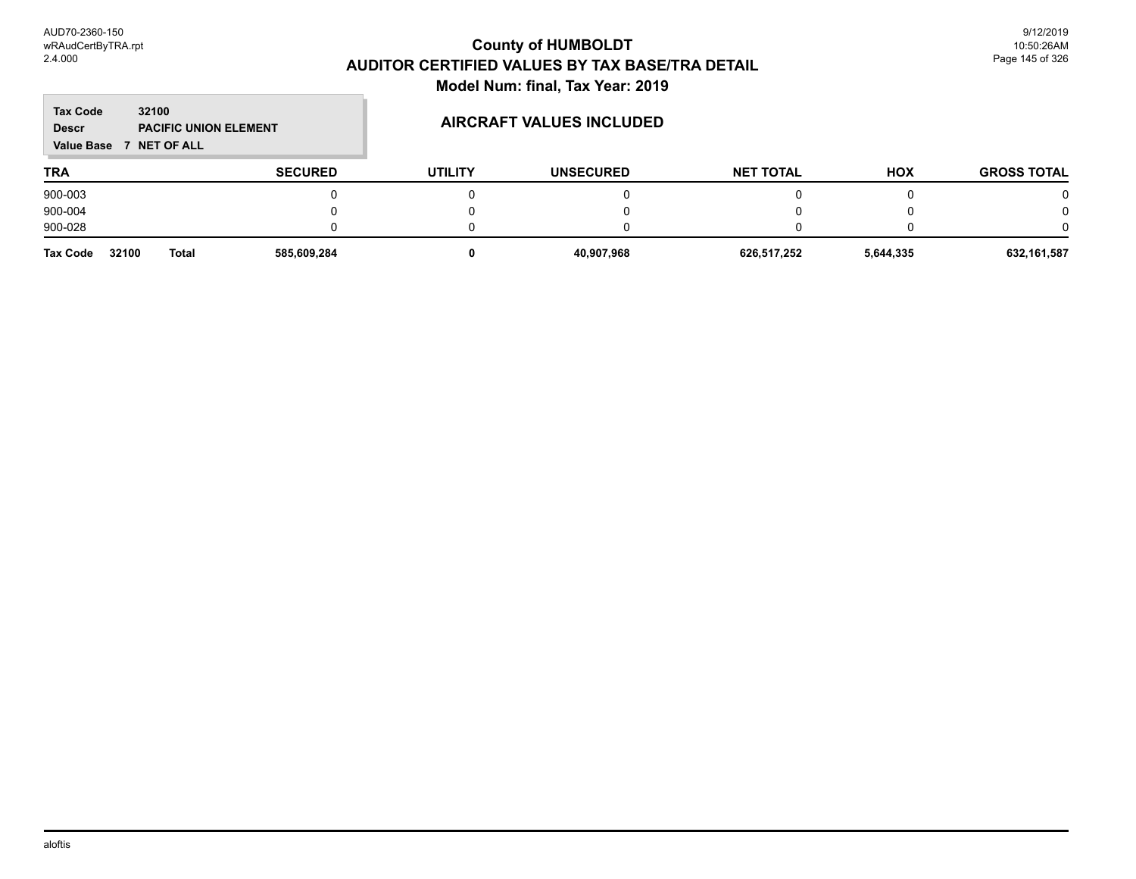m.

| <b>Tax Code</b><br><b>Descr</b><br><b>Value Base</b> | 32100<br><b>PACIFIC UNION ELEMENT</b><br><b>NET OF ALL</b><br>$\overline{ }$ |                |                | AIRCRAFT VALUES INCLUDED |                  |            |                    |
|------------------------------------------------------|------------------------------------------------------------------------------|----------------|----------------|--------------------------|------------------|------------|--------------------|
| <b>TRA</b>                                           |                                                                              | <b>SECURED</b> | <b>UTILITY</b> | <b>UNSECURED</b>         | <b>NET TOTAL</b> | <b>HOX</b> | <b>GROSS TOTAL</b> |
| 900-003                                              |                                                                              |                |                |                          |                  |            |                    |
| 900-004                                              |                                                                              |                |                |                          |                  |            |                    |
| 900-028                                              |                                                                              |                |                |                          |                  |            |                    |
| <b>Tax Code</b>                                      | 32100<br><b>Total</b>                                                        | 585,609,284    | 0              | 40,907,968               | 626,517,252      | 5,644,335  | 632,161,587        |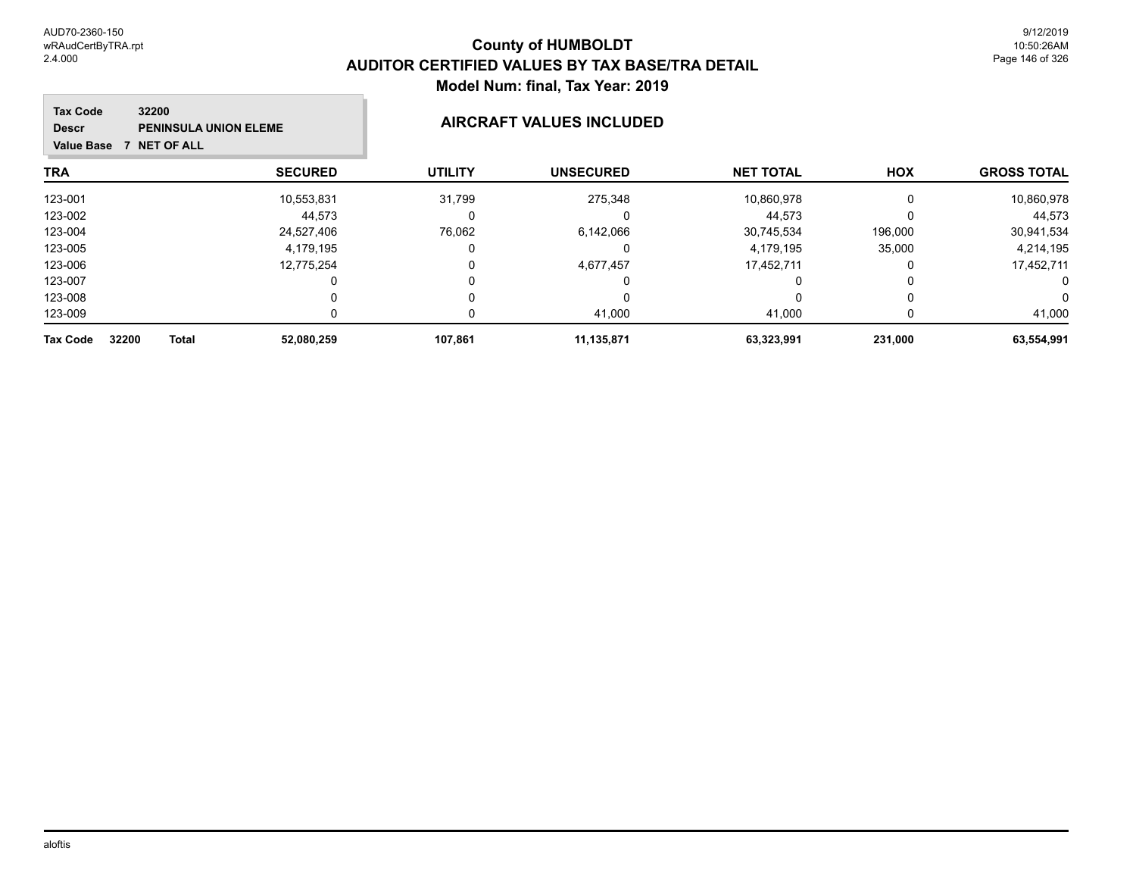#### **County of HUMBOLDT AUDITOR CERTIFIED VALUES BY TAX BASE/TRA DETAIL Model Num: final, Tax Year: 2019**  $\overline{\phantom{a}}$

| 32200<br><b>Tax Code</b><br><b>PENINSULA UNION ELEME</b><br><b>Descr</b><br>7 NET OF ALL<br><b>Value Base</b> |                | AIRCRAFT VALUES INCLUDED |                  |                  |            |                    |
|---------------------------------------------------------------------------------------------------------------|----------------|--------------------------|------------------|------------------|------------|--------------------|
| TRA                                                                                                           | <b>SECURED</b> | <b>UTILITY</b>           | <b>UNSECURED</b> | <b>NET TOTAL</b> | <b>HOX</b> | <b>GROSS TOTAL</b> |
| 123-001                                                                                                       | 10,553,831     | 31,799                   | 275,348          | 10,860,978       | $\Omega$   | 10,860,978         |
| 123-002                                                                                                       | 44.573         |                          | U                | 44,573           |            | 44,573             |
| 123-004                                                                                                       | 24,527,406     | 76,062                   | 6,142,066        | 30,745,534       | 196,000    | 30,941,534         |
| 123-005                                                                                                       | 4,179,195      |                          | O                | 4,179,195        | 35,000     | 4,214,195          |
| 123-006                                                                                                       | 12,775,254     |                          | 4,677,457        | 17,452,711       |            | 17,452,711         |
| 123-007                                                                                                       |                |                          | $\mathbf{0}$     | 0                |            | 0                  |
| 123-008                                                                                                       |                |                          | 0                | 0                | 0          | 0                  |
| 123-009                                                                                                       |                |                          | 41,000           | 41,000           |            | 41,000             |
| 32200<br><b>Total</b><br><b>Tax Code</b>                                                                      | 52,080,259     | 107.861                  | 11,135,871       | 63,323,991       | 231,000    | 63,554,991         |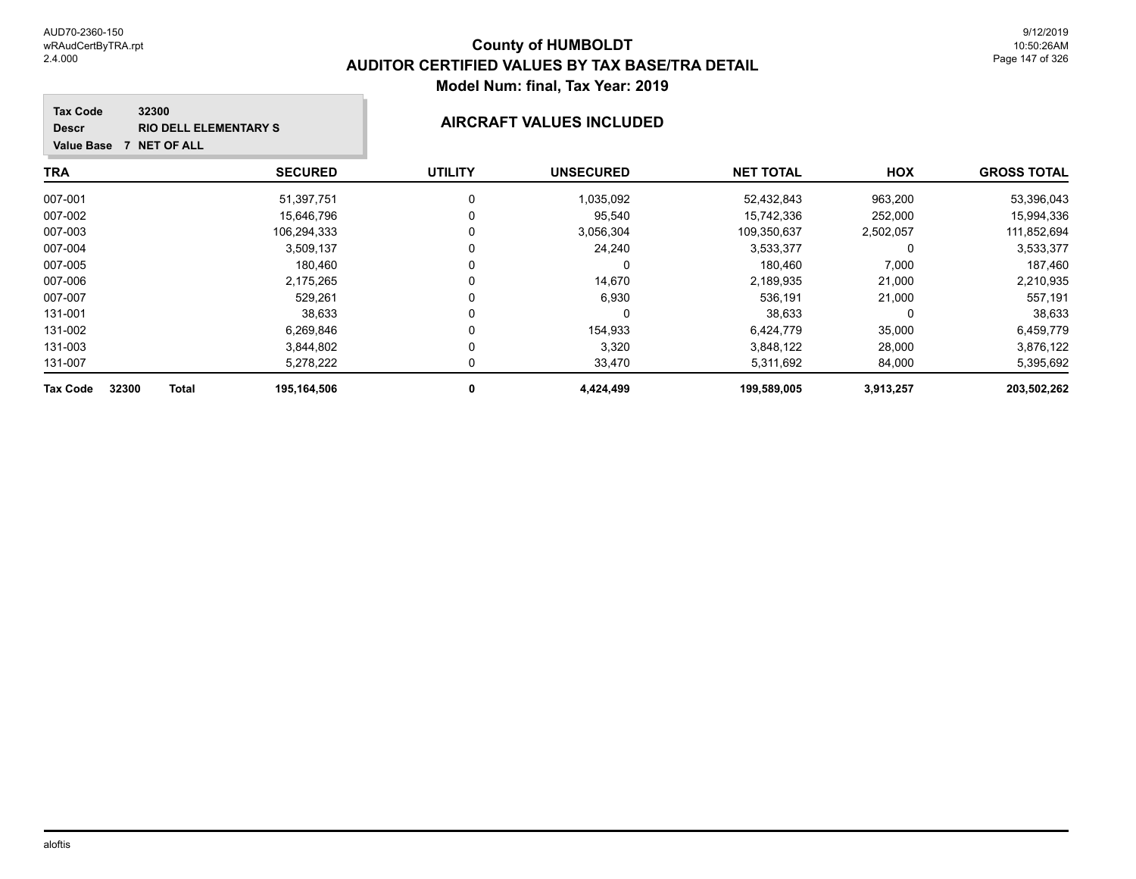#### **TRA SECURED UTILITY UNSECURED HOX Tax Code Value Base 7 NET OF ALL 32300 GROSS TOTAL NET TOTAL Descr RIO DELL ELEMENTARY S AIRCRAFT VALUES INCLUDED** 007-001 51,397,751 0 1,035,092 52,432,843 963,200 53,396,043 007-002 15,646,796 0 15,742,336 252,000 15,994,336 007-003 106,294,333 0 3,056,304 109,350,637 2,502,057 111,852,694 007-004 3,509,137 0 24,240 3,533,377 0 3,533,377 007-005 180,460 0 0 180,460 7,000 187,460 007-006 2,175,265 0 14,670 2,189,935 21,000 2,210,935 007-007 529,261 0 6,930 536,191 21,000 557,191 131-001 38,633 0 0 38,633 0 38,633 131-002 6,269,846 0 154,933 6,424,779 35,000 6,459,779 131-003 3,844,802 0 3,320 3,848,122 28,000 3,876,122

131-007 5,278,222 0 33,470 5,311,692 84,000 5,395,692 **Tax Code 32300 Total 195,164,506 0 4,424,499 199,589,005 3,913,257 203,502,262**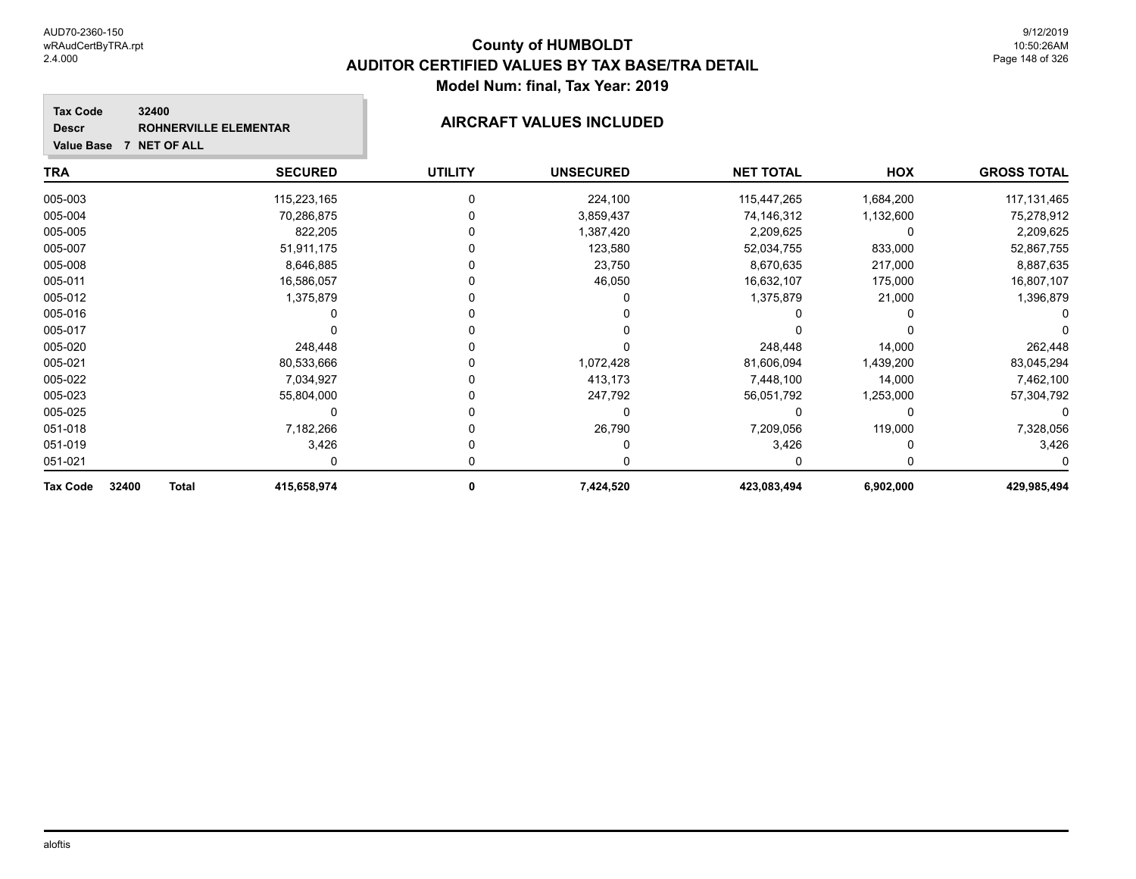| 32400<br><b>Tax Code</b><br><b>Descr</b><br><b>Value Base</b><br>7 NET OF ALL | <b>ROHNERVILLE ELEMENTAR</b> | <b>AIRCRAFT VALUES INCLUDED</b> |                  |                  |           |                    |
|-------------------------------------------------------------------------------|------------------------------|---------------------------------|------------------|------------------|-----------|--------------------|
| <b>TRA</b>                                                                    | <b>SECURED</b>               | <b>UTILITY</b>                  | <b>UNSECURED</b> | <b>NET TOTAL</b> | HOX       | <b>GROSS TOTAL</b> |
| 005-003                                                                       | 115,223,165                  | $\Omega$                        | 224,100          | 115,447,265      | 1,684,200 | 117, 131, 465      |
| 005-004                                                                       | 70,286,875                   |                                 | 3,859,437        | 74,146,312       | 1,132,600 | 75,278,912         |
| 005-005                                                                       | 822,205                      |                                 | 1,387,420        | 2,209,625        | 0         | 2,209,625          |
| 005-007                                                                       | 51,911,175                   |                                 | 123,580          | 52,034,755       | 833,000   | 52,867,755         |
| 005-008                                                                       | 8,646,885                    |                                 | 23,750           | 8,670,635        | 217,000   | 8,887,635          |
| 005-011                                                                       | 16,586,057                   |                                 | 46,050           | 16,632,107       | 175,000   | 16,807,107         |
| 005-012                                                                       | 1,375,879                    |                                 |                  | 1,375,879        | 21,000    | 1,396,879          |
| 005-016                                                                       |                              |                                 |                  |                  |           |                    |
| 005-017                                                                       |                              |                                 |                  |                  |           |                    |
| 005-020                                                                       | 248,448                      |                                 |                  | 248,448          | 14,000    | 262,448            |
| 005-021                                                                       | 80,533,666                   |                                 | 1,072,428        | 81,606,094       | 1,439,200 | 83,045,294         |
| 005-022                                                                       | 7,034,927                    |                                 | 413,173          | 7,448,100        | 14,000    | 7,462,100          |
| 005-023                                                                       | 55,804,000                   |                                 | 247,792          | 56,051,792       | 1,253,000 | 57,304,792         |
| 005-025                                                                       | 0                            |                                 | 0                | 0                | 0         | 0                  |
| 051-018                                                                       | 7,182,266                    |                                 | 26,790           | 7,209,056        | 119,000   | 7,328,056          |
| 051-019                                                                       | 3,426                        |                                 |                  | 3,426            |           | 3,426              |
| 051-021                                                                       | 0                            |                                 | 0                | 0                | 0         |                    |
| Tax Code<br>32400<br><b>Total</b>                                             | 415,658,974                  | 0                               | 7,424,520        | 423,083,494      | 6,902,000 | 429,985,494        |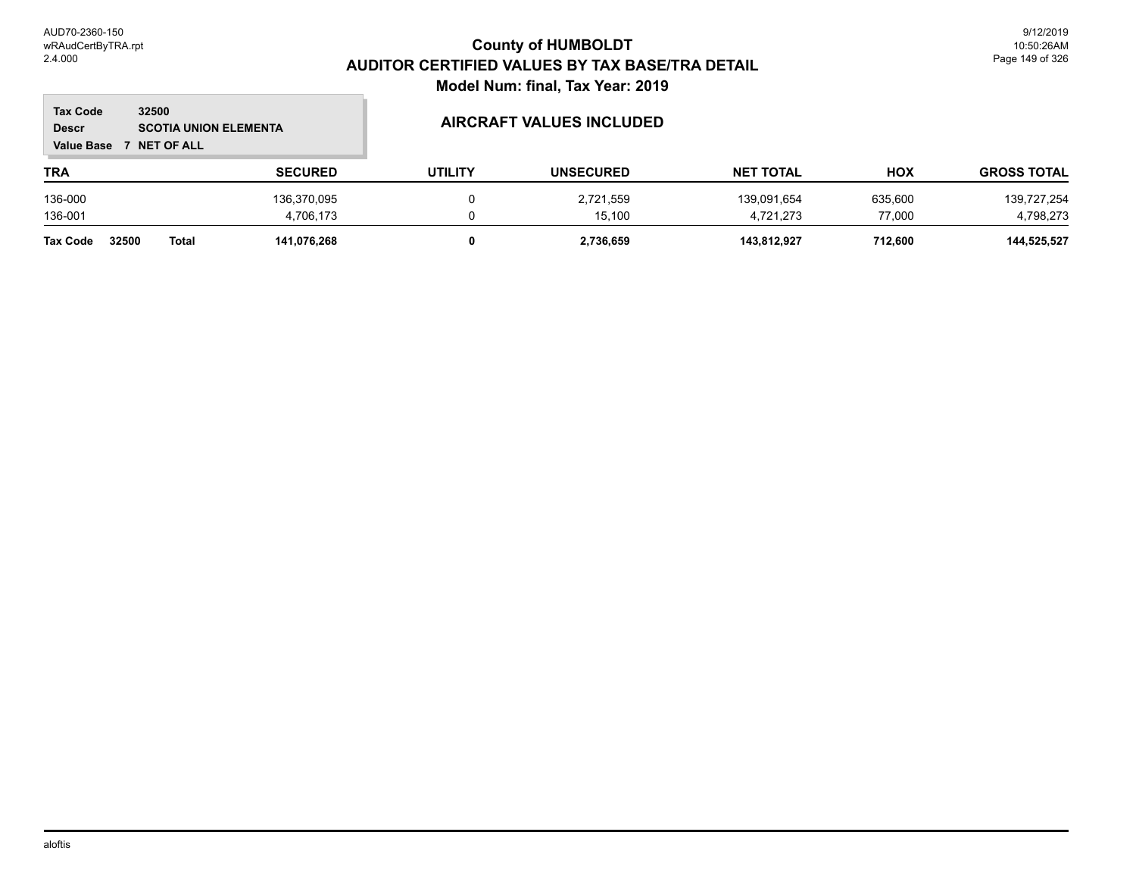$\overline{\phantom{a}}$ 

| <b>Tax Code</b><br><b>Descr</b><br><b>Value Base</b> | 32500<br><b>SCOTIA UNION ELEMENTA</b><br><b>NET OF ALL</b> |                | <b>AIRCRAFT VALUES INCLUDED</b> |                  |                  |         |                    |
|------------------------------------------------------|------------------------------------------------------------|----------------|---------------------------------|------------------|------------------|---------|--------------------|
| <b>TRA</b>                                           |                                                            | <b>SECURED</b> | <b>UTILITY</b>                  | <b>UNSECURED</b> | <b>NET TOTAL</b> | HOX     | <b>GROSS TOTAL</b> |
| 136-000                                              |                                                            | 136,370,095    | 0                               | 2,721,559        | 139,091,654      | 635,600 | 139,727,254        |
| 136-001                                              |                                                            | 4.706.173      |                                 | 15.100           | 4,721,273        | 77.000  | 4,798,273          |
| <b>Tax Code</b>                                      | 32500<br><b>Total</b>                                      | 141.076.268    | 0                               | 2,736,659        | 143.812.927      | 712.600 | 144,525,527        |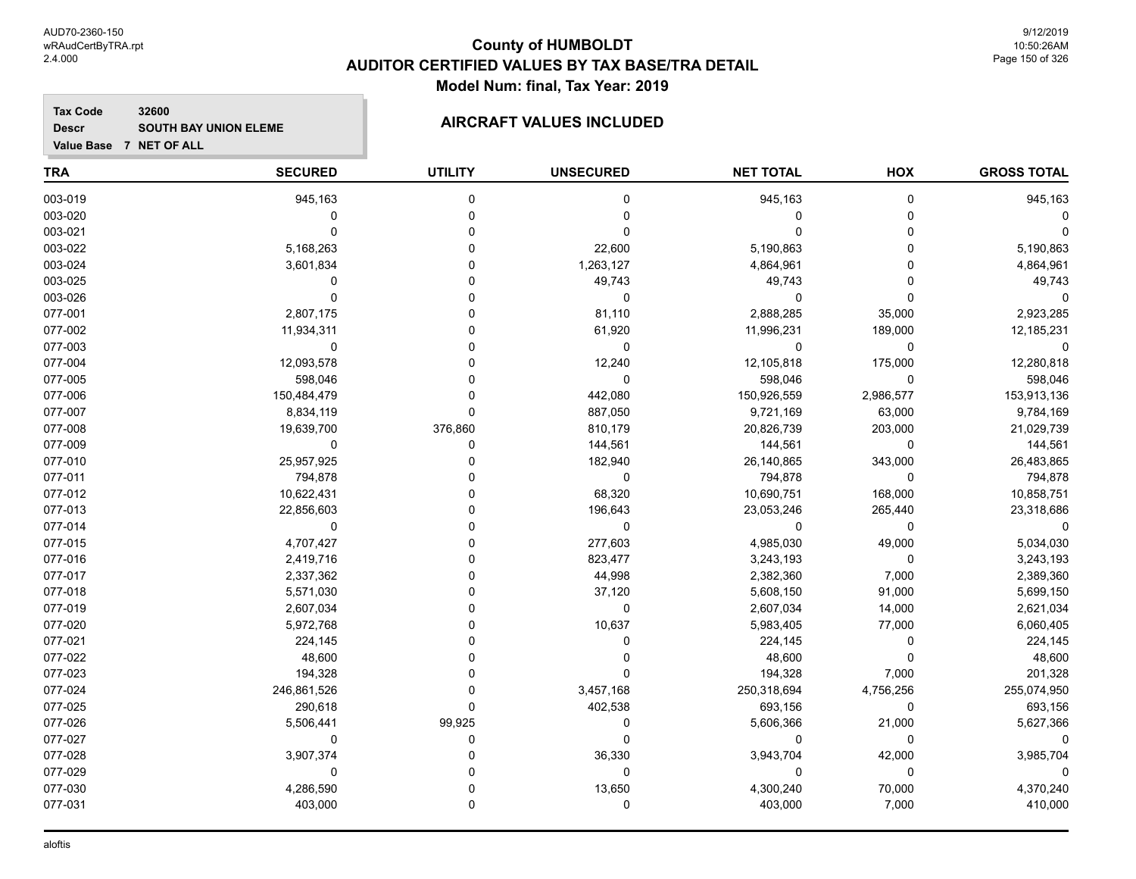**Descr**

## **County of HUMBOLDT AUDITOR CERTIFIED VALUES BY TAX BASE/TRA DETAIL Model Num: final, Tax Year: 2019**

#### **Tax Code 32600** SOUTH BAY UNION ELEME **AIRCRAFT VALUES INCLUDED**

| <b>TRA</b> | <b>SECURED</b> | <b>UTILITY</b> | <b>UNSECURED</b> | <b>NET TOTAL</b> | HOX       | <b>GROSS TOTAL</b> |
|------------|----------------|----------------|------------------|------------------|-----------|--------------------|
| 003-019    | 945,163        | $\mathbf 0$    | 0                | 945,163          | 0         | 945,163            |
| 003-020    | 0              | 0              | 0                | $\Omega$         | 0         |                    |
| 003-021    | $\mathbf 0$    | $\mathbf 0$    | $\mathbf 0$      | $\Omega$         | 0         |                    |
| 003-022    | 5,168,263      | $\Omega$       | 22,600           | 5,190,863        | 0         | 5,190,863          |
| 003-024    | 3,601,834      | $\Omega$       | 1,263,127        | 4,864,961        | 0         | 4,864,961          |
| 003-025    | $\mathbf 0$    | $\mathbf 0$    | 49,743           | 49,743           | 0         | 49,743             |
| 003-026    | $\mathbf{0}$   | $\Omega$       | $\mathbf 0$      | $\Omega$         | $\Omega$  | $\Omega$           |
| 077-001    | 2,807,175      | $\Omega$       | 81,110           | 2,888,285        | 35,000    | 2,923,285          |
| 077-002    | 11,934,311     | $\Omega$       | 61,920           | 11,996,231       | 189,000   | 12,185,231         |
| 077-003    | 0              | $\Omega$       | 0                | 0                | 0         | 0                  |
| 077-004    | 12,093,578     | $\Omega$       | 12,240           | 12,105,818       | 175,000   | 12,280,818         |
| 077-005    | 598,046        | $\Omega$       | $\mathbf 0$      | 598,046          | 0         | 598,046            |
| 077-006    | 150,484,479    | $\mathbf 0$    | 442,080          | 150,926,559      | 2,986,577 | 153,913,136        |
| 077-007    | 8,834,119      | $\mathbf{0}$   | 887,050          | 9,721,169        | 63,000    | 9,784,169          |
| 077-008    | 19,639,700     | 376,860        | 810,179          | 20,826,739       | 203,000   | 21,029,739         |
| 077-009    | 0              | 0              | 144,561          | 144,561          | 0         | 144,561            |
| 077-010    | 25,957,925     | $\Omega$       | 182,940          | 26,140,865       | 343,000   | 26,483,865         |
| 077-011    | 794,878        | $\Omega$       | 0                | 794,878          | 0         | 794,878            |
| 077-012    | 10,622,431     | $\Omega$       | 68,320           | 10,690,751       | 168,000   | 10,858,751         |
| 077-013    | 22,856,603     | $\Omega$       | 196,643          | 23,053,246       | 265,440   | 23,318,686         |
| 077-014    | $\mathbf 0$    | $\Omega$       | $\mathbf 0$      | $\mathbf 0$      | 0         | 0                  |
| 077-015    | 4,707,427      | $\Omega$       | 277,603          | 4,985,030        | 49,000    | 5,034,030          |
| 077-016    | 2,419,716      | $\Omega$       | 823,477          | 3,243,193        | 0         | 3,243,193          |
| 077-017    | 2,337,362      | $\Omega$       | 44,998           | 2,382,360        | 7,000     | 2,389,360          |
| 077-018    | 5,571,030      | $\Omega$       | 37,120           | 5,608,150        | 91,000    | 5,699,150          |
| 077-019    | 2,607,034      | $\Omega$       | $\mathbf 0$      | 2,607,034        | 14,000    | 2,621,034          |
| 077-020    | 5,972,768      | $\Omega$       | 10,637           | 5,983,405        | 77,000    | 6,060,405          |
| 077-021    | 224,145        | $\Omega$       | 0                | 224,145          | 0         | 224,145            |
| 077-022    | 48,600         | $\Omega$       | 0                | 48,600           | 0         | 48,600             |
| 077-023    | 194,328        | $\Omega$       | $\Omega$         | 194,328          | 7,000     | 201,328            |
| 077-024    | 246,861,526    | $\mathbf 0$    | 3,457,168        | 250,318,694      | 4,756,256 | 255,074,950        |
| 077-025    | 290,618        | $\mathbf{0}$   | 402,538          | 693,156          | 0         | 693,156            |
| 077-026    | 5,506,441      | 99,925         | $\mathbf 0$      | 5,606,366        | 21,000    | 5,627,366          |
| 077-027    | $\mathbf 0$    | $\mathbf 0$    | $\mathbf 0$      | $\Omega$         | 0         | 0                  |
| 077-028    | 3,907,374      | $\mathbf 0$    | 36,330           | 3,943,704        | 42,000    | 3,985,704          |
| 077-029    | 0              | $\mathbf 0$    | $\mathbf 0$      | $\mathbf 0$      | 0         | $\Omega$           |
| 077-030    | 4,286,590      | $\mathbf 0$    | 13,650           | 4,300,240        | 70,000    | 4,370,240          |
| 077-031    | 403,000        | $\mathbf 0$    | 0                | 403,000          | 7,000     | 410,000            |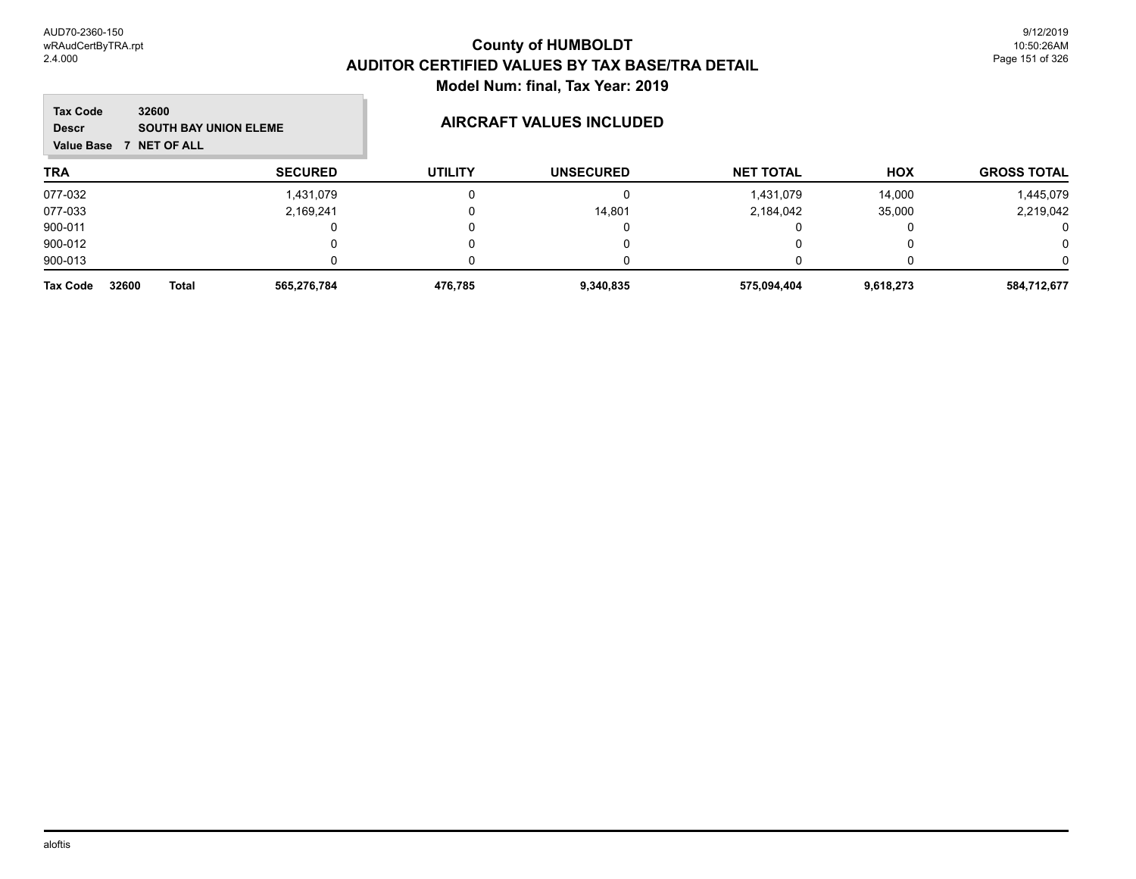#### **TRA SECURED UTILITY UNSECURED HOX Tax Code Value Base 7 NET OF ALL 32600 GROSS TOTAL NET TOTAL Descr** SOUTH BAY UNION ELEME **AIRCRAFT VALUES INCLUDED** 077-032 1,431,079 0 0 1,431,079 14,000 1,445,079 077-033 2,169,241 0 14,801 2,184,042 35,000 2,219,042 900-011 0 0 0 0 0 0 900-012 0 0 0 0 0 0 900-013 0 0 0 0 0 0 **Tax Code 32600 Total 565,276,784 476,785 9,340,835 575,094,404 9,618,273 584,712,677**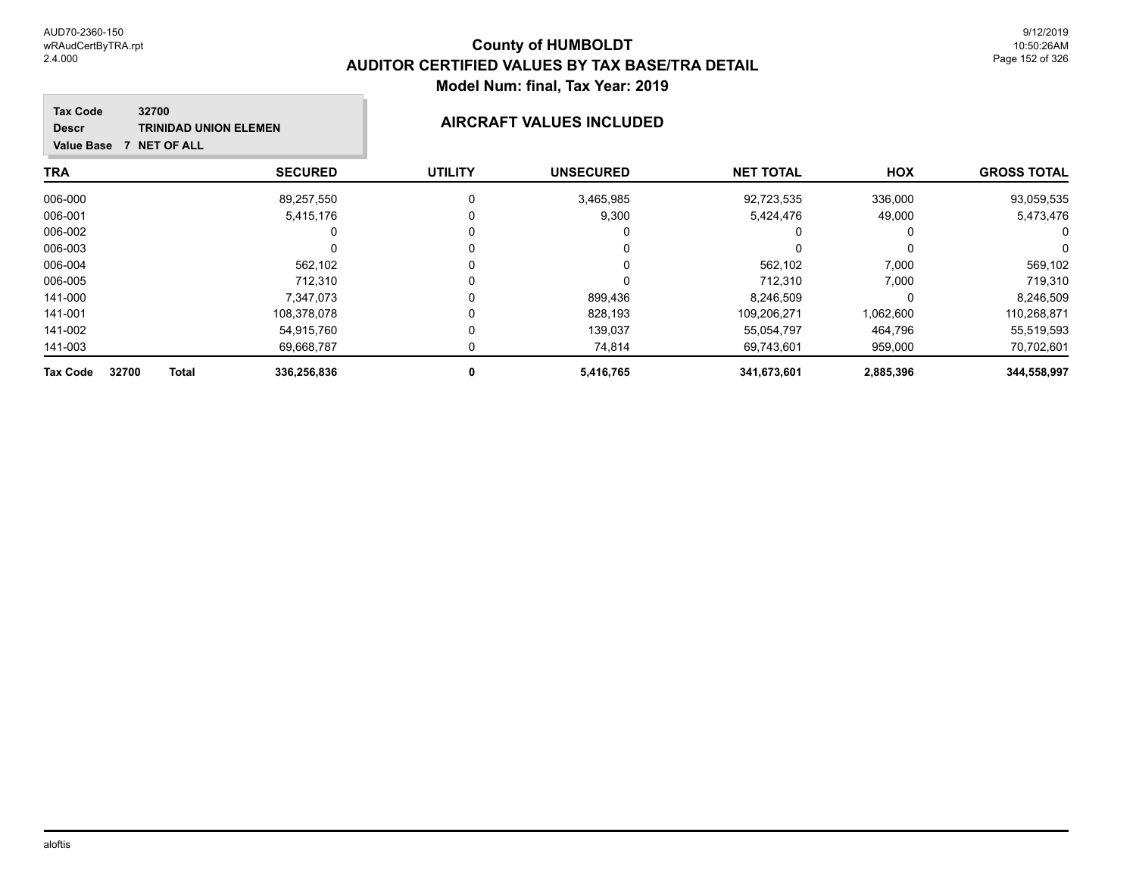#### **TRA SECURED UTILITY UNSECURED HOX Tax Code Value Base 7 NET OF ALL 32700 GROSS TOTAL NET TOTAL Descr TRINIDAD UNION ELEMEN AIRCRAFT VALUES INCLUDED** 006-000 89,257,550 0 3,465,985 92,723,535 336,000 93,059,535 006-001 5,415,176 0 9,300 5,424,476 49,000 5,473,476 006-002 0 0 0 0 0 0 006-003 0 0 0 0 0 0 006-004 562,102 0 0 562,102 7,000 569,102 006-005 712,310 0 0 712,310 7,000 719,310 141-000 7,347,073 0 899,436 8,246,509 0 8,246,509 141-001 108,378,078 0 828,193 109,206,271 1,062,600 110,268,871 141-002 54,915,760 0 139,037 55,054,797 464,796 55,519,593 141-003 69,668,787 0 74,814 69,743,601 959,000 70,702,601

**Tax Code 32700 Total 336,256,836 0 5,416,765 341,673,601 2,885,396 344,558,997**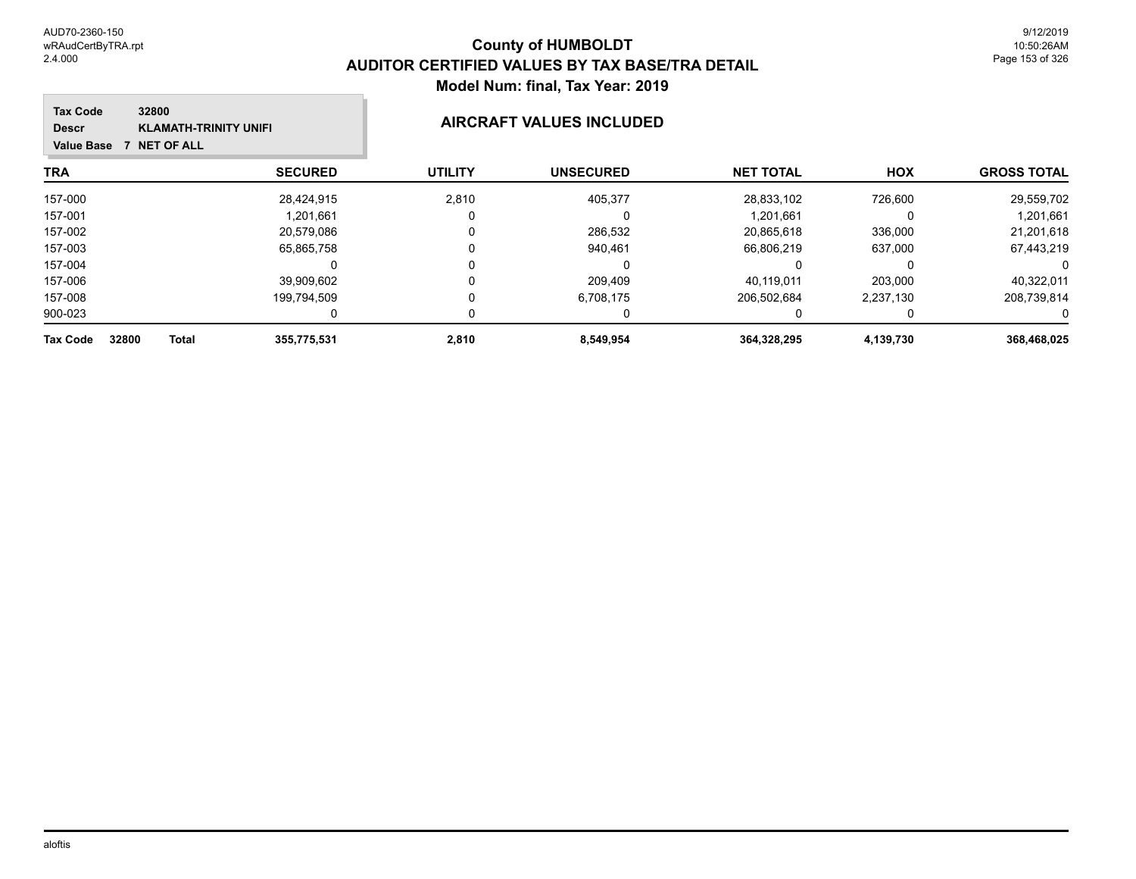#### **TRA SECURED UTILITY UNSECURED HOX Tax Code Value Base 7 NET OF ALL 32800 GROSS TOTAL NET TOTAL Descr KLAMATH-TRINITY UNIFI AIRCRAFT VALUES INCLUDED** 157-000 28,424,915 2,810 405,377 28,833,102 726,600 29,559,702 157-001 1,201,661 0 0 1,201,661 0 1,201,661 157-002 20,579,086 0 286,532 20,865,618 336,000 21,201,618 157-003 65,865,758 0 940,461 66,806,219 637,000 67,443,219 157-004 0 0 0 0 0 0 157-006 39,909,602 0 209,409 40,119,011 203,000 40,322,011 157-008 199,794,509 0 6,708,175 206,502,684 2,237,130 208,739,814 900-023 0 0 0 0 0 0 **Tax Code 32800 Total 355,775,531 2,810 8,549,954 364,328,295 4,139,730 368,468,025**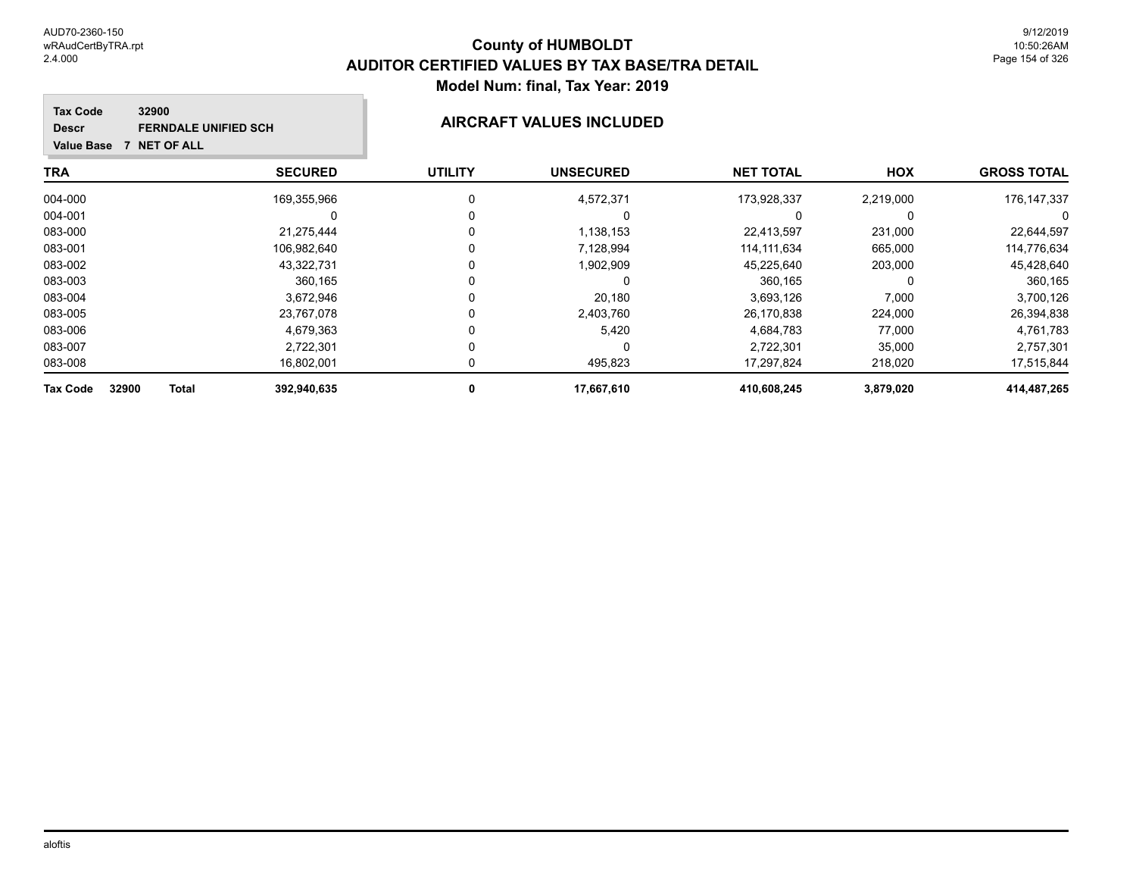**Tax Code**

**Descr**

## **County of HUMBOLDT AUDITOR CERTIFIED VALUES BY TAX BASE/TRA DETAIL Model Num: final, Tax Year: 2019**

#### **Value Base 7 NET OF ALL 32900 FERNDALE UNIFIED SCH AIRCRAFT VALUES INCLUDED**

| <b>TRA</b>                               | <b>SECURED</b> | <b>UTILITY</b> | <b>UNSECURED</b> | <b>NET TOTAL</b> | <b>HOX</b> | <b>GROSS TOTAL</b> |
|------------------------------------------|----------------|----------------|------------------|------------------|------------|--------------------|
| 004-000                                  | 169,355,966    | 0              | 4,572,371        | 173,928,337      | 2,219,000  | 176, 147, 337      |
| 004-001                                  | 0              | 0              | O                |                  | 0          | 0                  |
| 083-000                                  | 21.275.444     | 0              | 1,138,153        | 22,413,597       | 231,000    | 22,644,597         |
| 083-001                                  | 106.982.640    | 0              | 7.128.994        | 114.111.634      | 665,000    | 114,776,634        |
| 083-002                                  | 43.322.731     | 0              | 1,902,909        | 45,225,640       | 203,000    | 45,428,640         |
| 083-003                                  | 360.165        | 0              | 0                | 360,165          | 0          | 360,165            |
| 083-004                                  | 3,672,946      | 0              | 20.180           | 3,693,126        | 7,000      | 3,700,126          |
| 083-005                                  | 23,767,078     | 0              | 2,403,760        | 26,170,838       | 224,000    | 26,394,838         |
| 083-006                                  | 4,679,363      | $\Omega$       | 5,420            | 4.684.783        | 77.000     | 4,761,783          |
| 083-007                                  | 2.722.301      | 0              | 0                | 2,722,301        | 35,000     | 2,757,301          |
| 083-008                                  | 16,802,001     | 0              | 495,823          | 17,297,824       | 218,020    | 17,515,844         |
| 32900<br><b>Tax Code</b><br><b>Total</b> | 392,940,635    | 0              | 17,667,610       | 410.608.245      | 3,879,020  | 414,487,265        |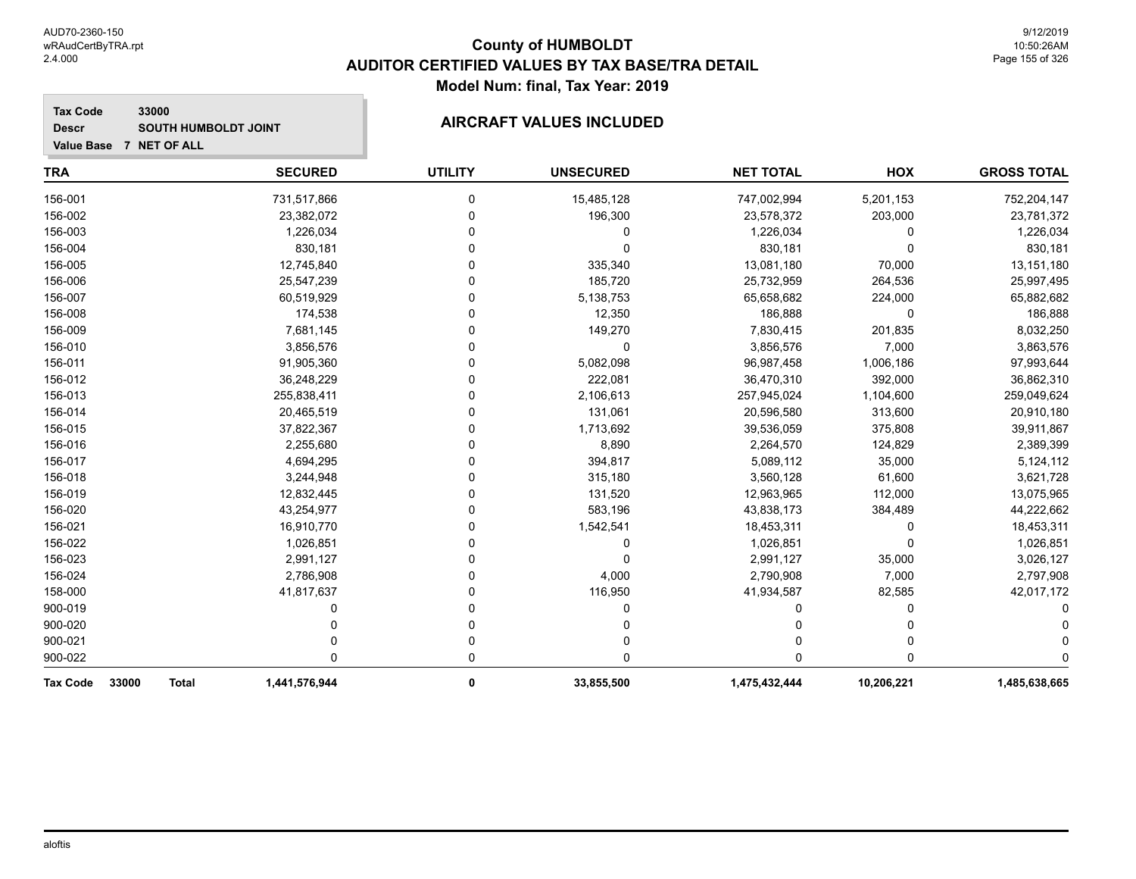**Tax Code**

**Descr**

## **County of HUMBOLDT AUDITOR CERTIFIED VALUES BY TAX BASE/TRA DETAIL Model Num: final, Tax Year: 2019**

#### **Value Base 7 NET OF ALL 33000** SOUTH HUMBOLDT JOINT **AIRCRAFT VALUES INCLUDED**

| <b>TRA</b>                               | <b>SECURED</b> | <b>UTILITY</b> | <b>UNSECURED</b> | <b>NET TOTAL</b> | HOX        | <b>GROSS TOTAL</b> |
|------------------------------------------|----------------|----------------|------------------|------------------|------------|--------------------|
| 156-001                                  | 731,517,866    | 0              | 15,485,128       | 747,002,994      | 5,201,153  | 752,204,147        |
| 156-002                                  | 23,382,072     | n              | 196,300          | 23,578,372       | 203,000    | 23,781,372         |
| 156-003                                  | 1,226,034      |                | 0                | 1,226,034        | 0          | 1,226,034          |
| 156-004                                  | 830,181        |                | $\Omega$         | 830,181          | 0          | 830,181            |
| 156-005                                  | 12,745,840     |                | 335,340          | 13,081,180       | 70,000     | 13,151,180         |
| 156-006                                  | 25,547,239     |                | 185,720          | 25,732,959       | 264,536    | 25,997,495         |
| 156-007                                  | 60,519,929     |                | 5,138,753        | 65,658,682       | 224,000    | 65,882,682         |
| 156-008                                  | 174,538        | U              | 12,350           | 186,888          | 0          | 186,888            |
| 156-009                                  | 7,681,145      |                | 149,270          | 7,830,415        | 201,835    | 8,032,250          |
| 156-010                                  | 3,856,576      |                | 0                | 3,856,576        | 7,000      | 3,863,576          |
| 156-011                                  | 91,905,360     |                | 5,082,098        | 96,987,458       | 1,006,186  | 97,993,644         |
| 156-012                                  | 36,248,229     |                | 222,081          | 36,470,310       | 392,000    | 36,862,310         |
| 156-013                                  | 255,838,411    |                | 2,106,613        | 257,945,024      | 1,104,600  | 259,049,624        |
| 156-014                                  | 20,465,519     |                | 131,061          | 20,596,580       | 313,600    | 20,910,180         |
| 156-015                                  | 37,822,367     |                | 1,713,692        | 39,536,059       | 375,808    | 39,911,867         |
| 156-016                                  | 2,255,680      |                | 8,890            | 2,264,570        | 124,829    | 2,389,399          |
| 156-017                                  | 4,694,295      |                | 394,817          | 5,089,112        | 35,000     | 5,124,112          |
| 156-018                                  | 3,244,948      |                | 315,180          | 3,560,128        | 61,600     | 3,621,728          |
| 156-019                                  | 12,832,445     |                | 131,520          | 12,963,965       | 112,000    | 13,075,965         |
| 156-020                                  | 43,254,977     |                | 583,196          | 43,838,173       | 384,489    | 44,222,662         |
| 156-021                                  | 16,910,770     |                | 1,542,541        | 18,453,311       | 0          | 18,453,311         |
| 156-022                                  | 1,026,851      |                | 0                | 1,026,851        | $\Omega$   | 1,026,851          |
| 156-023                                  | 2,991,127      |                | 0                | 2,991,127        | 35,000     | 3,026,127          |
| 156-024                                  | 2,786,908      |                | 4,000            | 2,790,908        | 7,000      | 2,797,908          |
| 158-000                                  | 41,817,637     |                | 116,950          | 41,934,587       | 82,585     | 42,017,172         |
| 900-019                                  |                |                |                  |                  | 0          |                    |
| 900-020                                  |                |                |                  |                  | 0          |                    |
| 900-021                                  |                |                |                  |                  |            |                    |
| 900-022                                  | U              | 0              | 0                | 0                | 0          |                    |
| 33000<br><b>Tax Code</b><br><b>Total</b> | 1,441,576,944  | 0              | 33,855,500       | 1,475,432,444    | 10,206,221 | 1,485,638,665      |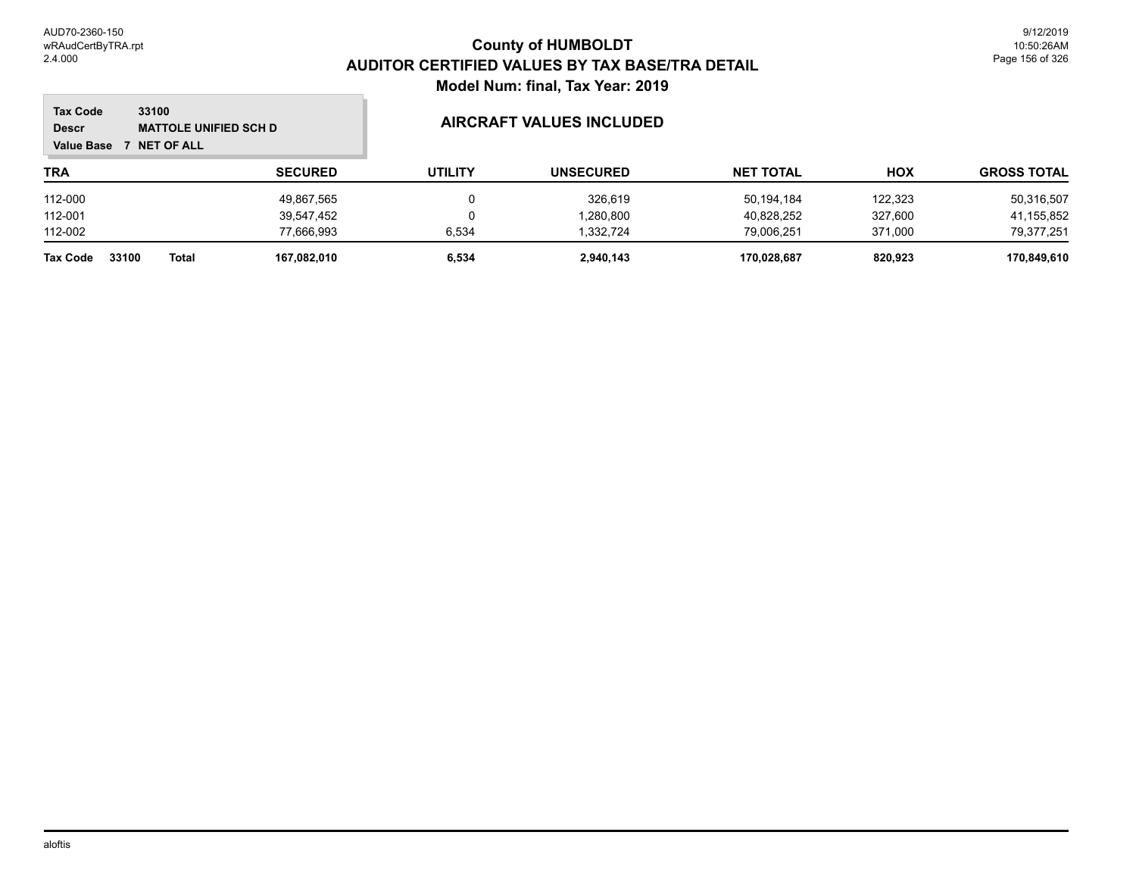#### **TRA SECURED UTILITY UNSECURED HOX Tax Code Value Base 7 NET OF ALL 33100 GROSS TOTAL NET TOTAL Descr** MATTOLE UNIFIED SCH D<br>
MATTOLE UNIFIED SCH D 112-000 49,867,565 0 326,619 50,194,184 122,323 50,316,507 112-001 39,547,452 0 1,280,800 40,828,252 327,600 41,155,852 112-002 77,666,993 6,534 1,332,724 79,006,251 371,000 79,377,251 **Tax Code 33100 Total 167,082,010 6,534 2,940,143 170,028,687 820,923 170,849,610**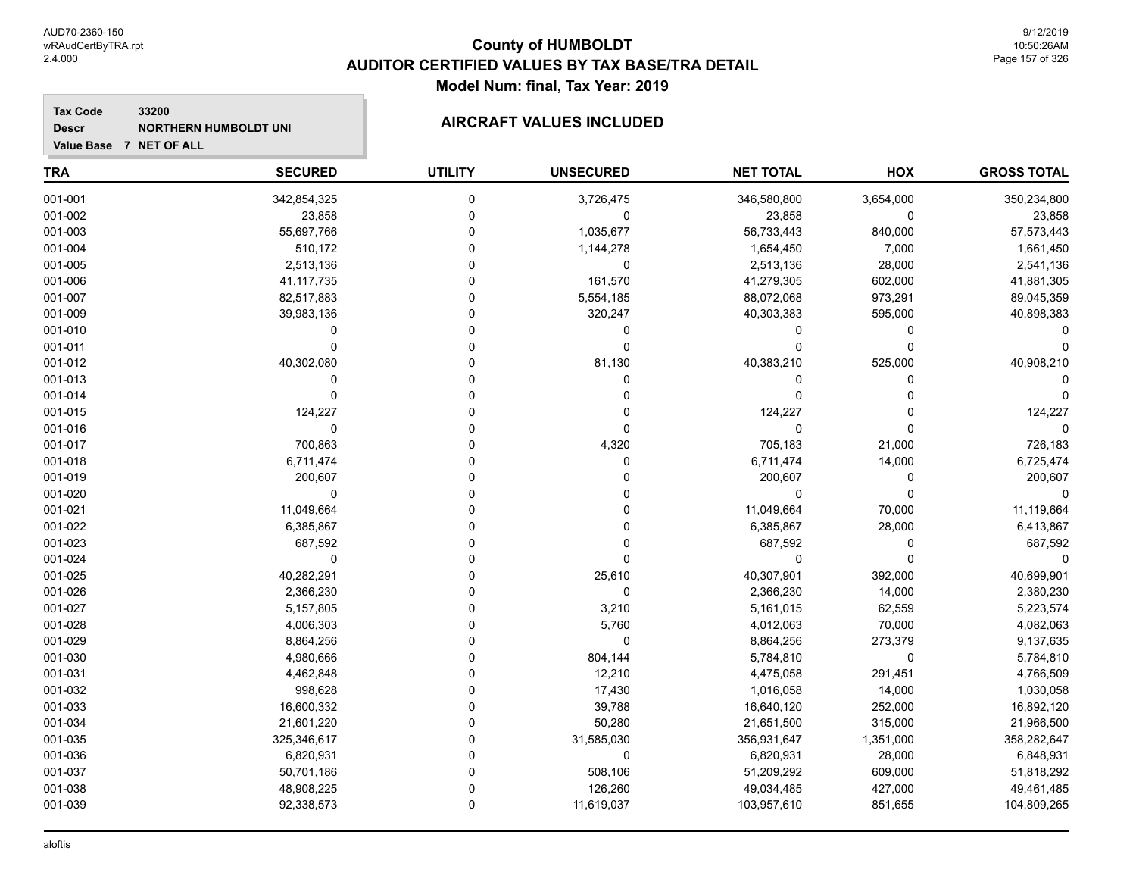**Descr**

**Value Base 7 NET OF ALL**

## **County of HUMBOLDT AUDITOR CERTIFIED VALUES BY TAX BASE/TRA DETAIL Model Num: final, Tax Year: 2019**

#### **Tax Code 33200** NORTHERN HUMBOLDT UNI**NICELY SERVICE AIRCRAFT VALUES INCLUDED**

| <b>TRA</b> | <b>SECURED</b> | <b>UTILITY</b> | <b>UNSECURED</b> | <b>NET TOTAL</b> | HOX         | <b>GROSS TOTAL</b> |
|------------|----------------|----------------|------------------|------------------|-------------|--------------------|
| 001-001    | 342,854,325    | 0              | 3,726,475        | 346,580,800      | 3,654,000   | 350,234,800        |
| 001-002    | 23,858         | 0              | $\mathbf 0$      | 23,858           | $\mathbf 0$ | 23,858             |
| 001-003    | 55,697,766     | 0              | 1,035,677        | 56,733,443       | 840,000     | 57,573,443         |
| 001-004    | 510,172        | 0              | 1,144,278        | 1,654,450        | 7,000       | 1,661,450          |
| 001-005    | 2,513,136      | 0              | 0                | 2,513,136        | 28,000      | 2,541,136          |
| 001-006    | 41, 117, 735   | U              | 161,570          | 41,279,305       | 602,000     | 41,881,305         |
| 001-007    | 82,517,883     | 0              | 5,554,185        | 88,072,068       | 973,291     | 89,045,359         |
| 001-009    | 39,983,136     | 0              | 320,247          | 40,303,383       | 595,000     | 40,898,383         |
| 001-010    | 0              | O              | 0                | 0                | 0           |                    |
| 001-011    | U              |                | $\Omega$         | $\Omega$         | $\Omega$    |                    |
| 001-012    | 40,302,080     |                | 81,130           | 40,383,210       | 525,000     | 40,908,210         |
| 001-013    | 0              |                | O                | 0                | $\Omega$    |                    |
| 001-014    | 0              |                | O                | 0                |             |                    |
| 001-015    | 124,227        |                | O                | 124,227          |             | 124,227            |
| 001-016    | $\Omega$       |                | O                | 0                | $\Omega$    |                    |
| 001-017    | 700,863        |                | 4,320            | 705,183          | 21,000      | 726,183            |
| 001-018    | 6,711,474      |                | $\Omega$         | 6,711,474        | 14,000      | 6,725,474          |
| 001-019    | 200,607        |                |                  | 200,607          | 0           | 200,607            |
| 001-020    | 0              |                |                  | $\mathbf 0$      | $\mathbf 0$ |                    |
| 001-021    | 11,049,664     |                |                  | 11,049,664       | 70,000      | 11,119,664         |
| 001-022    | 6,385,867      | U              |                  | 6,385,867        | 28,000      | 6,413,867          |
| 001-023    | 687,592        | U              |                  | 687,592          | $\Omega$    | 687,592            |
| 001-024    | $\mathbf 0$    | U              |                  | 0                | $\Omega$    |                    |
| 001-025    | 40,282,291     |                | 25,610           | 40,307,901       | 392,000     | 40,699,901         |
| 001-026    | 2,366,230      |                | $\Omega$         | 2,366,230        | 14,000      | 2,380,230          |
| 001-027    | 5,157,805      |                | 3,210            | 5,161,015        | 62,559      | 5,223,574          |
| 001-028    | 4,006,303      |                | 5,760            | 4,012,063        | 70,000      | 4,082,063          |
| 001-029    | 8,864,256      |                | $\mathbf 0$      | 8,864,256        | 273,379     | 9,137,635          |
| 001-030    | 4,980,666      | U              | 804,144          | 5,784,810        | $\mathbf 0$ | 5,784,810          |
| 001-031    | 4,462,848      | U              | 12,210           | 4,475,058        | 291,451     | 4,766,509          |
| 001-032    | 998,628        |                | 17,430           | 1,016,058        | 14,000      | 1,030,058          |
| 001-033    | 16,600,332     |                | 39,788           | 16,640,120       | 252,000     | 16,892,120         |
| 001-034    | 21,601,220     | O              | 50,280           | 21,651,500       | 315,000     | 21,966,500         |
| 001-035    | 325,346,617    | 0              | 31,585,030       | 356,931,647      | 1,351,000   | 358,282,647        |
| 001-036    | 6,820,931      | 0              | 0                | 6,820,931        | 28,000      | 6,848,931          |
| 001-037    | 50,701,186     | 0              | 508,106          | 51,209,292       | 609,000     | 51,818,292         |
| 001-038    | 48,908,225     | 0              | 126,260          | 49,034,485       | 427,000     | 49,461,485         |
| 001-039    | 92,338,573     | 0              | 11,619,037       | 103,957,610      | 851,655     | 104,809,265        |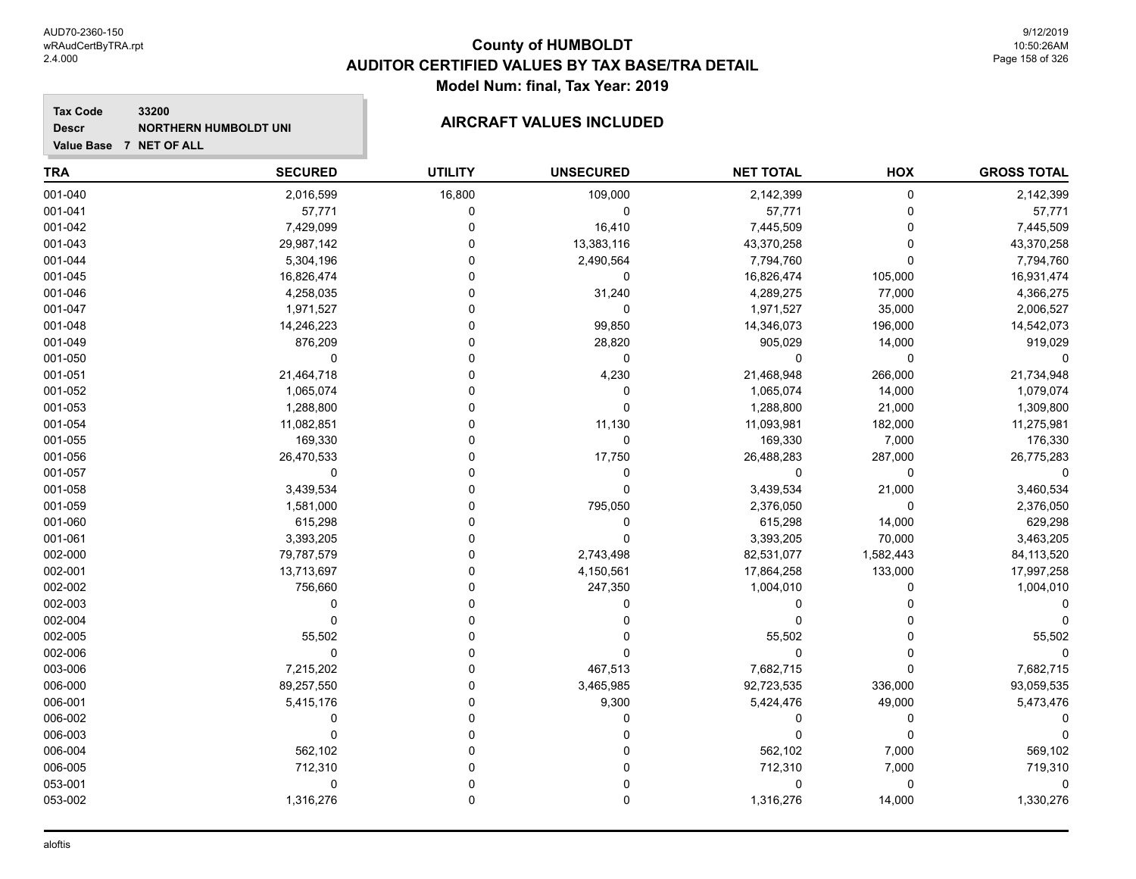#### **Tax Code 33200 Descr**

# NORTHERN HUMBOLDT UNI**NICELY SERVICE AIRCRAFT VALUES INCLUDED**

| <b>TRA</b> | <b>SECURED</b> | <b>UTILITY</b> | <b>UNSECURED</b> | <b>NET TOTAL</b> | HOX       | <b>GROSS TOTAL</b> |
|------------|----------------|----------------|------------------|------------------|-----------|--------------------|
| 001-040    | 2,016,599      | 16,800         | 109,000          | 2,142,399        | 0         | 2,142,399          |
| 001-041    | 57,771         | 0              | 0                | 57,771           | $\Omega$  | 57,771             |
| 001-042    | 7,429,099      | 0              | 16,410           | 7,445,509        | $\Omega$  | 7,445,509          |
| 001-043    | 29,987,142     | ۵              | 13,383,116       | 43,370,258       | 0         | 43,370,258         |
| 001-044    | 5,304,196      | ۵              | 2,490,564        | 7,794,760        | 0         | 7,794,760          |
| 001-045    | 16,826,474     | 0              | $\mathbf 0$      | 16,826,474       | 105,000   | 16,931,474         |
| 001-046    | 4,258,035      | 0              | 31,240           | 4,289,275        | 77,000    | 4,366,275          |
| 001-047    | 1,971,527      | O              | 0                | 1,971,527        | 35,000    | 2,006,527          |
| 001-048    | 14,246,223     | 0              | 99,850           | 14,346,073       | 196,000   | 14,542,073         |
| 001-049    | 876,209        | 0              | 28,820           | 905,029          | 14,000    | 919,029            |
| 001-050    | $\Omega$       | $\Omega$       | 0                | $\Omega$         | $\Omega$  |                    |
| 001-051    | 21,464,718     | 0              | 4,230            | 21,468,948       | 266,000   | 21,734,948         |
| 001-052    | 1,065,074      | ۵              | 0                | 1,065,074        | 14,000    | 1,079,074          |
| 001-053    | 1,288,800      | 0              | 0                | 1,288,800        | 21,000    | 1,309,800          |
| 001-054    | 11,082,851     | 0              | 11,130           | 11,093,981       | 182,000   | 11,275,981         |
| 001-055    | 169,330        | 0              | 0                | 169,330          | 7,000     | 176,330            |
| 001-056    | 26,470,533     | $\Omega$       | 17,750           | 26,488,283       | 287,000   | 26,775,283         |
| 001-057    | 0              | 0              | 0                | $\Omega$         | $\Omega$  | 0                  |
| 001-058    | 3,439,534      | 0              | 0                | 3,439,534        | 21,000    | 3,460,534          |
| 001-059    | 1,581,000      | 0              | 795,050          | 2,376,050        | $\Omega$  | 2,376,050          |
| 001-060    | 615,298        | ۵              | 0                | 615,298          | 14,000    | 629,298            |
| 001-061    | 3,393,205      | ۵              | 0                | 3,393,205        | 70,000    | 3,463,205          |
| 002-000    | 79,787,579     | ۵              | 2,743,498        | 82,531,077       | 1,582,443 | 84,113,520         |
| 002-001    | 13,713,697     | 0              | 4,150,561        | 17,864,258       | 133,000   | 17,997,258         |
| 002-002    | 756,660        | 0              | 247,350          | 1,004,010        | $\Omega$  | 1,004,010          |
| 002-003    | 0              | $\Omega$       | 0                | 0                | 0         |                    |
| 002-004    | $\mathbf 0$    | $\Omega$       | 0                | $\Omega$         | 0         |                    |
| 002-005    | 55,502         | $\Omega$       | 0                | 55,502           | $\Omega$  | 55,502             |
| 002-006    | $\mathbf 0$    | $\Omega$       | $\mathbf 0$      | $\Omega$         | $\Omega$  |                    |
| 003-006    | 7,215,202      | 0              | 467,513          | 7,682,715        | 0         | 7,682,715          |
| 006-000    | 89,257,550     | 0              | 3,465,985        | 92,723,535       | 336,000   | 93,059,535         |
| 006-001    | 5,415,176      | 0              | 9,300            | 5,424,476        | 49,000    | 5,473,476          |
| 006-002    | ۵              | 0              | ۵                | 0                | 0         |                    |
| 006-003    | $\Omega$       | O              | $\Omega$         | $\Omega$         | $\Omega$  |                    |
| 006-004    | 562,102        | $\Omega$       | 0                | 562,102          | 7,000     | 569,102            |
| 006-005    | 712,310        | 0              | 0                | 712,310          | 7,000     | 719,310            |
| 053-001    | 0              | $\Omega$       | 0                | 0                | $\Omega$  |                    |
| 053-002    | 1,316,276      | $\mathbf 0$    | 0                | 1,316,276        | 14,000    | 1,330,276          |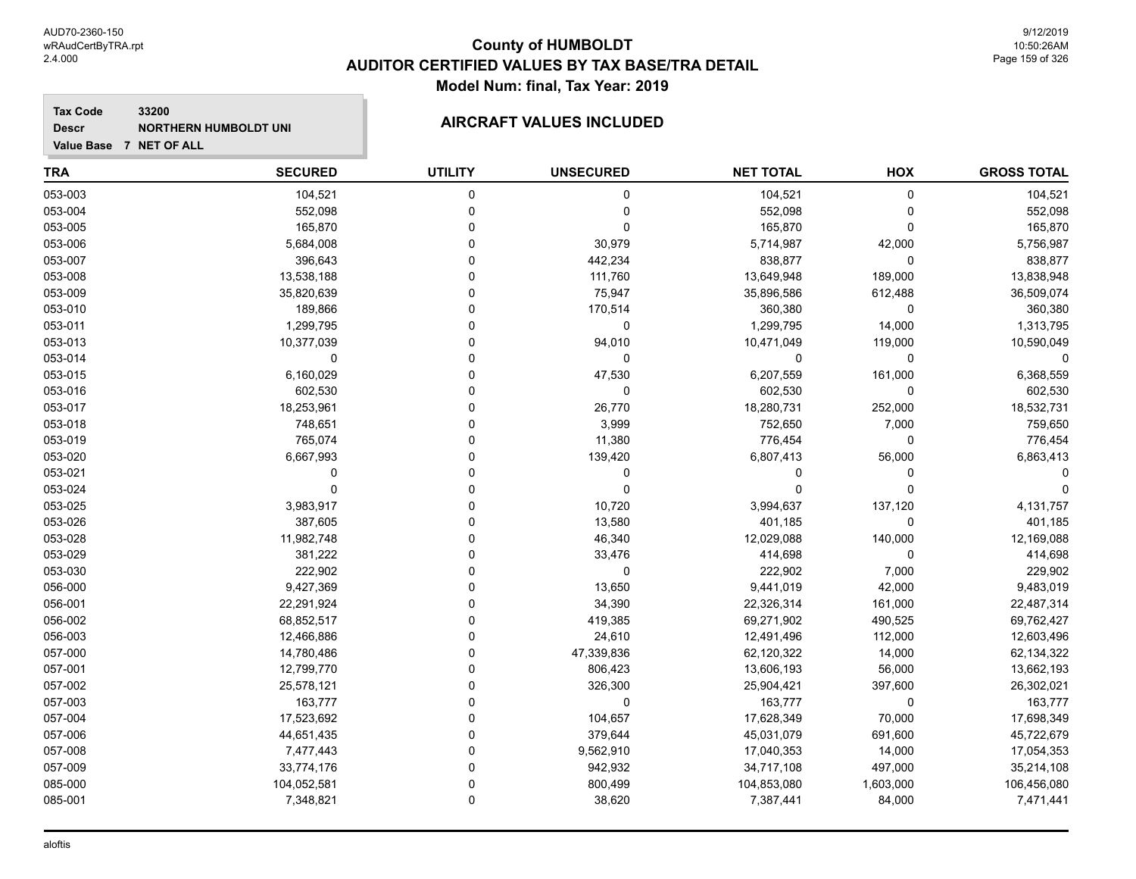#### **Tax Code 33200 Descr**

# NORTHERN HUMBOLDT UNI**NICELY SERVICE AIRCRAFT VALUES INCLUDED**

| <b>TRA</b> | <b>SECURED</b> | <b>UTILITY</b> | <b>UNSECURED</b> | <b>NET TOTAL</b> | HOX         | <b>GROSS TOTAL</b> |
|------------|----------------|----------------|------------------|------------------|-------------|--------------------|
| 053-003    | 104,521        | 0              | 0                | 104,521          | 0           | 104,521            |
| 053-004    | 552,098        | $\mathbf 0$    | 0                | 552,098          | $\Omega$    | 552,098            |
| 053-005    | 165,870        | $\Omega$       | $\mathbf 0$      | 165,870          | $\Omega$    | 165,870            |
| 053-006    | 5,684,008      | $\Omega$       | 30,979           | 5,714,987        | 42,000      | 5,756,987          |
| 053-007    | 396,643        | $\Omega$       | 442,234          | 838,877          | $\mathbf 0$ | 838,877            |
| 053-008    | 13,538,188     | $\Omega$       | 111,760          | 13,649,948       | 189,000     | 13,838,948         |
| 053-009    | 35,820,639     | $\Omega$       | 75,947           | 35,896,586       | 612,488     | 36,509,074         |
| 053-010    | 189,866        | $\Omega$       | 170,514          | 360,380          | $\Omega$    | 360,380            |
| 053-011    | 1,299,795      | $\Omega$       | $\pmb{0}$        | 1,299,795        | 14,000      | 1,313,795          |
| 053-013    | 10,377,039     | $\Omega$       | 94,010           | 10,471,049       | 119,000     | 10,590,049         |
| 053-014    | 0              | $\Omega$       | 0                | 0                | $\mathbf 0$ |                    |
| 053-015    | 6,160,029      | $\Omega$       | 47,530           | 6,207,559        | 161,000     | 6,368,559          |
| 053-016    | 602,530        | $\Omega$       | 0                | 602,530          | $\Omega$    | 602,530            |
| 053-017    | 18,253,961     | $\mathbf 0$    | 26,770           | 18,280,731       | 252,000     | 18,532,731         |
| 053-018    | 748,651        | $\mathbf 0$    | 3,999            | 752,650          | 7,000       | 759,650            |
| 053-019    | 765,074        | $\Omega$       | 11,380           | 776,454          | $\mathbf 0$ | 776,454            |
| 053-020    | 6,667,993      | $\Omega$       | 139,420          | 6,807,413        | 56,000      | 6,863,413          |
| 053-021    | $\Omega$       | $\Omega$       | 0                | 0                | 0           |                    |
| 053-024    | $\mathbf 0$    | $\Omega$       | $\mathbf 0$      | $\Omega$         | $\Omega$    |                    |
| 053-025    | 3,983,917      | $\Omega$       | 10,720           | 3,994,637        | 137,120     | 4,131,757          |
| 053-026    | 387,605        | $\Omega$       | 13,580           | 401,185          | 0           | 401,185            |
| 053-028    | 11,982,748     | 0              | 46,340           | 12,029,088       | 140,000     | 12,169,088         |
| 053-029    | 381,222        | $\Omega$       | 33,476           | 414,698          | 0           | 414,698            |
| 053-030    | 222,902        | $\mathbf 0$    | $\pmb{0}$        | 222,902          | 7,000       | 229,902            |
| 056-000    | 9,427,369      | $\Omega$       | 13,650           | 9,441,019        | 42,000      | 9,483,019          |
| 056-001    | 22,291,924     | $\Omega$       | 34,390           | 22,326,314       | 161,000     | 22,487,314         |
| 056-002    | 68,852,517     | $\Omega$       | 419,385          | 69,271,902       | 490,525     | 69,762,427         |
| 056-003    | 12,466,886     | $\Omega$       | 24,610           | 12,491,496       | 112,000     | 12,603,496         |
| 057-000    | 14,780,486     | $\Omega$       | 47,339,836       | 62,120,322       | 14,000      | 62,134,322         |
| 057-001    | 12,799,770     | 0              | 806,423          | 13,606,193       | 56,000      | 13,662,193         |
| 057-002    | 25,578,121     | 0              | 326,300          | 25,904,421       | 397,600     | 26,302,021         |
| 057-003    | 163,777        | $\Omega$       | 0                | 163,777          | 0           | 163,777            |
| 057-004    | 17,523,692     | $\Omega$       | 104,657          | 17,628,349       | 70,000      | 17,698,349         |
| 057-006    | 44,651,435     | $\Omega$       | 379,644          | 45,031,079       | 691,600     | 45,722,679         |
| 057-008    | 7,477,443      | $\Omega$       | 9,562,910        | 17,040,353       | 14,000      | 17,054,353         |
| 057-009    | 33,774,176     | $\Omega$       | 942,932          | 34,717,108       | 497,000     | 35,214,108         |
| 085-000    | 104,052,581    | $\mathbf 0$    | 800,499          | 104,853,080      | 1,603,000   | 106,456,080        |
| 085-001    | 7,348,821      | $\mathbf 0$    | 38,620           | 7,387,441        | 84,000      | 7,471,441          |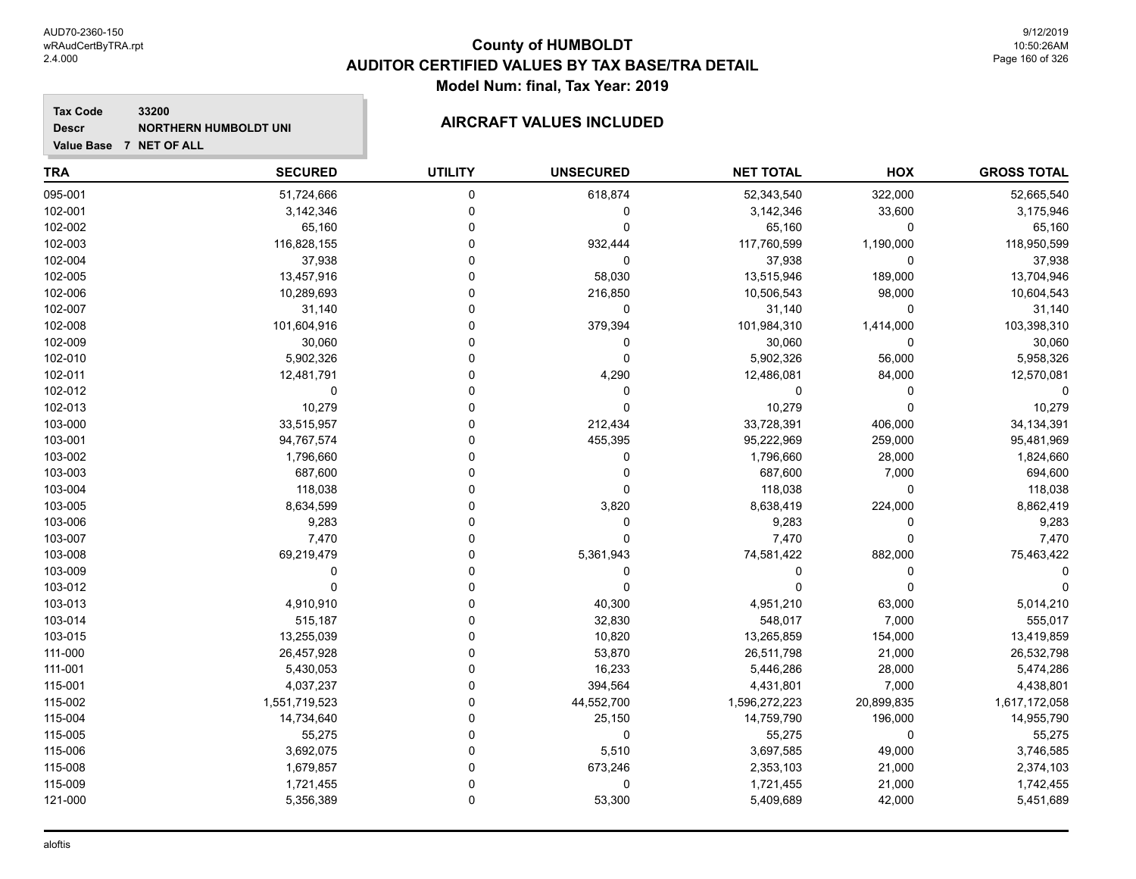#### **Tax Code 33200 Descr**

# NORTHERN HUMBOLDT UNI**NICELY SERVICE AIRCRAFT VALUES INCLUDED**

| <b>TRA</b> | <b>SECURED</b> | <b>UTILITY</b> | <b>UNSECURED</b> | <b>NET TOTAL</b> | HOX         | <b>GROSS TOTAL</b> |
|------------|----------------|----------------|------------------|------------------|-------------|--------------------|
| 095-001    | 51,724,666     | $\mathbf 0$    | 618,874          | 52,343,540       | 322,000     | 52,665,540         |
| 102-001    | 3,142,346      | $\mathbf 0$    | $\mathbf 0$      | 3,142,346        | 33,600      | 3,175,946          |
| 102-002    | 65,160         | 0              | 0                | 65,160           | 0           | 65,160             |
| 102-003    | 116,828,155    | $\Omega$       | 932,444          | 117,760,599      | 1,190,000   | 118,950,599        |
| 102-004    | 37,938         | $\Omega$       | $\mathbf 0$      | 37,938           | $\mathbf 0$ | 37,938             |
| 102-005    | 13,457,916     | $\Omega$       | 58,030           | 13,515,946       | 189,000     | 13,704,946         |
| 102-006    | 10,289,693     | $\Omega$       | 216,850          | 10,506,543       | 98,000      | 10,604,543         |
| 102-007    | 31,140         | $\Omega$       | $\mathbf 0$      | 31,140           | 0           | 31,140             |
| 102-008    | 101,604,916    | $\Omega$       | 379,394          | 101,984,310      | 1,414,000   | 103,398,310        |
| 102-009    | 30,060         | $\Omega$       | 0                | 30,060           | 0           | 30,060             |
| 102-010    | 5,902,326      | $\Omega$       | $\mathbf 0$      | 5,902,326        | 56,000      | 5,958,326          |
| 102-011    | 12,481,791     | $\Omega$       | 4,290            | 12,486,081       | 84,000      | 12,570,081         |
| 102-012    | 0              | 0              | 0                | 0                | 0           |                    |
| 102-013    | 10,279         | $\Omega$       | $\mathbf 0$      | 10,279           | $\mathbf 0$ | 10,279             |
| 103-000    | 33,515,957     | $\Omega$       | 212,434          | 33,728,391       | 406,000     | 34, 134, 391       |
| 103-001    | 94,767,574     | $\Omega$       | 455,395          | 95,222,969       | 259,000     | 95,481,969         |
| 103-002    | 1,796,660      | $\Omega$       | 0                | 1,796,660        | 28,000      | 1,824,660          |
| 103-003    | 687,600        | $\Omega$       | 0                | 687,600          | 7,000       | 694,600            |
| 103-004    | 118,038        | $\Omega$       | $\mathbf 0$      | 118,038          | $\mathbf 0$ | 118,038            |
| 103-005    | 8,634,599      | $\Omega$       | 3,820            | 8,638,419        | 224,000     | 8,862,419          |
| 103-006    | 9,283          | $\Omega$       | 0                | 9,283            | 0           | 9,283              |
| 103-007    | 7,470          | $\Omega$       | $\Omega$         | 7,470            | 0           | 7,470              |
| 103-008    | 69,219,479     | 0              | 5,361,943        | 74,581,422       | 882,000     | 75,463,422         |
| 103-009    | 0              | $\Omega$       | $\Omega$         | $\Omega$         | $\mathbf 0$ |                    |
| 103-012    | $\Omega$       | $\Omega$       | $\Omega$         | $\Omega$         | $\Omega$    |                    |
| 103-013    | 4,910,910      | $\Omega$       | 40,300           | 4,951,210        | 63,000      | 5,014,210          |
| 103-014    | 515,187        | $\Omega$       | 32,830           | 548,017          | 7,000       | 555,017            |
| 103-015    | 13,255,039     | $\Omega$       | 10,820           | 13,265,859       | 154,000     | 13,419,859         |
| 111-000    | 26,457,928     | $\mathbf 0$    | 53,870           | 26,511,798       | 21,000      | 26,532,798         |
| 111-001    | 5,430,053      | $\mathbf 0$    | 16,233           | 5,446,286        | 28,000      | 5,474,286          |
| 115-001    | 4,037,237      | $\Omega$       | 394,564          | 4,431,801        | 7,000       | 4,438,801          |
| 115-002    | 1,551,719,523  | $\mathbf 0$    | 44,552,700       | 1,596,272,223    | 20,899,835  | 1,617,172,058      |
| 115-004    | 14,734,640     | $\Omega$       | 25,150           | 14,759,790       | 196,000     | 14,955,790         |
| 115-005    | 55,275         | $\Omega$       | 0                | 55,275           | 0           | 55,275             |
| 115-006    | 3,692,075      | $\Omega$       | 5,510            | 3,697,585        | 49,000      | 3,746,585          |
| 115-008    | 1,679,857      | $\Omega$       | 673,246          | 2,353,103        | 21,000      | 2,374,103          |
| 115-009    | 1,721,455      | $\mathbf 0$    | 0                | 1,721,455        | 21,000      | 1,742,455          |
| 121-000    | 5,356,389      | $\mathbf 0$    | 53,300           | 5,409,689        | 42,000      | 5,451,689          |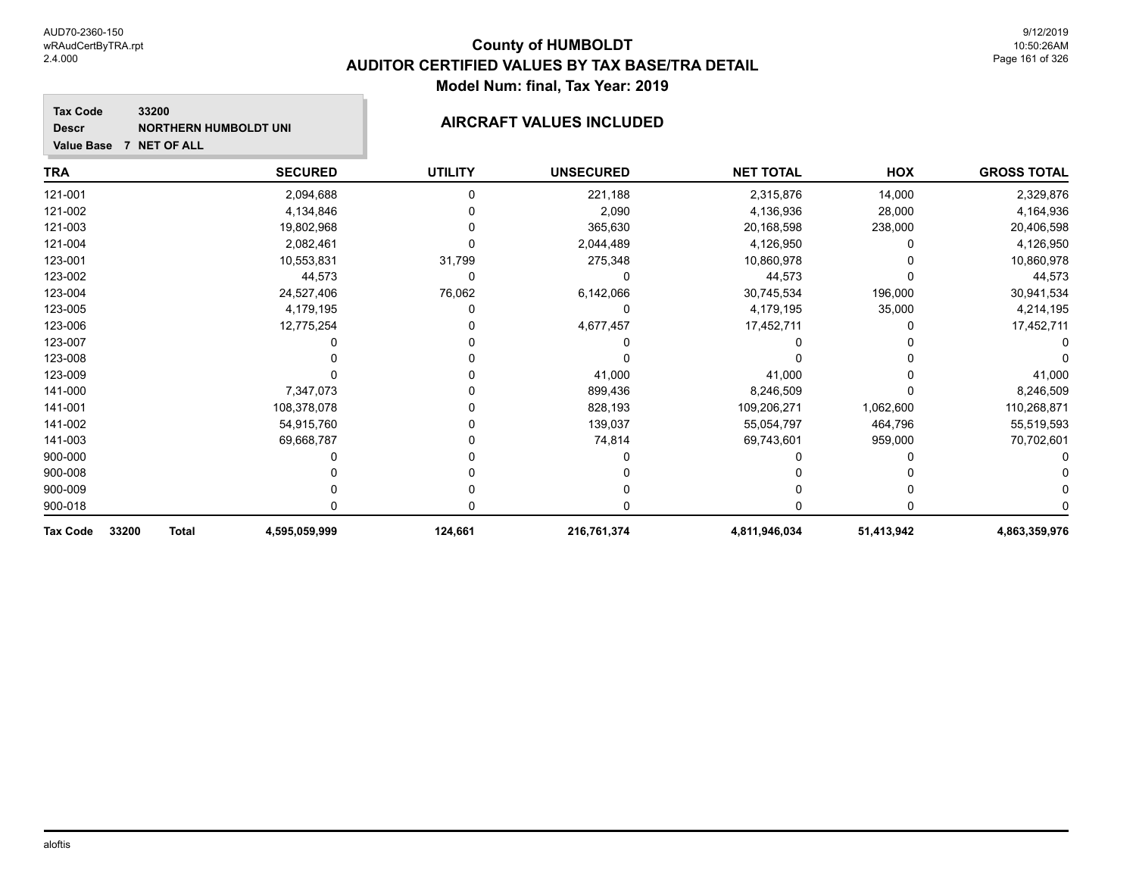**Descr**

## **County of HUMBOLDT AUDITOR CERTIFIED VALUES BY TAX BASE/TRA DETAIL Model Num: final, Tax Year: 2019**

#### **Tax Code Value Base 7 NET OF ALL 33200** NORTHERN HUMBOLDT UNI**NICELY SERVICE AIRCRAFT VALUES INCLUDED**

| TRA                               | <b>SECURED</b> | <b>UTILITY</b> | <b>UNSECURED</b> | <b>NET TOTAL</b> | HOX        | <b>GROSS TOTAL</b> |
|-----------------------------------|----------------|----------------|------------------|------------------|------------|--------------------|
| 121-001                           | 2,094,688      |                | 221,188          | 2,315,876        | 14,000     | 2,329,876          |
| 121-002                           | 4,134,846      |                | 2,090            | 4,136,936        | 28,000     | 4,164,936          |
| 121-003                           | 19,802,968     |                | 365,630          | 20,168,598       | 238,000    | 20,406,598         |
| 121-004                           | 2,082,461      |                | 2,044,489        | 4,126,950        |            | 4,126,950          |
| 123-001                           | 10,553,831     | 31,799         | 275,348          | 10,860,978       |            | 10,860,978         |
| 123-002                           | 44,573         | $\Omega$       |                  | 44,573           |            | 44,573             |
| 123-004                           | 24,527,406     | 76,062         | 6,142,066        | 30,745,534       | 196,000    | 30,941,534         |
| 123-005                           | 4,179,195      |                | 0                | 4,179,195        | 35,000     | 4,214,195          |
| 123-006                           | 12,775,254     |                | 4,677,457        | 17,452,711       |            | 17,452,711         |
| 123-007                           |                |                |                  |                  |            |                    |
| 123-008                           |                |                |                  |                  |            |                    |
| 123-009                           |                |                | 41,000           | 41,000           |            | 41,000             |
| 141-000                           | 7,347,073      |                | 899,436          | 8,246,509        |            | 8,246,509          |
| 141-001                           | 108,378,078    |                | 828,193          | 109,206,271      | 1,062,600  | 110,268,871        |
| 141-002                           | 54,915,760     |                | 139,037          | 55,054,797       | 464,796    | 55,519,593         |
| 141-003                           | 69,668,787     |                | 74,814           | 69,743,601       | 959,000    | 70,702,601         |
| 900-000                           |                |                |                  |                  |            |                    |
| 900-008                           |                |                |                  |                  |            |                    |
| 900-009                           |                |                |                  |                  |            |                    |
| 900-018                           |                |                |                  |                  |            |                    |
| 33200<br><b>Total</b><br>Tax Code | 4,595,059,999  | 124,661        | 216,761,374      | 4,811,946,034    | 51,413,942 | 4,863,359,976      |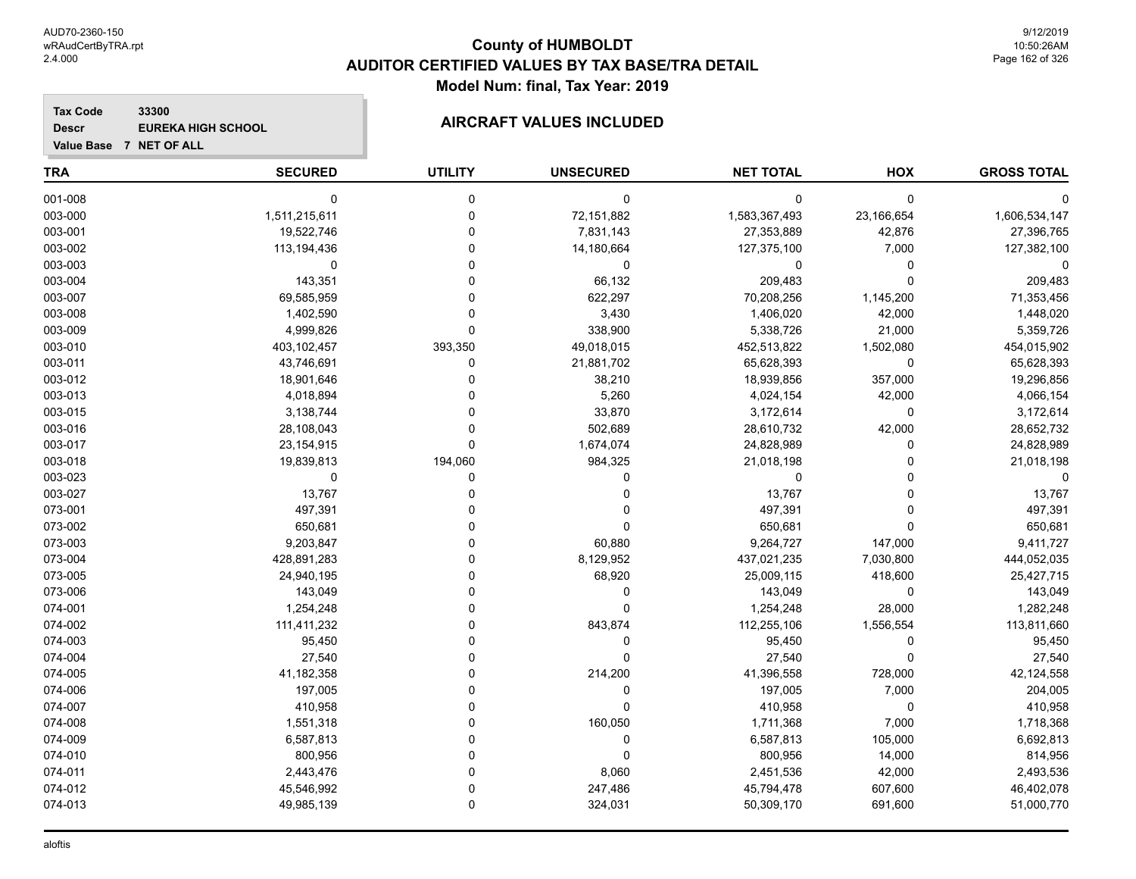#### **Tax Code 33300 Descr**

# **EUREKA HIGH SCHOOL AIRCRAFT VALUES INCLUDED**

| <b>TRA</b> | <b>SECURED</b> | <b>UTILITY</b> | <b>UNSECURED</b> | <b>NET TOTAL</b> | HOX         | <b>GROSS TOTAL</b> |
|------------|----------------|----------------|------------------|------------------|-------------|--------------------|
| 001-008    | 0              | 0              | 0                | $\mathbf 0$      | $\mathbf 0$ |                    |
| 003-000    | 1,511,215,611  | $\mathbf 0$    | 72,151,882       | 1,583,367,493    | 23,166,654  | 1,606,534,147      |
| 003-001    | 19,522,746     | $\mathbf 0$    | 7,831,143        | 27,353,889       | 42,876      | 27,396,765         |
| 003-002    | 113,194,436    | $\Omega$       | 14,180,664       | 127,375,100      | 7,000       | 127,382,100        |
| 003-003    | $\mathbf 0$    | $\Omega$       | 0                | 0                | $\mathbf 0$ | $\Omega$           |
| 003-004    | 143,351        | $\Omega$       | 66,132           | 209,483          | $\Omega$    | 209,483            |
| 003-007    | 69,585,959     | $\Omega$       | 622,297          | 70,208,256       | 1,145,200   | 71,353,456         |
| 003-008    | 1,402,590      | $\Omega$       | 3,430            | 1,406,020        | 42,000      | 1,448,020          |
| 003-009    | 4,999,826      | $\Omega$       | 338,900          | 5,338,726        | 21,000      | 5,359,726          |
| 003-010    | 403,102,457    | 393,350        | 49,018,015       | 452,513,822      | 1,502,080   | 454,015,902        |
| 003-011    | 43,746,691     | $\mathbf 0$    | 21,881,702       | 65,628,393       | $\mathbf 0$ | 65,628,393         |
| 003-012    | 18,901,646     | $\Omega$       | 38,210           | 18,939,856       | 357,000     | 19,296,856         |
| 003-013    | 4,018,894      | $\Omega$       | 5,260            | 4,024,154        | 42,000      | 4,066,154          |
| 003-015    | 3,138,744      | $\Omega$       | 33,870           | 3,172,614        | $\mathbf 0$ | 3,172,614          |
| 003-016    | 28,108,043     | $\Omega$       | 502,689          | 28,610,732       | 42,000      | 28,652,732         |
| 003-017    | 23, 154, 915   | $\Omega$       | 1,674,074        | 24,828,989       | 0           | 24,828,989         |
| 003-018    | 19,839,813     | 194,060        | 984,325          | 21,018,198       | $\Omega$    | 21,018,198         |
| 003-023    | 0              | 0              | 0                | 0                | $\Omega$    | $\mathbf 0$        |
| 003-027    | 13,767         | 0              | 0                | 13,767           | $\Omega$    | 13,767             |
| 073-001    | 497,391        | $\Omega$       | 0                | 497,391          | $\Omega$    | 497,391            |
| 073-002    | 650,681        | 0              | 0                | 650,681          | $\Omega$    | 650,681            |
| 073-003    | 9,203,847      | 0              | 60,880           | 9,264,727        | 147,000     | 9,411,727          |
| 073-004    | 428,891,283    | $\Omega$       | 8,129,952        | 437,021,235      | 7,030,800   | 444,052,035        |
| 073-005    | 24,940,195     | 0              | 68,920           | 25,009,115       | 418,600     | 25,427,715         |
| 073-006    | 143,049        | 0              | $\pmb{0}$        | 143,049          | $\mathbf 0$ | 143,049            |
| 074-001    | 1,254,248      | $\Omega$       | 0                | 1,254,248        | 28,000      | 1,282,248          |
| 074-002    | 111,411,232    | $\Omega$       | 843,874          | 112,255,106      | 1,556,554   | 113,811,660        |
| 074-003    | 95,450         | $\Omega$       | 0                | 95,450           | $\mathbf 0$ | 95,450             |
| 074-004    | 27,540         | $\Omega$       | 0                | 27,540           | $\mathbf 0$ | 27,540             |
| 074-005    | 41,182,358     | 0              | 214,200          | 41,396,558       | 728,000     | 42,124,558         |
| 074-006    | 197,005        | $\Omega$       | 0                | 197,005          | 7,000       | 204,005            |
| 074-007    | 410,958        | $\Omega$       | $\mathbf 0$      | 410,958          | 0           | 410,958            |
| 074-008    | 1,551,318      | $\Omega$       | 160,050          | 1,711,368        | 7,000       | 1,718,368          |
| 074-009    | 6,587,813      | $\Omega$       | 0                | 6,587,813        | 105,000     | 6,692,813          |
| 074-010    | 800,956        | $\Omega$       | 0                | 800,956          | 14,000      | 814,956            |
| 074-011    | 2,443,476      | $\Omega$       | 8,060            | 2,451,536        | 42,000      | 2,493,536          |
| 074-012    | 45,546,992     | $\Omega$       | 247,486          | 45,794,478       | 607,600     | 46,402,078         |
| 074-013    | 49,985,139     | $\mathbf 0$    | 324,031          | 50,309,170       | 691,600     | 51,000,770         |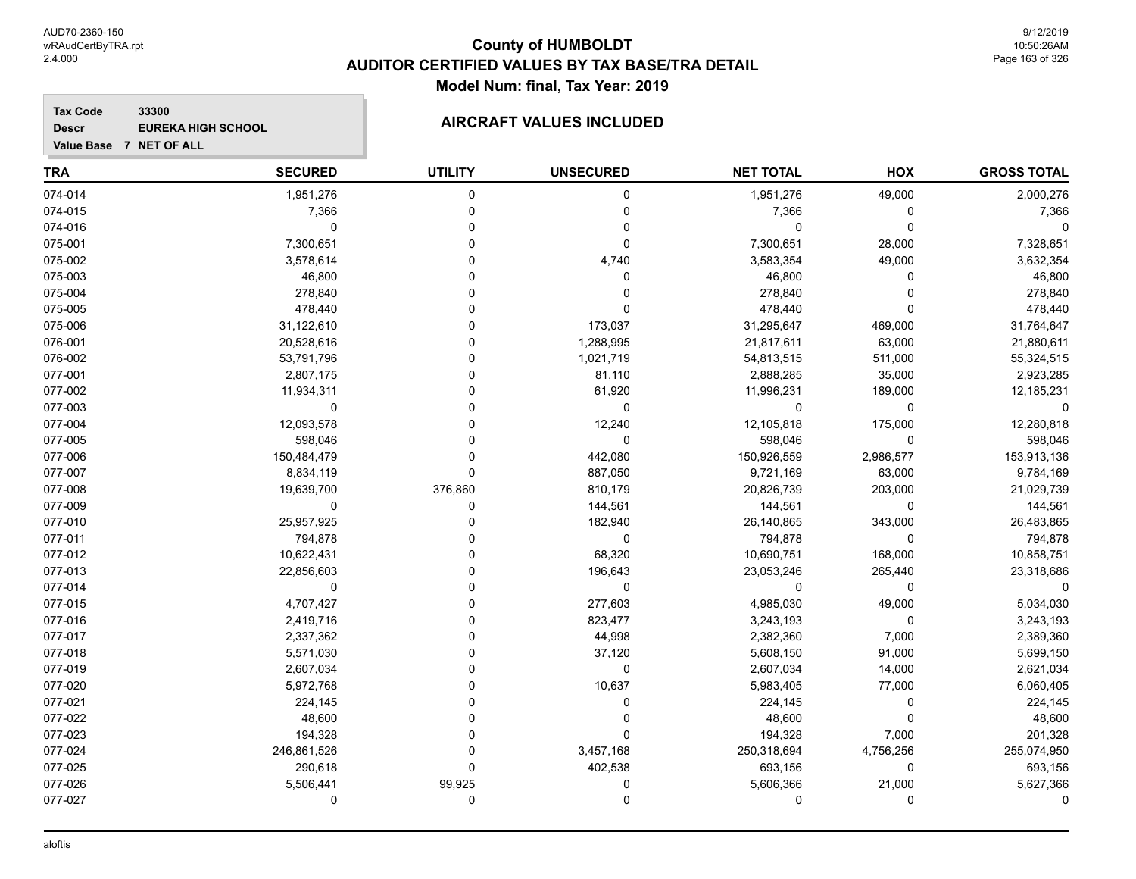#### **Tax Code 33300 Descr**

# **EUREKA HIGH SCHOOL AIRCRAFT VALUES INCLUDED**

| <b>TRA</b> | <b>SECURED</b> | <b>UTILITY</b> | <b>UNSECURED</b> | <b>NET TOTAL</b> | HOX         | <b>GROSS TOTAL</b> |
|------------|----------------|----------------|------------------|------------------|-------------|--------------------|
| 074-014    | 1,951,276      | 0              | 0                | 1,951,276        | 49,000      | 2,000,276          |
| 074-015    | 7,366          | $\Omega$       | 0                | 7,366            | $\mathbf 0$ | 7,366              |
| 074-016    | $\mathbf 0$    | O              | 0                | 0                | $\mathbf 0$ | $\Omega$           |
| 075-001    | 7,300,651      | U              | $\Omega$         | 7,300,651        | 28,000      | 7,328,651          |
| 075-002    | 3,578,614      |                | 4,740            | 3,583,354        | 49,000      | 3,632,354          |
| 075-003    | 46,800         |                | 0                | 46,800           | 0           | 46,800             |
| 075-004    | 278,840        |                | 0                | 278,840          | $\Omega$    | 278,840            |
| 075-005    | 478,440        |                | 0                | 478,440          | $\Omega$    | 478,440            |
| 075-006    | 31,122,610     | ŋ              | 173,037          | 31,295,647       | 469,000     | 31,764,647         |
| 076-001    | 20,528,616     | $\Omega$       | 1,288,995        | 21,817,611       | 63,000      | 21,880,611         |
| 076-002    | 53,791,796     | 0              | 1,021,719        | 54,813,515       | 511,000     | 55,324,515         |
| 077-001    | 2,807,175      | O              | 81,110           | 2,888,285        | 35,000      | 2,923,285          |
| 077-002    | 11,934,311     | 0              | 61,920           | 11,996,231       | 189,000     | 12,185,231         |
| 077-003    | 0              | U              | $\mathbf 0$      | 0                | $\mathbf 0$ | $\Omega$           |
| 077-004    | 12,093,578     | ŋ              | 12,240           | 12,105,818       | 175,000     | 12,280,818         |
| 077-005    | 598,046        |                | $\mathbf 0$      | 598,046          | $\mathbf 0$ | 598,046            |
| 077-006    | 150,484,479    | U              | 442,080          | 150,926,559      | 2,986,577   | 153,913,136        |
| 077-007    | 8,834,119      | $\Omega$       | 887,050          | 9,721,169        | 63,000      | 9,784,169          |
| 077-008    | 19,639,700     | 376,860        | 810,179          | 20,826,739       | 203,000     | 21,029,739         |
| 077-009    | 0              | 0              | 144,561          | 144,561          | $\mathbf 0$ | 144,561            |
| 077-010    | 25,957,925     | 0              | 182,940          | 26,140,865       | 343,000     | 26,483,865         |
| 077-011    | 794,878        | 0              | $\mathbf 0$      | 794,878          | 0           | 794,878            |
| 077-012    | 10,622,431     | 0              | 68,320           | 10,690,751       | 168,000     | 10,858,751         |
| 077-013    | 22,856,603     | 0              | 196,643          | 23,053,246       | 265,440     | 23,318,686         |
| 077-014    | $\mathbf 0$    | 0              | $\mathbf 0$      | 0                | $\mathbf 0$ | $\Omega$           |
| 077-015    | 4,707,427      | ŋ              | 277,603          | 4,985,030        | 49,000      | 5,034,030          |
| 077-016    | 2,419,716      | $\Omega$       | 823,477          | 3,243,193        | $\Omega$    | 3,243,193          |
| 077-017    | 2,337,362      | 0              | 44,998           | 2,382,360        | 7,000       | 2,389,360          |
| 077-018    | 5,571,030      | 0              | 37,120           | 5,608,150        | 91,000      | 5,699,150          |
| 077-019    | 2,607,034      | O              | 0                | 2,607,034        | 14,000      | 2,621,034          |
| 077-020    | 5,972,768      | 0              | 10,637           | 5,983,405        | 77,000      | 6,060,405          |
| 077-021    | 224,145        | 0              | 0                | 224,145          | $\mathbf 0$ | 224,145            |
| 077-022    | 48,600         | 0              | 0                | 48,600           | $\mathbf 0$ | 48,600             |
| 077-023    | 194,328        | 0              | 0                | 194,328          | 7,000       | 201,328            |
| 077-024    | 246,861,526    | U              | 3,457,168        | 250,318,694      | 4,756,256   | 255,074,950        |
| 077-025    | 290,618        | $\Omega$       | 402,538          | 693,156          | $\mathbf 0$ | 693,156            |
| 077-026    | 5,506,441      | 99,925         | 0                | 5,606,366        | 21,000      | 5,627,366          |
| 077-027    | $\Omega$       | $\mathbf 0$    | 0                | 0                | $\mathbf 0$ | $\Omega$           |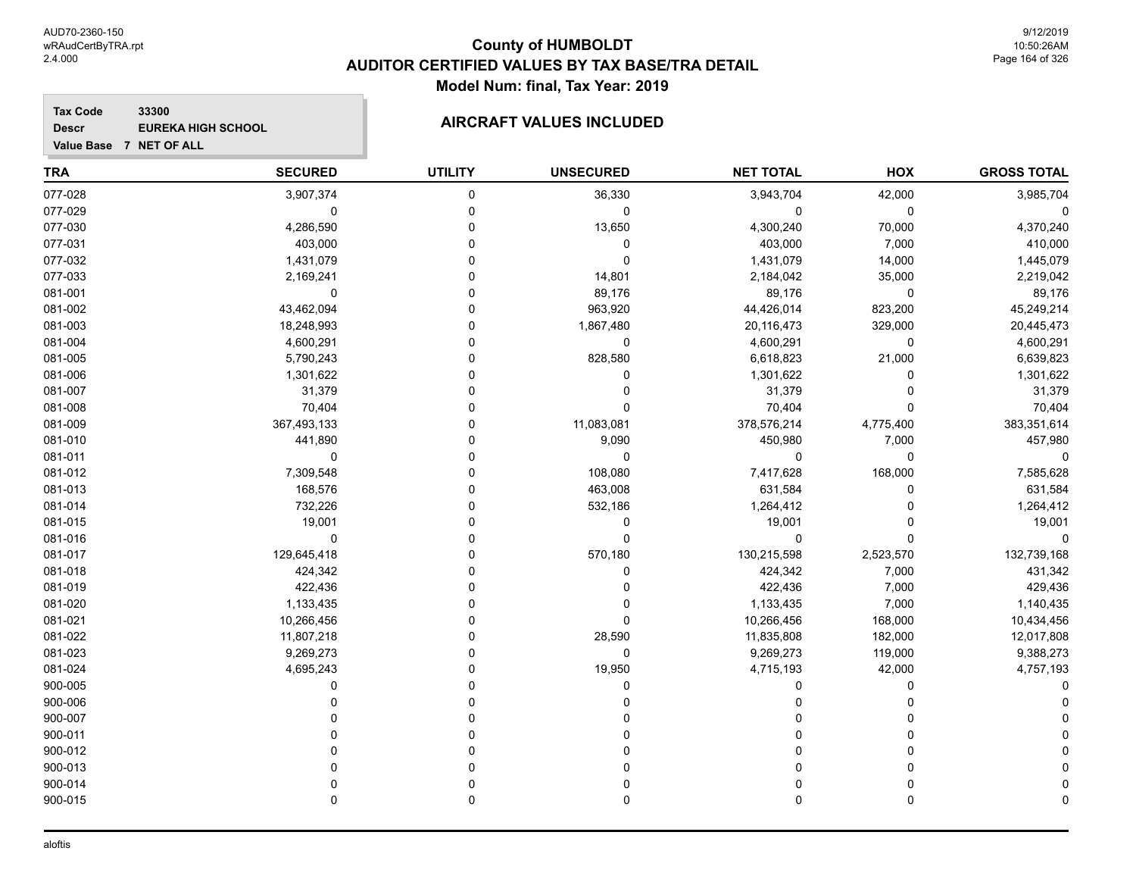#### **Tax Code 33300 Descr**

# **EUREKA HIGH SCHOOL AIRCRAFT VALUES INCLUDED**

| Value Base 7 NET OF ALL |                |                |                  |                  |           |
|-------------------------|----------------|----------------|------------------|------------------|-----------|
| TRA                     | <b>SECURED</b> | <b>UTILITY</b> | <b>UNSECURED</b> | <b>NET TOTAL</b> | HOX       |
| 077-028                 | 3,907,374      |                | 36,330           | 3,943,704        | 42,000    |
| 077-029                 |                |                |                  |                  |           |
| 077-030                 | 4,286,590      |                | 13,650           | 4,300,240        | 70,000    |
| 077-031                 | 403,000        |                |                  | 403,000          | 7,000     |
| 077-032                 | 1,431,079      |                |                  | 1,431,079        | 14,000    |
| 077-033                 | 2,169,241      |                | 14,801           | 2,184,042        | 35,000    |
| 081-001                 |                |                | 89,176           | 89,176           |           |
| 081-002                 | 43,462,094     |                | 963,920          | 44,426,014       | 823,200   |
| 081-003                 | 18,248,993     |                | 1,867,480        | 20,116,473       | 329,000   |
| 081-004                 | 4,600,291      |                | 0                | 4,600,291        |           |
| 081-005                 | 5,790,243      |                | 828,580          | 6,618,823        | 21,000    |
| 081-006                 | 1,301,622      |                |                  | 1,301,622        |           |
| 081-007                 | 31,379         |                |                  | 31,379           |           |
| 081-008                 | 70,404         |                |                  | 70,404           |           |
| 081-009                 | 367,493,133    |                | 11,083,081       | 378,576,214      | 4,775,400 |
| 081-010                 | 441,890        |                | 9,090            | 450,980          | 7,000     |
| 081-011                 |                |                | 0                |                  |           |
| 081-012                 | 7,309,548      |                | 108,080          | 7,417,628        | 168,000   |
|                         |                |                |                  |                  |           |

| <b>GROSS TOTAL</b> | HOX          | <b>NET TOTAL</b> | <b>UNSECURED</b> | <b>UTILITY</b> | <b>SECURED</b> | TRA     |
|--------------------|--------------|------------------|------------------|----------------|----------------|---------|
| 3,985,704          | 42,000       | 3,943,704        | 36,330           | 0              | 3,907,374      | 077-028 |
| 0                  | $\mathbf 0$  | 0                | 0                | $\mathbf{0}$   | 0              | 077-029 |
| 4,370,240          | 70,000       | 4,300,240        | 13,650           |                | 4,286,590      | 077-030 |
| 410,000            | 7,000        | 403,000          | 0                |                | 403,000        | 077-031 |
| 1,445,079          | 14,000       | 1,431,079        | $\Omega$         |                | 1,431,079      | 077-032 |
| 2,219,042          | 35,000       | 2,184,042        | 14,801           |                | 2,169,241      | 077-033 |
| 89,176             | $\pmb{0}$    | 89,176           | 89,176           |                | $\mathbf 0$    | 081-001 |
| 45,249,214         | 823,200      | 44,426,014       | 963,920          |                | 43,462,094     | 081-002 |
| 20,445,473         | 329,000      | 20,116,473       | 1,867,480        |                | 18,248,993     | 081-003 |
| 4,600,291          | 0            | 4,600,291        | $\Omega$         |                | 4,600,291      | 081-004 |
| 6,639,823          | 21,000       | 6,618,823        | 828,580          |                | 5,790,243      | 081-005 |
| 1,301,622          | $\mathbf{0}$ | 1,301,622        | 0                |                | 1,301,622      | 081-006 |
| 31,379             | $\Omega$     | 31,379           |                  |                | 31,379         | 081-007 |
| 70,404             | $\mathbf{0}$ | 70,404           |                  |                | 70,404         | 081-008 |
| 383,351,614        | 4,775,400    | 378,576,214      | 11,083,081       |                | 367,493,133    | 081-009 |
| 457,980            | 7,000        | 450,980          | 9,090            |                | 441,890        | 081-010 |
| 0                  | 0            | 0                | $\Omega$         |                | $\Omega$       | 081-011 |
| 7,585,628          | 168,000      | 7,417,628        | 108,080          |                | 7,309,548      | 081-012 |
| 631,584            | $\mathbf{0}$ | 631,584          | 463,008          |                | 168,576        | 081-013 |
| 1,264,412          | $\Omega$     | 1,264,412        | 532,186          |                | 732,226        | 081-014 |
| 19,001             | $\Omega$     | 19,001           | 0                |                | 19,001         | 081-015 |
| 0                  | $\Omega$     | $\Omega$         | O                |                | $\Omega$       | 081-016 |
| 132,739,168        | 2,523,570    | 130,215,598      | 570,180          |                | 129,645,418    | 081-017 |
| 431,342            | 7,000        | 424,342          | 0                |                | 424,342        | 081-018 |
| 429,436            | 7,000        | 422,436          |                  |                | 422,436        | 081-019 |
| 1,140,435          | 7,000        | 1,133,435        |                  |                | 1,133,435      | 081-020 |
| 10,434,456         | 168,000      | 10,266,456       | O                |                | 10,266,456     | 081-021 |
| 12,017,808         | 182,000      | 11,835,808       | 28,590           |                | 11,807,218     | 081-022 |
| 9,388,273          | 119,000      | 9,269,273        | 0                |                | 9,269,273      | 081-023 |
| 4,757,193          | 42,000       | 4,715,193        | 19,950           |                | 4,695,243      | 081-024 |
| 0                  | $\mathbf{0}$ | 0                | 0                |                | $\Omega$       | 900-005 |
|                    | O            |                  |                  |                |                | 900-006 |
|                    | $\Omega$     | O                |                  |                |                | 900-007 |
|                    | $\Omega$     | O                |                  |                |                | 900-011 |
|                    | $\Omega$     | O                |                  |                |                | 900-012 |
|                    | $\Omega$     | O                |                  |                |                | 900-013 |
|                    | $\mathbf{0}$ |                  |                  |                |                | 900-014 |
| $\Omega$           | $\Omega$     |                  | O                | $\Omega$       | $\Omega$       | 900-015 |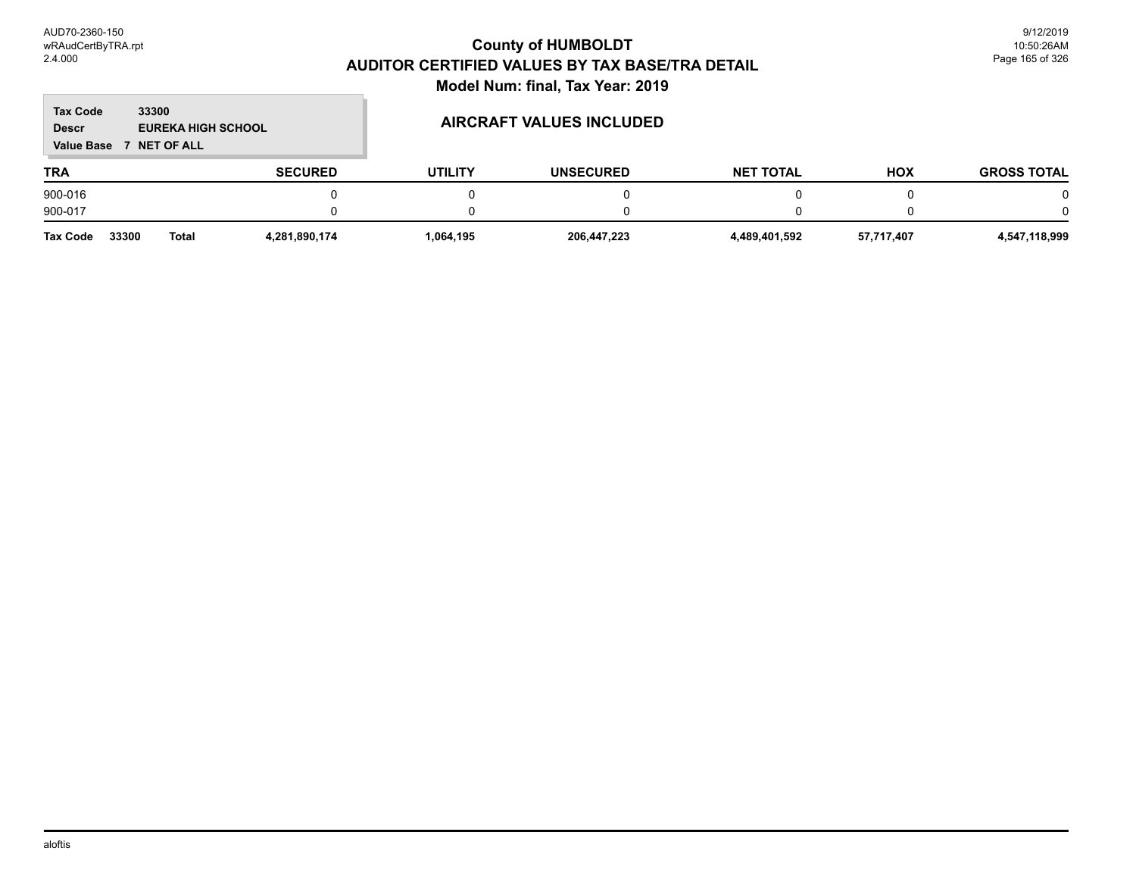#### **TRA SECURED UTILITY UNSECURED HOX Tax Code Value Base 7 NET OF ALL 33300 GROSS TOTAL NET TOTAL Descr EUREKA HIGH SCHOOL AIRCRAFT VALUES INCLUDED** 900-016 0 0 0 0 0 0 900-017 0 0 0 0 0 0

| <b>Tax Code</b> | 33300 | Total | 4.281.890.174 | 064,195،، | 206.447.223 | 4,489,401,592 | 57.717.407 | 4,547,118,999 |
|-----------------|-------|-------|---------------|-----------|-------------|---------------|------------|---------------|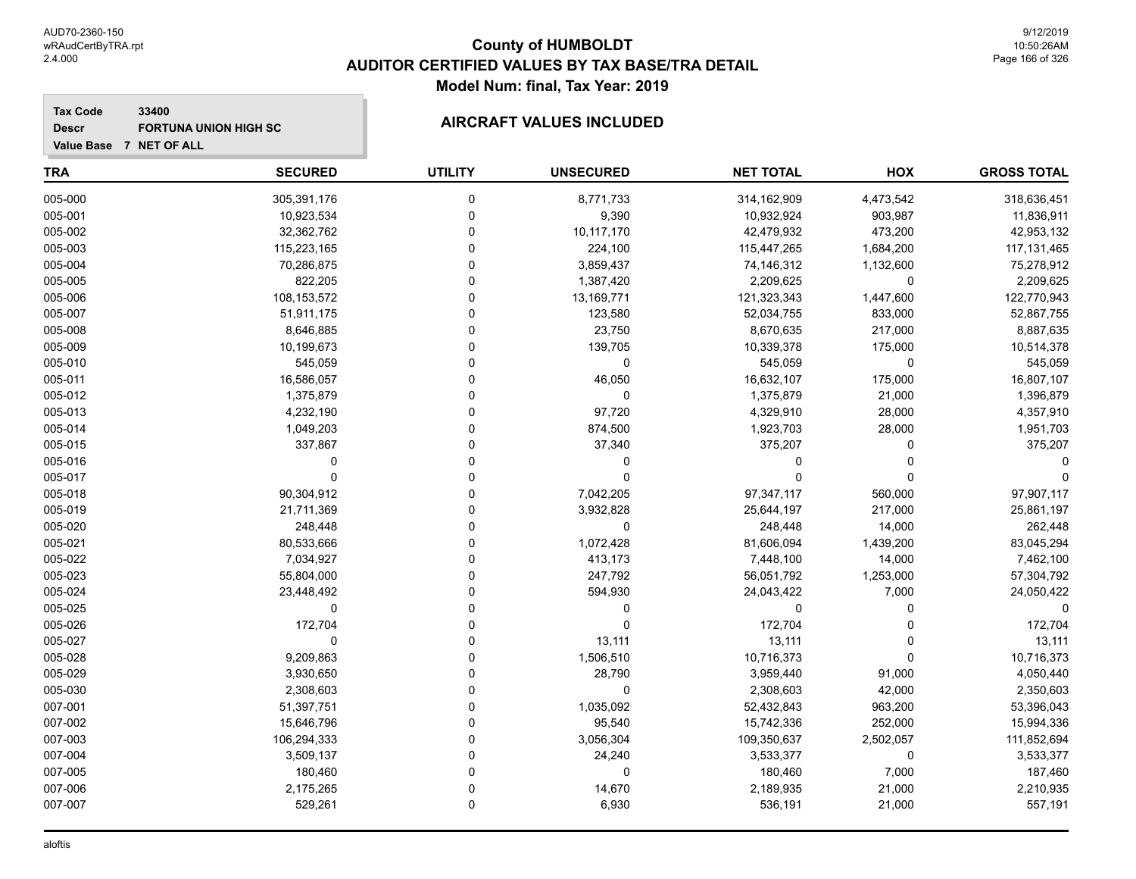**Descr**

## **County of HUMBOLDT AUDITOR CERTIFIED VALUES BY TAX BASE/TRA DETAIL Model Num: final, Tax Year: 2019**

#### **Tax Code 33400** FORTUNA UNION HIGH SC **AIRCRAFT VALUES INCLUDED**

|  | Value Base 7 NET OF ALL |
|--|-------------------------|
|  |                         |

| <b>TRA</b> | <b>SECURED</b> | <b>UTILITY</b> | <b>UNSECURED</b> | <b>NET TOTAL</b> | HOX       | <b>GROSS TOTAL</b> |
|------------|----------------|----------------|------------------|------------------|-----------|--------------------|
| 005-000    | 305,391,176    | $\mathbf 0$    | 8,771,733        | 314,162,909      | 4,473,542 | 318,636,451        |
| 005-001    | 10,923,534     | $\Omega$       | 9,390            | 10,932,924       | 903,987   | 11,836,911         |
| 005-002    | 32,362,762     | $\Omega$       | 10,117,170       | 42,479,932       | 473,200   | 42,953,132         |
| 005-003    | 115,223,165    | $\Omega$       | 224,100          | 115,447,265      | 1,684,200 | 117, 131, 465      |
| 005-004    | 70,286,875     | $\Omega$       | 3,859,437        | 74,146,312       | 1,132,600 | 75,278,912         |
| 005-005    | 822,205        | $\Omega$       | 1,387,420        | 2,209,625        | 0         | 2,209,625          |
| 005-006    | 108,153,572    | $\Omega$       | 13,169,771       | 121,323,343      | 1,447,600 | 122,770,943        |
| 005-007    | 51,911,175     | $\Omega$       | 123,580          | 52,034,755       | 833,000   | 52,867,755         |
| 005-008    | 8,646,885      | $\Omega$       | 23,750           | 8,670,635        | 217,000   | 8,887,635          |
| 005-009    | 10,199,673     | $\Omega$       | 139,705          | 10,339,378       | 175,000   | 10,514,378         |
| 005-010    | 545,059        | $\Omega$       | 0                | 545,059          | 0         | 545,059            |
| 005-011    | 16,586,057     | $\Omega$       | 46,050           | 16,632,107       | 175,000   | 16,807,107         |
| 005-012    | 1,375,879      | $\Omega$       | 0                | 1,375,879        | 21,000    | 1,396,879          |
| 005-013    | 4,232,190      | $\Omega$       | 97,720           | 4,329,910        | 28,000    | 4,357,910          |
| 005-014    | 1,049,203      | $\Omega$       | 874,500          | 1,923,703        | 28,000    | 1,951,703          |
| 005-015    | 337,867        | $\Omega$       | 37,340           | 375,207          | 0         | 375,207            |
| 005-016    | $\Omega$       | $\Omega$       | 0                | $\Omega$         | $\Omega$  |                    |
| 005-017    | $\Omega$       | $\Omega$       | $\Omega$         | $\Omega$         | $\Omega$  |                    |
| 005-018    | 90,304,912     | $\Omega$       | 7,042,205        | 97,347,117       | 560,000   | 97,907,117         |
| 005-019    | 21,711,369     | $\Omega$       | 3,932,828        | 25,644,197       | 217,000   | 25,861,197         |
| 005-020    | 248,448        | $\mathbf 0$    | $\mathbf 0$      | 248,448          | 14,000    | 262,448            |
| 005-021    | 80,533,666     | $\Omega$       | 1,072,428        | 81,606,094       | 1,439,200 | 83,045,294         |
| 005-022    | 7,034,927      | $\Omega$       | 413,173          | 7,448,100        | 14,000    | 7,462,100          |
| 005-023    | 55,804,000     | $\Omega$       | 247,792          | 56,051,792       | 1,253,000 | 57,304,792         |
| 005-024    | 23,448,492     | $\Omega$       | 594,930          | 24,043,422       | 7,000     | 24,050,422         |
| 005-025    | 0              | $\Omega$       | 0                | $\mathbf 0$      | $\Omega$  | $\Omega$           |
| 005-026    | 172,704        | $\Omega$       | $\mathbf 0$      | 172,704          | $\Omega$  | 172,704            |
| 005-027    | $\mathbf 0$    | $\Omega$       | 13,111           | 13,111           | 0         | 13,111             |
| 005-028    | 9,209,863      | $\mathbf 0$    | 1,506,510        | 10,716,373       | $\Omega$  | 10,716,373         |
| 005-029    | 3,930,650      | $\Omega$       | 28,790           | 3,959,440        | 91,000    | 4,050,440          |
| 005-030    | 2,308,603      | $\Omega$       | $\mathbf 0$      | 2,308,603        | 42,000    | 2,350,603          |
| 007-001    | 51,397,751     | $\Omega$       | 1,035,092        | 52,432,843       | 963,200   | 53,396,043         |
| 007-002    | 15,646,796     | $\Omega$       | 95,540           | 15,742,336       | 252,000   | 15,994,336         |
| 007-003    | 106,294,333    | $\Omega$       | 3,056,304        | 109,350,637      | 2,502,057 | 111,852,694        |
| 007-004    | 3,509,137      | $\Omega$       | 24,240           | 3,533,377        | 0         | 3,533,377          |
| 007-005    | 180,460        | $\mathbf 0$    | $\mathbf 0$      | 180,460          | 7,000     | 187,460            |
| 007-006    | 2,175,265      | $\Omega$       | 14,670           | 2,189,935        | 21,000    | 2,210,935          |
| 007-007    | 529,261        | $\mathbf 0$    | 6,930            | 536,191          | 21,000    | 557,191            |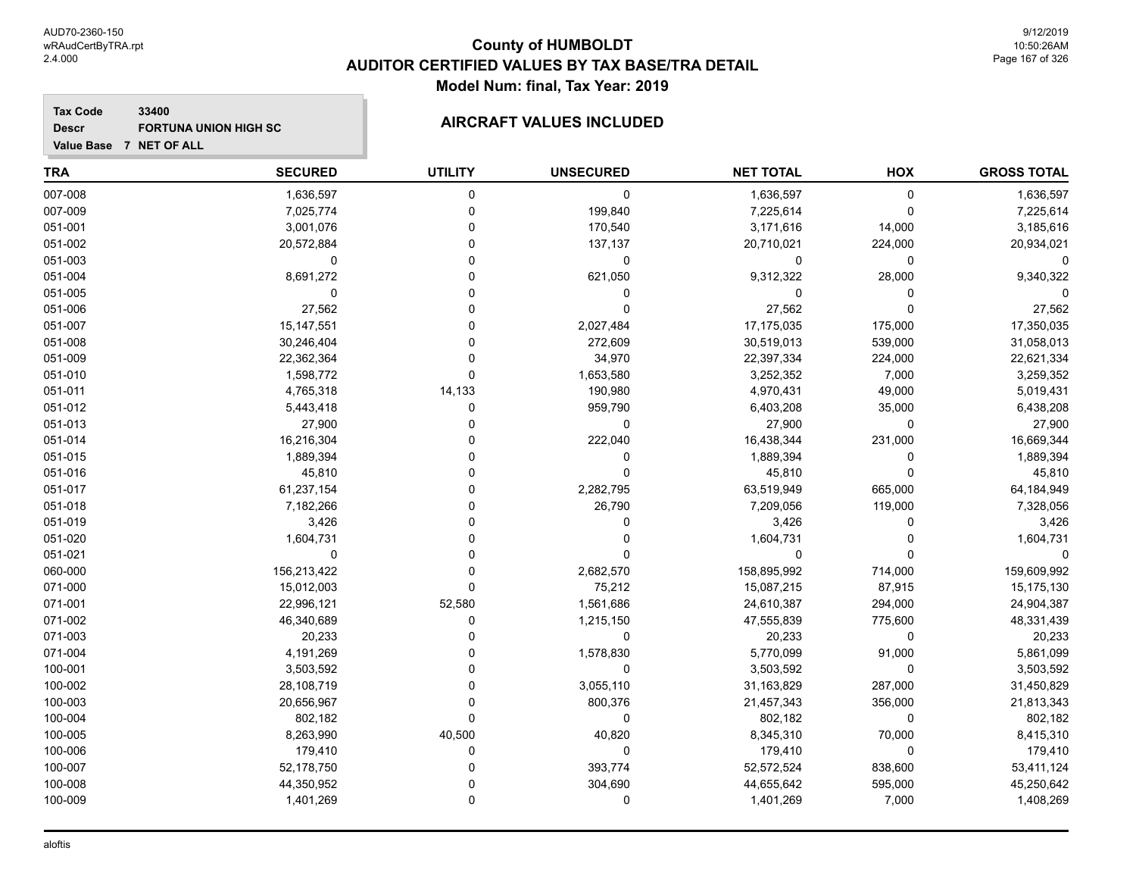#### **Tax Code 33400 Descr**

# FORTUNA UNION HIGH SC **AIRCRAFT VALUES INCLUDED**

| Value Base 7 NET OF ALL |  |
|-------------------------|--|
|                         |  |

| <b>TRA</b> | <b>SECURED</b> | <b>UTILITY</b> | <b>UNSECURED</b> | <b>NET TOTAL</b> | HOX         | <b>GROSS TOTAL</b> |
|------------|----------------|----------------|------------------|------------------|-------------|--------------------|
| 007-008    | 1,636,597      | 0              | 0                | 1,636,597        | 0           | 1,636,597          |
| 007-009    | 7,025,774      | 0              | 199,840          | 7,225,614        | $\mathbf 0$ | 7,225,614          |
| 051-001    | 3,001,076      | $\Omega$       | 170,540          | 3,171,616        | 14,000      | 3,185,616          |
| 051-002    | 20,572,884     | $\Omega$       | 137,137          | 20,710,021       | 224,000     | 20,934,021         |
| 051-003    | 0              | $\Omega$       | $\pmb{0}$        | 0                | $\mathbf 0$ | $\Omega$           |
| 051-004    | 8,691,272      | $\Omega$       | 621,050          | 9,312,322        | 28,000      | 9,340,322          |
| 051-005    | $\mathbf 0$    | $\Omega$       | 0                | 0                | $\mathbf 0$ |                    |
| 051-006    | 27,562         | $\Omega$       | $\Omega$         | 27,562           | $\Omega$    | 27,562             |
| 051-007    | 15,147,551     | $\Omega$       | 2,027,484        | 17,175,035       | 175,000     | 17,350,035         |
| 051-008    | 30,246,404     | 0              | 272,609          | 30,519,013       | 539,000     | 31,058,013         |
| 051-009    | 22,362,364     | $\Omega$       | 34,970           | 22,397,334       | 224,000     | 22,621,334         |
| 051-010    | 1,598,772      | $\Omega$       | 1,653,580        | 3,252,352        | 7,000       | 3,259,352          |
| 051-011    | 4,765,318      | 14,133         | 190,980          | 4,970,431        | 49,000      | 5,019,431          |
| 051-012    | 5,443,418      | $\Omega$       | 959,790          | 6,403,208        | 35,000      | 6,438,208          |
| 051-013    | 27,900         | $\Omega$       | 0                | 27,900           | $\mathbf 0$ | 27,900             |
| 051-014    | 16,216,304     | $\Omega$       | 222,040          | 16,438,344       | 231,000     | 16,669,344         |
| 051-015    | 1,889,394      | $\Omega$       | 0                | 1,889,394        | $\Omega$    | 1,889,394          |
| 051-016    | 45,810         | $\Omega$       | 0                | 45,810           | $\Omega$    | 45,810             |
| 051-017    | 61,237,154     | $\Omega$       | 2,282,795        | 63,519,949       | 665,000     | 64,184,949         |
| 051-018    | 7,182,266      | $\Omega$       | 26,790           | 7,209,056        | 119,000     | 7,328,056          |
| 051-019    | 3,426          | 0              | 0                | 3,426            | 0           | 3,426              |
| 051-020    | 1,604,731      | $\Omega$       | 0                | 1,604,731        | $\Omega$    | 1,604,731          |
| 051-021    | $\mathbf 0$    | $\Omega$       | 0                | 0                | $\Omega$    | O                  |
| 060-000    | 156,213,422    | $\Omega$       | 2,682,570        | 158,895,992      | 714,000     | 159,609,992        |
| 071-000    | 15,012,003     | $\mathbf{0}$   | 75,212           | 15,087,215       | 87,915      | 15,175,130         |
| 071-001    | 22,996,121     | 52,580         | 1,561,686        | 24,610,387       | 294,000     | 24,904,387         |
| 071-002    | 46,340,689     | $\Omega$       | 1,215,150        | 47,555,839       | 775,600     | 48,331,439         |
| 071-003    | 20,233         | $\Omega$       | 0                | 20,233           | $\mathbf 0$ | 20,233             |
| 071-004    | 4,191,269      | $\Omega$       | 1,578,830        | 5,770,099        | 91,000      | 5,861,099          |
| 100-001    | 3,503,592      | 0              | 0                | 3,503,592        | 0           | 3,503,592          |
| 100-002    | 28,108,719     | $\Omega$       | 3,055,110        | 31,163,829       | 287,000     | 31,450,829         |
| 100-003    | 20,656,967     | $\Omega$       | 800,376          | 21,457,343       | 356,000     | 21,813,343         |
| 100-004    | 802,182        | $\Omega$       | 0                | 802,182          | 0           | 802,182            |
| 100-005    | 8,263,990      | 40,500         | 40,820           | 8,345,310        | 70,000      | 8,415,310          |
| 100-006    | 179,410        | $\mathbf 0$    | 0                | 179,410          | $\mathbf 0$ | 179,410            |
| 100-007    | 52,178,750     | $\Omega$       | 393,774          | 52,572,524       | 838,600     | 53,411,124         |
| 100-008    | 44,350,952     | $\Omega$       | 304,690          | 44,655,642       | 595,000     | 45,250,642         |
| 100-009    | 1,401,269      | $\mathbf 0$    | 0                | 1,401,269        | 7,000       | 1,408,269          |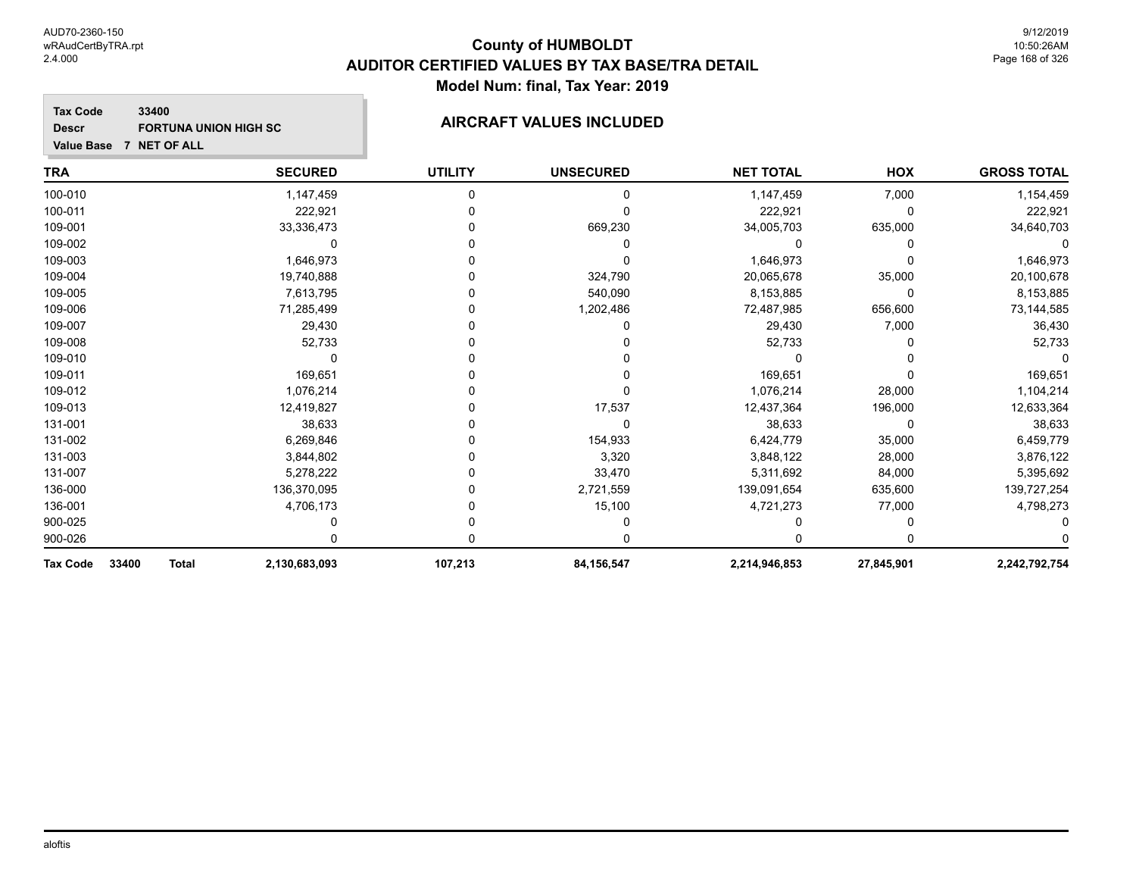#### **Tax Code 33400 Descr**

# FORTUNA UNION HIGH SC **AIRCRAFT VALUES INCLUDED**

| <b>TRA</b>                        | <b>SECURED</b> | <b>UTILITY</b> | <b>UNSECURED</b> | <b>NET TOTAL</b> | HOX        | <b>GROSS TOTAL</b> |
|-----------------------------------|----------------|----------------|------------------|------------------|------------|--------------------|
| 100-010                           | 1,147,459      | 0              | 0                | 1,147,459        | 7,000      | 1,154,459          |
| 100-011                           | 222,921        |                |                  | 222,921          | 0          | 222,921            |
| 109-001                           | 33,336,473     |                | 669,230          | 34,005,703       | 635,000    | 34,640,703         |
| 109-002                           |                |                |                  |                  |            |                    |
| 109-003                           | 1,646,973      |                |                  | 1,646,973        |            | 1,646,973          |
| 109-004                           | 19,740,888     |                | 324,790          | 20,065,678       | 35,000     | 20,100,678         |
| 109-005                           | 7,613,795      |                | 540,090          | 8,153,885        | 0          | 8,153,885          |
| 109-006                           | 71,285,499     |                | 1,202,486        | 72,487,985       | 656,600    | 73,144,585         |
| 109-007                           | 29,430         |                |                  | 29,430           | 7,000      | 36,430             |
| 109-008                           | 52,733         |                |                  | 52,733           |            | 52,733             |
| 109-010                           |                |                |                  |                  |            |                    |
| 109-011                           | 169,651        |                |                  | 169,651          |            | 169,651            |
| 109-012                           | 1,076,214      |                |                  | 1,076,214        | 28,000     | 1,104,214          |
| 109-013                           | 12,419,827     |                | 17,537           | 12,437,364       | 196,000    | 12,633,364         |
| 131-001                           | 38,633         |                | $\mathbf{0}$     | 38,633           | 0          | 38,633             |
| 131-002                           | 6,269,846      |                | 154,933          | 6,424,779        | 35,000     | 6,459,779          |
| 131-003                           | 3,844,802      |                | 3,320            | 3,848,122        | 28,000     | 3,876,122          |
| 131-007                           | 5,278,222      |                | 33,470           | 5,311,692        | 84,000     | 5,395,692          |
| 136-000                           | 136,370,095    |                | 2,721,559        | 139,091,654      | 635,600    | 139,727,254        |
| 136-001                           | 4,706,173      |                | 15,100           | 4,721,273        | 77,000     | 4,798,273          |
| 900-025                           |                |                |                  |                  |            |                    |
| 900-026                           |                |                |                  |                  |            |                    |
| 33400<br><b>Total</b><br>Tax Code | 2,130,683,093  | 107,213        | 84, 156, 547     | 2,214,946,853    | 27,845,901 | 2,242,792,754      |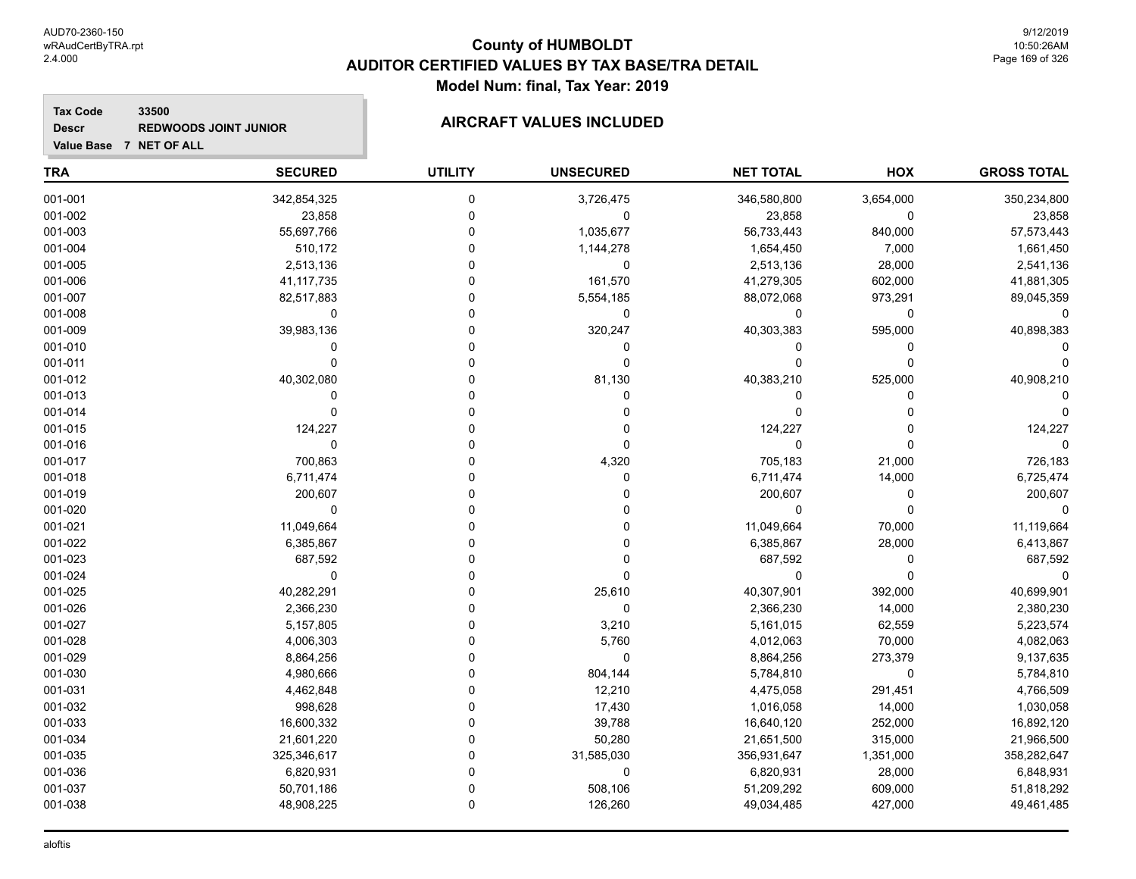**33500**

**Tax Code**

**Descr**

## **County of HUMBOLDT AUDITOR CERTIFIED VALUES BY TAX BASE/TRA DETAIL Model Num: final, Tax Year: 2019**

# **Value Base 7 NET OF ALL REDWOODS JOINT JUNIOR AIRCRAFT VALUES INCLUDED**

| <b>TRA</b> | <b>SECURED</b> | <b>UTILITY</b> | <b>UNSECURED</b> | <b>NET TOTAL</b> | HOX       | <b>GROSS TOTAL</b> |
|------------|----------------|----------------|------------------|------------------|-----------|--------------------|
| 001-001    | 342,854,325    | $\mathbf 0$    | 3,726,475        | 346,580,800      | 3,654,000 | 350,234,800        |
| 001-002    | 23,858         | $\pmb{0}$      | 0                | 23,858           | 0         | 23,858             |
| 001-003    | 55,697,766     | $\mathbf 0$    | 1,035,677        | 56,733,443       | 840,000   | 57,573,443         |
| 001-004    | 510,172        | $\mathbf 0$    | 1,144,278        | 1,654,450        | 7,000     | 1,661,450          |
| 001-005    | 2,513,136      | $\Omega$       | $\mathbf 0$      | 2,513,136        | 28,000    | 2,541,136          |
| 001-006    | 41, 117, 735   | $\Omega$       | 161,570          | 41,279,305       | 602,000   | 41,881,305         |
| 001-007    | 82,517,883     | $\Omega$       | 5,554,185        | 88,072,068       | 973,291   | 89,045,359         |
| 001-008    | 0              | $\Omega$       | 0                | $\mathbf 0$      | 0         | 0                  |
| 001-009    | 39,983,136     | $\mathbf 0$    | 320,247          | 40,303,383       | 595,000   | 40,898,383         |
| 001-010    | 0              | $\mathbf 0$    | $\pmb{0}$        | 0                | 0         |                    |
| 001-011    | $\mathbf 0$    | $\mathbf 0$    | $\mathbf 0$      | $\mathbf 0$      | 0         |                    |
| 001-012    | 40,302,080     | $\Omega$       | 81,130           | 40,383,210       | 525,000   | 40,908,210         |
| 001-013    | $\mathbf 0$    | $\Omega$       | 0                | 0                | 0         |                    |
| 001-014    | $\mathbf 0$    | $\Omega$       | 0                | $\Omega$         | 0         |                    |
| 001-015    | 124,227        | $\Omega$       | 0                | 124,227          | 0         | 124,227            |
| 001-016    | $\mathbf 0$    | $\Omega$       | $\mathbf 0$      | $\Omega$         | 0         | $\Omega$           |
| 001-017    | 700,863        | $\mathbf 0$    | 4,320            | 705,183          | 21,000    | 726,183            |
| 001-018    | 6,711,474      | $\Omega$       | $\Omega$         | 6,711,474        | 14,000    | 6,725,474          |
| 001-019    | 200,607        | $\Omega$       | $\Omega$         | 200,607          | 0         | 200,607            |
| 001-020    | 0              | $\Omega$       | $\Omega$         | $\mathbf 0$      | 0         | $\mathbf 0$        |
| 001-021    | 11,049,664     | $\Omega$       | $\Omega$         | 11,049,664       | 70,000    | 11,119,664         |
| 001-022    | 6,385,867      | $\Omega$       | 0                | 6,385,867        | 28,000    | 6,413,867          |
| 001-023    | 687,592        | $\Omega$       | $\mathbf 0$      | 687,592          | 0         | 687,592            |
| 001-024    | $\pmb{0}$      | $\mathbf 0$    | $\mathbf 0$      | $\mathbf 0$      | 0         | $\Omega$           |
| 001-025    | 40,282,291     | $\Omega$       | 25,610           | 40,307,901       | 392,000   | 40,699,901         |
| 001-026    | 2,366,230      | $\Omega$       | $\mathbf 0$      | 2,366,230        | 14,000    | 2,380,230          |
| 001-027    | 5,157,805      | $\Omega$       | 3,210            | 5,161,015        | 62,559    | 5,223,574          |
| 001-028    | 4,006,303      | $\Omega$       | 5,760            | 4,012,063        | 70,000    | 4,082,063          |
| 001-029    | 8,864,256      | $\mathbf 0$    | $\mathbf 0$      | 8,864,256        | 273,379   | 9,137,635          |
| 001-030    | 4,980,666      | $\mathbf 0$    | 804,144          | 5,784,810        | 0         | 5,784,810          |
| 001-031    | 4,462,848      | $\Omega$       | 12,210           | 4,475,058        | 291,451   | 4,766,509          |
| 001-032    | 998,628        | $\Omega$       | 17,430           | 1,016,058        | 14,000    | 1,030,058          |
| 001-033    | 16,600,332     | $\Omega$       | 39,788           | 16,640,120       | 252,000   | 16,892,120         |
| 001-034    | 21,601,220     | $\Omega$       | 50,280           | 21,651,500       | 315,000   | 21,966,500         |
| 001-035    | 325,346,617    | $\Omega$       | 31,585,030       | 356,931,647      | 1,351,000 | 358,282,647        |
| 001-036    | 6,820,931      | $\Omega$       | 0                | 6,820,931        | 28,000    | 6,848,931          |
| 001-037    | 50,701,186     | 0              | 508,106          | 51,209,292       | 609,000   | 51,818,292         |
| 001-038    | 48,908,225     | $\mathbf 0$    | 126,260          | 49,034,485       | 427,000   | 49,461,485         |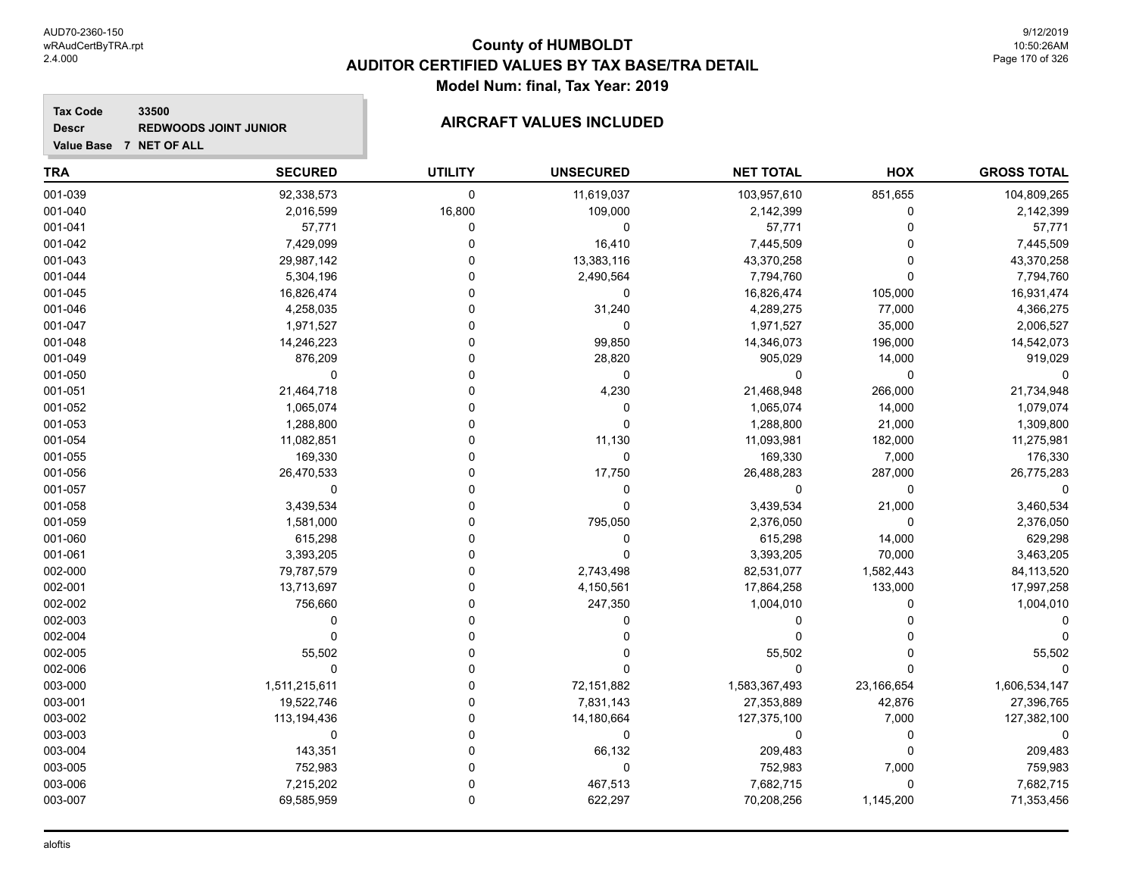**Descr**

## **County of HUMBOLDT AUDITOR CERTIFIED VALUES BY TAX BASE/TRA DETAIL Model Num: final, Tax Year: 2019**

#### **Tax Code 33500 REDWOODS JOINT JUNIOR AIRCRAFT VALUES INCLUDED**

| <b>TRA</b> | <b>SECURED</b> | <b>UTILITY</b> | <b>UNSECURED</b> | <b>NET TOTAL</b> | HOX         | <b>GROSS TOTAL</b> |
|------------|----------------|----------------|------------------|------------------|-------------|--------------------|
| 001-039    | 92,338,573     | 0              | 11,619,037       | 103,957,610      | 851,655     | 104,809,265        |
| 001-040    | 2,016,599      | 16,800         | 109,000          | 2,142,399        | $\mathbf 0$ | 2,142,399          |
| 001-041    | 57,771         | 0              | 0                | 57,771           | $\Omega$    | 57,771             |
| 001-042    | 7,429,099      | 0              | 16,410           | 7,445,509        | $\Omega$    | 7,445,509          |
| 001-043    | 29,987,142     | 0              | 13,383,116       | 43,370,258       | 0           | 43,370,258         |
| 001-044    | 5,304,196      | 0              | 2,490,564        | 7,794,760        | $\Omega$    | 7,794,760          |
| 001-045    | 16,826,474     | O              | 0                | 16,826,474       | 105,000     | 16,931,474         |
| 001-046    | 4,258,035      |                | 31,240           | 4,289,275        | 77,000      | 4,366,275          |
| 001-047    | 1,971,527      | $\Omega$       | $\mathbf 0$      | 1,971,527        | 35,000      | 2,006,527          |
| 001-048    | 14,246,223     | $\Omega$       | 99,850           | 14,346,073       | 196,000     | 14,542,073         |
| 001-049    | 876,209        | 0              | 28,820           | 905,029          | 14,000      | 919,029            |
| 001-050    | 0              | U              | 0                | 0                | 0           |                    |
| 001-051    | 21,464,718     | 0              | 4,230            | 21,468,948       | 266,000     | 21,734,948         |
| 001-052    | 1,065,074      | 0              | 0                | 1,065,074        | 14,000      | 1,079,074          |
| 001-053    | 1,288,800      | O              | 0                | 1,288,800        | 21,000      | 1,309,800          |
| 001-054    | 11,082,851     |                | 11,130           | 11,093,981       | 182,000     | 11,275,981         |
| 001-055    | 169,330        |                | 0                | 169,330          | 7,000       | 176,330            |
| 001-056    | 26,470,533     | 0              | 17,750           | 26,488,283       | 287,000     | 26,775,283         |
| 001-057    | 0              | O              | 0                | 0                | $\mathbf 0$ | $\Omega$           |
| 001-058    | 3,439,534      | $\Omega$       | 0                | 3,439,534        | 21,000      | 3,460,534          |
| 001-059    | 1,581,000      | O              | 795,050          | 2,376,050        | $\mathbf 0$ | 2,376,050          |
| 001-060    | 615,298        | 0              | $\mathbf 0$      | 615,298          | 14,000      | 629,298            |
| 001-061    | 3,393,205      | 0              | 0                | 3,393,205        | 70,000      | 3,463,205          |
| 002-000    | 79,787,579     | $\Omega$       | 2,743,498        | 82,531,077       | 1,582,443   | 84,113,520         |
| 002-001    | 13,713,697     | $\Omega$       | 4,150,561        | 17,864,258       | 133,000     | 17,997,258         |
| 002-002    | 756,660        | O              | 247,350          | 1,004,010        | $\Omega$    | 1,004,010          |
| 002-003    | $\Omega$       | $\Omega$       | 0                | 0                | $\Omega$    |                    |
| 002-004    | 0              | 0              | 0                | 0                | U           |                    |
| 002-005    | 55,502         | $\Omega$       | 0                | 55,502           | $\Omega$    | 55,502             |
| 002-006    | $\mathbf 0$    | 0              | 0                | 0                | $\Omega$    |                    |
| 003-000    | 1,511,215,611  | $\Omega$       | 72,151,882       | 1,583,367,493    | 23,166,654  | 1,606,534,147      |
| 003-001    | 19,522,746     | $\Omega$       | 7,831,143        | 27,353,889       | 42,876      | 27,396,765         |
| 003-002    | 113,194,436    | $\Omega$       | 14,180,664       | 127,375,100      | 7,000       | 127,382,100        |
| 003-003    | 0              | 0              | 0                | 0                | 0           | $\Omega$           |
| 003-004    | 143,351        | 0              | 66,132           | 209,483          | $\Omega$    | 209,483            |
| 003-005    | 752,983        | $\Omega$       | 0                | 752,983          | 7,000       | 759,983            |
| 003-006    | 7,215,202      | $\Omega$       | 467,513          | 7,682,715        | $\mathbf 0$ | 7,682,715          |
| 003-007    | 69,585,959     | $\mathbf{0}$   | 622,297          | 70,208,256       | 1,145,200   | 71,353,456         |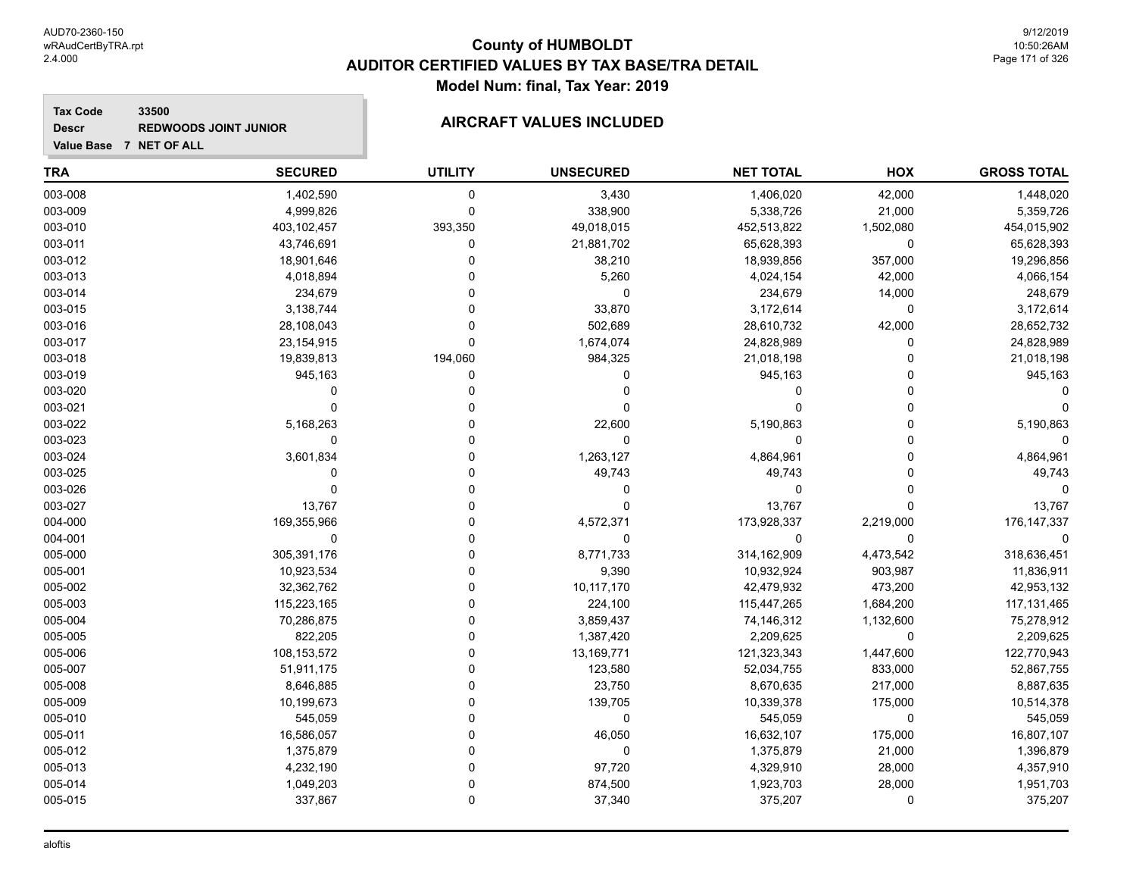#### **Tax Code 33500 Descr REDWOODS JOINT JUNIOR AIRCRAFT VALUES INCLUDED**

| Value Base 7 NET OF ALL |  |  |  |  |
|-------------------------|--|--|--|--|

| <b>TRA</b> | <b>SECURED</b> | <b>UTILITY</b> | <b>UNSECURED</b> | <b>NET TOTAL</b> | HOX         | <b>GROSS TOTAL</b> |
|------------|----------------|----------------|------------------|------------------|-------------|--------------------|
| 003-008    | 1,402,590      | $\mathbf 0$    | 3,430            | 1,406,020        | 42,000      | 1,448,020          |
| 003-009    | 4,999,826      | $\mathbf 0$    | 338,900          | 5,338,726        | 21,000      | 5,359,726          |
| 003-010    | 403,102,457    | 393,350        | 49,018,015       | 452,513,822      | 1,502,080   | 454,015,902        |
| 003-011    | 43,746,691     | 0              | 21,881,702       | 65,628,393       | 0           | 65,628,393         |
| 003-012    | 18,901,646     | $\Omega$       | 38,210           | 18,939,856       | 357,000     | 19,296,856         |
| 003-013    | 4,018,894      | $\mathbf 0$    | 5,260            | 4,024,154        | 42,000      | 4,066,154          |
| 003-014    | 234,679        | $\Omega$       | $\mathbf 0$      | 234,679          | 14,000      | 248,679            |
| 003-015    | 3,138,744      | $\Omega$       | 33,870           | 3,172,614        | 0           | 3,172,614          |
| 003-016    | 28,108,043     | $\Omega$       | 502,689          | 28,610,732       | 42,000      | 28,652,732         |
| 003-017    | 23, 154, 915   | $\mathbf 0$    | 1,674,074        | 24,828,989       | $\Omega$    | 24,828,989         |
| 003-018    | 19,839,813     | 194,060        | 984,325          | 21,018,198       | $\Omega$    | 21,018,198         |
| 003-019    | 945,163        | 0              | 0                | 945,163          | 0           | 945,163            |
| 003-020    | $\Omega$       | 0              | 0                | 0                | 0           |                    |
| 003-021    | $\Omega$       | 0              | $\Omega$         | $\Omega$         | $\Omega$    |                    |
| 003-022    | 5,168,263      | $\mathbf 0$    | 22,600           | 5,190,863        | $\Omega$    | 5,190,863          |
| 003-023    | 0              | $\Omega$       | 0                | 0                | $\Omega$    | 0                  |
| 003-024    | 3,601,834      | $\Omega$       | 1,263,127        | 4,864,961        | $\Omega$    | 4,864,961          |
| 003-025    | $\Omega$       | $\Omega$       | 49,743           | 49,743           | $\Omega$    | 49,743             |
| 003-026    | $\mathbf 0$    | $\Omega$       | 0                | $\mathbf 0$      | $\Omega$    |                    |
| 003-027    | 13,767         | $\Omega$       | $\Omega$         | 13,767           | 0           | 13,767             |
| 004-000    | 169,355,966    | $\Omega$       | 4,572,371        | 173,928,337      | 2,219,000   | 176, 147, 337      |
| 004-001    | $\mathbf 0$    | $\Omega$       | $\Omega$         | $\mathbf 0$      | $\mathbf 0$ | ∩                  |
| 005-000    | 305,391,176    | $\mathbf 0$    | 8,771,733        | 314,162,909      | 4,473,542   | 318,636,451        |
| 005-001    | 10,923,534     | $\Omega$       | 9,390            | 10,932,924       | 903,987     | 11,836,911         |
| 005-002    | 32,362,762     | $\Omega$       | 10,117,170       | 42,479,932       | 473,200     | 42,953,132         |
| 005-003    | 115,223,165    | $\Omega$       | 224,100          | 115,447,265      | 1,684,200   | 117, 131, 465      |
| 005-004    | 70,286,875     | $\Omega$       | 3,859,437        | 74,146,312       | 1,132,600   | 75,278,912         |
| 005-005    | 822,205        | $\Omega$       | 1,387,420        | 2,209,625        | 0           | 2,209,625          |
| 005-006    | 108,153,572    | $\Omega$       | 13,169,771       | 121,323,343      | 1,447,600   | 122,770,943        |
| 005-007    | 51,911,175     | $\Omega$       | 123,580          | 52,034,755       | 833,000     | 52,867,755         |
| 005-008    | 8,646,885      | $\mathbf 0$    | 23,750           | 8,670,635        | 217,000     | 8,887,635          |
| 005-009    | 10,199,673     | $\Omega$       | 139,705          | 10,339,378       | 175,000     | 10,514,378         |
| 005-010    | 545,059        | $\Omega$       | 0                | 545,059          | 0           | 545,059            |
| 005-011    | 16,586,057     | $\Omega$       | 46,050           | 16,632,107       | 175,000     | 16,807,107         |
| 005-012    | 1,375,879      | $\Omega$       | 0                | 1,375,879        | 21,000      | 1,396,879          |
| 005-013    | 4,232,190      | $\Omega$       | 97,720           | 4,329,910        | 28,000      | 4,357,910          |
| 005-014    | 1,049,203      | $\mathbf 0$    | 874,500          | 1,923,703        | 28,000      | 1,951,703          |
| 005-015    | 337,867        | $\mathbf 0$    | 37,340           | 375,207          | $\Omega$    | 375,207            |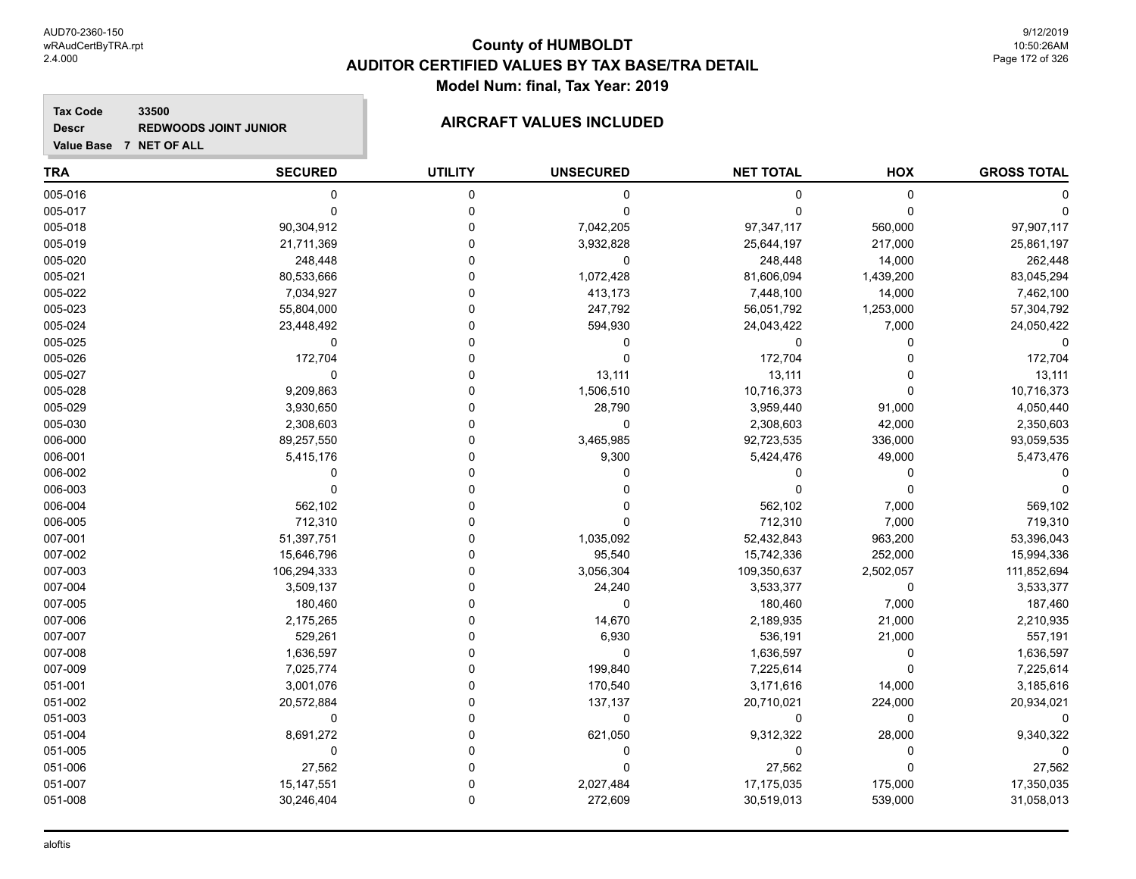**GROSS TOTAL**

**Tax Code 33500 Descr**

**Value Base 7 NET OF ALL**

#### **REDWOODS JOINT JUNIOR AIRCRAFT VALUES INCLUDED**

**TRA SECURED UTILITY UNSECURED HOX NET TOTAL** 005-016 0 0 0 0 0 0 005-017 0 0 0 0 0 0 005-018 90,304,912 0 7,042,205 97,347,117 560,000 97,907,117 005-019 21,711,369 0 3,932,828 25,644,197 217,000 25,861,197 005-020 248,448 0 248,448 14,000 262,448 005-021 80,533,666 0 1,072,428 81,606,094 1,439,200 83,045,294 005-022 7,034,927 0 413,173 7,448,100 14,000 7,462,100 005-023 55,804,000 0 247,792 56,051,792 1,253,000 57,304,792 005-024 23,448,492 0 594,930 24,043,422 7,000 24,050,422 005-025 0 0 0 0 0 0

| ∪∪ວ-∪∠ວ |              |   |           |             |           |             |
|---------|--------------|---|-----------|-------------|-----------|-------------|
| 005-026 | 172,704      |   |           | 172,704     |           | 172,704     |
| 005-027 |              |   | 13,111    | 13,111      |           | 13,111      |
| 005-028 | 9,209,863    |   | 1,506,510 | 10,716,373  |           | 10,716,373  |
| 005-029 | 3,930,650    |   | 28,790    | 3,959,440   | 91,000    | 4,050,440   |
| 005-030 | 2,308,603    |   |           | 2,308,603   | 42,000    | 2,350,603   |
| 006-000 | 89,257,550   |   | 3,465,985 | 92,723,535  | 336,000   | 93,059,535  |
| 006-001 | 5,415,176    |   | 9,300     | 5,424,476   | 49,000    | 5,473,476   |
| 006-002 |              |   |           |             |           |             |
| 006-003 |              |   |           |             |           |             |
| 006-004 | 562,102      |   |           | 562,102     | 7,000     | 569,102     |
| 006-005 | 712,310      |   |           | 712,310     | 7,000     | 719,310     |
| 007-001 | 51,397,751   |   | 1,035,092 | 52,432,843  | 963,200   | 53,396,043  |
| 007-002 | 15,646,796   |   | 95,540    | 15,742,336  | 252,000   | 15,994,336  |
| 007-003 | 106,294,333  |   | 3,056,304 | 109,350,637 | 2,502,057 | 111,852,694 |
| 007-004 | 3,509,137    |   | 24,240    | 3,533,377   | 0         | 3,533,377   |
| 007-005 | 180,460      |   |           | 180,460     | 7,000     | 187,460     |
| 007-006 | 2,175,265    |   | 14,670    | 2,189,935   | 21,000    | 2,210,935   |
| 007-007 | 529,261      |   | 6,930     | 536,191     | 21,000    | 557,191     |
| 007-008 | 1,636,597    |   |           | 1,636,597   |           | 1,636,597   |
| 007-009 | 7,025,774    |   | 199,840   | 7,225,614   |           | 7,225,614   |
| 051-001 | 3,001,076    |   | 170,540   | 3,171,616   | 14,000    | 3,185,616   |
| 051-002 | 20,572,884   |   | 137,137   | 20,710,021  | 224,000   | 20,934,021  |
| 051-003 | ∩            |   |           |             | n         | 0           |
| 051-004 | 8,691,272    |   | 621,050   | 9,312,322   | 28,000    | 9,340,322   |
| 051-005 | O            |   |           |             |           |             |
| 051-006 | 27,562       |   |           | 27,562      |           | 27,562      |
| 051-007 | 15, 147, 551 |   | 2,027,484 | 17,175,035  | 175,000   | 17,350,035  |
| 051-008 | 30,246,404   | 0 | 272,609   | 30,519,013  | 539,000   | 31,058,013  |
|         |              |   |           |             |           |             |
|         |              |   |           |             |           |             |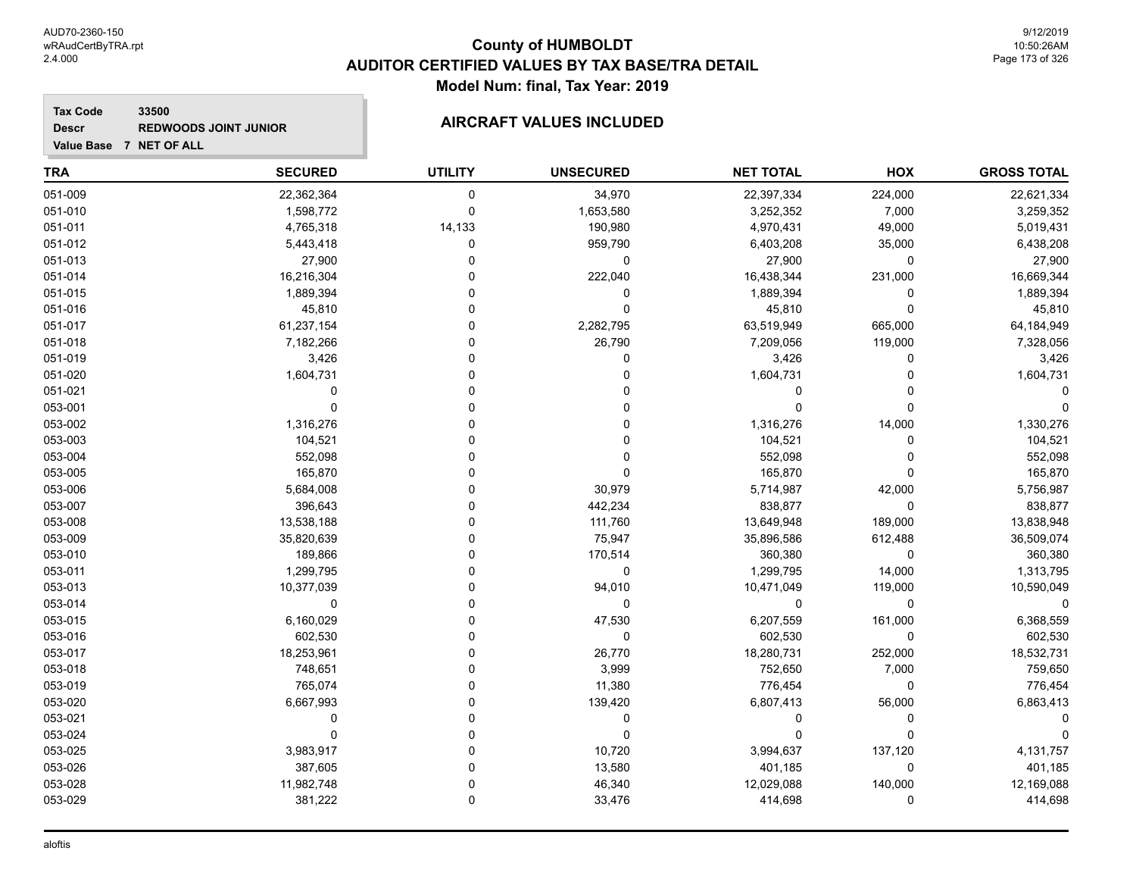**Value Base 7 NET OF ALL**

## **County of HUMBOLDT AUDITOR CERTIFIED VALUES BY TAX BASE/TRA DETAIL Model Num: final, Tax Year: 2019**

#### **Tax Code 33500 Descr REDWOODS JOINT JUNIOR AIRCRAFT VALUES INCLUDED**

| <b>TRA</b> | <b>SECURED</b> | <b>UTILITY</b> | <b>UNSECURED</b> | <b>NET TOTAL</b> | HOX         | <b>GROSS TOTAL</b> |
|------------|----------------|----------------|------------------|------------------|-------------|--------------------|
| 051-009    | 22,362,364     | $\mathbf 0$    | 34,970           | 22,397,334       | 224,000     | 22,621,334         |
| 051-010    | 1,598,772      | $\mathbf 0$    | 1,653,580        | 3,252,352        | 7,000       | 3,259,352          |
| 051-011    | 4,765,318      | 14,133         | 190,980          | 4,970,431        | 49,000      | 5,019,431          |
| 051-012    | 5,443,418      | $\Omega$       | 959,790          | 6,403,208        | 35,000      | 6,438,208          |
| 051-013    | 27,900         | 0              | 0                | 27,900           | 0           | 27,900             |
| 051-014    | 16,216,304     | U              | 222,040          | 16,438,344       | 231,000     | 16,669,344         |
| 051-015    | 1,889,394      | 0              | 0                | 1,889,394        | 0           | 1,889,394          |
| 051-016    | 45,810         | 0              | 0                | 45,810           | $\mathbf 0$ | 45,810             |
| 051-017    | 61,237,154     | 0              | 2,282,795        | 63,519,949       | 665,000     | 64,184,949         |
| 051-018    | 7,182,266      |                | 26,790           | 7,209,056        | 119,000     | 7,328,056          |
| 051-019    | 3,426          |                | 0                | 3,426            | 0           | 3,426              |
| 051-020    | 1,604,731      |                | 0                | 1,604,731        | O           | 1,604,731          |
| 051-021    | 0              |                |                  | $\Omega$         | O           |                    |
| 053-001    | $\mathbf 0$    |                | 0                | $\Omega$         | $\Omega$    |                    |
| 053-002    | 1,316,276      |                | 0                | 1,316,276        | 14,000      | 1,330,276          |
| 053-003    | 104,521        |                | 0                | 104,521          | 0           | 104,521            |
| 053-004    | 552,098        |                | 0                | 552,098          | 0           | 552,098            |
| 053-005    | 165,870        |                | 0                | 165,870          | 0           | 165,870            |
| 053-006    | 5,684,008      | 0              | 30,979           | 5,714,987        | 42,000      | 5,756,987          |
| 053-007    | 396,643        |                | 442,234          | 838,877          | 0           | 838,877            |
| 053-008    | 13,538,188     |                | 111,760          | 13,649,948       | 189,000     | 13,838,948         |
| 053-009    | 35,820,639     |                | 75,947           | 35,896,586       | 612,488     | 36,509,074         |
| 053-010    | 189,866        |                | 170,514          | 360,380          | $\mathbf 0$ | 360,380            |
| 053-011    | 1,299,795      | ሰ              | 0                | 1,299,795        | 14,000      | 1,313,795          |
| 053-013    | 10,377,039     |                | 94,010           | 10,471,049       | 119,000     | 10,590,049         |
| 053-014    | 0              |                | 0                | $\Omega$         | $\mathbf 0$ |                    |
| 053-015    | 6,160,029      |                | 47,530           | 6,207,559        | 161,000     | 6,368,559          |
| 053-016    | 602,530        |                | 0                | 602,530          | $\mathbf 0$ | 602,530            |
| 053-017    | 18,253,961     |                | 26,770           | 18,280,731       | 252,000     | 18,532,731         |
| 053-018    | 748,651        | 0              | 3,999            | 752,650          | 7,000       | 759,650            |
| 053-019    | 765,074        |                | 11,380           | 776,454          | 0           | 776,454            |
| 053-020    | 6,667,993      |                | 139,420          | 6,807,413        | 56,000      | 6,863,413          |
| 053-021    | $\mathbf 0$    |                | 0                | $\Omega$         | 0           |                    |
| 053-024    | $\mathbf 0$    | O              | 0                | $\Omega$         | 0           |                    |
| 053-025    | 3,983,917      | U              | 10,720           | 3,994,637        | 137,120     | 4,131,757          |
| 053-026    | 387,605        | 0              | 13,580           | 401,185          | 0           | 401,185            |
| 053-028    | 11,982,748     | 0              | 46,340           | 12,029,088       | 140,000     | 12,169,088         |
| 053-029    | 381,222        | 0              | 33,476           | 414,698          | 0           | 414,698            |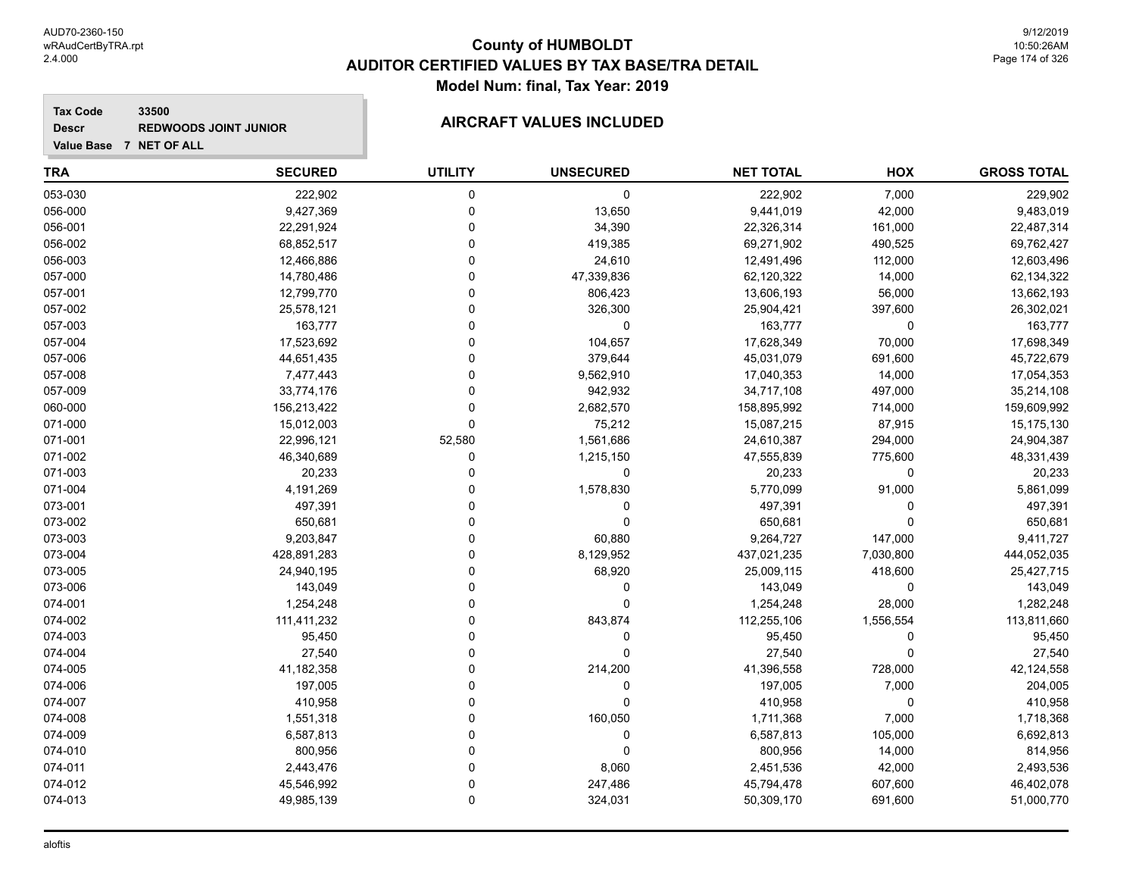#### **Tax Code 33500 Descr**

#### **REDWOODS JOINT JUNIOR AIRCRAFT VALUES INCLUDED**

**Value Base 7 NET OF ALL**

#### **TRA SECURED UTILITY UNSECURED HOX GROSS TOTAL NET TOTAL** 053-030 222,902 0 0 222,902 7,000 229,902 056-000 9,427,369 0 13,650 9,441,019 42,000 9,483,019 056-001 22,291,924 0 34,390 22,326,314 161,000 22,487,314 056-002 68,852,517 0 419,385 69,271,902 490,525 69,762,427 056-003 12,466,886 0 24,610 12,491,496 112,000 12,603,496 057-000 14,780,486 0 47,339,836 62,120,322 14,000 62,134,322 057-001 12,799,770 0 806,423 13,606,193 56,000 13,662,193 057-002 25,578,121 0 326,300 25,904,421 397,600 26,302,021 057-003 163,777 0 0 163,777 0 163,777 057-004 17,523,692 0 104,657 17,628,349 70,000 17,698,349 057-006 44,651,435 0 379,644 45,031,079 691,600 45,722,679 057-008 7,477,443 0 9,562,910 17,040,353 14,000 17,054,353 057-009 33,774,176 0 942,932 34,717,108 497,000 35,214,108 060-000 156,213,422 0 2,682,570 158,895,992 714,000 159,609,992 071-000 15,012,003 0 75,212 15,087,215 87,915 15,175,130 071-001 22,996,121 52,580 1,561,686 24,610,387 294,000 24,904,387 071-002 46,340,689 0 1,215,150 47,555,839 775,600 48,331,439 071-003 20,233 0 0 20,233 0 20,233 071-004 4,191,269 0 1,578,830 5,770,099 91,000 5,861,099 073-001 497,391 0 0 497,391 0 497,391 073-002 650,681 0 0 650,681 0 650,681 073-003 9,203,847 0 60,880 9,264,727 147,000 9,411,727 073-004 428,891,283 0 8,129,952 437,021,235 7,030,800 444,052,035 073-005 24,940,195 0 68,920 25,009,115 418,600 25,427,715 073-006 143,049 0 0 143,049 0 143,049 074-001 1,254,248 0 0 1,254,248 28,000 1,282,248 074-002 111,411,232 0 843,874 112,255,106 1,556,554 113,811,660 074-003 95,450 0 0 95,450 0 95,450 074-004 27,540 0 0 27,540 0 27,540 074-005 41,182,358 0 214,200 41,396,558 728,000 42,124,558 074-006 197,005 0 0 197,005 7,000 204,005 074-007 410,958 0 0 410,958 0 410,958 074-008 1,551,318 0 160,050 1,711,368 7,000 1,718,368 074-009 6,587,813 0 6,587,813 105,000 6,692,813 074-010 800,956 0 0 800,956 14,000 814,956 074-011 2,443,476 0 8,060 2,451,536 42,000 2,493,536 074-012 45,546,992 0 247,486 45,794,478 607,600 46,402,078 074-013 49,985,139 0 324,031 50,309,170 691,600 51,000,770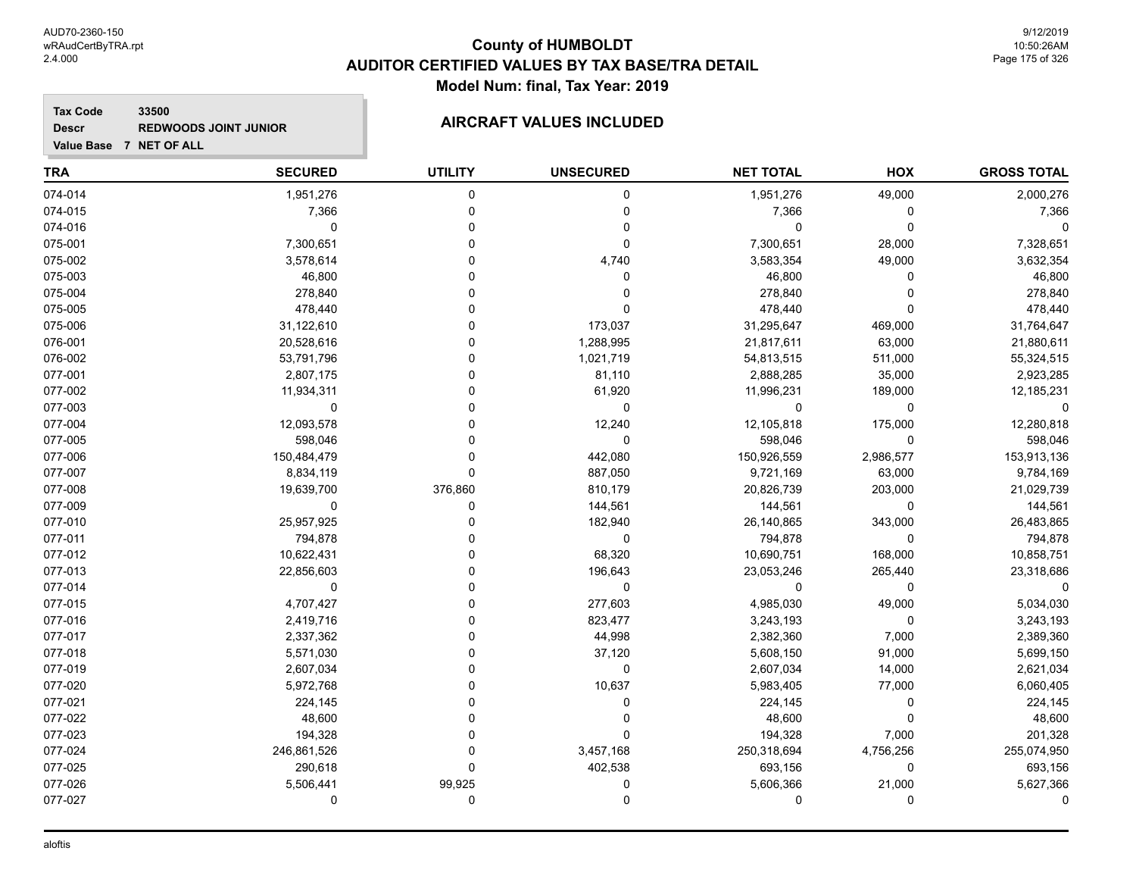#### **Tax Code 33500 Descr**

#### **REDWOODS JOINT JUNIOR AIRCRAFT VALUES INCLUDED**

| Value Base 7 NET OF ALL |                |                |                  |                  |           |                    |
|-------------------------|----------------|----------------|------------------|------------------|-----------|--------------------|
| <b>TRA</b>              | <b>SECURED</b> | <b>UTILITY</b> | <b>UNSECURED</b> | <b>NET TOTAL</b> | HOX       | <b>GROSS TOTAL</b> |
| 074-014                 | 1,951,276      | $\Omega$       | 0                | 1,951,276        | 49,000    | 2,000,276          |
| 074-015                 | 7,366          | 0              | $\Omega$         | 7,366            | 0         | 7,366              |
| 074-016                 | $\mathbf 0$    |                | 0                | 0                | 0         | 0                  |
| 075-001                 | 7,300,651      |                | 0                | 7,300,651        | 28,000    | 7,328,651          |
| 075-002                 | 3,578,614      |                | 4,740            | 3,583,354        | 49,000    | 3,632,354          |
| 075-003                 | 46,800         |                | 0                | 46,800           | U         | 46,800             |
| 075-004                 | 278,840        |                | O                | 278,840          | n         | 278,840            |
| 075-005                 | 478,440        |                | $\Omega$         | 478,440          | $\Omega$  | 478,440            |
| 075-006                 | 31,122,610     |                | 173,037          | 31,295,647       | 469,000   | 31,764,647         |
| 076-001                 | 20,528,616     |                | 1,288,995        | 21,817,611       | 63,000    | 21,880,611         |
| 076-002                 | 53,791,796     |                | 1,021,719        | 54,813,515       | 511,000   | 55,324,515         |
| 077-001                 | 2,807,175      |                | 81,110           | 2,888,285        | 35,000    | 2,923,285          |
| 077-002                 | 11,934,311     |                | 61,920           | 11,996,231       | 189,000   | 12,185,231         |
| 077-003                 | 0              |                | 0                | 0                | 0         | 0                  |
| 077-004                 | 12,093,578     |                | 12,240           | 12,105,818       | 175,000   | 12,280,818         |
| 077-005                 | 598,046        |                | $\Omega$         | 598,046          | 0         | 598,046            |
| 077-006                 | 150,484,479    |                | 442,080          | 150,926,559      | 2,986,577 | 153,913,136        |
| 077-007                 | 8,834,119      | O              | 887,050          | 9,721,169        | 63,000    | 9,784,169          |
| 077-008                 | 19,639,700     | 376,860        | 810,179          | 20,826,739       | 203,000   | 21,029,739         |
| 077-009                 | $\Omega$       | $\Omega$       | 144,561          | 144,561          | $\Omega$  | 144,561            |
| 077-010                 | 25,957,925     |                | 182,940          | 26,140,865       | 343,000   | 26,483,865         |
| 077-011                 | 794,878        |                | 0                | 794,878          | $\Omega$  | 794,878            |
| 077-012                 | 10,622,431     |                | 68,320           | 10,690,751       | 168,000   | 10,858,751         |
| 077-013                 | 22,856,603     |                | 196,643          | 23,053,246       | 265,440   | 23,318,686         |
| 077-014                 | $\Omega$       |                | $\Omega$         | 0                | 0         | 0                  |
| 077-015                 | 4,707,427      |                | 277,603          | 4,985,030        | 49,000    | 5,034,030          |
| 077-016                 | 2,419,716      |                | 823,477          | 3,243,193        | 0         | 3,243,193          |
| 077-017                 | 2,337,362      |                | 44,998           | 2,382,360        | 7,000     | 2,389,360          |
| 077-018                 | 5,571,030      |                | 37,120           | 5,608,150        | 91,000    | 5,699,150          |
| 077-019                 | 2,607,034      |                | 0                | 2,607,034        | 14,000    | 2,621,034          |
| 077-020                 | 5,972,768      |                | 10,637           | 5,983,405        | 77,000    | 6,060,405          |
| 077-021                 | 224,145        |                | n                | 224,145          | 0         | 224,145            |
| 077-022                 | 48,600         | O              | 0                | 48,600           | 0         | 48,600             |

077-023 194,328 0 0 194,328 7,000 201,328 077-024 246,861,526 0 3,457,168 250,318,694 4,756,256 255,074,950 077-025 290,618 0 402,538 693,156 0 693,156 077-026 5,506,441 99,925 0 5,606,366 21,000 5,627,366 077-027 0 0 0 0 0 0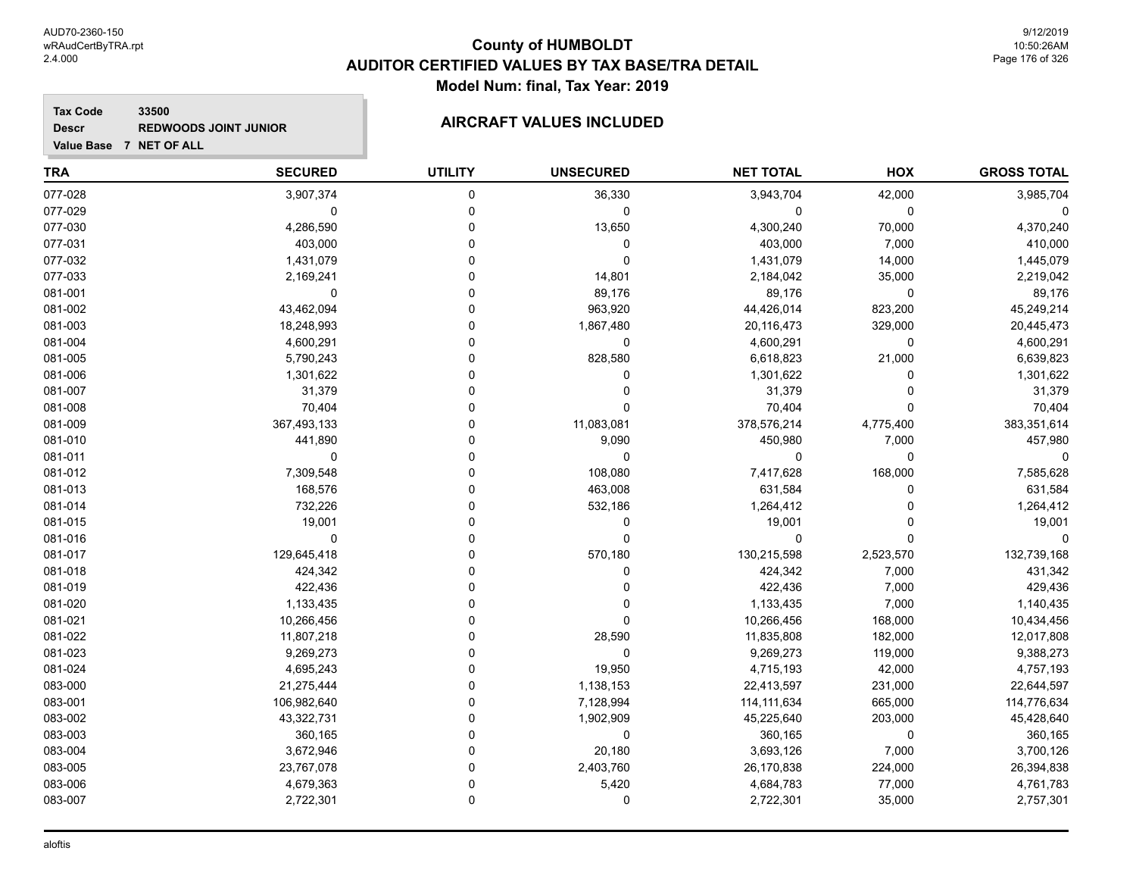#### **Tax Code 33500 Descr REDWOODS JOINT JUNIOR AIRCRAFT VALUES INCLUDED**

| Value Base 7 NET OF ALL |                |                |                  |                  |           |                    |
|-------------------------|----------------|----------------|------------------|------------------|-----------|--------------------|
| <b>TRA</b>              | <b>SECURED</b> | <b>UTILITY</b> | <b>UNSECURED</b> | <b>NET TOTAL</b> | HOX       | <b>GROSS TOTAL</b> |
| 077-028                 | 3,907,374      | 0              | 36,330           | 3,943,704        | 42,000    | 3,985,704          |
| 077-029                 | $\mathbf 0$    | 0              | $\mathbf 0$      | $\pmb{0}$        | 0         | $\mathbf 0$        |
| 077-030                 | 4,286,590      | 0              | 13,650           | 4,300,240        | 70,000    | 4,370,240          |
| 077-031                 | 403,000        | $\Omega$       | 0                | 403,000          | 7,000     | 410,000            |
| 077-032                 | 1,431,079      | $\Omega$       | $\mathbf 0$      | 1,431,079        | 14,000    | 1,445,079          |
| 077-033                 | 2,169,241      | 0              | 14,801           | 2,184,042        | 35,000    | 2,219,042          |
| 081-001                 | $\mathbf 0$    | 0              | 89,176           | 89,176           | 0         | 89,176             |
| 081-002                 | 43,462,094     | $\Omega$       | 963,920          | 44,426,014       | 823,200   | 45,249,214         |
| 081-003                 | 18,248,993     | 0              | 1,867,480        | 20,116,473       | 329,000   | 20,445,473         |
| 081-004                 | 4,600,291      | 0              | $\mathbf 0$      | 4,600,291        | 0         | 4,600,291          |
| 081-005                 | 5,790,243      | $\Omega$       | 828,580          | 6,618,823        | 21,000    | 6,639,823          |
| 081-006                 | 1,301,622      | 0              | $\Omega$         | 1,301,622        | 0         | 1,301,622          |
| 081-007                 | 31,379         | 0              | 0                | 31,379           | 0         | 31,379             |
| 081-008                 | 70,404         | 0              | $\Omega$         | 70,404           | 0         | 70,404             |
| 081-009                 | 367,493,133    | $\Omega$       | 11,083,081       | 378,576,214      | 4,775,400 | 383,351,614        |
| 081-010                 | 441,890        | 0              | 9,090            | 450,980          | 7,000     | 457,980            |
| 081-011                 | $\mathbf 0$    | $\Omega$       | 0                | 0                | 0         | 0                  |
| 081-012                 | 7,309,548      | 0              | 108,080          | 7,417,628        | 168,000   | 7,585,628          |
| 081-013                 | 168,576        | 0              | 463,008          | 631,584          | 0         | 631,584            |
| 081-014                 | 732,226        | 0              | 532,186          | 1,264,412        | 0         | 1,264,412          |
| 081-015                 | 19,001         | 0              | 0                | 19,001           | 0         | 19,001             |
| 081-016                 | $\mathbf 0$    | 0              | $\Omega$         | $\mathbf 0$      | $\Omega$  | $\Omega$           |
| 081-017                 | 129,645,418    | O              | 570,180          | 130,215,598      | 2,523,570 | 132,739,168        |
| 081-018                 | 424,342        | O              | 0                | 424,342          | 7,000     | 431,342            |
| 081-019                 | 422,436        | 0              | 0                | 422,436          | 7,000     | 429,436            |
| 081-020                 | 1,133,435      | 0              | $\Omega$         | 1,133,435        | 7,000     | 1,140,435          |
| 081-021                 | 10,266,456     | O              | $\Omega$         | 10,266,456       | 168,000   | 10,434,456         |
| 081-022                 | 11,807,218     | 0              | 28,590           | 11,835,808       | 182,000   | 12,017,808         |
| 081-023                 | 9,269,273      | $\Omega$       | $\mathbf 0$      | 9,269,273        | 119,000   | 9,388,273          |
| 081-024                 | 4,695,243      | $\Omega$       | 19,950           | 4,715,193        | 42,000    | 4,757,193          |
| 083-000                 | 21,275,444     | 0              | 1,138,153        | 22,413,597       | 231,000   | 22,644,597         |
| 083-001                 | 106,982,640    | 0              | 7,128,994        | 114, 111, 634    | 665,000   | 114,776,634        |
| 083-002                 | 43,322,731     | 0              | 1,902,909        | 45,225,640       | 203,000   | 45,428,640         |
| 083-003                 | 360,165        | 0              | $\mathbf 0$      | 360,165          | 0         | 360,165            |
| 083-004                 | 3,672,946      | 0              | 20,180           | 3,693,126        | 7,000     | 3,700,126          |
| 083-005                 | 23,767,078     | $\Omega$       | 2,403,760        | 26,170,838       | 224,000   | 26,394,838         |
| 083-006                 | 4,679,363      | 0              | 5,420            | 4,684,783        | 77,000    | 4,761,783          |
| 083-007                 | 2,722,301      | $\Omega$       | $\Omega$         | 2,722,301        | 35,000    | 2,757,301          |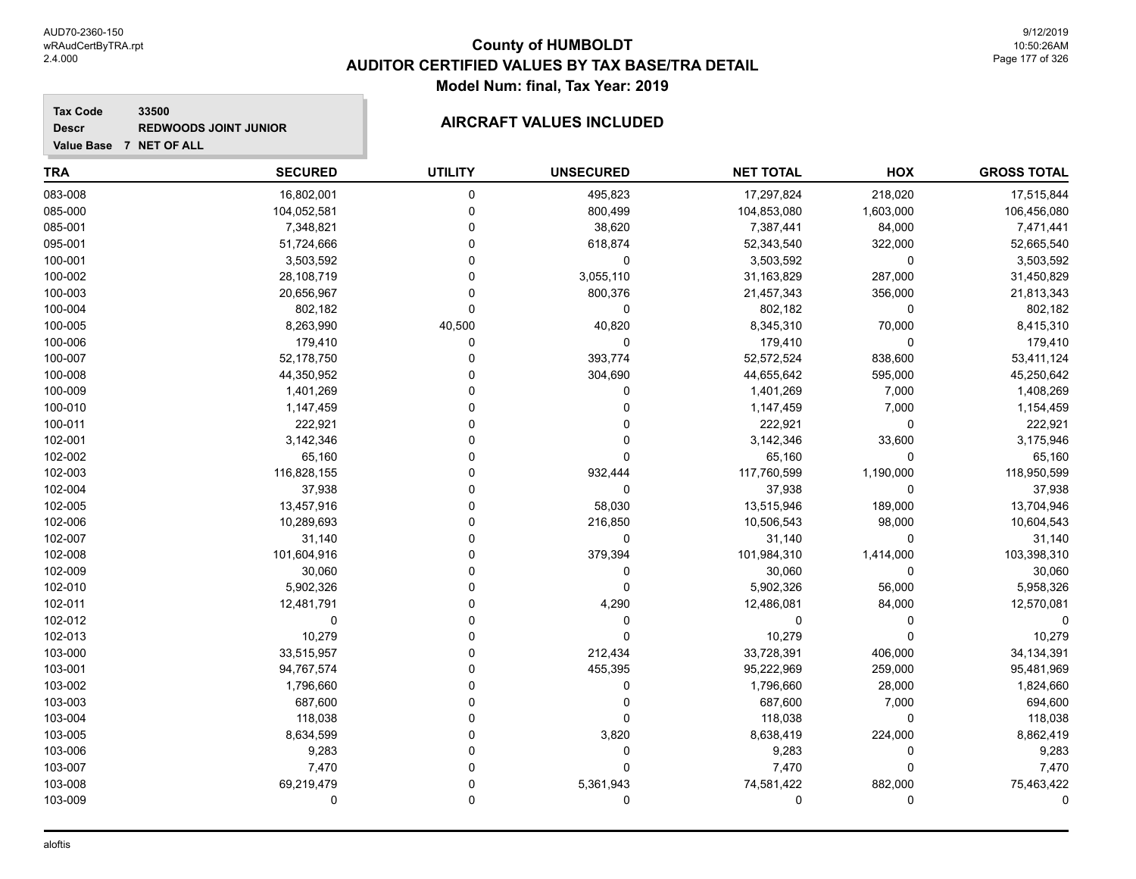#### **Tax Code 33500 Descr**

# **REDWOODS JOINT JUNIOR AIRCRAFT VALUES INCLUDED**

| <b>TRA</b> | <b>SECURED</b> | <b>UTILITY</b> | <b>UNSECURED</b> | <b>NET TOTAL</b> | HOX         | <b>GROSS TOTAL</b> |
|------------|----------------|----------------|------------------|------------------|-------------|--------------------|
| 083-008    | 16,802,001     | $\mathbf 0$    | 495,823          | 17,297,824       | 218,020     | 17,515,844         |
| 085-000    | 104,052,581    | 0              | 800,499          | 104,853,080      | 1,603,000   | 106,456,080        |
| 085-001    | 7,348,821      | $\mathbf 0$    | 38,620           | 7,387,441        | 84,000      | 7,471,441          |
| 095-001    | 51,724,666     | $\mathbf 0$    | 618,874          | 52,343,540       | 322,000     | 52,665,540         |
| 100-001    | 3,503,592      | $\mathbf 0$    | 0                | 3,503,592        | $\mathbf 0$ | 3,503,592          |
| 100-002    | 28,108,719     | $\Omega$       | 3,055,110        | 31,163,829       | 287,000     | 31,450,829         |
| 100-003    | 20,656,967     | $\Omega$       | 800,376          | 21,457,343       | 356,000     | 21,813,343         |
| 100-004    | 802,182        | $\mathbf 0$    | 0                | 802,182          | 0           | 802,182            |
| 100-005    | 8,263,990      | 40,500         | 40,820           | 8,345,310        | 70,000      | 8,415,310          |
| 100-006    | 179,410        | $\mathbf 0$    | 0                | 179,410          | $\Omega$    | 179,410            |
| 100-007    | 52,178,750     | 0              | 393,774          | 52,572,524       | 838,600     | 53,411,124         |
| 100-008    | 44,350,952     | $\Omega$       | 304,690          | 44,655,642       | 595,000     | 45,250,642         |
| 100-009    | 1,401,269      | $\Omega$       | 0                | 1,401,269        | 7,000       | 1,408,269          |
| 100-010    | 1,147,459      | $\mathbf 0$    | $\mathbf 0$      | 1,147,459        | 7,000       | 1,154,459          |
| 100-011    | 222,921        | $\Omega$       | 0                | 222,921          | $\mathbf 0$ | 222,921            |
| 102-001    | 3,142,346      | $\Omega$       | 0                | 3,142,346        | 33,600      | 3,175,946          |
| 102-002    | 65,160         | $\Omega$       | $\mathbf 0$      | 65,160           | $\Omega$    | 65,160             |
| 102-003    | 116,828,155    | $\Omega$       | 932,444          | 117,760,599      | 1,190,000   | 118,950,599        |
| 102-004    | 37,938         | $\Omega$       | $\Omega$         | 37,938           | $\Omega$    | 37,938             |
| 102-005    | 13,457,916     | $\Omega$       | 58,030           | 13,515,946       | 189,000     | 13,704,946         |
| 102-006    | 10,289,693     | $\Omega$       | 216,850          | 10,506,543       | 98,000      | 10,604,543         |
| 102-007    | 31,140         | $\Omega$       | $\mathbf 0$      | 31,140           | $\Omega$    | 31,140             |
| 102-008    | 101,604,916    | $\Omega$       | 379,394          | 101,984,310      | 1,414,000   | 103,398,310        |
| 102-009    | 30,060         | $\Omega$       | $\mathbf 0$      | 30,060           | $\Omega$    | 30,060             |
| 102-010    | 5,902,326      | $\Omega$       | $\Omega$         | 5,902,326        | 56,000      | 5,958,326          |
| 102-011    | 12,481,791     | $\Omega$       | 4,290            | 12,486,081       | 84,000      | 12,570,081         |
| 102-012    | $\mathbf 0$    | $\Omega$       | 0                | 0                | $\Omega$    |                    |
| 102-013    | 10,279         | $\Omega$       | $\mathbf 0$      | 10,279           | $\Omega$    | 10,279             |
| 103-000    | 33,515,957     | $\Omega$       | 212,434          | 33,728,391       | 406,000     | 34,134,391         |
| 103-001    | 94,767,574     | $\Omega$       | 455,395          | 95,222,969       | 259,000     | 95,481,969         |
| 103-002    | 1,796,660      | $\Omega$       | 0                | 1,796,660        | 28,000      | 1,824,660          |
| 103-003    | 687,600        | $\Omega$       | 0                | 687,600          | 7,000       | 694,600            |
| 103-004    | 118,038        | $\Omega$       | $\mathbf 0$      | 118,038          | 0           | 118,038            |
| 103-005    | 8,634,599      | $\Omega$       | 3,820            | 8,638,419        | 224,000     | 8,862,419          |
| 103-006    | 9,283          | $\Omega$       | $\Omega$         | 9,283            | $\Omega$    | 9,283              |
| 103-007    | 7,470          | $\Omega$       | $\mathbf 0$      | 7,470            | $\Omega$    | 7,470              |
| 103-008    | 69,219,479     | $\Omega$       | 5,361,943        | 74,581,422       | 882,000     | 75,463,422         |
| 103-009    | $\mathbf 0$    | $\Omega$       | $\mathbf 0$      | 0                | 0           | $\Omega$           |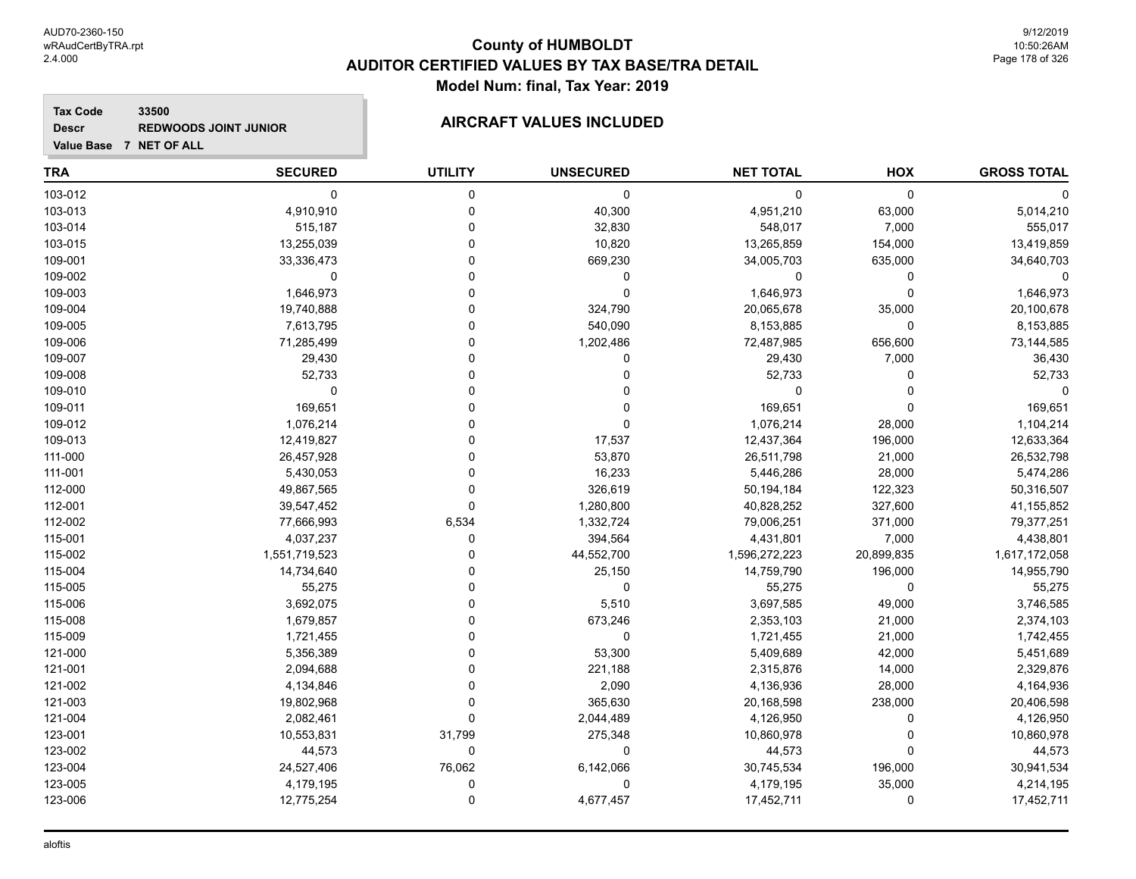**Tax Code 33500 Descr**

# **REDWOODS JOINT JUNIOR AIRCRAFT VALUES INCLUDED**

| Value Base 7 NET OF ALL |                |                |                  |                  |             |                    |
|-------------------------|----------------|----------------|------------------|------------------|-------------|--------------------|
| <b>TRA</b>              | <b>SECURED</b> | <b>UTILITY</b> | <b>UNSECURED</b> | <b>NET TOTAL</b> | HOX         | <b>GROSS TOTAL</b> |
| 103-012                 | $\mathbf 0$    | 0              | $\mathbf 0$      | $\mathbf 0$      | 0           | $\Omega$           |
| 103-013                 | 4,910,910      | 0              | 40,300           | 4,951,210        | 63,000      | 5,014,210          |
| 103-014                 | 515,187        | $\mathbf 0$    | 32,830           | 548,017          | 7,000       | 555,017            |
| 103-015                 | 13,255,039     | $\Omega$       | 10,820           | 13,265,859       | 154,000     | 13,419,859         |
| 109-001                 | 33,336,473     | $\Omega$       | 669,230          | 34,005,703       | 635,000     | 34,640,703         |
| 109-002                 | 0              | $\Omega$       | 0                | $\mathbf 0$      | $\mathbf 0$ | $\Omega$           |
| 109-003                 | 1,646,973      | $\Omega$       | $\mathbf 0$      | 1,646,973        | $\mathbf 0$ | 1,646,973          |
| 109-004                 | 19,740,888     | $\Omega$       | 324,790          | 20,065,678       | 35,000      | 20,100,678         |
| 109-005                 | 7,613,795      | 0              | 540,090          | 8,153,885        | 0           | 8,153,885          |
| 109-006                 | 71,285,499     | $\Omega$       | 1,202,486        | 72,487,985       | 656,600     | 73,144,585         |
| 109-007                 | 29,430         | $\mathbf 0$    | 0                | 29,430           | 7,000       | 36,430             |
| 109-008                 | 52,733         | $\Omega$       | 0                | 52,733           | $\mathbf 0$ | 52,733             |
| 109-010                 | 0              | $\Omega$       | 0                | $\mathbf 0$      | $\mathbf 0$ | $\Omega$           |
| 109-011                 | 169,651        | $\Omega$       | $\Omega$         | 169,651          | $\mathbf 0$ | 169,651            |
| 109-012                 | 1,076,214      | $\Omega$       | $\mathbf 0$      | 1,076,214        | 28,000      | 1,104,214          |
| 109-013                 | 12,419,827     | $\Omega$       | 17,537           | 12,437,364       | 196,000     | 12,633,364         |
| 111-000                 | 26,457,928     | $\Omega$       | 53,870           | 26,511,798       | 21,000      | 26,532,798         |
| 111-001                 | 5,430,053      | $\Omega$       | 16,233           | 5,446,286        | 28,000      | 5,474,286          |
| 112-000                 | 49,867,565     | $\Omega$       | 326,619          | 50,194,184       | 122,323     | 50,316,507         |
| 112-001                 | 39,547,452     | $\Omega$       | 1,280,800        | 40,828,252       | 327,600     | 41,155,852         |
| 112-002                 | 77,666,993     | 6,534          | 1,332,724        | 79,006,251       | 371,000     | 79,377,251         |
| 115-001                 | 4,037,237      | 0              | 394,564          | 4,431,801        | 7,000       | 4,438,801          |
| 115-002                 | 1,551,719,523  | $\Omega$       | 44,552,700       | 1,596,272,223    | 20,899,835  | 1,617,172,058      |
| 115-004                 | 14,734,640     | $\Omega$       | 25,150           | 14,759,790       | 196,000     | 14,955,790         |
| 115-005                 | 55,275         | $\Omega$       | 0                | 55,275           | 0           | 55,275             |
| 115-006                 | 3,692,075      | $\Omega$       | 5,510            | 3,697,585        | 49,000      | 3,746,585          |
| 115-008                 | 1,679,857      | $\Omega$       | 673,246          | 2,353,103        | 21,000      | 2,374,103          |
| 115-009                 | 1,721,455      | $\Omega$       | $\mathbf 0$      | 1,721,455        | 21,000      | 1,742,455          |
| 121-000                 | 5,356,389      | $\Omega$       | 53,300           | 5,409,689        | 42,000      | 5,451,689          |
| 121-001                 | 2,094,688      | $\Omega$       | 221,188          | 2,315,876        | 14,000      | 2,329,876          |
| 121-002                 | 4,134,846      | $\Omega$       | 2,090            | 4,136,936        | 28,000      | 4,164,936          |
| 121-003                 | 19,802,968     | $\Omega$       | 365,630          | 20,168,598       | 238,000     | 20,406,598         |
| 121-004                 | 2,082,461      | $\mathbf 0$    | 2,044,489        | 4,126,950        | $\pmb{0}$   | 4,126,950          |
| 123-001                 | 10,553,831     | 31,799         | 275,348          | 10,860,978       | 0           | 10,860,978         |
| 123-002                 | 44,573         | 0              | $\mathbf 0$      | 44,573           | $\mathbf 0$ | 44,573             |
| 123-004                 | 24,527,406     | 76,062         | 6,142,066        | 30,745,534       | 196,000     | 30,941,534         |
| 123-005                 | 4,179,195      | $\Omega$       | $\Omega$         | 4,179,195        | 35.000      | 4,214,195          |

123-006 12,775,254 0 4,677,457 17,452,711 0 17,452,711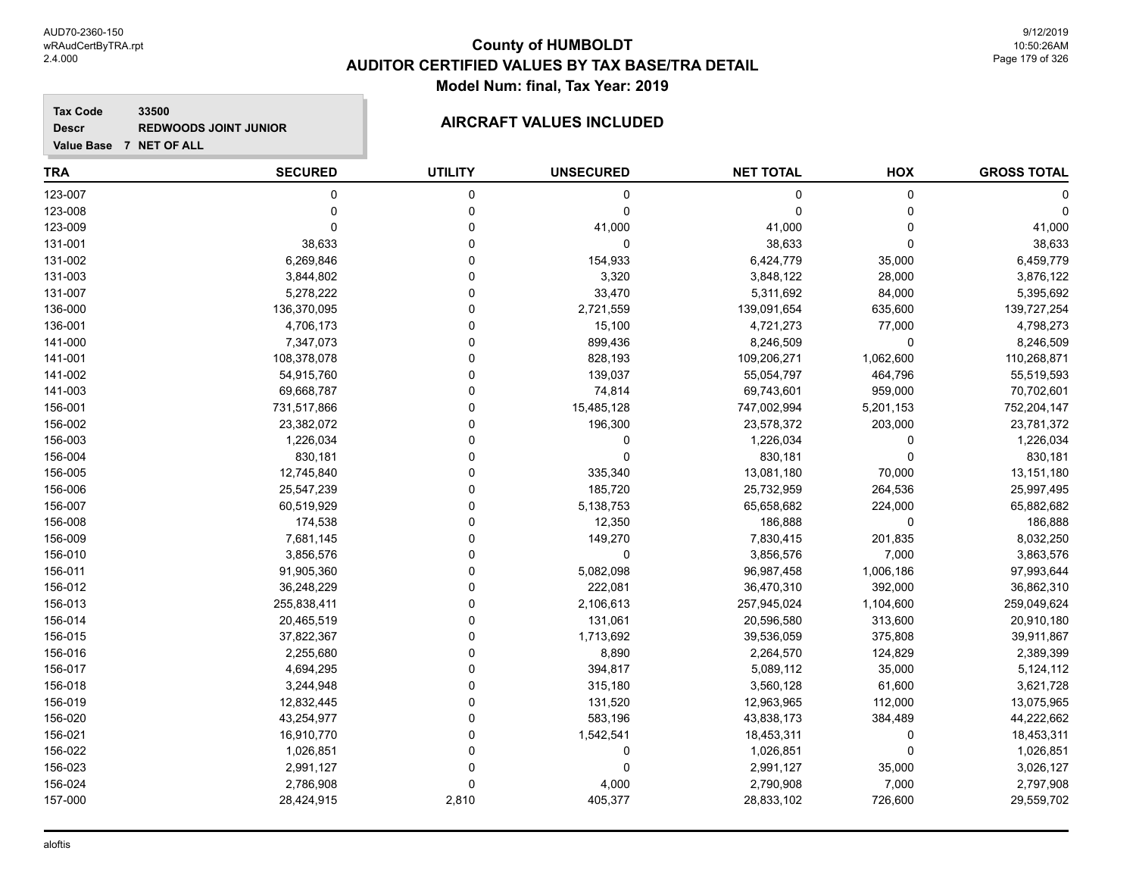**Tax Code 33500 Descr**

# **REDWOODS JOINT JUNIOR AIRCRAFT VALUES INCLUDED**

| <b>TRA</b> | <b>SECURED</b> | <b>UTILITY</b> | <b>UNSECURED</b> | <b>NET TOTAL</b> | HOX       | <b>GROSS TOTAL</b> |
|------------|----------------|----------------|------------------|------------------|-----------|--------------------|
| 123-007    | 0              | 0              | 0                | 0                | 0         | 0                  |
| 123-008    | $\Omega$       | $\Omega$       | 0                | $\Omega$         | 0         | $\Omega$           |
| 123-009    | $\Omega$       | $\Omega$       | 41,000           | 41,000           | 0         | 41,000             |
| 131-001    | 38,633         | $\Omega$       | $\mathbf 0$      | 38,633           | $\Omega$  | 38,633             |
| 131-002    | 6,269,846      | 0              | 154,933          | 6,424,779        | 35,000    | 6,459,779          |
| 131-003    | 3,844,802      | 0              | 3,320            | 3,848,122        | 28,000    | 3,876,122          |
| 131-007    | 5,278,222      | 0              | 33,470           | 5,311,692        | 84,000    | 5,395,692          |
| 136-000    | 136,370,095    | 0              | 2,721,559        | 139,091,654      | 635,600   | 139,727,254        |
| 136-001    | 4,706,173      | 0              | 15,100           | 4,721,273        | 77,000    | 4,798,273          |
| 141-000    | 7,347,073      | ۵              | 899,436          | 8,246,509        | 0         | 8,246,509          |
| 141-001    | 108,378,078    | 0              | 828,193          | 109,206,271      | 1,062,600 | 110,268,871        |
| 141-002    | 54,915,760     | 0              | 139,037          | 55,054,797       | 464,796   | 55,519,593         |
| 141-003    | 69,668,787     | 0              | 74,814           | 69,743,601       | 959,000   | 70,702,601         |
| 156-001    | 731,517,866    | ۵              | 15,485,128       | 747,002,994      | 5,201,153 | 752,204,147        |
| 156-002    | 23,382,072     | 0              | 196,300          | 23,578,372       | 203,000   | 23,781,372         |
| 156-003    | 1,226,034      | ۵              | 0                | 1,226,034        | 0         | 1,226,034          |
| 156-004    | 830,181        | 0              | $\mathbf 0$      | 830,181          | $\Omega$  | 830,181            |
| 156-005    | 12,745,840     | 0              | 335,340          | 13,081,180       | 70,000    | 13,151,180         |
| 156-006    | 25,547,239     | 0              | 185,720          | 25,732,959       | 264,536   | 25,997,495         |
| 156-007    | 60,519,929     | 0              | 5,138,753        | 65,658,682       | 224,000   | 65,882,682         |
| 156-008    | 174,538        | 0              | 12,350           | 186,888          | 0         | 186,888            |
| 156-009    | 7,681,145      | 0              | 149,270          | 7,830,415        | 201,835   | 8,032,250          |
| 156-010    | 3,856,576      | 0              | $\mathbf 0$      | 3,856,576        | 7,000     | 3,863,576          |
| 156-011    | 91,905,360     | 0              | 5,082,098        | 96,987,458       | 1,006,186 | 97,993,644         |
| 156-012    | 36,248,229     | 0              | 222,081          | 36,470,310       | 392,000   | 36,862,310         |
| 156-013    | 255,838,411    | 0              | 2,106,613        | 257,945,024      | 1,104,600 | 259,049,624        |
| 156-014    | 20,465,519     | 0              | 131,061          | 20,596,580       | 313,600   | 20,910,180         |
| 156-015    | 37,822,367     | U              | 1,713,692        | 39,536,059       | 375,808   | 39,911,867         |
| 156-016    | 2,255,680      | 0              | 8,890            | 2,264,570        | 124,829   | 2,389,399          |
| 156-017    | 4,694,295      | 0              | 394,817          | 5,089,112        | 35,000    | 5,124,112          |
| 156-018    | 3,244,948      | $\Omega$       | 315,180          | 3,560,128        | 61,600    | 3,621,728          |
| 156-019    | 12,832,445     | 0              | 131,520          | 12,963,965       | 112,000   | 13,075,965         |
| 156-020    | 43,254,977     | 0              | 583,196          | 43,838,173       | 384,489   | 44,222,662         |
| 156-021    | 16,910,770     | 0              | 1,542,541        | 18,453,311       | 0         | 18,453,311         |
| 156-022    | 1,026,851      | 0              | 0                | 1,026,851        | 0         | 1,026,851          |
| 156-023    | 2,991,127      | ۵              | $\mathbf 0$      | 2,991,127        | 35,000    | 3,026,127          |
| 156-024    | 2,786,908      | $\Omega$       | 4,000            | 2,790,908        | 7,000     | 2,797,908          |
| 157-000    | 28,424,915     | 2,810          | 405,377          | 28,833,102       | 726,600   | 29,559,702         |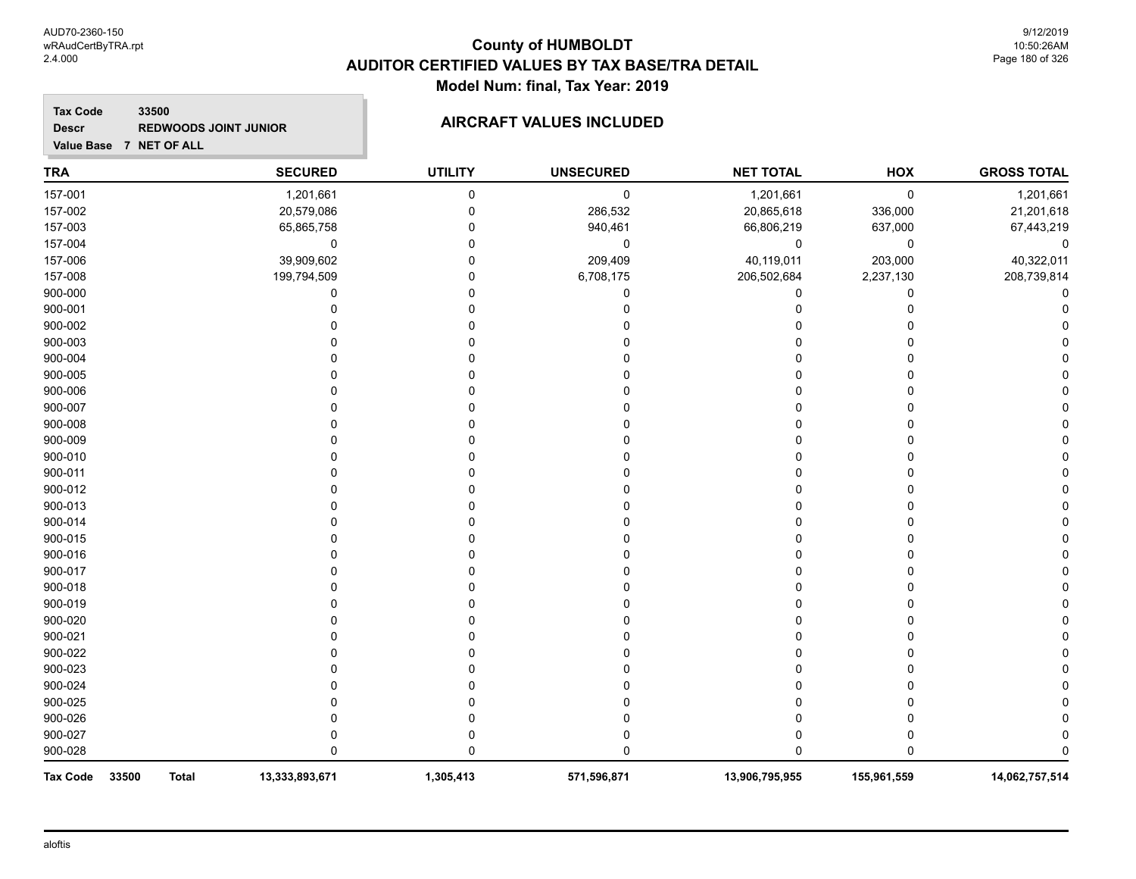#### **Tax Code 33500 Descr REDWOODS JOINT JUNIOR AIRCRAFT VALUES INCLUDED**

| <b>TRA</b>               |              | <b>SECURED</b> | <b>UTILITY</b> | <b>UNSECURED</b> | <b>NET TOTAL</b> | HOX         | <b>GROSS TOTAL</b> |
|--------------------------|--------------|----------------|----------------|------------------|------------------|-------------|--------------------|
| 157-001                  |              | 1,201,661      | $\mathbf 0$    | $\pmb{0}$        | 1,201,661        | $\pmb{0}$   | 1,201,661          |
| 157-002                  |              | 20,579,086     | $\Omega$       | 286,532          | 20,865,618       | 336,000     | 21,201,618         |
| 157-003                  |              | 65,865,758     | n              | 940,461          | 66,806,219       | 637,000     | 67,443,219         |
| 157-004                  |              | 0              | $\Omega$       | $\pmb{0}$        | 0                | 0           | 0                  |
| 157-006                  |              | 39,909,602     | $\Omega$       | 209,409          | 40,119,011       | 203,000     | 40,322,011         |
| 157-008                  |              | 199,794,509    | $\Omega$       | 6,708,175        | 206,502,684      | 2,237,130   | 208,739,814        |
| 900-000                  |              | U              |                | ŋ                | 0                | 0           |                    |
| 900-001                  |              |                |                |                  | 0                | 0           |                    |
| 900-002                  |              |                |                |                  |                  | O           |                    |
| 900-003                  |              |                |                |                  |                  | 0           |                    |
| 900-004                  |              |                |                |                  |                  | O           |                    |
| 900-005                  |              |                |                |                  |                  | O           |                    |
| 900-006                  |              |                |                |                  |                  | 0           |                    |
| 900-007                  |              |                |                |                  | U                | $\Omega$    |                    |
| 900-008                  |              |                |                |                  | ሰ                | 0           |                    |
| 900-009                  |              |                |                |                  |                  | 0           |                    |
| 900-010                  |              |                |                |                  |                  | 0           |                    |
| 900-011                  |              |                |                |                  |                  | 0           |                    |
| 900-012                  |              |                |                |                  |                  | 0           |                    |
| 900-013                  |              |                |                |                  |                  | O           |                    |
| 900-014                  |              |                |                |                  |                  | O           |                    |
| 900-015                  |              |                |                |                  |                  | O           |                    |
| 900-016                  |              |                |                |                  |                  | 0           |                    |
| 900-017                  |              |                |                |                  |                  | O           |                    |
| 900-018                  |              |                |                |                  |                  | O           |                    |
| 900-019                  |              |                |                |                  |                  | 0           |                    |
| 900-020                  |              |                |                |                  | ი                | 0           |                    |
| 900-021                  |              |                |                |                  |                  | 0           |                    |
| 900-022                  |              |                |                |                  |                  | 0           |                    |
| 900-023                  |              |                |                |                  |                  | 0           |                    |
| 900-024                  |              |                |                |                  |                  |             |                    |
| 900-025                  |              |                |                |                  |                  |             |                    |
| 900-026                  |              |                |                |                  |                  | 0           |                    |
| 900-027                  |              |                |                |                  |                  | 0           |                    |
| 900-028                  |              |                |                |                  | 0                | $\Omega$    |                    |
| <b>Tax Code</b><br>33500 | <b>Total</b> | 13,333,893,671 | 1,305,413      | 571,596,871      | 13,906,795,955   | 155,961,559 | 14,062,757,514     |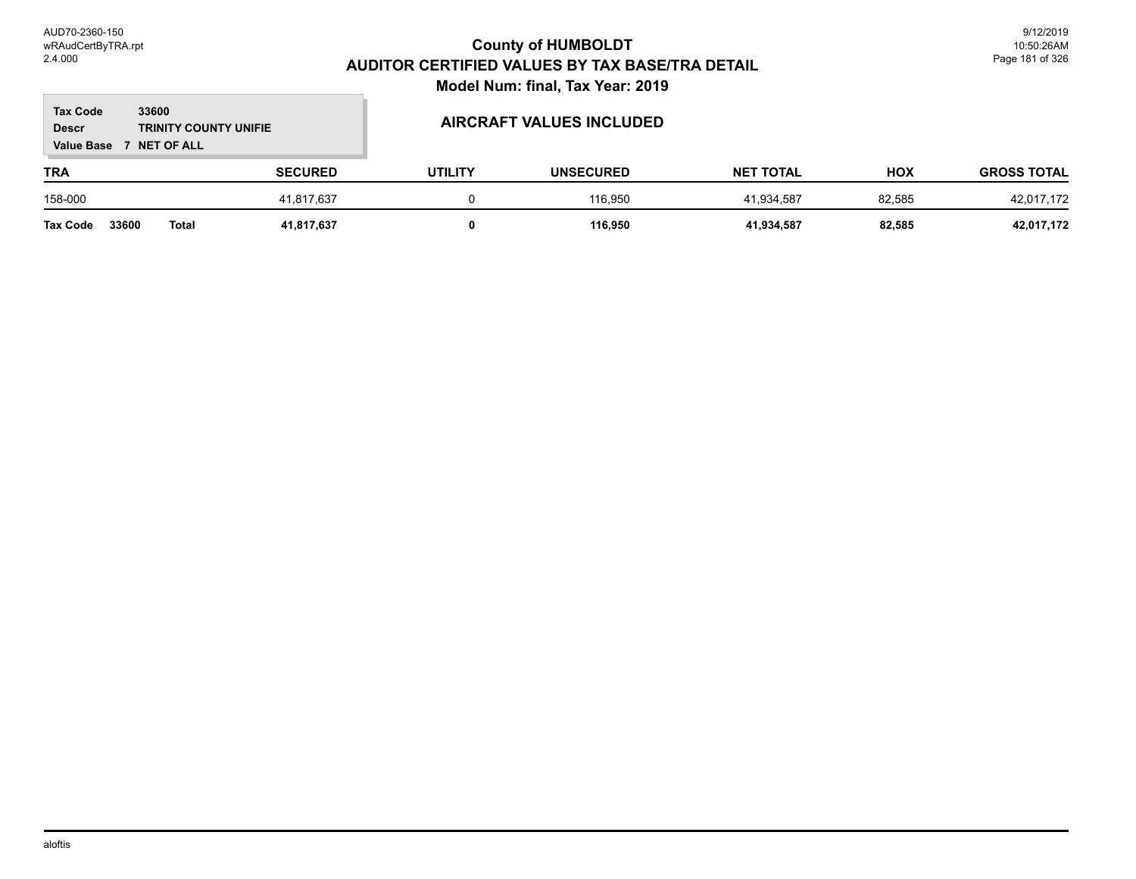### **TRA SECURED UTILITY UNSECURED HOX Tax Code Value Base 7 NET OF ALL 33600 GROSS TOTAL NET TOTAL Descr TRINITY COUNTY UNIFIE AIRCRAFT VALUES INCLUDED** 158-000 41,817,637 0 116,950 41,934,587 82,585 42,017,172 **Tax Code 33600 Total 41,817,637 0 116,950 41,934,587 82,585 42,017,172**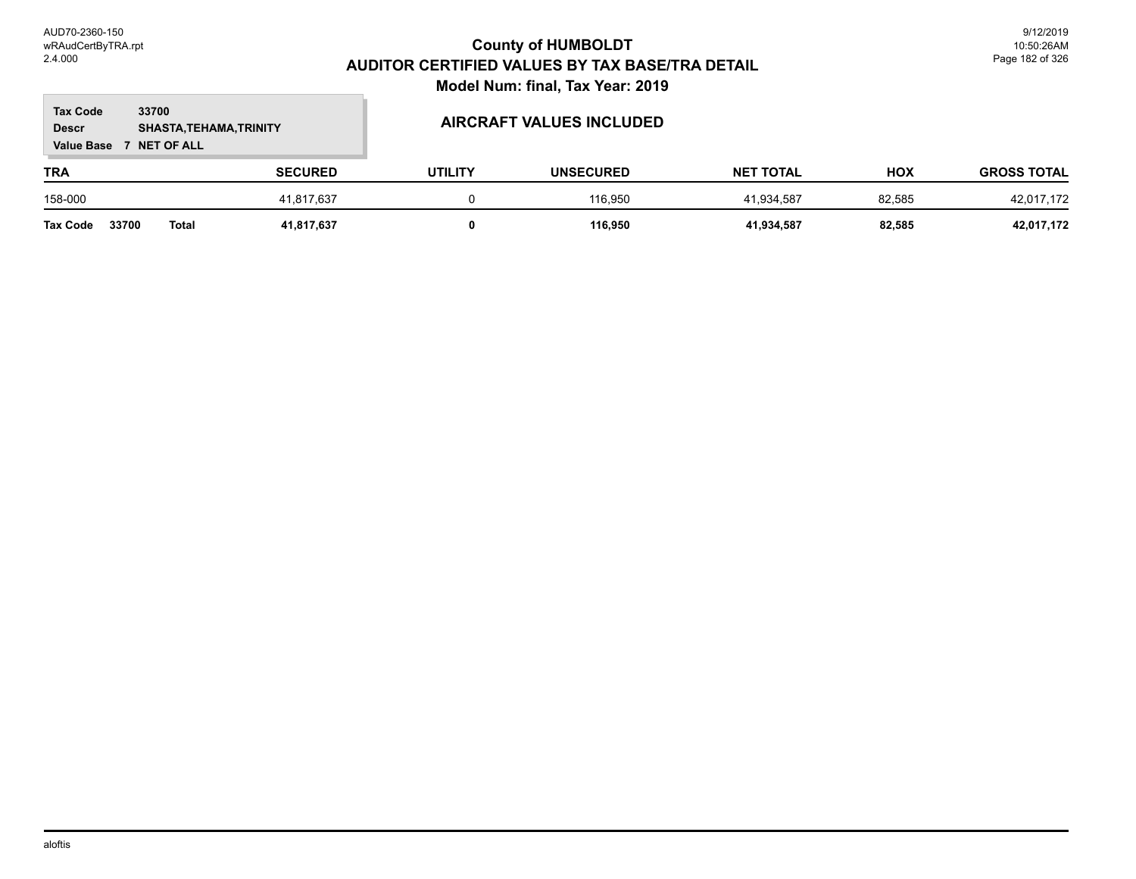### **TRA SECURED UTILITY UNSECURED HOX Tax Code Value Base 7 NET OF ALL 33700 GROSS TOTAL NET TOTAL Descr SHASTA,TEHAMA,TRINITY AIRCRAFT VALUES INCLUDED** 158-000 41,817,637 0 116,950 41,934,587 82,585 42,017,172 **Tax Code 33700 Total 41,817,637 0 116,950 41,934,587 82,585 42,017,172**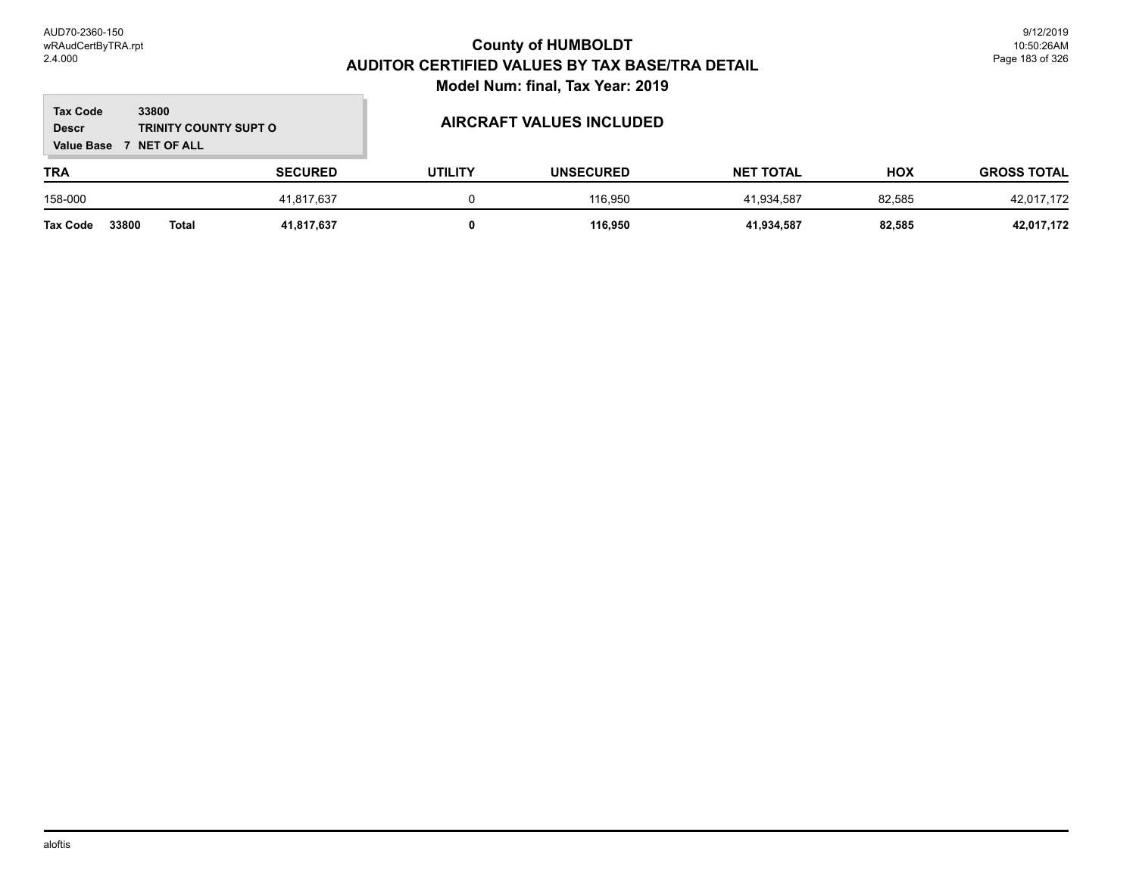### **TRA SECURED UTILITY UNSECURED HOX Tax Code Value Base 7 NET OF ALL 33800 GROSS TOTAL NET TOTAL Descr TRINITY COUNTY SUPT O AIRCRAFT VALUES INCLUDED** 158-000 41,817,637 0 116,950 41,934,587 82,585 42,017,172 **Tax Code 33800 Total 41,817,637 0 116,950 41,934,587 82,585 42,017,172**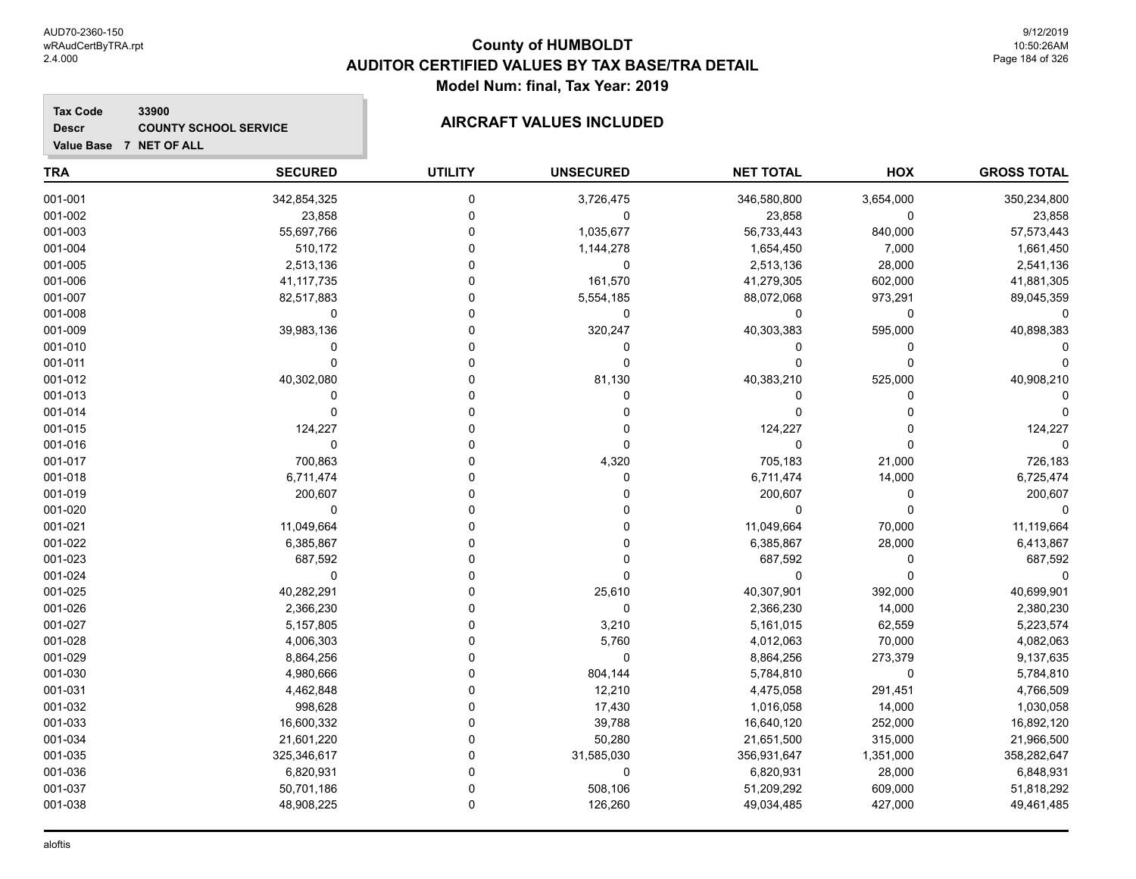**Tax Code**

**Descr**

### **County of HUMBOLDT AUDITOR CERTIFIED VALUES BY TAX BASE/TRA DETAIL Model Num: final, Tax Year: 2019**

### **33900 COUNTY SCHOOL SERVICE AIRCRAFT VALUES INCLUDED**

001-029 8,864,256 0 0 8,864,256 273,379 9,137,635 001-030 4,980,666 0 804,144 5,784,810 0 5,784,810 001-031 4,462,848 0 12,210 4,475,058 291,451 4,766,509 001-032 998,628 0 17,430 1,016,058 1,000 1,030,058 001-033 16,600,332 0 39,788 16,640,120 252,000 16,892,120 001-034 21,601,220 0 50,280 21,651,500 315,000 21,966,500 001-035 325,346,617 0 31,585,030 356,931,647 1,351,000 358,282,647 001-036 6,820,931 0 0 6,820,931 28,000 6,848,931 001-037 50,701,186 0 508,106 51,209,292 609,000 51,818,292 001-038 48,908,225 0 126,260 49,034,485 427,000 49,461,485

| Value Base 7 NET OF ALL |                |                |                  |                  |           |                    |
|-------------------------|----------------|----------------|------------------|------------------|-----------|--------------------|
| TRA                     | <b>SECURED</b> | <b>UTILITY</b> | <b>UNSECURED</b> | <b>NET TOTAL</b> | HOX       | <b>GROSS TOTAL</b> |
| 001-001                 | 342,854,325    | $\Omega$       | 3,726,475        | 346,580,800      | 3,654,000 | 350,234,800        |
| 001-002                 | 23,858         |                | 0                | 23,858           | $\Omega$  | 23,858             |
| 001-003                 | 55,697,766     |                | 1,035,677        | 56,733,443       | 840,000   | 57,573,443         |
| 001-004                 | 510,172        |                | 1,144,278        | 1,654,450        | 7,000     | 1,661,450          |
| 001-005                 | 2,513,136      |                | $\Omega$         | 2,513,136        | 28,000    | 2,541,136          |
| 001-006                 | 41, 117, 735   |                | 161,570          | 41,279,305       | 602,000   | 41,881,305         |
| 001-007                 | 82,517,883     |                | 5,554,185        | 88,072,068       | 973,291   | 89,045,359         |
| 001-008                 | 0              |                | 0                | 0                | $\Omega$  |                    |
| 001-009                 | 39,983,136     |                | 320,247          | 40,303,383       | 595,000   | 40,898,383         |
| 001-010                 |                |                |                  |                  |           |                    |
| 001-011                 |                |                |                  |                  |           |                    |
| 001-012                 | 40,302,080     |                | 81,130           | 40,383,210       | 525,000   | 40,908,210         |
| 001-013                 |                |                |                  |                  |           |                    |
| 001-014                 |                |                |                  |                  |           |                    |
| 001-015                 | 124,227        |                |                  | 124,227          |           | 124,227            |
| 001-016                 |                |                |                  | $\Omega$         |           |                    |
| 001-017                 | 700,863        |                | 4,320            | 705,183          | 21,000    | 726,183            |
| 001-018                 | 6,711,474      |                |                  | 6,711,474        | 14,000    | 6,725,474          |
| 001-019                 | 200,607        |                |                  | 200,607          |           | 200,607            |
| 001-020                 | ∩              |                |                  | 0                |           |                    |
| 001-021                 | 11,049,664     |                |                  | 11,049,664       | 70,000    | 11,119,664         |
| 001-022                 | 6,385,867      |                |                  | 6,385,867        | 28,000    | 6,413,867          |
| 001-023                 | 687,592        |                |                  | 687,592          |           | 687,592            |
| 001-024                 |                |                |                  | $\Omega$         |           |                    |
| 001-025                 | 40,282,291     |                | 25,610           | 40,307,901       | 392,000   | 40,699,901         |
| 001-026                 | 2,366,230      |                | 0                | 2,366,230        | 14,000    | 2,380,230          |
| 001-027                 | 5,157,805      |                | 3,210            | 5,161,015        | 62,559    | 5,223,574          |
| 001-028                 | 4,006,303      |                | 5,760            | 4,012,063        | 70,000    | 4,082,063          |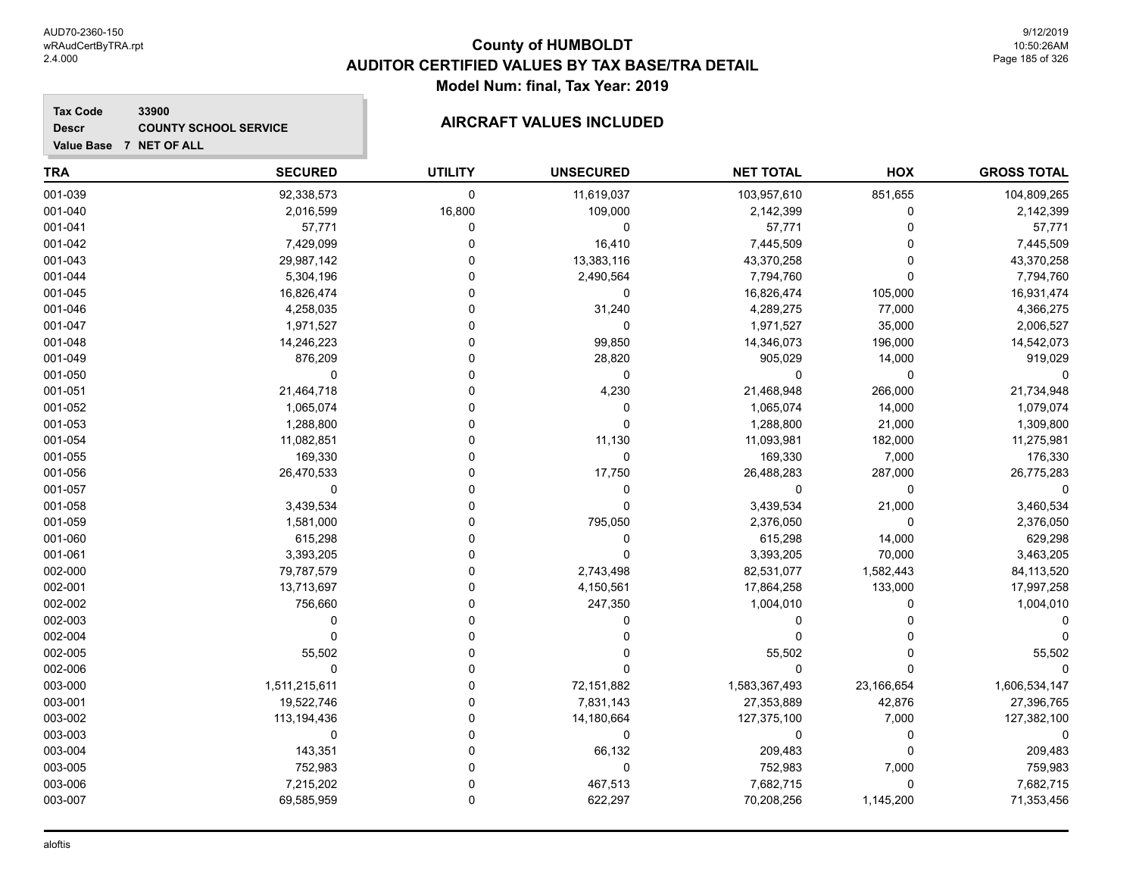#### **Tax Code 33900 Descr**

# **COUNTY SCHOOL SERVICE AIRCRAFT VALUES INCLUDED**

| Value Base 7 NET OF ALL |  |  |  |
|-------------------------|--|--|--|
|                         |  |  |  |

| <b>TRA</b> | <b>SECURED</b> | <b>UTILITY</b> | <b>UNSECURED</b> | <b>NET TOTAL</b> | HOX         | <b>GROSS TOTAL</b> |
|------------|----------------|----------------|------------------|------------------|-------------|--------------------|
| 001-039    | 92,338,573     | 0              | 11,619,037       | 103,957,610      | 851,655     | 104,809,265        |
| 001-040    | 2,016,599      | 16,800         | 109,000          | 2,142,399        | 0           | 2,142,399          |
| 001-041    | 57,771         | 0              | 0                | 57,771           | $\mathbf 0$ | 57,771             |
| 001-042    | 7,429,099      | 0              | 16,410           | 7,445,509        | $\Omega$    | 7,445,509          |
| 001-043    | 29,987,142     | 0              | 13,383,116       | 43,370,258       | $\Omega$    | 43,370,258         |
| 001-044    | 5,304,196      |                | 2,490,564        | 7,794,760        | $\Omega$    | 7,794,760          |
| 001-045    | 16,826,474     |                | 0                | 16,826,474       | 105,000     | 16,931,474         |
| 001-046    | 4,258,035      |                | 31,240           | 4,289,275        | 77,000      | 4,366,275          |
| 001-047    | 1,971,527      | O              | 0                | 1,971,527        | 35,000      | 2,006,527          |
| 001-048    | 14,246,223     | 0              | 99,850           | 14,346,073       | 196,000     | 14,542,073         |
| 001-049    | 876,209        | O              | 28,820           | 905,029          | 14,000      | 919,029            |
| 001-050    | $\Omega$       | O              | $\mathbf 0$      | 0                | $\mathbf 0$ |                    |
| 001-051    | 21,464,718     | 0              | 4,230            | 21,468,948       | 266,000     | 21,734,948         |
| 001-052    | 1,065,074      | 0              | 0                | 1,065,074        | 14,000      | 1,079,074          |
| 001-053    | 1,288,800      |                | 0                | 1,288,800        | 21,000      | 1,309,800          |
| 001-054    | 11,082,851     |                | 11,130           | 11,093,981       | 182,000     | 11,275,981         |
| 001-055    | 169,330        | C              | 0                | 169,330          | 7,000       | 176,330            |
| 001-056    | 26,470,533     | O              | 17,750           | 26,488,283       | 287,000     | 26,775,283         |
| 001-057    | $\mathbf 0$    | O              | 0                | 0                | $\mathbf 0$ |                    |
| 001-058    | 3,439,534      |                | 0                | 3,439,534        | 21,000      | 3,460,534          |
| 001-059    | 1,581,000      |                | 795,050          | 2,376,050        | 0           | 2,376,050          |
| 001-060    | 615,298        | 0              | 0                | 615,298          | 14,000      | 629,298            |
| 001-061    | 3,393,205      | 0              | U                | 3,393,205        | 70,000      | 3,463,205          |
| 002-000    | 79,787,579     |                | 2,743,498        | 82,531,077       | 1,582,443   | 84,113,520         |
| 002-001    | 13,713,697     | C              | 4,150,561        | 17,864,258       | 133,000     | 17,997,258         |
| 002-002    | 756,660        | 0              | 247,350          | 1,004,010        | 0           | 1,004,010          |
| 002-003    | $\mathbf 0$    | 0              | 0                | 0                | $\Omega$    |                    |
| 002-004    | $\mathbf 0$    | O              | 0                | 0                | $\Omega$    |                    |
| 002-005    | 55,502         | O              | 0                | 55,502           | $\Omega$    | 55,502             |
| 002-006    | $\Omega$       | O              | 0                | 0                | $\Omega$    |                    |
| 003-000    | 1,511,215,611  | $\Omega$       | 72,151,882       | 1,583,367,493    | 23,166,654  | 1,606,534,147      |
| 003-001    | 19,522,746     | 0              | 7,831,143        | 27,353,889       | 42,876      | 27,396,765         |
| 003-002    | 113, 194, 436  | 0              | 14,180,664       | 127,375,100      | 7,000       | 127,382,100        |
| 003-003    | 0              | C              | 0                | 0                | 0           | 0                  |
| 003-004    | 143,351        |                | 66,132           | 209,483          | $\Omega$    | 209,483            |
| 003-005    | 752,983        | 0              | 0                | 752,983          | 7,000       | 759,983            |
| 003-006    | 7,215,202      | $\Omega$       | 467,513          | 7,682,715        | $\mathbf 0$ | 7,682,715          |
| 003-007    | 69,585,959     | $\Omega$       | 622,297          | 70,208,256       | 1,145,200   | 71,353,456         |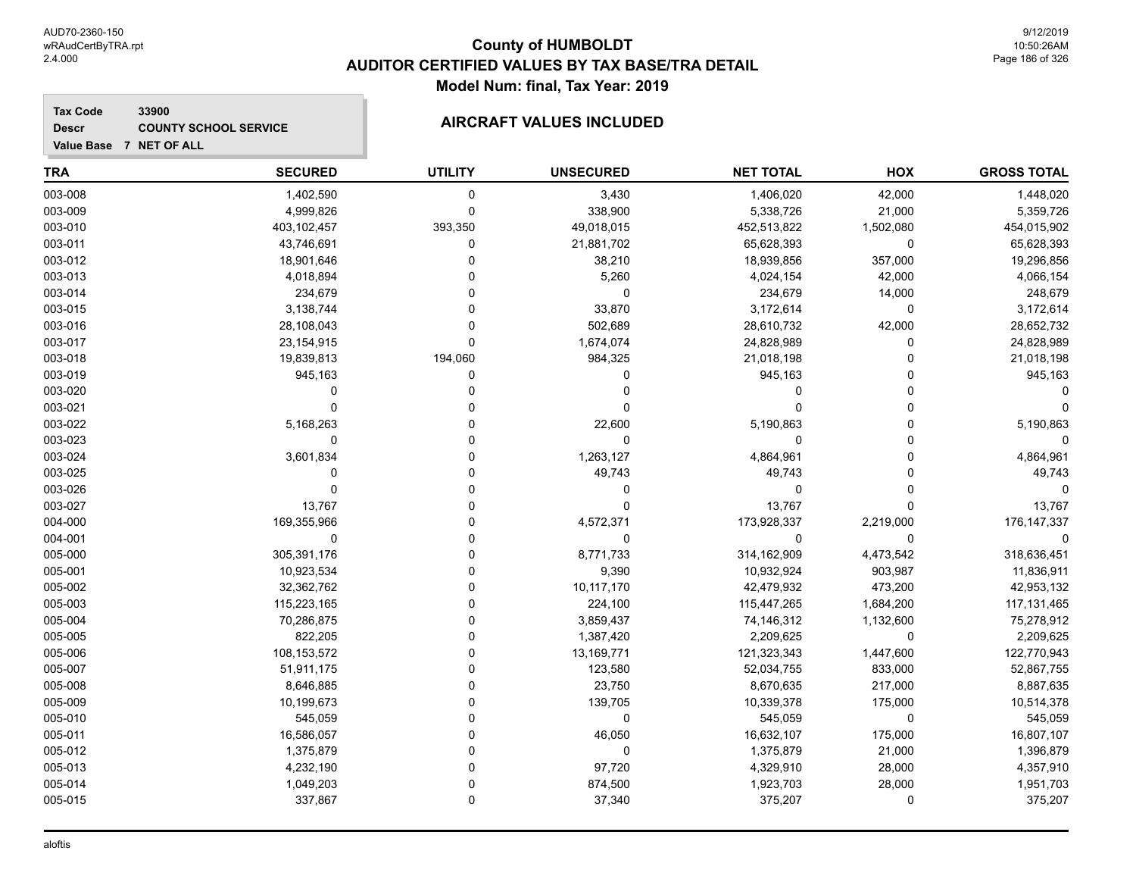### **Tax Code 33900 Descr**

# **COUNTY SCHOOL SERVICE AIRCRAFT VALUES INCLUDED**

|  | Value Base 7 NET OF ALL |
|--|-------------------------|
|  |                         |

| <b>TRA</b> | <b>SECURED</b> | <b>UTILITY</b> | <b>UNSECURED</b> | <b>NET TOTAL</b> | HOX       | <b>GROSS TOTAL</b> |
|------------|----------------|----------------|------------------|------------------|-----------|--------------------|
| 003-008    | 1,402,590      | $\mathbf 0$    | 3,430            | 1,406,020        | 42,000    | 1,448,020          |
| 003-009    | 4,999,826      | $\mathbf 0$    | 338,900          | 5,338,726        | 21,000    | 5,359,726          |
| 003-010    | 403,102,457    | 393,350        | 49,018,015       | 452,513,822      | 1,502,080 | 454,015,902        |
| 003-011    | 43,746,691     | 0              | 21,881,702       | 65,628,393       | 0         | 65,628,393         |
| 003-012    | 18,901,646     | $\Omega$       | 38,210           | 18,939,856       | 357,000   | 19,296,856         |
| 003-013    | 4,018,894      | $\Omega$       | 5,260            | 4,024,154        | 42,000    | 4,066,154          |
| 003-014    | 234,679        | $\Omega$       | 0                | 234,679          | 14,000    | 248,679            |
| 003-015    | 3,138,744      | $\Omega$       | 33,870           | 3,172,614        | 0         | 3,172,614          |
| 003-016    | 28,108,043     | $\Omega$       | 502,689          | 28,610,732       | 42,000    | 28,652,732         |
| 003-017    | 23, 154, 915   | $\mathbf 0$    | 1,674,074        | 24,828,989       | 0         | 24,828,989         |
| 003-018    | 19,839,813     | 194,060        | 984,325          | 21,018,198       | 0         | 21,018,198         |
| 003-019    | 945,163        | 0              | 0                | 945,163          | 0         | 945,163            |
| 003-020    | 0              | $\Omega$       | 0                | U                | 0         |                    |
| 003-021    | 0              | 0              | $\mathbf 0$      |                  | 0         |                    |
| 003-022    | 5,168,263      | $\Omega$       | 22,600           | 5,190,863        | 0         | 5,190,863          |
| 003-023    | $\mathbf 0$    | $\Omega$       | 0                | $\Omega$         | 0         | $\mathbf 0$        |
| 003-024    | 3,601,834      | $\Omega$       | 1,263,127        | 4,864,961        | 0         | 4,864,961          |
| 003-025    | 0              | $\Omega$       | 49,743           | 49,743           | 0         | 49,743             |
| 003-026    | $\Omega$       | $\Omega$       | 0                | $\Omega$         | 0         | $\Omega$           |
| 003-027    | 13,767         | $\Omega$       | 0                | 13,767           | 0         | 13,767             |
| 004-000    | 169,355,966    | $\mathbf 0$    | 4,572,371        | 173,928,337      | 2,219,000 | 176, 147, 337      |
| 004-001    | 0              | $\Omega$       | 0                | 0                | 0         | $\Omega$           |
| 005-000    | 305,391,176    | $\Omega$       | 8,771,733        | 314,162,909      | 4,473,542 | 318,636,451        |
| 005-001    | 10,923,534     | $\Omega$       | 9,390            | 10,932,924       | 903,987   | 11,836,911         |
| 005-002    | 32,362,762     | $\Omega$       | 10,117,170       | 42,479,932       | 473,200   | 42,953,132         |
| 005-003    | 115,223,165    | $\Omega$       | 224,100          | 115,447,265      | 1,684,200 | 117, 131, 465      |
| 005-004    | 70,286,875     | $\mathbf 0$    | 3,859,437        | 74,146,312       | 1,132,600 | 75,278,912         |
| 005-005    | 822,205        | $\mathbf 0$    | 1,387,420        | 2,209,625        | 0         | 2,209,625          |
| 005-006    | 108,153,572    | $\Omega$       | 13,169,771       | 121,323,343      | 1,447,600 | 122,770,943        |
| 005-007    | 51,911,175     | $\Omega$       | 123,580          | 52,034,755       | 833,000   | 52,867,755         |
| 005-008    | 8,646,885      | $\Omega$       | 23,750           | 8,670,635        | 217,000   | 8,887,635          |
| 005-009    | 10,199,673     | $\Omega$       | 139,705          | 10,339,378       | 175,000   | 10,514,378         |
| 005-010    | 545,059        | $\Omega$       | 0                | 545,059          | 0         | 545,059            |
| 005-011    | 16,586,057     | $\Omega$       | 46,050           | 16,632,107       | 175,000   | 16,807,107         |
| 005-012    | 1,375,879      | $\Omega$       | $\Omega$         | 1,375,879        | 21,000    | 1,396,879          |
| 005-013    | 4,232,190      | $\Omega$       | 97,720           | 4,329,910        | 28,000    | 4,357,910          |
| 005-014    | 1,049,203      | $\mathbf 0$    | 874,500          | 1,923,703        | 28,000    | 1,951,703          |
| 005-015    | 337,867        | $\mathbf 0$    | 37,340           | 375,207          | 0         | 375,207            |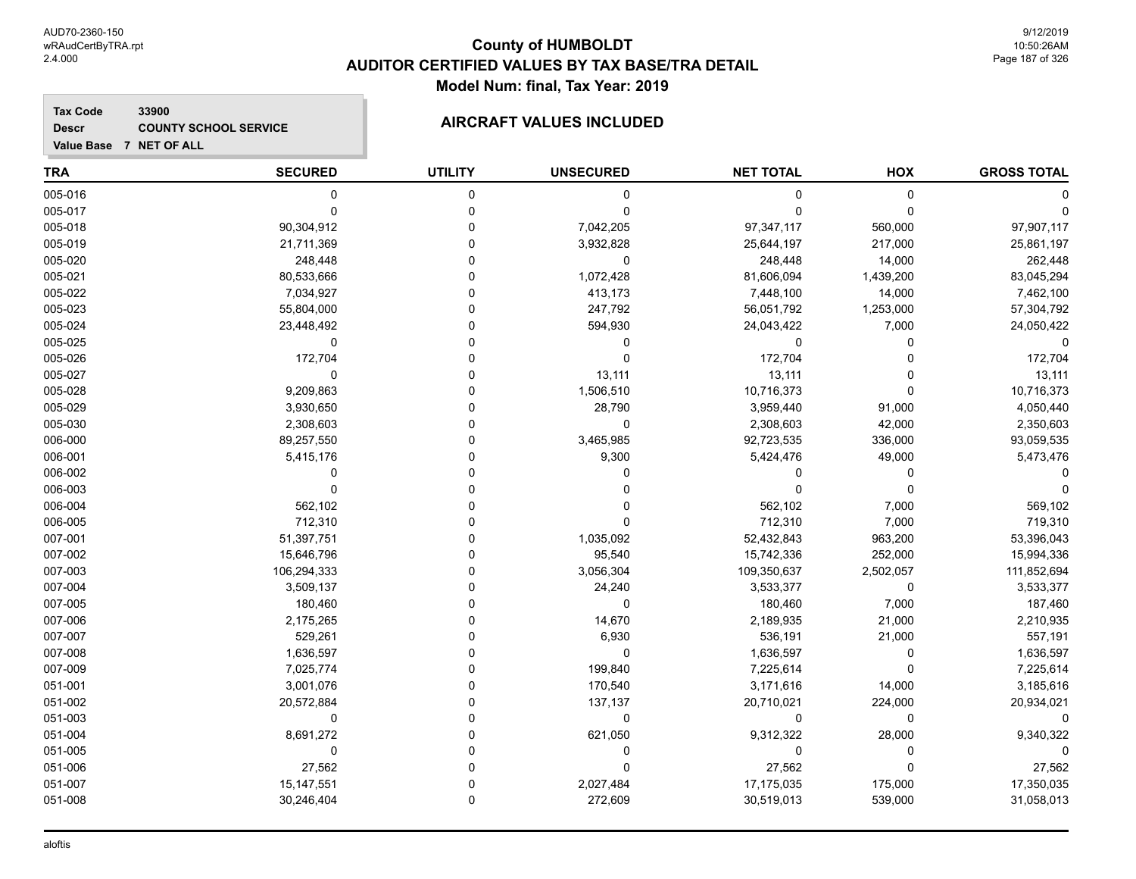**Tax Code 33900 Descr**

# **COUNTY SCHOOL SERVICE AIRCRAFT VALUES INCLUDED**

| <b>TRA</b> | <b>SECURED</b> | <b>UTILITY</b> | <b>UNSECURED</b> | <b>NET TOTAL</b> | HOX         | <b>GROSS TOTAL</b> |
|------------|----------------|----------------|------------------|------------------|-------------|--------------------|
| 005-016    | 0              | 0              | 0                | 0                | $\mathbf 0$ |                    |
| 005-017    | $\Omega$       | $\Omega$       | $\mathbf 0$      | 0                | $\Omega$    |                    |
| 005-018    | 90,304,912     | 0              | 7,042,205        | 97,347,117       | 560,000     | 97,907,117         |
| 005-019    | 21,711,369     | $\Omega$       | 3,932,828        | 25,644,197       | 217,000     | 25,861,197         |
| 005-020    | 248,448        | 0              | $\mathbf 0$      | 248,448          | 14,000      | 262,448            |
| 005-021    | 80,533,666     | 0              | 1,072,428        | 81,606,094       | 1,439,200   | 83,045,294         |
| 005-022    | 7,034,927      | 0              | 413,173          | 7,448,100        | 14,000      | 7,462,100          |
| 005-023    | 55,804,000     | 0              | 247,792          | 56,051,792       | 1,253,000   | 57,304,792         |
| 005-024    | 23,448,492     | $\Omega$       | 594,930          | 24,043,422       | 7,000       | 24,050,422         |
| 005-025    | 0              | $\Omega$       | 0                | 0                | 0           | $\Omega$           |
| 005-026    | 172,704        | $\Omega$       | $\mathbf 0$      | 172,704          | $\Omega$    | 172,704            |
| 005-027    | 0              | $\Omega$       | 13,111           | 13,111           | $\Omega$    | 13,111             |
| 005-028    | 9,209,863      | $\Omega$       | 1,506,510        | 10,716,373       | $\Omega$    | 10,716,373         |
| 005-029    | 3,930,650      | 0              | 28,790           | 3,959,440        | 91,000      | 4,050,440          |
| 005-030    | 2,308,603      | $\Omega$       | $\mathbf 0$      | 2,308,603        | 42,000      | 2,350,603          |
| 006-000    | 89,257,550     | $\Omega$       | 3,465,985        | 92,723,535       | 336,000     | 93,059,535         |
| 006-001    | 5,415,176      | $\Omega$       | 9,300            | 5,424,476        | 49,000      | 5,473,476          |
| 006-002    | 0              | 0              | 0                | 0                | 0           |                    |
| 006-003    | $\mathbf{0}$   | $\Omega$       | 0                | 0                | $\Omega$    |                    |
| 006-004    | 562,102        | $\Omega$       | 0                | 562,102          | 7,000       | 569,102            |
| 006-005    | 712,310        | O              | $\Omega$         | 712,310          | 7,000       | 719,310            |
| 007-001    | 51,397,751     | 0              | 1,035,092        | 52,432,843       | 963,200     | 53,396,043         |
| 007-002    | 15,646,796     | O              | 95,540           | 15,742,336       | 252,000     | 15,994,336         |
| 007-003    | 106,294,333    | $\Omega$       | 3,056,304        | 109,350,637      | 2,502,057   | 111,852,694        |
| 007-004    | 3,509,137      | 0              | 24,240           | 3,533,377        | $\mathbf 0$ | 3,533,377          |
| 007-005    | 180,460        | $\Omega$       | $\mathbf 0$      | 180,460          | 7,000       | 187,460            |
| 007-006    | 2,175,265      | O              | 14,670           | 2,189,935        | 21,000      | 2,210,935          |
| 007-007    | 529,261        | $\Omega$       | 6,930            | 536,191          | 21,000      | 557,191            |
| 007-008    | 1,636,597      | $\Omega$       | $\mathbf 0$      | 1,636,597        | 0           | 1,636,597          |
| 007-009    | 7,025,774      | $\Omega$       | 199,840          | 7,225,614        | $\Omega$    | 7,225,614          |
| 051-001    | 3,001,076      | 0              | 170,540          | 3,171,616        | 14,000      | 3,185,616          |
| 051-002    | 20,572,884     | 0              | 137,137          | 20,710,021       | 224,000     | 20,934,021         |
| 051-003    | 0              | 0              | $\mathbf 0$      | 0                | 0           | $\Omega$           |
| 051-004    | 8,691,272      | $\Omega$       | 621,050          | 9,312,322        | 28,000      | 9,340,322          |
| 051-005    | 0              | $\Omega$       | 0                | 0                | $\mathbf 0$ | $\Omega$           |
| 051-006    | 27,562         | 0              | 0                | 27,562           | $\mathbf 0$ | 27,562             |
| 051-007    | 15, 147, 551   | $\Omega$       | 2,027,484        | 17,175,035       | 175,000     | 17,350,035         |
| 051-008    | 30,246,404     | $\mathbf{0}$   | 272,609          | 30,519,013       | 539,000     | 31,058,013         |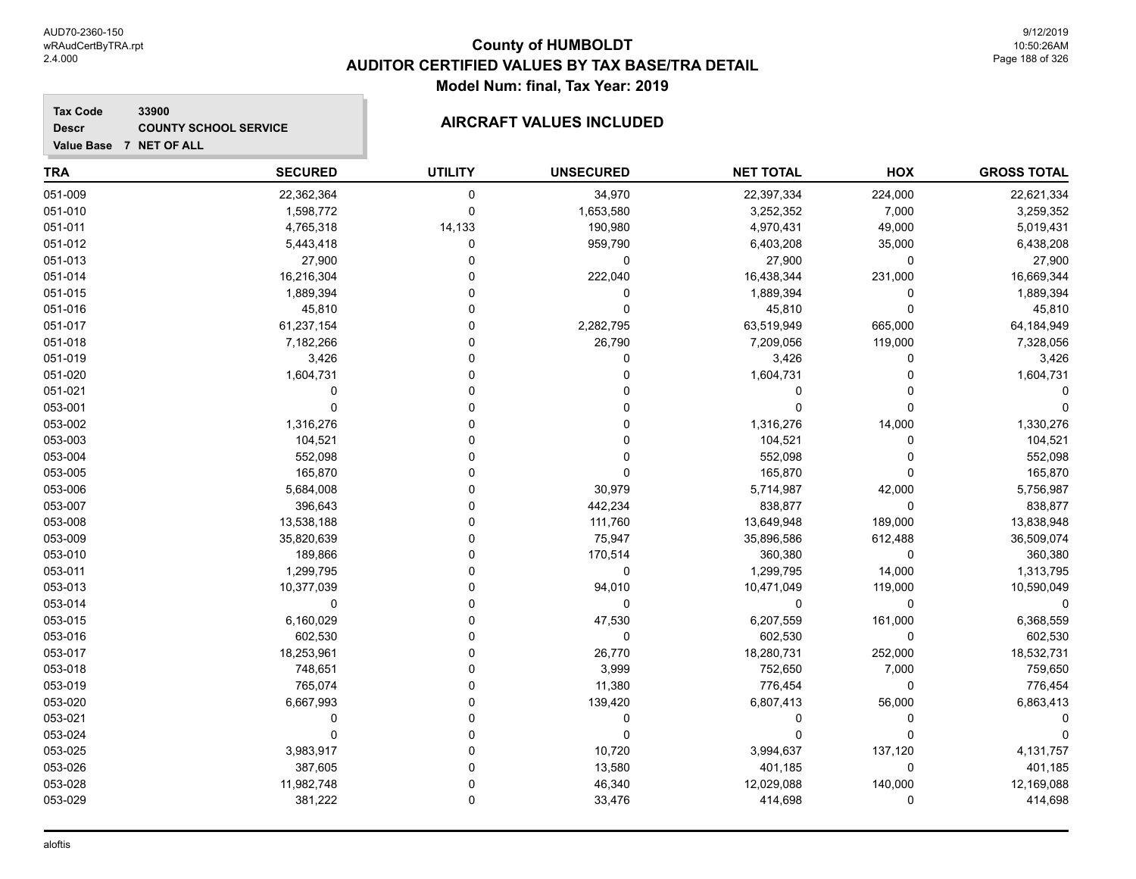**Value Base 7 NET OF ALL**

### **County of HUMBOLDT AUDITOR CERTIFIED VALUES BY TAX BASE/TRA DETAIL Model Num: final, Tax Year: 2019**

### **Tax Code 33900 Descr**

# **COUNTY SCHOOL SERVICE AIRCRAFT VALUES INCLUDED**

| <b>TRA</b> | <b>SECURED</b> | <b>UTILITY</b> | <b>UNSECURED</b> | <b>NET TOTAL</b> | HOX      | <b>GROSS TOTAL</b> |
|------------|----------------|----------------|------------------|------------------|----------|--------------------|
| 051-009    | 22,362,364     | 0              | 34,970           | 22,397,334       | 224,000  | 22,621,334         |
| 051-010    | 1,598,772      | $\mathbf 0$    | 1,653,580        | 3,252,352        | 7,000    | 3,259,352          |
| 051-011    | 4,765,318      | 14,133         | 190,980          | 4,970,431        | 49,000   | 5,019,431          |
| 051-012    | 5,443,418      | 0              | 959,790          | 6,403,208        | 35,000   | 6,438,208          |
| 051-013    | 27,900         | $\Omega$       | 0                | 27,900           | 0        | 27,900             |
| 051-014    | 16,216,304     |                | 222,040          | 16,438,344       | 231,000  | 16,669,344         |
| 051-015    | 1,889,394      | 0              | 0                | 1,889,394        | 0        | 1,889,394          |
| 051-016    | 45,810         | 0              | $\Omega$         | 45,810           | 0        | 45,810             |
| 051-017    | 61,237,154     | 0              | 2,282,795        | 63,519,949       | 665,000  | 64,184,949         |
| 051-018    | 7,182,266      | 0              | 26,790           | 7,209,056        | 119,000  | 7,328,056          |
| 051-019    | 3,426          |                | $\Omega$         | 3,426            | 0        | 3,426              |
| 051-020    | 1,604,731      |                |                  | 1,604,731        | $\Omega$ | 1,604,731          |
| 051-021    | 0              | $\Omega$       |                  | 0                | 0        |                    |
| 053-001    | $\mathbf 0$    | $\Omega$       |                  | $\Omega$         | 0        |                    |
| 053-002    | 1,316,276      |                |                  | 1,316,276        | 14,000   | 1,330,276          |
| 053-003    | 104,521        |                |                  | 104,521          | 0        | 104,521            |
| 053-004    | 552,098        | 0              |                  | 552,098          | 0        | 552,098            |
| 053-005    | 165,870        | 0              | 0                | 165,870          | 0        | 165,870            |
| 053-006    | 5,684,008      | 0              | 30,979           | 5,714,987        | 42,000   | 5,756,987          |
| 053-007    | 396,643        | 0              | 442,234          | 838,877          | 0        | 838,877            |
| 053-008    | 13,538,188     |                | 111,760          | 13,649,948       | 189,000  | 13,838,948         |
| 053-009    | 35,820,639     |                | 75,947           | 35,896,586       | 612,488  | 36,509,074         |
| 053-010    | 189,866        | $\Omega$       | 170,514          | 360,380          | 0        | 360,380            |
| 053-011    | 1,299,795      | $\Omega$       | 0                | 1,299,795        | 14,000   | 1,313,795          |
| 053-013    | 10,377,039     | $\Omega$       | 94,010           | 10,471,049       | 119,000  | 10,590,049         |
| 053-014    | 0              |                | 0                | 0                | 0        |                    |
| 053-015    | 6,160,029      | 0              | 47,530           | 6,207,559        | 161,000  | 6,368,559          |
| 053-016    | 602,530        | 0              | 0                | 602,530          | 0        | 602,530            |
| 053-017    | 18,253,961     | 0              | 26,770           | 18,280,731       | 252,000  | 18,532,731         |
| 053-018    | 748,651        | 0              | 3,999            | 752,650          | 7,000    | 759,650            |
| 053-019    | 765,074        |                | 11,380           | 776,454          | 0        | 776,454            |
| 053-020    | 6,667,993      | $\Omega$       | 139,420          | 6,807,413        | 56,000   | 6,863,413          |
| 053-021    | 0              | $\Omega$       | 0                | 0                | 0        |                    |
| 053-024    | $\mathbf 0$    | $\Omega$       | $\Omega$         | $\Omega$         | 0        |                    |
| 053-025    | 3,983,917      | $\Omega$       | 10,720           | 3,994,637        | 137,120  | 4,131,757          |
| 053-026    | 387,605        |                | 13,580           | 401,185          | 0        | 401,185            |
| 053-028    | 11,982,748     | 0              | 46,340           | 12,029,088       | 140,000  | 12,169,088         |
| 053-029    | 381,222        | 0              | 33,476           | 414,698          | 0        | 414,698            |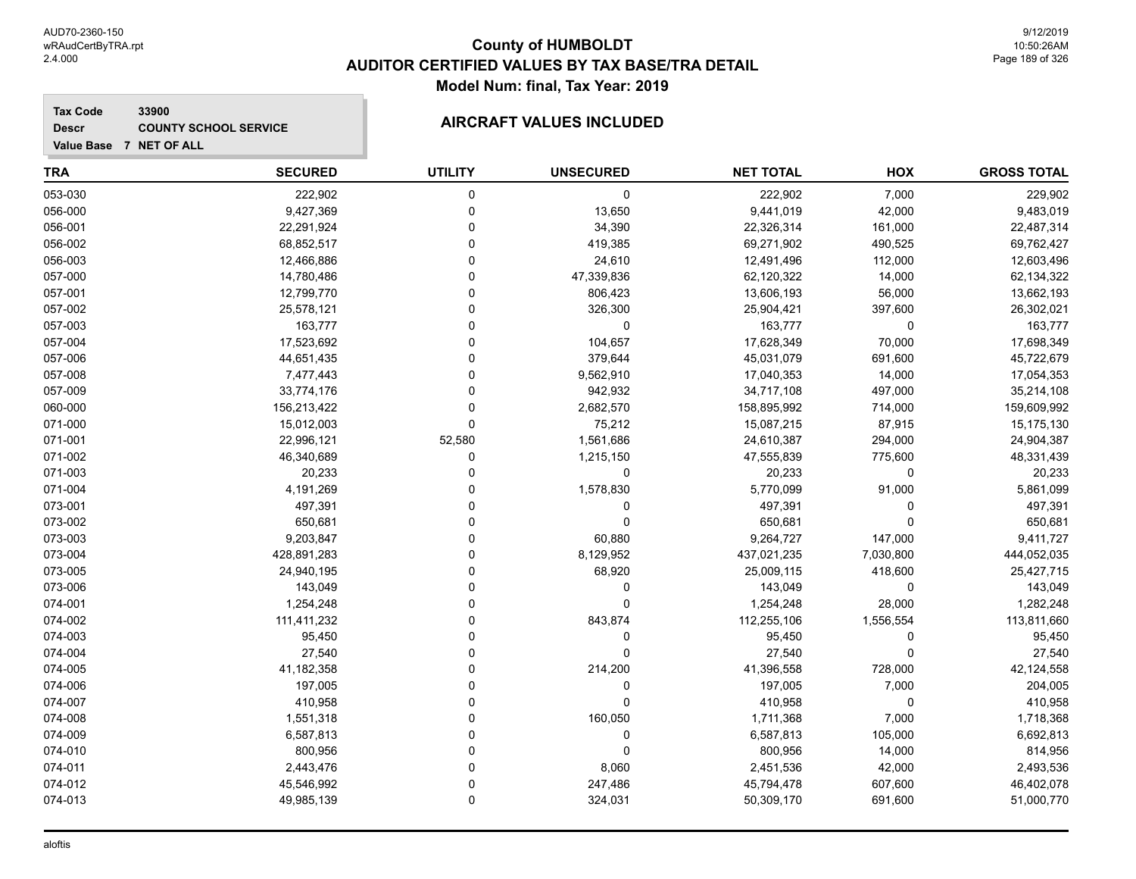### **Tax Code 33900 Descr**

# **COUNTY SCHOOL SERVICE AIRCRAFT VALUES INCLUDED**

| <b>TRA</b> | <b>SECURED</b> | <b>UTILITY</b> | <b>UNSECURED</b> | <b>NET TOTAL</b> | HOX         | <b>GROSS TOTAL</b> |
|------------|----------------|----------------|------------------|------------------|-------------|--------------------|
| 053-030    | 222,902        | 0              | 0                | 222,902          | 7,000       | 229,902            |
| 056-000    | 9,427,369      | $\mathbf 0$    | 13,650           | 9,441,019        | 42,000      | 9,483,019          |
| 056-001    | 22,291,924     | $\Omega$       | 34,390           | 22,326,314       | 161,000     | 22,487,314         |
| 056-002    | 68,852,517     | $\Omega$       | 419,385          | 69,271,902       | 490,525     | 69,762,427         |
| 056-003    | 12,466,886     | $\Omega$       | 24,610           | 12,491,496       | 112,000     | 12,603,496         |
| 057-000    | 14,780,486     | $\Omega$       | 47,339,836       | 62,120,322       | 14,000      | 62,134,322         |
| 057-001    | 12,799,770     | $\Omega$       | 806,423          | 13,606,193       | 56,000      | 13,662,193         |
| 057-002    | 25,578,121     | $\Omega$       | 326,300          | 25,904,421       | 397,600     | 26,302,021         |
| 057-003    | 163,777        | $\Omega$       | 0                | 163,777          | $\mathbf 0$ | 163,777            |
| 057-004    | 17,523,692     | $\Omega$       | 104,657          | 17,628,349       | 70,000      | 17,698,349         |
| 057-006    | 44,651,435     | $\Omega$       | 379,644          | 45,031,079       | 691,600     | 45,722,679         |
| 057-008    | 7,477,443      | $\Omega$       | 9,562,910        | 17,040,353       | 14,000      | 17,054,353         |
| 057-009    | 33,774,176     | 0              | 942,932          | 34,717,108       | 497,000     | 35,214,108         |
| 060-000    | 156,213,422    | $\Omega$       | 2,682,570        | 158,895,992      | 714,000     | 159,609,992        |
| 071-000    | 15,012,003     | $\Omega$       | 75,212           | 15,087,215       | 87,915      | 15,175,130         |
| 071-001    | 22,996,121     | 52,580         | 1,561,686        | 24,610,387       | 294,000     | 24,904,387         |
| 071-002    | 46,340,689     | $\Omega$       | 1,215,150        | 47,555,839       | 775,600     | 48,331,439         |
| 071-003    | 20,233         | $\Omega$       | $\mathbf 0$      | 20,233           | $\mathbf 0$ | 20,233             |
| 071-004    | 4,191,269      | $\Omega$       | 1,578,830        | 5,770,099        | 91,000      | 5,861,099          |
| 073-001    | 497,391        | n              | 0                | 497,391          | 0           | 497,391            |
| 073-002    | 650,681        | $\Omega$       | $\Omega$         | 650,681          | $\Omega$    | 650,681            |
| 073-003    | 9,203,847      | n              | 60,880           | 9,264,727        | 147,000     | 9,411,727          |
| 073-004    | 428,891,283    | $\Omega$       | 8,129,952        | 437,021,235      | 7,030,800   | 444,052,035        |
| 073-005    | 24,940,195     | $\Omega$       | 68,920           | 25,009,115       | 418,600     | 25,427,715         |
| 073-006    | 143,049        | $\Omega$       | $\pmb{0}$        | 143,049          | $\mathbf 0$ | 143,049            |
| 074-001    | 1,254,248      | $\Omega$       | $\Omega$         | 1,254,248        | 28,000      | 1,282,248          |
| 074-002    | 111,411,232    | $\Omega$       | 843,874          | 112,255,106      | 1,556,554   | 113,811,660        |
| 074-003    | 95,450         | $\Omega$       | 0                | 95,450           | 0           | 95,450             |
| 074-004    | 27,540         | $\Omega$       | $\mathbf 0$      | 27,540           | $\Omega$    | 27,540             |
| 074-005    | 41,182,358     | $\Omega$       | 214,200          | 41,396,558       | 728,000     | 42,124,558         |
| 074-006    | 197,005        | $\Omega$       | $\Omega$         | 197,005          | 7,000       | 204,005            |
| 074-007    | 410,958        | 0              | 0                | 410,958          | 0           | 410,958            |
| 074-008    | 1,551,318      | 0              | 160,050          | 1,711,368        | 7,000       | 1,718,368          |
| 074-009    | 6,587,813      | $\Omega$       | $\mathbf 0$      | 6,587,813        | 105,000     | 6,692,813          |
| 074-010    | 800,956        | $\Omega$       | $\mathbf 0$      | 800,956          | 14,000      | 814,956            |
| 074-011    | 2,443,476      | $\Omega$       | 8,060            | 2,451,536        | 42,000      | 2,493,536          |
| 074-012    | 45,546,992     | $\Omega$       | 247,486          | 45,794,478       | 607,600     | 46,402,078         |
| 074-013    | 49,985,139     | $\Omega$       | 324,031          | 50,309,170       | 691,600     | 51,000,770         |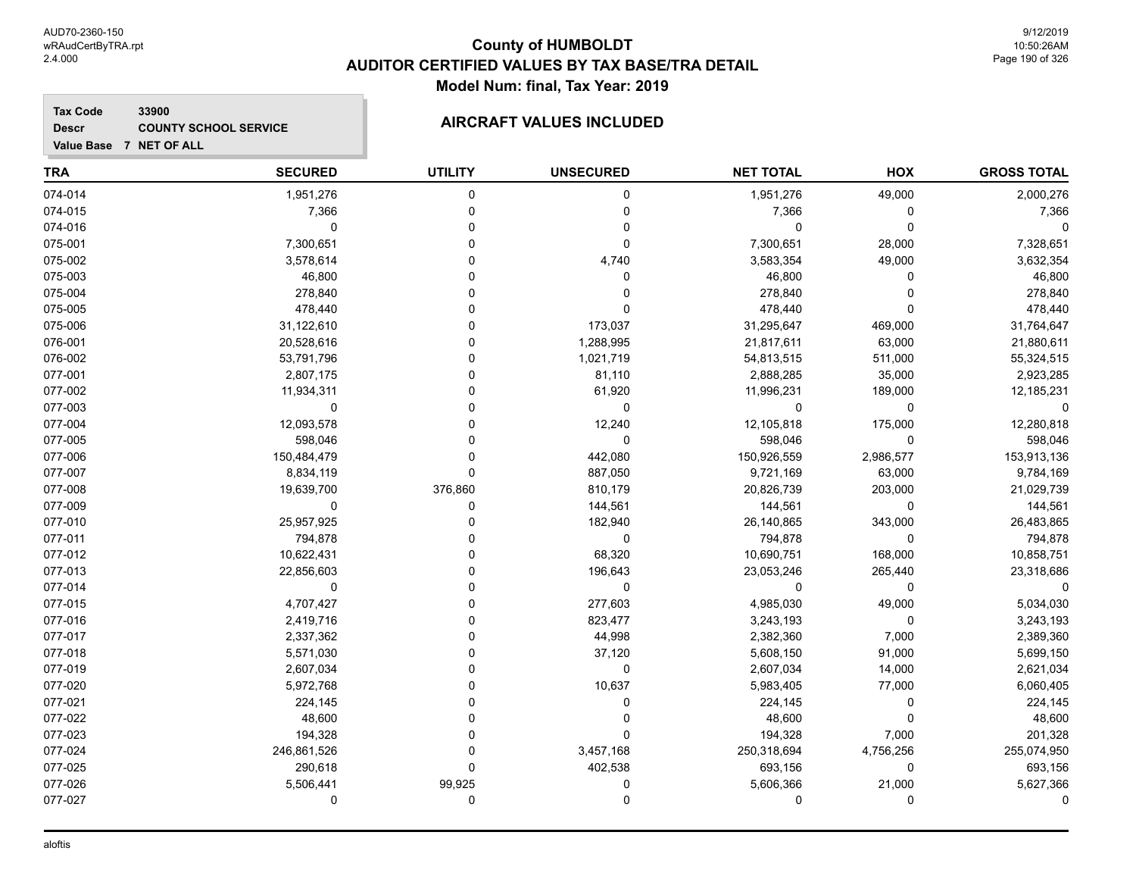### **Tax Code 33900 Descr**

# **COUNTY SCHOOL SERVICE AIRCRAFT VALUES INCLUDED**

| <b>TRA</b> | <b>SECURED</b> | <b>UTILITY</b> | <b>UNSECURED</b> | <b>NET TOTAL</b> | HOX       | <b>GROSS TOTAL</b> |
|------------|----------------|----------------|------------------|------------------|-----------|--------------------|
| 074-014    | 1,951,276      | $\mathbf 0$    | 0                | 1,951,276        | 49,000    | 2,000,276          |
| 074-015    | 7,366          | $\mathbf 0$    | $\mathbf 0$      | 7,366            | 0         | 7,366              |
| 074-016    | $\mathbf 0$    | $\Omega$       | $\mathbf 0$      | $\Omega$         | 0         | $\mathbf 0$        |
| 075-001    | 7,300,651      | $\Omega$       | 0                | 7,300,651        | 28,000    | 7,328,651          |
| 075-002    | 3,578,614      | $\Omega$       | 4,740            | 3,583,354        | 49,000    | 3,632,354          |
| 075-003    | 46,800         | $\Omega$       | $\mathbf 0$      | 46,800           | 0         | 46,800             |
| 075-004    | 278,840        | $\mathbf 0$    | 0                | 278,840          | 0         | 278,840            |
| 075-005    | 478,440        | $\Omega$       | $\Omega$         | 478,440          | 0         | 478,440            |
| 075-006    | 31,122,610     | $\Omega$       | 173,037          | 31,295,647       | 469,000   | 31,764,647         |
| 076-001    | 20,528,616     | $\Omega$       | 1,288,995        | 21,817,611       | 63,000    | 21,880,611         |
| 076-002    | 53,791,796     | $\Omega$       | 1,021,719        | 54,813,515       | 511,000   | 55,324,515         |
| 077-001    | 2,807,175      | $\Omega$       | 81,110           | 2,888,285        | 35,000    | 2,923,285          |
| 077-002    | 11,934,311     | $\Omega$       | 61,920           | 11,996,231       | 189,000   | 12,185,231         |
| 077-003    | 0              | $\Omega$       | 0                | $\Omega$         | 0         | $\Omega$           |
| 077-004    | 12,093,578     | $\Omega$       | 12,240           | 12,105,818       | 175,000   | 12,280,818         |
| 077-005    | 598,046        | $\Omega$       | 0                | 598,046          | 0         | 598,046            |
| 077-006    | 150,484,479    | $\Omega$       | 442,080          | 150,926,559      | 2,986,577 | 153,913,136        |
| 077-007    | 8,834,119      | $\mathbf 0$    | 887,050          | 9,721,169        | 63,000    | 9,784,169          |
| 077-008    | 19,639,700     | 376,860        | 810,179          | 20,826,739       | 203,000   | 21,029,739         |
| 077-009    | 0              | $\Omega$       | 144,561          | 144,561          | 0         | 144,561            |
| 077-010    | 25,957,925     | $\Omega$       | 182,940          | 26,140,865       | 343,000   | 26,483,865         |
| 077-011    | 794,878        | $\Omega$       | $\mathbf 0$      | 794,878          | 0         | 794,878            |
| 077-012    | 10,622,431     | 0              | 68,320           | 10,690,751       | 168,000   | 10,858,751         |
| 077-013    | 22,856,603     | 0              | 196,643          | 23,053,246       | 265,440   | 23,318,686         |
| 077-014    | $\pmb{0}$      | $\Omega$       | $\mathbf 0$      | $\mathbf 0$      | 0         | $\Omega$           |
| 077-015    | 4,707,427      | $\Omega$       | 277,603          | 4,985,030        | 49,000    | 5,034,030          |
| 077-016    | 2,419,716      | $\Omega$       | 823,477          | 3,243,193        | 0         | 3,243,193          |
| 077-017    | 2,337,362      | $\Omega$       | 44,998           | 2,382,360        | 7,000     | 2,389,360          |
| 077-018    | 5,571,030      | $\Omega$       | 37,120           | 5,608,150        | 91,000    | 5,699,150          |
| 077-019    | 2,607,034      | $\Omega$       | $\mathbf 0$      | 2,607,034        | 14,000    | 2,621,034          |
| 077-020    | 5,972,768      | $\Omega$       | 10,637           | 5,983,405        | 77,000    | 6,060,405          |
| 077-021    | 224,145        | $\Omega$       | 0                | 224,145          | 0         | 224,145            |
| 077-022    | 48,600         | $\Omega$       |                  | 48,600           | 0         | 48,600             |
| 077-023    | 194,328        | $\Omega$       | $\mathbf{0}$     | 194,328          | 7,000     | 201,328            |
| 077-024    | 246,861,526    | $\Omega$       | 3,457,168        | 250,318,694      | 4,756,256 | 255,074,950        |
| 077-025    | 290,618        | $\Omega$       | 402,538          | 693,156          | 0         | 693,156            |
| 077-026    | 5,506,441      | 99,925         | 0                | 5,606,366        | 21,000    | 5,627,366          |
| 077-027    | $\mathbf 0$    | $\mathbf 0$    | $\mathbf 0$      | $\Omega$         | 0         | $\Omega$           |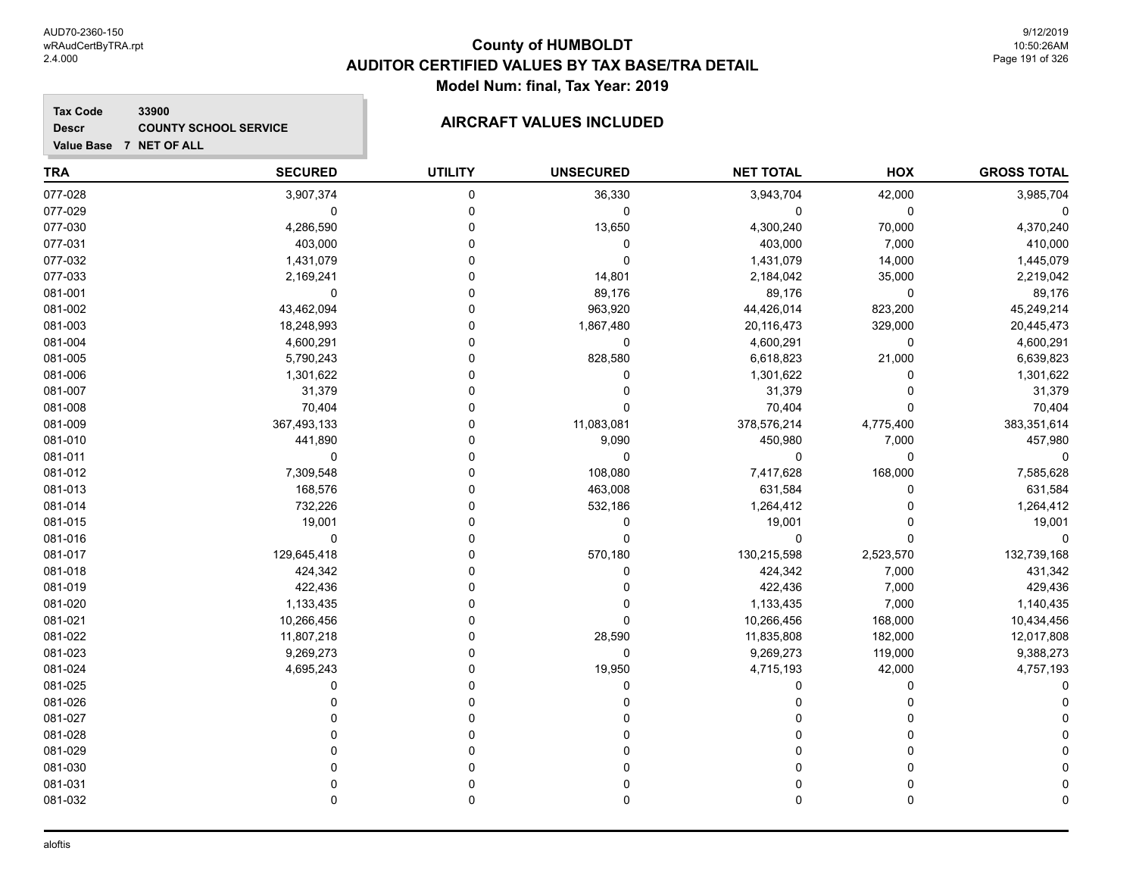### **Tax Code 33900 Descr**

# **COUNTY SCHOOL SERVICE AIRCRAFT VALUES INCLUDED**

| <b>TRA</b> | <b>SECURED</b> | <b>UTILITY</b> | <b>UNSECURED</b> | <b>NET TOTAL</b> | HOX         | <b>GROSS TOTAL</b> |
|------------|----------------|----------------|------------------|------------------|-------------|--------------------|
| 077-028    | 3,907,374      | $\mathbf 0$    | 36,330           | 3,943,704        | 42,000      | 3,985,704          |
| 077-029    | 0              | $\mathbf 0$    | 0                | 0                | 0           |                    |
| 077-030    | 4,286,590      | $\Omega$       | 13,650           | 4,300,240        | 70,000      | 4,370,240          |
| 077-031    | 403,000        | 0              | 0                | 403,000          | 7,000       | 410,000            |
| 077-032    | 1,431,079      | $\Omega$       | 0                | 1,431,079        | 14,000      | 1,445,079          |
| 077-033    | 2,169,241      | $\Omega$       | 14,801           | 2,184,042        | 35,000      | 2,219,042          |
| 081-001    | 0              | $\Omega$       | 89,176           | 89,176           | 0           | 89,176             |
| 081-002    | 43,462,094     | $\Omega$       | 963,920          | 44,426,014       | 823,200     | 45,249,214         |
| 081-003    | 18,248,993     | $\mathbf{0}$   | 1,867,480        | 20,116,473       | 329,000     | 20,445,473         |
| 081-004    | 4,600,291      | $\mathbf 0$    | 0                | 4,600,291        | 0           | 4,600,291          |
| 081-005    | 5,790,243      | 0              | 828,580          | 6,618,823        | 21,000      | 6,639,823          |
| 081-006    | 1,301,622      | $\Omega$       | 0                | 1,301,622        | 0           | 1,301,622          |
| 081-007    | 31,379         | $\Omega$       | 0                | 31,379           | $\mathbf 0$ | 31,379             |
| 081-008    | 70,404         | $\Omega$       | 0                | 70,404           | $\Omega$    | 70,404             |
| 081-009    | 367,493,133    | $\Omega$       | 11,083,081       | 378,576,214      | 4,775,400   | 383,351,614        |
| 081-010    | 441,890        | $\Omega$       | 9,090            | 450,980          | 7,000       | 457,980            |
| 081-011    | 0              | $\Omega$       | 0                | 0                | 0           | $\Omega$           |
| 081-012    | 7,309,548      | $\Omega$       | 108,080          | 7,417,628        | 168,000     | 7,585,628          |
| 081-013    | 168,576        | $\Omega$       | 463,008          | 631,584          | $\Omega$    | 631,584            |
| 081-014    | 732,226        | $\Omega$       | 532,186          | 1,264,412        | $\Omega$    | 1,264,412          |
| 081-015    | 19,001         | 0              | 0                | 19,001           | 0           | 19,001             |
| 081-016    | $\mathbf 0$    | $\Omega$       | 0                | 0                | $\Omega$    | $\Omega$           |
| 081-017    | 129,645,418    | $\Omega$       | 570,180          | 130,215,598      | 2,523,570   | 132,739,168        |
| 081-018    | 424,342        | $\Omega$       | 0                | 424,342          | 7,000       | 431,342            |
| 081-019    | 422,436        | $\Omega$       | 0                | 422,436          | 7,000       | 429,436            |
| 081-020    | 1,133,435      | $\Omega$       | 0                | 1,133,435        | 7,000       | 1,140,435          |
| 081-021    | 10,266,456     | $\Omega$       | 0                | 10,266,456       | 168,000     | 10,434,456         |
| 081-022    | 11,807,218     | $\mathbf 0$    | 28,590           | 11,835,808       | 182,000     | 12,017,808         |
| 081-023    | 9,269,273      | $\Omega$       | 0                | 9,269,273        | 119,000     | 9,388,273          |
| 081-024    | 4,695,243      | $\Omega$       | 19,950           | 4,715,193        | 42,000      | 4,757,193          |
| 081-025    | 0              | $\Omega$       | 0                | 0                | $\mathbf 0$ |                    |
| 081-026    | $\Omega$       | 0              | 0                | 0                | 0           |                    |
| 081-027    | $\Omega$       | $\Omega$       | 0                | 0                | $\Omega$    |                    |
| 081-028    | $\Omega$       | $\Omega$       | 0                | 0                | $\Omega$    |                    |
| 081-029    | $\Omega$       | $\Omega$       | $\Omega$         | 0                | $\Omega$    |                    |
| 081-030    | $\Omega$       | 0              | 0                | 0                | $\Omega$    |                    |
| 081-031    | $\Omega$       | $\Omega$       | 0                | 0                | 0           |                    |
| 081-032    | $\mathbf{0}$   | 0              | 0                | 0                | 0           |                    |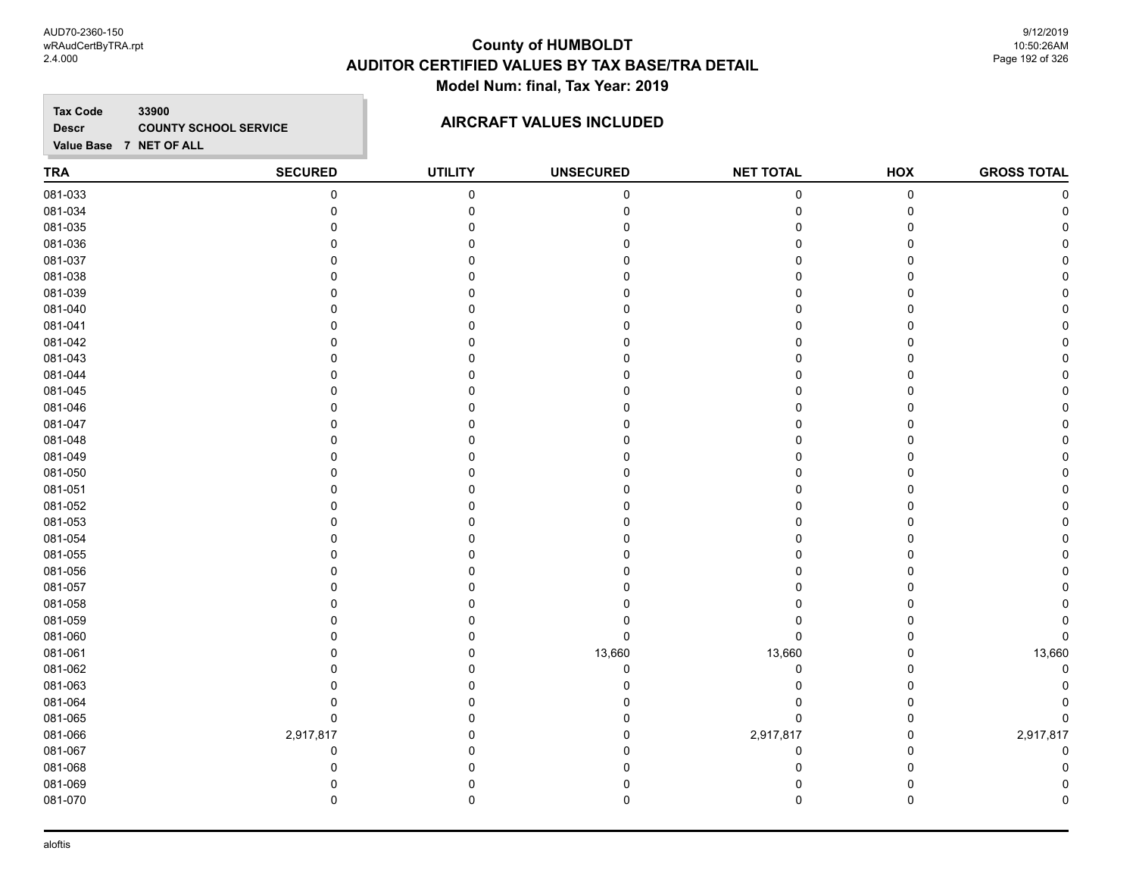AUD70-2360-150 wRAudCertByTRA.rpt 2.4.000

### **County of HUMBOLDT AUDITOR CERTIFIED VALUES BY TAX BASE/TRA DETAIL Model Num: final, Tax Year: 2019**

9/12/2019 10:50:26AM Page 192 of 326

**Tax Code 33900 Descr**

# **COUNTY SCHOOL SERVICE AIRCRAFT VALUES INCLUDED**

| <b>TRA</b> | <b>SECURED</b> | <b>UTILITY</b> | <b>UNSECURED</b> | <b>NET TOTAL</b> | HOX         | <b>GROSS TOTAL</b> |
|------------|----------------|----------------|------------------|------------------|-------------|--------------------|
| 081-033    | $\pmb{0}$      | $\mathbf 0$    | $\mathbf 0$      | $\pmb{0}$        | $\pmb{0}$   | $\Omega$           |
| 081-034    | 0              | 0              | 0                | $\mathbf 0$      | 0           |                    |
| 081-035    | 0              | $\mathbf 0$    |                  | 0                | $\Omega$    |                    |
| 081-036    | 0              | 0              | n                | $\Omega$         | $\Omega$    |                    |
| 081-037    | 0              | 0              |                  | 0                | 0           |                    |
| 081-038    | $\Omega$       | $\Omega$       |                  | O                | $\Omega$    |                    |
| 081-039    | $\Omega$       | 0              |                  | 0                | 0           |                    |
| 081-040    | 0              | 0              |                  | 0                | $\mathbf 0$ |                    |
| 081-041    | $\Omega$       | 0              |                  | 0                | 0           |                    |
| 081-042    | $\Omega$       | $\Omega$       |                  |                  | $\Omega$    |                    |
| 081-043    | $\Omega$       | $\Omega$       |                  | 0                | 0           |                    |
| 081-044    | $\mathbf 0$    | $\mathbf 0$    | O                | $\Omega$         | $\mathbf 0$ |                    |
| 081-045    | $\Omega$       | $\Omega$       |                  | 0                | $\mathbf 0$ |                    |
| 081-046    | 0              | 0              |                  | 0                | 0           |                    |
| 081-047    | 0              | 0              |                  | 0                | 0           |                    |
| 081-048    | 0              | 0              |                  | 0                | 0           |                    |
| 081-049    | $\Omega$       | $\Omega$       |                  | 0                | 0           |                    |
| 081-050    | 0              | 0              |                  | 0                | 0           |                    |
| 081-051    | 0              | $\Omega$       |                  | 0                | $\Omega$    |                    |
| 081-052    | 0              | $\Omega$       |                  | 0                | $\mathbf 0$ |                    |
| 081-053    | $\Omega$       | 0              |                  | 0                | $\Omega$    |                    |
| 081-054    | 0              | 0              |                  | O                | $\Omega$    |                    |
| 081-055    | 0              | 0              |                  | 0                | 0           |                    |
| 081-056    | 0              | 0              |                  | 0                | $\mathbf 0$ |                    |
| 081-057    | 0              | 0              |                  | 0                | 0           |                    |
| 081-058    | $\Omega$       | 0              |                  | 0                | $\Omega$    |                    |
| 081-059    | 0              | 0              | 0                | 0                | $\mathbf 0$ |                    |
| 081-060    | 0              | $\mathbf 0$    | 0                | 0                | $\mathbf 0$ | $\Omega$           |
| 081-061    | $\Omega$       | $\mathbf 0$    | 13,660           | 13,660           | 0           | 13,660             |
| 081-062    | 0              | 0              | 0                | 0                | 0           |                    |
| 081-063    | 0              | 0              |                  | 0                | $\mathbf 0$ |                    |
| 081-064    | 0              | 0              |                  | 0                | 0           |                    |
| 081-065    | $\pmb{0}$      | $\mathbf 0$    |                  | $\mathbf 0$      | $\mathbf 0$ |                    |
| 081-066    | 2,917,817      | 0              | 0                | 2,917,817        | 0           | 2,917,817          |
| 081-067    | 0              | $\Omega$       | O                | 0                | $\mathbf 0$ | $\mathbf 0$        |
| 081-068    | 0              | $\mathbf 0$    | 0                | 0                | $\mathbf 0$ | U                  |
| 081-069    | 0              | 0              |                  | 0                | $\mathbf 0$ |                    |
| 081-070    | $\mathbf 0$    | $\mathbf 0$    | 0                | 0                | $\mathbf 0$ | n                  |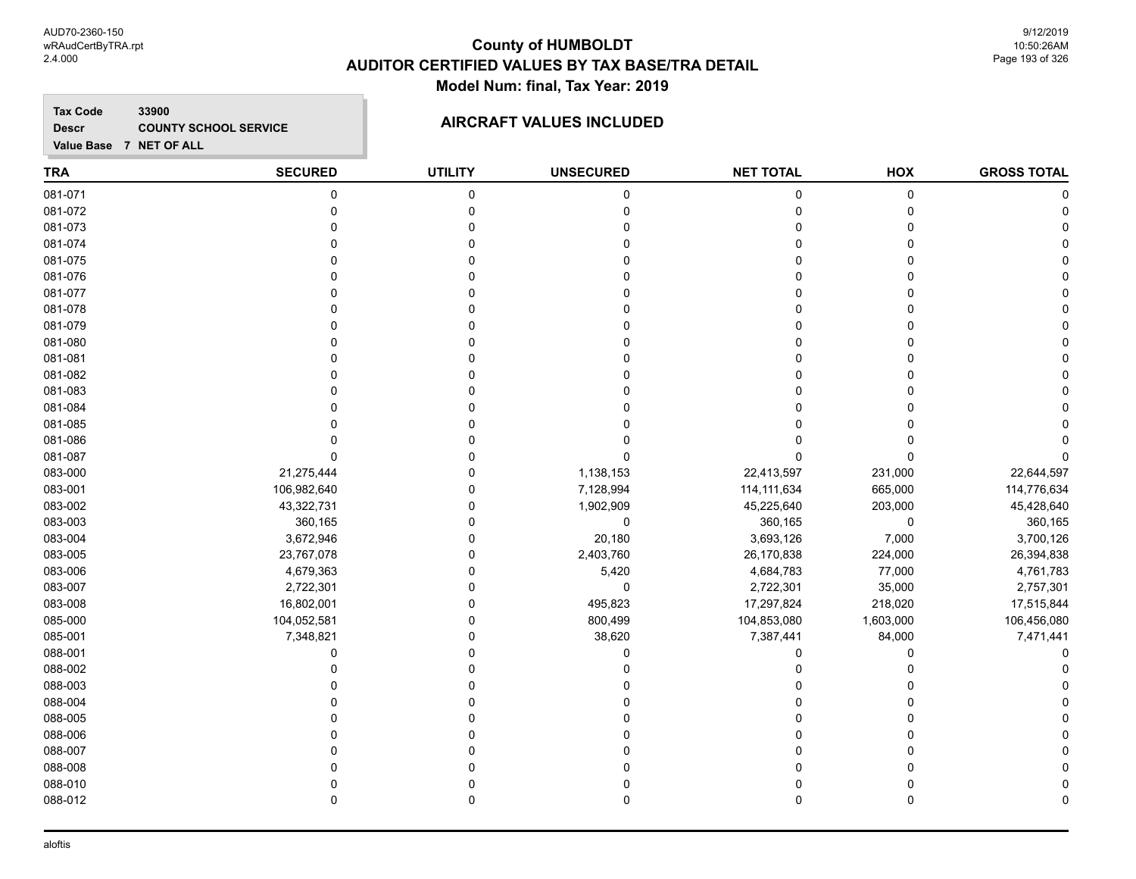AUD70-2360-150 wRAudCertByTRA.rpt 2.4.000

### **County of HUMBOLDT AUDITOR CERTIFIED VALUES BY TAX BASE/TRA DETAIL Model Num: final, Tax Year: 2019**

9/12/2019 10:50:26AM Page 193 of 326

**Tax Code 33900 Descr**

# **COUNTY SCHOOL SERVICE AIRCRAFT VALUES INCLUDED**

| <b>TRA</b> | <b>SECURED</b> | <b>UTILITY</b> | <b>UNSECURED</b> | <b>NET TOTAL</b> | HOX         | <b>GROSS TOTAL</b> |
|------------|----------------|----------------|------------------|------------------|-------------|--------------------|
| 081-071    | $\pmb{0}$      | $\pmb{0}$      | $\pmb{0}$        | 0                | $\pmb{0}$   |                    |
| 081-072    | $\mathbf 0$    | 0              | $\Omega$         | 0                | 0           | $\Omega$           |
| 081-073    | $\Omega$       | $\mathbf 0$    |                  | $\Omega$         | $\mathbf 0$ |                    |
| 081-074    | $\Omega$       | $\Omega$       |                  | $\Omega$         | $\Omega$    |                    |
| 081-075    | $\Omega$       | $\Omega$       |                  | $\Omega$         | $\Omega$    |                    |
| 081-076    | $\Omega$       | $\Omega$       |                  | O                | 0           |                    |
| 081-077    | 0              | $\Omega$       |                  | 0                | $\mathbf 0$ |                    |
| 081-078    | 0              | $\Omega$       |                  | 0                | $\Omega$    |                    |
| 081-079    | $\Omega$       | $\Omega$       |                  | $\Omega$         | $\mathbf 0$ |                    |
| 081-080    | $\Omega$       | $\Omega$       |                  | 0                | $\Omega$    |                    |
| 081-081    | $\Omega$       | $\Omega$       |                  | $\Omega$         | $\mathbf 0$ |                    |
| 081-082    | $\Omega$       | $\Omega$       |                  | 0                | $\Omega$    |                    |
| 081-083    | $\Omega$       | $\Omega$       |                  | O                | $\Omega$    |                    |
| 081-084    | C              | n              |                  |                  | 0           |                    |
| 081-085    | 0              | 0              |                  |                  | $\Omega$    |                    |
| 081-086    | C              | 0              |                  |                  | 0           |                    |
| 081-087    | $\Omega$       | $\Omega$       |                  | $\Omega$         | $\Omega$    |                    |
| 083-000    | 21,275,444     | $\Omega$       | 1,138,153        | 22,413,597       | 231,000     | 22,644,597         |
| 083-001    | 106,982,640    | $\mathbf 0$    | 7,128,994        | 114, 111, 634    | 665,000     | 114,776,634        |
| 083-002    | 43,322,731     | $\mathbf 0$    | 1,902,909        | 45,225,640       | 203,000     | 45,428,640         |
| 083-003    | 360,165        | $\mathbf 0$    | $\pmb{0}$        | 360,165          | $\mathbf 0$ | 360,165            |
| 083-004    | 3,672,946      | 0              | 20,180           | 3,693,126        | 7,000       | 3,700,126          |
| 083-005    | 23,767,078     | $\mathbf 0$    | 2,403,760        | 26,170,838       | 224,000     | 26,394,838         |
| 083-006    | 4,679,363      | $\mathbf 0$    | 5,420            | 4,684,783        | 77,000      | 4,761,783          |
| 083-007    | 2,722,301      | $\mathbf 0$    | $\pmb{0}$        | 2,722,301        | 35,000      | 2,757,301          |
| 083-008    | 16,802,001     | $\mathbf 0$    | 495,823          | 17,297,824       | 218,020     | 17,515,844         |
| 085-000    | 104,052,581    | $\mathbf 0$    | 800,499          | 104,853,080      | 1,603,000   | 106,456,080        |
| 085-001    | 7,348,821      | $\mathbf 0$    | 38,620           | 7,387,441        | 84,000      | 7,471,441          |
| 088-001    | $\mathbf 0$    | $\Omega$       | $\mathbf{0}$     | 0                | 0           |                    |
| 088-002    | $\mathbf{0}$   | 0              |                  | 0                | $\Omega$    |                    |
| 088-003    |                | $\Omega$       |                  | 0                | 0           |                    |
| 088-004    | C              | $\Omega$       |                  |                  | 0           |                    |
| 088-005    | C              | $\Omega$       |                  |                  | 0           |                    |
| 088-006    | $\Omega$       | $\Omega$       |                  | 0                | $\Omega$    |                    |
| 088-007    | $\Omega$       | $\Omega$       |                  | $\mathbf 0$      | $\Omega$    |                    |
| 088-008    | $\Omega$       | $\Omega$       |                  | O                | $\Omega$    |                    |
| 088-010    | $\Omega$       | 0              |                  | 0                | 0           |                    |
| 088-012    | $\mathbf 0$    | $\mathbf 0$    | 0                | $\mathbf 0$      | $\mathbf 0$ | $\Omega$           |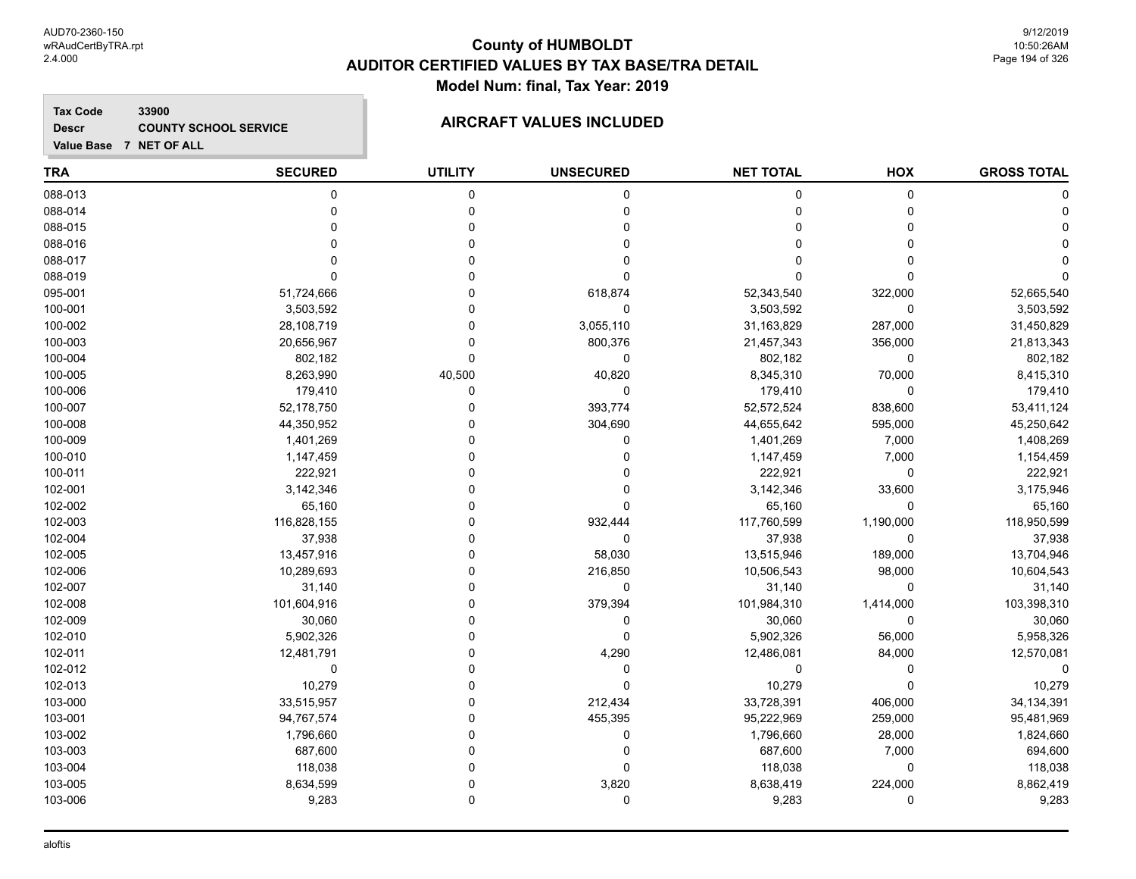**Tax Code 33900 Descr**

# **COUNTY SCHOOL SERVICE AIRCRAFT VALUES INCLUDED**

| <b>TRA</b> | <b>SECURED</b> | <b>UTILITY</b> | <b>UNSECURED</b> | <b>NET TOTAL</b> | HOX         | <b>GROSS TOTAL</b> |
|------------|----------------|----------------|------------------|------------------|-------------|--------------------|
| 088-013    | $\mathbf 0$    | 0              | 0                | 0                | $\pmb{0}$   |                    |
| 088-014    | $\mathbf 0$    | $\mathbf 0$    | 0                | $\pmb{0}$        | 0           |                    |
| 088-015    | $\Omega$       | $\mathbf 0$    | 0                | $\mathbf 0$      | $\Omega$    |                    |
| 088-016    | U              | $\Omega$       | 0                | $\Omega$         | $\Omega$    |                    |
| 088-017    | $\Omega$       | $\Omega$       | 0                | $\Omega$         | $\Omega$    |                    |
| 088-019    | $\Omega$       | 0              | 0                | $\Omega$         | $\Omega$    |                    |
| 095-001    | 51,724,666     | $\mathbf 0$    | 618,874          | 52,343,540       | 322,000     | 52,665,540         |
| 100-001    | 3,503,592      | $\mathbf 0$    | 0                | 3,503,592        | 0           | 3,503,592          |
| 100-002    | 28,108,719     | 0              | 3,055,110        | 31,163,829       | 287,000     | 31,450,829         |
| 100-003    | 20,656,967     | 0              | 800,376          | 21,457,343       | 356,000     | 21,813,343         |
| 100-004    | 802,182        | $\mathbf 0$    | 0                | 802,182          | $\mathbf 0$ | 802,182            |
| 100-005    | 8,263,990      | 40,500         | 40,820           | 8,345,310        | 70,000      | 8,415,310          |
| 100-006    | 179,410        | 0              | 0                | 179,410          | $\Omega$    | 179,410            |
| 100-007    | 52,178,750     | 0              | 393,774          | 52,572,524       | 838,600     | 53,411,124         |
| 100-008    | 44,350,952     | 0              | 304,690          | 44,655,642       | 595,000     | 45,250,642         |
| 100-009    | 1,401,269      | $\Omega$       | 0                | 1,401,269        | 7,000       | 1,408,269          |
| 100-010    | 1,147,459      | $\Omega$       | $\Omega$         | 1,147,459        | 7,000       | 1,154,459          |
| 100-011    | 222,921        | 0              | 0                | 222,921          | 0           | 222,921            |
| 102-001    | 3,142,346      | $\Omega$       | 0                | 3,142,346        | 33,600      | 3,175,946          |
| 102-002    | 65,160         | 0              | 0                | 65,160           | $\Omega$    | 65,160             |
| 102-003    | 116,828,155    | $\Omega$       | 932,444          | 117,760,599      | 1,190,000   | 118,950,599        |
| 102-004    | 37,938         | 0              | $\mathbf 0$      | 37,938           | 0           | 37,938             |
| 102-005    | 13,457,916     | 0              | 58,030           | 13,515,946       | 189,000     | 13,704,946         |
| 102-006    | 10,289,693     | 0              | 216,850          | 10,506,543       | 98,000      | 10,604,543         |
| 102-007    | 31,140         | 0              | 0                | 31,140           | $\mathbf 0$ | 31,140             |
| 102-008    | 101,604,916    | $\Omega$       | 379,394          | 101,984,310      | 1,414,000   | 103,398,310        |
| 102-009    | 30,060         | 0              | 0                | 30,060           | 0           | 30,060             |
| 102-010    | 5,902,326      | $\Omega$       | $\mathbf 0$      | 5,902,326        | 56,000      | 5,958,326          |
| 102-011    | 12,481,791     | $\Omega$       | 4,290            | 12,486,081       | 84,000      | 12,570,081         |
| 102-012    | 0              | $\Omega$       | 0                | 0                | 0           | 0                  |
| 102-013    | 10,279         | 0              | 0                | 10,279           | $\mathbf 0$ | 10,279             |
| 103-000    | 33,515,957     | $\mathbf 0$    | 212,434          | 33,728,391       | 406,000     | 34, 134, 391       |
| 103-001    | 94,767,574     | $\mathbf 0$    | 455,395          | 95,222,969       | 259,000     | 95,481,969         |
| 103-002    | 1,796,660      | $\mathbf 0$    | 0                | 1,796,660        | 28,000      | 1,824,660          |
| 103-003    | 687,600        | $\Omega$       | 0                | 687,600          | 7,000       | 694,600            |
| 103-004    | 118,038        | $\Omega$       | 0                | 118,038          | $\mathbf 0$ | 118,038            |
| 103-005    | 8,634,599      | $\Omega$       | 3,820            | 8,638,419        | 224,000     | 8,862,419          |
| 103-006    | 9,283          | 0              | 0                | 9,283            | $\Omega$    | 9,283              |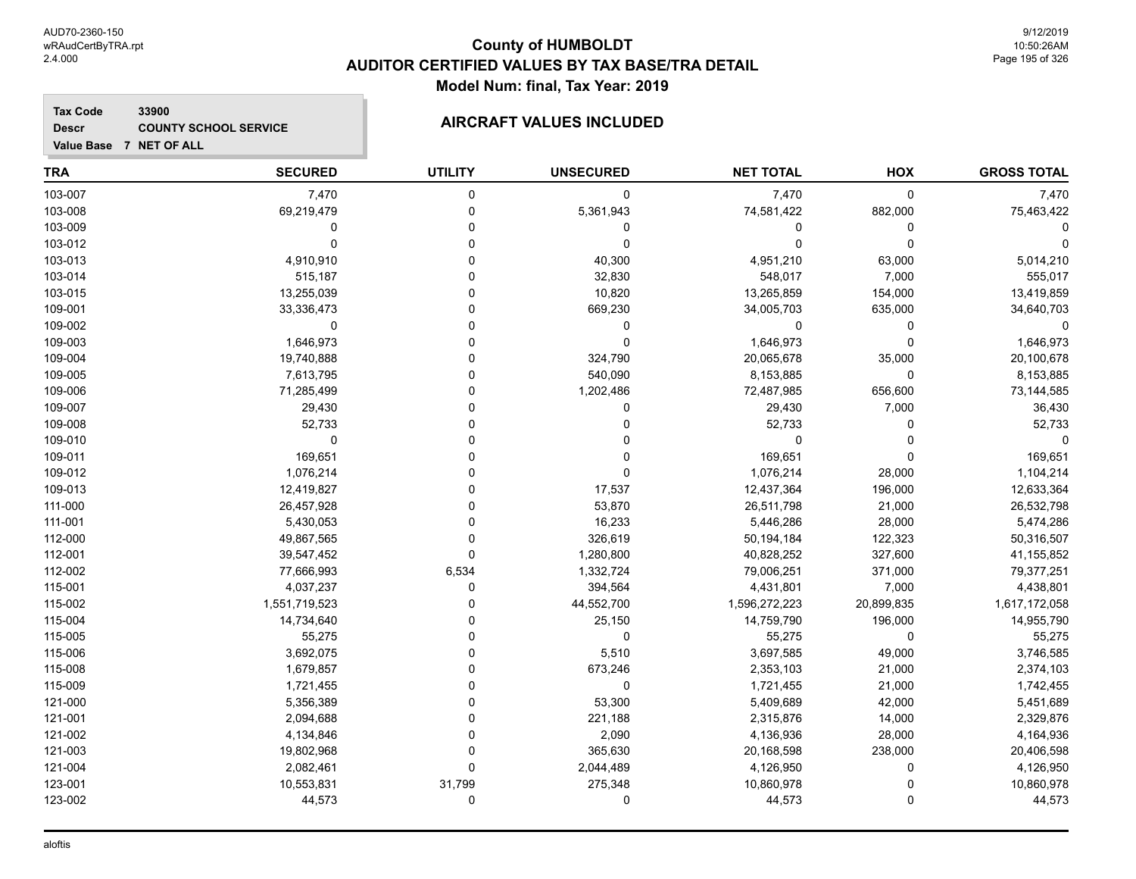#### **Tax Code 33900 Descr**

# **COUNTY SCHOOL SERVICE AIRCRAFT VALUES INCLUDED**

| <b>TRA</b> | <b>SECURED</b> | <b>UTILITY</b> | <b>UNSECURED</b> | <b>NET TOTAL</b> | HOX          | <b>GROSS TOTAL</b> |
|------------|----------------|----------------|------------------|------------------|--------------|--------------------|
| 103-007    | 7,470          | 0              | 0                | 7,470            | $\mathbf 0$  | 7,470              |
| 103-008    | 69,219,479     | $\mathbf 0$    | 5,361,943        | 74,581,422       | 882,000      | 75,463,422         |
| 103-009    | $\mathbf{0}$   | $\mathbf 0$    | 0                | 0                | $\mathbf{0}$ |                    |
| 103-012    | $\Omega$       | $\Omega$       | 0                | 0                | $\Omega$     |                    |
| 103-013    | 4,910,910      | $\Omega$       | 40,300           | 4,951,210        | 63,000       | 5,014,210          |
| 103-014    | 515,187        | 0              | 32,830           | 548,017          | 7,000        | 555,017            |
| 103-015    | 13,255,039     | $\Omega$       | 10,820           | 13,265,859       | 154,000      | 13,419,859         |
| 109-001    | 33,336,473     | $\Omega$       | 669,230          | 34,005,703       | 635,000      | 34,640,703         |
| 109-002    | $\mathbf 0$    | $\Omega$       | 0                | 0                | $\Omega$     | $\Omega$           |
| 109-003    | 1,646,973      | $\Omega$       | $\mathbf 0$      | 1,646,973        | $\Omega$     | 1,646,973          |
| 109-004    | 19,740,888     | $\Omega$       | 324,790          | 20,065,678       | 35,000       | 20,100,678         |
| 109-005    | 7,613,795      | $\Omega$       | 540,090          | 8,153,885        | $\mathbf 0$  | 8,153,885          |
| 109-006    | 71,285,499     | $\Omega$       | 1,202,486        | 72,487,985       | 656,600      | 73,144,585         |
| 109-007    | 29,430         | $\Omega$       | 0                | 29,430           | 7,000        | 36,430             |
| 109-008    | 52,733         | $\Omega$       | 0                | 52,733           | $\mathbf{0}$ | 52,733             |
| 109-010    | $\mathbf 0$    | $\Omega$       | 0                | 0                | $\Omega$     | $\Omega$           |
| 109-011    | 169,651        | $\Omega$       | 0                | 169,651          | $\Omega$     | 169,651            |
| 109-012    | 1,076,214      | $\Omega$       | $\Omega$         | 1,076,214        | 28,000       | 1,104,214          |
| 109-013    | 12,419,827     | $\Omega$       | 17,537           | 12,437,364       | 196,000      | 12,633,364         |
| 111-000    | 26,457,928     | $\Omega$       | 53,870           | 26,511,798       | 21,000       | 26,532,798         |
| 111-001    | 5,430,053      | $\Omega$       | 16,233           | 5,446,286        | 28,000       | 5,474,286          |
| 112-000    | 49,867,565     | $\Omega$       | 326,619          | 50,194,184       | 122,323      | 50,316,507         |
| 112-001    | 39,547,452     | $\mathbf 0$    | 1,280,800        | 40,828,252       | 327,600      | 41, 155, 852       |
| 112-002    | 77,666,993     | 6,534          | 1,332,724        | 79,006,251       | 371,000      | 79,377,251         |
| 115-001    | 4,037,237      | $\mathbf 0$    | 394,564          | 4,431,801        | 7,000        | 4,438,801          |
| 115-002    | 1,551,719,523  | 0              | 44,552,700       | 1,596,272,223    | 20,899,835   | 1,617,172,058      |
| 115-004    | 14,734,640     | $\Omega$       | 25,150           | 14,759,790       | 196,000      | 14,955,790         |
| 115-005    | 55,275         | $\Omega$       | 0                | 55,275           | $\mathbf 0$  | 55,275             |
| 115-006    | 3,692,075      | $\Omega$       | 5,510            | 3,697,585        | 49,000       | 3,746,585          |
| 115-008    | 1,679,857      | $\Omega$       | 673,246          | 2,353,103        | 21,000       | 2,374,103          |
| 115-009    | 1,721,455      | $\Omega$       | 0                | 1,721,455        | 21,000       | 1,742,455          |
| 121-000    | 5,356,389      | $\Omega$       | 53,300           | 5,409,689        | 42,000       | 5,451,689          |
| 121-001    | 2,094,688      | $\Omega$       | 221,188          | 2,315,876        | 14,000       | 2,329,876          |
| 121-002    | 4,134,846      | $\Omega$       | 2,090            | 4,136,936        | 28,000       | 4,164,936          |
| 121-003    | 19,802,968     | $\Omega$       | 365,630          | 20,168,598       | 238,000      | 20,406,598         |
| 121-004    | 2,082,461      | $\Omega$       | 2,044,489        | 4,126,950        | 0            | 4,126,950          |
| 123-001    | 10,553,831     | 31,799         | 275,348          | 10,860,978       | $\Omega$     | 10,860,978         |
| 123-002    | 44,573         | 0              | 0                | 44,573           | $\Omega$     | 44,573             |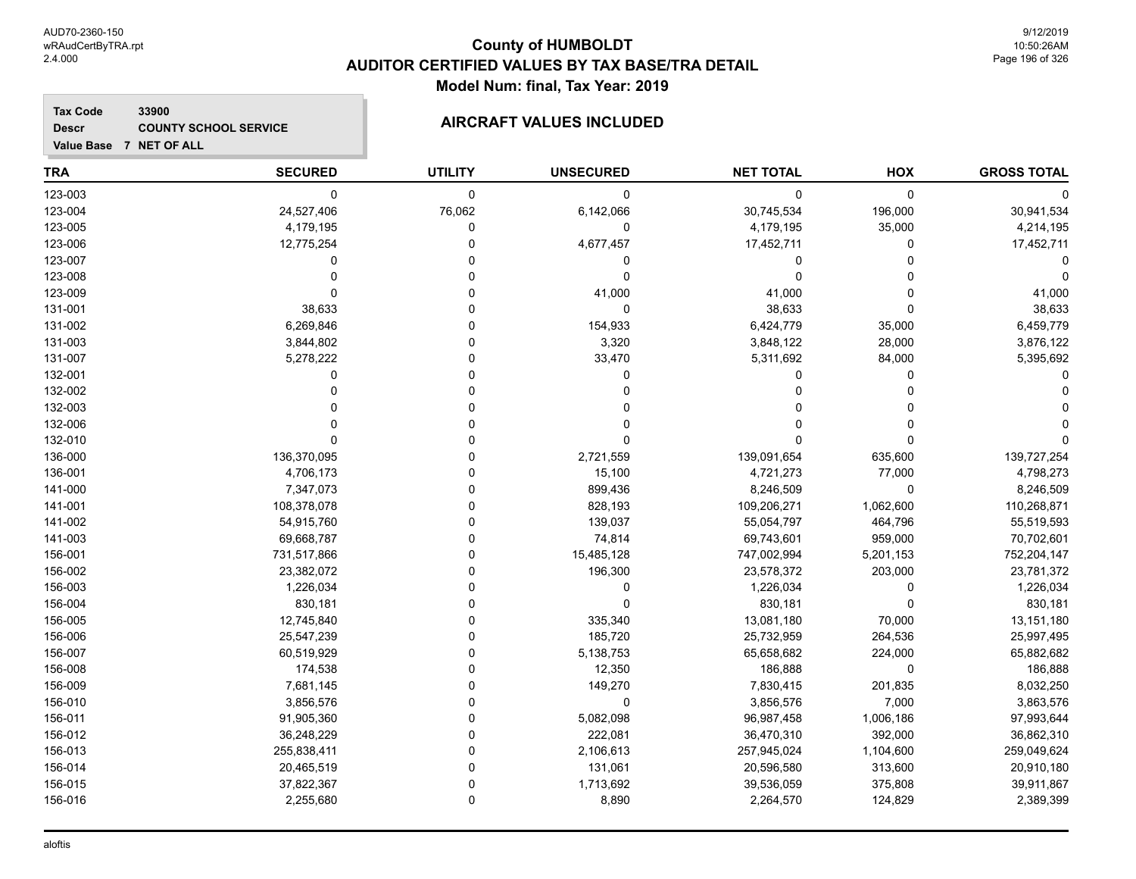#### **Tax Code 33900 Descr COUNTY SCHOOL SERVICE AIRCRAFT VALUES INCLUDED**

|  | Value Base 7 NET OF ALL |  |
|--|-------------------------|--|

| <b>TRA</b> | <b>SECURED</b> | <b>UTILITY</b> | <b>UNSECURED</b> | <b>NET TOTAL</b> | HOX         | <b>GROSS TOTAL</b> |
|------------|----------------|----------------|------------------|------------------|-------------|--------------------|
| 123-003    | $\mathbf 0$    | $\mathbf 0$    | 0                | 0                | $\mathbf 0$ | O                  |
| 123-004    | 24,527,406     | 76,062         | 6,142,066        | 30,745,534       | 196,000     | 30,941,534         |
| 123-005    | 4,179,195      | 0              | 0                | 4,179,195        | 35,000      | 4,214,195          |
| 123-006    | 12,775,254     | $\Omega$       | 4,677,457        | 17,452,711       | $\mathbf 0$ | 17,452,711         |
| 123-007    | $\mathbf 0$    | $\Omega$       | 0                | 0                | $\Omega$    |                    |
| 123-008    | O              | $\Omega$       | 0                | 0                | $\Omega$    |                    |
| 123-009    | $\Omega$       | $\Omega$       | 41,000           | 41,000           | $\Omega$    | 41,000             |
| 131-001    | 38,633         | $\Omega$       | $\mathbf 0$      | 38,633           | $\Omega$    | 38,633             |
| 131-002    | 6,269,846      | $\Omega$       | 154,933          | 6,424,779        | 35,000      | 6,459,779          |
| 131-003    | 3,844,802      | $\Omega$       | 3,320            | 3,848,122        | 28,000      | 3,876,122          |
| 131-007    | 5,278,222      | 0              | 33,470           | 5,311,692        | 84,000      | 5,395,692          |
| 132-001    | 0              | $\Omega$       | 0                | 0                | 0           |                    |
| 132-002    | $\Omega$       | $\Omega$       | 0                | 0                | 0           |                    |
| 132-003    |                | $\Omega$       | 0                | 0                |             |                    |
| 132-006    |                | $\Omega$       | 0                | $\Omega$         | $\Omega$    |                    |
| 132-010    | $\Omega$       | $\Omega$       | 0                | 0                | $\Omega$    |                    |
| 136-000    | 136,370,095    | $\Omega$       | 2,721,559        | 139,091,654      | 635,600     | 139,727,254        |
| 136-001    | 4,706,173      | $\Omega$       | 15,100           | 4,721,273        | 77,000      | 4,798,273          |
| 141-000    | 7,347,073      | $\Omega$       | 899,436          | 8,246,509        | $\mathbf 0$ | 8,246,509          |
| 141-001    | 108,378,078    | $\Omega$       | 828,193          | 109,206,271      | 1,062,600   | 110,268,871        |
| 141-002    | 54,915,760     | $\Omega$       | 139,037          | 55,054,797       | 464,796     | 55,519,593         |
| 141-003    | 69,668,787     | $\Omega$       | 74,814           | 69,743,601       | 959,000     | 70,702,601         |
| 156-001    | 731,517,866    | 0              | 15,485,128       | 747,002,994      | 5,201,153   | 752,204,147        |
| 156-002    | 23,382,072     | $\Omega$       | 196,300          | 23,578,372       | 203,000     | 23,781,372         |
| 156-003    | 1,226,034      | $\Omega$       | 0                | 1,226,034        | 0           | 1,226,034          |
| 156-004    | 830,181        | $\Omega$       | $\Omega$         | 830,181          | $\Omega$    | 830,181            |
| 156-005    | 12,745,840     | $\mathbf{0}$   | 335,340          | 13,081,180       | 70,000      | 13,151,180         |
| 156-006    | 25,547,239     | $\mathbf 0$    | 185,720          | 25,732,959       | 264,536     | 25,997,495         |
| 156-007    | 60,519,929     | 0              | 5,138,753        | 65,658,682       | 224,000     | 65,882,682         |
| 156-008    | 174,538        | 0              | 12,350           | 186,888          | 0           | 186,888            |
| 156-009    | 7,681,145      | $\Omega$       | 149,270          | 7,830,415        | 201,835     | 8,032,250          |
| 156-010    | 3,856,576      | $\Omega$       | $\mathbf 0$      | 3,856,576        | 7,000       | 3,863,576          |
| 156-011    | 91,905,360     | $\mathbf 0$    | 5,082,098        | 96,987,458       | 1,006,186   | 97,993,644         |
| 156-012    | 36,248,229     | $\Omega$       | 222,081          | 36,470,310       | 392,000     | 36,862,310         |
| 156-013    | 255,838,411    | $\Omega$       | 2,106,613        | 257,945,024      | 1,104,600   | 259,049,624        |
| 156-014    | 20,465,519     | $\mathbf 0$    | 131,061          | 20,596,580       | 313,600     | 20,910,180         |
| 156-015    | 37,822,367     | $\Omega$       | 1,713,692        | 39,536,059       | 375,808     | 39,911,867         |
| 156-016    | 2,255,680      | $\mathbf 0$    | 8,890            | 2,264,570        | 124,829     | 2,389,399          |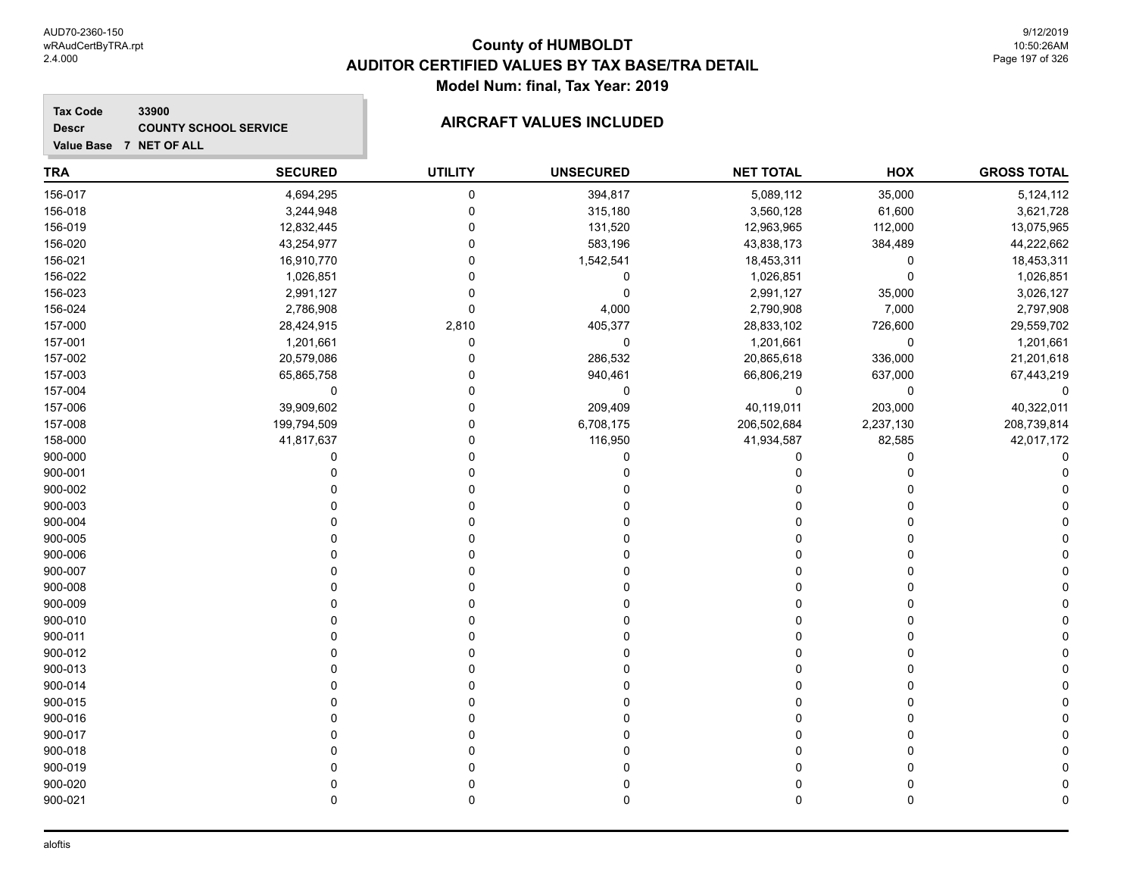### **Tax Code 33900 Descr**

# **COUNTY SCHOOL SERVICE AIRCRAFT VALUES INCLUDED**

| <b>TRA</b> | <b>SECURED</b> | <b>UTILITY</b> | <b>UNSECURED</b> | <b>NET TOTAL</b> | HOX       | <b>GROSS TOTAL</b> |
|------------|----------------|----------------|------------------|------------------|-----------|--------------------|
| 156-017    | 4,694,295      | $\pmb{0}$      | 394,817          | 5,089,112        | 35,000    | 5,124,112          |
| 156-018    | 3,244,948      | $\mathbf 0$    | 315,180          | 3,560,128        | 61,600    | 3,621,728          |
| 156-019    | 12,832,445     | $\Omega$       | 131,520          | 12,963,965       | 112,000   | 13,075,965         |
| 156-020    | 43,254,977     | $\Omega$       | 583,196          | 43,838,173       | 384,489   | 44,222,662         |
| 156-021    | 16,910,770     | $\Omega$       | 1,542,541        | 18,453,311       | 0         | 18,453,311         |
| 156-022    | 1,026,851      | $\mathbf 0$    | $\pmb{0}$        | 1,026,851        | 0         | 1,026,851          |
| 156-023    | 2,991,127      | $\Omega$       | $\mathbf 0$      | 2,991,127        | 35,000    | 3,026,127          |
| 156-024    | 2,786,908      | $\mathbf 0$    | 4,000            | 2,790,908        | 7,000     | 2,797,908          |
| 157-000    | 28,424,915     | 2,810          | 405,377          | 28,833,102       | 726,600   | 29,559,702         |
| 157-001    | 1,201,661      | $\pmb{0}$      | $\pmb{0}$        | 1,201,661        | 0         | 1,201,661          |
| 157-002    | 20,579,086     | $\mathbf{0}$   | 286,532          | 20,865,618       | 336,000   | 21,201,618         |
| 157-003    | 65,865,758     | $\Omega$       | 940,461          | 66,806,219       | 637,000   | 67,443,219         |
| 157-004    | $\mathbf 0$    | $\mathbf{0}$   | 0                | 0                | 0         | 0                  |
| 157-006    | 39,909,602     | $\mathbf 0$    | 209,409          | 40,119,011       | 203,000   | 40,322,011         |
| 157-008    | 199,794,509    | $\Omega$       | 6,708,175        | 206,502,684      | 2,237,130 | 208,739,814        |
| 158-000    | 41,817,637     | $\Omega$       | 116,950          | 41,934,587       | 82,585    | 42,017,172         |
| 900-000    | 0              | $\Omega$       | 0                | $\Omega$         | 0         | 0                  |
| 900-001    | $\Omega$       | $\Omega$       | $\Omega$         | $\Omega$         | 0         |                    |
| 900-002    | $\Omega$       | $\Omega$       | 0                | n                | 0         |                    |
| 900-003    | U              | 0              | 0                | U                | 0         |                    |
| 900-004    | O              | $\Omega$       |                  | U                | 0         |                    |
| 900-005    | $\Omega$       | $\Omega$       |                  |                  | 0         |                    |
| 900-006    | $\Omega$       | $\Omega$       |                  | U                | 0         |                    |
| 900-007    | $\Omega$       | $\Omega$       | 0                | $\Omega$         | 0         |                    |
| 900-008    | $\Omega$       | $\Omega$       | O                | $\Omega$         | 0         |                    |
| 900-009    | $\Omega$       | $\Omega$       |                  | n                | 0         |                    |
| 900-010    | O              | 0              |                  | n                | 0         |                    |
| 900-011    | $\Omega$       | $\Omega$       |                  | 0                | 0         |                    |
| 900-012    | 0              | 0              |                  |                  | 0         |                    |
| 900-013    | $\Omega$       | $\Omega$       |                  |                  | 0         |                    |
| 900-014    | C              | C              |                  |                  | 0         |                    |
| 900-015    | $\Omega$       | $\Omega$       |                  | U                | 0         |                    |
| 900-016    | O              | O              |                  |                  | 0         |                    |
| 900-017    | O              | $\Omega$       |                  |                  | 0         |                    |
| 900-018    | C              | C              |                  |                  | 0         |                    |
| 900-019    | O              | 0              |                  |                  | 0         |                    |
| 900-020    | 0              | $\mathbf 0$    |                  | $\Omega$         | 0         |                    |
| 900-021    | $\Omega$       | $\mathbf 0$    | 0                | $\Omega$         | 0         |                    |
|            |                |                |                  |                  |           |                    |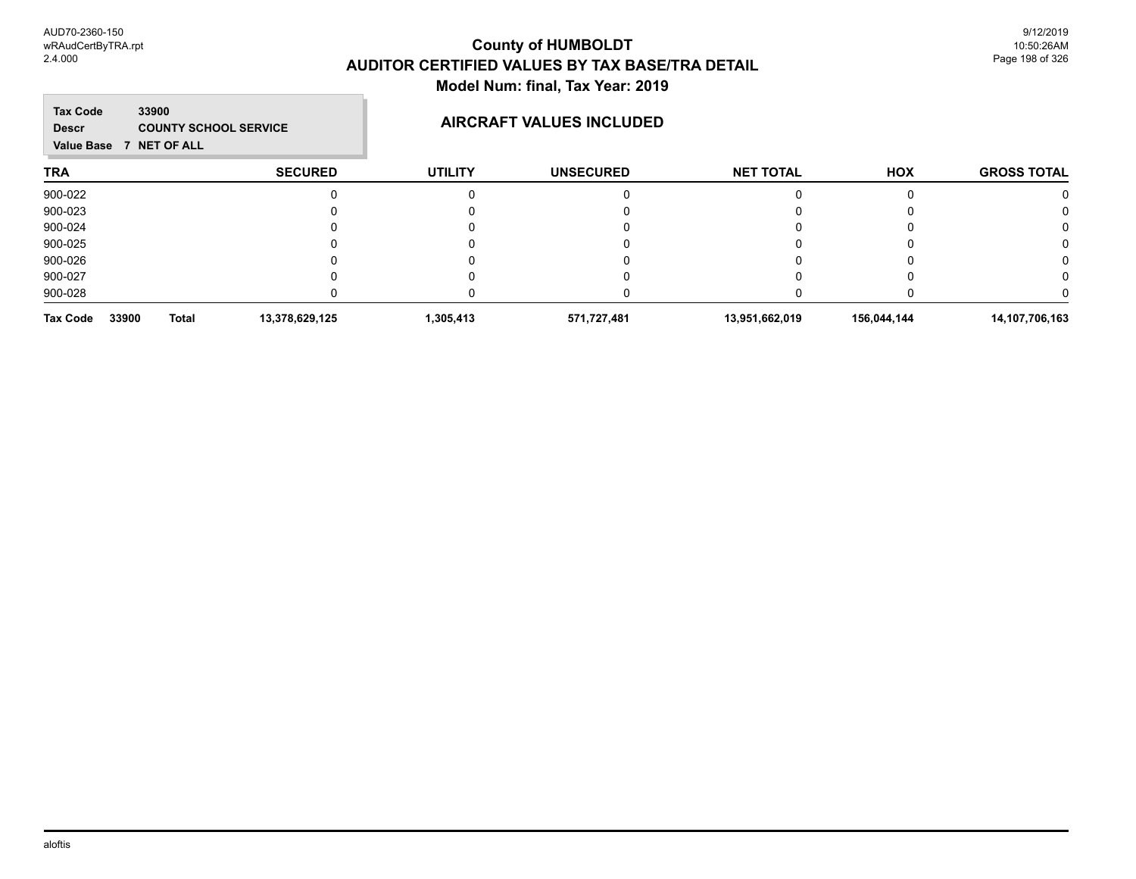m.

| <b>Tax Code</b><br>33900<br><b>Descr</b><br><b>NET OF ALL</b><br><b>Value Base</b><br>$\mathbf{7}$ | <b>COUNTY SCHOOL SERVICE</b> |                | <b>AIRCRAFT VALUES INCLUDED</b> |                  |             |                    |
|----------------------------------------------------------------------------------------------------|------------------------------|----------------|---------------------------------|------------------|-------------|--------------------|
| <b>TRA</b>                                                                                         | <b>SECURED</b>               | <b>UTILITY</b> | <b>UNSECURED</b>                | <b>NET TOTAL</b> | HOX         | <b>GROSS TOTAL</b> |
| 900-022                                                                                            |                              |                |                                 |                  |             |                    |
| 900-023                                                                                            |                              |                |                                 |                  |             |                    |
| 900-024                                                                                            |                              |                |                                 |                  |             |                    |
| 900-025                                                                                            |                              |                |                                 |                  |             |                    |
| 900-026                                                                                            |                              |                |                                 |                  |             |                    |
| 900-027                                                                                            |                              |                |                                 |                  |             |                    |
| 900-028                                                                                            |                              |                |                                 |                  |             |                    |
| 33900<br><b>Total</b><br><b>Tax Code</b>                                                           | 13,378,629,125               | 1,305,413      | 571,727,481                     | 13,951,662,019   | 156,044,144 | 14,107,706,163     |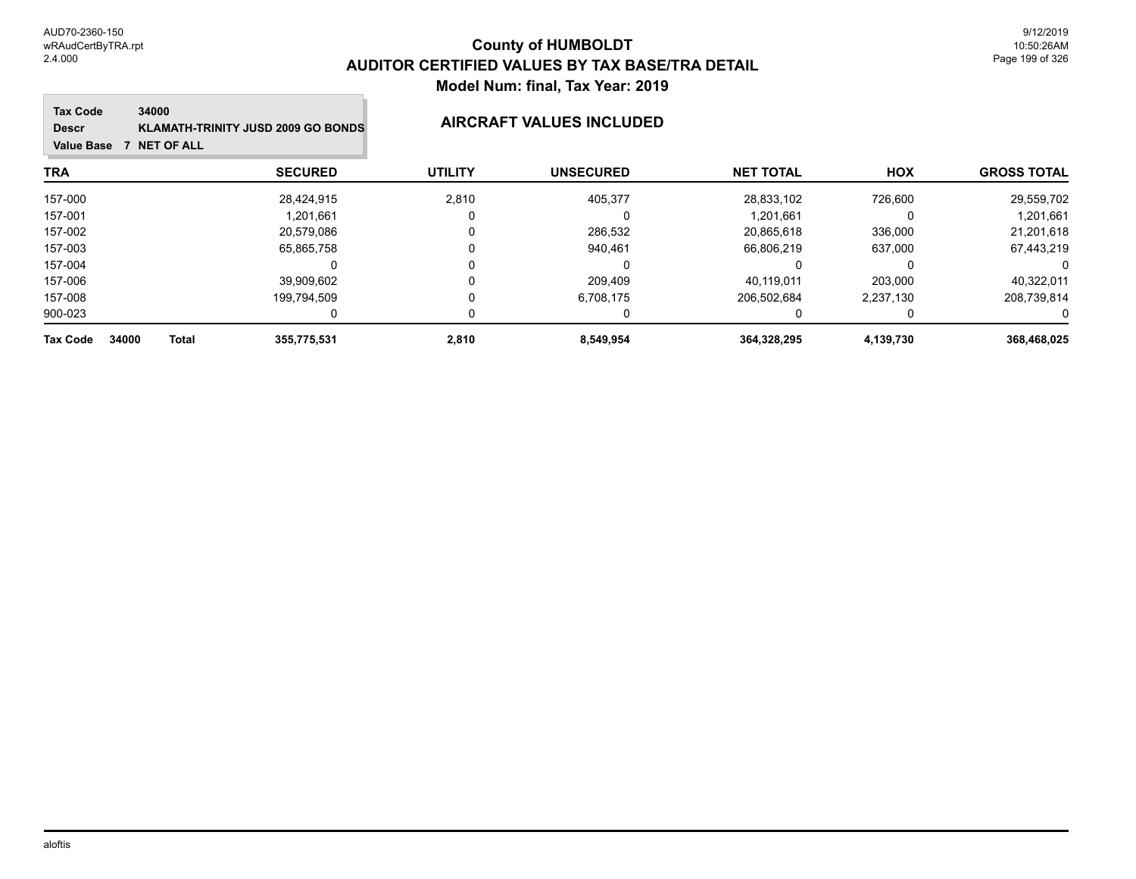#### **Tax Code Value Base 7 NET OF ALL 34000 Descr KLAMATH-TRINITY JUSD 2009 GO BONDS AIRCRAFT VALUES INCLUDED**

| <b>GROSS TOTAL</b> | <b>HOX</b> | <b>NET TOTAL</b> | <b>UNSECURED</b> | <b>UTILITY</b> | <b>SECURED</b> |                       | TRA      |
|--------------------|------------|------------------|------------------|----------------|----------------|-----------------------|----------|
| 29,559,702         | 726,600    | 28,833,102       | 405,377          | 2,810          | 28,424,915     |                       | 157-000  |
| 1,201,661          |            | 1,201,661        |                  |                | 1.201.661      |                       | 157-001  |
| 21,201,618         | 336,000    | 20.865.618       | 286,532          |                | 20.579.086     |                       | 157-002  |
| 67,443,219         | 637,000    | 66,806,219       | 940,461          |                | 65,865,758     |                       | 157-003  |
|                    |            |                  |                  |                |                |                       | 157-004  |
| 40,322,011         | 203,000    | 40,119,011       | 209,409          |                | 39,909,602     |                       | 157-006  |
| 208,739,814        | 2,237,130  | 206,502,684      | 6,708,175        |                | 199,794,509    |                       | 157-008  |
| $\Omega$           |            |                  |                  |                |                |                       | 900-023  |
| 368,468,025        | 4,139,730  | 364,328,295      | 8,549,954        | 2,810          | 355,775,531    | 34000<br><b>Total</b> | Tax Code |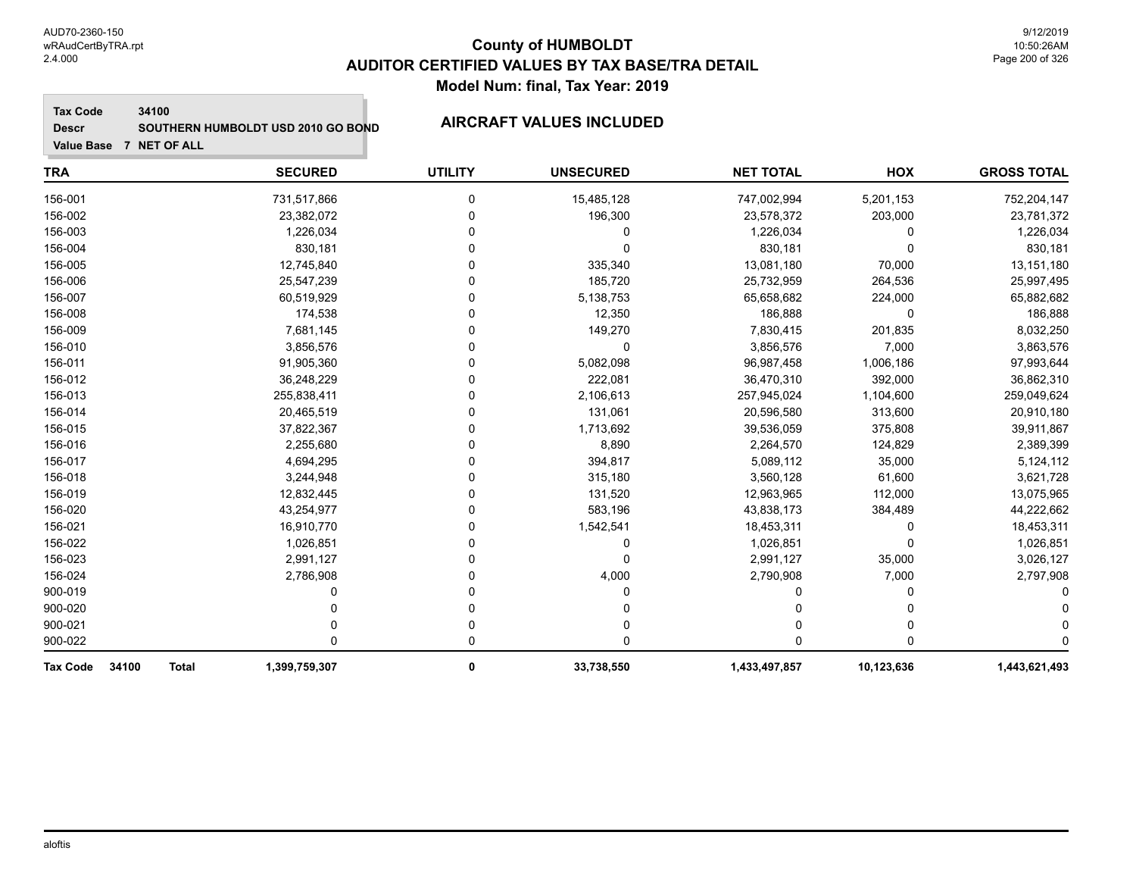#### **Tax Code 34100**

**Descr**

# SOUTHERN HUMBOLDT USD 2010 GO BOND **AIRCRAFT VALUES INCLUDED**

| <b>TRA</b>                               | <b>SECURED</b> | <b>UTILITY</b> | <b>UNSECURED</b> | <b>NET TOTAL</b> | HOX        | <b>GROSS TOTAL</b> |
|------------------------------------------|----------------|----------------|------------------|------------------|------------|--------------------|
| 156-001                                  | 731,517,866    | 0              | 15,485,128       | 747,002,994      | 5,201,153  | 752,204,147        |
| 156-002                                  | 23,382,072     | 0              | 196,300          | 23,578,372       | 203,000    | 23,781,372         |
| 156-003                                  | 1,226,034      | 0              | 0                | 1,226,034        | 0          | 1,226,034          |
| 156-004                                  | 830,181        | U              | 0                | 830,181          | $\Omega$   | 830,181            |
| 156-005                                  | 12,745,840     | 0              | 335,340          | 13,081,180       | 70,000     | 13,151,180         |
| 156-006                                  | 25,547,239     | 0              | 185,720          | 25,732,959       | 264,536    | 25,997,495         |
| 156-007                                  | 60,519,929     | 0              | 5,138,753        | 65,658,682       | 224,000    | 65,882,682         |
| 156-008                                  | 174,538        | 0              | 12,350           | 186,888          | $\Omega$   | 186,888            |
| 156-009                                  | 7,681,145      | 0              | 149,270          | 7,830,415        | 201,835    | 8,032,250          |
| 156-010                                  | 3,856,576      | U              | 0                | 3,856,576        | 7,000      | 3,863,576          |
| 156-011                                  | 91,905,360     | 0              | 5,082,098        | 96,987,458       | 1,006,186  | 97,993,644         |
| 156-012                                  | 36,248,229     | 0              | 222,081          | 36,470,310       | 392,000    | 36,862,310         |
| 156-013                                  | 255,838,411    | 0              | 2,106,613        | 257,945,024      | 1,104,600  | 259,049,624        |
| 156-014                                  | 20,465,519     | 0              | 131,061          | 20,596,580       | 313,600    | 20,910,180         |
| 156-015                                  | 37,822,367     | 0              | 1,713,692        | 39,536,059       | 375,808    | 39,911,867         |
| 156-016                                  | 2,255,680      | 0              | 8,890            | 2,264,570        | 124,829    | 2,389,399          |
| 156-017                                  | 4,694,295      | 0              | 394,817          | 5,089,112        | 35,000     | 5,124,112          |
| 156-018                                  | 3,244,948      | 0              | 315,180          | 3,560,128        | 61,600     | 3,621,728          |
| 156-019                                  | 12,832,445     | 0              | 131,520          | 12,963,965       | 112,000    | 13,075,965         |
| 156-020                                  | 43,254,977     | U              | 583,196          | 43,838,173       | 384,489    | 44,222,662         |
| 156-021                                  | 16,910,770     | 0              | 1,542,541        | 18,453,311       | 0          | 18,453,311         |
| 156-022                                  | 1,026,851      | 0              | 0                | 1,026,851        | $\Omega$   | 1,026,851          |
| 156-023                                  | 2,991,127      | 0              | 0                | 2,991,127        | 35,000     | 3,026,127          |
| 156-024                                  | 2,786,908      | 0              | 4,000            | 2,790,908        | 7,000      | 2,797,908          |
| 900-019                                  |                | U              |                  | n                | 0          |                    |
| 900-020                                  |                | 0              |                  |                  |            |                    |
| 900-021                                  |                | 0              | 0                | 0                | 0          |                    |
| 900-022                                  | 0              | 0              | 0                | 0                | $\Omega$   |                    |
| <b>Tax Code</b><br>34100<br><b>Total</b> | 1,399,759,307  | 0              | 33,738,550       | 1,433,497,857    | 10,123,636 | 1,443,621,493      |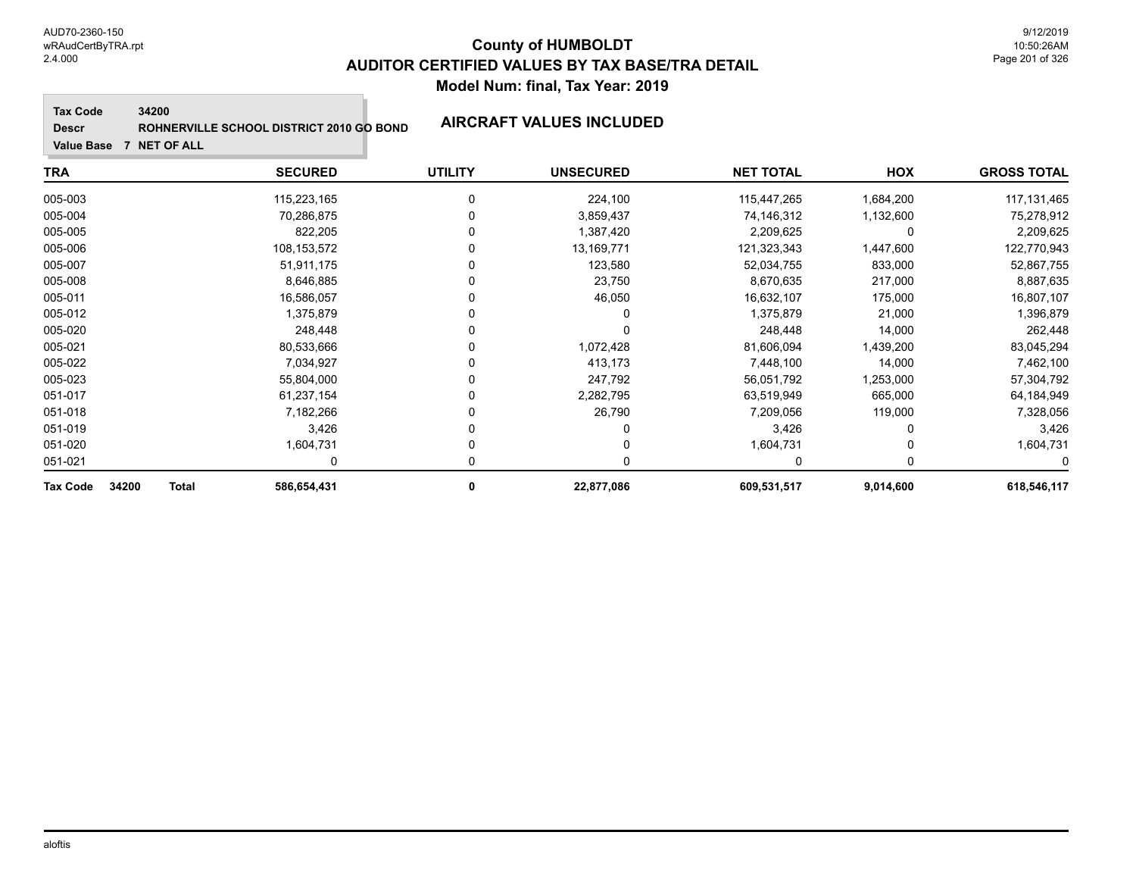**Tax Code 34200**

**Descr**

# **ROHNERVILLE SCHOOL DISTRICT 2010 GO BOND AIRCRAFT VALUES INCLUDED**

| <b>TRA</b>                        | <b>SECURED</b> | <b>UTILITY</b> | <b>UNSECURED</b> | <b>NET TOTAL</b> | <b>HOX</b> | <b>GROSS TOTAL</b> |
|-----------------------------------|----------------|----------------|------------------|------------------|------------|--------------------|
| 005-003                           | 115,223,165    | 0              | 224,100          | 115,447,265      | 1,684,200  | 117, 131, 465      |
| 005-004                           | 70,286,875     |                | 3,859,437        | 74,146,312       | 1,132,600  | 75,278,912         |
| 005-005                           | 822,205        |                | 1,387,420        | 2,209,625        | 0          | 2,209,625          |
| 005-006                           | 108,153,572    |                | 13,169,771       | 121,323,343      | 1,447,600  | 122,770,943        |
| 005-007                           | 51,911,175     |                | 123,580          | 52,034,755       | 833,000    | 52,867,755         |
| 005-008                           | 8,646,885      |                | 23,750           | 8,670,635        | 217,000    | 8,887,635          |
| 005-011                           | 16,586,057     |                | 46,050           | 16,632,107       | 175,000    | 16,807,107         |
| 005-012                           | 1,375,879      |                | 0                | 1,375,879        | 21,000     | 1,396,879          |
| 005-020                           | 248,448        |                | $\Omega$         | 248,448          | 14,000     | 262,448            |
| 005-021                           | 80,533,666     |                | 1,072,428        | 81,606,094       | 1,439,200  | 83,045,294         |
| 005-022                           | 7,034,927      |                | 413,173          | 7,448,100        | 14,000     | 7,462,100          |
| 005-023                           | 55,804,000     |                | 247,792          | 56,051,792       | 1,253,000  | 57,304,792         |
| 051-017                           | 61,237,154     |                | 2,282,795        | 63,519,949       | 665,000    | 64,184,949         |
| 051-018                           | 7,182,266      |                | 26,790           | 7,209,056        | 119,000    | 7,328,056          |
| 051-019                           | 3,426          |                | 0                | 3,426            |            | 3,426              |
| 051-020                           | 1,604,731      |                | 0                | 1,604,731        |            | 1,604,731          |
| 051-021                           | 0              |                | 0                | 0                | 0          | 0                  |
| 34200<br><b>Total</b><br>Tax Code | 586,654,431    | 0              | 22,877,086       | 609,531,517      | 9,014,600  | 618,546,117        |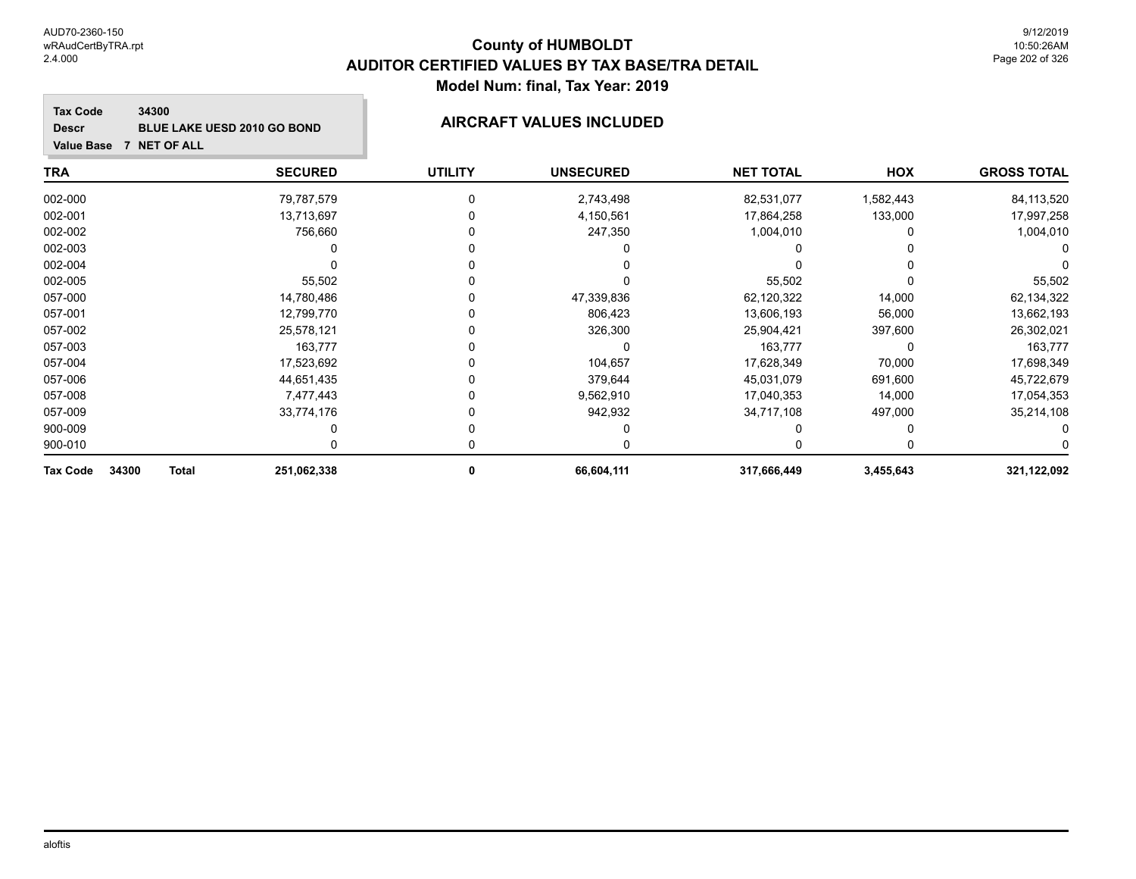**Value Base 7 NET OF ALL**

### **County of HUMBOLDT AUDITOR CERTIFIED VALUES BY TAX BASE/TRA DETAIL Model Num: final, Tax Year: 2019**

#### **Tax Code 34300 Descr BLUE LAKE UESD 2010 GO BOND AIRCRAFT VALUES INCLUDED**

| <b>TRA</b>        |              | <b>SECURED</b> | <b>UTILITY</b> | <b>UNSECURED</b> | <b>NET TOTAL</b> | HOX       | <b>GROSS TOTAL</b> |
|-------------------|--------------|----------------|----------------|------------------|------------------|-----------|--------------------|
| 002-000           |              | 79,787,579     |                | 2,743,498        | 82,531,077       | 1,582,443 | 84, 113, 520       |
| 002-001           |              | 13,713,697     |                | 4,150,561        | 17,864,258       | 133,000   | 17,997,258         |
| 002-002           |              | 756,660        |                | 247,350          | 1,004,010        |           | 1,004,010          |
| 002-003           |              |                |                |                  |                  |           |                    |
| 002-004           |              |                |                |                  |                  |           |                    |
| 002-005           |              | 55,502         |                |                  | 55,502           |           | 55,502             |
| 057-000           |              | 14,780,486     |                | 47,339,836       | 62,120,322       | 14,000    | 62,134,322         |
| 057-001           |              | 12,799,770     |                | 806,423          | 13,606,193       | 56,000    | 13,662,193         |
| 057-002           |              | 25,578,121     |                | 326,300          | 25,904,421       | 397,600   | 26,302,021         |
| 057-003           |              | 163,777        |                |                  | 163,777          | 0         | 163,777            |
| 057-004           |              | 17,523,692     |                | 104,657          | 17,628,349       | 70,000    | 17,698,349         |
| 057-006           |              | 44,651,435     |                | 379,644          | 45,031,079       | 691,600   | 45,722,679         |
| 057-008           |              | 7,477,443      |                | 9,562,910        | 17,040,353       | 14,000    | 17,054,353         |
| 057-009           |              | 33,774,176     |                | 942,932          | 34,717,108       | 497,000   | 35,214,108         |
| 900-009           |              |                |                |                  |                  |           |                    |
| 900-010           |              |                |                |                  |                  |           |                    |
| 34300<br>Tax Code | <b>Total</b> | 251,062,338    | 0              | 66,604,111       | 317,666,449      | 3,455,643 | 321,122,092        |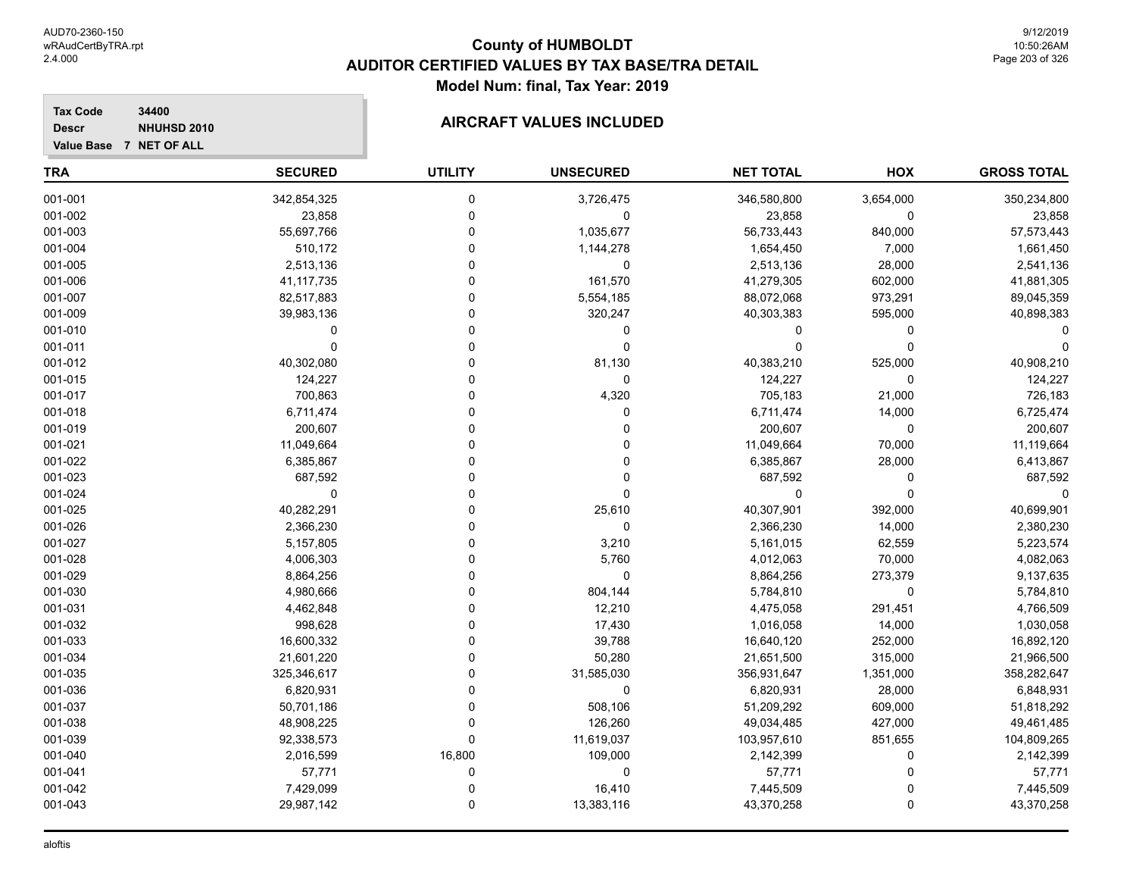# **AIRCRAFT VALUES INCLUDED**

**Tax Code 34400 Descr**

|  | Value Base 7 NET OF ALL |
|--|-------------------------|

| <b>TRA</b> | <b>SECURED</b> | <b>UTILITY</b> | <b>UNSECURED</b> | <b>NET TOTAL</b> | HOX       | <b>GROSS TOTAL</b> |
|------------|----------------|----------------|------------------|------------------|-----------|--------------------|
| 001-001    | 342,854,325    | $\mathbf 0$    | 3,726,475        | 346,580,800      | 3,654,000 | 350,234,800        |
| 001-002    | 23,858         | $\mathbf 0$    | 0                | 23,858           | 0         | 23,858             |
| 001-003    | 55,697,766     | $\Omega$       | 1,035,677        | 56,733,443       | 840,000   | 57,573,443         |
| 001-004    | 510,172        | $\Omega$       | 1,144,278        | 1,654,450        | 7,000     | 1,661,450          |
| 001-005    | 2,513,136      | $\Omega$       | $\mathbf 0$      | 2,513,136        | 28,000    | 2,541,136          |
| 001-006    | 41, 117, 735   | 0              | 161,570          | 41,279,305       | 602,000   | 41,881,305         |
| 001-007    | 82,517,883     | 0              | 5,554,185        | 88,072,068       | 973,291   | 89,045,359         |
| 001-009    | 39,983,136     | 0              | 320,247          | 40,303,383       | 595,000   | 40,898,383         |
| 001-010    | $\Omega$       | $\Omega$       | 0                | 0                | 0         |                    |
| 001-011    | $\Omega$       | U              | $\mathbf 0$      | $\Omega$         | $\Omega$  |                    |
| 001-012    | 40,302,080     | $\Omega$       | 81,130           | 40,383,210       | 525,000   | 40,908,210         |
| 001-015    | 124,227        | $\Omega$       | $\mathbf 0$      | 124,227          | $\Omega$  | 124,227            |
| 001-017    | 700,863        | $\Omega$       | 4,320            | 705,183          | 21,000    | 726,183            |
| 001-018    | 6,711,474      | 0              | 0                | 6,711,474        | 14,000    | 6,725,474          |
| 001-019    | 200,607        | 0              | 0                | 200,607          | 0         | 200,607            |
| 001-021    | 11,049,664     | 0              | 0                | 11,049,664       | 70,000    | 11,119,664         |
| 001-022    | 6,385,867      | U              | 0                | 6,385,867        | 28,000    | 6,413,867          |
| 001-023    | 687,592        | 0              | 0                | 687,592          | 0         | 687,592            |
| 001-024    | 0              | O              | 0                | $\Omega$         | $\Omega$  | $\Omega$           |
| 001-025    | 40,282,291     | U              | 25,610           | 40,307,901       | 392,000   | 40,699,901         |
| 001-026    | 2,366,230      | 0              | 0                | 2,366,230        | 14,000    | 2,380,230          |
| 001-027    | 5,157,805      | 0              | 3,210            | 5,161,015        | 62,559    | 5,223,574          |
| 001-028    | 4,006,303      | 0              | 5,760            | 4,012,063        | 70,000    | 4,082,063          |
| 001-029    | 8,864,256      | 0              | 0                | 8,864,256        | 273,379   | 9,137,635          |
| 001-030    | 4,980,666      | 0              | 804,144          | 5,784,810        | 0         | 5,784,810          |
| 001-031    | 4,462,848      | $\Omega$       | 12,210           | 4,475,058        | 291,451   | 4,766,509          |
| 001-032    | 998,628        | 0              | 17,430           | 1,016,058        | 14,000    | 1,030,058          |
| 001-033    | 16,600,332     | $\Omega$       | 39,788           | 16,640,120       | 252,000   | 16,892,120         |
| 001-034    | 21,601,220     | 0              | 50,280           | 21,651,500       | 315,000   | 21,966,500         |
| 001-035    | 325,346,617    | 0              | 31,585,030       | 356,931,647      | 1,351,000 | 358,282,647        |
| 001-036    | 6,820,931      | U              | 0                | 6,820,931        | 28,000    | 6,848,931          |
| 001-037    | 50,701,186     | $\Omega$       | 508,106          | 51,209,292       | 609,000   | 51,818,292         |
| 001-038    | 48,908,225     | $\Omega$       | 126,260          | 49,034,485       | 427,000   | 49,461,485         |
| 001-039    | 92,338,573     | $\Omega$       | 11,619,037       | 103,957,610      | 851,655   | 104,809,265        |
| 001-040    | 2,016,599      | 16,800         | 109,000          | 2,142,399        | 0         | 2,142,399          |
| 001-041    | 57,771         | 0              | $\mathbf 0$      | 57,771           | 0         | 57,771             |
| 001-042    | 7,429,099      | 0              | 16,410           | 7,445,509        | 0         | 7,445,509          |
| 001-043    | 29,987,142     | $\Omega$       | 13,383,116       | 43,370,258       | $\Omega$  | 43,370,258         |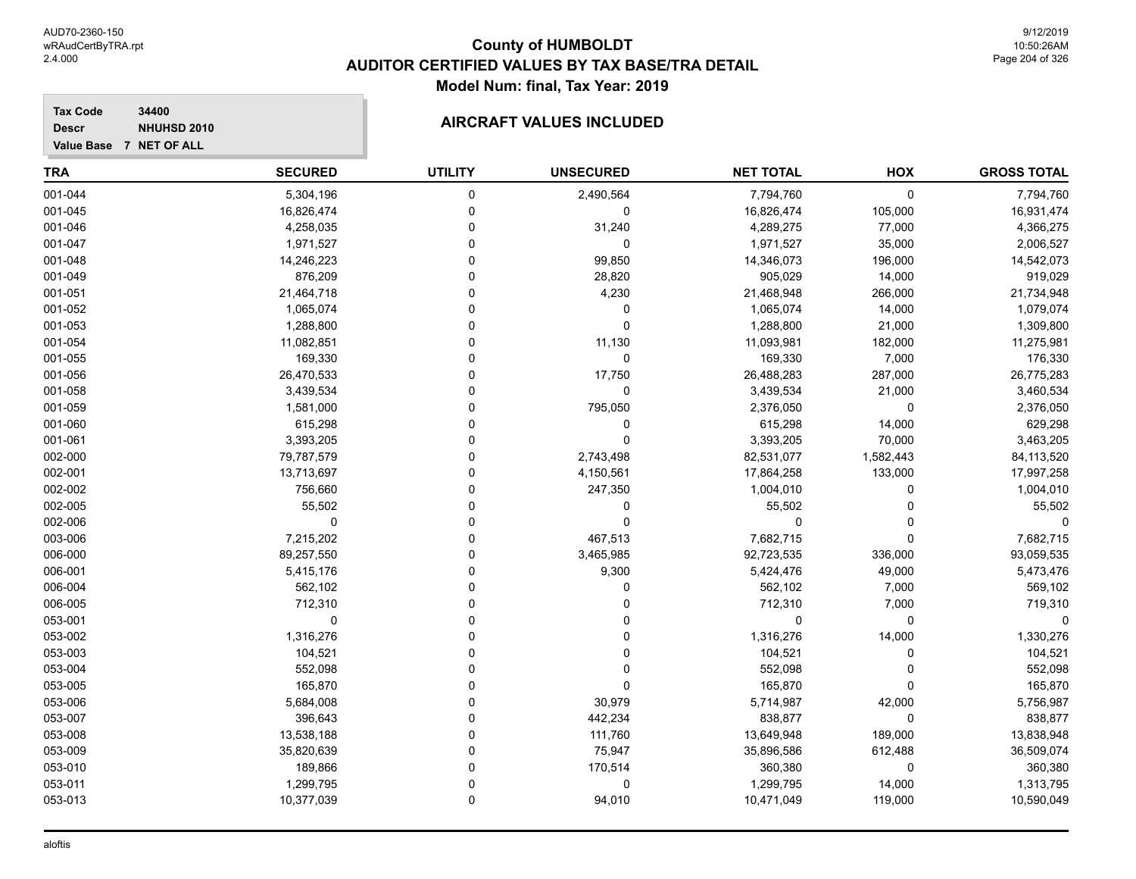#### **Tax Code 34400 Descr**

**Value Base 7 NET OF ALL**

### **NHUHSD 2010 AIRCRAFT VALUES INCLUDED**

| <b>GROSS TOTAL</b> | HOX          | <b>NET TOTAL</b> | <b>UNSECURED</b> | <b>UTILITY</b> | <b>SECURED</b> | <b>TRA</b> |
|--------------------|--------------|------------------|------------------|----------------|----------------|------------|
| 7,794,760          | $\mathbf 0$  | 7,794,760        | 2,490,564        | 0              | 5,304,196      | 001-044    |
| 16,931,474         | 105,000      | 16,826,474       | $\mathbf 0$      | 0              | 16,826,474     | 001-045    |
| 4,366,275          | 77,000       | 4,289,275        | 31,240           |                | 4,258,035      | 001-046    |
| 2,006,527          | 35,000       | 1,971,527        | $\mathbf 0$      |                | 1,971,527      | 001-047    |
| 14,542,073         | 196,000      | 14,346,073       | 99,850           |                | 14,246,223     | 001-048    |
| 919,029            | 14,000       | 905,029          | 28,820           |                | 876,209        | 001-049    |
| 21,734,948         | 266,000      | 21,468,948       | 4,230            |                | 21,464,718     | 001-051    |
| 1,079,074          | 14,000       | 1,065,074        | 0                |                | 1,065,074      | 001-052    |
| 1,309,800          | 21,000       | 1,288,800        | $\Omega$         |                | 1,288,800      | 001-053    |
| 11,275,981         | 182,000      | 11,093,981       | 11,130           |                | 11,082,851     | 001-054    |
| 176,330            | 7,000        | 169,330          | $\mathbf 0$      |                | 169,330        | 001-055    |
| 26,775,283         | 287,000      | 26,488,283       | 17,750           | U              | 26,470,533     | 001-056    |
| 3,460,534          | 21,000       | 3,439,534        | $\mathbf 0$      |                | 3,439,534      | 001-058    |
| 2,376,050          | 0            | 2,376,050        | 795,050          |                | 1,581,000      | 001-059    |
| 629,298            | 14,000       | 615,298          | $\mathbf 0$      |                | 615,298        | 001-060    |
| 3,463,205          | 70,000       | 3,393,205        | $\Omega$         | ŋ              | 3,393,205      | 001-061    |
| 84,113,520         | 1,582,443    | 82,531,077       | 2,743,498        | ŋ              | 79,787,579     | 002-000    |
| 17,997,258         | 133,000      | 17,864,258       | 4,150,561        |                | 13,713,697     | 002-001    |
| 1,004,010          | $\Omega$     | 1,004,010        | 247,350          |                | 756,660        | 002-002    |
| 55,502             | $\Omega$     | 55,502           | $\mathbf{0}$     |                | 55,502         | 002-005    |
| 0                  | <sup>0</sup> | 0                | $\Omega$         |                | $\Omega$       | 002-006    |
| 7,682,715          | $\Omega$     | 7,682,715        | 467,513          | U              | 7,215,202      | 003-006    |
| 93,059,535         | 336,000      | 92,723,535       | 3,465,985        | 0              | 89,257,550     | 006-000    |
| 5,473,476          | 49,000       | 5,424,476        | 9,300            | 0              | 5,415,176      | 006-001    |
| 569,102            | 7,000        | 562,102          | $\Omega$         |                | 562,102        | 006-004    |
| 719,310            | 7,000        | 712,310          |                  |                | 712,310        | 006-005    |
| 0                  | $\mathbf 0$  | 0                | 0                |                | 0              | 053-001    |
| 1,330,276          | 14,000       | 1,316,276        | $\Omega$         |                | 1,316,276      | 053-002    |
| 104,521            | $\Omega$     | 104,521          | $\Omega$         |                | 104,521        | 053-003    |
| 552,098            | $\Omega$     | 552,098          | 0                |                | 552,098        | 053-004    |
| 165,870            | $\Omega$     | 165,870          | $\Omega$         |                | 165,870        | 053-005    |
| 5,756,987          | 42,000       | 5,714,987        | 30,979           | O              | 5,684,008      | 053-006    |
| 838,877            | 0            | 838,877          | 442,234          | 0              | 396,643        | 053-007    |
| 13,838,948         | 189,000      | 13,649,948       | 111,760          | 0              | 13,538,188     | 053-008    |
| 36,509,074         | 612,488      | 35,896,586       | 75,947           |                | 35,820,639     | 053-009    |
| 360,380            | 0            | 360,380          | 170,514          | 0              | 189,866        | 053-010    |
| 1,313,795          | 14,000       | 1,299,795        | 0                | ∩              | 1,299,795      | 053-011    |
| 10,590,049         | 119,000      | 10,471,049       | 94,010           | 0              | 10,377,039     | 053-013    |
|                    |              |                  |                  |                |                |            |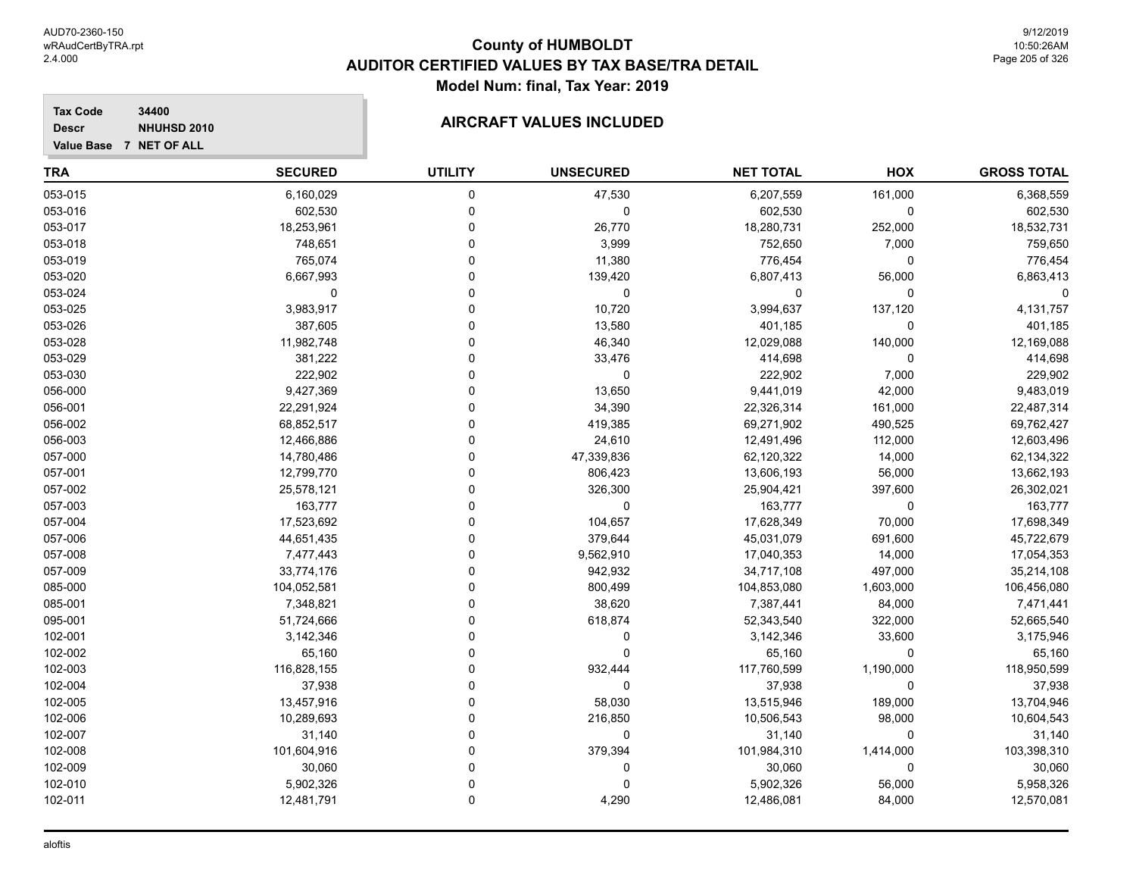#### **Tax Code 34400 Descr**

**Value Base 7 NET OF ALL**

### **NHUHSD 2010 AIRCRAFT VALUES INCLUDED**

| TRA     | <b>SECURED</b> | <b>UTILITY</b> | <b>UNSECURED</b> | <b>NET TOTAL</b> | HOX       | <b>GROSS TOTAL</b> |
|---------|----------------|----------------|------------------|------------------|-----------|--------------------|
| 053-015 | 6,160,029      | 0              | 47,530           | 6,207,559        | 161,000   | 6,368,559          |
| 053-016 | 602,530        | 0              | 0                | 602,530          | 0         | 602,530            |
| 053-017 | 18,253,961     | 0              | 26,770           | 18,280,731       | 252,000   | 18,532,731         |
| 053-018 | 748,651        |                | 3,999            | 752,650          | 7,000     | 759,650            |
| 053-019 | 765,074        |                | 11,380           | 776,454          | 0         | 776,454            |
| 053-020 | 6,667,993      |                | 139,420          | 6,807,413        | 56,000    | 6,863,413          |
| 053-024 | 0              | U              | 0                | 0                | 0         |                    |
| 053-025 | 3,983,917      |                | 10,720           | 3,994,637        | 137,120   | 4,131,757          |
| 053-026 | 387,605        |                | 13,580           | 401,185          | 0         | 401,185            |
| 053-028 | 11,982,748     | $\Omega$       | 46,340           | 12,029,088       | 140,000   | 12,169,088         |
| 053-029 | 381,222        | 0              | 33,476           | 414,698          | 0         | 414,698            |
| 053-030 | 222,902        | 0              | 0                | 222,902          | 7,000     | 229,902            |
| 056-000 | 9,427,369      | 0              | 13,650           | 9,441,019        | 42,000    | 9,483,019          |
| 056-001 | 22,291,924     |                | 34,390           | 22,326,314       | 161,000   | 22,487,314         |
| 056-002 | 68,852,517     |                | 419,385          | 69,271,902       | 490,525   | 69,762,427         |
| 056-003 | 12,466,886     |                | 24,610           | 12,491,496       | 112,000   | 12,603,496         |
| 057-000 | 14,780,486     |                | 47,339,836       | 62,120,322       | 14,000    | 62,134,322         |
| 057-001 | 12,799,770     |                | 806,423          | 13,606,193       | 56,000    | 13,662,193         |
| 057-002 | 25,578,121     |                | 326,300          | 25,904,421       | 397,600   | 26,302,021         |
| 057-003 | 163,777        | U              | 0                | 163,777          | 0         | 163,777            |
| 057-004 | 17,523,692     | 0              | 104,657          | 17,628,349       | 70,000    | 17,698,349         |
| 057-006 | 44,651,435     | 0              | 379,644          | 45,031,079       | 691,600   | 45,722,679         |
| 057-008 | 7,477,443      | 0              | 9,562,910        | 17,040,353       | 14,000    | 17,054,353         |
| 057-009 | 33,774,176     |                | 942,932          | 34,717,108       | 497,000   | 35,214,108         |
| 085-000 | 104,052,581    |                | 800,499          | 104,853,080      | 1,603,000 | 106,456,080        |
| 085-001 | 7,348,821      | U              | 38,620           | 7,387,441        | 84,000    | 7,471,441          |
| 095-001 | 51,724,666     |                | 618,874          | 52,343,540       | 322,000   | 52,665,540         |
| 102-001 | 3,142,346      |                | 0                | 3,142,346        | 33,600    | 3,175,946          |
| 102-002 | 65,160         |                | 0                | 65,160           | 0         | 65,160             |
| 102-003 | 116,828,155    |                | 932,444          | 117,760,599      | 1,190,000 | 118,950,599        |
| 102-004 | 37,938         | U              | 0                | 37,938           | 0         | 37,938             |
| 102-005 | 13,457,916     | 0              | 58,030           | 13,515,946       | 189,000   | 13,704,946         |
| 102-006 | 10,289,693     | 0              | 216,850          | 10,506,543       | 98,000    | 10,604,543         |
| 102-007 | 31,140         |                | 0                | 31,140           | 0         | 31,140             |
| 102-008 | 101,604,916    | 0              | 379,394          | 101,984,310      | 1,414,000 | 103,398,310        |
| 102-009 | 30,060         | U              | 0                | 30,060           | 0         | 30,060             |
| 102-010 | 5,902,326      | $\Omega$       | 0                | 5,902,326        | 56,000    | 5,958,326          |
| 102-011 | 12,481,791     | 0              | 4,290            | 12,486,081       | 84,000    | 12,570,081         |
|         |                |                |                  |                  |           |                    |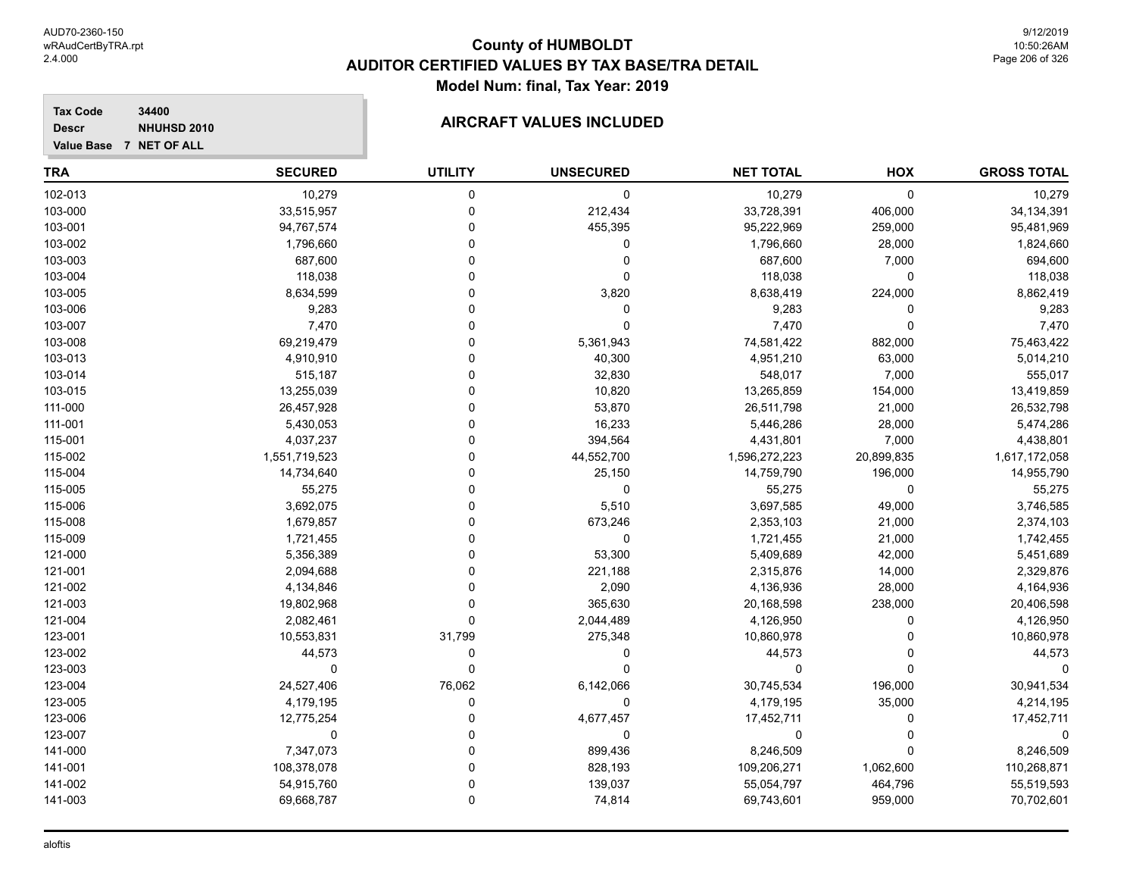#### **Tax Code 34400 Descr**

**Value Base 7 NET OF ALL**

# **AIRCRAFT VALUES INCLUDED**

| TRA     | <b>SECURED</b> | <b>UTILITY</b> | <b>UNSECURED</b> | <b>NET TOTAL</b> | HOX         | <b>GROSS TOTAL</b> |
|---------|----------------|----------------|------------------|------------------|-------------|--------------------|
| 102-013 | 10,279         | 0              | $\mathbf 0$      | 10,279           | $\mathbf 0$ | 10,279             |
| 103-000 | 33,515,957     | 0              | 212,434          | 33,728,391       | 406,000     | 34, 134, 391       |
| 103-001 | 94,767,574     | 0              | 455,395          | 95,222,969       | 259,000     | 95,481,969         |
| 103-002 | 1,796,660      | $\Omega$       | 0                | 1,796,660        | 28,000      | 1,824,660          |
| 103-003 | 687,600        | 0              | 0                | 687,600          | 7,000       | 694,600            |
| 103-004 | 118,038        | ∩              | $\Omega$         | 118,038          | $\mathbf 0$ | 118,038            |
| 103-005 | 8,634,599      | ∩              | 3,820            | 8,638,419        | 224,000     | 8,862,419          |
| 103-006 | 9,283          | ∩              | 0                | 9,283            | $\Omega$    | 9,283              |
| 103-007 | 7,470          | $\Omega$       | $\Omega$         | 7,470            | $\mathbf 0$ | 7,470              |
| 103-008 | 69,219,479     | 0              | 5,361,943        | 74,581,422       | 882,000     | 75,463,422         |
| 103-013 | 4,910,910      | $\Omega$       | 40,300           | 4,951,210        | 63,000      | 5,014,210          |
| 103-014 | 515,187        | 0              | 32,830           | 548,017          | 7,000       | 555,017            |
| 103-015 | 13,255,039     | $\Omega$       | 10,820           | 13,265,859       | 154,000     | 13,419,859         |
| 111-000 | 26,457,928     | $\Omega$       | 53,870           | 26,511,798       | 21,000      | 26,532,798         |
| 111-001 | 5,430,053      | ∩              | 16,233           | 5,446,286        | 28,000      | 5,474,286          |
| 115-001 | 4,037,237      | ∩              | 394,564          | 4,431,801        | 7,000       | 4,438,801          |
| 115-002 | 1,551,719,523  |                | 44,552,700       | 1,596,272,223    | 20,899,835  | 1,617,172,058      |
| 115-004 | 14,734,640     | ∩              | 25,150           | 14,759,790       | 196,000     | 14,955,790         |
| 115-005 | 55,275         | $\Omega$       | 0                | 55,275           | 0           | 55,275             |
| 115-006 | 3,692,075      | 0              | 5,510            | 3,697,585        | 49,000      | 3,746,585          |
| 115-008 | 1,679,857      |                | 673,246          | 2,353,103        | 21,000      | 2,374,103          |
| 115-009 | 1,721,455      | 0              | 0                | 1,721,455        | 21,000      | 1,742,455          |
| 121-000 | 5,356,389      | $\Omega$       | 53,300           | 5,409,689        | 42,000      | 5,451,689          |
| 121-001 | 2,094,688      | $\Omega$       | 221,188          | 2,315,876        | 14,000      | 2,329,876          |
| 121-002 | 4,134,846      | $\Omega$       | 2,090            | 4,136,936        | 28,000      | 4,164,936          |
| 121-003 | 19,802,968     | $\Omega$       | 365,630          | 20,168,598       | 238,000     | 20,406,598         |
| 121-004 | 2,082,461      | 0              | 2,044,489        | 4,126,950        | 0           | 4,126,950          |
| 123-001 | 10,553,831     | 31,799         | 275,348          | 10,860,978       | 0           | 10,860,978         |
| 123-002 | 44,573         | 0              | 0                | 44,573           | 0           | 44,573             |
| 123-003 | 0              | $\Omega$       | $\Omega$         | 0                | $\Omega$    | $\Omega$           |
| 123-004 | 24,527,406     | 76,062         | 6,142,066        | 30,745,534       | 196,000     | 30,941,534         |
| 123-005 | 4,179,195      | 0              | 0                | 4,179,195        | 35,000      | 4,214,195          |
| 123-006 | 12,775,254     | $\Omega$       | 4,677,457        | 17,452,711       | 0           | 17,452,711         |
| 123-007 | 0              | $\Omega$       | 0                | 0                | 0           | 0                  |
| 141-000 | 7,347,073      | 0              | 899,436          | 8,246,509        | 0           | 8,246,509          |
| 141-001 | 108,378,078    | $\Omega$       | 828,193          | 109,206,271      | 1,062,600   | 110,268,871        |
| 141-002 | 54,915,760     | $\Omega$       | 139,037          | 55,054,797       | 464,796     | 55,519,593         |
| 141-003 | 69,668,787     | $\Omega$       | 74,814           | 69,743,601       | 959,000     | 70,702,601         |
|         |                |                |                  |                  |             |                    |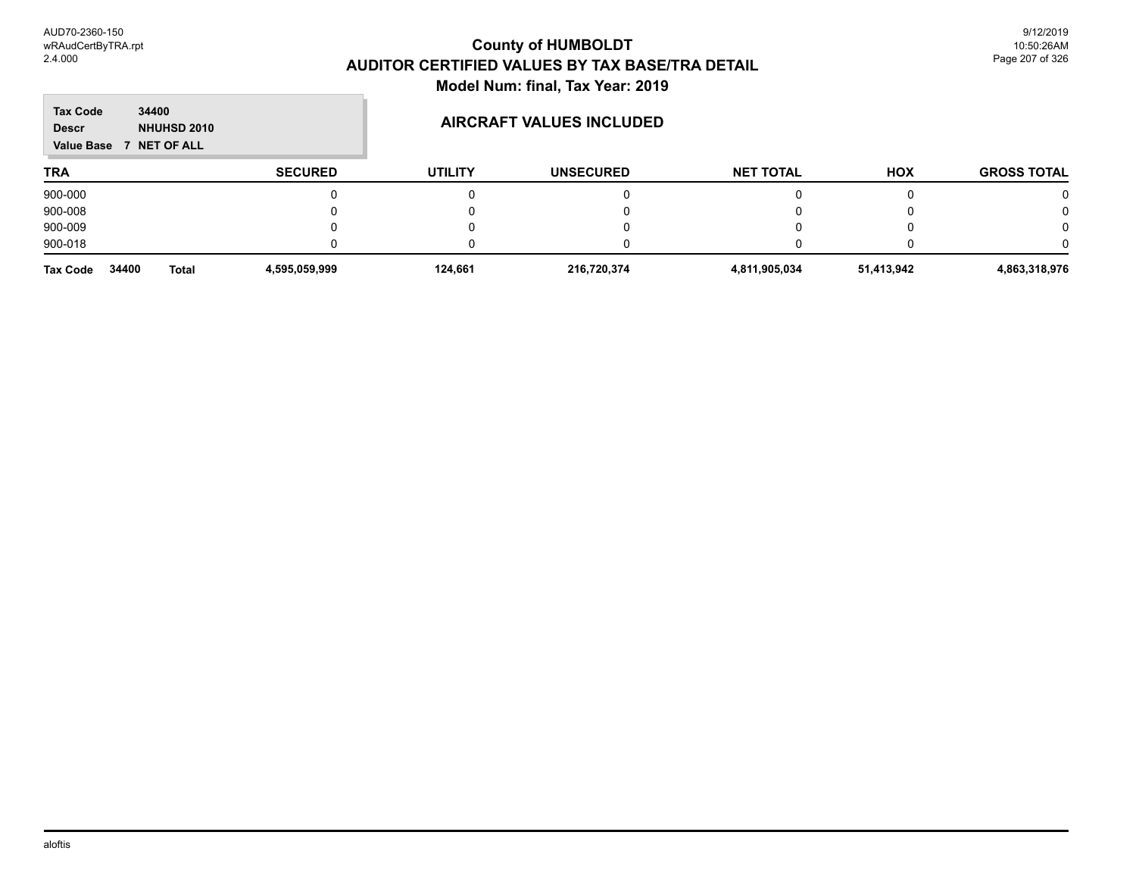| <b>Tax Code</b><br>34400<br><b>NHUHSD 2010</b><br><b>Descr</b><br>Value Base 7 NET OF ALL |                | <b>AIRCRAFT VALUES INCLUDED</b> |                  |                  |            |                    |
|-------------------------------------------------------------------------------------------|----------------|---------------------------------|------------------|------------------|------------|--------------------|
| <b>TRA</b>                                                                                | <b>SECURED</b> | <b>UTILITY</b>                  | <b>UNSECURED</b> | <b>NET TOTAL</b> | <b>HOX</b> | <b>GROSS TOTAL</b> |
| 900-000                                                                                   |                |                                 | 0                |                  |            | 0                  |
| 900-008                                                                                   |                |                                 |                  |                  |            |                    |
| 900-009                                                                                   |                |                                 |                  |                  |            | 0                  |
| 900-018                                                                                   |                |                                 | $\mathbf{I}$     |                  |            |                    |
| 34400<br><b>Tax Code</b><br><b>Total</b>                                                  | 4,595,059,999  | 124.661                         | 216.720.374      | 4,811,905,034    | 51,413,942 | 4,863,318,976      |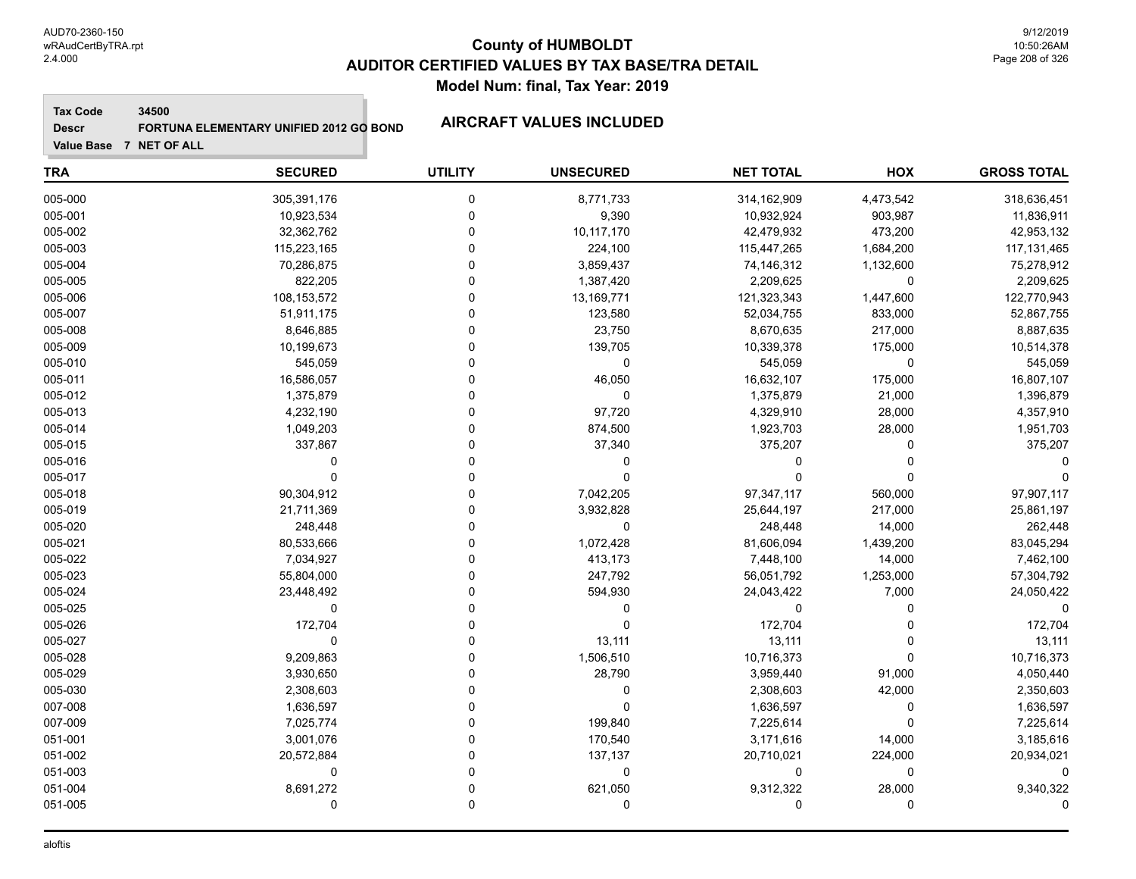**Tax Code 34500**

**Descr FORTUNA ELEMENTARY UNIFIED 2012 GO BOND AIRCRAFT VALUES INCLUDED**

| <b>TRA</b> | <b>SECURED</b> | <b>UTILITY</b> | <b>UNSECURED</b> | <b>NET TOTAL</b> | <b>HOX</b>  | <b>GROSS TOTAL</b> |
|------------|----------------|----------------|------------------|------------------|-------------|--------------------|
| 005-000    | 305,391,176    | 0              | 8,771,733        | 314,162,909      | 4,473,542   | 318,636,451        |
| 005-001    | 10,923,534     | 0              | 9,390            | 10,932,924       | 903,987     | 11,836,911         |
| 005-002    | 32,362,762     | $\mathbf 0$    | 10,117,170       | 42,479,932       | 473,200     | 42,953,132         |
| 005-003    | 115,223,165    | $\Omega$       | 224,100          | 115,447,265      | 1,684,200   | 117, 131, 465      |
| 005-004    | 70,286,875     | $\Omega$       | 3,859,437        | 74,146,312       | 1,132,600   | 75,278,912         |
| 005-005    | 822,205        | $\Omega$       | 1,387,420        | 2,209,625        | $\Omega$    | 2,209,625          |
| 005-006    | 108, 153, 572  | $\Omega$       | 13,169,771       | 121,323,343      | 1,447,600   | 122,770,943        |
| 005-007    | 51,911,175     | 0              | 123,580          | 52,034,755       | 833,000     | 52,867,755         |
| 005-008    | 8,646,885      | 0              | 23,750           | 8,670,635        | 217,000     | 8,887,635          |
| 005-009    | 10,199,673     | 0              | 139,705          | 10,339,378       | 175,000     | 10,514,378         |
| 005-010    | 545,059        | O              | 0                | 545,059          | $\mathbf 0$ | 545,059            |
| 005-011    | 16,586,057     | O              | 46,050           | 16,632,107       | 175,000     | 16,807,107         |
| 005-012    | 1,375,879      | $\Omega$       | $\Omega$         | 1,375,879        | 21,000      | 1,396,879          |
| 005-013    | 4,232,190      | $\Omega$       | 97,720           | 4,329,910        | 28,000      | 4,357,910          |
| 005-014    | 1,049,203      | $\Omega$       | 874,500          | 1,923,703        | 28,000      | 1,951,703          |
| 005-015    | 337,867        | $\Omega$       | 37,340           | 375,207          | 0           | 375,207            |
| 005-016    | $\Omega$       | 0              | 0                | $\Omega$         | $\Omega$    |                    |
| 005-017    | $\Omega$       | $\Omega$       | 0                | $\Omega$         | $\Omega$    |                    |
| 005-018    | 90,304,912     | 0              | 7,042,205        | 97,347,117       | 560,000     | 97,907,117         |
| 005-019    | 21,711,369     | $\Omega$       | 3,932,828        | 25,644,197       | 217,000     | 25,861,197         |
| 005-020    | 248,448        | $\Omega$       | 0                | 248,448          | 14,000      | 262,448            |
| 005-021    | 80,533,666     | $\Omega$       | 1,072,428        | 81,606,094       | 1,439,200   | 83,045,294         |
| 005-022    | 7,034,927      | 0              | 413,173          | 7,448,100        | 14,000      | 7,462,100          |
| 005-023    | 55,804,000     | $\Omega$       | 247,792          | 56,051,792       | 1,253,000   | 57,304,792         |
| 005-024    | 23,448,492     | 0              | 594,930          | 24,043,422       | 7,000       | 24,050,422         |
| 005-025    | $\mathbf 0$    | $\Omega$       | 0                | 0                | 0           | $\Omega$           |
| 005-026    | 172,704        | 0              | $\mathbf 0$      | 172,704          | $\Omega$    | 172,704            |
| 005-027    | $\Omega$       | $\Omega$       | 13,111           | 13,111           | $\Omega$    | 13,111             |
| 005-028    | 9,209,863      | $\Omega$       | 1,506,510        | 10,716,373       | $\Omega$    | 10,716,373         |
| 005-029    | 3,930,650      | $\Omega$       | 28,790           | 3,959,440        | 91,000      | 4,050,440          |
| 005-030    | 2,308,603      | 0              | 0                | 2,308,603        | 42,000      | 2,350,603          |
| 007-008    | 1,636,597      | 0              | $\mathbf 0$      | 1,636,597        | 0           | 1,636,597          |
| 007-009    | 7,025,774      | 0              | 199,840          | 7,225,614        | $\Omega$    | 7,225,614          |
| 051-001    | 3,001,076      | 0              | 170,540          | 3,171,616        | 14,000      | 3,185,616          |
| 051-002    | 20,572,884     | 0              | 137,137          | 20,710,021       | 224,000     | 20,934,021         |
| 051-003    | 0              | $\Omega$       | 0                | 0                | $\Omega$    | $\Omega$           |
| 051-004    | 8,691,272      | $\Omega$       | 621,050          | 9,312,322        | 28,000      | 9,340,322          |
| 051-005    | 0              | $\mathbf 0$    | $\mathbf 0$      | 0                | $\Omega$    | ∩                  |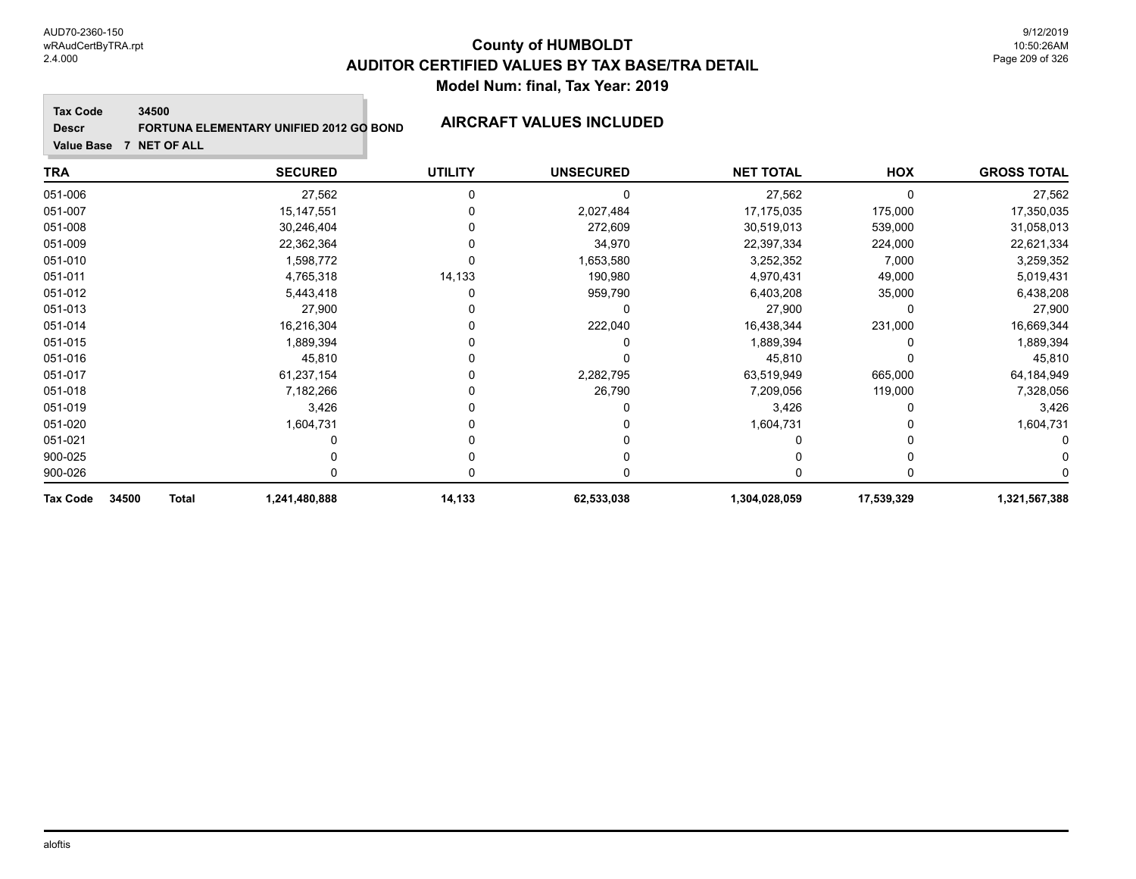**Tax Code 34500**

**Descr**

# **FORTUNA ELEMENTARY UNIFIED 2012 GO BOND AIRCRAFT VALUES INCLUDED**

| <b>TRA</b>                               | <b>SECURED</b> | <b>UTILITY</b> | <b>UNSECURED</b> | <b>NET TOTAL</b> | <b>HOX</b> | <b>GROSS TOTAL</b> |
|------------------------------------------|----------------|----------------|------------------|------------------|------------|--------------------|
| 051-006                                  | 27,562         | 0              | 0                | 27,562           | $\Omega$   | 27,562             |
| 051-007                                  | 15, 147, 551   |                | 2,027,484        | 17,175,035       | 175,000    | 17,350,035         |
| 051-008                                  | 30,246,404     |                | 272,609          | 30,519,013       | 539,000    | 31,058,013         |
| 051-009                                  | 22,362,364     |                | 34,970           | 22,397,334       | 224,000    | 22,621,334         |
| 051-010                                  | 1,598,772      |                | 1,653,580        | 3,252,352        | 7,000      | 3,259,352          |
| 051-011                                  | 4,765,318      | 14,133         | 190,980          | 4,970,431        | 49,000     | 5,019,431          |
| 051-012                                  | 5,443,418      | 0              | 959,790          | 6,403,208        | 35,000     | 6,438,208          |
| 051-013                                  | 27,900         |                | 0                | 27,900           | 0          | 27,900             |
| 051-014                                  | 16,216,304     |                | 222,040          | 16,438,344       | 231,000    | 16,669,344         |
| 051-015                                  | 1,889,394      |                |                  | 1,889,394        |            | 1,889,394          |
| 051-016                                  | 45,810         |                |                  | 45,810           |            | 45,810             |
| 051-017                                  | 61,237,154     |                | 2,282,795        | 63,519,949       | 665,000    | 64,184,949         |
| 051-018                                  | 7,182,266      |                | 26,790           | 7,209,056        | 119,000    | 7,328,056          |
| 051-019                                  | 3,426          |                |                  | 3,426            |            | 3,426              |
| 051-020                                  | 1,604,731      |                |                  | 1,604,731        |            | 1,604,731          |
| 051-021                                  |                |                |                  |                  |            |                    |
| 900-025                                  |                |                |                  |                  |            |                    |
| 900-026                                  |                |                |                  |                  |            |                    |
| 34500<br><b>Tax Code</b><br><b>Total</b> | 1,241,480,888  | 14,133         | 62,533,038       | 1,304,028,059    | 17,539,329 | 1,321,567,388      |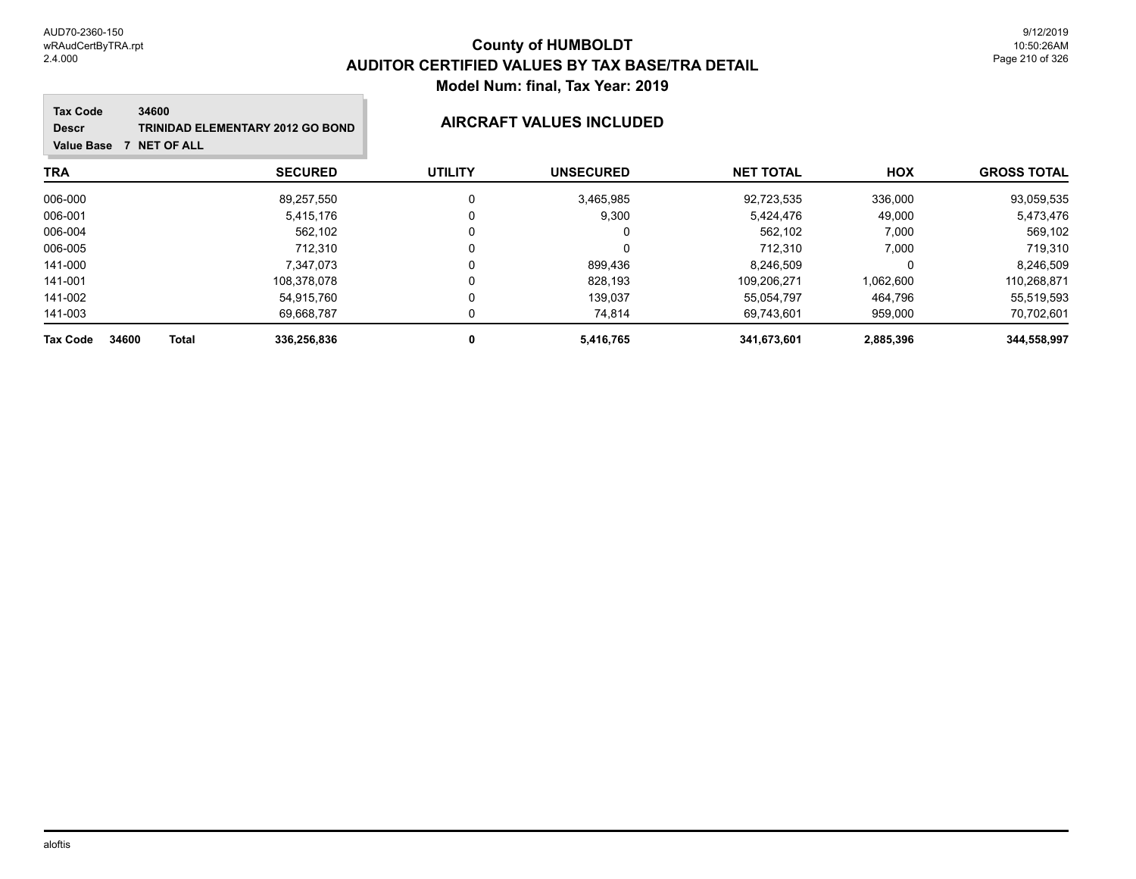### **TRA SECURED UTILITY UNSECURED HOX Tax Code Value Base 7 NET OF ALL 34600 GROSS TOTAL NET TOTAL Descr TRINIDAD ELEMENTARY 2012 GO BOND AIRCRAFT VALUES INCLUDED** 006-000 89,257,550 0 3,465,985 92,723,535 336,000 93,059,535 006-001 5,415,176 0 9,300 5,424,476 49,000 5,473,476 006-004 562,102 0 0 562,102 7,000 569,102 006-005 712,310 0 712,310 7,000 719,310 141-000 7,347,073 0 899,436 8,246,509 0 8,246,509 141-001 108,378,078 0 828,193 109,206,271 1,062,600 110,268,871 141-002 54,915,760 0 139,037 55,054,797 464,796 55,519,593 141-003 69,668,787 0 74,814 69,743,601 959,000 70,702,601 **Tax Code 34600 Total 336,256,836 0 5,416,765 341,673,601 2,885,396 344,558,997**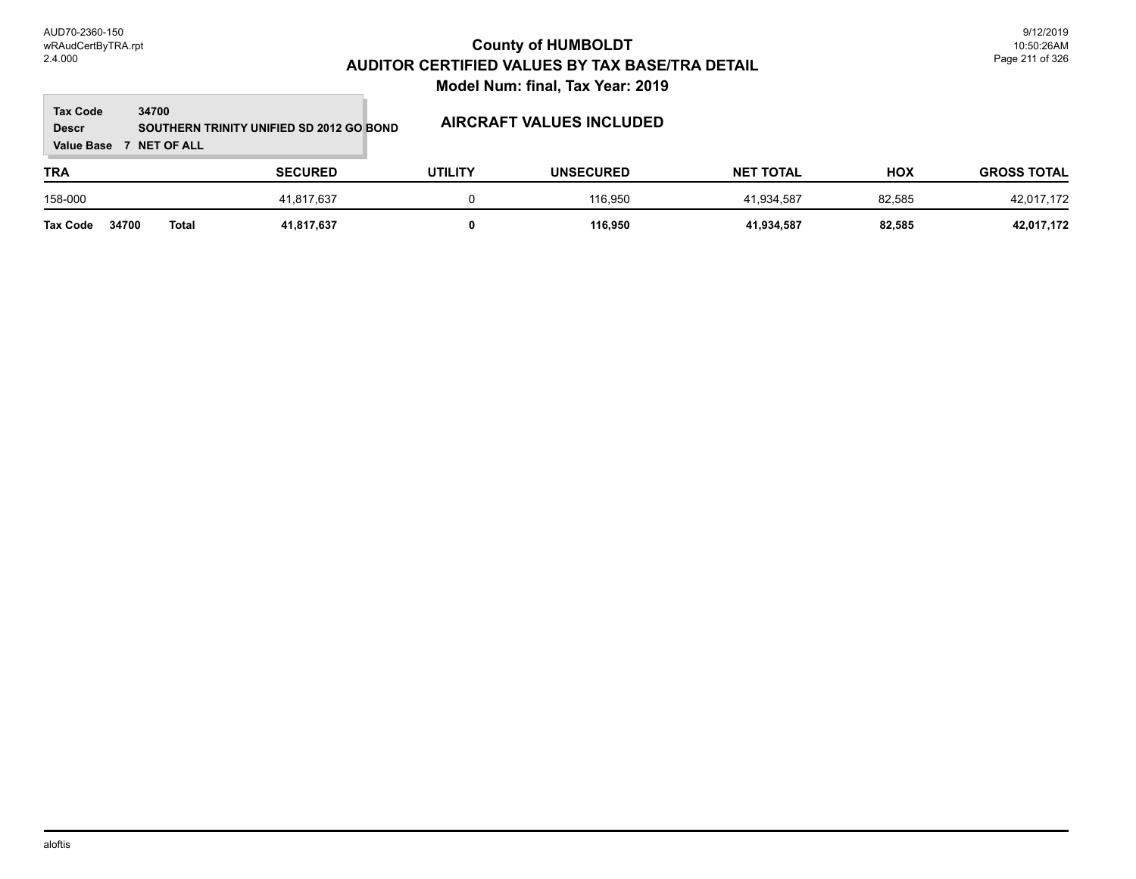#### **Tax Code 34700 Descr**

# **SOUTHERN TRINITY UNIFIED SD 2012 GO BOND AIRCRAFT VALUES INCLUDED**

**Value Base 7 NET OF ALL**

### **TRA SECURED UTILITY UNSECURED HOX GROSS TOTAL NET TOTAL** 158-000 41,817,637 0 116,950 41,934,587 82,585 42,017,172 **Tax Code 34700 Total 41,817,637 0 116,950 41,934,587 82,585 42,017,172**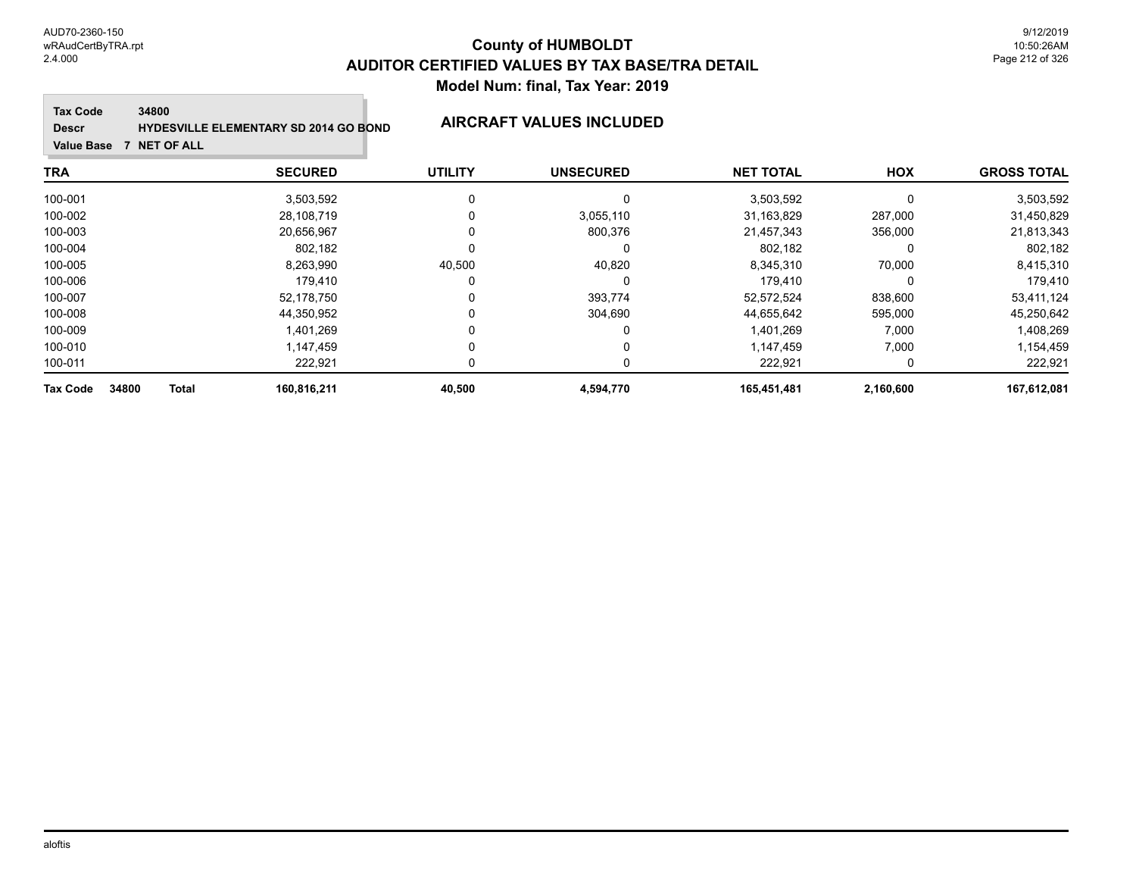9/12/2019 10:50:26AM Page 212 of 326

#### **Tax Code 34800**

**Descr**

### **HYDESVILLE ELEMENTARY SD 2014 GO BOND AIRCRAFT VALUES INCLUDED**

**Value Base 7 NET OF ALL**

### **TRA SECURED UTILITY UNSECURED HOX GROSS TOTAL NET TOTAL** 100-001 3,503,592 0 0 3,503,592 0 3,503,592 100-002 28,108,719 0 3,055,110 31,163,829 287,000 31,450,829 100-003 20,656,967 0 800,376 21,457,343 356,000 21,813,343 100-004 802,182 0 0 802,182 0 802,182 100-005 8,263,990 40,500 40,820 8,345,310 70,000 8,415,310 100-006 179,410 0 0 179,410 0 179,410 100-007 52,178,750 0 393,774 52,572,524 838,600 53,411,124 100-008 44,350,952 0 304,690 44,655,642 595,000 45,250,642 100-009 1,401,269 0 0 1,401,269 7,000 1,408,269 100-010 1,147,459 0 0 1,147,459 7,000 1,154,459 100-011 222,921 0 0 222,921 0 222,921 **Tax Code 34800 Total 160,816,211 40,500 4,594,770 165,451,481 2,160,600 167,612,081**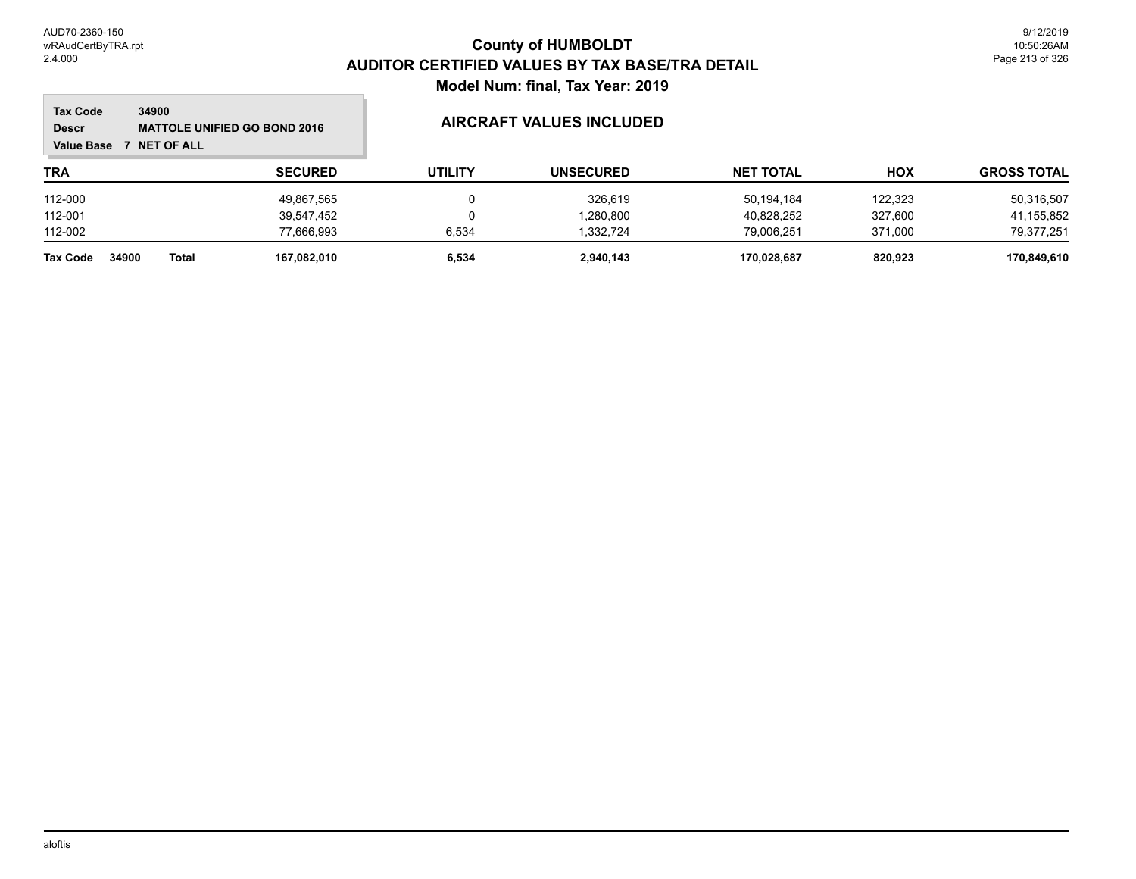### **TRA SECURED UTILITY UNSECURED HOX Tax Code Value Base 7 NET OF ALL 34900 GROSS TOTAL NET TOTAL Descr MATTOLE UNIFIED GO BOND 2016 AIRCRAFT VALUES INCLUDED** 112-000 49,867,565 0 326,619 50,194,184 122,323 50,316,507 112-001 39,547,452 0 1,280,800 40,828,252 327,600 41,155,852 112-002 77,666,993 6,534 1,332,724 79,006,251 371,000 79,377,251 **Tax Code 34900 Total 167,082,010 6,534 2,940,143 170,028,687 820,923 170,849,610**

aloftis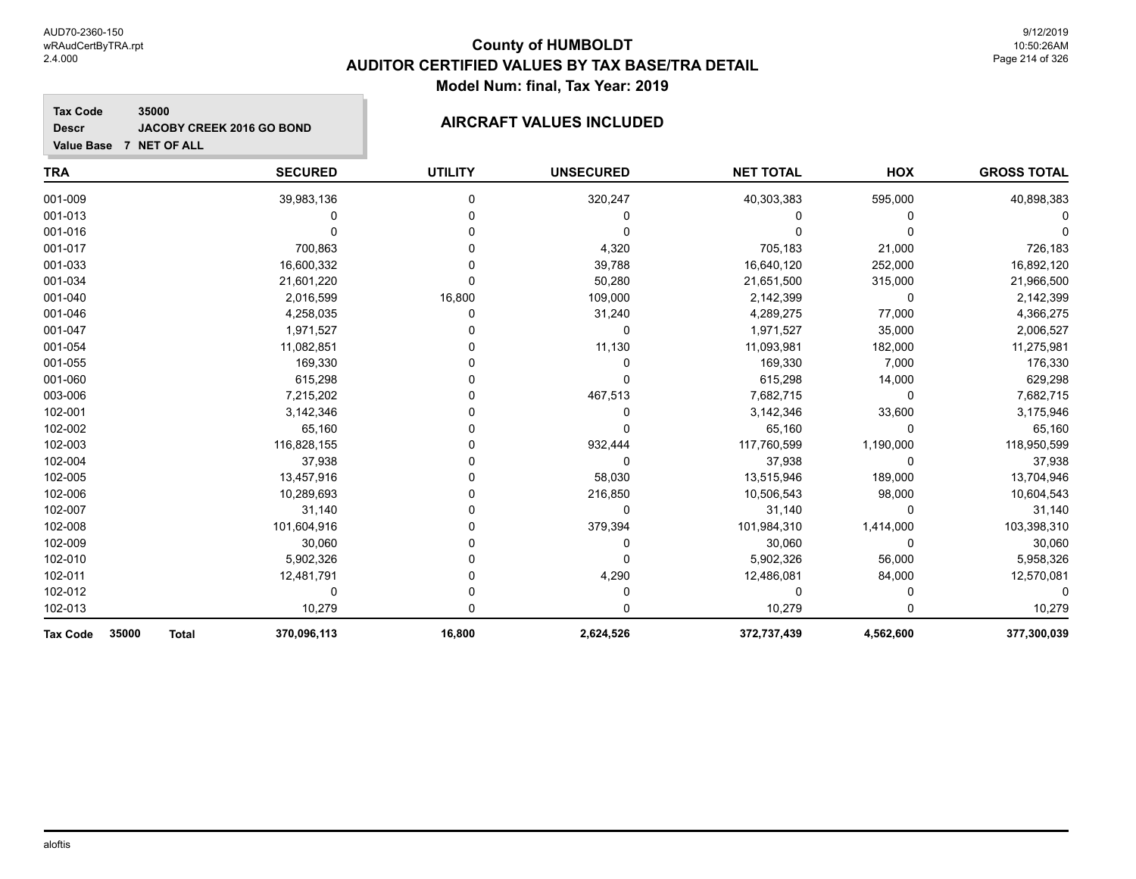#### **Tax Code 35000 Descr JACOBY CREEK 2016 GO BOND AIRCRAFT VALUES INCLUDED**

| <b>TRA</b>                               | <b>SECURED</b> | <b>UTILITY</b> | <b>UNSECURED</b> | <b>NET TOTAL</b> | HOX       | <b>GROSS TOTAL</b> |
|------------------------------------------|----------------|----------------|------------------|------------------|-----------|--------------------|
| 001-009                                  | 39,983,136     | 0              | 320,247          | 40,303,383       | 595,000   | 40,898,383         |
| 001-013                                  | 0              |                |                  |                  | 0         |                    |
| 001-016                                  |                |                |                  |                  |           |                    |
| 001-017                                  | 700,863        |                | 4,320            | 705,183          | 21,000    | 726,183            |
| 001-033                                  | 16,600,332     |                | 39,788           | 16,640,120       | 252,000   | 16,892,120         |
| 001-034                                  | 21,601,220     | $\Omega$       | 50,280           | 21,651,500       | 315,000   | 21,966,500         |
| 001-040                                  | 2,016,599      | 16,800         | 109,000          | 2,142,399        | $\Omega$  | 2,142,399          |
| 001-046                                  | 4,258,035      | 0              | 31,240           | 4,289,275        | 77,000    | 4,366,275          |
| 001-047                                  | 1,971,527      |                | 0                | 1,971,527        | 35,000    | 2,006,527          |
| 001-054                                  | 11,082,851     |                | 11,130           | 11,093,981       | 182,000   | 11,275,981         |
| 001-055                                  | 169,330        |                | 0                | 169,330          | 7,000     | 176,330            |
| 001-060                                  | 615,298        |                | 0                | 615,298          | 14,000    | 629,298            |
| 003-006                                  | 7,215,202      |                | 467,513          | 7,682,715        | $\Omega$  | 7,682,715          |
| 102-001                                  | 3,142,346      |                |                  | 3,142,346        | 33,600    | 3,175,946          |
| 102-002                                  | 65,160         |                |                  | 65,160           | $\Omega$  | 65,160             |
| 102-003                                  | 116,828,155    |                | 932,444          | 117,760,599      | 1,190,000 | 118,950,599        |
| 102-004                                  | 37,938         |                | 0                | 37,938           | $\Omega$  | 37,938             |
| 102-005                                  | 13,457,916     |                | 58,030           | 13,515,946       | 189,000   | 13,704,946         |
| 102-006                                  | 10,289,693     |                | 216,850          | 10,506,543       | 98,000    | 10,604,543         |
| 102-007                                  | 31,140         |                | 0                | 31,140           | $\Omega$  | 31,140             |
| 102-008                                  | 101,604,916    |                | 379,394          | 101,984,310      | 1,414,000 | 103,398,310        |
| 102-009                                  | 30,060         |                | 0                | 30,060           | $\Omega$  | 30,060             |
| 102-010                                  | 5,902,326      |                |                  | 5,902,326        | 56,000    | 5,958,326          |
| 102-011                                  | 12,481,791     |                | 4,290            | 12,486,081       | 84,000    | 12,570,081         |
| 102-012                                  | 0              |                |                  | 0                |           |                    |
| 102-013                                  | 10,279         |                |                  | 10,279           |           | 10,279             |
| 35000<br><b>Tax Code</b><br><b>Total</b> | 370,096,113    | 16,800         | 2,624,526        | 372,737,439      | 4,562,600 | 377,300,039        |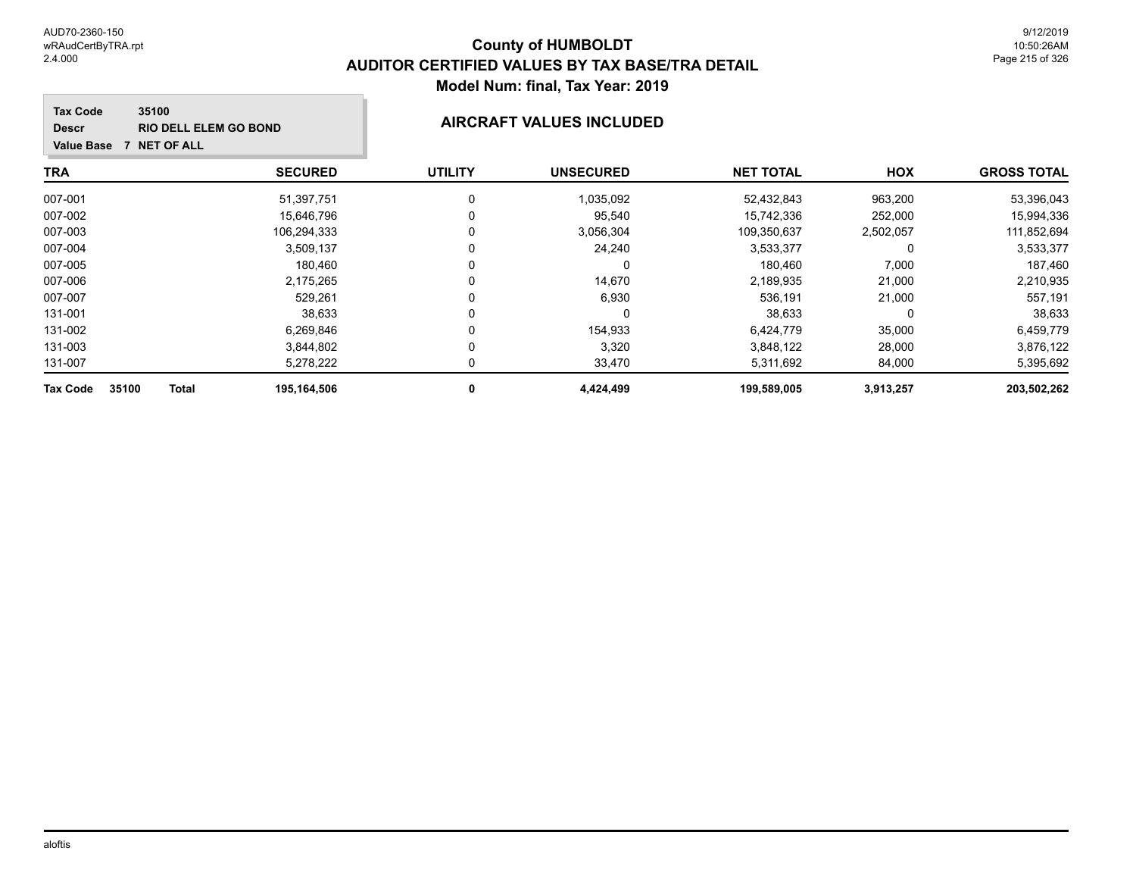### **TRA SECURED UTILITY UNSECURED HOX Tax Code Value Base 7 NET OF ALL 35100 GROSS TOTAL NET TOTAL Descr RIO DELL ELEM GO BOND AIRCRAFT VALUES INCLUDED** 007-001 51,397,751 0 1,035,092 52,432,843 963,200 53,396,043 007-002 15,646,796 0 15,742,336 252,000 15,994,336 007-003 106,294,333 0 3,056,304 109,350,637 2,502,057 111,852,694 007-004 3,509,137 0 24,240 3,533,377 0 3,533,377 007-005 180,460 0 0 180,460 7,000 187,460 007-006 2,175,265 0 14,670 2,189,935 21,000 2,210,935 007-007 529,261 0 6,930 536,191 21,000 557,191 131-001 38,633 0 0 38,633 0 38,633 131-002 6,269,846 0 154,933 6,424,779 35,000 6,459,779

| 35100<br><b>Total</b><br><b>Tax Code</b> | 195,164,506 | +,424,499 | 199,589,005 | 3,913,257 | 203,502,262 |
|------------------------------------------|-------------|-----------|-------------|-----------|-------------|
| 131-007                                  | 5.278.222   | 33.470    | 5.311.692   | 84,000    | 5.395.692   |
| 131-003                                  | 3,844,802   | 3,320     | 3,848,122   | 28,000    | 3,876,122   |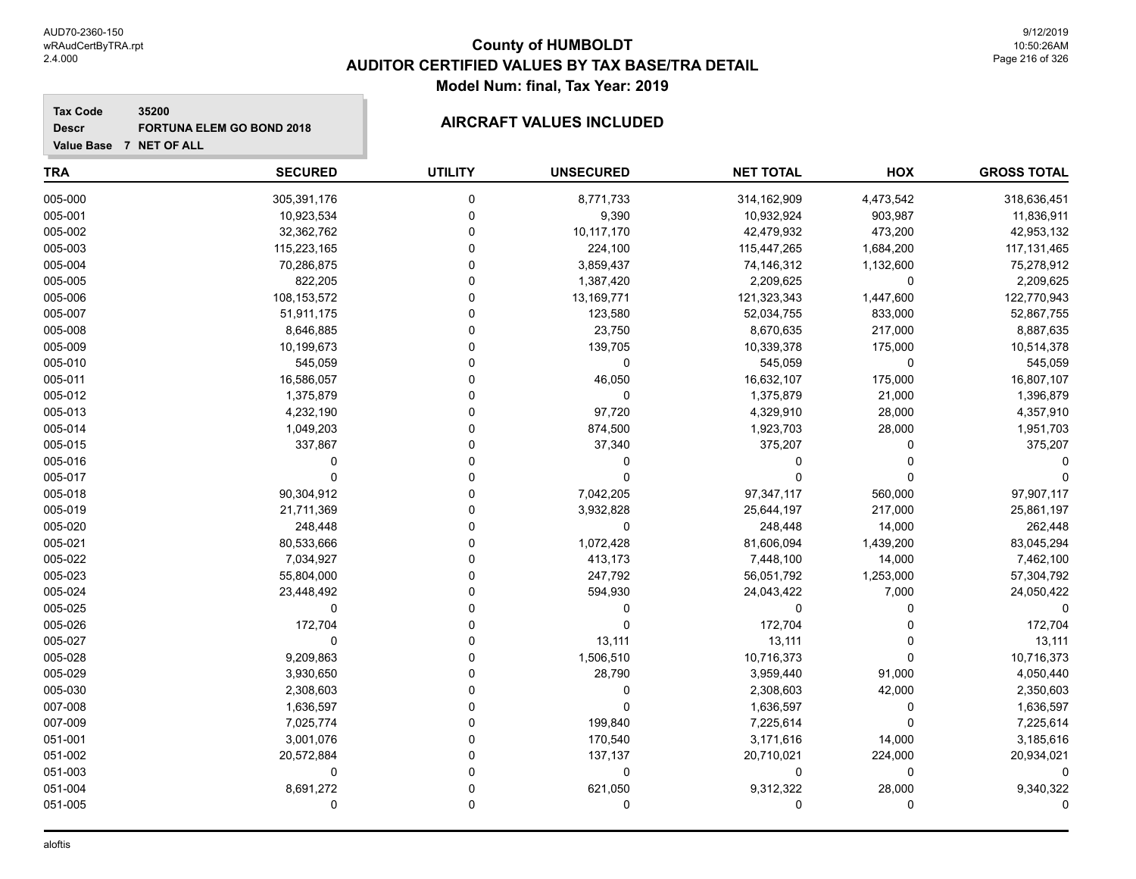005-029 3,930,650 0 28,790 3,959,440 91,000 4,050,440 005-030 2,308,603 0 0 2,308,603 42,000 2,350,603 007-008 1,636,597 0 0 1,636,597 0 1,636,597 007-009 7,025,774 0 199,840 7,225,614 0 7,225,614 051-001 3,001,076 0 170,540 3,171,616 14,000 3,185,616 051-002 20,572,884 0 137,137 20,710,021 224,000 20,934,021 051-003 0 0 0 0 0 0 051-004 8,691,272 0 621,050 9,312,322 28,000 9,340,322 051-005 0 0 0 0 0 0

| <b>Tax Code</b><br>35200<br><b>Descr</b><br>Value Base 7 NET OF ALL | <b>FORTUNA ELEM GO BOND 2018</b> |                | <b>AIRCRAFT VALUES INCLUDED</b> |                  |           |                    |
|---------------------------------------------------------------------|----------------------------------|----------------|---------------------------------|------------------|-----------|--------------------|
| TRA                                                                 | <b>SECURED</b>                   | <b>UTILITY</b> | <b>UNSECURED</b>                | <b>NET TOTAL</b> | HOX       | <b>GROSS TOTAL</b> |
| 005-000                                                             | 305,391,176                      | $\Omega$       | 8,771,733                       | 314, 162, 909    | 4,473,542 | 318,636,451        |
| 005-001                                                             | 10,923,534                       | n              | 9,390                           | 10,932,924       | 903,987   | 11,836,911         |
| 005-002                                                             | 32,362,762                       |                | 10,117,170                      | 42,479,932       | 473,200   | 42,953,132         |
| 005-003                                                             | 115,223,165                      |                | 224,100                         | 115,447,265      | 1,684,200 | 117, 131, 465      |
| 005-004                                                             | 70,286,875                       |                | 3,859,437                       | 74,146,312       | 1,132,600 | 75,278,912         |
| 005-005                                                             | 822,205                          |                | 1,387,420                       | 2,209,625        | 0         | 2,209,625          |
| 005-006                                                             | 108,153,572                      |                | 13,169,771                      | 121,323,343      | 1,447,600 | 122,770,943        |
| 005-007                                                             | 51,911,175                       |                | 123,580                         | 52,034,755       | 833,000   | 52,867,755         |
| 005-008                                                             | 8,646,885                        |                | 23,750                          | 8,670,635        | 217,000   | 8,887,635          |
| 005-009                                                             | 10,199,673                       |                | 139,705                         | 10,339,378       | 175,000   | 10,514,378         |
| 005-010                                                             | 545,059                          |                | 0                               | 545,059          | $\Omega$  | 545,059            |
| 005-011                                                             | 16,586,057                       |                | 46,050                          | 16,632,107       | 175,000   | 16,807,107         |
| 005-012                                                             | 1,375,879                        |                | 0                               | 1,375,879        | 21,000    | 1,396,879          |
| 005-013                                                             | 4,232,190                        |                | 97,720                          | 4,329,910        | 28,000    | 4,357,910          |
| 005-014                                                             | 1,049,203                        |                | 874,500                         | 1,923,703        | 28,000    | 1,951,703          |
| 005-015                                                             | 337,867                          |                | 37,340                          | 375,207          | 0         | 375,207            |
| 005-016                                                             | 0                                |                | 0                               | 0                |           |                    |
| 005-017                                                             | 0                                | n              | 0                               | 0                | $\Omega$  |                    |
| 005-018                                                             | 90,304,912                       |                | 7,042,205                       | 97,347,117       | 560,000   | 97,907,117         |
| 005-019                                                             | 21,711,369                       |                | 3,932,828                       | 25,644,197       | 217,000   | 25,861,197         |
| 005-020                                                             | 248,448                          |                | 0                               | 248,448          | 14,000    | 262,448            |
| 005-021                                                             | 80,533,666                       |                | 1,072,428                       | 81,606,094       | 1,439,200 | 83,045,294         |
| 005-022                                                             | 7,034,927                        |                | 413,173                         | 7,448,100        | 14,000    | 7,462,100          |
| 005-023                                                             | 55,804,000                       | n              | 247,792                         | 56,051,792       | 1,253,000 | 57,304,792         |
| 005-024                                                             | 23,448,492                       |                | 594,930                         | 24,043,422       | 7,000     | 24,050,422         |
| 005-025                                                             | 0                                |                | 0                               | 0                | 0         | 0                  |
| 005-026                                                             | 172,704                          |                | 0                               | 172,704          |           | 172,704            |
| 005-027                                                             | 0                                |                | 13,111                          | 13,111           |           | 13,111             |
| 005-028                                                             | 9,209,863                        | $\Omega$       | 1,506,510                       | 10,716,373       | 0         | 10,716,373         |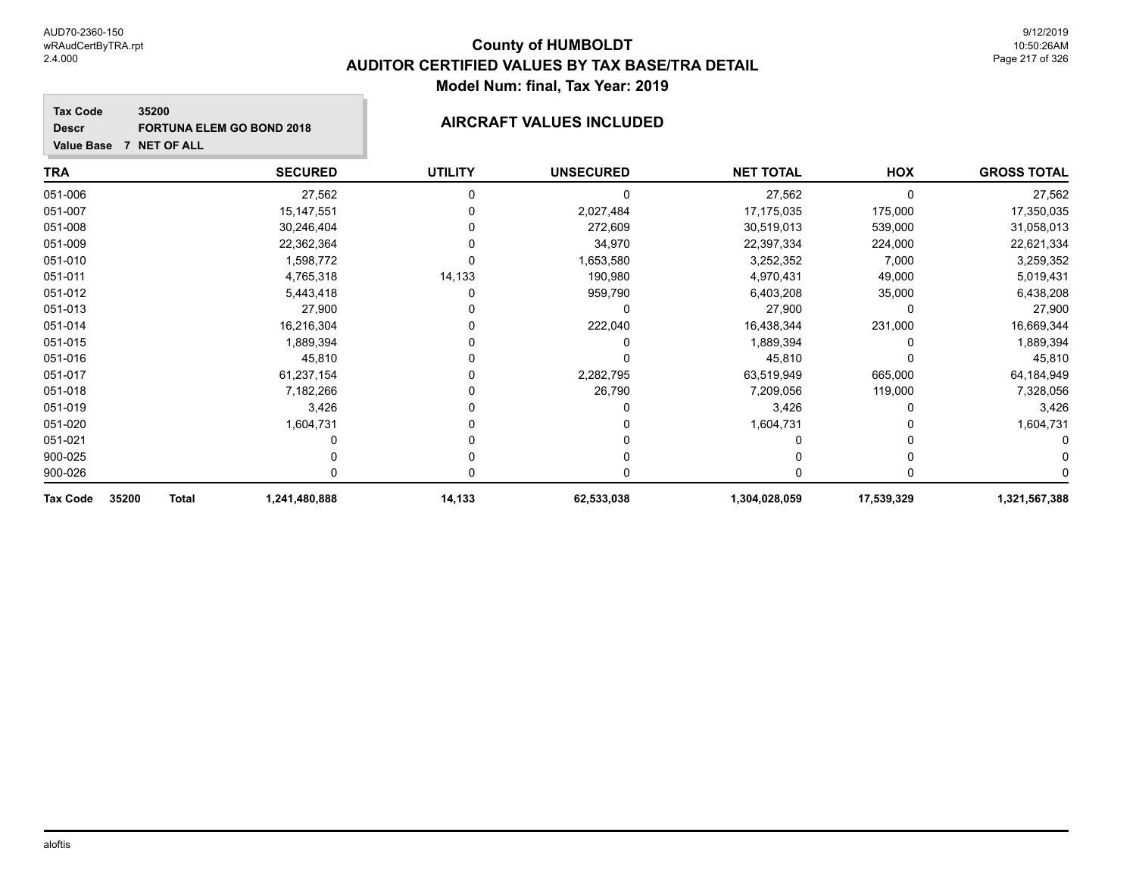# **County of HUMBOLDT AUDITOR CERTIFIED VALUES BY TAX BASE/TRA DETAIL Model Num: final, Tax Year: 2019**

### **Tax Code 35200 Descr FORTUNA ELEM GO BOND 2018 AIRCRAFT VALUES INCLUDED**

| <b>TRA</b>                        | <b>SECURED</b> | <b>UTILITY</b> | <b>UNSECURED</b> | <b>NET TOTAL</b> | HOX        | <b>GROSS TOTAL</b> |
|-----------------------------------|----------------|----------------|------------------|------------------|------------|--------------------|
| 051-006                           | 27,562         |                |                  | 27,562           | $\Omega$   | 27,562             |
| 051-007                           | 15, 147, 551   |                | 2,027,484        | 17,175,035       | 175,000    | 17,350,035         |
| 051-008                           | 30,246,404     |                | 272,609          | 30,519,013       | 539,000    | 31,058,013         |
| 051-009                           | 22,362,364     |                | 34,970           | 22,397,334       | 224,000    | 22,621,334         |
| 051-010                           | 1,598,772      |                | 1,653,580        | 3,252,352        | 7,000      | 3,259,352          |
| 051-011                           | 4,765,318      | 14,133         | 190,980          | 4,970,431        | 49,000     | 5,019,431          |
| 051-012                           | 5,443,418      |                | 959,790          | 6,403,208        | 35,000     | 6,438,208          |
| 051-013                           | 27,900         |                |                  | 27,900           | 0          | 27,900             |
| 051-014                           | 16,216,304     |                | 222,040          | 16,438,344       | 231,000    | 16,669,344         |
| 051-015                           | 1,889,394      |                |                  | 1,889,394        |            | 1,889,394          |
| 051-016                           | 45,810         |                |                  | 45,810           |            | 45,810             |
| 051-017                           | 61,237,154     |                | 2,282,795        | 63,519,949       | 665,000    | 64,184,949         |
| 051-018                           | 7,182,266      |                | 26,790           | 7,209,056        | 119,000    | 7,328,056          |
| 051-019                           | 3,426          |                |                  | 3,426            |            | 3,426              |
| 051-020                           | 1,604,731      |                |                  | 1,604,731        |            | 1,604,731          |
| 051-021                           |                |                |                  |                  |            |                    |
| 900-025                           |                |                |                  |                  |            |                    |
| 900-026                           |                |                |                  |                  |            |                    |
| 35200<br><b>Tax Code</b><br>Total | 1,241,480,888  | 14,133         | 62,533,038       | 1,304,028,059    | 17,539,329 | 1,321,567,388      |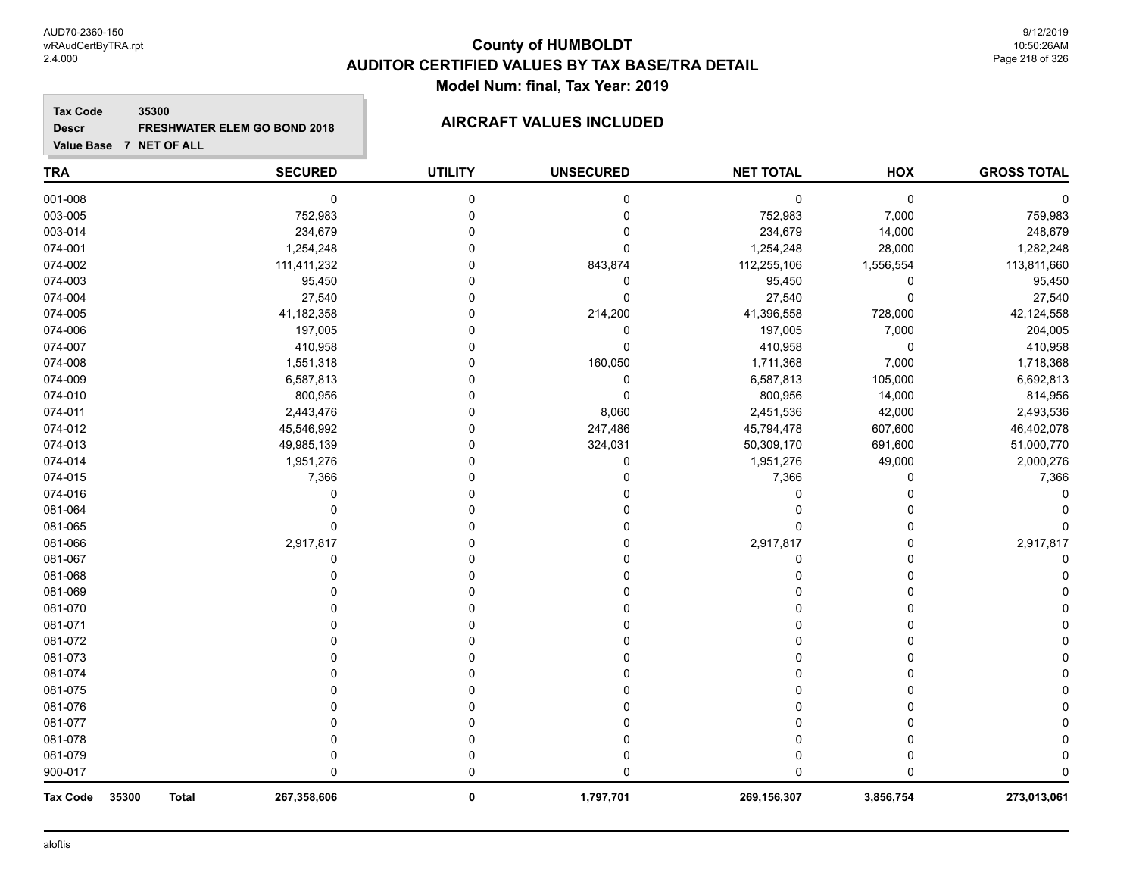# **County of HUMBOLDT AUDITOR CERTIFIED VALUES BY TAX BASE/TRA DETAIL Model Num: final, Tax Year: 2019**

**Tax Code 35300 Descr FRESHWATER ELEM GO BOND 2018 AIRCRAFT VALUES INCLUDED**

| <b>TRA</b>                        | <b>SECURED</b> | <b>UTILITY</b> | <b>UNSECURED</b> | <b>NET TOTAL</b> | HOX       | <b>GROSS TOTAL</b> |
|-----------------------------------|----------------|----------------|------------------|------------------|-----------|--------------------|
| 001-008                           | $\pmb{0}$      | 0              | $\mathbf 0$      | $\mathbf 0$      | 0         |                    |
| 003-005                           | 752,983        | 0              | $\mathbf 0$      | 752,983          | 7,000     | 759,983            |
| 003-014                           | 234,679        | 0              | $\Omega$         | 234,679          | 14,000    | 248,679            |
| 074-001                           | 1,254,248      | O              | 0                | 1,254,248        | 28,000    | 1,282,248          |
| 074-002                           | 111,411,232    |                | 843,874          | 112,255,106      | 1,556,554 | 113,811,660        |
| 074-003                           | 95,450         |                | 0                | 95,450           | 0         | 95,450             |
| 074-004                           | 27,540         | 0              | $\Omega$         | 27,540           | 0         | 27,540             |
| 074-005                           | 41,182,358     | 0              | 214,200          | 41,396,558       | 728,000   | 42,124,558         |
| 074-006                           | 197,005        | U              | 0                | 197,005          | 7,000     | 204,005            |
| 074-007                           | 410,958        |                | $\mathbf 0$      | 410,958          | 0         | 410,958            |
| 074-008                           | 1,551,318      | U              | 160,050          | 1,711,368        | 7,000     | 1,718,368          |
| 074-009                           | 6,587,813      | 0              | 0                | 6,587,813        | 105,000   | 6,692,813          |
| 074-010                           | 800,956        | 0              | 0                | 800,956          | 14,000    | 814,956            |
| 074-011                           | 2,443,476      |                | 8,060            | 2,451,536        | 42,000    | 2,493,536          |
| 074-012                           | 45,546,992     | 0              | 247,486          | 45,794,478       | 607,600   | 46,402,078         |
| 074-013                           | 49,985,139     | 0              | 324,031          | 50,309,170       | 691,600   | 51,000,770         |
| 074-014                           | 1,951,276      | 0              | 0                | 1,951,276        | 49,000    | 2,000,276          |
| 074-015                           | 7,366          |                | 0                | 7,366            | 0         | 7,366              |
| 074-016                           | $\Omega$       | U              | 0                | $\Omega$         | 0         |                    |
| 081-064                           | $\Omega$       | U              | $\Omega$         | $\Omega$         | 0         |                    |
| 081-065                           | $\mathbf 0$    | U              | O                | $\Omega$         | 0         |                    |
| 081-066                           | 2,917,817      | 0              | O                | 2,917,817        | 0         | 2,917,817          |
| 081-067                           | 0              | O              |                  | $\Omega$         | 0         |                    |
| 081-068                           |                |                |                  | U                | 0         |                    |
| 081-069                           |                | U              |                  |                  | 0         |                    |
| 081-070                           | U              | 0              |                  |                  | 0         |                    |
| 081-071                           |                |                |                  |                  | 0         |                    |
| 081-072                           |                |                |                  | 0                | 0         |                    |
| 081-073                           |                |                |                  | 0                | 0         |                    |
| 081-074                           |                |                |                  | O                | U         |                    |
| 081-075                           | n              | U              |                  | O                | U         |                    |
| 081-076                           | U              | U              |                  | 0                | 0         |                    |
| 081-077                           | n              | 0              |                  | O                | 0         |                    |
| 081-078                           | U              | 0              |                  | 0                | 0         |                    |
| 081-079                           | U              | 0              | 0                | 0                | 0         |                    |
| 900-017                           | $\Omega$       | 0              | $\Omega$         | $\Omega$         | 0         |                    |
| 35300<br>Tax Code<br><b>Total</b> | 267,358,606    | 0              | 1,797,701        | 269,156,307      | 3,856,754 | 273,013,061        |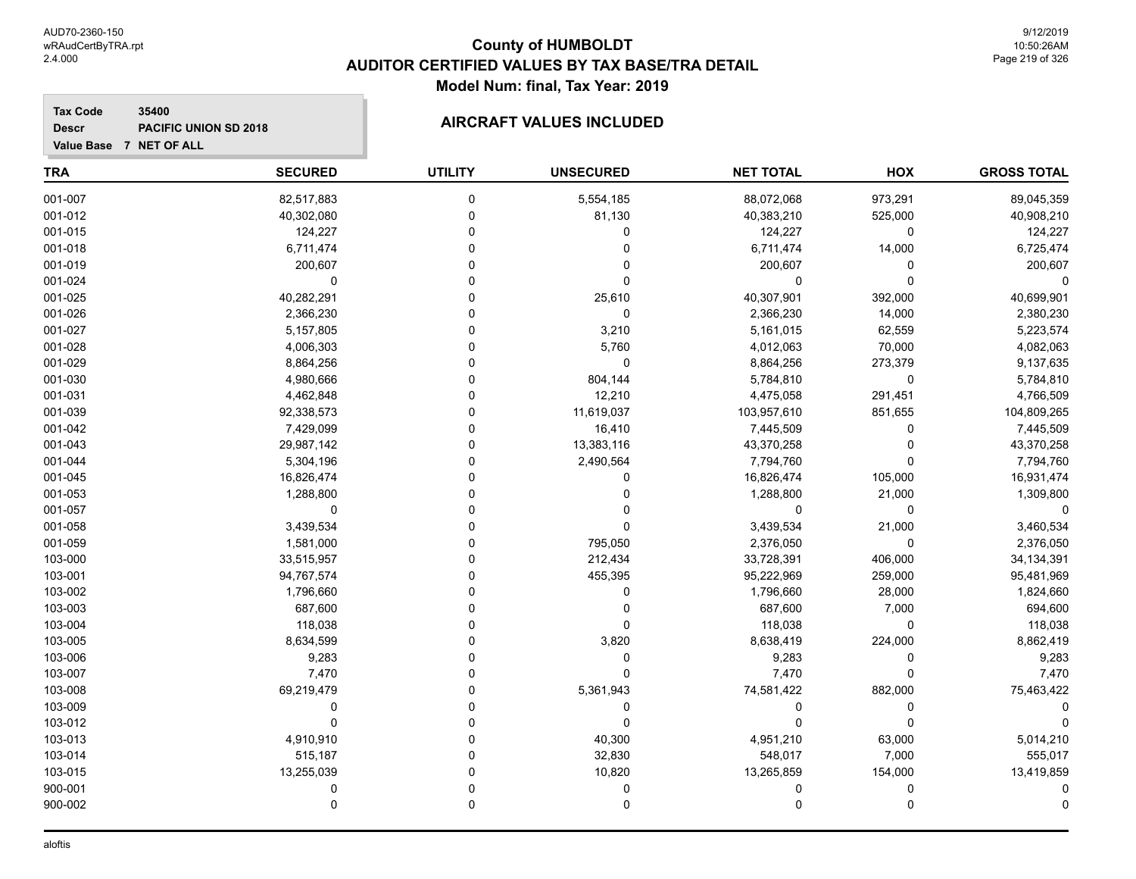**Descr**

# **County of HUMBOLDT AUDITOR CERTIFIED VALUES BY TAX BASE/TRA DETAIL Model Num: final, Tax Year: 2019**

## **Tax Code 35400 PACIFIC UNION SD 2018 AIRCRAFT VALUES INCLUDED**

|  | Value Base 7 NET OF ALL |
|--|-------------------------|
|  |                         |

| <b>TRA</b> | <b>SECURED</b> | <b>UTILITY</b> | <b>UNSECURED</b> | <b>NET TOTAL</b> | HOX         | <b>GROSS TOTAL</b> |
|------------|----------------|----------------|------------------|------------------|-------------|--------------------|
| 001-007    | 82,517,883     | $\pmb{0}$      | 5,554,185        | 88,072,068       | 973,291     | 89,045,359         |
| 001-012    | 40,302,080     | 0              | 81,130           | 40,383,210       | 525,000     | 40,908,210         |
| 001-015    | 124,227        | $\Omega$       | 0                | 124,227          | 0           | 124,227            |
| 001-018    | 6,711,474      | $\Omega$       | 0                | 6,711,474        | 14,000      | 6,725,474          |
| 001-019    | 200,607        | $\Omega$       | $\Omega$         | 200,607          | 0           | 200,607            |
| 001-024    | 0              | $\Omega$       | 0                | $\Omega$         | $\mathbf 0$ | 0                  |
| 001-025    | 40,282,291     | $\Omega$       | 25,610           | 40,307,901       | 392,000     | 40,699,901         |
| 001-026    | 2,366,230      | $\mathbf 0$    | $\mathbf 0$      | 2,366,230        | 14,000      | 2,380,230          |
| 001-027    | 5,157,805      | $\Omega$       | 3,210            | 5,161,015        | 62,559      | 5,223,574          |
| 001-028    | 4,006,303      | $\Omega$       | 5,760            | 4,012,063        | 70,000      | 4,082,063          |
| 001-029    | 8,864,256      | $\Omega$       | $\mathbf 0$      | 8,864,256        | 273,379     | 9,137,635          |
| 001-030    | 4,980,666      | $\mathbf 0$    | 804,144          | 5,784,810        | $\mathbf 0$ | 5,784,810          |
| 001-031    | 4,462,848      | $\mathbf 0$    | 12,210           | 4,475,058        | 291,451     | 4,766,509          |
| 001-039    | 92,338,573     | $\Omega$       | 11,619,037       | 103,957,610      | 851,655     | 104,809,265        |
| 001-042    | 7,429,099      | $\mathbf 0$    | 16,410           | 7,445,509        | 0           | 7,445,509          |
| 001-043    | 29,987,142     | $\Omega$       | 13,383,116       | 43,370,258       | 0           | 43,370,258         |
| 001-044    | 5,304,196      | $\Omega$       | 2,490,564        | 7,794,760        | $\Omega$    | 7,794,760          |
| 001-045    | 16,826,474     | $\Omega$       | $\Omega$         | 16,826,474       | 105,000     | 16,931,474         |
| 001-053    | 1,288,800      | $\Omega$       |                  | 1,288,800        | 21,000      | 1,309,800          |
| 001-057    | $\mathbf 0$    | $\Omega$       |                  | $\Omega$         | $\mathbf 0$ | $\Omega$           |
| 001-058    | 3,439,534      | $\Omega$       | $\Omega$         | 3,439,534        | 21,000      | 3,460,534          |
| 001-059    | 1,581,000      | $\mathbf 0$    | 795,050          | 2,376,050        | $\mathbf 0$ | 2,376,050          |
| 103-000    | 33,515,957     | $\Omega$       | 212,434          | 33,728,391       | 406,000     | 34, 134, 391       |
| 103-001    | 94,767,574     | $\Omega$       | 455,395          | 95,222,969       | 259,000     | 95,481,969         |
| 103-002    | 1,796,660      | $\Omega$       | 0                | 1,796,660        | 28,000      | 1,824,660          |
| 103-003    | 687,600        | $\Omega$       | 0                | 687,600          | 7,000       | 694,600            |
| 103-004    | 118,038        | $\Omega$       | 0                | 118,038          | 0           | 118,038            |
| 103-005    | 8,634,599      | $\Omega$       | 3,820            | 8,638,419        | 224,000     | 8,862,419          |
| 103-006    | 9,283          | $\mathbf 0$    | 0                | 9,283            | 0           | 9,283              |
| 103-007    | 7,470          | $\Omega$       | $\Omega$         | 7,470            | $\Omega$    | 7,470              |
| 103-008    | 69,219,479     | $\Omega$       | 5,361,943        | 74,581,422       | 882,000     | 75,463,422         |
| 103-009    | $\mathbf 0$    | $\Omega$       | $\mathbf 0$      | $\mathbf 0$      | $\Omega$    | 0                  |
| 103-012    | $\Omega$       | $\Omega$       | $\mathbf 0$      | $\Omega$         | $\Omega$    | $\Omega$           |
| 103-013    | 4,910,910      | $\Omega$       | 40,300           | 4,951,210        | 63,000      | 5,014,210          |
| 103-014    | 515,187        | $\Omega$       | 32,830           | 548,017          | 7,000       | 555,017            |
| 103-015    | 13,255,039     | $\Omega$       | 10,820           | 13,265,859       | 154,000     | 13,419,859         |
| 900-001    | 0              | $\mathbf 0$    | 0                |                  | 0           |                    |
| 900-002    | $\mathbf 0$    | $\mathbf 0$    | $\mathbf 0$      | $\Omega$         | $\mathbf 0$ | $\Omega$           |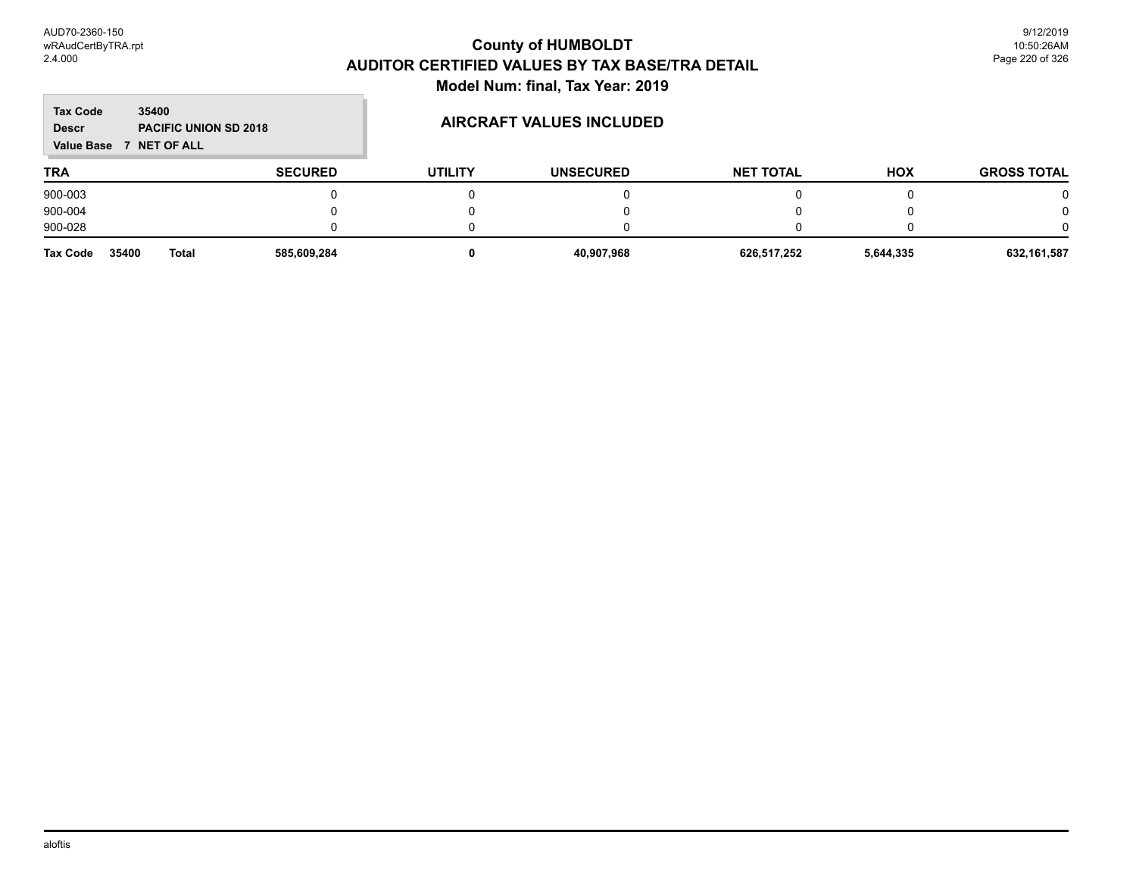$\mathbb{R}^2$ 

| <b>Tax Code</b><br><b>Descr</b><br><b>Value Base</b> | 35400<br><b>PACIFIC UNION SD 2018</b><br><b>7 NET OF ALL</b> |                |                | <b>AIRCRAFT VALUES INCLUDED</b> |                  |            |                    |
|------------------------------------------------------|--------------------------------------------------------------|----------------|----------------|---------------------------------|------------------|------------|--------------------|
| TRA                                                  |                                                              | <b>SECURED</b> | <b>UTILITY</b> | <b>UNSECURED</b>                | <b>NET TOTAL</b> | <b>HOX</b> | <b>GROSS TOTAL</b> |
| 900-003                                              |                                                              |                |                |                                 |                  |            | 0                  |
| 900-004                                              |                                                              |                |                |                                 |                  |            | 0                  |
| 900-028                                              |                                                              |                |                |                                 |                  |            | 0                  |
| Tax Code                                             | 35400<br><b>Total</b>                                        | 585,609,284    |                | 40,907,968                      | 626,517,252      | 5,644,335  | 632,161,587        |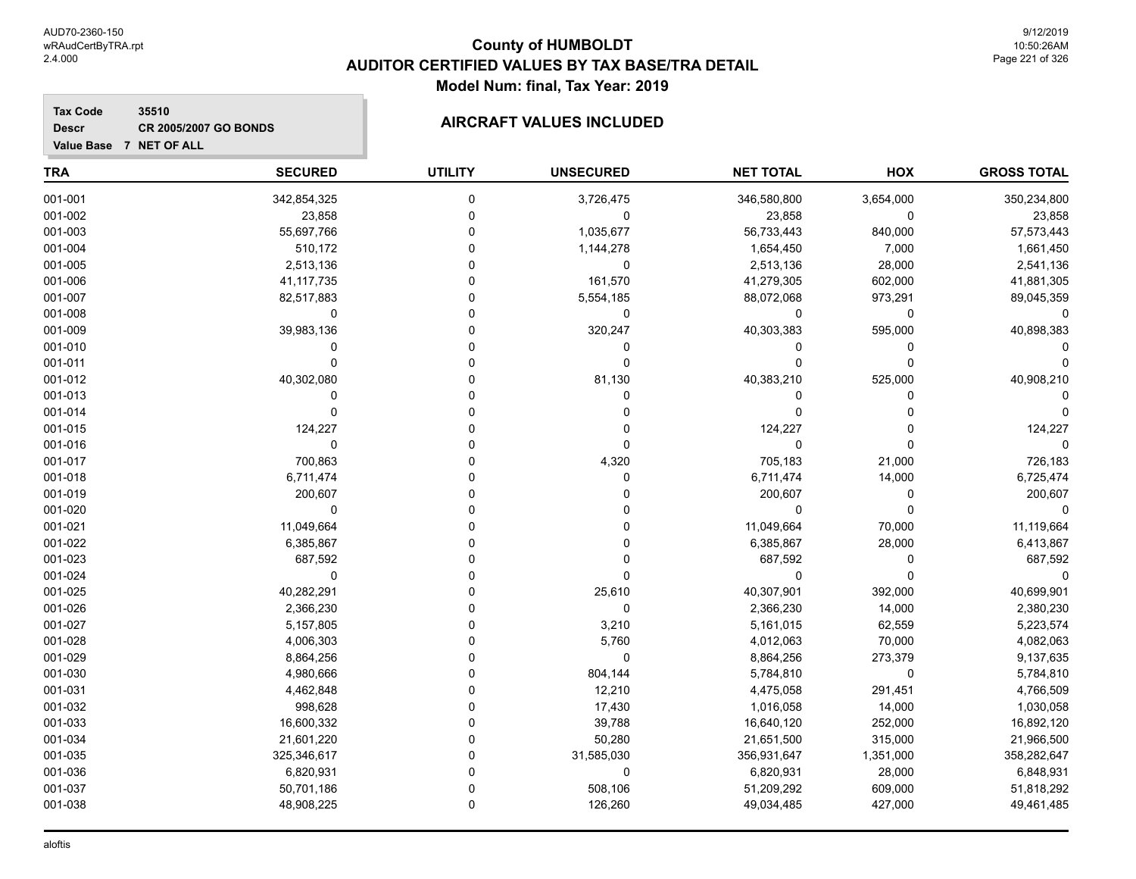**Tax Code**

**Descr**

# **County of HUMBOLDT AUDITOR CERTIFIED VALUES BY TAX BASE/TRA DETAIL Model Num: final, Tax Year: 2019**

| Value Base 7 NET OF ALL |                |                |                  |                  |            |                    |
|-------------------------|----------------|----------------|------------------|------------------|------------|--------------------|
| <b>TRA</b>              | <b>SECURED</b> | <b>UTILITY</b> | <b>UNSECURED</b> | <b>NET TOTAL</b> | <b>HOX</b> | <b>GROSS TOTAL</b> |
| 001-001                 | 342,854,325    | $\mathbf 0$    | 3,726,475        | 346,580,800      | 3,654,000  | 350,234,800        |
| 001-002                 | 23,858         | $\mathbf 0$    | 0                | 23,858           | 0          | 23,858             |
| 001-003                 | 55,697,766     | $\mathbf 0$    | 1,035,677        | 56,733,443       | 840,000    | 57,573,443         |
| 001-004                 | 510,172        | 0              | 1,144,278        | 1,654,450        | 7,000      | 1,661,450          |
| 001-005                 | 2,513,136      | 0              | $\mathbf 0$      | 2,513,136        | 28,000     | 2,541,136          |
| 001-006                 | 41,117,735     | $\Omega$       | 161,570          | 41,279,305       | 602,000    | 41,881,305         |
| 001-007                 | 82,517,883     | $\Omega$       | 5,554,185        | 88,072,068       | 973,291    | 89,045,359         |
| 001-008                 | 0              | 0              | 0                | $\mathbf 0$      | 0          | 0                  |
| 001-009                 | 39,983,136     | 0              | 320,247          | 40,303,383       | 595,000    | 40,898,383         |
| 001-010                 | $\mathbf 0$    | $\Omega$       | $\mathbf 0$      | $\mathbf 0$      | 0          |                    |
| 001-011                 | $\Omega$       | $\Omega$       | $\Omega$         | $\mathbf 0$      | 0          |                    |
| 001-012                 | 40,302,080     | 0              | 81,130           | 40,383,210       | 525,000    | 40,908,210         |
| 001-013                 | $\Omega$       | $\Omega$       | $\Omega$         | $\mathbf 0$      | 0          |                    |
| 001-014                 | $\Omega$       | $\Omega$       | $\Omega$         | $\mathbf 0$      | $\Omega$   |                    |
| 001-015                 | 124,227        | 0              | 0                | 124,227          | 0          | 124,227            |
| 001-016                 | $\mathbf 0$    | $\Omega$       | $\Omega$         | $\mathbf 0$      | 0          | $\Omega$           |
| 001-017                 | 700,863        | 0              | 4,320            | 705,183          | 21,000     | 726,183            |
| 001-018                 | 6,711,474      | $\Omega$       | $\mathbf 0$      | 6,711,474        | 14,000     | 6,725,474          |
| 001-019                 | 200,607        | $\Omega$       | $\Omega$         | 200,607          | 0          | 200,607            |
| 001-020                 | 0              | $\Omega$       |                  | 0                | 0          | 0                  |
| 001-021                 | 11,049,664     | $\Omega$       |                  | 11,049,664       | 70,000     | 11,119,664         |
| 001-022                 | 6,385,867      | $\Omega$       |                  | 6,385,867        | 28,000     | 6,413,867          |
| 001-023                 | 687,592        | $\Omega$       | O                | 687,592          | 0          | 687,592            |
| 001-024                 | $\mathbf 0$    | $\Omega$       | $\Omega$         | $\mathbf 0$      | 0          | $\mathbf 0$        |
| 001-025                 | 40,282,291     | $\Omega$       | 25,610           | 40,307,901       | 392,000    | 40,699,901         |
| 001-026                 | 2,366,230      | $\Omega$       | $\mathbf 0$      | 2,366,230        | 14,000     | 2,380,230          |
| 001-027                 | 5,157,805      | $\Omega$       | 3,210            | 5,161,015        | 62,559     | 5,223,574          |
| 001-028                 | 4,006,303      | 0              | 5,760            | 4,012,063        | 70,000     | 4,082,063          |
| 001-029                 | 8,864,256      | 0              | 0                | 8,864,256        | 273,379    | 9,137,635          |
| 001-030                 | 4,980,666      | $\Omega$       | 804,144          | 5,784,810        | 0          | 5,784,810          |
| 001-031                 | 4,462,848      | $\Omega$       | 12,210           | 4,475,058        | 291,451    | 4,766,509          |
| 001-032                 | 998,628        | 0              | 17,430           | 1,016,058        | 14,000     | 1,030,058          |
| 001-033                 | 16,600,332     | 0              | 39,788           | 16,640,120       | 252,000    | 16,892,120         |
| 001-034                 | 21,601,220     | $\Omega$       | 50,280           | 21,651,500       | 315,000    | 21,966,500         |
| 001-035                 | 325,346,617    | $\Omega$       | 31,585,030       | 356,931,647      | 1,351,000  | 358,282,647        |
| 001-036                 | 6,820,931      | $\Omega$       | 0                | 6,820,931        | 28,000     | 6,848,931          |
| 001-037                 | 50,701,186     | $\Omega$       | 508,106          | 51,209,292       | 609,000    | 51,818,292         |
| 001-038                 | 48,908,225     | $\Omega$       | 126,260          | 49,034,485       | 427,000    | 49,461,485         |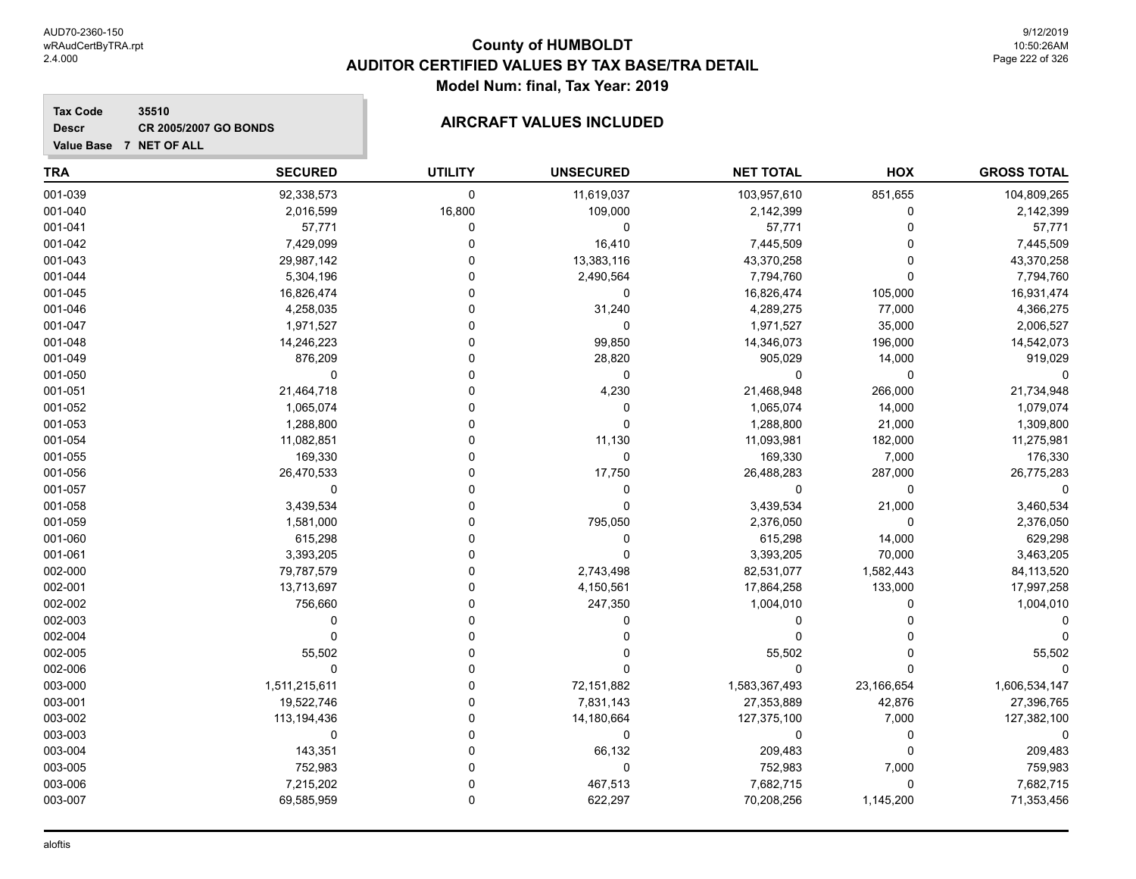## **Tax Code 35510 Descr**

| Value Base 7 NET OF ALL |  |  |  |  |
|-------------------------|--|--|--|--|

| <b>TRA</b> | <b>SECURED</b> | <b>UTILITY</b> | <b>UNSECURED</b> | <b>NET TOTAL</b> | HOX         | <b>GROSS TOTAL</b> |
|------------|----------------|----------------|------------------|------------------|-------------|--------------------|
| 001-039    | 92,338,573     | 0              | 11,619,037       | 103,957,610      | 851,655     | 104,809,265        |
| 001-040    | 2,016,599      | 16,800         | 109,000          | 2,142,399        | 0           | 2,142,399          |
| 001-041    | 57,771         | $\mathbf 0$    | $\mathbf 0$      | 57,771           | $\Omega$    | 57,771             |
| 001-042    | 7,429,099      | 0              | 16,410           | 7,445,509        | $\Omega$    | 7,445,509          |
| 001-043    | 29,987,142     | 0              | 13,383,116       | 43,370,258       | 0           | 43,370,258         |
| 001-044    | 5,304,196      | 0              | 2,490,564        | 7,794,760        | $\Omega$    | 7,794,760          |
| 001-045    | 16,826,474     | $\Omega$       | 0                | 16,826,474       | 105,000     | 16,931,474         |
| 001-046    | 4,258,035      | $\Omega$       | 31,240           | 4,289,275        | 77,000      | 4,366,275          |
| 001-047    | 1,971,527      | $\Omega$       | 0                | 1,971,527        | 35,000      | 2,006,527          |
| 001-048    | 14,246,223     | 0              | 99,850           | 14,346,073       | 196,000     | 14,542,073         |
| 001-049    | 876,209        | 0              | 28,820           | 905,029          | 14,000      | 919,029            |
| 001-050    | $\mathbf 0$    | 0              | 0                | 0                | $\mathbf 0$ |                    |
| 001-051    | 21,464,718     | 0              | 4,230            | 21,468,948       | 266,000     | 21,734,948         |
| 001-052    | 1,065,074      | 0              | 0                | 1,065,074        | 14,000      | 1,079,074          |
| 001-053    | 1,288,800      |                | 0                | 1,288,800        | 21,000      | 1,309,800          |
| 001-054    | 11,082,851     |                | 11,130           | 11,093,981       | 182,000     | 11,275,981         |
| 001-055    | 169,330        | O              | 0                | 169,330          | 7,000       | 176,330            |
| 001-056    | 26,470,533     | O              | 17,750           | 26,488,283       | 287,000     | 26,775,283         |
| 001-057    | 0              | 0              | $\mathbf 0$      | 0                | $\mathbf 0$ | $\Omega$           |
| 001-058    | 3,439,534      | 0              | 0                | 3,439,534        | 21,000      | 3,460,534          |
| 001-059    | 1,581,000      | 0              | 795,050          | 2,376,050        | 0           | 2,376,050          |
| 001-060    | 615,298        | 0              | 0                | 615,298          | 14,000      | 629,298            |
| 001-061    | 3,393,205      | $\Omega$       | $\mathbf{0}$     | 3,393,205        | 70,000      | 3,463,205          |
| 002-000    | 79,787,579     | $\Omega$       | 2,743,498        | 82,531,077       | 1,582,443   | 84,113,520         |
| 002-001    | 13,713,697     | 0              | 4,150,561        | 17,864,258       | 133,000     | 17,997,258         |
| 002-002    | 756,660        | $\Omega$       | 247,350          | 1,004,010        | $\Omega$    | 1,004,010          |
| 002-003    | $\Omega$       | $\Omega$       | 0                | 0                | $\Omega$    |                    |
| 002-004    | $\mathbf 0$    | O              | 0                | 0                | $\Omega$    |                    |
| 002-005    | 55,502         | 0              | 0                | 55,502           | 0           | 55,502             |
| 002-006    | $\mathbf 0$    | 0              | 0                | 0                | $\Omega$    |                    |
| 003-000    | 1,511,215,611  | 0              | 72,151,882       | 1,583,367,493    | 23,166,654  | 1,606,534,147      |
| 003-001    | 19,522,746     | $\Omega$       | 7,831,143        | 27,353,889       | 42,876      | 27,396,765         |
| 003-002    | 113,194,436    | 0              | 14,180,664       | 127,375,100      | 7,000       | 127,382,100        |
| 003-003    | 0              | $\Omega$       | 0                | 0                | 0           | $\Omega$           |
| 003-004    | 143,351        | 0              | 66,132           | 209,483          | $\Omega$    | 209,483            |
| 003-005    | 752,983        | $\Omega$       | 0                | 752,983          | 7,000       | 759,983            |
| 003-006    | 7,215,202      | $\Omega$       | 467,513          | 7,682,715        | $\mathbf 0$ | 7,682,715          |
| 003-007    | 69,585,959     | $\Omega$       | 622,297          | 70,208,256       | 1,145,200   | 71,353,456         |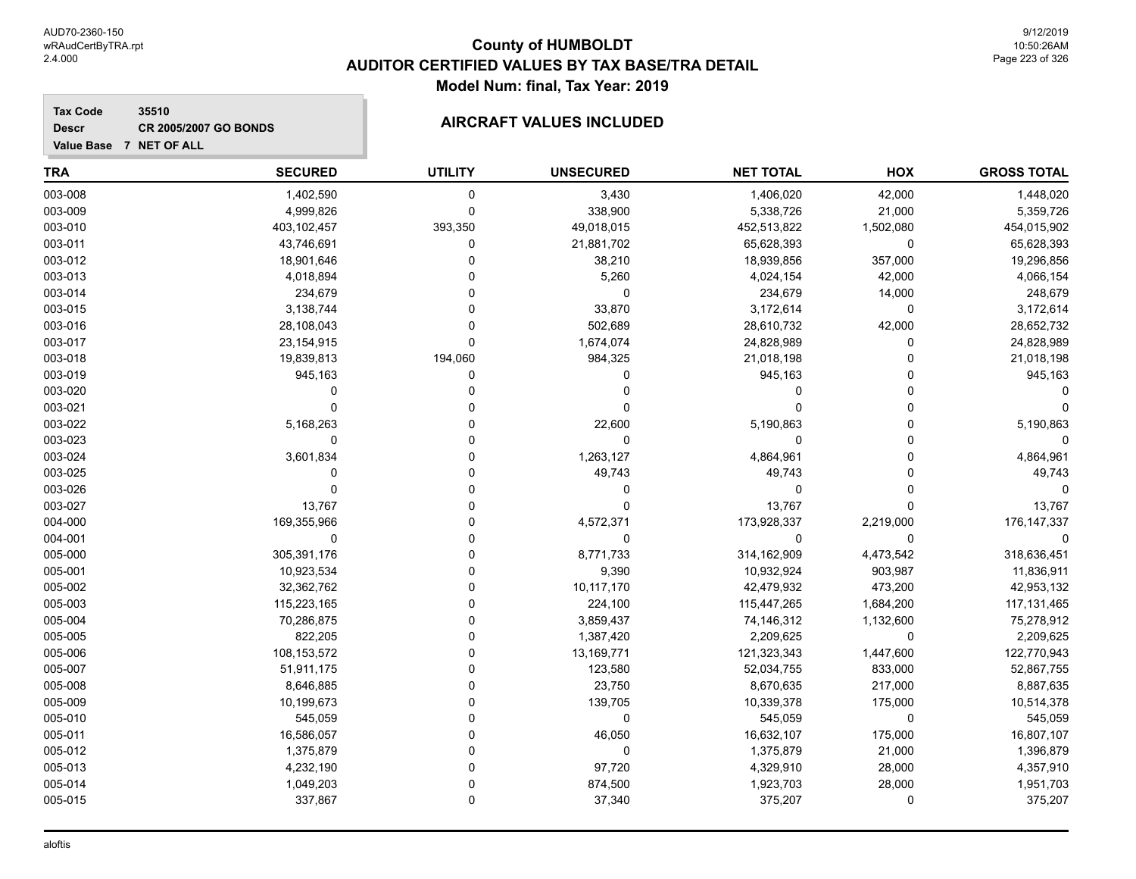## **Tax Code 35510 Descr**

**Value Base 7 NET OF ALL**

| <b>TRA</b> | <b>SECURED</b> | <b>UTILITY</b> | <b>UNSECURED</b> | <b>NET TOTAL</b> | HOX         | <b>GROSS TOTAL</b> |
|------------|----------------|----------------|------------------|------------------|-------------|--------------------|
| 003-008    | 1,402,590      | 0              | 3,430            | 1,406,020        | 42,000      | 1,448,020          |
| 003-009    | 4,999,826      | 0              | 338,900          | 5,338,726        | 21,000      | 5,359,726          |
| 003-010    | 403,102,457    | 393,350        | 49,018,015       | 452,513,822      | 1,502,080   | 454,015,902        |
| 003-011    | 43,746,691     | 0              | 21,881,702       | 65,628,393       | $\mathbf 0$ | 65,628,393         |
| 003-012    | 18,901,646     | 0              | 38,210           | 18,939,856       | 357,000     | 19,296,856         |
| 003-013    | 4,018,894      | 0              | 5,260            | 4,024,154        | 42,000      | 4,066,154          |
| 003-014    | 234,679        | $\Omega$       | $\Omega$         | 234,679          | 14,000      | 248,679            |
| 003-015    | 3,138,744      | $\Omega$       | 33,870           | 3,172,614        | 0           | 3,172,614          |
| 003-016    | 28,108,043     | $\Omega$       | 502,689          | 28,610,732       | 42,000      | 28,652,732         |
| 003-017    | 23,154,915     | 0              | 1,674,074        | 24,828,989       | 0           | 24,828,989         |
| 003-018    | 19,839,813     | 194,060        | 984,325          | 21,018,198       | $\mathbf 0$ | 21,018,198         |
| 003-019    | 945,163        | 0              | 0                | 945,163          | $\Omega$    | 945,163            |
| 003-020    | $\mathbf 0$    | 0              | 0                | $\mathbf 0$      | 0           |                    |
| 003-021    | $\Omega$       | 0              |                  | $\Omega$         | $\Omega$    |                    |
| 003-022    | 5,168,263      | $\Omega$       | 22,600           | 5,190,863        | $\Omega$    | 5,190,863          |
| 003-023    | $\Omega$       | $\Omega$       | $\Omega$         | $\mathbf 0$      | $\Omega$    |                    |
| 003-024    | 3,601,834      | $\Omega$       | 1,263,127        | 4,864,961        | $\Omega$    | 4,864,961          |
| 003-025    | $\Omega$       | $\Omega$       | 49,743           | 49,743           | $\Omega$    | 49,743             |
| 003-026    | $\Omega$       | $\Omega$       | O                | $\mathbf 0$      | $\Omega$    |                    |
| 003-027    | 13,767         | $\Omega$       | O                | 13,767           | $\Omega$    | 13,767             |
| 004-000    | 169,355,966    | 0              | 4,572,371        | 173,928,337      | 2,219,000   | 176, 147, 337      |
| 004-001    | $\mathbf 0$    | 0              | $\mathbf 0$      | 0                | 0           | 0                  |
| 005-000    | 305,391,176    | $\Omega$       | 8,771,733        | 314,162,909      | 4,473,542   | 318,636,451        |
| 005-001    | 10,923,534     | $\Omega$       | 9,390            | 10,932,924       | 903,987     | 11,836,911         |
| 005-002    | 32,362,762     | $\Omega$       | 10,117,170       | 42,479,932       | 473,200     | 42,953,132         |
| 005-003    | 115,223,165    | $\Omega$       | 224,100          | 115,447,265      | 1,684,200   | 117, 131, 465      |
| 005-004    | 70,286,875     | $\Omega$       | 3,859,437        | 74,146,312       | 1,132,600   | 75,278,912         |
| 005-005    | 822,205        | 0              | 1,387,420        | 2,209,625        | 0           | 2,209,625          |
| 005-006    | 108,153,572    | $\Omega$       | 13,169,771       | 121,323,343      | 1,447,600   | 122,770,943        |
| 005-007    | 51,911,175     | $\Omega$       | 123,580          | 52,034,755       | 833,000     | 52,867,755         |
| 005-008    | 8,646,885      | $\Omega$       | 23,750           | 8,670,635        | 217,000     | 8,887,635          |
| 005-009    | 10,199,673     | 0              | 139,705          | 10,339,378       | 175,000     | 10,514,378         |
| 005-010    | 545,059        | $\Omega$       | $\Omega$         | 545,059          | $\mathbf 0$ | 545,059            |
| 005-011    | 16,586,057     | $\Omega$       | 46,050           | 16,632,107       | 175,000     | 16,807,107         |
| 005-012    | 1,375,879      | $\Omega$       | $\mathbf 0$      | 1,375,879        | 21,000      | 1,396,879          |
| 005-013    | 4,232,190      | 0              | 97,720           | 4,329,910        | 28,000      | 4,357,910          |
| 005-014    | 1,049,203      | $\Omega$       | 874,500          | 1,923,703        | 28,000      | 1,951,703          |
| 005-015    | 337.867        | $\Omega$       | 37,340           | 375,207          | $\Omega$    | 375,207            |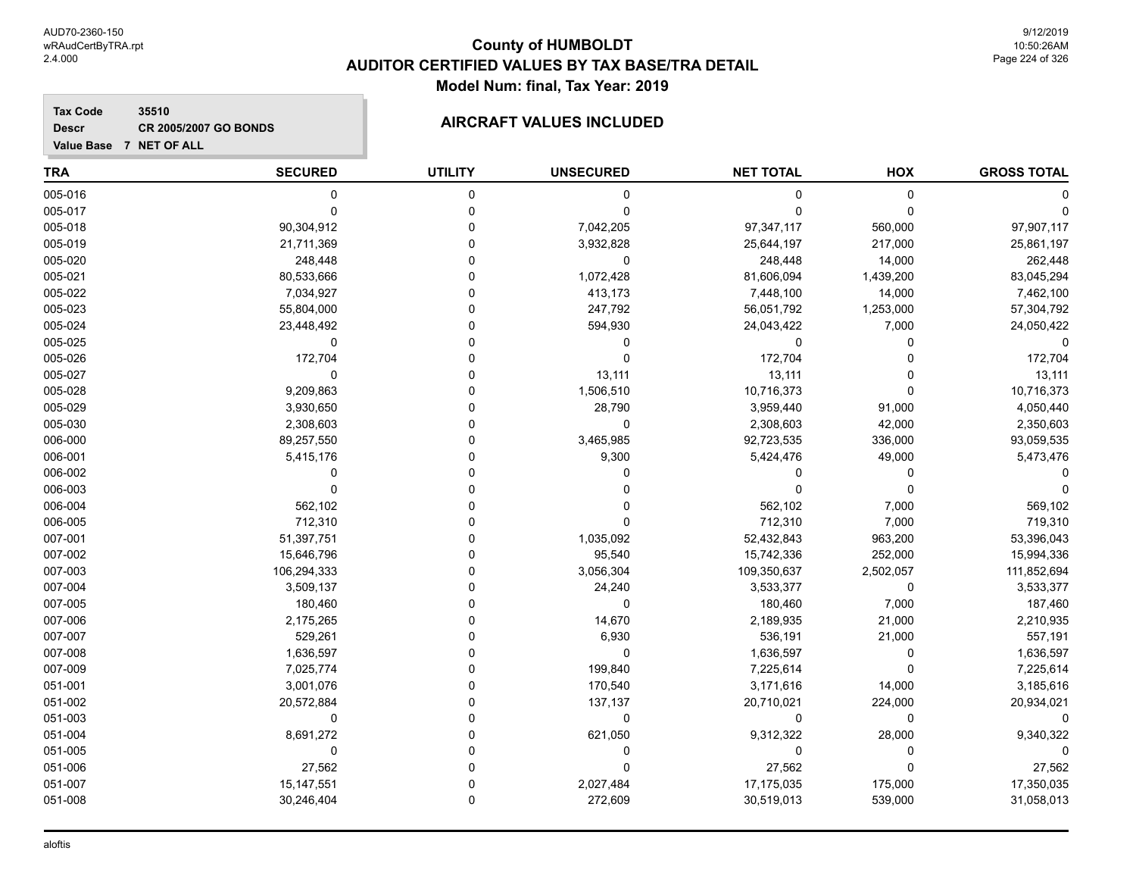**Tax Code 35510 Descr**

**Value Base 7 NET OF ALL**

# **CR 2005/2007 GO BONDS AIRCRAFT VALUES INCLUDED**

| <b>TRA</b> | <b>SECURED</b> | <b>UTILITY</b> | <b>UNSECURED</b> | <b>NET TOTAL</b> | HOX         | <b>GROSS TOTAL</b> |
|------------|----------------|----------------|------------------|------------------|-------------|--------------------|
| 005-016    | $\mathbf 0$    | 0              | $\mathbf 0$      | $\mathbf 0$      | $\pmb{0}$   |                    |
| 005-017    | $\Omega$       | 0              | $\Omega$         | $\Omega$         | $\Omega$    |                    |
| 005-018    | 90,304,912     | 0              | 7,042,205        | 97,347,117       | 560,000     | 97,907,117         |
| 005-019    | 21,711,369     | 0              | 3,932,828        | 25,644,197       | 217,000     | 25,861,197         |
| 005-020    | 248,448        | $\Omega$       | $\mathbf 0$      | 248,448          | 14,000      | 262,448            |
| 005-021    | 80,533,666     | $\Omega$       | 1,072,428        | 81,606,094       | 1,439,200   | 83,045,294         |
| 005-022    | 7,034,927      | 0              | 413,173          | 7,448,100        | 14,000      | 7,462,100          |
| 005-023    | 55,804,000     | 0              | 247,792          | 56,051,792       | 1,253,000   | 57,304,792         |
| 005-024    | 23,448,492     | 0              | 594,930          | 24,043,422       | 7,000       | 24,050,422         |
| 005-025    | $\mathbf 0$    | 0              | $\mathbf 0$      | $\mathbf 0$      | $\mathbf 0$ | $\Omega$           |
| 005-026    | 172,704        | 0              | $\mathbf 0$      | 172,704          | 0           | 172,704            |
| 005-027    | $\mathbf 0$    | U              | 13,111           | 13,111           | $\Omega$    | 13,111             |
| 005-028    | 9,209,863      | 0              | 1,506,510        | 10,716,373       | $\mathbf 0$ | 10,716,373         |
| 005-029    | 3,930,650      | U              | 28,790           | 3,959,440        | 91,000      | 4,050,440          |
| 005-030    | 2,308,603      | U              | $\Omega$         | 2,308,603        | 42,000      | 2,350,603          |
| 006-000    | 89,257,550     | U              | 3,465,985        | 92,723,535       | 336,000     | 93,059,535         |
| 006-001    | 5,415,176      | U              | 9,300            | 5,424,476        | 49,000      | 5,473,476          |
| 006-002    | $\Omega$       | U              | $\Omega$         | $\Omega$         | $\mathbf 0$ |                    |
| 006-003    | $\Omega$       | U              | $\Omega$         | $\mathbf 0$      | $\mathbf 0$ | $\Omega$           |
| 006-004    | 562,102        | U              | ∩                | 562,102          | 7,000       | 569,102            |
| 006-005    | 712,310        | 0              | $\Omega$         | 712,310          | 7,000       | 719,310            |
| 007-001    | 51,397,751     | U              | 1,035,092        | 52,432,843       | 963,200     | 53,396,043         |
| 007-002    | 15,646,796     | 0              | 95,540           | 15,742,336       | 252,000     | 15,994,336         |
| 007-003    | 106,294,333    | 0              | 3,056,304        | 109,350,637      | 2,502,057   | 111,852,694        |
| 007-004    | 3,509,137      | $\Omega$       | 24,240           | 3,533,377        | 0           | 3,533,377          |
| 007-005    | 180,460        | 0              | $\mathbf 0$      | 180,460          | 7,000       | 187,460            |
| 007-006    | 2,175,265      | 0              | 14,670           | 2,189,935        | 21,000      | 2,210,935          |
| 007-007    | 529,261        | U              | 6,930            | 536,191          | 21,000      | 557,191            |
| 007-008    | 1,636,597      | U              | $\mathbf 0$      | 1,636,597        | 0           | 1,636,597          |
| 007-009    | 7,025,774      | $\Omega$       | 199,840          | 7,225,614        | $\mathbf 0$ | 7,225,614          |
| 051-001    | 3,001,076      | U              | 170,540          | 3,171,616        | 14,000      | 3,185,616          |
| 051-002    | 20,572,884     | U              | 137,137          | 20,710,021       | 224,000     | 20,934,021         |
| 051-003    | $\mathbf 0$    | U              | $\mathbf 0$      | 0                | 0           |                    |
| 051-004    | 8,691,272      | 0              | 621,050          | 9,312,322        | 28,000      | 9,340,322          |
| 051-005    | $\mathbf 0$    |                | $\Omega$         | $\mathbf 0$      | $\mathbf 0$ |                    |
| 051-006    | 27,562         | 0              | $\Omega$         | 27,562           | $\mathbf 0$ | 27,562             |
| 051-007    | 15, 147, 551   | 0              | 2,027,484        | 17,175,035       | 175,000     | 17,350,035         |

051-008 30,246,404 0 272,609 30,519,013 539,000 31,058,013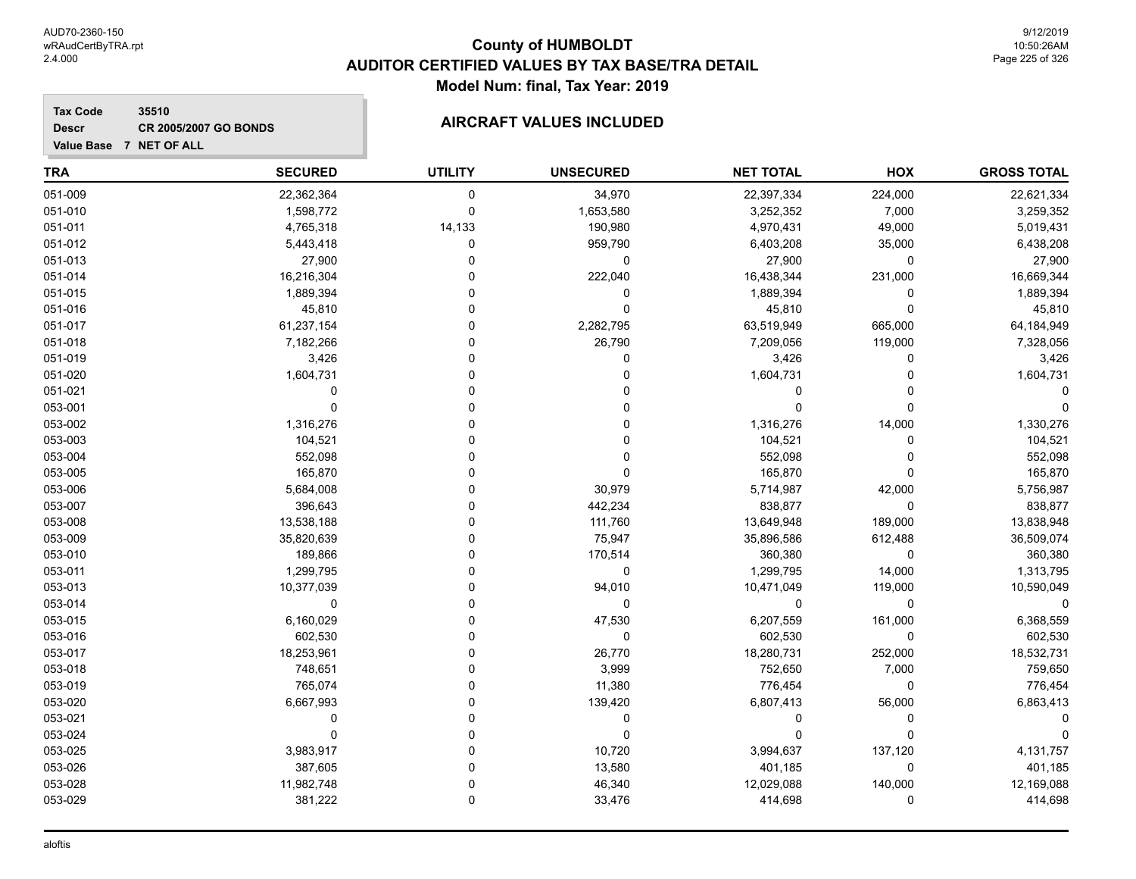# **County of HUMBOLDT AUDITOR CERTIFIED VALUES BY TAX BASE/TRA DETAIL Model Num: final, Tax Year: 2019**

## **Tax Code 35510 Descr**

| <b>TRA</b> | <b>SECURED</b> | <b>UTILITY</b> | <b>UNSECURED</b> | <b>NET TOTAL</b> | HOX         | <b>GROSS TOTAL</b> |
|------------|----------------|----------------|------------------|------------------|-------------|--------------------|
| 051-009    | 22,362,364     | 0              | 34,970           | 22,397,334       | 224,000     | 22,621,334         |
| 051-010    | 1,598,772      | 0              | 1,653,580        | 3,252,352        | 7,000       | 3,259,352          |
| 051-011    | 4,765,318      | 14,133         | 190,980          | 4,970,431        | 49,000      | 5,019,431          |
| 051-012    | 5,443,418      | 0              | 959,790          | 6,403,208        | 35,000      | 6,438,208          |
| 051-013    | 27,900         | 0              | 0                | 27,900           | 0           | 27,900             |
| 051-014    | 16,216,304     | 0              | 222,040          | 16,438,344       | 231,000     | 16,669,344         |
| 051-015    | 1,889,394      | 0              | 0                | 1,889,394        | 0           | 1,889,394          |
| 051-016    | 45,810         | 0              | 0                | 45,810           | $\mathbf 0$ | 45,810             |
| 051-017    | 61,237,154     | 0              | 2,282,795        | 63,519,949       | 665,000     | 64,184,949         |
| 051-018    | 7,182,266      | ი              | 26,790           | 7,209,056        | 119,000     | 7,328,056          |
| 051-019    | 3,426          |                | 0                | 3,426            | 0           | 3,426              |
| 051-020    | 1,604,731      |                | 0                | 1,604,731        | O           | 1,604,731          |
| 051-021    | $\Omega$       |                |                  | 0                |             |                    |
| 053-001    | $\mathbf 0$    | O              | 0                | $\Omega$         | 0           |                    |
| 053-002    | 1,316,276      | O              | 0                | 1,316,276        | 14,000      | 1,330,276          |
| 053-003    | 104,521        |                | 0                | 104,521          | 0           | 104,521            |
| 053-004    | 552,098        |                | 0                | 552,098          | 0           | 552,098            |
| 053-005    | 165,870        | 0              | 0                | 165,870          | 0           | 165,870            |
| 053-006    | 5,684,008      | 0              | 30,979           | 5,714,987        | 42,000      | 5,756,987          |
| 053-007    | 396,643        | 0              | 442,234          | 838,877          | 0           | 838,877            |
| 053-008    | 13,538,188     | 0              | 111,760          | 13,649,948       | 189,000     | 13,838,948         |
| 053-009    | 35,820,639     | ი              | 75,947           | 35,896,586       | 612,488     | 36,509,074         |
| 053-010    | 189,866        |                | 170,514          | 360,380          | 0           | 360,380            |
| 053-011    | 1,299,795      | O              | 0                | 1,299,795        | 14,000      | 1,313,795          |
| 053-013    | 10,377,039     | O              | 94,010           | 10,471,049       | 119,000     | 10,590,049         |
| 053-014    | $\mathbf 0$    |                | 0                | $\Omega$         | $\mathbf 0$ |                    |
| 053-015    | 6,160,029      | ሰ              | 47,530           | 6,207,559        | 161,000     | 6,368,559          |
| 053-016    | 602,530        | 0              | 0                | 602,530          | $\mathbf 0$ | 602,530            |
| 053-017    | 18,253,961     | 0              | 26,770           | 18,280,731       | 252,000     | 18,532,731         |
| 053-018    | 748,651        | 0              | 3,999            | 752,650          | 7,000       | 759,650            |
| 053-019    | 765,074        | 0              | 11,380           | 776,454          | 0           | 776,454            |
| 053-020    | 6,667,993      | ሰ              | 139,420          | 6,807,413        | 56,000      | 6,863,413          |
| 053-021    | $\mathbf 0$    |                | 0                | $\Omega$         | $\Omega$    |                    |
| 053-024    | $\Omega$       | $\Omega$       | 0                | $\Omega$         | $\Omega$    |                    |
| 053-025    | 3,983,917      | O              | 10,720           | 3,994,637        | 137,120     | 4,131,757          |
| 053-026    | 387,605        | O              | 13,580           | 401,185          | 0           | 401,185            |
| 053-028    | 11,982,748     | 0              | 46,340           | 12,029,088       | 140,000     | 12,169,088         |
| 053-029    | 381,222        | $\Omega$       | 33,476           | 414,698          | 0           | 414,698            |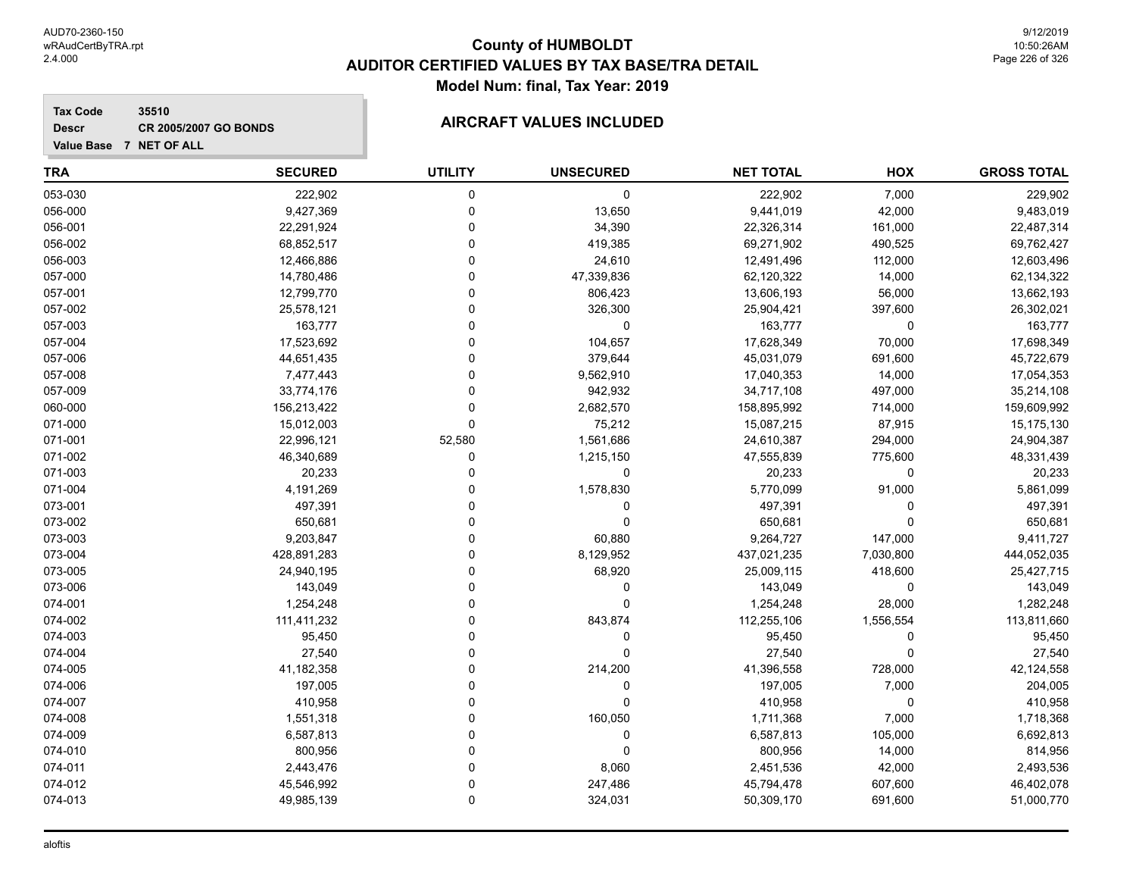## **Tax Code 35510 Descr**

# **CR 2005/2007 GO BONDS AIRCRAFT VALUES INCLUDED**

| <b>TRA</b> | <b>SECURED</b> | <b>UTILITY</b> | <b>UNSECURED</b> | <b>NET TOTAL</b> | HOX       | <b>GROSS TOTAL</b> |
|------------|----------------|----------------|------------------|------------------|-----------|--------------------|
| 053-030    | 222,902        | 0              | 0                | 222,902          | 7,000     | 229,902            |
| 056-000    | 9,427,369      | $\Omega$       | 13,650           | 9,441,019        | 42,000    | 9,483,019          |
| 056-001    | 22,291,924     | $\Omega$       | 34,390           | 22,326,314       | 161,000   | 22,487,314         |
| 056-002    | 68,852,517     | $\Omega$       | 419,385          | 69,271,902       | 490,525   | 69,762,427         |
| 056-003    | 12,466,886     | $\Omega$       | 24,610           | 12,491,496       | 112,000   | 12,603,496         |
| 057-000    | 14,780,486     | $\Omega$       | 47,339,836       | 62,120,322       | 14,000    | 62,134,322         |
| 057-001    | 12,799,770     | $\Omega$       | 806,423          | 13,606,193       | 56,000    | 13,662,193         |
| 057-002    | 25,578,121     | $\Omega$       | 326,300          | 25,904,421       | 397,600   | 26,302,021         |
| 057-003    | 163,777        | $\Omega$       | $\mathbf 0$      | 163,777          | 0         | 163,777            |
| 057-004    | 17,523,692     | $\Omega$       | 104,657          | 17,628,349       | 70,000    | 17,698,349         |
| 057-006    | 44,651,435     | $\Omega$       | 379,644          | 45,031,079       | 691,600   | 45,722,679         |
| 057-008    | 7,477,443      | $\Omega$       | 9,562,910        | 17,040,353       | 14,000    | 17,054,353         |
| 057-009    | 33,774,176     | $\Omega$       | 942,932          | 34,717,108       | 497,000   | 35,214,108         |
| 060-000    | 156,213,422    | $\Omega$       | 2,682,570        | 158,895,992      | 714,000   | 159,609,992        |
| 071-000    | 15,012,003     | $\Omega$       | 75,212           | 15,087,215       | 87,915    | 15,175,130         |
| 071-001    | 22,996,121     | 52,580         | 1,561,686        | 24,610,387       | 294,000   | 24,904,387         |
| 071-002    | 46,340,689     | $\Omega$       | 1,215,150        | 47,555,839       | 775,600   | 48,331,439         |
| 071-003    | 20,233         | $\Omega$       | 0                | 20,233           | 0         | 20,233             |
| 071-004    | 4,191,269      | $\Omega$       | 1,578,830        | 5,770,099        | 91,000    | 5,861,099          |
| 073-001    | 497,391        | $\Omega$       | $\Omega$         | 497,391          | 0         | 497,391            |
| 073-002    | 650,681        | $\Omega$       | $\Omega$         | 650,681          | 0         | 650,681            |
| 073-003    | 9,203,847      | $\Omega$       | 60,880           | 9,264,727        | 147,000   | 9,411,727          |
| 073-004    | 428,891,283    | $\Omega$       | 8,129,952        | 437,021,235      | 7,030,800 | 444,052,035        |
| 073-005    | 24,940,195     | $\Omega$       | 68,920           | 25,009,115       | 418,600   | 25,427,715         |
| 073-006    | 143,049        | $\Omega$       | $\Omega$         | 143,049          | 0         | 143,049            |
| 074-001    | 1,254,248      | $\Omega$       | $\Omega$         | 1,254,248        | 28,000    | 1,282,248          |
| 074-002    | 111,411,232    | $\Omega$       | 843,874          | 112,255,106      | 1,556,554 | 113,811,660        |
| 074-003    | 95,450         | 0              | 0                | 95,450           | 0         | 95,450             |
| 074-004    | 27,540         | $\Omega$       | $\Omega$         | 27,540           | $\Omega$  | 27,540             |
| 074-005    | 41,182,358     | $\Omega$       | 214,200          | 41,396,558       | 728,000   | 42,124,558         |
| 074-006    | 197,005        | $\Omega$       | 0                | 197,005          | 7,000     | 204,005            |
| 074-007    | 410,958        | $\Omega$       | $\Omega$         | 410,958          | 0         | 410,958            |
| 074-008    | 1,551,318      | 0              | 160,050          | 1,711,368        | 7,000     | 1,718,368          |
| 074-009    | 6,587,813      | $\Omega$       | $\mathbf 0$      | 6,587,813        | 105,000   | 6,692,813          |
| 074-010    | 800,956        | $\Omega$       | $\Omega$         | 800,956          | 14,000    | 814,956            |
| 074-011    | 2,443,476      | $\Omega$       | 8,060            | 2,451,536        | 42,000    | 2,493,536          |
| 074-012    | 45,546,992     | $\Omega$       | 247,486          | 45,794,478       | 607,600   | 46,402,078         |
| 074-013    | 49,985,139     | $\Omega$       | 324,031          | 50,309,170       | 691,600   | 51,000,770         |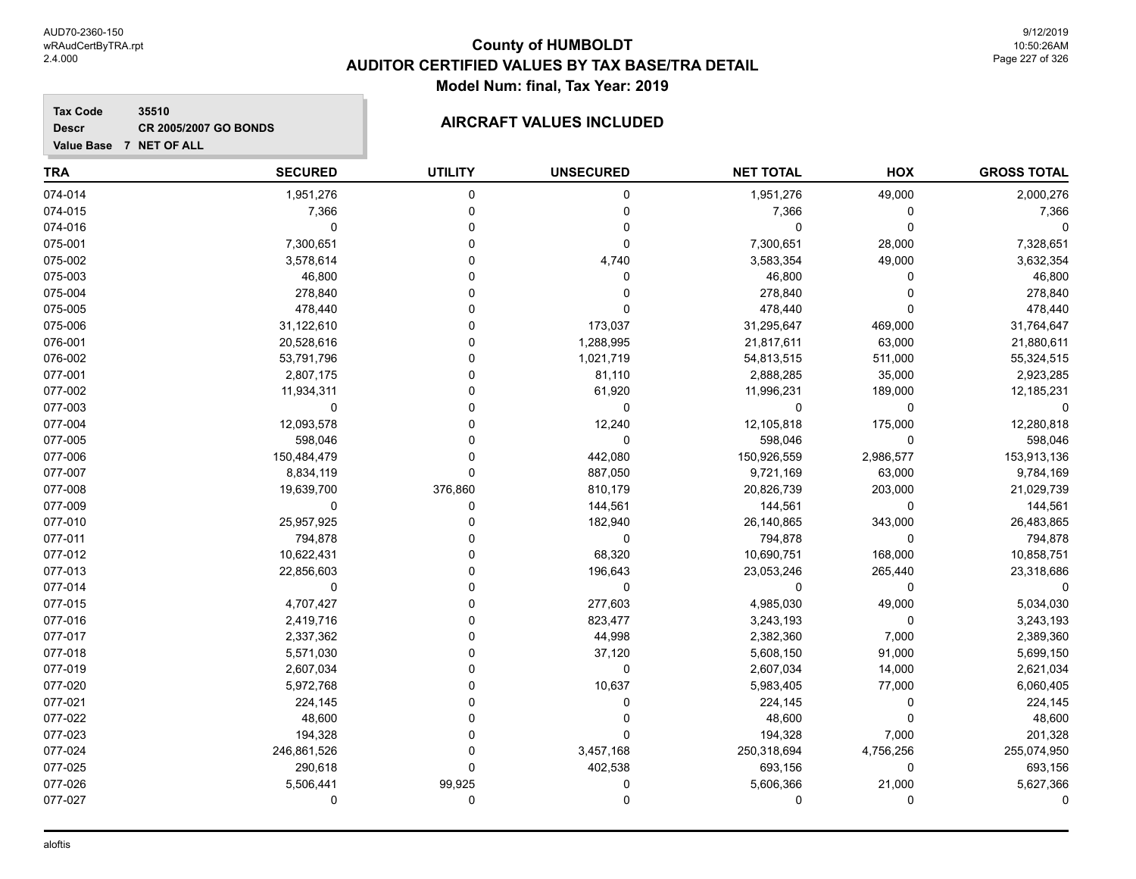**Tax Code 35510 Descr**

# **CR 2005/2007 GO BONDS AIRCRAFT VALUES INCLUDED**

| Value Base 7 NET OF ALL |                |                |                  |                  |             |                    |
|-------------------------|----------------|----------------|------------------|------------------|-------------|--------------------|
| <b>TRA</b>              | <b>SECURED</b> | <b>UTILITY</b> | <b>UNSECURED</b> | <b>NET TOTAL</b> | HOX         | <b>GROSS TOTAL</b> |
| 074-014                 | 1,951,276      | 0              | 0                | 1,951,276        | 49,000      | 2,000,276          |
| 074-015                 | 7,366          | 0              | 0                | 7,366            | 0           | 7,366              |
| 074-016                 | $\Omega$       | 0              | $\mathbf 0$      | $\Omega$         | $\Omega$    |                    |
| 075-001                 | 7,300,651      | 0              | $\mathbf 0$      | 7,300,651        | 28,000      | 7,328,651          |
| 075-002                 | 3,578,614      | 0              | 4,740            | 3,583,354        | 49,000      | 3,632,354          |
| 075-003                 | 46,800         | 0              | 0                | 46,800           | 0           | 46,800             |
| 075-004                 | 278,840        | 0              | 0                | 278,840          | $\Omega$    | 278,840            |
| 075-005                 | 478,440        | 0              | $\Omega$         | 478,440          | 0           | 478,440            |
| 075-006                 | 31,122,610     | 0              | 173,037          | 31,295,647       | 469,000     | 31,764,647         |
| 076-001                 | 20,528,616     | O              | 1,288,995        | 21,817,611       | 63,000      | 21,880,611         |
| 076-002                 | 53,791,796     | U              | 1,021,719        | 54,813,515       | 511,000     | 55,324,515         |
| 077-001                 | 2,807,175      | O              | 81,110           | 2,888,285        | 35,000      | 2,923,285          |
| 077-002                 | 11,934,311     | U              | 61,920           | 11,996,231       | 189,000     | 12,185,231         |
| 077-003                 | $\mathbf 0$    | U              | 0                | 0                | 0           | 0                  |
| 077-004                 | 12,093,578     | U              | 12,240           | 12,105,818       | 175,000     | 12,280,818         |
| 077-005                 | 598,046        | $\Omega$       | $\mathbf 0$      | 598,046          | 0           | 598,046            |
| 077-006                 | 150,484,479    | 0              | 442,080          | 150,926,559      | 2,986,577   | 153,913,136        |
| 077-007                 | 8,834,119      | 0              | 887,050          | 9,721,169        | 63,000      | 9,784,169          |
| 077-008                 | 19,639,700     | 376,860        | 810,179          | 20,826,739       | 203,000     | 21,029,739         |
| 077-009                 | 0              | 0              | 144,561          | 144,561          | $\mathbf 0$ | 144,561            |
| 077-010                 | 25,957,925     | 0              | 182,940          | 26,140,865       | 343,000     | 26,483,865         |
| 077-011                 | 794,878        | 0              | $\mathbf 0$      | 794,878          | $\mathbf 0$ | 794,878            |
| 077-012                 | 10,622,431     | 0              | 68,320           | 10,690,751       | 168,000     | 10,858,751         |
| 077-013                 | 22,856,603     | 0              | 196,643          | 23,053,246       | 265,440     | 23,318,686         |
| 077-014                 | $\mathbf 0$    | 0              | $\mathbf 0$      | $\Omega$         | 0           |                    |
| 077-015                 | 4,707,427      | 0              | 277,603          | 4,985,030        | 49,000      | 5,034,030          |
| 077-016                 | 2,419,716      | $\Omega$       | 823,477          | 3,243,193        | $\mathbf 0$ | 3,243,193          |
| 077-017                 | 2,337,362      | U              | 44,998           | 2,382,360        | 7,000       | 2,389,360          |
| 077-018                 | 5,571,030      | 0              | 37,120           | 5,608,150        | 91,000      | 5,699,150          |
| 077-019                 | 2,607,034      | U              | $\mathbf 0$      | 2,607,034        | 14,000      | 2,621,034          |
| 077-020                 | 5,972,768      | 0              | 10,637           | 5,983,405        | 77,000      | 6,060,405          |
| 077-021                 | 224,145        | $\Omega$       | 0                | 224,145          | 0           | 224,145            |
| 077-022                 | 48,600         | $\Omega$       | 0                | 48,600           | $\mathbf 0$ | 48,600             |
| 077-023                 | 194,328        | 0              | $\mathbf 0$      | 194,328          | 7,000       | 201,328            |
| 077-024                 | 246,861,526    | 0              | 3,457,168        | 250,318,694      | 4,756,256   | 255,074,950        |
| 077-025                 | 290,618        | $\Omega$       | 402,538          | 693,156          | 0           | 693,156            |

077-026 5,506,441 99,925 0 5,606,366 21,000 5,627,366 077-027 0 0 0 0 0 0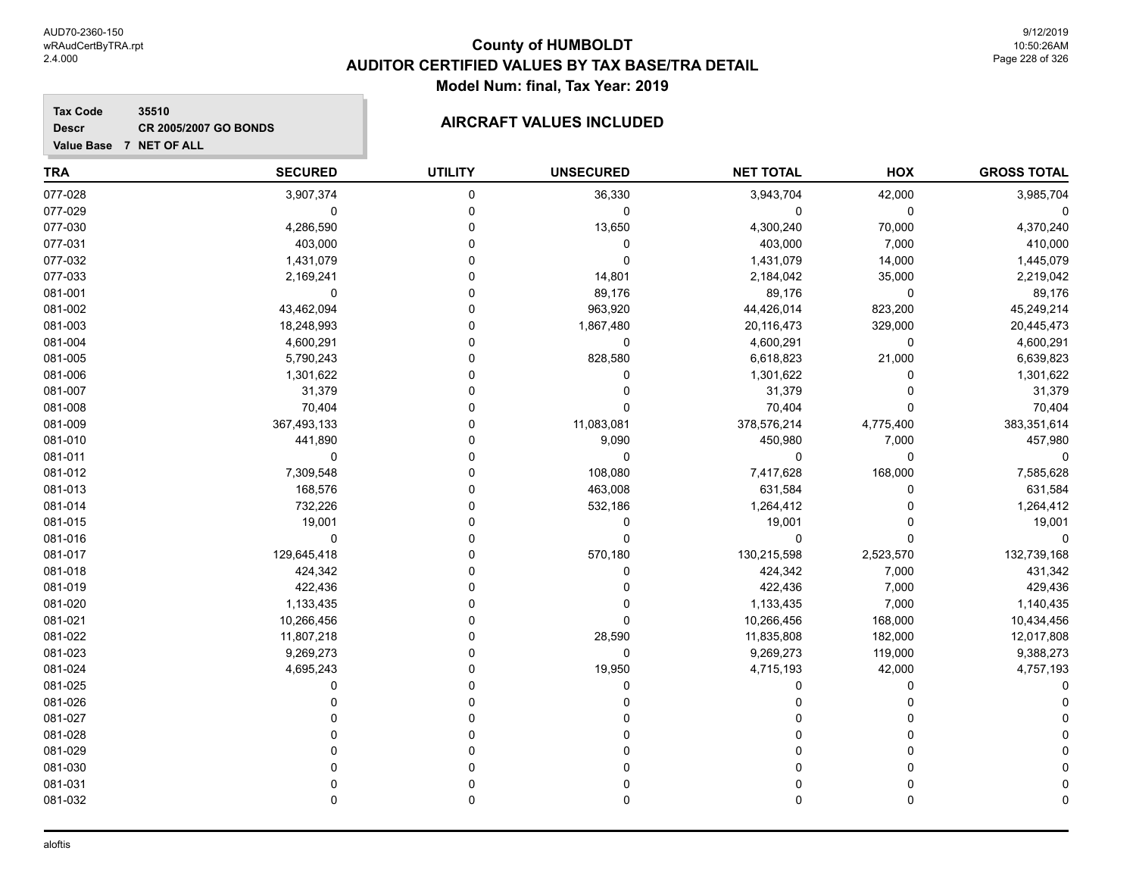**Tax Code 35510 Descr**

**Value Base 7 NET OF ALL**

| TRA     | <b>SECURED</b> | <b>UTILITY</b> | <b>UNSECURED</b> | <b>NET TOTAL</b> | HOX       | <b>GROSS TOTAL</b> |
|---------|----------------|----------------|------------------|------------------|-----------|--------------------|
| 077-028 | 3,907,374      | 0              | 36,330           | 3,943,704        | 42,000    | 3,985,704          |
| 077-029 | 0              | 0              | 0                | 0                | 0         |                    |
| 077-030 | 4,286,590      | n              | 13,650           | 4,300,240        | 70,000    | 4,370,240          |
| 077-031 | 403,000        | n              | 0                | 403,000          | 7,000     | 410,000            |
| 077-032 | 1,431,079      |                | 0                | 1,431,079        | 14,000    | 1,445,079          |
| 077-033 | 2,169,241      |                | 14,801           | 2,184,042        | 35,000    | 2,219,042          |
| 081-001 | 0              |                | 89,176           | 89,176           | 0         | 89,176             |
| 081-002 | 43,462,094     |                | 963,920          | 44,426,014       | 823,200   | 45,249,214         |
| 081-003 | 18,248,993     |                | 1,867,480        | 20,116,473       | 329,000   | 20,445,473         |
| 081-004 | 4,600,291      | n              | 0                | 4,600,291        | 0         | 4,600,291          |
| 081-005 | 5,790,243      |                | 828,580          | 6,618,823        | 21,000    | 6,639,823          |
| 081-006 | 1,301,622      |                | 0                | 1,301,622        | 0         | 1,301,622          |
| 081-007 | 31,379         |                |                  | 31,379           |           | 31,379             |
| 081-008 | 70,404         | n              | 0                | 70,404           | 0         | 70,404             |
| 081-009 | 367,493,133    | n              | 11,083,081       | 378,576,214      | 4,775,400 | 383,351,614        |
| 081-010 | 441,890        |                | 9,090            | 450,980          | 7,000     | 457,980            |
| 081-011 | 0              |                | 0                | 0                | 0         | 0                  |
| 081-012 | 7,309,548      |                | 108,080          | 7,417,628        | 168,000   | 7,585,628          |
| 081-013 | 168,576        |                | 463,008          | 631,584          | 0         | 631,584            |
| 081-014 | 732,226        |                | 532,186          | 1,264,412        |           | 1,264,412          |
| 081-015 | 19,001         |                | 0                | 19,001           |           | 19,001             |
| 081-016 | 0              |                | 0                | $\Omega$         | 0         | 0                  |
| 081-017 | 129,645,418    |                | 570,180          | 130,215,598      | 2,523,570 | 132,739,168        |
| 081-018 | 424,342        |                | 0                | 424,342          | 7,000     | 431,342            |
| 081-019 | 422,436        |                | 0                | 422,436          | 7,000     | 429,436            |
| 081-020 | 1,133,435      |                | 0                | 1,133,435        | 7,000     | 1,140,435          |
| 081-021 | 10,266,456     |                | $\Omega$         | 10,266,456       | 168,000   | 10,434,456         |
| 081-022 | 11,807,218     |                | 28,590           | 11,835,808       | 182,000   | 12,017,808         |
| 081-023 | 9,269,273      |                | 0                | 9,269,273        | 119,000   | 9,388,273          |
| 081-024 | 4,695,243      | n              | 19,950           | 4,715,193        | 42,000    | 4,757,193          |
| 081-025 | 0              |                | 0                | 0                | 0         |                    |
| 081-026 |                |                | 0                | O                | O         |                    |
| 081-027 |                |                |                  |                  |           |                    |
| 081-028 |                |                |                  | O                | O         |                    |
| 081-029 |                | O              |                  | O                | 0         |                    |
| 081-030 |                |                |                  |                  | 0         |                    |
| 081-031 |                |                |                  |                  |           |                    |
| 081-032 | 0              | $\Omega$       | 0                | 0                | 0         |                    |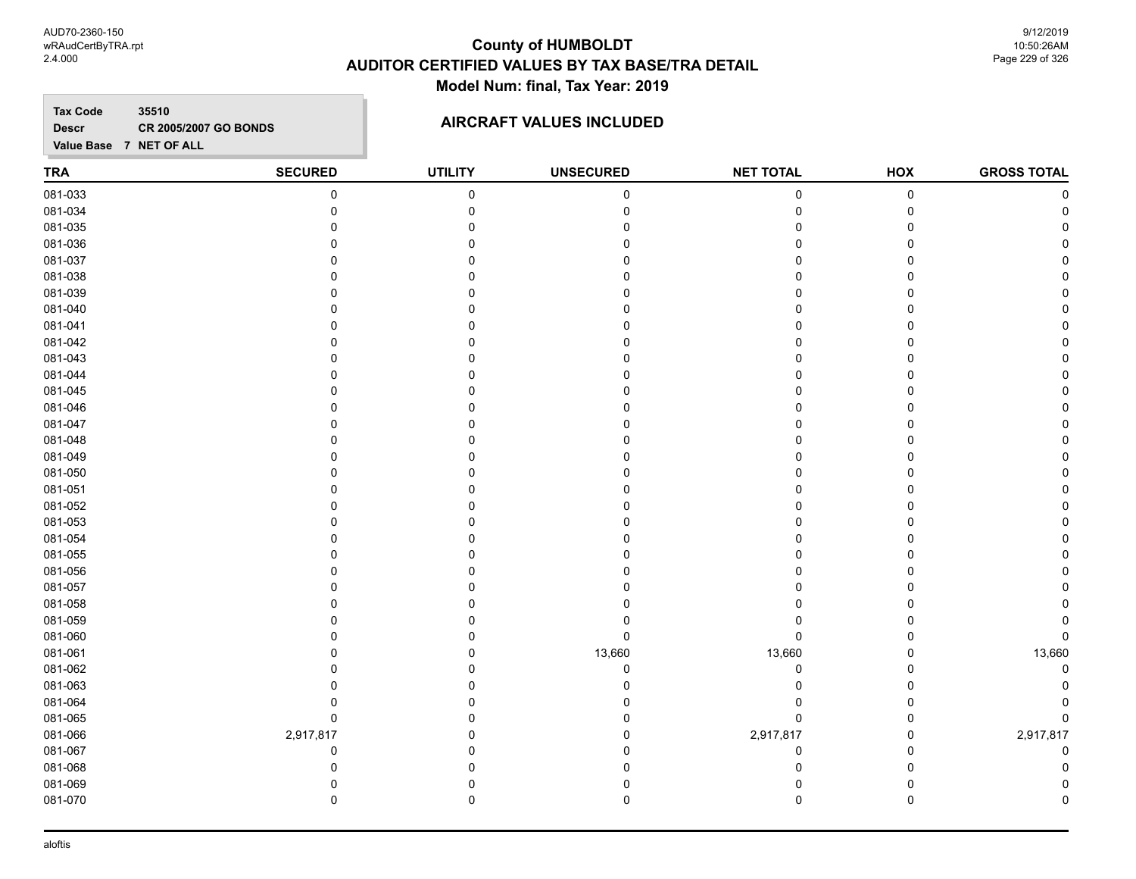AUD70-2360-150 wRAudCertByTRA.rpt 2.4.000

# **County of HUMBOLDT AUDITOR CERTIFIED VALUES BY TAX BASE/TRA DETAIL Model Num: final, Tax Year: 2019**

9/12/2019 10:50:26AM Page 229 of 326

**Tax Code 35510 Descr**

# **CR 2005/2007 GO BONDS AIRCRAFT VALUES INCLUDED**

| <b>TRA</b> | <b>SECURED</b> | <b>UTILITY</b> | <b>UNSECURED</b> | <b>NET TOTAL</b> | HOX       | <b>GROSS TOTAL</b> |
|------------|----------------|----------------|------------------|------------------|-----------|--------------------|
| 081-033    | 0              | $\mathbf 0$    | 0                | 0                | $\pmb{0}$ |                    |
| 081-034    | $\mathbf 0$    | $\mathbf 0$    |                  | $\Omega$         | 0         |                    |
| 081-035    | $\Omega$       | 0              |                  | U                | 0         |                    |
| 081-036    | $\Omega$       | $\Omega$       |                  |                  | $\Omega$  |                    |
| 081-037    | $\Omega$       | O              |                  |                  | 0         |                    |
| 081-038    | $\Omega$       | O              |                  |                  | 0         |                    |
| 081-039    | n              | n              |                  |                  | 0         |                    |
| 081-040    | n              |                |                  |                  | 0         |                    |
| 081-041    |                |                |                  |                  | 0         |                    |
| 081-042    | $\Omega$       | $\Omega$       |                  |                  | 0         |                    |
| 081-043    | $\Omega$       | O              |                  |                  | 0         |                    |
| 081-044    | $\Omega$       | $\Omega$       |                  |                  | 0         |                    |
| 081-045    | $\Omega$       | U              |                  |                  | 0         |                    |
| 081-046    | $\Omega$       | 0              |                  |                  | 0         |                    |
| 081-047    | 0              | U              |                  |                  | 0         |                    |
| 081-048    |                |                |                  |                  | 0         |                    |
| 081-049    | $\Omega$       |                |                  |                  | 0         |                    |
| 081-050    | $\Omega$       | $\Omega$       |                  |                  | 0         |                    |
| 081-051    | $\Omega$       | O              |                  |                  | $\Omega$  |                    |
| 081-052    | $\Omega$       | O              |                  |                  | 0         |                    |
| 081-053    | $\Omega$       | O              |                  |                  | 0         |                    |
| 081-054    | n              | U              |                  |                  | 0         |                    |
| 081-055    | 0              | U              |                  |                  | 0         |                    |
| 081-056    |                |                |                  |                  | 0         |                    |
| 081-057    | $\Omega$       | $\Omega$       |                  |                  | 0         |                    |
| 081-058    | $\Omega$       | O              |                  |                  | 0         |                    |
| 081-059    | $\Omega$       | $\Omega$       |                  | U                | $\Omega$  |                    |
| 081-060    | n              | 0              | 0                | 0                | 0         | 0                  |
| 081-061    | $\Omega$       | $\Omega$       | 13,660           | 13,660           | 0         | 13,660             |
| 081-062    | U              | U              | 0                | 0                | 0         |                    |
| 081-063    |                |                |                  | $\Omega$         | 0         |                    |
| 081-064    | 0              |                |                  |                  | 0         |                    |
| 081-065    | $\pmb{0}$      | 0              |                  | $\mathbf 0$      | 0         |                    |
| 081-066    | 2,917,817      | O              |                  | 2,917,817        | 0         | 2,917,817          |
| 081-067    | $\mathbf 0$    | O              |                  | $\mathbf 0$      | 0         | $\mathbf C$        |
| 081-068    | 0              | U              |                  | $\Omega$         | 0         |                    |
| 081-069    | 0              | 0              |                  | 0                | 0         |                    |
| 081-070    | $\mathbf 0$    | $\mathbf 0$    | 0                | 0                | 0         |                    |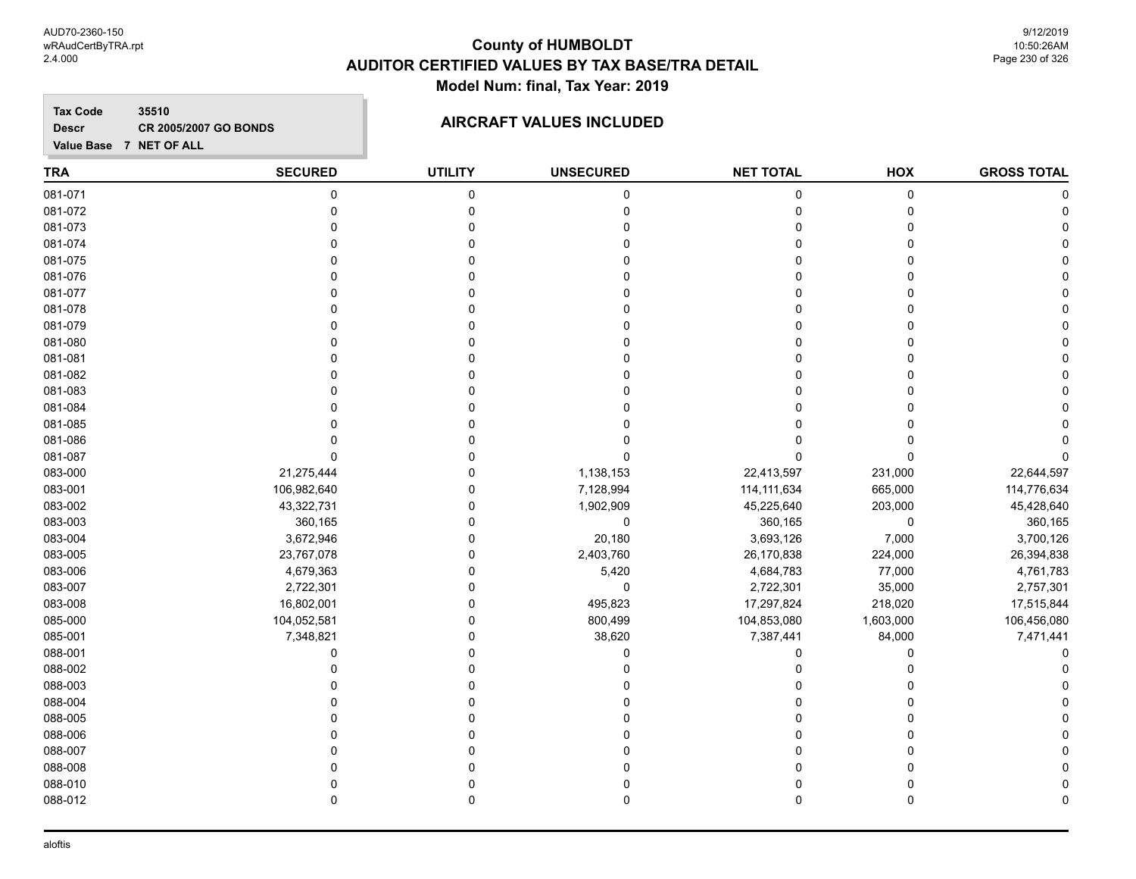**Tax Code 35510 Descr**

# **CR 2005/2007 GO BONDS AIRCRAFT VALUES INCLUDED**

| <b>TRA</b> | <b>SECURED</b> | <b>UTILITY</b> | <b>UNSECURED</b> | <b>NET TOTAL</b> | HOX         | <b>GROSS TOTAL</b> |
|------------|----------------|----------------|------------------|------------------|-------------|--------------------|
| 081-071    | $\mathbf 0$    | $\pmb{0}$      | $\pmb{0}$        | $\mathbf 0$      | $\mathbf 0$ |                    |
| 081-072    | $\mathbf 0$    | $\mathbf 0$    | $\mathbf 0$      | 0                | 0           |                    |
| 081-073    | $\Omega$       | $\Omega$       | $\Omega$         | $\mathbf 0$      | 0           |                    |
| 081-074    | $\Omega$       | $\Omega$       | O                | $\Omega$         | $\Omega$    |                    |
| 081-075    | $\Omega$       | $\Omega$       | U                | $\mathbf 0$      | $\Omega$    |                    |
| 081-076    | C              | O              |                  | 0                | $\Omega$    |                    |
| 081-077    | C              | 0              |                  | $\Omega$         | $\Omega$    |                    |
| 081-078    | C              | 0              |                  | 0                | 0           |                    |
| 081-079    | $\Omega$       | $\Omega$       |                  | $\Omega$         | 0           |                    |
| 081-080    | O              | $\Omega$       |                  | $\Omega$         | 0           |                    |
| 081-081    | $\Omega$       | $\Omega$       | $\Omega$         | $\mathbf 0$      | 0           |                    |
| 081-082    | $\Omega$       | $\Omega$       | O                | $\Omega$         | $\Omega$    |                    |
| 081-083    | $\Omega$       | $\Omega$       | O                | $\Omega$         | $\Omega$    |                    |
| 081-084    | O              | $\Omega$       | ŋ                | 0                | $\Omega$    |                    |
| 081-085    | $\Omega$       | $\Omega$       |                  | $\Omega$         | $\Omega$    |                    |
| 081-086    | C              | $\mathbf{0}$   |                  | 0                | $\Omega$    |                    |
| 081-087    | $\Omega$       | $\Omega$       | $\Omega$         | $\Omega$         | $\Omega$    |                    |
| 083-000    | 21,275,444     | $\Omega$       | 1,138,153        | 22,413,597       | 231,000     | 22,644,597         |
| 083-001    | 106,982,640    | $\Omega$       | 7,128,994        | 114, 111, 634    | 665,000     | 114,776,634        |
| 083-002    | 43,322,731     | $\Omega$       | 1,902,909        | 45,225,640       | 203,000     | 45,428,640         |
| 083-003    | 360,165        | $\Omega$       | $\pmb{0}$        | 360,165          | 0           | 360,165            |
| 083-004    | 3,672,946      | $\Omega$       | 20,180           | 3,693,126        | 7,000       | 3,700,126          |
| 083-005    | 23,767,078     | $\mathbf 0$    | 2,403,760        | 26,170,838       | 224,000     | 26,394,838         |
| 083-006    | 4,679,363      | $\mathbf 0$    | 5,420            | 4,684,783        | 77,000      | 4,761,783          |
| 083-007    | 2,722,301      | $\mathbf 0$    | $\pmb{0}$        | 2,722,301        | 35,000      | 2,757,301          |
| 083-008    | 16,802,001     | $\Omega$       | 495,823          | 17,297,824       | 218,020     | 17,515,844         |
| 085-000    | 104,052,581    | $\mathbf 0$    | 800,499          | 104,853,080      | 1,603,000   | 106,456,080        |
| 085-001    | 7,348,821      | $\mathbf 0$    | 38,620           | 7,387,441        | 84,000      | 7,471,441          |
| 088-001    | 0              | $\Omega$       | 0                | 0                | 0           |                    |
| 088-002    | 0              | $\Omega$       | 0                | 0                | 0           |                    |
| 088-003    | $\mathbf{0}$   | $\mathbf 0$    | 0                | 0                | 0           |                    |
| 088-004    | $\Omega$       | $\Omega$       | ŋ                | $\Omega$         | $\Omega$    |                    |
| 088-005    | $\Omega$       | $\Omega$       | 0                | 0                | $\mathbf 0$ |                    |
| 088-006    | $\Omega$       | $\Omega$       | $\Omega$         | $\mathbf 0$      | $\Omega$    |                    |
| 088-007    | $\Omega$       | $\Omega$       | $\mathbf 0$      | $\mathbf 0$      | $\mathbf 0$ |                    |
| 088-008    | $\Omega$       | $\Omega$       | O                | $\Omega$         | $\Omega$    |                    |
| 088-010    | $\Omega$       | $\mathbf 0$    | 0                | 0                | $\pmb{0}$   |                    |
| 088-012    | $\mathbf 0$    | $\mathbf 0$    | 0                | 0                | 0           |                    |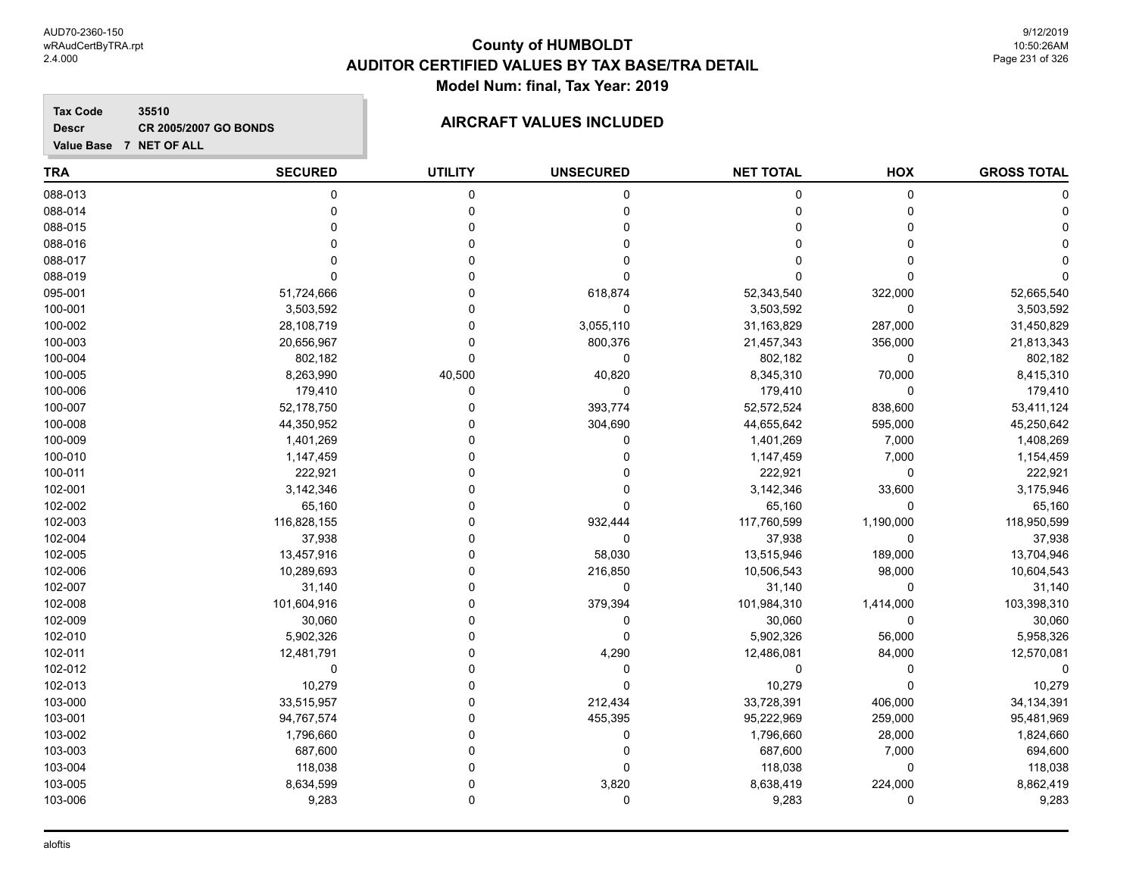**Tax Code 35510 Descr**

# **CR 2005/2007 GO BONDS AIRCRAFT VALUES INCLUDED**

| <b>TRA</b> | <b>SECURED</b> | <b>UTILITY</b> | <b>UNSECURED</b> | <b>NET TOTAL</b> | HOX         | <b>GROSS TOTAL</b> |
|------------|----------------|----------------|------------------|------------------|-------------|--------------------|
| 088-013    | $\pmb{0}$      | $\pmb{0}$      | $\pmb{0}$        | 0                | $\mathbf 0$ |                    |
| 088-014    | 0              | 0              | 0                | 0                | 0           |                    |
| 088-015    |                | $\Omega$       | 0                | $\Omega$         | $\Omega$    |                    |
| 088-016    | O              | $\Omega$       | 0                | $\Omega$         | $\Omega$    |                    |
| 088-017    | U              | $\Omega$       | $\Omega$         | $\Omega$         | $\Omega$    |                    |
| 088-019    | $\Omega$       | O              | 0                | 0                | $\Omega$    |                    |
| 095-001    | 51,724,666     | 0              | 618,874          | 52,343,540       | 322,000     | 52,665,540         |
| 100-001    | 3,503,592      | 0              | $\mathbf 0$      | 3,503,592        | 0           | 3,503,592          |
| 100-002    | 28,108,719     | 0              | 3,055,110        | 31,163,829       | 287,000     | 31,450,829         |
| 100-003    | 20,656,967     | $\Omega$       | 800,376          | 21,457,343       | 356,000     | 21,813,343         |
| 100-004    | 802,182        | $\Omega$       | 0                | 802,182          | $\pmb{0}$   | 802,182            |
| 100-005    | 8,263,990      | 40,500         | 40,820           | 8,345,310        | 70,000      | 8,415,310          |
| 100-006    | 179,410        | 0              | $\mathbf 0$      | 179,410          | $\mathbf 0$ | 179,410            |
| 100-007    | 52,178,750     | 0              | 393,774          | 52,572,524       | 838,600     | 53,411,124         |
| 100-008    | 44,350,952     | 0              | 304,690          | 44,655,642       | 595,000     | 45,250,642         |
| 100-009    | 1,401,269      | 0              | $\mathbf 0$      | 1,401,269        | 7,000       | 1,408,269          |
| 100-010    | 1,147,459      | 0              | 0                | 1,147,459        | 7,000       | 1,154,459          |
| 100-011    | 222,921        | 0              | 0                | 222,921          | 0           | 222,921            |
| 102-001    | 3,142,346      | 0              | $\mathbf 0$      | 3,142,346        | 33,600      | 3,175,946          |
| 102-002    | 65,160         | $\Omega$       | 0                | 65,160           | $\Omega$    | 65,160             |
| 102-003    | 116,828,155    | O              | 932,444          | 117,760,599      | 1,190,000   | 118,950,599        |
| 102-004    | 37,938         | 0              | $\mathbf 0$      | 37,938           | 0           | 37,938             |
| 102-005    | 13,457,916     | 0              | 58,030           | 13,515,946       | 189,000     | 13,704,946         |
| 102-006    | 10,289,693     | 0              | 216,850          | 10,506,543       | 98,000      | 10,604,543         |
| 102-007    | 31,140         | ۵              | 0                | 31,140           | 0           | 31,140             |
| 102-008    | 101,604,916    | 0              | 379,394          | 101,984,310      | 1,414,000   | 103,398,310        |
| 102-009    | 30,060         | 0              | 0                | 30,060           | $\Omega$    | 30,060             |
| 102-010    | 5,902,326      | $\Omega$       | $\mathbf 0$      | 5,902,326        | 56,000      | 5,958,326          |
| 102-011    | 12,481,791     | $\Omega$       | 4,290            | 12,486,081       | 84,000      | 12,570,081         |
| 102-012    | 0              | $\Omega$       | 0                | 0                | 0           |                    |
| 102-013    | 10,279         | 0              | $\mathbf 0$      | 10,279           | $\Omega$    | 10,279             |
| 103-000    | 33,515,957     | $\mathbf 0$    | 212,434          | 33,728,391       | 406,000     | 34, 134, 391       |
| 103-001    | 94,767,574     | 0              | 455,395          | 95,222,969       | 259,000     | 95,481,969         |
| 103-002    | 1,796,660      | 0              | 0                | 1,796,660        | 28,000      | 1,824,660          |
| 103-003    | 687,600        | 0              | 0                | 687,600          | 7,000       | 694,600            |
| 103-004    | 118,038        | $\Omega$       | 0                | 118,038          | $\Omega$    | 118,038            |
| 103-005    | 8,634,599      | $\Omega$       | 3,820            | 8,638,419        | 224,000     | 8,862,419          |
| 103-006    | 9,283          | $\mathbf 0$    | 0                | 9,283            | $\Omega$    | 9,283              |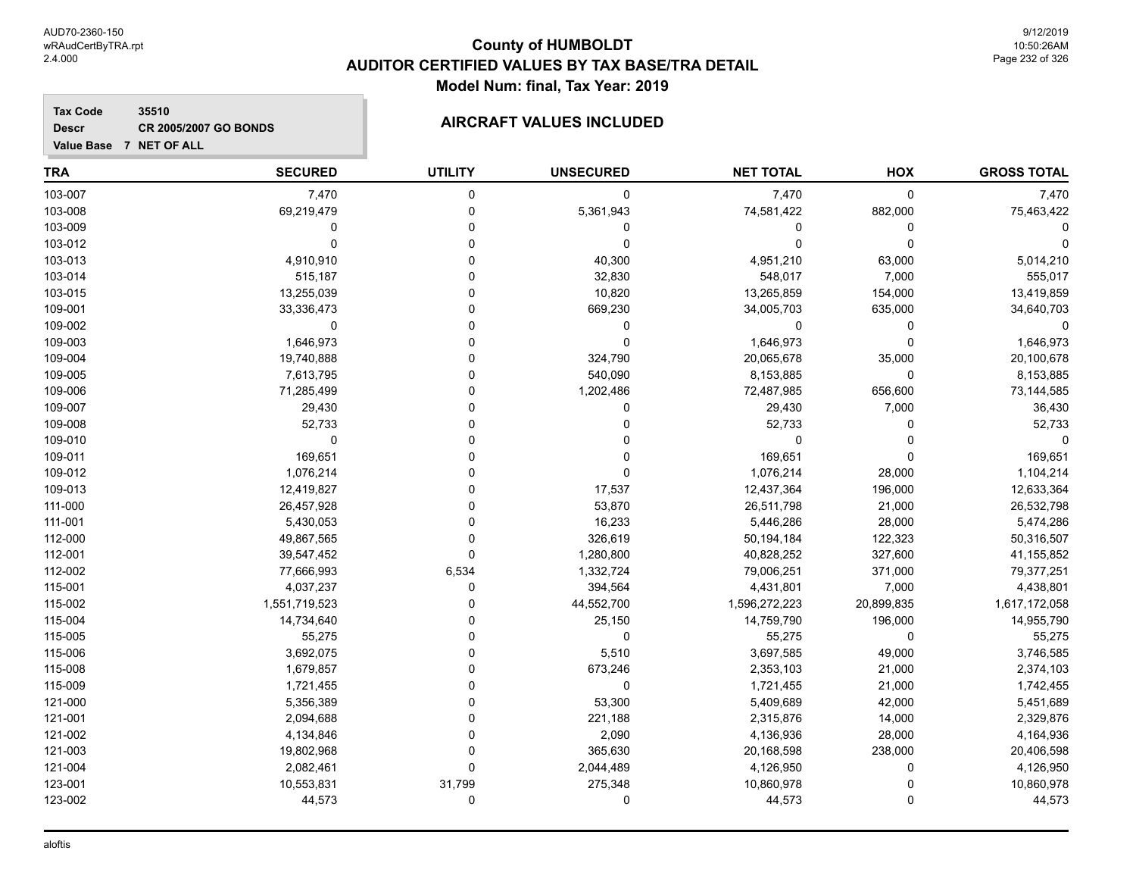## **Tax Code 35510 Descr**

# **CR 2005/2007 GO BONDS AIRCRAFT VALUES INCLUDED**

| <b>TRA</b> | <b>SECURED</b> | <b>UTILITY</b> | <b>UNSECURED</b> | <b>NET TOTAL</b> | HOX         | <b>GROSS TOTAL</b> |
|------------|----------------|----------------|------------------|------------------|-------------|--------------------|
| 103-007    | 7,470          | 0              | $\mathbf 0$      | 7,470            | $\mathbf 0$ | 7,470              |
| 103-008    | 69,219,479     | $\mathbf 0$    | 5,361,943        | 74,581,422       | 882,000     | 75,463,422         |
| 103-009    | $\Omega$       | $\Omega$       | 0                | 0                | $\mathbf 0$ |                    |
| 103-012    | $\Omega$       | 0              | 0                | 0                | $\mathbf 0$ |                    |
| 103-013    | 4,910,910      | 0              | 40,300           | 4,951,210        | 63,000      | 5,014,210          |
| 103-014    | 515,187        | 0              | 32,830           | 548,017          | 7,000       | 555,017            |
| 103-015    | 13,255,039     | $\Omega$       | 10,820           | 13,265,859       | 154,000     | 13,419,859         |
| 109-001    | 33,336,473     | O              | 669,230          | 34,005,703       | 635,000     | 34,640,703         |
| 109-002    | 0              | $\Omega$       | 0                | 0                | 0           | $\Omega$           |
| 109-003    | 1,646,973      | 0              | $\mathbf 0$      | 1,646,973        | $\Omega$    | 1,646,973          |
| 109-004    | 19,740,888     | $\Omega$       | 324,790          | 20,065,678       | 35,000      | 20,100,678         |
| 109-005    | 7,613,795      | 0              | 540,090          | 8,153,885        | $\mathbf 0$ | 8,153,885          |
| 109-006    | 71,285,499     | U              | 1,202,486        | 72,487,985       | 656,600     | 73,144,585         |
| 109-007    | 29,430         | 0              | $\mathbf 0$      | 29,430           | 7,000       | 36,430             |
| 109-008    | 52,733         | 0              | 0                | 52,733           | 0           | 52,733             |
| 109-010    | 0              |                | 0                | 0                | $\Omega$    | $\Omega$           |
| 109-011    | 169,651        |                | 0                | 169,651          | $\Omega$    | 169,651            |
| 109-012    | 1,076,214      | $\Omega$       | 0                | 1,076,214        | 28,000      | 1,104,214          |
| 109-013    | 12,419,827     | $\Omega$       | 17,537           | 12,437,364       | 196,000     | 12,633,364         |
| 111-000    | 26,457,928     | 0              | 53,870           | 26,511,798       | 21,000      | 26,532,798         |
| 111-001    | 5,430,053      | 0              | 16,233           | 5,446,286        | 28,000      | 5,474,286          |
| 112-000    | 49,867,565     | $\Omega$       | 326,619          | 50,194,184       | 122,323     | 50,316,507         |
| 112-001    | 39,547,452     | $\Omega$       | 1,280,800        | 40,828,252       | 327,600     | 41,155,852         |
| 112-002    | 77,666,993     | 6,534          | 1,332,724        | 79,006,251       | 371,000     | 79,377,251         |
| 115-001    | 4,037,237      | 0              | 394,564          | 4,431,801        | 7,000       | 4,438,801          |
| 115-002    | 1,551,719,523  | 0              | 44,552,700       | 1,596,272,223    | 20,899,835  | 1,617,172,058      |
| 115-004    | 14,734,640     | 0              | 25,150           | 14,759,790       | 196,000     | 14,955,790         |
| 115-005    | 55,275         | $\Omega$       | $\mathbf 0$      | 55,275           | $\mathbf 0$ | 55,275             |
| 115-006    | 3,692,075      | $\Omega$       | 5,510            | 3,697,585        | 49,000      | 3,746,585          |
| 115-008    | 1,679,857      | 0              | 673,246          | 2,353,103        | 21,000      | 2,374,103          |
| 115-009    | 1,721,455      | 0              | 0                | 1,721,455        | 21,000      | 1,742,455          |
| 121-000    | 5,356,389      | 0              | 53,300           | 5,409,689        | 42,000      | 5,451,689          |
| 121-001    | 2,094,688      | $\Omega$       | 221,188          | 2,315,876        | 14,000      | 2,329,876          |
| 121-002    | 4,134,846      | 0              | 2,090            | 4,136,936        | 28,000      | 4,164,936          |
| 121-003    | 19,802,968     | 0              | 365,630          | 20,168,598       | 238,000     | 20,406,598         |
| 121-004    | 2,082,461      | 0              | 2,044,489        | 4,126,950        | 0           | 4,126,950          |
| 123-001    | 10,553,831     | 31,799         | 275,348          | 10,860,978       | $\Omega$    | 10,860,978         |
| 123-002    | 44,573         | 0              | 0                | 44,573           | $\mathbf 0$ | 44,573             |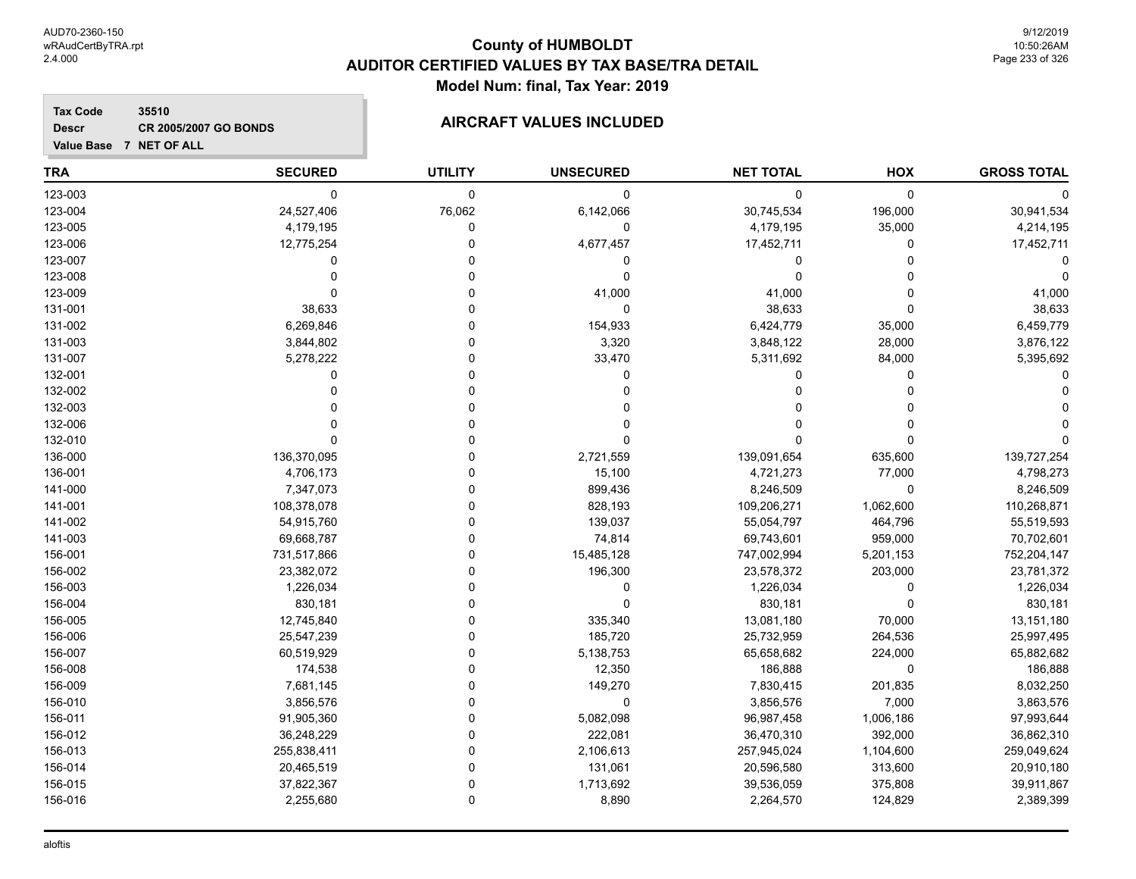**Descr**

# **County of HUMBOLDT AUDITOR CERTIFIED VALUES BY TAX BASE/TRA DETAIL Model Num: final, Tax Year: 2019**

## **Tax Code 35510 CR 2005/2007 GO BONDS AIRCRAFT VALUES INCLUDED**

|  | Value Base 7 NET OF ALL |  |
|--|-------------------------|--|

| <b>TRA</b> | <b>SECURED</b> | <b>UTILITY</b> | <b>UNSECURED</b> | <b>NET TOTAL</b> | HOX         | <b>GROSS TOTAL</b> |
|------------|----------------|----------------|------------------|------------------|-------------|--------------------|
| 123-003    | $\mathbf 0$    | 0              | 0                | 0                | $\mathbf 0$ |                    |
| 123-004    | 24,527,406     | 76,062         | 6,142,066        | 30,745,534       | 196,000     | 30,941,534         |
| 123-005    | 4,179,195      | $\Omega$       | $\mathbf 0$      | 4,179,195        | 35,000      | 4,214,195          |
| 123-006    | 12,775,254     | $\mathbf 0$    | 4,677,457        | 17,452,711       | 0           | 17,452,711         |
| 123-007    | $\Omega$       | 0              | 0                | 0                | $\Omega$    |                    |
| 123-008    |                | $\Omega$       | $\mathbf 0$      | 0                | $\Omega$    |                    |
| 123-009    | $\Omega$       | U              | 41,000           | 41,000           | $\Omega$    | 41,000             |
| 131-001    | 38,633         | $\Omega$       | $\mathbf 0$      | 38,633           | $\Omega$    | 38,633             |
| 131-002    | 6,269,846      | $\Omega$       | 154,933          | 6,424,779        | 35,000      | 6,459,779          |
| 131-003    | 3,844,802      | $\Omega$       | 3,320            | 3,848,122        | 28,000      | 3,876,122          |
| 131-007    | 5,278,222      | $\Omega$       | 33,470           | 5,311,692        | 84,000      | 5,395,692          |
| 132-001    | $\Omega$       | U              | 0                | 0                | $\Omega$    |                    |
| 132-002    | O              | 0              |                  | 0                | $\Omega$    |                    |
| 132-003    |                | 0              |                  | 0                | $\Omega$    |                    |
| 132-006    |                | $\Omega$       |                  | 0                | $\Omega$    |                    |
| 132-010    | $\Omega$       | U              | O                | U                | $\Omega$    |                    |
| 136-000    | 136,370,095    | $\Omega$       | 2,721,559        | 139,091,654      | 635,600     | 139,727,254        |
| 136-001    | 4,706,173      | $\Omega$       | 15,100           | 4,721,273        | 77,000      | 4,798,273          |
| 141-000    | 7,347,073      | $\Omega$       | 899,436          | 8,246,509        | $\mathbf 0$ | 8,246,509          |
| 141-001    | 108,378,078    | $\Omega$       | 828,193          | 109,206,271      | 1,062,600   | 110,268,871        |
| 141-002    | 54,915,760     | $\Omega$       | 139,037          | 55,054,797       | 464,796     | 55,519,593         |
| 141-003    | 69,668,787     | 0              | 74,814           | 69,743,601       | 959,000     | 70,702,601         |
| 156-001    | 731,517,866    | 0              | 15,485,128       | 747,002,994      | 5,201,153   | 752,204,147        |
| 156-002    | 23,382,072     | $\Omega$       | 196,300          | 23,578,372       | 203,000     | 23,781,372         |
| 156-003    | 1,226,034      | 0              | 0                | 1,226,034        | $\mathbf 0$ | 1,226,034          |
| 156-004    | 830,181        | $\Omega$       | $\Omega$         | 830,181          | $\mathbf 0$ | 830,181            |
| 156-005    | 12,745,840     | $\Omega$       | 335,340          | 13,081,180       | 70,000      | 13,151,180         |
| 156-006    | 25,547,239     | $\Omega$       | 185,720          | 25,732,959       | 264,536     | 25,997,495         |
| 156-007    | 60,519,929     | $\Omega$       | 5,138,753        | 65,658,682       | 224,000     | 65,882,682         |
| 156-008    | 174,538        | $\Omega$       | 12,350           | 186,888          | 0           | 186,888            |
| 156-009    | 7,681,145      | 0              | 149,270          | 7,830,415        | 201,835     | 8,032,250          |
| 156-010    | 3,856,576      | $\Omega$       | $\mathbf 0$      | 3,856,576        | 7,000       | 3,863,576          |
| 156-011    | 91,905,360     | $\Omega$       | 5,082,098        | 96,987,458       | 1,006,186   | 97,993,644         |
| 156-012    | 36,248,229     | 0              | 222,081          | 36,470,310       | 392,000     | 36,862,310         |
| 156-013    | 255,838,411    | $\Omega$       | 2,106,613        | 257,945,024      | 1,104,600   | 259,049,624        |
| 156-014    | 20,465,519     | $\Omega$       | 131,061          | 20,596,580       | 313,600     | 20,910,180         |
| 156-015    | 37,822,367     | $\mathbf 0$    | 1,713,692        | 39,536,059       | 375,808     | 39,911,867         |
| 156-016    | 2,255,680      | $\Omega$       | 8,890            | 2,264,570        | 124,829     | 2,389,399          |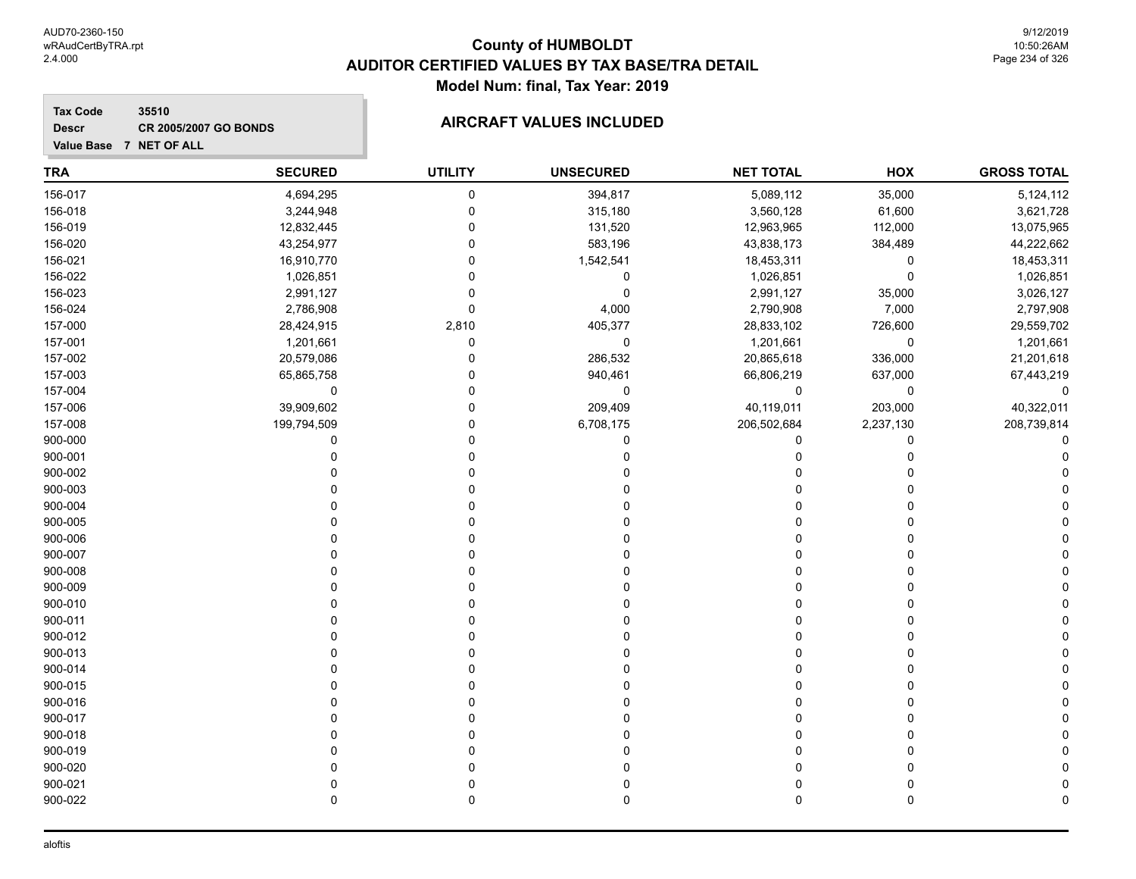## **Tax Code 35510 Descr**

# **CR 2005/2007 GO BONDS AIRCRAFT VALUES INCLUDED**

| Value Base 7 NET OF ALL |                |                |                  |                  |             |                    |
|-------------------------|----------------|----------------|------------------|------------------|-------------|--------------------|
| <b>TRA</b>              | <b>SECURED</b> | <b>UTILITY</b> | <b>UNSECURED</b> | <b>NET TOTAL</b> | HOX         | <b>GROSS TOTAL</b> |
| 156-017                 | 4,694,295      | 0              | 394,817          | 5,089,112        | 35,000      | 5,124,112          |
| 156-018                 | 3,244,948      | 0              | 315,180          | 3,560,128        | 61,600      | 3,621,728          |
| 156-019                 | 12,832,445     | 0              | 131,520          | 12,963,965       | 112,000     | 13,075,965         |
| 156-020                 | 43,254,977     | 0              | 583,196          | 43,838,173       | 384,489     | 44,222,662         |
| 156-021                 | 16,910,770     | 0              | 1,542,541        | 18,453,311       | 0           | 18,453,311         |
| 156-022                 | 1,026,851      | $\Omega$       | 0                | 1,026,851        | $\mathbf 0$ | 1,026,851          |
| 156-023                 | 2,991,127      | 0              | 0                | 2,991,127        | 35,000      | 3,026,127          |
| 156-024                 | 2,786,908      | 0              | 4,000            | 2,790,908        | 7,000       | 2,797,908          |
| 157-000                 | 28,424,915     | 2,810          | 405,377          | 28,833,102       | 726,600     | 29,559,702         |
| 157-001                 | 1,201,661      | 0              | 0                | 1,201,661        | $\mathbf 0$ | 1,201,661          |
| 157-002                 | 20,579,086     | 0              | 286,532          | 20,865,618       | 336,000     | 21,201,618         |
| 157-003                 | 65,865,758     | 0              | 940,461          | 66,806,219       | 637,000     | 67,443,219         |
| 157-004                 | 0              | 0              | 0                | 0                | $\mathbf 0$ | 0                  |
| 157-006                 | 39,909,602     | 0              | 209,409          | 40,119,011       | 203,000     | 40,322,011         |
| 157-008                 | 199,794,509    | 0              | 6,708,175        | 206,502,684      | 2,237,130   | 208,739,814        |
| 900-000                 | 0              | O              | 0                | 0                | 0           |                    |
| 900-001                 | 0              | 0              | 0                | $\Omega$         | $\Omega$    |                    |
| 900-002                 | ŋ              | 0              | 0                | 0                | ∩           |                    |
| 900-003                 | ŋ              | O              | 0                | 0                | $\Omega$    |                    |
| 900-004                 | O              | 0              | 0                | 0                | $\Omega$    |                    |
| 900-005                 |                | 0              | 0                | 0                | $\Omega$    |                    |
| 900-006                 |                | 0              | U                | O                | ∩           |                    |
| 900-007                 | O              | 0              | 0                | 0                | $\Omega$    |                    |
| 900-008                 | O              | 0              | 0                | 0                | $\Omega$    |                    |
| 900-009                 | O              | 0              | U                | 0                | ∩           |                    |
| 900-010                 | O              | 0              | 0                | 0                | 0           |                    |
| 900-011                 |                | 0              | 0                | 0                | $\Omega$    |                    |
| 900-012                 |                | 0              | 0                | 0                | $\Omega$    |                    |
| 900-013                 |                | 0              | 0                | 0                | $\Omega$    |                    |
| 900-014                 |                |                | 0                | 0                | U           |                    |
| 900-015                 |                | U              | 0                | 0                | 0           |                    |
| 900-016                 |                |                | 0                | 0                | 0           |                    |
| 900-017                 |                |                | 0                | 0                | U           |                    |
| 900-018                 |                |                |                  | 0                | U           |                    |
| 900-019                 |                | <sup>0</sup>   | U                | 0                | $\Omega$    |                    |

900-020 0 0 0 0 0 0 900-021 0 0 0 0 0 0 900-022 0 0 0 0 0 0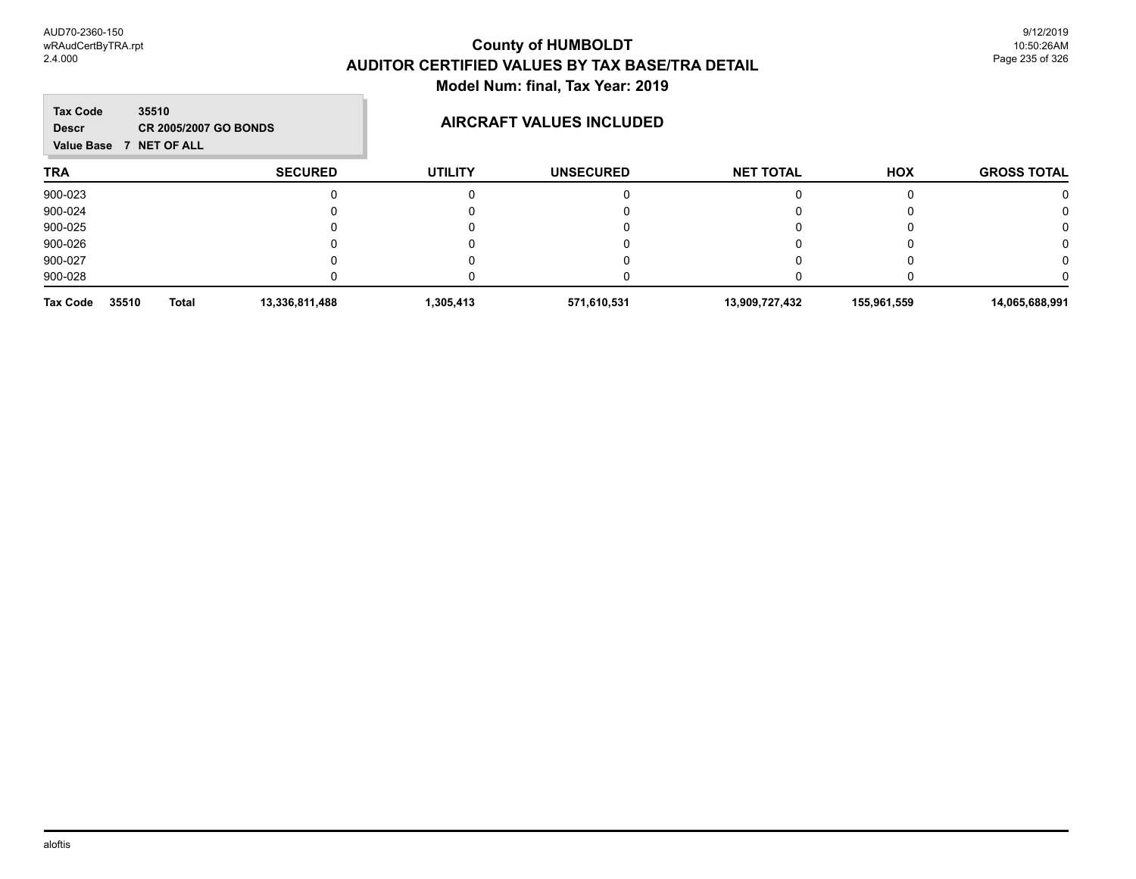**COL** 

| <b>Tax Code</b><br>35510<br><b>Descr</b><br>Value Base 7 NET OF ALL | <b>CR 2005/2007 GO BONDS</b> |                | AIRCRAFT VALUES INCLUDED |                  |             |                    |  |  |
|---------------------------------------------------------------------|------------------------------|----------------|--------------------------|------------------|-------------|--------------------|--|--|
| <b>TRA</b>                                                          | <b>SECURED</b>               | <b>UTILITY</b> | <b>UNSECURED</b>         | <b>NET TOTAL</b> | <b>HOX</b>  | <b>GROSS TOTAL</b> |  |  |
| 900-023                                                             |                              |                |                          |                  |             |                    |  |  |
| 900-024                                                             |                              |                |                          |                  |             |                    |  |  |
| 900-025                                                             |                              |                |                          |                  |             |                    |  |  |
| 900-026                                                             |                              |                |                          |                  |             |                    |  |  |
| 900-027                                                             |                              |                |                          |                  |             |                    |  |  |
| 900-028                                                             |                              |                |                          |                  |             |                    |  |  |
| 35510<br><b>Total</b><br>Tax Code                                   | 13,336,811,488               | 1,305,413      | 571,610,531              | 13,909,727,432   | 155,961,559 | 14,065,688,991     |  |  |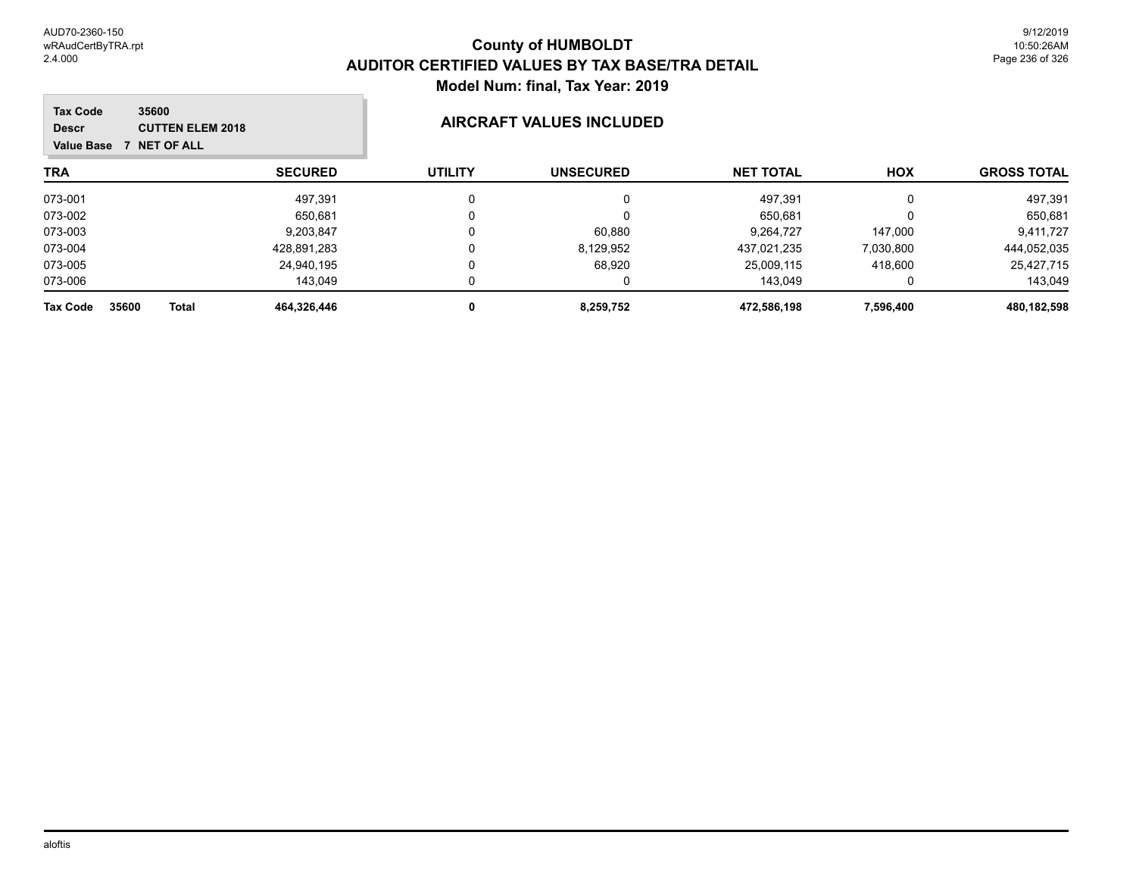| 35600<br><b>Tax Code</b><br><b>CUTTEN ELEM 2018</b><br><b>Descr</b><br><b>7 NET OF ALL</b><br>Value Base |                | <b>AIRCRAFT VALUES INCLUDED</b> |                  |                  |           |                    |
|----------------------------------------------------------------------------------------------------------|----------------|---------------------------------|------------------|------------------|-----------|--------------------|
| <b>TRA</b>                                                                                               | <b>SECURED</b> | <b>UTILITY</b>                  | <b>UNSECURED</b> | <b>NET TOTAL</b> | HOX       | <b>GROSS TOTAL</b> |
| 073-001                                                                                                  | 497.391        | $\mathbf{0}$                    |                  | 497,391          | 0         | 497,391            |
| 073-002                                                                                                  | 650.681        |                                 |                  | 650,681          | $\Omega$  | 650,681            |
| 073-003                                                                                                  | 9,203,847      | 0                               | 60,880           | 9,264,727        | 147,000   | 9,411,727          |
| 073-004                                                                                                  | 428.891.283    | 0                               | 8,129,952        | 437.021.235      | 7,030,800 | 444,052,035        |
| 073-005                                                                                                  | 24,940,195     | 0                               | 68,920           | 25,009,115       | 418,600   | 25,427,715         |
| 073-006                                                                                                  | 143,049        |                                 |                  | 143,049          |           | 143,049            |
| 35600<br><b>Tax Code</b><br>Total                                                                        | 464,326,446    | 0                               | 8,259,752        | 472,586,198      | 7,596,400 | 480,182,598        |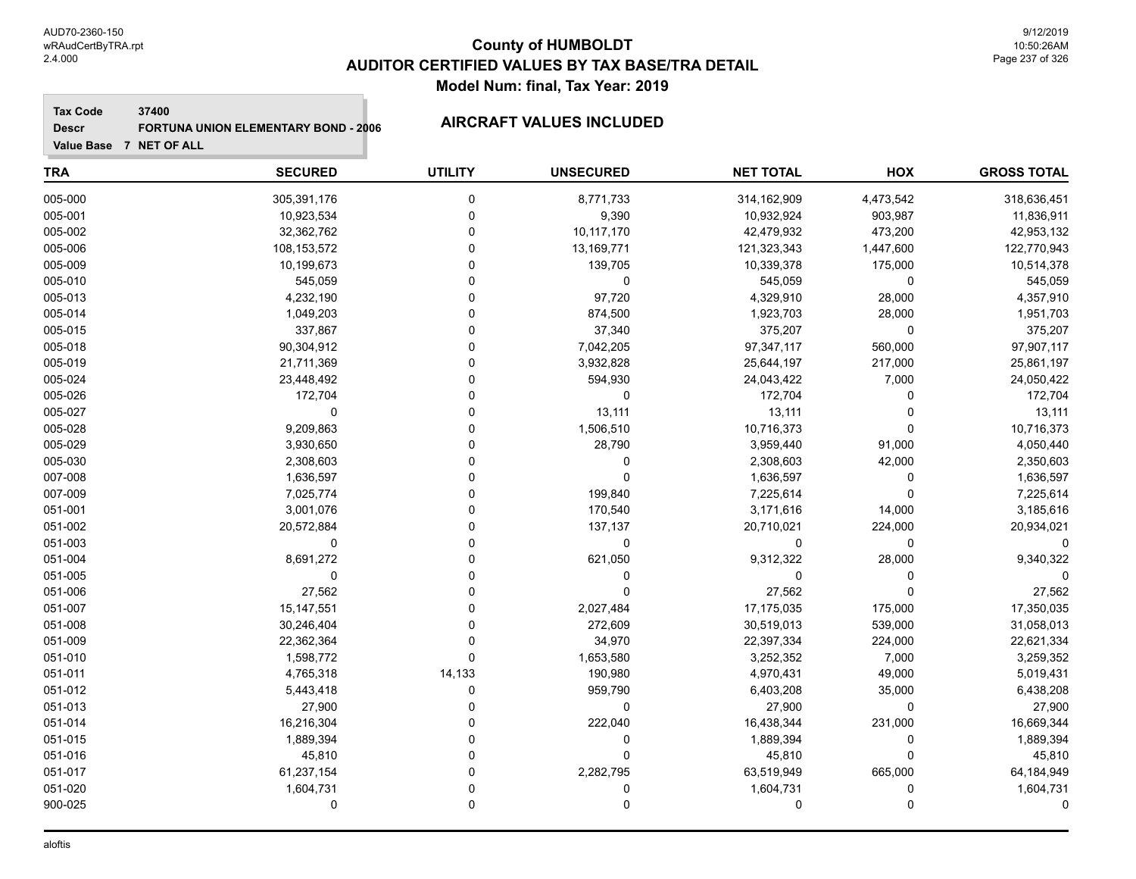### **Tax Code 37400**

## **Descr**

# **FORTUNA UNION ELEMENTARY BOND - 2006 AIRCRAFT VALUES INCLUDED**

| <b>TRA</b> | <b>SECURED</b> | <b>UTILITY</b> | <b>UNSECURED</b> | <b>NET TOTAL</b> | <b>HOX</b>  | <b>GROSS TOTAL</b> |
|------------|----------------|----------------|------------------|------------------|-------------|--------------------|
| 005-000    | 305,391,176    | 0              | 8,771,733        | 314,162,909      | 4,473,542   | 318,636,451        |
| 005-001    | 10,923,534     | $\mathbf 0$    | 9,390            | 10,932,924       | 903,987     | 11,836,911         |
| 005-002    | 32,362,762     | $\Omega$       | 10,117,170       | 42,479,932       | 473,200     | 42,953,132         |
| 005-006    | 108, 153, 572  | $\Omega$       | 13,169,771       | 121,323,343      | 1,447,600   | 122,770,943        |
| 005-009    | 10,199,673     | $\Omega$       | 139,705          | 10,339,378       | 175,000     | 10,514,378         |
| 005-010    | 545,059        | $\Omega$       | 0                | 545,059          | $\mathbf 0$ | 545,059            |
| 005-013    | 4,232,190      | $\Omega$       | 97,720           | 4,329,910        | 28,000      | 4,357,910          |
| 005-014    | 1,049,203      | $\Omega$       | 874,500          | 1,923,703        | 28,000      | 1,951,703          |
| 005-015    | 337,867        | $\Omega$       | 37,340           | 375,207          | $\mathbf 0$ | 375,207            |
| 005-018    | 90,304,912     | $\Omega$       | 7,042,205        | 97,347,117       | 560,000     | 97,907,117         |
| 005-019    | 21,711,369     | $\Omega$       | 3,932,828        | 25,644,197       | 217,000     | 25,861,197         |
| 005-024    | 23,448,492     | $\Omega$       | 594,930          | 24,043,422       | 7,000       | 24,050,422         |
| 005-026    | 172,704        | $\Omega$       | $\mathbf 0$      | 172,704          | 0           | 172,704            |
| 005-027    | $\Omega$       | $\Omega$       | 13,111           | 13,111           | $\Omega$    | 13,111             |
| 005-028    | 9,209,863      | $\Omega$       | 1,506,510        | 10,716,373       | $\Omega$    | 10,716,373         |
| 005-029    | 3,930,650      | $\Omega$       | 28,790           | 3,959,440        | 91,000      | 4,050,440          |
| 005-030    | 2,308,603      | $\Omega$       | 0                | 2,308,603        | 42,000      | 2,350,603          |
| 007-008    | 1,636,597      | $\Omega$       | $\mathbf 0$      | 1,636,597        | 0           | 1,636,597          |
| 007-009    | 7,025,774      | $\Omega$       | 199,840          | 7,225,614        | $\Omega$    | 7,225,614          |
| 051-001    | 3,001,076      | $\Omega$       | 170,540          | 3,171,616        | 14,000      | 3,185,616          |
| 051-002    | 20,572,884     | $\Omega$       | 137,137          | 20,710,021       | 224,000     | 20,934,021         |
| 051-003    | 0              | $\Omega$       | 0                | 0                | 0           | $\Omega$           |
| 051-004    | 8,691,272      | 0              | 621,050          | 9,312,322        | 28,000      | 9,340,322          |
| 051-005    | $\Omega$       | $\Omega$       | $\mathbf 0$      | $\Omega$         | $\Omega$    | $\Omega$           |
| 051-006    | 27,562         | $\Omega$       | $\Omega$         | 27,562           | $\Omega$    | 27,562             |
| 051-007    | 15,147,551     | $\Omega$       | 2,027,484        | 17,175,035       | 175,000     | 17,350,035         |
| 051-008    | 30,246,404     | $\Omega$       | 272,609          | 30,519,013       | 539,000     | 31,058,013         |
| 051-009    | 22,362,364     | $\mathbf 0$    | 34,970           | 22,397,334       | 224,000     | 22,621,334         |
| 051-010    | 1,598,772      | $\Omega$       | 1,653,580        | 3,252,352        | 7,000       | 3,259,352          |
| 051-011    | 4,765,318      | 14,133         | 190,980          | 4,970,431        | 49,000      | 5,019,431          |
| 051-012    | 5,443,418      | 0              | 959,790          | 6,403,208        | 35,000      | 6,438,208          |
| 051-013    | 27,900         | 0              | 0                | 27,900           | 0           | 27,900             |
| 051-014    | 16,216,304     | $\Omega$       | 222,040          | 16,438,344       | 231,000     | 16,669,344         |
| 051-015    | 1,889,394      | $\Omega$       | 0                | 1,889,394        | 0           | 1,889,394          |
| 051-016    | 45,810         | $\Omega$       | $\Omega$         | 45,810           | $\Omega$    | 45,810             |
| 051-017    | 61,237,154     | $\Omega$       | 2,282,795        | 63,519,949       | 665,000     | 64,184,949         |
| 051-020    | 1,604,731      | $\mathbf 0$    | 0                | 1,604,731        | 0           | 1,604,731          |
| 900-025    | 0              | $\mathbf 0$    | 0                | 0                | $\mathbf 0$ | $\Omega$           |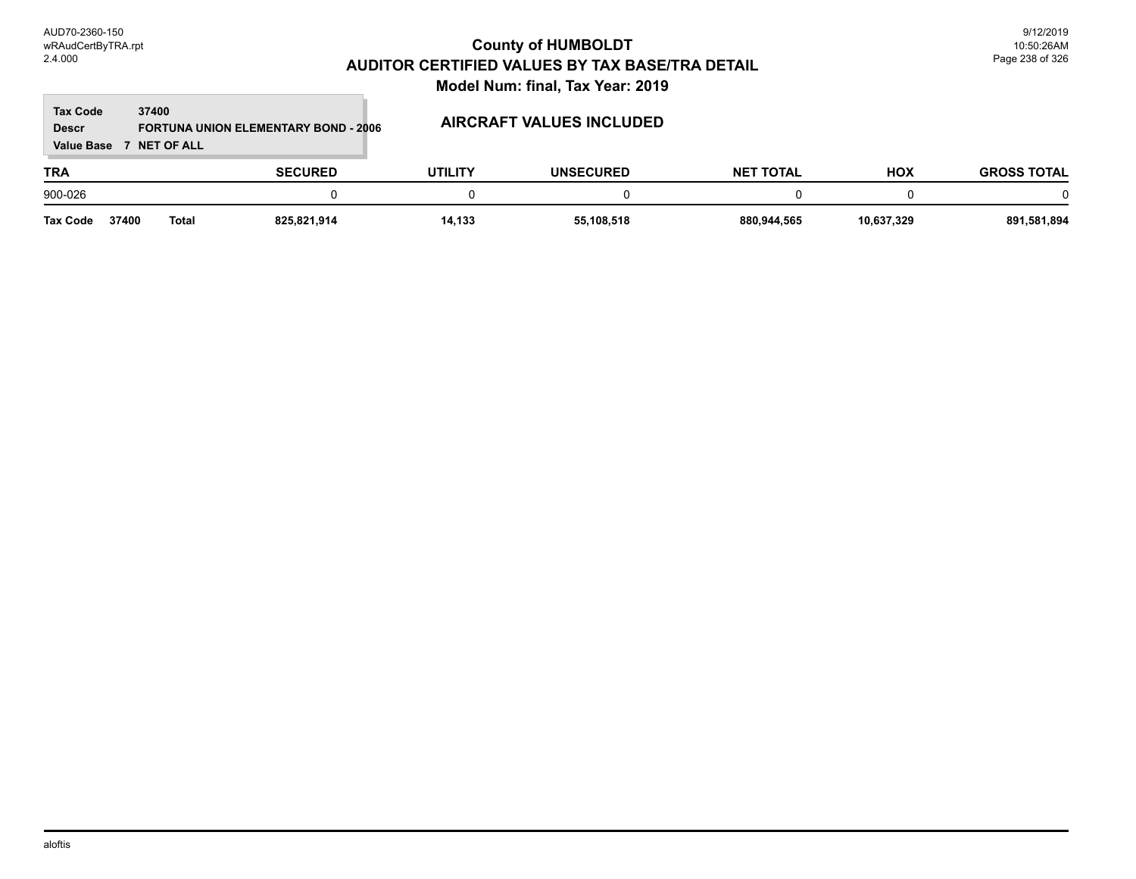## **TRA SECURED UTILITY UNSECURED HOX Tax Code Value Base 7 NET OF ALL 37400 GROSS TOTAL NET TOTAL Descr FORTUNA UNION ELEMENTARY BOND - 2006 AIRCRAFT VALUES INCLUDED** 900-026 0 0 0 0 0 0 **Tax Code 37400 Total 825,821,914 14,133 55,108,518 880,944,565 10,637,329 891,581,894**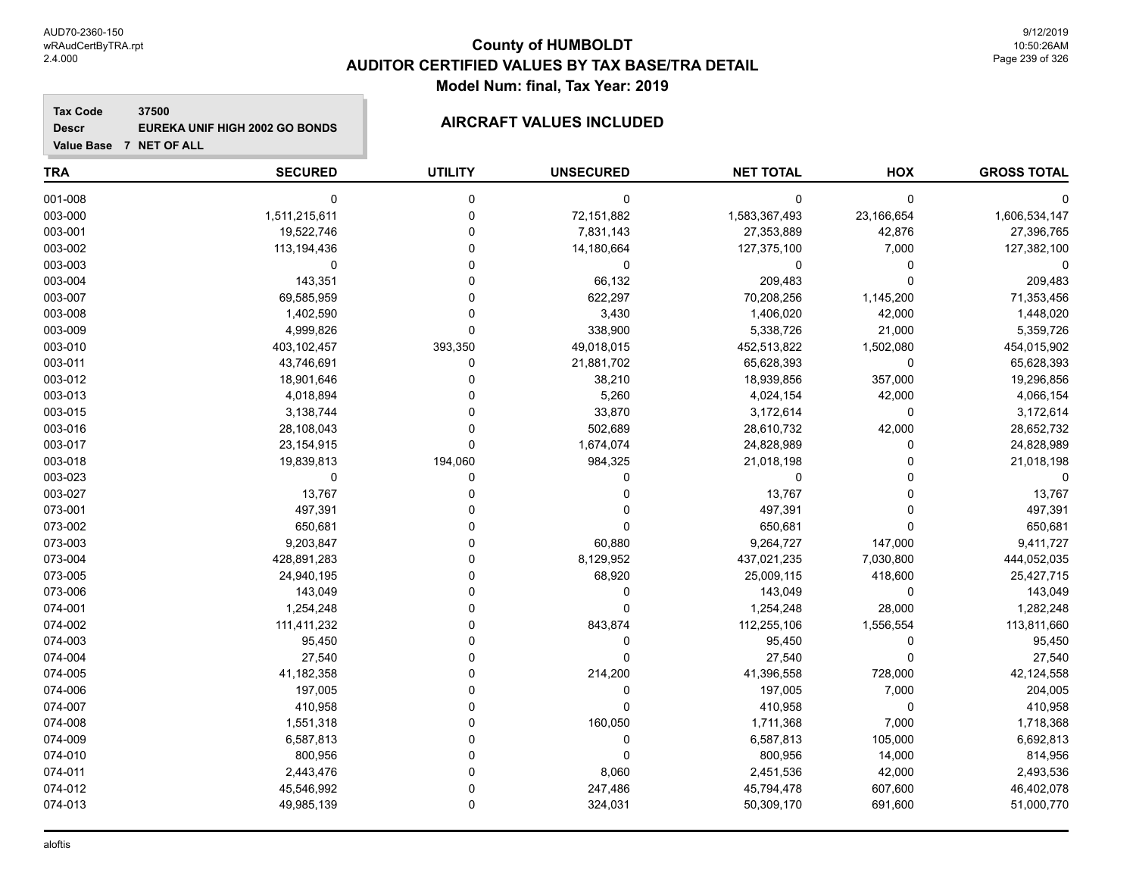# **County of HUMBOLDT AUDITOR CERTIFIED VALUES BY TAX BASE/TRA DETAIL Model Num: final, Tax Year: 2019**

**Tax Code 37500 Descr EUREKA UNIF HIGH 2002 GO BONDS AIRCRAFT VALUES INCLUDED**

| <b>TRA</b> | <b>SECURED</b> | <b>UTILITY</b> | <b>UNSECURED</b> | <b>NET TOTAL</b> | HOX        | <b>GROSS TOTAL</b> |
|------------|----------------|----------------|------------------|------------------|------------|--------------------|
| 001-008    | $\Omega$       | $\mathbf 0$    | $\mathbf 0$      | $\mathbf 0$      | 0          |                    |
| 003-000    | 1,511,215,611  | $\Omega$       | 72,151,882       | 1,583,367,493    | 23,166,654 | 1,606,534,147      |
| 003-001    | 19,522,746     | $\Omega$       | 7,831,143        | 27,353,889       | 42,876     | 27,396,765         |
| 003-002    | 113,194,436    |                | 14,180,664       | 127,375,100      | 7,000      | 127,382,100        |
| 003-003    | $\Omega$       |                | 0                | 0                | 0          |                    |
| 003-004    | 143,351        |                | 66,132           | 209,483          | 0          | 209,483            |
| 003-007    | 69,585,959     |                | 622,297          | 70,208,256       | 1,145,200  | 71,353,456         |
| 003-008    | 1,402,590      |                | 3,430            | 1,406,020        | 42,000     | 1,448,020          |
| 003-009    | 4,999,826      | $\Omega$       | 338,900          | 5,338,726        | 21,000     | 5,359,726          |
| 003-010    | 403,102,457    | 393,350        | 49,018,015       | 452,513,822      | 1,502,080  | 454,015,902        |
| 003-011    | 43,746,691     | 0              | 21,881,702       | 65,628,393       | 0          | 65,628,393         |
| 003-012    | 18,901,646     |                | 38,210           | 18,939,856       | 357,000    | 19,296,856         |
| 003-013    | 4,018,894      |                | 5,260            | 4,024,154        | 42,000     | 4,066,154          |
| 003-015    | 3,138,744      |                | 33,870           | 3,172,614        | 0          | 3,172,614          |
| 003-016    | 28,108,043     |                | 502,689          | 28,610,732       | 42,000     | 28,652,732         |
| 003-017    | 23, 154, 915   | $\Omega$       | 1,674,074        | 24,828,989       | 0          | 24,828,989         |
| 003-018    | 19,839,813     | 194,060        | 984,325          | 21,018,198       | $\Omega$   | 21,018,198         |
| 003-023    | 0              | 0              | $\Omega$         | 0                | 0          |                    |
| 003-027    | 13,767         |                | $\Omega$         | 13,767           | $\Omega$   | 13,767             |
| 073-001    | 497,391        |                |                  | 497,391          | 0          | 497,391            |
| 073-002    | 650,681        |                | $\Omega$         | 650,681          | 0          | 650,681            |
| 073-003    | 9,203,847      |                | 60,880           | 9,264,727        | 147,000    | 9,411,727          |
| 073-004    | 428,891,283    |                | 8,129,952        | 437,021,235      | 7,030,800  | 444,052,035        |
| 073-005    | 24,940,195     |                | 68,920           | 25,009,115       | 418,600    | 25,427,715         |
| 073-006    | 143,049        |                | $\Omega$         | 143,049          | 0          | 143,049            |
| 074-001    | 1,254,248      |                | ∩                | 1,254,248        | 28,000     | 1,282,248          |
| 074-002    | 111,411,232    |                | 843,874          | 112,255,106      | 1,556,554  | 113,811,660        |
| 074-003    | 95,450         |                | $\Omega$         | 95,450           | 0          | 95,450             |
| 074-004    | 27,540         |                | $\Omega$         | 27,540           | 0          | 27,540             |
| 074-005    | 41,182,358     |                | 214,200          | 41,396,558       | 728,000    | 42,124,558         |
| 074-006    | 197,005        |                | $\Omega$         | 197,005          | 7,000      | 204,005            |
| 074-007    | 410,958        |                | $\Omega$         | 410,958          | 0          | 410,958            |
| 074-008    | 1,551,318      |                | 160,050          | 1,711,368        | 7,000      | 1,718,368          |
| 074-009    | 6,587,813      |                | $\Omega$         | 6,587,813        | 105,000    | 6,692,813          |
| 074-010    | 800,956        |                | $\Omega$         | 800,956          | 14,000     | 814,956            |
| 074-011    | 2,443,476      |                | 8,060            | 2,451,536        | 42,000     | 2,493,536          |
| 074-012    | 45,546,992     |                | 247,486          | 45,794,478       | 607,600    | 46,402,078         |
| 074-013    | 49,985,139     | $\Omega$       | 324,031          | 50,309,170       | 691,600    | 51,000,770         |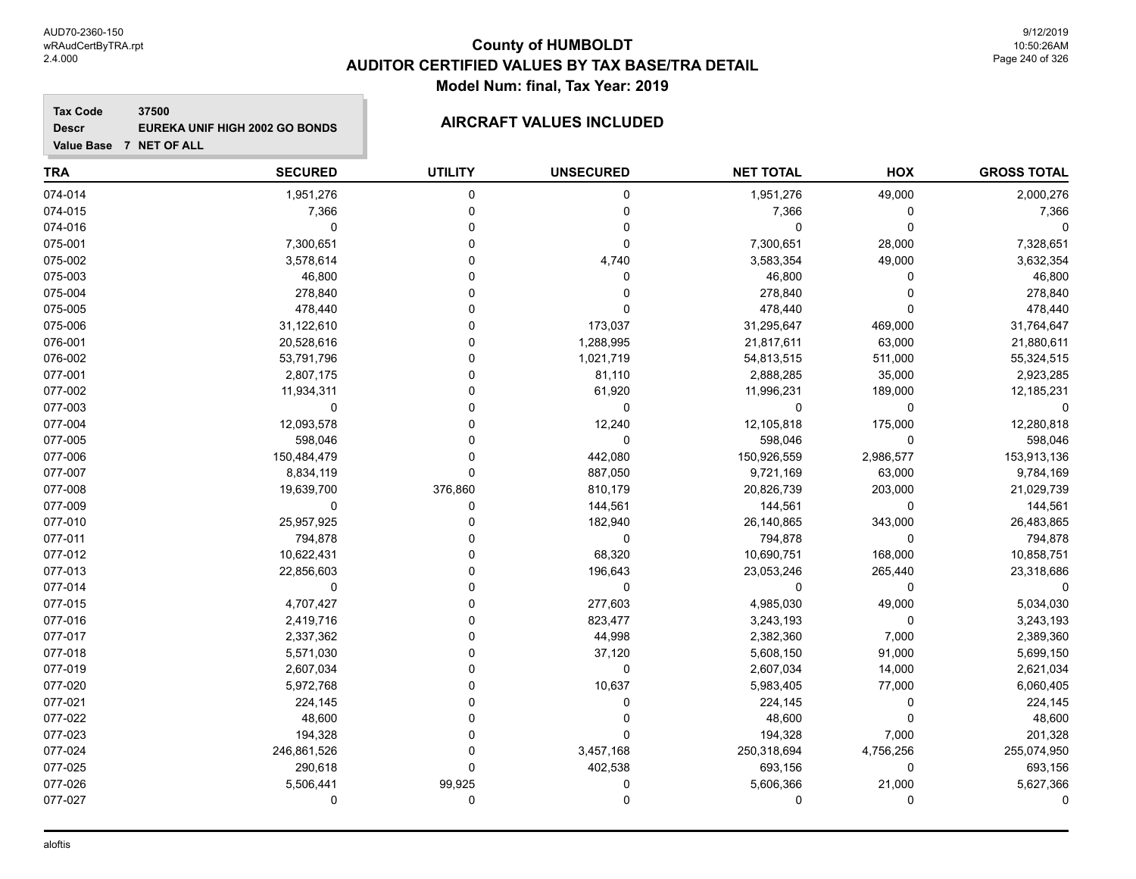# **County of HUMBOLDT AUDITOR CERTIFIED VALUES BY TAX BASE/TRA DETAIL Model Num: final, Tax Year: 2019**

**Tax Code 37500 Descr EUREKA UNIF HIGH 2002 GO BONDS AIRCRAFT VALUES INCLUDED**

| TRA     | <b>SECURED</b> | <b>UTILITY</b> | <b>UNSECURED</b> | <b>NET TOTAL</b> | <b>HOX</b> | <b>GROSS TOTAL</b> |
|---------|----------------|----------------|------------------|------------------|------------|--------------------|
| 074-014 | 1,951,276      | $\Omega$       | $\mathbf 0$      | 1,951,276        | 49,000     | 2,000,276          |
| 074-015 | 7,366          | $\Omega$       | $\Omega$         | 7,366            | $\Omega$   | 7,366              |
| 074-016 | 0              | n              | 0                | 0                | $\Omega$   |                    |
| 075-001 | 7,300,651      |                | $\Omega$         | 7,300,651        | 28,000     | 7,328,651          |
| 075-002 | 3,578,614      |                | 4,740            | 3,583,354        | 49,000     | 3,632,354          |
| 075-003 | 46,800         |                | 0                | 46,800           | 0          | 46,800             |
| 075-004 | 278,840        |                | 0                | 278,840          | 0          | 278,840            |
| 075-005 | 478,440        |                | O                | 478,440          | O          | 478,440            |
| 075-006 | 31,122,610     |                | 173,037          | 31,295,647       | 469,000    | 31,764,647         |
| 076-001 | 20,528,616     |                | 1,288,995        | 21,817,611       | 63,000     | 21,880,611         |
| 076-002 | 53,791,796     |                | 1,021,719        | 54,813,515       | 511,000    | 55,324,515         |
| 077-001 | 2,807,175      |                | 81,110           | 2,888,285        | 35,000     | 2,923,285          |
| 077-002 | 11,934,311     |                | 61,920           | 11,996,231       | 189,000    | 12,185,231         |
| 077-003 | 0              |                | $\Omega$         | 0                | 0          |                    |
| 077-004 | 12,093,578     |                | 12,240           | 12,105,818       | 175,000    | 12,280,818         |
| 077-005 | 598,046        | ∩              | $\Omega$         | 598,046          | $\Omega$   | 598,046            |
| 077-006 | 150,484,479    | 0              | 442,080          | 150,926,559      | 2,986,577  | 153,913,136        |
| 077-007 | 8,834,119      | $\Omega$       | 887,050          | 9,721,169        | 63,000     | 9,784,169          |
| 077-008 | 19,639,700     | 376,860        | 810,179          | 20,826,739       | 203,000    | 21,029,739         |
| 077-009 | $\mathbf 0$    | $\Omega$       | 144,561          | 144,561          | 0          | 144,561            |
| 077-010 | 25,957,925     | ∩              | 182,940          | 26,140,865       | 343,000    | 26,483,865         |
| 077-011 | 794,878        |                | 0                | 794,878          | 0          | 794,878            |
| 077-012 | 10,622,431     |                | 68,320           | 10,690,751       | 168,000    | 10,858,751         |
| 077-013 | 22,856,603     |                | 196,643          | 23,053,246       | 265,440    | 23,318,686         |
| 077-014 | 0              |                | 0                | 0                | 0          |                    |
| 077-015 | 4,707,427      |                | 277,603          | 4,985,030        | 49,000     | 5,034,030          |
| 077-016 | 2,419,716      |                | 823,477          | 3,243,193        | $\Omega$   | 3,243,193          |
| 077-017 | 2,337,362      |                | 44,998           | 2,382,360        | 7,000      | 2,389,360          |
| 077-018 | 5,571,030      |                | 37,120           | 5,608,150        | 91,000     | 5,699,150          |
| 077-019 | 2,607,034      |                | $\mathbf 0$      | 2,607,034        | 14,000     | 2,621,034          |
| 077-020 | 5,972,768      |                | 10,637           | 5,983,405        | 77,000     | 6,060,405          |
| 077-021 | 224,145        |                | 0                | 224,145          | 0          | 224,145            |
| 077-022 | 48,600         |                | 0                | 48,600           | $\Omega$   | 48,600             |
| 077-023 | 194,328        |                | $\Omega$         | 194,328          | 7,000      | 201,328            |
| 077-024 | 246,861,526    | n              | 3,457,168        | 250,318,694      | 4,756,256  | 255,074,950        |
| 077-025 | 290,618        | 0              | 402,538          | 693,156          | 0          | 693,156            |
| 077-026 | 5,506,441      | 99,925         | 0                | 5,606,366        | 21,000     | 5,627,366          |
| 077-027 | 0              | 0              | 0                | 0                | $\Omega$   | 0                  |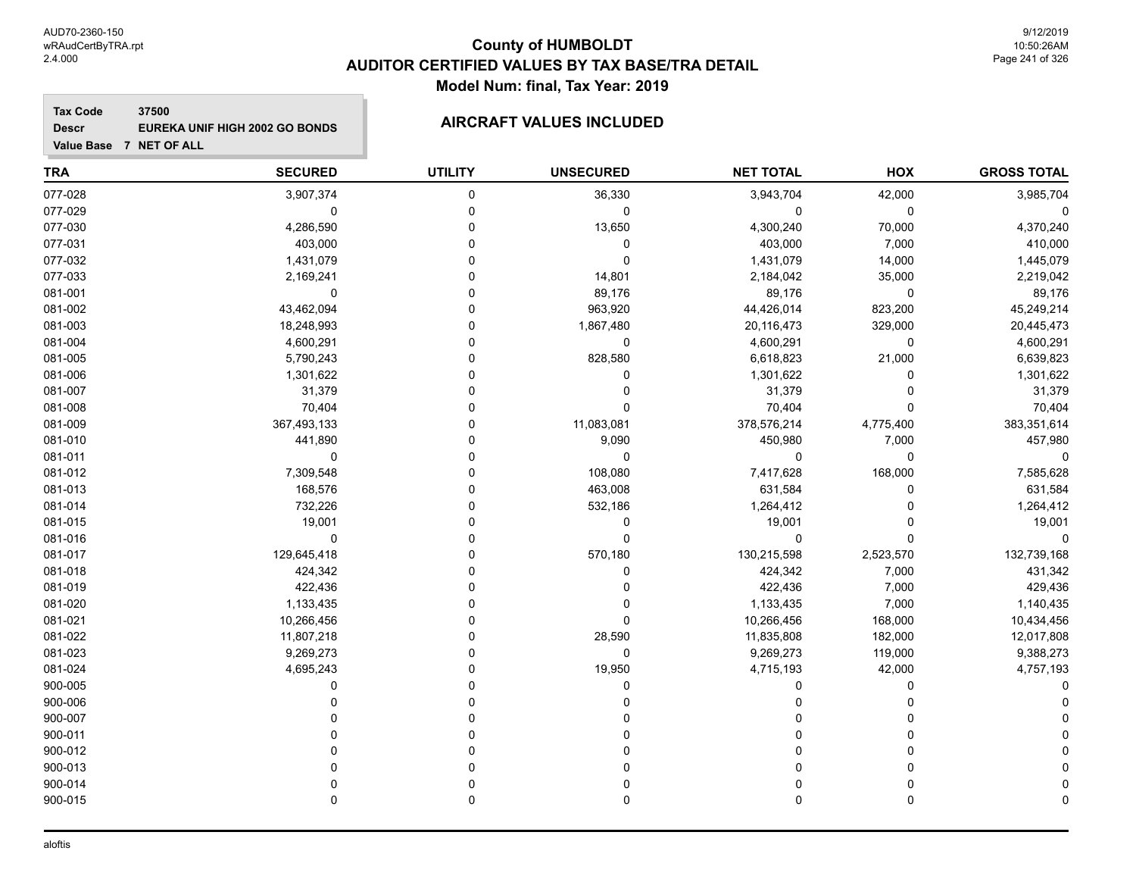# **County of HUMBOLDT AUDITOR CERTIFIED VALUES BY TAX BASE/TRA DETAIL Model Num: final, Tax Year: 2019**

**Tax Code 37500 Descr EUREKA UNIF HIGH 2002 GO BONDS AIRCRAFT VALUES INCLUDED**

| <b>TRA</b> | <b>SECURED</b> | <b>UTILITY</b> | <b>UNSECURED</b> | <b>NET TOTAL</b> | HOX         | <b>GROSS TOTAL</b> |
|------------|----------------|----------------|------------------|------------------|-------------|--------------------|
| 077-028    | 3,907,374      | 0              | 36,330           | 3,943,704        | 42,000      | 3,985,704          |
| 077-029    | 0              | 0              | 0                | 0                | 0           |                    |
| 077-030    | 4,286,590      | $\Omega$       | 13,650           | 4,300,240        | 70,000      | 4,370,240          |
| 077-031    | 403,000        | 0              | 0                | 403,000          | 7,000       | 410,000            |
| 077-032    | 1,431,079      | 0              | $\mathbf 0$      | 1,431,079        | 14,000      | 1,445,079          |
| 077-033    | 2,169,241      | 0              | 14,801           | 2,184,042        | 35,000      | 2,219,042          |
| 081-001    | $\mathbf 0$    | 0              | 89,176           | 89,176           | 0           | 89,176             |
| 081-002    | 43,462,094     | 0              | 963,920          | 44,426,014       | 823,200     | 45,249,214         |
| 081-003    | 18,248,993     | 0              | 1,867,480        | 20,116,473       | 329,000     | 20,445,473         |
| 081-004    | 4,600,291      | 0              | $\mathbf 0$      | 4,600,291        | 0           | 4,600,291          |
| 081-005    | 5,790,243      | O              | 828,580          | 6,618,823        | 21,000      | 6,639,823          |
| 081-006    | 1,301,622      | 0              | 0                | 1,301,622        | 0           | 1,301,622          |
| 081-007    | 31,379         | 0              | $\Omega$         | 31,379           | 0           | 31,379             |
| 081-008    | 70,404         | 0              | 0                | 70,404           | 0           | 70,404             |
| 081-009    | 367,493,133    | 0              | 11,083,081       | 378,576,214      | 4,775,400   | 383,351,614        |
| 081-010    | 441,890        | 0              | 9,090            | 450,980          | 7,000       | 457,980            |
| 081-011    | 0              | 0              | 0                | 0                | 0           |                    |
| 081-012    | 7,309,548      | 0              | 108,080          | 7,417,628        | 168,000     | 7,585,628          |
| 081-013    | 168,576        | 0              | 463,008          | 631,584          | 0           | 631,584            |
| 081-014    | 732,226        | 0              | 532,186          | 1,264,412        | 0           | 1,264,412          |
| 081-015    | 19,001         | O              | 0                | 19,001           | $\Omega$    | 19,001             |
| 081-016    | $\mathbf 0$    | O              | $\mathbf 0$      | $\mathbf 0$      | 0           | 0                  |
| 081-017    | 129,645,418    | 0              | 570,180          | 130,215,598      | 2,523,570   | 132,739,168        |
| 081-018    | 424,342        | O              | 0                | 424,342          | 7,000       | 431,342            |
| 081-019    | 422,436        | U              | $\Omega$         | 422,436          | 7,000       | 429,436            |
| 081-020    | 1,133,435      | 0              | 0                | 1,133,435        | 7,000       | 1,140,435          |
| 081-021    | 10,266,456     | 0              | $\Omega$         | 10,266,456       | 168,000     | 10,434,456         |
| 081-022    | 11,807,218     | 0              | 28,590           | 11,835,808       | 182,000     | 12,017,808         |
| 081-023    | 9,269,273      | 0              | $\mathbf 0$      | 9,269,273        | 119,000     | 9,388,273          |
| 081-024    | 4,695,243      | 0              | 19,950           | 4,715,193        | 42,000      | 4,757,193          |
| 900-005    | O              | 0              | 0                | $\Omega$         | 0           |                    |
| 900-006    | ŋ              | 0              | $\Omega$         | $\Omega$         | $\Omega$    |                    |
| 900-007    |                | 0              | $\Omega$         | O                | $\Omega$    |                    |
| 900-011    |                | U              | $\Omega$         | O                | $\Omega$    |                    |
| 900-012    |                | U              | O                | O                | 0           |                    |
| 900-013    |                | 0              |                  | 0                | 0           |                    |
| 900-014    |                | 0              |                  | 0                | 0           |                    |
| 900-015    | $\Omega$       | 0              | 0                | $\mathbf 0$      | $\mathbf 0$ |                    |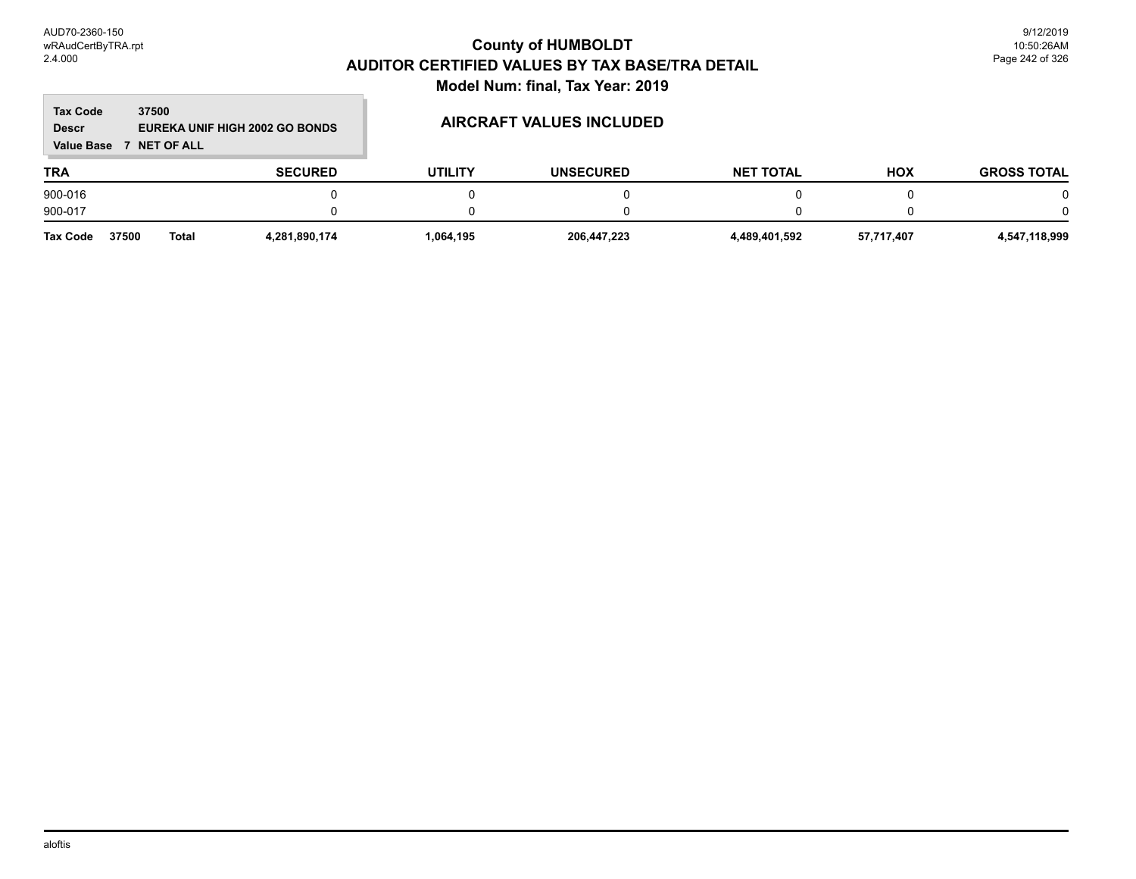**Contract** 

# **County of HUMBOLDT AUDITOR CERTIFIED VALUES BY TAX BASE/TRA DETAIL Model Num: final, Tax Year: 2019**

m.

| <b>Tax Code</b><br><b>Descr</b><br><b>Value Base</b> | 37500<br><b>NET OF ALL</b> | EUREKA UNIF HIGH 2002 GO BONDS |                | AIRCRAFT VALUES INCLUDED |                  |            |                    |
|------------------------------------------------------|----------------------------|--------------------------------|----------------|--------------------------|------------------|------------|--------------------|
| <b>TRA</b>                                           |                            | <b>SECURED</b>                 | <b>UTILITY</b> | <b>UNSECURED</b>         | <b>NET TOTAL</b> | <b>HOX</b> | <b>GROSS TOTAL</b> |
| 900-016                                              |                            |                                |                |                          |                  |            | 0                  |
| 900-017                                              |                            |                                |                |                          |                  |            | 0                  |
| <b>Tax Code</b>                                      | 37500<br>Total             | 4,281,890,174                  | 1,064,195      | 206,447,223              | 4,489,401,592    | 57,717,407 | 4,547,118,999      |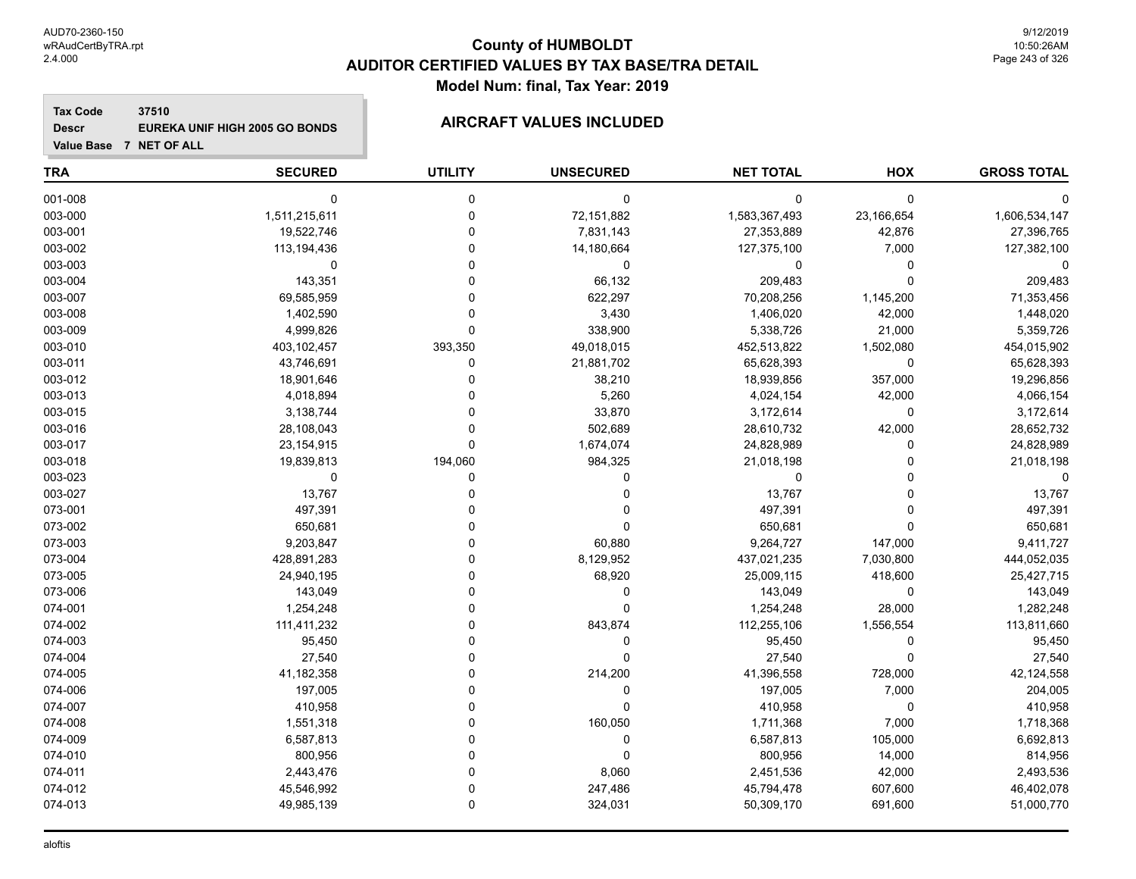# **County of HUMBOLDT AUDITOR CERTIFIED VALUES BY TAX BASE/TRA DETAIL Model Num: final, Tax Year: 2019**

**Tax Code 37510 Descr EUREKA UNIF HIGH 2005 GO BONDS AIRCRAFT VALUES INCLUDED**

| <b>TRA</b> | <b>SECURED</b> | <b>UTILITY</b> | <b>UNSECURED</b> | <b>NET TOTAL</b> | HOX        | <b>GROSS TOTAL</b> |
|------------|----------------|----------------|------------------|------------------|------------|--------------------|
| 001-008    | 0              | 0              | $\mathbf 0$      | $\mathbf 0$      | 0          |                    |
| 003-000    | 1,511,215,611  | $\Omega$       | 72,151,882       | 1,583,367,493    | 23,166,654 | 1,606,534,147      |
| 003-001    | 19,522,746     | $\Omega$       | 7,831,143        | 27,353,889       | 42,876     | 27,396,765         |
| 003-002    | 113,194,436    |                | 14,180,664       | 127,375,100      | 7,000      | 127,382,100        |
| 003-003    | $\Omega$       |                | 0                | 0                | 0          |                    |
| 003-004    | 143,351        |                | 66,132           | 209,483          | 0          | 209,483            |
| 003-007    | 69,585,959     |                | 622,297          | 70,208,256       | 1,145,200  | 71,353,456         |
| 003-008    | 1,402,590      |                | 3,430            | 1,406,020        | 42,000     | 1,448,020          |
| 003-009    | 4,999,826      | $\Omega$       | 338,900          | 5,338,726        | 21,000     | 5,359,726          |
| 003-010    | 403,102,457    | 393,350        | 49,018,015       | 452,513,822      | 1,502,080  | 454,015,902        |
| 003-011    | 43,746,691     | $\Omega$       | 21,881,702       | 65,628,393       | 0          | 65,628,393         |
| 003-012    | 18,901,646     |                | 38,210           | 18,939,856       | 357,000    | 19,296,856         |
| 003-013    | 4,018,894      |                | 5,260            | 4,024,154        | 42,000     | 4,066,154          |
| 003-015    | 3,138,744      |                | 33,870           | 3,172,614        | 0          | 3,172,614          |
| 003-016    | 28,108,043     |                | 502,689          | 28,610,732       | 42,000     | 28,652,732         |
| 003-017    | 23, 154, 915   | $\Omega$       | 1,674,074        | 24,828,989       | 0          | 24,828,989         |
| 003-018    | 19,839,813     | 194,060        | 984,325          | 21,018,198       | 0          | 21,018,198         |
| 003-023    | $\Omega$       | 0              | $\Omega$         | $\mathbf 0$      | 0          |                    |
| 003-027    | 13,767         |                | $\Omega$         | 13,767           | 0          | 13,767             |
| 073-001    | 497,391        |                |                  | 497,391          | 0          | 497,391            |
| 073-002    | 650,681        |                | $\Omega$         | 650,681          | 0          | 650,681            |
| 073-003    | 9,203,847      |                | 60,880           | 9,264,727        | 147,000    | 9,411,727          |
| 073-004    | 428,891,283    |                | 8,129,952        | 437,021,235      | 7,030,800  | 444,052,035        |
| 073-005    | 24,940,195     |                | 68,920           | 25,009,115       | 418,600    | 25,427,715         |
| 073-006    | 143,049        |                | $\mathbf{0}$     | 143,049          | 0          | 143,049            |
| 074-001    | 1,254,248      |                | $\Omega$         | 1,254,248        | 28,000     | 1,282,248          |
| 074-002    | 111,411,232    |                | 843,874          | 112,255,106      | 1,556,554  | 113,811,660        |
| 074-003    | 95,450         |                | $\mathbf 0$      | 95,450           | 0          | 95,450             |
| 074-004    | 27,540         |                | $\Omega$         | 27,540           | 0          | 27,540             |
| 074-005    | 41,182,358     |                | 214,200          | 41,396,558       | 728,000    | 42,124,558         |
| 074-006    | 197,005        |                | $\mathbf{0}$     | 197,005          | 7,000      | 204,005            |
| 074-007    | 410,958        |                | $\Omega$         | 410,958          | 0          | 410,958            |
| 074-008    | 1,551,318      |                | 160,050          | 1,711,368        | 7,000      | 1,718,368          |
| 074-009    | 6,587,813      |                | $\mathbf{0}$     | 6,587,813        | 105,000    | 6,692,813          |
| 074-010    | 800,956        |                | $\Omega$         | 800,956          | 14,000     | 814,956            |
| 074-011    | 2,443,476      |                | 8,060            | 2,451,536        | 42,000     | 2,493,536          |
| 074-012    | 45,546,992     | $\Omega$       | 247,486          | 45,794,478       | 607,600    | 46,402,078         |
| 074-013    | 49,985,139     | 0              | 324,031          | 50,309,170       | 691,600    | 51,000,770         |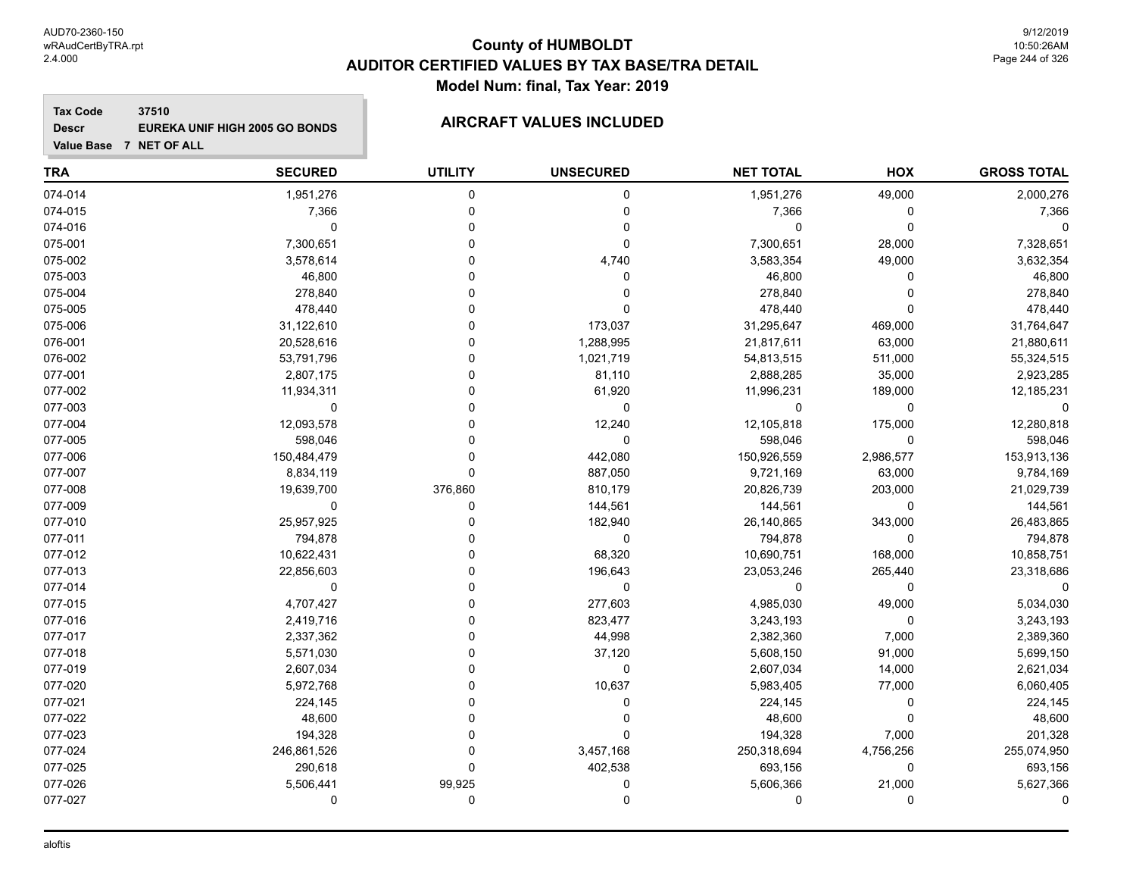# **County of HUMBOLDT AUDITOR CERTIFIED VALUES BY TAX BASE/TRA DETAIL Model Num: final, Tax Year: 2019**

**Tax Code 37510 Descr EUREKA UNIF HIGH 2005 GO BONDS AIRCRAFT VALUES INCLUDED**

| <b>TRA</b> | <b>SECURED</b> | <b>UTILITY</b> | <b>UNSECURED</b> | <b>NET TOTAL</b> | HOX       | <b>GROSS TOTAL</b> |
|------------|----------------|----------------|------------------|------------------|-----------|--------------------|
| 074-014    | 1,951,276      | 0              | 0                | 1,951,276        | 49,000    | 2,000,276          |
| 074-015    | 7,366          | $\Omega$       | 0                | 7,366            | 0         | 7,366              |
| 074-016    | $\mathbf 0$    | O              | 0                | 0                | 0         |                    |
| 075-001    | 7,300,651      |                | 0                | 7,300,651        | 28,000    | 7,328,651          |
| 075-002    | 3,578,614      |                | 4,740            | 3,583,354        | 49,000    | 3,632,354          |
| 075-003    | 46,800         |                | 0                | 46,800           | 0         | 46,800             |
| 075-004    | 278,840        |                | 0                | 278,840          | 0         | 278,840            |
| 075-005    | 478,440        |                |                  | 478,440          | 0         | 478,440            |
| 075-006    | 31,122,610     |                | 173,037          | 31,295,647       | 469,000   | 31,764,647         |
| 076-001    | 20,528,616     |                | 1,288,995        | 21,817,611       | 63,000    | 21,880,611         |
| 076-002    | 53,791,796     |                | 1,021,719        | 54,813,515       | 511,000   | 55,324,515         |
| 077-001    | 2,807,175      |                | 81,110           | 2,888,285        | 35,000    | 2,923,285          |
| 077-002    | 11,934,311     | O              | 61,920           | 11,996,231       | 189,000   | 12,185,231         |
| 077-003    | $\mathbf 0$    |                | 0                | $\Omega$         | 0         |                    |
| 077-004    | 12,093,578     |                | 12,240           | 12,105,818       | 175,000   | 12,280,818         |
| 077-005    | 598,046        |                | 0                | 598,046          | 0         | 598,046            |
| 077-006    | 150,484,479    | 0              | 442,080          | 150,926,559      | 2,986,577 | 153,913,136        |
| 077-007    | 8,834,119      | 0              | 887,050          | 9,721,169        | 63,000    | 9,784,169          |
| 077-008    | 19,639,700     | 376,860        | 810,179          | 20,826,739       | 203,000   | 21,029,739         |
| 077-009    | 0              | 0              | 144,561          | 144,561          | 0         | 144,561            |
| 077-010    | 25,957,925     |                | 182,940          | 26,140,865       | 343,000   | 26,483,865         |
| 077-011    | 794,878        |                | 0                | 794,878          | 0         | 794,878            |
| 077-012    | 10,622,431     |                | 68,320           | 10,690,751       | 168,000   | 10,858,751         |
| 077-013    | 22,856,603     | U              | 196,643          | 23,053,246       | 265,440   | 23,318,686         |
| 077-014    | $\mathbf 0$    |                | 0                | 0                | 0         |                    |
| 077-015    | 4,707,427      |                | 277,603          | 4,985,030        | 49,000    | 5,034,030          |
| 077-016    | 2,419,716      |                | 823,477          | 3,243,193        | 0         | 3,243,193          |
| 077-017    | 2,337,362      |                | 44,998           | 2,382,360        | 7,000     | 2,389,360          |
| 077-018    | 5,571,030      |                | 37,120           | 5,608,150        | 91,000    | 5,699,150          |
| 077-019    | 2,607,034      |                | 0                | 2,607,034        | 14,000    | 2,621,034          |
| 077-020    | 5,972,768      |                | 10,637           | 5,983,405        | 77,000    | 6,060,405          |
| 077-021    | 224,145        |                | 0                | 224,145          | 0         | 224,145            |
| 077-022    | 48,600         |                | 0                | 48,600           | 0         | 48,600             |
| 077-023    | 194,328        | O              | 0                | 194,328          | 7,000     | 201,328            |
| 077-024    | 246,861,526    | 0              | 3,457,168        | 250,318,694      | 4,756,256 | 255,074,950        |
| 077-025    | 290,618        | 0              | 402,538          | 693,156          | 0         | 693,156            |
| 077-026    | 5,506,441      | 99,925         | 0                | 5,606,366        | 21,000    | 5,627,366          |
| 077-027    | 0              | 0              | 0                | 0                | 0         |                    |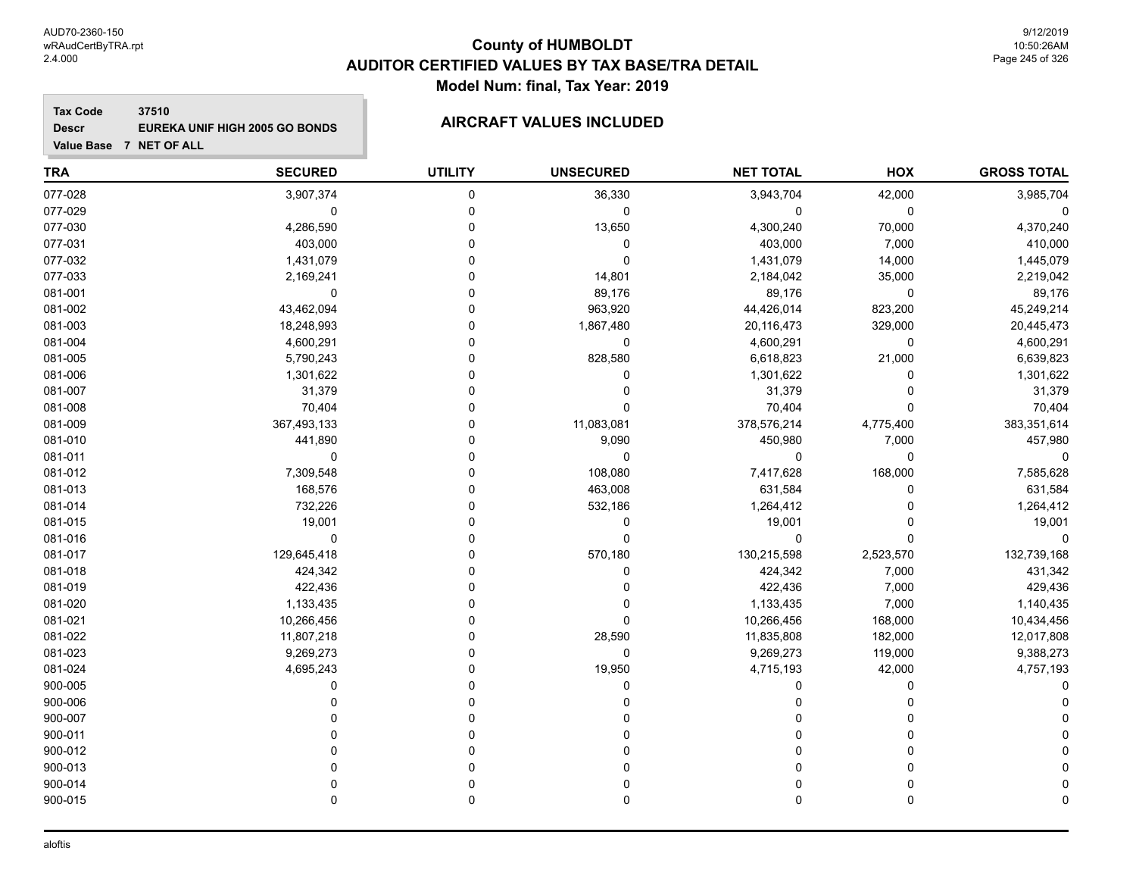# **County of HUMBOLDT AUDITOR CERTIFIED VALUES BY TAX BASE/TRA DETAIL Model Num: final, Tax Year: 2019**

**Tax Code 37510 Descr EUREKA UNIF HIGH 2005 GO BONDS AIRCRAFT VALUES INCLUDED**

| <b>TRA</b> | <b>SECURED</b> | <b>UTILITY</b> | <b>UNSECURED</b> | <b>NET TOTAL</b> | HOX       | <b>GROSS TOTAL</b> |
|------------|----------------|----------------|------------------|------------------|-----------|--------------------|
| 077-028    | 3,907,374      | 0              | 36,330           | 3,943,704        | 42,000    | 3,985,704          |
| 077-029    | $\mathbf 0$    | 0              | 0                | 0                | 0         |                    |
| 077-030    | 4,286,590      | 0              | 13,650           | 4,300,240        | 70,000    | 4,370,240          |
| 077-031    | 403,000        | 0              | 0                | 403,000          | 7,000     | 410,000            |
| 077-032    | 1,431,079      | 0              | $\mathbf 0$      | 1,431,079        | 14,000    | 1,445,079          |
| 077-033    | 2,169,241      | U              | 14,801           | 2,184,042        | 35,000    | 2,219,042          |
| 081-001    | 0              | 0              | 89,176           | 89,176           | 0         | 89,176             |
| 081-002    | 43,462,094     | 0              | 963,920          | 44,426,014       | 823,200   | 45,249,214         |
| 081-003    | 18,248,993     | 0              | 1,867,480        | 20,116,473       | 329,000   | 20,445,473         |
| 081-004    | 4,600,291      | 0              | $\mathbf 0$      | 4,600,291        | 0         | 4,600,291          |
| 081-005    | 5,790,243      | 0              | 828,580          | 6,618,823        | 21,000    | 6,639,823          |
| 081-006    | 1,301,622      | U              | $\Omega$         | 1,301,622        | 0         | 1,301,622          |
| 081-007    | 31,379         | 0              | $\Omega$         | 31,379           | 0         | 31,379             |
| 081-008    | 70,404         | $\Omega$       | $\Omega$         | 70,404           | 0         | 70,404             |
| 081-009    | 367,493,133    | 0              | 11,083,081       | 378,576,214      | 4,775,400 | 383,351,614        |
| 081-010    | 441,890        | 0              | 9,090            | 450,980          | 7,000     | 457,980            |
| 081-011    | 0              | 0              | 0                | 0                | 0         |                    |
| 081-012    | 7,309,548      | 0              | 108,080          | 7,417,628        | 168,000   | 7,585,628          |
| 081-013    | 168,576        | 0              | 463,008          | 631,584          | 0         | 631,584            |
| 081-014    | 732,226        | 0              | 532,186          | 1,264,412        | $\Omega$  | 1,264,412          |
| 081-015    | 19,001         | O              | 0                | 19,001           | $\Omega$  | 19,001             |
| 081-016    | $\mathbf 0$    | O              | $\mathbf 0$      | $\mathbf 0$      | 0         | $\Omega$           |
| 081-017    | 129,645,418    | 0              | 570,180          | 130,215,598      | 2,523,570 | 132,739,168        |
| 081-018    | 424,342        | 0              | 0                | 424,342          | 7,000     | 431,342            |
| 081-019    | 422,436        | U              | 0                | 422,436          | 7,000     | 429,436            |
| 081-020    | 1,133,435      | 0              | 0                | 1,133,435        | 7,000     | 1,140,435          |
| 081-021    | 10,266,456     | 0              | $\Omega$         | 10,266,456       | 168,000   | 10,434,456         |
| 081-022    | 11,807,218     | 0              | 28,590           | 11,835,808       | 182,000   | 12,017,808         |
| 081-023    | 9,269,273      | 0              | $\mathbf{0}$     | 9,269,273        | 119,000   | 9,388,273          |
| 081-024    | 4,695,243      | O              | 19,950           | 4,715,193        | 42,000    | 4,757,193          |
| 900-005    | 0              | 0              | 0                | 0                | 0         |                    |
| 900-006    | U              | 0              | $\Omega$         | 0                | 0         |                    |
| 900-007    |                | 0              |                  | 0                | 0         |                    |
| 900-011    |                | 0              | O                | 0                | 0         |                    |
| 900-012    |                | 0              | 0                | 0                | 0         |                    |
| 900-013    |                | 0              | $\Omega$         | 0                | 0         |                    |
| 900-014    |                | 0              | 0                | 0                | 0         |                    |
| 900-015    | $\Omega$       | 0              | $\Omega$         | $\mathbf 0$      | 0         |                    |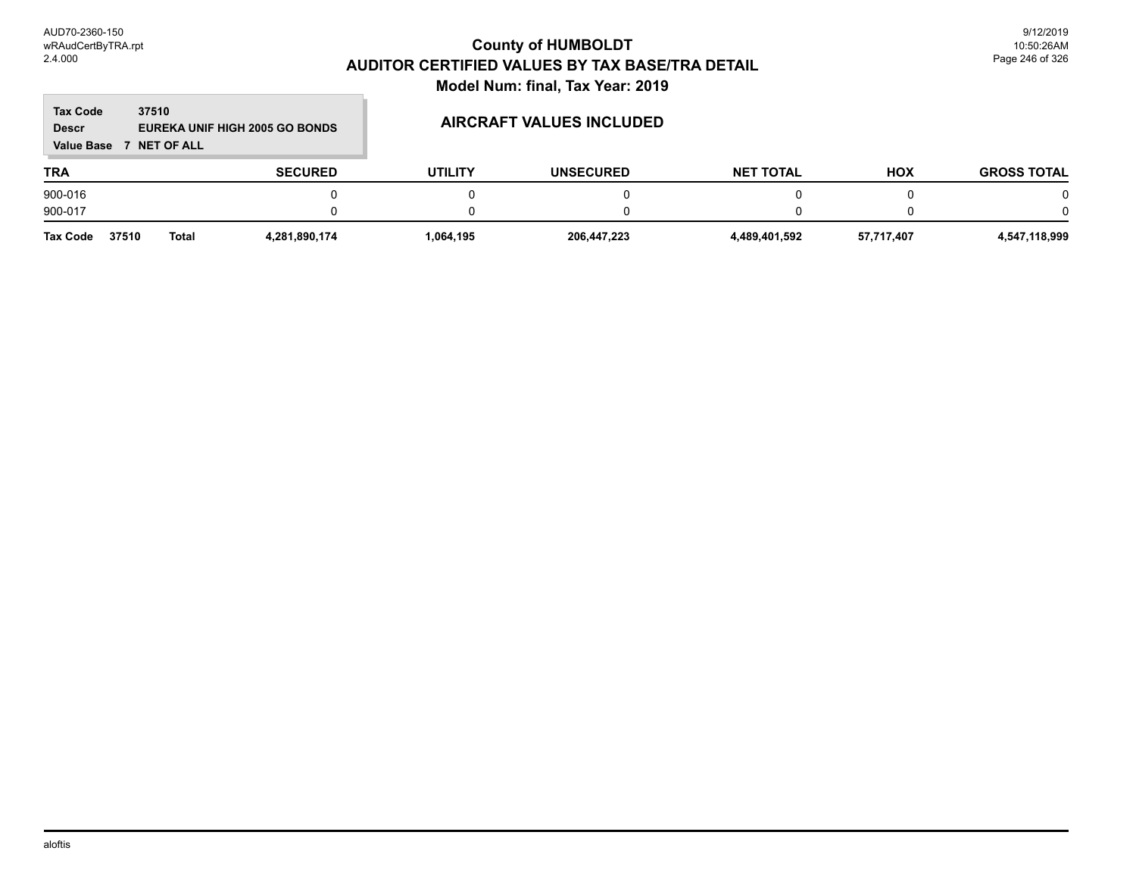**Contract** 

# **County of HUMBOLDT AUDITOR CERTIFIED VALUES BY TAX BASE/TRA DETAIL Model Num: final, Tax Year: 2019**

m.

| <b>Tax Code</b><br>37510<br>EUREKA UNIF HIGH 2005 GO BONDS<br><b>Descr</b><br><b>Value Base</b><br>7 NET OF ALL |                |                |                | AIRCRAFT VALUES INCLUDED |                  |            |                    |
|-----------------------------------------------------------------------------------------------------------------|----------------|----------------|----------------|--------------------------|------------------|------------|--------------------|
| <b>TRA</b>                                                                                                      |                | <b>SECURED</b> | <b>UTILITY</b> | <b>UNSECURED</b>         | <b>NET TOTAL</b> | <b>HOX</b> | <b>GROSS TOTAL</b> |
| 900-016                                                                                                         |                |                |                |                          |                  |            | 0                  |
| 900-017                                                                                                         |                |                |                | 0                        |                  |            | 0                  |
| Tax Code                                                                                                        | 37510<br>Total | 4,281,890,174  | 1,064,195      | 206,447,223              | 4,489,401,592    | 57,717,407 | 4,547,118,999      |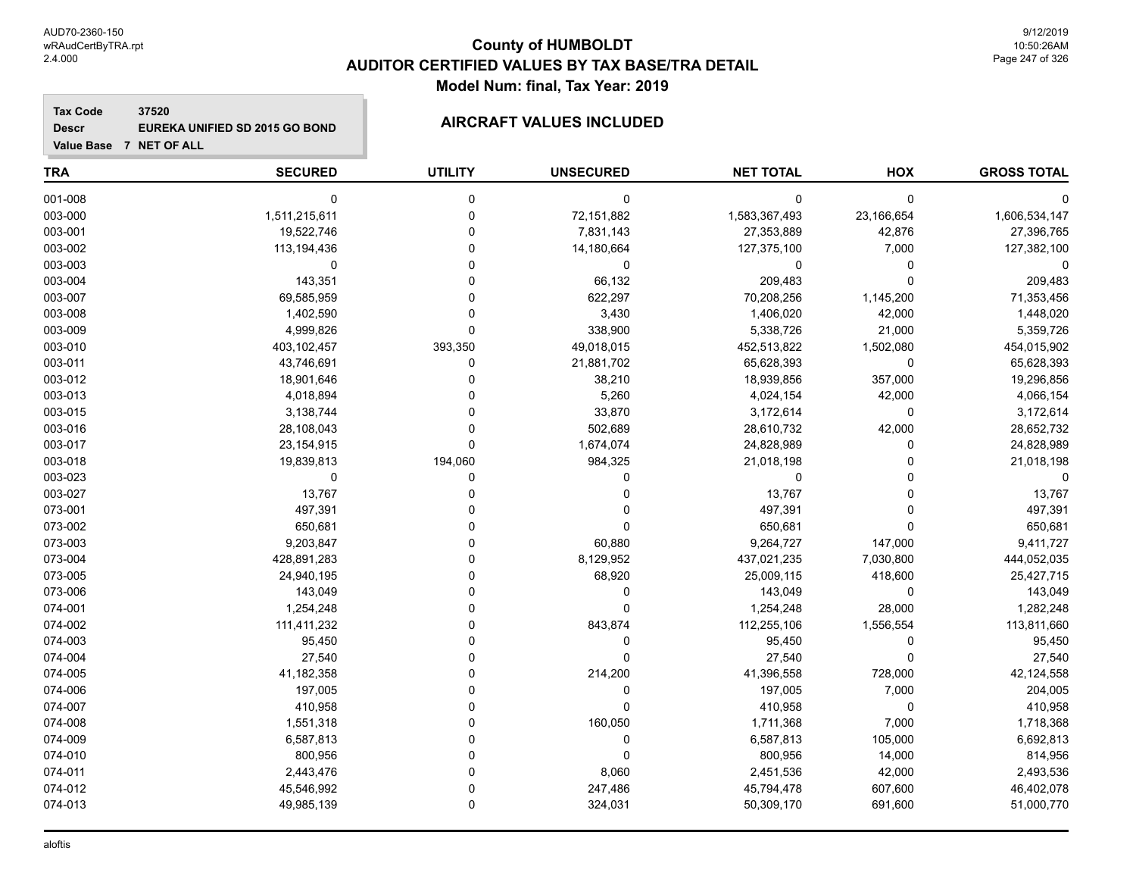# **County of HUMBOLDT AUDITOR CERTIFIED VALUES BY TAX BASE/TRA DETAIL Model Num: final, Tax Year: 2019**

**Tax Code 37520 Descr EUREKA UNIFIED SD 2015 GO BOND AIRCRAFT VALUES INCLUDED**

| <b>TRA</b> | <b>SECURED</b> | <b>UTILITY</b> | <b>UNSECURED</b> | <b>NET TOTAL</b> | HOX         | <b>GROSS TOTAL</b> |
|------------|----------------|----------------|------------------|------------------|-------------|--------------------|
| 001-008    | $\mathbf 0$    | 0              | 0                | 0                | $\mathbf 0$ |                    |
| 003-000    | 1,511,215,611  | $\mathbf 0$    | 72,151,882       | 1,583,367,493    | 23,166,654  | 1,606,534,147      |
| 003-001    | 19,522,746     | $\Omega$       | 7,831,143        | 27,353,889       | 42,876      | 27,396,765         |
| 003-002    | 113,194,436    | $\Omega$       | 14,180,664       | 127,375,100      | 7,000       | 127,382,100        |
| 003-003    | 0              | $\Omega$       | 0                | 0                | 0           |                    |
| 003-004    | 143,351        | $\Omega$       | 66,132           | 209,483          | $\mathbf 0$ | 209,483            |
| 003-007    | 69,585,959     | $\Omega$       | 622,297          | 70,208,256       | 1,145,200   | 71,353,456         |
| 003-008    | 1,402,590      | $\Omega$       | 3,430            | 1,406,020        | 42,000      | 1,448,020          |
| 003-009    | 4,999,826      | $\mathbf 0$    | 338,900          | 5,338,726        | 21,000      | 5,359,726          |
| 003-010    | 403,102,457    | 393,350        | 49,018,015       | 452,513,822      | 1,502,080   | 454,015,902        |
| 003-011    | 43,746,691     | 0              | 21,881,702       | 65,628,393       | $\mathbf 0$ | 65,628,393         |
| 003-012    | 18,901,646     | 0              | 38,210           | 18,939,856       | 357,000     | 19,296,856         |
| 003-013    | 4,018,894      |                | 5,260            | 4,024,154        | 42,000      | 4,066,154          |
| 003-015    | 3,138,744      |                | 33,870           | 3,172,614        | 0           | 3,172,614          |
| 003-016    | 28,108,043     | $\Omega$       | 502,689          | 28,610,732       | 42,000      | 28,652,732         |
| 003-017    | 23, 154, 915   | $\Omega$       | 1,674,074        | 24,828,989       | $\Omega$    | 24,828,989         |
| 003-018    | 19,839,813     | 194,060        | 984,325          | 21,018,198       | $\Omega$    | 21,018,198         |
| 003-023    | 0              | 0              | 0                | 0                | 0           |                    |
| 003-027    | 13,767         | 0              | 0                | 13,767           | $\Omega$    | 13,767             |
| 073-001    | 497,391        |                | $\Omega$         | 497,391          | $\Omega$    | 497,391            |
| 073-002    | 650,681        |                | $\Omega$         | 650,681          | $\Omega$    | 650,681            |
| 073-003    | 9,203,847      | $\Omega$       | 60,880           | 9,264,727        | 147,000     | 9,411,727          |
| 073-004    | 428,891,283    | $\Omega$       | 8,129,952        | 437,021,235      | 7,030,800   | 444,052,035        |
| 073-005    | 24,940,195     | $\Omega$       | 68,920           | 25,009,115       | 418,600     | 25,427,715         |
| 073-006    | 143,049        | O              | 0                | 143,049          | 0           | 143,049            |
| 074-001    | 1,254,248      |                | $\Omega$         | 1,254,248        | 28,000      | 1,282,248          |
| 074-002    | 111,411,232    |                | 843,874          | 112,255,106      | 1,556,554   | 113,811,660        |
| 074-003    | 95,450         |                | $\Omega$         | 95,450           | 0           | 95,450             |
| 074-004    | 27,540         | $\Omega$       | $\Omega$         | 27,540           | $\Omega$    | 27,540             |
| 074-005    | 41,182,358     | $\Omega$       | 214,200          | 41,396,558       | 728,000     | 42,124,558         |
| 074-006    | 197,005        | $\Omega$       | 0                | 197,005          | 7,000       | 204,005            |
| 074-007    | 410,958        | 0              | 0                | 410,958          | 0           | 410,958            |
| 074-008    | 1,551,318      | $\Omega$       | 160,050          | 1,711,368        | 7,000       | 1,718,368          |
| 074-009    | 6,587,813      | $\Omega$       | 0                | 6,587,813        | 105,000     | 6,692,813          |
| 074-010    | 800,956        |                | $\Omega$         | 800,956          | 14,000      | 814,956            |
| 074-011    | 2,443,476      | $\Omega$       | 8,060            | 2,451,536        | 42,000      | 2,493,536          |
| 074-012    | 45,546,992     | $\Omega$       | 247,486          | 45,794,478       | 607,600     | 46,402,078         |
| 074-013    | 49,985,139     | 0              | 324,031          | 50,309,170       | 691,600     | 51,000,770         |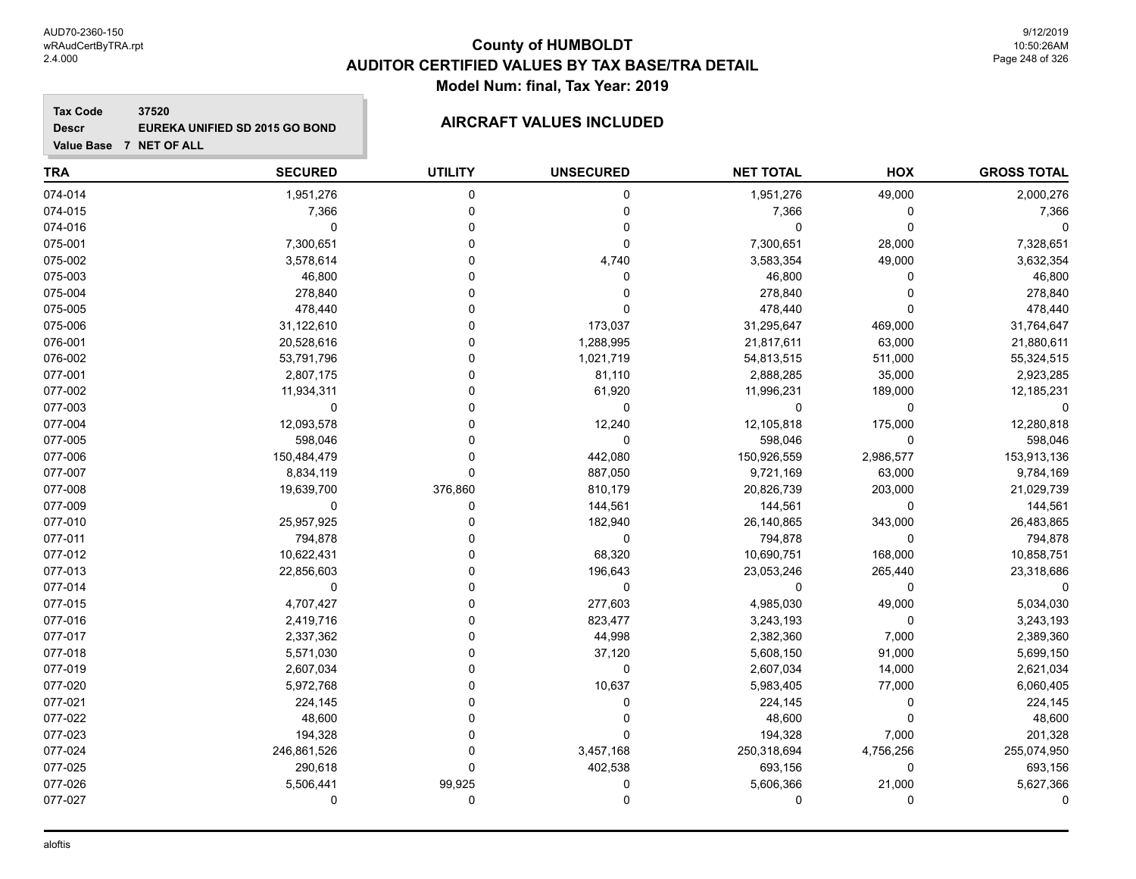# **County of HUMBOLDT AUDITOR CERTIFIED VALUES BY TAX BASE/TRA DETAIL Model Num: final, Tax Year: 2019**

**Tax Code 37520 Descr EUREKA UNIFIED SD 2015 GO BOND AIRCRAFT VALUES INCLUDED**

| <b>TRA</b> | <b>SECURED</b> | <b>UTILITY</b> | <b>UNSECURED</b> | <b>NET TOTAL</b> | HOX       | <b>GROSS TOTAL</b> |
|------------|----------------|----------------|------------------|------------------|-----------|--------------------|
| 074-014    | 1,951,276      | 0              | 0                | 1,951,276        | 49,000    | 2,000,276          |
| 074-015    | 7,366          | $\Omega$       | 0                | 7,366            | 0         | 7,366              |
| 074-016    | $\mathbf 0$    | $\Omega$       | 0                | 0                | 0         |                    |
| 075-001    | 7,300,651      | U              | 0                | 7,300,651        | 28,000    | 7,328,651          |
| 075-002    | 3,578,614      | U              | 4,740            | 3,583,354        | 49,000    | 3,632,354          |
| 075-003    | 46,800         | 0              | 0                | 46,800           | 0         | 46,800             |
| 075-004    | 278,840        | 0              | 0                | 278,840          | 0         | 278,840            |
| 075-005    | 478,440        | 0              | 0                | 478,440          | 0         | 478,440            |
| 075-006    | 31,122,610     | U              | 173,037          | 31,295,647       | 469,000   | 31,764,647         |
| 076-001    | 20,528,616     |                | 1,288,995        | 21,817,611       | 63,000    | 21,880,611         |
| 076-002    | 53,791,796     |                | 1,021,719        | 54,813,515       | 511,000   | 55,324,515         |
| 077-001    | 2,807,175      | ŋ              | 81,110           | 2,888,285        | 35,000    | 2,923,285          |
| 077-002    | 11,934,311     | ŋ              | 61,920           | 11,996,231       | 189,000   | 12,185,231         |
| 077-003    | 0              | U              | 0                | $\Omega$         | 0         |                    |
| 077-004    | 12,093,578     | U              | 12,240           | 12,105,818       | 175,000   | 12,280,818         |
| 077-005    | 598,046        | 0              | 0                | 598,046          | 0         | 598,046            |
| 077-006    | 150,484,479    | 0              | 442,080          | 150,926,559      | 2,986,577 | 153,913,136        |
| 077-007    | 8,834,119      | $\Omega$       | 887,050          | 9,721,169        | 63,000    | 9,784,169          |
| 077-008    | 19,639,700     | 376,860        | 810,179          | 20,826,739       | 203,000   | 21,029,739         |
| 077-009    | 0              | $\Omega$       | 144,561          | 144,561          | 0         | 144,561            |
| 077-010    | 25,957,925     |                | 182,940          | 26,140,865       | 343,000   | 26,483,865         |
| 077-011    | 794,878        | U              | 0                | 794,878          | 0         | 794,878            |
| 077-012    | 10,622,431     | ŋ              | 68,320           | 10,690,751       | 168,000   | 10,858,751         |
| 077-013    | 22,856,603     | ŋ              | 196,643          | 23,053,246       | 265,440   | 23,318,686         |
| 077-014    | $\mathbf 0$    | 0              | 0                | $\Omega$         | 0         |                    |
| 077-015    | 4,707,427      | 0              | 277,603          | 4,985,030        | 49,000    | 5,034,030          |
| 077-016    | 2,419,716      | 0              | 823,477          | 3,243,193        | 0         | 3,243,193          |
| 077-017    | 2,337,362      | 0              | 44,998           | 2,382,360        | 7,000     | 2,389,360          |
| 077-018    | 5,571,030      | U              | 37,120           | 5,608,150        | 91,000    | 5,699,150          |
| 077-019    | 2,607,034      |                | 0                | 2,607,034        | 14,000    | 2,621,034          |
| 077-020    | 5,972,768      |                | 10,637           | 5,983,405        | 77,000    | 6,060,405          |
| 077-021    | 224,145        |                | 0                | 224,145          | 0         | 224,145            |
| 077-022    | 48,600         | ŋ              | 0                | 48,600           | 0         | 48,600             |
| 077-023    | 194,328        | $\Omega$       | $\Omega$         | 194,328          | 7,000     | 201,328            |
| 077-024    | 246,861,526    | $\Omega$       | 3,457,168        | 250,318,694      | 4,756,256 | 255,074,950        |
| 077-025    | 290,618        | $\Omega$       | 402,538          | 693,156          | 0         | 693,156            |
| 077-026    | 5,506,441      | 99,925         | 0                | 5,606,366        | 21,000    | 5,627,366          |
| 077-027    | 0              | 0              | 0                | 0                | 0         |                    |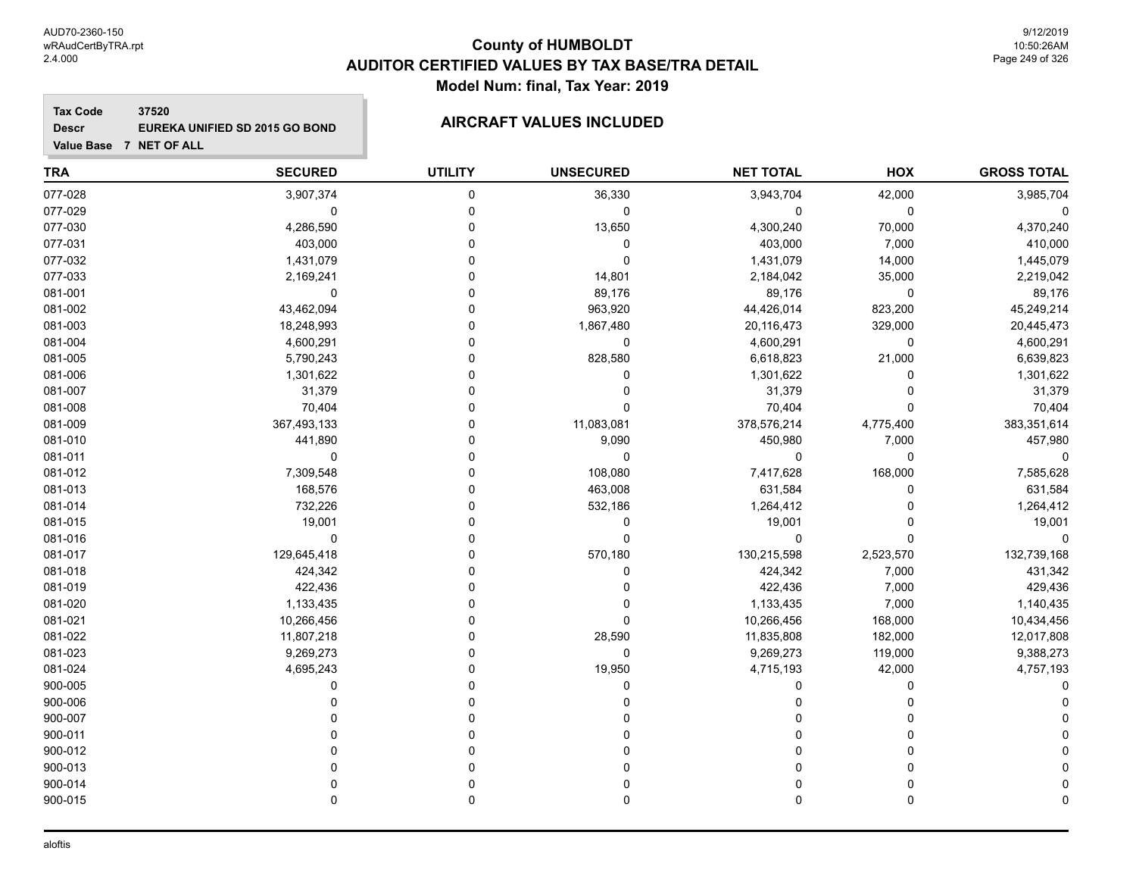# **County of HUMBOLDT AUDITOR CERTIFIED VALUES BY TAX BASE/TRA DETAIL Model Num: final, Tax Year: 2019**

**Tax Code 37520 Descr EUREKA UNIFIED SD 2015 GO BOND AIRCRAFT VALUES INCLUDED**

| <b>TRA</b> | <b>SECURED</b> | <b>UTILITY</b> | <b>UNSECURED</b> | <b>NET TOTAL</b> | HOX       | <b>GROSS TOTAL</b> |
|------------|----------------|----------------|------------------|------------------|-----------|--------------------|
| 077-028    | 3,907,374      | 0              | 36,330           | 3,943,704        | 42,000    | 3,985,704          |
| 077-029    | 0              | 0              | 0                | 0                | 0         |                    |
| 077-030    | 4,286,590      | O              | 13,650           | 4,300,240        | 70,000    | 4,370,240          |
| 077-031    | 403,000        | $\Omega$       | 0                | 403,000          | 7,000     | 410,000            |
| 077-032    | 1,431,079      | O              | $\mathbf 0$      | 1,431,079        | 14,000    | 1,445,079          |
| 077-033    | 2,169,241      | 0              | 14,801           | 2,184,042        | 35,000    | 2,219,042          |
| 081-001    | 0              | 0              | 89,176           | 89,176           | 0         | 89,176             |
| 081-002    | 43,462,094     | 0              | 963,920          | 44,426,014       | 823,200   | 45,249,214         |
| 081-003    | 18,248,993     | 0              | 1,867,480        | 20,116,473       | 329,000   | 20,445,473         |
| 081-004    | 4,600,291      | 0              | $\mathbf 0$      | 4,600,291        | $\pmb{0}$ | 4,600,291          |
| 081-005    | 5,790,243      | 0              | 828,580          | 6,618,823        | 21,000    | 6,639,823          |
| 081-006    | 1,301,622      | 0              | 0                | 1,301,622        | 0         | 1,301,622          |
| 081-007    | 31,379         | U              | 0                | 31,379           | 0         | 31,379             |
| 081-008    | 70,404         | 0              | $\mathbf 0$      | 70,404           | 0         | 70,404             |
| 081-009    | 367,493,133    | 0              | 11,083,081       | 378,576,214      | 4,775,400 | 383,351,614        |
| 081-010    | 441,890        | 0              | 9,090            | 450,980          | 7,000     | 457,980            |
| 081-011    | $\mathbf 0$    | 0              | $\mathbf 0$      | 0                | 0         |                    |
| 081-012    | 7,309,548      | 0              | 108,080          | 7,417,628        | 168,000   | 7,585,628          |
| 081-013    | 168,576        | 0              | 463,008          | 631,584          | 0         | 631,584            |
| 081-014    | 732,226        | 0              | 532,186          | 1,264,412        | 0         | 1,264,412          |
| 081-015    | 19,001         |                | 0                | 19,001           | 0         | 19,001             |
| 081-016    | 0              | U              | $\mathbf 0$      | $\mathbf 0$      | 0         | 0                  |
| 081-017    | 129,645,418    | 0              | 570,180          | 130,215,598      | 2,523,570 | 132,739,168        |
| 081-018    | 424,342        | 0              | 0                | 424,342          | 7,000     | 431,342            |
| 081-019    | 422,436        | U              | $\mathbf 0$      | 422,436          | 7,000     | 429,436            |
| 081-020    | 1,133,435      | 0              | 0                | 1,133,435        | 7,000     | 1,140,435          |
| 081-021    | 10,266,456     | 0              | $\Omega$         | 10,266,456       | 168,000   | 10,434,456         |
| 081-022    | 11,807,218     | 0              | 28,590           | 11,835,808       | 182,000   | 12,017,808         |
| 081-023    | 9,269,273      | 0              | $\mathbf 0$      | 9,269,273        | 119,000   | 9,388,273          |
| 081-024    | 4,695,243      |                | 19,950           | 4,715,193        | 42,000    | 4,757,193          |
| 900-005    | $\Omega$       | U              | $\Omega$         | $\Omega$         | $\Omega$  |                    |
| 900-006    | $\Omega$       | 0              | $\Omega$         | $\Omega$         | 0         |                    |
| 900-007    | n              | 0              |                  | 0                | 0         |                    |
| 900-011    | U              | 0              | O                | O                | 0         |                    |
| 900-012    | U              | 0              | 0                | 0                | 0         |                    |
| 900-013    | U              | 0              |                  | $\mathbf{0}$     | 0         |                    |
| 900-014    | U              | 0              |                  | $\Omega$         | 0         |                    |
| 900-015    | $\Omega$       | 0              | $\Omega$         | $\mathbf 0$      | 0         |                    |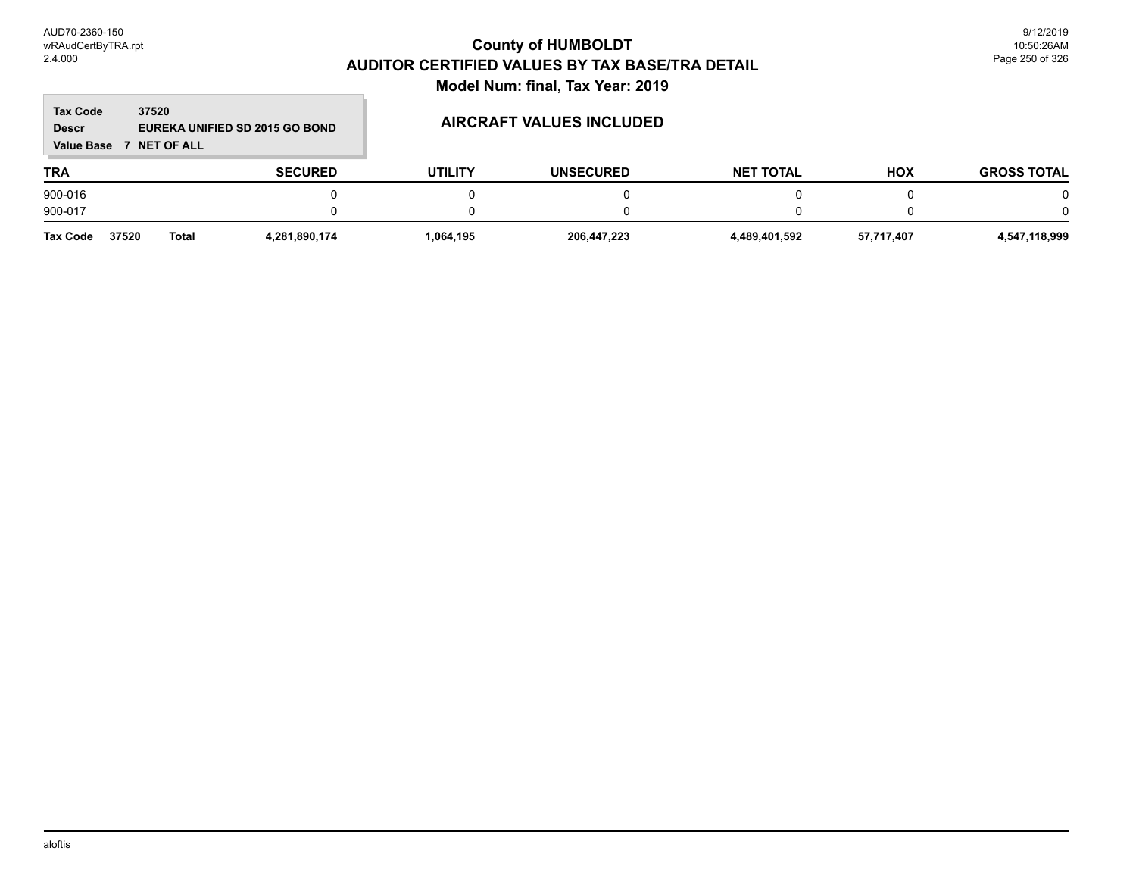## **TRA SECURED UTILITY UNSECURED HOX Tax Code Value Base 7 NET OF ALL 37520 GROSS TOTAL NET TOTAL Descr EUREKA UNIFIED SD 2015 GO BOND AIRCRAFT VALUES INCLUDED** 900-016 0 0 0 0 0 0 900-017 0 0 0 0 0 0

| <b>Tax Code</b> | 37520 | Tota. | 1.281.890.174 | .064.195 | 206,447,223 | - 489<br>9,401,592 | 57.717.407<br>- 51. | 118 QQQ<br>- 34<br> |
|-----------------|-------|-------|---------------|----------|-------------|--------------------|---------------------|---------------------|
|                 |       |       |               |          |             |                    |                     |                     |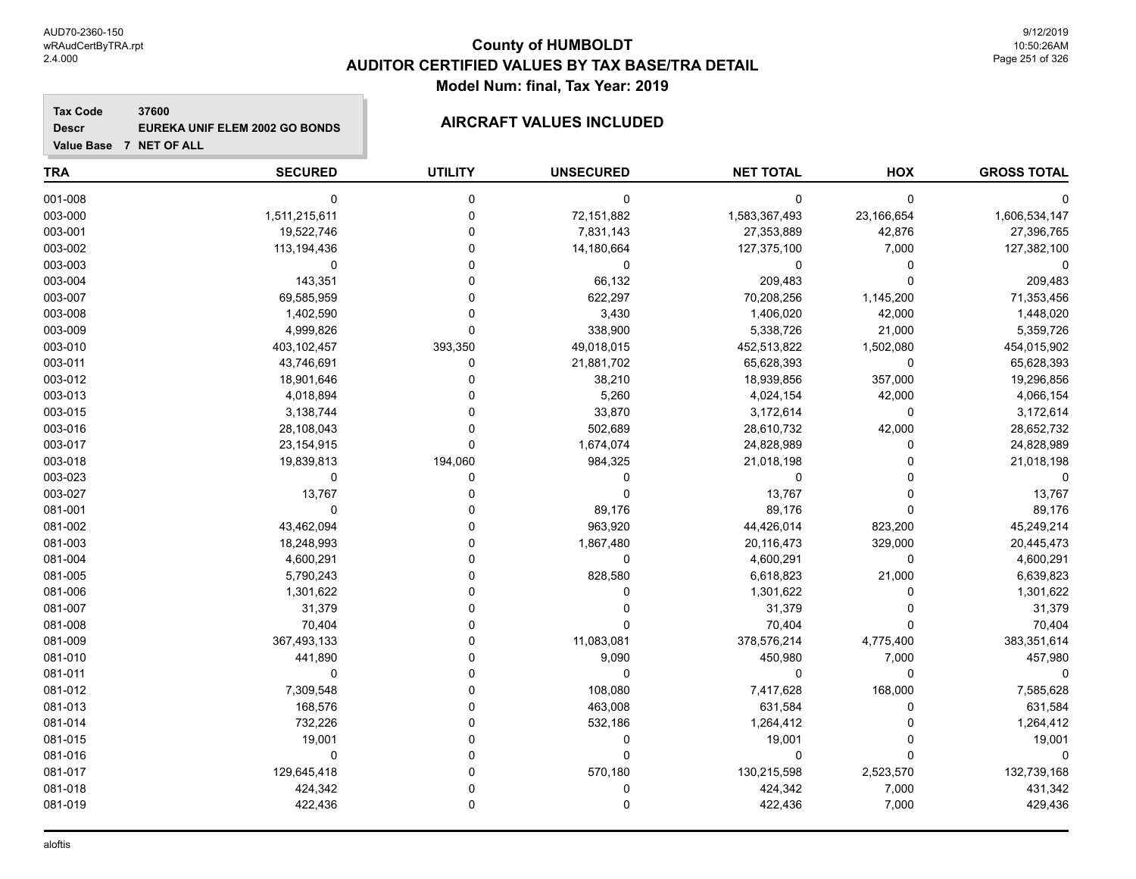**Descr**

**Value Base 7 NET OF ALL**

# **County of HUMBOLDT AUDITOR CERTIFIED VALUES BY TAX BASE/TRA DETAIL Model Num: final, Tax Year: 2019**

## **Tax Code 37600 EUREKA UNIF ELEM 2002 GO BONDS AIRCRAFT VALUES INCLUDED**

| <b>TRA</b> | <b>SECURED</b> | <b>UTILITY</b> | <b>UNSECURED</b> | <b>NET TOTAL</b> | <b>HOX</b> | <b>GROSS TOTAL</b> |
|------------|----------------|----------------|------------------|------------------|------------|--------------------|
| 001-008    | $\mathbf 0$    | $\mathbf 0$    | $\mathbf 0$      | $\mathbf 0$      | 0          |                    |
| 003-000    | 1,511,215,611  | $\Omega$       | 72,151,882       | 1,583,367,493    | 23,166,654 | 1,606,534,147      |
| 003-001    | 19,522,746     | O              | 7,831,143        | 27,353,889       | 42,876     | 27,396,765         |
| 003-002    | 113,194,436    | O              | 14,180,664       | 127,375,100      | 7,000      | 127,382,100        |
| 003-003    | $\Omega$       |                | $\mathbf 0$      | 0                | 0          |                    |
| 003-004    | 143,351        |                | 66,132           | 209,483          | 0          | 209,483            |
| 003-007    | 69,585,959     |                | 622,297          | 70,208,256       | 1,145,200  | 71,353,456         |
| 003-008    | 1,402,590      |                | 3,430            | 1,406,020        | 42,000     | 1,448,020          |
| 003-009    | 4,999,826      | $\Omega$       | 338,900          | 5,338,726        | 21,000     | 5,359,726          |
| 003-010    | 403,102,457    | 393,350        | 49,018,015       | 452,513,822      | 1,502,080  | 454,015,902        |
| 003-011    | 43,746,691     | 0              | 21,881,702       | 65,628,393       | 0          | 65,628,393         |
| 003-012    | 18,901,646     | U              | 38,210           | 18,939,856       | 357,000    | 19,296,856         |
| 003-013    | 4,018,894      |                | 5,260            | 4,024,154        | 42,000     | 4,066,154          |
| 003-015    | 3,138,744      |                | 33,870           | 3,172,614        | $\pmb{0}$  | 3,172,614          |
| 003-016    | 28,108,043     |                | 502,689          | 28,610,732       | 42,000     | 28,652,732         |
| 003-017    | 23, 154, 915   | $\Omega$       | 1,674,074        | 24,828,989       | 0          | 24,828,989         |
| 003-018    | 19,839,813     | 194,060        | 984,325          | 21,018,198       | $\Omega$   | 21,018,198         |
| 003-023    | 0              | 0              | $\Omega$         | 0                | $\Omega$   |                    |
| 003-027    | 13,767         |                | $\Omega$         | 13,767           | 0          | 13,767             |
| 081-001    | $\mathbf 0$    |                | 89,176           | 89,176           | 0          | 89,176             |
| 081-002    | 43,462,094     |                | 963,920          | 44,426,014       | 823,200    | 45,249,214         |
| 081-003    | 18,248,993     |                | 1,867,480        | 20,116,473       | 329,000    | 20,445,473         |
| 081-004    | 4,600,291      |                | $\mathbf 0$      | 4,600,291        | 0          | 4,600,291          |
| 081-005    | 5,790,243      |                | 828,580          | 6,618,823        | 21,000     | 6,639,823          |
| 081-006    | 1,301,622      |                | $\Omega$         | 1,301,622        | 0          | 1,301,622          |
| 081-007    | 31,379         |                | ∩                | 31,379           | 0          | 31,379             |
| 081-008    | 70,404         |                | n                | 70,404           | 0          | 70,404             |
| 081-009    | 367,493,133    |                | 11,083,081       | 378,576,214      | 4,775,400  | 383,351,614        |
| 081-010    | 441,890        |                | 9,090            | 450,980          | 7,000      | 457,980            |
| 081-011    | $\mathbf 0$    |                | $\Omega$         | $\mathbf 0$      | 0          |                    |
| 081-012    | 7,309,548      | O              | 108,080          | 7,417,628        | 168,000    | 7,585,628          |
| 081-013    | 168,576        |                | 463,008          | 631,584          | 0          | 631,584            |
| 081-014    | 732,226        |                | 532,186          | 1,264,412        | 0          | 1,264,412          |
| 081-015    | 19,001         |                | $\mathbf 0$      | 19,001           | 0          | 19,001             |
| 081-016    | 0              |                | $\Omega$         | 0                | 0          | $\mathbf 0$        |
| 081-017    | 129,645,418    |                | 570,180          | 130,215,598      | 2,523,570  | 132,739,168        |
| 081-018    | 424,342        |                | $\Omega$         | 424,342          | 7,000      | 431,342            |
| 081-019    | 422,436        | $\mathbf 0$    | $\mathbf 0$      | 422,436          | 7,000      | 429,436            |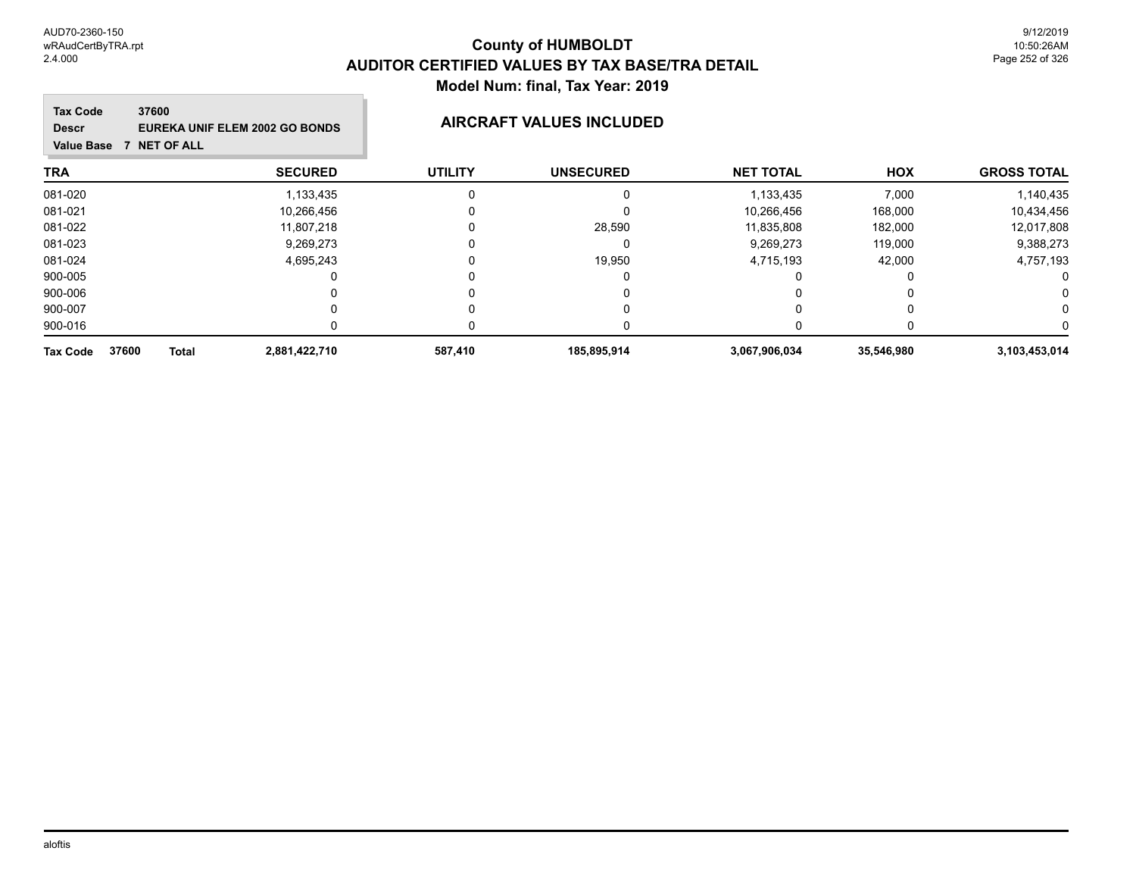## **TRA SECURED UTILITY UNSECURED HOX Tax Code Value Base 7 NET OF ALL 37600 GROSS TOTAL NET TOTAL Descr EUREKA UNIF ELEM 2002 GO BONDS AIRCRAFT VALUES INCLUDED** 081-020 1,133,435 0 0 1,133,435 7,000 1,140,435 081-021 10,266,456 0 10,266,456 168,000 10,434,456 081-022 11,807,218 0 28,590 11,835,808 182,000 12,017,808 081-023 9,269,273 0 0 9,269,273 119,000 9,388,273 081-024 4,695,243 0 19,950 4,715,193 42,000 4,757,193 900-005 0 0 0 0 0 0 900-006 0 0 0 0 0 0 900-007 0 0 0 0 0 0 900-016 0 0 0 0 0 0 **Tax Code 37600 Total 2,881,422,710 587,410 185,895,914 3,067,906,034 35,546,980 3,103,453,014**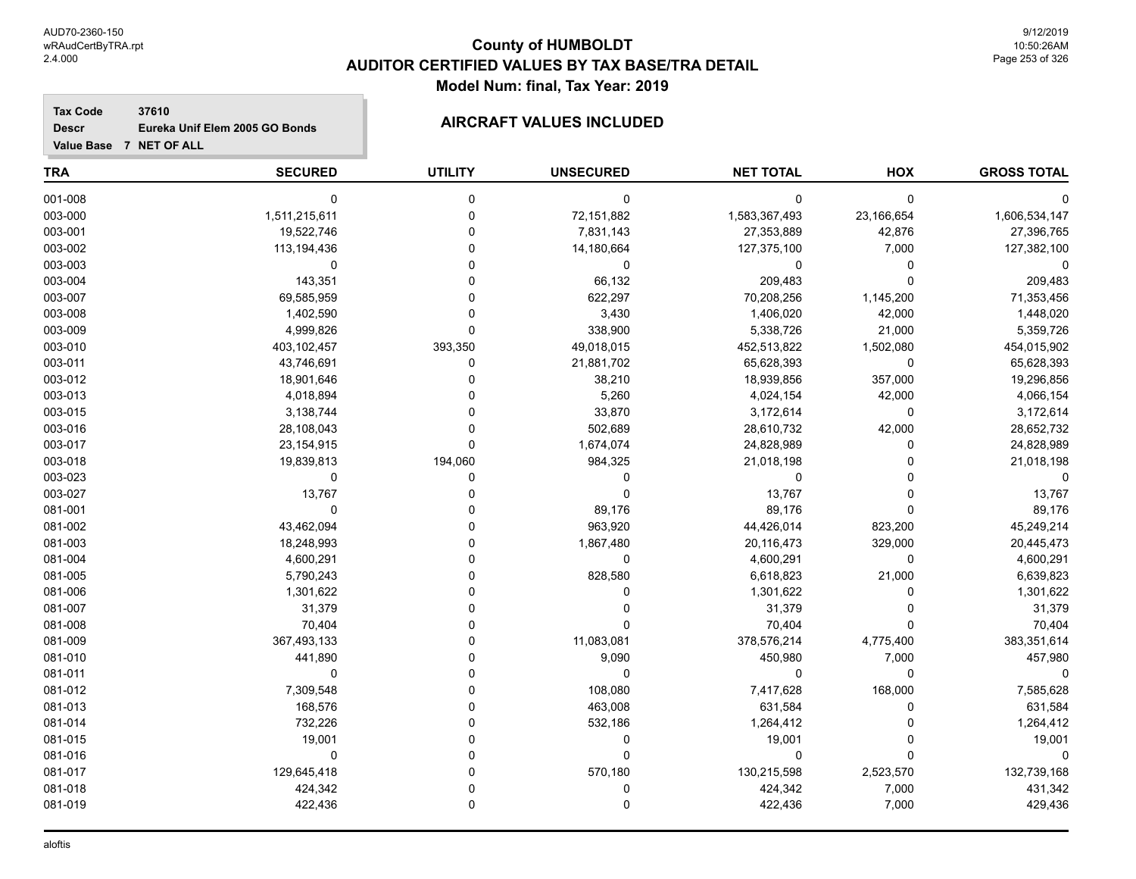**Descr**

**Value Base 7 NET OF ALL**

# **County of HUMBOLDT AUDITOR CERTIFIED VALUES BY TAX BASE/TRA DETAIL Model Num: final, Tax Year: 2019**

### **Tax Code 37610 Eureka Unif Elem 2005 GO Bonds AIRCRAFT VALUES INCLUDED**

| <b>TRA</b> | <b>SECURED</b> | <b>UTILITY</b> | <b>UNSECURED</b> | <b>NET TOTAL</b> | HOX         | <b>GROSS TOTAL</b> |
|------------|----------------|----------------|------------------|------------------|-------------|--------------------|
| 001-008    | $\mathbf 0$    | $\mathbf 0$    | 0                | 0                | 0           |                    |
| 003-000    | 1,511,215,611  | $\Omega$       | 72,151,882       | 1,583,367,493    | 23,166,654  | 1,606,534,147      |
| 003-001    | 19,522,746     | $\Omega$       | 7,831,143        | 27,353,889       | 42,876      | 27,396,765         |
| 003-002    | 113,194,436    | 0              | 14,180,664       | 127,375,100      | 7,000       | 127,382,100        |
| 003-003    | $\mathbf 0$    | $\Omega$       | 0                | 0                | 0           |                    |
| 003-004    | 143,351        | $\Omega$       | 66,132           | 209,483          | $\mathbf 0$ | 209,483            |
| 003-007    | 69,585,959     | $\Omega$       | 622,297          | 70,208,256       | 1,145,200   | 71,353,456         |
| 003-008    | 1,402,590      | $\Omega$       | 3,430            | 1,406,020        | 42,000      | 1,448,020          |
| 003-009    | 4,999,826      | $\mathbf 0$    | 338,900          | 5,338,726        | 21,000      | 5,359,726          |
| 003-010    | 403,102,457    | 393,350        | 49,018,015       | 452,513,822      | 1,502,080   | 454,015,902        |
| 003-011    | 43,746,691     | $\Omega$       | 21,881,702       | 65,628,393       | $\mathbf 0$ | 65,628,393         |
| 003-012    | 18,901,646     | $\Omega$       | 38,210           | 18,939,856       | 357,000     | 19,296,856         |
| 003-013    | 4,018,894      |                | 5,260            | 4,024,154        | 42,000      | 4,066,154          |
| 003-015    | 3,138,744      |                | 33,870           | 3,172,614        | $\pmb{0}$   | 3,172,614          |
| 003-016    | 28,108,043     | $\Omega$       | 502,689          | 28,610,732       | 42,000      | 28,652,732         |
| 003-017    | 23, 154, 915   | $\mathbf 0$    | 1,674,074        | 24,828,989       | 0           | 24,828,989         |
| 003-018    | 19,839,813     | 194,060        | 984,325          | 21,018,198       | $\Omega$    | 21,018,198         |
| 003-023    | 0              | 0              | 0                | 0                | $\Omega$    | 0                  |
| 003-027    | 13,767         | $\Omega$       | $\mathbf 0$      | 13,767           | $\Omega$    | 13,767             |
| 081-001    | $\mathbf 0$    | 0              | 89,176           | 89,176           | 0           | 89,176             |
| 081-002    | 43,462,094     | $\Omega$       | 963,920          | 44,426,014       | 823,200     | 45,249,214         |
| 081-003    | 18,248,993     | $\Omega$       | 1,867,480        | 20,116,473       | 329,000     | 20,445,473         |
| 081-004    | 4,600,291      | $\Omega$       | $\mathbf 0$      | 4,600,291        | 0           | 4,600,291          |
| 081-005    | 5,790,243      | $\Omega$       | 828,580          | 6,618,823        | 21,000      | 6,639,823          |
| 081-006    | 1,301,622      |                | 0                | 1,301,622        | $\Omega$    | 1,301,622          |
| 081-007    | 31,379         |                | $\Omega$         | 31,379           | $\Omega$    | 31,379             |
| 081-008    | 70,404         | $\Omega$       | $\Omega$         | 70,404           | $\Omega$    | 70,404             |
| 081-009    | 367,493,133    | $\Omega$       | 11,083,081       | 378,576,214      | 4,775,400   | 383,351,614        |
| 081-010    | 441,890        | $\Omega$       | 9,090            | 450,980          | 7,000       | 457,980            |
| 081-011    | $\mathbf 0$    | $\Omega$       | $\mathbf 0$      | 0                | 0           | 0                  |
| 081-012    | 7,309,548      | $\Omega$       | 108,080          | 7,417,628        | 168,000     | 7,585,628          |
| 081-013    | 168,576        | $\Omega$       | 463,008          | 631,584          | $\Omega$    | 631,584            |
| 081-014    | 732,226        | $\Omega$       | 532,186          | 1,264,412        | 0           | 1,264,412          |
| 081-015    | 19,001         | $\Omega$       | 0                | 19,001           | $\Omega$    | 19,001             |
| 081-016    | $\mathbf 0$    | 0              | $\Omega$         | 0                | $\Omega$    | 0                  |
| 081-017    | 129,645,418    | $\Omega$       | 570,180          | 130,215,598      | 2,523,570   | 132,739,168        |
| 081-018    | 424,342        |                | 0                | 424,342          | 7,000       | 431,342            |
| 081-019    | 422,436        | $\Omega$       | 0                | 422,436          | 7,000       | 429,436            |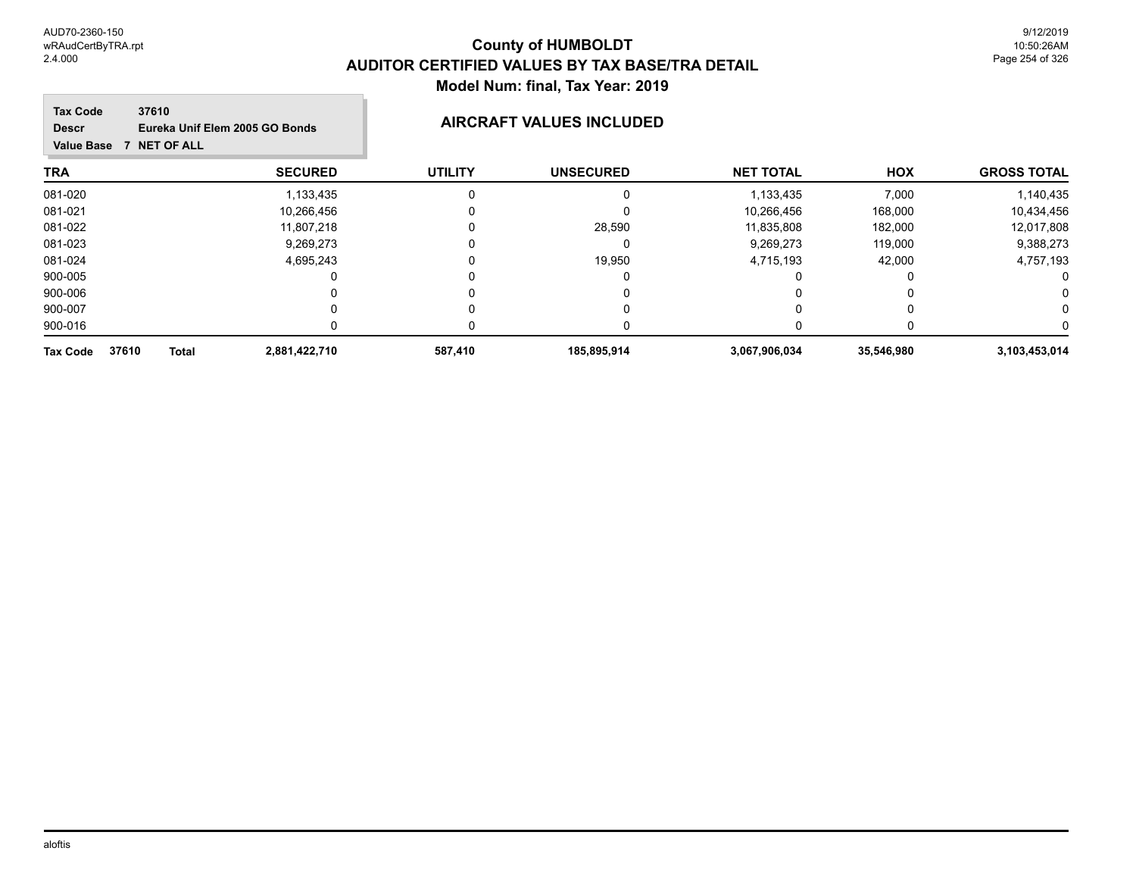9/12/2019 10:50:26AM Page 254 of 326

### **TRA SECURED UTILITY UNSECURED HOX Tax Code Value Base 7 NET OF ALL 37610 GROSS TOTAL NET TOTAL Descr Eureka Unif Elem 2005 GO Bonds AIRCRAFT VALUES INCLUDED** 081-020 1,133,435 0 0 1,133,435 7,000 1,140,435 081-021 10,266,456 0 10,266,456 168,000 10,434,456 081-022 11,807,218 0 28,590 11,835,808 182,000 12,017,808 081-023 9,269,273 0 0 9,269,273 119,000 9,388,273 081-024 4,695,243 0 19,950 4,715,193 42,000 4,757,193 900-005 0 0 0 0 0 0 900-006 0 0 0 0 0 0 900-007 0 0 0 0 0 0 900-016 0 0 0 0 0 0 **Tax Code 37610 Total 2,881,422,710 587,410 185,895,914 3,067,906,034 35,546,980 3,103,453,014**

### aloftis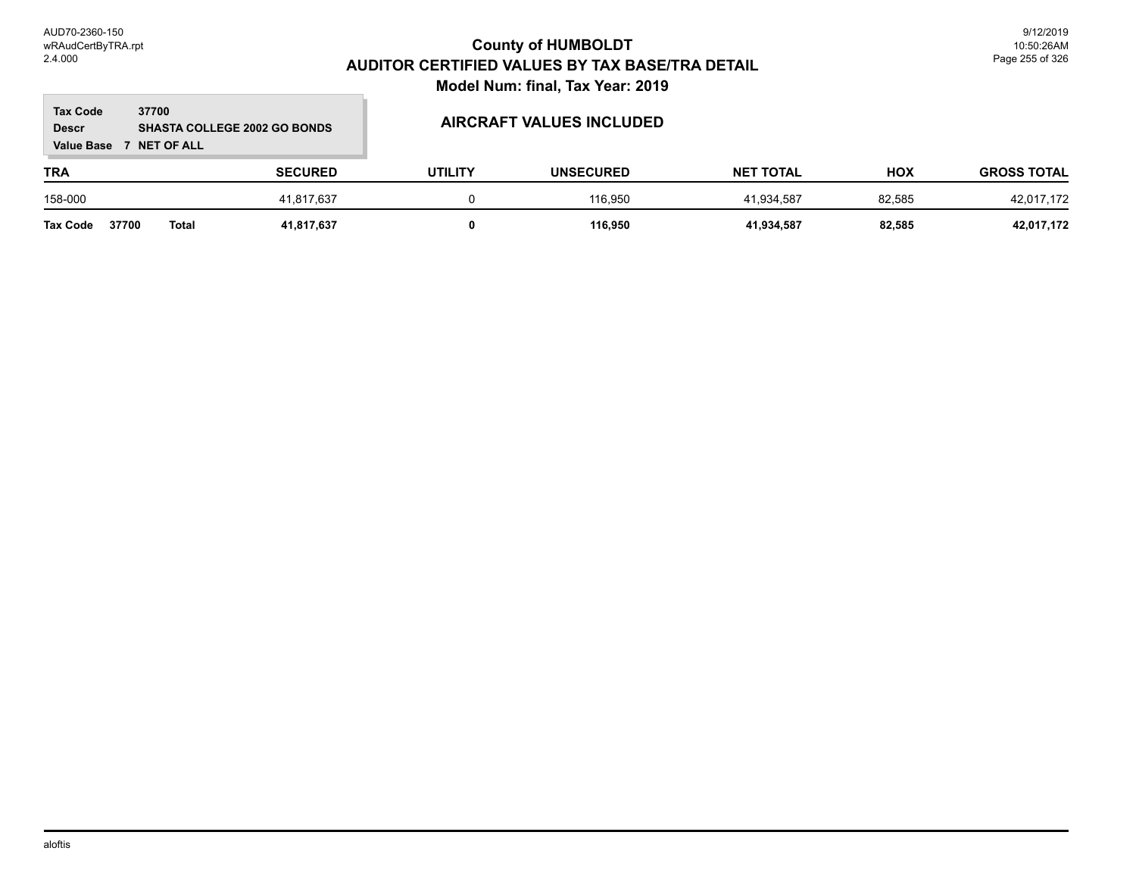### **TRA SECURED UTILITY UNSECURED HOX Tax Code Value Base 7 NET OF ALL 37700 GROSS TOTAL NET TOTAL Descr SHASTA COLLEGE 2002 GO BONDS AIRCRAFT VALUES INCLUDED** 158-000 41,817,637 0 116,950 41,934,587 82,585 42,017,172 **Tax Code 37700 Total 41,817,637 0 116,950 41,934,587 82,585 42,017,172**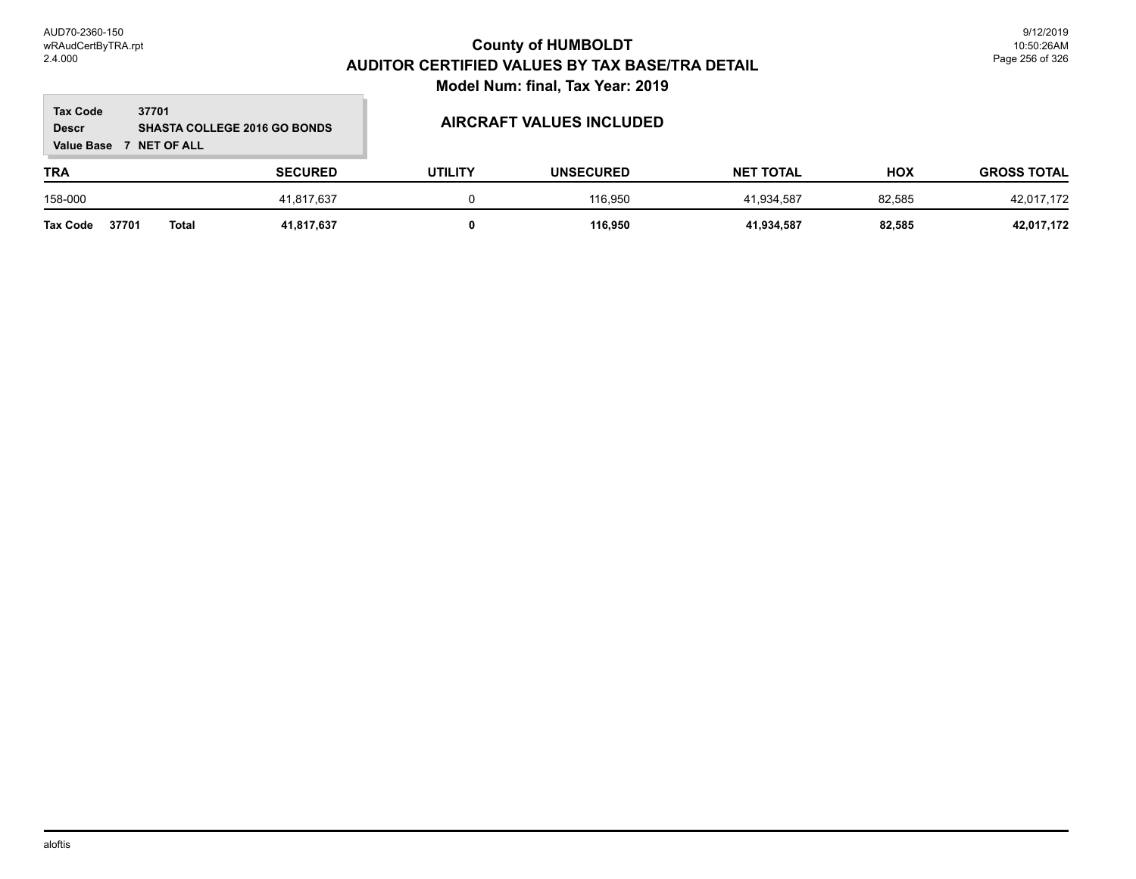### **TRA SECURED UTILITY UNSECURED HOX Tax Code Value Base 7 NET OF ALL 37701 GROSS TOTAL NET TOTAL Descr SHASTA COLLEGE 2016 GO BONDS AIRCRAFT VALUES INCLUDED** 158-000 41,817,637 0 116,950 41,934,587 82,585 42,017,172 **Tax Code 37701 Total 41,817,637 0 116,950 41,934,587 82,585 42,017,172**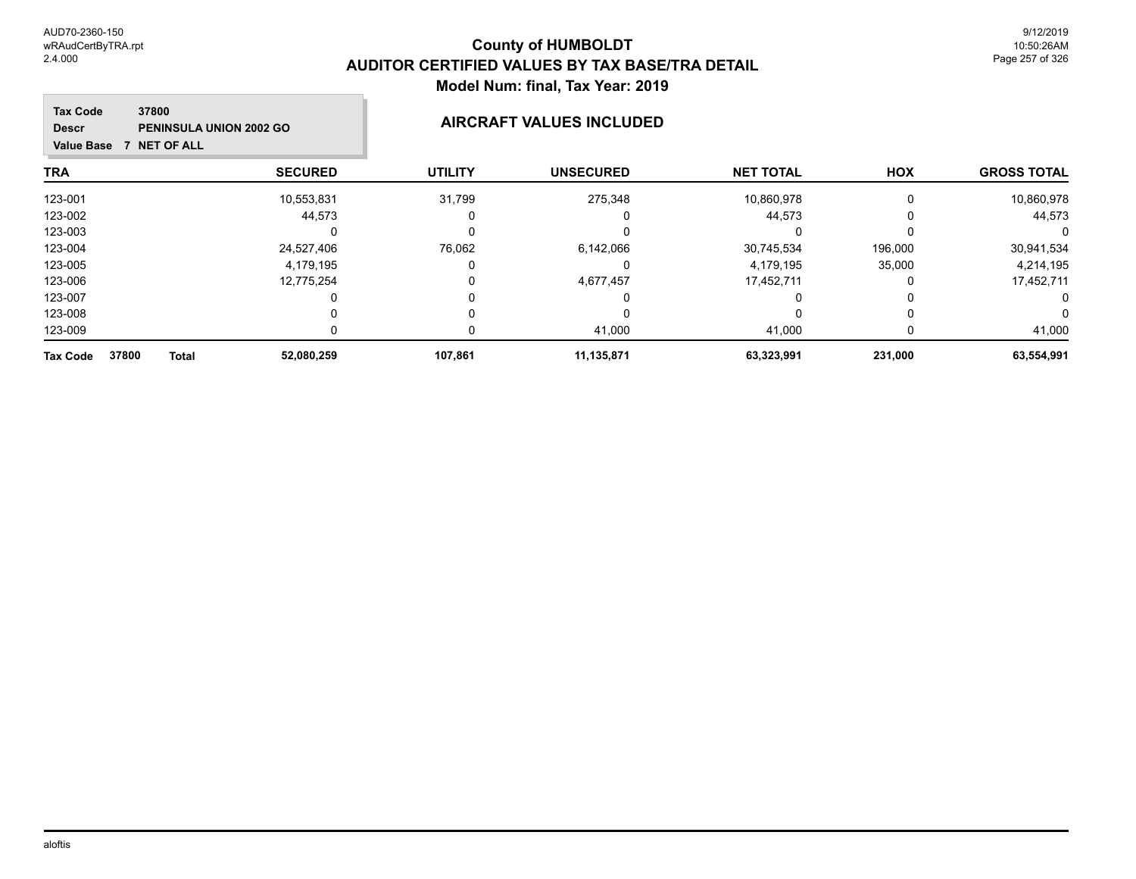| <b>Tax Code</b><br>37800<br><b>PENINSULA UNION 2002 GO</b><br><b>Descr</b><br><b>NET OF ALL</b><br><b>Value Base</b><br>7 |                | <b>AIRCRAFT VALUES INCLUDED</b> |                  |                  |          |                    |
|---------------------------------------------------------------------------------------------------------------------------|----------------|---------------------------------|------------------|------------------|----------|--------------------|
| <b>TRA</b>                                                                                                                | <b>SECURED</b> | <b>UTILITY</b>                  | <b>UNSECURED</b> | <b>NET TOTAL</b> | HOX      | <b>GROSS TOTAL</b> |
| 123-001                                                                                                                   | 10,553,831     | 31,799                          | 275,348          | 10,860,978       | 0        | 10,860,978         |
| 123-002                                                                                                                   | 44,573         |                                 |                  | 44,573           | 0        | 44,573             |
| 123-003                                                                                                                   |                | 0                               |                  |                  |          |                    |
| 123-004                                                                                                                   | 24,527,406     | 76,062                          | 6,142,066        | 30,745,534       | 196,000  | 30,941,534         |
| 123-005                                                                                                                   | 4,179,195      | 0                               |                  | 4,179,195        | 35,000   | 4,214,195          |
| 123-006                                                                                                                   | 12,775,254     | 0                               | 4,677,457        | 17,452,711       | 0        | 17,452,711         |
| 123-007                                                                                                                   |                | 0                               |                  | O                | $\Omega$ | 0                  |
| 123-008                                                                                                                   |                | 0                               |                  |                  | 0        | 0                  |
| 123-009                                                                                                                   |                | 0                               | 41,000           | 41,000           | 0        | 41,000             |
| <b>Tax Code</b><br>37800<br>Total                                                                                         | 52,080,259     | 107,861                         | 11,135,871       | 63,323,991       | 231,000  | 63,554,991         |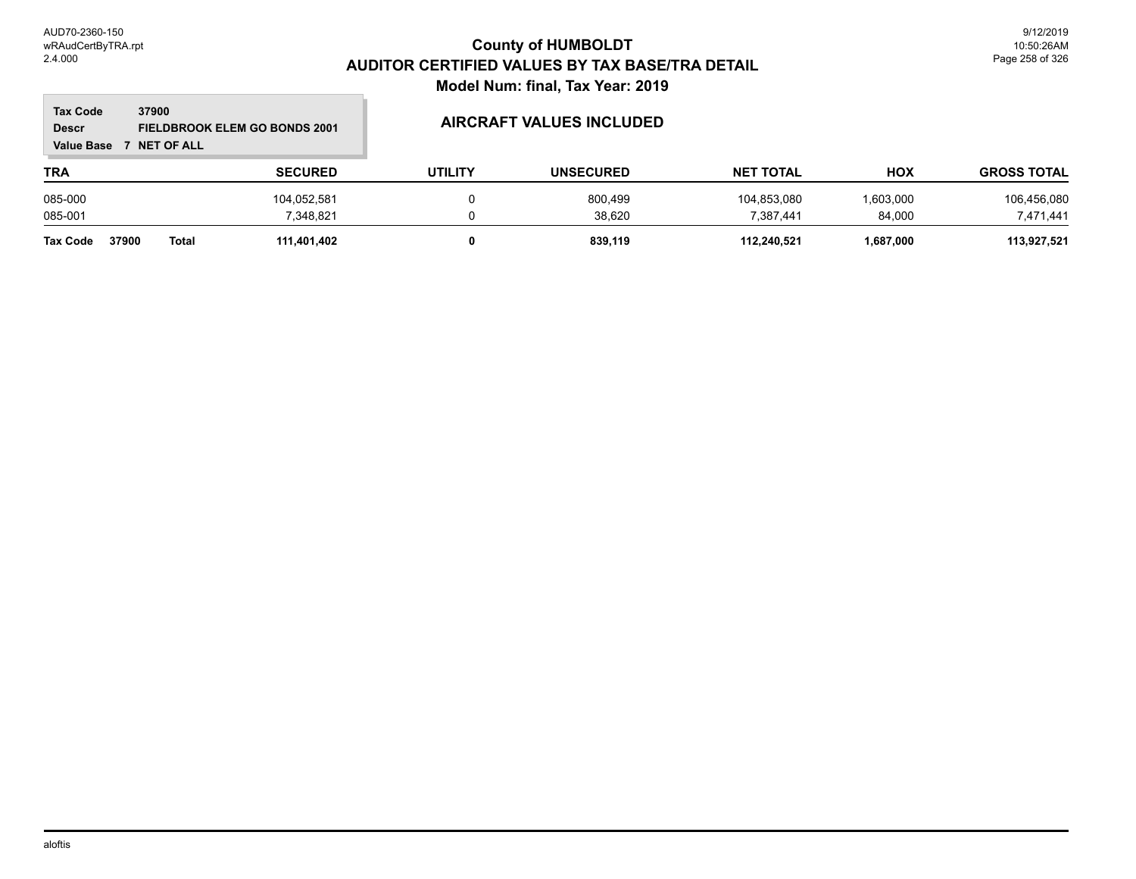### **TRA SECURED UTILITY UNSECURED HOX Tax Code Value Base 7 NET OF ALL 37900 GROSS TOTAL NET TOTAL Descr FIELDBROOK ELEM GO BONDS 2001 AIRCRAFT VALUES INCLUDED** 085-000 104,052,581 0 800,499 104,853,080 1,603,000 106,456,080 085-001 7,348,821 0 38,620 7,387,441 84,000 7,471,441 **Tax Code 37900 Total 111,401,402 0 839,119 112,240,521 1,687,000 113,927,521**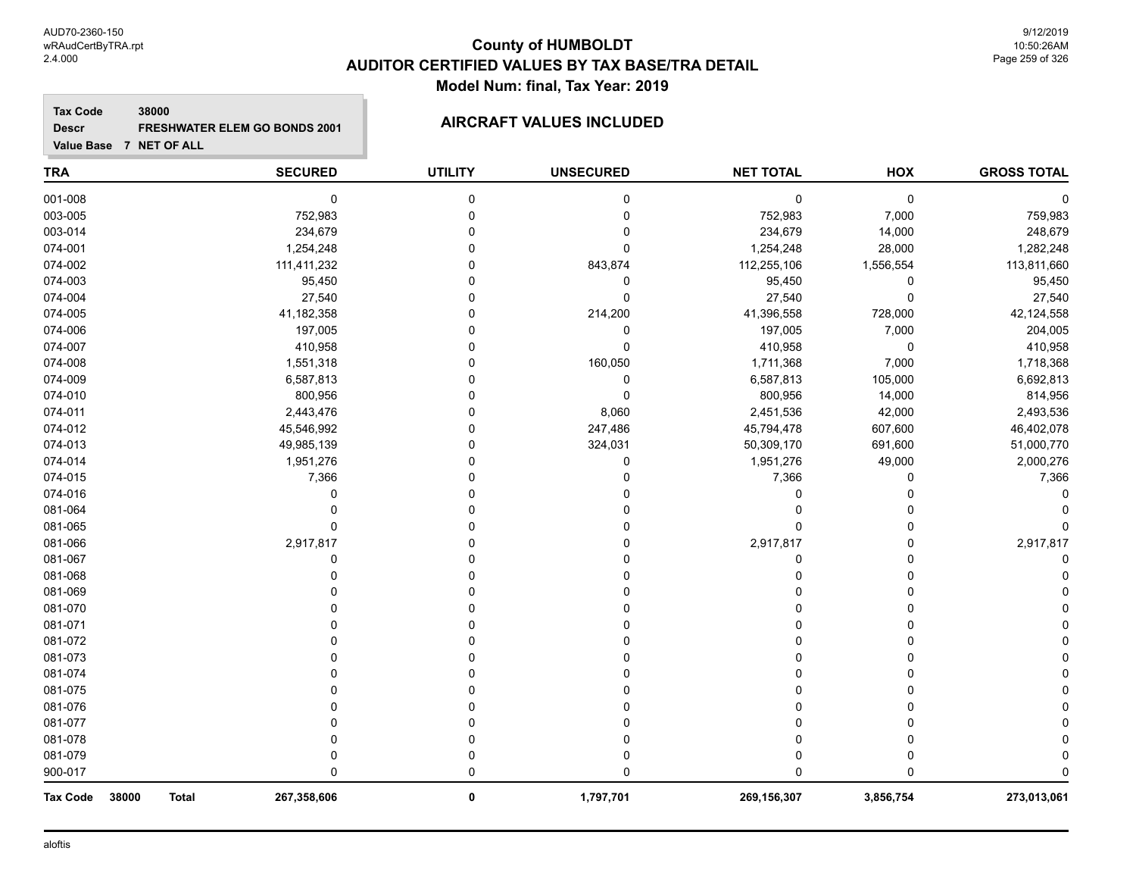# **County of HUMBOLDT AUDITOR CERTIFIED VALUES BY TAX BASE/TRA DETAIL Model Num: final, Tax Year: 2019**

### **Tax Code 38000 Descr FRESHWATER ELEM GO BONDS 2001 AIRCRAFT VALUES INCLUDED**

| <b>TRA</b>                               | <b>SECURED</b> | <b>UTILITY</b> | <b>UNSECURED</b> | <b>NET TOTAL</b> | HOX       | <b>GROSS TOTAL</b> |
|------------------------------------------|----------------|----------------|------------------|------------------|-----------|--------------------|
| 001-008                                  | 0              | $\mathbf 0$    | 0                | $\mathbf 0$      | 0         |                    |
| 003-005                                  | 752,983        | $\Omega$       | $\mathbf 0$      | 752,983          | 7,000     | 759,983            |
| 003-014                                  | 234,679        | $\Omega$       | $\Omega$         | 234,679          | 14,000    | 248,679            |
| 074-001                                  | 1,254,248      | 0              | $\Omega$         | 1,254,248        | 28,000    | 1,282,248          |
| 074-002                                  | 111,411,232    | 0              | 843,874          | 112,255,106      | 1,556,554 | 113,811,660        |
| 074-003                                  | 95,450         | O              | 0                | 95,450           | 0         | 95,450             |
| 074-004                                  | 27,540         | O              | $\Omega$         | 27,540           | 0         | 27,540             |
| 074-005                                  | 41,182,358     | 0              | 214,200          | 41,396,558       | 728,000   | 42,124,558         |
| 074-006                                  | 197,005        | 0              | $\mathbf 0$      | 197,005          | 7,000     | 204,005            |
| 074-007                                  | 410,958        | O              | $\Omega$         | 410,958          | 0         | 410,958            |
| 074-008                                  | 1,551,318      | O              | 160,050          | 1,711,368        | 7,000     | 1,718,368          |
| 074-009                                  | 6,587,813      | O              | 0                | 6,587,813        | 105,000   | 6,692,813          |
| 074-010                                  | 800,956        | ∩              | $\Omega$         | 800,956          | 14,000    | 814,956            |
| 074-011                                  | 2,443,476      |                | 8,060            | 2,451,536        | 42,000    | 2,493,536          |
| 074-012                                  | 45,546,992     | O              | 247,486          | 45,794,478       | 607,600   | 46,402,078         |
| 074-013                                  | 49,985,139     | 0              | 324,031          | 50,309,170       | 691,600   | 51,000,770         |
| 074-014                                  | 1,951,276      |                | $\mathbf 0$      | 1,951,276        | 49,000    | 2,000,276          |
| 074-015                                  | 7,366          |                | $\Omega$         | 7,366            | 0         | 7,366              |
| 074-016                                  | 0              | O              | $\Omega$         | 0                | 0         |                    |
| 081-064                                  | $\Omega$       | O              | $\Omega$         | n                | 0         |                    |
| 081-065                                  | 0              | O              | $\Omega$         | $\Omega$         | 0         |                    |
| 081-066                                  | 2,917,817      | O              | $\Omega$         | 2,917,817        | 0         | 2,917,817          |
| 081-067                                  | 0              | O              | $\Omega$         | 0                | $\Omega$  |                    |
| 081-068                                  | 0              |                | 0                | 0                | 0         |                    |
| 081-069                                  |                | 0              | 0                | 0                | 0         |                    |
| 081-070                                  |                |                |                  | $\Omega$         | 0         |                    |
| 081-071                                  |                |                |                  | $\Omega$         | O         |                    |
| 081-072                                  |                |                |                  | $\Omega$         | $\Omega$  |                    |
| 081-073                                  |                | O              | ŋ                | $\Omega$         | 0         |                    |
| 081-074                                  |                | O              | ∩                | $\Omega$         | 0         |                    |
| 081-075                                  |                |                |                  | $\Omega$         | O         |                    |
| 081-076                                  |                |                | ∩                | $\Omega$         | O         |                    |
| 081-077                                  | U              |                | $\Omega$         | $\Omega$         | 0         |                    |
| 081-078                                  | 0              | 0              | 0                | 0                | 0         |                    |
| 081-079                                  | 0              | 0              | $\Omega$         | $\Omega$         | 0         |                    |
| 900-017                                  | $\Omega$       | $\mathbf 0$    | $\Omega$         | $\Omega$         | $\Omega$  |                    |
| 38000<br><b>Tax Code</b><br><b>Total</b> | 267,358,606    | 0              | 1,797,701        | 269,156,307      | 3,856,754 | 273,013,061        |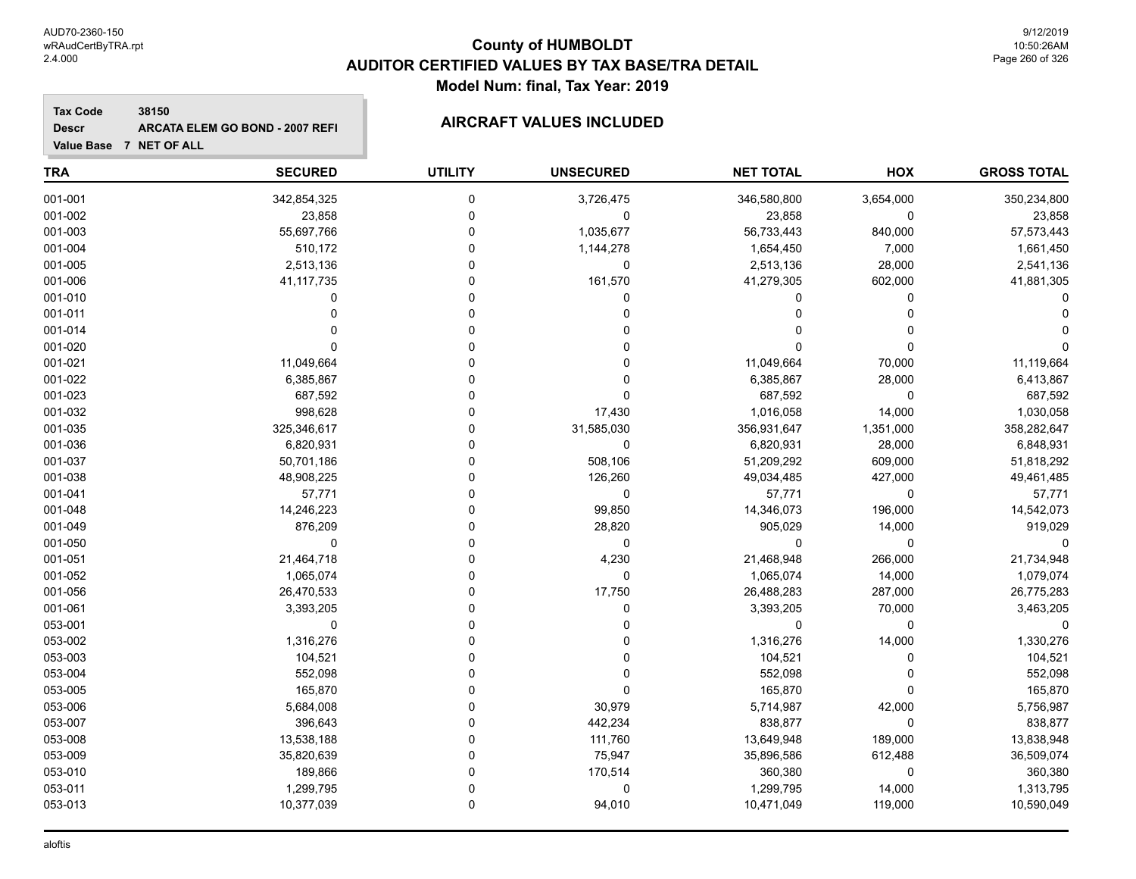# **County of HUMBOLDT AUDITOR CERTIFIED VALUES BY TAX BASE/TRA DETAIL Model Num: final, Tax Year: 2019**

### **Tax Code 38150 Descr ARCATA ELEM GO BOND - 2007 REFI AIRCRAFT VALUES INCLUDED**

| <b>TRA</b> | <b>SECURED</b> | <b>UTILITY</b> | <b>UNSECURED</b> | <b>NET TOTAL</b> | HOX       | <b>GROSS TOTAL</b> |
|------------|----------------|----------------|------------------|------------------|-----------|--------------------|
| 001-001    | 342,854,325    | 0              | 3,726,475        | 346,580,800      | 3,654,000 | 350,234,800        |
| 001-002    | 23,858         | 0              | $\Omega$         | 23,858           | 0         | 23,858             |
| 001-003    | 55,697,766     | 0              | 1,035,677        | 56,733,443       | 840,000   | 57,573,443         |
| 001-004    | 510,172        | $\Omega$       | 1,144,278        | 1,654,450        | 7,000     | 1,661,450          |
| 001-005    | 2,513,136      | 0              | 0                | 2,513,136        | 28,000    | 2,541,136          |
| 001-006    | 41, 117, 735   | $\Omega$       | 161,570          | 41,279,305       | 602,000   | 41,881,305         |
| 001-010    | 0              | $\Omega$       | $\Omega$         | $\Omega$         | $\Omega$  |                    |
| 001-011    | 0              | $\Omega$       | $\Omega$         | $\Omega$         | 0         |                    |
| 001-014    |                | $\Omega$       |                  |                  | $\Omega$  |                    |
| 001-020    | 0              | $\Omega$       |                  | 0                | 0         |                    |
| 001-021    | 11,049,664     | $\Omega$       | 0                | 11,049,664       | 70,000    | 11,119,664         |
| 001-022    | 6,385,867      | 0              | $\Omega$         | 6,385,867        | 28,000    | 6,413,867          |
| 001-023    | 687,592        |                | $\Omega$         | 687,592          | 0         | 687,592            |
| 001-032    | 998,628        | $\Omega$       | 17,430           | 1,016,058        | 14,000    | 1,030,058          |
| 001-035    | 325,346,617    | $\Omega$       | 31,585,030       | 356,931,647      | 1,351,000 | 358,282,647        |
| 001-036    | 6,820,931      | $\Omega$       | $\mathbf 0$      | 6,820,931        | 28,000    | 6,848,931          |
| 001-037    | 50,701,186     | $\Omega$       | 508,106          | 51,209,292       | 609,000   | 51,818,292         |
| 001-038    | 48,908,225     | 0              | 126,260          | 49,034,485       | 427,000   | 49,461,485         |
| 001-041    | 57,771         | $\Omega$       | $\mathbf 0$      | 57,771           | 0         | 57,771             |
| 001-048    | 14,246,223     | 0              | 99,850           | 14,346,073       | 196,000   | 14,542,073         |
| 001-049    | 876,209        |                | 28,820           | 905,029          | 14,000    | 919,029            |
| 001-050    | 0              | $\Omega$       | 0                | $\mathbf 0$      | 0         | 0                  |
| 001-051    | 21,464,718     | $\Omega$       | 4,230            | 21,468,948       | 266,000   | 21,734,948         |
| 001-052    | 1,065,074      | $\Omega$       | $\Omega$         | 1,065,074        | 14,000    | 1,079,074          |
| 001-056    | 26,470,533     | $\Omega$       | 17,750           | 26,488,283       | 287,000   | 26,775,283         |
| 001-061    | 3,393,205      | 0              | 0                | 3,393,205        | 70,000    | 3,463,205          |
| 053-001    | $\mathbf 0$    | $\mathbf 0$    | 0                | 0                | 0         | O                  |
| 053-002    | 1,316,276      | $\Omega$       |                  | 1,316,276        | 14,000    | 1,330,276          |
| 053-003    | 104,521        | $\Omega$       |                  | 104,521          | 0         | 104,521            |
| 053-004    | 552,098        | $\Omega$       | $\Omega$         | 552,098          | $\Omega$  | 552,098            |
| 053-005    | 165,870        | $\Omega$       | $\Omega$         | 165,870          | 0         | 165,870            |
| 053-006    | 5,684,008      | $\Omega$       | 30,979           | 5,714,987        | 42,000    | 5,756,987          |
| 053-007    | 396,643        | 0              | 442,234          | 838,877          | 0         | 838,877            |
| 053-008    | 13,538,188     | 0              | 111,760          | 13,649,948       | 189,000   | 13,838,948         |
| 053-009    | 35,820,639     | $\Omega$       | 75,947           | 35,896,586       | 612,488   | 36,509,074         |
| 053-010    | 189,866        | $\Omega$       | 170,514          | 360,380          | 0         | 360,380            |
| 053-011    | 1,299,795      |                | $\mathbf 0$      | 1,299,795        | 14,000    | 1,313,795          |
| 053-013    | 10,377,039     | 0              | 94,010           | 10,471,049       | 119,000   | 10,590,049         |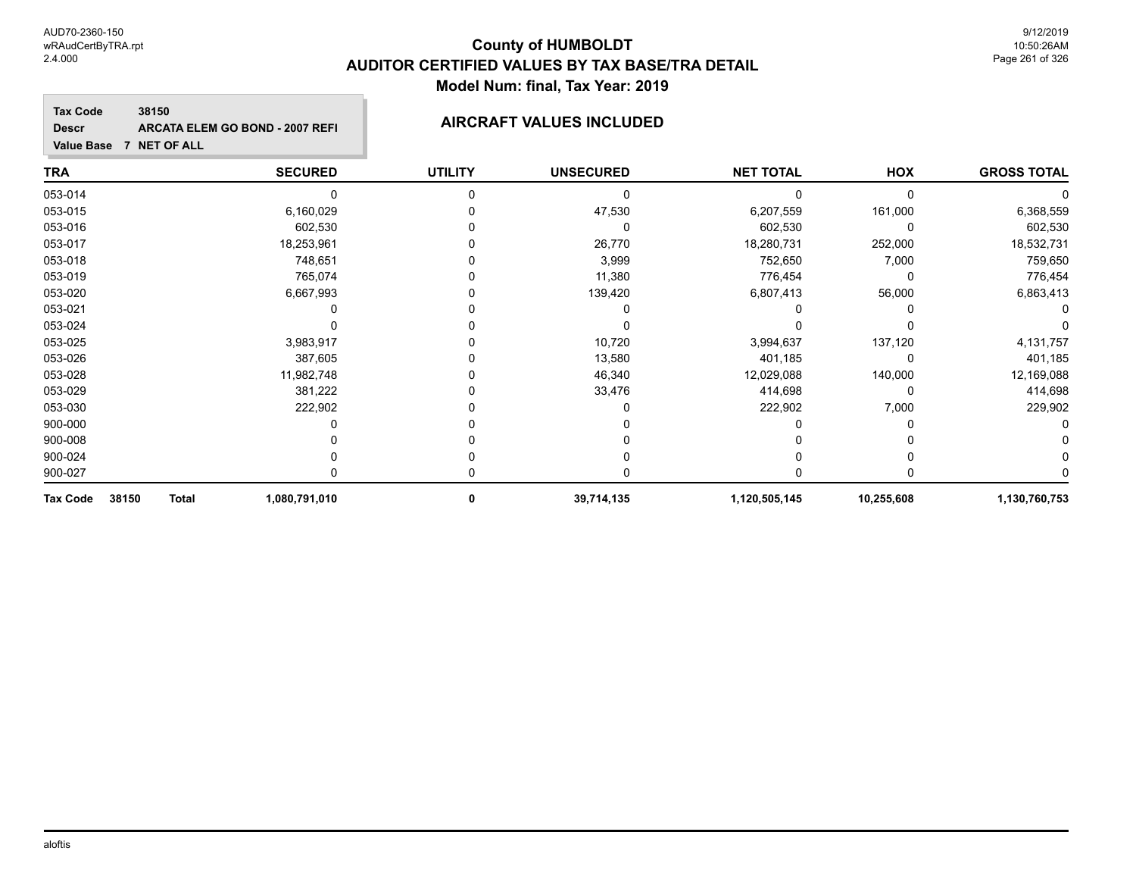# **County of HUMBOLDT AUDITOR CERTIFIED VALUES BY TAX BASE/TRA DETAIL Model Num: final, Tax Year: 2019**

**Tax Code 38150 Descr ARCATA ELEM GO BOND - 2007 REFI AIRCRAFT VALUES INCLUDED**

| <b>TRA</b>                               | <b>SECURED</b> | <b>UTILITY</b> | <b>UNSECURED</b> | <b>NET TOTAL</b> | HOX        | <b>GROSS TOTAL</b> |
|------------------------------------------|----------------|----------------|------------------|------------------|------------|--------------------|
| 053-014                                  | 0              |                | 0                |                  | $\Omega$   |                    |
| 053-015                                  | 6,160,029      |                | 47,530           | 6,207,559        | 161,000    | 6,368,559          |
| 053-016                                  | 602,530        |                |                  | 602,530          | $\Omega$   | 602,530            |
| 053-017                                  | 18,253,961     |                | 26,770           | 18,280,731       | 252,000    | 18,532,731         |
| 053-018                                  | 748,651        |                | 3,999            | 752,650          | 7,000      | 759,650            |
| 053-019                                  | 765,074        |                | 11,380           | 776,454          | 0          | 776,454            |
| 053-020                                  | 6,667,993      |                | 139,420          | 6,807,413        | 56,000     | 6,863,413          |
| 053-021                                  |                |                |                  |                  |            |                    |
| 053-024                                  |                |                |                  |                  |            |                    |
| 053-025                                  | 3,983,917      |                | 10,720           | 3,994,637        | 137,120    | 4,131,757          |
| 053-026                                  | 387,605        |                | 13,580           | 401,185          | $\Omega$   | 401,185            |
| 053-028                                  | 11,982,748     |                | 46,340           | 12,029,088       | 140,000    | 12,169,088         |
| 053-029                                  | 381,222        |                | 33,476           | 414,698          | 0          | 414,698            |
| 053-030                                  | 222,902        |                |                  | 222,902          | 7,000      | 229,902            |
| 900-000                                  |                |                |                  |                  |            |                    |
| 900-008                                  |                |                |                  |                  |            |                    |
| 900-024                                  |                |                |                  |                  |            |                    |
| 900-027                                  |                |                |                  |                  |            |                    |
| 38150<br><b>Total</b><br><b>Tax Code</b> | 1,080,791,010  | 0              | 39,714,135       | 1,120,505,145    | 10,255,608 | 1,130,760,753      |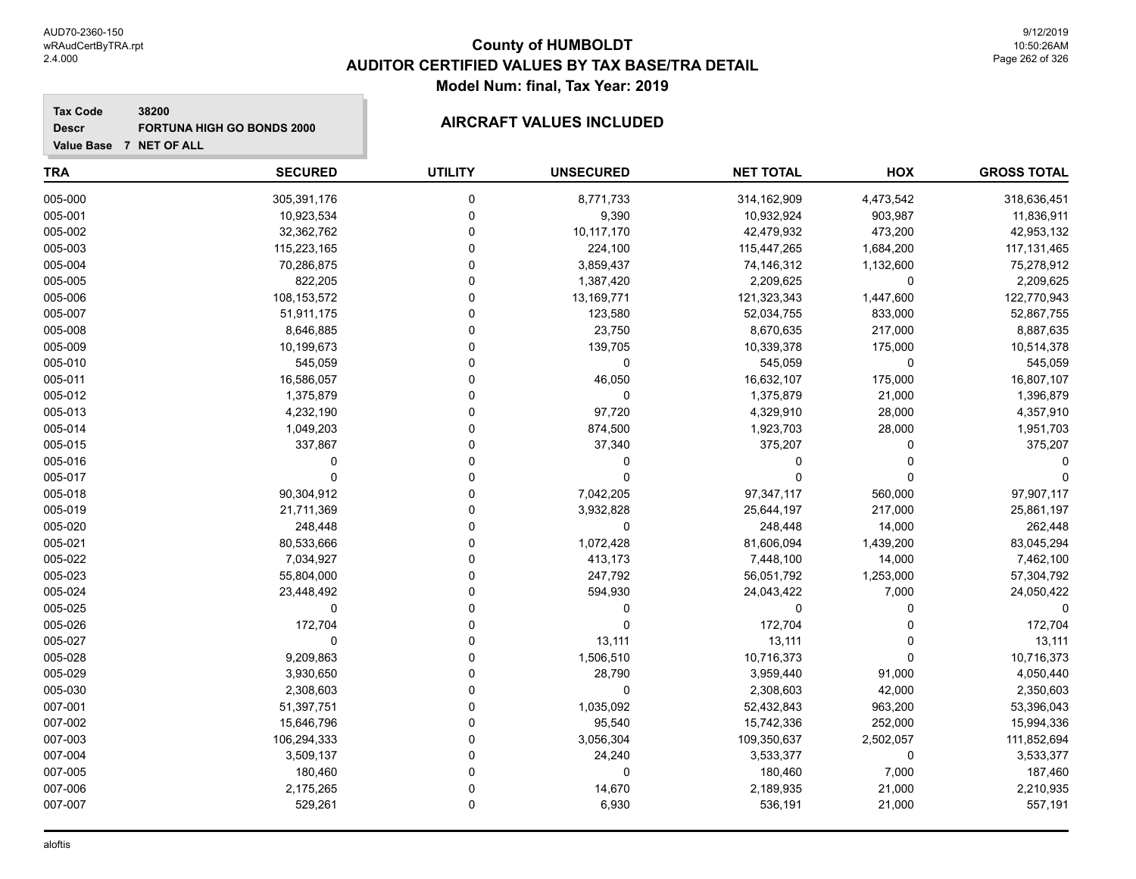# **County of HUMBOLDT AUDITOR CERTIFIED VALUES BY TAX BASE/TRA DETAIL Model Num: final, Tax Year: 2019**

### **Tax Code 38200 Descr FORTUNA HIGH GO BONDS 2000 AIRCRAFT VALUES INCLUDED**

| <b>TRA</b> | <b>SECURED</b> | <b>UTILITY</b> | <b>UNSECURED</b> | <b>NET TOTAL</b> | HOX         | <b>GROSS TOTAL</b> |
|------------|----------------|----------------|------------------|------------------|-------------|--------------------|
| 005-000    | 305,391,176    | 0              | 8,771,733        | 314,162,909      | 4,473,542   | 318,636,451        |
| 005-001    | 10,923,534     | 0              | 9,390            | 10,932,924       | 903,987     | 11,836,911         |
| 005-002    | 32,362,762     | 0              | 10,117,170       | 42,479,932       | 473,200     | 42,953,132         |
| 005-003    | 115,223,165    | 0              | 224,100          | 115,447,265      | 1,684,200   | 117,131,465        |
| 005-004    | 70,286,875     | 0              | 3,859,437        | 74,146,312       | 1,132,600   | 75,278,912         |
| 005-005    | 822,205        | 0              | 1,387,420        | 2,209,625        | $\pmb{0}$   | 2,209,625          |
| 005-006    | 108,153,572    | $\Omega$       | 13,169,771       | 121,323,343      | 1,447,600   | 122,770,943        |
| 005-007    | 51,911,175     | 0              | 123,580          | 52,034,755       | 833,000     | 52,867,755         |
| 005-008    | 8,646,885      | $\Omega$       | 23,750           | 8,670,635        | 217,000     | 8,887,635          |
| 005-009    | 10,199,673     | 0              | 139,705          | 10,339,378       | 175,000     | 10,514,378         |
| 005-010    | 545,059        | 0              | 0                | 545,059          | $\mathbf 0$ | 545,059            |
| 005-011    | 16,586,057     | 0              | 46,050           | 16,632,107       | 175,000     | 16,807,107         |
| 005-012    | 1,375,879      | 0              | 0                | 1,375,879        | 21,000      | 1,396,879          |
| 005-013    | 4,232,190      | $\Omega$       | 97,720           | 4,329,910        | 28,000      | 4,357,910          |
| 005-014    | 1,049,203      | 0              | 874,500          | 1,923,703        | 28,000      | 1,951,703          |
| 005-015    | 337,867        | 0              | 37,340           | 375,207          | $\mathbf 0$ | 375,207            |
| 005-016    | 0              | 0              | 0                | $\Omega$         | $\Omega$    |                    |
| 005-017    | $\Omega$       | 0              | 0                | $\Omega$         | $\mathbf 0$ |                    |
| 005-018    | 90,304,912     | 0              | 7,042,205        | 97,347,117       | 560,000     | 97,907,117         |
| 005-019    | 21,711,369     | $\Omega$       | 3,932,828        | 25,644,197       | 217,000     | 25,861,197         |
| 005-020    | 248,448        | 0              | 0                | 248,448          | 14,000      | 262,448            |
| 005-021    | 80,533,666     | $\Omega$       | 1,072,428        | 81,606,094       | 1,439,200   | 83,045,294         |
| 005-022    | 7,034,927      | 0              | 413,173          | 7,448,100        | 14,000      | 7,462,100          |
| 005-023    | 55,804,000     | 0              | 247,792          | 56,051,792       | 1,253,000   | 57,304,792         |
| 005-024    | 23,448,492     | 0              | 594,930          | 24,043,422       | 7,000       | 24,050,422         |
| 005-025    | 0              | 0              | 0                | 0                | $\pmb{0}$   | $\mathbf{0}$       |
| 005-026    | 172,704        | 0              | $\Omega$         | 172,704          | $\Omega$    | 172,704            |
| 005-027    | $\Omega$       | 0              | 13,111           | 13,111           | $\Omega$    | 13,111             |
| 005-028    | 9,209,863      | $\Omega$       | 1,506,510        | 10,716,373       | $\Omega$    | 10,716,373         |
| 005-029    | 3,930,650      | 0              | 28,790           | 3,959,440        | 91,000      | 4,050,440          |
| 005-030    | 2,308,603      | 0              | 0                | 2,308,603        | 42,000      | 2,350,603          |
| 007-001    | 51,397,751     | 0              | 1,035,092        | 52,432,843       | 963,200     | 53,396,043         |
| 007-002    | 15,646,796     | 0              | 95,540           | 15,742,336       | 252,000     | 15,994,336         |
| 007-003    | 106,294,333    | 0              | 3,056,304        | 109,350,637      | 2,502,057   | 111,852,694        |
| 007-004    | 3,509,137      | $\Omega$       | 24,240           | 3,533,377        | $\pmb{0}$   | 3,533,377          |
| 007-005    | 180,460        | 0              | 0                | 180,460          | 7,000       | 187,460            |
| 007-006    | 2,175,265      | $\Omega$       | 14,670           | 2,189,935        | 21,000      | 2,210,935          |
| 007-007    | 529,261        | 0              | 6,930            | 536,191          | 21,000      | 557,191            |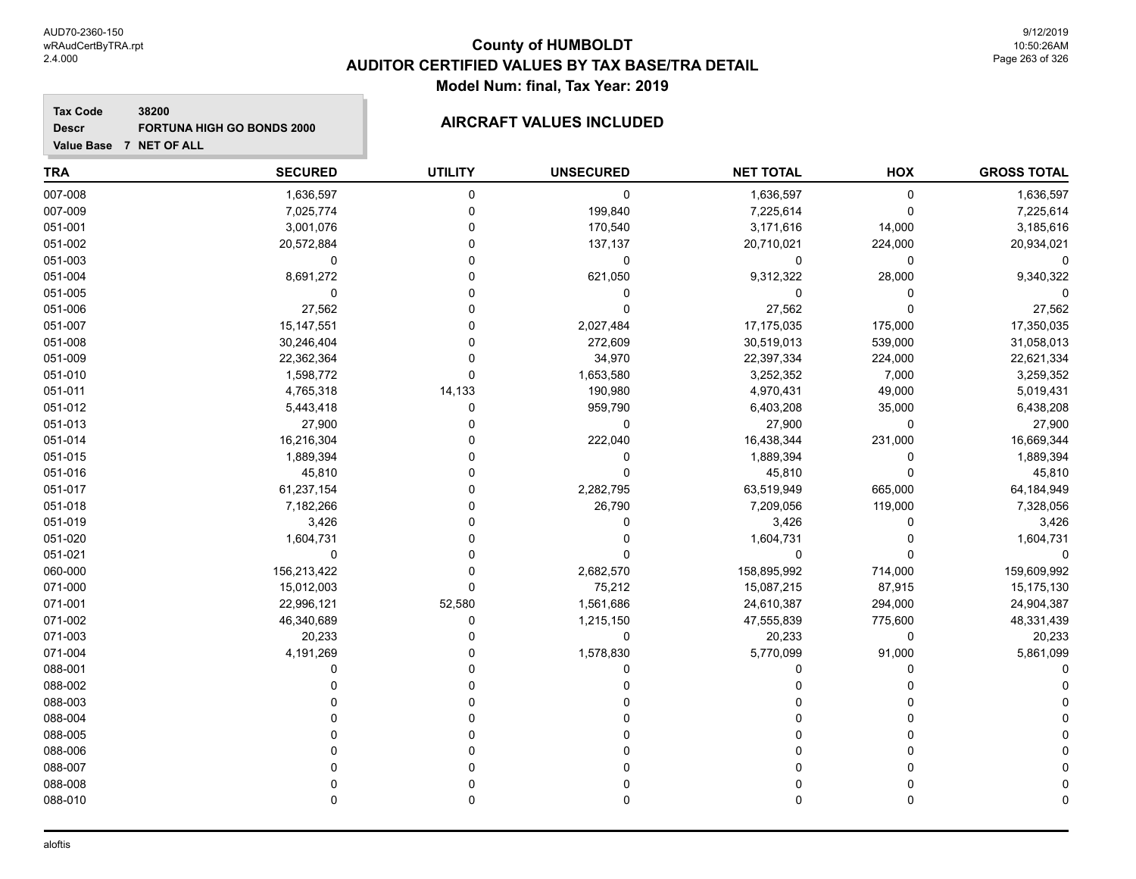# **County of HUMBOLDT AUDITOR CERTIFIED VALUES BY TAX BASE/TRA DETAIL Model Num: final, Tax Year: 2019**

### **Tax Code 38200 Descr FORTUNA HIGH GO BONDS 2000 AIRCRAFT VALUES INCLUDED**

| <b>TRA</b> | <b>SECURED</b> | <b>UTILITY</b> | <b>UNSECURED</b> | <b>NET TOTAL</b> | HOX      | <b>GROSS TOTAL</b> |
|------------|----------------|----------------|------------------|------------------|----------|--------------------|
| 007-008    | 1,636,597      | $\pmb{0}$      | 0                | 1,636,597        | 0        | 1,636,597          |
| 007-009    | 7,025,774      | 0              | 199,840          | 7,225,614        | 0        | 7,225,614          |
| 051-001    | 3,001,076      | $\Omega$       | 170,540          | 3,171,616        | 14,000   | 3,185,616          |
| 051-002    | 20,572,884     | $\Omega$       | 137,137          | 20,710,021       | 224,000  | 20,934,021         |
| 051-003    | 0              | $\Omega$       | $\mathbf 0$      | $\mathbf 0$      | 0        |                    |
| 051-004    | 8,691,272      | $\Omega$       | 621,050          | 9,312,322        | 28,000   | 9,340,322          |
| 051-005    | 0              | $\Omega$       | 0                | $\mathbf 0$      | 0        |                    |
| 051-006    | 27,562         | 0              | 0                | 27,562           | 0        | 27,562             |
| 051-007    | 15, 147, 551   | 0              | 2,027,484        | 17,175,035       | 175,000  | 17,350,035         |
| 051-008    | 30,246,404     | $\Omega$       | 272,609          | 30,519,013       | 539,000  | 31,058,013         |
| 051-009    | 22,362,364     | $\Omega$       | 34,970           | 22,397,334       | 224,000  | 22,621,334         |
| 051-010    | 1,598,772      | $\Omega$       | 1,653,580        | 3,252,352        | 7,000    | 3,259,352          |
| 051-011    | 4,765,318      | 14,133         | 190,980          | 4,970,431        | 49,000   | 5,019,431          |
| 051-012    | 5,443,418      | $\Omega$       | 959,790          | 6,403,208        | 35,000   | 6,438,208          |
| 051-013    | 27,900         | $\Omega$       | 0                | 27,900           | 0        | 27,900             |
| 051-014    | 16,216,304     | 0              | 222,040          | 16,438,344       | 231,000  | 16,669,344         |
| 051-015    | 1,889,394      | 0              | 0                | 1,889,394        | 0        | 1,889,394          |
| 051-016    | 45,810         | $\Omega$       | 0                | 45,810           | 0        | 45,810             |
| 051-017    | 61,237,154     | $\Omega$       | 2,282,795        | 63,519,949       | 665,000  | 64,184,949         |
| 051-018    | 7,182,266      | $\Omega$       | 26,790           | 7,209,056        | 119,000  | 7,328,056          |
| 051-019    | 3,426          | $\Omega$       | $\Omega$         | 3,426            | 0        | 3,426              |
| 051-020    | 1,604,731      | $\Omega$       | $\Omega$         | 1,604,731        | $\Omega$ | 1,604,731          |
| 051-021    | 0              | $\Omega$       | 0                | 0                | 0        | 0                  |
| 060-000    | 156,213,422    | $\Omega$       | 2,682,570        | 158,895,992      | 714,000  | 159,609,992        |
| 071-000    | 15,012,003     | 0              | 75,212           | 15,087,215       | 87,915   | 15,175,130         |
| 071-001    | 22,996,121     | 52,580         | 1,561,686        | 24,610,387       | 294,000  | 24,904,387         |
| 071-002    | 46,340,689     | 0              | 1,215,150        | 47,555,839       | 775,600  | 48,331,439         |
| 071-003    | 20,233         | $\Omega$       | 0                | 20,233           | 0        | 20,233             |
| 071-004    | 4,191,269      | $\Omega$       | 1,578,830        | 5,770,099        | 91,000   | 5,861,099          |
| 088-001    | $\Omega$       | $\Omega$       | $\Omega$         | $\Omega$         | $\Omega$ |                    |
| 088-002    | 0              | $\Omega$       |                  | 0                |          |                    |
| 088-003    |                | $\Omega$       |                  | $\Omega$         |          |                    |
| 088-004    |                | $\Omega$       |                  | $\Omega$         | 0        |                    |
| 088-005    |                | $\Omega$       |                  | $\Omega$         | 0        |                    |
| 088-006    |                | $\Omega$       |                  | $\Omega$         | 0        |                    |
| 088-007    | U              | $\Omega$       |                  | 0                | 0        |                    |
| 088-008    |                | $\Omega$       |                  | 0                | 0        |                    |
| 088-010    | $\Omega$       | $\mathbf{0}$   | 0                | 0                | 0        |                    |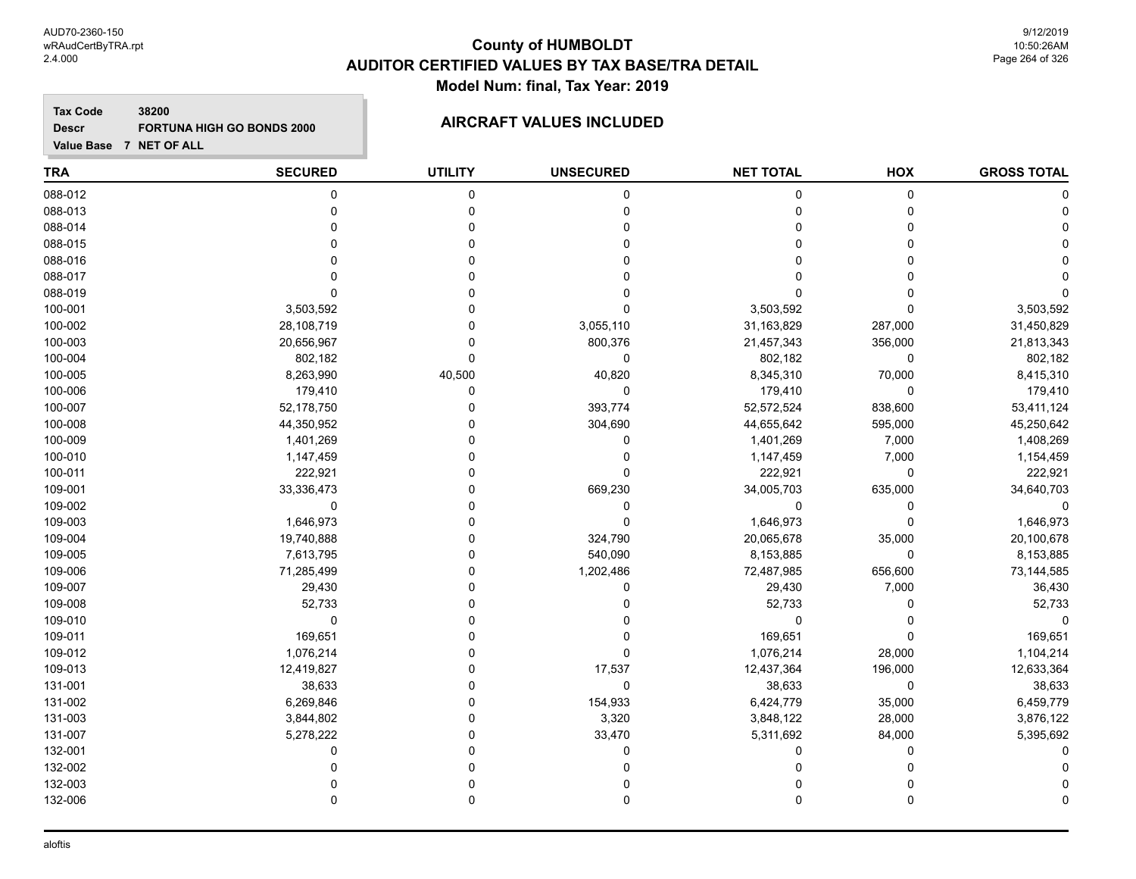# **County of HUMBOLDT AUDITOR CERTIFIED VALUES BY TAX BASE/TRA DETAIL Model Num: final, Tax Year: 2019**

**Tax Code 38200 Descr FORTUNA HIGH GO BONDS 2000 AIRCRAFT VALUES INCLUDED**

| <b>TRA</b> | <b>SECURED</b> | <b>UTILITY</b> | <b>UNSECURED</b> | <b>NET TOTAL</b> | HOX         | <b>GROSS TOTAL</b> |
|------------|----------------|----------------|------------------|------------------|-------------|--------------------|
| 088-012    | 0              | 0              | 0                | 0                | 0           |                    |
| 088-013    | 0              | $\Omega$       | 0                | $\Omega$         | 0           |                    |
| 088-014    |                |                |                  | $\Omega$         | 0           |                    |
| 088-015    |                | O              |                  | n                | 0           |                    |
| 088-016    |                |                |                  | $\Omega$         | 0           |                    |
| 088-017    |                |                |                  | 0                |             |                    |
| 088-019    |                |                |                  | 0                |             |                    |
| 100-001    | 3,503,592      |                |                  | 3,503,592        | 0           | 3,503,592          |
| 100-002    | 28,108,719     |                | 3,055,110        | 31,163,829       | 287,000     | 31,450,829         |
| 100-003    | 20,656,967     |                | 800,376          | 21,457,343       | 356,000     | 21,813,343         |
| 100-004    | 802,182        | $\Omega$       | $\mathbf 0$      | 802,182          | 0           | 802,182            |
| 100-005    | 8,263,990      | 40,500         | 40,820           | 8,345,310        | 70,000      | 8,415,310          |
| 100-006    | 179,410        | 0              | 0                | 179,410          | 0           | 179,410            |
| 100-007    | 52,178,750     | 0              | 393,774          | 52,572,524       | 838,600     | 53,411,124         |
| 100-008    | 44,350,952     |                | 304,690          | 44,655,642       | 595,000     | 45,250,642         |
| 100-009    | 1,401,269      |                | 0                | 1,401,269        | 7,000       | 1,408,269          |
| 100-010    | 1,147,459      |                | 0                | 1,147,459        | 7,000       | 1,154,459          |
| 100-011    | 222,921        |                | 0                | 222,921          | 0           | 222,921            |
| 109-001    | 33,336,473     |                | 669,230          | 34,005,703       | 635,000     | 34,640,703         |
| 109-002    | $\mathbf 0$    |                | $\Omega$         | 0                | 0           |                    |
| 109-003    | 1,646,973      |                | $\Omega$         | 1,646,973        | $\mathbf 0$ | 1,646,973          |
| 109-004    | 19,740,888     |                | 324,790          | 20,065,678       | 35,000      | 20,100,678         |
| 109-005    | 7,613,795      |                | 540,090          | 8,153,885        | 0           | 8,153,885          |
| 109-006    | 71,285,499     | 0              | 1,202,486        | 72,487,985       | 656,600     | 73,144,585         |
| 109-007    | 29,430         |                | 0                | 29,430           | 7,000       | 36,430             |
| 109-008    | 52,733         |                |                  | 52,733           | 0           | 52,733             |
| 109-010    | 0              |                |                  | 0                | 0           |                    |
| 109-011    | 169,651        |                |                  | 169,651          | 0           | 169,651            |
| 109-012    | 1,076,214      |                | $\Omega$         | 1,076,214        | 28,000      | 1,104,214          |
| 109-013    | 12,419,827     |                | 17,537           | 12,437,364       | 196,000     | 12,633,364         |
| 131-001    | 38,633         |                | $\Omega$         | 38,633           | 0           | 38,633             |
| 131-002    | 6,269,846      |                | 154,933          | 6,424,779        | 35,000      | 6,459,779          |
| 131-003    | 3,844,802      |                | 3,320            | 3,848,122        | 28,000      | 3,876,122          |
| 131-007    | 5,278,222      | 0              | 33,470           | 5,311,692        | 84,000      | 5,395,692          |
| 132-001    | 0              |                |                  | $\Omega$         | 0           |                    |
| 132-002    |                |                |                  |                  |             |                    |
| 132-003    |                |                |                  |                  |             |                    |
| 132-006    |                | $\Omega$       |                  | $\Omega$         | 0           |                    |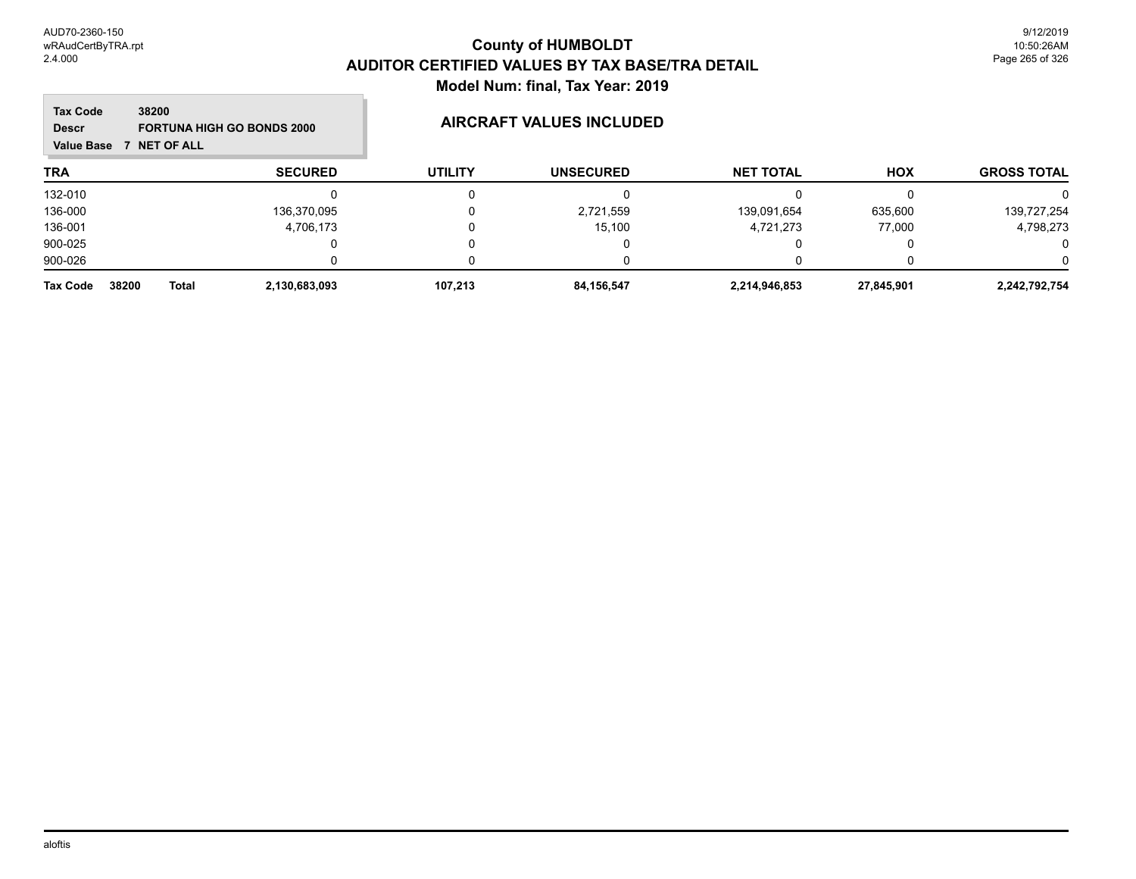### **TRA SECURED UTILITY UNSECURED HOX Tax Code Value Base 7 NET OF ALL 38200 GROSS TOTAL NET TOTAL Descr FORTUNA HIGH GO BONDS 2000 AIRCRAFT VALUES INCLUDED** 132-010 0 0 0 0 0 0 136-000 136,370,095 0 2,721,559 139,091,654 635,600 139,727,254 136-001 4,706,173 0 15,100 4,721,273 77,000 4,798,273 900-025 0 0 0 0 0 0 900-026 0 0 0 0 0 0 **Tax Code 38200 Total 2,130,683,093 107,213 84,156,547 2,214,946,853 27,845,901 2,242,792,754**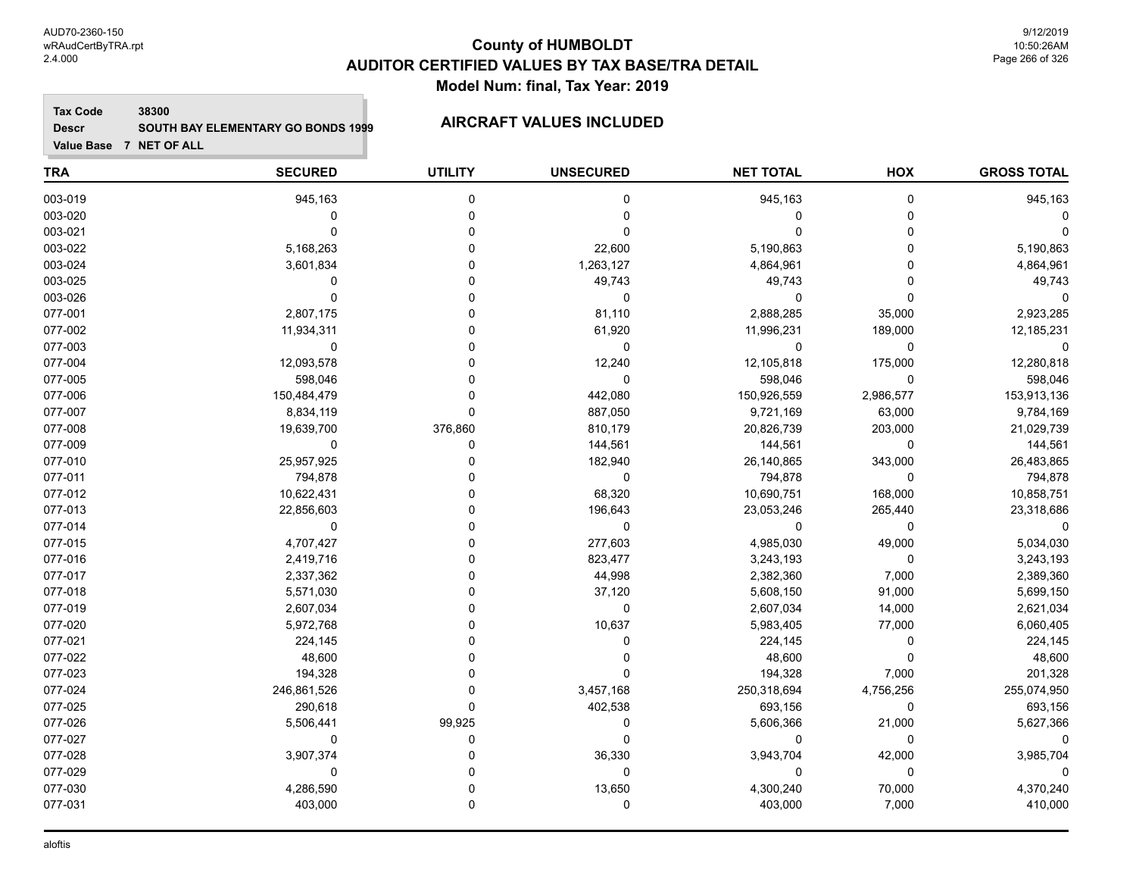### **Tax Code 38300 Descr SOUTH BAY ELEMENTARY GO BONDS 1999 AIRCRAFT VALUES INCLUDED**

| <b>TRA</b> | <b>SECURED</b> | <b>UTILITY</b> | <b>UNSECURED</b> | <b>NET TOTAL</b> | HOX         | <b>GROSS TOTAL</b> |
|------------|----------------|----------------|------------------|------------------|-------------|--------------------|
| 003-019    | 945,163        | $\mathbf 0$    | 0                | 945,163          | $\mathbf 0$ | 945,163            |
| 003-020    | 0              | $\mathbf 0$    | 0                | 0                | 0           |                    |
| 003-021    | $\mathbf 0$    | $\mathbf 0$    | $\mathbf 0$      | $\mathbf 0$      | $\Omega$    |                    |
| 003-022    | 5,168,263      | $\Omega$       | 22,600           | 5,190,863        | $\Omega$    | 5,190,863          |
| 003-024    | 3,601,834      | $\Omega$       | 1,263,127        | 4,864,961        | $\Omega$    | 4,864,961          |
| 003-025    | $\mathbf 0$    | $\Omega$       | 49,743           | 49,743           | $\Omega$    | 49,743             |
| 003-026    | $\mathbf 0$    | $\Omega$       | $\mathbf 0$      | $\Omega$         | $\Omega$    | O                  |
| 077-001    | 2,807,175      | $\Omega$       | 81,110           | 2,888,285        | 35,000      | 2,923,285          |
| 077-002    | 11,934,311     | $\Omega$       | 61,920           | 11,996,231       | 189,000     | 12,185,231         |
| 077-003    | $\mathbf 0$    | $\Omega$       | $\pmb{0}$        | $\mathbf 0$      | 0           | $\Omega$           |
| 077-004    | 12,093,578     | $\Omega$       | 12,240           | 12,105,818       | 175,000     | 12,280,818         |
| 077-005    | 598,046        | $\Omega$       | 0                | 598,046          | $\mathbf 0$ | 598,046            |
| 077-006    | 150,484,479    | $\mathbf 0$    | 442,080          | 150,926,559      | 2,986,577   | 153,913,136        |
| 077-007    | 8,834,119      | $\Omega$       | 887,050          | 9,721,169        | 63,000      | 9,784,169          |
| 077-008    | 19,639,700     | 376,860        | 810,179          | 20,826,739       | 203,000     | 21,029,739         |
| 077-009    | 0              | $\mathbf 0$    | 144,561          | 144,561          | 0           | 144,561            |
| 077-010    | 25,957,925     | $\Omega$       | 182,940          | 26,140,865       | 343,000     | 26,483,865         |
| 077-011    | 794,878        | $\Omega$       | $\mathbf 0$      | 794,878          | 0           | 794,878            |
| 077-012    | 10,622,431     | $\Omega$       | 68,320           | 10,690,751       | 168,000     | 10,858,751         |
| 077-013    | 22,856,603     | $\Omega$       | 196,643          | 23,053,246       | 265,440     | 23,318,686         |
| 077-014    | 0              | $\Omega$       | $\mathbf 0$      | $\mathbf 0$      | $\mathbf 0$ | $\Omega$           |
| 077-015    | 4,707,427      | $\Omega$       | 277,603          | 4,985,030        | 49,000      | 5,034,030          |
| 077-016    | 2,419,716      | $\Omega$       | 823,477          | 3,243,193        | 0           | 3,243,193          |
| 077-017    | 2,337,362      | $\Omega$       | 44,998           | 2,382,360        | 7,000       | 2,389,360          |
| 077-018    | 5,571,030      | $\Omega$       | 37,120           | 5,608,150        | 91,000      | 5,699,150          |
| 077-019    | 2,607,034      | $\Omega$       | 0                | 2,607,034        | 14,000      | 2,621,034          |
| 077-020    | 5,972,768      | $\Omega$       | 10,637           | 5,983,405        | 77,000      | 6,060,405          |
| 077-021    | 224,145        | $\Omega$       | 0                | 224,145          | $\mathbf 0$ | 224,145            |
| 077-022    | 48,600         | $\Omega$       | 0                | 48,600           | $\mathbf 0$ | 48,600             |
| 077-023    | 194,328        | $\Omega$       | $\Omega$         | 194,328          | 7,000       | 201,328            |
| 077-024    | 246,861,526    | $\mathbf 0$    | 3,457,168        | 250,318,694      | 4,756,256   | 255,074,950        |
| 077-025    | 290,618        | $\Omega$       | 402,538          | 693,156          | 0           | 693,156            |
| 077-026    | 5,506,441      | 99,925         | 0                | 5,606,366        | 21,000      | 5,627,366          |
| 077-027    | $\mathbf 0$    | $\mathbf 0$    | $\mathbf 0$      | $\Omega$         | $\mathbf 0$ |                    |
| 077-028    | 3,907,374      | $\Omega$       | 36,330           | 3,943,704        | 42,000      | 3,985,704          |
| 077-029    | $\mathbf 0$    | $\Omega$       | $\mathbf 0$      | $\mathbf 0$      | $\mathbf 0$ |                    |
| 077-030    | 4,286,590      | $\mathbf 0$    | 13,650           | 4,300,240        | 70,000      | 4,370,240          |
| 077-031    | 403,000        | $\mathbf 0$    | 0                | 403,000          | 7,000       | 410,000            |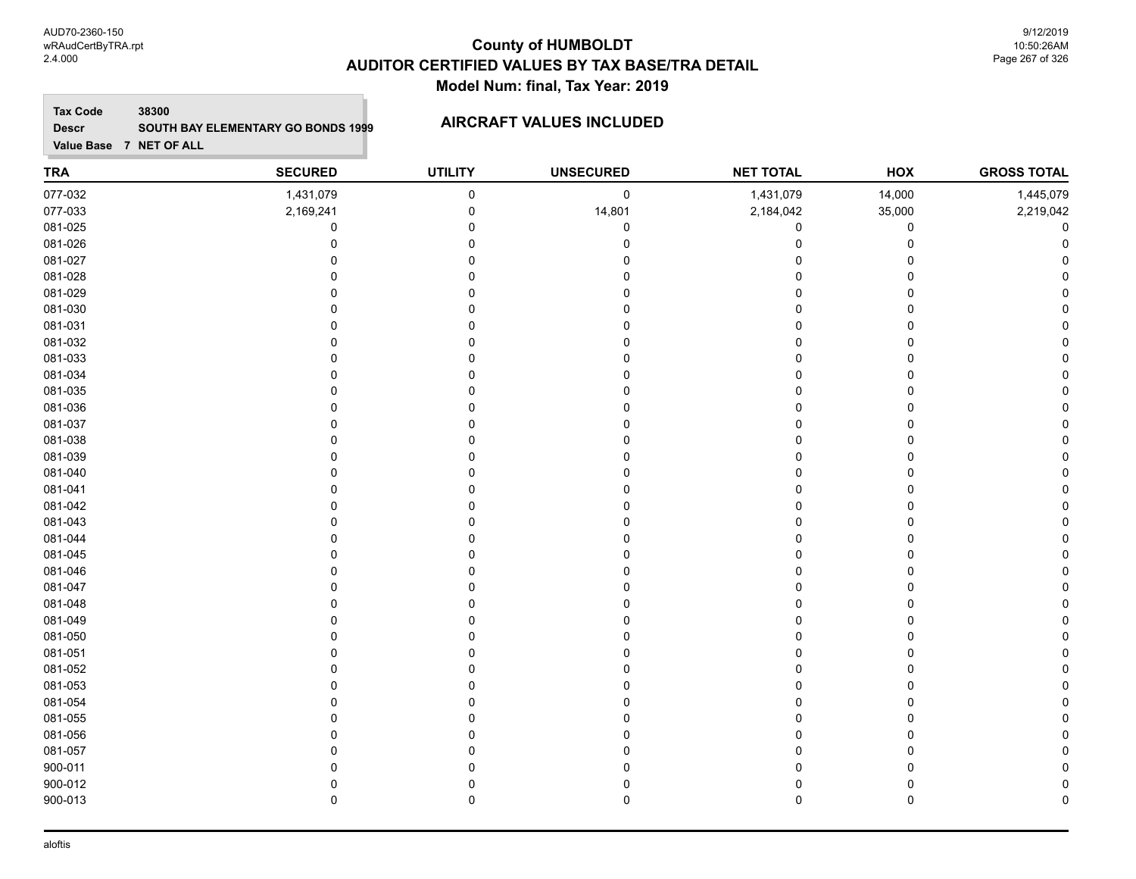AUD70-2360-150 wRAudCertByTRA.rpt 2.4.000

# **County of HUMBOLDT AUDITOR CERTIFIED VALUES BY TAX BASE/TRA DETAIL Model Num: final, Tax Year: 2019**

9/12/2019 10:50:26AM Page 267 of 326

### **Tax Code 38300 Descr SOUTH BAY ELEMENTARY GO BONDS 1999 AIRCRAFT VALUES INCLUDED**

| <b>TRA</b> | <b>SECURED</b> | <b>UTILITY</b> | <b>UNSECURED</b> | <b>NET TOTAL</b> | HOX            | <b>GROSS TOTAL</b> |
|------------|----------------|----------------|------------------|------------------|----------------|--------------------|
| 077-032    | 1,431,079      | $\pmb{0}$      | $\pmb{0}$        | 1,431,079        | 14,000         | 1,445,079          |
| 077-033    | 2,169,241      | $\pmb{0}$      | 14,801           | 2,184,042        | 35,000         | 2,219,042          |
| 081-025    | $\mathbf 0$    | $\mathbf 0$    | $\Omega$         | 0                | 0              | 0                  |
| 081-026    | $\mathbf 0$    | $\mathbf 0$    |                  | 0                | $\mathbf 0$    | $\Omega$           |
| 081-027    | $\Omega$       | $\Omega$       |                  | 0                | $\Omega$       |                    |
| 081-028    | $\Omega$       | $\Omega$       |                  | 0                | $\Omega$       |                    |
| 081-029    | $\Omega$       | 0              |                  | 0                | $\mathbf 0$    |                    |
| 081-030    | 0              | $\Omega$       |                  | 0                | $\mathbf 0$    |                    |
| 081-031    | $\Omega$       | $\Omega$       |                  | $\Omega$         | $\overline{0}$ |                    |
| 081-032    | $\Omega$       | $\Omega$       |                  | 0                | 0              |                    |
| 081-033    | $\mathbf 0$    | $\mathbf 0$    |                  | $\mathbf 0$      | $\mathbf 0$    |                    |
| 081-034    | $\mathbf 0$    | $\mathbf 0$    |                  | $\mathbf 0$      | 0              |                    |
| 081-035    | $\mathbf 0$    | $\mathbf 0$    |                  | $\Omega$         | $\Omega$       |                    |
| 081-036    | $\mathbf 0$    | 0              |                  | 0                | $\mathbf 0$    |                    |
| 081-037    | $\Omega$       | $\mathbf 0$    |                  | 0                | $\mathbf 0$    |                    |
| 081-038    | $\mathbf 0$    | 0              |                  | 0                | 0              |                    |
| 081-039    | $\Omega$       | $\Omega$       |                  | $\Omega$         | 0              |                    |
| 081-040    | $\Omega$       | $\mathbf 0$    |                  | 0                | $\mathbf 0$    |                    |
| 081-041    | $\Omega$       | $\mathbf 0$    |                  | $\mathbf 0$      | $\mathbf 0$    |                    |
| 081-042    | $\Omega$       | $\Omega$       |                  | 0                | $\Omega$       |                    |
| 081-043    | $\Omega$       | $\Omega$       |                  | 0                | 0              |                    |
| 081-044    | $\Omega$       | $\Omega$       |                  | 0                | $\mathbf 0$    |                    |
| 081-045    | $\Omega$       | $\mathbf 0$    |                  | 0                | 0              |                    |
| 081-046    | $\Omega$       | $\mathbf 0$    |                  | $\Omega$         | $\mathbf 0$    |                    |
| 081-047    | $\Omega$       | $\mathbf 0$    |                  | 0                | 0              |                    |
| 081-048    | $\mathbf 0$    | $\mathbf 0$    |                  | 0                | $\mathbf 0$    |                    |
| 081-049    | $\mathbf 0$    | $\mathbf 0$    |                  | $\Omega$         | 0              |                    |
| 081-050    | $\mathbf 0$    | 0              |                  | $\Omega$         | $\Omega$       |                    |
| 081-051    | $\mathbf 0$    | 0              |                  | 0                | $\mathbf 0$    |                    |
| 081-052    | $\mathbf 0$    | $\Omega$       |                  | 0                | $\mathbf 0$    |                    |
| 081-053    | $\mathbf 0$    | $\Omega$       |                  | 0                | 0              |                    |
| 081-054    | $\Omega$       | $\Omega$       |                  | 0                | $\Omega$       |                    |
| 081-055    | $\Omega$       | $\Omega$       |                  | 0                | $\Omega$       |                    |
| 081-056    | $\Omega$       | $\Omega$       |                  | 0                | $\mathbf 0$    |                    |
| 081-057    | $\Omega$       | $\Omega$       |                  | O                | 0              |                    |
| 900-011    | $\mathbf{0}$   | 0              |                  | 0                | 0              |                    |
| 900-012    | $\mathbf 0$    | $\mathbf 0$    |                  | 0                | $\pmb{0}$      |                    |
| 900-013    | $\pmb{0}$      | $\mathbf 0$    | 0                | 0                | $\pmb{0}$      | $\Omega$           |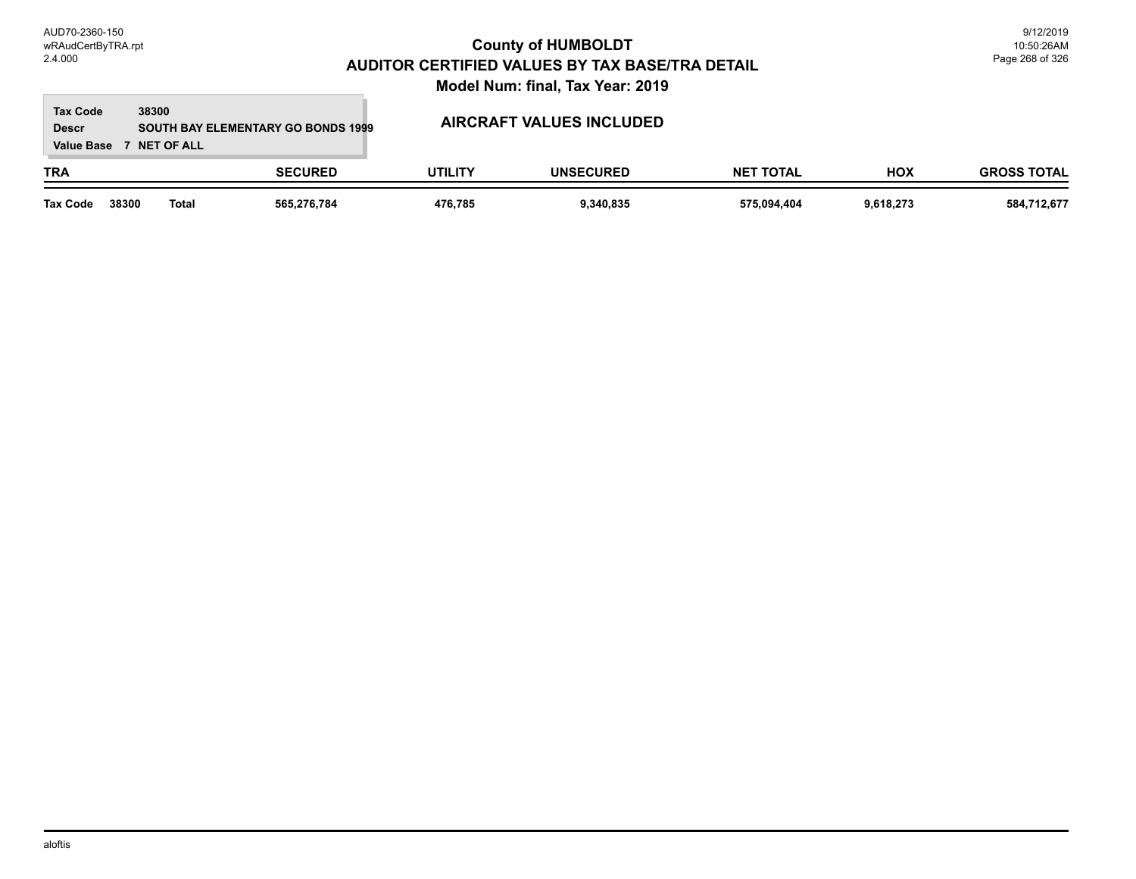### **TRA SECURED UTILITY UNSECURED HOX Tax Code Value Base 7 NET OF ALL 38300 GROSS TOTAL NET TOTAL Descr SOUTH BAY ELEMENTARY GO BONDS 1999 AIRCRAFT VALUES INCLUDED Tax Code 38300 Total 565,276,784 476,785 9,340,835 575,094,404 9,618,273 584,712,677**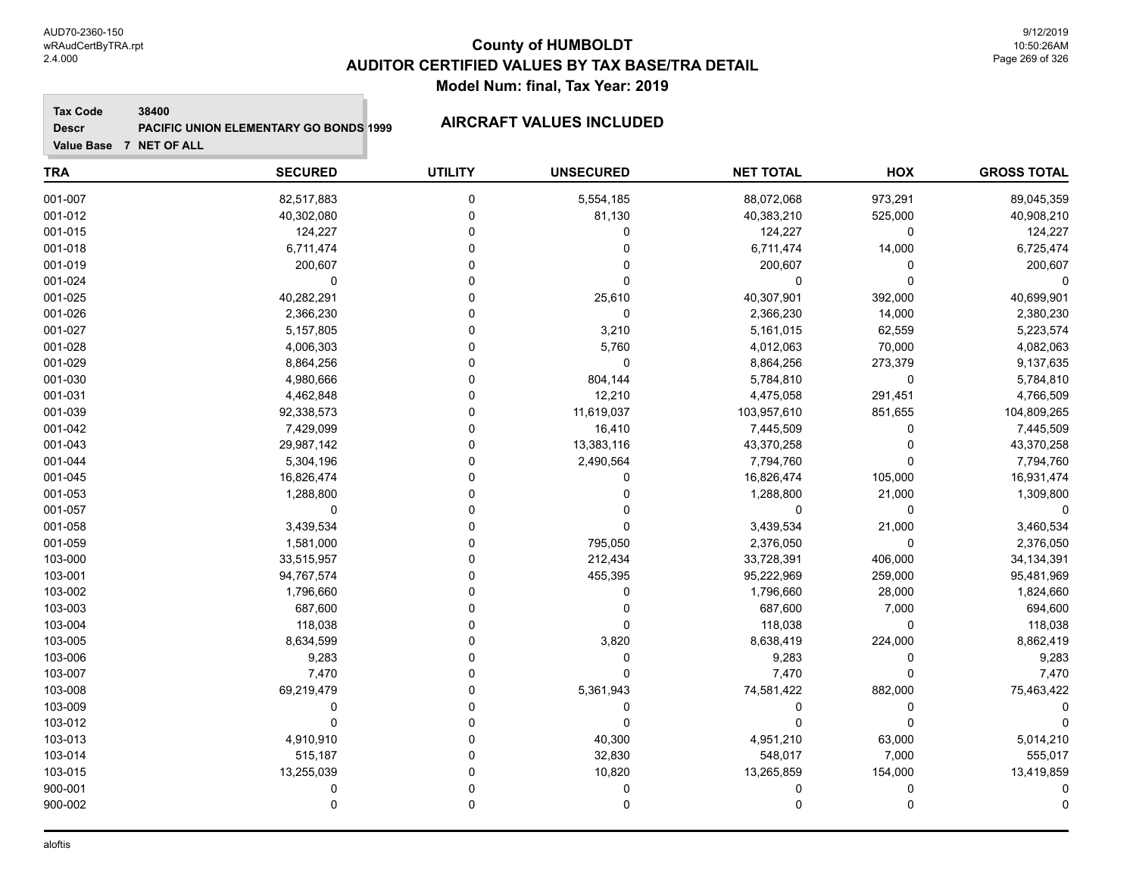**Tax Code 38400**

**Descr**

# **PACIFIC UNION ELEMENTARY GO BONDS 1999 AIRCRAFT VALUES INCLUDED**

| <b>TRA</b> | <b>SECURED</b> | <b>UTILITY</b> | <b>UNSECURED</b> | <b>NET TOTAL</b> | HOX     | <b>GROSS TOTAL</b> |
|------------|----------------|----------------|------------------|------------------|---------|--------------------|
| 001-007    | 82,517,883     | 0              | 5,554,185        | 88,072,068       | 973,291 | 89,045,359         |
| 001-012    | 40,302,080     | $\mathbf 0$    | 81,130           | 40,383,210       | 525,000 | 40,908,210         |
| 001-015    | 124,227        | $\Omega$       | 0                | 124,227          | 0       | 124,227            |
| 001-018    | 6,711,474      | $\Omega$       | $\mathbf 0$      | 6,711,474        | 14,000  | 6,725,474          |
| 001-019    | 200,607        | $\Omega$       | $\Omega$         | 200,607          | 0       | 200,607            |
| 001-024    | 0              | $\Omega$       | $\mathbf 0$      | 0                | 0       | 0                  |
| 001-025    | 40,282,291     | $\Omega$       | 25,610           | 40,307,901       | 392,000 | 40,699,901         |
| 001-026    | 2,366,230      | $\Omega$       | $\mathbf 0$      | 2,366,230        | 14,000  | 2,380,230          |
| 001-027    | 5,157,805      | $\mathbf 0$    | 3,210            | 5,161,015        | 62,559  | 5,223,574          |
| 001-028    | 4,006,303      | $\Omega$       | 5,760            | 4,012,063        | 70,000  | 4,082,063          |
| 001-029    | 8,864,256      | $\Omega$       | 0                | 8,864,256        | 273,379 | 9,137,635          |
| 001-030    | 4,980,666      | $\Omega$       | 804,144          | 5,784,810        | 0       | 5,784,810          |
| 001-031    | 4,462,848      | $\Omega$       | 12,210           | 4,475,058        | 291,451 | 4,766,509          |
| 001-039    | 92,338,573     | $\Omega$       | 11,619,037       | 103,957,610      | 851,655 | 104,809,265        |
| 001-042    | 7,429,099      | $\Omega$       | 16,410           | 7,445,509        | 0       | 7,445,509          |
| 001-043    | 29,987,142     | $\mathbf 0$    | 13,383,116       | 43,370,258       | 0       | 43,370,258         |
| 001-044    | 5,304,196      | $\mathbf 0$    | 2,490,564        | 7,794,760        | 0       | 7,794,760          |
| 001-045    | 16,826,474     | $\Omega$       | 0                | 16,826,474       | 105,000 | 16,931,474         |
| 001-053    | 1,288,800      | $\Omega$       | 0                | 1,288,800        | 21,000  | 1,309,800          |
| 001-057    | $\mathbf 0$    | $\Omega$       | 0                | $\Omega$         | 0       | $\Omega$           |
| 001-058    | 3,439,534      | $\Omega$       | $\Omega$         | 3,439,534        | 21,000  | 3,460,534          |
| 001-059    | 1,581,000      | $\Omega$       | 795,050          | 2,376,050        | 0       | 2,376,050          |
| 103-000    | 33,515,957     | $\Omega$       | 212,434          | 33,728,391       | 406,000 | 34, 134, 391       |
| 103-001    | 94,767,574     | $\Omega$       | 455,395          | 95,222,969       | 259,000 | 95,481,969         |
| 103-002    | 1,796,660      | $\Omega$       | 0                | 1,796,660        | 28,000  | 1,824,660          |
| 103-003    | 687,600        | $\Omega$       | 0                | 687,600          | 7,000   | 694,600            |
| 103-004    | 118,038        | $\Omega$       | 0                | 118,038          | 0       | 118,038            |
| 103-005    | 8,634,599      | $\Omega$       | 3,820            | 8,638,419        | 224,000 | 8,862,419          |
| 103-006    | 9,283          | $\Omega$       | $\mathbf 0$      | 9,283            | 0       | 9,283              |
| 103-007    | 7,470          | $\Omega$       | $\Omega$         | 7,470            | 0       | 7,470              |
| 103-008    | 69,219,479     | $\Omega$       | 5,361,943        | 74,581,422       | 882,000 | 75,463,422         |
| 103-009    | 0              | $\Omega$       | $\mathbf 0$      | $\Omega$         | 0       | -C                 |
| 103-012    | $\Omega$       | $\Omega$       | $\Omega$         | $\Omega$         | 0       |                    |
| 103-013    | 4,910,910      | $\Omega$       | 40,300           | 4,951,210        | 63,000  | 5,014,210          |
| 103-014    | 515,187        | $\Omega$       | 32,830           | 548,017          | 7,000   | 555,017            |
| 103-015    | 13,255,039     | $\mathbf{0}$   | 10,820           | 13,265,859       | 154,000 | 13,419,859         |
| 900-001    | $\mathbf 0$    | $\Omega$       | 0                | $\Omega$         | 0       |                    |
| 900-002    | 0              | $\mathbf 0$    | 0                | $\mathbf 0$      | 0       | 0                  |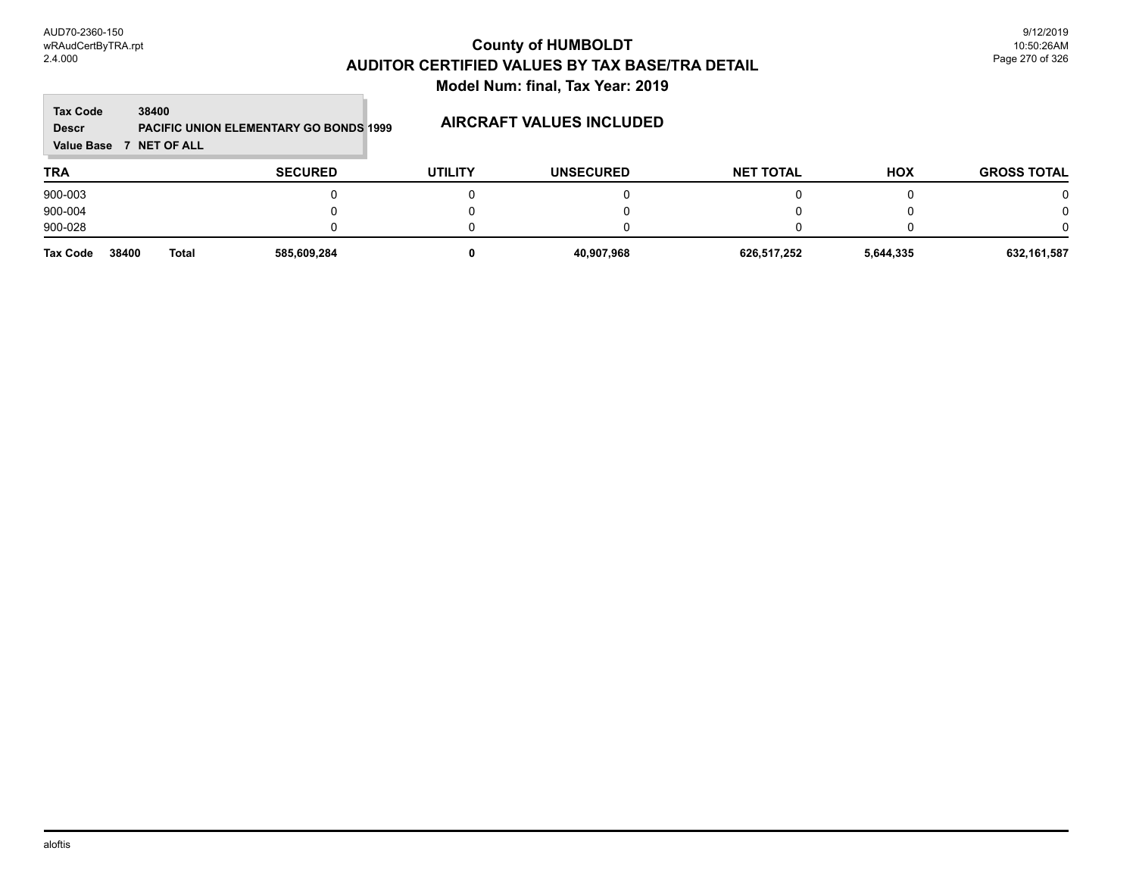$\overline{\phantom{a}}$ 

| <b>Tax Code</b><br><b>Descr</b><br>Value Base | 38400<br><b>NET OF ALL</b><br>$\mathbf{z}$ | <b>PACIFIC UNION ELEMENTARY GO BONDS 1999</b> |                | <b>AIRCRAFT VALUES INCLUDED</b> |                  |            |                    |
|-----------------------------------------------|--------------------------------------------|-----------------------------------------------|----------------|---------------------------------|------------------|------------|--------------------|
| <b>TRA</b>                                    |                                            | <b>SECURED</b>                                | <b>UTILITY</b> | <b>UNSECURED</b>                | <b>NET TOTAL</b> | <b>HOX</b> | <b>GROSS TOTAL</b> |
| 900-003                                       |                                            |                                               |                |                                 |                  |            | 0                  |
| 900-004                                       |                                            |                                               |                |                                 |                  |            | $\Omega$           |
| 900-028                                       |                                            |                                               |                |                                 |                  |            | $\Omega$           |
| <b>Tax Code</b>                               | 38400                                      | <b>Total</b><br>585,609,284                   |                | 40,907,968                      | 626,517,252      | 5,644,335  | 632,161,587        |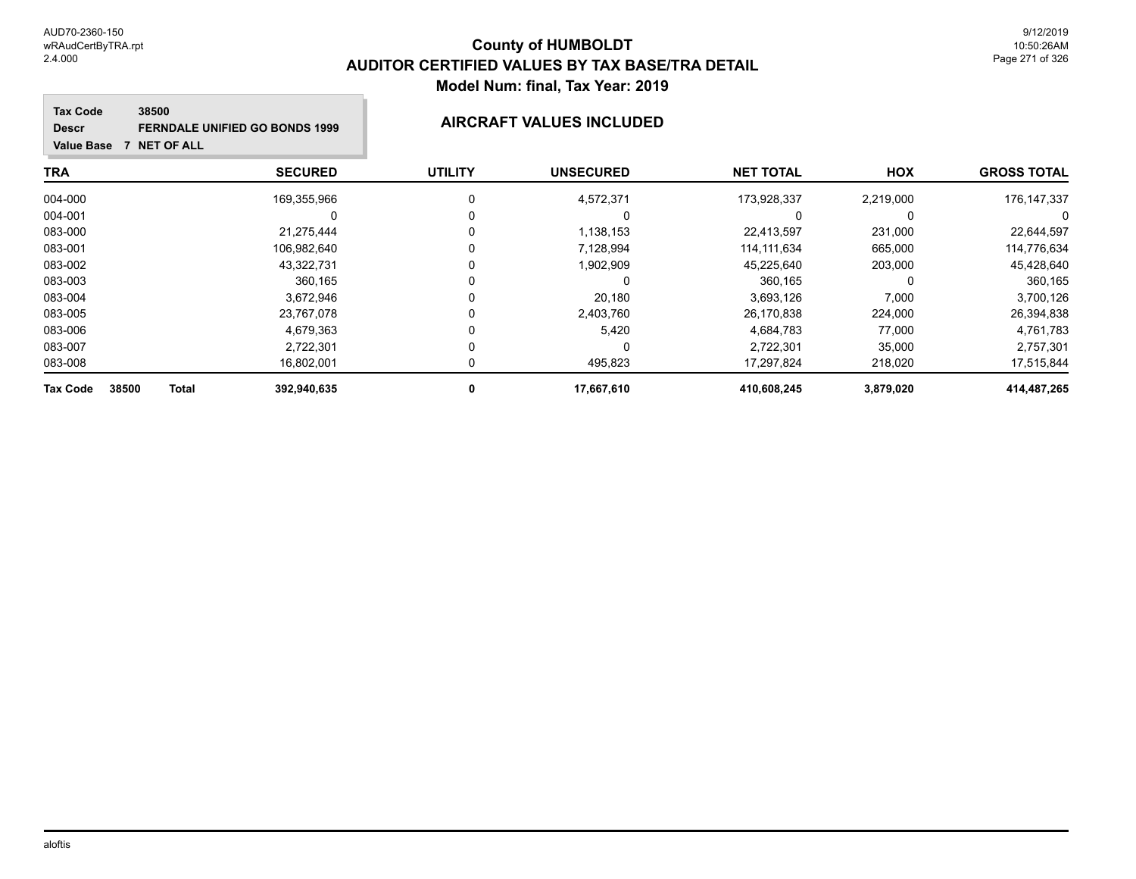# **County of HUMBOLDT AUDITOR CERTIFIED VALUES BY TAX BASE/TRA DETAIL Model Num: final, Tax Year: 2019**

### **Tax Code 38500 Descr FERNDALE UNIFIED GO BONDS 1999 AIRCRAFT VALUES INCLUDED**

| TRA                                      | <b>SECURED</b> | <b>UTILITY</b> | <b>UNSECURED</b> | <b>NET TOTAL</b> | <b>HOX</b> | <b>GROSS TOTAL</b> |
|------------------------------------------|----------------|----------------|------------------|------------------|------------|--------------------|
| 004-000                                  | 169,355,966    |                | 4,572,371        | 173,928,337      | 2,219,000  | 176, 147, 337      |
| 004-001                                  |                |                |                  |                  |            |                    |
| 083-000                                  | 21,275,444     | 0              | 1,138,153        | 22,413,597       | 231,000    | 22,644,597         |
| 083-001                                  | 106,982,640    |                | 7,128,994        | 114.111.634      | 665,000    | 114,776,634        |
| 083-002                                  | 43,322,731     |                | 1,902,909        | 45,225,640       | 203,000    | 45,428,640         |
| 083-003                                  | 360,165        |                |                  | 360,165          |            | 360,165            |
| 083-004                                  | 3.672.946      |                | 20.180           | 3,693,126        | 7,000      | 3,700,126          |
| 083-005                                  | 23.767.078     |                | 2,403,760        | 26,170,838       | 224,000    | 26,394,838         |
| 083-006                                  | 4,679,363      |                | 5,420            | 4.684.783        | 77,000     | 4,761,783          |
| 083-007                                  | 2,722,301      |                | 0                | 2,722,301        | 35,000     | 2,757,301          |
| 083-008                                  | 16,802,001     |                | 495,823          | 17.297.824       | 218,020    | 17,515,844         |
| 38500<br><b>Total</b><br><b>Tax Code</b> | 392,940,635    | 0              | 17,667,610       | 410,608,245      | 3,879,020  | 414,487,265        |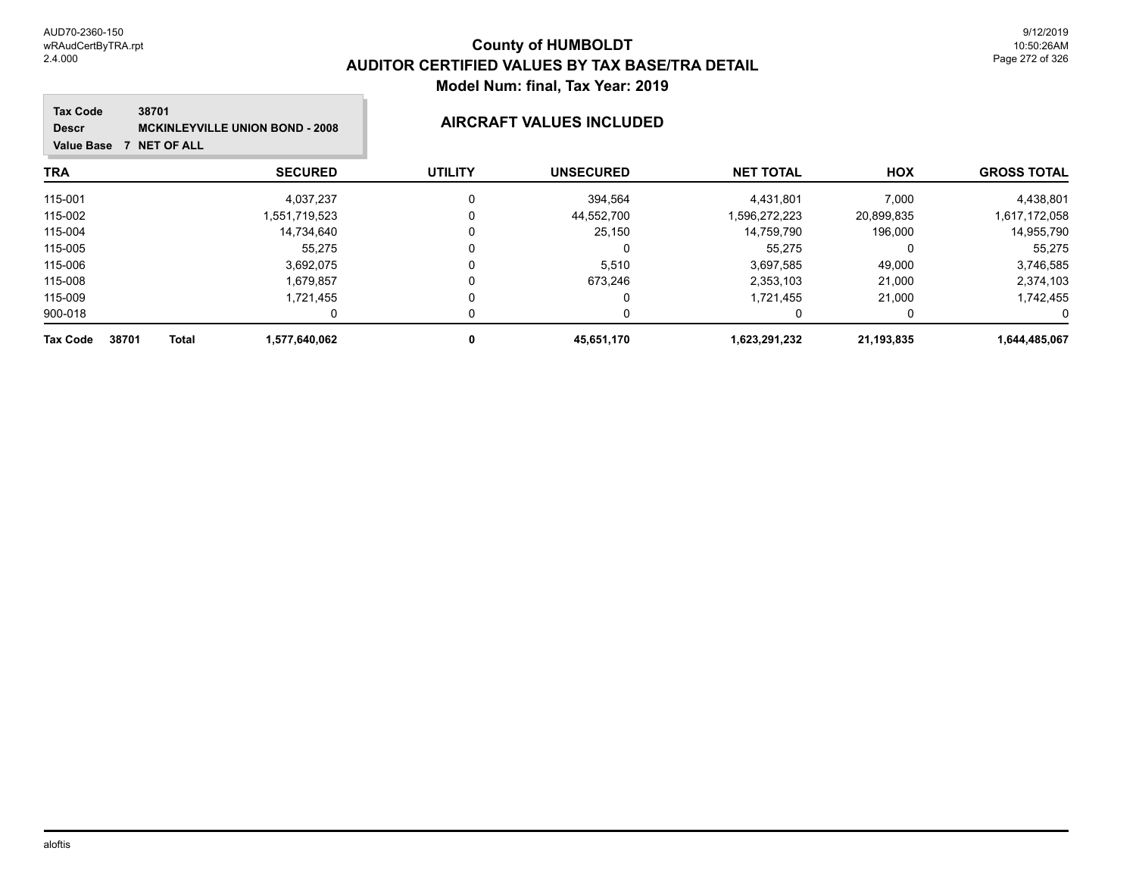| <b>Tax Code</b><br>38701<br><b>Descr</b><br><b>NET OF ALL</b><br><b>Value Base</b> | <b>MCKINLEYVILLE UNION BOND - 2008</b> | AIRCRAFT VALUES INCLUDED |                  |                  |            |                    |  |
|------------------------------------------------------------------------------------|----------------------------------------|--------------------------|------------------|------------------|------------|--------------------|--|
| <b>TRA</b>                                                                         | <b>SECURED</b>                         | <b>UTILITY</b>           | <b>UNSECURED</b> | <b>NET TOTAL</b> | <b>HOX</b> | <b>GROSS TOTAL</b> |  |
| 115-001                                                                            | 4,037,237                              |                          | 394,564          | 4,431,801        | 7,000      | 4,438,801          |  |
| 115-002                                                                            | 1,551,719,523                          |                          | 44,552,700       | 1,596,272,223    | 20,899,835 | 1,617,172,058      |  |
| 115-004                                                                            | 14,734,640                             |                          | 25,150           | 14,759,790       | 196,000    | 14,955,790         |  |
| 115-005                                                                            | 55,275                                 |                          | 0                | 55,275           |            | 55,275             |  |
| 115-006                                                                            | 3,692,075                              |                          | 5,510            | 3,697,585        | 49,000     | 3,746,585          |  |
| 115-008                                                                            | 1,679,857                              |                          | 673,246          | 2,353,103        | 21,000     | 2,374,103          |  |
| 115-009                                                                            | 1,721,455                              |                          | 0                | 1,721,455        | 21,000     | 1,742,455          |  |
| 900-018                                                                            |                                        |                          | 0                |                  |            |                    |  |
| 38701<br>Total<br><b>Tax Code</b>                                                  | 1,577,640,062                          | 0                        | 45,651,170       | 1.623,291,232    | 21,193,835 | 1,644,485,067      |  |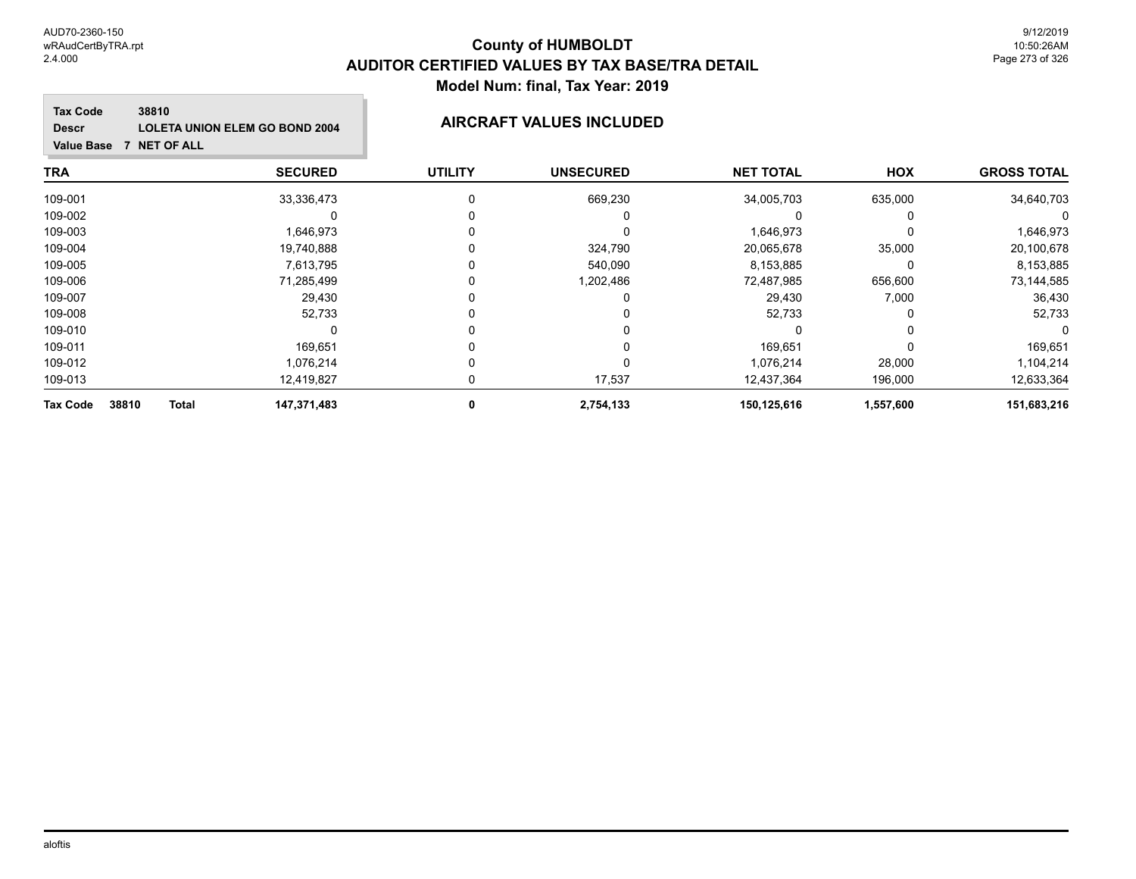# **County of HUMBOLDT AUDITOR CERTIFIED VALUES BY TAX BASE/TRA DETAIL Model Num: final, Tax Year: 2019**

### **Tax Code 38810 Descr LOLETA UNION ELEM GO BOND 2004 AIRCRAFT VALUES INCLUDED**

| <b>TRA</b>                               | <b>SECURED</b> | <b>UTILITY</b> | <b>UNSECURED</b> | <b>NET TOTAL</b> | HOX       | <b>GROSS TOTAL</b> |
|------------------------------------------|----------------|----------------|------------------|------------------|-----------|--------------------|
| 109-001                                  | 33,336,473     |                | 669,230          | 34,005,703       | 635,000   | 34,640,703         |
| 109-002                                  |                |                |                  |                  |           |                    |
| 109-003                                  | 1,646,973      |                | 0                | 1,646,973        |           | 1,646,973          |
| 109-004                                  | 19,740,888     |                | 324,790          | 20,065,678       | 35,000    | 20,100,678         |
| 109-005                                  | 7,613,795      |                | 540,090          | 8,153,885        |           | 8,153,885          |
| 109-006                                  | 71,285,499     |                | 1,202,486        | 72,487,985       | 656,600   | 73,144,585         |
| 109-007                                  | 29,430         |                |                  | 29,430           | 7,000     | 36,430             |
| 109-008                                  | 52,733         | 0              |                  | 52,733           |           | 52,733             |
| 109-010                                  |                |                |                  |                  |           |                    |
| 109-011                                  | 169.651        |                |                  | 169,651          |           | 169,651            |
| 109-012                                  | 1,076,214      | 0              | 0                | 1,076,214        | 28,000    | 1,104,214          |
| 109-013                                  | 12,419,827     | 0              | 17,537           | 12,437,364       | 196,000   | 12,633,364         |
| 38810<br><b>Total</b><br><b>Tax Code</b> | 147,371,483    | 0              | 2,754,133        | 150,125,616      | 1,557,600 | 151,683,216        |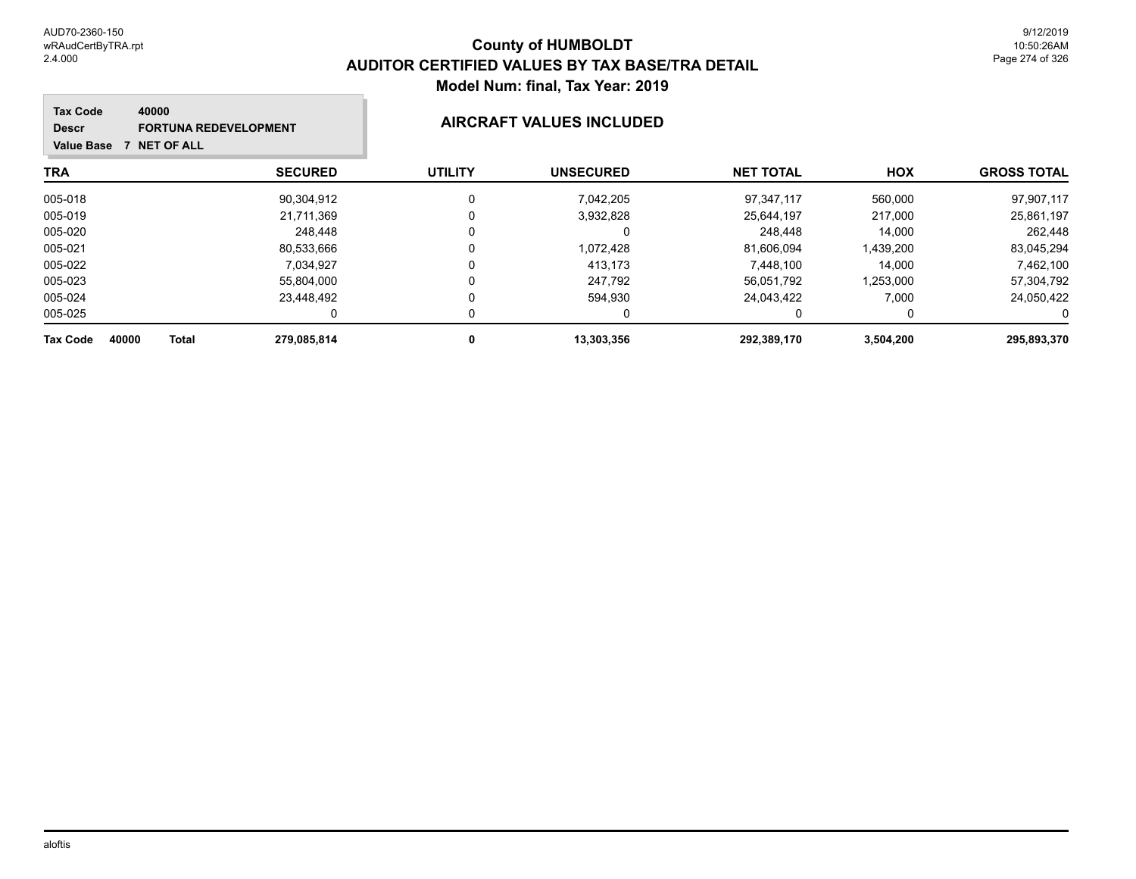### **TRA SECURED UTILITY UNSECURED HOX Tax Code Value Base 7 NET OF ALL 40000 GROSS TOTAL NET TOTAL Descr FORTUNA REDEVELOPMENT AIRCRAFT VALUES INCLUDED** 005-018 90,304,912 0 7,042,205 97,347,117 560,000 97,907,117 005-019 21,711,369 0 3,932,828 25,644,197 217,000 25,861,197 005-020 248,448 0 248,448 14,000 262,448 005-021 80,533,666 0 1,072,428 81,606,094 1,439,200 83,045,294 005-022 7,034,927 0 413,173 7,448,100 14,000 7,462,100 005-023 55,804,000 0 247,792 56,051,792 1,253,000 57,304,792 005-024 23,448,492 0 594,930 24,043,422 7,000 24,050,422 005-025 0 0 0 0 0 0 **Tax Code 40000 Total 279,085,814 0 13,303,356 292,389,170 3,504,200 295,893,370**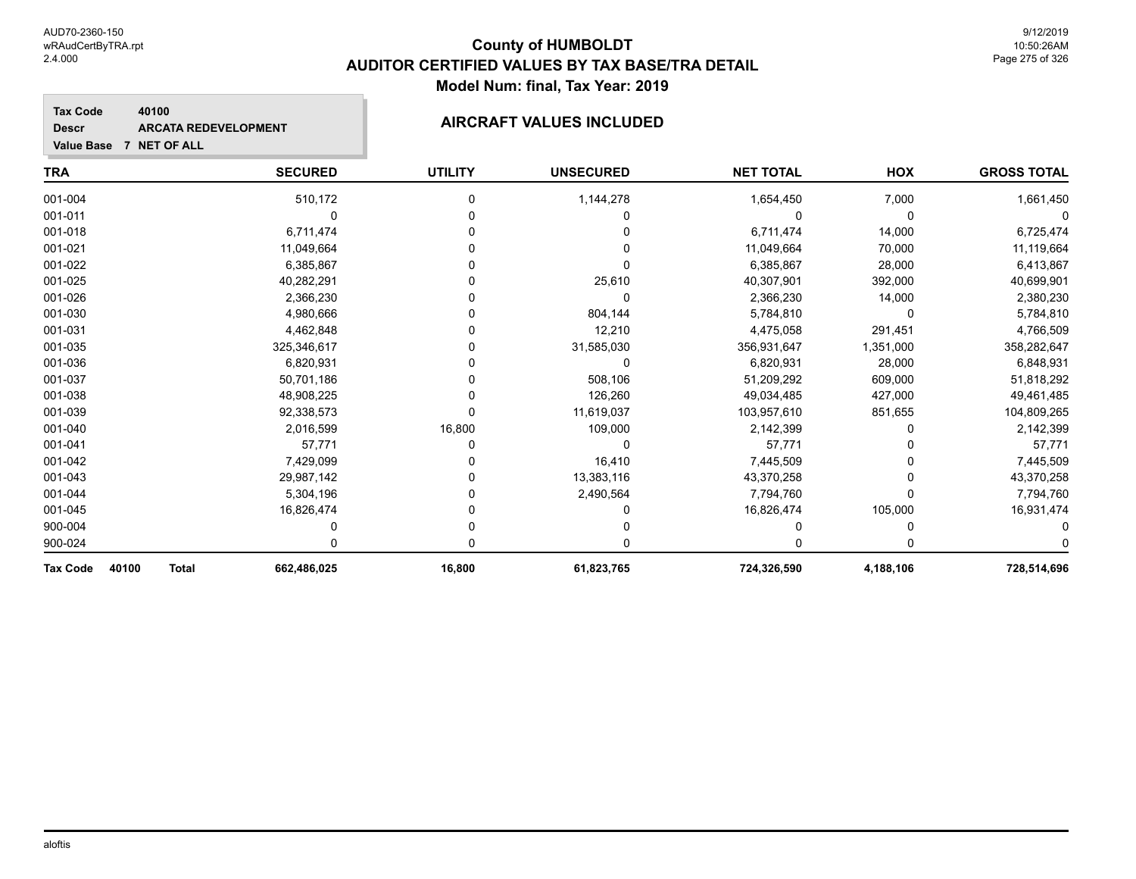### **TRA SECURED UTILITY UNSECURED HOX Tax Code Value Base 7 NET OF ALL 40100 GROSS TOTAL NET TOTAL Descr ARCATA REDEVELOPMENT AIRCRAFT VALUES INCLUDED** 001-004 510,172 0 1,144,278 1,654,450 7,000 1,661,450 001-011 0 0 0 0 0 0 001-018 6,711,474 0 0 6,711,474 14,000 6,725,474 001-021 11,049,664 0 0 11,049,664 70,000 11,119,664 001-022 6,385,867 0 0 6,385,867 28,000 6,413,867 001-025 40,282,291 0 25,610 40,307,901 392,000 40,699,901 001-026 2,366,230 0 0 2,366,230 14,000 2,380,230 001-030 4,980,666 0 804,144 5,784,810 0 5,784,810 001-031 4,462,848 0 12,210 4,475,058 291,451 4,766,509 001-035 325,346,617 0 31,585,030 356,931,647 1,351,000 358,282,647 001-036 6,820,931 0 0 6,820,931 28,000 6,848,931 001-037 50,701,186 0 508,106 51,209,292 609,000 51,818,292 001-038 48,908,225 0 126,260 49,034,485 427,000 49,461,485 001-039 92,338,573 0 11,619,037 103,957,610 851,655 104,809,265 001-040 2,016,599 16,800 109,000 2,142,399 0 2,142,399 001-041 57,771 0 0 57,771 0 57,771 001-042 7,429,099 0 16,410 7,445,509 7,445,509 001-043 29,987,142 0 13,383,116 43,370,258 0 43,370,258 001-044 5,304,196 0 2,490,564 7,794,760 0 7,794,760 001-045 16,826,474 0 0 16,826,474 105,000 16,931,474

900-004 0 0 0 0 0 0 900-024 0 0 0 0 0 0 **Tax Code 40100 Total 662,486,025 16,800 61,823,765 724,326,590 4,188,106 728,514,696**

aloftis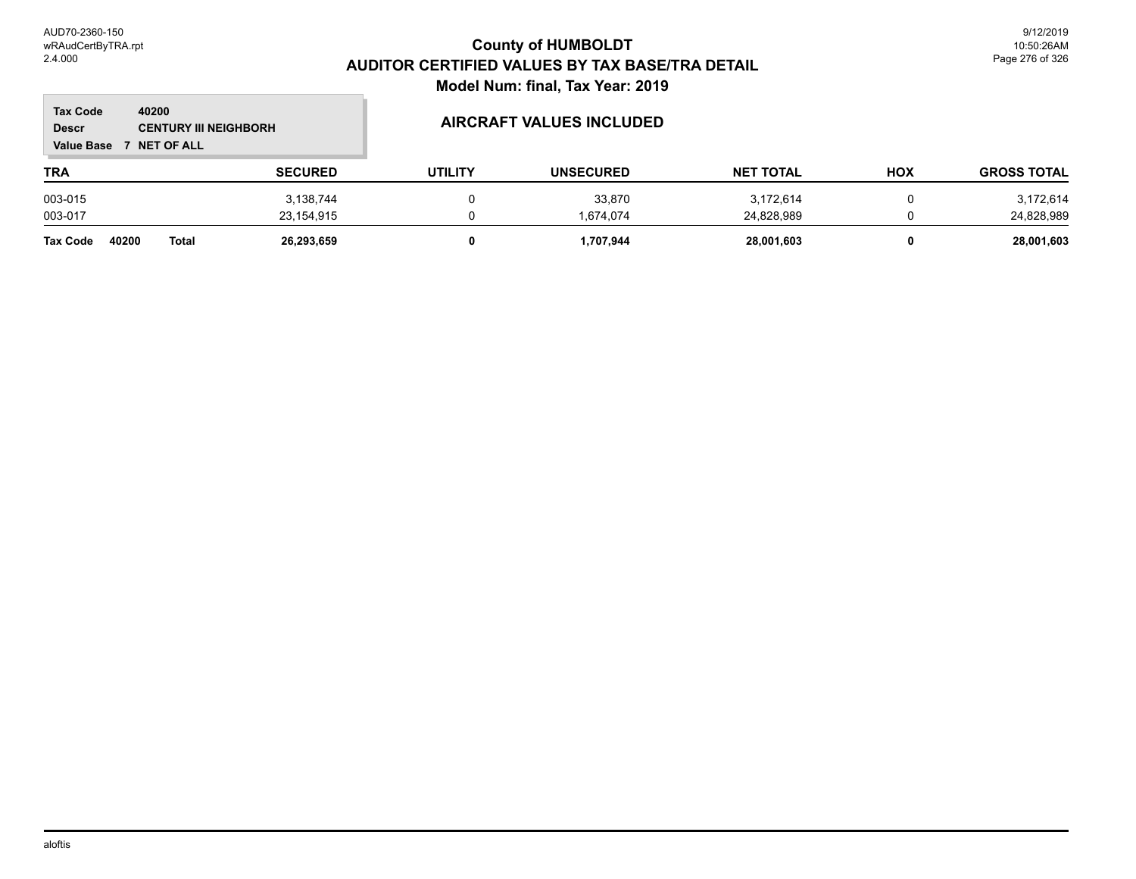$\mathbb{R}^2$ 

| <b>Tax Code</b><br><b>Descr</b><br><b>Value Base</b> | 40200<br><b>CENTURY III NEIGHBORH</b><br><b>NET OF ALL</b> |                | <b>AIRCRAFT VALUES INCLUDED</b> |                  |                  |     |                    |
|------------------------------------------------------|------------------------------------------------------------|----------------|---------------------------------|------------------|------------------|-----|--------------------|
| <b>TRA</b>                                           |                                                            | <b>SECURED</b> | <b>UTILITY</b>                  | <b>UNSECURED</b> | <b>NET TOTAL</b> | HOX | <b>GROSS TOTAL</b> |
| 003-015                                              |                                                            | 3,138,744      | 0                               | 33,870           | 3,172,614        |     | 3,172,614          |
| 003-017                                              |                                                            | 23,154,915     |                                 | 1.674.074        | 24,828,989       |     | 24,828,989         |
| 40200<br>Tax Code                                    | <b>Total</b>                                               | 26,293,659     | 0                               | 1,707,944        | 28,001,603       | 0   | 28,001,603         |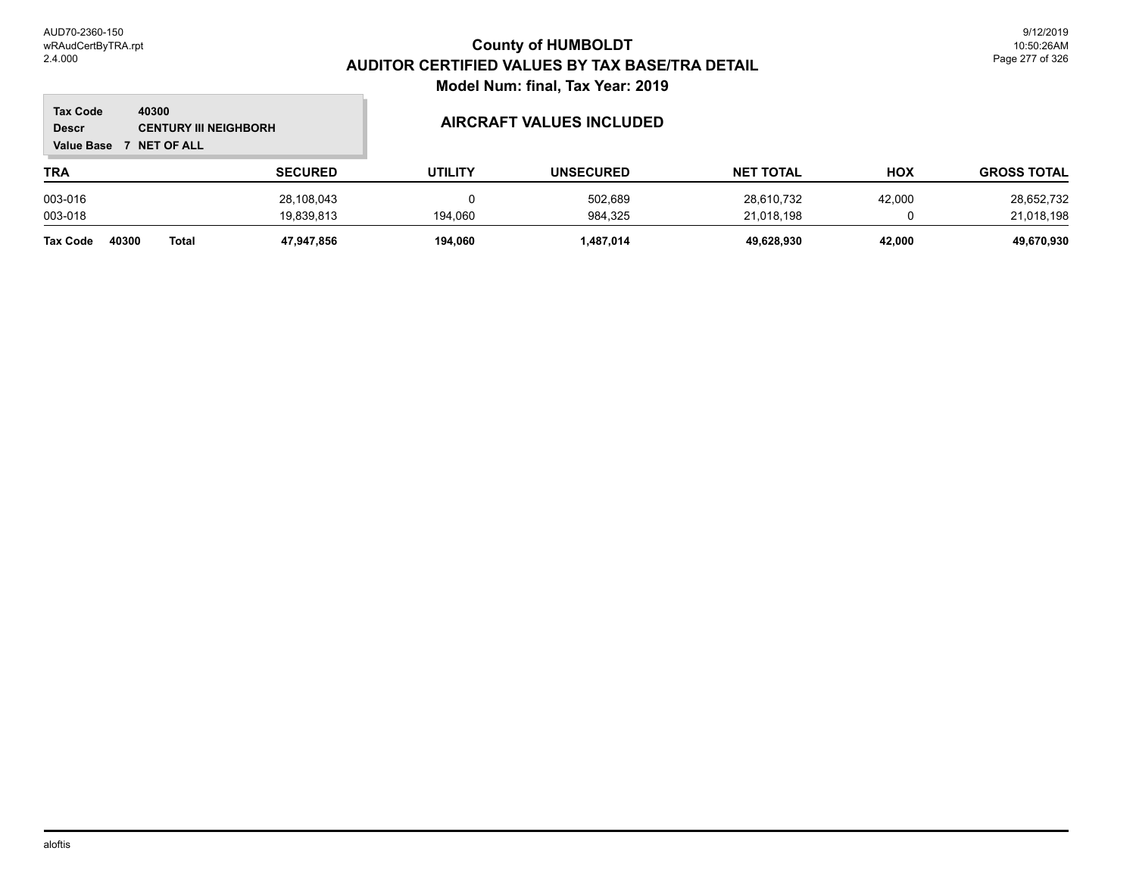### **TRA SECURED UTILITY UNSECURED HOX Tax Code Value Base 7 NET OF ALL 40300 GROSS TOTAL NET TOTAL Descr CENTURY III NEIGHBORH AIRCRAFT VALUES INCLUDED** 003-016 28,108,043 0 502,689 28,610,732 42,000 28,652,732 003-018 19,839,813 194,060 984,325 21,018,198 0 21,018,198

**Tax Code 40300 Total 47,947,856 194,060 1,487,014 49,628,930 42,000 49,670,930**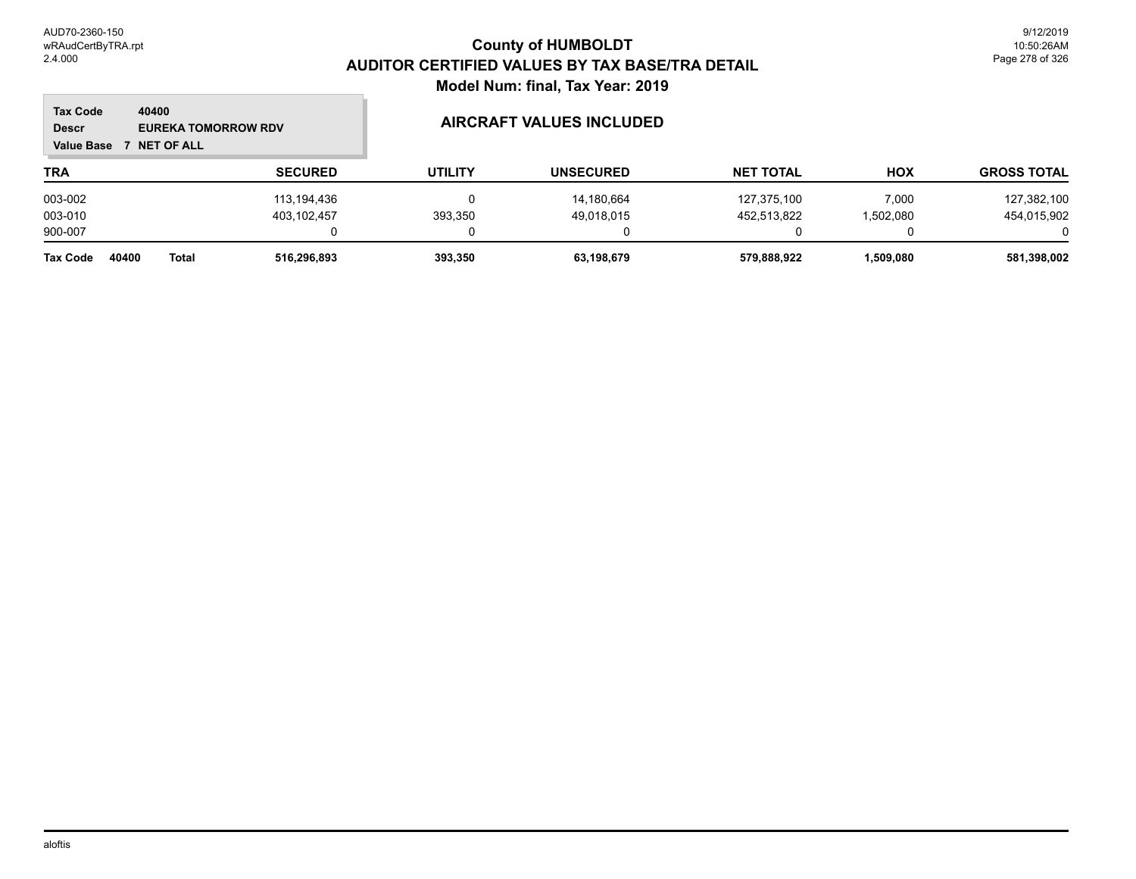### **TRA SECURED UTILITY UNSECURED HOX Tax Code Value Base 7 NET OF ALL 40400 GROSS TOTAL NET TOTAL Descr EUREKA TOMORROW RDV AIRCRAFT VALUES INCLUDED** 003-002 113,194,436 0 14,180,664 127,375,100 7,000 127,382,100 003-010 403,102,457 393,350 49,018,015 452,513,822 1,502,080 454,015,902 900-007 0 0 0 0 0 0 **Tax Code 40400 Total 516,296,893 393,350 63,198,679 579,888,922 1,509,080 581,398,002**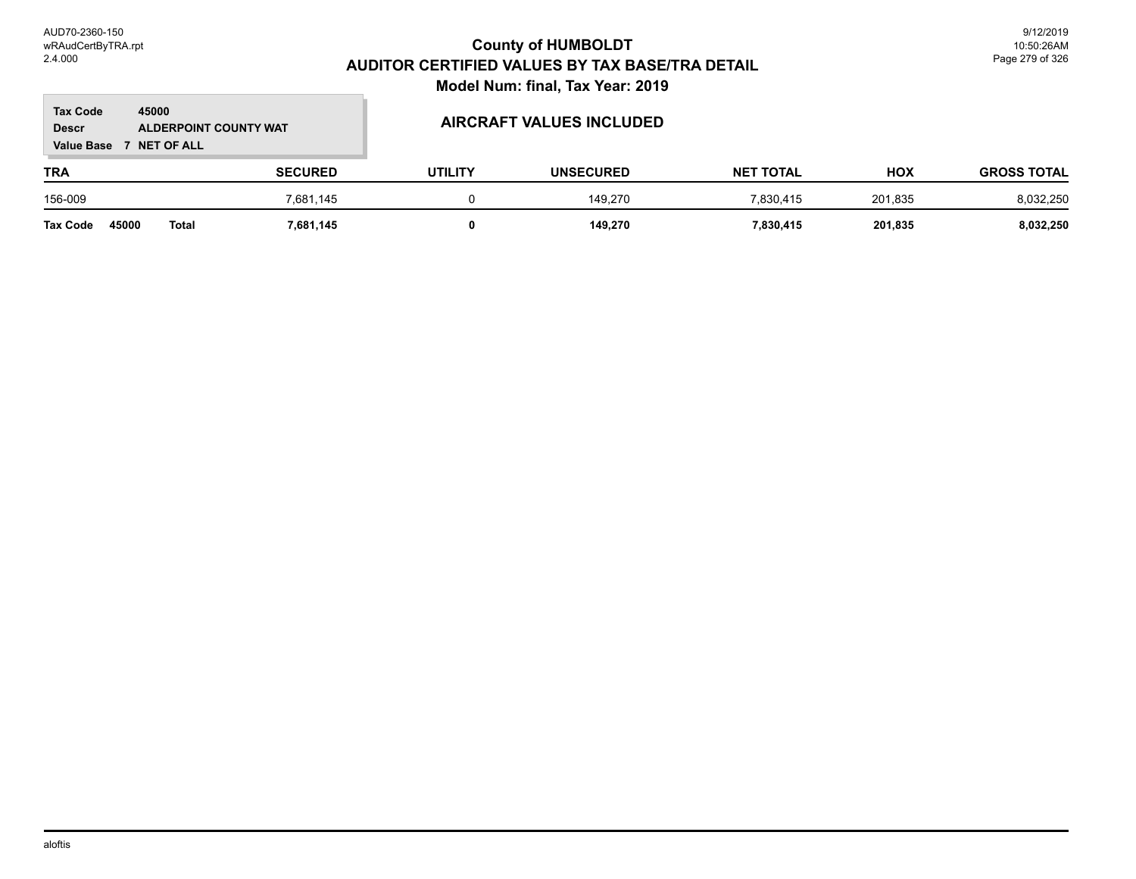### **TRA SECURED UTILITY UNSECURED HOX Tax Code Value Base 7 NET OF ALL 45000 GROSS TOTAL NET TOTAL Descr ALDERPOINT COUNTY WAT AIRCRAFT VALUES INCLUDED** 156-009 7,681,145 0 149,270 7,830,415 201,835 8,032,250 **Tax Code 45000 Total 7,681,145 0 149,270 7,830,415 201,835 8,032,250**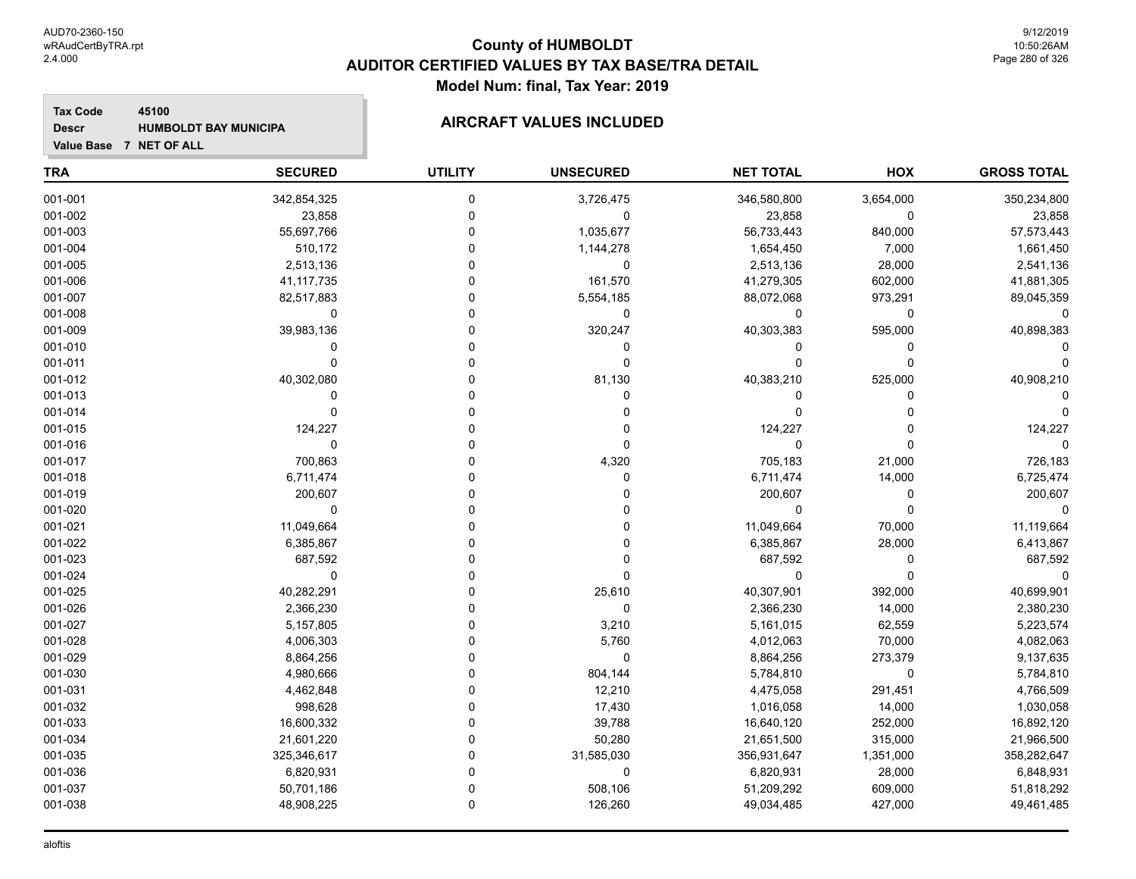### **Tax Code 45100 Descr HUMBOLDT BAY MUNICIPA AIRCRAFT VALUES INCLUDED**

| <b>TRA</b> | <b>SECURED</b> | <b>UTILITY</b> | <b>UNSECURED</b> | <b>NET TOTAL</b> | <b>HOX</b>  | <b>GROSS TOTAL</b> |
|------------|----------------|----------------|------------------|------------------|-------------|--------------------|
| 001-001    | 342,854,325    | $\mathbf 0$    | 3,726,475        | 346,580,800      | 3,654,000   | 350,234,800        |
| 001-002    | 23,858         | $\pmb{0}$      | $\pmb{0}$        | 23,858           | 0           | 23,858             |
| 001-003    | 55,697,766     | $\mathbf 0$    | 1,035,677        | 56,733,443       | 840,000     | 57,573,443         |
| 001-004    | 510,172        | $\Omega$       | 1,144,278        | 1,654,450        | 7,000       | 1,661,450          |
| 001-005    | 2,513,136      | $\Omega$       | $\mathbf 0$      | 2,513,136        | 28,000      | 2,541,136          |
| 001-006    | 41, 117, 735   | $\Omega$       | 161,570          | 41,279,305       | 602,000     | 41,881,305         |
| 001-007    | 82,517,883     | $\Omega$       | 5,554,185        | 88,072,068       | 973,291     | 89,045,359         |
| 001-008    | $\pmb{0}$      | $\mathbf 0$    | $\pmb{0}$        | 0                | 0           | $\Omega$           |
| 001-009    | 39,983,136     | $\Omega$       | 320,247          | 40,303,383       | 595,000     | 40,898,383         |
| 001-010    | $\Omega$       | $\Omega$       | 0                | 0                | 0           |                    |
| 001-011    | $\mathbf 0$    | $\mathbf 0$    | $\mathbf 0$      | $\Omega$         | $\mathbf 0$ |                    |
| 001-012    | 40,302,080     | $\Omega$       | 81,130           | 40,383,210       | 525,000     | 40,908,210         |
| 001-013    | 0              | $\Omega$       | $\Omega$         | 0                | 0           |                    |
| 001-014    | $\mathbf 0$    | $\Omega$       | 0                | $\Omega$         | $\Omega$    |                    |
| 001-015    | 124,227        | $\Omega$       | 0                | 124,227          | 0           | 124,227            |
| 001-016    | $\mathbf 0$    | $\mathbf 0$    | 0                | 0                | $\Omega$    | $\Omega$           |
| 001-017    | 700,863        | $\Omega$       | 4,320            | 705,183          | 21,000      | 726,183            |
| 001-018    | 6,711,474      | $\Omega$       | 0                | 6,711,474        | 14,000      | 6,725,474          |
| 001-019    | 200,607        | $\Omega$       | $\Omega$         | 200,607          | $\mathbf 0$ | 200,607            |
| 001-020    | $\mathbf 0$    | $\Omega$       | 0                | $\Omega$         | $\Omega$    |                    |
| 001-021    | 11,049,664     | $\Omega$       | 0                | 11,049,664       | 70,000      | 11,119,664         |
| 001-022    | 6,385,867      | $\Omega$       | 0                | 6,385,867        | 28,000      | 6,413,867          |
| 001-023    | 687,592        | $\Omega$       | $\Omega$         | 687,592          | $\mathbf 0$ | 687,592            |
| 001-024    | $\mathbf 0$    | $\Omega$       | $\mathbf 0$      | $\mathbf 0$      | $\mathbf 0$ | $\Omega$           |
| 001-025    | 40,282,291     | $\Omega$       | 25,610           | 40,307,901       | 392,000     | 40,699,901         |
| 001-026    | 2,366,230      | $\Omega$       | $\mathbf 0$      | 2,366,230        | 14,000      | 2,380,230          |
| 001-027    | 5,157,805      | $\Omega$       | 3,210            | 5,161,015        | 62,559      | 5,223,574          |
| 001-028    | 4,006,303      | $\Omega$       | 5,760            | 4,012,063        | 70,000      | 4,082,063          |
| 001-029    | 8,864,256      | $\Omega$       | 0                | 8,864,256        | 273,379     | 9,137,635          |
| 001-030    | 4,980,666      | $\mathbf 0$    | 804,144          | 5,784,810        | 0           | 5,784,810          |
| 001-031    | 4,462,848      | $\Omega$       | 12,210           | 4,475,058        | 291,451     | 4,766,509          |
| 001-032    | 998,628        | $\Omega$       | 17,430           | 1,016,058        | 14,000      | 1,030,058          |
| 001-033    | 16,600,332     | $\Omega$       | 39,788           | 16,640,120       | 252,000     | 16,892,120         |
| 001-034    | 21,601,220     | $\Omega$       | 50,280           | 21,651,500       | 315,000     | 21,966,500         |
| 001-035    | 325,346,617    | $\Omega$       | 31,585,030       | 356,931,647      | 1,351,000   | 358,282,647        |
| 001-036    | 6,820,931      | $\Omega$       | $\pmb{0}$        | 6,820,931        | 28,000      | 6,848,931          |
| 001-037    | 50,701,186     | $\mathbf 0$    | 508,106          | 51,209,292       | 609,000     | 51,818,292         |
| 001-038    | 48,908,225     | $\mathbf 0$    | 126,260          | 49,034,485       | 427,000     | 49,461,485         |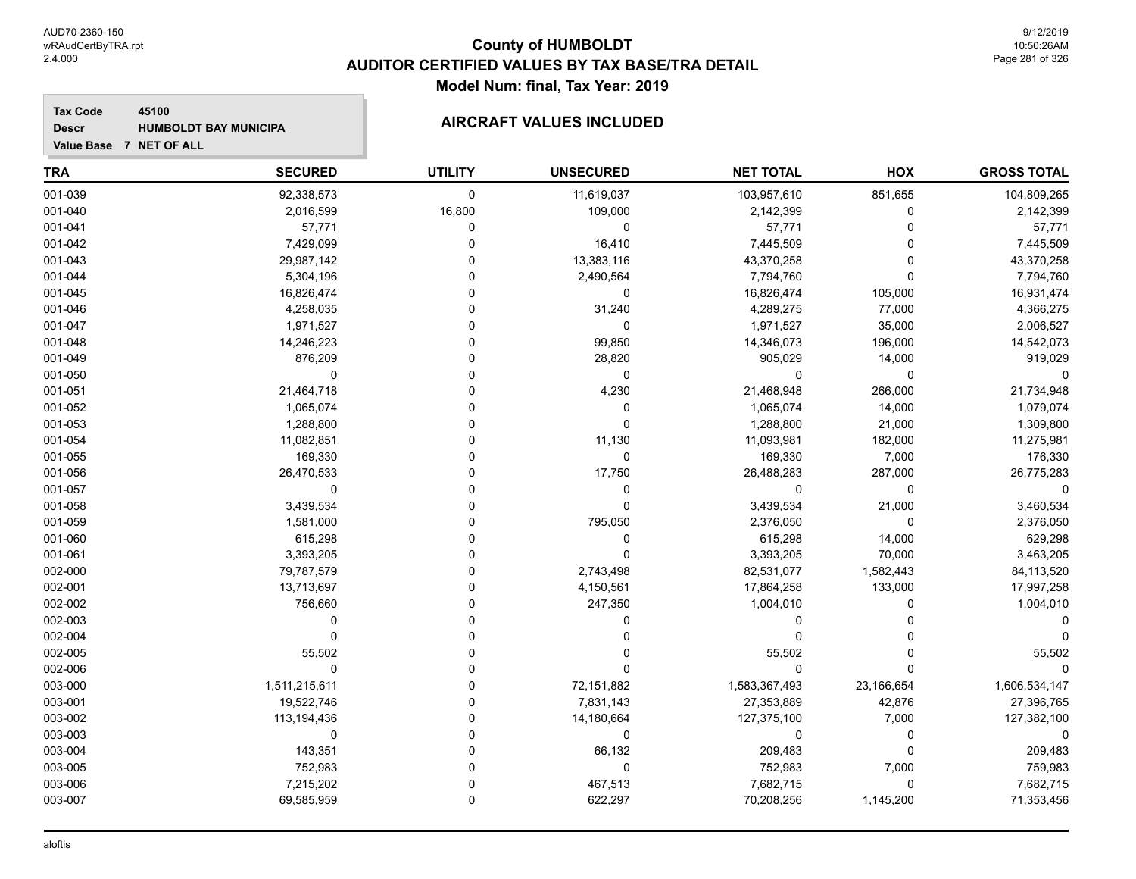### **Tax Code 45100 Descr**

# **HUMBOLDT BAY MUNICIPA AIRCRAFT VALUES INCLUDED**

| <b>TRA</b> | <b>SECURED</b> | <b>UTILITY</b> | <b>UNSECURED</b> | <b>NET TOTAL</b> | HOX         | <b>GROSS TOTAL</b> |
|------------|----------------|----------------|------------------|------------------|-------------|--------------------|
| 001-039    | 92,338,573     | 0              | 11,619,037       | 103,957,610      | 851,655     | 104,809,265        |
| 001-040    | 2,016,599      | 16,800         | 109,000          | 2,142,399        | $\Omega$    | 2,142,399          |
| 001-041    | 57,771         | 0              | 0                | 57,771           | $\Omega$    | 57,771             |
| 001-042    | 7,429,099      | $\Omega$       | 16,410           | 7,445,509        | $\Omega$    | 7,445,509          |
| 001-043    | 29,987,142     | ۵              | 13,383,116       | 43,370,258       | $\Omega$    | 43,370,258         |
| 001-044    | 5,304,196      | 0              | 2,490,564        | 7,794,760        | $\Omega$    | 7,794,760          |
| 001-045    | 16,826,474     | 0              | 0                | 16,826,474       | 105,000     | 16,931,474         |
| 001-046    | 4,258,035      | O              | 31,240           | 4,289,275        | 77,000      | 4,366,275          |
| 001-047    | 1,971,527      | $\Omega$       | 0                | 1,971,527        | 35,000      | 2,006,527          |
| 001-048    | 14,246,223     | $\Omega$       | 99,850           | 14,346,073       | 196,000     | 14,542,073         |
| 001-049    | 876,209        | $\Omega$       | 28,820           | 905,029          | 14,000      | 919,029            |
| 001-050    | $\Omega$       | $\Omega$       | 0                | 0                | $\Omega$    |                    |
| 001-051    | 21,464,718     | O              | 4,230            | 21,468,948       | 266,000     | 21,734,948         |
| 001-052    | 1,065,074      | 0              | 0                | 1,065,074        | 14,000      | 1,079,074          |
| 001-053    | 1,288,800      | 0              | 0                | 1,288,800        | 21,000      | 1,309,800          |
| 001-054    | 11,082,851     | 0              | 11,130           | 11,093,981       | 182,000     | 11,275,981         |
| 001-055    | 169,330        | O              | 0                | 169,330          | 7,000       | 176,330            |
| 001-056    | 26,470,533     | $\Omega$       | 17,750           | 26,488,283       | 287,000     | 26,775,283         |
| 001-057    | $\mathbf 0$    | $\Omega$       | 0                | 0                | $\Omega$    |                    |
| 001-058    | 3,439,534      | $\Omega$       | 0                | 3,439,534        | 21,000      | 3,460,534          |
| 001-059    | 1,581,000      | U              | 795,050          | 2,376,050        | $\Omega$    | 2,376,050          |
| 001-060    | 615,298        | $\Omega$       | 0                | 615,298          | 14,000      | 629,298            |
| 001-061    | 3,393,205      | 0              | $\Omega$         | 3,393,205        | 70,000      | 3,463,205          |
| 002-000    | 79,787,579     | $\Omega$       | 2,743,498        | 82,531,077       | 1,582,443   | 84,113,520         |
| 002-001    | 13,713,697     | 0              | 4,150,561        | 17,864,258       | 133,000     | 17,997,258         |
| 002-002    | 756,660        | O              | 247,350          | 1,004,010        | $\Omega$    | 1,004,010          |
| 002-003    | $\Omega$       | $\Omega$       | 0                | 0                | $\Omega$    |                    |
| 002-004    | $\Omega$       | $\Omega$       | 0                | 0                |             |                    |
| 002-005    | 55,502         | $\Omega$       | 0                | 55,502           |             | 55,502             |
| 002-006    | 0              | $\Omega$       | 0                | 0                | $\Omega$    |                    |
| 003-000    | 1,511,215,611  | $\Omega$       | 72,151,882       | 1,583,367,493    | 23,166,654  | 1,606,534,147      |
| 003-001    | 19,522,746     | $\Omega$       | 7,831,143        | 27,353,889       | 42,876      | 27,396,765         |
| 003-002    | 113,194,436    | $\Omega$       | 14,180,664       | 127,375,100      | 7,000       | 127,382,100        |
| 003-003    | $\mathbf 0$    | $\Omega$       | 0                | 0                | $\mathbf 0$ | $\Omega$           |
| 003-004    | 143,351        | O              | 66,132           | 209,483          | $\Omega$    | 209,483            |
| 003-005    | 752,983        | $\Omega$       | 0                | 752,983          | 7,000       | 759,983            |
| 003-006    | 7,215,202      | $\Omega$       | 467,513          | 7,682,715        | $\Omega$    | 7,682,715          |
| 003-007    | 69,585,959     | $\mathbf 0$    | 622,297          | 70,208,256       | 1,145,200   | 71,353,456         |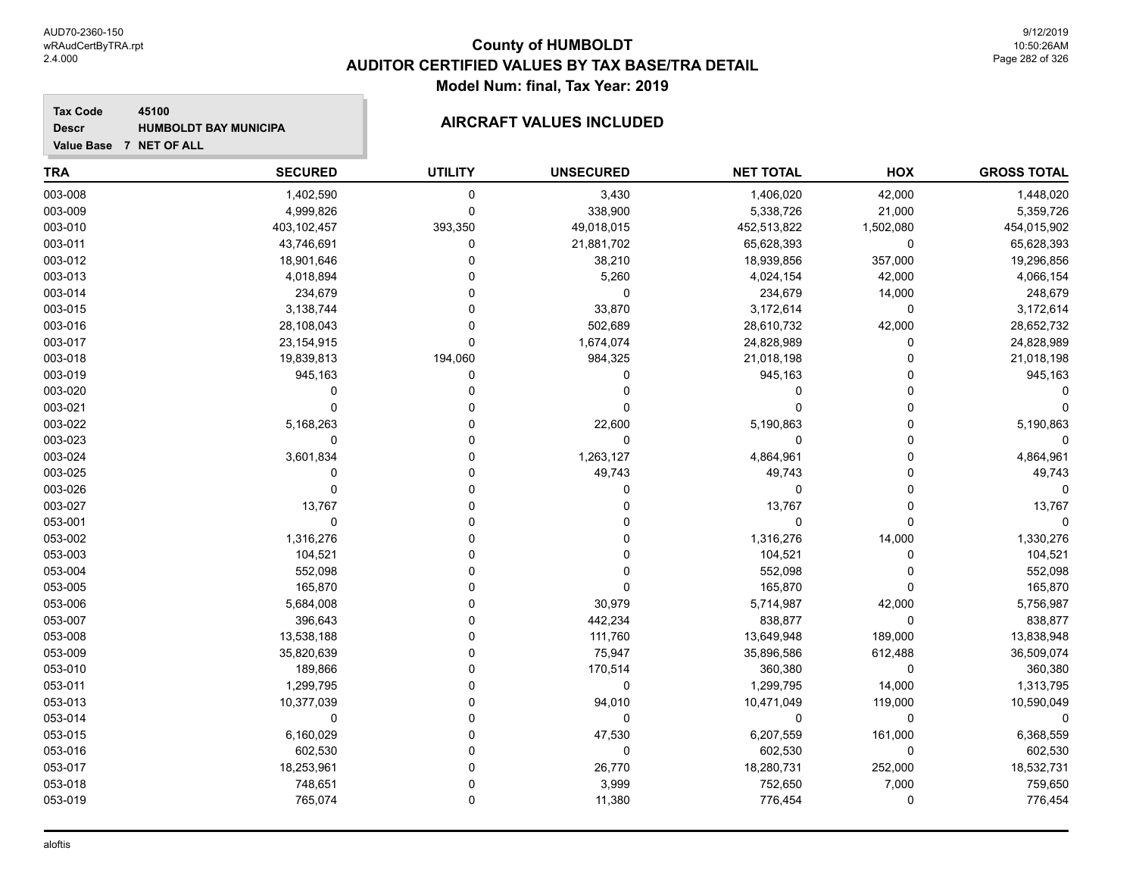**Tax Code 45100 Descr**

# **HUMBOLDT BAY MUNICIPA AIRCRAFT VALUES INCLUDED**

| <b>TRA</b> | <b>SECURED</b> | <b>UTILITY</b> | <b>UNSECURED</b> | <b>NET TOTAL</b> | HOX          | <b>GROSS TOTAL</b> |
|------------|----------------|----------------|------------------|------------------|--------------|--------------------|
| 003-008    | 1,402,590      | 0              | 3,430            | 1,406,020        | 42,000       | 1,448,020          |
| 003-009    | 4,999,826      | $\mathbf 0$    | 338,900          | 5,338,726        | 21,000       | 5,359,726          |
| 003-010    | 403,102,457    | 393,350        | 49,018,015       | 452,513,822      | 1,502,080    | 454,015,902        |
| 003-011    | 43,746,691     | $\mathbf 0$    | 21,881,702       | 65,628,393       | $\mathbf 0$  | 65,628,393         |
| 003-012    | 18,901,646     | $\Omega$       | 38,210           | 18,939,856       | 357,000      | 19,296,856         |
| 003-013    | 4,018,894      | 0              | 5,260            | 4,024,154        | 42,000       | 4,066,154          |
| 003-014    | 234,679        | $\Omega$       | 0                | 234,679          | 14,000       | 248,679            |
| 003-015    | 3,138,744      | $\Omega$       | 33,870           | 3,172,614        | $\mathbf 0$  | 3,172,614          |
| 003-016    | 28,108,043     | $\Omega$       | 502,689          | 28,610,732       | 42,000       | 28,652,732         |
| 003-017    | 23, 154, 915   | $\mathbf{0}$   | 1,674,074        | 24,828,989       | $\Omega$     | 24,828,989         |
| 003-018    | 19,839,813     | 194,060        | 984,325          | 21,018,198       | $\Omega$     | 21,018,198         |
| 003-019    | 945,163        | 0              | 0                | 945,163          | $\Omega$     | 945,163            |
| 003-020    | 0              | 0              | 0                | 0                | $\mathbf{0}$ |                    |
| 003-021    | $\mathbf 0$    | 0              | 0                | 0                | $\Omega$     |                    |
| 003-022    | 5,168,263      | $\Omega$       | 22,600           | 5,190,863        | $\Omega$     | 5,190,863          |
| 003-023    | $\mathbf 0$    | $\Omega$       | 0                | 0                | $\Omega$     | $\Omega$           |
| 003-024    | 3,601,834      | $\Omega$       | 1,263,127        | 4,864,961        | $\Omega$     | 4,864,961          |
| 003-025    | $\Omega$       | $\Omega$       | 49,743           | 49,743           | $\Omega$     | 49,743             |
| 003-026    | $\mathbf 0$    | $\Omega$       | 0                | 0                | $\Omega$     | $\Omega$           |
| 003-027    | 13,767         | $\Omega$       | 0                | 13,767           | $\Omega$     | 13,767             |
| 053-001    | $\mathbf 0$    | $\Omega$       | 0                | 0                | $\Omega$     | $\Omega$           |
| 053-002    | 1,316,276      | $\Omega$       | 0                | 1,316,276        | 14,000       | 1,330,276          |
| 053-003    | 104,521        | $\Omega$       | 0                | 104,521          | $\mathbf{0}$ | 104,521            |
| 053-004    | 552,098        | $\Omega$       | 0                | 552,098          | $\Omega$     | 552,098            |
| 053-005    | 165,870        | $\Omega$       | $\Omega$         | 165,870          | $\Omega$     | 165,870            |
| 053-006    | 5,684,008      | $\Omega$       | 30,979           | 5,714,987        | 42,000       | 5,756,987          |
| 053-007    | 396,643        | $\Omega$       | 442,234          | 838,877          | $\mathbf 0$  | 838,877            |
| 053-008    | 13,538,188     | $\Omega$       | 111,760          | 13,649,948       | 189,000      | 13,838,948         |
| 053-009    | 35,820,639     | $\Omega$       | 75,947           | 35,896,586       | 612,488      | 36,509,074         |
| 053-010    | 189,866        | $\Omega$       | 170,514          | 360,380          | $\mathbf 0$  | 360,380            |
| 053-011    | 1,299,795      | $\Omega$       | 0                | 1,299,795        | 14,000       | 1,313,795          |
| 053-013    | 10,377,039     | $\Omega$       | 94,010           | 10,471,049       | 119,000      | 10,590,049         |
| 053-014    | 0              | $\Omega$       | 0                | 0                | 0            | 0                  |
| 053-015    | 6,160,029      | $\Omega$       | 47,530           | 6,207,559        | 161,000      | 6,368,559          |
| 053-016    | 602,530        | $\Omega$       | 0                | 602,530          | 0            | 602,530            |
| 053-017    | 18,253,961     | $\Omega$       | 26,770           | 18,280,731       | 252,000      | 18,532,731         |
| 053-018    | 748,651        | $\Omega$       | 3,999            | 752,650          | 7,000        | 759,650            |
| 053-019    | 765,074        | $\mathbf 0$    | 11,380           | 776,454          | $\mathbf 0$  | 776,454            |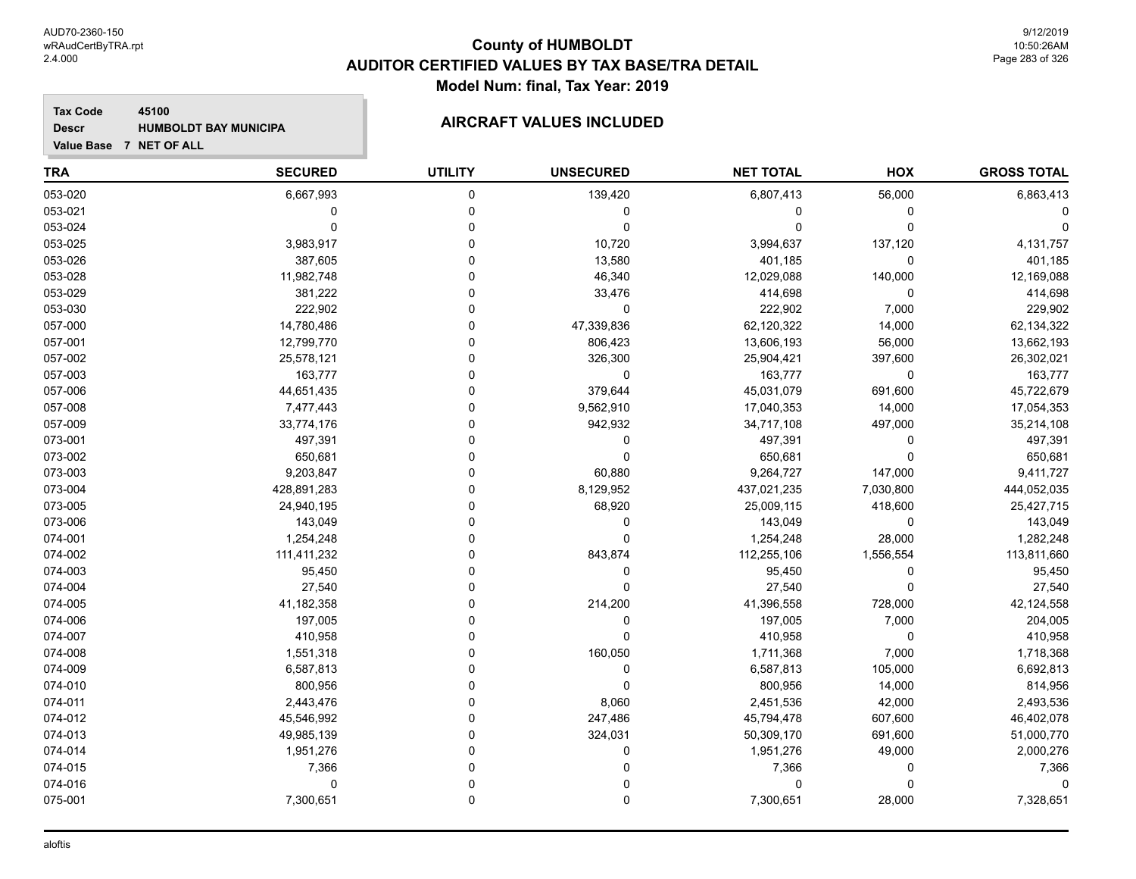**Tax Code 45100 Descr**

# **HUMBOLDT BAY MUNICIPA AIRCRAFT VALUES INCLUDED**

| <b>TRA</b> | <b>SECURED</b> | <b>UTILITY</b> | <b>UNSECURED</b> | <b>NET TOTAL</b> | HOX         | <b>GROSS TOTAL</b> |
|------------|----------------|----------------|------------------|------------------|-------------|--------------------|
| 053-020    | 6,667,993      | $\mathbf 0$    | 139,420          | 6,807,413        | 56,000      | 6,863,413          |
| 053-021    | $\mathbf 0$    | $\mathbf 0$    | 0                | $\mathbf{0}$     | 0           |                    |
| 053-024    | 0              | $\Omega$       | 0                | 0                | $\mathbf 0$ |                    |
| 053-025    | 3,983,917      | $\Omega$       | 10,720           | 3,994,637        | 137,120     | 4,131,757          |
| 053-026    | 387,605        | $\Omega$       | 13,580           | 401,185          | $\mathbf 0$ | 401,185            |
| 053-028    | 11,982,748     | $\Omega$       | 46,340           | 12,029,088       | 140,000     | 12,169,088         |
| 053-029    | 381,222        | $\Omega$       | 33,476           | 414,698          | $\mathbf 0$ | 414,698            |
| 053-030    | 222,902        | $\Omega$       | 0                | 222,902          | 7,000       | 229,902            |
| 057-000    | 14,780,486     | $\Omega$       | 47,339,836       | 62,120,322       | 14,000      | 62,134,322         |
| 057-001    | 12,799,770     | $\Omega$       | 806,423          | 13,606,193       | 56,000      | 13,662,193         |
| 057-002    | 25,578,121     | $\Omega$       | 326,300          | 25,904,421       | 397,600     | 26,302,021         |
| 057-003    | 163,777        | $\Omega$       | $\mathbf 0$      | 163,777          | $\mathbf 0$ | 163,777            |
| 057-006    | 44,651,435     | $\Omega$       | 379,644          | 45,031,079       | 691,600     | 45,722,679         |
| 057-008    | 7,477,443      | $\Omega$       | 9,562,910        | 17,040,353       | 14,000      | 17,054,353         |
| 057-009    | 33,774,176     | $\mathbf 0$    | 942,932          | 34,717,108       | 497,000     | 35,214,108         |
| 073-001    | 497,391        | $\mathbf 0$    | 0                | 497,391          | 0           | 497,391            |
| 073-002    | 650,681        | $\Omega$       | 0                | 650,681          | $\mathbf 0$ | 650,681            |
| 073-003    | 9,203,847      | $\Omega$       | 60,880           | 9,264,727        | 147,000     | 9,411,727          |
| 073-004    | 428,891,283    | $\Omega$       | 8,129,952        | 437,021,235      | 7,030,800   | 444,052,035        |
| 073-005    | 24,940,195     | $\Omega$       | 68,920           | 25,009,115       | 418,600     | 25,427,715         |
| 073-006    | 143,049        | $\Omega$       | $\mathbf 0$      | 143,049          | $\mathbf 0$ | 143,049            |
| 074-001    | 1,254,248      | $\Omega$       | $\Omega$         | 1,254,248        | 28,000      | 1,282,248          |
| 074-002    | 111,411,232    | $\Omega$       | 843,874          | 112,255,106      | 1,556,554   | 113,811,660        |
| 074-003    | 95,450         | $\Omega$       | 0                | 95,450           | 0           | 95,450             |
| 074-004    | 27,540         | $\Omega$       | $\Omega$         | 27,540           | $\mathbf 0$ | 27,540             |
| 074-005    | 41,182,358     | $\Omega$       | 214,200          | 41,396,558       | 728,000     | 42,124,558         |
| 074-006    | 197,005        | $\Omega$       | 0                | 197,005          | 7,000       | 204,005            |
| 074-007    | 410,958        | $\Omega$       | $\Omega$         | 410,958          | $\mathbf 0$ | 410,958            |
| 074-008    | 1,551,318      | $\Omega$       | 160,050          | 1,711,368        | 7,000       | 1,718,368          |
| 074-009    | 6,587,813      | $\Omega$       | $\mathbf 0$      | 6,587,813        | 105,000     | 6,692,813          |
| 074-010    | 800,956        | $\Omega$       | $\mathbf 0$      | 800,956          | 14,000      | 814,956            |
| 074-011    | 2,443,476      | $\Omega$       | 8,060            | 2,451,536        | 42,000      | 2,493,536          |
| 074-012    | 45,546,992     | $\Omega$       | 247,486          | 45,794,478       | 607,600     | 46,402,078         |
| 074-013    | 49,985,139     | $\Omega$       | 324,031          | 50,309,170       | 691,600     | 51,000,770         |
| 074-014    | 1,951,276      | $\Omega$       | $\Omega$         | 1,951,276        | 49,000      | 2,000,276          |
| 074-015    | 7,366          | $\Omega$       | $\Omega$         | 7,366            | 0           | 7,366              |
| 074-016    | $\Omega$       | $\Omega$       | $\Omega$         | $\Omega$         | $\Omega$    | O                  |
| 075-001    | 7,300,651      | $\Omega$       | $\mathbf{0}$     | 7,300,651        | 28,000      | 7,328,651          |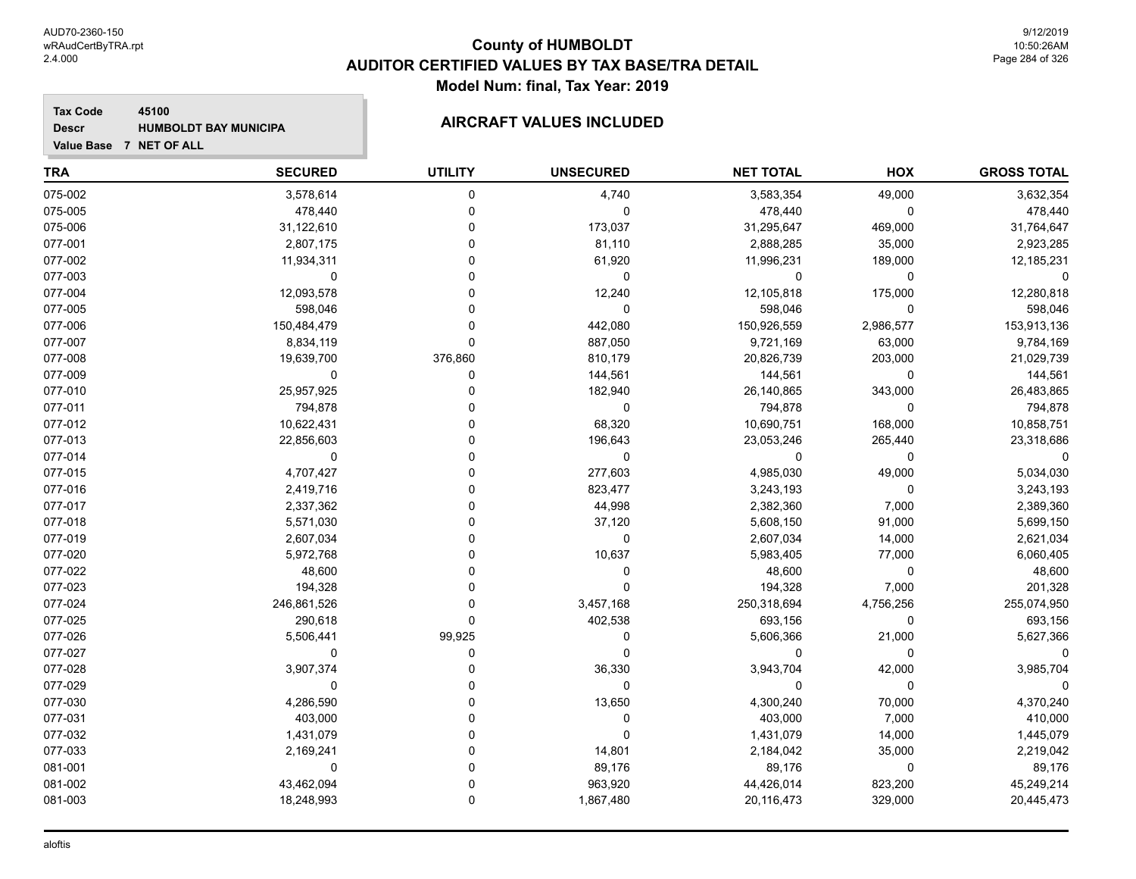**Tax Code 45100 Descr**

# **HUMBOLDT BAY MUNICIPA AIRCRAFT VALUES INCLUDED**

| <b>TRA</b> | <b>SECURED</b> | <b>UTILITY</b> | <b>UNSECURED</b> | <b>NET TOTAL</b> | HOX         | <b>GROSS TOTAL</b> |
|------------|----------------|----------------|------------------|------------------|-------------|--------------------|
| 075-002    | 3,578,614      | 0              | 4,740            | 3,583,354        | 49,000      | 3,632,354          |
| 075-005    | 478,440        | $\mathbf 0$    | 0                | 478,440          | 0           | 478,440            |
| 075-006    | 31,122,610     | $\Omega$       | 173,037          | 31,295,647       | 469,000     | 31,764,647         |
| 077-001    | 2,807,175      | $\Omega$       | 81,110           | 2,888,285        | 35,000      | 2,923,285          |
| 077-002    | 11,934,311     | $\Omega$       | 61,920           | 11,996,231       | 189,000     | 12,185,231         |
| 077-003    | 0              | 0              | 0                | 0                | 0           |                    |
| 077-004    | 12,093,578     | 0              | 12,240           | 12,105,818       | 175,000     | 12,280,818         |
| 077-005    | 598,046        | $\Omega$       | 0                | 598,046          | $\mathbf 0$ | 598,046            |
| 077-006    | 150,484,479    | $\Omega$       | 442,080          | 150,926,559      | 2,986,577   | 153,913,136        |
| 077-007    | 8,834,119      | $\mathbf{0}$   | 887,050          | 9,721,169        | 63,000      | 9,784,169          |
| 077-008    | 19,639,700     | 376,860        | 810,179          | 20,826,739       | 203,000     | 21,029,739         |
| 077-009    | 0              | 0              | 144,561          | 144,561          | $\Omega$    | 144,561            |
| 077-010    | 25,957,925     | 0              | 182,940          | 26,140,865       | 343,000     | 26,483,865         |
| 077-011    | 794,878        | $\Omega$       | 0                | 794,878          | 0           | 794,878            |
| 077-012    | 10,622,431     | 0              | 68,320           | 10,690,751       | 168,000     | 10,858,751         |
| 077-013    | 22,856,603     | $\Omega$       | 196,643          | 23,053,246       | 265,440     | 23,318,686         |
| 077-014    | 0              | $\Omega$       | 0                | 0                | 0           | $\mathbf 0$        |
| 077-015    | 4,707,427      | $\Omega$       | 277,603          | 4,985,030        | 49,000      | 5,034,030          |
| 077-016    | 2,419,716      | $\Omega$       | 823,477          | 3,243,193        | 0           | 3,243,193          |
| 077-017    | 2,337,362      | $\Omega$       | 44,998           | 2,382,360        | 7,000       | 2,389,360          |
| 077-018    | 5,571,030      | $\Omega$       | 37,120           | 5,608,150        | 91,000      | 5,699,150          |
| 077-019    | 2,607,034      | $\Omega$       | 0                | 2,607,034        | 14,000      | 2,621,034          |
| 077-020    | 5,972,768      | $\Omega$       | 10,637           | 5,983,405        | 77,000      | 6,060,405          |
| 077-022    | 48,600         | $\Omega$       | 0                | 48,600           | 0           | 48,600             |
| 077-023    | 194,328        | $\Omega$       | $\Omega$         | 194,328          | 7,000       | 201,328            |
| 077-024    | 246,861,526    | $\Omega$       | 3,457,168        | 250,318,694      | 4,756,256   | 255,074,950        |
| 077-025    | 290,618        | $\Omega$       | 402,538          | 693,156          | $\mathbf 0$ | 693,156            |
| 077-026    | 5,506,441      | 99,925         | 0                | 5,606,366        | 21,000      | 5,627,366          |
| 077-027    | $\mathbf 0$    | $\mathbf 0$    | $\mathbf 0$      | 0                | 0           |                    |
| 077-028    | 3,907,374      | $\Omega$       | 36,330           | 3,943,704        | 42,000      | 3,985,704          |
| 077-029    | $\mathbf 0$    | $\Omega$       | $\mathbf 0$      | 0                | $\Omega$    |                    |
| 077-030    | 4,286,590      | $\Omega$       | 13,650           | 4,300,240        | 70,000      | 4,370,240          |
| 077-031    | 403,000        | 0              | 0                | 403,000          | 7,000       | 410,000            |
| 077-032    | 1,431,079      | 0              | 0                | 1,431,079        | 14,000      | 1,445,079          |
| 077-033    | 2,169,241      | $\Omega$       | 14,801           | 2,184,042        | 35,000      | 2,219,042          |
| 081-001    | 0              | $\Omega$       | 89,176           | 89,176           | 0           | 89,176             |
| 081-002    | 43,462,094     | $\Omega$       | 963,920          | 44,426,014       | 823,200     | 45,249,214         |
| 081-003    | 18,248,993     | $\mathbf{0}$   | 1,867,480        | 20,116,473       | 329,000     | 20,445,473         |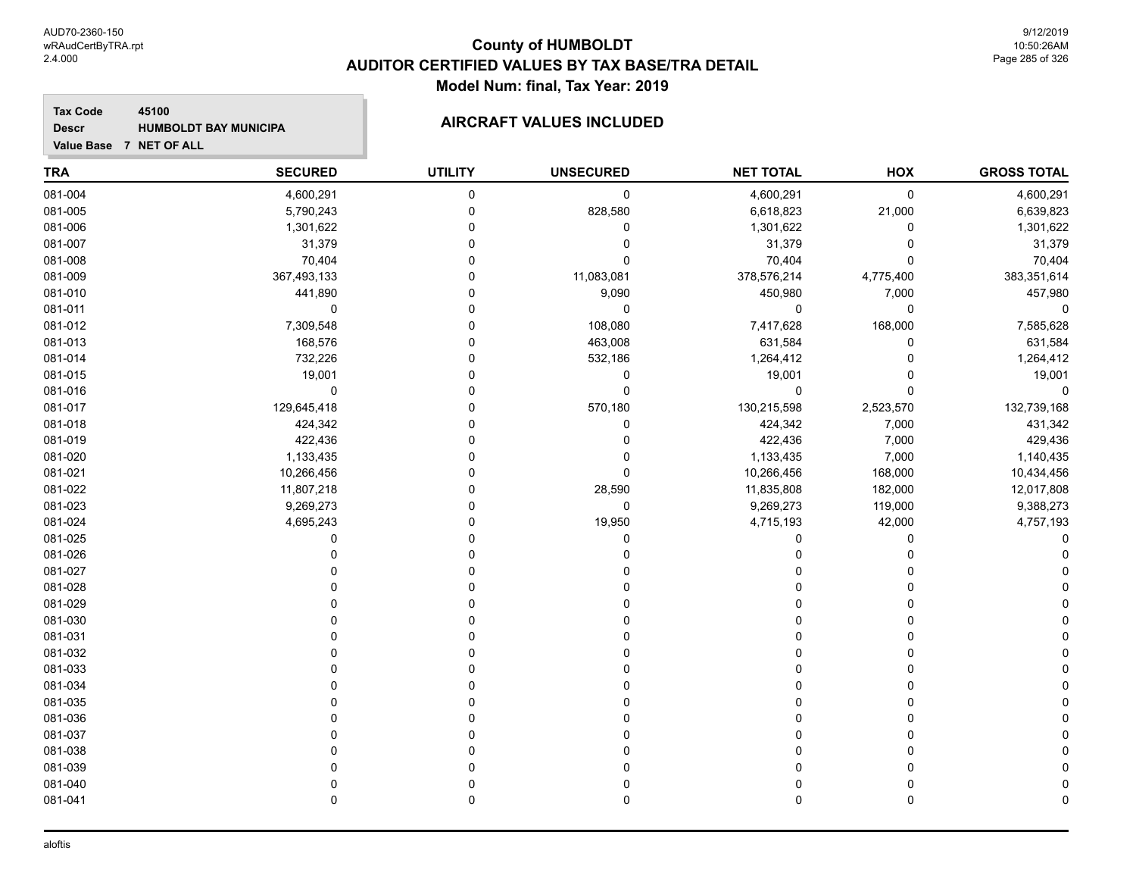### **Tax Code 45100 Descr**

# **HUMBOLDT BAY MUNICIPA AIRCRAFT VALUES INCLUDED**

| <b>TRA</b> | <b>SECURED</b> | <b>UTILITY</b> | <b>UNSECURED</b> | <b>NET TOTAL</b> | HOX         | <b>GROSS TOTAL</b> |
|------------|----------------|----------------|------------------|------------------|-------------|--------------------|
| 081-004    | 4,600,291      | $\pmb{0}$      | $\pmb{0}$        | 4,600,291        | $\mathbf 0$ | 4,600,291          |
| 081-005    | 5,790,243      | $\mathbf 0$    | 828,580          | 6,618,823        | 21,000      | 6,639,823          |
| 081-006    | 1,301,622      | $\mathbf{0}$   | 0                | 1,301,622        | 0           | 1,301,622          |
| 081-007    | 31,379         | $\Omega$       | 0                | 31,379           | $\mathbf 0$ | 31,379             |
| 081-008    | 70,404         | $\Omega$       | $\mathbf 0$      | 70,404           | $\mathbf 0$ | 70,404             |
| 081-009    | 367,493,133    | $\mathbf 0$    | 11,083,081       | 378,576,214      | 4,775,400   | 383,351,614        |
| 081-010    | 441,890        | $\Omega$       | 9,090            | 450,980          | 7,000       | 457,980            |
| 081-011    | $\mathbf 0$    | $\Omega$       | $\mathbf 0$      | 0                | $\mathbf 0$ | $\mathbf 0$        |
| 081-012    | 7,309,548      | $\Omega$       | 108,080          | 7,417,628        | 168,000     | 7,585,628          |
| 081-013    | 168,576        | $\mathbf 0$    | 463,008          | 631,584          | $\mathbf 0$ | 631,584            |
| 081-014    | 732,226        | $\Omega$       | 532,186          | 1,264,412        | $\mathbf 0$ | 1,264,412          |
| 081-015    | 19,001         | $\Omega$       | $\mathbf 0$      | 19,001           | $\Omega$    | 19,001             |
| 081-016    | 0              | $\mathbf{0}$   | 0                | 0                | $\Omega$    | $\Omega$           |
| 081-017    | 129,645,418    | $\mathbf 0$    | 570,180          | 130,215,598      | 2,523,570   | 132,739,168        |
| 081-018    | 424,342        | $\Omega$       | $\Omega$         | 424,342          | 7,000       | 431,342            |
| 081-019    | 422,436        | $\Omega$       | 0                | 422,436          | 7,000       | 429,436            |
| 081-020    | 1,133,435      | $\Omega$       | 0                | 1,133,435        | 7,000       | 1,140,435          |
| 081-021    | 10,266,456     | $\Omega$       | $\mathbf 0$      | 10,266,456       | 168,000     | 10,434,456         |
| 081-022    | 11,807,218     | $\Omega$       | 28,590           | 11,835,808       | 182,000     | 12,017,808         |
| 081-023    | 9,269,273      | $\Omega$       | 0                | 9,269,273        | 119,000     | 9,388,273          |
| 081-024    | 4,695,243      | $\Omega$       | 19,950           | 4,715,193        | 42,000      | 4,757,193          |
| 081-025    | $\mathbf 0$    | $\Omega$       | $\mathbf 0$      | 0                | 0           |                    |
| 081-026    | 0              | $\Omega$       | 0                | 0                | $\Omega$    |                    |
| 081-027    |                | $\Omega$       | U                | 0                | $\Omega$    |                    |
| 081-028    |                | $\Omega$       | 0                | 0                | $\Omega$    |                    |
| 081-029    | U              | $\Omega$       | $\Omega$         | 0                | $\Omega$    |                    |
| 081-030    | $\Omega$       | $\Omega$       | U                | $\Omega$         | $\Omega$    |                    |
| 081-031    |                | $\Omega$       | U                | 0                | O           |                    |
| 081-032    |                | $\Omega$       |                  | 0                | $\Omega$    |                    |
| 081-033    | 0              | $\Omega$       |                  | 0                | 0           |                    |
| 081-034    |                | $\Omega$       |                  | 0                | $\Omega$    |                    |
| 081-035    | U              | $\Omega$       |                  | 0                | $\Omega$    |                    |
| 081-036    | $\Omega$       | $\Omega$       |                  | 0                | $\Omega$    |                    |
| 081-037    | $\Omega$       | $\Omega$       | $\Omega$         | 0                | $\Omega$    |                    |
| 081-038    | $\Omega$       | $\Omega$       | $\Omega$         | $\Omega$         | $\Omega$    |                    |
| 081-039    | 0              | $\Omega$       | U                | 0                | $\Omega$    |                    |
| 081-040    | $\Omega$       | $\mathbf 0$    | 0                | 0                | 0           |                    |
| 081-041    | $\mathbf 0$    | $\mathbf 0$    | 0                | 0                | $\mathbf 0$ |                    |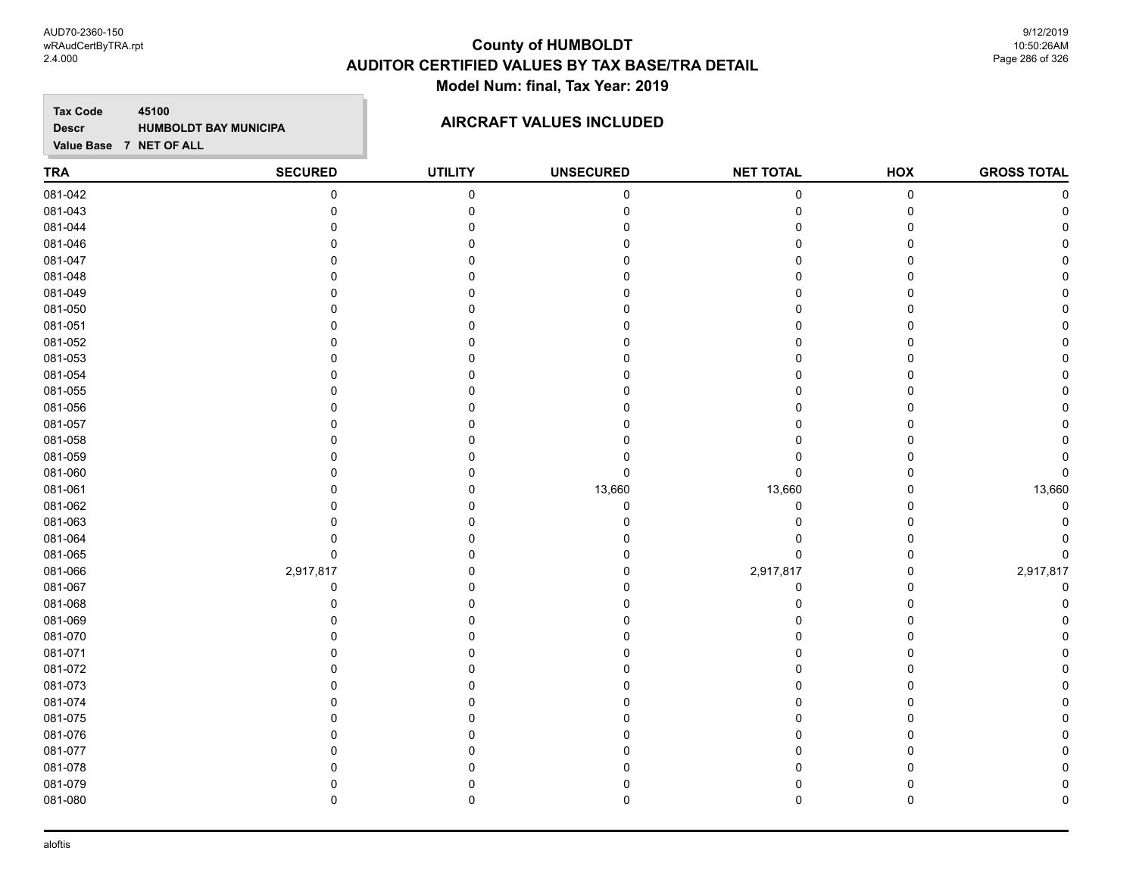AUD70-2360-150 wRAudCertByTRA.rpt 2.4.000

# **County of HUMBOLDT AUDITOR CERTIFIED VALUES BY TAX BASE/TRA DETAIL Model Num: final, Tax Year: 2019**

9/12/2019 10:50:26AM Page 286 of 326

**Tax Code 45100 Descr**

# **HUMBOLDT BAY MUNICIPA AIRCRAFT VALUES INCLUDED**

| <b>TRA</b> | <b>SECURED</b> | <b>UTILITY</b> | <b>UNSECURED</b> | <b>NET TOTAL</b> | HOX       | <b>GROSS TOTAL</b> |
|------------|----------------|----------------|------------------|------------------|-----------|--------------------|
| 081-042    | 0              | $\pmb{0}$      | $\pmb{0}$        | $\mathbf 0$      | $\pmb{0}$ | C                  |
| 081-043    | $\mathbf 0$    | $\mathbf 0$    |                  | 0                | 0         |                    |
| 081-044    | $\Omega$       | $\Omega$       |                  |                  | 0         |                    |
| 081-046    | $\Omega$       | O              |                  |                  | 0         |                    |
| 081-047    | $\Omega$       | O              |                  |                  | 0         |                    |
| 081-048    | n              | U              |                  |                  | 0         |                    |
| 081-049    |                |                |                  |                  | 0         |                    |
| 081-050    |                |                |                  |                  | 0         |                    |
| 081-051    | $\Omega$       | $\Omega$       |                  |                  | 0         |                    |
| 081-052    | $\Omega$       | O              |                  |                  | 0         |                    |
| 081-053    | $\Omega$       | O              |                  |                  | 0         |                    |
| 081-054    | $\Omega$       | $\Omega$       |                  |                  | 0         |                    |
| 081-055    | n              | U              |                  |                  | 0         |                    |
| 081-056    | 0              |                |                  |                  | 0         |                    |
| 081-057    |                |                |                  |                  | 0         |                    |
| 081-058    |                |                |                  |                  | 0         |                    |
| 081-059    | $\Omega$       | $\Omega$       |                  |                  | $\Omega$  |                    |
| 081-060    | $\Omega$       | O              | $\Omega$         | $\Omega$         | 0         |                    |
| 081-061    |                | 0              | 13,660           | 13,660           | 0         | 13,660             |
| 081-062    | ∩              | O              | $\Omega$         | $\Omega$         | 0         |                    |
| 081-063    | n              | 0              |                  | $\Omega$         | 0         |                    |
| 081-064    | 0              |                |                  | 0                | 0         |                    |
| 081-065    | $\pmb{0}$      | 0              |                  | $\mathbf 0$      | 0         | O                  |
| 081-066    | 2,917,817      | $\Omega$       |                  | 2,917,817        | 0         | 2,917,817          |
| 081-067    | 0              | $\Omega$       |                  | 0                | 0         |                    |
| 081-068    | $\Omega$       | 0              |                  | $\Omega$         | 0         |                    |
| 081-069    | $\Omega$       | $\Omega$       |                  |                  | 0         |                    |
| 081-070    | n              | U              |                  |                  | 0         |                    |
| 081-071    |                |                |                  |                  | 0         |                    |
| 081-072    |                |                |                  |                  | 0         |                    |
| 081-073    | $\Omega$       |                |                  |                  | 0         |                    |
| 081-074    | $\Omega$       | $\Omega$       |                  |                  | 0         |                    |
| 081-075    | $\Omega$       | U              |                  |                  | 0         |                    |
| 081-076    | $\Omega$       | O              |                  |                  | 0         |                    |
| 081-077    |                |                |                  |                  | 0         |                    |
| 081-078    |                |                |                  |                  | 0         |                    |
| 081-079    | 0              | 0              |                  | 0                | 0         |                    |
| 081-080    | $\mathbf 0$    | $\mathbf 0$    | 0                | $\mathbf 0$      | 0         | C                  |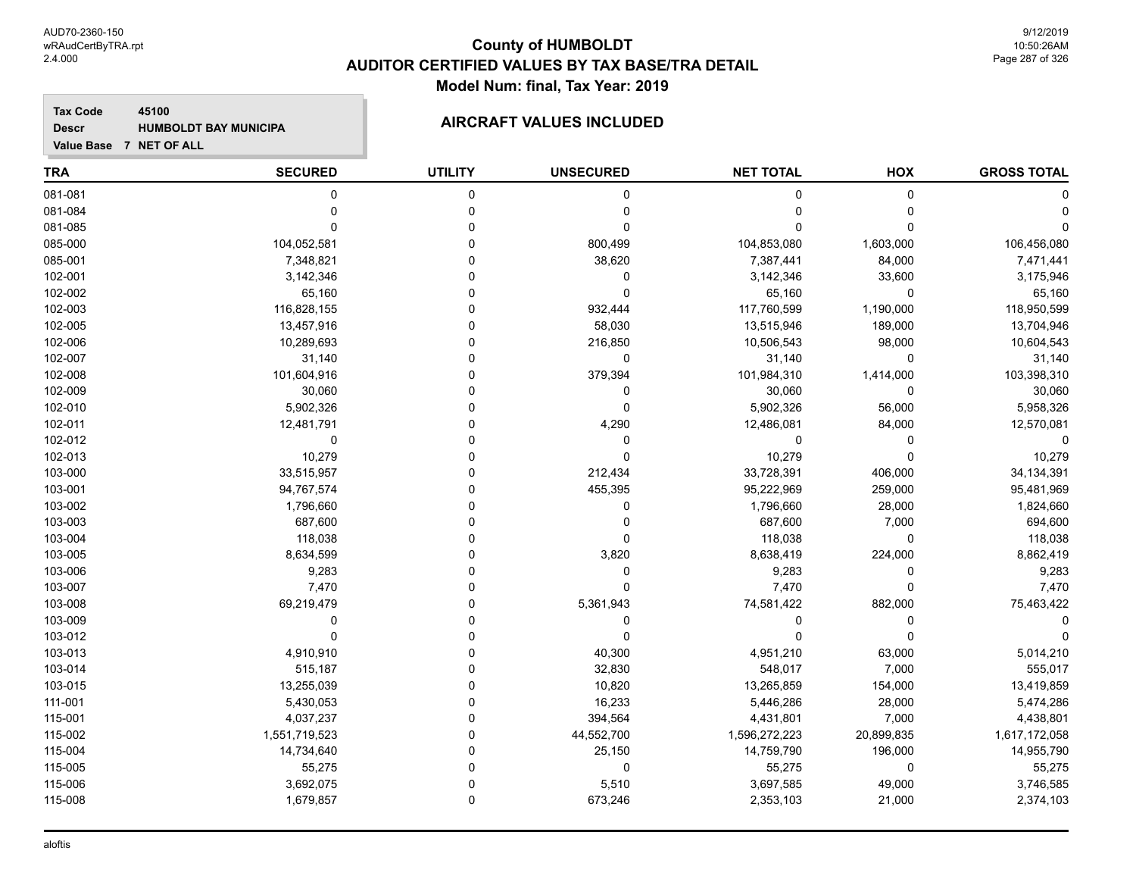**Tax Code 45100 Descr**

# **HUMBOLDT BAY MUNICIPA AIRCRAFT VALUES INCLUDED**

| <b>TRA</b> | <b>SECURED</b> | <b>UTILITY</b> | <b>UNSECURED</b> | <b>NET TOTAL</b> | HOX         | <b>GROSS TOTAL</b> |
|------------|----------------|----------------|------------------|------------------|-------------|--------------------|
| 081-081    | $\mathbf 0$    | $\mathbf 0$    | 0                | 0                | $\mathbf 0$ |                    |
| 081-084    | $\mathbf 0$    | $\mathbf 0$    | 0                | 0                | $\Omega$    |                    |
| 081-085    | $\Omega$       | $\Omega$       | 0                | O                | $\Omega$    |                    |
| 085-000    | 104,052,581    | $\Omega$       | 800,499          | 104,853,080      | 1,603,000   | 106,456,080        |
| 085-001    | 7,348,821      | $\Omega$       | 38,620           | 7,387,441        | 84,000      | 7,471,441          |
| 102-001    | 3,142,346      | $\Omega$       | 0                | 3,142,346        | 33,600      | 3,175,946          |
| 102-002    | 65,160         | $\Omega$       | 0                | 65,160           | $\mathbf 0$ | 65,160             |
| 102-003    | 116,828,155    | $\Omega$       | 932,444          | 117,760,599      | 1,190,000   | 118,950,599        |
| 102-005    | 13,457,916     | $\Omega$       | 58,030           | 13,515,946       | 189,000     | 13,704,946         |
| 102-006    | 10,289,693     | $\Omega$       | 216,850          | 10,506,543       | 98,000      | 10,604,543         |
| 102-007    | 31,140         | $\Omega$       | 0                | 31,140           | $\mathbf 0$ | 31,140             |
| 102-008    | 101,604,916    | $\Omega$       | 379,394          | 101,984,310      | 1,414,000   | 103,398,310        |
| 102-009    | 30,060         | $\Omega$       | 0                | 30,060           | $\Omega$    | 30,060             |
| 102-010    | 5,902,326      | $\Omega$       | 0                | 5,902,326        | 56,000      | 5,958,326          |
| 102-011    | 12,481,791     | 0              | 4,290            | 12,486,081       | 84,000      | 12,570,081         |
| 102-012    | 0              | $\Omega$       | 0                | 0                | 0           | $\Omega$           |
| 102-013    | 10,279         | $\Omega$       | 0                | 10,279           | $\Omega$    | 10,279             |
| 103-000    | 33,515,957     | $\Omega$       | 212,434          | 33,728,391       | 406,000     | 34, 134, 391       |
| 103-001    | 94,767,574     | $\Omega$       | 455,395          | 95,222,969       | 259,000     | 95,481,969         |
| 103-002    | 1,796,660      | $\Omega$       | 0                | 1,796,660        | 28,000      | 1,824,660          |
| 103-003    | 687,600        | $\Omega$       | 0                | 687,600          | 7,000       | 694,600            |
| 103-004    | 118,038        | $\Omega$       | 0                | 118,038          | $\mathbf 0$ | 118,038            |
| 103-005    | 8,634,599      | $\Omega$       | 3,820            | 8,638,419        | 224,000     | 8,862,419          |
| 103-006    | 9,283          | $\Omega$       | $\pmb{0}$        | 9,283            | 0           | 9,283              |
| 103-007    | 7,470          | $\Omega$       | 0                | 7,470            | $\mathbf 0$ | 7,470              |
| 103-008    | 69,219,479     | $\Omega$       | 5,361,943        | 74,581,422       | 882,000     | 75,463,422         |
| 103-009    | $\mathbf{0}$   | $\Omega$       | 0                | 0                | 0           |                    |
| 103-012    | $\Omega$       | $\Omega$       | $\Omega$         | $\Omega$         | $\Omega$    |                    |
| 103-013    | 4,910,910      | $\mathbf 0$    | 40,300           | 4,951,210        | 63,000      | 5,014,210          |
| 103-014    | 515,187        | $\Omega$       | 32,830           | 548,017          | 7,000       | 555,017            |
| 103-015    | 13,255,039     | $\Omega$       | 10,820           | 13,265,859       | 154,000     | 13,419,859         |
| 111-001    | 5,430,053      | $\Omega$       | 16,233           | 5,446,286        | 28,000      | 5,474,286          |
| 115-001    | 4,037,237      | $\Omega$       | 394,564          | 4,431,801        | 7,000       | 4,438,801          |
| 115-002    | 1,551,719,523  | $\mathbf 0$    | 44,552,700       | 1,596,272,223    | 20,899,835  | 1,617,172,058      |
| 115-004    | 14,734,640     | $\Omega$       | 25,150           | 14,759,790       | 196,000     | 14,955,790         |
| 115-005    | 55,275         | $\Omega$       | 0                | 55,275           | 0           | 55,275             |
| 115-006    | 3,692,075      | $\Omega$       | 5,510            | 3,697,585        | 49,000      | 3,746,585          |
| 115-008    | 1,679,857      | $\mathbf{0}$   | 673,246          | 2,353,103        | 21,000      | 2,374,103          |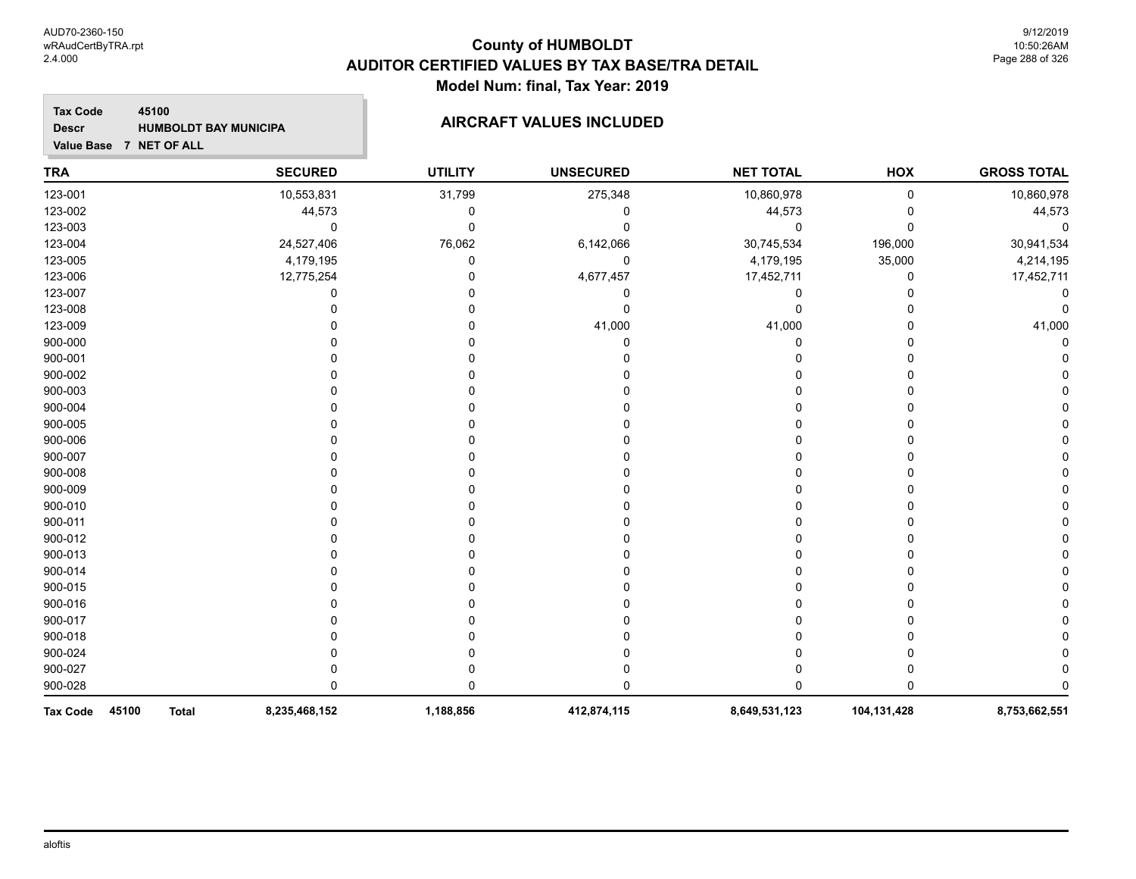### **TRA SECURED UTILITY UNSECURED HOX Tax Code Value Base 7 NET OF ALL 45100 GROSS TOTAL NET TOTAL Descr HUMBOLDT BAY MUNICIPA AIRCRAFT VALUES INCLUDED** 123-001 10,553,831 31,799 275,348 10,860,978 0 10,860,978 123-002 44,573 0 0 44,573 0 44,573 123-003 0 0 0 0 0 0 123-004 24,527,406 76,062 6,142,066 30,745,534 196,000 30,941,534 123-005 4,179,195 0 0 4,179,195 35,000 4,214,195 123-006 12,775,254 0 4,677,457 17,452,711 0 17,452,711 123-007 0 0 0 0 0 0 123-008 0 0 0 0 0 0 123-009 0 0 41,000 41,000 0 41,000 900-000 0 0 0 0 0 0 900-001 0 0 0 0 0 0 900-002 0 0 0 0 0 0 900-003 0 0 0 0 0 0 900-004 0 0 0 0 0 0 900-005 0 0 0 0 0 0 900-006 0 0 0 0 0 0 900-007 0 0 0 0 0 0 900-008 0 0 0 0 0 0 900-009 0 0 0 0 0 0 900-010 0 0 0 0 0 0 900-011 0 0 0 0 0 0 900-012 0 0 0 0 0 0 900-013 0 0 0 0 0 0 900-014 0 0 0 0 0 0 900-015 0 0 0 0 0 0 900-016 0 0 0 0 0 0 900-017 0 0 0 0 0 0 900-018 0 0 0 0 0 0 900-024 0 0 0 0 0 0 900-027 0 0 0 0 0 0

900-028 0 0 0 0 0 0 **Tax Code 45100 Total 8,235,468,152 1,188,856 412,874,115 8,649,531,123 104,131,428 8,753,662,551**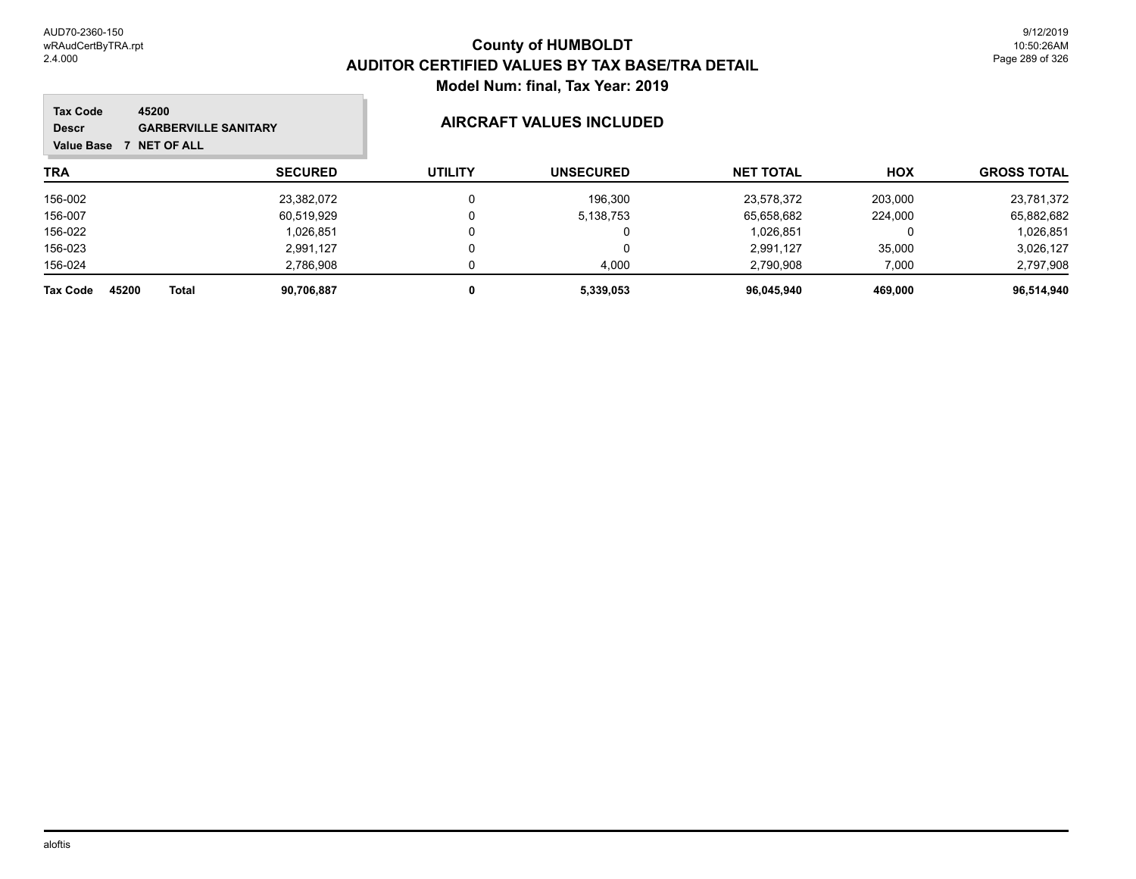m.

| <b>Tax Code</b><br>45200<br><b>GARBERVILLE SANITARY</b><br><b>Descr</b><br><b>NET OF ALL</b><br>Value Base |                |                | AIRCRAFT VALUES INCLUDED |                  |            |                    |
|------------------------------------------------------------------------------------------------------------|----------------|----------------|--------------------------|------------------|------------|--------------------|
| <b>TRA</b>                                                                                                 | <b>SECURED</b> | <b>UTILITY</b> | <b>UNSECURED</b>         | <b>NET TOTAL</b> | <b>HOX</b> | <b>GROSS TOTAL</b> |
| 156-002                                                                                                    | 23,382,072     |                | 196,300                  | 23,578,372       | 203,000    | 23,781,372         |
| 156-007                                                                                                    | 60,519,929     |                | 5,138,753                | 65,658,682       | 224,000    | 65,882,682         |
| 156-022                                                                                                    | 1,026,851      |                | 0                        | 1,026,851        |            | 1,026,851          |
| 156-023                                                                                                    | 2,991,127      |                | 0                        | 2.991.127        | 35,000     | 3,026,127          |
| 156-024                                                                                                    | 2,786,908      |                | 4,000                    | 2,790,908        | 7,000      | 2,797,908          |
| 45200<br><b>Tax Code</b><br>Total                                                                          | 90,706,887     | 0              | 5,339,053                | 96,045,940       | 469,000    | 96,514,940         |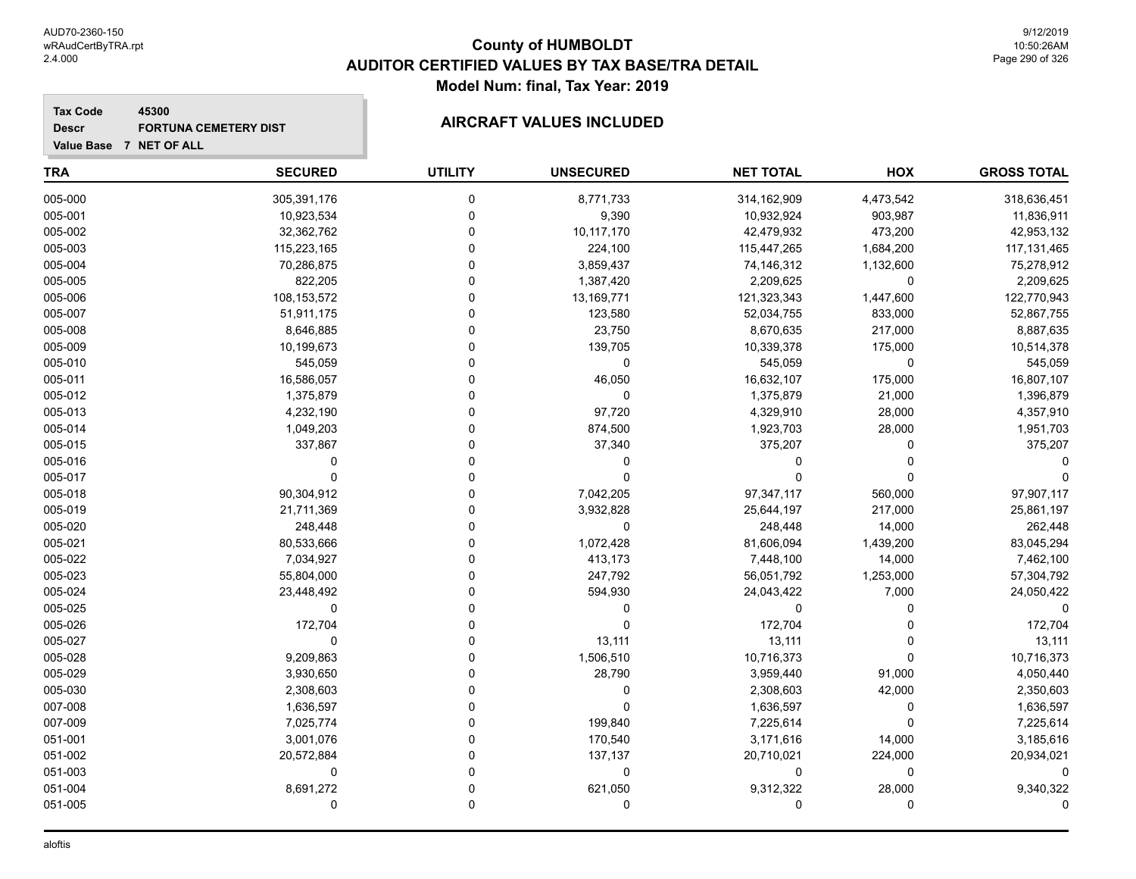**GROSS TOTAL**

# **TRA SECURED UTILITY UNSECURED HOX Tax Code Value Base 7 NET OF ALL 45300 NET TOTAL Descr FORTUNA CEMETERY DIST AIRCRAFT VALUES INCLUDED** 005-000 305,391,176 0 8,771,733 314,162,909 4,473,542 318,636,451 005-001 10,923,534 0 9,390 10,932,924 903,987 11,836,911 005-002 32,362,762 0 10,117,170 42,479,932 473,200 42,953,132 005-003 115,223,165 0 224,100 115,447,265 1,684,200 117,131,465

| 1,132,600    |             |            |             |         |
|--------------|-------------|------------|-------------|---------|
|              | 74,146,312  | 3,859,437  | 70,286,875  | 005-004 |
| $\Omega$     | 2,209,625   | 1,387,420  | 822,205     | 005-005 |
| 1,447,600    | 121,323,343 | 13,169,771 | 108,153,572 | 005-006 |
| 833,000      | 52,034,755  | 123,580    | 51,911,175  | 005-007 |
| 217,000      | 8,670,635   | 23,750     | 8,646,885   | 005-008 |
| 175,000      | 10,339,378  | 139,705    | 10,199,673  | 005-009 |
| 0            | 545,059     | 0          | 545,059     | 005-010 |
| 175,000      | 16,632,107  | 46,050     | 16,586,057  | 005-011 |
| 21,000       | 1,375,879   | 0          | 1,375,879   | 005-012 |
| 28,000       | 4,329,910   | 97,720     | 4,232,190   | 005-013 |
| 28,000       | 1,923,703   | 874,500    | 1,049,203   | 005-014 |
|              | 375,207     | 37,340     | 337,867     | 005-015 |
|              |             |            |             | 005-016 |
|              |             |            |             | 005-017 |
| 560,000      | 97,347,117  | 7,042,205  | 90,304,912  | 005-018 |
| 217,000      | 25,644,197  | 3,932,828  | 21,711,369  | 005-019 |
| 14,000       | 248,448     | 0          | 248,448     | 005-020 |
| 1,439,200    | 81,606,094  | 1,072,428  | 80,533,666  | 005-021 |
| 14,000       | 7,448,100   | 413,173    | 7,034,927   | 005-022 |
| 1,253,000    | 56,051,792  | 247,792    | 55,804,000  | 005-023 |
| 7,000        | 24,043,422  | 594,930    | 23,448,492  | 005-024 |
|              | $\Omega$    |            |             | 005-025 |
|              | 172,704     |            | 172,704     | 005-026 |
|              | 13,111      | 13,111     |             | 005-027 |
|              | 10,716,373  | 1,506,510  | 9,209,863   | 005-028 |
| 91,000       | 3,959,440   | 28,790     | 3,930,650   | 005-029 |
| 42,000       | 2,308,603   | O          | 2,308,603   | 005-030 |
| 0            | 1,636,597   |            | 1,636,597   | 007-008 |
| <sup>0</sup> | 7,225,614   | 199,840    | 7,025,774   | 007-009 |
| 14,000       | 3,171,616   | 170,540    | 3,001,076   | 051-001 |
| 224,000      | 20,710,021  | 137,137    | 20,572,884  | 051-002 |
| 0            | 0           | 0          |             | 051-003 |
| 28,000       | 9,312,322   | 621,050    | 8,691,272   | 051-004 |
|              |             | O          |             | 051-005 |
|              |             |            |             |         |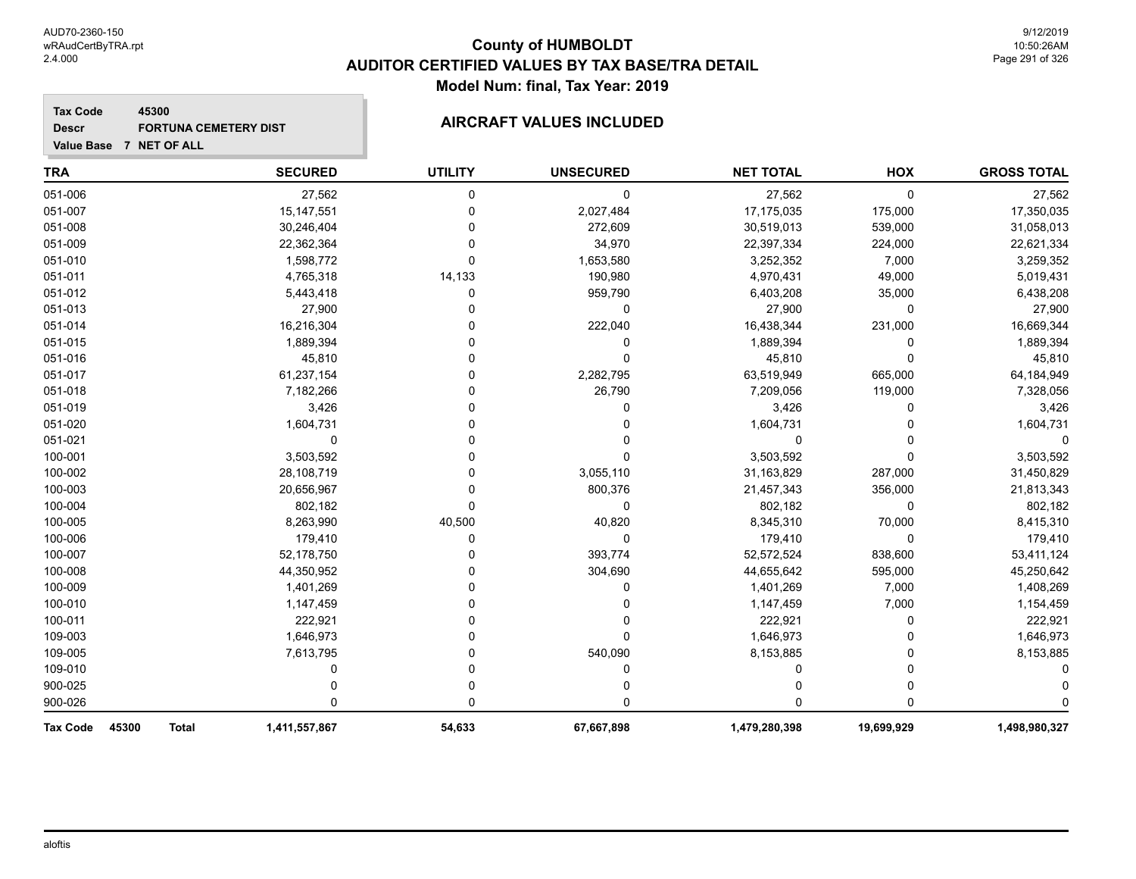#### **Tax Code 45300 Descr** FORTUNA CEMETERY DIST **AIRCRAFT VALUES INCLUDED**

| <b>TRA</b>               | <b>SECURED</b>                | <b>UTILITY</b> | <b>UNSECURED</b> | <b>NET TOTAL</b> | HOX         | <b>GROSS TOTAL</b> |
|--------------------------|-------------------------------|----------------|------------------|------------------|-------------|--------------------|
| 051-006                  | 27,562                        | 0              | 0                | 27,562           | 0           | 27,562             |
| 051-007                  | 15, 147, 551                  | 0              | 2,027,484        | 17,175,035       | 175,000     | 17,350,035         |
| 051-008                  | 30,246,404                    | 0              | 272,609          | 30,519,013       | 539,000     | 31,058,013         |
| 051-009                  | 22,362,364                    | 0              | 34,970           | 22,397,334       | 224,000     | 22,621,334         |
| 051-010                  | 1,598,772                     | 0              | 1,653,580        | 3,252,352        | 7,000       | 3,259,352          |
| 051-011                  | 4,765,318                     | 14,133         | 190,980          | 4,970,431        | 49,000      | 5,019,431          |
| 051-012                  | 5,443,418                     | 0              | 959,790          | 6,403,208        | 35,000      | 6,438,208          |
| 051-013                  | 27,900                        |                | 0                | 27,900           | 0           | 27,900             |
| 051-014                  | 16,216,304                    |                | 222,040          | 16,438,344       | 231,000     | 16,669,344         |
| 051-015                  | 1,889,394                     | U              | 0                | 1,889,394        | $\Omega$    | 1,889,394          |
| 051-016                  | 45,810                        | O              | 0                | 45,810           | $\Omega$    | 45,810             |
| 051-017                  | 61,237,154                    |                | 2,282,795        | 63,519,949       | 665,000     | 64,184,949         |
| 051-018                  | 7,182,266                     |                | 26,790           | 7,209,056        | 119,000     | 7,328,056          |
| 051-019                  | 3,426                         |                | 0                | 3,426            | 0           | 3,426              |
| 051-020                  | 1,604,731                     |                | 0                | 1,604,731        | 0           | 1,604,731          |
| 051-021                  | $\mathbf 0$                   |                |                  | 0                | U           |                    |
| 100-001                  | 3,503,592                     | U              | 0                | 3,503,592        | $\Omega$    | 3,503,592          |
| 100-002                  | 28,108,719                    |                | 3,055,110        | 31,163,829       | 287,000     | 31,450,829         |
| 100-003                  | 20,656,967                    |                | 800,376          | 21,457,343       | 356,000     | 21,813,343         |
| 100-004                  | 802,182                       | 0              | 0                | 802,182          | $\mathbf 0$ | 802,182            |
| 100-005                  | 8,263,990                     | 40,500         | 40,820           | 8,345,310        | 70,000      | 8,415,310          |
| 100-006                  | 179,410                       | 0              | 0                | 179,410          | 0           | 179,410            |
| 100-007                  | 52,178,750                    | 0              | 393,774          | 52,572,524       | 838,600     | 53,411,124         |
| 100-008                  | 44,350,952                    | U              | 304,690          | 44,655,642       | 595,000     | 45,250,642         |
| 100-009                  | 1,401,269                     | U              | 0                | 1,401,269        | 7,000       | 1,408,269          |
| 100-010                  | 1,147,459                     |                | 0                | 1,147,459        | 7,000       | 1,154,459          |
| 100-011                  | 222,921                       |                |                  | 222,921          | 0           | 222,921            |
| 109-003                  | 1,646,973                     |                | 0                | 1,646,973        | 0           | 1,646,973          |
| 109-005                  | 7,613,795                     |                | 540,090          | 8,153,885        | 0           | 8,153,885          |
| 109-010                  | 0                             | U              | 0                | 0                | 0           |                    |
| 900-025                  | U                             | O              | 0                |                  | O           |                    |
| 900-026                  | $\Omega$                      | $\Omega$       | 0                | U                | $\Omega$    |                    |
| 45300<br><b>Tax Code</b> | 1,411,557,867<br><b>Total</b> | 54,633         | 67,667,898       | 1,479,280,398    | 19,699,929  | 1,498,980,327      |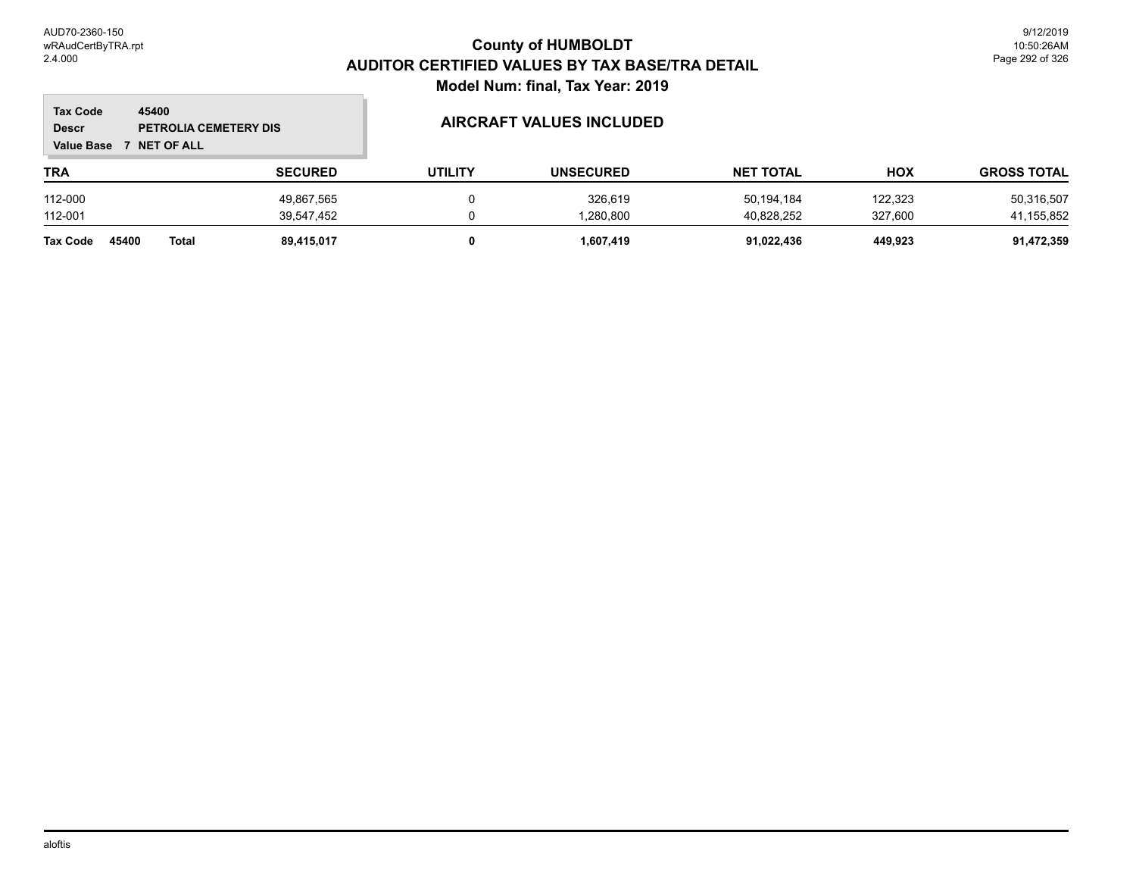$\overline{\phantom{a}}$ 

| <b>Tax Code</b><br><b>Descr</b><br><b>Value Base</b> | 45400<br>PETROLIA CEMETERY DIS<br><b>NET OF ALL</b> |                | AIRCRAFT VALUES INCLUDED |                  |                  |            |                    |
|------------------------------------------------------|-----------------------------------------------------|----------------|--------------------------|------------------|------------------|------------|--------------------|
| <b>TRA</b>                                           |                                                     | <b>SECURED</b> | <b>UTILITY</b>           | <b>UNSECURED</b> | <b>NET TOTAL</b> | <b>HOX</b> | <b>GROSS TOTAL</b> |
| 112-000                                              |                                                     | 49,867,565     |                          | 326,619          | 50,194,184       | 122,323    | 50,316,507         |
| 112-001                                              |                                                     | 39,547,452     |                          | 1,280,800        | 40,828,252       | 327,600    | 41,155,852         |
| Tax Code                                             | 45400<br>Total                                      | 89.415.017     |                          | 1.607.419        | 91,022,436       | 449.923    | 91,472,359         |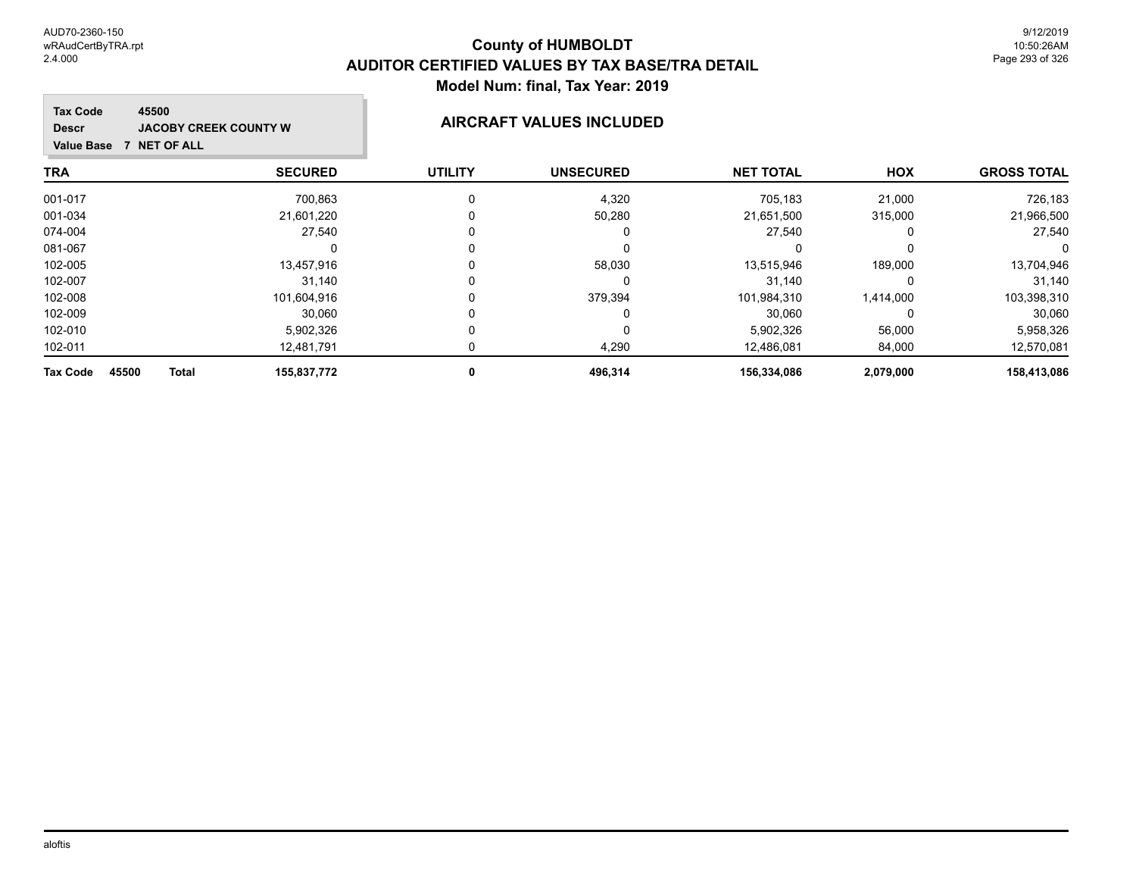#### m. Tax Co **45500 JACOBY CREEK COUNTY W AIRCRAFT VALUES INCLUDED Descr Value NET OF ALL TRA SECURED UTILITY UNSECURED HOX NET TOTAL**

| <b>Tax Code</b><br>45500<br><b>JACOBY CREEK COUNTY W</b><br><b>Descr</b><br><b>NET OF ALL</b><br><b>Value Base</b><br>7 |                |                | <b>AIRCRAFT VALUES INCLUDED</b> |                  |            |                    |
|-------------------------------------------------------------------------------------------------------------------------|----------------|----------------|---------------------------------|------------------|------------|--------------------|
| TRA                                                                                                                     | <b>SECURED</b> | <b>UTILITY</b> | <b>UNSECURED</b>                | <b>NET TOTAL</b> | <b>HOX</b> | <b>GROSS TOTAL</b> |
| 001-017                                                                                                                 | 700,863        | 0              | 4,320                           | 705,183          | 21,000     | 726.183            |
| 001-034                                                                                                                 | 21,601,220     |                | 50,280                          | 21,651,500       | 315,000    | 21,966,500         |
| 074-004                                                                                                                 | 27,540         |                | $\Omega$                        | 27,540           | 0          | 27,540             |
| 081-067                                                                                                                 |                |                | $\Omega$                        |                  | 0          |                    |
| 102-005                                                                                                                 | 13,457,916     |                | 58,030                          | 13,515,946       | 189,000    | 13,704,946         |
| 102-007                                                                                                                 | 31,140         | 0              | 0                               | 31,140           | $\Omega$   | 31,140             |
| 102-008                                                                                                                 | 101,604,916    |                | 379,394                         | 101,984,310      | 1,414,000  | 103,398,310        |
| 102-009                                                                                                                 | 30,060         |                | 0                               | 30,060           | 0          | 30,060             |
| 102-010                                                                                                                 | 5,902,326      | 0              | $\Omega$                        | 5,902,326        | 56,000     | 5,958,326          |
| 102-011                                                                                                                 | 12,481,791     |                | 4,290                           | 12,486,081       | 84,000     | 12,570,081         |
| Tax Code<br><b>Total</b><br>45500                                                                                       | 155,837,772    | 0              | 496,314                         | 156,334,086      | 2,079,000  | 158,413,086        |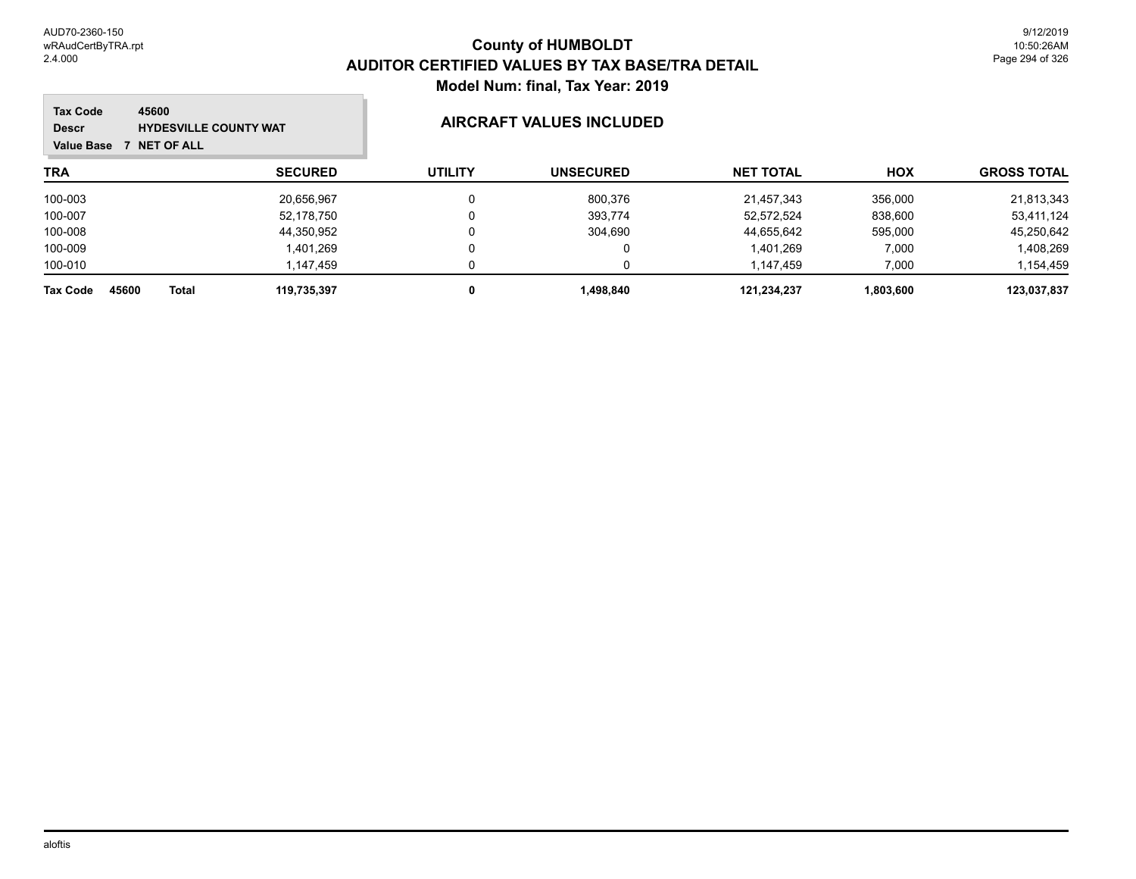m.

| 45600<br><b>Tax Code</b><br><b>HYDESVILLE COUNTY WAT</b><br><b>Descr</b><br><b>NET OF ALL</b><br><b>Value Base</b> |                |                | AIRCRAFT VALUES INCLUDED |                  |            |                    |
|--------------------------------------------------------------------------------------------------------------------|----------------|----------------|--------------------------|------------------|------------|--------------------|
| <b>TRA</b>                                                                                                         | <b>SECURED</b> | <b>UTILITY</b> | <b>UNSECURED</b>         | <b>NET TOTAL</b> | <b>HOX</b> | <b>GROSS TOTAL</b> |
| 100-003                                                                                                            | 20,656,967     |                | 800,376                  | 21,457,343       | 356,000    | 21,813,343         |
| 100-007                                                                                                            | 52,178,750     |                | 393,774                  | 52.572.524       | 838,600    | 53,411,124         |
| 100-008                                                                                                            | 44,350,952     |                | 304,690                  | 44,655,642       | 595,000    | 45,250,642         |
| 100-009                                                                                                            | 1,401,269      |                | 0                        | 1,401,269        | 7,000      | 1,408,269          |
| 100-010                                                                                                            | 1,147,459      |                |                          | 1.147.459        | 7,000      | 1,154,459          |
| 45600<br><b>Total</b><br><b>Tax Code</b>                                                                           | 119,735,397    |                | 1,498,840                | 121,234,237      | 1,803,600  | 123,037,837        |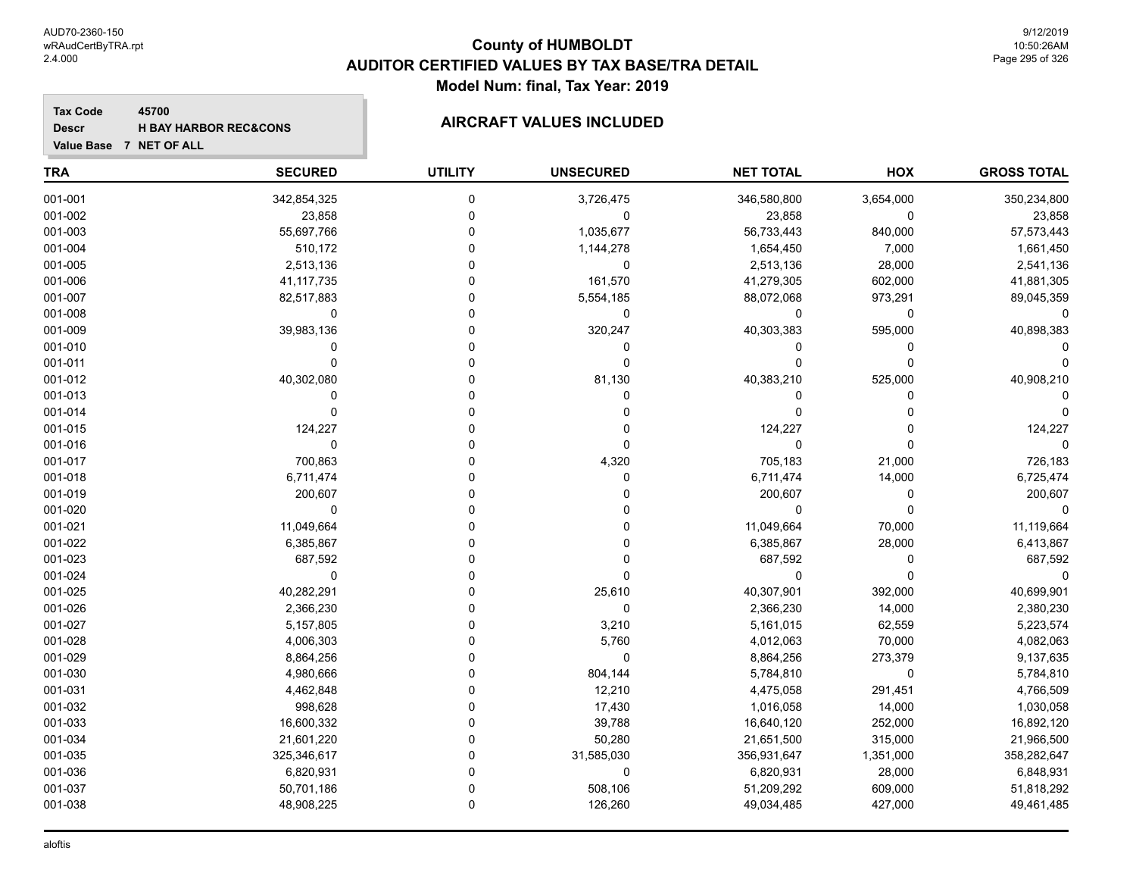**Tax Code**

**Descr**

#### **County of HUMBOLDT AUDITOR CERTIFIED VALUES BY TAX BASE/TRA DETAIL Model Num: final, Tax Year: 2019**

#### **45700 H BAY HARBOR REC&CONS AIRCRAFT VALUES INCLUDED**

| Value Base 7 NET OF ALL |                |                |                  |                  |           |                    |
|-------------------------|----------------|----------------|------------------|------------------|-----------|--------------------|
| <b>TRA</b>              | <b>SECURED</b> | <b>UTILITY</b> | <b>UNSECURED</b> | <b>NET TOTAL</b> | HOX       | <b>GROSS TOTAL</b> |
| 001-001                 | 342,854,325    | 0              | 3,726,475        | 346,580,800      | 3,654,000 | 350,234,800        |
| 001-002                 | 23,858         | $\Omega$       | 0                | 23,858           | 0         | 23,858             |
| 001-003                 | 55,697,766     |                | 1,035,677        | 56,733,443       | 840,000   | 57,573,443         |
| 001-004                 | 510,172        | $\Omega$       | 1,144,278        | 1,654,450        | 7,000     | 1,661,450          |
| 001-005                 | 2,513,136      |                | 0                | 2,513,136        | 28,000    | 2,541,136          |
| 001-006                 | 41,117,735     | ∩              | 161,570          | 41,279,305       | 602,000   | 41,881,305         |
| 001-007                 | 82,517,883     |                | 5,554,185        | 88,072,068       | 973,291   | 89,045,359         |
| 001-008                 | 0              | $\Omega$       | 0                | 0                | 0         | $\Omega$           |
| 001-009                 | 39,983,136     |                | 320,247          | 40,303,383       | 595,000   | 40,898,383         |
| 001-010                 | $\mathbf 0$    |                | $\mathbf 0$      | 0                | 0         |                    |
| 001-011                 | $\Omega$       |                | $\Omega$         | $\Omega$         | 0         |                    |
| 001-012                 | 40,302,080     | $\Omega$       | 81,130           | 40,383,210       | 525,000   | 40,908,210         |
| 001-013                 | $\Omega$       |                | $\Omega$         | $\Omega$         | 0         |                    |
| 001-014                 | 0              | 0              | $\Omega$         | 0                | 0         |                    |
| 001-015                 | 124,227        |                | $\Omega$         | 124,227          | 0         | 124,227            |
| 001-016                 | 0              |                | $\Omega$         | 0                | 0         |                    |
| 001-017                 | 700,863        |                | 4,320            | 705,183          | 21,000    | 726,183            |
| 001-018                 | 6,711,474      |                | 0                | 6,711,474        | 14,000    | 6,725,474          |
| 001-019                 | 200,607        |                | $\Omega$         | 200,607          | 0         | 200,607            |
| 001-020                 | $\Omega$       |                | <sup>0</sup>     | $\mathbf 0$      | 0         |                    |
| 001-021                 | 11,049,664     | $\Omega$       | $\Omega$         | 11,049,664       | 70,000    | 11,119,664         |
| 001-022                 | 6,385,867      |                | $\Omega$         | 6,385,867        | 28,000    | 6,413,867          |
| 001-023                 | 687,592        | $\Omega$       | $\Omega$         | 687,592          | 0         | 687,592            |
| 001-024                 | $\mathbf 0$    |                | $\Omega$         | 0                | 0         | $\Omega$           |
| 001-025                 | 40,282,291     |                | 25,610           | 40,307,901       | 392,000   | 40,699,901         |
| 001-026                 | 2,366,230      | O              | $\mathbf 0$      | 2,366,230        | 14,000    | 2,380,230          |
| 001-027                 | 5,157,805      |                | 3,210            | 5,161,015        | 62,559    | 5,223,574          |
| 001-028                 | 4,006,303      |                | 5,760            | 4,012,063        | 70,000    | 4,082,063          |
| 001-029                 | 8,864,256      |                | $\mathbf{0}$     | 8,864,256        | 273,379   | 9,137,635          |
| 001-030                 | 4,980,666      |                | 804,144          | 5,784,810        | 0         | 5,784,810          |
| 001-031                 | 4,462,848      |                | 12,210           | 4,475,058        | 291,451   | 4,766,509          |
| 001-032                 | 998,628        |                | 17,430           | 1,016,058        | 14,000    | 1,030,058          |
| 001-033                 | 16,600,332     |                | 39,788           | 16,640,120       | 252,000   | 16,892,120         |
| 001-034                 | 21,601,220     | 0              | 50,280           | 21,651,500       | 315,000   | 21,966,500         |
| 001-035                 | 325,346,617    |                | 31,585,030       | 356,931,647      | 1,351,000 | 358,282,647        |
| 001-036                 | 6,820,931      | 0              | $\mathbf{0}$     | 6,820,931        | 28,000    | 6,848,931          |
| 001-037                 | 50,701,186     | $\Omega$       | 508,106          | 51,209,292       | 609,000   | 51,818,292         |

001-038 48,908,225 0 126,260 49,034,485 427,000 49,461,485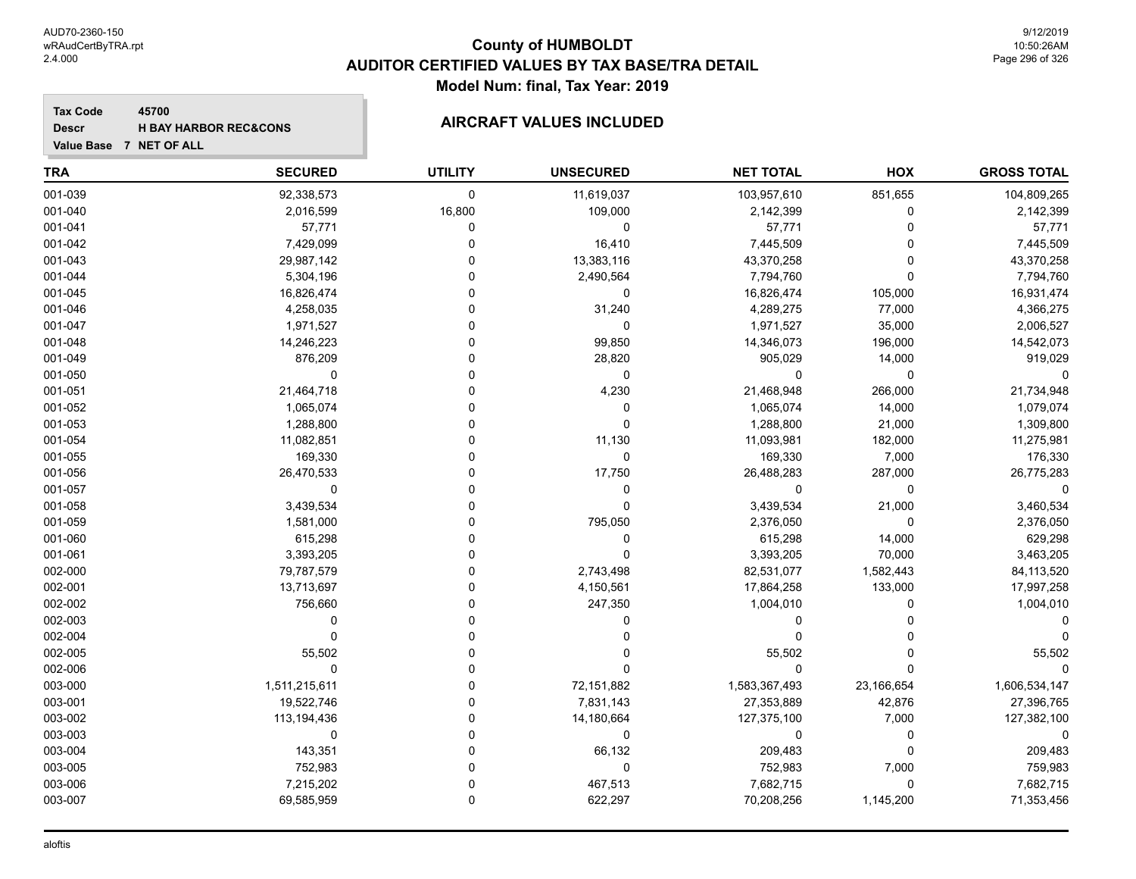#### **Tax Code 45700 Descr**

# **H** BAY HARBOR REC&CONS **AIRCRAFT VALUES INCLUDED**

| Value Base 7 NET OF ALL |  |
|-------------------------|--|

| <b>TRA</b> | <b>SECURED</b> | <b>UTILITY</b> | <b>UNSECURED</b> | <b>NET TOTAL</b> | HOX          | <b>GROSS TOTAL</b> |
|------------|----------------|----------------|------------------|------------------|--------------|--------------------|
| 001-039    | 92,338,573     | $\mathbf 0$    | 11,619,037       | 103,957,610      | 851,655      | 104,809,265        |
| 001-040    | 2,016,599      | 16,800         | 109,000          | 2,142,399        | 0            | 2,142,399          |
| 001-041    | 57,771         | $\mathbf 0$    | $\mathbf 0$      | 57,771           | $\Omega$     | 57,771             |
| 001-042    | 7,429,099      | $\mathbf 0$    | 16,410           | 7,445,509        | $\Omega$     | 7,445,509          |
| 001-043    | 29,987,142     | $\mathbf 0$    | 13,383,116       | 43,370,258       | 0            | 43,370,258         |
| 001-044    | 5,304,196      | 0              | 2,490,564        | 7,794,760        | $\Omega$     | 7,794,760          |
| 001-045    | 16,826,474     | $\Omega$       | 0                | 16,826,474       | 105,000      | 16,931,474         |
| 001-046    | 4,258,035      | $\Omega$       | 31,240           | 4,289,275        | 77,000       | 4,366,275          |
| 001-047    | 1,971,527      | $\Omega$       | $\mathbf 0$      | 1,971,527        | 35,000       | 2,006,527          |
| 001-048    | 14,246,223     | $\Omega$       | 99,850           | 14,346,073       | 196,000      | 14,542,073         |
| 001-049    | 876,209        | $\Omega$       | 28,820           | 905,029          | 14,000       | 919,029            |
| 001-050    | 0              | $\Omega$       | 0                | 0                | 0            |                    |
| 001-051    | 21,464,718     | $\Omega$       | 4,230            | 21,468,948       | 266,000      | 21,734,948         |
| 001-052    | 1,065,074      | $\Omega$       | $\mathbf 0$      | 1,065,074        | 14,000       | 1,079,074          |
| 001-053    | 1,288,800      | $\Omega$       | $\mathbf 0$      | 1,288,800        | 21,000       | 1,309,800          |
| 001-054    | 11,082,851     | $\Omega$       | 11,130           | 11,093,981       | 182,000      | 11,275,981         |
| 001-055    | 169,330        | $\Omega$       | 0                | 169,330          | 7,000        | 176,330            |
| 001-056    | 26,470,533     | $\Omega$       | 17,750           | 26,488,283       | 287,000      | 26,775,283         |
| 001-057    | $\mathbf 0$    | $\Omega$       | 0                | 0                | $\mathbf 0$  |                    |
| 001-058    | 3,439,534      | $\Omega$       | 0                | 3,439,534        | 21,000       | 3,460,534          |
| 001-059    | 1,581,000      | 0              | 795,050          | 2,376,050        | $\mathbf{0}$ | 2,376,050          |
| 001-060    | 615,298        | $\Omega$       | 0                | 615,298          | 14,000       | 629,298            |
| 001-061    | 3,393,205      | $\Omega$       | $\Omega$         | 3,393,205        | 70,000       | 3,463,205          |
| 002-000    | 79,787,579     | $\Omega$       | 2,743,498        | 82,531,077       | 1,582,443    | 84,113,520         |
| 002-001    | 13,713,697     | $\Omega$       | 4,150,561        | 17,864,258       | 133,000      | 17,997,258         |
| 002-002    | 756,660        | $\Omega$       | 247,350          | 1,004,010        | $\Omega$     | 1,004,010          |
| 002-003    | $\Omega$       | $\Omega$       | 0                | 0                |              |                    |
| 002-004    | $\mathbf 0$    | $\Omega$       | U                | 0                |              |                    |
| 002-005    | 55,502         | $\Omega$       |                  | 55,502           | 0            | 55,502             |
| 002-006    | 0              | $\mathbf{0}$   | $\Omega$         | 0                | $\Omega$     |                    |
| 003-000    | 1,511,215,611  | $\mathbf 0$    | 72,151,882       | 1,583,367,493    | 23,166,654   | 1,606,534,147      |
| 003-001    | 19,522,746     | $\Omega$       | 7,831,143        | 27,353,889       | 42,876       | 27,396,765         |
| 003-002    | 113,194,436    | $\Omega$       | 14,180,664       | 127,375,100      | 7,000        | 127,382,100        |
| 003-003    | 0              | $\Omega$       | 0                | 0                | $\mathbf 0$  | $\Omega$           |
| 003-004    | 143,351        | $\Omega$       | 66,132           | 209,483          | $\Omega$     | 209,483            |
| 003-005    | 752,983        | $\Omega$       | $\mathbf 0$      | 752,983          | 7,000        | 759,983            |
| 003-006    | 7,215,202      | $\mathbf 0$    | 467,513          | 7,682,715        | $\Omega$     | 7,682,715          |
| 003-007    | 69,585,959     | $\mathbf 0$    | 622,297          | 70,208,256       | 1,145,200    | 71,353,456         |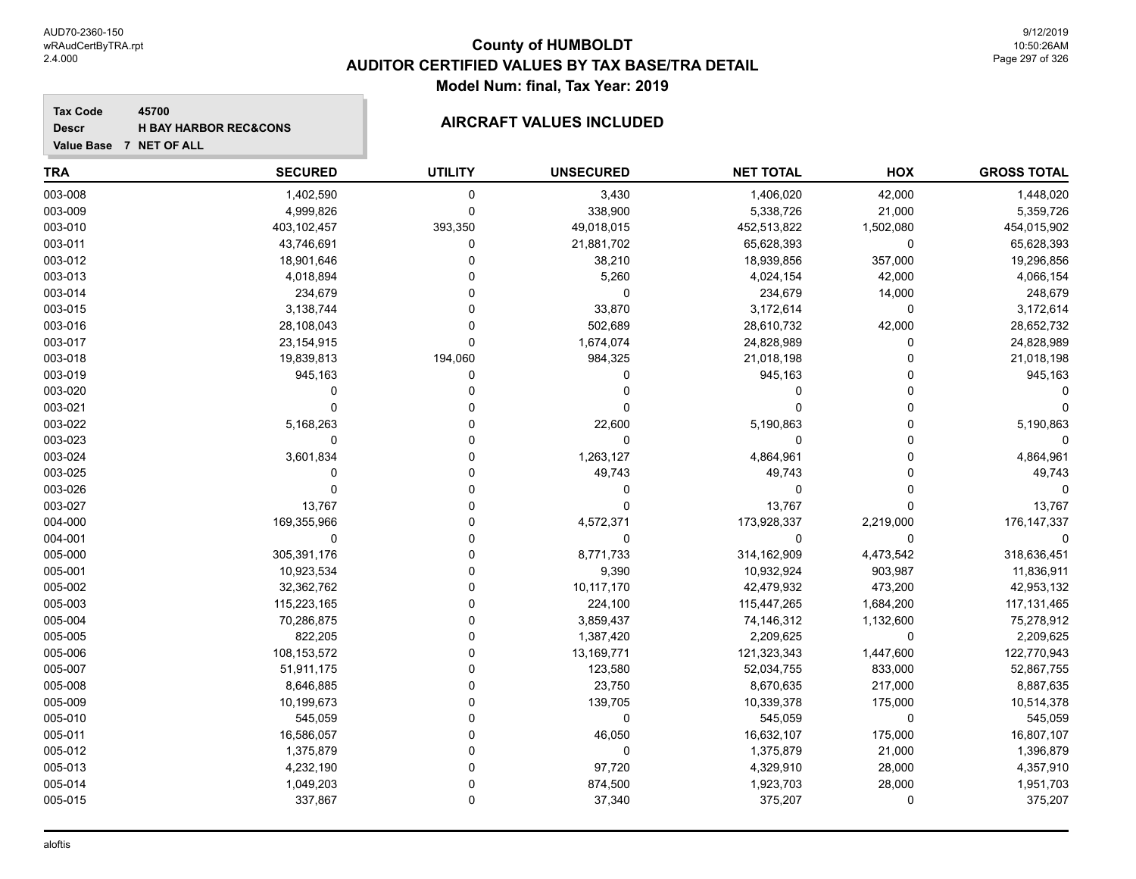**Value Base 7 NET OF ALL**

### **County of HUMBOLDT AUDITOR CERTIFIED VALUES BY TAX BASE/TRA DETAIL Model Num: final, Tax Year: 2019**

#### **Tax Code 45700 Descr**

# **H** BAY HARBOR REC&CONS **AIRCRAFT VALUES INCLUDED**

| <b>TRA</b> | <b>SECURED</b> | <b>UTILITY</b> | <b>UNSECURED</b> | <b>NET TOTAL</b> | HOX         | <b>GROSS TOTAL</b> |
|------------|----------------|----------------|------------------|------------------|-------------|--------------------|
| 003-008    | 1,402,590      | $\mathbf 0$    | 3,430            | 1,406,020        | 42,000      | 1,448,020          |
| 003-009    | 4,999,826      | 0              | 338,900          | 5,338,726        | 21,000      | 5,359,726          |
| 003-010    | 403,102,457    | 393,350        | 49,018,015       | 452,513,822      | 1,502,080   | 454,015,902        |
| 003-011    | 43,746,691     | 0              | 21,881,702       | 65,628,393       | 0           | 65,628,393         |
| 003-012    | 18,901,646     | 0              | 38,210           | 18,939,856       | 357,000     | 19,296,856         |
| 003-013    | 4,018,894      |                | 5,260            | 4,024,154        | 42,000      | 4,066,154          |
| 003-014    | 234,679        | U              | $\mathbf 0$      | 234,679          | 14,000      | 248,679            |
| 003-015    | 3,138,744      | 0              | 33,870           | 3,172,614        | 0           | 3,172,614          |
| 003-016    | 28,108,043     | $\Omega$       | 502,689          | 28,610,732       | 42,000      | 28,652,732         |
| 003-017    | 23, 154, 915   | $\Omega$       | 1,674,074        | 24,828,989       | 0           | 24,828,989         |
| 003-018    | 19,839,813     | 194,060        | 984,325          | 21,018,198       | 0           | 21,018,198         |
| 003-019    | 945,163        | 0              | $\Omega$         | 945,163          | 0           | 945,163            |
| 003-020    | 0              | 0              | $\Omega$         | 0                | $\Omega$    |                    |
| 003-021    | $\Omega$       |                | ∩                | $\Omega$         | $\Omega$    |                    |
| 003-022    | 5,168,263      |                | 22,600           | 5,190,863        | $\Omega$    | 5,190,863          |
| 003-023    | 0              | U              | $\Omega$         | 0                | 0           |                    |
| 003-024    | 3,601,834      | 0              | 1,263,127        | 4,864,961        | $\Omega$    | 4,864,961          |
| 003-025    | $\Omega$       | U              | 49,743           | 49,743           | $\Omega$    | 49,743             |
| 003-026    | $\Omega$       | U              | $\Omega$         | 0                | 0           |                    |
| 003-027    | 13,767         | U              | $\Omega$         | 13,767           | 0           | 13,767             |
| 004-000    | 169,355,966    | O              | 4,572,371        | 173,928,337      | 2,219,000   | 176, 147, 337      |
| 004-001    | 0              |                | $\mathbf 0$      | 0                | 0           |                    |
| 005-000    | 305,391,176    |                | 8,771,733        | 314,162,909      | 4,473,542   | 318,636,451        |
| 005-001    | 10,923,534     | O              | 9,390            | 10,932,924       | 903,987     | 11,836,911         |
| 005-002    | 32,362,762     | 0              | 10,117,170       | 42,479,932       | 473,200     | 42,953,132         |
| 005-003    | 115,223,165    | U              | 224,100          | 115,447,265      | 1,684,200   | 117,131,465        |
| 005-004    | 70,286,875     | 0              | 3,859,437        | 74,146,312       | 1,132,600   | 75,278,912         |
| 005-005    | 822,205        | U              | 1,387,420        | 2,209,625        | 0           | 2,209,625          |
| 005-006    | 108, 153, 572  | O              | 13,169,771       | 121,323,343      | 1,447,600   | 122,770,943        |
| 005-007    | 51,911,175     | 0              | 123,580          | 52,034,755       | 833,000     | 52,867,755         |
| 005-008    | 8,646,885      | O              | 23,750           | 8,670,635        | 217,000     | 8,887,635          |
| 005-009    | 10,199,673     | 0              | 139,705          | 10,339,378       | 175,000     | 10,514,378         |
| 005-010    | 545,059        | 0              | $\mathbf 0$      | 545,059          | $\mathbf 0$ | 545,059            |
| 005-011    | 16,586,057     | 0              | 46,050           | 16,632,107       | 175,000     | 16,807,107         |
| 005-012    | 1,375,879      | U              | $\mathbf 0$      | 1,375,879        | 21,000      | 1,396,879          |
| 005-013    | 4,232,190      | 0              | 97,720           | 4,329,910        | 28,000      | 4,357,910          |
| 005-014    | 1,049,203      | 0              | 874,500          | 1,923,703        | 28,000      | 1,951,703          |
| 005-015    | 337.867        | $\Omega$       | 37,340           | 375,207          | $\Omega$    | 375,207            |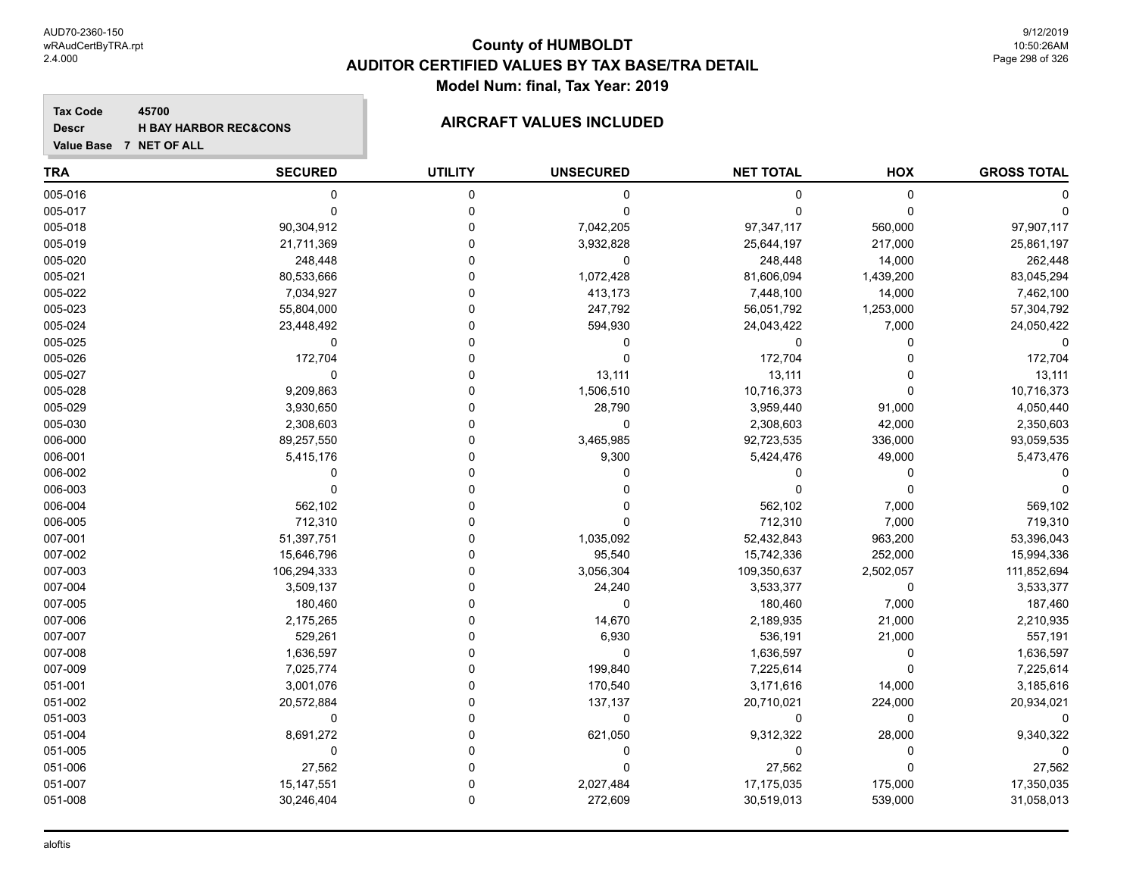**Tax Code 45700 Descr**

# **H** BAY HARBOR REC&CONS **AIRCRAFT VALUES INCLUDED**

| <b>TRA</b> | <b>SECURED</b> | <b>UTILITY</b> | <b>UNSECURED</b> | <b>NET TOTAL</b> | HOX         | <b>GROSS TOTAL</b> |
|------------|----------------|----------------|------------------|------------------|-------------|--------------------|
| 005-016    | 0              | 0              | 0                | 0                | $\mathbf 0$ |                    |
| 005-017    | $\mathbf 0$    | $\mathbf 0$    | $\Omega$         | $\Omega$         | $\Omega$    |                    |
| 005-018    | 90,304,912     | $\Omega$       | 7,042,205        | 97,347,117       | 560,000     | 97,907,117         |
| 005-019    | 21,711,369     | $\Omega$       | 3,932,828        | 25,644,197       | 217,000     | 25,861,197         |
| 005-020    | 248,448        | $\Omega$       | $\mathbf 0$      | 248,448          | 14,000      | 262,448            |
| 005-021    | 80,533,666     | $\Omega$       | 1,072,428        | 81,606,094       | 1,439,200   | 83,045,294         |
| 005-022    | 7,034,927      | $\Omega$       | 413,173          | 7,448,100        | 14,000      | 7,462,100          |
| 005-023    | 55,804,000     | $\Omega$       | 247,792          | 56,051,792       | 1,253,000   | 57,304,792         |
| 005-024    | 23,448,492     | $\Omega$       | 594,930          | 24,043,422       | 7,000       | 24,050,422         |
| 005-025    | $\pmb{0}$      | $\Omega$       | 0                | 0                | $\Omega$    | $\Omega$           |
| 005-026    | 172,704        | $\Omega$       | $\mathbf{0}$     | 172,704          | $\Omega$    | 172,704            |
| 005-027    | $\Omega$       | $\Omega$       | 13,111           | 13,111           | $\Omega$    | 13,111             |
| 005-028    | 9,209,863      | $\Omega$       | 1,506,510        | 10,716,373       | $\Omega$    | 10,716,373         |
| 005-029    | 3,930,650      | $\Omega$       | 28,790           | 3,959,440        | 91,000      | 4,050,440          |
| 005-030    | 2,308,603      | $\Omega$       | 0                | 2,308,603        | 42,000      | 2,350,603          |
| 006-000    | 89,257,550     | $\Omega$       | 3,465,985        | 92,723,535       | 336,000     | 93,059,535         |
| 006-001    | 5,415,176      | $\Omega$       | 9,300            | 5,424,476        | 49,000      | 5,473,476          |
| 006-002    | $\Omega$       | $\Omega$       | U                | 0                | $\Omega$    |                    |
| 006-003    | $\mathbf 0$    | $\Omega$       |                  | 0                | $\Omega$    |                    |
| 006-004    | 562,102        | $\Omega$       | 0                | 562,102          | 7,000       | 569,102            |
| 006-005    | 712,310        | $\Omega$       | $\Omega$         | 712,310          | 7,000       | 719,310            |
| 007-001    | 51,397,751     | $\Omega$       | 1,035,092        | 52,432,843       | 963,200     | 53,396,043         |
| 007-002    | 15,646,796     | $\Omega$       | 95,540           | 15,742,336       | 252,000     | 15,994,336         |
| 007-003    | 106,294,333    | $\Omega$       | 3,056,304        | 109,350,637      | 2,502,057   | 111,852,694        |
| 007-004    | 3,509,137      | $\Omega$       | 24,240           | 3,533,377        | 0           | 3,533,377          |
| 007-005    | 180,460        | $\Omega$       | $\mathbf 0$      | 180,460          | 7,000       | 187,460            |
| 007-006    | 2,175,265      | $\Omega$       | 14,670           | 2,189,935        | 21,000      | 2,210,935          |
| 007-007    | 529,261        | $\Omega$       | 6,930            | 536,191          | 21,000      | 557,191            |
| 007-008    | 1,636,597      | $\Omega$       | 0                | 1,636,597        | $\mathbf 0$ | 1,636,597          |
| 007-009    | 7,025,774      | $\Omega$       | 199,840          | 7,225,614        | $\Omega$    | 7,225,614          |
| 051-001    | 3,001,076      | $\Omega$       | 170,540          | 3,171,616        | 14,000      | 3,185,616          |
| 051-002    | 20,572,884     | $\Omega$       | 137,137          | 20,710,021       | 224,000     | 20,934,021         |
| 051-003    | 0              | $\Omega$       | $\mathbf 0$      | 0                | $\mathbf 0$ | O                  |
| 051-004    | 8,691,272      | $\mathbf{0}$   | 621,050          | 9,312,322        | 28,000      | 9,340,322          |
| 051-005    | 0              | $\Omega$       | 0                | 0                | 0           |                    |
| 051-006    | 27,562         | $\Omega$       | $\Omega$         | 27,562           | $\Omega$    | 27,562             |
| 051-007    | 15, 147, 551   | $\Omega$       | 2,027,484        | 17,175,035       | 175,000     | 17,350,035         |
| 051-008    | 30,246,404     | $\Omega$       | 272,609          | 30,519,013       | 539,000     | 31,058,013         |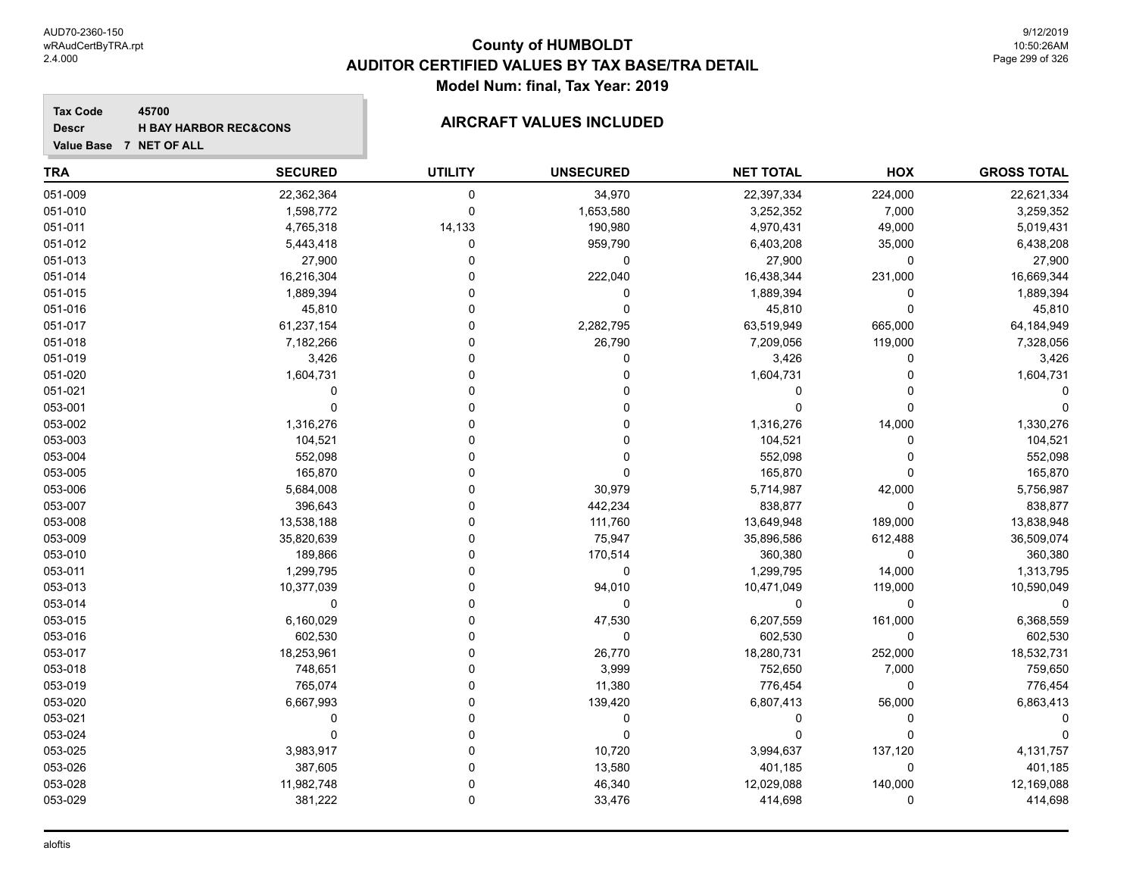**Value Base 7 NET OF ALL**

### **County of HUMBOLDT AUDITOR CERTIFIED VALUES BY TAX BASE/TRA DETAIL Model Num: final, Tax Year: 2019**

#### **Tax Code 45700 Descr**

# **H** BAY HARBOR REC&CONS **AIRCRAFT VALUES INCLUDED**

| <b>TRA</b> | <b>SECURED</b> | <b>UTILITY</b> | <b>UNSECURED</b> | <b>NET TOTAL</b> | HOX         | <b>GROSS TOTAL</b> |
|------------|----------------|----------------|------------------|------------------|-------------|--------------------|
| 051-009    | 22,362,364     | $\mathbf 0$    | 34,970           | 22,397,334       | 224,000     | 22,621,334         |
| 051-010    | 1,598,772      | $\mathbf 0$    | 1,653,580        | 3,252,352        | 7,000       | 3,259,352          |
| 051-011    | 4,765,318      | 14,133         | 190,980          | 4,970,431        | 49,000      | 5,019,431          |
| 051-012    | 5,443,418      | 0              | 959,790          | 6,403,208        | 35,000      | 6,438,208          |
| 051-013    | 27,900         | $\Omega$       | $\mathbf 0$      | 27,900           | 0           | 27,900             |
| 051-014    | 16,216,304     |                | 222,040          | 16,438,344       | 231,000     | 16,669,344         |
| 051-015    | 1,889,394      |                | 0                | 1,889,394        | 0           | 1,889,394          |
| 051-016    | 45,810         |                | $\Omega$         | 45,810           | $\mathbf 0$ | 45,810             |
| 051-017    | 61,237,154     |                | 2,282,795        | 63,519,949       | 665,000     | 64,184,949         |
| 051-018    | 7,182,266      | $\Omega$       | 26,790           | 7,209,056        | 119,000     | 7,328,056          |
| 051-019    | 3,426          |                | $\mathbf{0}$     | 3,426            | 0           | 3,426              |
| 051-020    | 1,604,731      |                | 0                | 1,604,731        | $\mathbf 0$ | 1,604,731          |
| 051-021    | $\mathbf 0$    |                |                  | $\mathbf 0$      | $\Omega$    |                    |
| 053-001    | $\Omega$       |                |                  | $\Omega$         | $\mathbf 0$ |                    |
| 053-002    | 1,316,276      |                |                  | 1,316,276        | 14,000      | 1,330,276          |
| 053-003    | 104,521        |                |                  | 104,521          | 0           | 104,521            |
| 053-004    | 552,098        |                | $\Omega$         | 552,098          | $\Omega$    | 552,098            |
| 053-005    | 165,870        |                | $\Omega$         | 165,870          | $\mathbf 0$ | 165,870            |
| 053-006    | 5,684,008      | O              | 30,979           | 5,714,987        | 42,000      | 5,756,987          |
| 053-007    | 396,643        | O              | 442,234          | 838,877          | 0           | 838,877            |
| 053-008    | 13,538,188     |                | 111,760          | 13,649,948       | 189,000     | 13,838,948         |
| 053-009    | 35,820,639     |                | 75,947           | 35,896,586       | 612,488     | 36,509,074         |
| 053-010    | 189,866        |                | 170,514          | 360,380          | $\mathbf 0$ | 360,380            |
| 053-011    | 1,299,795      |                | 0                | 1,299,795        | 14,000      | 1,313,795          |
| 053-013    | 10,377,039     |                | 94,010           | 10,471,049       | 119,000     | 10,590,049         |
| 053-014    | $\mathbf 0$    |                | $\mathbf 0$      | 0                | $\mathbf 0$ | $\mathbf 0$        |
| 053-015    | 6,160,029      |                | 47,530           | 6,207,559        | 161,000     | 6,368,559          |
| 053-016    | 602,530        |                | $\mathbf 0$      | 602,530          | 0           | 602,530            |
| 053-017    | 18,253,961     |                | 26,770           | 18,280,731       | 252,000     | 18,532,731         |
| 053-018    | 748,651        |                | 3,999            | 752,650          | 7,000       | 759,650            |
| 053-019    | 765,074        |                | 11,380           | 776,454          | 0           | 776,454            |
| 053-020    | 6,667,993      |                | 139,420          | 6,807,413        | 56,000      | 6,863,413          |
| 053-021    | $\mathbf{0}$   |                | $\mathbf 0$      | $\Omega$         | $\Omega$    |                    |
| 053-024    | $\Omega$       |                | $\Omega$         | $\Omega$         | $\Omega$    |                    |
| 053-025    | 3,983,917      | 0              | 10,720           | 3,994,637        | 137,120     | 4,131,757          |
| 053-026    | 387,605        | O              | 13,580           | 401,185          | 0           | 401,185            |
| 053-028    | 11,982,748     |                | 46,340           | 12,029,088       | 140,000     | 12,169,088         |
| 053-029    | 381,222        | $\Omega$       | 33,476           | 414,698          | $\Omega$    | 414,698            |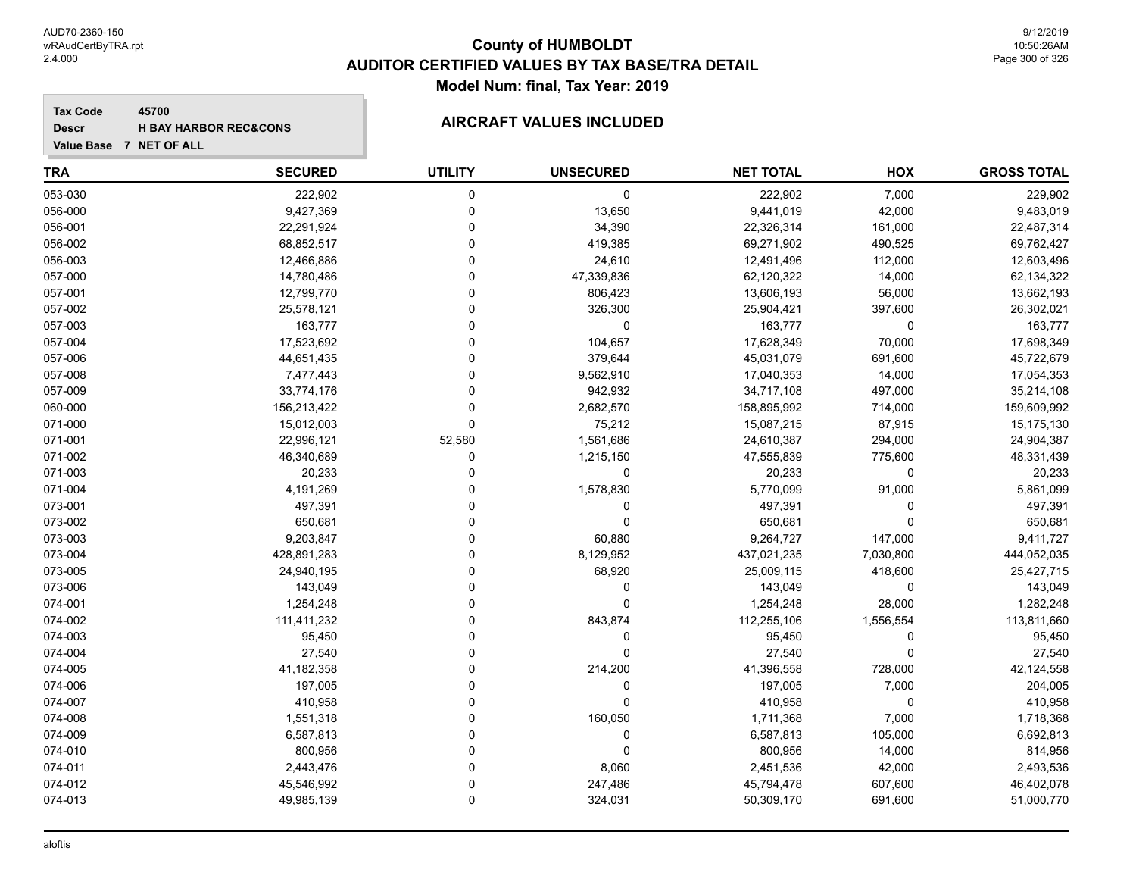#### **Tax Code 45700 Descr**

# **H** BAY HARBOR REC&CONS **AIRCRAFT VALUES INCLUDED**

| <b>TRA</b> | <b>SECURED</b> | <b>UTILITY</b> | <b>UNSECURED</b> | <b>NET TOTAL</b> | HOX         | <b>GROSS TOTAL</b> |
|------------|----------------|----------------|------------------|------------------|-------------|--------------------|
| 053-030    | 222,902        | $\mathbf 0$    | 0                | 222,902          | 7,000       | 229,902            |
| 056-000    | 9,427,369      | $\mathbf 0$    | 13,650           | 9,441,019        | 42,000      | 9,483,019          |
| 056-001    | 22,291,924     | $\Omega$       | 34,390           | 22,326,314       | 161,000     | 22,487,314         |
| 056-002    | 68,852,517     | $\Omega$       | 419,385          | 69,271,902       | 490,525     | 69,762,427         |
| 056-003    | 12,466,886     | 0              | 24,610           | 12,491,496       | 112,000     | 12,603,496         |
| 057-000    | 14,780,486     | $\Omega$       | 47,339,836       | 62,120,322       | 14,000      | 62,134,322         |
| 057-001    | 12,799,770     | $\Omega$       | 806,423          | 13,606,193       | 56,000      | 13,662,193         |
| 057-002    | 25,578,121     | $\Omega$       | 326,300          | 25,904,421       | 397,600     | 26,302,021         |
| 057-003    | 163,777        | $\Omega$       | $\pmb{0}$        | 163,777          | $\mathbf 0$ | 163,777            |
| 057-004    | 17,523,692     | $\Omega$       | 104,657          | 17,628,349       | 70,000      | 17,698,349         |
| 057-006    | 44,651,435     | $\Omega$       | 379,644          | 45,031,079       | 691,600     | 45,722,679         |
| 057-008    | 7,477,443      | $\Omega$       | 9,562,910        | 17,040,353       | 14,000      | 17,054,353         |
| 057-009    | 33,774,176     | $\Omega$       | 942,932          | 34,717,108       | 497,000     | 35,214,108         |
| 060-000    | 156,213,422    | $\Omega$       | 2,682,570        | 158,895,992      | 714,000     | 159,609,992        |
| 071-000    | 15,012,003     | $\Omega$       | 75,212           | 15,087,215       | 87,915      | 15,175,130         |
| 071-001    | 22,996,121     | 52,580         | 1,561,686        | 24,610,387       | 294,000     | 24,904,387         |
| 071-002    | 46,340,689     | $\mathbf 0$    | 1,215,150        | 47,555,839       | 775,600     | 48,331,439         |
| 071-003    | 20,233         | $\Omega$       | $\pmb{0}$        | 20,233           | $\mathbf 0$ | 20,233             |
| 071-004    | 4,191,269      | $\Omega$       | 1,578,830        | 5,770,099        | 91,000      | 5,861,099          |
| 073-001    | 497,391        | $\Omega$       | 0                | 497,391          | 0           | 497,391            |
| 073-002    | 650,681        | $\Omega$       | $\Omega$         | 650,681          | $\Omega$    | 650,681            |
| 073-003    | 9,203,847      | $\Omega$       | 60,880           | 9,264,727        | 147,000     | 9,411,727          |
| 073-004    | 428,891,283    | $\Omega$       | 8,129,952        | 437,021,235      | 7,030,800   | 444,052,035        |
| 073-005    | 24,940,195     | $\Omega$       | 68,920           | 25,009,115       | 418,600     | 25,427,715         |
| 073-006    | 143,049        | $\Omega$       | $\mathbf 0$      | 143,049          | 0           | 143,049            |
| 074-001    | 1,254,248      | $\Omega$       | $\Omega$         | 1,254,248        | 28,000      | 1,282,248          |
| 074-002    | 111,411,232    | $\Omega$       | 843,874          | 112,255,106      | 1,556,554   | 113,811,660        |
| 074-003    | 95,450         | $\Omega$       | 0                | 95,450           | $\Omega$    | 95,450             |
| 074-004    | 27,540         | $\Omega$       | 0                | 27,540           | 0           | 27,540             |
| 074-005    | 41,182,358     | n              | 214,200          | 41,396,558       | 728,000     | 42,124,558         |
| 074-006    | 197,005        | n              | 0                | 197,005          | 7,000       | 204,005            |
| 074-007    | 410,958        | $\Omega$       | $\mathbf 0$      | 410,958          | 0           | 410,958            |
| 074-008    | 1,551,318      | $\Omega$       | 160,050          | 1,711,368        | 7,000       | 1,718,368          |
| 074-009    | 6,587,813      | $\Omega$       | $\mathbf 0$      | 6,587,813        | 105,000     | 6,692,813          |
| 074-010    | 800,956        | $\Omega$       | $\mathbf 0$      | 800,956          | 14,000      | 814,956            |
| 074-011    | 2,443,476      | $\Omega$       | 8,060            | 2,451,536        | 42,000      | 2,493,536          |
| 074-012    | 45,546,992     | $\Omega$       | 247,486          | 45,794,478       | 607,600     | 46,402,078         |
| 074-013    | 49,985,139     | $\Omega$       | 324,031          | 50,309,170       | 691,600     | 51,000,770         |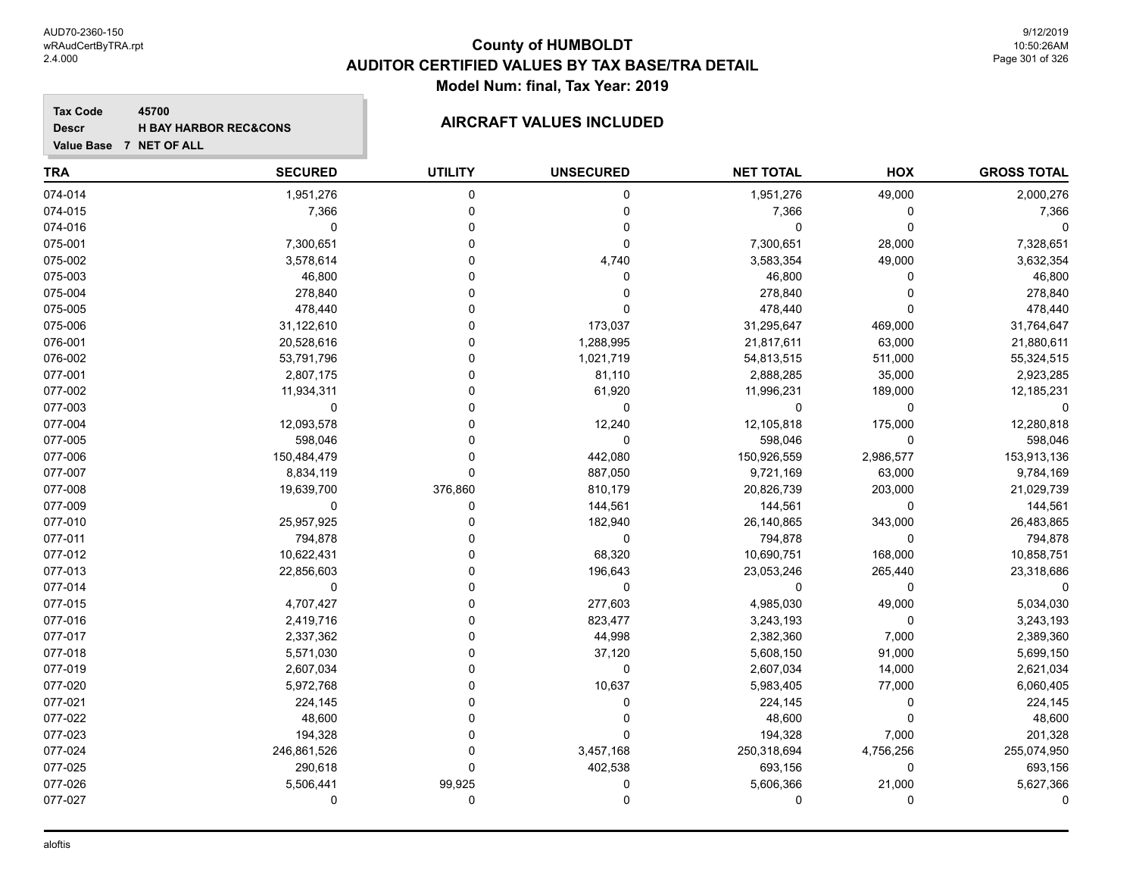#### **Tax Code 45700 Descr**

# **H** BAY HARBOR REC&CONS **AIRCRAFT VALUES INCLUDED**

| <b>TRA</b> | <b>SECURED</b> | <b>UTILITY</b> | <b>UNSECURED</b> | <b>NET TOTAL</b> | HOX         | <b>GROSS TOTAL</b> |
|------------|----------------|----------------|------------------|------------------|-------------|--------------------|
| 074-014    | 1,951,276      | 0              | 0                | 1,951,276        | 49,000      | 2,000,276          |
| 074-015    | 7,366          | $\Omega$       | 0                | 7,366            | 0           | 7,366              |
| 074-016    | 0              | $\Omega$       | $\mathbf 0$      | 0                | $\Omega$    | $\Omega$           |
| 075-001    | 7,300,651      | U              | $\mathbf 0$      | 7,300,651        | 28,000      | 7,328,651          |
| 075-002    | 3,578,614      | U              | 4,740            | 3,583,354        | 49,000      | 3,632,354          |
| 075-003    | 46,800         | 0              | 0                | 46,800           | 0           | 46,800             |
| 075-004    | 278,840        | 0              |                  | 278,840          | $\Omega$    | 278,840            |
| 075-005    | 478,440        | 0              | $\Omega$         | 478,440          | $\Omega$    | 478,440            |
| 075-006    | 31,122,610     | U              | 173,037          | 31,295,647       | 469,000     | 31,764,647         |
| 076-001    | 20,528,616     | O              | 1,288,995        | 21,817,611       | 63,000      | 21,880,611         |
| 076-002    | 53,791,796     | 0              | 1,021,719        | 54,813,515       | 511,000     | 55,324,515         |
| 077-001    | 2,807,175      | $\Omega$       | 81,110           | 2,888,285        | 35,000      | 2,923,285          |
| 077-002    | 11,934,311     | 0              | 61,920           | 11,996,231       | 189,000     | 12,185,231         |
| 077-003    | $\Omega$       | U              | 0                | 0                | 0           |                    |
| 077-004    | 12,093,578     | 0              | 12,240           | 12,105,818       | 175,000     | 12,280,818         |
| 077-005    | 598,046        | 0              | 0                | 598,046          | 0           | 598,046            |
| 077-006    | 150,484,479    | $\Omega$       | 442,080          | 150,926,559      | 2,986,577   | 153,913,136        |
| 077-007    | 8,834,119      | $\Omega$       | 887,050          | 9,721,169        | 63,000      | 9,784,169          |
| 077-008    | 19,639,700     | 376,860        | 810,179          | 20,826,739       | 203,000     | 21,029,739         |
| 077-009    | 0              | 0              | 144,561          | 144,561          | 0           | 144,561            |
| 077-010    | 25,957,925     | 0              | 182,940          | 26,140,865       | 343,000     | 26,483,865         |
| 077-011    | 794,878        | 0              | 0                | 794,878          | $\Omega$    | 794,878            |
| 077-012    | 10,622,431     | U              | 68,320           | 10,690,751       | 168,000     | 10,858,751         |
| 077-013    | 22,856,603     | 0              | 196,643          | 23,053,246       | 265,440     | 23,318,686         |
| 077-014    | $\mathbf 0$    | 0              | $\mathbf 0$      | $\mathbf 0$      | $\mathbf 0$ | $\Omega$           |
| 077-015    | 4,707,427      | 0              | 277,603          | 4,985,030        | 49,000      | 5,034,030          |
| 077-016    | 2,419,716      | 0              | 823,477          | 3,243,193        | $\mathbf 0$ | 3,243,193          |
| 077-017    | 2,337,362      | O              | 44,998           | 2,382,360        | 7,000       | 2,389,360          |
| 077-018    | 5,571,030      | 0              | 37,120           | 5,608,150        | 91,000      | 5,699,150          |
| 077-019    | 2,607,034      | 0              | 0                | 2,607,034        | 14,000      | 2,621,034          |
| 077-020    | 5,972,768      | $\Omega$       | 10,637           | 5,983,405        | 77,000      | 6,060,405          |
| 077-021    | 224,145        | 0              | 0                | 224,145          | 0           | 224,145            |
| 077-022    | 48,600         | ۵              | 0                | 48,600           | 0           | 48,600             |
| 077-023    | 194,328        | 0              | $\mathbf 0$      | 194,328          | 7,000       | 201,328            |
| 077-024    | 246,861,526    | 0              | 3,457,168        | 250,318,694      | 4,756,256   | 255,074,950        |
| 077-025    | 290,618        | $\Omega$       | 402,538          | 693,156          | 0           | 693,156            |
| 077-026    | 5,506,441      | 99,925         | 0                | 5,606,366        | 21,000      | 5,627,366          |
| 077-027    | 0              | 0              | 0                | 0                | $\Omega$    | $\Omega$           |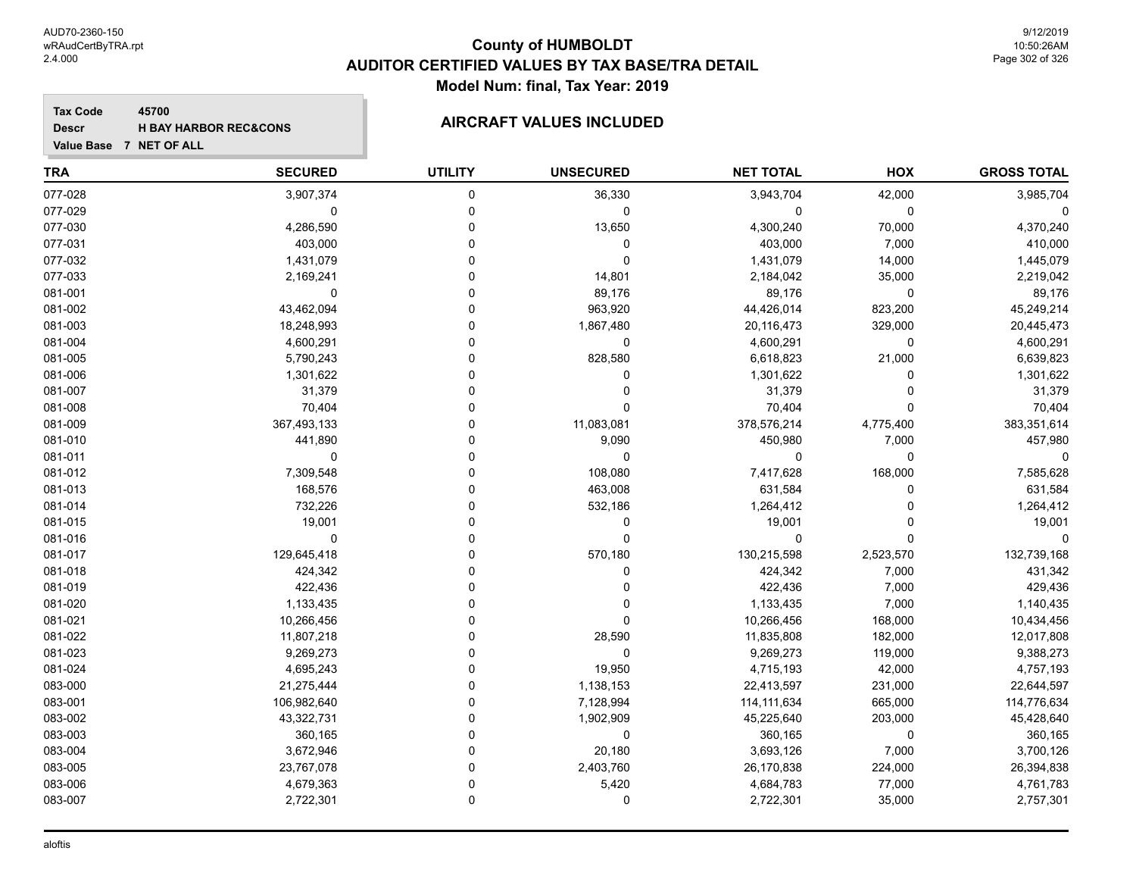**Value Base 7 NET OF ALL**

### **County of HUMBOLDT AUDITOR CERTIFIED VALUES BY TAX BASE/TRA DETAIL Model Num: final, Tax Year: 2019**

**Tax Code 45700 Descr**

# **H** BAY HARBOR REC&CONS **AIRCRAFT VALUES INCLUDED**

| TRA     | <b>SECURED</b> | <b>UTILITY</b> | <b>UNSECURED</b> | <b>NET TOTAL</b> | <b>HOX</b> | <b>GROSS TOTAL</b> |
|---------|----------------|----------------|------------------|------------------|------------|--------------------|
| 077-028 | 3,907,374      | 0              | 36,330           | 3,943,704        | 42,000     | 3,985,704          |
| 077-029 | 0              | 0              | 0                | 0                | 0          |                    |
| 077-030 | 4,286,590      | n              | 13,650           | 4,300,240        | 70,000     | 4,370,240          |
| 077-031 | 403,000        | n              | 0                | 403,000          | 7,000      | 410,000            |
| 077-032 | 1,431,079      | O              | 0                | 1,431,079        | 14,000     | 1,445,079          |
| 077-033 | 2,169,241      |                | 14,801           | 2,184,042        | 35,000     | 2,219,042          |
| 081-001 | 0              | 0              | 89,176           | 89,176           | 0          | 89,176             |
| 081-002 | 43,462,094     |                | 963,920          | 44,426,014       | 823,200    | 45,249,214         |
| 081-003 | 18,248,993     |                | 1,867,480        | 20,116,473       | 329,000    | 20,445,473         |
| 081-004 | 4,600,291      | n              | 0                | 4,600,291        | 0          | 4,600,291          |
| 081-005 | 5,790,243      |                | 828,580          | 6,618,823        | 21,000     | 6,639,823          |
| 081-006 | 1,301,622      |                | 0                | 1,301,622        | 0          | 1,301,622          |
| 081-007 | 31,379         |                | 0                | 31,379           |            | 31,379             |
| 081-008 | 70,404         | n              | 0                | 70,404           | 0          | 70,404             |
| 081-009 | 367,493,133    | n              | 11,083,081       | 378,576,214      | 4,775,400  | 383,351,614        |
| 081-010 | 441,890        |                | 9,090            | 450,980          | 7,000      | 457,980            |
| 081-011 | 0              |                | 0                | 0                | 0          |                    |
| 081-012 | 7,309,548      |                | 108,080          | 7,417,628        | 168,000    | 7,585,628          |
| 081-013 | 168,576        |                | 463,008          | 631,584          | 0          | 631,584            |
| 081-014 | 732,226        |                | 532,186          | 1,264,412        | O          | 1,264,412          |
| 081-015 | 19,001         |                | 0                | 19,001           | O          | 19,001             |
| 081-016 | $\Omega$       |                | 0                | $\Omega$         | 0          |                    |
| 081-017 | 129,645,418    |                | 570,180          | 130,215,598      | 2,523,570  | 132,739,168        |
| 081-018 | 424,342        | n              | 0                | 424,342          | 7,000      | 431,342            |
| 081-019 | 422,436        | n              | 0                | 422,436          | 7,000      | 429,436            |
| 081-020 | 1,133,435      |                | 0                | 1,133,435        | 7,000      | 1,140,435          |
| 081-021 | 10,266,456     |                | 0                | 10,266,456       | 168,000    | 10,434,456         |
| 081-022 | 11,807,218     |                | 28,590           | 11,835,808       | 182,000    | 12,017,808         |
| 081-023 | 9,269,273      |                | 0                | 9,269,273        | 119,000    | 9,388,273          |
| 081-024 | 4,695,243      | n              | 19,950           | 4,715,193        | 42,000     | 4,757,193          |
| 083-000 | 21,275,444     | n              | 1,138,153        | 22,413,597       | 231,000    | 22,644,597         |
| 083-001 | 106,982,640    |                | 7,128,994        | 114, 111, 634    | 665,000    | 114,776,634        |
| 083-002 | 43,322,731     |                | 1,902,909        | 45,225,640       | 203,000    | 45,428,640         |
| 083-003 | 360,165        | O              | 0                | 360,165          | 0          | 360,165            |
| 083-004 | 3,672,946      | 0              | 20,180           | 3,693,126        | 7,000      | 3,700,126          |
| 083-005 | 23,767,078     | 0              | 2,403,760        | 26,170,838       | 224,000    | 26,394,838         |
| 083-006 | 4,679,363      |                | 5,420            | 4,684,783        | 77,000     | 4,761,783          |
| 083-007 | 2,722,301      | $\Omega$       | 0                | 2,722,301        | 35,000     | 2,757,301          |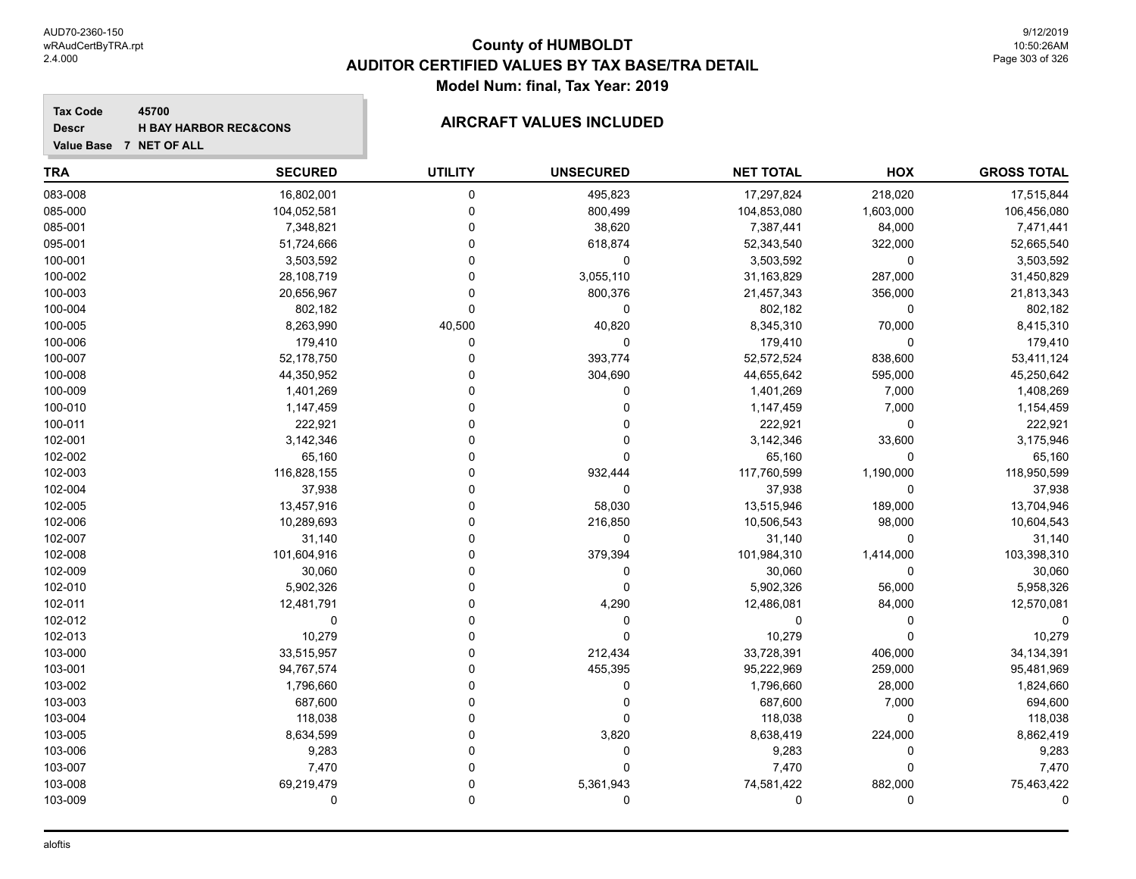#### **Tax Code 45700 Descr**

# **H** BAY HARBOR REC&CONS **AIRCRAFT VALUES INCLUDED**

| <b>TRA</b> | <b>SECURED</b> | <b>UTILITY</b> | <b>UNSECURED</b> | <b>NET TOTAL</b> | HOX         | <b>GROSS TOTAL</b> |
|------------|----------------|----------------|------------------|------------------|-------------|--------------------|
| 083-008    | 16,802,001     | $\pmb{0}$      | 495,823          | 17,297,824       | 218,020     | 17,515,844         |
| 085-000    | 104,052,581    | $\mathbf 0$    | 800,499          | 104,853,080      | 1,603,000   | 106,456,080        |
| 085-001    | 7,348,821      | $\Omega$       | 38,620           | 7,387,441        | 84,000      | 7,471,441          |
| 095-001    | 51,724,666     | $\Omega$       | 618,874          | 52,343,540       | 322,000     | 52,665,540         |
| 100-001    | 3,503,592      | $\Omega$       | $\mathbf 0$      | 3,503,592        | 0           | 3,503,592          |
| 100-002    | 28,108,719     | $\Omega$       | 3,055,110        | 31,163,829       | 287,000     | 31,450,829         |
| 100-003    | 20,656,967     | $\Omega$       | 800,376          | 21,457,343       | 356,000     | 21,813,343         |
| 100-004    | 802,182        | $\Omega$       | 0                | 802,182          | 0           | 802,182            |
| 100-005    | 8,263,990      | 40,500         | 40,820           | 8,345,310        | 70,000      | 8,415,310          |
| 100-006    | 179,410        | $\mathbf 0$    | 0                | 179,410          | 0           | 179,410            |
| 100-007    | 52,178,750     | $\Omega$       | 393,774          | 52,572,524       | 838,600     | 53,411,124         |
| 100-008    | 44,350,952     | $\Omega$       | 304,690          | 44,655,642       | 595,000     | 45,250,642         |
| 100-009    | 1,401,269      | $\Omega$       | 0                | 1,401,269        | 7,000       | 1,408,269          |
| 100-010    | 1,147,459      | $\Omega$       | 0                | 1,147,459        | 7,000       | 1,154,459          |
| 100-011    | 222,921        | $\Omega$       | 0                | 222,921          | 0           | 222,921            |
| 102-001    | 3,142,346      | $\Omega$       | 0                | 3,142,346        | 33,600      | 3,175,946          |
| 102-002    | 65,160         | $\Omega$       | $\mathbf 0$      | 65,160           | $\mathbf 0$ | 65,160             |
| 102-003    | 116,828,155    | $\Omega$       | 932,444          | 117,760,599      | 1,190,000   | 118,950,599        |
| 102-004    | 37,938         | $\Omega$       | $\mathbf 0$      | 37,938           | $\mathbf 0$ | 37,938             |
| 102-005    | 13,457,916     | $\Omega$       | 58,030           | 13,515,946       | 189,000     | 13,704,946         |
| 102-006    | 10,289,693     | $\Omega$       | 216,850          | 10,506,543       | 98,000      | 10,604,543         |
| 102-007    | 31,140         | $\Omega$       | $\mathbf 0$      | 31,140           | $\Omega$    | 31,140             |
| 102-008    | 101,604,916    | $\Omega$       | 379,394          | 101,984,310      | 1,414,000   | 103,398,310        |
| 102-009    | 30,060         | $\Omega$       | 0                | 30,060           | 0           | 30,060             |
| 102-010    | 5,902,326      | $\Omega$       | $\mathbf 0$      | 5,902,326        | 56,000      | 5,958,326          |
| 102-011    | 12,481,791     | $\Omega$       | 4,290            | 12,486,081       | 84,000      | 12,570,081         |
| 102-012    | $\mathbf 0$    | $\Omega$       | 0                | 0                | $\mathbf 0$ |                    |
| 102-013    | 10,279         | $\Omega$       | $\mathbf 0$      | 10,279           | $\Omega$    | 10,279             |
| 103-000    | 33,515,957     | $\Omega$       | 212,434          | 33,728,391       | 406,000     | 34, 134, 391       |
| 103-001    | 94,767,574     | $\Omega$       | 455,395          | 95,222,969       | 259,000     | 95,481,969         |
| 103-002    | 1,796,660      | $\Omega$       | 0                | 1,796,660        | 28,000      | 1,824,660          |
| 103-003    | 687,600        | $\mathbf{0}$   | 0                | 687,600          | 7,000       | 694,600            |
| 103-004    | 118,038        | $\Omega$       | 0                | 118,038          | 0           | 118,038            |
| 103-005    | 8,634,599      | $\mathbf 0$    | 3,820            | 8,638,419        | 224,000     | 8,862,419          |
| 103-006    | 9,283          | $\Omega$       | $\mathbf 0$      | 9,283            | $\mathbf 0$ | 9,283              |
| 103-007    | 7,470          | $\Omega$       | $\mathbf 0$      | 7,470            | $\Omega$    | 7,470              |
| 103-008    | 69,219,479     | $\Omega$       | 5,361,943        | 74,581,422       | 882,000     | 75,463,422         |
| 103-009    | $\mathbf 0$    | $\Omega$       | $\mathbf 0$      | 0                | 0           | $\Omega$           |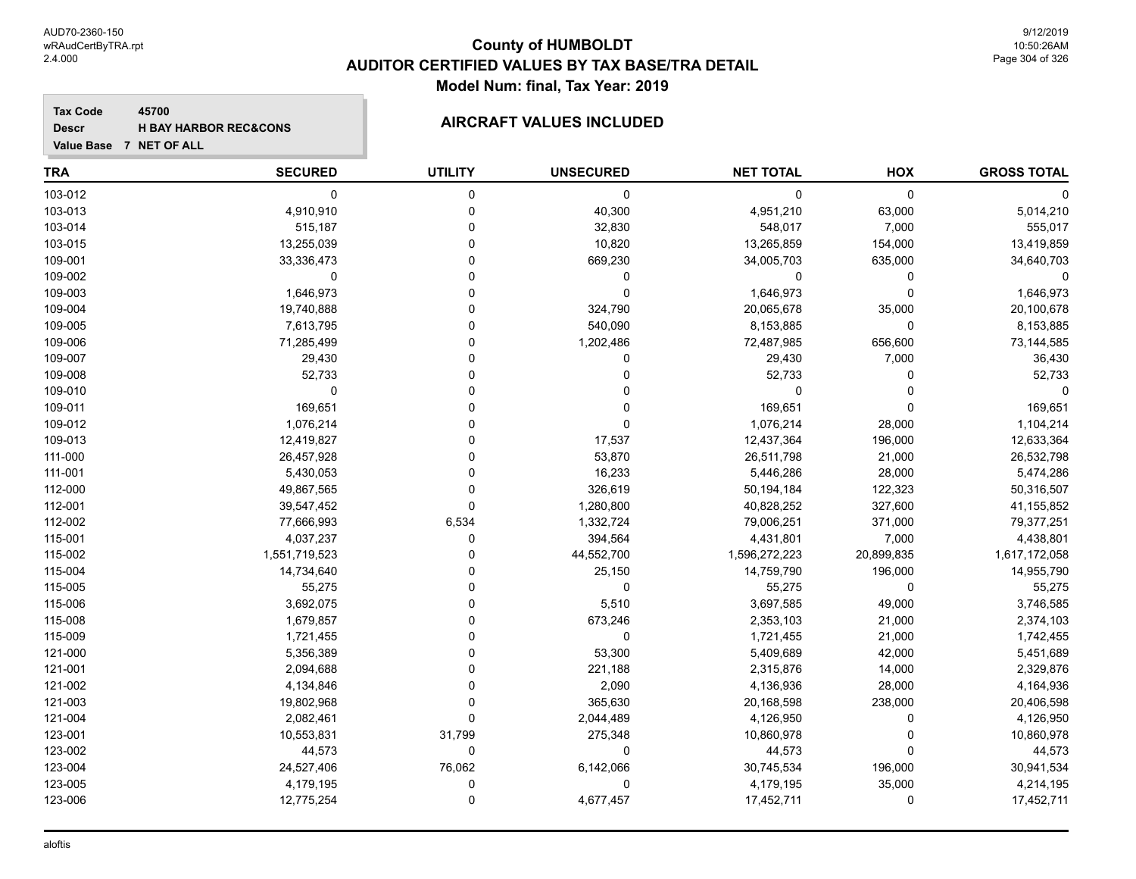**Tax Code 45700 Descr**

#### **H BAY HARBOR REC&CONS AIRCRAFT VALUES INCLUDED**

| Value Base 7 NET OF ALL |                |                |                  |                  |            |                    |
|-------------------------|----------------|----------------|------------------|------------------|------------|--------------------|
| TRA                     | <b>SECURED</b> | <b>UTILITY</b> | <b>UNSECURED</b> | <b>NET TOTAL</b> | HOX        | <b>GROSS TOTAL</b> |
| 103-012                 | 0              | 0              | 0                | 0                | 0          |                    |
| 103-013                 | 4,910,910      | 0              | 40,300           | 4,951,210        | 63,000     | 5,014,210          |
| 103-014                 | 515,187        |                | 32,830           | 548,017          | 7,000      | 555,017            |
| 103-015                 | 13,255,039     | 0              | 10,820           | 13,265,859       | 154,000    | 13,419,859         |
| 109-001                 | 33,336,473     |                | 669,230          | 34,005,703       | 635,000    | 34,640,703         |
| 109-002                 | $\Omega$       |                | 0                | 0                | 0          |                    |
| 109-003                 | 1,646,973      |                | 0                | 1,646,973        | $\Omega$   | 1,646,973          |
| 109-004                 | 19,740,888     |                | 324,790          | 20,065,678       | 35,000     | 20,100,678         |
| 109-005                 | 7,613,795      | n              | 540,090          | 8,153,885        | 0          | 8,153,885          |
| 109-006                 | 71,285,499     |                | 1,202,486        | 72,487,985       | 656,600    | 73,144,585         |
| 109-007                 | 29,430         |                | 0                | 29,430           | 7,000      | 36,430             |
| 109-008                 | 52,733         |                | 0                | 52,733           | 0          | 52,733             |
| 109-010                 | 0              |                |                  | 0                |            | $\Omega$           |
| 109-011                 | 169,651        |                |                  | 169,651          | $\Omega$   | 169,651            |
| 109-012                 | 1,076,214      |                | 0                | 1,076,214        | 28,000     | 1,104,214          |
| 109-013                 | 12,419,827     |                | 17,537           | 12,437,364       | 196,000    | 12,633,364         |
| 111-000                 | 26,457,928     |                | 53,870           | 26,511,798       | 21,000     | 26,532,798         |
| 111-001                 | 5,430,053      | $\Omega$       | 16,233           | 5,446,286        | 28,000     | 5,474,286          |
| 112-000                 | 49,867,565     | $\Omega$       | 326,619          | 50,194,184       | 122,323    | 50,316,507         |
| 112-001                 | 39,547,452     | $\Omega$       | 1,280,800        | 40,828,252       | 327,600    | 41,155,852         |
| 112-002                 | 77,666,993     | 6,534          | 1,332,724        | 79,006,251       | 371,000    | 79,377,251         |
| 115-001                 | 4,037,237      | 0              | 394,564          | 4,431,801        | 7,000      | 4,438,801          |
| 115-002                 | 1,551,719,523  |                | 44,552,700       | 1,596,272,223    | 20,899,835 | 1,617,172,058      |
| 115-004                 | 14,734,640     |                | 25,150           | 14,759,790       | 196,000    | 14,955,790         |
| 115-005                 | 55,275         | n              | 0                | 55,275           | 0          | 55,275             |
| 115-006                 | 3,692,075      |                | 5,510            | 3,697,585        | 49,000     | 3,746,585          |
| 115-008                 | 1,679,857      |                | 673,246          | 2,353,103        | 21,000     | 2,374,103          |
| 115-009                 | 1,721,455      | U              | 0                | 1,721,455        | 21,000     | 1,742,455          |
| 121-000                 | 5,356,389      | $\Omega$       | 53,300           | 5,409,689        | 42,000     | 5,451,689          |
| 121-001                 | 2,094,688      |                | 221,188          | 2,315,876        | 14,000     | 2,329,876          |
| 121-002                 | 4,134,846      |                | 2,090            | 4,136,936        | 28,000     | 4,164,936          |
| 121-003                 | 19,802,968     | 0              | 365,630          | 20,168,598       | 238,000    | 20,406,598         |
| 121-004                 | 2,082,461      | $\Omega$       | 2,044,489        | 4,126,950        | 0          | 4,126,950          |

123-001 10,553,831 31,799 275,348 10,860,978 0 10,860,978 123-002 44,573 0 0 44,573 0 44,573 123-004 24,527,406 76,062 6,142,066 30,745,534 196,000 30,941,534 123-005 4,179,195 0 0 4,179,195 35,000 4,214,195 123-006 12,775,254 0 4,677,457 17,452,711 0 17,452,711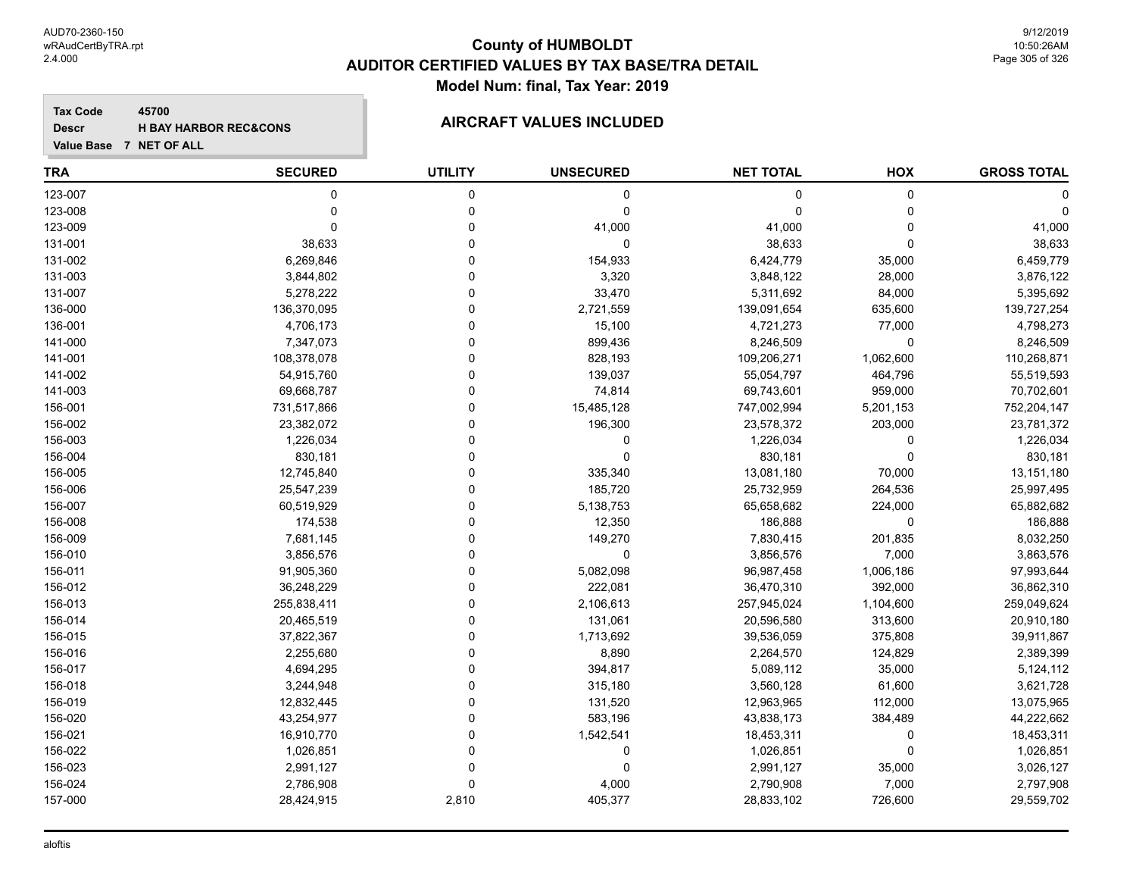**Tax Code 45700 Descr**

# **H** BAY HARBOR REC&CONS **AIRCRAFT VALUES INCLUDED**

| <b>TRA</b> | <b>SECURED</b> | <b>UTILITY</b> | <b>UNSECURED</b> | <b>NET TOTAL</b> | HOX       | <b>GROSS TOTAL</b> |
|------------|----------------|----------------|------------------|------------------|-----------|--------------------|
| 123-007    | $\mathbf 0$    | 0              | 0                | $\mathbf 0$      | 0         | 0                  |
| 123-008    | $\mathbf 0$    | 0              | $\mathbf 0$      | $\Omega$         | 0         | $\Omega$           |
| 123-009    | $\mathbf 0$    | $\mathbf 0$    | 41,000           | 41,000           | 0         | 41,000             |
| 131-001    | 38,633         | $\Omega$       | $\mathbf 0$      | 38,633           | 0         | 38,633             |
| 131-002    | 6,269,846      | 0              | 154,933          | 6,424,779        | 35,000    | 6,459,779          |
| 131-003    | 3,844,802      | $\Omega$       | 3,320            | 3,848,122        | 28,000    | 3,876,122          |
| 131-007    | 5,278,222      | $\Omega$       | 33,470           | 5,311,692        | 84,000    | 5,395,692          |
| 136-000    | 136,370,095    | $\Omega$       | 2,721,559        | 139,091,654      | 635,600   | 139,727,254        |
| 136-001    | 4,706,173      | $\Omega$       | 15,100           | 4,721,273        | 77,000    | 4,798,273          |
| 141-000    | 7,347,073      | $\Omega$       | 899,436          | 8,246,509        | 0         | 8,246,509          |
| 141-001    | 108,378,078    | $\Omega$       | 828,193          | 109,206,271      | 1,062,600 | 110,268,871        |
| 141-002    | 54,915,760     | $\Omega$       | 139,037          | 55,054,797       | 464,796   | 55,519,593         |
| 141-003    | 69,668,787     | $\Omega$       | 74,814           | 69,743,601       | 959,000   | 70,702,601         |
| 156-001    | 731,517,866    | $\Omega$       | 15,485,128       | 747,002,994      | 5,201,153 | 752,204,147        |
| 156-002    | 23,382,072     | $\Omega$       | 196,300          | 23,578,372       | 203,000   | 23,781,372         |
| 156-003    | 1,226,034      | $\overline{0}$ | 0                | 1,226,034        | 0         | 1,226,034          |
| 156-004    | 830,181        | $\Omega$       | $\mathbf 0$      | 830,181          | 0         | 830,181            |
| 156-005    | 12,745,840     | $\Omega$       | 335,340          | 13,081,180       | 70,000    | 13,151,180         |
| 156-006    | 25,547,239     | $\Omega$       | 185,720          | 25,732,959       | 264,536   | 25,997,495         |
| 156-007    | 60,519,929     | $\Omega$       | 5,138,753        | 65,658,682       | 224,000   | 65,882,682         |
| 156-008    | 174,538        | $\Omega$       | 12,350           | 186,888          | 0         | 186,888            |
| 156-009    | 7,681,145      | $\Omega$       | 149,270          | 7,830,415        | 201,835   | 8,032,250          |
| 156-010    | 3,856,576      | $\Omega$       | $\mathbf 0$      | 3,856,576        | 7,000     | 3,863,576          |
| 156-011    | 91,905,360     | $\Omega$       | 5,082,098        | 96,987,458       | 1,006,186 | 97,993,644         |
| 156-012    | 36,248,229     | $\Omega$       | 222,081          | 36,470,310       | 392,000   | 36,862,310         |
| 156-013    | 255,838,411    | $\Omega$       | 2,106,613        | 257,945,024      | 1,104,600 | 259,049,624        |
| 156-014    | 20,465,519     | $\Omega$       | 131,061          | 20,596,580       | 313,600   | 20,910,180         |
| 156-015    | 37,822,367     | $\Omega$       | 1,713,692        | 39,536,059       | 375,808   | 39,911,867         |
| 156-016    | 2,255,680      | $\Omega$       | 8,890            | 2,264,570        | 124,829   | 2,389,399          |
| 156-017    | 4,694,295      | $\Omega$       | 394,817          | 5,089,112        | 35,000    | 5,124,112          |
| 156-018    | 3,244,948      | $\Omega$       | 315,180          | 3,560,128        | 61,600    | 3,621,728          |
| 156-019    | 12,832,445     | $\Omega$       | 131,520          | 12,963,965       | 112,000   | 13,075,965         |
| 156-020    | 43,254,977     | $\Omega$       | 583,196          | 43,838,173       | 384,489   | 44,222,662         |
| 156-021    | 16,910,770     | $\mathbf 0$    | 1,542,541        | 18,453,311       | 0         | 18,453,311         |
| 156-022    | 1,026,851      | 0              | 0                | 1,026,851        | 0         | 1,026,851          |
| 156-023    | 2,991,127      | $\Omega$       | $\mathbf 0$      | 2,991,127        | 35,000    | 3,026,127          |
| 156-024    | 2,786,908      | $\Omega$       | 4,000            | 2,790,908        | 7,000     | 2,797,908          |
| 157-000    | 28,424,915     | 2,810          | 405,377          | 28,833,102       | 726,600   | 29,559,702         |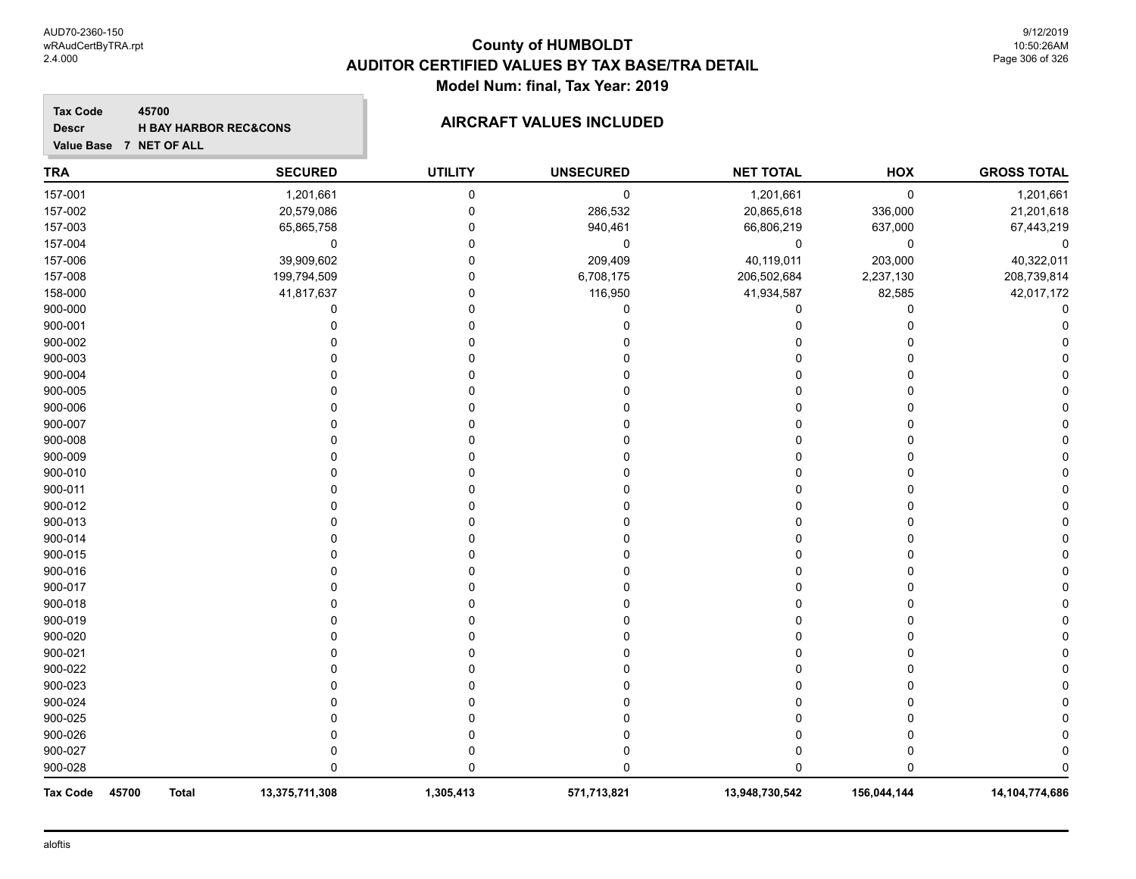#### **Tax Code 45700 Descr**

# **H** BAY HARBOR REC&CONS **AIRCRAFT VALUES INCLUDED**

| <b>TRA</b>               |              | <b>SECURED</b> | <b>UTILITY</b> | <b>UNSECURED</b> | <b>NET TOTAL</b> | HOX          | <b>GROSS TOTAL</b> |
|--------------------------|--------------|----------------|----------------|------------------|------------------|--------------|--------------------|
| 157-001                  |              | 1,201,661      | 0              | $\pmb{0}$        | 1,201,661        | 0            | 1,201,661          |
| 157-002                  |              | 20,579,086     | 0              | 286,532          | 20,865,618       | 336,000      | 21,201,618         |
| 157-003                  |              | 65,865,758     | $\Omega$       | 940,461          | 66,806,219       | 637,000      | 67,443,219         |
| 157-004                  |              | 0              | $\Omega$       | 0                | $\mathbf 0$      | 0            | 0                  |
| 157-006                  |              | 39,909,602     | $\Omega$       | 209,409          | 40,119,011       | 203,000      | 40,322,011         |
| 157-008                  |              | 199,794,509    | 0              | 6,708,175        | 206,502,684      | 2,237,130    | 208,739,814        |
| 158-000                  |              | 41,817,637     | 0              | 116,950          | 41,934,587       | 82,585       | 42,017,172         |
| 900-000                  |              | 0              | 0              | 0                | 0                | 0            |                    |
| 900-001                  |              | 0              | $\Omega$       |                  | 0                | 0            |                    |
| 900-002                  |              | 0              | 0              |                  |                  | 0            |                    |
| 900-003                  |              | O              | $\Omega$       |                  |                  | 0            |                    |
| 900-004                  |              | $\Omega$       | $\Omega$       |                  |                  | 0            |                    |
| 900-005                  |              | 0              | $\Omega$       |                  |                  | 0            |                    |
| 900-006                  |              | $\Omega$       | $\Omega$       |                  |                  | 0            |                    |
| 900-007                  |              | $\Omega$       | ∩              |                  |                  | 0            |                    |
| 900-008                  |              | $\Omega$       | 0              |                  |                  | 0            |                    |
| 900-009                  |              | O              | ∩              |                  |                  | 0            |                    |
| 900-010                  |              | O              |                |                  |                  | 0            |                    |
| 900-011                  |              | 0              | 0              |                  |                  | 0            |                    |
| 900-012                  |              | O              |                |                  |                  | 0            |                    |
| 900-013                  |              |                |                |                  |                  | 0            |                    |
| 900-014                  |              | 0              |                |                  |                  | 0            |                    |
| 900-015                  |              |                |                |                  |                  | 0            |                    |
| 900-016                  |              |                |                |                  |                  | 0            |                    |
| 900-017                  |              |                |                |                  |                  | 0            |                    |
| 900-018                  |              |                |                |                  |                  | 0            |                    |
| 900-019                  |              | $\Omega$       |                |                  |                  | 0            |                    |
| 900-020                  |              | O              |                |                  |                  | 0            |                    |
| 900-021                  |              |                |                |                  |                  | $\Omega$     |                    |
| 900-022                  |              |                |                |                  |                  | 0            |                    |
| 900-023                  |              |                |                |                  |                  | 0            |                    |
| 900-024                  |              |                |                |                  |                  | 0            |                    |
| 900-025                  |              | O              | 0              |                  |                  | 0            |                    |
| 900-026                  |              | 0              | 0              |                  |                  | 0            |                    |
| 900-027                  |              | 0              | 0              |                  |                  | 0            |                    |
| 900-028                  |              | $\Omega$       | $\mathbf{0}$   |                  | U                | $\mathbf{0}$ |                    |
| 45700<br><b>Tax Code</b> | <b>Total</b> | 13,375,711,308 | 1,305,413      | 571,713,821      | 13,948,730,542   | 156,044,144  | 14,104,774,686     |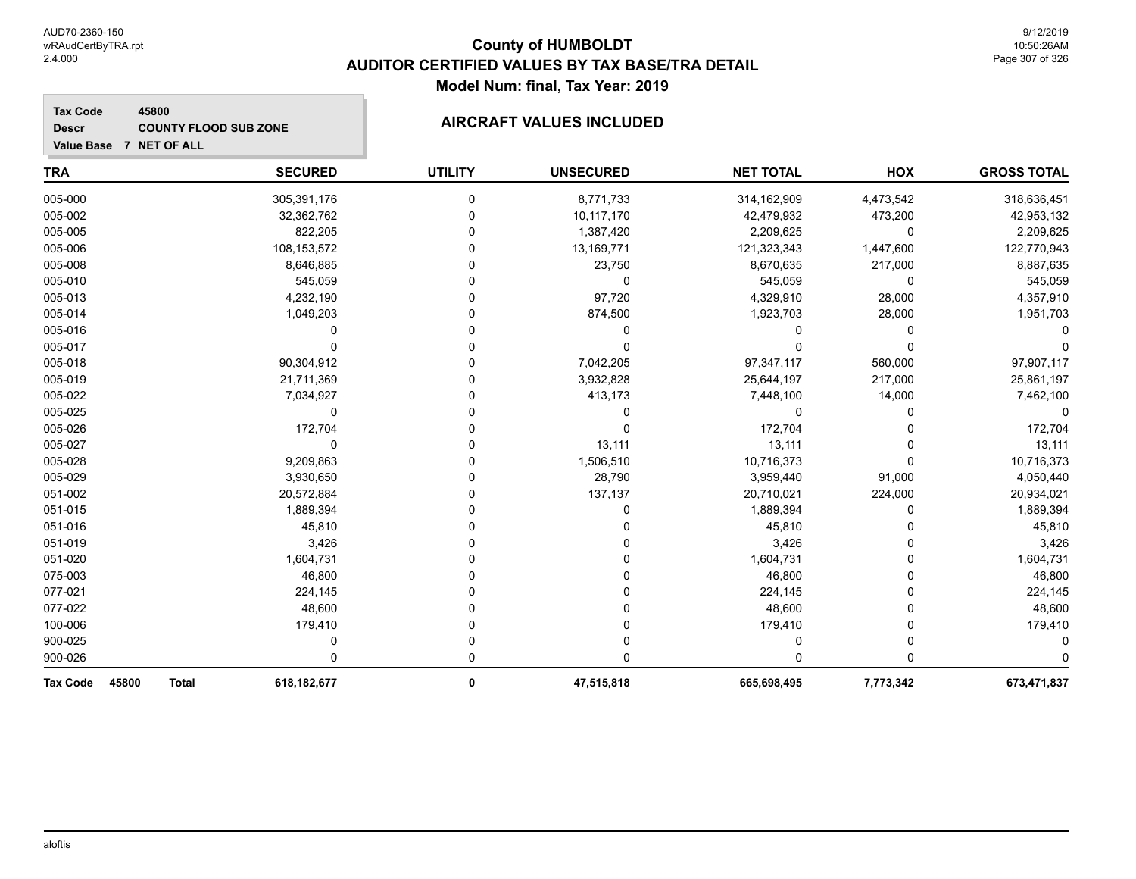#### **TRA SECURED UTILITY UNSECURED HOX Tax Code Value Base 7 NET OF ALL 45800 GROSS TOTAL NET TOTAL Descr COUNTY FLOOD SUB ZONE AIRCRAFT VALUES INCLUDED** 005-000 305,391,176 0 8,771,733 314,162,909 4,473,542 318,636,451 005-002 32,362,762 0 10,117,170 42,479,932 473,200 42,953,132 005-005 822,205 0 1,387,420 2,209,625 0 2,209,625 005-006 108,153,572 0 13,169,771 121,323,343 1,447,600 122,770,943 005-008 8,646,885 0 23,750 8,670,635 217,000 8,887,635 005-010 545,059 0 0 545,059 0 545,059 005-013 4,232,190 0 97,720 4,329,910 28,000 4,357,910 005-014 1,049,203 0 874,500 1,923,703 28,000 1,951,703 005-016 0 0 0 0 0 0 005-017 0 0 0 0 0 0 005-018 90,304,912 0 7,042,205 97,347,117 560,000 97,907,117 005-019 21,711,369 0 3,932,828 25,644,197 217,000 25,861,197 005-022 7,034,927 0 413,173 7,448,100 14,000 7,462,100 005-025 0 0 0 0 0 0 005-026 172,704 0 0 172,704 0 172,704 005-027 0 0 13,111 13,111 0 13,111 005-028 9,209,863 0 1,506,510 10,716,373 0 10,716,373 005-029 3,930,650 0 28,790 3,959,440 91,000 4,050,440 051-002 20,572,884 0 137,137 20,710,021 224,000 20,934,021 051-015 1,889,394 0 0 1,889,394 0 1,889,394 051-016 45,810 0 0 45,810 0 45,810 051-019 3,426 0 0 3,426 0 3,426 051-020 1,604,731 0 0 1,604,731 0 1,604,731 075-003 46,800 0 0 46,800 0 46,800

077-021 224,145 0 0 224,145 0 224,145 077-022 48,600 0 0 48,600 0 48,600 100-006 179,410 0 0 179,410 0 179,410 900-025 0 0 0 0 0 0 900-026 0 0 0 0 0 0 **Tax Code 45800 Total 618,182,677 0 47,515,818 665,698,495 7,773,342 673,471,837**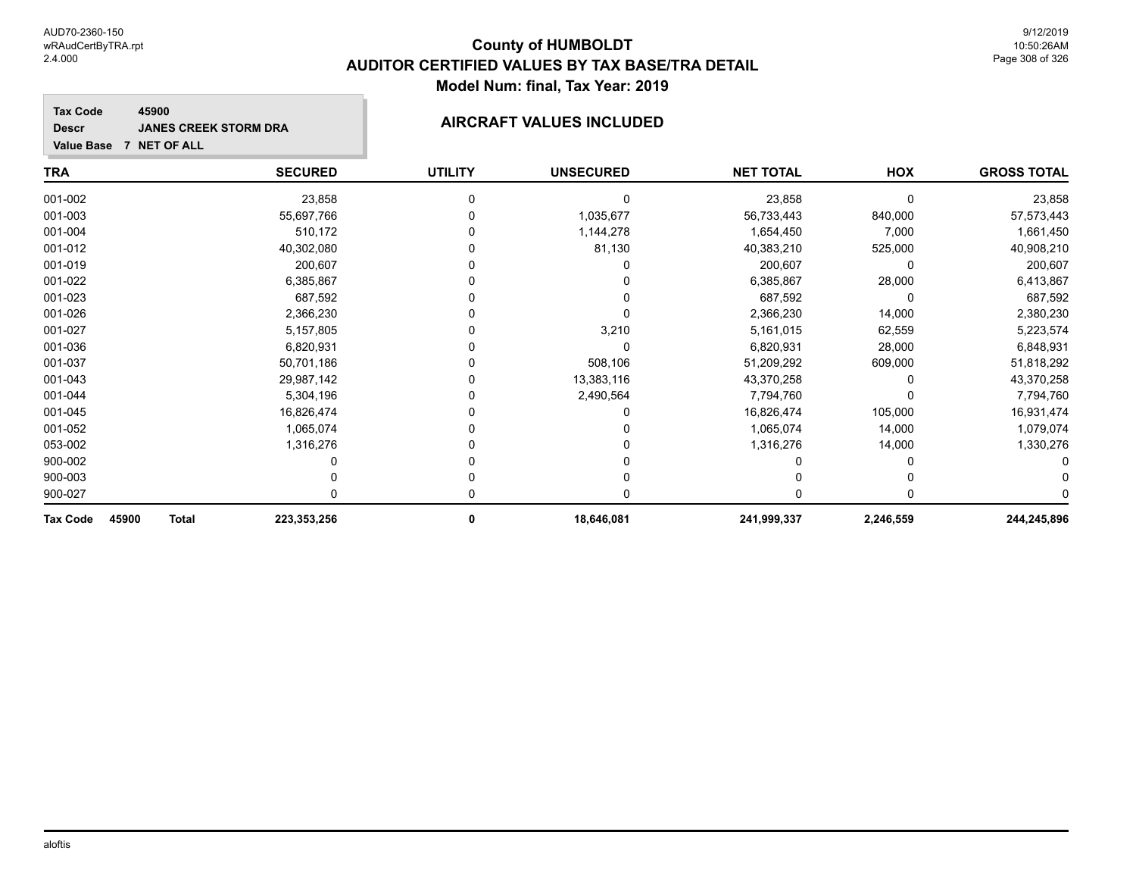**NET TOTAL**

**GROSS TOTAL**

# **TRA SECURED UTILITY UNSECURED HOX Tax Code Value Base 7 NET OF ALL 45900 Descr JANES CREEK STORM DRA AIRCRAFT VALUES INCLUDED**

| 45900<br><b>Tax Code</b><br><b>Total</b> | 223,353,256 | 0 | 18,646,081 | 241,999,337 | 2,246,559 | 244,245,896 |
|------------------------------------------|-------------|---|------------|-------------|-----------|-------------|
| 900-027                                  |             |   |            |             |           |             |
| 900-003                                  |             |   |            |             |           |             |
| 900-002                                  |             |   |            |             |           |             |
| 053-002                                  | 1,316,276   |   |            | 1,316,276   | 14,000    | 1,330,276   |
| 001-052                                  | 1,065,074   |   |            | 1,065,074   | 14,000    | 1,079,074   |
| 001-045                                  | 16,826,474  |   |            | 16,826,474  | 105,000   | 16,931,474  |
| 001-044                                  | 5,304,196   |   | 2,490,564  | 7,794,760   |           | 7,794,760   |
| 001-043                                  | 29,987,142  |   | 13,383,116 | 43,370,258  |           | 43,370,258  |
| 001-037                                  | 50,701,186  |   | 508,106    | 51,209,292  | 609,000   | 51,818,292  |
| 001-036                                  | 6,820,931   |   |            | 6,820,931   | 28,000    | 6,848,931   |
| 001-027                                  | 5,157,805   |   | 3,210      | 5,161,015   | 62,559    | 5,223,574   |
| 001-026                                  | 2,366,230   |   |            | 2,366,230   | 14,000    | 2,380,230   |
| 001-023                                  | 687,592     |   |            | 687,592     |           | 687,592     |
| 001-022                                  | 6,385,867   |   |            | 6,385,867   | 28,000    | 6,413,867   |
| 001-019                                  | 200,607     |   |            | 200,607     |           | 200,607     |
| 001-012                                  | 40,302,080  |   | 81,130     | 40,383,210  | 525,000   | 40,908,210  |
| 001-004                                  | 510,172     |   | 1,144,278  | 1,654,450   | 7,000     | 1,661,450   |
| 001-003                                  | 55,697,766  |   | 1,035,677  | 56,733,443  | 840,000   | 57,573,443  |
| 001-002                                  | 23,858      |   |            | 23,858      |           | 23,858      |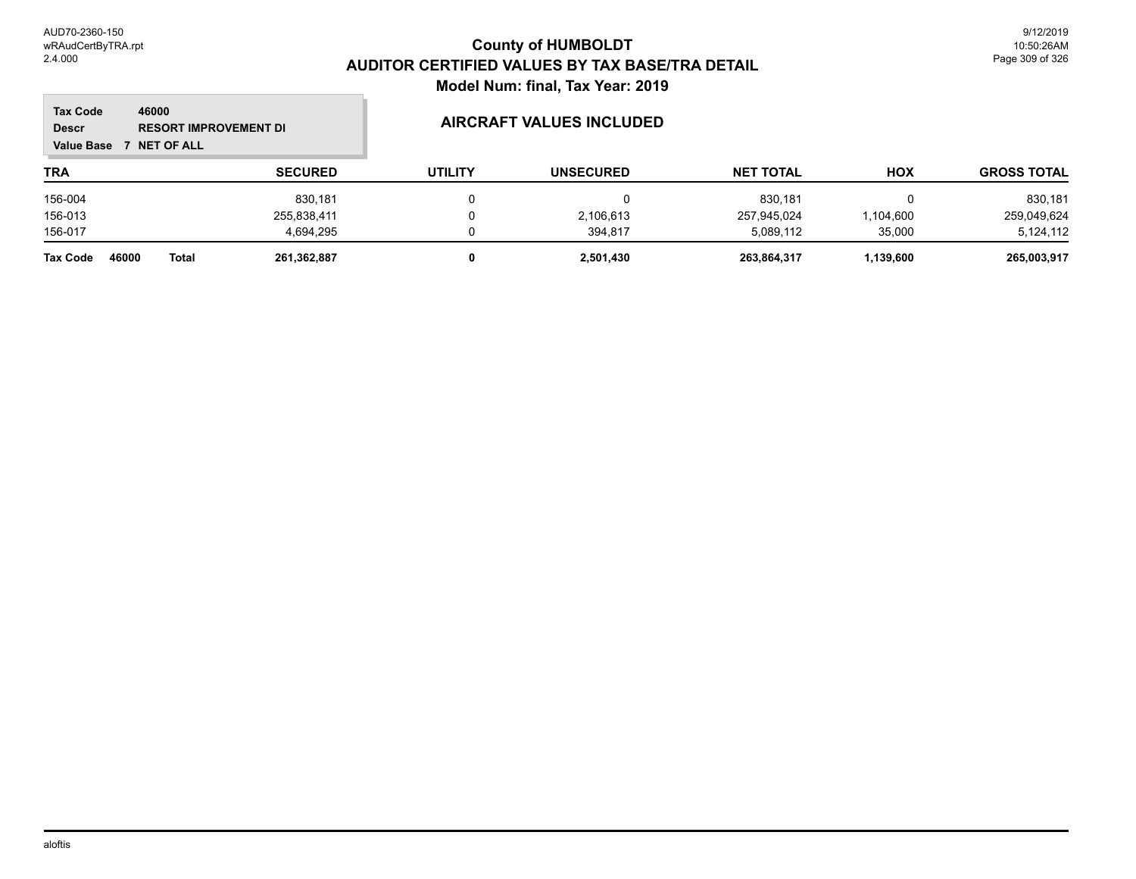m.

| 46000<br><b>Tax Code</b><br><b>Descr</b><br><b>RESORT IMPROVEMENT DI</b><br><b>NET OF ALL</b><br><b>Value Base</b> |                       |                | <b>AIRCRAFT VALUES INCLUDED</b> |                  |                  |            |                    |
|--------------------------------------------------------------------------------------------------------------------|-----------------------|----------------|---------------------------------|------------------|------------------|------------|--------------------|
| <b>TRA</b>                                                                                                         |                       | <b>SECURED</b> | <b>UTILITY</b>                  | <b>UNSECURED</b> | <b>NET TOTAL</b> | <b>HOX</b> | <b>GROSS TOTAL</b> |
| 156-004                                                                                                            |                       | 830.181        |                                 | υ                | 830,181          |            | 830,181            |
| 156-013                                                                                                            |                       | 255,838,411    |                                 | 2,106,613        | 257,945,024      | ,104,600   | 259,049,624        |
| 156-017                                                                                                            |                       | 4.694.295      |                                 | 394.817          | 5,089,112        | 35,000     | 5,124,112          |
| <b>Tax Code</b>                                                                                                    | 46000<br><b>Total</b> | 261,362,887    |                                 | 2,501,430        | 263,864,317      | 1,139,600  | 265,003,917        |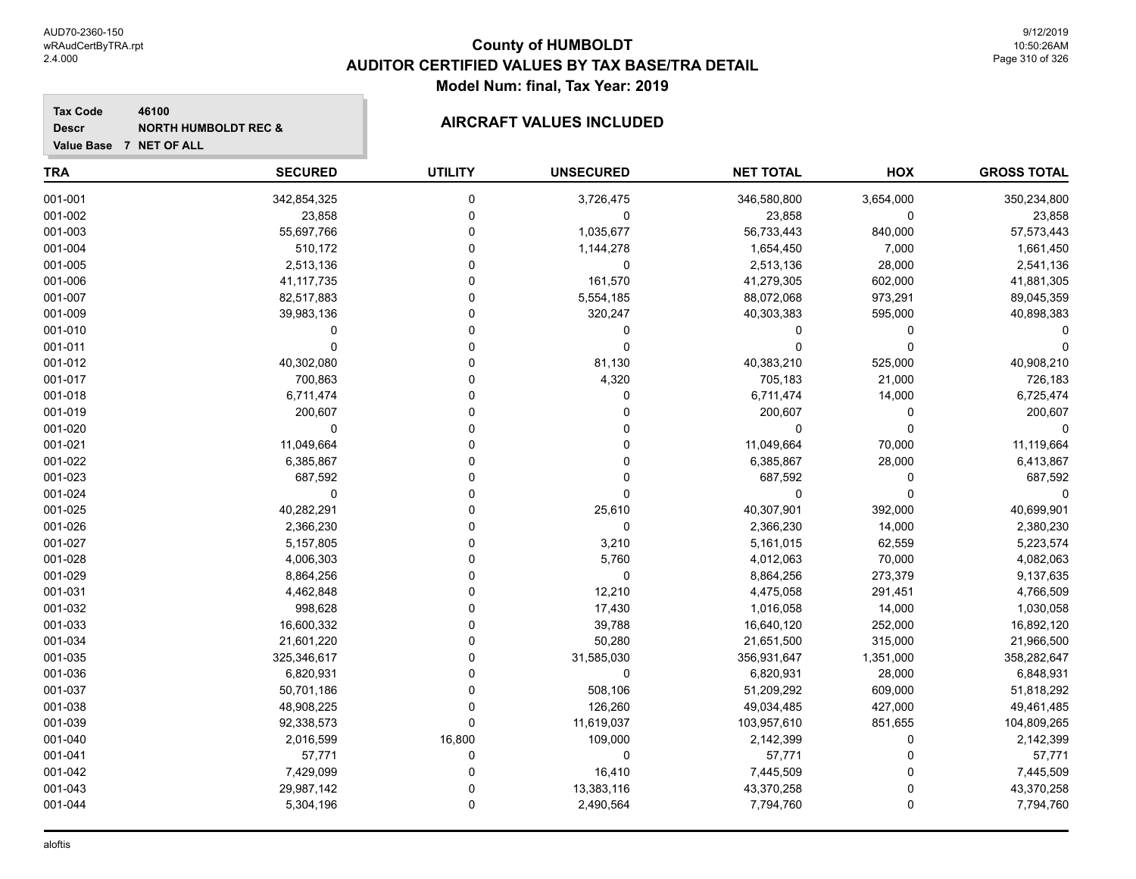**Value Base 7 NET OF ALL**

**Tax Code**

**Descr**

### **County of HUMBOLDT AUDITOR CERTIFIED VALUES BY TAX BASE/TRA DETAIL Model Num: final, Tax Year: 2019**

#### **46100 NORTH HUMBOLDT REC & AIRCRAFT VALUES INCLUDED**

| <b>TRA</b> | <b>SECURED</b> | <b>UTILITY</b> | <b>UNSECURED</b> | <b>NET TOTAL</b> | <b>HOX</b> | <b>GROSS TOTAL</b> |
|------------|----------------|----------------|------------------|------------------|------------|--------------------|
| 001-001    | 342,854,325    | 0              | 3,726,475        | 346,580,800      | 3,654,000  | 350,234,800        |
| 001-002    | 23,858         | 0              | $\mathbf 0$      | 23,858           | 0          | 23,858             |
| 001-003    | 55,697,766     | 0              | 1,035,677        | 56,733,443       | 840,000    | 57,573,443         |
| 001-004    | 510,172        | $\Omega$       | 1,144,278        | 1,654,450        | 7,000      | 1,661,450          |
| 001-005    | 2,513,136      | 0              | 0                | 2,513,136        | 28,000     | 2,541,136          |
| 001-006    | 41, 117, 735   | 0              | 161,570          | 41,279,305       | 602,000    | 41,881,305         |
| 001-007    | 82,517,883     | $\Omega$       | 5,554,185        | 88,072,068       | 973,291    | 89,045,359         |
| 001-009    | 39,983,136     | 0              | 320,247          | 40,303,383       | 595,000    | 40,898,383         |
| 001-010    | 0              | 0              | 0                | 0                | 0          |                    |
| 001-011    | $\Omega$       | $\Omega$       | $\mathbf 0$      | $\mathbf{0}$     | $\Omega$   | 0                  |
| 001-012    | 40,302,080     | 0              | 81,130           | 40,383,210       | 525,000    | 40,908,210         |
| 001-017    | 700,863        | 0              | 4,320            | 705,183          | 21,000     | 726,183            |
| 001-018    | 6,711,474      | 0              | $\mathbf 0$      | 6,711,474        | 14,000     | 6,725,474          |
| 001-019    | 200,607        | 0              | $\mathbf{0}$     | 200,607          | 0          | 200,607            |
| 001-020    | $\mathbf 0$    | $\Omega$       | $\Omega$         | 0                | $\pmb{0}$  | $\Omega$           |
| 001-021    | 11,049,664     | $\Omega$       | $\Omega$         | 11,049,664       | 70,000     | 11,119,664         |
| 001-022    | 6,385,867      | 0              | $\Omega$         | 6,385,867        | 28,000     | 6,413,867          |
| 001-023    | 687,592        | $\Omega$       | $\Omega$         | 687,592          | 0          | 687,592            |
| 001-024    | 0              | 0              | $\Omega$         | 0                | $\Omega$   |                    |
| 001-025    | 40,282,291     | 0              | 25,610           | 40,307,901       | 392,000    | 40,699,901         |
| 001-026    | 2,366,230      | $\Omega$       | $\mathbf 0$      | 2,366,230        | 14,000     | 2,380,230          |
| 001-027    | 5,157,805      | 0              | 3,210            | 5,161,015        | 62,559     | 5,223,574          |
| 001-028    | 4,006,303      | 0              | 5,760            | 4,012,063        | 70,000     | 4,082,063          |
| 001-029    | 8,864,256      | $\Omega$       | $\mathbf 0$      | 8,864,256        | 273,379    | 9,137,635          |
| 001-031    | 4,462,848      | $\Omega$       | 12,210           | 4,475,058        | 291,451    | 4,766,509          |
| 001-032    | 998,628        | 0              | 17,430           | 1,016,058        | 14,000     | 1,030,058          |
| 001-033    | 16,600,332     | 0              | 39,788           | 16,640,120       | 252,000    | 16,892,120         |
| 001-034    | 21,601,220     | $\Omega$       | 50,280           | 21,651,500       | 315,000    | 21,966,500         |
| 001-035    | 325,346,617    | $\Omega$       | 31,585,030       | 356,931,647      | 1,351,000  | 358,282,647        |
| 001-036    | 6,820,931      | 0              | $\mathbf 0$      | 6,820,931        | 28,000     | 6,848,931          |
| 001-037    | 50,701,186     | 0              | 508,106          | 51,209,292       | 609,000    | 51,818,292         |
| 001-038    | 48,908,225     | 0              | 126,260          | 49,034,485       | 427,000    | 49,461,485         |
| 001-039    | 92,338,573     | 0              | 11,619,037       | 103,957,610      | 851,655    | 104,809,265        |
| 001-040    | 2,016,599      | 16,800         | 109,000          | 2,142,399        | 0          | 2,142,399          |
| 001-041    | 57,771         | 0              | 0                | 57,771           | 0          | 57,771             |
| 001-042    | 7,429,099      | 0              | 16,410           | 7,445,509        | 0          | 7,445,509          |
| 001-043    | 29,987,142     | 0              | 13,383,116       | 43,370,258       | $\Omega$   | 43,370,258         |
| 001-044    | 5,304,196      | 0              | 2,490,564        | 7,794,760        | 0          | 7,794,760          |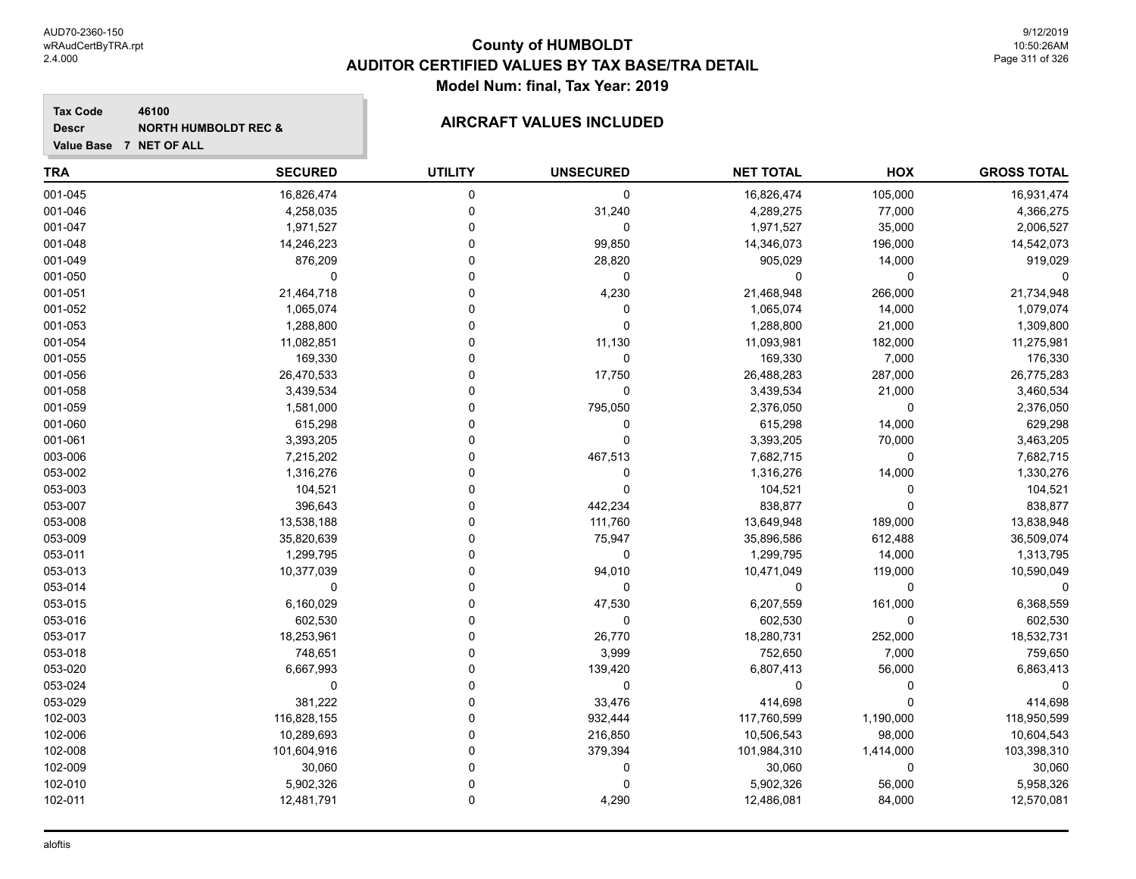**Tax Code 46100 Descr**

# **NORTH HUMBOLDT REC & AIRCRAFT VALUES INCLUDED**

| <b>TRA</b> | <b>SECURED</b> | <b>UTILITY</b> | <b>UNSECURED</b> | <b>NET TOTAL</b> | HOX         | <b>GROSS TOTAL</b> |
|------------|----------------|----------------|------------------|------------------|-------------|--------------------|
| 001-045    | 16,826,474     | $\mathbf 0$    | $\mathbf 0$      | 16,826,474       | 105,000     | 16,931,474         |
| 001-046    | 4,258,035      | 0              | 31,240           | 4,289,275        | 77,000      | 4,366,275          |
| 001-047    | 1,971,527      | $\Omega$       | $\mathbf 0$      | 1,971,527        | 35,000      | 2,006,527          |
| 001-048    | 14,246,223     | $\Omega$       | 99,850           | 14,346,073       | 196,000     | 14,542,073         |
| 001-049    | 876,209        | $\Omega$       | 28,820           | 905,029          | 14,000      | 919,029            |
| 001-050    | $\mathbf 0$    | $\Omega$       | $\mathbf 0$      | 0                | 0           | $\Omega$           |
| 001-051    | 21,464,718     | $\Omega$       | 4,230            | 21,468,948       | 266,000     | 21,734,948         |
| 001-052    | 1,065,074      | $\Omega$       | $\pmb{0}$        | 1,065,074        | 14,000      | 1,079,074          |
| 001-053    | 1,288,800      | $\Omega$       | $\mathbf 0$      | 1,288,800        | 21,000      | 1,309,800          |
| 001-054    | 11,082,851     | $\Omega$       | 11,130           | 11,093,981       | 182,000     | 11,275,981         |
| 001-055    | 169,330        | $\Omega$       | 0                | 169,330          | 7,000       | 176,330            |
| 001-056    | 26,470,533     | $\Omega$       | 17,750           | 26,488,283       | 287,000     | 26,775,283         |
| 001-058    | 3,439,534      | $\Omega$       | 0                | 3,439,534        | 21,000      | 3,460,534          |
| 001-059    | 1,581,000      | $\Omega$       | 795,050          | 2,376,050        | 0           | 2,376,050          |
| 001-060    | 615,298        | $\Omega$       | 0                | 615,298          | 14,000      | 629,298            |
| 001-061    | 3,393,205      | $\Omega$       | 0                | 3,393,205        | 70,000      | 3,463,205          |
| 003-006    | 7,215,202      | $\mathbf 0$    | 467,513          | 7,682,715        | 0           | 7,682,715          |
| 053-002    | 1,316,276      | $\Omega$       | 0                | 1,316,276        | 14,000      | 1,330,276          |
| 053-003    | 104,521        | $\Omega$       | $\mathbf 0$      | 104,521          | $\mathbf 0$ | 104,521            |
| 053-007    | 396,643        | $\Omega$       | 442,234          | 838,877          | $\Omega$    | 838,877            |
| 053-008    | 13,538,188     | $\Omega$       | 111,760          | 13,649,948       | 189,000     | 13,838,948         |
| 053-009    | 35,820,639     | $\Omega$       | 75,947           | 35,896,586       | 612,488     | 36,509,074         |
| 053-011    | 1,299,795      | $\Omega$       | 0                | 1,299,795        | 14,000      | 1,313,795          |
| 053-013    | 10,377,039     | $\Omega$       | 94,010           | 10,471,049       | 119,000     | 10,590,049         |
| 053-014    | 0              | 0              | 0                | 0                | 0           | $\Omega$           |
| 053-015    | 6,160,029      | $\Omega$       | 47,530           | 6,207,559        | 161,000     | 6,368,559          |
| 053-016    | 602,530        | $\Omega$       | $\mathbf 0$      | 602,530          | 0           | 602,530            |
| 053-017    | 18,253,961     | $\Omega$       | 26,770           | 18,280,731       | 252,000     | 18,532,731         |
| 053-018    | 748,651        | $\Omega$       | 3,999            | 752,650          | 7,000       | 759,650            |
| 053-020    | 6,667,993      | $\Omega$       | 139,420          | 6,807,413        | 56,000      | 6,863,413          |
| 053-024    | $\mathbf 0$    | $\Omega$       | $\mathbf 0$      | 0                | $\Omega$    |                    |
| 053-029    | 381,222        | $\Omega$       | 33,476           | 414,698          | $\Omega$    | 414,698            |
| 102-003    | 116,828,155    | $\Omega$       | 932,444          | 117,760,599      | 1,190,000   | 118,950,599        |
| 102-006    | 10,289,693     | $\mathbf 0$    | 216,850          | 10,506,543       | 98,000      | 10,604,543         |
| 102-008    | 101,604,916    | $\mathbf 0$    | 379,394          | 101,984,310      | 1,414,000   | 103,398,310        |
| 102-009    | 30,060         | $\Omega$       | 0                | 30,060           | 0           | 30,060             |
| 102-010    | 5,902,326      | $\Omega$       | $\Omega$         | 5,902,326        | 56,000      | 5,958,326          |
| 102-011    | 12,481,791     | $\mathbf 0$    | 4,290            | 12,486,081       | 84,000      | 12,570,081         |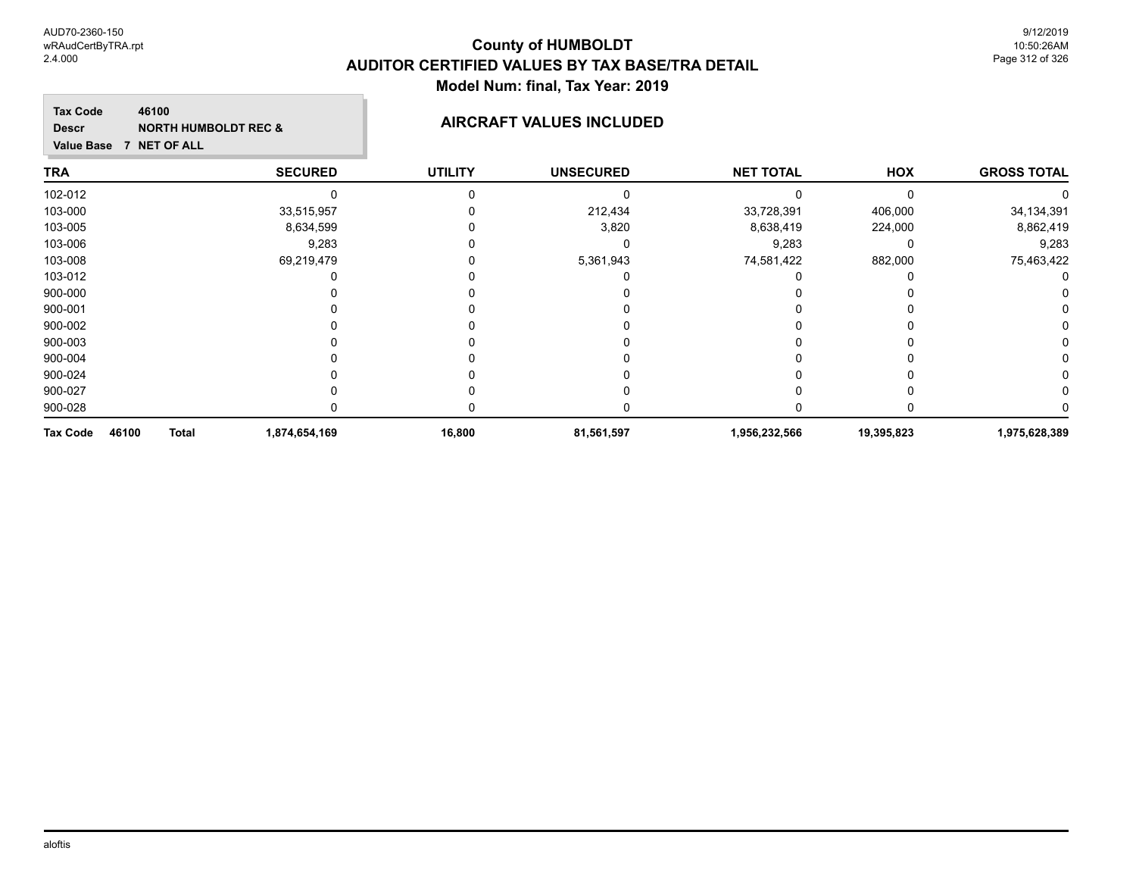#### **Tax Code 46100 Descr**

# **NORTH HUMBOLDT REC & AIRCRAFT VALUES INCLUDED**

|  | Value Base 7 NET OF ALL |  |
|--|-------------------------|--|

| <b>TRA</b>                               | <b>SECURED</b> | <b>UTILITY</b> | <b>UNSECURED</b> | <b>NET TOTAL</b> | HOX        | <b>GROSS TOTAL</b> |
|------------------------------------------|----------------|----------------|------------------|------------------|------------|--------------------|
| 102-012                                  |                |                | ი                |                  |            |                    |
| 103-000                                  | 33,515,957     |                | 212,434          | 33,728,391       | 406,000    | 34, 134, 391       |
| 103-005                                  | 8,634,599      |                | 3,820            | 8,638,419        | 224,000    | 8,862,419          |
| 103-006                                  | 9,283          |                | 0                | 9,283            | 0          | 9,283              |
| 103-008                                  | 69,219,479     |                | 5,361,943        | 74,581,422       | 882,000    | 75,463,422         |
| 103-012                                  |                |                |                  |                  |            | 0                  |
| 900-000                                  |                |                |                  |                  |            | $^{(1)}$           |
| 900-001                                  |                |                |                  |                  |            |                    |
| 900-002                                  |                |                |                  |                  |            |                    |
| 900-003                                  |                |                |                  |                  |            |                    |
| 900-004                                  |                |                |                  |                  |            | 0                  |
| 900-024                                  |                |                |                  |                  |            | 0                  |
| 900-027                                  |                |                |                  |                  |            |                    |
| 900-028                                  |                |                |                  |                  |            |                    |
| 46100<br><b>Tax Code</b><br><b>Total</b> | 1,874,654,169  | 16,800         | 81,561,597       | 1,956,232,566    | 19,395,823 | 1,975,628,389      |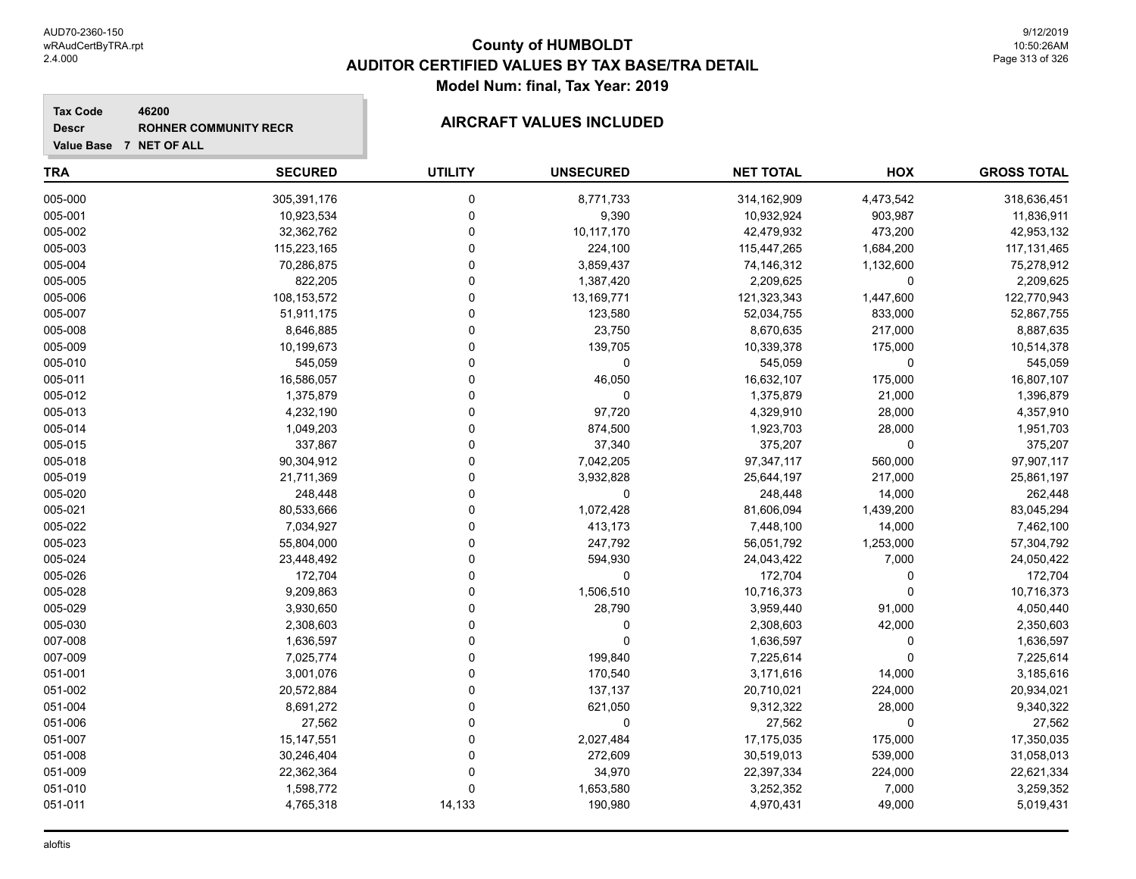| <b>Tax Code</b><br>46200<br><b>Descr</b><br>Value Base 7 NET OF ALL | <b>ROHNER COMMUNITY RECR</b> | <b>AIRCRAFT VALUES INCLUDED</b> |                  |                  |            |                    |  |
|---------------------------------------------------------------------|------------------------------|---------------------------------|------------------|------------------|------------|--------------------|--|
| <b>TRA</b>                                                          | <b>SECURED</b>               | <b>UTILITY</b>                  | <b>UNSECURED</b> | <b>NET TOTAL</b> | <b>HOX</b> | <b>GROSS TOTAL</b> |  |
| 005-000                                                             | 305,391,176                  | $\mathbf 0$                     | 8,771,733        | 314,162,909      | 4,473,542  | 318,636,451        |  |
| 005-001                                                             | 10,923,534                   | $\Omega$                        | 9,390            | 10,932,924       | 903,987    | 11,836,911         |  |
| 005-002                                                             | 32,362,762                   | $\Omega$                        | 10,117,170       | 42,479,932       | 473,200    | 42,953,132         |  |
| 005-003                                                             | 115,223,165                  | $\Omega$                        | 224,100          | 115,447,265      | 1,684,200  | 117,131,465        |  |
| 005-004                                                             | 70,286,875                   | $\Omega$                        | 3,859,437        | 74,146,312       | 1,132,600  | 75,278,912         |  |
| 005-005                                                             | 822,205                      | $\Omega$                        | 1,387,420        | 2,209,625        | $\Omega$   | 2,209,625          |  |
| 005-006                                                             | 108,153,572                  | $\Omega$                        | 13,169,771       | 121,323,343      | 1,447,600  | 122,770,943        |  |
| 005-007                                                             | 51,911,175                   | $\Omega$                        | 123,580          | 52,034,755       | 833,000    | 52,867,755         |  |
| 005-008                                                             | 8,646,885                    | $\Omega$                        | 23,750           | 8,670,635        | 217,000    | 8,887,635          |  |
| 005-009                                                             | 10,199,673                   | $\Omega$                        | 139,705          | 10,339,378       | 175,000    | 10,514,378         |  |
| 005-010                                                             | 545,059                      | $\Omega$                        | 0                | 545,059          | 0          | 545,059            |  |
| 005-011                                                             | 16,586,057                   | $\Omega$                        | 46,050           | 16,632,107       | 175,000    | 16,807,107         |  |
| 005-012                                                             | 1,375,879                    | $\Omega$                        | 0                | 1,375,879        | 21,000     | 1,396,879          |  |
| 005-013                                                             | 4,232,190                    | $\Omega$                        | 97,720           | 4,329,910        | 28,000     | 4,357,910          |  |
| 005-014                                                             | 1,049,203                    | $\Omega$                        | 874,500          | 1,923,703        | 28,000     | 1,951,703          |  |
| 005-015                                                             | 337,867                      | $\Omega$                        | 37,340           | 375,207          | $\Omega$   | 375,207            |  |
| 005-018                                                             | 90,304,912                   | $\Omega$                        | 7,042,205        | 97,347,117       | 560,000    | 97,907,117         |  |
| 005-019                                                             | 21,711,369                   | $\mathbf 0$                     | 3,932,828        | 25,644,197       | 217,000    | 25,861,197         |  |
| 005-020                                                             | 248,448                      | $\Omega$                        | 0                | 248,448          | 14,000     | 262,448            |  |
| 005-021                                                             | 80,533,666                   | $\Omega$                        | 1,072,428        | 81,606,094       | 1,439,200  | 83,045,294         |  |
| 005-022                                                             | 7,034,927                    | $\Omega$                        | 413,173          | 7,448,100        | 14,000     | 7,462,100          |  |
| 005-023                                                             | 55,804,000                   | $\Omega$                        | 247,792          | 56,051,792       | 1,253,000  | 57,304,792         |  |
| 005-024                                                             | 23,448,492                   | $\Omega$                        | 594,930          | 24,043,422       | 7,000      | 24,050,422         |  |
| 005-026                                                             | 172,704                      | $\Omega$                        | $\Omega$         | 172,704          | $\Omega$   | 172,704            |  |
| 005-028                                                             | 9,209,863                    | $\Omega$                        | 1,506,510        | 10,716,373       | $\Omega$   | 10,716,373         |  |
| 005-029                                                             | 3,930,650                    | $\Omega$                        | 28,790           | 3,959,440        | 91,000     | 4,050,440          |  |
| 005-030                                                             | 2,308,603                    | $\Omega$                        | 0                | 2,308,603        | 42,000     | 2,350,603          |  |
| 007-008                                                             | 1,636,597                    | $\Omega$                        | $\Omega$         | 1,636,597        | 0          | 1,636,597          |  |
| 007-009                                                             | 7,025,774                    | $\Omega$                        | 199,840          | 7,225,614        | $\Omega$   | 7,225,614          |  |
| 051-001                                                             | 3,001,076                    | $\Omega$                        | 170,540          | 3,171,616        | 14,000     | 3,185,616          |  |
| 051-002                                                             | 20,572,884                   | $\Omega$                        | 137,137          | 20,710,021       | 224,000    | 20,934,021         |  |
| 051-004                                                             | 8,691,272                    | $\Omega$                        | 621,050          | 9,312,322        | 28,000     | 9,340,322          |  |
| 051-006                                                             | 27,562                       | $\Omega$                        | 0                | 27,562           | $\Omega$   | 27,562             |  |
| 051-007                                                             | 15, 147, 551                 | $\Omega$                        | 2,027,484        | 17,175,035       | 175,000    | 17,350,035         |  |

051-008 30,246,404 0 272,609 30,519,013 539,000 31,058,013 051-009 22,362,364 0 34,970 22,397,334 224,000 22,621,334 051-010 1,598,772 0 1,653,580 3,252,352 7,000 3,259,352 051-011 4,765,318 14,133 190,980 4,970,431 49,000 5,019,431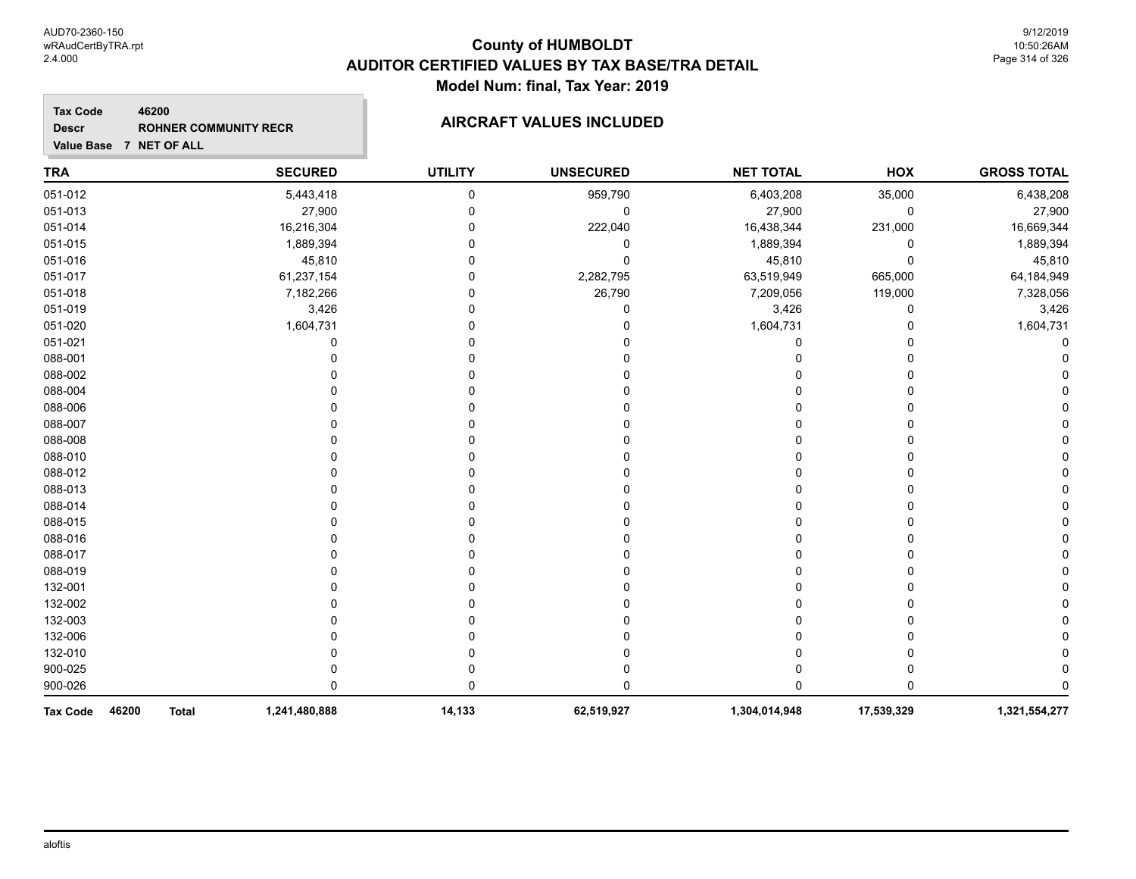**Tax Code**

**Descr**

### **County of HUMBOLDT AUDITOR CERTIFIED VALUES BY TAX BASE/TRA DETAIL Model Num: final, Tax Year: 2019**

### **Value Base 7 NET OF ALL 46200 ROHNER COMMUNITY RECR AIRCRAFT VALUES INCLUDED**

| <b>TRA</b>      |       |              | <b>SECURED</b> | <b>UTILITY</b> | <b>UNSECURED</b> | <b>NET TOTAL</b> | <b>HOX</b> | <b>GROSS TOTAL</b> |
|-----------------|-------|--------------|----------------|----------------|------------------|------------------|------------|--------------------|
| 051-012         |       |              | 5,443,418      | $\mathbf 0$    | 959,790          | 6,403,208        | 35,000     | 6,438,208          |
| 051-013         |       |              | 27,900         | $\Omega$       | 0                | 27,900           | 0          | 27,900             |
| 051-014         |       |              | 16,216,304     |                | 222,040          | 16,438,344       | 231,000    | 16,669,344         |
| 051-015         |       |              | 1,889,394      |                | 0                | 1,889,394        | 0          | 1,889,394          |
| 051-016         |       |              | 45,810         |                | 0                | 45,810           | 0          | 45,810             |
| 051-017         |       |              | 61,237,154     |                | 2,282,795        | 63,519,949       | 665,000    | 64,184,949         |
| 051-018         |       |              | 7,182,266      | O              | 26,790           | 7,209,056        | 119,000    | 7,328,056          |
| 051-019         |       |              | 3,426          |                |                  | 3,426            | 0          | 3,426              |
| 051-020         |       |              | 1,604,731      |                |                  | 1,604,731        | 0          | 1,604,731          |
| 051-021         |       |              | 0              |                |                  | 0                | 0          |                    |
| 088-001         |       |              |                |                |                  | 0                | 0          |                    |
| 088-002         |       |              |                |                |                  |                  | 0          |                    |
| 088-004         |       |              |                |                |                  |                  | 0          |                    |
| 088-006         |       |              |                |                |                  |                  | 0          |                    |
| 088-007         |       |              |                |                |                  |                  | 0          |                    |
| 088-008         |       |              |                |                |                  |                  | 0          |                    |
| 088-010         |       |              |                |                |                  | ი                | 0          |                    |
| 088-012         |       |              |                |                |                  |                  | 0          |                    |
| 088-013         |       |              |                |                |                  |                  | 0          |                    |
| 088-014         |       |              |                |                |                  |                  | 0          |                    |
| 088-015         |       |              |                |                |                  |                  | 0          |                    |
| 088-016         |       |              |                |                |                  | ი                | 0          |                    |
| 088-017         |       |              |                |                |                  |                  | 0          |                    |
| 088-019         |       |              |                |                |                  |                  | 0          |                    |
| 132-001         |       |              |                |                |                  |                  | 0          |                    |
| 132-002         |       |              |                |                |                  |                  | 0          |                    |
| 132-003         |       |              |                |                |                  |                  | 0          |                    |
| 132-006         |       |              |                |                |                  |                  | 0          |                    |
| 132-010         |       |              |                |                |                  |                  | 0          |                    |
| 900-025         |       |              |                |                |                  |                  | 0          |                    |
| 900-026         |       |              | 0              | $\Omega$       |                  | 0                | 0          |                    |
| <b>Tax Code</b> | 46200 | <b>Total</b> | 1,241,480,888  | 14,133         | 62,519,927       | 1,304,014,948    | 17,539,329 | 1,321,554,277      |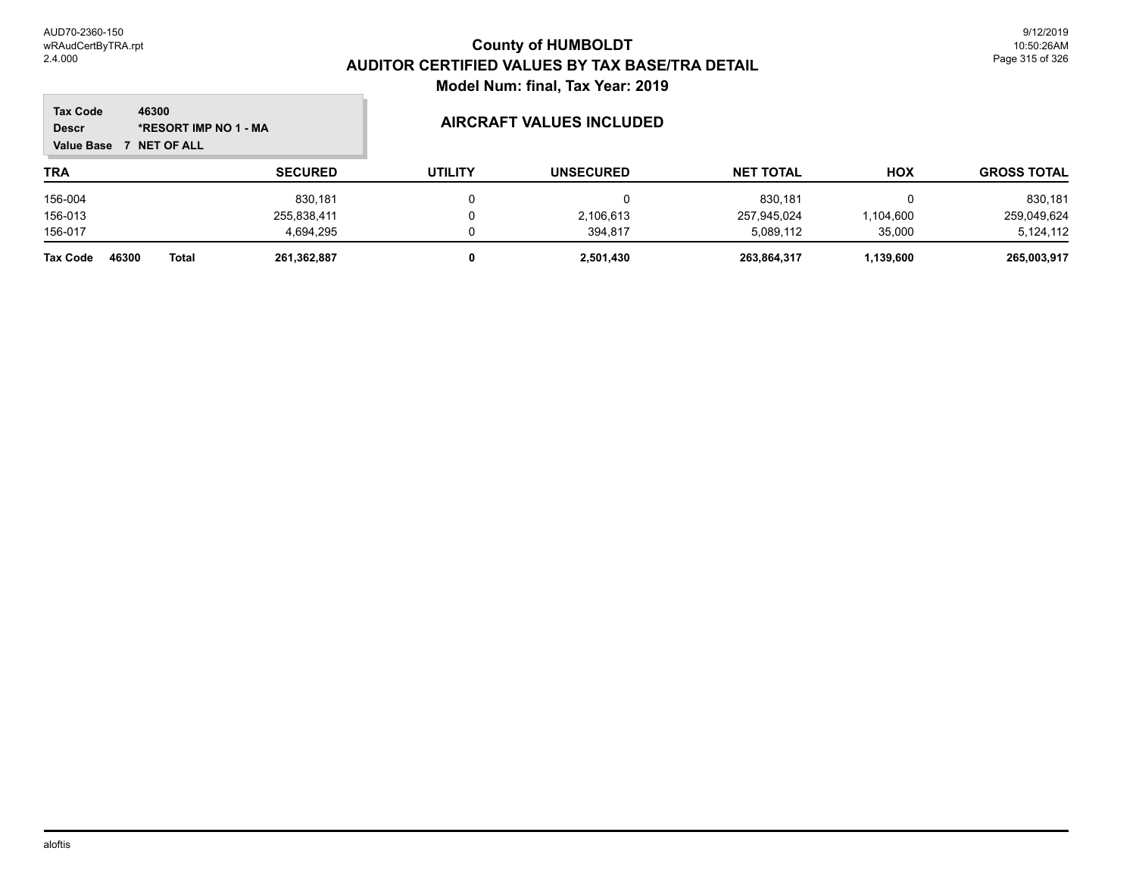$\mathbb{R}^2$ 

| <b>Tax Code</b><br><b>Descr</b><br><b>Value Base</b> | 46300<br>*RESORT IMP NO 1 - MA<br><b>NET OF ALL</b> |                | <b>AIRCRAFT VALUES INCLUDED</b> |                  |                  |            |                    |
|------------------------------------------------------|-----------------------------------------------------|----------------|---------------------------------|------------------|------------------|------------|--------------------|
| <b>TRA</b>                                           |                                                     | <b>SECURED</b> | <b>UTILITY</b>                  | <b>UNSECURED</b> | <b>NET TOTAL</b> | <b>HOX</b> | <b>GROSS TOTAL</b> |
| 156-004                                              |                                                     | 830.181        |                                 | 0                | 830.181          |            | 830,181            |
| 156-013                                              |                                                     | 255,838,411    |                                 | 2,106,613        | 257,945,024      | .104,600   | 259,049,624        |
| 156-017                                              |                                                     | 4.694.295      |                                 | 394.817          | 5,089,112        | 35,000     | 5,124,112          |
| <b>Tax Code</b>                                      | 46300<br><b>Total</b>                               | 261,362,887    |                                 | 2,501,430        | 263.864.317      | 1,139,600  | 265,003,917        |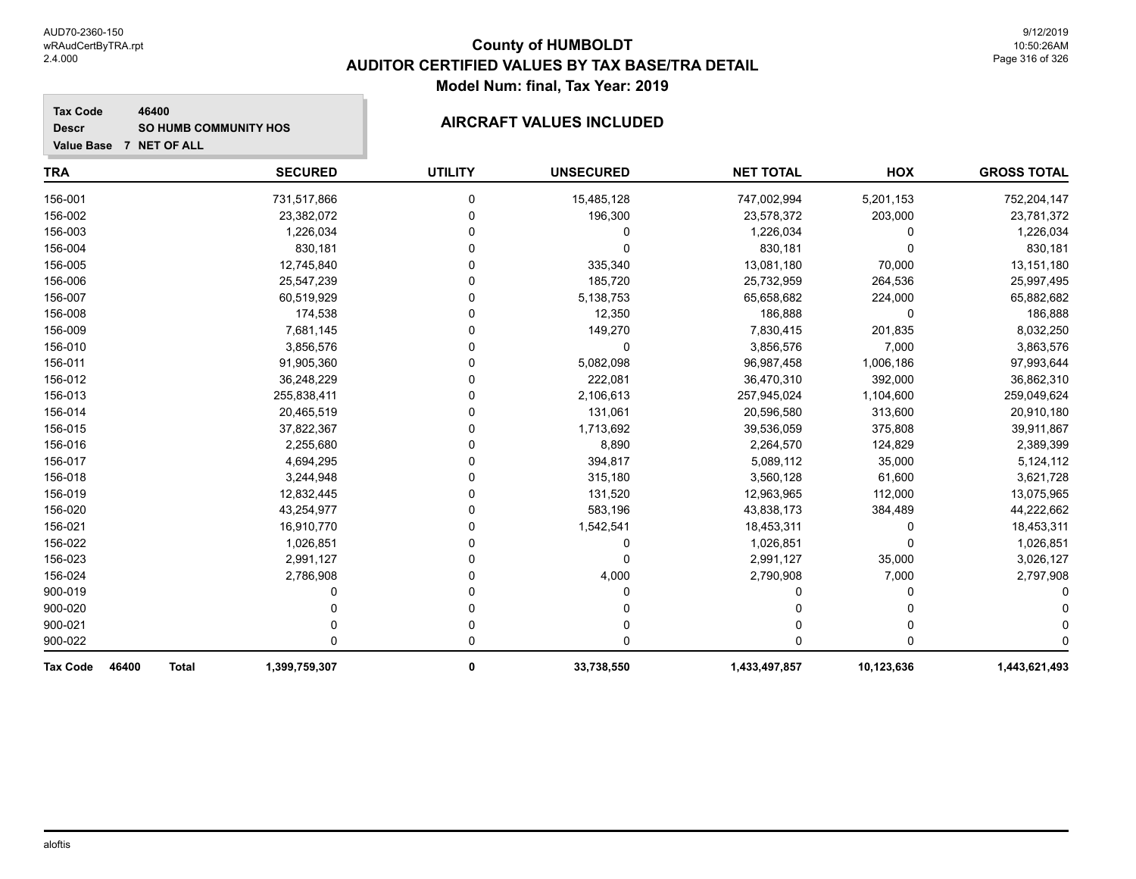#### **Tax Code 46400 Descr SO HUMB COMMUNITY HOS AIRCRAFT VALUES INCLUDED**

| <b>TRA</b>               | <b>SECURED</b>                | <b>UTILITY</b> | <b>UNSECURED</b> | <b>NET TOTAL</b> | HOX        | <b>GROSS TOTAL</b> |
|--------------------------|-------------------------------|----------------|------------------|------------------|------------|--------------------|
| 156-001                  | 731,517,866                   | 0              | 15,485,128       | 747,002,994      | 5,201,153  | 752,204,147        |
| 156-002                  | 23,382,072                    | 0              | 196,300          | 23,578,372       | 203,000    | 23,781,372         |
| 156-003                  | 1,226,034                     | 0              | 0                | 1,226,034        | 0          | 1,226,034          |
| 156-004                  | 830,181                       | U              | 0                | 830,181          | 0          | 830,181            |
| 156-005                  | 12,745,840                    | U              | 335,340          | 13,081,180       | 70,000     | 13,151,180         |
| 156-006                  | 25,547,239                    | 0              | 185,720          | 25,732,959       | 264,536    | 25,997,495         |
| 156-007                  | 60,519,929                    | 0              | 5,138,753        | 65,658,682       | 224,000    | 65,882,682         |
| 156-008                  | 174,538                       | 0              | 12,350           | 186,888          | 0          | 186,888            |
| 156-009                  | 7,681,145                     | 0              | 149,270          | 7,830,415        | 201,835    | 8,032,250          |
| 156-010                  | 3,856,576                     | U              | $\Omega$         | 3,856,576        | 7,000      | 3,863,576          |
| 156-011                  | 91,905,360                    | 0              | 5,082,098        | 96,987,458       | 1,006,186  | 97,993,644         |
| 156-012                  | 36,248,229                    | 0              | 222,081          | 36,470,310       | 392,000    | 36,862,310         |
| 156-013                  | 255,838,411                   | 0              | 2,106,613        | 257,945,024      | 1,104,600  | 259,049,624        |
| 156-014                  | 20,465,519                    | 0              | 131,061          | 20,596,580       | 313,600    | 20,910,180         |
| 156-015                  | 37,822,367                    | U              | 1,713,692        | 39,536,059       | 375,808    | 39,911,867         |
| 156-016                  | 2,255,680                     | 0              | 8,890            | 2,264,570        | 124,829    | 2,389,399          |
| 156-017                  | 4,694,295                     | 0              | 394,817          | 5,089,112        | 35,000     | 5,124,112          |
| 156-018                  | 3,244,948                     | 0              | 315,180          | 3,560,128        | 61,600     | 3,621,728          |
| 156-019                  | 12,832,445                    | 0              | 131,520          | 12,963,965       | 112,000    | 13,075,965         |
| 156-020                  | 43,254,977                    | U              | 583,196          | 43,838,173       | 384,489    | 44,222,662         |
| 156-021                  | 16,910,770                    | U              | 1,542,541        | 18,453,311       | 0          | 18,453,311         |
| 156-022                  | 1,026,851                     | 0              | 0                | 1,026,851        | 0          | 1,026,851          |
| 156-023                  | 2,991,127                     | U              | 0                | 2,991,127        | 35,000     | 3,026,127          |
| 156-024                  | 2,786,908                     | 0              | 4,000            | 2,790,908        | 7,000      | 2,797,908          |
| 900-019                  |                               | n              | 0                | U                | 0          |                    |
| 900-020                  |                               | 0              |                  |                  |            |                    |
| 900-021                  |                               | 0              | 0                | 0                | 0          |                    |
| 900-022                  | 0                             | 0              | 0                | U                | O          |                    |
| <b>Tax Code</b><br>46400 | <b>Total</b><br>1,399,759,307 | 0              | 33,738,550       | 1,433,497,857    | 10,123,636 | 1,443,621,493      |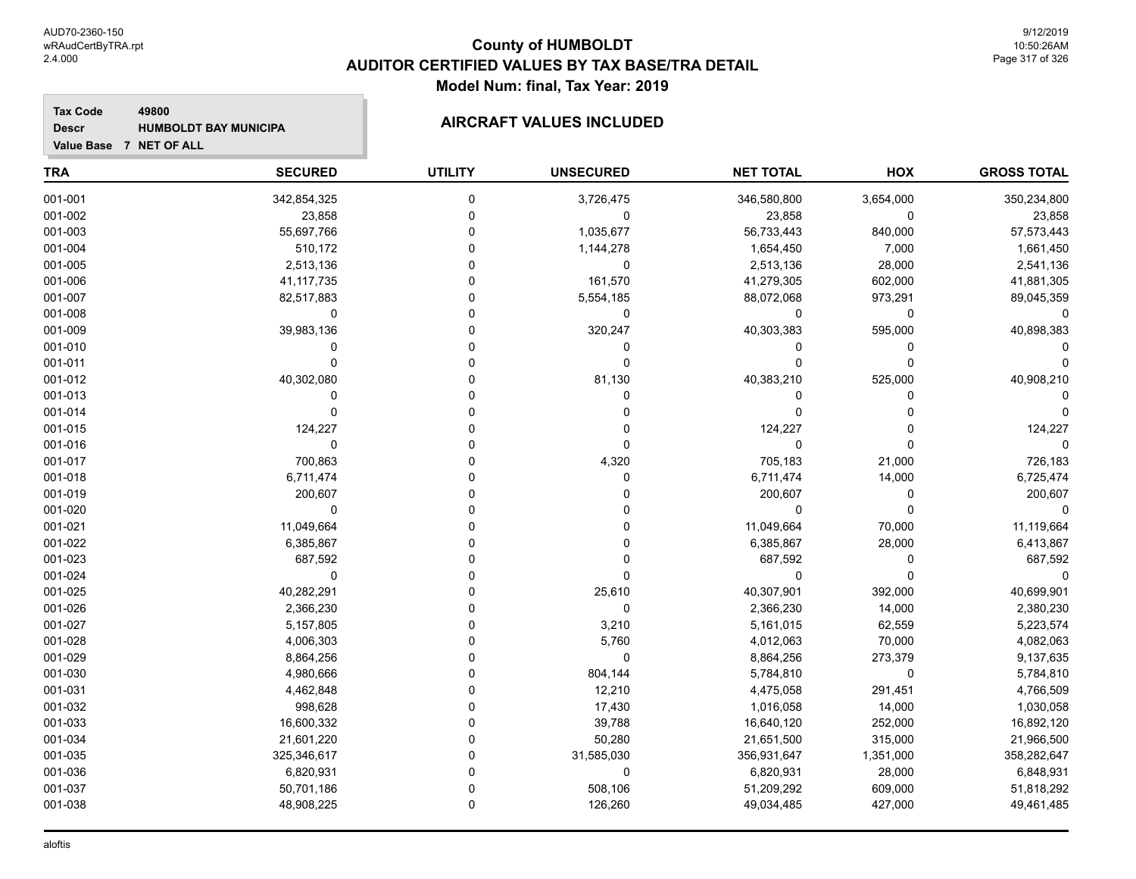#### **Tax Code 49800 Descr HUMBOLDT BAY MUNICIPA AIRCRAFT VALUES INCLUDED**

| <b>TRA</b> | <b>SECURED</b> | <b>UTILITY</b> | <b>UNSECURED</b> | <b>NET TOTAL</b> | <b>HOX</b>  | <b>GROSS TOTAL</b> |
|------------|----------------|----------------|------------------|------------------|-------------|--------------------|
| 001-001    | 342,854,325    | $\mathbf 0$    | 3,726,475        | 346,580,800      | 3,654,000   | 350,234,800        |
| 001-002    | 23,858         | $\pmb{0}$      | $\pmb{0}$        | 23,858           | 0           | 23,858             |
| 001-003    | 55,697,766     | $\mathbf 0$    | 1,035,677        | 56,733,443       | 840,000     | 57,573,443         |
| 001-004    | 510,172        | $\Omega$       | 1,144,278        | 1,654,450        | 7,000       | 1,661,450          |
| 001-005    | 2,513,136      | $\Omega$       | $\mathbf 0$      | 2,513,136        | 28,000      | 2,541,136          |
| 001-006    | 41, 117, 735   | $\Omega$       | 161,570          | 41,279,305       | 602,000     | 41,881,305         |
| 001-007    | 82,517,883     | $\Omega$       | 5,554,185        | 88,072,068       | 973,291     | 89,045,359         |
| 001-008    | $\pmb{0}$      | $\mathbf 0$    | $\pmb{0}$        | $\mathbf 0$      | 0           | $\Omega$           |
| 001-009    | 39,983,136     | $\Omega$       | 320,247          | 40,303,383       | 595,000     | 40,898,383         |
| 001-010    | $\Omega$       | $\Omega$       | 0                | 0                | 0           |                    |
| 001-011    | $\mathbf 0$    | $\mathbf 0$    | $\mathbf 0$      | $\Omega$         | $\mathbf 0$ |                    |
| 001-012    | 40,302,080     | $\Omega$       | 81,130           | 40,383,210       | 525,000     | 40,908,210         |
| 001-013    | 0              | $\Omega$       | $\Omega$         | 0                | 0           |                    |
| 001-014    | $\mathbf 0$    | $\Omega$       | 0                | $\Omega$         | $\Omega$    |                    |
| 001-015    | 124,227        | $\Omega$       | 0                | 124,227          | 0           | 124,227            |
| 001-016    | $\mathbf 0$    | $\overline{0}$ | 0                | $\mathbf 0$      | $\Omega$    | $\Omega$           |
| 001-017    | 700,863        | $\Omega$       | 4,320            | 705,183          | 21,000      | 726,183            |
| 001-018    | 6,711,474      | $\Omega$       | 0                | 6,711,474        | 14,000      | 6,725,474          |
| 001-019    | 200,607        | $\Omega$       | $\Omega$         | 200,607          | $\mathbf 0$ | 200,607            |
| 001-020    | $\mathbf 0$    | $\Omega$       | 0                | $\Omega$         | $\Omega$    |                    |
| 001-021    | 11,049,664     | $\Omega$       | 0                | 11,049,664       | 70,000      | 11,119,664         |
| 001-022    | 6,385,867      | $\Omega$       | 0                | 6,385,867        | 28,000      | 6,413,867          |
| 001-023    | 687,592        | $\Omega$       | $\Omega$         | 687,592          | $\mathbf 0$ | 687,592            |
| 001-024    | $\mathbf 0$    | $\Omega$       | $\mathbf{0}$     | $\mathbf 0$      | $\mathbf 0$ | $\Omega$           |
| 001-025    | 40,282,291     | $\Omega$       | 25,610           | 40,307,901       | 392,000     | 40,699,901         |
| 001-026    | 2,366,230      | $\Omega$       | $\mathbf 0$      | 2,366,230        | 14,000      | 2,380,230          |
| 001-027    | 5,157,805      | $\Omega$       | 3,210            | 5,161,015        | 62,559      | 5,223,574          |
| 001-028    | 4,006,303      | $\Omega$       | 5,760            | 4,012,063        | 70,000      | 4,082,063          |
| 001-029    | 8,864,256      | $\Omega$       | 0                | 8,864,256        | 273,379     | 9,137,635          |
| 001-030    | 4,980,666      | $\overline{0}$ | 804,144          | 5,784,810        | 0           | 5,784,810          |
| 001-031    | 4,462,848      | $\Omega$       | 12,210           | 4,475,058        | 291,451     | 4,766,509          |
| 001-032    | 998,628        | $\Omega$       | 17,430           | 1,016,058        | 14,000      | 1,030,058          |
| 001-033    | 16,600,332     | $\Omega$       | 39,788           | 16,640,120       | 252,000     | 16,892,120         |
| 001-034    | 21,601,220     | $\Omega$       | 50,280           | 21,651,500       | 315,000     | 21,966,500         |
| 001-035    | 325,346,617    | $\Omega$       | 31,585,030       | 356,931,647      | 1,351,000   | 358,282,647        |
| 001-036    | 6,820,931      | $\Omega$       | $\pmb{0}$        | 6,820,931        | 28,000      | 6,848,931          |
| 001-037    | 50,701,186     | $\mathbf 0$    | 508,106          | 51,209,292       | 609,000     | 51,818,292         |
| 001-038    | 48,908,225     | $\mathbf 0$    | 126,260          | 49,034,485       | 427,000     | 49,461,485         |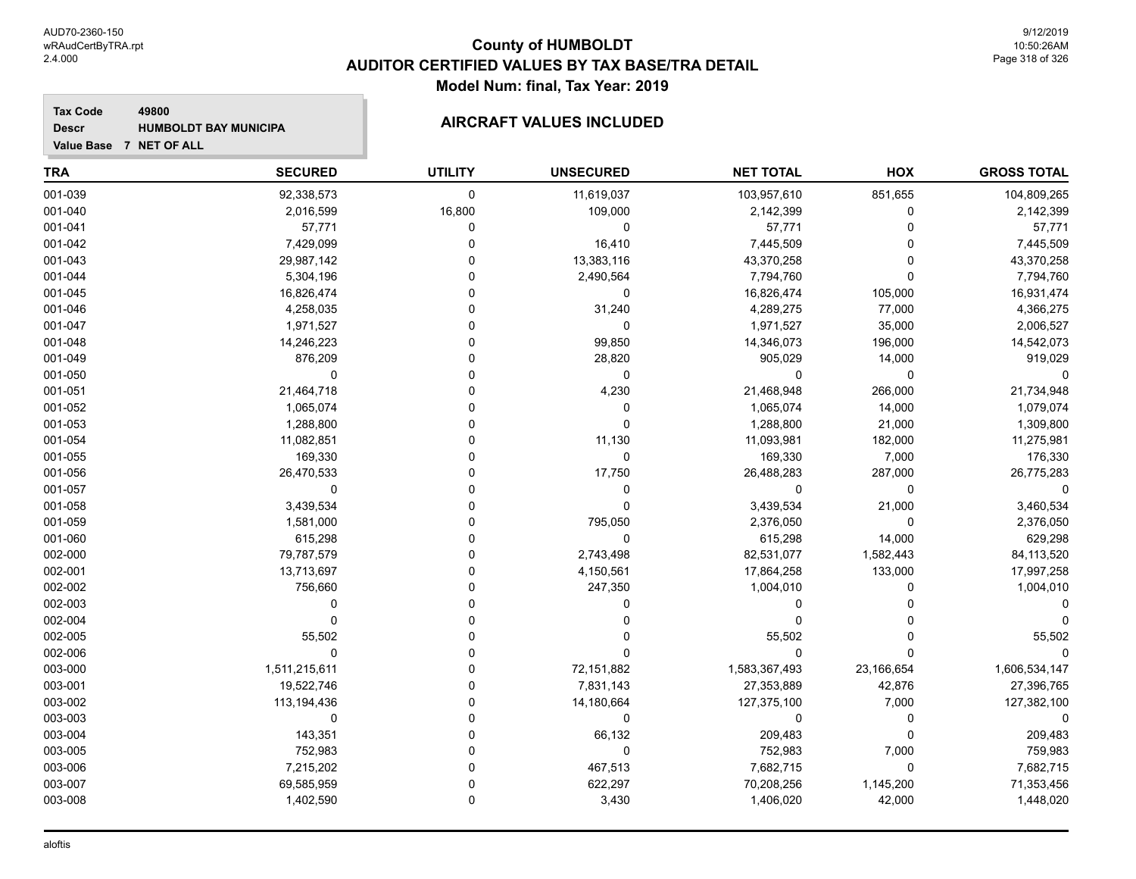#### **Tax Code 49800 Descr**

# **HUMBOLDT BAY MUNICIPA AIRCRAFT VALUES INCLUDED**

| <b>TRA</b> | <b>SECURED</b> | <b>UTILITY</b> | <b>UNSECURED</b> | <b>NET TOTAL</b> | HOX         | <b>GROSS TOTAL</b> |
|------------|----------------|----------------|------------------|------------------|-------------|--------------------|
| 001-039    | 92,338,573     | $\mathbf 0$    | 11,619,037       | 103,957,610      | 851,655     | 104,809,265        |
| 001-040    | 2,016,599      | 16,800         | 109,000          | 2,142,399        | $\mathbf 0$ | 2,142,399          |
| 001-041    | 57,771         | $\mathbf 0$    | $\mathbf 0$      | 57,771           | $\Omega$    | 57,771             |
| 001-042    | 7,429,099      | 0              | 16,410           | 7,445,509        | $\Omega$    | 7,445,509          |
| 001-043    | 29,987,142     | $\mathbf{0}$   | 13,383,116       | 43,370,258       | $\Omega$    | 43,370,258         |
| 001-044    | 5,304,196      | $\Omega$       | 2,490,564        | 7,794,760        | $\Omega$    | 7,794,760          |
| 001-045    | 16,826,474     | $\Omega$       | $\mathbf 0$      | 16,826,474       | 105,000     | 16,931,474         |
| 001-046    | 4,258,035      | $\Omega$       | 31,240           | 4,289,275        | 77,000      | 4,366,275          |
| 001-047    | 1,971,527      | $\Omega$       | 0                | 1,971,527        | 35,000      | 2,006,527          |
| 001-048    | 14,246,223     | $\Omega$       | 99,850           | 14,346,073       | 196,000     | 14,542,073         |
| 001-049    | 876,209        | $\Omega$       | 28,820           | 905,029          | 14,000      | 919,029            |
| 001-050    | $\mathbf 0$    | $\Omega$       | $\mathbf 0$      | 0                | $\Omega$    |                    |
| 001-051    | 21,464,718     | $\mathbf{0}$   | 4,230            | 21,468,948       | 266,000     | 21,734,948         |
| 001-052    | 1,065,074      | $\Omega$       | 0                | 1,065,074        | 14,000      | 1,079,074          |
| 001-053    | 1,288,800      | $\Omega$       | $\mathbf 0$      | 1,288,800        | 21,000      | 1,309,800          |
| 001-054    | 11,082,851     | $\Omega$       | 11,130           | 11,093,981       | 182,000     | 11,275,981         |
| 001-055    | 169,330        | $\Omega$       | $\pmb{0}$        | 169,330          | 7,000       | 176,330            |
| 001-056    | 26,470,533     | $\Omega$       | 17,750           | 26,488,283       | 287,000     | 26,775,283         |
| 001-057    | $\mathbf 0$    | $\Omega$       | 0                | 0                | $\Omega$    |                    |
| 001-058    | 3,439,534      | $\Omega$       | $\mathbf 0$      | 3,439,534        | 21,000      | 3,460,534          |
| 001-059    | 1,581,000      | $\mathbf{0}$   | 795,050          | 2,376,050        | $\mathbf 0$ | 2,376,050          |
| 001-060    | 615,298        | 0              | $\mathbf 0$      | 615,298          | 14,000      | 629,298            |
| 002-000    | 79,787,579     | $\Omega$       | 2,743,498        | 82,531,077       | 1,582,443   | 84,113,520         |
| 002-001    | 13,713,697     | $\Omega$       | 4,150,561        | 17,864,258       | 133,000     | 17,997,258         |
| 002-002    | 756,660        | $\Omega$       | 247,350          | 1,004,010        | $\Omega$    | 1,004,010          |
| 002-003    | 0              | $\Omega$       | 0                | 0                | $\Omega$    |                    |
| 002-004    | $\mathbf 0$    | $\Omega$       | 0                | 0                | $\Omega$    |                    |
| 002-005    | 55,502         | $\Omega$       | 0                | 55,502           | $\Omega$    | 55,502             |
| 002-006    | $\mathbf 0$    | $\Omega$       | $\Omega$         | 0                | $\Omega$    |                    |
| 003-000    | 1,511,215,611  | $\Omega$       | 72,151,882       | 1,583,367,493    | 23,166,654  | 1,606,534,147      |
| 003-001    | 19,522,746     | $\Omega$       | 7,831,143        | 27,353,889       | 42,876      | 27,396,765         |
| 003-002    | 113,194,436    | $\Omega$       | 14,180,664       | 127,375,100      | 7,000       | 127,382,100        |
| 003-003    | 0              | $\Omega$       | 0                | 0                | $\mathbf 0$ |                    |
| 003-004    | 143,351        | $\Omega$       | 66,132           | 209,483          | $\Omega$    | 209,483            |
| 003-005    | 752,983        | $\Omega$       | $\mathbf 0$      | 752,983          | 7,000       | 759,983            |
| 003-006    | 7,215,202      | $\Omega$       | 467,513          | 7,682,715        | $\mathbf 0$ | 7,682,715          |
| 003-007    | 69,585,959     | $\Omega$       | 622,297          | 70,208,256       | 1,145,200   | 71,353,456         |
| 003-008    | 1,402,590      | $\mathbf 0$    | 3,430            | 1,406,020        | 42,000      | 1,448,020          |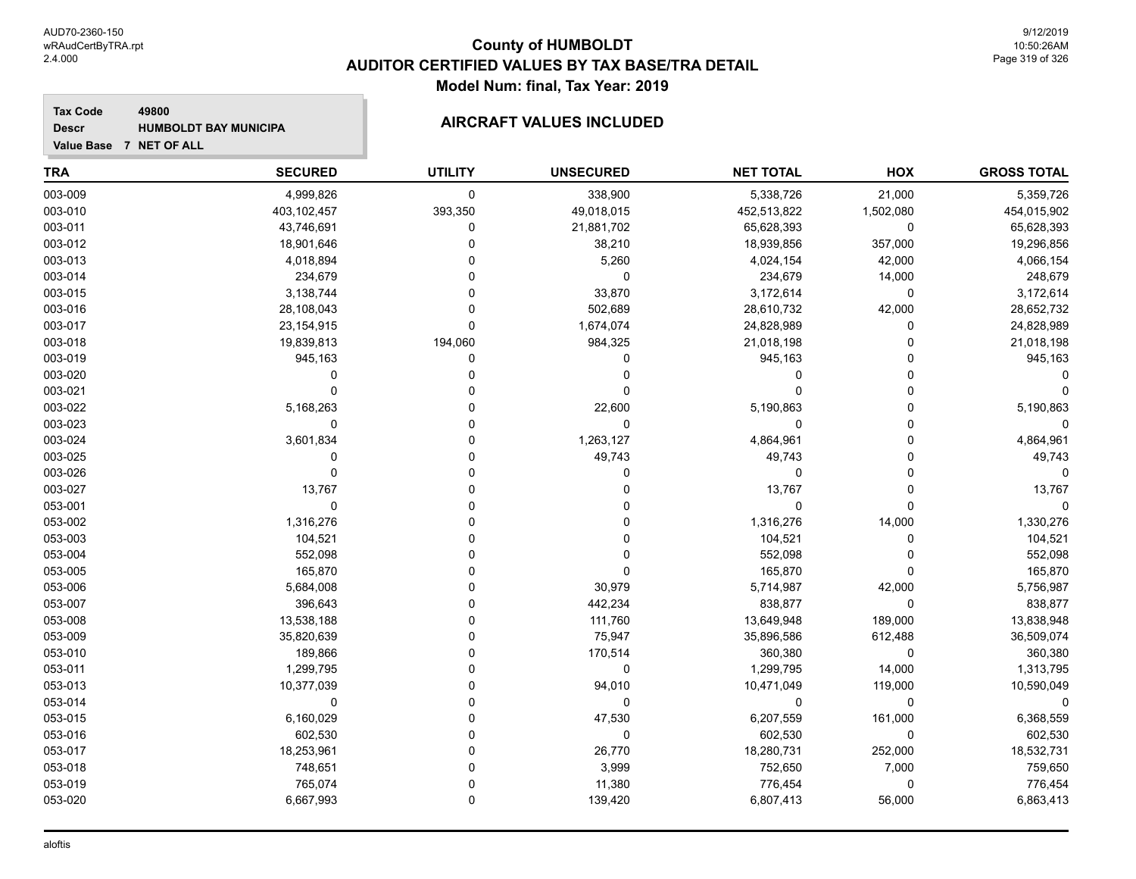#### **Tax Code 49800 Descr**

# **HUMBOLDT BAY MUNICIPA AIRCRAFT VALUES INCLUDED**

| <b>TRA</b> | <b>SECURED</b> | <b>UTILITY</b> | <b>UNSECURED</b> | <b>NET TOTAL</b> | HOX         | <b>GROSS TOTAL</b> |
|------------|----------------|----------------|------------------|------------------|-------------|--------------------|
| 003-009    | 4,999,826      | $\mathbf 0$    | 338,900          | 5,338,726        | 21,000      | 5,359,726          |
| 003-010    | 403,102,457    | 393,350        | 49,018,015       | 452,513,822      | 1,502,080   | 454,015,902        |
| 003-011    | 43,746,691     | 0              | 21,881,702       | 65,628,393       | 0           | 65,628,393         |
| 003-012    | 18,901,646     | $\mathbf 0$    | 38,210           | 18,939,856       | 357,000     | 19,296,856         |
| 003-013    | 4,018,894      | $\Omega$       | 5,260            | 4,024,154        | 42,000      | 4,066,154          |
| 003-014    | 234,679        | $\Omega$       | $\mathbf 0$      | 234,679          | 14,000      | 248,679            |
| 003-015    | 3,138,744      | $\Omega$       | 33,870           | 3,172,614        | $\mathbf 0$ | 3,172,614          |
| 003-016    | 28,108,043     | $\Omega$       | 502,689          | 28,610,732       | 42,000      | 28,652,732         |
| 003-017    | 23,154,915     | $\mathbf 0$    | 1,674,074        | 24,828,989       | 0           | 24,828,989         |
| 003-018    | 19,839,813     | 194,060        | 984,325          | 21,018,198       | $\Omega$    | 21,018,198         |
| 003-019    | 945,163        | 0              | 0                | 945,163          | $\Omega$    | 945,163            |
| 003-020    | $\mathbf 0$    | 0              | 0                | 0                | $\Omega$    |                    |
| 003-021    | $\Omega$       | $\Omega$       | 0                | 0                | $\Omega$    |                    |
| 003-022    | 5,168,263      | $\Omega$       | 22,600           | 5,190,863        | $\mathbf 0$ | 5,190,863          |
| 003-023    | $\mathbf 0$    | $\Omega$       | $\pmb{0}$        | 0                | $\Omega$    | 0                  |
| 003-024    | 3,601,834      | $\Omega$       | 1,263,127        | 4,864,961        | $\Omega$    | 4,864,961          |
| 003-025    | $\mathbf{0}$   | $\Omega$       | 49,743           | 49,743           | $\Omega$    | 49,743             |
| 003-026    | $\mathbf 0$    | $\Omega$       | 0                | 0                | $\Omega$    | $\Omega$           |
| 003-027    | 13,767         | $\Omega$       | 0                | 13,767           | $\Omega$    | 13,767             |
| 053-001    | $\mathbf 0$    | $\Omega$       | 0                | 0                | $\Omega$    | $\Omega$           |
| 053-002    | 1,316,276      | $\Omega$       | 0                | 1,316,276        | 14,000      | 1,330,276          |
| 053-003    | 104,521        | $\Omega$       | 0                | 104,521          | $\Omega$    | 104,521            |
| 053-004    | 552,098        | $\Omega$       | 0                | 552,098          | $\mathbf 0$ | 552,098            |
| 053-005    | 165,870        | 0              | 0                | 165,870          | $\Omega$    | 165,870            |
| 053-006    | 5,684,008      | $\Omega$       | 30,979           | 5,714,987        | 42,000      | 5,756,987          |
| 053-007    | 396,643        | $\Omega$       | 442,234          | 838,877          | $\mathbf 0$ | 838,877            |
| 053-008    | 13,538,188     | $\mathbf{0}$   | 111,760          | 13,649,948       | 189,000     | 13,838,948         |
| 053-009    | 35,820,639     | $\Omega$       | 75,947           | 35,896,586       | 612,488     | 36,509,074         |
| 053-010    | 189,866        | $\Omega$       | 170,514          | 360,380          | $\mathbf 0$ | 360,380            |
| 053-011    | 1,299,795      | $\Omega$       | 0                | 1,299,795        | 14,000      | 1,313,795          |
| 053-013    | 10,377,039     | $\Omega$       | 94,010           | 10,471,049       | 119,000     | 10,590,049         |
| 053-014    | 0              | $\Omega$       | 0                | 0                | 0           | $\mathbf 0$        |
| 053-015    | 6,160,029      | $\Omega$       | 47,530           | 6,207,559        | 161,000     | 6,368,559          |
| 053-016    | 602,530        | $\Omega$       | 0                | 602,530          | 0           | 602,530            |
| 053-017    | 18,253,961     | $\Omega$       | 26,770           | 18,280,731       | 252,000     | 18,532,731         |
| 053-018    | 748,651        | $\Omega$       | 3,999            | 752,650          | 7,000       | 759,650            |
| 053-019    | 765,074        | $\Omega$       | 11,380           | 776,454          | $\mathbf 0$ | 776,454            |
| 053-020    | 6,667,993      | $\mathbf 0$    | 139,420          | 6,807,413        | 56,000      | 6,863,413          |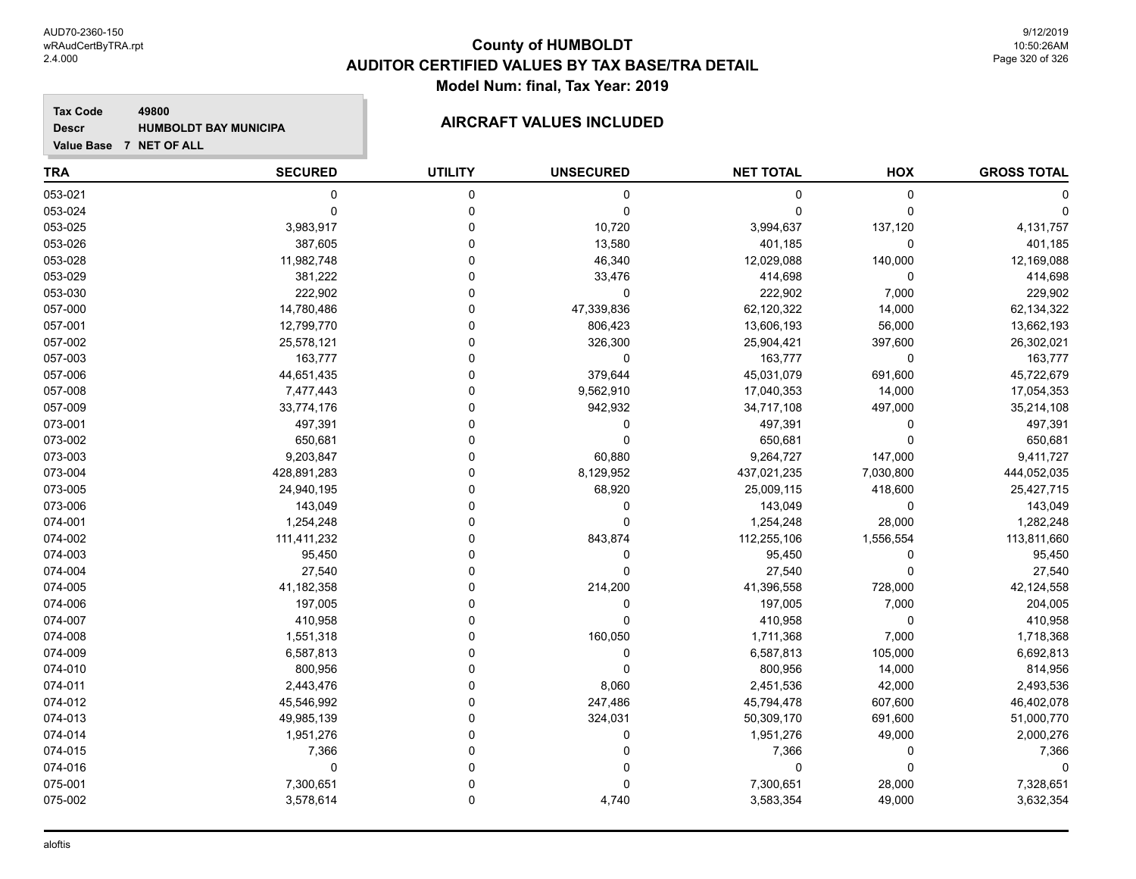**Tax Code 49800 Descr**

# **HUMBOLDT BAY MUNICIPA AIRCRAFT VALUES INCLUDED**

| <b>TRA</b> | <b>SECURED</b> | <b>UTILITY</b> | <b>UNSECURED</b> | <b>NET TOTAL</b> | HOX         | <b>GROSS TOTAL</b> |
|------------|----------------|----------------|------------------|------------------|-------------|--------------------|
| 053-021    | 0              | 0              | 0                | 0                | $\mathbf 0$ |                    |
| 053-024    | $\mathbf 0$    | $\mathbf 0$    | $\mathbf 0$      | $\Omega$         | $\Omega$    |                    |
| 053-025    | 3,983,917      | $\Omega$       | 10,720           | 3,994,637        | 137,120     | 4,131,757          |
| 053-026    | 387,605        | $\Omega$       | 13,580           | 401,185          | $\mathbf 0$ | 401,185            |
| 053-028    | 11,982,748     | $\Omega$       | 46,340           | 12,029,088       | 140,000     | 12,169,088         |
| 053-029    | 381,222        | $\Omega$       | 33,476           | 414,698          | $\Omega$    | 414,698            |
| 053-030    | 222,902        | $\Omega$       | $\mathbf 0$      | 222,902          | 7,000       | 229,902            |
| 057-000    | 14,780,486     | $\Omega$       | 47,339,836       | 62,120,322       | 14,000      | 62,134,322         |
| 057-001    | 12,799,770     | $\Omega$       | 806,423          | 13,606,193       | 56,000      | 13,662,193         |
| 057-002    | 25,578,121     | $\Omega$       | 326,300          | 25,904,421       | 397,600     | 26,302,021         |
| 057-003    | 163,777        | $\Omega$       | $\mathbf 0$      | 163,777          | $\Omega$    | 163,777            |
| 057-006    | 44,651,435     | $\Omega$       | 379,644          | 45,031,079       | 691,600     | 45,722,679         |
| 057-008    | 7,477,443      | $\Omega$       | 9,562,910        | 17,040,353       | 14,000      | 17,054,353         |
| 057-009    | 33,774,176     | $\Omega$       | 942,932          | 34,717,108       | 497,000     | 35,214,108         |
| 073-001    | 497,391        | $\Omega$       | 0                | 497,391          | $\Omega$    | 497,391            |
| 073-002    | 650,681        | $\Omega$       | $\mathbf 0$      | 650,681          | $\Omega$    | 650,681            |
| 073-003    | 9,203,847      | $\mathbf 0$    | 60,880           | 9,264,727        | 147,000     | 9,411,727          |
| 073-004    | 428,891,283    | $\Omega$       | 8,129,952        | 437,021,235      | 7,030,800   | 444,052,035        |
| 073-005    | 24,940,195     | $\Omega$       | 68,920           | 25,009,115       | 418,600     | 25,427,715         |
| 073-006    | 143,049        | $\Omega$       | 0                | 143,049          | $\Omega$    | 143,049            |
| 074-001    | 1,254,248      | $\Omega$       | $\mathbf 0$      | 1,254,248        | 28,000      | 1,282,248          |
| 074-002    | 111,411,232    | $\Omega$       | 843,874          | 112,255,106      | 1,556,554   | 113,811,660        |
| 074-003    | 95,450         | $\Omega$       | 0                | 95,450           | 0           | 95,450             |
| 074-004    | 27,540         | $\Omega$       | $\mathbf 0$      | 27,540           | $\Omega$    | 27,540             |
| 074-005    | 41,182,358     | $\Omega$       | 214,200          | 41,396,558       | 728,000     | 42,124,558         |
| 074-006    | 197,005        | $\Omega$       | $\mathbf 0$      | 197,005          | 7,000       | 204,005            |
| 074-007    | 410,958        | $\Omega$       | $\Omega$         | 410,958          | 0           | 410,958            |
| 074-008    | 1,551,318      | $\Omega$       | 160,050          | 1,711,368        | 7,000       | 1,718,368          |
| 074-009    | 6,587,813      | $\Omega$       | $\mathbf 0$      | 6,587,813        | 105,000     | 6,692,813          |
| 074-010    | 800,956        | $\Omega$       | $\mathbf 0$      | 800,956          | 14,000      | 814,956            |
| 074-011    | 2,443,476      | $\Omega$       | 8,060            | 2,451,536        | 42,000      | 2,493,536          |
| 074-012    | 45,546,992     | $\Omega$       | 247,486          | 45,794,478       | 607,600     | 46,402,078         |
| 074-013    | 49,985,139     | $\Omega$       | 324,031          | 50,309,170       | 691,600     | 51,000,770         |
| 074-014    | 1,951,276      | $\Omega$       | 0                | 1,951,276        | 49,000      | 2,000,276          |
| 074-015    | 7,366          | $\mathbf 0$    | 0                | 7,366            | 0           | 7,366              |
| 074-016    | 0              | $\Omega$       | 0                | 0                | $\Omega$    | $\Omega$           |
| 075-001    | 7,300,651      | $\Omega$       | $\Omega$         | 7,300,651        | 28,000      | 7,328,651          |
| 075-002    | 3,578,614      | $\mathbf 0$    | 4,740            | 3,583,354        | 49,000      | 3,632,354          |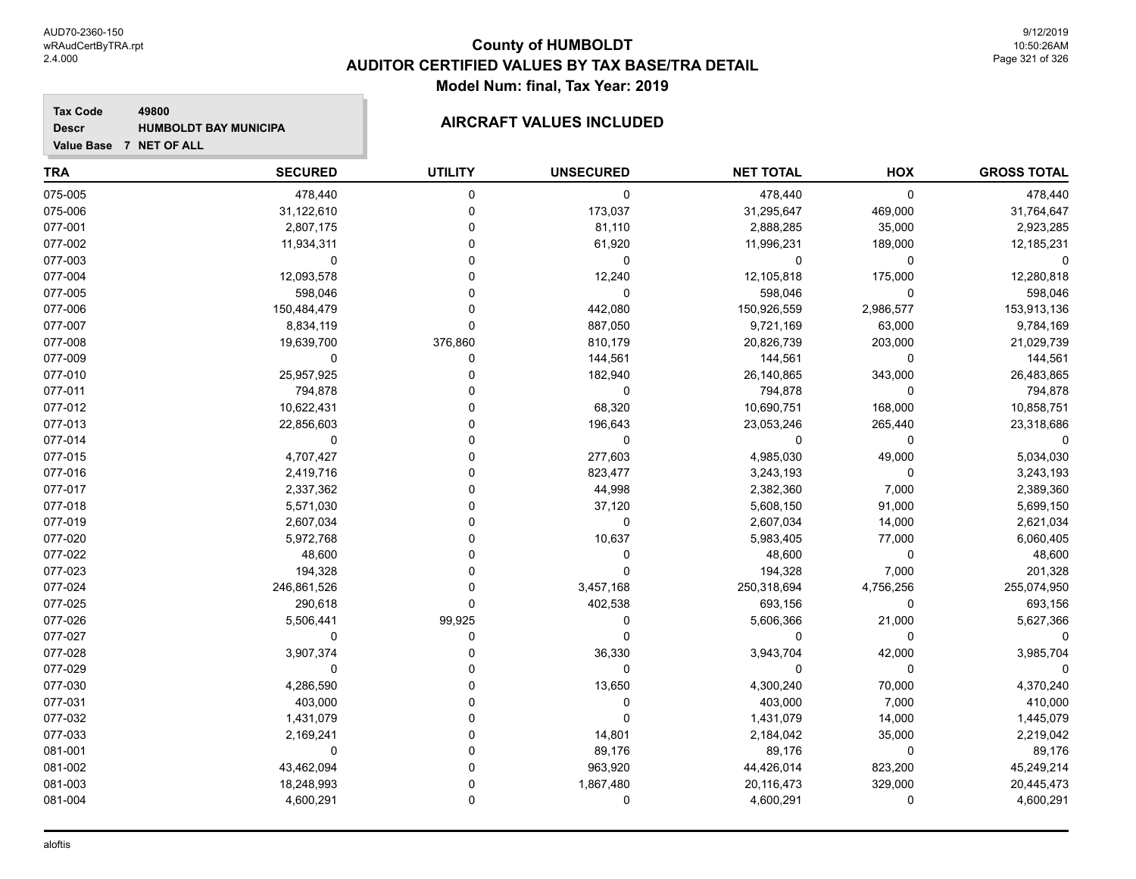#### **Tax Code 49800 Descr**

# **HUMBOLDT BAY MUNICIPA AIRCRAFT VALUES INCLUDED**

| <b>TRA</b> | <b>SECURED</b> | <b>UTILITY</b> | <b>UNSECURED</b> | <b>NET TOTAL</b> | HOX         | <b>GROSS TOTAL</b> |
|------------|----------------|----------------|------------------|------------------|-------------|--------------------|
| 075-005    | 478,440        | $\mathbf 0$    | 0                | 478,440          | $\mathbf 0$ | 478,440            |
| 075-006    | 31,122,610     | $\mathbf 0$    | 173,037          | 31,295,647       | 469,000     | 31,764,647         |
| 077-001    | 2,807,175      | $\mathbf 0$    | 81,110           | 2,888,285        | 35,000      | 2,923,285          |
| 077-002    | 11,934,311     | $\Omega$       | 61,920           | 11,996,231       | 189,000     | 12,185,231         |
| 077-003    | 0              | $\mathbf{0}$   | $\mathbf 0$      | 0                | 0           | 0                  |
| 077-004    | 12,093,578     | $\Omega$       | 12,240           | 12,105,818       | 175,000     | 12,280,818         |
| 077-005    | 598,046        | $\Omega$       | $\mathbf 0$      | 598,046          | $\mathbf 0$ | 598,046            |
| 077-006    | 150,484,479    | $\Omega$       | 442,080          | 150,926,559      | 2,986,577   | 153,913,136        |
| 077-007    | 8,834,119      | $\Omega$       | 887,050          | 9,721,169        | 63,000      | 9,784,169          |
| 077-008    | 19,639,700     | 376,860        | 810,179          | 20,826,739       | 203,000     | 21,029,739         |
| 077-009    | 0              | $\mathbf 0$    | 144,561          | 144,561          | 0           | 144,561            |
| 077-010    | 25,957,925     | $\Omega$       | 182,940          | 26,140,865       | 343,000     | 26,483,865         |
| 077-011    | 794,878        | $\Omega$       | $\mathbf 0$      | 794,878          | $\mathbf 0$ | 794,878            |
| 077-012    | 10,622,431     | $\Omega$       | 68,320           | 10,690,751       | 168,000     | 10,858,751         |
| 077-013    | 22,856,603     | $\Omega$       | 196,643          | 23,053,246       | 265,440     | 23,318,686         |
| 077-014    | 0              | $\Omega$       | $\mathbf 0$      | 0                | 0           | $\mathbf 0$        |
| 077-015    | 4,707,427      | $\Omega$       | 277,603          | 4,985,030        | 49,000      | 5,034,030          |
| 077-016    | 2,419,716      | $\Omega$       | 823,477          | 3,243,193        | $\Omega$    | 3,243,193          |
| 077-017    | 2,337,362      | $\Omega$       | 44,998           | 2,382,360        | 7,000       | 2,389,360          |
| 077-018    | 5,571,030      | 0              | 37,120           | 5,608,150        | 91,000      | 5,699,150          |
| 077-019    | 2,607,034      | $\Omega$       | 0                | 2,607,034        | 14,000      | 2,621,034          |
| 077-020    | 5,972,768      | O              | 10,637           | 5,983,405        | 77,000      | 6,060,405          |
| 077-022    | 48,600         | $\Omega$       | 0                | 48,600           | $\mathbf 0$ | 48,600             |
| 077-023    | 194,328        | $\Omega$       | $\mathbf 0$      | 194,328          | 7,000       | 201,328            |
| 077-024    | 246,861,526    | $\mathbf 0$    | 3,457,168        | 250,318,694      | 4,756,256   | 255,074,950        |
| 077-025    | 290,618        | $\Omega$       | 402,538          | 693,156          | $\mathbf 0$ | 693,156            |
| 077-026    | 5,506,441      | 99,925         | 0                | 5,606,366        | 21,000      | 5,627,366          |
| 077-027    | $\mathbf 0$    | $\mathbf 0$    | $\Omega$         | 0                | $\mathbf 0$ | $\Omega$           |
| 077-028    | 3,907,374      | $\Omega$       | 36,330           | 3,943,704        | 42,000      | 3,985,704          |
| 077-029    | $\mathbf 0$    | $\Omega$       | $\mathbf 0$      | 0                | $\mathbf 0$ | $\Omega$           |
| 077-030    | 4,286,590      | $\Omega$       | 13,650           | 4,300,240        | 70,000      | 4,370,240          |
| 077-031    | 403,000        | $\Omega$       | 0                | 403,000          | 7,000       | 410,000            |
| 077-032    | 1,431,079      | $\Omega$       | 0                | 1,431,079        | 14,000      | 1,445,079          |
| 077-033    | 2,169,241      | $\mathbf 0$    | 14,801           | 2,184,042        | 35,000      | 2,219,042          |
| 081-001    | 0              | $\Omega$       | 89,176           | 89,176           | 0           | 89,176             |
| 081-002    | 43,462,094     | $\Omega$       | 963,920          | 44,426,014       | 823,200     | 45,249,214         |
| 081-003    | 18,248,993     | $\Omega$       | 1,867,480        | 20,116,473       | 329,000     | 20,445,473         |
| 081-004    | 4,600,291      | $\Omega$       | $\mathbf 0$      | 4,600,291        | 0           | 4,600,291          |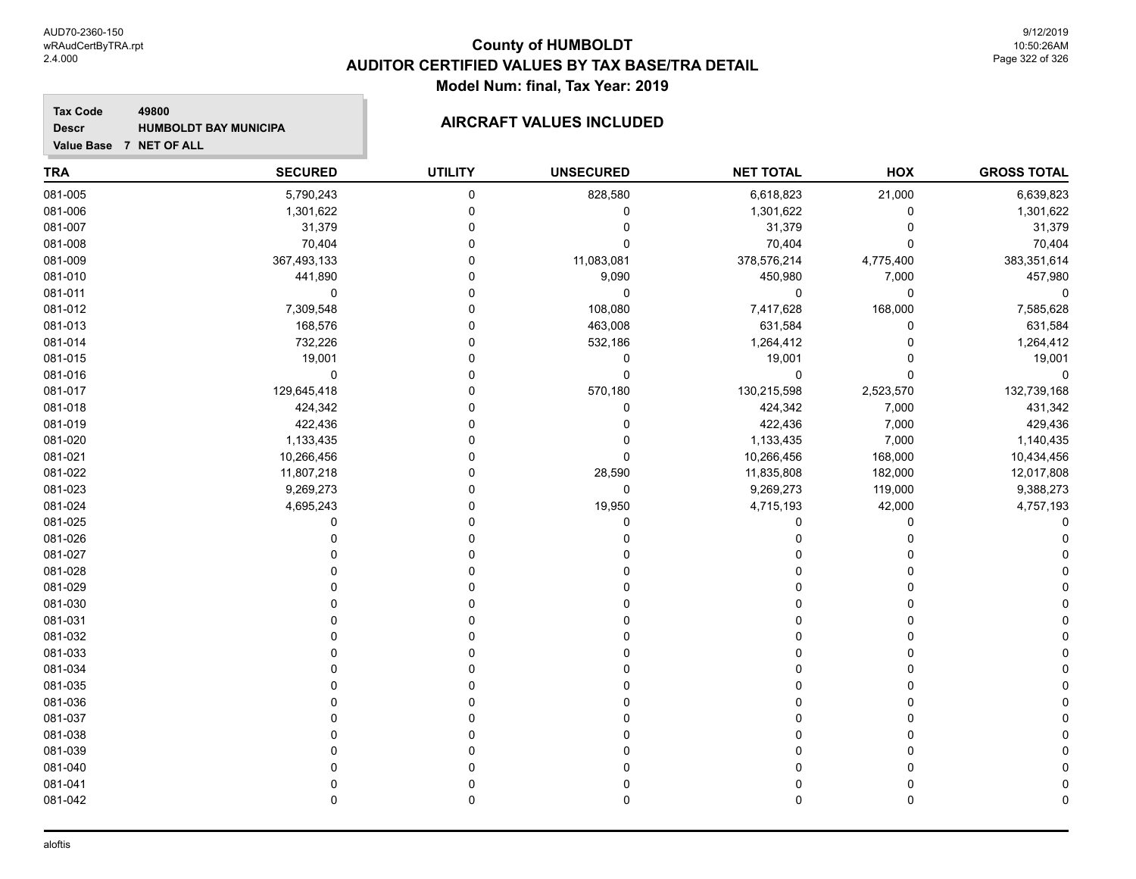#### **Tax Code 49800 Descr**

# **HUMBOLDT BAY MUNICIPA AIRCRAFT VALUES INCLUDED**

| <b>TRA</b> | <b>SECURED</b> | <b>UTILITY</b> | <b>UNSECURED</b> | <b>NET TOTAL</b> | HOX         | <b>GROSS TOTAL</b> |
|------------|----------------|----------------|------------------|------------------|-------------|--------------------|
| 081-005    | 5,790,243      | 0              | 828,580          | 6,618,823        | 21,000      | 6,639,823          |
| 081-006    | 1,301,622      | $\pmb{0}$      | $\pmb{0}$        | 1,301,622        | $\pmb{0}$   | 1,301,622          |
| 081-007    | 31,379         | 0              | 0                | 31,379           | 0           | 31,379             |
| 081-008    | 70,404         | $\mathbf 0$    | $\mathbf{0}$     | 70,404           | $\mathbf 0$ | 70,404             |
| 081-009    | 367,493,133    | $\Omega$       | 11,083,081       | 378,576,214      | 4,775,400   | 383,351,614        |
| 081-010    | 441,890        | $\Omega$       | 9,090            | 450,980          | 7,000       | 457,980            |
| 081-011    | $\mathbf 0$    | $\Omega$       | $\mathbf 0$      | $\mathbf 0$      | 0           | $\Omega$           |
| 081-012    | 7,309,548      | $\mathbf 0$    | 108,080          | 7,417,628        | 168,000     | 7,585,628          |
| 081-013    | 168,576        | $\Omega$       | 463,008          | 631,584          | $\mathbf 0$ | 631,584            |
| 081-014    | 732,226        | $\Omega$       | 532,186          | 1,264,412        | $\mathbf 0$ | 1,264,412          |
| 081-015    | 19,001         | $\mathbf 0$    | 0                | 19,001           | 0           | 19,001             |
| 081-016    | $\pmb{0}$      | $\mathbf 0$    | $\mathbf 0$      | $\mathbf 0$      | $\Omega$    | $\Omega$           |
| 081-017    | 129,645,418    | $\Omega$       | 570,180          | 130,215,598      | 2,523,570   | 132,739,168        |
| 081-018    | 424,342        | $\Omega$       | 0                | 424,342          | 7,000       | 431,342            |
| 081-019    | 422,436        | $\Omega$       | 0                | 422,436          | 7,000       | 429,436            |
| 081-020    | 1,133,435      | $\Omega$       | $\mathbf 0$      | 1,133,435        | 7,000       | 1,140,435          |
| 081-021    | 10,266,456     | $\Omega$       | $\mathbf 0$      | 10,266,456       | 168,000     | 10,434,456         |
| 081-022    | 11,807,218     | $\Omega$       | 28,590           | 11,835,808       | 182,000     | 12,017,808         |
| 081-023    | 9,269,273      | $\Omega$       | $\pmb{0}$        | 9,269,273        | 119,000     | 9,388,273          |
| 081-024    | 4,695,243      | 0              | 19,950           | 4,715,193        | 42,000      | 4,757,193          |
| 081-025    | $\Omega$       | $\Omega$       | $\mathbf 0$      | $\Omega$         | $\Omega$    |                    |
| 081-026    | $\Omega$       | $\Omega$       | $\Omega$         | 0                | 0           |                    |
| 081-027    | $\Omega$       | $\Omega$       | $\Omega$         | $\Omega$         | $\Omega$    |                    |
| 081-028    | $\Omega$       | $\Omega$       | $\Omega$         | $\Omega$         | $\Omega$    |                    |
| 081-029    | $\Omega$       | $\mathbf 0$    | $\Omega$         | $\Omega$         | $\Omega$    |                    |
| 081-030    | n              | $\Omega$       |                  | 0                | $\Omega$    |                    |
| 081-031    | O              | $\Omega$       |                  | $\Omega$         | $\Omega$    |                    |
| 081-032    | 0              | 0              |                  | 0                | 0           |                    |
| 081-033    | $\Omega$       | $\Omega$       |                  | $\Omega$         | $\Omega$    |                    |
| 081-034    | $\Omega$       | $\Omega$       |                  | $\Omega$         | $\Omega$    |                    |
| 081-035    | $\Omega$       | $\Omega$       | 0                | $\mathbf 0$      | $\Omega$    |                    |
| 081-036    | $\Omega$       | $\Omega$       | O                | $\mathbf 0$      | $\Omega$    |                    |
| 081-037    | $\Omega$       | $\Omega$       |                  | $\Omega$         | $\Omega$    |                    |
| 081-038    | ∩              | $\Omega$       | 0                | 0                | $\Omega$    |                    |
| 081-039    | $\Omega$       | $\Omega$       | $\Omega$         | $\mathbf 0$      | $\Omega$    |                    |
| 081-040    | $\Omega$       | $\Omega$       | 0                | 0                | 0           |                    |
| 081-041    | $\mathbf 0$    | $\pmb{0}$      | 0                | 0                | 0           |                    |
| 081-042    | $\mathbf 0$    | $\mathbf 0$    | 0                | 0                | 0           |                    |
|            |                |                |                  |                  |             |                    |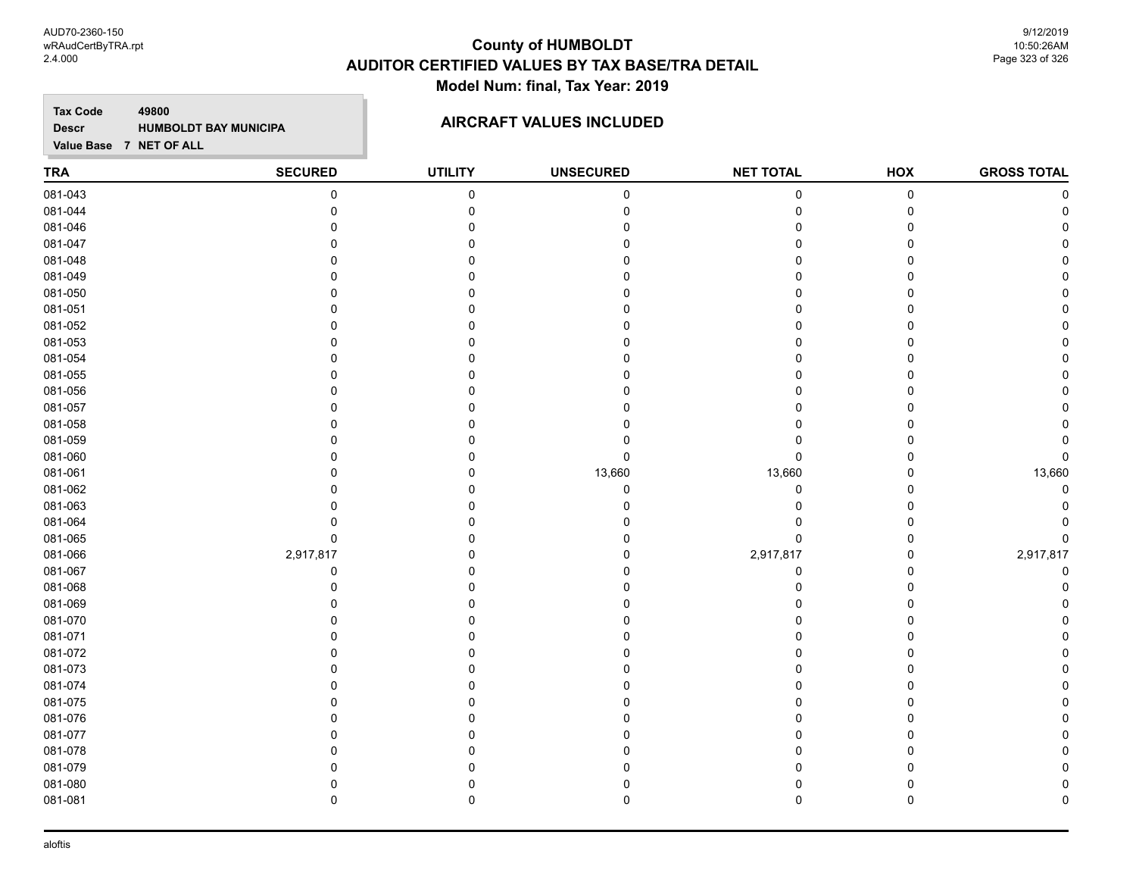AUD70-2360-150 wRAudCertByTRA.rpt 2.4.000

#### **County of HUMBOLDT AUDITOR CERTIFIED VALUES BY TAX BASE/TRA DETAIL Model Num: final, Tax Year: 2019**

9/12/2019 10:50:26AM Page 323 of 326

**Tax Code 49800 Descr**

#### **HUMBOLDT BAY MUNICIPA AIRCRAFT VALUES INCLUDED**

**Value Base 7 NET OF ALL**

#### **TRA SECURED UTILITY UNSECURED HOX GROSS TOTAL NET TOTAL** 081-043 0 0 0 0 0 0 081-044 0 0 0 0 0 0 081-046 0 0 0 0 0 0 081-047 0 0 0 0 0 0 081-048 0 0 0 0 0 0 081-049 0 0 0 0 0 0 081-050 0 0 0 0 0 0 081-051 0 0 0 0 0 0 081-052 0 0 0 0 0 0 081-053 0 0 0 0 0 0 081-054 0 0 0 0 0 0 081-055 0 0 0 0 0 0 081-056 0 0 0 0 0 0 081-057 0 0 0 0 0 0 081-058 0 0 0 0 0 0 081-059 0 0 0 0 0 0 081-060 0 0 0 0 0 0 081-061 0 0 13,660 13,660 0 13,660 081-062 0 0 0 0 0 0 081-063 0 0 0 0 0 0 081-064 0 0 0 0 0 0 081-065 0 0 0 0 0 0 081-066 2,917,817 0 0 2,917,817 0 2,917,817 081-067 0 0 0 0 0 0 081-068 0 0 0 0 0 0 081-069 0 0 0 0 0 0 081-070 0 0 0 0 0 0 081-071 0 0 0 0 0 0 081-072 0 0 0 0 0 0 081-073 0 0 0 0 0 0 081-074 0 0 0 0 0 0 081-075 0 0 0 0 0 0 081-076 0 0 0 0 0 0 081-077 0 0 0 0 0 0 081-078 0 0 0 0 0 0 081-079 0 0 0 0 0 0 081-080 0 0 0 0 0 0 081-081 0 0 0 0 0 0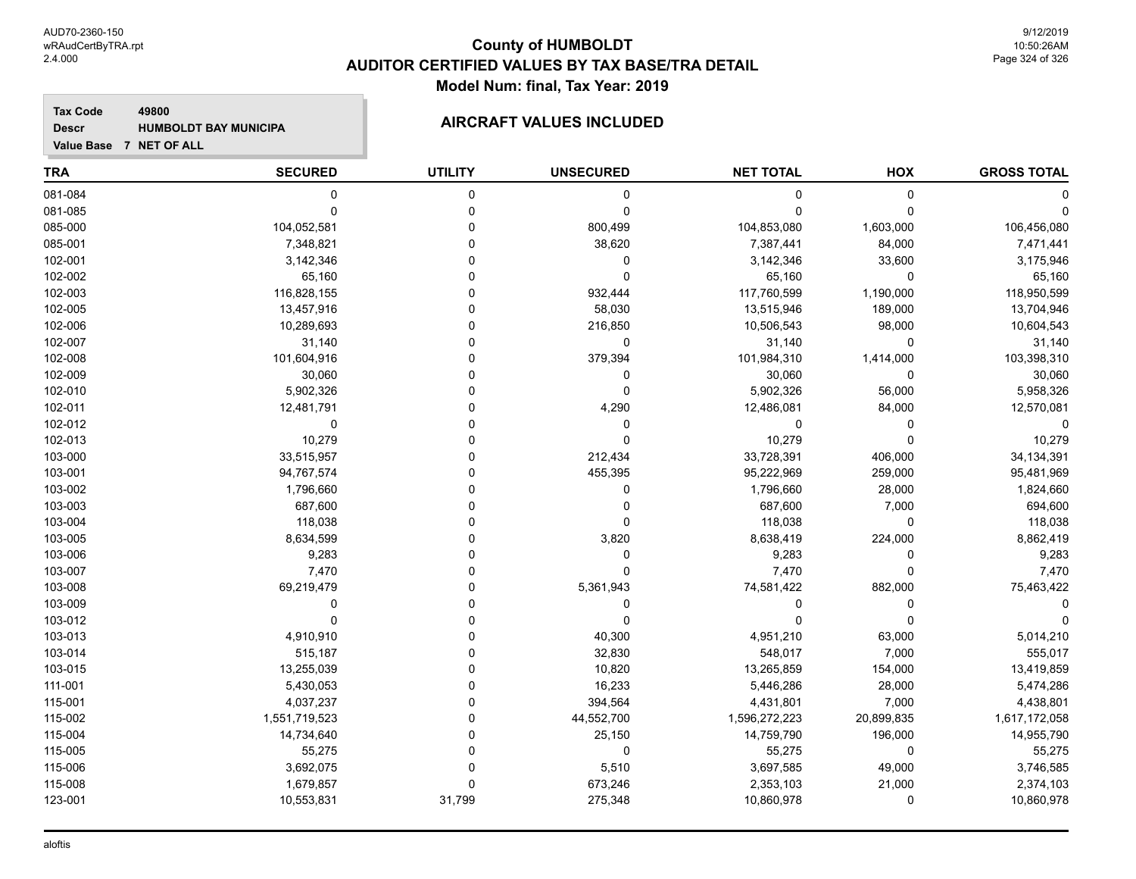**Tax Code 49800 Descr**

# **HUMBOLDT BAY MUNICIPA AIRCRAFT VALUES INCLUDED**

| <b>TRA</b> | <b>SECURED</b> | <b>UTILITY</b> | <b>UNSECURED</b> | <b>NET TOTAL</b> | HOX         | <b>GROSS TOTAL</b> |
|------------|----------------|----------------|------------------|------------------|-------------|--------------------|
| 081-084    | 0              | 0              | 0                | 0                | $\mathbf 0$ |                    |
| 081-085    | $\mathbf 0$    | $\mathbf 0$    | $\mathbf 0$      | $\Omega$         | $\Omega$    |                    |
| 085-000    | 104,052,581    | $\mathbf 0$    | 800,499          | 104,853,080      | 1,603,000   | 106,456,080        |
| 085-001    | 7,348,821      | $\mathbf 0$    | 38,620           | 7,387,441        | 84,000      | 7,471,441          |
| 102-001    | 3,142,346      | 0              | 0                | 3,142,346        | 33,600      | 3,175,946          |
| 102-002    | 65,160         | 0              | $\mathbf 0$      | 65,160           | 0           | 65,160             |
| 102-003    | 116,828,155    | 0              | 932,444          | 117,760,599      | 1,190,000   | 118,950,599        |
| 102-005    | 13,457,916     | 0              | 58,030           | 13,515,946       | 189,000     | 13,704,946         |
| 102-006    | 10,289,693     | 0              | 216,850          | 10,506,543       | 98,000      | 10,604,543         |
| 102-007    | 31,140         | 0              | 0                | 31,140           | 0           | 31,140             |
| 102-008    | 101,604,916    | 0              | 379,394          | 101,984,310      | 1,414,000   | 103,398,310        |
| 102-009    | 30,060         | 0              | 0                | 30,060           | $\mathbf 0$ | 30,060             |
| 102-010    | 5,902,326      | $\Omega$       | 0                | 5,902,326        | 56,000      | 5,958,326          |
| 102-011    | 12,481,791     | 0              | 4,290            | 12,486,081       | 84,000      | 12,570,081         |
| 102-012    | 0              | 0              | 0                | 0                | 0           | $\Omega$           |
| 102-013    | 10,279         | 0              | 0                | 10,279           | $\mathbf 0$ | 10,279             |
| 103-000    | 33,515,957     | 0              | 212,434          | 33,728,391       | 406,000     | 34,134,391         |
| 103-001    | 94,767,574     | 0              | 455,395          | 95,222,969       | 259,000     | 95,481,969         |
| 103-002    | 1,796,660      | O              | 0                | 1,796,660        | 28,000      | 1,824,660          |
| 103-003    | 687,600        | 0              | 0                | 687,600          | 7,000       | 694,600            |
| 103-004    | 118,038        | 0              | 0                | 118,038          | $\mathbf 0$ | 118,038            |
| 103-005    | 8,634,599      | 0              | 3,820            | 8,638,419        | 224,000     | 8,862,419          |
| 103-006    | 9,283          | U              | 0                | 9,283            | $\mathbf 0$ | 9,283              |
| 103-007    | 7,470          | 0              | 0                | 7,470            | $\mathbf 0$ | 7,470              |
| 103-008    | 69,219,479     | ۵              | 5,361,943        | 74,581,422       | 882,000     | 75,463,422         |
| 103-009    | 0              | 0              | 0                | 0                | 0           |                    |
| 103-012    | $\Omega$       | 0              | 0                | $\Omega$         | $\Omega$    |                    |
| 103-013    | 4,910,910      | U              | 40,300           | 4,951,210        | 63,000      | 5,014,210          |
| 103-014    | 515,187        | 0              | 32,830           | 548,017          | 7,000       | 555,017            |
| 103-015    | 13,255,039     | 0              | 10,820           | 13,265,859       | 154,000     | 13,419,859         |
| 111-001    | 5,430,053      | 0              | 16,233           | 5,446,286        | 28,000      | 5,474,286          |
| 115-001    | 4,037,237      | 0              | 394,564          | 4,431,801        | 7,000       | 4,438,801          |
| 115-002    | 1,551,719,523  | 0              | 44,552,700       | 1,596,272,223    | 20,899,835  | 1,617,172,058      |
| 115-004    | 14,734,640     | 0              | 25,150           | 14,759,790       | 196,000     | 14,955,790         |
| 115-005    | 55,275         | 0              | 0                | 55,275           | 0           | 55,275             |
| 115-006    | 3,692,075      | 0              | 5,510            | 3,697,585        | 49,000      | 3,746,585          |
| 115-008    | 1,679,857      | $\Omega$       | 673,246          | 2,353,103        | 21,000      | 2,374,103          |
| 123-001    | 10,553,831     | 31,799         | 275,348          | 10,860,978       | $\mathbf 0$ | 10,860,978         |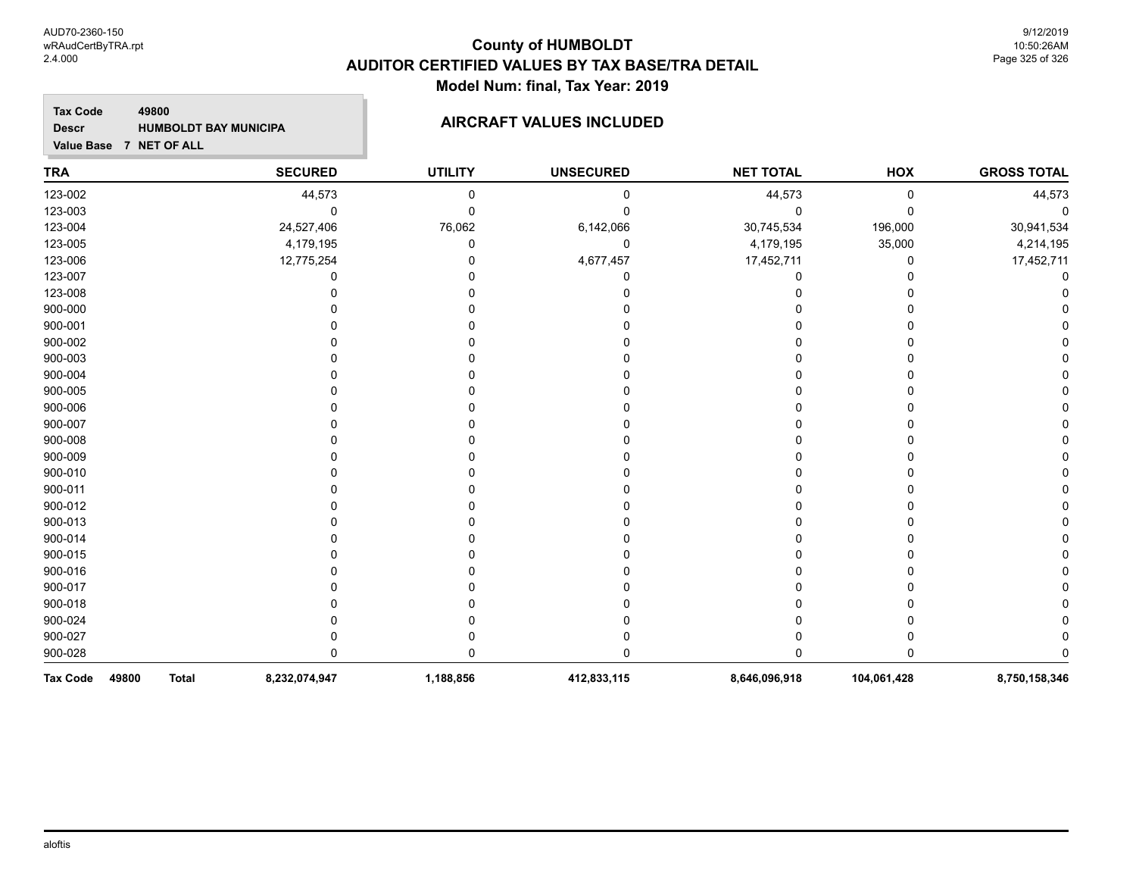## **County of HUMBOLDT AUDITOR CERTIFIED VALUES BY TAX BASE/TRA DETAIL Model Num: final, Tax Year: 2019**

9/12/2019 10:50:26AM Page 325 of 326

**GROSS TOTAL**

## **TRA SECURED UTILITY UNSECURED HOX Tax Code Value Base 7 NET OF ALL 49800 NET TOTAL Descr HUMBOLDT BAY MUNICIPA AIRCRAFT VALUES INCLUDED** 123-002 44,573 0 0 44,573 0 44,573 123-003 0 0 0 0 0 0 123-004 24,527,406 76,062 6,142,066 30,745,534 196,000 30,941,534 123-005 4,179,195 0 0 4,179,195 35,000 4,214,195 123-006 12,775,254 0 4,677,457 17,452,711 0 17,452,711 123-007 0 0 0 0 0 0 123-008 0 0 0 0 0 0 900-000 0 0 0 0 0 0 900-001 0 0 0 0 0 0 900-002 0 0 0 0 0 0 900-003 0 0 0 0 0 0 900-004 0 0 0 0 0 0 900-005 0 0 0 0 0 0 900-006 0 0 0 0 0 0 900-007 0 0 0 0 0 0 900-008 0 0 0 0 0 0 900-009 0 0 0 0 0 0 900-010 0 0 0 0 0 0 900-011 0 0 0 0 0 0 900-012 0 0 0 0 0 0 900-013 0 0 0 0 0 0

900-014 0 0 0 0 0 0 900-015 0 0 0 0 0 0 900-016 0 0 0 0 0 0 900-017 0 0 0 0 0 0 900-018 0 0 0 0 0 0 900-024 0 0 0 0 0 0 900-027 0 0 0 0 0 0 900-028 0 0 0 0 0 0 **Tax Code 49800 Total 8,232,074,947 1,188,856 412,833,115 8,646,096,918 104,061,428 8,750,158,346**